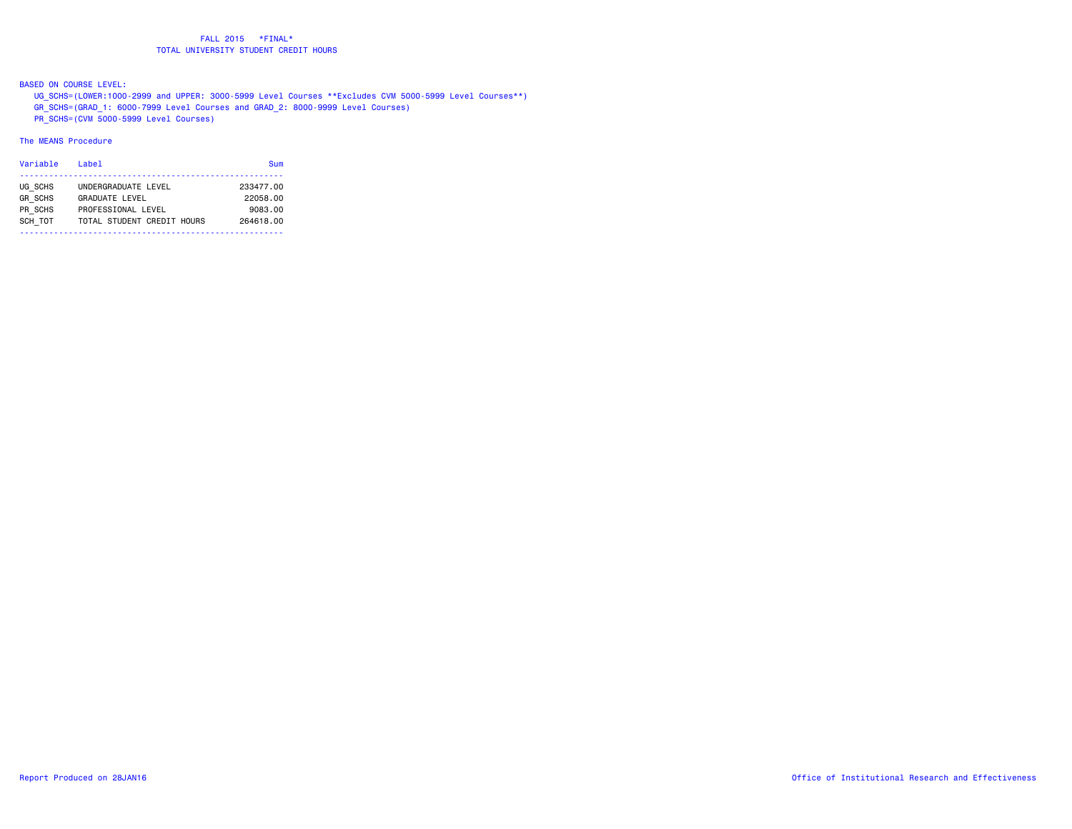BASED ON COURSE LEVEL:

 UG\_SCHS=(LOWER:1000-2999 and UPPER: 3000-5999 Level Courses \*\*Excludes CVM 5000-5999 Level Courses\*\*) GR\_SCHS=(GRAD\_1: 6000-7999 Level Courses and GRAD\_2: 8000-9999 Level Courses)

PR\_SCHS=(CVM 5000-5999 Level Courses)

# The MEANS Procedure

| Variable       | Label                      | Sum       |
|----------------|----------------------------|-----------|
|                |                            |           |
| UG SCHS        | UNDERGRADUATE LEVEL        | 233477.00 |
| <b>GR SCHS</b> | GRADUATE LEVEL             | 22058.00  |
| PR SCHS        | PROFESSIONAL LEVEL         | 9083.00   |
| SCH TOT        | TOTAL STUDENT CREDIT HOURS | 264618.00 |
|                |                            |           |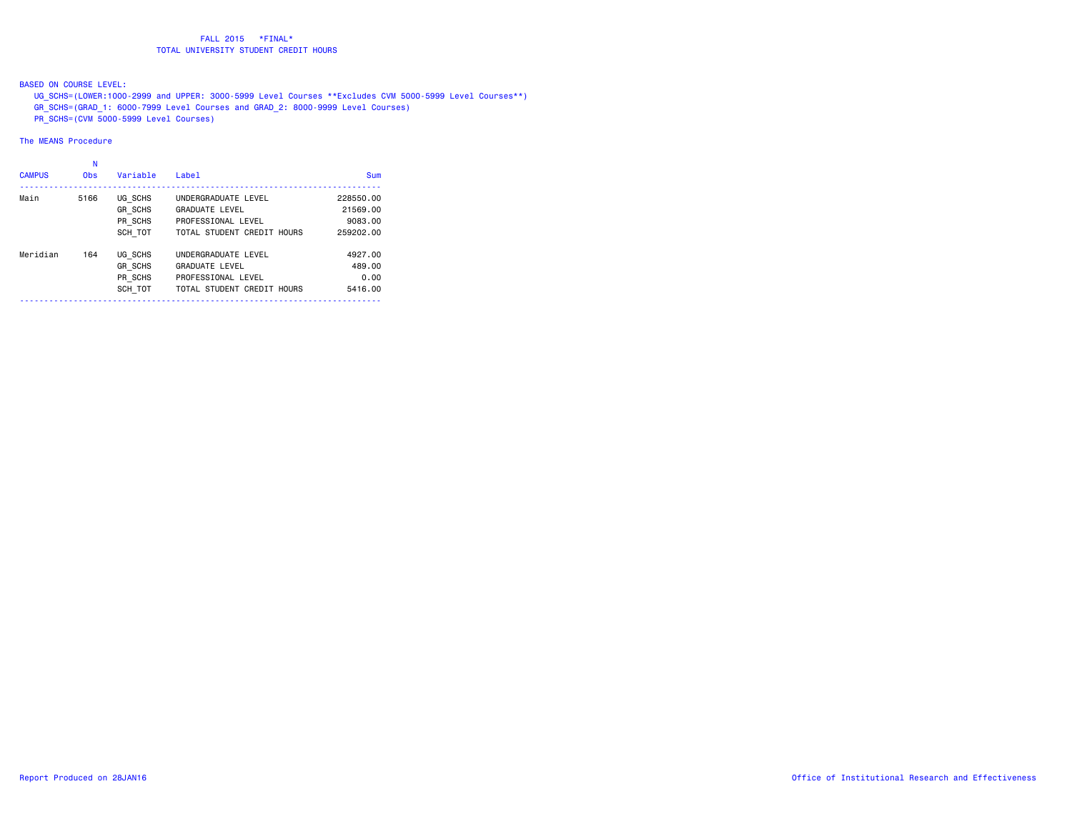BASED ON COURSE LEVEL:

- UG\_SCHS=(LOWER:1000-2999 and UPPER: 3000-5999 Level Courses \*\*Excludes CVM 5000-5999 Level Courses\*\*)
- GR\_SCHS=(GRAD\_1: 6000-7999 Level Courses and GRAD\_2: 8000-9999 Level Courses)
- PR\_SCHS=(CVM 5000-5999 Level Courses)

# The MEANS Procedure

# N

| <b>CAMPUS</b> | <b>Obs</b> | Variable                                        | Label                                                                                            | Sum                                           |
|---------------|------------|-------------------------------------------------|--------------------------------------------------------------------------------------------------|-----------------------------------------------|
| Main          | 5166       | UG SCHS<br><b>GR SCHS</b><br>PR SCHS<br>SCH TOT | UNDERGRADUATE LEVEL<br><b>GRADUATE LEVEL</b><br>PROFESSIONAL LEVEL<br>TOTAL STUDENT CREDIT HOURS | 228550.00<br>21569.00<br>9083.00<br>259202.00 |
| Meridian      | 164        | UG SCHS<br><b>GR SCHS</b><br>PR SCHS<br>SCH TOT | UNDERGRADUATE LEVEL<br><b>GRADUATE LEVEL</b><br>PROFESSIONAL LEVEL<br>TOTAL STUDENT CREDIT HOURS | 4927,00<br>489,00<br>0.00<br>5416.00          |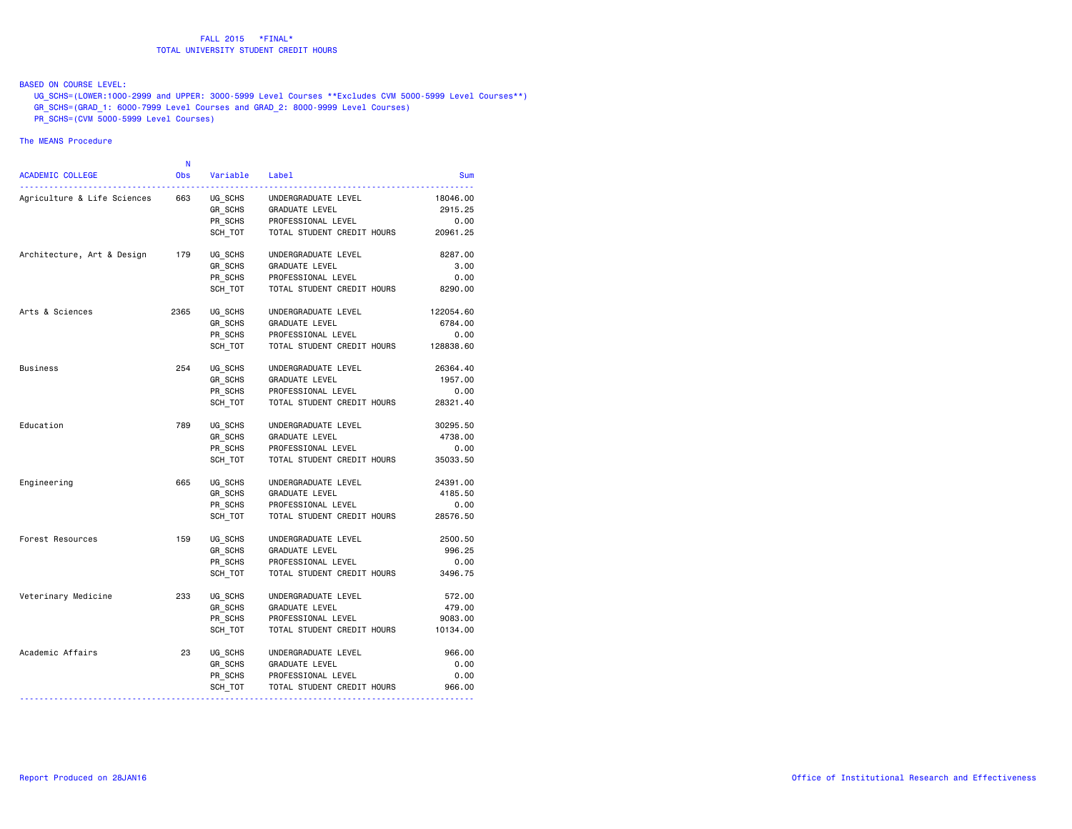## BASED ON COURSE LEVEL:

 UG\_SCHS=(LOWER:1000-2999 and UPPER: 3000-5999 Level Courses \*\*Excludes CVM 5000-5999 Level Courses\*\*) GR\_SCHS=(GRAD\_1: 6000-7999 Level Courses and GRAD\_2: 8000-9999 Level Courses)

PR\_SCHS=(CVM 5000-5999 Level Courses)

## The MEANS Procedure

| <b>ACADEMIC COLLEGE</b>     | N<br><b>Obs</b> | Variable | Label                      | <b>Sum</b> |
|-----------------------------|-----------------|----------|----------------------------|------------|
| Agriculture & Life Sciences | 663             | UG_SCHS  | UNDERGRADUATE LEVEL        | 18046.00   |
|                             |                 | GR SCHS  | GRADUATE LEVEL             | 2915.25    |
|                             |                 | PR SCHS  | PROFESSIONAL LEVEL         | 0.00       |
|                             |                 | SCH TOT  | TOTAL STUDENT CREDIT HOURS | 20961.25   |
| Architecture, Art & Design  | 179             | UG_SCHS  | UNDERGRADUATE LEVEL        | 8287.00    |
|                             |                 | GR SCHS  | <b>GRADUATE LEVEL</b>      | 3.00       |
|                             |                 | PR SCHS  | PROFESSIONAL LEVEL         | 0.00       |
|                             |                 | SCH TOT  | TOTAL STUDENT CREDIT HOURS | 8290.00    |
| Arts & Sciences             | 2365            | UG_SCHS  | UNDERGRADUATE LEVEL        | 122054.60  |
|                             |                 | GR SCHS  | <b>GRADUATE LEVEL</b>      | 6784.00    |
|                             |                 | PR SCHS  | PROFESSIONAL LEVEL         | 0.00       |
|                             |                 | SCH TOT  | TOTAL STUDENT CREDIT HOURS | 128838.60  |
| Business                    | 254             | UG SCHS  | UNDERGRADUATE LEVEL        | 26364.40   |
|                             |                 | GR SCHS  | <b>GRADUATE LEVEL</b>      | 1957.00    |
|                             |                 | PR SCHS  | PROFESSIONAL LEVEL         | 0.00       |
|                             |                 | SCH TOT  | TOTAL STUDENT CREDIT HOURS | 28321.40   |
| Education                   | 789             | UG SCHS  | UNDERGRADUATE LEVEL        | 30295.50   |
|                             |                 | GR SCHS  | GRADUATE LEVEL             | 4738.00    |
|                             |                 | PR SCHS  | PROFESSIONAL LEVEL         | 0.00       |
|                             |                 | SCH TOT  | TOTAL STUDENT CREDIT HOURS | 35033.50   |
| Engineering                 | 665             | UG SCHS  | UNDERGRADUATE LEVEL        | 24391.00   |
|                             |                 | GR_SCHS  | GRADUATE LEVEL             | 4185.50    |
|                             |                 | PR SCHS  | PROFESSIONAL LEVEL         | 0.00       |
|                             |                 | SCH TOT  | TOTAL STUDENT CREDIT HOURS | 28576.50   |
| Forest Resources            | 159             | UG SCHS  | UNDERGRADUATE LEVEL        | 2500.50    |
|                             |                 | GR SCHS  | <b>GRADUATE LEVEL</b>      | 996.25     |
|                             |                 | PR_SCHS  | PROFESSIONAL LEVEL         | 0.00       |
|                             |                 | SCH TOT  | TOTAL STUDENT CREDIT HOURS | 3496.75    |
| Veterinary Medicine         | 233             | UG SCHS  | UNDERGRADUATE LEVEL        | 572.00     |
|                             |                 | GR SCHS  | <b>GRADUATE LEVEL</b>      | 479.00     |
|                             |                 | PR SCHS  | PROFESSIONAL LEVEL         | 9083.00    |
|                             |                 | SCH TOT  | TOTAL STUDENT CREDIT HOURS | 10134.00   |
| Academic Affairs            | 23              | UG SCHS  | UNDERGRADUATE LEVEL        | 966,00     |
|                             |                 | GR SCHS  | <b>GRADUATE LEVEL</b>      | 0.00       |
|                             |                 | PR SCHS  | PROFESSIONAL LEVEL         | 0.00       |
|                             |                 | SCH_TOT  | TOTAL STUDENT CREDIT HOURS | 966.00     |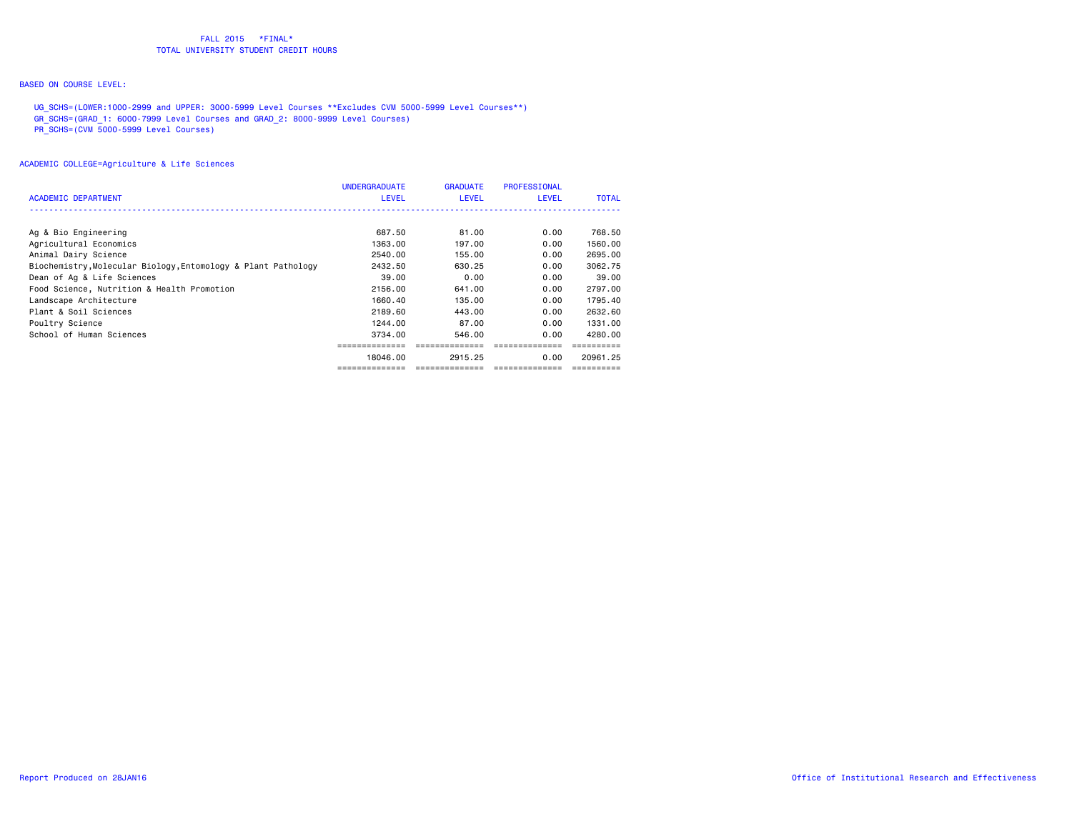# BASED ON COURSE LEVEL:

 UG\_SCHS=(LOWER:1000-2999 and UPPER: 3000-5999 Level Courses \*\*Excludes CVM 5000-5999 Level Courses\*\*) GR\_SCHS=(GRAD\_1: 6000-7999 Level Courses and GRAD\_2: 8000-9999 Level Courses) PR\_SCHS=(CVM 5000-5999 Level Courses)

| ACADEMIC DEPARTMENT                                           | <b>UNDERGRADUATE</b><br><b>LEVEL</b> | <b>GRADUATE</b><br><b>LEVEL</b> | PROFESSIONAL<br><b>LEVEL</b> | <b>TOTAL</b> |
|---------------------------------------------------------------|--------------------------------------|---------------------------------|------------------------------|--------------|
|                                                               |                                      |                                 |                              |              |
| Ag & Bio Engineering                                          | 687.50                               | 81.00                           | 0.00                         | 768.50       |
| Agricultural Economics                                        | 1363.00                              | 197.00                          | 0.00                         | 1560.00      |
| Animal Dairy Science                                          | 2540.00                              | 155.00                          | 0.00                         | 2695.00      |
| Biochemistry, Molecular Biology, Entomology & Plant Pathology | 2432.50                              | 630.25                          | 0.00                         | 3062.75      |
| Dean of Ag & Life Sciences                                    | 39.00                                | 0.00                            | 0.00                         | 39,00        |
| Food Science, Nutrition & Health Promotion                    | 2156.00                              | 641,00                          | 0.00                         | 2797.00      |
| Landscape Architecture                                        | 1660.40                              | 135,00                          | 0.00                         | 1795.40      |
| Plant & Soil Sciences                                         | 2189.60                              | 443.00                          | 0.00                         | 2632.60      |
| Poultry Science                                               | 1244.00                              | 87.00                           | 0.00                         | 1331.00      |
| School of Human Sciences                                      | 3734.00                              | 546.00                          | 0.00                         | 4280.00      |
|                                                               |                                      |                                 |                              |              |
|                                                               | 18046.00                             | 2915.25                         | 0.00                         | 20961.25     |
|                                                               |                                      |                                 |                              |              |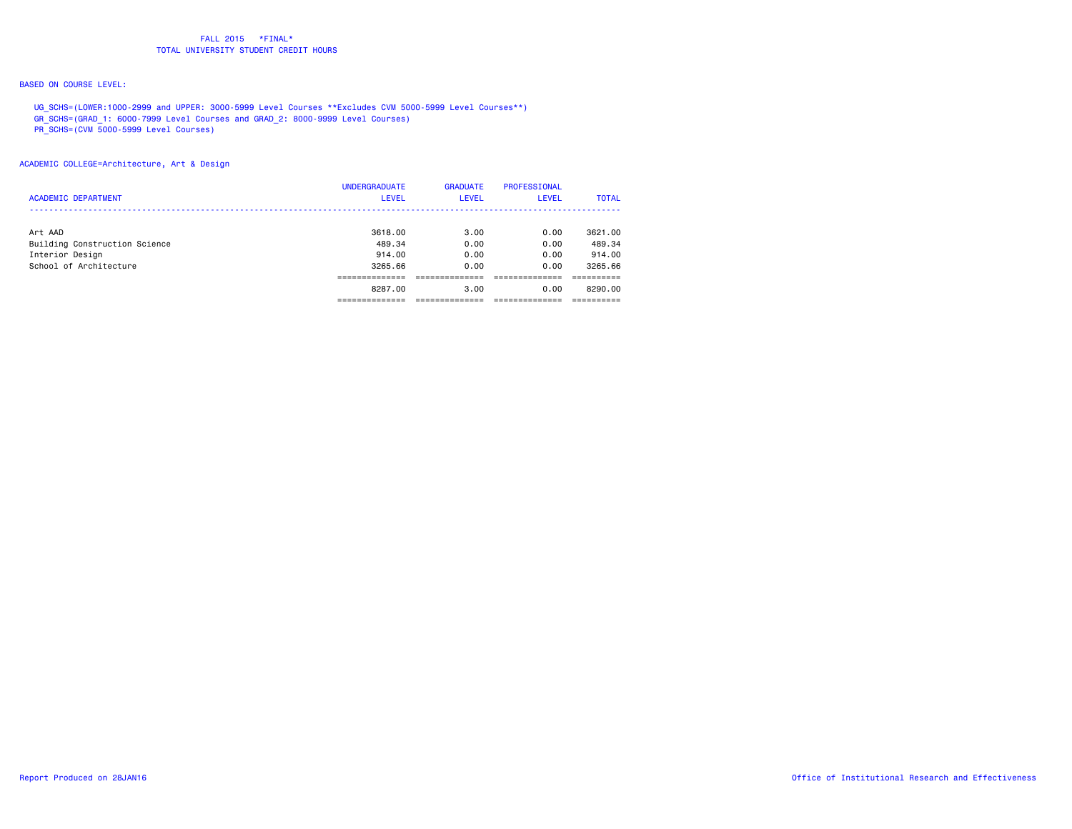# BASED ON COURSE LEVEL:

 UG\_SCHS=(LOWER:1000-2999 and UPPER: 3000-5999 Level Courses \*\*Excludes CVM 5000-5999 Level Courses\*\*) GR\_SCHS=(GRAD\_1: 6000-7999 Level Courses and GRAD\_2: 8000-9999 Level Courses)

PR\_SCHS=(CVM 5000-5999 Level Courses)

ACADEMIC COLLEGE=Architecture, Art & Design

|                               | <b>UNDERGRADUATE</b> | <b>GRADUATE</b> | PROFESSIONAL |              |
|-------------------------------|----------------------|-----------------|--------------|--------------|
| <b>ACADEMIC DEPARTMENT</b>    | <b>LEVEL</b>         | <b>LEVEL</b>    | <b>LEVEL</b> | <b>TOTAL</b> |
|                               |                      |                 |              |              |
| Art AAD                       | 3618.00              | 3.00            | 0.00         | 3621.00      |
| Building Construction Science | 489.34               | 0.00            | 0.00         | 489.34       |
| Interior Design               | 914.00               | 0.00            | 0.00         | 914.00       |
| School of Architecture        | 3265.66              | 0.00            | 0.00         | 3265.66      |
|                               |                      |                 |              |              |
|                               | 8287.00              | 3.00            | 0.00         | 8290.00      |
|                               |                      |                 |              |              |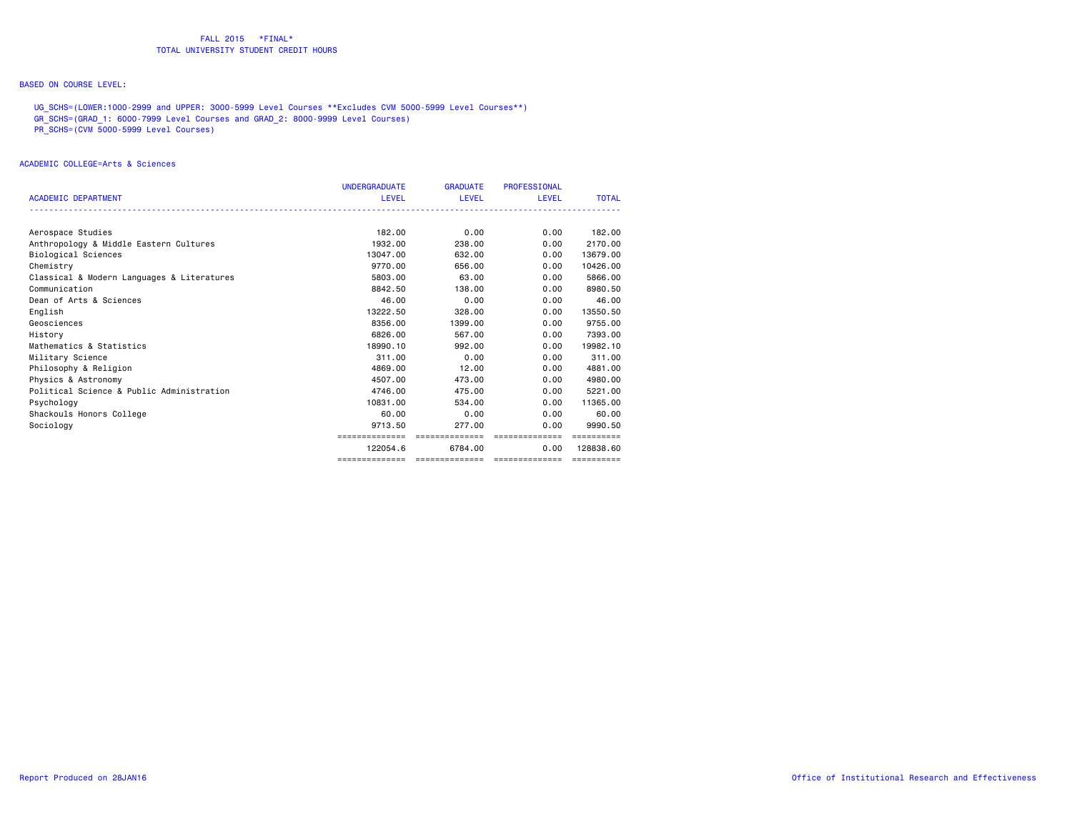# BASED ON COURSE LEVEL:

 UG\_SCHS=(LOWER:1000-2999 and UPPER: 3000-5999 Level Courses \*\*Excludes CVM 5000-5999 Level Courses\*\*) GR\_SCHS=(GRAD\_1: 6000-7999 Level Courses and GRAD\_2: 8000-9999 Level Courses)

PR\_SCHS=(CVM 5000-5999 Level Courses)

#### ACADEMIC COLLEGE=Arts & Sciences

|                                            | <b>UNDERGRADUATE</b> | <b>GRADUATE</b> | <b>PROFESSIONAL</b> |              |
|--------------------------------------------|----------------------|-----------------|---------------------|--------------|
| <b>ACADEMIC DEPARTMENT</b>                 | LEVEL                | LEVEL           | LEVEL               | <b>TOTAL</b> |
|                                            |                      |                 |                     |              |
| Aerospace Studies                          | 182.00               | 0.00            | 0.00                | 182.00       |
| Anthropology & Middle Eastern Cultures     | 1932.00              | 238,00          | 0.00                | 2170.00      |
| Biological Sciences                        | 13047.00             | 632.00          | 0.00                | 13679.00     |
| Chemistry                                  | 9770.00              | 656,00          | 0.00                | 10426.00     |
| Classical & Modern Languages & Literatures | 5803.00              | 63.00           | 0.00                | 5866.00      |
| Communication                              | 8842.50              | 138,00          | 0.00                | 8980.50      |
| Dean of Arts & Sciences                    | 46.00                | 0.00            | 0.00                | 46.00        |
| English                                    | 13222.50             | 328,00          | 0.00                | 13550.50     |
| Geosciences                                | 8356.00              | 1399.00         | 0.00                | 9755.00      |
| History                                    | 6826,00              | 567.00          | 0.00                | 7393.00      |
| Mathematics & Statistics                   | 18990.10             | 992.00          | 0.00                | 19982.10     |
| Military Science                           | 311.00               | 0.00            | 0.00                | 311.00       |
| Philosophy & Religion                      | 4869,00              | 12.00           | 0.00                | 4881.00      |
| Physics & Astronomy                        | 4507.00              | 473.00          | 0.00                | 4980.00      |
| Political Science & Public Administration  | 4746.00              | 475.00          | 0.00                | 5221.00      |
| Psychology                                 | 10831.00             | 534.00          | 0.00                | 11365,00     |
| Shackouls Honors College                   | 60.00                | 0.00            | 0.00                | 60.00        |
| Sociology                                  | 9713.50              | 277.00          | 0.00                | 9990.50      |
|                                            | ==============       | ==============  | ---------------     | ==========   |
|                                            | 122054.6             | 6784.00         | 0.00                | 128838.60    |
|                                            |                      |                 |                     | ==========   |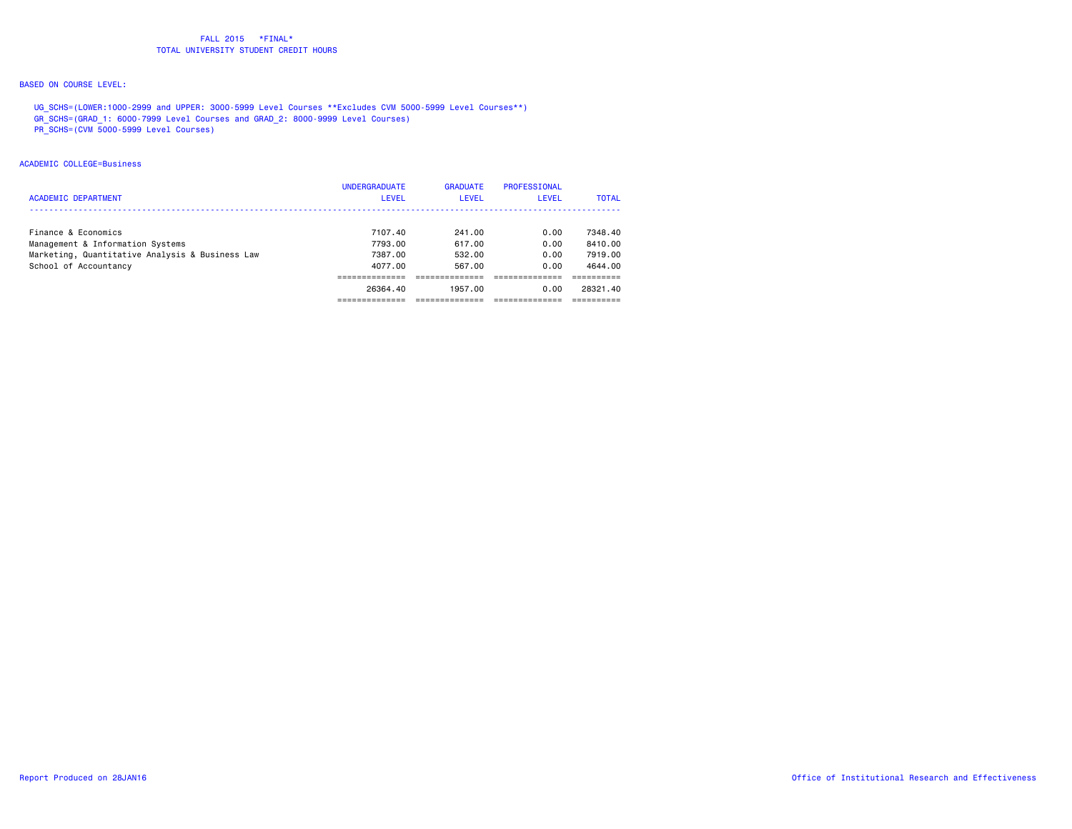# BASED ON COURSE LEVEL:

 UG\_SCHS=(LOWER:1000-2999 and UPPER: 3000-5999 Level Courses \*\*Excludes CVM 5000-5999 Level Courses\*\*) GR\_SCHS=(GRAD\_1: 6000-7999 Level Courses and GRAD\_2: 8000-9999 Level Courses)

PR\_SCHS=(CVM 5000-5999 Level Courses)

#### ACADEMIC COLLEGE=Business

| <b>ACADEMIC DEPARTMENT</b>                                                          | <b>UNDERGRADUATE</b><br><b>LEVEL</b> | <b>GRADUATE</b><br>LEVEL | <b>PROFESSIONAL</b><br>LEVEL | <b>TOTAL</b>       |
|-------------------------------------------------------------------------------------|--------------------------------------|--------------------------|------------------------------|--------------------|
| Finance & Economics                                                                 | 7107.40                              | 241.00                   | 0.00                         | 7348.40            |
| Management & Information Systems<br>Marketing, Quantitative Analysis & Business Law | 7793.00<br>7387.00                   | 617.00<br>532.00         | 0.00<br>0.00                 | 8410.00<br>7919.00 |
| School of Accountancy                                                               | 4077.00                              | 567.00                   | 0.00                         | 4644.00            |
|                                                                                     | 26364.40                             | 1957.00                  | 0.00                         | 28321.40           |
|                                                                                     |                                      |                          |                              |                    |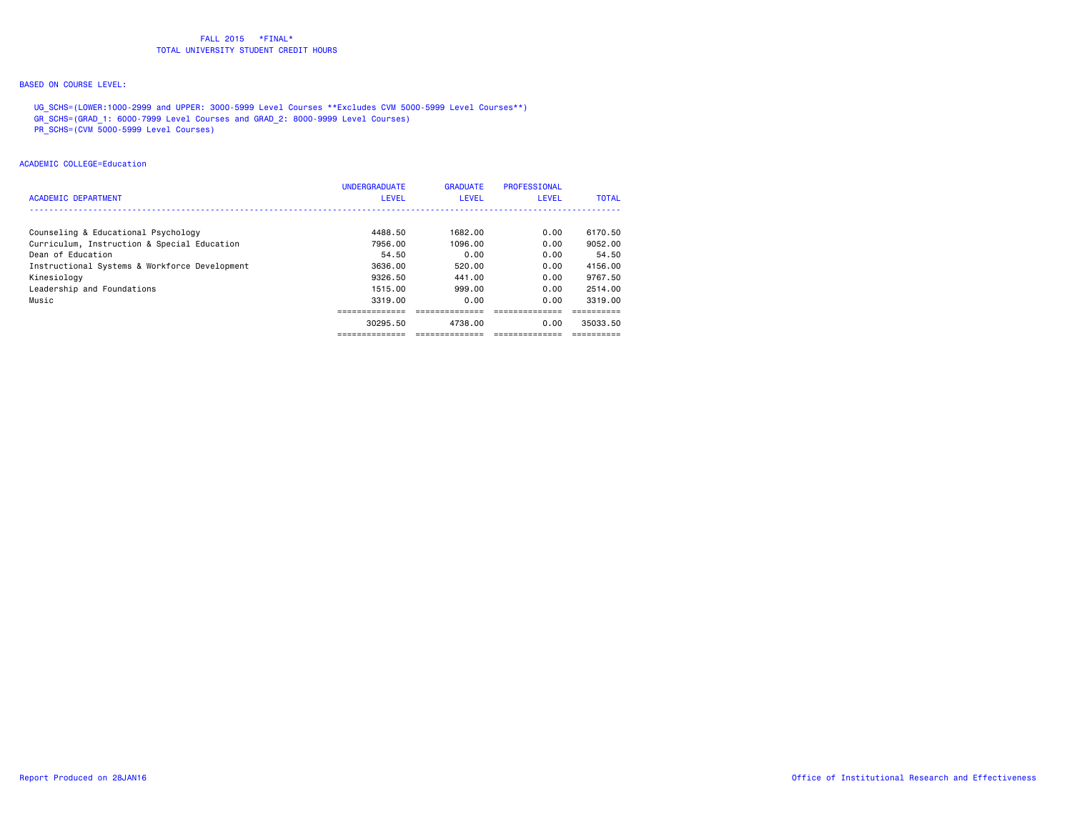# BASED ON COURSE LEVEL:

 UG\_SCHS=(LOWER:1000-2999 and UPPER: 3000-5999 Level Courses \*\*Excludes CVM 5000-5999 Level Courses\*\*) GR\_SCHS=(GRAD\_1: 6000-7999 Level Courses and GRAD\_2: 8000-9999 Level Courses)

PR\_SCHS=(CVM 5000-5999 Level Courses)

#### ACADEMIC COLLEGE=Education

| <b>ACADEMIC DEPARTMENT</b>                    | <b>UNDERGRADUATE</b><br><b>LEVEL</b> | <b>GRADUATE</b><br>LEVEL | <b>PROFESSIONAL</b><br><b>LEVEL</b> | <b>TOTAL</b> |
|-----------------------------------------------|--------------------------------------|--------------------------|-------------------------------------|--------------|
| Counseling & Educational Psychology           | 4488.50                              | 1682.00                  | 0.00                                | 6170.50      |
| Curriculum, Instruction & Special Education   | 7956.00                              | 1096.00                  | 0.00                                | 9052.00      |
| Dean of Education                             | 54.50                                | 0.00                     | 0.00                                | 54.50        |
| Instructional Systems & Workforce Development | 3636.00                              | 520.00                   | 0.00                                | 4156.00      |
| Kinesiology                                   | 9326.50                              | 441.00                   | 0.00                                | 9767.50      |
| Leadership and Foundations                    | 1515.00                              | 999.00                   | 0.00                                | 2514.00      |
| Music                                         | 3319.00                              | 0.00                     | 0.00                                | 3319.00      |
|                                               |                                      |                          |                                     |              |
|                                               | 30295.50                             | 4738.00                  | 0.00                                | 35033.50     |
|                                               | --------------                       | -------------            | --------------                      |              |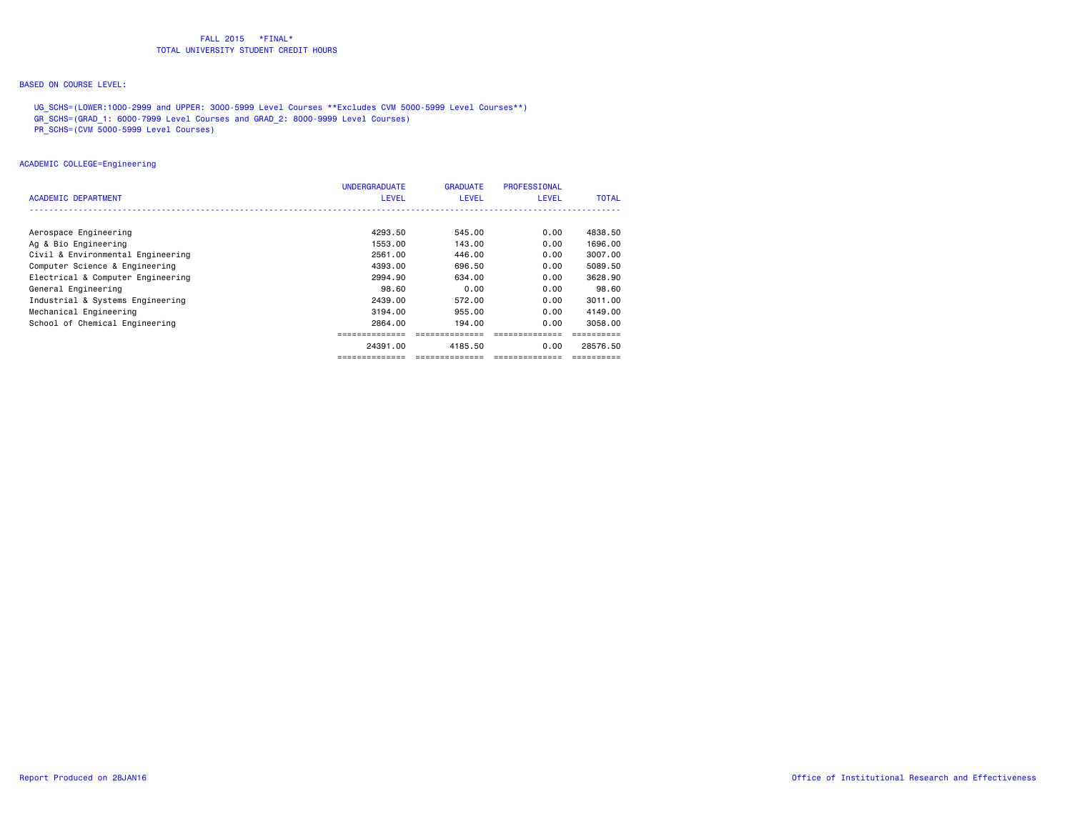# BASED ON COURSE LEVEL:

 UG\_SCHS=(LOWER:1000-2999 and UPPER: 3000-5999 Level Courses \*\*Excludes CVM 5000-5999 Level Courses\*\*) GR\_SCHS=(GRAD\_1: 6000-7999 Level Courses and GRAD\_2: 8000-9999 Level Courses)

PR\_SCHS=(CVM 5000-5999 Level Courses)

## ACADEMIC COLLEGE=Engineering

| ACADEMIC DEPARTMENT               | <b>UNDERGRADUATE</b><br><b>LEVEL</b> | <b>GRADUATE</b><br><b>LEVEL</b> | <b>PROFESSIONAL</b><br><b>LEVEL</b> | <b>TOTAL</b> |
|-----------------------------------|--------------------------------------|---------------------------------|-------------------------------------|--------------|
|                                   |                                      |                                 |                                     |              |
| Aerospace Engineering             | 4293.50                              | 545.00                          | 0.00                                | 4838.50      |
| Ag & Bio Engineering              | 1553.00                              | 143.00                          | 0.00                                | 1696.00      |
| Civil & Environmental Engineering | 2561.00                              | 446.00                          | 0.00                                | 3007.00      |
| Computer Science & Engineering    | 4393.00                              | 696.50                          | 0.00                                | 5089.50      |
| Electrical & Computer Engineering | 2994.90                              | 634.00                          | 0.00                                | 3628.90      |
| General Engineering               | 98.60                                | 0.00                            | 0.00                                | 98.60        |
| Industrial & Systems Engineering  | 2439.00                              | 572.00                          | 0.00                                | 3011.00      |
| Mechanical Engineering            | 3194.00                              | 955.00                          | 0.00                                | 4149.00      |
| School of Chemical Engineering    | 2864.00                              | 194.00                          | 0.00                                | 3058.00      |
|                                   |                                      |                                 |                                     |              |
|                                   | 24391.00                             | 4185.50                         | 0.00                                | 28576.50     |
|                                   | --------------                       | ==============                  |                                     |              |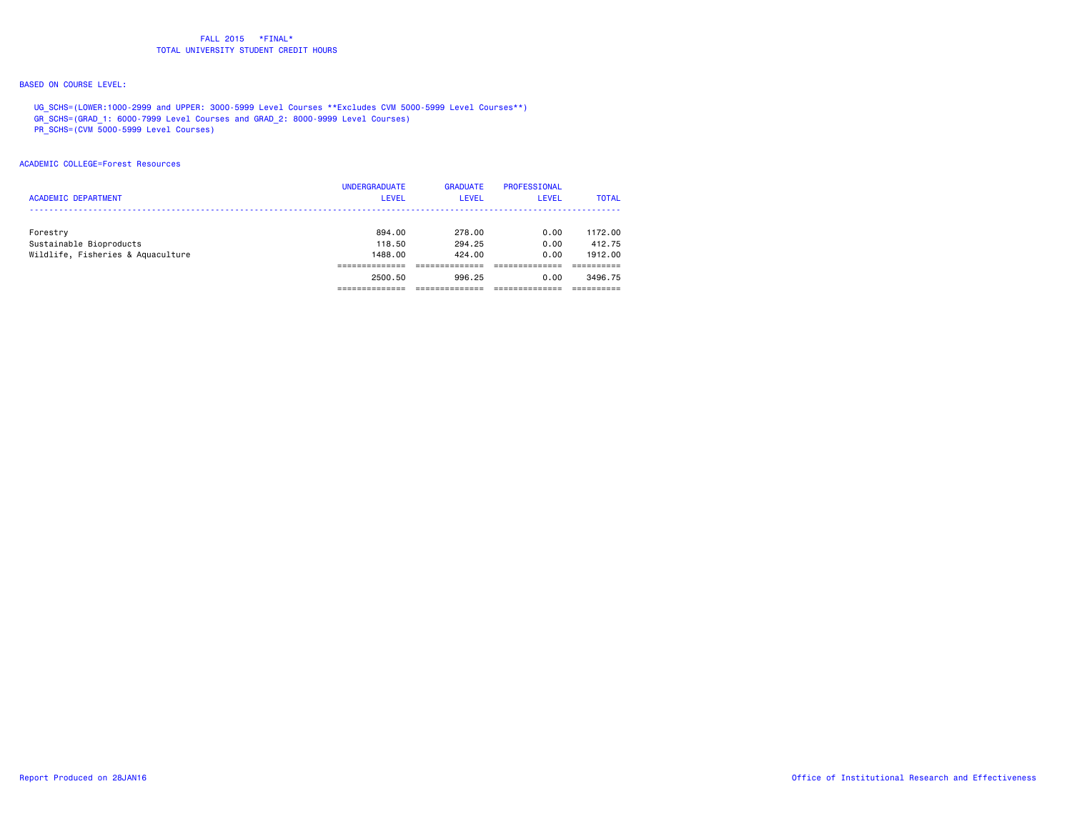# BASED ON COURSE LEVEL:

 UG\_SCHS=(LOWER:1000-2999 and UPPER: 3000-5999 Level Courses \*\*Excludes CVM 5000-5999 Level Courses\*\*) GR\_SCHS=(GRAD\_1: 6000-7999 Level Courses and GRAD\_2: 8000-9999 Level Courses)

PR\_SCHS=(CVM 5000-5999 Level Courses)

#### ACADEMIC COLLEGE=Forest Resources

| <b>ACADEMIC DEPARTMENT</b>          | <b>UNDERGRADUATE</b><br><b>LEVEL</b> | <b>GRADUATE</b><br><b>LEVEL</b> | <b>PROFESSIONAL</b><br>LEVEL | <b>TOTAL</b>      |
|-------------------------------------|--------------------------------------|---------------------------------|------------------------------|-------------------|
| Forestry<br>Sustainable Bioproducts | 894.00<br>118.50                     | 278.00<br>294.25                | 0.00<br>0.00                 | 1172.00<br>412.75 |
| Wildlife, Fisheries & Aquaculture   | 1488.00                              | 424.00                          | 0.00                         | 1912.00           |
|                                     | 2500.50                              | 996.25                          | 0.00                         | 3496.75           |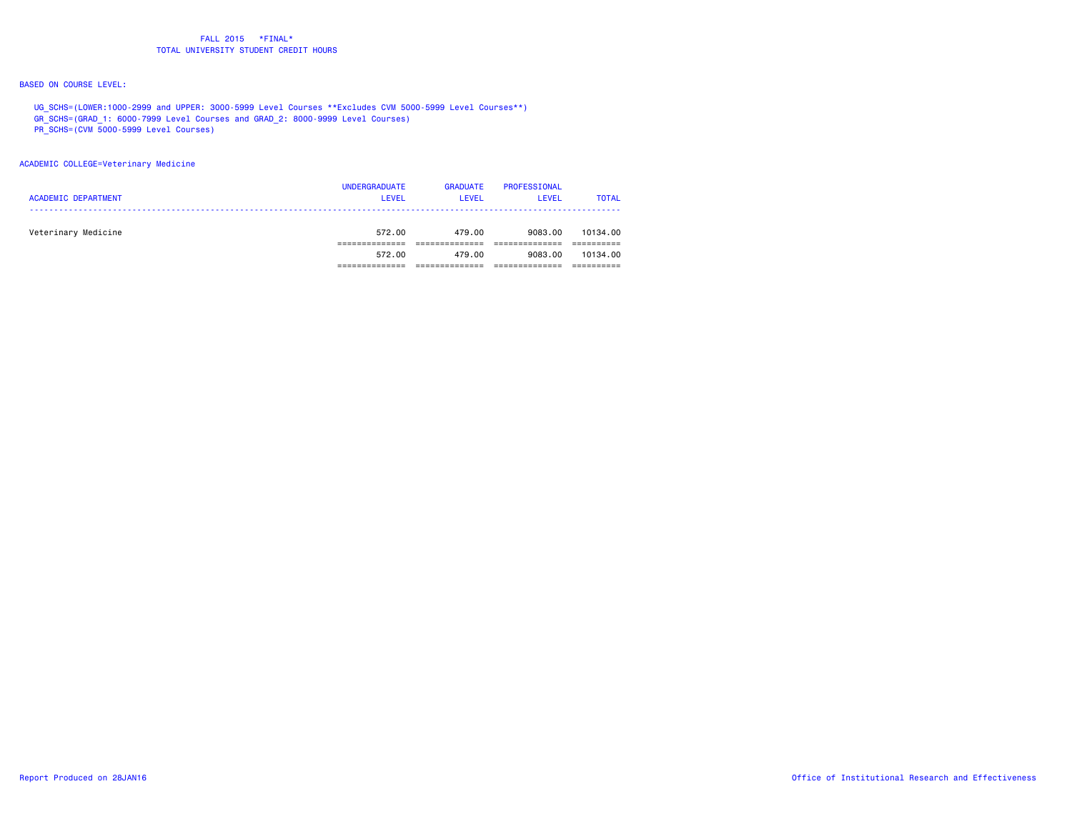# BASED ON COURSE LEVEL:

 UG\_SCHS=(LOWER:1000-2999 and UPPER: 3000-5999 Level Courses \*\*Excludes CVM 5000-5999 Level Courses\*\*) GR\_SCHS=(GRAD\_1: 6000-7999 Level Courses and GRAD\_2: 8000-9999 Level Courses)

- PR\_SCHS=(CVM 5000-5999 Level Courses)
- 

#### ACADEMIC COLLEGE=Veterinary Medicine

| <b>ACADEMIC DEPARTMENT</b> | <b>UNDERGRADUATE</b><br><b>LEVEL</b> | <b>GRADUATE</b><br>LEVEL | PROFESSIONAL<br>LEVEL | <b>TOTAL</b> |
|----------------------------|--------------------------------------|--------------------------|-----------------------|--------------|
| Veterinary Medicine        | 572.00                               | 479.00                   | 9083.00               | 10134.00     |
|                            | 572.00                               | 479.00                   | 9083.00               | 10134.00     |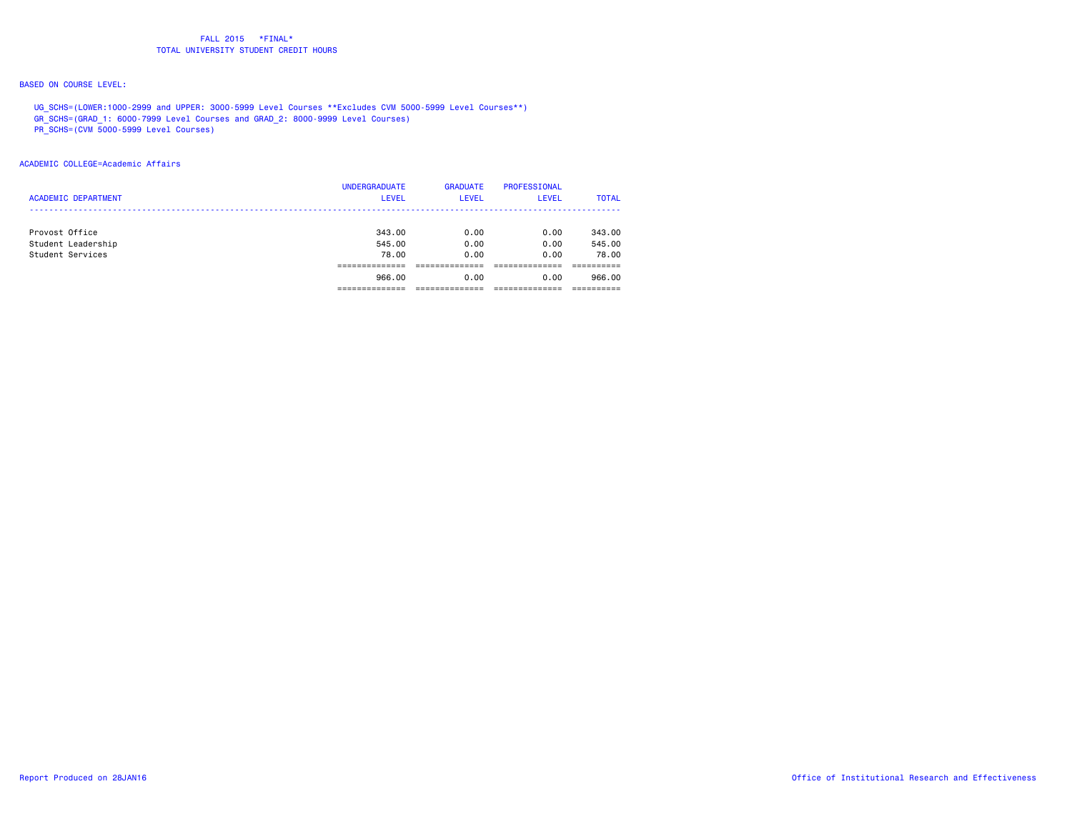# BASED ON COURSE LEVEL:

 UG\_SCHS=(LOWER:1000-2999 and UPPER: 3000-5999 Level Courses \*\*Excludes CVM 5000-5999 Level Courses\*\*) GR\_SCHS=(GRAD\_1: 6000-7999 Level Courses and GRAD\_2: 8000-9999 Level Courses)

PR\_SCHS=(CVM 5000-5999 Level Courses)

#### ACADEMIC COLLEGE=Academic Affairs

| <b>ACADEMIC DEPARTMENT</b> | <b>UNDERGRADUATE</b><br><b>LEVEL</b> | <b>GRADUATE</b><br><b>LEVEL</b> | <b>PROFESSIONAL</b><br>LEVEL | <b>TOTAL</b> |
|----------------------------|--------------------------------------|---------------------------------|------------------------------|--------------|
| Provost Office             | 343.00                               | 0.00                            | 0.00                         | 343,00       |
| Student Leadership         | 545.00                               | 0.00                            | 0.00                         | 545.00       |
| Student Services           | 78.00                                | 0.00                            | 0.00                         | 78.00        |
|                            |                                      |                                 |                              |              |
|                            | 966.00                               | 0.00                            | 0.00                         | 966.00       |
|                            |                                      |                                 |                              |              |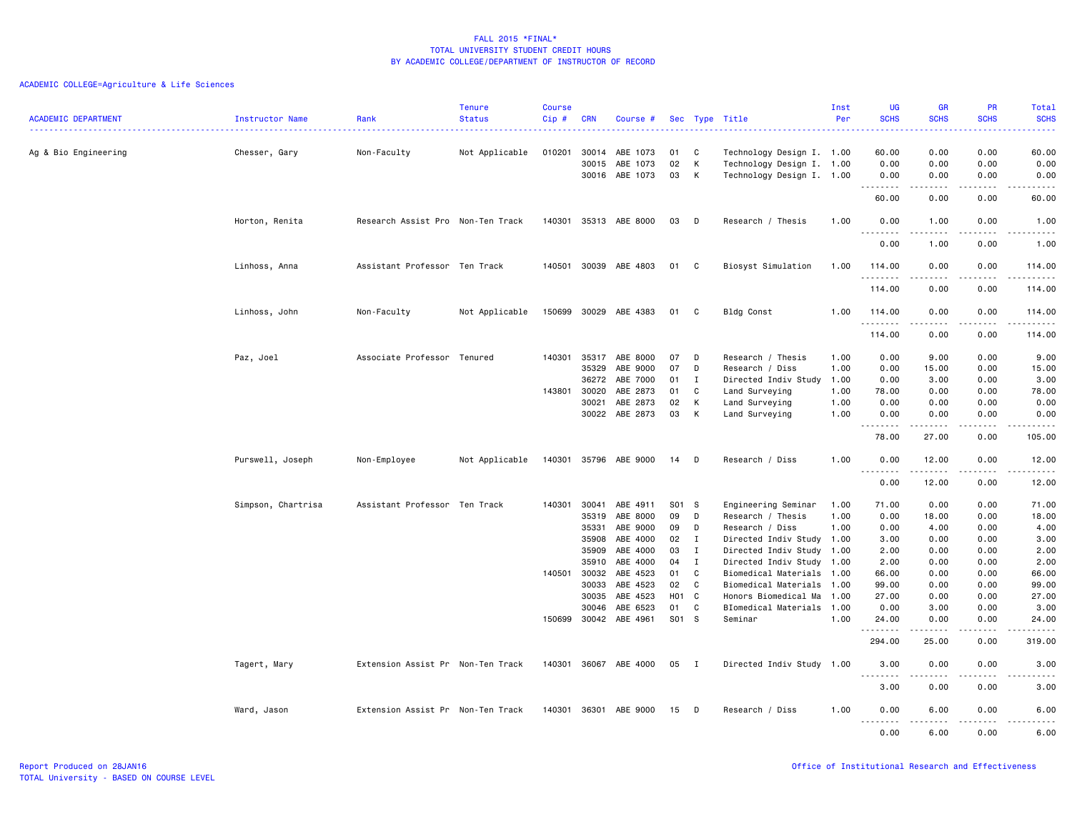|                            |                        |                                   | <b>Tenure</b>  | <b>Course</b> |            |                       |       |              |                           | Inst | UG                                  | <b>GR</b>       | <b>PR</b>                                                                                                                         | Total                                                                                                                                                               |
|----------------------------|------------------------|-----------------------------------|----------------|---------------|------------|-----------------------|-------|--------------|---------------------------|------|-------------------------------------|-----------------|-----------------------------------------------------------------------------------------------------------------------------------|---------------------------------------------------------------------------------------------------------------------------------------------------------------------|
| <b>ACADEMIC DEPARTMENT</b> | <b>Instructor Name</b> | Rank                              | <b>Status</b>  | Cip#          | <b>CRN</b> | Course #              |       |              | Sec Type Title            | Per  | <b>SCHS</b>                         | <b>SCHS</b>     | <b>SCHS</b>                                                                                                                       | <b>SCHS</b><br>$\frac{1}{2} \left( \frac{1}{2} \right) \left( \frac{1}{2} \right) \left( \frac{1}{2} \right) \left( \frac{1}{2} \right) \left( \frac{1}{2} \right)$ |
| Ag & Bio Engineering       | Chesser, Gary          | Non-Faculty                       | Not Applicable | 010201        | 30014      | ABE 1073              | 01    | C            | Technology Design I. 1.00 |      | 60.00                               | 0.00            | 0.00                                                                                                                              | 60.00                                                                                                                                                               |
|                            |                        |                                   |                |               | 30015      | ABE 1073              | 02    | К            | Technology Design I.      | 1.00 | 0.00                                | 0.00            | 0.00                                                                                                                              | 0.00                                                                                                                                                                |
|                            |                        |                                   |                |               |            | 30016 ABE 1073        | 03    | К            | Technology Design I. 1.00 |      | 0.00<br>. <b>.</b>                  | 0.00<br>.       | 0.00<br>.                                                                                                                         | 0.00<br>$- - - - -$                                                                                                                                                 |
|                            |                        |                                   |                |               |            |                       |       |              |                           |      | 60.00                               | 0.00            | 0.00                                                                                                                              | 60.00                                                                                                                                                               |
|                            | Horton, Renita         | Research Assist Pro Non-Ten Track |                | 140301        |            | 35313 ABE 8000        | 03    | D            | Research / Thesis         | 1.00 | 0.00<br>$\sim$ $\sim$               | 1.00            | 0.00                                                                                                                              | 1.00                                                                                                                                                                |
|                            |                        |                                   |                |               |            |                       |       |              |                           |      | 0.00                                | 1.00            | 0.00                                                                                                                              | 1.00                                                                                                                                                                |
|                            | Linhoss, Anna          | Assistant Professor Ten Track     |                | 140501        |            | 30039 ABE 4803        | 01 C  |              | Biosyst Simulation        | 1.00 | 114.00<br>.                         | 0.00<br>.       | 0.00<br>.                                                                                                                         | 114.00<br><u>.</u>                                                                                                                                                  |
|                            |                        |                                   |                |               |            |                       |       |              |                           |      | 114.00                              | 0.00            | 0.00                                                                                                                              | 114.00                                                                                                                                                              |
|                            | Linhoss, John          | Non-Faculty                       | Not Applicable | 150699        |            | 30029 ABE 4383        | 01    | C            | Bldg Const                | 1.00 | 114.00<br>.                         | 0.00            | 0.00<br>$\frac{1}{2} \left( \frac{1}{2} \right) \left( \frac{1}{2} \right) \left( \frac{1}{2} \right) \left( \frac{1}{2} \right)$ | 114.00<br>.                                                                                                                                                         |
|                            |                        |                                   |                |               |            |                       |       |              |                           |      | 114.00                              | 0.00            | 0.00                                                                                                                              | 114.00                                                                                                                                                              |
|                            | Paz, Joel              | Associate Professor Tenured       |                | 140301        | 35317      | ABE 8000              | 07    | D            | Research / Thesis         | 1.00 | 0.00                                | 9.00            | 0.00                                                                                                                              | 9.00                                                                                                                                                                |
|                            |                        |                                   |                |               | 35329      | ABE 9000              | 07    | D            | Research / Diss           | 1.00 | 0.00                                | 15.00           | 0.00                                                                                                                              | 15.00                                                                                                                                                               |
|                            |                        |                                   |                |               | 36272      | ABE 7000              | 01    | $\mathbf{I}$ | Directed Indiv Study      | 1.00 | 0.00                                | 3.00            | 0.00                                                                                                                              | 3.00                                                                                                                                                                |
|                            |                        |                                   |                | 143801        | 30020      | ABE 2873              | 01    | C            | Land Surveying            | 1.00 | 78.00                               | 0.00            | 0.00                                                                                                                              | 78.00                                                                                                                                                               |
|                            |                        |                                   |                |               | 30021      | ABE 2873              | 02    | К            | Land Surveying            | 1.00 | 0.00                                | 0.00            | 0.00                                                                                                                              | 0.00                                                                                                                                                                |
|                            |                        |                                   |                |               |            | 30022 ABE 2873        | 03    | К            | Land Surveying            | 1.00 | 0.00<br>$\sim$ $\sim$ $\sim$ $\sim$ | 0.00            | 0.00<br>$\sim$ $\sim$ $\sim$ $\sim$                                                                                               | 0.00<br>$\sim$ $\sim$ $\sim$ $\sim$ $\sim$                                                                                                                          |
|                            |                        |                                   |                |               |            |                       |       |              |                           |      | 78.00                               | 27.00           | 0.00                                                                                                                              | 105.00                                                                                                                                                              |
|                            | Purswell, Joseph       | Non-Employee                      | Not Applicable |               |            | 140301 35796 ABE 9000 | 14    | D            | Research / Diss           | 1.00 | 0.00<br>.                           | 12.00<br>.      | 0.00<br>$\frac{1}{2}$                                                                                                             | 12.00<br>د د د د د                                                                                                                                                  |
|                            |                        |                                   |                |               |            |                       |       |              |                           |      | 0.00                                | 12.00           | 0.00                                                                                                                              | 12.00                                                                                                                                                               |
|                            | Simpson, Chartrisa     | Assistant Professor Ten Track     |                | 140301        | 30041      | ABE 4911              | S01 S |              | Engineering Seminar       | 1.00 | 71.00                               | 0.00            | 0.00                                                                                                                              | 71.00                                                                                                                                                               |
|                            |                        |                                   |                |               | 35319      | ABE 8000              | 09    | D            | Research / Thesis         | 1.00 | 0.00                                | 18.00           | 0.00                                                                                                                              | 18.00                                                                                                                                                               |
|                            |                        |                                   |                |               | 35331      | ABE 9000              | 09    | D            | Research / Diss           | 1.00 | 0.00                                | 4.00            | 0.00                                                                                                                              | 4.00                                                                                                                                                                |
|                            |                        |                                   |                |               | 35908      | ABE 4000              | 02    | $\mathbf{I}$ | Directed Indiv Study 1.00 |      | 3.00                                | 0.00            | 0.00                                                                                                                              | 3.00                                                                                                                                                                |
|                            |                        |                                   |                |               | 35909      | ABE 4000              | 03    | $\mathbf{I}$ | Directed Indiv Study      | 1.00 | 2.00                                | 0.00            | 0.00                                                                                                                              | 2.00                                                                                                                                                                |
|                            |                        |                                   |                |               | 35910      | ABE 4000              | 04    | $\mathbf{I}$ | Directed Indiv Study 1.00 |      | 2.00                                | 0.00            | 0.00                                                                                                                              | 2.00                                                                                                                                                                |
|                            |                        |                                   |                | 140501 30032  |            | ABE 4523              | 01    | C            | Biomedical Materials 1.00 |      | 66.00                               | 0.00            | 0.00                                                                                                                              | 66.00                                                                                                                                                               |
|                            |                        |                                   |                |               | 30033      | ABE 4523              | 02    | C            | Biomedical Materials      | 1.00 | 99.00                               | 0.00            | 0.00                                                                                                                              | 99.00                                                                                                                                                               |
|                            |                        |                                   |                |               | 30035      | ABE 4523              | H01 C |              | Honors Biomedical Ma      | 1.00 | 27.00                               | 0.00            | 0.00                                                                                                                              | 27.00                                                                                                                                                               |
|                            |                        |                                   |                |               | 30046      | ABE 6523              | 01    | $\mathbf c$  | BIomedical Materials      | 1.00 | 0.00                                | 3.00            | 0.00                                                                                                                              | 3.00                                                                                                                                                                |
|                            |                        |                                   |                | 150699        | 30042      | ABE 4961              | S01 S |              | Seminar                   | 1.00 | 24.00<br>.                          | 0.00            | 0.00                                                                                                                              | 24.00<br>.                                                                                                                                                          |
|                            |                        |                                   |                |               |            |                       |       |              |                           |      | 294.00                              | 25.00           | 0.00                                                                                                                              | 319.00                                                                                                                                                              |
|                            | Tagert, Mary           | Extension Assist Pr Non-Ten Track |                | 140301        |            | 36067 ABE 4000        | 05    | I            | Directed Indiv Study 1.00 |      | 3.00<br>.                           | 0.00            | 0.00<br>$- - -$                                                                                                                   | 3.00<br>.                                                                                                                                                           |
|                            |                        |                                   |                |               |            |                       |       |              |                           |      | 3.00                                | 0.00            | 0.00                                                                                                                              | 3.00                                                                                                                                                                |
|                            | Ward, Jason            | Extension Assist Pr Non-Ten Track |                | 140301        |            | 36301 ABE 9000        | 15    | D            | Research / Diss           | 1.00 | 0.00<br>.<br>$\sim$ $\sim$ $\sim$   | 6.00<br>$- - -$ | 0.00<br>$\frac{1}{2}$                                                                                                             | 6.00<br>.                                                                                                                                                           |
|                            |                        |                                   |                |               |            |                       |       |              |                           |      | 0.00                                | 6.00            | 0.00                                                                                                                              | 6.00                                                                                                                                                                |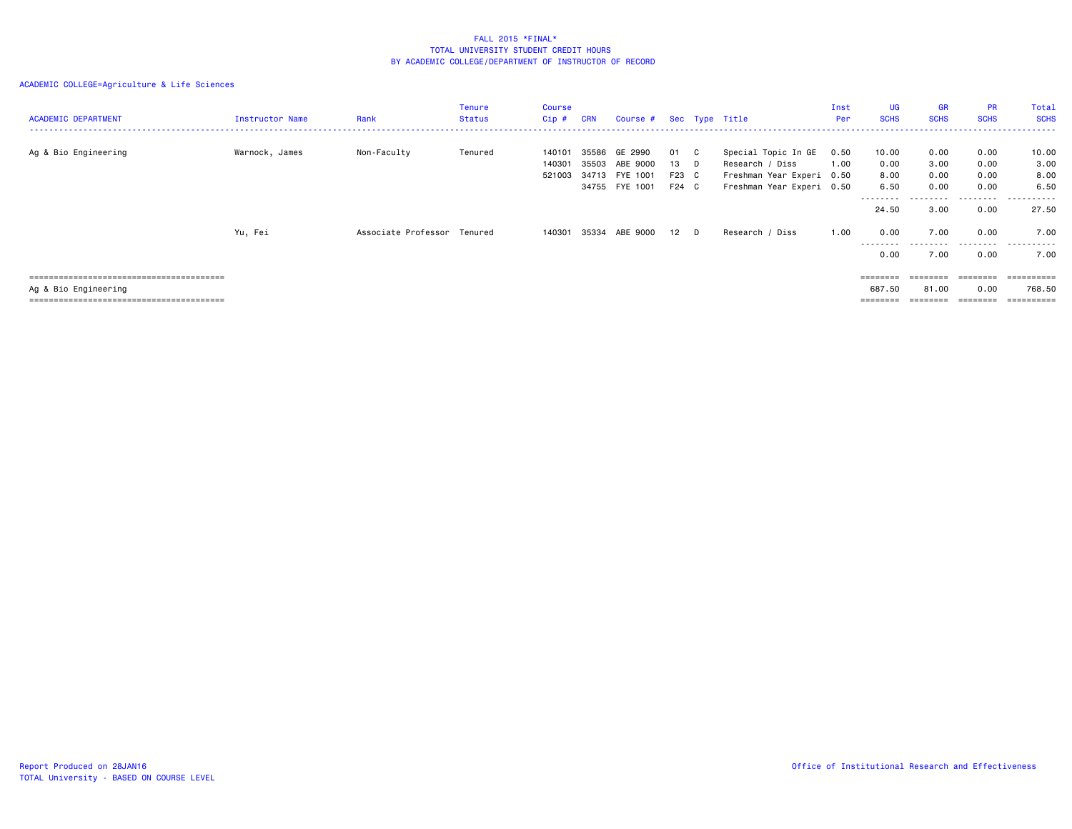| <b>ACADEMIC DEPARTMENT</b> | Instructor Name | Rank                | Tenure<br><b>Status</b> | <b>Course</b><br>$Cip$ #   | <b>CRN</b>     | Course # Sec Type Title               |                     |              |                                                                     | Inst<br>Per  | UG<br><b>SCHS</b>                                                       | GR<br><b>SCHS</b>    | PR<br><b>SCHS</b>    | Total<br><b>SCHS</b>  |
|----------------------------|-----------------|---------------------|-------------------------|----------------------------|----------------|---------------------------------------|---------------------|--------------|---------------------------------------------------------------------|--------------|-------------------------------------------------------------------------|----------------------|----------------------|-----------------------|
| Ag & Bio Engineering       | Warnock, James  | Non-Faculty         | Tenured                 | 140101<br>140301<br>521003 | 35586<br>35503 | GE 2990<br>ABE 9000<br>34713 FYE 1001 | 01<br>13 D<br>F23 C | $\mathbf{C}$ | Special Topic In GE<br>Research / Diss<br>Freshman Year Experi 0.50 | 0.50<br>1.00 | 10.00<br>0.00<br>8.00                                                   | 0.00<br>3.00<br>0.00 | 0.00<br>0.00<br>0.00 | 10.00<br>3.00<br>8.00 |
|                            |                 |                     |                         |                            |                | 34755 FYE 1001                        | F24 C               |              | Freshman Year Experi 0.50                                           |              | 6.50<br>---------                                                       | 0.00<br>.            | 0.00<br>.            | 6.50<br>.             |
|                            |                 |                     |                         |                            |                |                                       |                     |              |                                                                     |              | 24.50                                                                   | 3.00                 | 0.00                 | 27.50                 |
|                            | Yu, Fei         | Associate Professor | Tenured                 | 140301                     | 35334          | ABE 9000                              | $12$ D              |              | Research / Diss                                                     | 1.00         | 0.00<br>---------                                                       | 7.00                 | 0.00<br>---------    | 7.00<br>.             |
|                            |                 |                     |                         |                            |                |                                       |                     |              |                                                                     |              | 0.00                                                                    | 7.00                 | 0.00                 | 7.00                  |
|                            |                 |                     |                         |                            |                |                                       |                     |              |                                                                     |              | $\qquad \qquad \equiv \equiv \equiv \equiv \equiv \equiv \equiv \equiv$ | --------             | --------             | ==========            |
| Ag & Bio Engineering       |                 |                     |                         |                            |                |                                       |                     |              |                                                                     |              | 687.50                                                                  | 81.00                | 0.00                 | 768.50<br>=========   |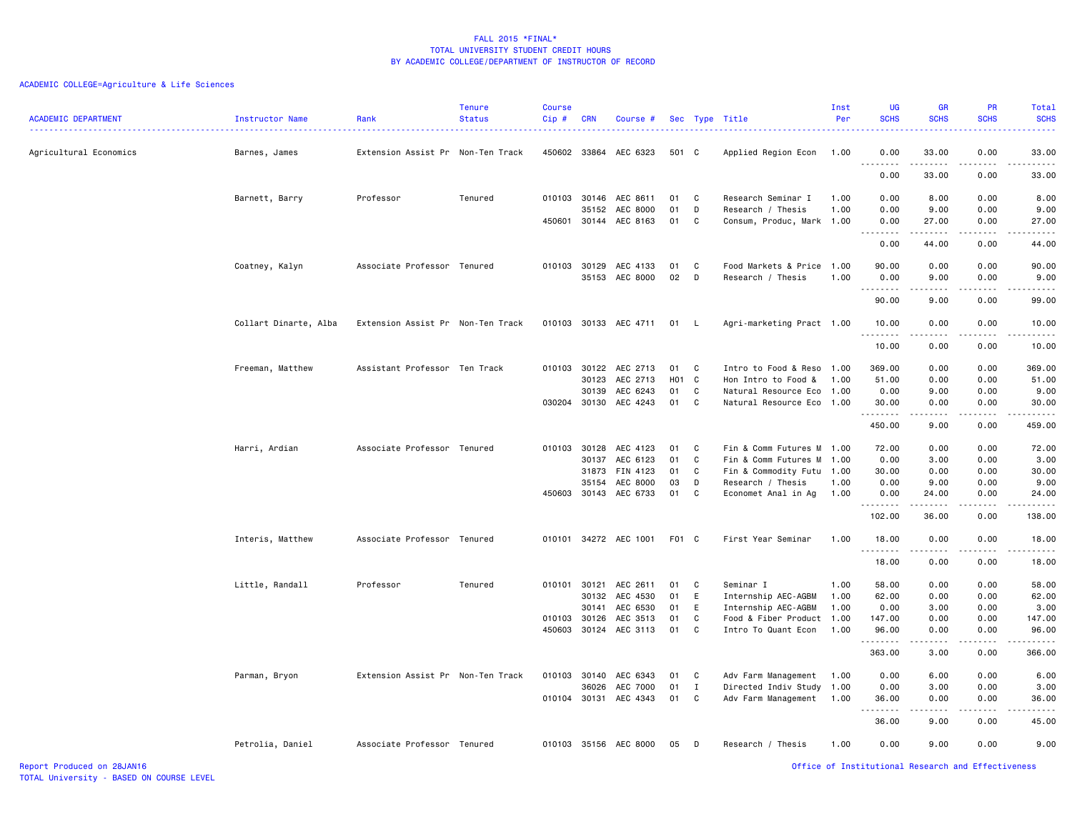# ACADEMIC COLLEGE=Agriculture & Life Sciences

| <b>ACADEMIC DEPARTMENT</b> | Instructor Name<br><u>.</u> | Rank                              | <b>Tenure</b><br><b>Status</b> | <b>Course</b><br>Cip# | <b>CRN</b>            | Course #                   |                  |              | Sec Type Title                                         | Inst<br>Per  | <b>UG</b><br><b>SCHS</b> | GR<br><b>SCHS</b>                                                                                                                                            | <b>PR</b><br><b>SCHS</b> | Total<br><b>SCHS</b><br>. |
|----------------------------|-----------------------------|-----------------------------------|--------------------------------|-----------------------|-----------------------|----------------------------|------------------|--------------|--------------------------------------------------------|--------------|--------------------------|--------------------------------------------------------------------------------------------------------------------------------------------------------------|--------------------------|---------------------------|
| Agricultural Economics     | Barnes, James               | Extension Assist Pr Non-Ten Track |                                |                       |                       | 450602 33864 AEC 6323      | 501 C            |              | Applied Region Econ                                    | 1.00         | 0.00<br>-----            | 33.00                                                                                                                                                        | 0.00                     | 33.00<br>.                |
|                            |                             |                                   |                                |                       |                       |                            |                  |              |                                                        |              | 0.00                     | 33.00                                                                                                                                                        | 0.00                     | 33.00                     |
|                            | Barnett, Barry              | Professor                         | Tenured                        |                       | 010103 30146          | AEC 8611                   | 01               | C            | Research Seminar I                                     | 1.00         | 0.00                     | 8.00                                                                                                                                                         | 0.00                     | 8.00                      |
|                            |                             |                                   |                                | 450601                | 35152<br>30144        | AEC 8000<br>AEC 8163       | 01<br>01         | D<br>C       | Research / Thesis<br>Consum, Produc, Mark 1.00         | 1.00         | 0.00<br>0.00             | 9.00<br>27.00                                                                                                                                                | 0.00<br>0.00             | 9.00<br>27.00             |
|                            |                             |                                   |                                |                       |                       |                            |                  |              |                                                        |              | <u>.</u><br>0.00         | .<br>44.00                                                                                                                                                   | .<br>0.00                | .<br>44.00                |
|                            |                             |                                   |                                |                       |                       |                            |                  |              |                                                        |              |                          |                                                                                                                                                              |                          |                           |
|                            | Coatney, Kalyn              | Associate Professor Tenured       |                                | 010103                | 30129                 | AEC 4133<br>35153 AEC 8000 | 01<br>02         | C<br>D       | Food Markets & Price<br>Research / Thesis              | 1.00<br>1.00 | 90.00<br>0.00            | 0.00<br>9.00                                                                                                                                                 | 0.00<br>0.00             | 90.00<br>9.00             |
|                            |                             |                                   |                                |                       |                       |                            |                  |              |                                                        |              | .                        | 22222                                                                                                                                                        | .                        | .                         |
|                            |                             |                                   |                                |                       |                       |                            |                  |              |                                                        |              | 90.00                    | 9.00                                                                                                                                                         | 0.00                     | 99.00                     |
|                            | Collart Dinarte, Alba       | Extension Assist Pr Non-Ten Track |                                |                       |                       | 010103 30133 AEC 4711      | 01 L             |              | Agri-marketing Pract 1.00                              |              | 10.00<br>.               | 0.00<br>.                                                                                                                                                    | 0.00<br>$  -$            | 10.00<br>$   -$           |
|                            |                             |                                   |                                |                       |                       |                            |                  |              |                                                        |              | 10.00                    | 0.00                                                                                                                                                         | 0.00                     | 10.00                     |
|                            | Freeman, Matthew            | Assistant Professor Ten Track     |                                |                       | 010103 30122          | AEC 2713                   | 01               | C            | Intro to Food & Reso 1.00                              |              | 369.00                   | 0.00                                                                                                                                                         | 0.00                     | 369.00                    |
|                            |                             |                                   |                                |                       | 30123                 | AEC 2713                   | H <sub>0</sub> 1 | $\mathbf{C}$ | Hon Intro to Food &                                    | 1.00         | 51.00                    | 0.00                                                                                                                                                         | 0.00                     | 51.00                     |
|                            |                             |                                   |                                |                       | 30139<br>030204 30130 | AEC 6243<br>AEC 4243       | 01<br>01         | C<br>C       | Natural Resource Eco 1.00<br>Natural Resource Eco 1.00 |              | 0.00<br>30.00            | 9.00<br>0.00                                                                                                                                                 | 0.00<br>0.00             | 9.00<br>30.00             |
|                            |                             |                                   |                                |                       |                       |                            |                  |              |                                                        |              | .                        | 22222                                                                                                                                                        | د د د د                  | .                         |
|                            |                             |                                   |                                |                       |                       |                            |                  |              |                                                        |              | 450.00                   | 9.00                                                                                                                                                         | 0.00                     | 459.00                    |
|                            | Harri, Ardian               | Associate Professor Tenured       |                                |                       |                       | 010103 30128 AEC 4123      | 01               | C            | Fin & Comm Futures M 1.00                              |              | 72.00                    | 0.00                                                                                                                                                         | 0.00                     | 72.00                     |
|                            |                             |                                   |                                |                       | 30137<br>31873        | AEC 6123<br>FIN 4123       | 01<br>01         | C<br>C       | Fin & Comm Futures M 1.00<br>Fin & Commodity Futu 1.00 |              | 0.00<br>30.00            | 3.00<br>0.00                                                                                                                                                 | 0.00<br>0.00             | 3.00<br>30.00             |
|                            |                             |                                   |                                |                       | 35154                 | AEC 8000                   | 03               | D            | Research / Thesis                                      | 1.00         | 0.00                     | 9.00                                                                                                                                                         | 0.00                     | 9.00                      |
|                            |                             |                                   |                                |                       |                       | 450603 30143 AEC 6733      | 01               | C            | Economet Anal in Ag                                    | 1.00         | 0.00                     | 24.00                                                                                                                                                        | 0.00                     | 24.00                     |
|                            |                             |                                   |                                |                       |                       |                            |                  |              |                                                        |              | .<br>102.00              | .<br>36.00                                                                                                                                                   | -----<br>0.00            | .<br>138.00               |
|                            | Interis, Matthew            | Associate Professor Tenured       |                                |                       |                       | 010101 34272 AEC 1001      | F01 C            |              | First Year Seminar                                     | 1.00         | 18.00                    | 0.00                                                                                                                                                         | 0.00                     | 18.00                     |
|                            |                             |                                   |                                |                       |                       |                            |                  |              |                                                        |              | .<br>18.00               | <u>.</u><br>0.00                                                                                                                                             | .<br>0.00                | .<br>18.00                |
|                            | Little, Randall             | Professor                         | Tenured                        | 010101                | 30121                 | AEC 2611                   | 01               | C            | Seminar I                                              | 1.00         | 58.00                    | 0.00                                                                                                                                                         | 0.00                     | 58.00                     |
|                            |                             |                                   |                                |                       | 30132                 | AEC 4530                   | 01               | E            | Internship AEC-AGBM                                    | 1.00         | 62.00                    | 0.00                                                                                                                                                         | 0.00                     | 62.00                     |
|                            |                             |                                   |                                |                       | 30141                 | AEC 6530                   | 01               | E            | Internship AEC-AGBM                                    | 1.00         | 0.00                     | 3.00                                                                                                                                                         | 0.00                     | 3.00                      |
|                            |                             |                                   |                                | 450603                | 010103 30126<br>30124 | AEC 3513<br>AEC 3113       | 01<br>01         | C<br>C       | Food & Fiber Product 1.00<br>Intro To Quant Econ       | 1.00         | 147.00<br>96.00          | 0.00<br>0.00                                                                                                                                                 | 0.00<br>0.00             | 147.00<br>96.00           |
|                            |                             |                                   |                                |                       |                       |                            |                  |              |                                                        |              | .                        | -----                                                                                                                                                        | .                        | ------                    |
|                            |                             |                                   |                                |                       |                       |                            |                  |              |                                                        |              | 363.00                   | 3.00                                                                                                                                                         | 0.00                     | 366.00                    |
|                            | Parman, Bryon               | Extension Assist Pr Non-Ten Track |                                | 010103                | 30140                 | AEC 6343                   | 01               | C            | Adv Farm Management 1.00                               |              | 0.00                     | 6.00                                                                                                                                                         | 0.00                     | 6.00                      |
|                            |                             |                                   |                                |                       | 36026                 | AEC 7000                   | 01               | I            | Directed Indiv Study 1.00                              |              | 0.00                     | 3.00                                                                                                                                                         | 0.00                     | 3.00                      |
|                            |                             |                                   |                                |                       | 010104 30131          | AEC 4343                   | 01               | C            | Adv Farm Management                                    | 1.00         | 36.00<br><u>.</u>        | 0.00<br>$\frac{1}{2} \left( \frac{1}{2} \right) \left( \frac{1}{2} \right) \left( \frac{1}{2} \right) \left( \frac{1}{2} \right) \left( \frac{1}{2} \right)$ | 0.00<br>.                | 36.00<br>.                |
|                            |                             |                                   |                                |                       |                       |                            |                  |              |                                                        |              | 36.00                    | 9.00                                                                                                                                                         | 0.00                     | 45.00                     |
|                            | Petrolia, Daniel            | Associate Professor Tenured       |                                |                       |                       | 010103 35156 AEC 8000      | 05               | D            | Research / Thesis                                      | 1.00         | 0.00                     | 9.00                                                                                                                                                         | 0.00                     | 9.00                      |

Report Produced on 28JAN16 Office of Institutional Research and Effectiveness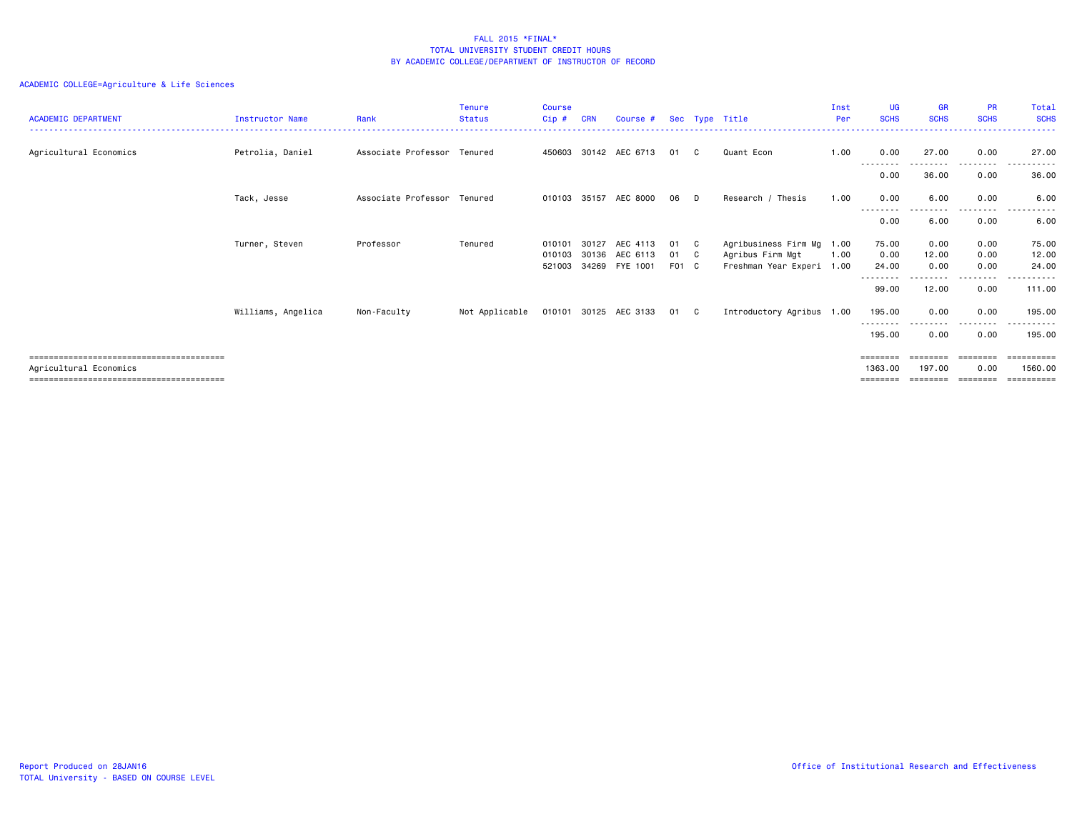| <b>ACADEMIC DEPARTMENT</b> | Instructor Name    | Rank                        | <b>Tenure</b><br><b>Status</b> | <b>Course</b><br>Cip# | <b>CRN</b> | Course #                         |             |     | Sec Type Title                                | Inst<br>Per | <b>UG</b><br><b>SCHS</b> | <b>GR</b><br><b>SCHS</b> | <b>PR</b><br><b>SCHS</b>     | Total<br><b>SCHS</b>                |
|----------------------------|--------------------|-----------------------------|--------------------------------|-----------------------|------------|----------------------------------|-------------|-----|-----------------------------------------------|-------------|--------------------------|--------------------------|------------------------------|-------------------------------------|
| Agricultural Economics     | Petrolia, Daniel   | Associate Professor Tenured |                                |                       |            | 450603 30142 AEC 6713            | 01          | C.  | Quant Econ                                    | 1.00        | 0.00<br>--------         | 27.00                    | 0.00<br>-----                | 27,00                               |
|                            |                    |                             |                                |                       |            |                                  |             |     |                                               |             | 0.00                     | 36.00                    | 0.00                         | 36.00                               |
|                            | Tack, Jesse        | Associate Professor Tenured |                                |                       |            | 010103 35157 AEC 8000            | 06          | D   | Research / Thesis                             | 1.00        | 0.00                     | 6.00                     | 0.00                         | 6.00<br>.                           |
|                            |                    |                             |                                |                       |            |                                  |             |     |                                               |             | ---------<br>0.00        | ---------<br>6.00        | .<br>0.00                    | 6.00                                |
|                            | Turner, Steven     | Professor                   | Tenured                        | 010101                | 30127      | AEC 4113                         | 01          | - C | Agribusiness Firm Mg 1.00                     |             | 75.00                    | 0.00                     | 0.00                         | 75.00                               |
|                            |                    |                             |                                | 010103<br>521003      |            | 30136 AEC 6113<br>34269 FYE 1001 | 01<br>F01 C | - C | Agribus Firm Mgt<br>Freshman Year Experi 1.00 | 1.00        | 0.00<br>24.00            | 12.00<br>0.00            | 0.00<br>0.00                 | 12.00<br>24.00                      |
|                            |                    |                             |                                |                       |            |                                  |             |     |                                               |             | 99.00                    | 12.00                    | 0.00                         | ------<br>111.00                    |
|                            | Williams, Angelica | Non-Faculty                 | Not Applicable                 | 010101                |            | 30125 AEC 3133                   | 01 C        |     | Introductory Agribus 1.00                     |             | 195.00                   | 0.00                     | 0.00                         | 195.00                              |
|                            |                    |                             |                                |                       |            |                                  |             |     |                                               |             | --------<br>195,00       | 0.00                     | --------<br>0.00             | ----------<br>195.00                |
| Agricultural Economics     |                    |                             |                                |                       |            |                                  |             |     |                                               |             | 1363,00<br>========      | ========<br>197.00       | ========<br>0.00<br>======== | ==========<br>1560.00<br>========== |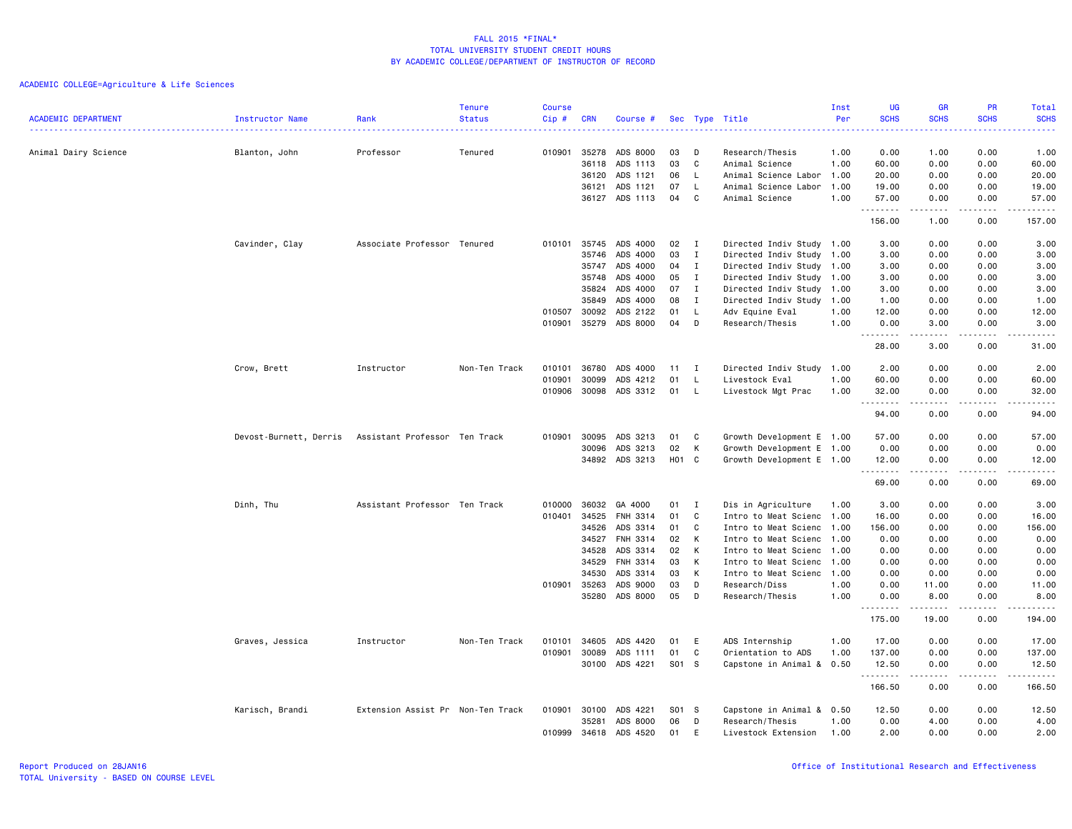| <b>ACADEMIC DEPARTMENT</b> | Instructor Name        | Rank                              | <b>Tenure</b><br><b>Status</b> | <b>Course</b><br>Cip# | <b>CRN</b>     | Course #             |              |              | Sec Type Title                                         | Inst<br>Per | UG<br><b>SCHS</b>                   | <b>GR</b><br><b>SCHS</b>                                                                                                                                     | PR<br><b>SCHS</b>                     | Total<br><b>SCHS</b>          |
|----------------------------|------------------------|-----------------------------------|--------------------------------|-----------------------|----------------|----------------------|--------------|--------------|--------------------------------------------------------|-------------|-------------------------------------|--------------------------------------------------------------------------------------------------------------------------------------------------------------|---------------------------------------|-------------------------------|
| Animal Dairy Science       | Blanton, John          | ------------------<br>Professor   | Tenured                        | 010901                | 35278          | ADS 8000             | 03           | D            | Research/Thesis                                        | .<br>1.00   | $\sim$ $\sim$ $\sim$ $\sim$<br>0.00 | 1.00                                                                                                                                                         | <b><i><u><u>.</u></u></i></b><br>0.00 | <b>.</b><br>1.00              |
|                            |                        |                                   |                                |                       | 36118          | ADS 1113             | 03           | C            | Animal Science                                         | 1.00        | 60.00                               | 0.00                                                                                                                                                         | 0.00                                  | 60.00                         |
|                            |                        |                                   |                                |                       | 36120          | ADS 1121             | 06           | L            | Animal Science Labor                                   | 1.00        | 20.00                               | 0.00                                                                                                                                                         | 0.00                                  | 20.00                         |
|                            |                        |                                   |                                |                       | 36121          | ADS 1121             | 07           | <b>L</b>     | Animal Science Labor                                   | 1.00        | 19.00                               | 0.00                                                                                                                                                         | 0.00                                  | 19.00                         |
|                            |                        |                                   |                                |                       | 36127          | ADS 1113             | 04           | C.           | Animal Science                                         | 1.00        | 57.00                               | 0.00                                                                                                                                                         | 0.00                                  | 57.00<br>.                    |
|                            |                        |                                   |                                |                       |                |                      |              |              |                                                        |             | .<br>156.00                         | -----<br>1.00                                                                                                                                                | .<br>0.00                             | 157.00                        |
|                            | Cavinder, Clay         | Associate Professor Tenured       |                                | 010101                | 35745          | ADS 4000             | 02           | $\mathbf{I}$ | Directed Indiv Study 1.00                              |             | 3.00                                | 0.00                                                                                                                                                         | 0.00                                  | 3.00                          |
|                            |                        |                                   |                                |                       | 35746          | ADS 4000             | 03           | I            | Directed Indiv Study 1.00                              |             | 3.00                                | 0.00                                                                                                                                                         | 0.00                                  | 3.00                          |
|                            |                        |                                   |                                |                       | 35747          | ADS 4000             | 04           | I            | Directed Indiv Study 1.00                              |             | 3.00                                | 0.00                                                                                                                                                         | 0.00                                  | 3.00                          |
|                            |                        |                                   |                                |                       | 35748          | ADS 4000             | 05           | $\mathbf{I}$ | Directed Indiv Study 1.00                              |             | 3.00                                | 0.00                                                                                                                                                         | 0.00                                  | 3.00                          |
|                            |                        |                                   |                                |                       | 35824          | ADS 4000             | 07           | I            | Directed Indiv Study 1.00                              |             | 3.00                                | 0.00                                                                                                                                                         | 0.00                                  | 3.00                          |
|                            |                        |                                   |                                |                       | 35849          | ADS 4000             | 08           | $\mathbf I$  | Directed Indiv Study 1.00                              |             | 1.00                                | 0.00                                                                                                                                                         | 0.00                                  | 1.00                          |
|                            |                        |                                   |                                | 010507                | 30092          | ADS 2122             | 01           | L            | Adv Equine Eval                                        | 1.00        | 12.00                               | 0.00                                                                                                                                                         | 0.00                                  | 12.00                         |
|                            |                        |                                   |                                | 010901                | 35279          | ADS 8000             | 04           | D            | Research/Thesis                                        | 1.00        | 0.00<br>.                           | 3.00<br>.                                                                                                                                                    | 0.00<br>.                             | 3.00<br>$\omega$ is a set of  |
|                            |                        |                                   |                                |                       |                |                      |              |              |                                                        |             | 28.00                               | 3.00                                                                                                                                                         | 0.00                                  | 31.00                         |
|                            | Crow, Brett            | Instructor                        | Non-Ten Track                  | 010101                | 36780          | ADS 4000             | $11 \quad I$ |              | Directed Indiv Study 1.00                              |             | 2.00                                | 0.00                                                                                                                                                         | 0.00                                  | 2.00                          |
|                            |                        |                                   |                                | 010901                | 30099          | ADS 4212             | 01           | L            | Livestock Eval                                         | 1.00        | 60.00                               | 0.00                                                                                                                                                         | 0.00                                  | 60.00                         |
|                            |                        |                                   |                                | 010906                | 30098          | ADS 3312             | 01           | L            | Livestock Mgt Prac                                     | 1.00        | 32.00<br>.                          | 0.00<br>$\frac{1}{2} \left( \frac{1}{2} \right) \left( \frac{1}{2} \right) \left( \frac{1}{2} \right) \left( \frac{1}{2} \right) \left( \frac{1}{2} \right)$ | 0.00<br>.                             | 32.00<br>.                    |
|                            |                        |                                   |                                |                       |                |                      |              |              |                                                        |             | 94.00                               | 0.00                                                                                                                                                         | 0.00                                  | 94.00                         |
|                            | Devost-Burnett, Derris | Assistant Professor Ten Track     |                                | 010901                | 30095          | ADS 3213             | 01           | C            | Growth Development E 1.00                              |             | 57.00                               | 0.00                                                                                                                                                         | 0.00                                  | 57.00                         |
|                            |                        |                                   |                                |                       | 30096          | ADS 3213             | 02           | к            | Growth Development E 1.00                              |             | 0.00                                | 0.00                                                                                                                                                         | 0.00                                  | 0.00                          |
|                            |                        |                                   |                                |                       | 34892          | ADS 3213             | H01          | $\mathbf{C}$ | Growth Development E 1.00                              |             | 12.00<br>.                          | 0.00<br>.                                                                                                                                                    | 0.00<br>.                             | 12.00<br>$\omega$ is a set of |
|                            |                        |                                   |                                |                       |                |                      |              |              |                                                        |             | 69.00                               | 0.00                                                                                                                                                         | 0.00                                  | 69.00                         |
|                            | Dinh, Thu              | Assistant Professor Ten Track     |                                | 010000                | 36032          | GA 4000              | 01           | I            | Dis in Agriculture                                     | 1.00        | 3.00                                | 0.00                                                                                                                                                         | 0.00                                  | 3.00                          |
|                            |                        |                                   |                                | 010401                | 34525          | FNH 3314             | 01           | C            | Intro to Meat Scienc 1.00                              |             | 16.00                               | 0.00                                                                                                                                                         | 0.00                                  | 16.00                         |
|                            |                        |                                   |                                |                       | 34526          | ADS 3314             | 01           | C            | Intro to Meat Scienc 1.00                              |             | 156.00                              | 0.00                                                                                                                                                         | 0.00                                  | 156.00                        |
|                            |                        |                                   |                                |                       | 34527          | FNH 3314             | 02           | К            | Intro to Meat Scienc 1.00                              |             | 0.00                                | 0.00                                                                                                                                                         | 0.00                                  | 0.00                          |
|                            |                        |                                   |                                |                       | 34528          | ADS 3314<br>FNH 3314 | 02<br>03     | К<br>К       | Intro to Meat Scienc 1.00                              |             | 0.00                                | 0.00                                                                                                                                                         | 0.00                                  | 0.00                          |
|                            |                        |                                   |                                |                       | 34529<br>34530 | ADS 3314             | 03           | K            | Intro to Meat Scienc 1.00<br>Intro to Meat Scienc 1.00 |             | 0.00<br>0.00                        | 0.00<br>0.00                                                                                                                                                 | 0.00<br>0.00                          | 0.00<br>0.00                  |
|                            |                        |                                   |                                | 010901                | 35263          | ADS 9000             | 03           | D            | Research/Diss                                          | 1.00        | 0.00                                | 11.00                                                                                                                                                        | 0.00                                  | 11.00                         |
|                            |                        |                                   |                                |                       | 35280          | ADS 8000             | 05           | D            | Research/Thesis                                        | 1.00        | 0.00                                | 8.00                                                                                                                                                         | 0.00                                  | 8.00                          |
|                            |                        |                                   |                                |                       |                |                      |              |              |                                                        |             | .<br>175.00                         | $- - - - -$<br>19.00                                                                                                                                         | $\frac{1}{2}$<br>0.00                 | .<br>194.00                   |
|                            | Graves, Jessica        | Instructor                        | Non-Ten Track                  | 010101                | 34605          | ADS 4420             | 01           | E            | ADS Internship                                         | 1.00        | 17.00                               | 0.00                                                                                                                                                         | 0.00                                  | 17.00                         |
|                            |                        |                                   |                                | 010901                | 30089          | ADS 1111             | 01           | C            | Orientation to ADS                                     | 1.00        | 137.00                              | 0.00                                                                                                                                                         | 0.00                                  | 137.00                        |
|                            |                        |                                   |                                |                       | 30100          | ADS 4221             | S01 S        |              | Capstone in Animal & 0.50                              |             | 12.50<br>.                          | 0.00                                                                                                                                                         | 0.00                                  | 12.50<br><u>.</u>             |
|                            |                        |                                   |                                |                       |                |                      |              |              |                                                        |             | 166.50                              | 0.00                                                                                                                                                         | 0.00                                  | 166.50                        |
|                            | Karisch, Brandi        | Extension Assist Pr Non-Ten Track |                                | 010901                | 30100          | ADS 4221             | S01 S        |              | Capstone in Animal & 0.50                              |             | 12.50                               | 0.00                                                                                                                                                         | 0.00                                  | 12.50                         |
|                            |                        |                                   |                                |                       | 35281          | ADS 8000             | 06           | D            | Research/Thesis                                        | 1.00        | 0.00                                | 4.00                                                                                                                                                         | 0.00                                  | 4.00                          |
|                            |                        |                                   |                                | 010999                | 34618          | ADS 4520             | 01           | E            | Livestock Extension                                    | 1.00        | 2.00                                | 0.00                                                                                                                                                         | 0.00                                  | 2.00                          |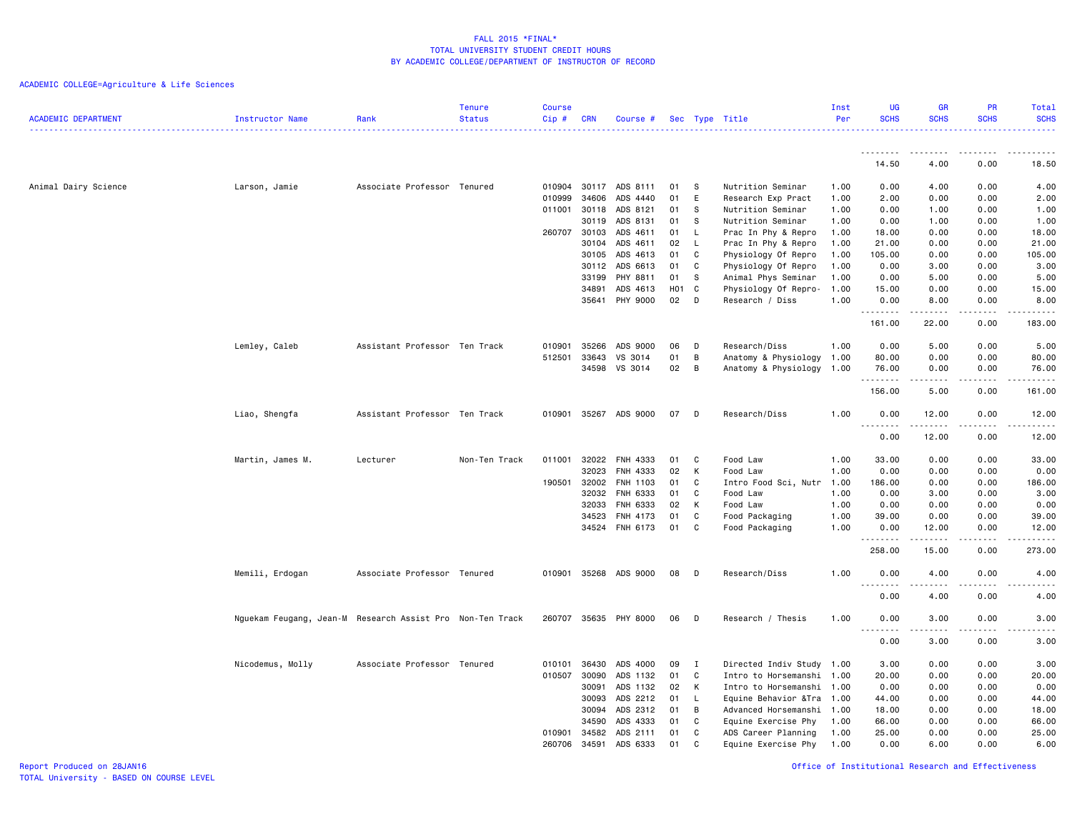ACADEMIC COLLEGE=Agriculture & Life Sciences

| <b>ACADEMIC DEPARTMENT</b> | <b>Instructor Name</b>                                    | Rank                          | Tenure<br><b>Status</b> | <b>Course</b><br>Cip# | <b>CRN</b> | Course #             |          |              | Sec Type Title            | Inst<br>Per  | <b>UG</b><br><b>SCHS</b>                                                                                                                                     | <b>GR</b><br><b>SCHS</b> | PR<br><b>SCHS</b> | <b>Total</b><br><b>SCHS</b><br>.                                                                                                  |
|----------------------------|-----------------------------------------------------------|-------------------------------|-------------------------|-----------------------|------------|----------------------|----------|--------------|---------------------------|--------------|--------------------------------------------------------------------------------------------------------------------------------------------------------------|--------------------------|-------------------|-----------------------------------------------------------------------------------------------------------------------------------|
|                            |                                                           |                               |                         |                       |            |                      |          |              |                           |              | 14.50                                                                                                                                                        | 4.00                     | 0.00              | 18.50                                                                                                                             |
|                            |                                                           |                               |                         |                       |            |                      |          |              |                           |              |                                                                                                                                                              |                          |                   |                                                                                                                                   |
| Animal Dairy Science       | Larson, Jamie                                             | Associate Professor Tenured   |                         | 010904                | 30117      | ADS 8111             | 01       | - S          | Nutrition Seminar         | 1.00         | 0.00                                                                                                                                                         | 4.00                     | 0.00              | 4.00                                                                                                                              |
|                            |                                                           |                               |                         | 010999                | 34606      | ADS 4440             | 01       | E            | Research Exp Pract        | 1.00         | 2.00                                                                                                                                                         | 0.00                     | 0.00              | 2.00                                                                                                                              |
|                            |                                                           |                               |                         | 011001                | 30118      | ADS 8121             | 01       | s            | Nutrition Seminar         | 1.00         | 0.00                                                                                                                                                         | 1.00                     | 0.00              | 1.00                                                                                                                              |
|                            |                                                           |                               |                         |                       | 30119      | ADS 8131             | 01       | -S           | Nutrition Seminar         | 1.00         | 0.00                                                                                                                                                         | 1.00                     | 0.00              | 1.00                                                                                                                              |
|                            |                                                           |                               |                         | 260707 30103          |            | ADS 4611             | 01       | $\mathsf{L}$ | Prac In Phy & Repro       | 1.00         | 18.00                                                                                                                                                        | 0.00                     | 0.00              | 18.00                                                                                                                             |
|                            |                                                           |                               |                         |                       | 30104      | ADS 4611             | 02       | $\mathsf{L}$ | Prac In Phy & Repro       | 1.00         | 21.00                                                                                                                                                        | 0.00                     | 0.00              | 21.00                                                                                                                             |
|                            |                                                           |                               |                         |                       | 30105      | ADS 4613             | 01       | C            | Physiology Of Repro       | 1.00         | 105.00                                                                                                                                                       | 0.00                     | 0.00              | 105.00                                                                                                                            |
|                            |                                                           |                               |                         |                       | 30112      | ADS 6613             | 01       | C            | Physiology Of Repro       | 1.00         | 0.00                                                                                                                                                         | 3.00                     | 0.00              | 3.00                                                                                                                              |
|                            |                                                           |                               |                         |                       | 33199      | PHY 8811             | 01       | -S           | Animal Phys Seminar       | 1.00         | 0.00                                                                                                                                                         | 5.00                     | 0.00              | 5.00                                                                                                                              |
|                            |                                                           |                               |                         |                       | 34891      | ADS 4613             | H01 C    |              | Physiology Of Repro-      | 1.00         | 15.00                                                                                                                                                        | 0.00                     | 0.00              | 15.00                                                                                                                             |
|                            |                                                           |                               |                         |                       |            | 35641 PHY 9000       | 02       | - D          | Research / Diss           | 1.00         | 0.00<br>.                                                                                                                                                    | 8.00<br>.                | 0.00<br>.         | 8.00<br>-----                                                                                                                     |
|                            |                                                           |                               |                         |                       |            |                      |          |              |                           |              | 161.00                                                                                                                                                       | 22.00                    | 0.00              | 183.00                                                                                                                            |
|                            | Lemley, Caleb                                             | Assistant Professor Ten Track |                         | 010901                | 35266      | ADS 9000             | 06       | D            | Research/Diss             | 1.00         | 0.00                                                                                                                                                         | 5.00                     | 0.00              | 5.00                                                                                                                              |
|                            |                                                           |                               |                         | 512501                | 33643      | VS 3014              | 01       | B            | Anatomy & Physiology      | 1.00         | 80.00                                                                                                                                                        | 0.00                     | 0.00              | 80.00                                                                                                                             |
|                            |                                                           |                               |                         |                       | 34598      | VS 3014              | 02       | B            | Anatomy & Physiology      | 1.00         | 76.00                                                                                                                                                        | 0.00                     | 0.00              | 76.00                                                                                                                             |
|                            |                                                           |                               |                         |                       |            |                      |          |              |                           |              | .                                                                                                                                                            | .                        | .                 | .                                                                                                                                 |
|                            |                                                           |                               |                         |                       |            |                      |          |              |                           |              | 156.00                                                                                                                                                       | 5.00                     | 0.00              | 161.00                                                                                                                            |
|                            | Liao, Shengfa                                             | Assistant Professor Ten Track |                         | 010901                |            | 35267 ADS 9000       | 07       | D            | Research/Diss             | 1.00         | 0.00<br>.                                                                                                                                                    | 12.00<br>.               | 0.00<br>.         | 12.00<br>.                                                                                                                        |
|                            |                                                           |                               |                         |                       |            |                      |          |              |                           |              | 0.00                                                                                                                                                         | 12.00                    | 0.00              | 12.00                                                                                                                             |
|                            |                                                           |                               |                         | 011001                | 32022      |                      |          |              |                           |              | 33.00                                                                                                                                                        | 0.00                     | 0.00              | 33.00                                                                                                                             |
|                            | Martin, James M.                                          | Lecturer                      | Non-Ten Track           |                       | 32023      | FNH 4333<br>FNH 4333 | 01<br>02 | C<br>K       | Food Law<br>Food Law      | 1.00<br>1.00 | 0.00                                                                                                                                                         | 0.00                     | 0.00              | 0.00                                                                                                                              |
|                            |                                                           |                               |                         | 190501                | 32002      | FNH 1103             | 01       | C            | Intro Food Sci, Nutr      | 1.00         | 186.00                                                                                                                                                       | 0.00                     | 0.00              | 186.00                                                                                                                            |
|                            |                                                           |                               |                         |                       | 32032      | FNH 6333             | 01       | C            | Food Law                  | 1.00         | 0.00                                                                                                                                                         | 3.00                     | 0.00              | 3.00                                                                                                                              |
|                            |                                                           |                               |                         |                       | 32033      | <b>FNH 6333</b>      | 02       | К            | Food Law                  | 1.00         | 0.00                                                                                                                                                         | 0.00                     | 0.00              | 0.00                                                                                                                              |
|                            |                                                           |                               |                         |                       | 34523      | FNH 4173             | 01       | C            | Food Packaging            | 1.00         | 39.00                                                                                                                                                        | 0.00                     | 0.00              | 39.00                                                                                                                             |
|                            |                                                           |                               |                         |                       |            | 34524 FNH 6173       | 01       | C            | Food Packaging            | 1.00         | 0.00                                                                                                                                                         | 12.00                    | 0.00              | 12.00                                                                                                                             |
|                            |                                                           |                               |                         |                       |            |                      |          |              |                           |              | .                                                                                                                                                            | . <b>.</b>               | .                 | 2.2.2.2.2.3                                                                                                                       |
|                            |                                                           |                               |                         |                       |            |                      |          |              |                           |              | 258.00                                                                                                                                                       | 15.00                    | 0.00              | 273.00                                                                                                                            |
|                            | Memili, Erdogan                                           | Associate Professor Tenured   |                         | 010901                |            | 35268 ADS 9000       | 08       | $\mathsf{D}$ | Research/Diss             | 1.00         | 0.00<br><u>.</u>                                                                                                                                             | 4.00<br>$\frac{1}{2}$    | 0.00<br>.         | 4.00<br>$\frac{1}{2} \left( \frac{1}{2} \right) \left( \frac{1}{2} \right) \left( \frac{1}{2} \right) \left( \frac{1}{2} \right)$ |
|                            |                                                           |                               |                         |                       |            |                      |          |              |                           |              | 0.00                                                                                                                                                         | 4.00                     | 0.00              | 4.00                                                                                                                              |
|                            | Nguekam Feugang, Jean-M Research Assist Pro Non-Ten Track |                               |                         | 260707                |            | 35635 PHY 8000       | 06       | D            | Research / Thesis         | 1.00         | 0.00<br>$\frac{1}{2} \left( \frac{1}{2} \right) \left( \frac{1}{2} \right) \left( \frac{1}{2} \right) \left( \frac{1}{2} \right) \left( \frac{1}{2} \right)$ | 3.00<br>.                | 0.00<br>.         | 3.00<br>$\frac{1}{2} \left( \frac{1}{2} \right) \left( \frac{1}{2} \right) \left( \frac{1}{2} \right) \left( \frac{1}{2} \right)$ |
|                            |                                                           |                               |                         |                       |            |                      |          |              |                           |              | 0.00                                                                                                                                                         | 3.00                     | 0.00              | 3.00                                                                                                                              |
|                            | Nicodemus, Molly                                          | Associate Professor Tenured   |                         | 010101                | 36430      | ADS 4000             | 09       | I            | Directed Indiv Study 1.00 |              | 3.00                                                                                                                                                         | 0.00                     | 0.00              | 3.00                                                                                                                              |
|                            |                                                           |                               |                         | 010507                | 30090      | ADS 1132             | 01       | C            | Intro to Horsemanshi 1.00 |              | 20.00                                                                                                                                                        | 0.00                     | 0.00              | 20.00                                                                                                                             |
|                            |                                                           |                               |                         |                       | 30091      | ADS 1132             | 02       | K            | Intro to Horsemanshi 1.00 |              | 0.00                                                                                                                                                         | 0.00                     | 0.00              | 0.00                                                                                                                              |
|                            |                                                           |                               |                         |                       | 30093      | ADS 2212             | 01       | $\mathsf{L}$ | Equine Behavior &Tra      | 1.00         | 44.00                                                                                                                                                        | 0.00                     | 0.00              | 44.00                                                                                                                             |
|                            |                                                           |                               |                         |                       | 30094      | ADS 2312             | 01       | B            | Advanced Horsemanshi      | 1.00         | 18.00                                                                                                                                                        | 0.00                     | 0.00              | 18.00                                                                                                                             |
|                            |                                                           |                               |                         |                       | 34590      | ADS 4333             | 01       | C            | Equine Exercise Phy       | 1.00         | 66.00                                                                                                                                                        | 0.00                     | 0.00              | 66.00                                                                                                                             |
|                            |                                                           |                               |                         | 010901                | 34582      | ADS 2111             | 01       | C            | ADS Career Planning       | 1.00         | 25.00                                                                                                                                                        | 0.00                     | 0.00              | 25.00                                                                                                                             |
|                            |                                                           |                               |                         | 260706                | 34591      | ADS 6333             | 01       | C            | Equine Exercise Phy       | 1.00         | 0.00                                                                                                                                                         | 6.00                     | 0.00              | 6.00                                                                                                                              |

Report Produced on 28JAN16 Office of Institutional Research and Effectiveness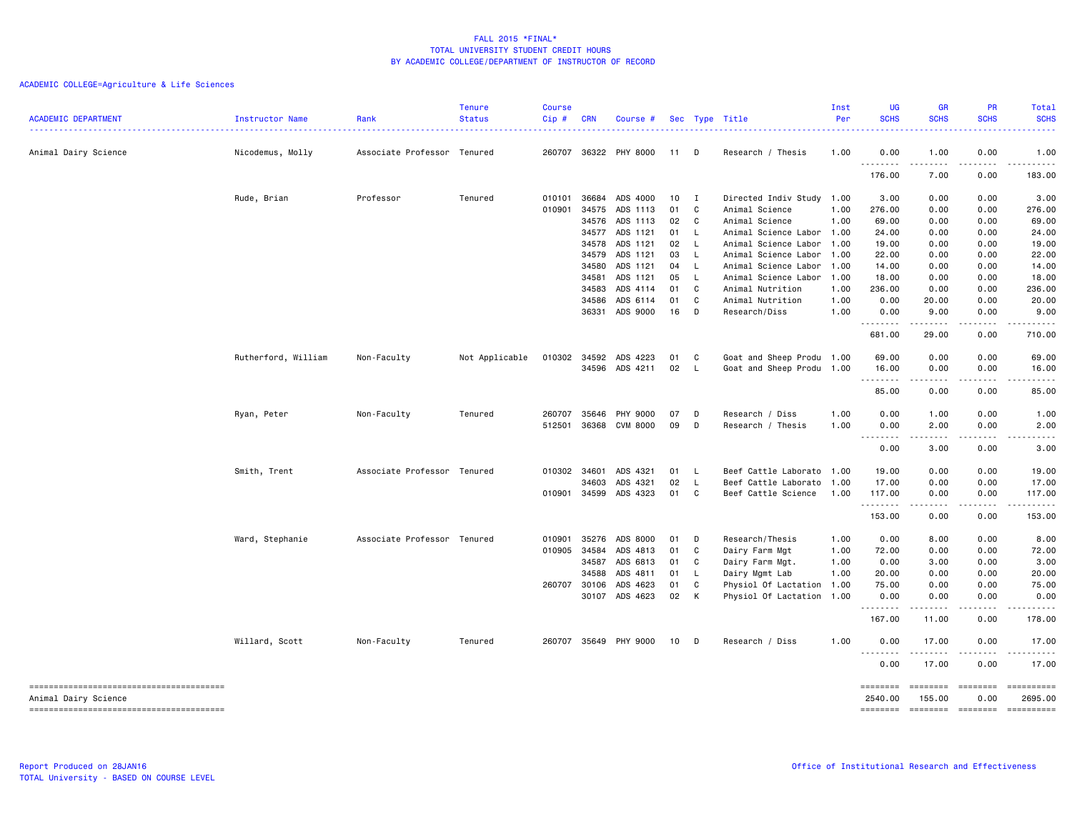| <b>ACADEMIC DEPARTMENT</b> | Instructor Name     | Rank                        | <b>Tenure</b><br><b>Status</b> | <b>Course</b><br>Cip# | <b>CRN</b> | Course #       |      |                | Sec Type Title            | Inst<br>Per | UG<br><b>SCHS</b>  | <b>GR</b><br><b>SCHS</b> | <b>PR</b><br><b>SCHS</b>                                                                                                                                                                | Total<br><b>SCHS</b>                                                                                                                                                                                                                                                                                                                                                                                                                |
|----------------------------|---------------------|-----------------------------|--------------------------------|-----------------------|------------|----------------|------|----------------|---------------------------|-------------|--------------------|--------------------------|-----------------------------------------------------------------------------------------------------------------------------------------------------------------------------------------|-------------------------------------------------------------------------------------------------------------------------------------------------------------------------------------------------------------------------------------------------------------------------------------------------------------------------------------------------------------------------------------------------------------------------------------|
| Animal Dairy Science       | Nicodemus, Molly    | Associate Professor Tenured |                                | 260707                |            | 36322 PHY 8000 | 11 D |                | Research / Thesis         | 1.00        | 0.00<br><u>.</u>   | 1.00<br>د د د د          | 0.00<br>-----                                                                                                                                                                           | 1.00<br>$- - - - -$                                                                                                                                                                                                                                                                                                                                                                                                                 |
|                            |                     |                             |                                |                       |            |                |      |                |                           |             | 176.00             | 7.00                     | 0.00                                                                                                                                                                                    | 183.00                                                                                                                                                                                                                                                                                                                                                                                                                              |
|                            | Rude, Brian         | Professor                   | Tenured                        | 010101                | 36684      | ADS 4000       | 10   | $\mathbf I$    | Directed Indiv Study      | 1.00        | 3.00               | 0.00                     | 0.00                                                                                                                                                                                    | 3.00                                                                                                                                                                                                                                                                                                                                                                                                                                |
|                            |                     |                             |                                | 010901                | 34575      | ADS 1113       | 01   | $\mathbf{C}$   | Animal Science            | 1.00        | 276.00             | 0.00                     | 0.00                                                                                                                                                                                    | 276.00                                                                                                                                                                                                                                                                                                                                                                                                                              |
|                            |                     |                             |                                |                       | 34576      | ADS 1113       | 02   | $\mathbf{C}$   | Animal Science            | 1.00        | 69.00              | 0.00                     | 0.00                                                                                                                                                                                    | 69.00                                                                                                                                                                                                                                                                                                                                                                                                                               |
|                            |                     |                             |                                |                       | 34577      | ADS 1121       | 01   | $\mathsf{L}$   | Animal Science Labor      | 1.00        | 24.00              | 0.00                     | 0.00                                                                                                                                                                                    | 24.00                                                                                                                                                                                                                                                                                                                                                                                                                               |
|                            |                     |                             |                                |                       | 34578      | ADS 1121       | 02   | - L            | Animal Science Labor      | 1.00        | 19.00              | 0.00                     | 0.00                                                                                                                                                                                    | 19.00                                                                                                                                                                                                                                                                                                                                                                                                                               |
|                            |                     |                             |                                |                       | 34579      | ADS 1121       | 03   | $\mathsf{L}$   | Animal Science Labor      | 1.00        | 22.00              | 0.00                     | 0.00                                                                                                                                                                                    | 22.00                                                                                                                                                                                                                                                                                                                                                                                                                               |
|                            |                     |                             |                                |                       | 34580      | ADS 1121       | 04   | - L            | Animal Science Labor      | 1.00        | 14.00              | 0.00                     | 0.00                                                                                                                                                                                    | 14.00                                                                                                                                                                                                                                                                                                                                                                                                                               |
|                            |                     |                             |                                |                       | 34581      | ADS 1121       | 05   | $\mathsf{L}$   | Animal Science Labor      | 1.00        | 18.00              | 0.00                     | 0.00                                                                                                                                                                                    | 18.00                                                                                                                                                                                                                                                                                                                                                                                                                               |
|                            |                     |                             |                                |                       | 34583      | ADS 4114       | 01   | C              | Animal Nutrition          | 1.00        | 236.00             | 0.00                     | 0.00                                                                                                                                                                                    | 236.00                                                                                                                                                                                                                                                                                                                                                                                                                              |
|                            |                     |                             |                                |                       | 34586      | ADS 6114       | 01   | C              | Animal Nutrition          | 1.00        | 0.00               | 20.00                    | 0.00                                                                                                                                                                                    | 20.00                                                                                                                                                                                                                                                                                                                                                                                                                               |
|                            |                     |                             |                                |                       | 36331      | ADS 9000       | 16   | D              | Research/Diss             | 1.00        | 0.00<br>. <b>.</b> | 9.00<br>$- - - - -$      | 0.00<br>.                                                                                                                                                                               | 9.00<br>.                                                                                                                                                                                                                                                                                                                                                                                                                           |
|                            |                     |                             |                                |                       |            |                |      |                |                           |             | 681.00             | 29.00                    | 0.00                                                                                                                                                                                    | 710.00                                                                                                                                                                                                                                                                                                                                                                                                                              |
|                            | Rutherford, William | Non-Faculty                 | Not Applicable                 | 010302                |            | 34592 ADS 4223 | 01   | C              | Goat and Sheep Produ 1.00 |             | 69.00              | 0.00                     | 0.00                                                                                                                                                                                    | 69.00                                                                                                                                                                                                                                                                                                                                                                                                                               |
|                            |                     |                             |                                |                       |            | 34596 ADS 4211 | 02   | L.             | Goat and Sheep Produ 1.00 |             | 16.00              | 0.00                     | 0.00                                                                                                                                                                                    | 16.00                                                                                                                                                                                                                                                                                                                                                                                                                               |
|                            |                     |                             |                                |                       |            |                |      |                |                           |             | .<br>85.00         | المتماما<br>0.00         | $\frac{1}{2} \left( \frac{1}{2} \right) \left( \frac{1}{2} \right) \left( \frac{1}{2} \right) \left( \frac{1}{2} \right) \left( \frac{1}{2} \right) \left( \frac{1}{2} \right)$<br>0.00 | .<br>85.00                                                                                                                                                                                                                                                                                                                                                                                                                          |
|                            |                     |                             |                                |                       |            |                |      |                |                           |             |                    |                          |                                                                                                                                                                                         |                                                                                                                                                                                                                                                                                                                                                                                                                                     |
|                            | Ryan, Peter         | Non-Faculty                 | Tenured                        | 260707                | 35646      | PHY 9000       | 07   | D              | Research / Diss           | 1.00        | 0.00               | 1.00                     | 0.00                                                                                                                                                                                    | 1.00                                                                                                                                                                                                                                                                                                                                                                                                                                |
|                            |                     |                             |                                | 512501                |            | 36368 CVM 8000 | 09   | D              | Research / Thesis         | 1.00        | 0.00<br>.          | 2.00<br>.                | 0.00<br>$\frac{1}{2} \left( \frac{1}{2} \right) \left( \frac{1}{2} \right) \left( \frac{1}{2} \right) \left( \frac{1}{2} \right) \left( \frac{1}{2} \right) \left( \frac{1}{2} \right)$ | 2.00<br>.                                                                                                                                                                                                                                                                                                                                                                                                                           |
|                            |                     |                             |                                |                       |            |                |      |                |                           |             | 0.00               | 3.00                     | 0.00                                                                                                                                                                                    | 3.00                                                                                                                                                                                                                                                                                                                                                                                                                                |
|                            | Smith, Trent        | Associate Professor Tenured |                                | 010302 34601          |            | ADS 4321       | 01   | <b>L</b>       | Beef Cattle Laborato      | 1.00        | 19.00              | 0.00                     | 0.00                                                                                                                                                                                    | 19.00                                                                                                                                                                                                                                                                                                                                                                                                                               |
|                            |                     |                             |                                |                       | 34603      | ADS 4321       | 02   | L              | Beef Cattle Laborato      | 1.00        | 17.00              | 0.00                     | 0.00                                                                                                                                                                                    | 17.00                                                                                                                                                                                                                                                                                                                                                                                                                               |
|                            |                     |                             |                                | 010901                | 34599      | ADS 4323       | 01   | $\mathbf{C}$   | Beef Cattle Science       | 1.00        | 117.00             | 0.00                     | 0.00                                                                                                                                                                                    | 117.00                                                                                                                                                                                                                                                                                                                                                                                                                              |
|                            |                     |                             |                                |                       |            |                |      |                |                           |             | .<br>153.00        | .<br>0.00                | .<br>0.00                                                                                                                                                                               | .<br>153.00                                                                                                                                                                                                                                                                                                                                                                                                                         |
|                            | Ward, Stephanie     | Associate Professor Tenured |                                | 010901                | 35276      | ADS 8000       | 01   | $\mathsf{D}$   | Research/Thesis           | 1.00        | 0.00               | 8.00                     | 0.00                                                                                                                                                                                    | 8.00                                                                                                                                                                                                                                                                                                                                                                                                                                |
|                            |                     |                             |                                | 010905                | 34584      | ADS 4813       | 01   | $\overline{C}$ | Dairy Farm Mgt            | 1.00        | 72.00              | 0.00                     | 0.00                                                                                                                                                                                    | 72.00                                                                                                                                                                                                                                                                                                                                                                                                                               |
|                            |                     |                             |                                |                       | 34587      | ADS 6813       | 01 C |                | Dairy Farm Mgt.           | 1.00        | 0.00               | 3.00                     | 0.00                                                                                                                                                                                    | 3.00                                                                                                                                                                                                                                                                                                                                                                                                                                |
|                            |                     |                             |                                |                       | 34588      | ADS 4811       | 01   | - L            | Dairy Mgmt Lab            | 1.00        | 20.00              | 0.00                     | 0.00                                                                                                                                                                                    | 20.00                                                                                                                                                                                                                                                                                                                                                                                                                               |
|                            |                     |                             |                                | 260707                | 30106      | ADS 4623       | 01   | C              | Physiol Of Lactation      | 1.00        | 75.00              | 0.00                     | 0.00                                                                                                                                                                                    | 75.00                                                                                                                                                                                                                                                                                                                                                                                                                               |
|                            |                     |                             |                                |                       |            | 30107 ADS 4623 | 02   | K              | Physiol Of Lactation 1.00 |             | 0.00               | 0.00                     | 0.00                                                                                                                                                                                    | 0.00                                                                                                                                                                                                                                                                                                                                                                                                                                |
|                            |                     |                             |                                |                       |            |                |      |                |                           |             | <u>.</u><br>167.00 | $- - - - -$<br>11.00     | .<br>0.00                                                                                                                                                                               | $\frac{1}{2} \left( \frac{1}{2} \right) \left( \frac{1}{2} \right) \left( \frac{1}{2} \right) \left( \frac{1}{2} \right) \left( \frac{1}{2} \right)$<br>178.00                                                                                                                                                                                                                                                                      |
|                            | Willard, Scott      | Non-Faculty                 | Tenured                        | 260707                |            | 35649 PHY 9000 | 10   | D              | Research / Diss           | 1.00        | 0.00               | 17.00                    | 0.00                                                                                                                                                                                    | 17.00                                                                                                                                                                                                                                                                                                                                                                                                                               |
|                            |                     |                             |                                |                       |            |                |      |                |                           |             | .<br>0.00          | . <b>.</b><br>17.00      | .<br>0.00                                                                                                                                                                               | .<br>17.00                                                                                                                                                                                                                                                                                                                                                                                                                          |
|                            |                     |                             |                                |                       |            |                |      |                |                           |             |                    |                          | ========                                                                                                                                                                                |                                                                                                                                                                                                                                                                                                                                                                                                                                     |
|                            |                     |                             |                                |                       |            |                |      |                |                           |             | ========           | ========                 |                                                                                                                                                                                         |                                                                                                                                                                                                                                                                                                                                                                                                                                     |
| Animal Dairy Science       |                     |                             |                                |                       |            |                |      |                |                           |             | 2540.00            | 155.00                   | 0.00                                                                                                                                                                                    | 2695.00                                                                                                                                                                                                                                                                                                                                                                                                                             |
|                            |                     |                             |                                |                       |            |                |      |                |                           |             | ========           | ========                 | <b>ESSESSER</b>                                                                                                                                                                         | $\begin{minipage}{0.9\linewidth} \hspace*{-0.2cm} \textbf{1} & \textbf{2} & \textbf{3} & \textbf{5} & \textbf{6} & \textbf{7} & \textbf{8} \\ \textbf{5} & \textbf{6} & \textbf{7} & \textbf{8} & \textbf{8} & \textbf{8} & \textbf{9} & \textbf{1} & \textbf{1} & \textbf{1} \\ \textbf{6} & \textbf{8} & \textbf{8} & \textbf{8} & \textbf{8} & \textbf{8} & \textbf{1} & \textbf{1} & \textbf{1} & \textbf{1} & \textbf{1} \\ \$ |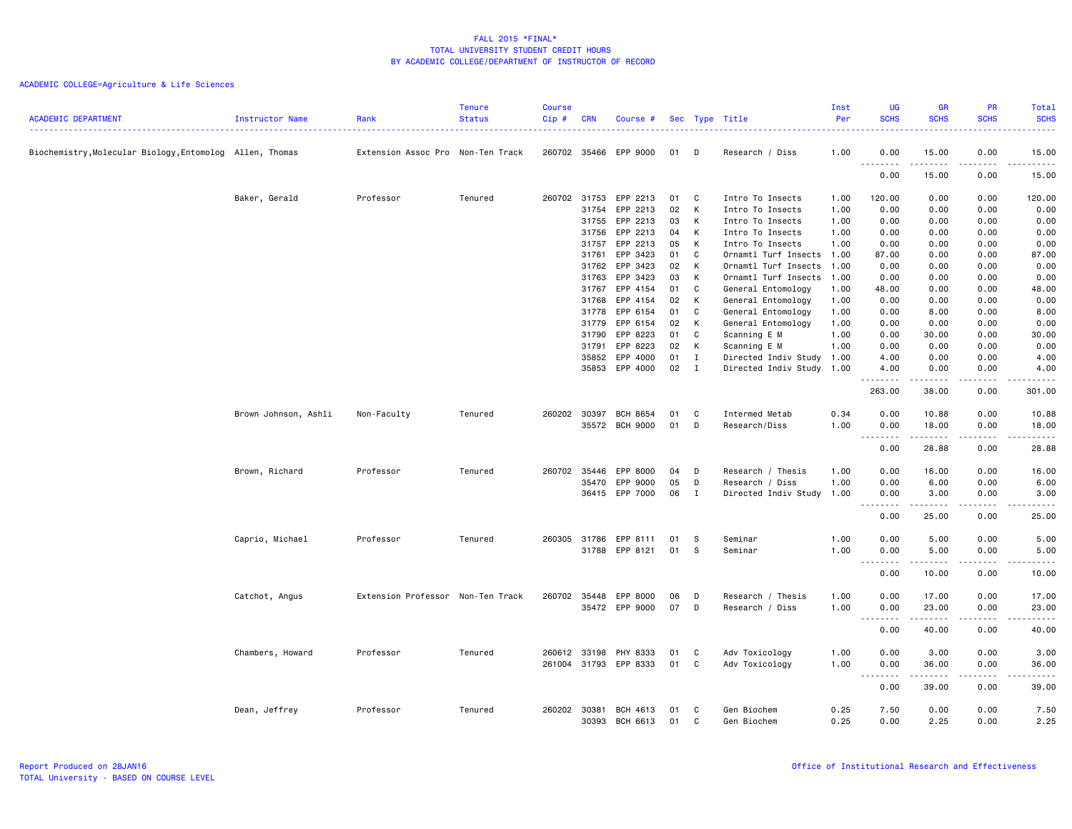|                                                          |                      |                                   | <b>Tenure</b> | <b>Course</b> |            |                 |    |              |                           | Inst | <b>UG</b>                                                   | <b>GR</b>                                                                                                                                                     | <b>PR</b>                           | Total                                                                                                                                    |
|----------------------------------------------------------|----------------------|-----------------------------------|---------------|---------------|------------|-----------------|----|--------------|---------------------------|------|-------------------------------------------------------------|---------------------------------------------------------------------------------------------------------------------------------------------------------------|-------------------------------------|------------------------------------------------------------------------------------------------------------------------------------------|
| <b>ACADEMIC DEPARTMENT</b>                               | Instructor Name      | Rank                              | <b>Status</b> | Cip#          | <b>CRN</b> | Course #        |    |              | Sec Type Title            | Per  | <b>SCHS</b><br>$  -$                                        | <b>SCHS</b>                                                                                                                                                   | <b>SCHS</b>                         | <b>SCHS</b><br>$\frac{1}{2} \left( \frac{1}{2} \right) \left( \frac{1}{2} \right) \left( \frac{1}{2} \right) \left( \frac{1}{2} \right)$ |
| Biochemistry, Molecular Biology, Entomolog Allen, Thomas |                      | Extension Assoc Pro Non-Ten Track |               | 260702 35466  |            | EPP 9000        | 01 | D            | Research / Diss           | 1.00 | 0.00                                                        | 15.00                                                                                                                                                         | 0.00                                | 15.00                                                                                                                                    |
|                                                          |                      |                                   |               |               |            |                 |    |              |                           |      | . <b>.</b><br>0.00                                          | $\frac{1}{2} \left( \frac{1}{2} \right) \left( \frac{1}{2} \right) \left( \frac{1}{2} \right) \left( \frac{1}{2} \right) \left( \frac{1}{2} \right)$<br>15.00 | $\sim$ $\sim$ $\sim$ $\sim$<br>0.00 | .<br>15.00                                                                                                                               |
|                                                          | Baker, Gerald        | Professor                         | Tenured       | 260702 31753  |            | EPP 2213        | 01 | C            | Intro To Insects          | 1.00 | 120.00                                                      | 0.00                                                                                                                                                          | 0.00                                | 120.00                                                                                                                                   |
|                                                          |                      |                                   |               |               | 31754      | EPP 2213        | 02 | K            | Intro To Insects          | 1.00 | 0.00                                                        | 0.00                                                                                                                                                          | 0.00                                | 0.00                                                                                                                                     |
|                                                          |                      |                                   |               |               | 31755      | EPP 2213        | 03 | K            | Intro To Insects          | 1.00 | 0.00                                                        | 0.00                                                                                                                                                          | 0.00                                | 0.00                                                                                                                                     |
|                                                          |                      |                                   |               |               | 31756      | EPP 2213        | 04 | K            | Intro To Insects          | 1.00 | 0.00                                                        | 0.00                                                                                                                                                          | 0.00                                | 0.00                                                                                                                                     |
|                                                          |                      |                                   |               |               | 31757      | EPP 2213        | 05 | K            | Intro To Insects          | 1.00 | 0.00                                                        | 0.00                                                                                                                                                          | 0.00                                | 0.00                                                                                                                                     |
|                                                          |                      |                                   |               |               | 31761      | EPP 3423        | 01 | C            | Ornamtl Turf Insects 1.00 |      | 87.00                                                       | 0.00                                                                                                                                                          | 0.00                                | 87.00                                                                                                                                    |
|                                                          |                      |                                   |               |               | 31762      | EPP 3423        | 02 | K            | Ornamtl Turf Insects      | 1.00 | 0.00                                                        | 0.00                                                                                                                                                          | 0.00                                | 0.00                                                                                                                                     |
|                                                          |                      |                                   |               |               | 31763      | EPP 3423        | 03 | K            | Ornamtl Turf Insects      | 1.00 | 0.00                                                        | 0.00                                                                                                                                                          | 0.00                                | 0.00                                                                                                                                     |
|                                                          |                      |                                   |               |               | 31767      | EPP 4154        | 01 | C            | General Entomology        | 1.00 | 48.00                                                       | 0.00                                                                                                                                                          | 0.00                                | 48.00                                                                                                                                    |
|                                                          |                      |                                   |               |               | 31768      | EPP 4154        | 02 | K            | General Entomology        | 1.00 | 0.00                                                        | 0.00                                                                                                                                                          | 0.00                                | 0.00                                                                                                                                     |
|                                                          |                      |                                   |               |               | 31778      | EPP 6154        | 01 | C            | General Entomology        | 1.00 | 0.00                                                        | 8.00                                                                                                                                                          | 0.00                                | 8.00                                                                                                                                     |
|                                                          |                      |                                   |               |               | 31779      | EPP 6154        | 02 | K            | General Entomology        | 1.00 | 0.00                                                        | 0.00                                                                                                                                                          | 0.00                                | 0.00                                                                                                                                     |
|                                                          |                      |                                   |               |               | 31790      | EPP 8223        | 01 | C            | Scanning E M              | 1.00 | 0.00                                                        | 30.00                                                                                                                                                         | 0.00                                | 30.00                                                                                                                                    |
|                                                          |                      |                                   |               |               | 31791      | EPP 8223        | 02 | K            | Scanning E M              | 1.00 | 0.00                                                        | 0.00                                                                                                                                                          | 0.00                                | 0.00                                                                                                                                     |
|                                                          |                      |                                   |               |               | 35852      | EPP 4000        | 01 | $\mathbf{I}$ | Directed Indiv Study 1.00 |      | 4.00                                                        | 0.00                                                                                                                                                          | 0.00                                | 4.00                                                                                                                                     |
|                                                          |                      |                                   |               |               | 35853      | EPP 4000        | 02 | $\mathbf{I}$ | Directed Indiv Study 1.00 |      | 4.00                                                        | 0.00                                                                                                                                                          | 0.00                                | 4.00                                                                                                                                     |
|                                                          |                      |                                   |               |               |            |                 |    |              |                           |      | .<br>263.00                                                 | .<br>38.00                                                                                                                                                    | $\frac{1}{2}$<br>0.00               | .<br>301.00                                                                                                                              |
|                                                          | Brown Johnson, Ashli | Non-Faculty                       | Tenured       | 260202 30397  |            | <b>BCH 8654</b> | 01 | C            | Intermed Metab            | 0.34 | 0.00                                                        | 10.88                                                                                                                                                         | 0.00                                | 10.88                                                                                                                                    |
|                                                          |                      |                                   |               |               | 35572      | <b>BCH 9000</b> | 01 | D            | Research/Diss             | 1.00 | 0.00                                                        | 18.00                                                                                                                                                         | 0.00                                | 18.00                                                                                                                                    |
|                                                          |                      |                                   |               |               |            |                 |    |              |                           |      | .<br>0.00                                                   | .<br>28.88                                                                                                                                                    | .<br>0.00                           | .<br>28.88                                                                                                                               |
|                                                          | Brown, Richard       | Professor                         | Tenured       | 260702        | 35446      | EPP 8000        | 04 | D            | Research / Thesis         | 1.00 | 0.00                                                        | 16.00                                                                                                                                                         | 0.00                                | 16.00                                                                                                                                    |
|                                                          |                      |                                   |               |               | 35470      | EPP 9000        | 05 | D            | Research / Diss           | 1.00 | 0.00                                                        | 6.00                                                                                                                                                          | 0.00                                | 6.00                                                                                                                                     |
|                                                          |                      |                                   |               |               |            | 36415 EPP 7000  | 06 | $\mathbf{I}$ | Directed Indiv Study 1.00 |      | 0.00                                                        | 3.00<br>$\frac{1}{2} \left( \frac{1}{2} \right) \left( \frac{1}{2} \right) \left( \frac{1}{2} \right) \left( \frac{1}{2} \right) \left( \frac{1}{2} \right)$  | 0.00<br>.                           | 3.00<br>.                                                                                                                                |
|                                                          |                      |                                   |               |               |            |                 |    |              |                           |      | 0.00                                                        | 25.00                                                                                                                                                         | 0.00                                | 25.00                                                                                                                                    |
|                                                          | Caprio, Michael      | Professor                         | Tenured       | 260305        | 31786      | EPP 8111        | 01 | - S          | Seminar                   | 1.00 | 0.00                                                        | 5.00                                                                                                                                                          | 0.00                                | 5.00                                                                                                                                     |
|                                                          |                      |                                   |               |               | 31788      | EPP 8121        | 01 | - S          | Seminar                   | 1.00 | 0.00                                                        | 5.00                                                                                                                                                          | 0.00                                | 5.00                                                                                                                                     |
|                                                          |                      |                                   |               |               |            |                 |    |              |                           |      | $\sim$ $\sim$ $\sim$<br>$\sim$ $\sim$ $\sim$ $\sim$<br>0.00 | 10.00                                                                                                                                                         | 0.00                                | .<br>10.00                                                                                                                               |
|                                                          | Catchot, Angus       | Extension Professor Non-Ten Track |               | 260702 35448  |            | EPP 8000        | 06 | D            | Research / Thesis         | 1.00 | 0.00                                                        | 17.00                                                                                                                                                         | 0.00                                | 17.00                                                                                                                                    |
|                                                          |                      |                                   |               |               |            | 35472 EPP 9000  | 07 | D            | Research / Diss           | 1.00 | 0.00                                                        | 23.00                                                                                                                                                         | 0.00                                | 23.00                                                                                                                                    |
|                                                          |                      |                                   |               |               |            |                 |    |              |                           |      | .<br>0.00                                                   | 40.00                                                                                                                                                         | .<br>0.00                           | .<br>40.00                                                                                                                               |
|                                                          | Chambers, Howard     | Professor                         | Tenured       | 260612 33198  |            | PHY 8333        | 01 | C.           | Adv Toxicology            | 1.00 | 0.00                                                        | 3.00                                                                                                                                                          | 0.00                                | 3.00                                                                                                                                     |
|                                                          |                      |                                   |               | 261004 31793  |            | EPP 8333        | 01 | C.           | Adv Toxicology            | 1.00 | 0.00                                                        | 36.00                                                                                                                                                         | 0.00                                | 36.00                                                                                                                                    |
|                                                          |                      |                                   |               |               |            |                 |    |              |                           |      | $\sim$ $\sim$<br>.<br>0.00                                  | .<br>39.00                                                                                                                                                    | .<br>0.00                           | .<br>39.00                                                                                                                               |
|                                                          | Dean, Jeffrey        | Professor                         | Tenured       | 260202        | 30381      | BCH 4613        | 01 | C            | Gen Biochem               | 0.25 | 7.50                                                        | 0.00                                                                                                                                                          | 0.00                                | 7.50                                                                                                                                     |
|                                                          |                      |                                   |               |               | 30393      | BCH 6613        | 01 | C.           | Gen Biochem               | 0.25 | 0.00                                                        | 2.25                                                                                                                                                          | 0.00                                | 2.25                                                                                                                                     |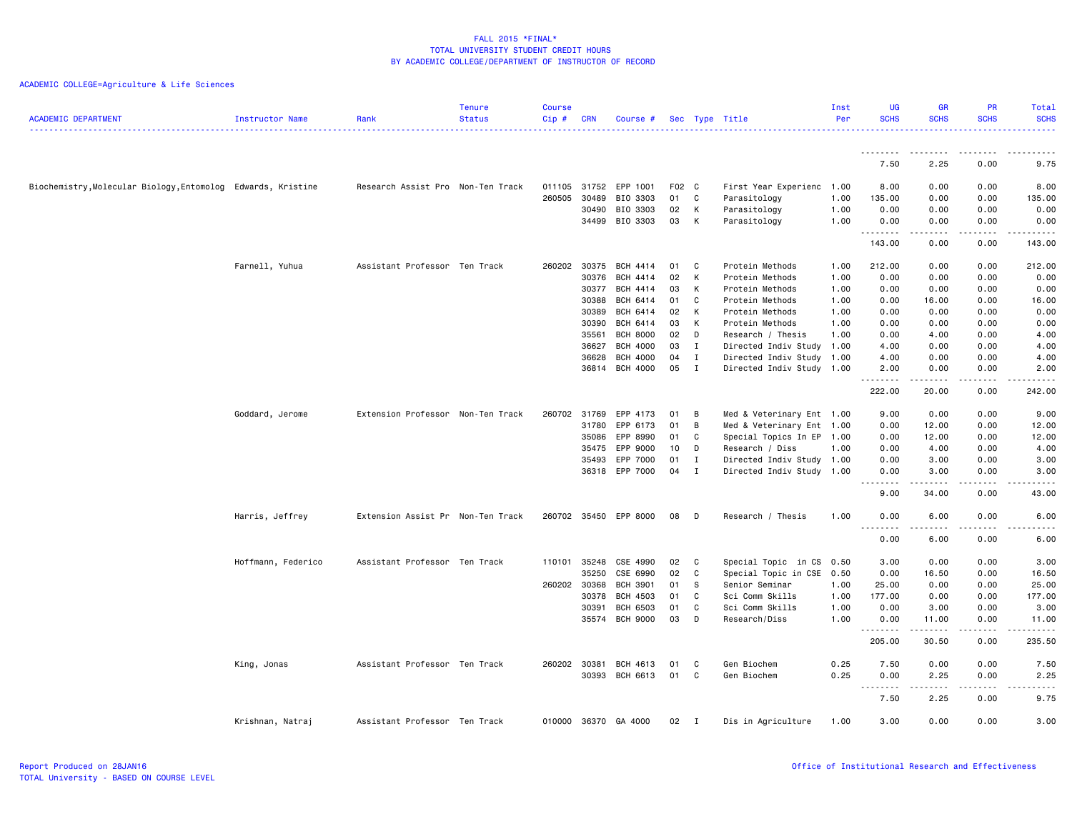| <b>ACADEMIC DEPARTMENT</b>                                   | Instructor Name    | Rank                              | <b>Tenure</b><br><b>Status</b> | <b>Course</b><br>Cip# | <b>CRN</b>   | Course #             |     |                | Sec Type Title            | Inst<br>Per | UG<br><b>SCHS</b>                                                                                                                          | <b>GR</b><br><b>SCHS</b>                                                                                                                                     | PR<br><b>SCHS</b>                   | Total<br><b>SCHS</b><br>د عام عام .                                                                                                |
|--------------------------------------------------------------|--------------------|-----------------------------------|--------------------------------|-----------------------|--------------|----------------------|-----|----------------|---------------------------|-------------|--------------------------------------------------------------------------------------------------------------------------------------------|--------------------------------------------------------------------------------------------------------------------------------------------------------------|-------------------------------------|------------------------------------------------------------------------------------------------------------------------------------|
|                                                              |                    |                                   |                                |                       |              |                      |     |                |                           |             | --------                                                                                                                                   | .                                                                                                                                                            | .                                   | $- - -$<br>-----                                                                                                                   |
|                                                              |                    |                                   |                                |                       |              |                      |     |                |                           |             | 7.50                                                                                                                                       | 2.25                                                                                                                                                         | 0.00                                | 9.75                                                                                                                               |
| Biochemistry, Molecular Biology, Entomolog Edwards, Kristine |                    | Research Assist Pro Non-Ten Track |                                | 011105                | 31752        | EPP 1001             | F02 | C <sub>c</sub> | First Year Experienc 1.00 |             | 8.00                                                                                                                                       | 0.00                                                                                                                                                         | 0.00                                | 8.00                                                                                                                               |
|                                                              |                    |                                   |                                | 260505                | 30489        | BIO 3303             | 01  | C              | Parasitology              | 1.00        | 135.00                                                                                                                                     | 0.00                                                                                                                                                         | 0.00                                | 135.00                                                                                                                             |
|                                                              |                    |                                   |                                |                       | 30490        | BIO 3303             | 02  | К              | Parasitology              | 1.00        | 0.00                                                                                                                                       | 0.00                                                                                                                                                         | 0.00                                | 0.00                                                                                                                               |
|                                                              |                    |                                   |                                |                       |              | 34499 BIO 3303       | 03  | к              | Parasitology              | 1.00        | 0.00<br>.                                                                                                                                  | 0.00<br>-----                                                                                                                                                | 0.00<br>.                           | 0.00<br>.                                                                                                                          |
|                                                              |                    |                                   |                                |                       |              |                      |     |                |                           |             | 143.00                                                                                                                                     | 0.00                                                                                                                                                         | 0.00                                | 143.00                                                                                                                             |
|                                                              | Farnell, Yuhua     | Assistant Professor Ten Track     |                                |                       | 260202 30375 | <b>BCH 4414</b>      | 01  | C              | Protein Methods           | 1.00        | 212.00                                                                                                                                     | 0.00                                                                                                                                                         | 0.00                                | 212.00                                                                                                                             |
|                                                              |                    |                                   |                                |                       | 30376        | <b>BCH 4414</b>      | 02  | К              | Protein Methods           | 1.00        | 0.00                                                                                                                                       | 0.00                                                                                                                                                         | 0.00                                | 0.00                                                                                                                               |
|                                                              |                    |                                   |                                |                       | 30377        | <b>BCH 4414</b>      | 03  | К              | Protein Methods           | 1.00        | 0.00                                                                                                                                       | 0.00                                                                                                                                                         | 0.00                                | 0.00                                                                                                                               |
|                                                              |                    |                                   |                                |                       | 30388        | BCH 6414             | 01  | C              | Protein Methods           | 1.00        | 0.00                                                                                                                                       | 16.00                                                                                                                                                        | 0.00                                | 16.00                                                                                                                              |
|                                                              |                    |                                   |                                |                       | 30389        | BCH 6414             | 02  | К              | Protein Methods           | 1.00        | 0.00                                                                                                                                       | 0.00                                                                                                                                                         | 0.00                                | 0.00                                                                                                                               |
|                                                              |                    |                                   |                                |                       | 30390        | <b>BCH 6414</b>      | 03  | К              | Protein Methods           | 1.00        | 0.00                                                                                                                                       | 0.00                                                                                                                                                         | 0.00                                | 0.00                                                                                                                               |
|                                                              |                    |                                   |                                |                       | 35561        | <b>BCH 8000</b>      | 02  | D              | Research / Thesis         | 1.00        | 0.00                                                                                                                                       | 4.00                                                                                                                                                         | 0.00                                | 4.00                                                                                                                               |
|                                                              |                    |                                   |                                |                       | 36627        | <b>BCH 4000</b>      | 03  | Ι.             | Directed Indiv Study      | 1.00        | 4.00                                                                                                                                       | 0.00                                                                                                                                                         | 0.00                                | 4.00                                                                                                                               |
|                                                              |                    |                                   |                                |                       | 36628        | <b>BCH 4000</b>      | 04  | I              | Directed Indiv Study 1.00 |             | 4.00                                                                                                                                       | 0.00                                                                                                                                                         | 0.00                                | 4.00                                                                                                                               |
|                                                              |                    |                                   |                                |                       | 36814        | <b>BCH 4000</b>      | 05  | $\mathbf{I}$   | Directed Indiv Study 1.00 |             | 2.00<br>.                                                                                                                                  | 0.00<br>$\frac{1}{2} \left( \frac{1}{2} \right) \left( \frac{1}{2} \right) \left( \frac{1}{2} \right) \left( \frac{1}{2} \right) \left( \frac{1}{2} \right)$ | 0.00<br>.                           | 2.00<br>.                                                                                                                          |
|                                                              |                    |                                   |                                |                       |              |                      |     |                |                           |             | 222.00                                                                                                                                     | 20.00                                                                                                                                                        | 0.00                                | 242.00                                                                                                                             |
|                                                              | Goddard, Jerome    | Extension Professor Non-Ten Track |                                |                       | 260702 31769 | EPP 4173             | 01  | B              | Med & Veterinary Ent 1.00 |             | 9.00                                                                                                                                       | 0.00                                                                                                                                                         | 0.00                                | 9.00                                                                                                                               |
|                                                              |                    |                                   |                                |                       | 31780        | EPP 6173             | 01  | В              | Med & Veterinary Ent 1.00 |             | 0.00                                                                                                                                       | 12.00                                                                                                                                                        | 0.00                                | 12.00                                                                                                                              |
|                                                              |                    |                                   |                                |                       | 35086        | EPP 8990             | 01  | C              | Special Topics In EP 1.00 |             | 0.00                                                                                                                                       | 12.00                                                                                                                                                        | 0.00                                | 12.00                                                                                                                              |
|                                                              |                    |                                   |                                |                       | 35475        | EPP 9000             | 10  | D              | Research / Diss           | 1.00        | 0.00                                                                                                                                       | 4.00                                                                                                                                                         | 0.00                                | 4.00                                                                                                                               |
|                                                              |                    |                                   |                                |                       | 35493        | EPP 7000             | 01  | Ι.             | Directed Indiv Study 1.00 |             | 0.00                                                                                                                                       | 3.00                                                                                                                                                         | 0.00                                | 3.00                                                                                                                               |
|                                                              |                    |                                   |                                |                       |              | 36318 EPP 7000       | 04  | I              | Directed Indiv Study 1.00 |             | 0.00                                                                                                                                       | 3.00                                                                                                                                                         | 0.00                                | 3.00                                                                                                                               |
|                                                              |                    |                                   |                                |                       |              |                      |     |                |                           |             | .<br>9.00                                                                                                                                  | .<br>34.00                                                                                                                                                   | .<br>0.00                           | .<br>43.00                                                                                                                         |
|                                                              |                    |                                   |                                |                       |              |                      |     |                |                           |             |                                                                                                                                            |                                                                                                                                                              |                                     |                                                                                                                                    |
|                                                              | Harris, Jeffrey    | Extension Assist Pr Non-Ten Track |                                | 260702                |              | 35450 EPP 8000       | 08  | D              | Research / Thesis         | 1.00        | 0.00<br>$  -$<br>$\frac{1}{2} \left( \frac{1}{2} \right) \left( \frac{1}{2} \right) \left( \frac{1}{2} \right) \left( \frac{1}{2} \right)$ | 6.00<br>.                                                                                                                                                    | 0.00<br>$\sim$ $\sim$ $\sim$ $\sim$ | 6.00<br>.                                                                                                                          |
|                                                              |                    |                                   |                                |                       |              |                      |     |                |                           |             | 0.00                                                                                                                                       | 6.00                                                                                                                                                         | 0.00                                | 6.00                                                                                                                               |
|                                                              | Hoffmann, Federico | Assistant Professor Ten Track     |                                |                       | 110101 35248 | CSE 4990             | 02  | C              | Special Topic in CS 0.50  |             | 3.00                                                                                                                                       | 0.00                                                                                                                                                         | 0.00                                | 3.00                                                                                                                               |
|                                                              |                    |                                   |                                |                       | 35250        | CSE 6990             | 02  | C              | Special Topic in CSE 0.50 |             | 0.00                                                                                                                                       | 16.50                                                                                                                                                        | 0.00                                | 16.50                                                                                                                              |
|                                                              |                    |                                   |                                | 260202 30368          |              | <b>BCH 3901</b>      | 01  | S              | Senior Seminar            | 1.00        | 25.00                                                                                                                                      | 0.00                                                                                                                                                         | 0.00                                | 25.00                                                                                                                              |
|                                                              |                    |                                   |                                |                       | 30378        | <b>BCH 4503</b>      | 01  | C              | Sci Comm Skills           | 1.00        | 177.00                                                                                                                                     | 0.00                                                                                                                                                         | 0.00                                | 177.00                                                                                                                             |
|                                                              |                    |                                   |                                |                       | 30391        | <b>BCH 6503</b>      | 01  | C              | Sci Comm Skills           | 1.00        | 0.00                                                                                                                                       | 3.00                                                                                                                                                         | 0.00                                | 3.00                                                                                                                               |
|                                                              |                    |                                   |                                |                       | 35574        | <b>BCH 9000</b>      | 03  | D              | Research/Diss             | 1.00        | 0.00<br>.                                                                                                                                  | 11.00                                                                                                                                                        | 0.00                                | 11.00<br>$\frac{1}{2} \left( \frac{1}{2} \right) \left( \frac{1}{2} \right) \left( \frac{1}{2} \right) \left( \frac{1}{2} \right)$ |
|                                                              |                    |                                   |                                |                       |              |                      |     |                |                           |             | 205.00                                                                                                                                     | 30.50                                                                                                                                                        | 0.00                                | 235.50                                                                                                                             |
|                                                              | King, Jonas        | Assistant Professor Ten Track     |                                | 260202 30381          |              | BCH 4613             | 01  | C              | Gen Biochem               | 0.25        | 7.50                                                                                                                                       | 0.00                                                                                                                                                         | 0.00                                | 7.50                                                                                                                               |
|                                                              |                    |                                   |                                |                       | 30393        | BCH 6613             | 01  | C              | Gen Biochem               | 0.25        | 0.00                                                                                                                                       | 2.25                                                                                                                                                         | 0.00                                | 2.25                                                                                                                               |
|                                                              |                    |                                   |                                |                       |              |                      |     |                |                           |             | .<br>$\sim$ $\sim$ $\sim$                                                                                                                  | -----                                                                                                                                                        | .                                   | .                                                                                                                                  |
|                                                              |                    |                                   |                                |                       |              |                      |     |                |                           |             | 7.50                                                                                                                                       | 2.25                                                                                                                                                         | 0.00                                | 9.75                                                                                                                               |
|                                                              | Krishnan, Natraj   | Assistant Professor Ten Track     |                                |                       |              | 010000 36370 GA 4000 | 02  | $\mathsf{T}$   | Dis in Agriculture        | 1.00        | 3.00                                                                                                                                       | 0.00                                                                                                                                                         | 0.00                                | 3.00                                                                                                                               |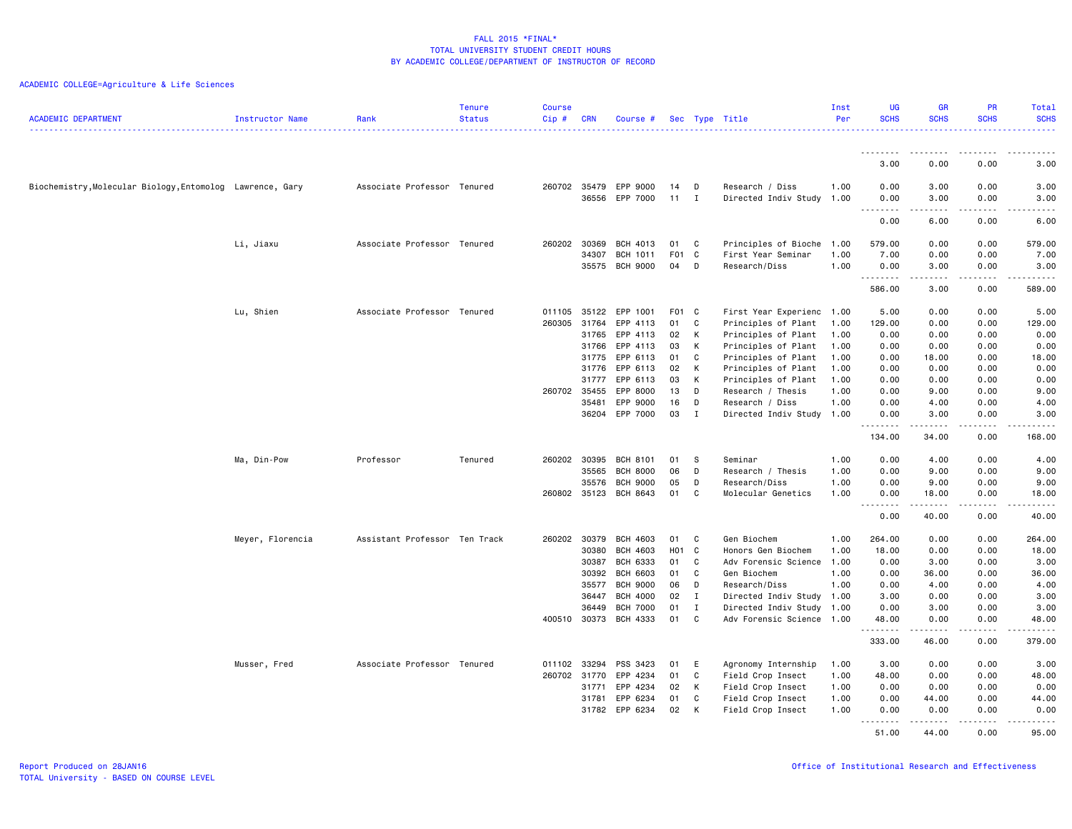| <b>ACADEMIC DEPARTMENT</b>                                | Instructor Name  | Rank                          | <b>Tenure</b><br><b>Status</b> | <b>Course</b><br>Cip# | <b>CRN</b>     | Course #                    |                  |              | Sec Type Title                                    | Inst<br>Per  | UG<br><b>SCHS</b>                                                                                                                                                       | <b>GR</b><br><b>SCHS</b>                                                                                        | <b>PR</b><br><b>SCHS</b> | Total<br><b>SCHS</b>                   |
|-----------------------------------------------------------|------------------|-------------------------------|--------------------------------|-----------------------|----------------|-----------------------------|------------------|--------------|---------------------------------------------------|--------------|-------------------------------------------------------------------------------------------------------------------------------------------------------------------------|-----------------------------------------------------------------------------------------------------------------|--------------------------|----------------------------------------|
|                                                           |                  |                               |                                |                       |                |                             |                  |              |                                                   |              |                                                                                                                                                                         |                                                                                                                 |                          | .                                      |
|                                                           |                  |                               |                                |                       |                |                             |                  |              |                                                   |              | --------<br>3.00                                                                                                                                                        | ---------<br>0.00                                                                                               | .<br>0.00                | $\frac{1}{2}$<br>$\frac{1}{2}$<br>3.00 |
| Biochemistry, Molecular Biology, Entomolog Lawrence, Gary |                  | Associate Professor Tenured   |                                | 260702 35479          |                | EPP 9000                    | 14               | D            | Research / Diss                                   | 1.00         | 0.00                                                                                                                                                                    | 3.00                                                                                                            | 0.00                     | 3.00                                   |
|                                                           |                  |                               |                                |                       | 36556          | EPP 7000                    | 11               | I            | Directed Indiv Study 1.00                         |              | 0.00<br>$\frac{1}{2} \left( \frac{1}{2} \right) \left( \frac{1}{2} \right) \left( \frac{1}{2} \right) \left( \frac{1}{2} \right) \left( \frac{1}{2} \right)$<br>$- - -$ | 3.00<br>-----                                                                                                   | 0.00<br>.                | 3.00<br>.                              |
|                                                           |                  |                               |                                |                       |                |                             |                  |              |                                                   |              | 0.00                                                                                                                                                                    | 6.00                                                                                                            | 0.00                     | 6.00                                   |
|                                                           | Li, Jiaxu        | Associate Professor Tenured   |                                | 260202                | 30369          | <b>BCH 4013</b>             | 01               | C            | Principles of Bioche                              | 1.00         | 579.00                                                                                                                                                                  | 0.00                                                                                                            | 0.00                     | 579.00                                 |
|                                                           |                  |                               |                                |                       | 34307          | BCH 1011                    | F <sub>0</sub> 1 | C            | First Year Seminar                                | 1.00         | 7.00                                                                                                                                                                    | 0.00                                                                                                            | 0.00                     | 7.00                                   |
|                                                           |                  |                               |                                |                       | 35575          | <b>BCH 9000</b>             | 04               | D            | Research/Diss                                     | 1.00         | 0.00<br>.                                                                                                                                                               | 3.00<br>-----                                                                                                   | 0.00<br>.                | 3.00<br>1.1.1.1.1                      |
|                                                           |                  |                               |                                |                       |                |                             |                  |              |                                                   |              | 586.00                                                                                                                                                                  | 3.00                                                                                                            | 0.00                     | 589.00                                 |
|                                                           | Lu, Shien        | Associate Professor Tenured   |                                | 011105                | 35122          | EPP 1001                    | F01 C            |              | First Year Experienc 1.00                         |              | 5.00                                                                                                                                                                    | 0.00                                                                                                            | 0.00                     | 5.00                                   |
|                                                           |                  |                               |                                | 260305                | 31764          | EPP 4113                    | 01               | C            | Principles of Plant                               | 1.00         | 129.00                                                                                                                                                                  | 0.00                                                                                                            | 0.00                     | 129.00                                 |
|                                                           |                  |                               |                                |                       | 31765<br>31766 | EPP 4113<br>EPP 4113        | 02<br>03         | К<br>К       | Principles of Plant<br>Principles of Plant        | 1.00<br>1.00 | 0.00<br>0.00                                                                                                                                                            | 0.00<br>0.00                                                                                                    | 0.00<br>0.00             | 0.00<br>0.00                           |
|                                                           |                  |                               |                                |                       | 31775          | EPP 6113                    | 01               | C            | Principles of Plant                               | 1.00         | 0.00                                                                                                                                                                    | 18.00                                                                                                           | 0.00                     | 18.00                                  |
|                                                           |                  |                               |                                |                       | 31776          | EPP 6113                    | 02               | К            | Principles of Plant                               | 1.00         | 0.00                                                                                                                                                                    | 0.00                                                                                                            | 0.00                     | 0.00                                   |
|                                                           |                  |                               |                                |                       | 31777          | EPP 6113                    | 03               | К            | Principles of Plant                               | 1.00         | 0.00                                                                                                                                                                    | 0.00                                                                                                            | 0.00                     | 0.00                                   |
|                                                           |                  |                               |                                | 260702 35455          |                | EPP 8000                    | 13               | D            | Research / Thesis                                 | 1.00         | 0.00                                                                                                                                                                    | 9.00                                                                                                            | 0.00                     | 9.00                                   |
|                                                           |                  |                               |                                |                       | 35481          | EPP 9000                    | 16               | D            | Research / Diss                                   | 1.00         | 0.00                                                                                                                                                                    | 4.00                                                                                                            | 0.00                     | 4.00                                   |
|                                                           |                  |                               |                                |                       | 36204          | EPP 7000                    | 03               | $\mathbf{I}$ | Directed Indiv Study 1.00                         |              | 0.00<br>.                                                                                                                                                               | 3.00<br>.                                                                                                       | 0.00<br>.                | 3.00<br>.                              |
|                                                           |                  |                               |                                |                       |                |                             |                  |              |                                                   |              | 134.00                                                                                                                                                                  | 34.00                                                                                                           | 0.00                     | 168.00                                 |
|                                                           | Ma, Din-Pow      | Professor                     | Tenured                        | 260202                | 30395          | <b>BCH 8101</b>             | 01               | - S          | Seminar                                           | 1.00         | 0.00                                                                                                                                                                    | 4.00                                                                                                            | 0.00                     | 4.00                                   |
|                                                           |                  |                               |                                |                       | 35565          | <b>BCH 8000</b>             | 06               | D            | Research / Thesis                                 | 1.00         | 0.00                                                                                                                                                                    | 9.00                                                                                                            | 0.00                     | 9.00                                   |
|                                                           |                  |                               |                                |                       | 35576          | <b>BCH 9000</b>             | 05               | D            | Research/Diss                                     | 1.00         | 0.00                                                                                                                                                                    | 9.00                                                                                                            | 0.00                     | 9.00                                   |
|                                                           |                  |                               |                                | 260802 35123          |                | <b>BCH 8643</b>             | 01               | C            | Molecular Genetics                                | 1.00         | 0.00<br>$\sim$ $\sim$ $\sim$<br><u>.</u>                                                                                                                                | 18.00<br>.                                                                                                      | 0.00<br>.                | 18.00<br>.                             |
|                                                           |                  |                               |                                |                       |                |                             |                  |              |                                                   |              | 0.00                                                                                                                                                                    | 40.00                                                                                                           | 0.00                     | 40.00                                  |
|                                                           | Meyer, Florencia | Assistant Professor Ten Track |                                | 260202 30379          |                | BCH 4603                    | 01               | C            | Gen Biochem                                       | 1.00         | 264.00                                                                                                                                                                  | 0.00                                                                                                            | 0.00                     | 264.00                                 |
|                                                           |                  |                               |                                |                       | 30380          | <b>BCH 4603</b>             | H01              | $\mathbf{C}$ | Honors Gen Biochem                                | 1.00         | 18.00                                                                                                                                                                   | 0.00                                                                                                            | 0.00                     | 18.00                                  |
|                                                           |                  |                               |                                |                       | 30387          | BCH 6333                    | 01               | C            | Adv Forensic Science 1.00                         |              | 0.00                                                                                                                                                                    | 3.00                                                                                                            | 0.00                     | 3.00                                   |
|                                                           |                  |                               |                                |                       | 30392          | <b>BCH 6603</b>             | 01               | C            | Gen Biochem                                       | 1.00         | 0.00                                                                                                                                                                    | 36.00                                                                                                           | 0.00                     | 36.00                                  |
|                                                           |                  |                               |                                |                       | 35577          | <b>BCH 9000</b>             | 06               | D            | Research/Diss                                     | 1.00         | 0.00                                                                                                                                                                    | 4.00                                                                                                            | 0.00                     | 4.00                                   |
|                                                           |                  |                               |                                |                       | 36447          | <b>BCH 4000</b>             | 02               | $\mathbf{I}$ | Directed Indiv Study 1.00                         |              | 3.00                                                                                                                                                                    | 0.00                                                                                                            | 0.00                     | 3.00                                   |
|                                                           |                  |                               |                                | 400510                | 36449<br>30373 | <b>BCH 7000</b><br>BCH 4333 | 01<br>01         | I<br>C       | Directed Indiv Study<br>Adv Forensic Science 1.00 | 1.00         | 0.00<br>48.00                                                                                                                                                           | 3.00<br>0.00                                                                                                    | 0.00<br>0.00             | 3.00<br>48.00                          |
|                                                           |                  |                               |                                |                       |                |                             |                  |              |                                                   |              | .                                                                                                                                                                       | $\begin{array}{cccccccccccccc} \bullet & \bullet & \bullet & \bullet & \bullet & \bullet & \bullet \end{array}$ | .                        | .                                      |
|                                                           |                  |                               |                                |                       |                |                             |                  |              |                                                   |              | 333.00                                                                                                                                                                  | 46.00                                                                                                           | 0.00                     | 379.00                                 |
|                                                           | Musser, Fred     | Associate Professor Tenured   |                                | 011102 33294          |                | PSS 3423                    | 01               | E            | Agronomy Internship                               | 1.00         | 3.00                                                                                                                                                                    | 0.00                                                                                                            | 0.00                     | 3.00                                   |
|                                                           |                  |                               |                                | 260702                | 31770          | EPP 4234                    | 01               | C            | Field Crop Insect                                 | 1.00         | 48.00                                                                                                                                                                   | 0.00                                                                                                            | 0.00                     | 48.00                                  |
|                                                           |                  |                               |                                |                       | 31771          | EPP 4234                    | 02               | К            | Field Crop Insect                                 | 1.00         | 0.00                                                                                                                                                                    | 0.00                                                                                                            | 0.00                     | 0.00                                   |
|                                                           |                  |                               |                                |                       | 31781          | EPP 6234                    | 01               | C            | Field Crop Insect                                 | 1.00         | 0.00                                                                                                                                                                    | 44.00                                                                                                           | 0.00                     | 44.00                                  |
|                                                           |                  |                               |                                |                       | 31782          | EPP 6234                    | 02               | К            | Field Crop Insect                                 | 1.00         | 0.00<br>.                                                                                                                                                               | 0.00<br>.                                                                                                       | 0.00<br>.                | 0.00<br><u>.</u>                       |
|                                                           |                  |                               |                                |                       |                |                             |                  |              |                                                   |              | 51.00                                                                                                                                                                   | 44.00                                                                                                           | 0.00                     | 95.00                                  |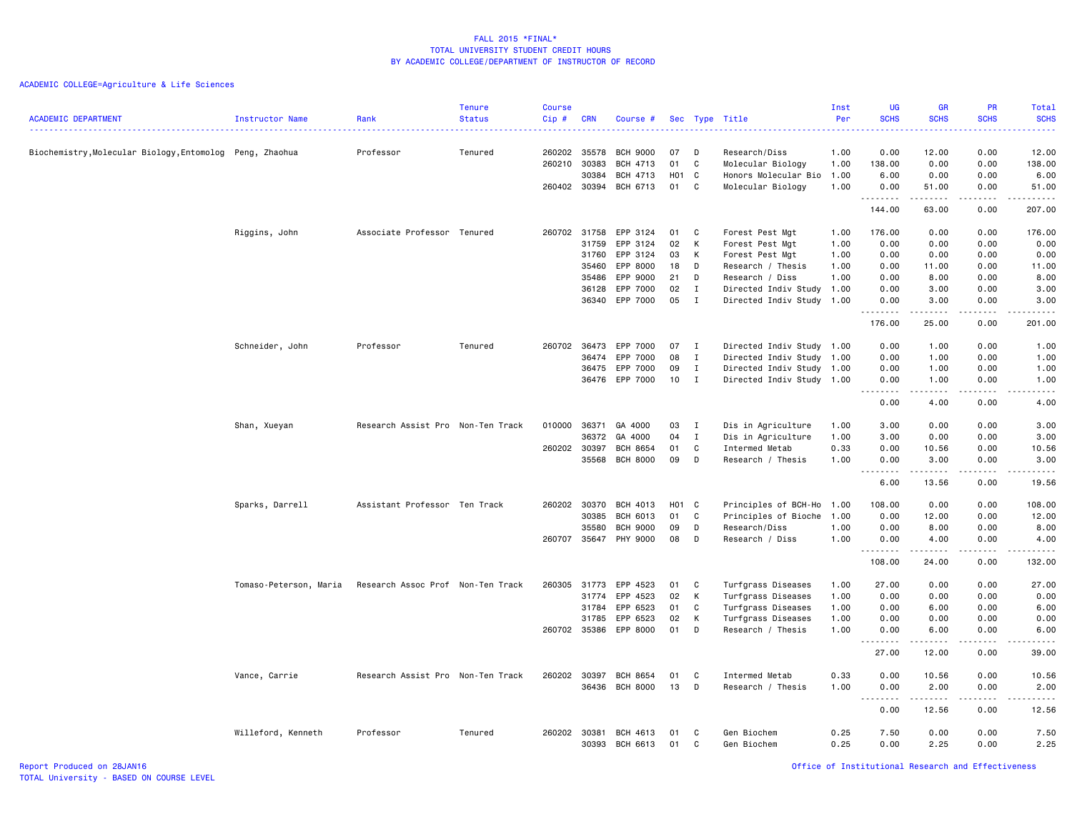ACADEMIC COLLEGE=Agriculture & Life Sciences

| <b>ACADEMIC DEPARTMENT</b>                             | Instructor Name        | Rank                              | <b>Tenure</b><br><b>Status</b> | <b>Course</b><br>Cip# | <b>CRN</b> | Course #        |       |              | Sec Type Title            | Inst<br>Per | UG<br><b>SCHS</b> | <b>GR</b><br><b>SCHS</b>                                                                                        | PR<br><b>SCHS</b> | Total<br><b>SCHS</b><br><b>.</b> .         |
|--------------------------------------------------------|------------------------|-----------------------------------|--------------------------------|-----------------------|------------|-----------------|-------|--------------|---------------------------|-------------|-------------------|-----------------------------------------------------------------------------------------------------------------|-------------------|--------------------------------------------|
| Biochemistry,Molecular Biology,Entomolog Peng, Zhaohua |                        | Professor                         | Tenured                        | 260202                | 35578      | <b>BCH 9000</b> | 07    | D            | Research/Diss             | 1.00        | 0.00              | 12.00                                                                                                           | 0.00              | 12.00                                      |
|                                                        |                        |                                   |                                | 260210                | 30383      | BCH 4713        | 01    | C            | Molecular Biology         | 1.00        | 138.00            | 0.00                                                                                                            | 0.00              | 138.00                                     |
|                                                        |                        |                                   |                                |                       | 30384      | BCH 4713        | H01 C |              | Honors Molecular Bio      | 1.00        | 6.00              | 0.00                                                                                                            | 0.00              | 6.00                                       |
|                                                        |                        |                                   |                                | 260402 30394          |            | BCH 6713        | 01    | C.           | Molecular Biology         | 1.00        | 0.00              | 51.00                                                                                                           | 0.00              | 51.00                                      |
|                                                        |                        |                                   |                                |                       |            |                 |       |              |                           |             | .<br>144.00       | .<br>63.00                                                                                                      | .<br>0.00         | . <b>.</b><br>207.00                       |
|                                                        | Riggins, John          | Associate Professor Tenured       |                                | 260702 31758          |            | EPP 3124        | 01    | C            | Forest Pest Mgt           | 1.00        | 176.00            | 0.00                                                                                                            | 0.00              | 176.00                                     |
|                                                        |                        |                                   |                                |                       | 31759      | EPP 3124        | 02    | К            | Forest Pest Mgt           | 1.00        | 0.00              | 0.00                                                                                                            | 0.00              | 0.00                                       |
|                                                        |                        |                                   |                                |                       | 31760      | EPP 3124        | 03    | K            | Forest Pest Mgt           | 1.00        | 0.00              | 0.00                                                                                                            | 0.00              | 0.00                                       |
|                                                        |                        |                                   |                                |                       | 35460      | EPP 8000        | 18    | D            | Research / Thesis         | 1.00        | 0.00              | 11.00                                                                                                           | 0.00              | 11.00                                      |
|                                                        |                        |                                   |                                |                       | 35486      | EPP 9000        | 21    | D            | Research / Diss           | 1.00        | 0.00              | 8.00                                                                                                            | 0.00              | 8.00                                       |
|                                                        |                        |                                   |                                |                       | 36128      | EPP 7000        | 02    | I            | Directed Indiv Study      | 1.00        | 0.00              | 3.00                                                                                                            | 0.00              | 3.00                                       |
|                                                        |                        |                                   |                                |                       |            | 36340 EPP 7000  | 05    | $\mathbf{I}$ | Directed Indiv Study 1.00 |             | 0.00              | 3.00                                                                                                            | 0.00              | 3.00                                       |
|                                                        |                        |                                   |                                |                       |            |                 |       |              |                           |             | .<br>176.00       | $- - - - -$<br>25.00                                                                                            | .<br>0.00         | .<br>201.00                                |
|                                                        | Schneider, John        | Professor                         | Tenured                        | 260702                | 36473      | EPP 7000        | 07    | $\mathbf{I}$ | Directed Indiv Study 1.00 |             | 0.00              | 1.00                                                                                                            | 0.00              | 1.00                                       |
|                                                        |                        |                                   |                                |                       | 36474      | EPP 7000        | 08    | $\mathbf{I}$ | Directed Indiv Study 1.00 |             | 0.00              | 1.00                                                                                                            | 0.00              | 1.00                                       |
|                                                        |                        |                                   |                                |                       | 36475      | EPP 7000        | 09    | $\mathbf I$  | Directed Indiv Study 1.00 |             | 0.00              | 1.00                                                                                                            | 0.00              | 1.00                                       |
|                                                        |                        |                                   |                                |                       |            |                 |       |              |                           |             |                   |                                                                                                                 |                   |                                            |
|                                                        |                        |                                   |                                |                       | 36476      | EPP 7000        | 10    | $\mathbf{I}$ | Directed Indiv Study 1.00 |             | 0.00<br>.         | 1.00<br>.                                                                                                       | 0.00<br>.         | 1.00<br>$\sim$ $\sim$ $\sim$ $\sim$ $\sim$ |
|                                                        |                        |                                   |                                |                       |            |                 |       |              |                           |             | 0.00              | 4.00                                                                                                            | 0.00              | 4.00                                       |
|                                                        | Shan, Xueyan           | Research Assist Pro Non-Ten Track |                                | 010000                | 36371      | GA 4000         | 03    | $\mathbf I$  | Dis in Agriculture        | 1.00        | 3.00              | 0.00                                                                                                            | 0.00              | 3.00                                       |
|                                                        |                        |                                   |                                |                       | 36372      | GA 4000         | 04    | I            | Dis in Agriculture        | 1.00        | 3.00              | 0.00                                                                                                            | 0.00              | 3.00                                       |
|                                                        |                        |                                   |                                | 260202                | 30397      | <b>BCH 8654</b> | 01    | C            | Intermed Metab            | 0.33        | 0.00              | 10.56                                                                                                           | 0.00              | 10.56                                      |
|                                                        |                        |                                   |                                |                       | 35568      | <b>BCH 8000</b> | 09    | D            | Research / Thesis         | 1.00        | 0.00              | 3.00                                                                                                            | 0.00              | 3.00                                       |
|                                                        |                        |                                   |                                |                       |            |                 |       |              |                           |             | .<br>6.00         | .<br>13.56                                                                                                      | .<br>0.00         | .<br>19.56                                 |
|                                                        | Sparks, Darrell        | Assistant Professor Ten Track     |                                | 260202                | 30370      | BCH 4013        | H01 C |              | Principles of BCH-Ho      | 1.00        | 108.00            | 0.00                                                                                                            | 0.00              | 108.00                                     |
|                                                        |                        |                                   |                                |                       | 30385      | BCH 6013        | 01    | C            | Principles of Bioche      | 1.00        | 0.00              | 12.00                                                                                                           | 0.00              | 12.00                                      |
|                                                        |                        |                                   |                                |                       | 35580      | <b>BCH 9000</b> | 09    | D            | Research/Diss             | 1.00        | 0.00              | 8.00                                                                                                            | 0.00              | 8.00                                       |
|                                                        |                        |                                   |                                | 260707                | 35647      | PHY 9000        | 08    | D            | Research / Diss           | 1.00        | 0.00              | 4.00                                                                                                            | 0.00              | 4.00                                       |
|                                                        |                        |                                   |                                |                       |            |                 |       |              |                           |             | .<br>108.00       | .<br>24.00                                                                                                      | .<br>0.00         | .<br>132.00                                |
|                                                        | Tomaso-Peterson, Maria | Research Assoc Prof Non-Ten Track |                                | 260305 31773          |            | EPP 4523        | 01    | C            | Turfgrass Diseases        | 1.00        | 27.00             | 0.00                                                                                                            | 0.00              | 27.00                                      |
|                                                        |                        |                                   |                                |                       | 31774      | EPP 4523        | 02    | К            | Turfgrass Diseases        | 1.00        | 0.00              | 0.00                                                                                                            | 0.00              | 0.00                                       |
|                                                        |                        |                                   |                                |                       | 31784      | EPP 6523        | 01    | $\mathtt{C}$ | Turfgrass Diseases        | 1.00        | 0.00              | 6.00                                                                                                            | 0.00              | 6.00                                       |
|                                                        |                        |                                   |                                |                       | 31785      | EPP 6523        | 02    | К            | Turfgrass Diseases        | 1.00        | 0.00              | 0.00                                                                                                            | 0.00              | 0.00                                       |
|                                                        |                        |                                   |                                | 260702 35386          |            | EPP 8000        | 01    | D            | Research / Thesis         | 1.00        | 0.00              | 6.00                                                                                                            | 0.00              | 6.00                                       |
|                                                        |                        |                                   |                                |                       |            |                 |       |              |                           |             | .<br>$  -$        | .                                                                                                               | .                 | الداعات                                    |
|                                                        |                        |                                   |                                |                       |            |                 |       |              |                           |             | 27.00             | 12.00                                                                                                           | 0.00              | 39.00                                      |
|                                                        | Vance, Carrie          | Research Assist Pro Non-Ten Track |                                | 260202                | 30397      | <b>BCH 8654</b> | 01    | C            | Intermed Metab            | 0.33        | 0.00              | 10.56                                                                                                           | 0.00              | 10.56                                      |
|                                                        |                        |                                   |                                |                       | 36436      | <b>BCH 8000</b> | 13    | D            | Research / Thesis         | 1.00        | 0.00              | 2.00                                                                                                            | 0.00              | 2.00                                       |
|                                                        |                        |                                   |                                |                       |            |                 |       |              |                           |             | .                 | $\begin{array}{cccccccccccccc} \bullet & \bullet & \bullet & \bullet & \bullet & \bullet & \bullet \end{array}$ |                   | $\sim$ $\sim$ $\sim$ $\sim$ $\sim$         |
|                                                        |                        |                                   |                                |                       |            |                 |       |              |                           |             | 0.00              | 12.56                                                                                                           | 0.00              | 12.56                                      |
|                                                        | Willeford, Kenneth     | Professor                         | Tenured                        | 260202 30381          |            | <b>BCH 4613</b> | 01    | C            | Gen Biochem               | 0.25        | 7.50              | 0.00                                                                                                            | 0.00              | 7.50                                       |
|                                                        |                        |                                   |                                |                       | 30393      | BCH 6613        | 01    | C            | Gen Biochem               | 0.25        | 0.00              | 2.25                                                                                                            | 0.00              | 2.25                                       |

Report Produced on 28JAN16 Office of Institutional Research and Effectiveness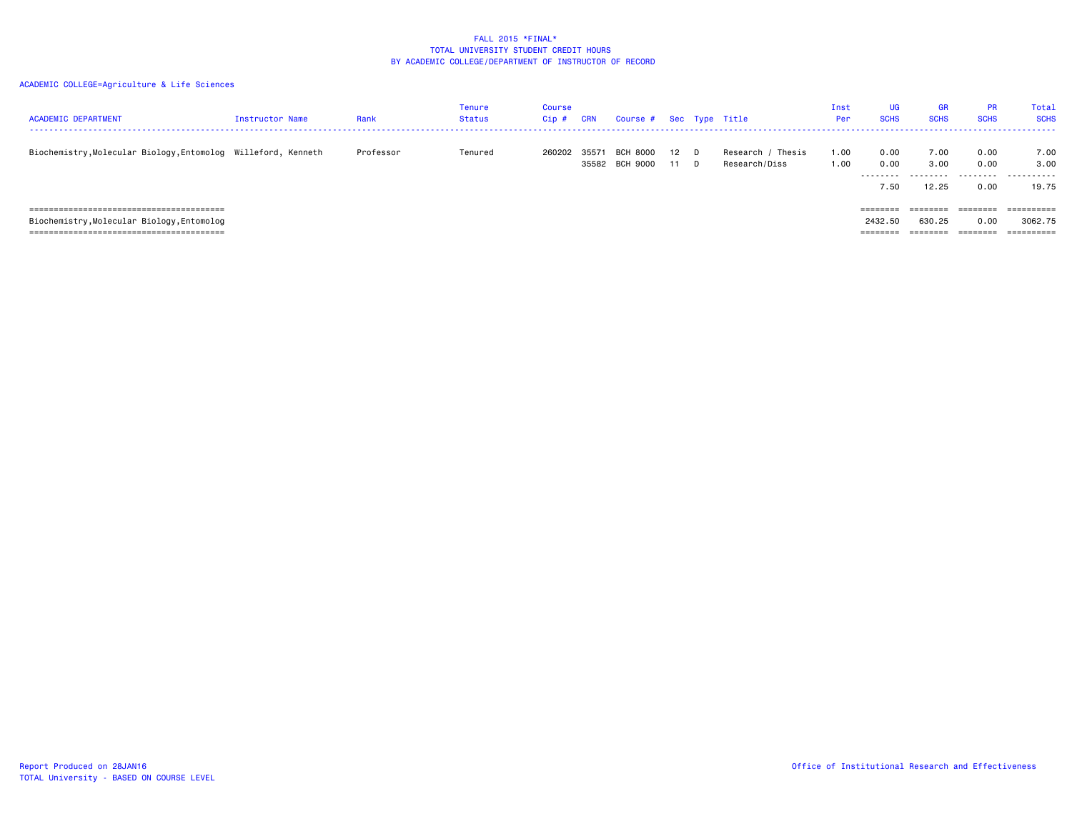| <b>ACADEMIC DEPARTMENT</b>                                    | <b>Instructor Name</b> | Rank      | Tenure<br><b>Status</b> | Course<br>Cip# | CRN   | Course # Sec Type Title           |              |                                    | Inst<br>Per  | <b>UG</b><br><b>SCHS</b>        | <b>GR</b><br><b>SCHS</b>       | <b>PR</b><br><b>SCHS</b>     | Total<br><b>SCHS</b>                                      |
|---------------------------------------------------------------|------------------------|-----------|-------------------------|----------------|-------|-----------------------------------|--------------|------------------------------------|--------------|---------------------------------|--------------------------------|------------------------------|-----------------------------------------------------------|
| Biochemistry, Molecular Biology, Entomolog Willeford, Kenneth |                        | Professor | Tenured                 | 260202         | 35571 | <b>BCH 8000</b><br>35582 BCH 9000 | $12$ D<br>11 | Research / Thesis<br>Research/Diss | 1.00<br>1.00 | 0.00<br>0.00<br>.<br>7.50       | 7.00<br>3,00<br>.<br>12.25     | 0.00<br>0.00<br>.<br>0.00    | 7.00<br>3.00<br>.<br>19.75                                |
| Biochemistry, Molecular Biology, Entomolog                    |                        |           |                         |                |       |                                   |              |                                    |              | ========<br>2432.50<br>======== | ========<br>630.25<br>======== | ========<br>0.00<br>======== | $=$ = = = = = = = = =<br>3062.75<br>$=$ = = = = = = = = = |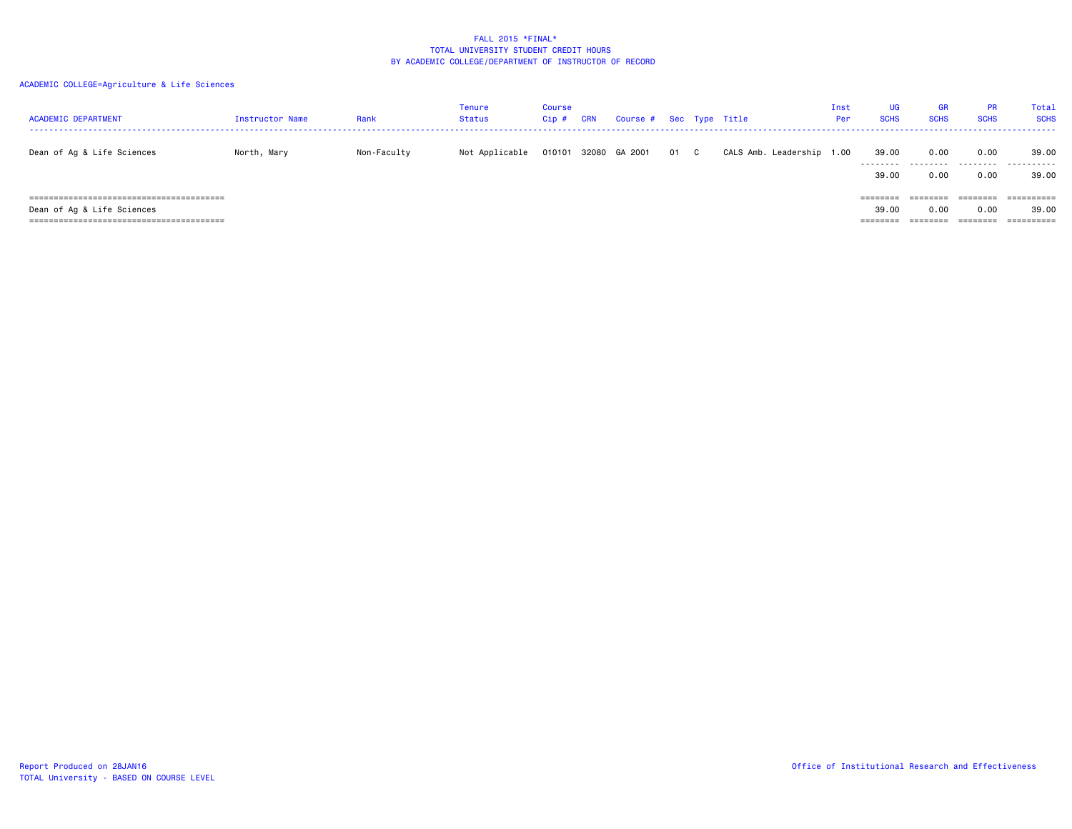| <b>ACADEMIC DEPARTMENT</b> | Instructor Name | Rank        | Tenure<br><b>Status</b> | <b>Course</b><br>Cip# | CRN | Course # Sec Type Title |      |                           | Inst<br>Per | <b>UG</b><br><b>SCHS</b>           | GR<br><b>SCHS</b> | <b>PR</b><br><b>SCHS</b> | Total<br><b>SCHS</b>             |
|----------------------------|-----------------|-------------|-------------------------|-----------------------|-----|-------------------------|------|---------------------------|-------------|------------------------------------|-------------------|--------------------------|----------------------------------|
| Dean of Ag & Life Sciences | North, Mary     | Non-Faculty | Not Applicable          |                       |     | 010101 32080 GA 2001    | 01 C | CALS Amb. Leadership 1.00 |             | 39.00<br>---------<br>39.00        | 0.00<br>.<br>0.00 | 0.00<br>.<br>0.00        | 39.00<br>.<br>39.00              |
| Dean of Ag & Life Sciences |                 |             |                         |                       |     |                         |      |                           |             | <b>EEEEEES</b><br>39.00<br>======= | 0.00              | 0.00                     | =========<br>39.00<br>========== |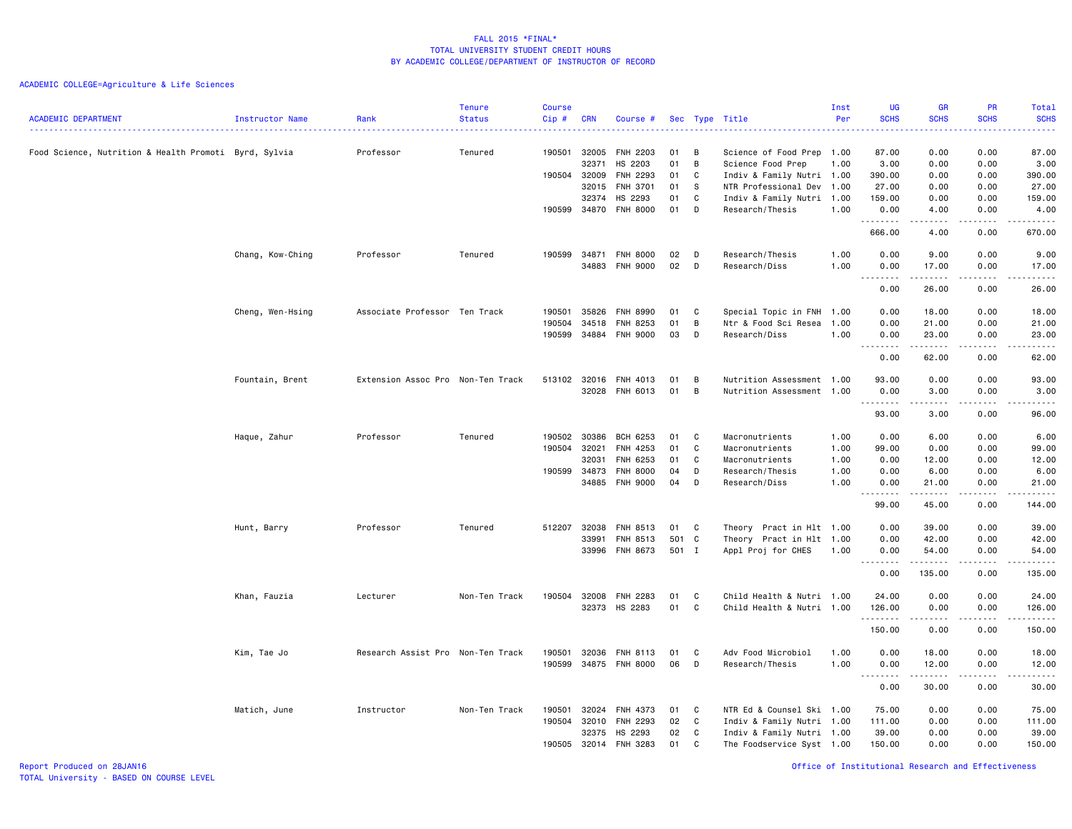| <b>ACADEMIC DEPARTMENT</b>                            | <b>Instructor Name</b> | Rank<br>.                         | Tenure<br><b>Status</b> | <b>Course</b><br>Cip# | <b>CRN</b>     | Course #                   |          |        | Sec Type Title                                 | Inst<br>Per | <b>UG</b><br><b>SCHS</b> | <b>GR</b><br><b>SCHS</b>                    | <b>PR</b><br><b>SCHS</b> | <b>Total</b><br><b>SCHS</b><br>.                     |
|-------------------------------------------------------|------------------------|-----------------------------------|-------------------------|-----------------------|----------------|----------------------------|----------|--------|------------------------------------------------|-------------|--------------------------|---------------------------------------------|--------------------------|------------------------------------------------------|
| Food Science, Nutrition & Health Promoti Byrd, Sylvia |                        | Professor                         | Tenured                 | 190501                | 32005<br>32371 | <b>FNH 2203</b><br>HS 2203 | 01<br>01 | B<br>B | Science of Food Prep 1.00<br>Science Food Prep | 1.00        | 87.00<br>3.00            | 0.00<br>0.00                                | 0.00<br>0.00             | 87.00<br>3.00                                        |
|                                                       |                        |                                   |                         | 190504 32009          |                | FNH 2293                   | 01       | C      | Indiv & Family Nutri 1.00                      |             | 390.00                   | 0.00                                        | 0.00                     | 390.00                                               |
|                                                       |                        |                                   |                         |                       | 32015          | <b>FNH 3701</b>            | 01       | -S     | NTR Professional Dev 1.00                      |             | 27.00                    | 0.00                                        | 0.00                     | 27.00                                                |
|                                                       |                        |                                   |                         |                       | 32374          | HS 2293                    | 01       | C      | Indiv & Family Nutri 1.00                      |             | 159.00                   | 0.00                                        | 0.00                     | 159.00                                               |
|                                                       |                        |                                   |                         | 190599                | 34870          | <b>FNH 8000</b>            | 01       | D      | Research/Thesis                                | 1.00        | 0.00<br>.                | 4.00<br>.                                   | 0.00<br>.                | 4.00<br>-----                                        |
|                                                       |                        |                                   |                         |                       |                |                            |          |        |                                                |             | 666.00                   | 4.00                                        | 0.00                     | 670.00                                               |
|                                                       | Chang, Kow-Ching       | Professor                         | Tenured                 | 190599                | 34871          | <b>FNH 8000</b>            | 02       | D      | Research/Thesis                                | 1.00        | 0.00                     | 9.00                                        | 0.00                     | 9.00                                                 |
|                                                       |                        |                                   |                         |                       |                | 34883 FNH 9000             | 02       | D      | Research/Diss                                  | 1.00        | 0.00                     | 17.00                                       | 0.00                     | 17.00                                                |
|                                                       |                        |                                   |                         |                       |                |                            |          |        |                                                |             | 0.00                     | .<br>26.00                                  | .<br>0.00                | .<br>26.00                                           |
|                                                       | Cheng, Wen-Hsing       | Associate Professor Ten Track     |                         | 190501                | 35826          | <b>FNH 8990</b>            | 01       | C      | Special Topic in FNH                           | 1.00        | 0.00                     | 18.00                                       | 0.00                     | 18.00                                                |
|                                                       |                        |                                   |                         | 190504                | 34518          | <b>FNH 8253</b>            | 01       | B      | Ntr & Food Sci Resea                           | 1.00        | 0.00                     | 21.00                                       | 0.00                     | 21.00                                                |
|                                                       |                        |                                   |                         | 190599                | 34884          | <b>FNH 9000</b>            | 03       | D      | Research/Diss                                  | 1.00        | 0.00                     | 23.00<br>$\sim$ $\sim$ $\sim$ $\sim$ $\sim$ | 0.00<br>المتمالين        | 23.00<br>$\omega_{\rm{eff}}$ and $\omega_{\rm{eff}}$ |
|                                                       |                        |                                   |                         |                       |                |                            |          |        |                                                |             | 0.00                     | 62.00                                       | 0.00                     | 62.00                                                |
|                                                       | Fountain, Brent        | Extension Assoc Pro Non-Ten Track |                         | 513102 32016          |                | FNH 4013                   | 01       | B      | Nutrition Assessment 1.00                      |             | 93.00                    | 0.00                                        | 0.00                     | 93.00                                                |
|                                                       |                        |                                   |                         |                       |                | 32028 FNH 6013             | 01       | B      | Nutrition Assessment 1.00                      |             | 0.00                     | 3.00                                        | 0.00                     | 3.00                                                 |
|                                                       |                        |                                   |                         |                       |                |                            |          |        |                                                |             | د د د د<br>93.00         | .<br>3.00                                   | 0.00                     | 96.00                                                |
|                                                       | Haque, Zahur           | Professor                         | Tenured                 | 190502                | 30386          | BCH 6253                   | 01       | C      | Macronutrients                                 | 1.00        | 0.00                     | 6.00                                        | 0.00                     | 6.00                                                 |
|                                                       |                        |                                   |                         | 190504                | 32021          | FNH 4253                   | 01       | C      | Macronutrients                                 | 1.00        | 99.00                    | 0.00                                        | 0.00                     | 99.00                                                |
|                                                       |                        |                                   |                         |                       | 32031          | FNH 6253                   | 01       | C      | Macronutrients                                 | 1.00        | 0.00                     | 12.00                                       | 0.00                     | 12.00                                                |
|                                                       |                        |                                   |                         | 190599 34873          |                | <b>FNH 8000</b>            | 04       | D      | Research/Thesis                                | 1.00        | 0.00                     | 6.00                                        | 0.00                     | 6.00                                                 |
|                                                       |                        |                                   |                         |                       | 34885          | <b>FNH 9000</b>            | 04       | D      | Research/Diss                                  | 1.00        | 0.00<br>.                | 21.00<br>.                                  | 0.00<br>.                | 21.00<br>.                                           |
|                                                       |                        |                                   |                         |                       |                |                            |          |        |                                                |             | 99.00                    | 45.00                                       | 0.00                     | 144.00                                               |
|                                                       | Hunt, Barry            | Professor                         | Tenured                 | 512207                | 32038          | FNH 8513                   | 01       | C      | Theory Pract in Hlt 1.00                       |             | 0.00                     | 39.00                                       | 0.00                     | 39.00                                                |
|                                                       |                        |                                   |                         |                       | 33991          | FNH 8513                   | 501 C    |        | Theory Pract in Hlt 1.00                       |             | 0.00                     | 42.00                                       | 0.00                     | 42.00                                                |
|                                                       |                        |                                   |                         |                       | 33996          | FNH 8673                   | 501 I    |        | Appl Proj for CHES                             | 1.00        | 0.00<br>.                | 54.00<br><u>.</u>                           | 0.00<br>.                | 54.00<br>.                                           |
|                                                       |                        |                                   |                         |                       |                |                            |          |        |                                                |             | 0.00                     | 135.00                                      | 0.00                     | 135.00                                               |
|                                                       | Khan, Fauzia           | Lecturer                          | Non-Ten Track           | 190504                | 32008          | FNH 2283                   | 01       | C      | Child Health & Nutri 1.00                      |             | 24.00                    | 0.00                                        | 0.00                     | 24.00                                                |
|                                                       |                        |                                   |                         |                       | 32373          | HS 2283                    | 01       | C      | Child Health & Nutri 1.00                      |             | 126.00                   | 0.00                                        | 0.00                     | 126.00                                               |
|                                                       |                        |                                   |                         |                       |                |                            |          |        |                                                |             | .<br>150.00              | 0.00                                        | 0.00                     | .<br>150.00                                          |
|                                                       |                        | Research Assist Pro Non-Ten Track |                         | 190501                | 32036          | FNH 8113                   | 01       | C      | Adv Food Microbiol                             | 1.00        | 0.00                     | 18.00                                       | 0.00                     |                                                      |
|                                                       | Kim, Tae Jo            |                                   |                         |                       |                | 190599 34875 FNH 8000      | 06       | D      | Research/Thesis                                | 1.00        | 0.00                     | 12.00                                       | 0.00                     | 18.00<br>12.00                                       |
|                                                       |                        |                                   |                         |                       |                |                            |          |        |                                                |             | $- - - - -$<br>$  -$     | .                                           | .                        | .                                                    |
|                                                       |                        |                                   |                         |                       |                |                            |          |        |                                                |             | 0.00                     | 30.00                                       | 0.00                     | 30.00                                                |
|                                                       | Matich, June           | Instructor                        | Non-Ten Track           | 190501                | 32024          | FNH 4373                   | 01       | C      | NTR Ed & Counsel Ski 1.00                      |             | 75.00                    | 0.00                                        | 0.00                     | 75.00                                                |
|                                                       |                        |                                   |                         | 190504                | 32010          | FNH 2293                   | 02       | C      | Indiv & Family Nutri 1.00                      |             | 111.00                   | 0.00                                        | 0.00                     | 111.00                                               |
|                                                       |                        |                                   |                         |                       | 32375          | HS 2293                    | 02       | C      | Indiv & Family Nutri 1.00                      |             | 39.00                    | 0.00                                        | 0.00                     | 39.00                                                |
|                                                       |                        |                                   |                         | 190505                | 32014          | FNH 3283                   | 01       | C      | The Foodservice Syst 1.00                      |             | 150.00                   | 0.00                                        | 0.00                     | 150.00                                               |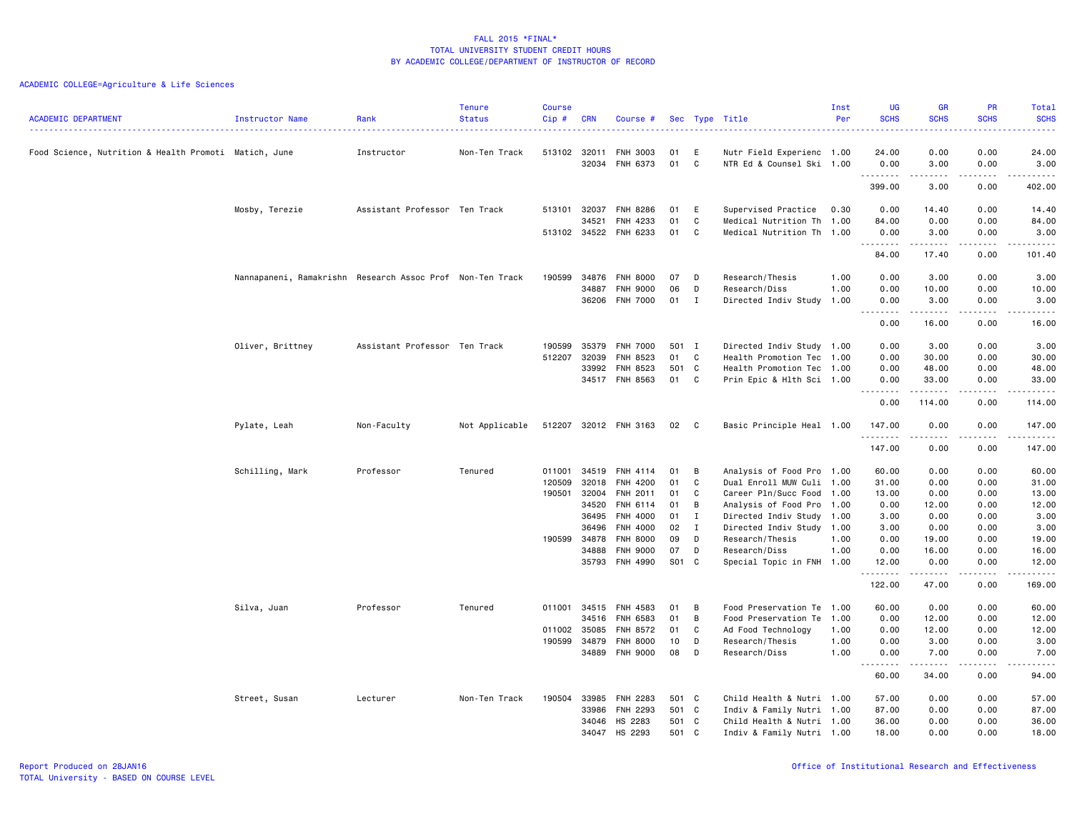| <b>ACADEMIC DEPARTMENT</b>                            | Instructor Name                                           | Rank<br>.                     | <b>Tenure</b><br><b>Status</b> | <b>Course</b><br>Cip# | <b>CRN</b> | Course #                    |          |                | Sec Type Title                                         | Inst<br>Per  | <b>UG</b><br><b>SCHS</b><br>$  -$ | <b>GR</b><br><b>SCHS</b>                                                                                                                                                        | PR<br><b>SCHS</b><br><u>.</u>       | Total<br><b>SCHS</b><br>$\frac{1}{2} \left( \frac{1}{2} \right) \left( \frac{1}{2} \right) \left( \frac{1}{2} \right) \left( \frac{1}{2} \right)$                                       |
|-------------------------------------------------------|-----------------------------------------------------------|-------------------------------|--------------------------------|-----------------------|------------|-----------------------------|----------|----------------|--------------------------------------------------------|--------------|-----------------------------------|---------------------------------------------------------------------------------------------------------------------------------------------------------------------------------|-------------------------------------|-----------------------------------------------------------------------------------------------------------------------------------------------------------------------------------------|
| Food Science, Nutrition & Health Promoti Matich, June |                                                           | Instructor                    | Non-Ten Track                  | 513102 32011          | 32034      | <b>FNH 3003</b><br>FNH 6373 | 01<br>01 | E<br>C         | Nutr Field Experienc 1.00<br>NTR Ed & Counsel Ski 1.00 |              | 24.00<br>0.00                     | 0.00<br>3.00                                                                                                                                                                    | 0.00<br>0.00                        | 24.00<br>3.00                                                                                                                                                                           |
|                                                       |                                                           |                               |                                |                       |            |                             |          |                |                                                        |              | .                                 | $\frac{1}{2} \left( \frac{1}{2} \right) \left( \frac{1}{2} \right) \left( \frac{1}{2} \right) \left( \frac{1}{2} \right) \left( \frac{1}{2} \right) \left( \frac{1}{2} \right)$ | .                                   | .                                                                                                                                                                                       |
|                                                       |                                                           |                               |                                |                       |            |                             |          |                |                                                        |              | 399.00                            | 3.00                                                                                                                                                                            | 0.00                                | 402.00                                                                                                                                                                                  |
|                                                       | Mosby, Terezie                                            | Assistant Professor Ten Track |                                | 513101                | 32037      | FNH 8286                    | 01       | E              | Supervised Practice                                    | 0.30         | 0.00                              | 14.40                                                                                                                                                                           | 0.00                                | 14.40                                                                                                                                                                                   |
|                                                       |                                                           |                               |                                | 513102 34522          | 34521      | FNH 4233<br>FNH 6233        | 01<br>01 | C<br>C         | Medical Nutrition Th 1.00<br>Medical Nutrition Th 1.00 |              | 84.00<br>0.00                     | 0.00<br>3.00                                                                                                                                                                    | 0.00<br>0.00                        | 84.00<br>3.00                                                                                                                                                                           |
|                                                       |                                                           |                               |                                |                       |            |                             |          |                |                                                        |              | .                                 | .                                                                                                                                                                               | .                                   | ------                                                                                                                                                                                  |
|                                                       |                                                           |                               |                                |                       |            |                             |          |                |                                                        |              | 84.00                             | 17.40                                                                                                                                                                           | 0.00                                | 101.40                                                                                                                                                                                  |
|                                                       | Nannapaneni, Ramakrishn Research Assoc Prof Non-Ten Track |                               |                                | 190599                | 34876      | <b>FNH 8000</b>             | 07       | D              | Research/Thesis                                        | 1.00         | 0.00                              | 3.00                                                                                                                                                                            | 0.00                                | 3.00                                                                                                                                                                                    |
|                                                       |                                                           |                               |                                |                       | 34887      | <b>FNH 9000</b>             | 06       | D              | Research/Diss                                          | 1.00         | 0.00                              | 10.00                                                                                                                                                                           | 0.00                                | 10.00                                                                                                                                                                                   |
|                                                       |                                                           |                               |                                |                       | 36206      | FNH 7000                    | 01       | $\mathbf I$    | Directed Indiv Study 1.00                              |              | 0.00<br>.<br>$\sim$ $\sim$        | 3.00<br>.                                                                                                                                                                       | 0.00<br>.                           | 3.00<br>$\frac{1}{2} \left( \frac{1}{2} \right) \left( \frac{1}{2} \right) \left( \frac{1}{2} \right) \left( \frac{1}{2} \right) \left( \frac{1}{2} \right) \left( \frac{1}{2} \right)$ |
|                                                       |                                                           |                               |                                |                       |            |                             |          |                |                                                        |              | 0.00                              | 16.00                                                                                                                                                                           | 0.00                                | 16.00                                                                                                                                                                                   |
|                                                       | Oliver, Brittney                                          | Assistant Professor Ten Track |                                | 190599                | 35379      | <b>FNH 7000</b>             | 501      | $\mathbf I$    | Directed Indiv Study 1.00                              |              | 0.00                              | 3.00                                                                                                                                                                            | 0.00                                | 3.00                                                                                                                                                                                    |
|                                                       |                                                           |                               |                                | 512207                | 32039      | FNH 8523                    | 01       | C              | Health Promotion Tec 1.00                              |              | 0.00                              | 30.00                                                                                                                                                                           | 0.00                                | 30.00                                                                                                                                                                                   |
|                                                       |                                                           |                               |                                |                       | 33992      | FNH 8523                    | 501      | $\mathbf{C}$   | Health Promotion Tec 1.00                              |              | 0.00                              | 48.00                                                                                                                                                                           | 0.00                                | 48.00                                                                                                                                                                                   |
|                                                       |                                                           |                               |                                |                       | 34517      | FNH 8563                    | 01 C     |                | Prin Epic & Hlth Sci 1.00                              |              | 0.00<br>$  -$<br>.                | 33.00                                                                                                                                                                           | 0.00<br>.                           | 33,00<br>.                                                                                                                                                                              |
|                                                       |                                                           |                               |                                |                       |            |                             |          |                |                                                        |              | 0.00                              | 114.00                                                                                                                                                                          | 0.00                                | 114.00                                                                                                                                                                                  |
|                                                       | Pylate, Leah                                              | Non-Faculty                   | Not Applicable                 |                       |            | 512207 32012 FNH 3163       | 02       | $\mathbf{C}$   | Basic Principle Heal 1.00                              |              | 147.00<br>.                       | 0.00<br>$\frac{1}{2}$                                                                                                                                                           | 0.00<br>$\sim$ $\sim$ $\sim$ $\sim$ | 147.00<br>.                                                                                                                                                                             |
|                                                       |                                                           |                               |                                |                       |            |                             |          |                |                                                        |              | 147.00                            | 0.00                                                                                                                                                                            | 0.00                                | 147.00                                                                                                                                                                                  |
|                                                       | Schilling, Mark                                           | Professor                     | Tenured                        | 011001                | 34519      | FNH 4114                    | 01       | B              | Analysis of Food Pro 1.00                              |              | 60.00                             | 0.00                                                                                                                                                                            | 0.00                                | 60.00                                                                                                                                                                                   |
|                                                       |                                                           |                               |                                | 120509                | 32018      | <b>FNH 4200</b>             | 01       | C              | Dual Enroll MUW Culi 1.00                              |              | 31.00                             | 0.00                                                                                                                                                                            | 0.00                                | 31.00                                                                                                                                                                                   |
|                                                       |                                                           |                               |                                | 190501                | 32004      | FNH 2011                    | 01       | C              | Career Pln/Succ Food 1.00                              |              | 13.00                             | 0.00                                                                                                                                                                            | 0.00                                | 13.00                                                                                                                                                                                   |
|                                                       |                                                           |                               |                                |                       | 34520      | FNH 6114                    | 01       | $\overline{B}$ | Analysis of Food Pro 1.00                              |              | 0.00                              | 12.00                                                                                                                                                                           | 0.00                                | 12.00                                                                                                                                                                                   |
|                                                       |                                                           |                               |                                |                       | 36495      | FNH 4000                    | 01       | $\mathbf{I}$   | Directed Indiv Study 1.00                              |              | 3.00                              | 0.00                                                                                                                                                                            | 0.00                                | 3.00                                                                                                                                                                                    |
|                                                       |                                                           |                               |                                |                       | 36496      | FNH 4000                    | 02       | $\mathbf I$    | Directed Indiv Study 1.00                              |              | 3.00                              | 0.00                                                                                                                                                                            | 0.00                                | 3.00                                                                                                                                                                                    |
|                                                       |                                                           |                               |                                | 190599 34878          | 34888      | FNH 8000<br><b>FNH 9000</b> | 09<br>07 | D<br>D         | Research/Thesis<br>Research/Diss                       | 1.00<br>1.00 | 0.00<br>0.00                      | 19.00<br>16.00                                                                                                                                                                  | 0.00<br>0.00                        | 19.00<br>16.00                                                                                                                                                                          |
|                                                       |                                                           |                               |                                |                       | 35793      | FNH 4990                    | S01      | $\mathbf{C}$   | Special Topic in FNH 1.00                              |              | 12.00                             | 0.00                                                                                                                                                                            | 0.00                                | 12.00                                                                                                                                                                                   |
|                                                       |                                                           |                               |                                |                       |            |                             |          |                |                                                        |              | .<br>122.00                       | $\frac{1}{2}$<br>47.00                                                                                                                                                          | $\frac{1}{2}$<br>0.00               | د د د د د<br>169.00                                                                                                                                                                     |
|                                                       | Silva, Juan                                               | Professor                     | Tenured                        | 011001 34515          |            | FNH 4583                    | 01       | B              | Food Preservation Te 1.00                              |              | 60.00                             | 0.00                                                                                                                                                                            | 0.00                                | 60.00                                                                                                                                                                                   |
|                                                       |                                                           |                               |                                |                       | 34516      | FNH 6583                    | 01       | B              | Food Preservation Te                                   | 1.00         | 0.00                              | 12.00                                                                                                                                                                           | 0.00                                | 12.00                                                                                                                                                                                   |
|                                                       |                                                           |                               |                                | 011002 35085          |            | FNH 8572                    | 01       | C              | Ad Food Technology                                     | 1.00         | 0.00                              | 12.00                                                                                                                                                                           | 0.00                                | 12.00                                                                                                                                                                                   |
|                                                       |                                                           |                               |                                | 190599                | 34879      | <b>FNH 8000</b>             | 10       | D              | Research/Thesis                                        | 1.00         | 0.00                              | 3.00                                                                                                                                                                            | 0.00                                | 3.00                                                                                                                                                                                    |
|                                                       |                                                           |                               |                                |                       | 34889      | FNH 9000                    | 08       | D              | Research/Diss                                          | 1.00         | 0.00<br>.                         | 7.00                                                                                                                                                                            | 0.00<br>.                           | 7.00<br>-----                                                                                                                                                                           |
|                                                       |                                                           |                               |                                |                       |            |                             |          |                |                                                        |              | 60.00                             | 34.00                                                                                                                                                                           | 0.00                                | 94.00                                                                                                                                                                                   |
|                                                       | Street, Susan                                             | Lecturer                      | Non-Ten Track                  | 190504                | 33985      | FNH 2283                    | 501      | C <sub>c</sub> | Child Health & Nutri 1.00                              |              | 57.00                             | 0.00                                                                                                                                                                            | 0.00                                | 57.00                                                                                                                                                                                   |
|                                                       |                                                           |                               |                                |                       | 33986      | FNH 2293                    | 501      | $\mathbf{C}$   | Indiv & Family Nutri 1.00                              |              | 87.00                             | 0.00                                                                                                                                                                            | 0.00                                | 87.00                                                                                                                                                                                   |
|                                                       |                                                           |                               |                                |                       | 34046      | HS 2283                     | 501 C    |                | Child Health & Nutri 1.00                              |              | 36.00                             | 0.00                                                                                                                                                                            | 0.00                                | 36.00                                                                                                                                                                                   |
|                                                       |                                                           |                               |                                |                       | 34047      | HS 2293                     | 501      | C.             | Indiv & Family Nutri 1.00                              |              | 18.00                             | 0.00                                                                                                                                                                            | 0.00                                | 18.00                                                                                                                                                                                   |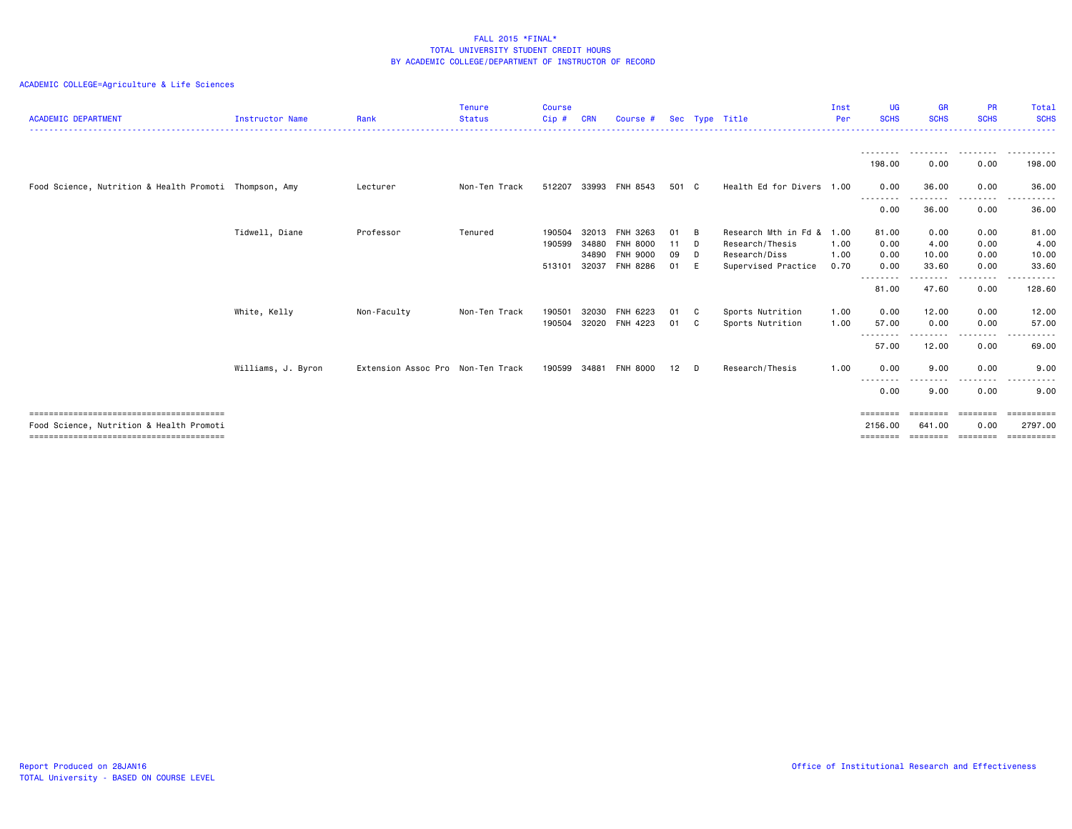| <b>ACADEMIC DEPARTMENT</b>                             | <b>Instructor Name</b> | Rank                              | <b>Tenure</b><br><b>Status</b> | <b>Course</b><br>Cip# | CRN   | Course #        |       |              | Sec Type Title                  | Inst<br>Per | UG<br><b>SCHS</b>                                                       | <b>GR</b><br><b>SCHS</b> | <b>PR</b><br><b>SCHS</b>                                                                                                                                                                | Total<br><b>SCHS</b> |
|--------------------------------------------------------|------------------------|-----------------------------------|--------------------------------|-----------------------|-------|-----------------|-------|--------------|---------------------------------|-------------|-------------------------------------------------------------------------|--------------------------|-----------------------------------------------------------------------------------------------------------------------------------------------------------------------------------------|----------------------|
|                                                        |                        |                                   |                                |                       |       |                 |       |              | ------------------------------- |             | .                                                                       |                          |                                                                                                                                                                                         | .                    |
|                                                        |                        |                                   |                                |                       |       |                 |       |              |                                 |             | ---------<br>198.00                                                     | .<br>0.00                | .<br>0.00                                                                                                                                                                               | .<br>198.00          |
| Food Science, Nutrition & Health Promoti Thompson, Amy |                        | Lecturer                          | Non-Ten Track                  | 512207                |       | 33993 FNH 8543  | 501 C |              | Health Ed for Divers 1.00       |             | 0.00<br>--------                                                        | 36.00<br>--------        | 0.00<br>$\frac{1}{2} \left( \frac{1}{2} \right) \left( \frac{1}{2} \right) \left( \frac{1}{2} \right) \left( \frac{1}{2} \right) \left( \frac{1}{2} \right) \left( \frac{1}{2} \right)$ | 36.00<br>.           |
|                                                        |                        |                                   |                                |                       |       |                 |       |              |                                 |             | 0.00                                                                    | 36.00                    | 0.00                                                                                                                                                                                    | 36.00                |
|                                                        | Tidwell, Diane         | Professor                         | Tenured                        | 190504                | 32013 | FNH 3263        | 01    | - B          | Research Mth in Fd &            | 1.00        | 81.00                                                                   | 0.00                     | 0.00                                                                                                                                                                                    | 81.00                |
|                                                        |                        |                                   |                                | 190599                | 34880 | <b>FNH 8000</b> | 11 D  |              | Research/Thesis                 | 1.00        | 0.00                                                                    | 4.00                     | 0.00                                                                                                                                                                                    | 4.00                 |
|                                                        |                        |                                   |                                |                       | 34890 | <b>FNH 9000</b> | 09    | D            | Research/Diss                   | 1.00        | 0.00                                                                    | 10.00                    | 0.00                                                                                                                                                                                    | 10.00                |
|                                                        |                        |                                   |                                | 513101                | 32037 | FNH 8286        | 01    | E            | Supervised Practice             | 0.70        | 0.00                                                                    | 33.60                    | 0.00                                                                                                                                                                                    | 33.60                |
|                                                        |                        |                                   |                                |                       |       |                 |       |              |                                 |             | --------<br>81.00                                                       | ------<br>47.60          | -----<br>0.00                                                                                                                                                                           | .<br>128.60          |
|                                                        | White, Kelly           | Non-Faculty                       | Non-Ten Track                  | 190501                | 32030 | FNH 6223        | 01    | $\mathbf{C}$ | Sports Nutrition                | 1.00        | 0.00                                                                    | 12.00                    | 0.00                                                                                                                                                                                    | 12.00                |
|                                                        |                        |                                   |                                | 190504                | 32020 | FNH 4223        | 01    | C.           | Sports Nutrition                | 1.00        | 57.00                                                                   | 0.00                     | 0.00                                                                                                                                                                                    | 57.00                |
|                                                        |                        |                                   |                                |                       |       |                 |       |              |                                 |             | ---------<br>57.00                                                      | ------<br>12.00          | -----<br>0.00                                                                                                                                                                           | .<br>69.00           |
|                                                        | Williams, J. Byron     | Extension Assoc Pro Non-Ten Track |                                | 190599                | 34881 | <b>FNH 8000</b> | 12    | D            | Research/Thesis                 | 1.00        | 0.00                                                                    | 9.00                     | 0.00                                                                                                                                                                                    | 9.00                 |
|                                                        |                        |                                   |                                |                       |       |                 |       |              |                                 |             | --------<br>0.00                                                        | 9.00                     | 0.00                                                                                                                                                                                    | 9.00                 |
|                                                        |                        |                                   |                                |                       |       |                 |       |              |                                 |             | $\qquad \qquad \equiv \equiv \equiv \equiv \equiv \equiv \equiv \equiv$ | --------                 | ========                                                                                                                                                                                | $=$ ==========       |
| Food Science, Nutrition & Health Promoti               |                        |                                   |                                |                       |       |                 |       |              |                                 |             | 2156.00                                                                 | 641.00                   | 0.00                                                                                                                                                                                    | 2797.00              |
|                                                        |                        |                                   |                                |                       |       |                 |       |              |                                 |             | ========                                                                | ========                 | ========                                                                                                                                                                                | essessess            |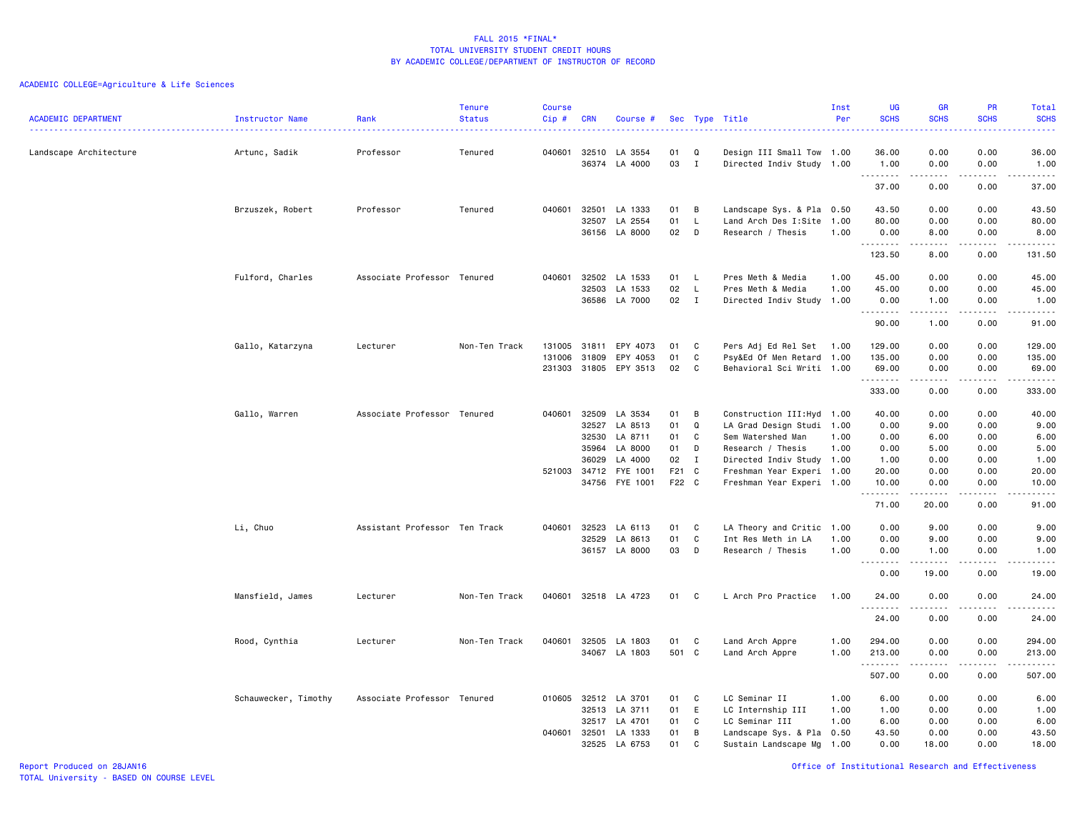| <b>ACADEMIC DEPARTMENT</b> | Instructor Name      | Rank                            | <b>Tenure</b><br><b>Status</b> | <b>Course</b><br>$Cip \#$ | <b>CRN</b>            | Course #              |                |              | Sec Type Title                                         | Inst<br>Per | UG<br><b>SCHS</b>                 | <b>GR</b><br><b>SCHS</b> | PR<br><b>SCHS</b> | Total<br><b>SCHS</b>                                                                                                                                 |
|----------------------------|----------------------|---------------------------------|--------------------------------|---------------------------|-----------------------|-----------------------|----------------|--------------|--------------------------------------------------------|-------------|-----------------------------------|--------------------------|-------------------|------------------------------------------------------------------------------------------------------------------------------------------------------|
| Landscape Architecture     | Artunc, Sadik        | ------------------<br>Professor | Tenured                        |                           | 040601 32510          | LA 3554               | 01             | Q            | Design III Small Tow 1.00                              |             | 36.00                             | 0.00                     | 0.00              | $\frac{1}{2} \left( \frac{1}{2} \right) \left( \frac{1}{2} \right) \left( \frac{1}{2} \right) \left( \frac{1}{2} \right)$<br>36.00                   |
|                            |                      |                                 |                                |                           |                       | 36374 LA 4000         | 03             | Ι.           | Directed Indiv Study 1.00                              |             | 1.00<br>-----                     | 0.00                     | 0.00              | 1.00<br>.                                                                                                                                            |
|                            |                      |                                 |                                |                           |                       |                       |                |              |                                                        |             | 37.00                             | 0.00                     | 0.00              | 37.00                                                                                                                                                |
|                            | Brzuszek, Robert     | Professor                       | Tenured                        | 040601                    | 32501                 | LA 1333               | 01             | в            | Landscape Sys. & Pla 0.50                              |             | 43.50                             | 0.00                     | 0.00              | 43.50                                                                                                                                                |
|                            |                      |                                 |                                |                           | 32507                 | LA 2554               | 01             | L            | Land Arch Des I:Site 1.00                              |             | 80.00                             | 0.00                     | 0.00              | 80.00                                                                                                                                                |
|                            |                      |                                 |                                |                           |                       | 36156 LA 8000         | 02             | D            | Research / Thesis                                      | 1.00        | 0.00<br>. <b>.</b>                | 8.00<br>-----            | 0.00<br>.         | 8.00                                                                                                                                                 |
|                            |                      |                                 |                                |                           |                       |                       |                |              |                                                        |             | 123.50                            | 8.00                     | 0.00              | 131.50                                                                                                                                               |
|                            | Fulford, Charles     | Associate Professor Tenured     |                                | 040601                    | 32502                 | LA 1533               | 01             | L.           | Pres Meth & Media                                      | 1.00        | 45.00                             | 0.00                     | 0.00              | 45.00                                                                                                                                                |
|                            |                      |                                 |                                |                           | 32503                 | LA 1533               | 02             | L            | Pres Meth & Media                                      | 1.00        | 45.00                             | 0.00                     | 0.00              | 45.00                                                                                                                                                |
|                            |                      |                                 |                                |                           | 36586                 | LA 7000               | 02             | $\mathbf{I}$ | Directed Indiv Study 1.00                              |             | 0.00<br>.                         | 1.00<br>.                | 0.00<br>.         | 1.00<br>.                                                                                                                                            |
|                            |                      |                                 |                                |                           |                       |                       |                |              |                                                        |             | 90.00                             | 1.00                     | 0.00              | 91.00                                                                                                                                                |
|                            | Gallo, Katarzyna     | Lecturer                        | Non-Ten Track                  |                           | 131005 31811          | EPY 4073              | 01             | C            | Pers Adj Ed Rel Set 1.00                               |             | 129.00                            | 0.00                     | 0.00              | 129.00                                                                                                                                               |
|                            |                      |                                 |                                | 131006                    | 31809                 | EPY 4053              | 01             | C            | Psy&Ed Of Men Retard 1.00                              |             | 135.00                            | 0.00                     | 0.00              | 135.00                                                                                                                                               |
|                            |                      |                                 |                                |                           |                       | 231303 31805 EPY 3513 | 02             | C            | Behavioral Sci Writi 1.00                              |             | 69.00                             | 0.00                     | 0.00              | 69.00                                                                                                                                                |
|                            |                      |                                 |                                |                           |                       |                       |                |              |                                                        |             | . <b>.</b><br>333.00              | .<br>0.00                | .<br>0.00         | .<br>333.00                                                                                                                                          |
|                            | Gallo, Warren        | Associate Professor Tenured     |                                | 040601                    | 32509                 | LA 3534               | 01             | B            | Construction III: Hyd 1.00                             |             | 40.00                             | 0.00                     | 0.00              | 40.00                                                                                                                                                |
|                            |                      |                                 |                                |                           | 32527                 | LA 8513               | 01             | Q            | LA Grad Design Studi 1.00                              |             | 0.00                              | 9.00                     | 0.00              | 9.00                                                                                                                                                 |
|                            |                      |                                 |                                |                           | 32530                 | LA 8711               | 01             | C            | Sem Watershed Man                                      | 1.00        | 0.00                              | 6.00                     | 0.00              | 6.00                                                                                                                                                 |
|                            |                      |                                 |                                |                           | 35964                 | LA 8000               | 01             | D            | Research / Thesis                                      | 1.00        | 0.00                              | 5.00                     | 0.00              | 5.00                                                                                                                                                 |
|                            |                      |                                 |                                |                           | 36029                 | LA 4000               | 02             | I            | Directed Indiv Study 1.00                              |             | 1.00                              | 0.00                     | 0.00              | 1.00                                                                                                                                                 |
|                            |                      |                                 |                                |                           | 521003 34712<br>34756 | FYE 1001<br>FYE 1001  | F21 C<br>F22 C |              | Freshman Year Experi 1.00<br>Freshman Year Experi 1.00 |             | 20.00<br>10.00                    | 0.00<br>0.00             | 0.00<br>0.00      | 20.00<br>10.00                                                                                                                                       |
|                            |                      |                                 |                                |                           |                       |                       |                |              |                                                        |             | .                                 |                          | $\frac{1}{2}$     | $\frac{1}{2} \left( \frac{1}{2} \right) \left( \frac{1}{2} \right) \left( \frac{1}{2} \right) \left( \frac{1}{2} \right) \left( \frac{1}{2} \right)$ |
|                            |                      |                                 |                                |                           |                       |                       |                |              |                                                        |             | 71.00                             | 20.00                    | 0.00              | 91.00                                                                                                                                                |
|                            | Li, Chuo             | Assistant Professor Ten Track   |                                | 040601                    | 32523                 | LA 6113               | 01             | C            | LA Theory and Critic 1.00                              |             | 0.00                              | 9.00                     | 0.00              | 9.00                                                                                                                                                 |
|                            |                      |                                 |                                |                           | 32529                 | LA 8613               | 01             | C            | Int Res Meth in LA                                     | 1.00        | 0.00                              | 9.00                     | 0.00              | 9.00                                                                                                                                                 |
|                            |                      |                                 |                                |                           | 36157                 | LA 8000               | 03             | D            | Research / Thesis                                      | 1.00        | 0.00<br>$\sim$ $\sim$ $\sim$<br>. | 1.00                     | 0.00<br>$- - - -$ | 1.00<br>.                                                                                                                                            |
|                            |                      |                                 |                                |                           |                       |                       |                |              |                                                        |             | 0.00                              | 19.00                    | 0.00              | 19.00                                                                                                                                                |
|                            | Mansfield, James     | Lecturer                        | Non-Ten Track                  |                           |                       | 040601 32518 LA 4723  | 01             | C            | L Arch Pro Practice                                    | 1.00        | 24.00<br>.                        | 0.00<br>.                | 0.00              | 24.00<br>.                                                                                                                                           |
|                            |                      |                                 |                                |                           |                       |                       |                |              |                                                        |             | 24.00                             | 0.00                     | 0.00              | 24.00                                                                                                                                                |
|                            | Rood, Cynthia        | Lecturer                        | Non-Ten Track                  | 040601                    | 32505                 | LA 1803               | 01             | C            | Land Arch Appre                                        | 1.00        | 294.00                            | 0.00                     | 0.00              | 294.00                                                                                                                                               |
|                            |                      |                                 |                                |                           |                       | 34067 LA 1803         | 501 C          |              | Land Arch Appre                                        | 1.00        | 213.00                            | 0.00                     | 0.00              | 213.00                                                                                                                                               |
|                            |                      |                                 |                                |                           |                       |                       |                |              |                                                        |             | .<br>507.00                       | .<br>0.00                | .<br>0.00         | .<br>507.00                                                                                                                                          |
|                            | Schauwecker, Timothy | Associate Professor Tenured     |                                | 010605                    | 32512                 | LA 3701               | 01             | C            | LC Seminar II                                          | 1.00        | 6.00                              | 0.00                     | 0.00              | 6.00                                                                                                                                                 |
|                            |                      |                                 |                                |                           | 32513                 | LA 3711               | 01             | E            | LC Internship III                                      | 1.00        | 1.00                              | 0.00                     | 0.00              | 1.00                                                                                                                                                 |
|                            |                      |                                 |                                |                           | 32517                 | LA 4701               | 01             | C            | LC Seminar III                                         | 1.00        | 6.00                              | 0.00                     | 0.00              | 6.00                                                                                                                                                 |
|                            |                      |                                 |                                |                           | 040601 32501          | LA 1333               | 01             | В            | Landscape Sys. & Pla 0.50                              |             | 43.50                             | 0.00                     | 0.00              | 43.50                                                                                                                                                |
|                            |                      |                                 |                                |                           |                       | 32525 LA 6753         | 01             | C            | Sustain Landscape Mg 1.00                              |             | 0.00                              | 18.00                    | 0.00              | 18.00                                                                                                                                                |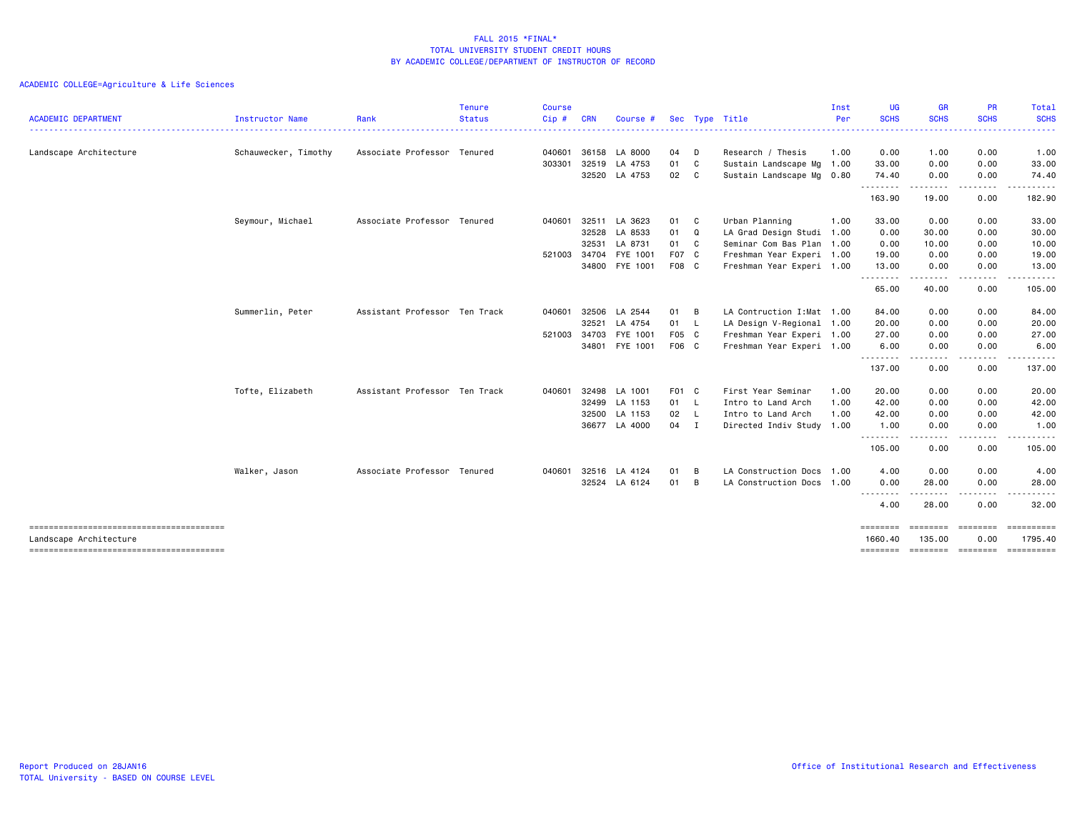|                            |                      |                               | <b>Tenure</b> | <b>Course</b> |              |               |        |   |                            | Inst | <b>UG</b>           | <b>GR</b>            | PR               | <b>Total</b>      |
|----------------------------|----------------------|-------------------------------|---------------|---------------|--------------|---------------|--------|---|----------------------------|------|---------------------|----------------------|------------------|-------------------|
| <b>ACADEMIC DEPARTMENT</b> | Instructor Name      | Rank                          | Status        | Cip#          | <b>CRN</b>   | Course #      |        |   | Sec Type Title             | Per  | <b>SCHS</b><br>.    | <b>SCHS</b><br>.     | <b>SCHS</b>      | <b>SCHS</b><br>.  |
| Landscape Architecture     | Schauwecker, Timothy | Associate Professor Tenured   |               | 040601        | 36158        | LA 8000       | 04     | D | Research / Thesis          | 1.00 | 0.00                | 1.00                 | 0.00             | 1.00              |
|                            |                      |                               |               | 303301        | 32519        | LA 4753       | 01 C   |   | Sustain Landscape Mg       | 1.00 | 33.00               | 0.00                 | 0.00             | 33.00             |
|                            |                      |                               |               |               |              | 32520 LA 4753 | 02 C   |   | Sustain Landscape Mg 0.80  |      | 74.40<br>.          | 0.00<br>.            | 0.00<br>-----    | 74.40<br>.        |
|                            |                      |                               |               |               |              |               |        |   |                            |      | 163.90              | 19.00                | 0.00             | 182.90            |
|                            | Seymour, Michael     | Associate Professor Tenured   |               | 040601        | 32511        | LA 3623       | 01 C   |   | Urban Planning             | 1.00 | 33.00               | 0.00                 | 0.00             | 33.00             |
|                            |                      |                               |               |               | 32528        | LA 8533       | 01 Q   |   | LA Grad Design Studi 1.00  |      | 0.00                | 30.00                | 0.00             | 30.00             |
|                            |                      |                               |               |               | 32531        | LA 8731       | 01 C   |   | Seminar Com Bas Plan 1.00  |      | 0.00                | 10.00                | 0.00             | 10.00             |
|                            |                      |                               |               | 521003        | 34704        | FYE 1001      | F07 C  |   | Freshman Year Experi 1.00  |      | 19.00               | 0.00                 | 0.00             | 19.00             |
|                            |                      |                               |               |               | 34800        | FYE 1001      | F08 C  |   | Freshman Year Experi 1.00  |      | 13.00<br>.          | 0.00<br>. <u>.</u> . | 0.00<br>-----    | 13.00<br><u>.</u> |
|                            |                      |                               |               |               |              |               |        |   |                            |      | 65.00               | 40.00                | 0.00             | 105.00            |
|                            | Summerlin, Peter     | Assistant Professor Ten Track |               | 040601        | 32506        | LA 2544       | 01 B   |   | LA Contruction I: Mat 1.00 |      | 84.00               | 0.00                 | 0.00             | 84.00             |
|                            |                      |                               |               |               | 32521        | LA 4754       | 01 L   |   | LA Design V-Regional 1.00  |      | 20.00               | 0.00                 | 0.00             | 20.00             |
|                            |                      |                               |               | 521003        | 34703        | FYE 1001      | F05 C  |   | Freshman Year Experi 1.00  |      | 27.00               | 0.00                 | 0.00             | 27.00             |
|                            |                      |                               |               |               | 34801        | FYE 1001      | F06 C  |   | Freshman Year Experi 1.00  |      | 6.00<br><u>.</u>    | 0.00<br>-----        | 0.00<br>.        | 6.00<br>.         |
|                            |                      |                               |               |               |              |               |        |   |                            |      | 137.00              | 0.00                 | 0.00             | 137.00            |
|                            | Tofte, Elizabeth     | Assistant Professor Ten Track |               | 040601        | 32498        | LA 1001       | F01 C  |   | First Year Seminar         | 1.00 | 20.00               | 0.00                 | 0.00             | 20.00             |
|                            |                      |                               |               |               | 32499        | LA 1153       | 01 L   |   | Intro to Land Arch         | 1.00 | 42.00               | 0.00                 | 0.00             | 42.00             |
|                            |                      |                               |               |               | 32500        | LA 1153       | 02 L   |   | Intro to Land Arch         | 1.00 | 42.00               | 0.00                 | 0.00             | 42.00             |
|                            |                      |                               |               |               | 36677        | LA 4000       | $04$ I |   | Directed Indiv Study 1.00  |      | 1.00<br>.           | 0.00                 | 0.00             | 1.00              |
|                            |                      |                               |               |               |              |               |        |   |                            |      | 105.00              | - - -<br>0.00        | 0.00             | 105.00            |
|                            | Walker, Jason        | Associate Professor Tenured   |               |               | 040601 32516 | LA 4124       | 01     | B | LA Construction Docs       | 1.00 | 4.00                | 0.00                 | 0.00             | 4.00              |
|                            |                      |                               |               |               |              | 32524 LA 6124 | 01     | B | LA Construction Docs 1.00  |      | 0.00                | 28.00                | 0.00             | 28.00             |
|                            |                      |                               |               |               |              |               |        |   |                            |      | --------<br>4.00    | .<br>28.00           | .<br>0.00        | .<br>32.00        |
| Landscape Architecture     |                      |                               |               |               |              |               |        |   |                            |      | ========<br>1660,40 | ========<br>135.00   | ========<br>0.00 | 1795.40           |
|                            |                      |                               |               |               |              |               |        |   |                            |      | ========            | ========             | ========         | ==========        |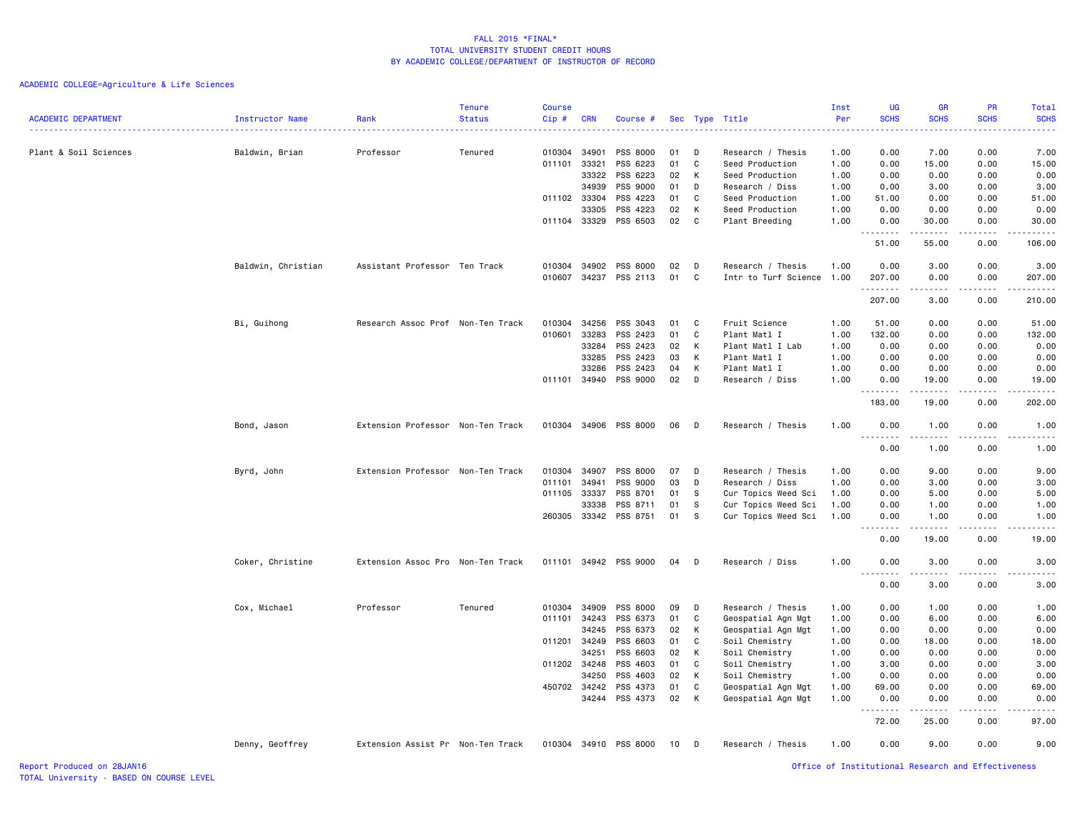# ACADEMIC COLLEGE=Agriculture & Life Sciences

| <b>ACADEMIC DEPARTMENT</b> | <b>Instructor Name</b> | Rank                              | <b>Tenure</b><br><b>Status</b> | <b>Course</b><br>Cip# | <b>CRN</b>            | Course #              | Sec      |        | Type Title                           | Inst<br>Per  | UG<br><b>SCHS</b>                     | <b>GR</b><br><b>SCHS</b>                                                                                                                                      | PR<br><b>SCHS</b> | Total<br><b>SCHS</b>                                                                                                                                          |
|----------------------------|------------------------|-----------------------------------|--------------------------------|-----------------------|-----------------------|-----------------------|----------|--------|--------------------------------------|--------------|---------------------------------------|---------------------------------------------------------------------------------------------------------------------------------------------------------------|-------------------|---------------------------------------------------------------------------------------------------------------------------------------------------------------|
|                            |                        |                                   |                                |                       |                       |                       |          |        |                                      |              | 2222                                  |                                                                                                                                                               |                   | .                                                                                                                                                             |
| Plant & Soil Sciences      | Baldwin, Brian         | Professor                         | Tenured                        | 010304 34901          |                       | PSS 8000              | 01       | D      | Research / Thesis                    | 1.00         | 0.00                                  | 7.00                                                                                                                                                          | 0.00              | 7.00                                                                                                                                                          |
|                            |                        |                                   |                                | 011101                | 33321                 | PSS 6223              | 01       | C      | Seed Production                      | 1.00         | 0.00                                  | 15.00                                                                                                                                                         | 0.00              | 15.00                                                                                                                                                         |
|                            |                        |                                   |                                |                       | 33322                 | PSS 6223              | 02       | К      | Seed Production                      | 1.00         | 0.00                                  | 0.00                                                                                                                                                          | 0.00              | 0.00                                                                                                                                                          |
|                            |                        |                                   |                                |                       | 34939                 | PSS 9000              | 01       | D      | Research / Diss                      | 1.00         | 0.00                                  | 3.00                                                                                                                                                          | 0.00              | 3.00                                                                                                                                                          |
|                            |                        |                                   |                                | 011102 33304          |                       | PSS 4223              | 01       | C      | Seed Production                      | 1.00         | 51.00                                 | 0.00                                                                                                                                                          | 0.00              | 51.00                                                                                                                                                         |
|                            |                        |                                   |                                |                       | 33305                 | PSS 4223              | 02       | К      | Seed Production                      | 1.00         | 0.00                                  | 0.00                                                                                                                                                          | 0.00              | 0.00                                                                                                                                                          |
|                            |                        |                                   |                                | 011104 33329          |                       | PSS 6503              | 02       | C      | Plant Breeding                       | 1.00         | 0.00<br>.                             | 30.00<br>$\frac{1}{2} \left( \frac{1}{2} \right) \left( \frac{1}{2} \right) \left( \frac{1}{2} \right) \left( \frac{1}{2} \right) \left( \frac{1}{2} \right)$ | 0.00<br>.         | 30.00<br>.                                                                                                                                                    |
|                            |                        |                                   |                                |                       |                       |                       |          |        |                                      |              | 51.00                                 | 55.00                                                                                                                                                         | 0.00              | 106.00                                                                                                                                                        |
|                            | Baldwin, Christian     | Assistant Professor Ten Track     |                                |                       | 010304 34902          | PSS 8000              | 02       | D      | Research / Thesis                    | 1.00         | 0.00                                  | 3.00                                                                                                                                                          | 0.00              | 3.00                                                                                                                                                          |
|                            |                        |                                   |                                | 010607                |                       | 34237 PSS 2113        | 01       | C      | Intr to Turf Science 1.00            |              | 207.00                                | 0.00                                                                                                                                                          | 0.00              | 207.00                                                                                                                                                        |
|                            |                        |                                   |                                |                       |                       |                       |          |        |                                      |              | .<br>207.00                           | -----<br>3.00                                                                                                                                                 | -----<br>0.00     | .<br>210.00                                                                                                                                                   |
|                            |                        |                                   |                                |                       |                       |                       |          |        |                                      |              |                                       |                                                                                                                                                               |                   |                                                                                                                                                               |
|                            | Bi, Guihong            | Research Assoc Prof Non-Ten Track |                                | 010304 34256          |                       | PSS 3043              | 01       | C      | Fruit Science                        | 1.00         | 51.00                                 | 0.00                                                                                                                                                          | 0.00              | 51.00                                                                                                                                                         |
|                            |                        |                                   |                                | 010601                | 33283                 | PSS 2423              | 01       | C      | Plant Matl I                         | 1.00         | 132.00                                | 0.00                                                                                                                                                          | 0.00              | 132.00                                                                                                                                                        |
|                            |                        |                                   |                                |                       | 33284                 | PSS 2423              | 02       | К      | Plant Matl I Lab                     | 1.00         | 0.00                                  | 0.00                                                                                                                                                          | 0.00              | 0.00                                                                                                                                                          |
|                            |                        |                                   |                                |                       | 33285                 | PSS 2423              | 03       | К      | Plant Matl I                         | 1.00         | 0.00                                  | 0.00                                                                                                                                                          | 0.00              | 0.00                                                                                                                                                          |
|                            |                        |                                   |                                |                       | 33286                 | PSS 2423              | 04       | К      | Plant Matl I                         | 1.00         | 0.00                                  | 0.00                                                                                                                                                          | 0.00              | 0.00                                                                                                                                                          |
|                            |                        |                                   |                                |                       | 011101 34940          | PSS 9000              | 02       | D      | Research / Diss                      | 1.00         | 0.00<br>.                             | 19.00                                                                                                                                                         | 0.00              | 19.00<br>.                                                                                                                                                    |
|                            |                        |                                   |                                |                       |                       |                       |          |        |                                      |              | 183.00                                | 19.00                                                                                                                                                         | 0.00              | 202.00                                                                                                                                                        |
|                            | Bond, Jason            | Extension Professor Non-Ten Track |                                |                       | 010304 34906          | PSS 8000              | 06       | D      | Research / Thesis                    | 1.00         | 0.00<br>. <b>.</b>                    | 1.00<br>-----                                                                                                                                                 | 0.00<br>.         | 1.00<br>.                                                                                                                                                     |
|                            |                        |                                   |                                |                       |                       |                       |          |        |                                      |              | 0.00                                  | 1.00                                                                                                                                                          | 0.00              | 1.00                                                                                                                                                          |
|                            |                        |                                   |                                |                       | 34907                 |                       |          |        |                                      |              |                                       |                                                                                                                                                               |                   |                                                                                                                                                               |
|                            | Byrd, John             | Extension Professor Non-Ten Track |                                | 010304<br>011101      | 34941                 | PSS 8000<br>PSS 9000  | 07<br>03 | D<br>D | Research / Thesis<br>Research / Diss | 1.00<br>1.00 | 0.00<br>0.00                          | 9.00<br>3.00                                                                                                                                                  | 0.00<br>0.00      | 9.00<br>3.00                                                                                                                                                  |
|                            |                        |                                   |                                |                       | 33337                 | PSS 8701              |          |        |                                      |              |                                       |                                                                                                                                                               |                   | 5.00                                                                                                                                                          |
|                            |                        |                                   |                                | 011105                |                       |                       | 01       | s      | Cur Topics Weed Sci                  | 1.00         | 0.00                                  | 5.00                                                                                                                                                          | 0.00              |                                                                                                                                                               |
|                            |                        |                                   |                                |                       | 33338<br>260305 33342 | PSS 8711<br>PSS 8751  | 01<br>01 | S<br>S | Cur Topics Weed Sci                  | 1.00<br>1.00 | 0.00<br>0.00                          | 1.00<br>1.00                                                                                                                                                  | 0.00<br>0.00      | 1.00<br>1.00                                                                                                                                                  |
|                            |                        |                                   |                                |                       |                       |                       |          |        | Cur Topics Weed Sci                  |              | $\sim$ $\sim$ $\sim$<br>.             | $\frac{1}{2} \left( \frac{1}{2} \right) \left( \frac{1}{2} \right) \left( \frac{1}{2} \right) \left( \frac{1}{2} \right) \left( \frac{1}{2} \right)$          | .                 | $\frac{1}{2} \left( \frac{1}{2} \right) \left( \frac{1}{2} \right) \left( \frac{1}{2} \right) \left( \frac{1}{2} \right) \left( \frac{1}{2} \right)$          |
|                            |                        |                                   |                                |                       |                       |                       |          |        |                                      |              | 0.00                                  | 19.00                                                                                                                                                         | 0.00              | 19.00                                                                                                                                                         |
|                            | Coker, Christine       | Extension Assoc Pro Non-Ten Track |                                |                       |                       | 011101 34942 PSS 9000 | 04       | D      | Research / Diss                      | 1.00         | 0.00<br>$\sim$ $\sim$ $\sim$<br>----- | 3.00<br>-----                                                                                                                                                 | 0.00<br>.         | 3.00<br>.                                                                                                                                                     |
|                            |                        |                                   |                                |                       |                       |                       |          |        |                                      |              | 0.00                                  | 3.00                                                                                                                                                          | 0.00              | 3.00                                                                                                                                                          |
|                            | Cox, Michael           | Professor                         | Tenured                        | 010304                | 34909                 | PSS 8000              | 09       | D      | Research / Thesis                    | 1.00         | 0.00                                  | 1.00                                                                                                                                                          | 0.00              | 1.00                                                                                                                                                          |
|                            |                        |                                   |                                | 011101                | 34243                 | PSS 6373              | 01       | C      | Geospatial Agn Mgt                   | 1.00         | 0.00                                  | 6.00                                                                                                                                                          | 0.00              | 6.00                                                                                                                                                          |
|                            |                        |                                   |                                |                       | 34245                 | PSS 6373              | 02       | К      | Geospatial Agn Mgt                   | 1.00         | 0.00                                  | 0.00                                                                                                                                                          | 0.00              | 0.00                                                                                                                                                          |
|                            |                        |                                   |                                | 011201 34249          |                       | PSS 6603              | 01       | C      | Soil Chemistry                       | 1.00         | 0.00                                  | 18.00                                                                                                                                                         | 0.00              | 18.00                                                                                                                                                         |
|                            |                        |                                   |                                |                       | 34251                 | PSS 6603              | 02       | К      | Soil Chemistry                       | 1.00         | 0.00                                  | 0.00                                                                                                                                                          | 0.00              | 0.00                                                                                                                                                          |
|                            |                        |                                   |                                | 011202 34248          |                       | PSS 4603              | 01       | C      | Soil Chemistry                       | 1.00         | 3.00                                  | 0.00                                                                                                                                                          | 0.00              | 3.00                                                                                                                                                          |
|                            |                        |                                   |                                |                       | 34250                 | PSS 4603              | 02       | К      | Soil Chemistry                       | 1.00         | 0.00                                  | 0.00                                                                                                                                                          | 0.00              | 0.00                                                                                                                                                          |
|                            |                        |                                   |                                |                       | 450702 34242          | PSS 4373              | 01       | C      | Geospatial Agn Mgt                   | 1.00         | 69.00                                 | 0.00                                                                                                                                                          | 0.00              | 69.00                                                                                                                                                         |
|                            |                        |                                   |                                |                       |                       | 34244 PSS 4373        | 02       | K      | Geospatial Agn Mgt                   | 1.00         | 0.00                                  | 0.00                                                                                                                                                          | 0.00              | 0.00                                                                                                                                                          |
|                            |                        |                                   |                                |                       |                       |                       |          |        |                                      |              | <u>.</u><br>72.00                     | 25.00                                                                                                                                                         | .<br>0.00         | $\frac{1}{2} \left( \frac{1}{2} \right) \left( \frac{1}{2} \right) \left( \frac{1}{2} \right) \left( \frac{1}{2} \right) \left( \frac{1}{2} \right)$<br>97.00 |
|                            | Denny, Geoffrey        | Extension Assist Pr Non-Ten Track |                                |                       |                       | 010304 34910 PSS 8000 | 10       | D      | Research / Thesis                    | 1.00         | 0.00                                  | 9.00                                                                                                                                                          | 0.00              | 9.00                                                                                                                                                          |

Report Produced on 28JAN16 Office of Institutional Research and Effectiveness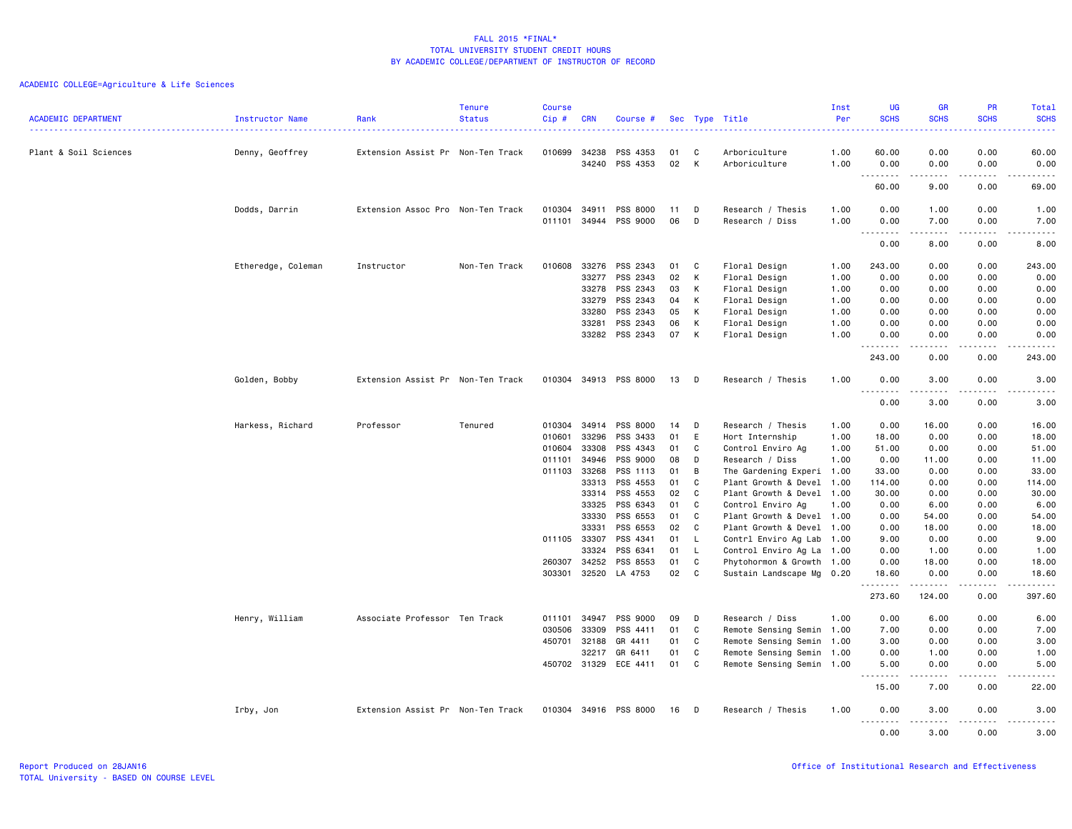| <b>ACADEMIC DEPARTMENT</b> | Instructor Name    | Rank                              | <b>Tenure</b><br><b>Status</b> | <b>Course</b><br>Cip# | <b>CRN</b>     | Course #              |          |        | Sec Type Title            | Inst<br>Per  | <b>UG</b><br><b>SCHS</b>                                                                                                                                                              | <b>GR</b><br><b>SCHS</b>                                                                                                                                       | PR<br><b>SCHS</b>                   | Total<br><b>SCHS</b>                                                                                                                                                                    |
|----------------------------|--------------------|-----------------------------------|--------------------------------|-----------------------|----------------|-----------------------|----------|--------|---------------------------|--------------|---------------------------------------------------------------------------------------------------------------------------------------------------------------------------------------|----------------------------------------------------------------------------------------------------------------------------------------------------------------|-------------------------------------|-----------------------------------------------------------------------------------------------------------------------------------------------------------------------------------------|
|                            |                    |                                   |                                |                       |                |                       |          |        |                           | .            | $\sim$ $\sim$ $\sim$ $\sim$                                                                                                                                                           |                                                                                                                                                                | <b><i><u><u>.</u></u></i></b>       | $\frac{1}{2} \left( \frac{1}{2} \right) \left( \frac{1}{2} \right) \left( \frac{1}{2} \right) \left( \frac{1}{2} \right)$                                                               |
| Plant & Soil Sciences      | Denny, Geoffrey    | Extension Assist Pr Non-Ten Track |                                | 010699                | 34238<br>34240 | PSS 4353<br>PSS 4353  | 01<br>02 | C<br>K | Arboriculture             | 1.00<br>1.00 | 60.00<br>0.00                                                                                                                                                                         | 0.00<br>0.00                                                                                                                                                   | 0.00<br>0.00                        | 60.00                                                                                                                                                                                   |
|                            |                    |                                   |                                |                       |                |                       |          |        | Arboriculture             |              | $\frac{1}{2} \left( \frac{1}{2} \right) \left( \frac{1}{2} \right) \left( \frac{1}{2} \right) \left( \frac{1}{2} \right) \left( \frac{1}{2} \right) \left( \frac{1}{2} \right)$<br>н. | -----                                                                                                                                                          | .                                   | 0.00<br>$\frac{1}{2} \left( \frac{1}{2} \right) \left( \frac{1}{2} \right) \left( \frac{1}{2} \right) \left( \frac{1}{2} \right) \left( \frac{1}{2} \right) \left( \frac{1}{2} \right)$ |
|                            |                    |                                   |                                |                       |                |                       |          |        |                           |              | 60.00                                                                                                                                                                                 | 9.00                                                                                                                                                           | 0.00                                | 69.00                                                                                                                                                                                   |
|                            | Dodds, Darrin      | Extension Assoc Pro Non-Ten Track |                                | 010304                | 34911          | PSS 8000              | 11       | D      | Research / Thesis         | 1.00         | 0.00                                                                                                                                                                                  | 1.00                                                                                                                                                           | 0.00                                | 1.00                                                                                                                                                                                    |
|                            |                    |                                   |                                |                       |                | 011101 34944 PSS 9000 | 06       | D      | Research / Diss           | 1.00         | 0.00<br>.                                                                                                                                                                             | 7.00<br>$- - - - -$                                                                                                                                            | 0.00<br>.                           | 7.00<br>.                                                                                                                                                                               |
|                            |                    |                                   |                                |                       |                |                       |          |        |                           |              | 0.00                                                                                                                                                                                  | 8.00                                                                                                                                                           | 0.00                                | 8.00                                                                                                                                                                                    |
|                            | Etheredge, Coleman | Instructor                        | Non-Ten Track                  | 010608                | 33276          | PSS 2343              | 01       | C      | Floral Design             | 1.00         | 243.00                                                                                                                                                                                | 0.00                                                                                                                                                           | 0.00                                | 243.00                                                                                                                                                                                  |
|                            |                    |                                   |                                |                       | 33277          | PSS 2343              | 02       | К      | Floral Design             | 1.00         | 0.00                                                                                                                                                                                  | 0.00                                                                                                                                                           | 0.00                                | 0.00                                                                                                                                                                                    |
|                            |                    |                                   |                                |                       | 33278          | PSS 2343              | 03       | К      | Floral Design             | 1.00         | 0.00                                                                                                                                                                                  | 0.00                                                                                                                                                           | 0.00                                | 0.00                                                                                                                                                                                    |
|                            |                    |                                   |                                |                       | 33279          | PSS 2343              | 04       | K      | Floral Design             | 1.00         | 0.00                                                                                                                                                                                  | 0.00                                                                                                                                                           | 0.00                                | 0.00                                                                                                                                                                                    |
|                            |                    |                                   |                                |                       | 33280          | PSS 2343              | 05       | K      | Floral Design             | 1.00         | 0.00                                                                                                                                                                                  | 0.00                                                                                                                                                           | 0.00                                | 0.00                                                                                                                                                                                    |
|                            |                    |                                   |                                |                       | 33281          | PSS 2343              | 06       | К      | Floral Design             | 1.00         | 0.00                                                                                                                                                                                  | 0.00                                                                                                                                                           | 0.00                                | 0.00                                                                                                                                                                                    |
|                            |                    |                                   |                                |                       | 33282          | PSS 2343              | 07       | К      | Floral Design             | 1.00         | 0.00                                                                                                                                                                                  | 0.00<br>-----                                                                                                                                                  | 0.00<br>د د د د                     | 0.00<br>.                                                                                                                                                                               |
|                            |                    |                                   |                                |                       |                |                       |          |        |                           |              | .<br>د د د د<br>243.00                                                                                                                                                                | 0.00                                                                                                                                                           | 0.00                                | 243.00                                                                                                                                                                                  |
|                            | Golden, Bobby      | Extension Assist Pr Non-Ten Track |                                |                       |                | 010304 34913 PSS 8000 | 13       | D      | Research / Thesis         | 1.00         | 0.00                                                                                                                                                                                  | 3.00                                                                                                                                                           | 0.00                                | 3.00                                                                                                                                                                                    |
|                            |                    |                                   |                                |                       |                |                       |          |        |                           |              | .<br>.<br>0.00                                                                                                                                                                        | $\cdots$<br>3.00                                                                                                                                               | .<br>0.00                           | .<br>3.00                                                                                                                                                                               |
|                            | Harkess, Richard   | Professor                         | Tenured                        | 010304                | 34914          | PSS 8000              | 14       | D      | Research / Thesis         | 1.00         | 0.00                                                                                                                                                                                  | 16.00                                                                                                                                                          | 0.00                                | 16.00                                                                                                                                                                                   |
|                            |                    |                                   |                                | 010601                | 33296          | PSS 3433              | 01       | E      | Hort Internship           | 1.00         | 18.00                                                                                                                                                                                 | 0.00                                                                                                                                                           | 0.00                                | 18.00                                                                                                                                                                                   |
|                            |                    |                                   |                                | 010604                | 33308          | PSS 4343              | 01       | C      | Control Enviro Ag         | 1.00         | 51.00                                                                                                                                                                                 | 0.00                                                                                                                                                           | 0.00                                | 51.00                                                                                                                                                                                   |
|                            |                    |                                   |                                | 011101                | 34946          | PSS 9000              | 08       | D      | Research / Diss           | 1.00         | 0.00                                                                                                                                                                                  | 11.00                                                                                                                                                          | 0.00                                | 11.00                                                                                                                                                                                   |
|                            |                    |                                   |                                | 011103                | 33268          | PSS 1113              | 01       | B      | The Gardening Experi 1.00 |              | 33.00                                                                                                                                                                                 | 0.00                                                                                                                                                           | 0.00                                | 33.00                                                                                                                                                                                   |
|                            |                    |                                   |                                |                       | 33313          | PSS 4553              | 01       | C      | Plant Growth & Devel 1.00 |              | 114.00                                                                                                                                                                                | 0.00                                                                                                                                                           | 0.00                                | 114.00                                                                                                                                                                                  |
|                            |                    |                                   |                                |                       | 33314          | PSS 4553              | 02       | C      | Plant Growth & Devel 1.00 |              | 30.00                                                                                                                                                                                 | 0.00                                                                                                                                                           | 0.00                                | 30.00                                                                                                                                                                                   |
|                            |                    |                                   |                                |                       | 33325          | PSS 6343              | 01       | C      | Control Enviro Ag         | 1.00         | 0.00                                                                                                                                                                                  | 6.00                                                                                                                                                           | 0.00                                | 6.00                                                                                                                                                                                    |
|                            |                    |                                   |                                |                       | 33330          | PSS 6553              | 01       | C      | Plant Growth & Devel 1.00 |              | 0.00                                                                                                                                                                                  | 54.00                                                                                                                                                          | 0.00                                | 54.00                                                                                                                                                                                   |
|                            |                    |                                   |                                |                       | 33331          | PSS 6553              | 02       | C      | Plant Growth & Devel 1.00 |              | 0.00                                                                                                                                                                                  | 18.00                                                                                                                                                          | 0.00                                | 18.00                                                                                                                                                                                   |
|                            |                    |                                   |                                | 011105 33307          |                | PSS 4341              | 01       | L      | Contrl Enviro Ag Lab 1.00 |              | 9.00                                                                                                                                                                                  | 0.00                                                                                                                                                           | 0.00                                | 9.00                                                                                                                                                                                    |
|                            |                    |                                   |                                |                       | 33324          | PSS 6341              | 01       | L      | Control Enviro Ag La 1.00 |              | 0.00                                                                                                                                                                                  | 1.00                                                                                                                                                           | 0.00                                | 1.00                                                                                                                                                                                    |
|                            |                    |                                   |                                | 260307                | 34252          | PSS 8553              | 01       | C      | Phytohormon & Growth 1.00 |              | 0.00                                                                                                                                                                                  | 18.00                                                                                                                                                          | 0.00                                | 18.00                                                                                                                                                                                   |
|                            |                    |                                   |                                | 303301                | 32520          | LA 4753               | 02       | C      | Sustain Landscape Mg 0.20 |              | 18.60                                                                                                                                                                                 | 0.00                                                                                                                                                           | 0.00                                | 18.60                                                                                                                                                                                   |
|                            |                    |                                   |                                |                       |                |                       |          |        |                           |              | .<br>273.60                                                                                                                                                                           | $\frac{1}{2} \left( \frac{1}{2} \right) \left( \frac{1}{2} \right) \left( \frac{1}{2} \right) \left( \frac{1}{2} \right) \left( \frac{1}{2} \right)$<br>124.00 | $\sim$ $\sim$ $\sim$ $\sim$<br>0.00 | .<br>397.60                                                                                                                                                                             |
|                            | Henry, William     | Associate Professor Ten Track     |                                | 011101                | 34947          | PSS 9000              | 09       | D      | Research / Diss           | 1.00         | 0.00                                                                                                                                                                                  | 6.00                                                                                                                                                           | 0.00                                | 6.00                                                                                                                                                                                    |
|                            |                    |                                   |                                | 030506                | 33309          | PSS 4411              | 01       | C      | Remote Sensing Semin 1.00 |              | 7.00                                                                                                                                                                                  | 0.00                                                                                                                                                           | 0.00                                | 7.00                                                                                                                                                                                    |
|                            |                    |                                   |                                | 450701                | 32188          | GR 4411               | 01       | C      | Remote Sensing Semin 1.00 |              | 3.00                                                                                                                                                                                  | 0.00                                                                                                                                                           | 0.00                                | 3.00                                                                                                                                                                                    |
|                            |                    |                                   |                                |                       | 32217          | GR 6411               | 01       | C      | Remote Sensing Semin 1.00 |              | 0.00                                                                                                                                                                                  | 1.00                                                                                                                                                           | 0.00                                | 1.00                                                                                                                                                                                    |
|                            |                    |                                   |                                |                       | 450702 31329   | ECE 4411              | 01       | C      | Remote Sensing Semin 1.00 |              | 5.00                                                                                                                                                                                  | 0.00                                                                                                                                                           | 0.00                                | 5.00                                                                                                                                                                                    |
|                            |                    |                                   |                                |                       |                |                       |          |        |                           |              | .<br>15.00                                                                                                                                                                            | $- - - - -$<br>7.00                                                                                                                                            | .<br>0.00                           | $\frac{1}{2} \left( \frac{1}{2} \right) \left( \frac{1}{2} \right) \left( \frac{1}{2} \right) \left( \frac{1}{2} \right) \left( \frac{1}{2} \right)$<br>22.00                           |
|                            | Irby, Jon          | Extension Assist Pr Non-Ten Track |                                |                       |                | 010304 34916 PSS 8000 | 16       | D      | Research / Thesis         | 1.00         | 0.00                                                                                                                                                                                  | 3.00                                                                                                                                                           | 0.00                                | 3.00                                                                                                                                                                                    |
|                            |                    |                                   |                                |                       |                |                       |          |        |                           |              | . <b>.</b><br>0.00                                                                                                                                                                    | .<br>3.00                                                                                                                                                      | <u>.</u><br>0.00                    | <u>.</u><br>3.00                                                                                                                                                                        |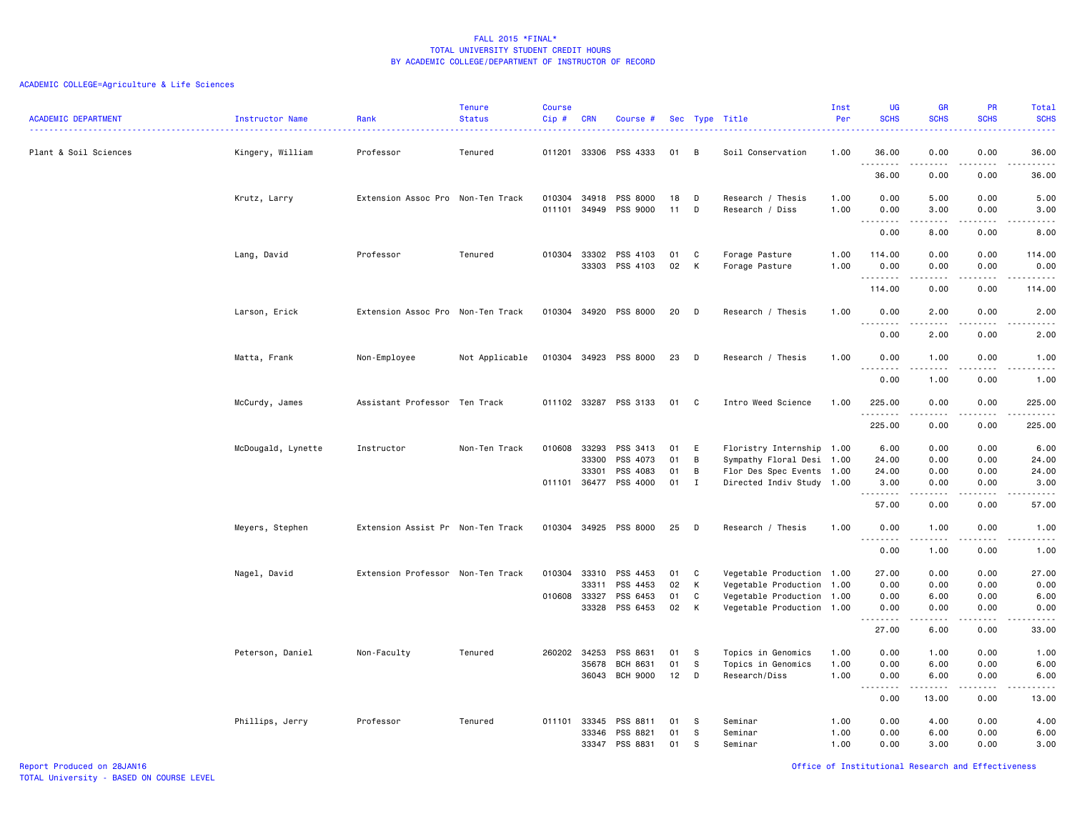| <b>ACADEMIC DEPARTMENT</b> | Instructor Name    | Rank                              | <b>Tenure</b><br><b>Status</b> | <b>Course</b><br>Cip#  | CRN   | Course #              |          |         | Sec Type Title                                         | Inst<br>Per<br>. | UG<br><b>SCHS</b>                 | <b>GR</b><br><b>SCHS</b>                                                                                                                                     | PR<br><b>SCHS</b><br>.                                                                                                            | <b>Total</b><br><b>SCHS</b><br>د د د د د                                                                                                                       |
|----------------------------|--------------------|-----------------------------------|--------------------------------|------------------------|-------|-----------------------|----------|---------|--------------------------------------------------------|------------------|-----------------------------------|--------------------------------------------------------------------------------------------------------------------------------------------------------------|-----------------------------------------------------------------------------------------------------------------------------------|----------------------------------------------------------------------------------------------------------------------------------------------------------------|
| Plant & Soil Sciences      | Kingery, William   | Professor                         | Tenured                        | 011201 33306           |       | PSS 4333              | 01       | B       | Soil Conservation                                      | 1.00             | 36.00<br>.                        | 0.00<br>-----                                                                                                                                                | 0.00<br>.                                                                                                                         | 36.00<br>.                                                                                                                                                     |
|                            |                    |                                   |                                |                        |       |                       |          |         |                                                        |                  | 36.00                             | 0.00                                                                                                                                                         | 0.00                                                                                                                              | 36.00                                                                                                                                                          |
|                            | Krutz, Larry       | Extension Assoc Pro Non-Ten Track |                                | 010304<br>011101 34949 | 34918 | PSS 8000<br>PSS 9000  | 18<br>11 | D<br>D  | Research / Thesis<br>Research / Diss                   | 1.00<br>1.00     | 0.00<br>0.00                      | 5.00<br>3.00                                                                                                                                                 | 0.00<br>0.00                                                                                                                      | 5.00<br>3.00                                                                                                                                                   |
|                            |                    |                                   |                                |                        |       |                       |          |         |                                                        |                  | 0.00                              | -----<br>8.00                                                                                                                                                | .<br>0.00                                                                                                                         | .<br>8.00                                                                                                                                                      |
|                            | Lang, David        | Professor                         | Tenured                        | 010304 33302           | 33303 | PSS 4103<br>PSS 4103  | 01<br>02 | C<br>К  | Forage Pasture<br>Forage Pasture                       | 1.00<br>1.00     | 114.00<br>0.00                    | 0.00<br>0.00                                                                                                                                                 | 0.00<br>0.00                                                                                                                      | 114.00<br>0.00                                                                                                                                                 |
|                            |                    |                                   |                                |                        |       |                       |          |         |                                                        |                  | .                                 | .                                                                                                                                                            | .                                                                                                                                 | .                                                                                                                                                              |
|                            |                    |                                   |                                |                        |       |                       |          |         |                                                        |                  | 114.00                            | 0.00                                                                                                                                                         | 0.00                                                                                                                              | 114.00                                                                                                                                                         |
|                            | Larson, Erick      | Extension Assoc Pro Non-Ten Track |                                |                        |       | 010304 34920 PSS 8000 | 20       | D       | Research / Thesis                                      | 1.00             | 0.00                              | 2.00                                                                                                                                                         | 0.00                                                                                                                              | 2.00                                                                                                                                                           |
|                            |                    |                                   |                                |                        |       |                       |          |         |                                                        |                  | 1.1.1.1.1.1.1<br>0.00             | $\cdots \cdots \cdots$<br>2.00                                                                                                                               | .<br>0.00                                                                                                                         | .<br>2.00                                                                                                                                                      |
|                            | Matta, Frank       | Non-Employee                      | Not Applicable                 |                        |       | 010304 34923 PSS 8000 | 23       | D       | Research / Thesis                                      | 1.00             | 0.00                              | 1.00                                                                                                                                                         | 0.00                                                                                                                              | 1.00                                                                                                                                                           |
|                            |                    |                                   |                                |                        |       |                       |          |         |                                                        |                  | .<br>$\sim$ $\sim$ $\sim$<br>0.00 | .<br>1.00                                                                                                                                                    | $\sim$ $\sim$ $\sim$ $\sim$<br>0.00                                                                                               | .<br>1.00                                                                                                                                                      |
|                            | McCurdy, James     | Assistant Professor Ten Track     |                                | 011102 33287           |       | PSS 3133              | 01       | C       | Intro Weed Science                                     | 1.00             | 225.00                            | 0.00                                                                                                                                                         | 0.00                                                                                                                              | 225.00                                                                                                                                                         |
|                            |                    |                                   |                                |                        |       |                       |          |         |                                                        |                  | .<br>225.00                       | .<br>0.00                                                                                                                                                    | $\frac{1}{2} \left( \frac{1}{2} \right) \left( \frac{1}{2} \right) \left( \frac{1}{2} \right) \left( \frac{1}{2} \right)$<br>0.00 | $\frac{1}{2} \left( \frac{1}{2} \right) \left( \frac{1}{2} \right) \left( \frac{1}{2} \right) \left( \frac{1}{2} \right) \left( \frac{1}{2} \right)$<br>225.00 |
|                            | McDougald, Lynette | Instructor                        | Non-Ten Track                  | 010608 33293           |       | PSS 3413              | 01       | E       | Floristry Internship 1.00                              |                  | 6.00                              | 0.00                                                                                                                                                         | 0.00                                                                                                                              | 6.00                                                                                                                                                           |
|                            |                    |                                   |                                |                        | 33300 | PSS 4073              | 01       | В       | Sympathy Floral Desi 1.00                              |                  | 24.00                             | 0.00                                                                                                                                                         | 0.00                                                                                                                              | 24.00                                                                                                                                                          |
|                            |                    |                                   |                                | 011101 36477           | 33301 | PSS 4083<br>PSS 4000  | 01<br>01 | B<br>Ι. | Flor Des Spec Events 1.00<br>Directed Indiv Study 1.00 |                  | 24.00<br>3.00                     | 0.00<br>0.00                                                                                                                                                 | 0.00<br>0.00                                                                                                                      | 24.00<br>3.00                                                                                                                                                  |
|                            |                    |                                   |                                |                        |       |                       |          |         |                                                        |                  | .                                 |                                                                                                                                                              |                                                                                                                                   | $\frac{1}{2} \left( \frac{1}{2} \right) \left( \frac{1}{2} \right) \left( \frac{1}{2} \right) \left( \frac{1}{2} \right) \left( \frac{1}{2} \right)$           |
|                            |                    |                                   |                                |                        |       |                       |          |         |                                                        |                  | 57.00                             | 0.00                                                                                                                                                         | 0.00                                                                                                                              | 57.00                                                                                                                                                          |
|                            | Meyers, Stephen    | Extension Assist Pr Non-Ten Track |                                | 010304 34925           |       | PSS 8000              | 25       | D       | Research / Thesis                                      | 1.00             | 0.00<br>.                         | 1.00<br>.                                                                                                                                                    | 0.00<br>$\frac{1}{2}$                                                                                                             | 1.00<br>.                                                                                                                                                      |
|                            |                    |                                   |                                |                        |       |                       |          |         |                                                        |                  | 0.00                              | 1.00                                                                                                                                                         | 0.00                                                                                                                              | 1.00                                                                                                                                                           |
|                            | Nagel, David       | Extension Professor Non-Ten Track |                                | 010304                 | 33310 | PSS 4453              | 01       | C       | Vegetable Production 1.00                              |                  | 27.00                             | 0.00                                                                                                                                                         | 0.00                                                                                                                              | 27.00                                                                                                                                                          |
|                            |                    |                                   |                                |                        | 33311 | PSS 4453              | 02       | К       | Vegetable Production 1.00                              |                  | 0.00                              | 0.00                                                                                                                                                         | 0.00                                                                                                                              | 0.00                                                                                                                                                           |
|                            |                    |                                   |                                | 010608 33327           |       | PSS 6453              | 01       | C       | Vegetable Production 1.00                              |                  | 0.00                              | 6.00                                                                                                                                                         | 0.00                                                                                                                              | 6.00                                                                                                                                                           |
|                            |                    |                                   |                                |                        | 33328 | PSS 6453              | 02       | К       | Vegetable Production 1.00                              |                  | 0.00                              | 0.00                                                                                                                                                         | 0.00<br>.                                                                                                                         | 0.00                                                                                                                                                           |
|                            |                    |                                   |                                |                        |       |                       |          |         |                                                        |                  | .<br>27.00                        | 6.00                                                                                                                                                         | 0.00                                                                                                                              | .<br>33.00                                                                                                                                                     |
|                            | Peterson, Daniel   | Non-Faculty                       | Tenured                        | 260202 34253           |       | PSS 8631              | 01       | -S      | Topics in Genomics                                     | 1.00             | 0.00                              | 1.00                                                                                                                                                         | 0.00                                                                                                                              | 1.00                                                                                                                                                           |
|                            |                    |                                   |                                |                        | 35678 | <b>BCH 8631</b>       | 01       | S       | Topics in Genomics                                     | 1.00             | 0.00                              | 6.00                                                                                                                                                         | 0.00                                                                                                                              | 6.00                                                                                                                                                           |
|                            |                    |                                   |                                |                        | 36043 | BCH 9000              | 12       | D       | Research/Diss                                          | 1.00             | 0.00<br>1.1.1.1.1.1.1             | 6.00<br>$\frac{1}{2} \left( \frac{1}{2} \right) \left( \frac{1}{2} \right) \left( \frac{1}{2} \right) \left( \frac{1}{2} \right) \left( \frac{1}{2} \right)$ | 0.00<br>.                                                                                                                         | 6.00<br>$\frac{1}{2} \left( \frac{1}{2} \right) \left( \frac{1}{2} \right) \left( \frac{1}{2} \right) \left( \frac{1}{2} \right) \left( \frac{1}{2} \right)$   |
|                            |                    |                                   |                                |                        |       |                       |          |         |                                                        |                  | 0.00                              | 13.00                                                                                                                                                        | 0.00                                                                                                                              | 13.00                                                                                                                                                          |
|                            | Phillips, Jerry    | Professor                         | Tenured                        | 011101 33345           |       | PSS 8811              | 01       | -S      | Seminar                                                | 1.00             | 0.00                              | 4.00                                                                                                                                                         | 0.00                                                                                                                              | 4.00                                                                                                                                                           |
|                            |                    |                                   |                                |                        | 33346 | PSS 8821              | 01       | s       | Seminar                                                | 1.00             | 0.00                              | 6.00                                                                                                                                                         | 0.00                                                                                                                              | 6.00                                                                                                                                                           |
|                            |                    |                                   |                                |                        | 33347 | PSS 8831              | 01       | s       | Seminar                                                | 1.00             | 0.00                              | 3.00                                                                                                                                                         | 0.00                                                                                                                              | 3.00                                                                                                                                                           |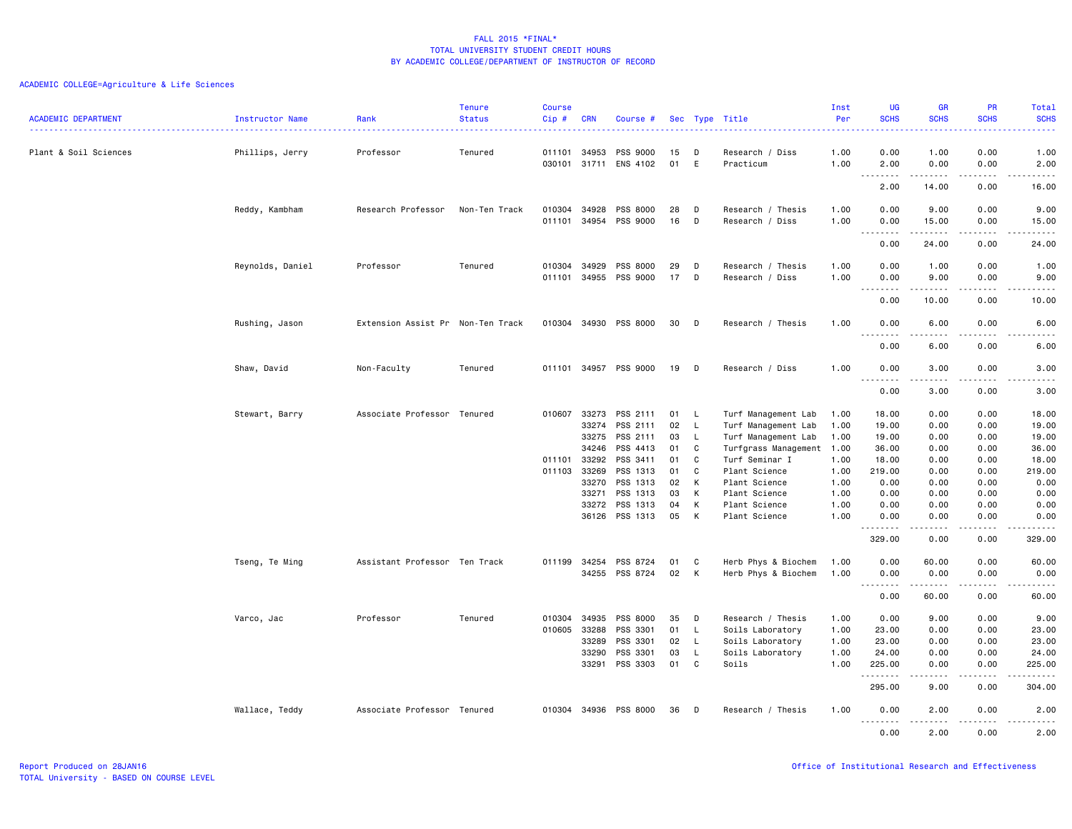| <b>ACADEMIC DEPARTMENT</b> | Instructor Name  | Rank                              | <b>Tenure</b><br><b>Status</b> | <b>Course</b><br>Cip# | <b>CRN</b>     | Course #              | Sec      |        | Type Title                     | Inst<br>Per  | <b>UG</b><br><b>SCHS</b>                                                                                                                                                                                                                                                                                                                                                                                                                                                                       | <b>GR</b><br><b>SCHS</b>                                                                                                                                     | <b>PR</b><br><b>SCHS</b>            | Total<br><b>SCHS</b>                                                                                                                                          |
|----------------------------|------------------|-----------------------------------|--------------------------------|-----------------------|----------------|-----------------------|----------|--------|--------------------------------|--------------|------------------------------------------------------------------------------------------------------------------------------------------------------------------------------------------------------------------------------------------------------------------------------------------------------------------------------------------------------------------------------------------------------------------------------------------------------------------------------------------------|--------------------------------------------------------------------------------------------------------------------------------------------------------------|-------------------------------------|---------------------------------------------------------------------------------------------------------------------------------------------------------------|
|                            |                  |                                   |                                |                       |                |                       |          |        |                                |              |                                                                                                                                                                                                                                                                                                                                                                                                                                                                                                |                                                                                                                                                              |                                     | .                                                                                                                                                             |
| Plant & Soil Sciences      | Phillips, Jerry  | Professor                         | Tenured                        | 011101                | 34953          | <b>PSS 9000</b>       | 15       | D      | Research / Diss                | 1.00         | 0.00                                                                                                                                                                                                                                                                                                                                                                                                                                                                                           | 1.00                                                                                                                                                         | 0.00                                | 1.00                                                                                                                                                          |
|                            |                  |                                   |                                |                       |                | 030101 31711 ENS 4102 | 01       | E      | Practicum                      | 1.00         | 2.00<br>$\sim$ $\sim$ $\sim$<br>$\frac{1}{2} \left( \frac{1}{2} \right) \left( \frac{1}{2} \right) \left( \frac{1}{2} \right) \left( \frac{1}{2} \right) \left( \frac{1}{2} \right)$                                                                                                                                                                                                                                                                                                           | 0.00<br>.                                                                                                                                                    | 0.00<br>.                           | 2.00<br>$\frac{1}{2}$                                                                                                                                         |
|                            |                  |                                   |                                |                       |                |                       |          |        |                                |              | 2.00                                                                                                                                                                                                                                                                                                                                                                                                                                                                                           | 14.00                                                                                                                                                        | 0.00                                | 16.00                                                                                                                                                         |
|                            | Reddy, Kambham   | Research Professor                | Non-Ten Track                  | 010304                | 34928          | PSS 8000              | 28       | D      | Research / Thesis              | 1.00         | 0.00                                                                                                                                                                                                                                                                                                                                                                                                                                                                                           | 9.00                                                                                                                                                         | 0.00                                | 9.00                                                                                                                                                          |
|                            |                  |                                   |                                | 011101                | 34954          | PSS 9000              | 16       | D      | Research / Diss                | 1.00         | 0.00<br>1.1.1.1.1.1.1                                                                                                                                                                                                                                                                                                                                                                                                                                                                          | 15.00<br>.                                                                                                                                                   | 0.00<br>.                           | 15.00<br>د د د د د                                                                                                                                            |
|                            |                  |                                   |                                |                       |                |                       |          |        |                                |              | 0.00                                                                                                                                                                                                                                                                                                                                                                                                                                                                                           | 24.00                                                                                                                                                        | 0.00                                | 24.00                                                                                                                                                         |
|                            | Reynolds, Daniel | Professor                         | Tenured                        | 010304                | 34929          | PSS 8000              | 29       | D      | Research / Thesis              | 1.00         | 0.00                                                                                                                                                                                                                                                                                                                                                                                                                                                                                           | 1.00                                                                                                                                                         | 0.00                                | 1.00                                                                                                                                                          |
|                            |                  |                                   |                                | 011101                | 34955          | PSS 9000              | 17       | D      | Research / Diss                | 1.00         | 0.00<br>.<br>$\sim$ $\sim$ .                                                                                                                                                                                                                                                                                                                                                                                                                                                                   | 9.00                                                                                                                                                         | 0.00<br>.                           | 9.00<br>.                                                                                                                                                     |
|                            |                  |                                   |                                |                       |                |                       |          |        |                                |              | 0.00                                                                                                                                                                                                                                                                                                                                                                                                                                                                                           | 10.00                                                                                                                                                        | 0.00                                | 10.00                                                                                                                                                         |
|                            | Rushing, Jason   | Extension Assist Pr Non-Ten Track |                                |                       |                | 010304 34930 PSS 8000 | 30       | D      | Research / Thesis              | 1.00         | 0.00                                                                                                                                                                                                                                                                                                                                                                                                                                                                                           | 6.00                                                                                                                                                         | 0.00                                | 6.00                                                                                                                                                          |
|                            |                  |                                   |                                |                       |                |                       |          |        |                                |              | 0.00                                                                                                                                                                                                                                                                                                                                                                                                                                                                                           | .<br>6.00                                                                                                                                                    | $\sim$ $\sim$ $\sim$ $\sim$<br>0.00 | .<br>6.00                                                                                                                                                     |
|                            | Shaw, David      | Non-Faculty                       | Tenured                        | 011101                |                | 34957 PSS 9000        | 19       | D      | Research / Diss                | 1.00         | 0.00                                                                                                                                                                                                                                                                                                                                                                                                                                                                                           | 3.00                                                                                                                                                         | 0.00                                | 3.00                                                                                                                                                          |
|                            |                  |                                   |                                |                       |                |                       |          |        |                                |              | .<br>.                                                                                                                                                                                                                                                                                                                                                                                                                                                                                         | -----                                                                                                                                                        | .                                   | .                                                                                                                                                             |
|                            |                  |                                   |                                |                       |                |                       |          |        |                                |              | 0.00                                                                                                                                                                                                                                                                                                                                                                                                                                                                                           | 3.00                                                                                                                                                         | 0.00                                | 3.00                                                                                                                                                          |
|                            | Stewart, Barry   | Associate Professor Tenured       |                                | 010607                | 33273          | PSS 2111              | 01       | L.     | Turf Management Lab            | 1.00         | 18.00                                                                                                                                                                                                                                                                                                                                                                                                                                                                                          | 0.00                                                                                                                                                         | 0.00                                | 18.00                                                                                                                                                         |
|                            |                  |                                   |                                |                       | 33274          | PSS 2111              | 02       | L.     | Turf Management Lab            | 1.00         | 19.00                                                                                                                                                                                                                                                                                                                                                                                                                                                                                          | 0.00                                                                                                                                                         | 0.00                                | 19.00                                                                                                                                                         |
|                            |                  |                                   |                                |                       | 33275          | PSS 2111              | 03       | L.     | Turf Management Lab            | 1.00         | 19.00                                                                                                                                                                                                                                                                                                                                                                                                                                                                                          | 0.00                                                                                                                                                         | 0.00                                | 19.00                                                                                                                                                         |
|                            |                  |                                   |                                |                       | 34246          | PSS 4413              | 01       | C      | Turfgrass Management 1.00      |              | 36.00                                                                                                                                                                                                                                                                                                                                                                                                                                                                                          | 0.00                                                                                                                                                         | 0.00                                | 36.00                                                                                                                                                         |
|                            |                  |                                   |                                | 011101                | 33292          | PSS 3411              | 01       | C      | Turf Seminar I                 | 1.00         | 18.00                                                                                                                                                                                                                                                                                                                                                                                                                                                                                          | 0.00                                                                                                                                                         | 0.00                                | 18.00                                                                                                                                                         |
|                            |                  |                                   |                                | 011103                | 33269          | PSS 1313              | 01       | C      | Plant Science                  | 1.00         | 219.00                                                                                                                                                                                                                                                                                                                                                                                                                                                                                         | 0.00                                                                                                                                                         | 0.00                                | 219.00                                                                                                                                                        |
|                            |                  |                                   |                                |                       | 33270          | PSS 1313              | 02       | K      | Plant Science                  | 1.00         | 0.00                                                                                                                                                                                                                                                                                                                                                                                                                                                                                           | 0.00                                                                                                                                                         | 0.00                                | 0.00                                                                                                                                                          |
|                            |                  |                                   |                                |                       | 33271<br>33272 | PSS 1313              | 03       | К<br>К | Plant Science                  | 1.00         | 0.00                                                                                                                                                                                                                                                                                                                                                                                                                                                                                           | 0.00                                                                                                                                                         | 0.00<br>0.00                        | 0.00                                                                                                                                                          |
|                            |                  |                                   |                                |                       | 36126          | PSS 1313<br>PSS 1313  | 04<br>05 | К      | Plant Science<br>Plant Science | 1.00<br>1.00 | 0.00<br>0.00                                                                                                                                                                                                                                                                                                                                                                                                                                                                                   | 0.00<br>0.00                                                                                                                                                 | 0.00                                | 0.00<br>0.00                                                                                                                                                  |
|                            |                  |                                   |                                |                       |                |                       |          |        |                                |              | .<br>329.00                                                                                                                                                                                                                                                                                                                                                                                                                                                                                    | $- - - - -$<br>0.00                                                                                                                                          | .<br>0.00                           | .<br>329.00                                                                                                                                                   |
|                            | Tseng, Te Ming   | Assistant Professor Ten Track     |                                | 011199                | 34254          | PSS 8724              | 01       | C      | Herb Phys & Biochem            | 1.00         | 0.00                                                                                                                                                                                                                                                                                                                                                                                                                                                                                           | 60.00                                                                                                                                                        | 0.00                                | 60.00                                                                                                                                                         |
|                            |                  |                                   |                                |                       | 34255          | PSS 8724              | 02       | К      | Herb Phys & Biochem            | 1.00         | 0.00                                                                                                                                                                                                                                                                                                                                                                                                                                                                                           | 0.00                                                                                                                                                         | 0.00                                | 0.00                                                                                                                                                          |
|                            |                  |                                   |                                |                       |                |                       |          |        |                                |              | $\begin{array}{cccccccccccccc} \multicolumn{2}{c}{} & \multicolumn{2}{c}{} & \multicolumn{2}{c}{} & \multicolumn{2}{c}{} & \multicolumn{2}{c}{} & \multicolumn{2}{c}{} & \multicolumn{2}{c}{} & \multicolumn{2}{c}{} & \multicolumn{2}{c}{} & \multicolumn{2}{c}{} & \multicolumn{2}{c}{} & \multicolumn{2}{c}{} & \multicolumn{2}{c}{} & \multicolumn{2}{c}{} & \multicolumn{2}{c}{} & \multicolumn{2}{c}{} & \multicolumn{2}{c}{} & \multicolumn{2}{c}{} & \multicolumn{2}{c}{} & \$<br>0.00 | .<br>60.00                                                                                                                                                   | .<br>0.00                           | $\frac{1}{2} \left( \frac{1}{2} \right) \left( \frac{1}{2} \right) \left( \frac{1}{2} \right) \left( \frac{1}{2} \right) \left( \frac{1}{2} \right)$<br>60.00 |
|                            | Varco, Jac       | Professor                         | Tenured                        | 010304                | 34935          | PSS 8000              | 35       | D      | Research / Thesis              | 1.00         | 0.00                                                                                                                                                                                                                                                                                                                                                                                                                                                                                           | 9.00                                                                                                                                                         | 0.00                                | 9.00                                                                                                                                                          |
|                            |                  |                                   |                                | 010605                | 33288          | PSS 3301              | 01       | L.     | Soils Laboratory               | 1.00         | 23.00                                                                                                                                                                                                                                                                                                                                                                                                                                                                                          | 0.00                                                                                                                                                         | 0.00                                | 23.00                                                                                                                                                         |
|                            |                  |                                   |                                |                       | 33289          | PSS 3301              | 02       | L      | Soils Laboratory               | 1.00         | 23.00                                                                                                                                                                                                                                                                                                                                                                                                                                                                                          | 0.00                                                                                                                                                         | 0.00                                | 23.00                                                                                                                                                         |
|                            |                  |                                   |                                |                       | 33290          | PSS 3301              | 03       | L      | Soils Laboratory               | 1.00         | 24.00                                                                                                                                                                                                                                                                                                                                                                                                                                                                                          | 0.00                                                                                                                                                         | 0.00                                | 24.00                                                                                                                                                         |
|                            |                  |                                   |                                |                       | 33291          | PSS 3303              | 01       | C      | Soils                          | 1.00         | 225.00                                                                                                                                                                                                                                                                                                                                                                                                                                                                                         | 0.00                                                                                                                                                         | 0.00                                | 225.00                                                                                                                                                        |
|                            |                  |                                   |                                |                       |                |                       |          |        |                                |              | .<br>295.00                                                                                                                                                                                                                                                                                                                                                                                                                                                                                    | $\frac{1}{2} \left( \frac{1}{2} \right) \left( \frac{1}{2} \right) \left( \frac{1}{2} \right) \left( \frac{1}{2} \right) \left( \frac{1}{2} \right)$<br>9.00 | .<br>0.00                           | .<br>304.00                                                                                                                                                   |
|                            | Wallace, Teddy   | Associate Professor Tenured       |                                |                       |                | 010304 34936 PSS 8000 | 36       | D      | Research / Thesis              | 1.00         | 0.00                                                                                                                                                                                                                                                                                                                                                                                                                                                                                           | 2.00                                                                                                                                                         | 0.00                                | 2.00                                                                                                                                                          |
|                            |                  |                                   |                                |                       |                |                       |          |        |                                |              | .<br>0.00                                                                                                                                                                                                                                                                                                                                                                                                                                                                                      | 2.00                                                                                                                                                         | 0.00                                | 2.00                                                                                                                                                          |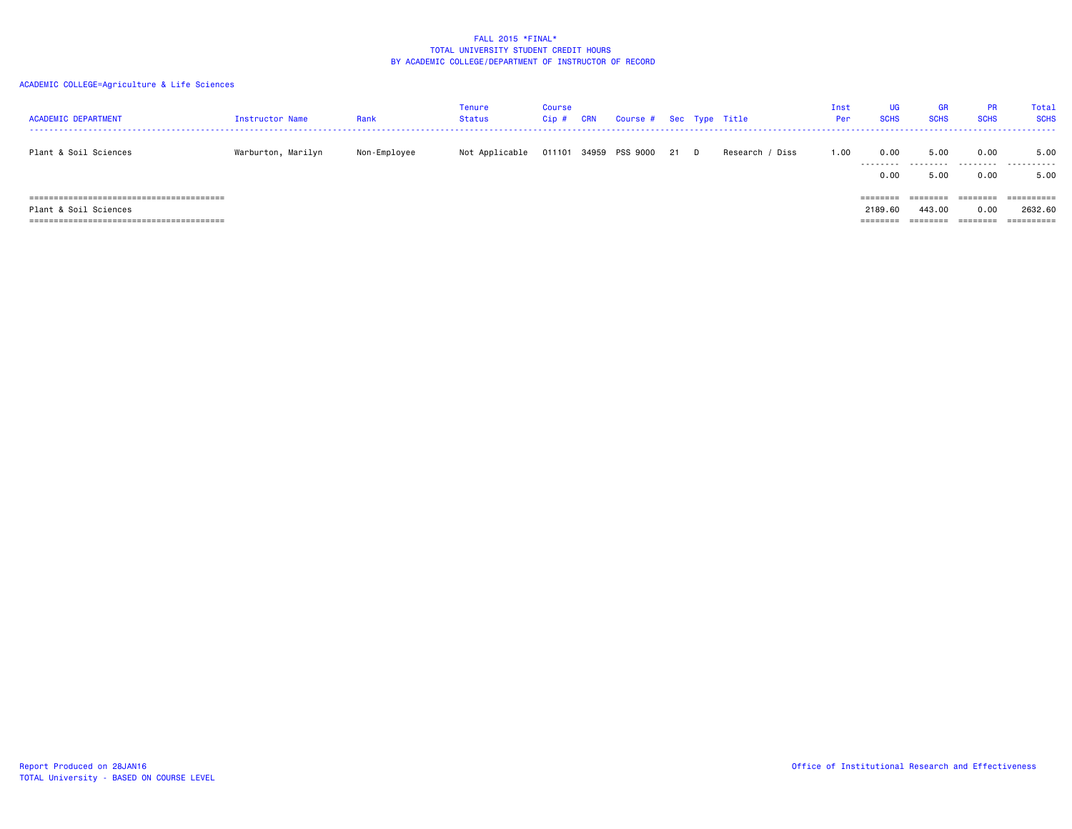| <b>ACADEMIC DEPARTMENT</b>                                   | Instructor Name    | Rank         | Tenure<br><b>Status</b> | Course<br>Cip# | CRN | Course # Sec Type Title |      |                 | Inst<br>Per | <b>UG</b><br><b>SCHS</b>                | <b>GR</b><br><b>SCHS</b>                           | <b>PR</b><br><b>SCHS</b>              | Total<br><b>SCHS</b>                        |
|--------------------------------------------------------------|--------------------|--------------|-------------------------|----------------|-----|-------------------------|------|-----------------|-------------|-----------------------------------------|----------------------------------------------------|---------------------------------------|---------------------------------------------|
| Plant & Soil Sciences                                        | Warburton, Marilyn | Non-Employee | Not Applicable          | 011101         |     | 34959 PSS 9000          | 21 D | Research / Diss | 1.00        | 0.00<br>.                               | 5.00                                               | 0.00<br>.                             | 5.00<br>.                                   |
| ;==================================<br>Plant & Soil Sciences |                    |              |                         |                |     |                         |      |                 |             | 0.00<br>========<br>2189.60<br>======== | 5.00<br>========<br>443,00<br>--------<br>-------- | 0.00<br>========<br>0.00<br>--------- | 5.00<br>==========<br>2632.60<br>========== |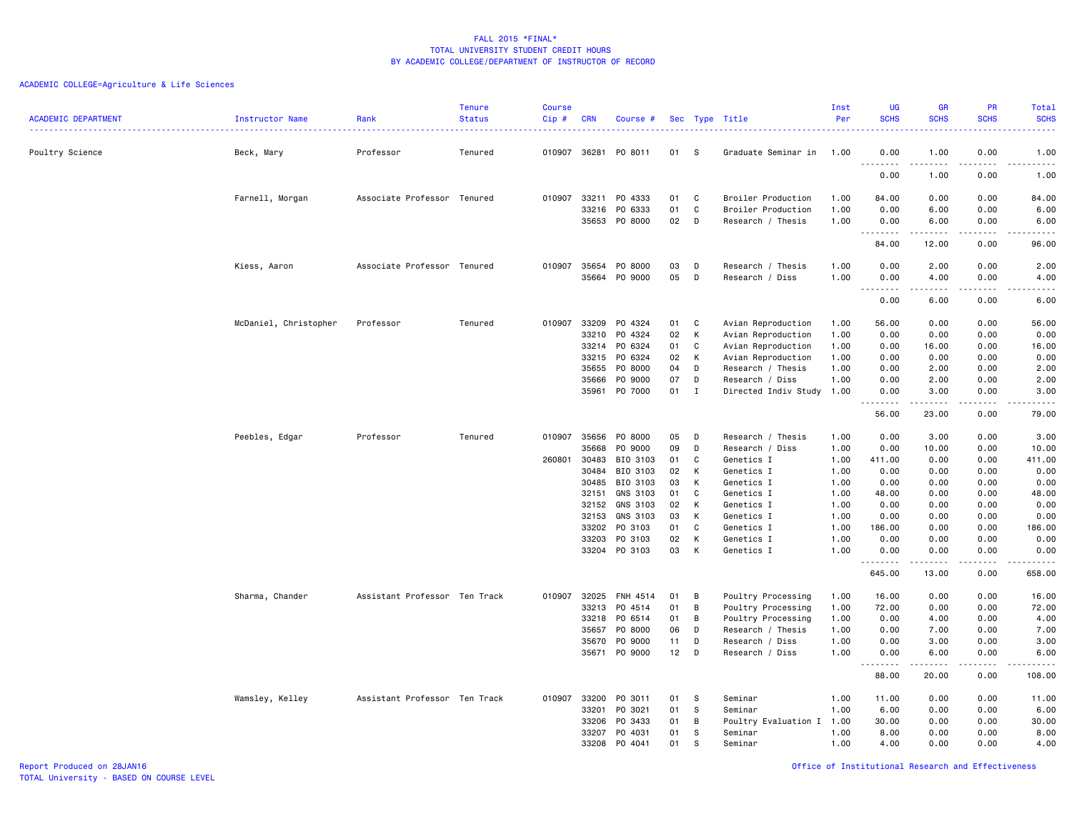| <b>ACADEMIC DEPARTMENT</b> | Instructor Name       | Rank                          | <b>Tenure</b><br><b>Status</b> | <b>Course</b><br>Cip# | <b>CRN</b>     | Course #           |          |              | Sec Type Title                          | Inst<br>Per  | UG<br><b>SCHS</b>  | <b>GR</b><br><b>SCHS</b>                                                                                                                                      | <b>PR</b><br><b>SCHS</b> | Total<br><b>SCHS</b>                                                                                                                                           |
|----------------------------|-----------------------|-------------------------------|--------------------------------|-----------------------|----------------|--------------------|----------|--------------|-----------------------------------------|--------------|--------------------|---------------------------------------------------------------------------------------------------------------------------------------------------------------|--------------------------|----------------------------------------------------------------------------------------------------------------------------------------------------------------|
|                            |                       |                               |                                |                       |                |                    |          |              |                                         |              |                    |                                                                                                                                                               |                          | والمستوات                                                                                                                                                      |
| Poultry Science            | Beck, Mary            | Professor                     | Tenured                        | 010907 36281          |                | PO 8011            | 01       | - S          | Graduate Seminar in                     | 1.00         | 0.00<br>.          | 1.00<br>.                                                                                                                                                     | 0.00<br>.                | 1.00<br>-----                                                                                                                                                  |
|                            |                       |                               |                                |                       |                |                    |          |              |                                         |              | 0.00               | 1.00                                                                                                                                                          | 0.00                     | 1.00                                                                                                                                                           |
|                            | Farnell, Morgan       | Associate Professor Tenured   |                                | 010907                | 33211          | PO 4333            | 01       | C            | Broiler Production                      | 1.00         | 84.00              | 0.00                                                                                                                                                          | 0.00                     | 84.00                                                                                                                                                          |
|                            |                       |                               |                                |                       | 33216<br>35653 | PO 6333<br>PO 8000 | 01<br>02 | C<br>D       | Broiler Production<br>Research / Thesis | 1.00<br>1.00 | 0.00<br>0.00       | 6.00<br>6.00                                                                                                                                                  | 0.00<br>0.00             | 6.00<br>6.00                                                                                                                                                   |
|                            |                       |                               |                                |                       |                |                    |          |              |                                         |              | .<br>84.00         | -----<br>12.00                                                                                                                                                | -----<br>0.00            | -----<br>96.00                                                                                                                                                 |
|                            | Kiess, Aaron          | Associate Professor Tenured   |                                |                       | 010907 35654   | PO 8000            | 03       | D            | Research / Thesis                       | 1.00         | 0.00               | 2.00                                                                                                                                                          | 0.00                     | 2.00                                                                                                                                                           |
|                            |                       |                               |                                |                       | 35664          | PO 9000            | 05       | D            | Research / Diss                         | 1.00         | 0.00<br>.          | 4.00<br>$\frac{1}{2} \left( \frac{1}{2} \right) \left( \frac{1}{2} \right) \left( \frac{1}{2} \right) \left( \frac{1}{2} \right) \left( \frac{1}{2} \right)$  | 0.00<br>.                | 4.00<br>.                                                                                                                                                      |
|                            |                       |                               |                                |                       |                |                    |          |              |                                         |              | 0.00               | 6.00                                                                                                                                                          | 0.00                     | 6.00                                                                                                                                                           |
|                            | McDaniel, Christopher | Professor                     | Tenured                        | 010907                | 33209          | PO 4324            | 01       | C            | Avian Reproduction                      | 1.00         | 56.00              | 0.00                                                                                                                                                          | 0.00                     | 56.00                                                                                                                                                          |
|                            |                       |                               |                                |                       | 33210          | PO 4324            | 02       | K            | Avian Reproduction                      | 1.00         | 0.00               | 0.00                                                                                                                                                          | 0.00                     | 0.00                                                                                                                                                           |
|                            |                       |                               |                                |                       | 33214          | PO 6324            | 01       | C            | Avian Reproduction                      | 1.00         | 0.00               | 16.00                                                                                                                                                         | 0.00                     | 16.00                                                                                                                                                          |
|                            |                       |                               |                                |                       | 33215<br>35655 | PO 6324<br>P0 8000 | 02<br>04 | K<br>D       | Avian Reproduction<br>Research / Thesis | 1.00<br>1.00 | 0.00<br>0.00       | 0.00<br>2.00                                                                                                                                                  | 0.00<br>0.00             | 0.00<br>2.00                                                                                                                                                   |
|                            |                       |                               |                                |                       | 35666          | PO 9000            | 07       | D            | Research / Diss                         | 1.00         | 0.00               | 2.00                                                                                                                                                          | 0.00                     | 2.00                                                                                                                                                           |
|                            |                       |                               |                                |                       | 35961          | P0 7000            | 01       | $\mathbf I$  | Directed Indiv Study                    | 1.00         | 0.00               | 3.00                                                                                                                                                          | 0.00                     | 3.00                                                                                                                                                           |
|                            |                       |                               |                                |                       |                |                    |          |              |                                         |              | .<br>56.00         | $\frac{1}{2} \left( \frac{1}{2} \right) \left( \frac{1}{2} \right) \left( \frac{1}{2} \right) \left( \frac{1}{2} \right) \left( \frac{1}{2} \right)$<br>23.00 | -----<br>0.00            | -----<br>79.00                                                                                                                                                 |
|                            | Peebles, Edgar        | Professor                     | Tenured                        | 010907                | 35656          | P0 8000            | 05       | D            | Research / Thesis                       | 1.00         | 0.00               | 3.00                                                                                                                                                          | 0.00                     | 3.00                                                                                                                                                           |
|                            |                       |                               |                                |                       | 35668          | PO 9000            | 09       | D            | Research / Diss                         | 1.00         | 0.00               | 10.00                                                                                                                                                         | 0.00                     | 10.00                                                                                                                                                          |
|                            |                       |                               |                                | 260801                | 30483          | BIO 3103           | 01       | C            | Genetics I                              | 1.00         | 411.00             | 0.00                                                                                                                                                          | 0.00                     | 411.00                                                                                                                                                         |
|                            |                       |                               |                                |                       | 30484          | BIO 3103           | 02       | K            | Genetics I                              | 1.00         | 0.00               | 0.00                                                                                                                                                          | 0.00                     | 0.00                                                                                                                                                           |
|                            |                       |                               |                                |                       | 30485          | BIO 3103           | 03       | К            | Genetics I                              | 1.00         | 0.00               | 0.00                                                                                                                                                          | 0.00                     | 0.00                                                                                                                                                           |
|                            |                       |                               |                                |                       | 32151          | GNS 3103           | 01       | C            | Genetics I                              | 1.00         | 48.00              | 0.00                                                                                                                                                          | 0.00                     | 48.00                                                                                                                                                          |
|                            |                       |                               |                                |                       | 32152          | GNS 3103           | 02       | K            | Genetics I                              | 1.00         | 0.00               | 0.00                                                                                                                                                          | 0.00                     | 0.00                                                                                                                                                           |
|                            |                       |                               |                                |                       | 32153          | GNS 3103           | 03       | К            | Genetics I                              | 1.00         | 0.00               | 0.00                                                                                                                                                          | 0.00                     | 0.00                                                                                                                                                           |
|                            |                       |                               |                                |                       | 33202          | PO 3103            | 01       | C            | Genetics I                              | 1.00         | 186.00             | 0.00                                                                                                                                                          | 0.00                     | 186.00                                                                                                                                                         |
|                            |                       |                               |                                |                       | 33203<br>33204 | PO 3103<br>PO 3103 | 02<br>03 | К<br>К       | Genetics I<br>Genetics I                | 1.00<br>1.00 | 0.00<br>0.00       | 0.00<br>0.00                                                                                                                                                  | 0.00<br>0.00             | 0.00<br>0.00                                                                                                                                                   |
|                            |                       |                               |                                |                       |                |                    |          |              |                                         |              | <u>.</u><br>645.00 | 13.00                                                                                                                                                         | 0.00                     | $\frac{1}{2} \left( \frac{1}{2} \right) \left( \frac{1}{2} \right) \left( \frac{1}{2} \right) \left( \frac{1}{2} \right) \left( \frac{1}{2} \right)$<br>658.00 |
|                            | Sharma, Chander       | Assistant Professor Ten Track |                                |                       | 010907 32025   | FNH 4514           | 01       | B            | Poultry Processing                      | 1.00         | 16.00              | 0.00                                                                                                                                                          | 0.00                     | 16.00                                                                                                                                                          |
|                            |                       |                               |                                |                       | 33213          | P0 4514            | 01       | B            | Poultry Processing                      | 1.00         | 72.00              | 0.00                                                                                                                                                          | 0.00                     | 72.00                                                                                                                                                          |
|                            |                       |                               |                                |                       | 33218          | P0 6514            | 01       | B            | Poultry Processing                      | 1.00         | 0.00               | 4.00                                                                                                                                                          | 0.00                     | 4.00                                                                                                                                                           |
|                            |                       |                               |                                |                       | 35657          | P0 8000            | 06       | D            | Research / Thesis                       | 1.00         | 0.00               | 7.00                                                                                                                                                          | 0.00                     | 7.00                                                                                                                                                           |
|                            |                       |                               |                                |                       | 35670          | P0 9000            | 11       | D            | Research / Diss                         | 1.00         | 0.00               | 3.00                                                                                                                                                          | 0.00                     | 3.00                                                                                                                                                           |
|                            |                       |                               |                                |                       | 35671          | P0 9000            | 12       | D            | Research / Diss                         | 1.00         | 0.00<br>.          | 6.00<br>.                                                                                                                                                     | 0.00<br>.                | 6.00<br>.                                                                                                                                                      |
|                            |                       |                               |                                |                       |                |                    |          |              |                                         |              | 88.00              | 20.00                                                                                                                                                         | 0.00                     | 108.00                                                                                                                                                         |
|                            | Wamsley, Kelley       | Assistant Professor Ten Track |                                | 010907                | 33200          | PO 3011            | 01       | -S           | Seminar                                 | 1.00         | 11.00              | 0.00                                                                                                                                                          | 0.00                     | 11.00                                                                                                                                                          |
|                            |                       |                               |                                |                       | 33201          | PO 3021            | 01       | s            | Seminar                                 | 1.00         | 6.00               | 0.00                                                                                                                                                          | 0.00                     | 6.00                                                                                                                                                           |
|                            |                       |                               |                                |                       | 33206          | PO 3433            | 01       | B            | Poultry Evaluation I                    | 1.00         | 30.00              | 0.00                                                                                                                                                          | 0.00                     | 30.00                                                                                                                                                          |
|                            |                       |                               |                                |                       | 33207          | PO 4031            | 01       | -S           | Seminar                                 | 1.00         | 8.00               | 0.00                                                                                                                                                          | 0.00                     | 8.00                                                                                                                                                           |
|                            |                       |                               |                                |                       | 33208          | P0 4041            | 01       | <sub>S</sub> | Seminar                                 | 1.00         | 4.00               | 0.00                                                                                                                                                          | 0.00                     | 4.00                                                                                                                                                           |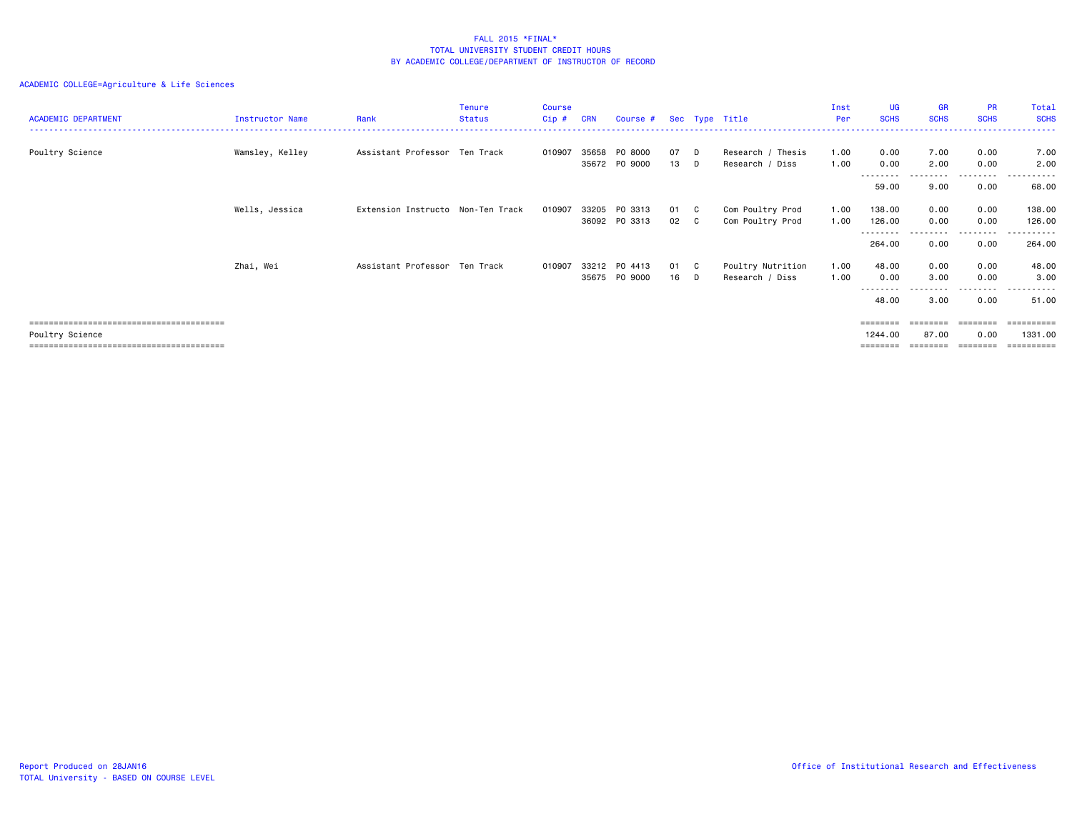# ACADEMIC COLLEGE=Agriculture & Life Sciences

| <b>ACADEMIC DEPARTMENT</b> | Instructor Name | Rank                              | <b>Tenure</b><br>Status | <b>Course</b><br>Cip# | <b>CRN</b> | Course #                       |              |                            | Sec Type Title                       | Inst<br>Per  | UG<br><b>SCHS</b>               | <b>GR</b><br><b>SCHS</b> | PR<br><b>SCHS</b>            | Total<br><b>SCHS</b>                           |
|----------------------------|-----------------|-----------------------------------|-------------------------|-----------------------|------------|--------------------------------|--------------|----------------------------|--------------------------------------|--------------|---------------------------------|--------------------------|------------------------------|------------------------------------------------|
| Poultry Science            | Wamsley, Kelley | Assistant Professor Ten Track     |                         | 010907                | 35658      | PO 8000<br>35672 PO 9000       | 07<br>13     | D<br>D                     | Research / Thesis<br>Research / Diss | 1.00<br>1.00 | 0.00<br>0.00                    | 7.00<br>2.00             | 0.00<br>0.00                 | 7.00<br>2.00                                   |
|                            |                 |                                   |                         |                       |            |                                |              |                            |                                      |              | --------<br>59.00               | 9.00                     | ---------<br>0.00            | .<br>68.00                                     |
|                            | Wells, Jessica  | Extension Instructo Non-Ten Track |                         | 010907                |            | 33205 PO 3313<br>36092 PO 3313 | 01 C<br>02 C |                            | Com Poultry Prod<br>Com Poultry Prod | 1.00<br>1.00 | 138.00<br>126.00                | 0.00<br>0.00             | 0.00<br>0.00                 | 138.00<br>126.00                               |
|                            |                 |                                   |                         |                       |            |                                |              |                            |                                      |              | --------<br>264.00              | 0.00                     | --------<br>0.00             | ------<br>264.00                               |
|                            | Zhai, Wei       | Assistant Professor Ten Track     |                         | 010907                |            | 33212 PO 4413<br>35675 PO 9000 | 01<br>16     | $\overline{C}$<br><b>D</b> | Poultry Nutrition<br>Research / Diss | 1.00<br>1.00 | 48.00<br>0.00<br>--------       | 0.00<br>3.00             | 0.00<br>0.00<br>.            | 48.00<br>3.00<br>.                             |
|                            |                 |                                   |                         |                       |            |                                |              |                            |                                      |              | 48.00                           | 3.00                     | 0.00                         | 51.00                                          |
| Poultry Science            |                 |                                   |                         |                       |            |                                |              |                            |                                      |              | ========<br>1244.00<br>======== | 87.00                    | ========<br>0.00<br>======== | ==========<br>1331.00<br>$=$ = = = = = = = = = |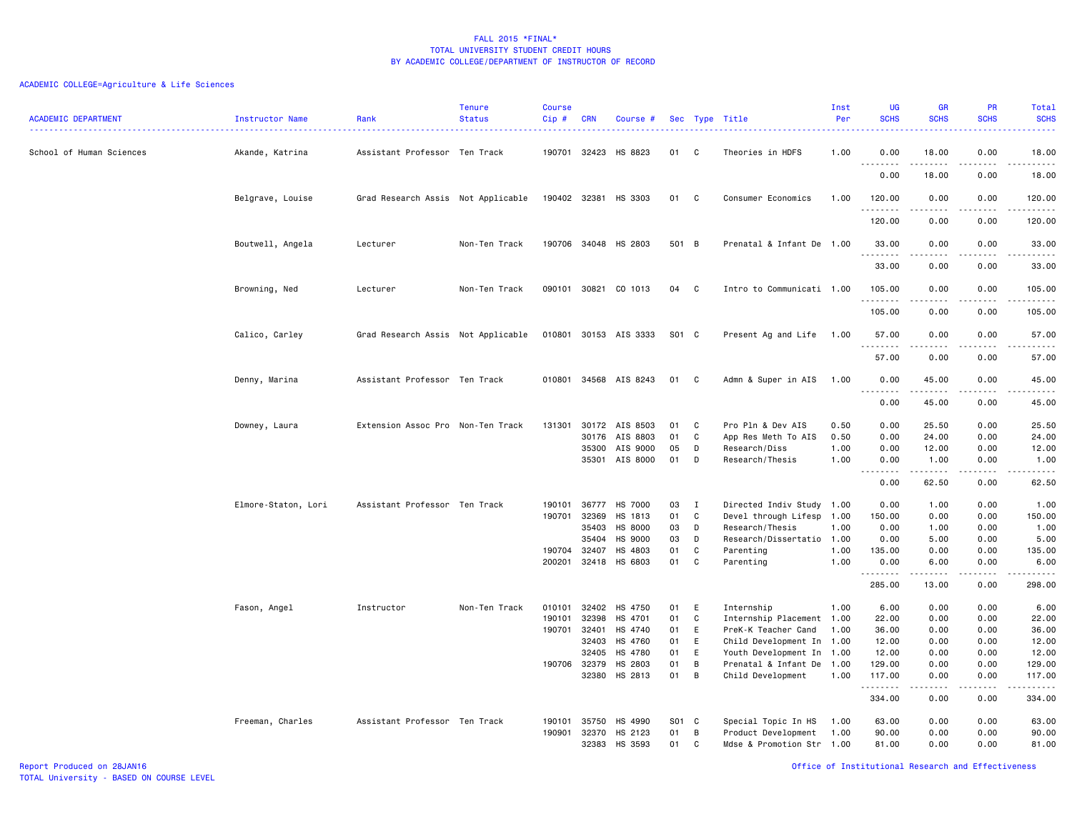# ACADEMIC COLLEGE=Agriculture & Life Sciences

| <b>ACADEMIC DEPARTMENT</b> | Instructor Name<br>. | Rank                               | <b>Tenure</b><br><b>Status</b> | <b>Course</b><br>$Cip$ # | <b>CRN</b>   | Course #              |       |              | Sec Type Title            | Inst<br>Per | UG<br><b>SCHS</b>    | <b>GR</b><br><b>SCHS</b> | PR<br><b>SCHS</b>                                                                                                                 | Total<br><b>SCHS</b><br>2222.                                                                                                     |
|----------------------------|----------------------|------------------------------------|--------------------------------|--------------------------|--------------|-----------------------|-------|--------------|---------------------------|-------------|----------------------|--------------------------|-----------------------------------------------------------------------------------------------------------------------------------|-----------------------------------------------------------------------------------------------------------------------------------|
| School of Human Sciences   | Akande, Katrina      | Assistant Professor Ten Track      |                                |                          | 190701 32423 | HS 8823               | 01    | C            | Theories in HDFS          | 1.00        | 0.00<br>.            | 18.00                    | 0.00                                                                                                                              | 18.00<br>.                                                                                                                        |
|                            |                      |                                    |                                |                          |              |                       |       |              |                           |             | 0.00                 | 18.00                    | 0.00                                                                                                                              | 18.00                                                                                                                             |
|                            | Belgrave, Louise     | Grad Research Assis Not Applicable |                                |                          | 190402 32381 | HS 3303               | 01    | C            | Consumer Economics        | 1.00        | 120.00<br>. <u>.</u> | 0.00                     | 0.00<br>$\frac{1}{2} \left( \frac{1}{2} \right) \left( \frac{1}{2} \right) \left( \frac{1}{2} \right) \left( \frac{1}{2} \right)$ | 120.00<br>.                                                                                                                       |
|                            |                      |                                    |                                |                          |              |                       |       |              |                           |             | 120.00               | 0.00                     | 0.00                                                                                                                              | 120.00                                                                                                                            |
|                            | Boutwell, Angela     | Lecturer                           | Non-Ten Track                  |                          |              | 190706 34048 HS 2803  | 501 B |              | Prenatal & Infant De 1.00 |             | 33.00<br>.           | 0.00<br>$- - - - -$      | 0.00<br>.                                                                                                                         | 33.00<br>.                                                                                                                        |
|                            |                      |                                    |                                |                          |              |                       |       |              |                           |             | 33.00                | 0.00                     | 0.00                                                                                                                              | 33.00                                                                                                                             |
|                            | Browning, Ned        | Lecturer                           | Non-Ten Track                  | 090101                   | 30821        | CO 1013               | 04    | C            | Intro to Communicati 1.00 |             | 105.00<br>.          | 0.00                     | 0.00<br>.                                                                                                                         | 105.00<br><u>.</u>                                                                                                                |
|                            |                      |                                    |                                |                          |              |                       |       |              |                           |             | 105.00               | 0.00                     | 0.00                                                                                                                              | 105.00                                                                                                                            |
|                            | Calico, Carley       | Grad Research Assis Not Applicable |                                |                          |              | 010801 30153 AIS 3333 | S01 C |              | Present Ag and Life       | 1.00        | 57.00<br>.           | 0.00                     | 0.00                                                                                                                              | 57.00<br>.                                                                                                                        |
|                            |                      |                                    |                                |                          |              |                       |       |              |                           |             | 57.00                | 0.00                     | 0.00                                                                                                                              | 57.00                                                                                                                             |
|                            | Denny, Marina        | Assistant Professor Ten Track      |                                |                          |              | 010801 34568 AIS 8243 | 01    | $\mathbf{C}$ | Admn & Super in AIS       | 1.00        | 0.00<br><u>.</u>     | 45.00<br>.               | 0.00<br>.                                                                                                                         | 45.00<br>.                                                                                                                        |
|                            |                      |                                    |                                |                          |              |                       |       |              |                           |             | 0.00                 | 45.00                    | 0.00                                                                                                                              | 45.00                                                                                                                             |
|                            | Downey, Laura        | Extension Assoc Pro Non-Ten Track  |                                | 131301                   |              | 30172 AIS 8503        | 01    | C            | Pro Pln & Dev AIS         | 0.50        | 0.00                 | 25.50                    | 0.00                                                                                                                              | 25.50                                                                                                                             |
|                            |                      |                                    |                                |                          | 30176        | AIS 8803              | 01    | C            | App Res Meth To AIS       | 0.50        | 0.00                 | 24.00                    | 0.00                                                                                                                              | 24.00                                                                                                                             |
|                            |                      |                                    |                                |                          | 35300        | AIS 9000              | 05    | D            | Research/Diss             | 1.00        | 0.00                 | 12.00                    | 0.00                                                                                                                              | 12.00                                                                                                                             |
|                            |                      |                                    |                                |                          |              | 35301 AIS 8000        | 01    | D            | Research/Thesis           | 1.00        | 0.00<br>.<br>$  -$   | 1.00<br>.                | 0.00<br>.                                                                                                                         | 1.00<br>.                                                                                                                         |
|                            |                      |                                    |                                |                          |              |                       |       |              |                           |             | 0.00                 | 62.50                    | 0.00                                                                                                                              | 62.50                                                                                                                             |
|                            | Elmore-Staton, Lori  | Assistant Professor Ten Track      |                                | 190101                   | 36777        | <b>HS 7000</b>        | 03    | $\mathbf{I}$ | Directed Indiv Study 1.00 |             | 0.00                 | 1.00                     | 0.00                                                                                                                              | 1.00                                                                                                                              |
|                            |                      |                                    |                                | 190701                   | 32369        | HS 1813               | 01    | C            | Devel through Lifesp 1.00 |             | 150.00               | 0.00                     | 0.00                                                                                                                              | 150.00                                                                                                                            |
|                            |                      |                                    |                                |                          | 35403        | HS 8000               | 03    | D            | Research/Thesis           | 1.00        | 0.00                 | 1.00                     | 0.00                                                                                                                              | 1.00                                                                                                                              |
|                            |                      |                                    |                                |                          | 35404        | <b>HS 9000</b>        | 03    | D            | Research/Dissertatio 1.00 |             | 0.00                 | 5.00                     | 0.00                                                                                                                              | 5.00                                                                                                                              |
|                            |                      |                                    |                                | 190704                   | 32407        | HS 4803               | 01    | C            | Parenting                 | 1.00        | 135.00               | 0.00                     | 0.00                                                                                                                              | 135.00                                                                                                                            |
|                            |                      |                                    |                                | 200201                   |              | 32418 HS 6803         | 01    | C            | Parenting                 | 1.00        | 0.00<br>.            | 6.00<br>-----            | 0.00<br>.                                                                                                                         | 6.00<br>$\begin{array}{cccccccccccccc} \bullet & \bullet & \bullet & \bullet & \bullet & \bullet & \bullet & \bullet \end{array}$ |
|                            |                      |                                    |                                |                          |              |                       |       |              |                           |             | 285.00               | 13.00                    | 0.00                                                                                                                              | 298.00                                                                                                                            |
|                            | Fason, Angel         | Instructor                         | Non-Ten Track                  | 010101                   | 32402        | HS 4750               | 01    | E            | Internship                | 1.00        | 6.00                 | 0.00                     | 0.00                                                                                                                              | 6.00                                                                                                                              |
|                            |                      |                                    |                                | 190101                   | 32398        | HS 4701               | 01    | C            | Internship Placement 1.00 |             | 22.00                | 0.00                     | 0.00                                                                                                                              | 22.00                                                                                                                             |
|                            |                      |                                    |                                | 190701                   | 32401        | HS 4740               | 01    | E            | PreK-K Teacher Cand       | 1.00        | 36.00                | 0.00                     | 0.00                                                                                                                              | 36.00                                                                                                                             |
|                            |                      |                                    |                                |                          | 32403        | HS 4760               | 01    | E            | Child Development In 1.00 |             | 12.00                | 0.00                     | 0.00                                                                                                                              | 12.00                                                                                                                             |
|                            |                      |                                    |                                |                          | 32405        | HS 4780               | 01    | E            | Youth Development In 1.00 |             | 12.00                | 0.00                     | 0.00                                                                                                                              | 12.00                                                                                                                             |
|                            |                      |                                    |                                |                          | 190706 32379 | HS 2803               | 01    | B            | Prenatal & Infant De 1.00 |             | 129.00               | 0.00                     | 0.00                                                                                                                              | 129.00                                                                                                                            |
|                            |                      |                                    |                                |                          | 32380        | HS 2813               | 01    | B            | Child Development         | 1.00        | 117.00<br>.          | 0.00<br>. <b>.</b>       | 0.00<br>.                                                                                                                         | 117.00<br>.                                                                                                                       |
|                            |                      |                                    |                                |                          |              |                       |       |              |                           |             | 334.00               | 0.00                     | 0.00                                                                                                                              | 334.00                                                                                                                            |
|                            | Freeman, Charles     | Assistant Professor Ten Track      |                                | 190101                   | 35750        | HS 4990               | S01 C |              | Special Topic In HS       | 1.00        | 63.00                | 0.00                     | 0.00                                                                                                                              | 63.00                                                                                                                             |
|                            |                      |                                    |                                | 190901                   | 32370        | HS 2123               | 01    | B            | Product Development       | 1.00        | 90.00                | 0.00                     | 0.00                                                                                                                              | 90.00                                                                                                                             |
|                            |                      |                                    |                                |                          | 32383        | HS 3593               | 01    | C            | Mdse & Promotion Str 1.00 |             | 81.00                | 0.00                     | 0.00                                                                                                                              | 81.00                                                                                                                             |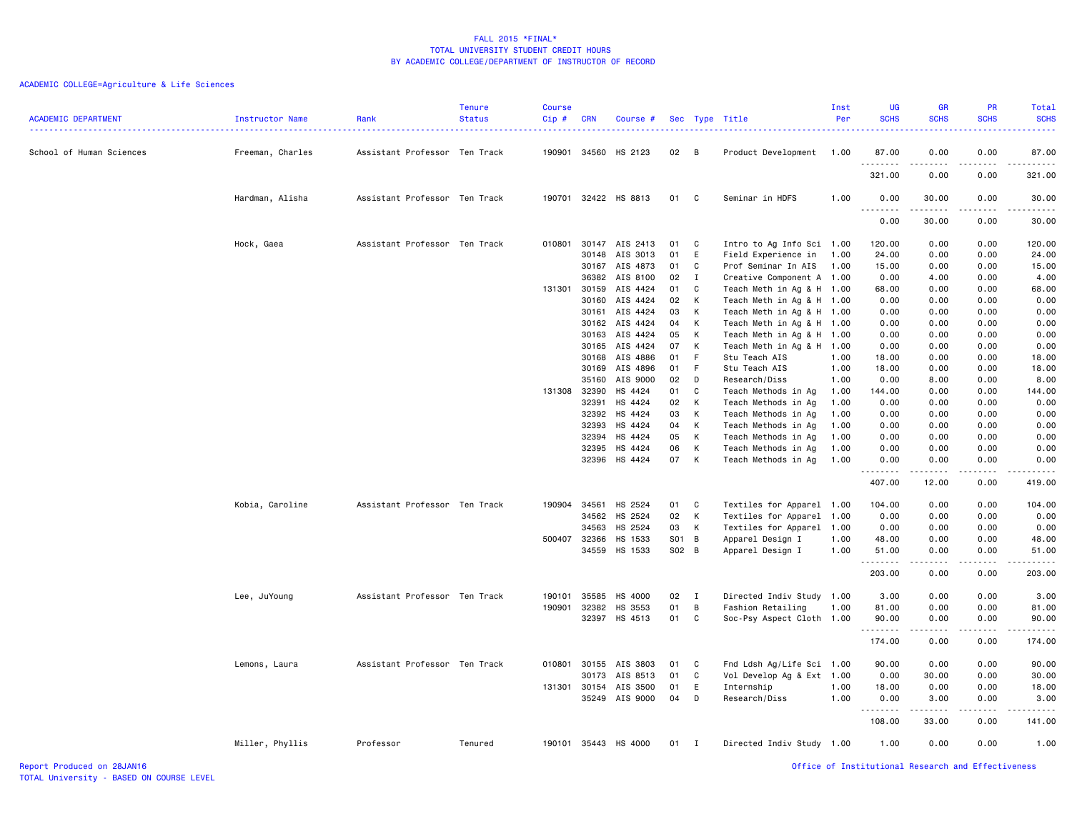# ACADEMIC COLLEGE=Agriculture & Life Sciences

| <b>ACADEMIC DEPARTMENT</b> | Instructor Name  | Rank                          | <b>Tenure</b><br><b>Status</b> | <b>Course</b><br>Cip# | <b>CRN</b>     | Course #             |          |                | Sec Type Title                             | Inst<br>Per  | <b>UG</b><br><b>SCHS</b> | <b>GR</b><br><b>SCHS</b> | <b>PR</b><br><b>SCHS</b> | Total<br><b>SCHS</b><br>. |
|----------------------------|------------------|-------------------------------|--------------------------------|-----------------------|----------------|----------------------|----------|----------------|--------------------------------------------|--------------|--------------------------|--------------------------|--------------------------|---------------------------|
| School of Human Sciences   | Freeman, Charles | Assistant Professor Ten Track |                                | 190901                |                | 34560 HS 2123        | 02       | $\overline{B}$ | Product Development                        | 1.00         | 87.00<br>.               | 0.00                     | 0.00                     | 87.00<br>.                |
|                            |                  |                               |                                |                       |                |                      |          |                |                                            |              | 321.00                   | 0.00                     | 0.00                     | 321.00                    |
|                            | Hardman, Alisha  | Assistant Professor Ten Track |                                |                       |                | 190701 32422 HS 8813 | 01       | C              | Seminar in HDFS                            | 1.00         | 0.00<br><u>.</u>         | 30.00<br>.               | 0.00<br>.                | 30.00<br>.                |
|                            |                  |                               |                                |                       |                |                      |          |                |                                            |              | 0.00                     | 30.00                    | 0.00                     | 30.00                     |
|                            | Hock, Gaea       | Assistant Professor Ten Track |                                | 010801                | 30147          | AIS 2413             | 01       | C              | Intro to Ag Info Sci 1.00                  |              | 120.00                   | 0.00                     | 0.00                     | 120.00                    |
|                            |                  |                               |                                |                       | 30148          | AIS 3013             | 01       | E              | Field Experience in                        | 1.00         | 24.00                    | 0.00                     | 0.00                     | 24.00                     |
|                            |                  |                               |                                |                       | 30167          | AIS 4873             | 01       | C              | Prof Seminar In AIS                        | 1.00         | 15.00                    | 0.00                     | 0.00                     | 15.00                     |
|                            |                  |                               |                                |                       | 36382          | AIS 8100             | 02       | $\mathbf{I}$   | Creative Component A 1.00                  |              | 0.00                     | 4.00                     | 0.00                     | 4.00                      |
|                            |                  |                               |                                | 131301 30159          |                | AIS 4424             | 01       | C              | Teach Meth in Ag & H                       | 1.00         | 68.00                    | 0.00                     | 0.00                     | 68.00                     |
|                            |                  |                               |                                |                       | 30160          | AIS 4424             | 02       | К              | Teach Meth in Ag & H                       | 1.00         | 0.00                     | 0.00                     | 0.00                     | 0.00                      |
|                            |                  |                               |                                |                       | 30161          | AIS 4424             | 03       | К              | Teach Meth in Ag & H 1.00                  |              | 0.00                     | 0.00                     | 0.00                     | 0.00                      |
|                            |                  |                               |                                |                       | 30162          | AIS 4424             | 04       | K              | Teach Meth in Ag & H                       | 1.00         | 0.00                     | 0.00                     | 0.00                     | 0.00                      |
|                            |                  |                               |                                |                       | 30163          | AIS 4424             | 05       | K              | Teach Meth in Ag & H 1.00                  |              | 0.00                     | 0.00                     | 0.00                     | 0.00                      |
|                            |                  |                               |                                |                       | 30165          | AIS 4424             | 07       | К              | Teach Meth in Ag & H 1.00                  |              | 0.00                     | 0.00                     | 0.00                     | 0.00                      |
|                            |                  |                               |                                |                       | 30168          | AIS 4886             | 01       | F              | Stu Teach AIS                              | 1.00         | 18.00                    | 0.00                     | 0.00                     | 18.00                     |
|                            |                  |                               |                                |                       | 30169          | AIS 4896             | 01       | F              | Stu Teach AIS                              | 1.00         | 18.00                    | 0.00                     | 0.00                     | 18.00                     |
|                            |                  |                               |                                |                       | 35160          | AIS 9000             | 02       | D              | Research/Diss                              | 1.00         | 0.00                     | 8.00                     | 0.00                     | 8.00                      |
|                            |                  |                               |                                | 131308                | 32390          | HS 4424              | 01       | C              | Teach Methods in Ag                        | 1.00         | 144.00                   | 0.00                     | 0.00                     | 144.00                    |
|                            |                  |                               |                                |                       | 32391          | HS 4424              | 02       | К              | Teach Methods in Ag                        | 1.00         | 0.00                     | 0.00                     | 0.00                     | 0.00                      |
|                            |                  |                               |                                |                       | 32392          | HS 4424              | 03<br>04 | К              | Teach Methods in Ag                        | 1.00         | 0.00                     | 0.00                     | 0.00                     | 0.00                      |
|                            |                  |                               |                                |                       | 32393          | HS 4424              |          | К              | Teach Methods in Ag                        | 1.00         | 0.00                     | 0.00                     | 0.00                     | 0.00                      |
|                            |                  |                               |                                |                       | 32394<br>32395 | HS 4424<br>HS 4424   | 05<br>06 | К<br>К         | Teach Methods in Ag                        | 1.00<br>1.00 | 0.00<br>0.00             | 0.00<br>0.00             | 0.00<br>0.00             | 0.00<br>0.00              |
|                            |                  |                               |                                |                       | 32396          | HS 4424              | 07       | К              | Teach Methods in Ag<br>Teach Methods in Ag | 1.00         | 0.00                     | 0.00                     | 0.00                     | 0.00                      |
|                            |                  |                               |                                |                       |                |                      |          |                |                                            |              | .                        |                          | .                        | .                         |
|                            |                  |                               |                                |                       |                |                      |          |                |                                            |              | 407.00                   | 12.00                    | 0.00                     | 419.00                    |
|                            | Kobia, Caroline  | Assistant Professor Ten Track |                                | 190904                | 34561          | HS 2524              | 01       | C              | Textiles for Apparel 1.00                  |              | 104.00                   | 0.00                     | 0.00                     | 104.00                    |
|                            |                  |                               |                                |                       | 34562          | HS 2524              | 02       | К              | Textiles for Apparel 1.00                  |              | 0.00                     | 0.00                     | 0.00                     | 0.00                      |
|                            |                  |                               |                                |                       | 34563          | HS 2524              | 03       | К              | Textiles for Apparel 1.00                  |              | 0.00                     | 0.00                     | 0.00                     | 0.00                      |
|                            |                  |                               |                                | 500407                | 32366          | HS 1533              | S01 B    |                | Apparel Design I                           | 1.00         | 48.00                    | 0.00                     | 0.00                     | 48.00                     |
|                            |                  |                               |                                |                       | 34559          | HS 1533              | S02 B    |                | Apparel Design I                           | 1.00         | 51.00                    | 0.00                     | 0.00                     | 51.00                     |
|                            |                  |                               |                                |                       |                |                      |          |                |                                            |              | .<br>203.00              | .<br>0.00                | .<br>0.00                | .<br>203.00               |
|                            | Lee, JuYoung     | Assistant Professor Ten Track |                                | 190101                | 35585          | HS 4000              | 02       | Ι.             | Directed Indiv Study 1.00                  |              | 3.00                     | 0.00                     | 0.00                     | 3.00                      |
|                            |                  |                               |                                | 190901                | 32382          | HS 3553              | 01       | В              | Fashion Retailing                          | 1.00         | 81.00                    | 0.00                     | 0.00                     | 81.00                     |
|                            |                  |                               |                                |                       |                | 32397 HS 4513        | 01       | C              | Soc-Psy Aspect Cloth 1.00                  |              | 90.00                    | 0.00                     | 0.00                     | 90.00                     |
|                            |                  |                               |                                |                       |                |                      |          |                |                                            |              | .                        |                          | .                        | .                         |
|                            |                  |                               |                                |                       |                |                      |          |                |                                            |              | 174.00                   | 0.00                     | 0.00                     | 174.00                    |
|                            | Lemons, Laura    | Assistant Professor Ten Track |                                | 010801                | 30155          | AIS 3803             | 01       | C              | Fnd Ldsh Ag/Life Sci 1.00                  |              | 90.00                    | 0.00                     | 0.00                     | 90.00                     |
|                            |                  |                               |                                |                       | 30173          | AIS 8513             | 01       | C              | Vol Develop Ag & Ext 1.00                  |              | 0.00                     | 30.00                    | 0.00                     | 30.00                     |
|                            |                  |                               |                                | 131301 30154          |                | AIS 3500             | 01       | E              | Internship                                 | 1.00         | 18.00                    | 0.00                     | 0.00                     | 18.00                     |
|                            |                  |                               |                                |                       | 35249          | AIS 9000             | 04       | D              | Research/Diss                              | 1.00         | 0.00<br><u>.</u> .       | 3.00                     | 0.00                     | 3,00                      |
|                            |                  |                               |                                |                       |                |                      |          |                |                                            |              | 108.00                   | 33.00                    | 0.00                     | 141.00                    |
|                            | Miller, Phyllis  | Professor                     | Tenured                        |                       |                | 190101 35443 HS 4000 | 01       | $\mathbf{I}$   | Directed Indiv Study 1.00                  |              | 1.00                     | 0.00                     | 0.00                     | 1.00                      |

Report Produced on 28JAN16 Office of Institutional Research and Effectiveness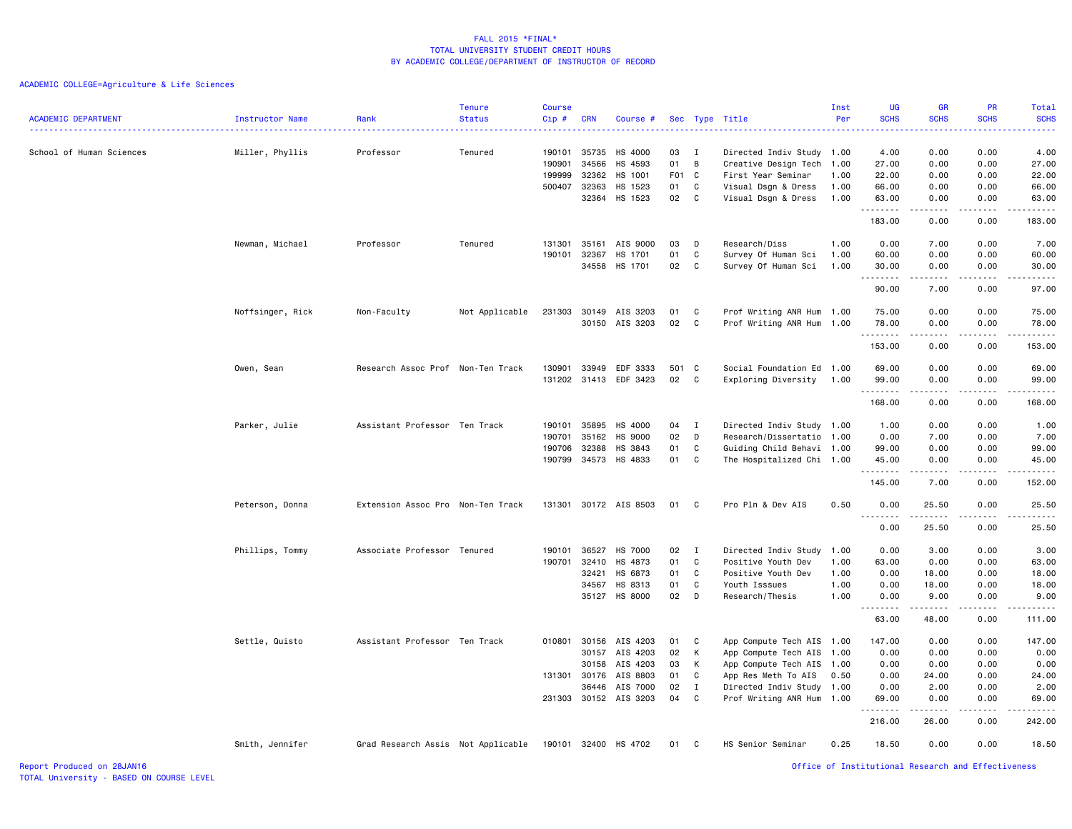# ACADEMIC COLLEGE=Agriculture & Life Sciences

| <b>ACADEMIC DEPARTMENT</b> | Instructor Name  | Rank<br>.                          | <b>Tenure</b><br><b>Status</b> | <b>Course</b><br>Cip#                | <b>CRN</b>                                | Course #                                                                                |                                  |                                      | Sec Type Title                                                                                                                                                       | Inst<br>Per                  | <b>UG</b><br><b>SCHS</b><br>.                   | GR<br><b>SCHS</b>                                                                                                                                                                    | PR<br><b>SCHS</b><br>.                       | Total<br><b>SCHS</b><br>22222                                                                                                                                                  |
|----------------------------|------------------|------------------------------------|--------------------------------|--------------------------------------|-------------------------------------------|-----------------------------------------------------------------------------------------|----------------------------------|--------------------------------------|----------------------------------------------------------------------------------------------------------------------------------------------------------------------|------------------------------|-------------------------------------------------|--------------------------------------------------------------------------------------------------------------------------------------------------------------------------------------|----------------------------------------------|--------------------------------------------------------------------------------------------------------------------------------------------------------------------------------|
| School of Human Sciences   | Miller, Phyllis  | Professor                          | Tenured                        | 190101<br>190901<br>199999<br>500407 | 35735<br>34566<br>32362<br>32363<br>32364 | HS 4000<br>HS 4593<br>HS 1001<br>HS 1523<br>HS 1523                                     | 03<br>01<br>F01<br>01<br>02      | I<br>B<br>$\mathbf{C}$<br>C<br>C     | Directed Indiv Study 1.00<br>Creative Design Tech 1.00<br>First Year Seminar<br>Visual Dsgn & Dress<br>Visual Dsgn & Dress                                           | 1.00<br>1.00<br>1.00         | 4.00<br>27.00<br>22.00<br>66.00<br>63.00        | 0.00<br>0.00<br>0.00<br>0.00<br>0.00<br>.                                                                                                                                            | 0.00<br>0.00<br>0.00<br>0.00<br>0.00<br>.    | 4.00<br>27.00<br>22.00<br>66.00<br>63.00                                                                                                                                       |
|                            |                  |                                    |                                |                                      |                                           |                                                                                         |                                  |                                      |                                                                                                                                                                      |                              | . <b>.</b><br>183.00                            | 0.00                                                                                                                                                                                 | 0.00                                         | .<br>183.00                                                                                                                                                                    |
|                            | Newman, Michael  | Professor                          | Tenured                        | 131301<br>190101                     | 35161<br>32367                            | AIS 9000<br>HS 1701<br>34558 HS 1701                                                    | 03<br>01<br>02                   | D<br>C<br>C                          | Research/Diss<br>Survey Of Human Sci<br>Survey Of Human Sci                                                                                                          | 1.00<br>1.00<br>1.00         | 0.00<br>60.00<br>30.00<br>.                     | 7.00<br>0.00<br>0.00                                                                                                                                                                 | 0.00<br>0.00<br>0.00<br>الدامات الما         | 7.00<br>60.00<br>30.00<br>$\frac{1}{2} \left( \frac{1}{2} \right) \left( \frac{1}{2} \right) \left( \frac{1}{2} \right) \left( \frac{1}{2} \right) \left( \frac{1}{2} \right)$ |
|                            |                  |                                    |                                |                                      |                                           |                                                                                         |                                  |                                      |                                                                                                                                                                      |                              | 90.00                                           | 7.00                                                                                                                                                                                 | 0.00                                         | 97.00                                                                                                                                                                          |
|                            | Noffsinger, Rick | Non-Faculty                        | Not Applicable                 | 231303                               | 30149                                     | AIS 3203<br>30150 AIS 3203                                                              | 01<br>02                         | C<br>C                               | Prof Writing ANR Hum 1.00<br>Prof Writing ANR Hum 1.00                                                                                                               |                              | 75.00<br>78.00<br>. <b>.</b>                    | 0.00<br>0.00<br><u>.</u>                                                                                                                                                             | 0.00<br>0.00<br>.                            | 75.00<br>78.00<br>.                                                                                                                                                            |
|                            |                  |                                    |                                |                                      |                                           |                                                                                         |                                  |                                      |                                                                                                                                                                      |                              | 153.00                                          | 0.00                                                                                                                                                                                 | 0.00                                         | 153.00                                                                                                                                                                         |
|                            | Owen, Sean       | Research Assoc Prof Non-Ten Track  |                                | 130901<br>131202                     | 33949<br>31413                            | EDF 3333<br>EDF 3423                                                                    | 501<br>02                        | $\mathbf{C}$<br>C                    | Social Foundation Ed 1.00<br>Exploring Diversity                                                                                                                     | 1.00                         | 69.00<br>99.00<br>.                             | 0.00<br>0.00                                                                                                                                                                         | 0.00<br>0.00                                 | 69.00<br>99.00<br>.                                                                                                                                                            |
|                            |                  |                                    |                                |                                      |                                           |                                                                                         |                                  |                                      |                                                                                                                                                                      |                              | 168.00                                          | 0.00                                                                                                                                                                                 | 0.00                                         | 168.00                                                                                                                                                                         |
|                            | Parker, Julie    | Assistant Professor Ten Track      |                                | 190101<br>190701<br>190706           | 35895<br>35162<br>32388                   | HS 4000<br><b>HS 9000</b><br>HS 3843<br>190799 34573 HS 4833                            | 04<br>02<br>01<br>01             | I<br>D<br>C<br>C                     | Directed Indiv Study 1.00<br>Research/Dissertatio 1.00<br>Guiding Child Behavi 1.00<br>The Hospitalized Chi 1.00                                                     |                              | 1.00<br>0.00<br>99.00<br>45.00<br>.             | 0.00<br>7.00<br>0.00<br>0.00<br>$\frac{1}{2} \left( \frac{1}{2} \right) \left( \frac{1}{2} \right) \left( \frac{1}{2} \right) \left( \frac{1}{2} \right) \left( \frac{1}{2} \right)$ | 0.00<br>0.00<br>0.00<br>0.00<br>.            | 1.00<br>7.00<br>99.00<br>45.00<br>.                                                                                                                                            |
|                            |                  |                                    |                                |                                      |                                           |                                                                                         |                                  |                                      |                                                                                                                                                                      |                              | 145.00                                          | 7.00                                                                                                                                                                                 | 0.00                                         | 152.00                                                                                                                                                                         |
|                            | Peterson, Donna  | Extension Assoc Pro Non-Ten Track  |                                | 131301                               |                                           | 30172 AIS 8503                                                                          | 01                               | C                                    | Pro Pln & Dev AIS                                                                                                                                                    | 0.50                         | 0.00<br><u>.</u>                                | 25.50                                                                                                                                                                                | 0.00                                         | 25.50<br>.                                                                                                                                                                     |
|                            | Phillips, Tommy  | Associate Professor Tenured        |                                | 190101                               | 36527                                     | <b>HS 7000</b>                                                                          | 02                               | I                                    | Directed Indiv Study                                                                                                                                                 | 1.00                         | 0.00<br>0.00                                    | 25.50<br>3.00                                                                                                                                                                        | 0.00<br>0.00                                 | 25.50<br>3.00                                                                                                                                                                  |
|                            |                  |                                    |                                | 190701                               | 32410<br>32421<br>34567                   | HS 4873<br>HS 6873<br>HS 8313<br>35127 HS 8000                                          | 01<br>01<br>01<br>02             | C<br>C<br>C<br>D                     | Positive Youth Dev<br>Positive Youth Dev<br>Youth Isssues<br>Research/Thesis                                                                                         | 1.00<br>1.00<br>1.00<br>1.00 | 63.00<br>0.00<br>0.00<br>0.00<br>.              | 0.00<br>18.00<br>18.00<br>9.00<br>.                                                                                                                                                  | 0.00<br>0.00<br>0.00<br>0.00<br>.            | 63.00<br>18.00<br>18.00<br>9.00                                                                                                                                                |
|                            |                  |                                    |                                |                                      |                                           |                                                                                         |                                  |                                      |                                                                                                                                                                      |                              | 63.00                                           | 48.00                                                                                                                                                                                | 0.00                                         | 111.00                                                                                                                                                                         |
|                            | Settle, Quisto   | Assistant Professor Ten Track      |                                | 010801                               | 30157<br>30158<br>131301 30176<br>36446   | 30156 AIS 4203<br>AIS 4203<br>AIS 4203<br>AIS 8803<br>AIS 7000<br>231303 30152 AIS 3203 | 01<br>02<br>03<br>01<br>02<br>04 | C<br>К<br>К<br>C<br>$\mathbf I$<br>C | App Compute Tech AIS 1.00<br>App Compute Tech AIS 1.00<br>App Compute Tech AIS 1.00<br>App Res Meth To AIS<br>Directed Indiv Study 1.00<br>Prof Writing ANR Hum 1.00 | 0.50                         | 147.00<br>0.00<br>0.00<br>0.00<br>0.00<br>69.00 | 0.00<br>0.00<br>0.00<br>24.00<br>2.00<br>0.00                                                                                                                                        | 0.00<br>0.00<br>0.00<br>0.00<br>0.00<br>0.00 | 147.00<br>0.00<br>0.00<br>24.00<br>2.00<br>69.00                                                                                                                               |
|                            |                  |                                    |                                |                                      |                                           |                                                                                         |                                  |                                      |                                                                                                                                                                      |                              | 216.00                                          | 26.00                                                                                                                                                                                | 0.00                                         | $- - - - -$<br>242.00                                                                                                                                                          |
|                            | Smith, Jennifer  | Grad Research Assis Not Applicable |                                |                                      |                                           | 190101 32400 HS 4702                                                                    | 01                               | C                                    | HS Senior Seminar                                                                                                                                                    | 0.25                         | 18.50                                           | 0.00                                                                                                                                                                                 | 0.00                                         | 18.50                                                                                                                                                                          |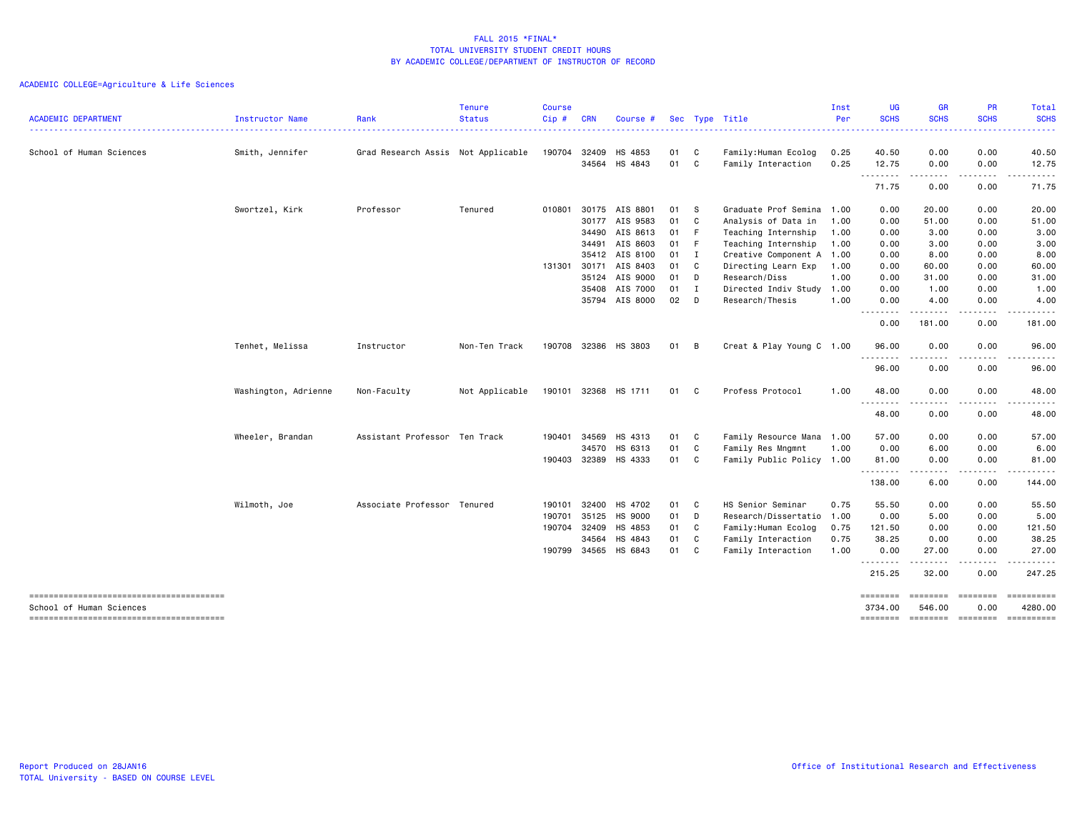# ACADEMIC COLLEGE=Agriculture & Life Sciences

| <b>ACADEMIC DEPARTMENT</b> | Instructor Name      | Rank                               | <b>Tenure</b><br><b>Status</b> | <b>Course</b><br>Cip# | <b>CRN</b>   | Course #             |      |              | Sec Type Title            | Inst<br>Per | UG<br><b>SCHS</b>   | <b>GR</b><br><b>SCHS</b>    | <b>PR</b><br><b>SCHS</b>                                                                                                             | Total<br><b>SCHS</b> |
|----------------------------|----------------------|------------------------------------|--------------------------------|-----------------------|--------------|----------------------|------|--------------|---------------------------|-------------|---------------------|-----------------------------|--------------------------------------------------------------------------------------------------------------------------------------|----------------------|
|                            |                      |                                    |                                |                       |              |                      |      |              |                           |             | .                   | <b>.</b> .                  |                                                                                                                                      | .                    |
| School of Human Sciences   | Smith, Jennifer      | Grad Research Assis Not Applicable |                                | 190704                | 32409        | HS 4853              | 01   | C            | Family: Human Ecolog      | 0.25        | 40.50               | 0.00                        | 0.00                                                                                                                                 | 40.50                |
|                            |                      |                                    |                                |                       | 34564        | HS 4843              | 01   | C            | Family Interaction        | 0.25        | 12.75               | 0.00                        | 0.00                                                                                                                                 | 12.75                |
|                            |                      |                                    |                                |                       |              |                      |      |              |                           |             | .                   | $\sim$ $\sim$ $\sim$ $\sim$ | .                                                                                                                                    | ------               |
|                            |                      |                                    |                                |                       |              |                      |      |              |                           |             | 71.75               | 0.00                        | 0.00                                                                                                                                 | 71.75                |
|                            | Swortzel, Kirk       | Professor                          | Tenured                        | 010801                |              | 30175 AIS 8801       | 01 S |              | Graduate Prof Semina 1.00 |             | 0.00                | 20.00                       | 0.00                                                                                                                                 | 20.00                |
|                            |                      |                                    |                                |                       |              | 30177 AIS 9583       | 01   | $\mathbf{C}$ | Analysis of Data in       | 1.00        | 0.00                | 51.00                       | 0.00                                                                                                                                 | 51.00                |
|                            |                      |                                    |                                |                       | 34490        | AIS 8613             | 01 F |              | Teaching Internship       | 1.00        | 0.00                | 3.00                        | 0.00                                                                                                                                 | 3.00                 |
|                            |                      |                                    |                                |                       | 34491        | AIS 8603             | 01 F |              | Teaching Internship       | 1.00        | 0.00                | 3.00                        | 0.00                                                                                                                                 | 3.00                 |
|                            |                      |                                    |                                |                       | 35412        | AIS 8100             | 01 I |              | Creative Component A 1.00 |             | 0.00                | 8.00                        | 0.00                                                                                                                                 | 8.00                 |
|                            |                      |                                    |                                | 131301                | 30171        | AIS 8403             | 01   | C            | Directing Learn Exp       | 1.00        | 0.00                | 60.00                       | 0.00                                                                                                                                 | 60.00                |
|                            |                      |                                    |                                |                       | 35124        | AIS 9000             | 01 D |              | Research/Diss             | 1.00        | 0.00                | 31.00                       | 0.00                                                                                                                                 | 31.00                |
|                            |                      |                                    |                                |                       | 35408        | AIS 7000             | 01   | $\mathbf I$  | Directed Indiv Study      | 1.00        | 0.00                | 1.00                        | 0.00                                                                                                                                 | 1.00                 |
|                            |                      |                                    |                                |                       |              | 35794 AIS 8000       | 02   | D            | Research/Thesis           | 1.00        | 0.00<br>.           | 4.00<br>.                   | 0.00<br>- - - - -                                                                                                                    | 4.00                 |
|                            |                      |                                    |                                |                       |              |                      |      |              |                           |             | 0.00                | 181.00                      | 0.00                                                                                                                                 | 181.00               |
|                            | Tenhet, Melissa      | Instructor                         | Non-Ten Track                  |                       |              | 190708 32386 HS 3803 | 01   | B            | Creat & Play Young C 1.00 |             | 96.00               | 0.00                        | 0.00                                                                                                                                 | 96.00                |
|                            |                      |                                    |                                |                       |              |                      |      |              |                           |             | ----<br>96.00       | ----<br>0.00                | .<br>0.00                                                                                                                            | .<br>96.00           |
|                            | Washington, Adrienne | Non-Faculty                        | Not Applicable                 |                       |              | 190101 32368 HS 1711 | 01   | C            | Profess Protocol          | 1.00        | 48.00               | 0.00                        | 0.00                                                                                                                                 | 48.00                |
|                            |                      |                                    |                                |                       |              |                      |      |              |                           |             | 48.00               | 0.00                        | 0.00                                                                                                                                 | 48.00                |
|                            | Wheeler, Brandan     | Assistant Professor                | Ten Track                      | 190401                | 34569        | HS 4313              | 01   | C            | Family Resource Mana 1.00 |             | 57.00               | 0.00                        | 0.00                                                                                                                                 | 57.00                |
|                            |                      |                                    |                                |                       | 34570        | HS 6313              | 01   | C            | Family Res Mngmnt         | 1.00        | 0.00                | 6.00                        | 0.00                                                                                                                                 | 6.00                 |
|                            |                      |                                    |                                | 190403                |              | 32389 HS 4333        | 01   | C            | Family Public Policy 1.00 |             | 81.00               | 0.00                        | 0.00                                                                                                                                 | 81.00                |
|                            |                      |                                    |                                |                       |              |                      |      |              |                           |             | .<br>138.00         | ----<br>6.00                | .<br>0.00                                                                                                                            | .<br>144.00          |
|                            | Wilmoth, Joe         | Associate Professor                | Tenured                        | 190101                | 32400        | HS 4702              | 01   | C            | HS Senior Seminar         | 0.75        | 55.50               | 0.00                        | 0.00                                                                                                                                 | 55.50                |
|                            |                      |                                    |                                | 190701                | 35125        | HS 9000              | 01   | D            | Research/Dissertatio 1.00 |             | 0.00                | 5.00                        | 0.00                                                                                                                                 | 5.00                 |
|                            |                      |                                    |                                | 190704 32409          |              | HS 4853              | 01   | C            | Family: Human Ecolog      | 0.75        | 121.50              | 0.00                        | 0.00                                                                                                                                 | 121.50               |
|                            |                      |                                    |                                |                       | 34564        | HS 4843              | 01   | C            | Family Interaction        | 0.75        | 38.25               | 0.00                        | 0.00                                                                                                                                 | 38.25                |
|                            |                      |                                    |                                |                       | 190799 34565 | HS 6843              | 01   | C            | Family Interaction        | 1.00        | 0.00                | 27.00                       | 0.00                                                                                                                                 | 27.00                |
|                            |                      |                                    |                                |                       |              |                      |      |              |                           |             | .<br>215.25         | .<br>32.00                  | .<br>0.00                                                                                                                            | .<br>247.25          |
| School of Human Sciences   |                      |                                    |                                |                       |              |                      |      |              |                           |             | ========<br>3734.00 | $=$ = = = = = = =<br>546.00 | <b>EEEEEEEE</b><br>0.00                                                                                                              | 4280.00              |
|                            |                      |                                    |                                |                       |              |                      |      |              |                           |             | ========            | ========                    | $\qquad \qquad \blacksquare \blacksquare \blacksquare \blacksquare \blacksquare \blacksquare \blacksquare \blacksquare \blacksquare$ | ==========           |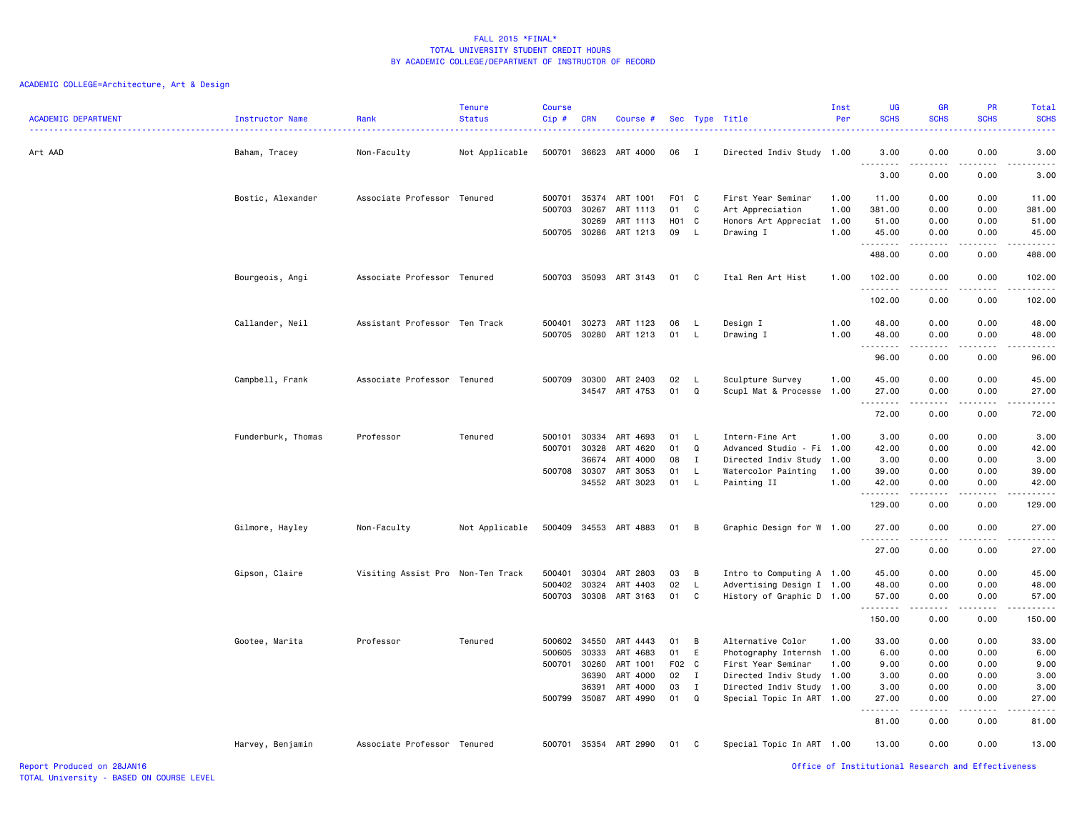| <b>ACADEMIC DEPARTMENT</b> | Instructor Name    | Rank<br><u>.</u>                  | <b>Tenure</b><br><b>Status</b> | Course<br>Cip# | <b>CRN</b>   | Course #              |       |                | Sec Type Title            | Inst<br>Per | UG<br><b>SCHS</b>    | GR<br><b>SCHS</b> | <b>PR</b><br><b>SCHS</b> | Total<br><b>SCHS</b><br>$\frac{1}{2} \left( \frac{1}{2} \right) \left( \frac{1}{2} \right) \left( \frac{1}{2} \right) \left( \frac{1}{2} \right)$ |
|----------------------------|--------------------|-----------------------------------|--------------------------------|----------------|--------------|-----------------------|-------|----------------|---------------------------|-------------|----------------------|-------------------|--------------------------|---------------------------------------------------------------------------------------------------------------------------------------------------|
| Art AAD                    | Baham, Tracey      | Non-Faculty                       | Not Applicable                 | 500701         | 36623        | ART 4000              | 06    | $\mathbf{I}$   | Directed Indiv Study 1.00 |             | 3.00<br>.            | 0.00              | 0.00                     | 3.00<br>-----                                                                                                                                     |
|                            |                    |                                   |                                |                |              |                       |       |                |                           |             | 3.00                 | 0.00              | 0.00                     | 3.00                                                                                                                                              |
|                            | Bostic, Alexander  | Associate Professor Tenured       |                                | 500701         | 35374        | ART 1001              | F01 C |                | First Year Seminar        | 1.00        | 11.00                | 0.00              | 0.00                     | 11.00                                                                                                                                             |
|                            |                    |                                   |                                | 500703         | 30267        | ART 1113              | 01    | C              | Art Appreciation          | 1.00        | 381.00               | 0.00              | 0.00                     | 381.00                                                                                                                                            |
|                            |                    |                                   |                                |                | 30269        | ART 1113              | H01 C |                | Honors Art Appreciat 1.00 |             | 51.00                | 0.00              | 0.00                     | 51.00                                                                                                                                             |
|                            |                    |                                   |                                |                | 500705 30286 | ART 1213              | 09    | L.             | Drawing I                 | 1.00        | 45.00<br>.           | 0.00<br>-----     | 0.00<br>.                | 45.00<br>------                                                                                                                                   |
|                            |                    |                                   |                                |                |              |                       |       |                |                           |             | 488.00               | 0.00              | 0.00                     | 488.00                                                                                                                                            |
|                            | Bourgeois, Angi    | Associate Professor Tenured       |                                |                |              | 500703 35093 ART 3143 | 01    | C              | Ital Ren Art Hist         | 1.00        | 102.00<br>. <b>.</b> | 0.00<br>-----     | 0.00<br>$- - -$          | 102.00                                                                                                                                            |
|                            |                    |                                   |                                |                |              |                       |       |                |                           |             | 102.00               | 0.00              | 0.00                     | 102.00                                                                                                                                            |
|                            | Callander, Neil    | Assistant Professor Ten Track     |                                | 500401         | 30273        | ART 1123              | 06    | L              | Design I                  | 1.00        | 48.00                | 0.00              | 0.00                     | 48.00                                                                                                                                             |
|                            |                    |                                   |                                | 500705         |              | 30280 ART 1213        | 01    | L              | Drawing I                 | 1.00        | 48.00                | 0.00              | 0.00                     | 48.00                                                                                                                                             |
|                            |                    |                                   |                                |                |              |                       |       |                |                           |             | .<br>96.00           | .<br>0.00         | .<br>0.00                | .<br>96.00                                                                                                                                        |
|                            | Campbell, Frank    | Associate Professor Tenured       |                                | 500709         | 30300        | ART 2403              | 02    | L              | Sculpture Survey          | 1.00        | 45.00                | 0.00              | 0.00                     | 45.00                                                                                                                                             |
|                            |                    |                                   |                                |                | 34547        | ART 4753              | 01    | $\Omega$       | Scupl Mat & Processe      | 1.00        | 27.00                | 0.00              | 0.00                     | 27.00                                                                                                                                             |
|                            |                    |                                   |                                |                |              |                       |       |                |                           |             | .<br>72.00           | 0.00              | 0.00                     | .<br>72.00                                                                                                                                        |
|                            | Funderburk, Thomas | Professor                         | Tenured                        | 500101         | 30334        | ART 4693              | 01    | L              | Intern-Fine Art           | 1.00        | 3.00                 | 0.00              | 0.00                     | 3.00                                                                                                                                              |
|                            |                    |                                   |                                | 500701         | 30328        | ART 4620              | 01    | $\mathbf Q$    | Advanced Studio - Fi 1.00 |             | 42.00                | 0.00              | 0.00                     | 42.00                                                                                                                                             |
|                            |                    |                                   |                                |                | 36674        | ART 4000              | 08    | $\mathbf{I}$   | Directed Indiv Study 1.00 |             | 3.00                 | 0.00              | 0.00                     | 3.00                                                                                                                                              |
|                            |                    |                                   |                                | 500708         | 30307        | ART 3053              | 01    | $\mathsf{L}$   | Watercolor Painting       | 1.00        | 39.00                | 0.00              | 0.00                     | 39.00                                                                                                                                             |
|                            |                    |                                   |                                |                |              | 34552 ART 3023        | 01    | $\mathsf{L}$   | Painting II               | 1.00        | 42.00                | 0.00              | 0.00                     | 42.00<br>.                                                                                                                                        |
|                            |                    |                                   |                                |                |              |                       |       |                |                           |             | 129.00               | 0.00              | 0.00                     | 129.00                                                                                                                                            |
|                            | Gilmore, Hayley    | Non-Faculty                       | Not Applicable                 |                |              | 500409 34553 ART 4883 | 01    | $\overline{B}$ | Graphic Design for W 1.00 |             | 27.00                | 0.00              | 0.00                     | 27.00                                                                                                                                             |
|                            |                    |                                   |                                |                |              |                       |       |                |                           |             | .<br>27.00           | .<br>0.00         | .<br>0.00                | .<br>27.00                                                                                                                                        |
|                            | Gipson, Claire     | Visiting Assist Pro Non-Ten Track |                                | 500401         | 30304        | ART 2803              | 03    | B              | Intro to Computing A 1.00 |             | 45.00                | 0.00              | 0.00                     | 45.00                                                                                                                                             |
|                            |                    |                                   |                                | 500402         | 30324        | ART 4403              | 02    | L.             | Advertising Design I 1.00 |             | 48.00                | 0.00              | 0.00                     | 48.00                                                                                                                                             |
|                            |                    |                                   |                                | 500703         | 30308        | ART 3163              | 01    | C              | History of Graphic D 1.00 |             | 57.00                | 0.00              | 0.00                     | 57.00                                                                                                                                             |
|                            |                    |                                   |                                |                |              |                       |       |                |                           |             | 150.00               | .<br>0.00         | $\frac{1}{2}$<br>0.00    | .<br>150.00                                                                                                                                       |
|                            | Gootee, Marita     | Professor                         | Tenured                        | 500602         | 34550        | ART 4443              | 01    | B              | Alternative Color         | 1.00        | 33.00                | 0.00              | 0.00                     | 33.00                                                                                                                                             |
|                            |                    |                                   |                                | 500605         | 30333        | ART 4683              | 01    | E              | Photography Internsh 1.00 |             | 6.00                 | 0.00              | 0.00                     | 6.00                                                                                                                                              |
|                            |                    |                                   |                                | 500701         | 30260        | ART 1001              | F02 C |                | First Year Seminar        | 1.00        | 9.00                 | 0.00              | 0.00                     | 9.00                                                                                                                                              |
|                            |                    |                                   |                                |                | 36390        | ART 4000              | 02    | $\mathbf{I}$   | Directed Indiv Study 1.00 |             | 3.00                 | 0.00              | 0.00                     | 3.00                                                                                                                                              |
|                            |                    |                                   |                                |                | 36391        | ART 4000              | 03    | $\mathbf{I}$   | Directed Indiv Study 1.00 |             | 3.00                 | 0.00              | 0.00                     | 3.00                                                                                                                                              |
|                            |                    |                                   |                                | 500799         | 35087        | ART 4990              | 01    | Q              | Special Topic In ART 1.00 |             | 27.00<br>. <b>.</b>  | 0.00<br>.         | 0.00<br>$\frac{1}{2}$    | 27.00<br>.                                                                                                                                        |
|                            |                    |                                   |                                |                |              |                       |       |                |                           |             | 81.00                | 0.00              | 0.00                     | 81.00                                                                                                                                             |
|                            | Harvey, Benjamin   | Associate Professor Tenured       |                                | 500701         |              | 35354 ART 2990        | 01    | C              | Special Topic In ART 1.00 |             | 13.00                | 0.00              | 0.00                     | 13.00                                                                                                                                             |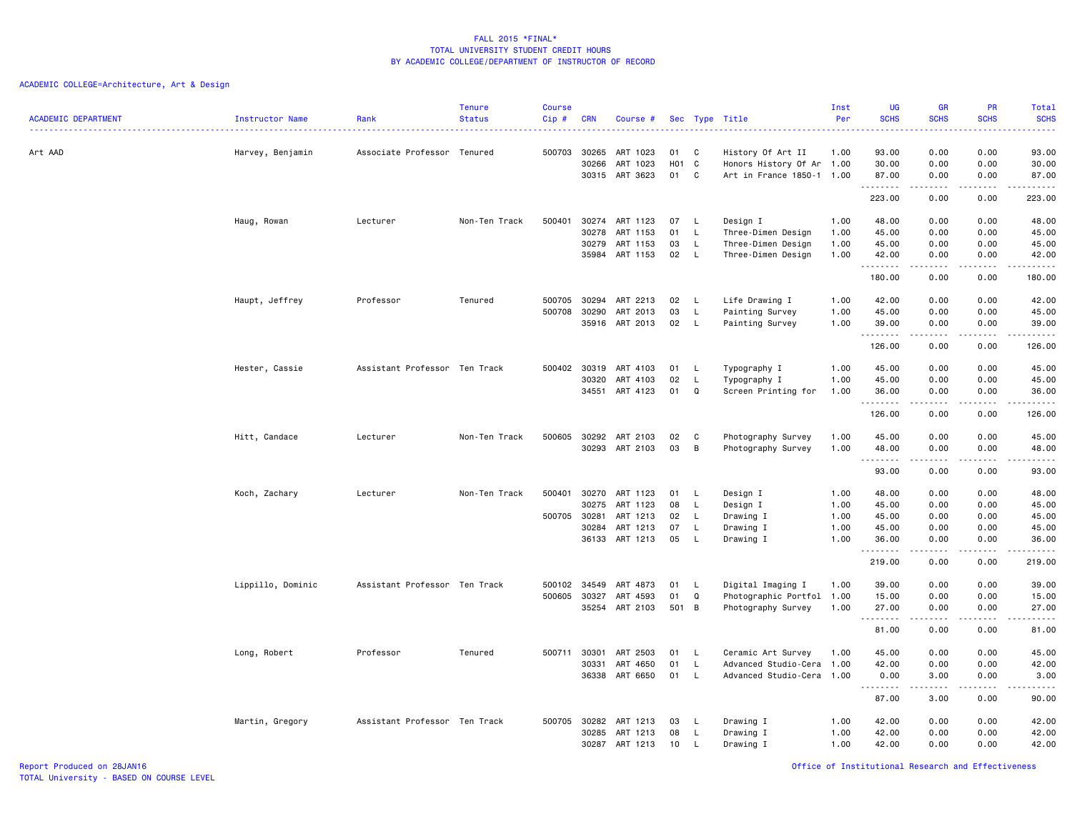| <b>ACADEMIC DEPARTMENT</b> | Instructor Name<br>. <u>.</u> . | Rank                          | <b>Tenure</b><br><b>Status</b> | <b>Course</b><br>Cip# | CRN                              | Course #                                                       |                              |                                             | Sec Type Title                                                               | Inst<br>Per                          | UG<br><b>SCHS</b>                         | <b>GR</b><br><b>SCHS</b>                                                                                                                                     | PR<br><b>SCHS</b>                           | Total<br><b>SCHS</b><br>22222                 |
|----------------------------|---------------------------------|-------------------------------|--------------------------------|-----------------------|----------------------------------|----------------------------------------------------------------|------------------------------|---------------------------------------------|------------------------------------------------------------------------------|--------------------------------------|-------------------------------------------|--------------------------------------------------------------------------------------------------------------------------------------------------------------|---------------------------------------------|-----------------------------------------------|
| Art AAD                    | Harvey, Benjamin                | Associate Professor Tenured   |                                | 500703                | 30265<br>30266<br>30315          | ART 1023<br>ART 1023<br>ART 3623                               | 01<br>H <sub>0</sub> 1<br>01 | C<br>C<br>C                                 | History Of Art II<br>Honors History Of Ar 1.00<br>Art in France 1850-1 1.00  | 1.00                                 | 93.00<br>30.00<br>87.00                   | 0.00<br>0.00<br>0.00                                                                                                                                         | 0.00<br>0.00<br>0.00                        | 93.00<br>30.00<br>87.00                       |
|                            |                                 |                               |                                |                       |                                  |                                                                |                              |                                             |                                                                              |                                      | .<br>223.00                               | $\frac{1}{2} \left( \frac{1}{2} \right) \left( \frac{1}{2} \right) \left( \frac{1}{2} \right) \left( \frac{1}{2} \right) \left( \frac{1}{2} \right)$<br>0.00 | .<br>0.00                                   | <u>.</u><br>223.00                            |
|                            | Haug, Rowan                     | Lecturer                      | Non-Ten Track                  | 500401                | 30274<br>30278<br>30279<br>35984 | ART 1123<br>ART 1153<br>ART 1153<br>ART 1153                   | 07<br>01<br>03<br>02         | -L.<br>L<br>$\mathsf L$<br>L                | Design I<br>Three-Dimen Design<br>Three-Dimen Design<br>Three-Dimen Design   | 1.00<br>1.00<br>1.00<br>1.00         | 48.00<br>45.00<br>45.00<br>42.00<br>.     | 0.00<br>0.00<br>0.00<br>0.00                                                                                                                                 | 0.00<br>0.00<br>0.00<br>0.00<br>.           | 48.00<br>45.00<br>45.00<br>42.00<br>د د د د د |
|                            |                                 |                               |                                |                       |                                  |                                                                |                              |                                             |                                                                              |                                      | 180.00                                    | 0.00                                                                                                                                                         | 0.00                                        | 180.00                                        |
|                            | Haupt, Jeffrey                  | Professor                     | Tenured                        | 500705<br>500708      | 30294<br>30290<br>35916          | ART 2213<br>ART 2013<br>ART 2013                               | 02<br>03<br>02               | L<br>L<br>L                                 | Life Drawing I<br>Painting Survey<br>Painting Survey                         | 1.00<br>1.00<br>1.00                 | 42.00<br>45.00<br>39.00<br>.              | 0.00<br>0.00<br>0.00<br>.                                                                                                                                    | 0.00<br>0.00<br>0.00<br>.                   | 42.00<br>45.00<br>39.00<br><u>.</u>           |
|                            |                                 |                               |                                |                       |                                  |                                                                |                              |                                             |                                                                              |                                      | 126.00                                    | 0.00                                                                                                                                                         | 0.00                                        | 126.00                                        |
|                            | Hester, Cassie                  | Assistant Professor Ten Track |                                | 500402                | 30319<br>30320<br>34551          | ART 4103<br>ART 4103<br>ART 4123                               | 01<br>02<br>01               | L<br>L<br>$\Omega$                          | Typography I<br>Typography I<br>Screen Printing for                          | 1.00<br>1.00<br>1.00                 | 45.00<br>45.00<br>36.00                   | 0.00<br>0.00<br>0.00                                                                                                                                         | 0.00<br>0.00<br>0.00                        | 45.00<br>45.00<br>36.00                       |
|                            |                                 |                               |                                |                       |                                  |                                                                |                              |                                             |                                                                              |                                      | .<br>126.00                               | $\frac{1}{2} \left( \frac{1}{2} \right) \left( \frac{1}{2} \right) \left( \frac{1}{2} \right) \left( \frac{1}{2} \right) \left( \frac{1}{2} \right)$<br>0.00 | .<br>0.00                                   | .<br>126.00                                   |
|                            | Hitt, Candace                   | Lecturer                      | Non-Ten Track                  | 500605                | 30292<br>30293                   | ART 2103<br>ART 2103                                           | 02<br>03                     | C<br>B                                      | Photography Survey<br>Photography Survey                                     | 1.00<br>1.00                         | 45.00<br>48.00<br><u>.</u>                | 0.00<br>0.00                                                                                                                                                 | 0.00<br>0.00<br>$\sim$ $\sim$ $\sim$ $\sim$ | 45.00<br>48.00<br>.                           |
|                            |                                 |                               |                                |                       |                                  |                                                                |                              |                                             |                                                                              |                                      | 93.00                                     | 0.00                                                                                                                                                         | 0.00                                        | 93.00                                         |
|                            | Koch, Zachary                   | Lecturer                      | Non-Ten Track                  | 500401<br>500705      | 30270<br>30275<br>30281<br>30284 | ART 1123<br>ART 1123<br>ART 1213<br>ART 1213<br>36133 ART 1213 | 01<br>08<br>02<br>07<br>05   | $\mathsf{L}$<br>L<br>L<br>L<br>$\mathsf{L}$ | Design I<br>Design I<br>Drawing I<br>Drawing I<br>Drawing I                  | 1.00<br>1.00<br>1.00<br>1.00<br>1.00 | 48.00<br>45.00<br>45.00<br>45.00<br>36.00 | 0.00<br>0.00<br>0.00<br>0.00<br>0.00                                                                                                                         | 0.00<br>0.00<br>0.00<br>0.00<br>0.00        | 48.00<br>45.00<br>45.00<br>45.00<br>36.00     |
|                            |                                 |                               |                                |                       |                                  |                                                                |                              |                                             |                                                                              |                                      | .<br>219.00                               | $\frac{1}{2} \left( \frac{1}{2} \right) \left( \frac{1}{2} \right) \left( \frac{1}{2} \right) \left( \frac{1}{2} \right) \left( \frac{1}{2} \right)$<br>0.00 | .<br>0.00                                   | .<br>219.00                                   |
|                            | Lippillo, Dominic               | Assistant Professor Ten Track |                                | 500102<br>500605      | 34549<br>30327<br>35254          | ART 4873<br>ART 4593<br>ART 2103                               | 01<br>01<br>501              | L<br>Q<br>$\overline{B}$                    | Digital Imaging I<br>Photographic Portfol 1.00<br>Photography Survey         | 1.00<br>1.00                         | 39.00<br>15.00<br>27.00                   | 0.00<br>0.00<br>0.00                                                                                                                                         | 0.00<br>0.00<br>0.00                        | 39.00<br>15.00<br>27.00                       |
|                            |                                 |                               |                                |                       |                                  |                                                                |                              |                                             |                                                                              |                                      | .<br>81.00                                | -----<br>0.00                                                                                                                                                | .<br>0.00                                   | .<br>81.00                                    |
|                            | Long, Robert                    | Professor                     | Tenured                        | 500711 30301          | 30331<br>36338                   | ART 2503<br>ART 4650<br>ART 6650                               | 01<br>01<br>01               | L.<br>L.<br>L                               | Ceramic Art Survey<br>Advanced Studio-Cera 1.00<br>Advanced Studio-Cera 1.00 | 1.00                                 | 45.00<br>42.00<br>0.00                    | 0.00<br>0.00<br>3.00                                                                                                                                         | 0.00<br>0.00<br>0.00                        | 45.00<br>42.00<br>3.00                        |
|                            |                                 |                               |                                |                       |                                  |                                                                |                              |                                             |                                                                              |                                      | .<br>87.00                                | $\sim$ $\sim$ $\sim$ $\sim$ $\sim$<br>3.00                                                                                                                   | .<br>0.00                                   | .<br>90.00                                    |
|                            | Martin, Gregory                 | Assistant Professor Ten Track |                                | 500705                | 30282<br>30285<br>30287          | ART 1213<br>ART 1213<br>ART 1213                               | 03<br>08<br>10               | L<br>L<br>L                                 | Drawing I<br>Drawing I<br>Drawing I                                          | 1.00<br>1.00<br>1.00                 | 42.00<br>42.00<br>42.00                   | 0.00<br>0.00<br>0.00                                                                                                                                         | 0.00<br>0.00<br>0.00                        | 42.00<br>42.00<br>42.00                       |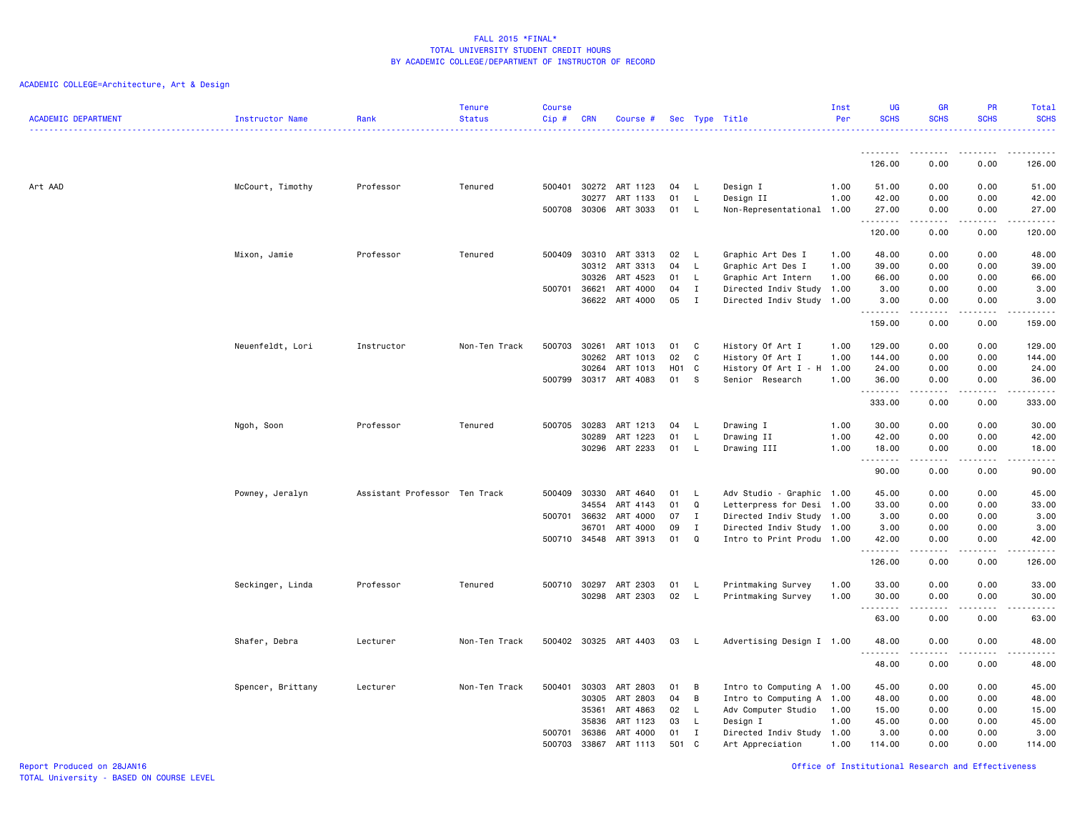| <b>ACADEMIC DEPARTMENT</b> | Instructor Name   | Rank                          | <b>Tenure</b><br><b>Status</b> | <b>Course</b><br>Cip # | CRN                   | Course #              |                   |                              | Sec Type Title                         | Inst<br>Per | UG<br><b>SCHS</b> | <b>GR</b><br><b>SCHS</b> | <b>PR</b><br><b>SCHS</b>                                                                                                          | <b>Total</b><br><b>SCHS</b> |
|----------------------------|-------------------|-------------------------------|--------------------------------|------------------------|-----------------------|-----------------------|-------------------|------------------------------|----------------------------------------|-------------|-------------------|--------------------------|-----------------------------------------------------------------------------------------------------------------------------------|-----------------------------|
|                            |                   |                               |                                |                        |                       |                       |                   |                              |                                        |             | --------          |                          | ----                                                                                                                              | .                           |
|                            |                   |                               |                                |                        |                       |                       |                   |                              |                                        |             | 126.00            | 0.00                     | 0.00                                                                                                                              | 126.00                      |
| Art AAD                    | McCourt, Timothy  | Professor                     | Tenured                        | 500401                 | 30272                 | ART 1123              | 04                | L.                           | Design I                               | 1.00        | 51.00             | 0.00                     | 0.00                                                                                                                              | 51.00                       |
|                            |                   |                               |                                |                        | 30277<br>500708 30306 | ART 1133<br>ART 3033  | 01<br>01          | L.<br>L.                     | Design II<br>Non-Representational 1.00 | 1.00        | 42.00<br>27.00    | 0.00<br>0.00             | 0.00<br>0.00                                                                                                                      | 42.00<br>27.00              |
|                            |                   |                               |                                |                        |                       |                       |                   |                              |                                        |             | . <b>.</b>        | .                        | .                                                                                                                                 | .                           |
|                            |                   |                               |                                |                        |                       |                       |                   |                              |                                        |             | 120.00            | 0.00                     | 0.00                                                                                                                              | 120.00                      |
|                            | Mixon, Jamie      | Professor                     | Tenured                        | 500409                 | 30310                 | ART 3313              | 02                | - L                          | Graphic Art Des I                      | 1.00        | 48.00             | 0.00                     | 0.00                                                                                                                              | 48.00                       |
|                            |                   |                               |                                |                        | 30312                 | ART 3313              | 04                | L                            | Graphic Art Des I                      | 1.00        | 39.00             | 0.00                     | 0.00                                                                                                                              | 39.00                       |
|                            |                   |                               |                                |                        | 30326                 | ART 4523              | 01                | $\mathsf{L}$                 | Graphic Art Intern                     | 1.00        | 66.00             | 0.00                     | 0.00                                                                                                                              | 66.00                       |
|                            |                   |                               |                                | 500701                 | 36621                 | ART 4000              | 04                | $\mathbf{I}$<br>$\mathbf{I}$ | Directed Indiv Study                   | 1.00        | 3.00              | 0.00                     | 0.00                                                                                                                              | 3.00                        |
|                            |                   |                               |                                |                        | 36622                 | ART 4000              | 05                |                              | Directed Indiv Study 1.00              |             | 3.00<br>.         | 0.00<br>.                | 0.00<br>$\frac{1}{2} \left( \frac{1}{2} \right) \left( \frac{1}{2} \right) \left( \frac{1}{2} \right) \left( \frac{1}{2} \right)$ | 3.00<br>.                   |
|                            |                   |                               |                                |                        |                       |                       |                   |                              |                                        |             | 159.00            | 0.00                     | 0.00                                                                                                                              | 159.00                      |
|                            | Neuenfeldt, Lori  | Instructor                    | Non-Ten Track                  | 500703                 | 30261                 | ART 1013              | 01                | C                            | History Of Art I                       | 1.00        | 129.00            | 0.00                     | 0.00                                                                                                                              | 129.00                      |
|                            |                   |                               |                                |                        | 30262                 | ART 1013              | 02                | C                            | History Of Art I                       | 1.00        | 144.00            | 0.00                     | 0.00                                                                                                                              | 144.00                      |
|                            |                   |                               |                                |                        | 30264                 | ART 1013              | H <sub>01</sub> C |                              | History Of Art I - H                   | 1.00        | 24.00             | 0.00                     | 0.00                                                                                                                              | 24.00                       |
|                            |                   |                               |                                | 500799                 | 30317                 | ART 4083              | 01                | s.                           | Senior Research                        | 1.00        | 36.00             | 0.00                     | 0.00                                                                                                                              | 36.00<br>.                  |
|                            |                   |                               |                                |                        |                       |                       |                   |                              |                                        |             | 333.00            | 0.00                     | 0.00                                                                                                                              | 333.00                      |
|                            | Ngoh, Soon        | Professor                     | Tenured                        | 500705                 | 30283                 | ART 1213              | 04                | L.                           | Drawing I                              | 1.00        | 30.00             | 0.00                     | 0.00                                                                                                                              | 30.00                       |
|                            |                   |                               |                                |                        | 30289                 | ART 1223              | 01                | L                            | Drawing II                             | 1.00        | 42.00             | 0.00                     | 0.00                                                                                                                              | 42.00                       |
|                            |                   |                               |                                |                        | 30296                 | ART 2233              | 01                | L                            | Drawing III                            | 1.00        | 18.00             | 0.00                     | 0.00                                                                                                                              | 18.00                       |
|                            |                   |                               |                                |                        |                       |                       |                   |                              |                                        |             | <u>.</u><br>90.00 | 0.00                     | 0.00                                                                                                                              | د د د د د<br>90.00          |
|                            | Powney, Jeralyn   | Assistant Professor Ten Track |                                | 500409                 | 30330                 | ART 4640              | 01                | L.                           | Adv Studio - Graphic 1.00              |             | 45.00             | 0.00                     | 0.00                                                                                                                              | 45.00                       |
|                            |                   |                               |                                |                        | 34554                 | ART 4143              | 01                | Q                            | Letterpress for Desi 1.00              |             | 33.00             | 0.00                     | 0.00                                                                                                                              | 33.00                       |
|                            |                   |                               |                                | 500701                 | 36632                 | ART 4000              | 07                | $\mathbf{I}$                 | Directed Indiv Study 1.00              |             | 3.00              | 0.00                     | 0.00                                                                                                                              | 3.00                        |
|                            |                   |                               |                                |                        | 36701                 | ART 4000              | 09                | $\mathbf{I}$                 | Directed Indiv Study 1.00              |             | 3.00              | 0.00                     | 0.00                                                                                                                              | 3.00                        |
|                            |                   |                               |                                |                        | 500710 34548          | ART 3913              | 01                | $\mathbf Q$                  | Intro to Print Produ 1.00              |             | 42.00<br>.        | 0.00<br>.                | 0.00<br>.                                                                                                                         | 42.00<br>.                  |
|                            |                   |                               |                                |                        |                       |                       |                   |                              |                                        |             | 126.00            | 0.00                     | 0.00                                                                                                                              | 126.00                      |
|                            | Seckinger, Linda  | Professor                     | Tenured                        |                        | 500710 30297          | ART 2303              | 01                | L                            | Printmaking Survey                     | 1.00        | 33.00             | 0.00                     | 0.00                                                                                                                              | 33.00                       |
|                            |                   |                               |                                |                        | 30298                 | ART 2303              | 02                | L.                           | Printmaking Survey                     | 1.00        | 30.00             | 0.00<br>-----            | 0.00<br>$- - -$                                                                                                                   | 30.00<br>.                  |
|                            |                   |                               |                                |                        |                       |                       |                   |                              |                                        |             | 63.00             | 0.00                     | 0.00                                                                                                                              | 63.00                       |
|                            | Shafer, Debra     | Lecturer                      | Non-Ten Track                  |                        |                       | 500402 30325 ART 4403 | 03                | <b>L</b>                     | Advertising Design I 1.00              |             | 48.00             | 0.00                     | 0.00                                                                                                                              | 48.00                       |
|                            |                   |                               |                                |                        |                       |                       |                   |                              |                                        |             | 48.00             | 0.00                     | $   -$<br>0.00                                                                                                                    | .<br>48.00                  |
|                            | Spencer, Brittany | Lecturer                      | Non-Ten Track                  | 500401                 | 30303                 | ART 2803              | 01                | B                            | Intro to Computing A 1.00              |             | 45.00             | 0.00                     | 0.00                                                                                                                              | 45.00                       |
|                            |                   |                               |                                |                        | 30305                 | ART 2803              | 04                | в                            | Intro to Computing A 1.00              |             | 48.00             | 0.00                     | 0.00                                                                                                                              | 48.00                       |
|                            |                   |                               |                                |                        | 35361                 | ART 4863              | 02                | L.                           | Adv Computer Studio                    | 1.00        | 15.00             | 0.00                     | 0.00                                                                                                                              | 15.00                       |
|                            |                   |                               |                                |                        | 35836                 | ART 1123              | 03                | L                            | Design I                               | 1.00        | 45.00             | 0.00                     | 0.00                                                                                                                              | 45.00                       |
|                            |                   |                               |                                | 500701                 | 36386                 | ART 4000              | 01                | $\mathbf{I}$                 | Directed Indiv Study 1.00              |             | 3.00              | 0.00                     | 0.00                                                                                                                              | 3.00                        |
|                            |                   |                               |                                | 500703                 | 33867                 | ART 1113              | 501               | C                            | Art Appreciation                       | 1.00        | 114.00            | 0.00                     | 0.00                                                                                                                              | 114.00                      |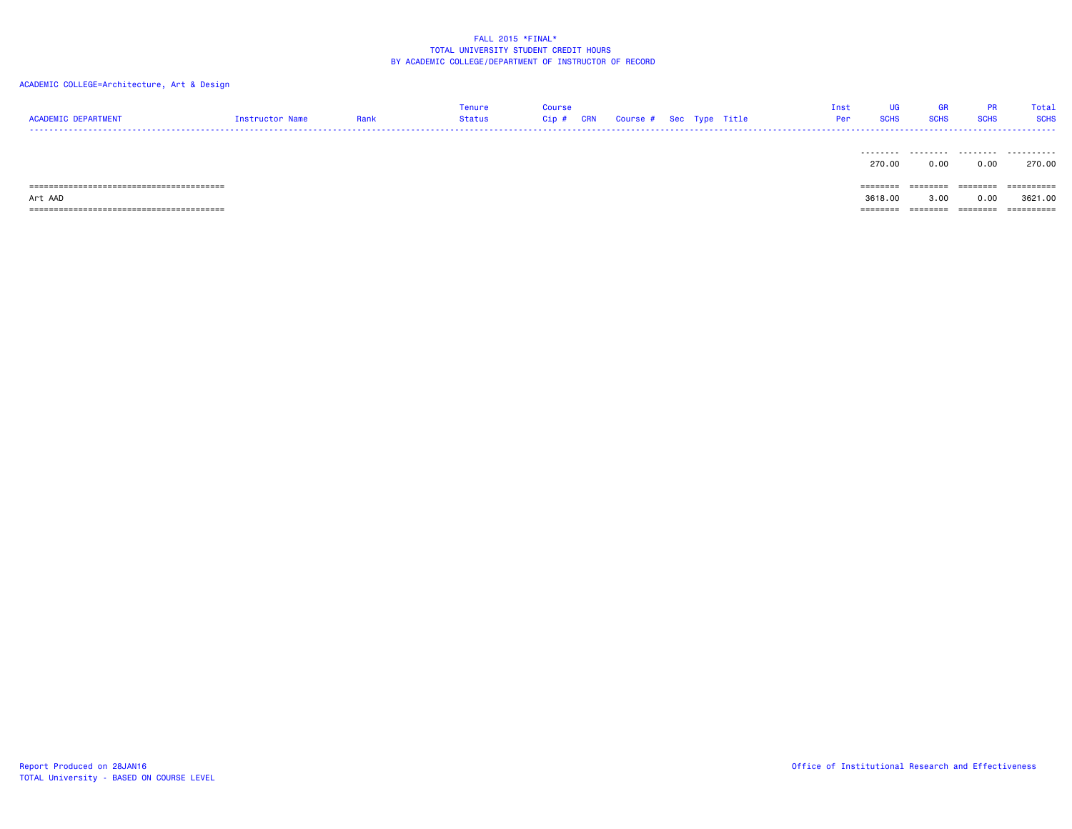| <b>ACADEMIC DEPARTMENT</b> | Instructor Name | Rank | Tenure<br>Status | Course<br>Cip # | CRN | Course # Sec Type Title |  | Inst<br>Per | <b>SCHS</b> | <b>GR</b><br><b>SCHS</b> | <b>PR</b><br><b>SCHS</b> | Total<br><b>SCHS</b> |
|----------------------------|-----------------|------|------------------|-----------------|-----|-------------------------|--|-------------|-------------|--------------------------|--------------------------|----------------------|
|                            |                 |      |                  |                 |     |                         |  |             | .<br>270.00 | .<br>0.00                | .<br>0.00                | .<br>270.00          |
|                            |                 |      |                  |                 |     |                         |  |             | ========    | --------<br>--------     | ========                 | -----------          |
| Art AAD                    |                 |      |                  |                 |     |                         |  |             | 3618.00     | 3.00                     | 0.00                     | 3621.00              |
|                            |                 |      |                  |                 |     |                         |  |             |             | ========                 | $=$ = = = = = = =        | ==========           |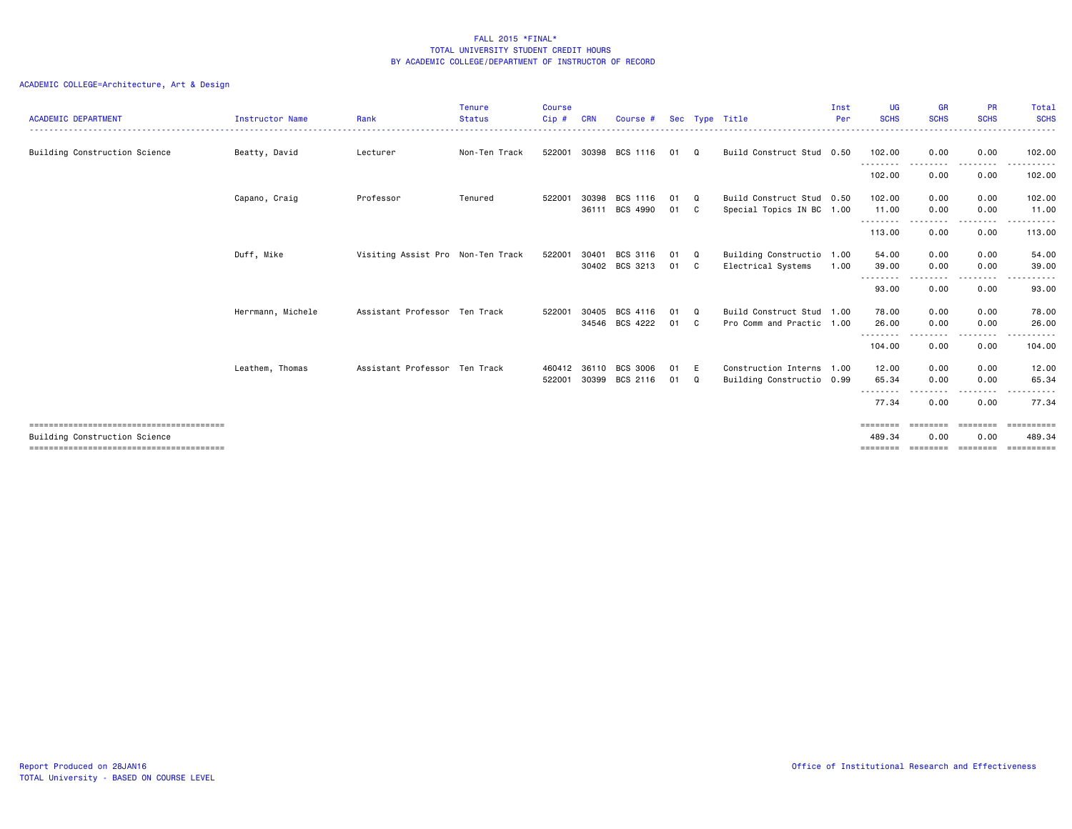| <b>ACADEMIC DEPARTMENT</b>    | <b>Instructor Name</b> | Rank                              | <b>Tenure</b><br><b>Status</b> | <b>Course</b><br>Cip# | <b>CRN</b> | Course #       |      |              | Sec Type Title            | Inst<br>Per | UG<br><b>SCHS</b>  | <b>GR</b><br><b>SCHS</b> | <b>PR</b><br><b>SCHS</b> | <b>Total</b><br><b>SCHS</b> |
|-------------------------------|------------------------|-----------------------------------|--------------------------------|-----------------------|------------|----------------|------|--------------|---------------------------|-------------|--------------------|--------------------------|--------------------------|-----------------------------|
| Building Construction Science | Beatty, David          | Lecturer                          | Non-Ten Track                  | 522001                | 30398      | BCS 1116       | 01   | $\Omega$     | Build Construct Stud 0.50 |             | 102.00             | 0.00                     | 0.00                     | 102.00                      |
|                               |                        |                                   |                                |                       |            |                |      |              |                           |             | .<br>102.00        | 0.00                     | . <b>.</b><br>0.00       | 102.00                      |
|                               | Capano, Craig          | Professor                         | Tenured                        | 522001                | 30398      | BCS 1116       | 01   | $\Omega$     | Build Construct Stud 0.50 |             | 102.00             | 0.00                     | 0.00                     | 102.00                      |
|                               |                        |                                   |                                |                       | 36111      | BCS 4990       | 01   | $\mathbf{C}$ | Special Topics IN BC 1.00 |             | 11.00<br>--------- | 0.00<br>.                | 0.00<br>.                | 11.00<br>.                  |
|                               |                        |                                   |                                |                       |            |                |      |              |                           |             | 113.00             | 0.00                     | 0.00                     | 113.00                      |
|                               | Duff, Mike             | Visiting Assist Pro Non-Ten Track |                                | 522001                | 30401      | BCS 3116       | 01   | $\Omega$     | Building Constructio      | 1.00        | 54.00              | 0.00                     | 0.00                     | 54.00                       |
|                               |                        |                                   |                                |                       |            | 30402 BCS 3213 | 01 C |              | Electrical Systems        | 1.00        | 39.00              | 0.00                     | 0.00                     | 39.00                       |
|                               |                        |                                   |                                |                       |            |                |      |              |                           |             | .<br>93.00         | ----<br>0.00             | .<br>0.00                | 93.00                       |
|                               | Herrmann, Michele      | Assistant Professor Ten Track     |                                | 522001                | 30405      | BCS 4116       | 01   | - 0          | Build Construct Stud      | 1.00        | 78.00              | 0.00                     | 0.00                     | 78.00                       |
|                               |                        |                                   |                                |                       | 34546      | BCS 4222       | 01 C |              | Pro Comm and Practic 1.00 |             | 26.00              | 0.00                     | 0.00                     | 26,00                       |
|                               |                        |                                   |                                |                       |            |                |      |              |                           |             | .<br>104.00        | ----<br>0.00             | - - - - -<br>0.00        | .<br>104.00                 |
|                               | Leathem, Thomas        | Assistant Professor Ten Track     |                                | 460412                | 36110      | BCS 3006       | 01   | E            | Construction Interns 1.00 |             | 12.00              | 0.00                     | 0.00                     | 12.00                       |
|                               |                        |                                   |                                | 522001                | 30399      | BCS 2116       | 01   | Q            | Building Constructio 0.99 |             | 65.34              | 0.00                     | 0.00                     | 65.34                       |
|                               |                        |                                   |                                |                       |            |                |      |              |                           |             | --------<br>77.34  | .<br>0.00                | 0.00                     | .<br>77.34                  |
|                               |                        |                                   |                                |                       |            |                |      |              |                           |             | ========           | ========                 | <b>ESSESSED</b>          | ----------                  |
| Building Construction Science |                        |                                   |                                |                       |            |                |      |              |                           |             | 489.34             | 0.00                     | 0.00                     | 489.34                      |
|                               |                        |                                   |                                |                       |            |                |      |              |                           |             |                    |                          |                          | ==========                  |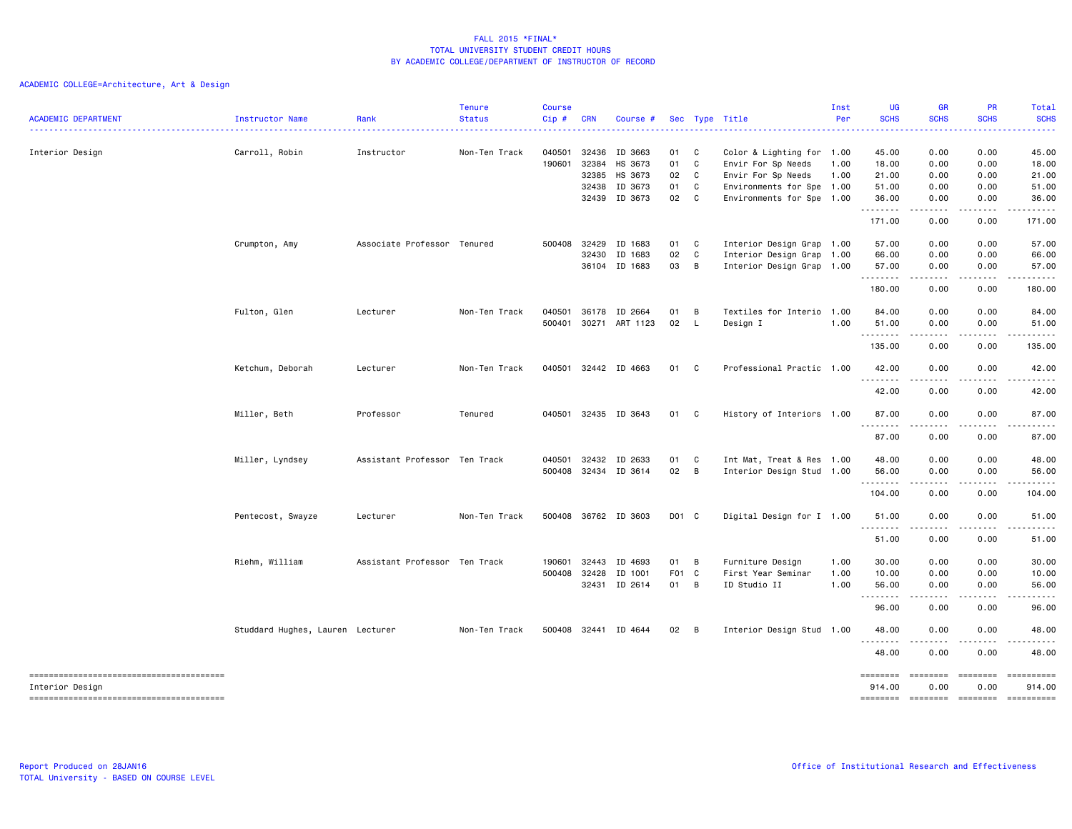| <b>ACADEMIC DEPARTMENT</b> | Instructor Name                  | Rank                          | <b>Tenure</b><br><b>Status</b> | <b>Course</b><br>Cip# | <b>CRN</b>            | Course #             |             |                | Sec Type Title                     | Inst<br>Per  | <b>UG</b><br><b>SCHS</b> | <b>GR</b><br><b>SCHS</b><br>. | PR<br><b>SCHS</b>  | Total<br><b>SCHS</b><br>.                                                                                                                                                                                                                                                                                                                                                                                                                                                              |
|----------------------------|----------------------------------|-------------------------------|--------------------------------|-----------------------|-----------------------|----------------------|-------------|----------------|------------------------------------|--------------|--------------------------|-------------------------------|--------------------|----------------------------------------------------------------------------------------------------------------------------------------------------------------------------------------------------------------------------------------------------------------------------------------------------------------------------------------------------------------------------------------------------------------------------------------------------------------------------------------|
| Interior Design            | Carroll, Robin                   | Instructor                    | Non-Ten Track                  | 040501                | 32436                 | ID 3663              | 01 C        |                | Color & Lighting for 1.00          |              | 45.00                    | 0.00                          | 0.00               | 45.00                                                                                                                                                                                                                                                                                                                                                                                                                                                                                  |
|                            |                                  |                               |                                | 190601                | 32384                 | HS 3673              | 01 C        |                | Envir For Sp Needs                 | 1.00         | 18.00                    | 0.00                          | 0.00               | 18.00                                                                                                                                                                                                                                                                                                                                                                                                                                                                                  |
|                            |                                  |                               |                                |                       | 32385                 | HS 3673              | 02 C        |                | Envir For Sp Needs                 | 1.00         | 21.00                    | 0.00                          | 0.00               | 21.00                                                                                                                                                                                                                                                                                                                                                                                                                                                                                  |
|                            |                                  |                               |                                |                       | 32438                 | ID 3673              | 01          | C              | Environments for Spe 1.00          |              | 51.00                    | 0.00                          | 0.00               | 51.00                                                                                                                                                                                                                                                                                                                                                                                                                                                                                  |
|                            |                                  |                               |                                |                       |                       | 32439 ID 3673        | 02 C        |                | Environments for Spe 1.00          |              | 36.00<br>.               | 0.00<br>.                     | 0.00<br>.          | 36.00<br>.                                                                                                                                                                                                                                                                                                                                                                                                                                                                             |
|                            |                                  |                               |                                |                       |                       |                      |             |                |                                    |              | 171.00                   | 0.00                          | 0.00               | 171.00                                                                                                                                                                                                                                                                                                                                                                                                                                                                                 |
|                            | Crumpton, Amy                    | Associate Professor Tenured   |                                | 500408                | 32429                 | ID 1683              | 01 C        |                | Interior Design Grap 1.00          |              | 57.00                    | 0.00                          | 0.00               | 57.00                                                                                                                                                                                                                                                                                                                                                                                                                                                                                  |
|                            |                                  |                               |                                |                       | 32430                 | ID 1683              | 02          | C              | Interior Design Grap               | 1.00         | 66.00                    | 0.00                          | 0.00               | 66.00                                                                                                                                                                                                                                                                                                                                                                                                                                                                                  |
|                            |                                  |                               |                                |                       |                       | 36104 ID 1683        | 03          | B              | Interior Design Grap 1.00          |              | 57.00<br>.               | 0.00<br>.                     | 0.00<br>.          | 57.00<br>.                                                                                                                                                                                                                                                                                                                                                                                                                                                                             |
|                            |                                  |                               |                                |                       |                       |                      |             |                |                                    |              | 180.00                   | 0.00                          | 0.00               | 180.00                                                                                                                                                                                                                                                                                                                                                                                                                                                                                 |
|                            | Fulton, Glen                     | Lecturer                      | Non-Ten Track                  | 040501                | 36178                 | ID 2664              | 01          | B              | Textiles for Interio 1.00          |              | 84.00                    | 0.00                          | 0.00               | 84.00                                                                                                                                                                                                                                                                                                                                                                                                                                                                                  |
|                            |                                  |                               |                                | 500401                | 30271                 | ART 1123             | 02          | $\mathsf{L}$   | Design I                           | 1.00         | 51.00                    | 0.00                          | 0.00               | 51.00                                                                                                                                                                                                                                                                                                                                                                                                                                                                                  |
|                            |                                  |                               |                                |                       |                       |                      |             |                |                                    |              | <u>.</u>                 | .                             | .                  | .                                                                                                                                                                                                                                                                                                                                                                                                                                                                                      |
|                            |                                  |                               |                                |                       |                       |                      |             |                |                                    |              | 135.00                   | 0.00                          | 0.00               | 135.00                                                                                                                                                                                                                                                                                                                                                                                                                                                                                 |
|                            | Ketchum, Deborah                 | Lecturer                      | Non-Ten Track                  |                       |                       | 040501 32442 ID 4663 | 01 C        |                | Professional Practic 1.00          |              | 42.00<br>.               | 0.00<br>----                  | 0.00<br>. <b>.</b> | 42.00<br>.                                                                                                                                                                                                                                                                                                                                                                                                                                                                             |
|                            |                                  |                               |                                |                       |                       |                      |             |                |                                    |              | 42.00                    | 0.00                          | 0.00               | 42.00                                                                                                                                                                                                                                                                                                                                                                                                                                                                                  |
|                            | Miller, Beth                     | Professor                     | Tenured                        | 040501                |                       | 32435 ID 3643        | 01 C        |                | History of Interiors 1.00          |              | 87.00<br><u>.</u>        | 0.00<br>.                     | 0.00               | 87.00                                                                                                                                                                                                                                                                                                                                                                                                                                                                                  |
|                            |                                  |                               |                                |                       |                       |                      |             |                |                                    |              | 87.00                    | 0.00                          | 0.00               | 87.00                                                                                                                                                                                                                                                                                                                                                                                                                                                                                  |
|                            | Miller, Lyndsey                  | Assistant Professor Ten Track |                                | 040501                |                       | 32432 ID 2633        | 01          | <b>C</b>       | Int Mat, Treat & Res 1.00          |              | 48.00                    | 0.00                          | 0.00               | 48.00                                                                                                                                                                                                                                                                                                                                                                                                                                                                                  |
|                            |                                  |                               |                                | 500408                |                       | 32434 ID 3614        | 02 B        |                | Interior Design Stud 1.00          |              | 56.00                    | 0.00                          | 0.00               | 56.00                                                                                                                                                                                                                                                                                                                                                                                                                                                                                  |
|                            |                                  |                               |                                |                       |                       |                      |             |                |                                    |              | .<br>104.00              | .<br>0.00                     | 0.00               | 104.00                                                                                                                                                                                                                                                                                                                                                                                                                                                                                 |
|                            | Pentecost, Swayze                | Lecturer                      | Non-Ten Track                  |                       |                       | 500408 36762 ID 3603 | D01 C       |                | Digital Design for I 1.00          |              | 51.00                    | 0.00                          | 0.00               | 51.00                                                                                                                                                                                                                                                                                                                                                                                                                                                                                  |
|                            |                                  |                               |                                |                       |                       |                      |             |                |                                    |              | .<br>51.00               | الأعامات<br>0.00              | .<br>0.00          | .<br>51.00                                                                                                                                                                                                                                                                                                                                                                                                                                                                             |
|                            |                                  |                               |                                |                       |                       |                      |             |                |                                    |              |                          |                               |                    |                                                                                                                                                                                                                                                                                                                                                                                                                                                                                        |
|                            | Riehm, William                   | Assistant Professor Ten Track |                                | 190601                | 32443<br>500408 32428 | ID 4693<br>ID 1001   | 01<br>F01 C | B              | Furniture Design                   | 1.00         | 30.00                    | 0.00<br>0.00                  | 0.00<br>0.00       | 30.00                                                                                                                                                                                                                                                                                                                                                                                                                                                                                  |
|                            |                                  |                               |                                |                       |                       | 32431 ID 2614        | 01 B        |                | First Year Seminar<br>ID Studio II | 1.00<br>1.00 | 10.00<br>56.00           | 0.00                          | 0.00               | 10.00<br>56.00                                                                                                                                                                                                                                                                                                                                                                                                                                                                         |
|                            |                                  |                               |                                |                       |                       |                      |             |                |                                    |              | .                        | .                             |                    |                                                                                                                                                                                                                                                                                                                                                                                                                                                                                        |
|                            |                                  |                               |                                |                       |                       |                      |             |                |                                    |              | 96.00                    | 0.00                          | 0.00               | 96.00                                                                                                                                                                                                                                                                                                                                                                                                                                                                                  |
|                            | Studdard Hughes, Lauren Lecturer |                               | Non-Ten Track                  |                       |                       | 500408 32441 ID 4644 | 02          | $\overline{B}$ | Interior Design Stud 1.00          |              | 48.00<br>.               | 0.00<br>.                     | 0.00<br>.          | 48.00<br>.                                                                                                                                                                                                                                                                                                                                                                                                                                                                             |
|                            |                                  |                               |                                |                       |                       |                      |             |                |                                    |              | 48.00                    | 0.00                          | 0.00               | 48.00                                                                                                                                                                                                                                                                                                                                                                                                                                                                                  |
|                            |                                  |                               |                                |                       |                       |                      |             |                |                                    |              | ========                 | ========                      | ========           | $\begin{array}{cccccccccc} \multicolumn{2}{c}{} & \multicolumn{2}{c}{} & \multicolumn{2}{c}{} & \multicolumn{2}{c}{} & \multicolumn{2}{c}{} & \multicolumn{2}{c}{} & \multicolumn{2}{c}{} & \multicolumn{2}{c}{} & \multicolumn{2}{c}{} & \multicolumn{2}{c}{} & \multicolumn{2}{c}{} & \multicolumn{2}{c}{} & \multicolumn{2}{c}{} & \multicolumn{2}{c}{} & \multicolumn{2}{c}{} & \multicolumn{2}{c}{} & \multicolumn{2}{c}{} & \multicolumn{2}{c}{} & \multicolumn{2}{c}{} & \mult$ |
| Interior Design            |                                  |                               |                                |                       |                       |                      |             |                |                                    |              | 914.00                   | 0.00                          | 0.00               | 914.00                                                                                                                                                                                                                                                                                                                                                                                                                                                                                 |
|                            |                                  |                               |                                |                       |                       |                      |             |                |                                    |              | ========                 | ========                      | ========           | ==========                                                                                                                                                                                                                                                                                                                                                                                                                                                                             |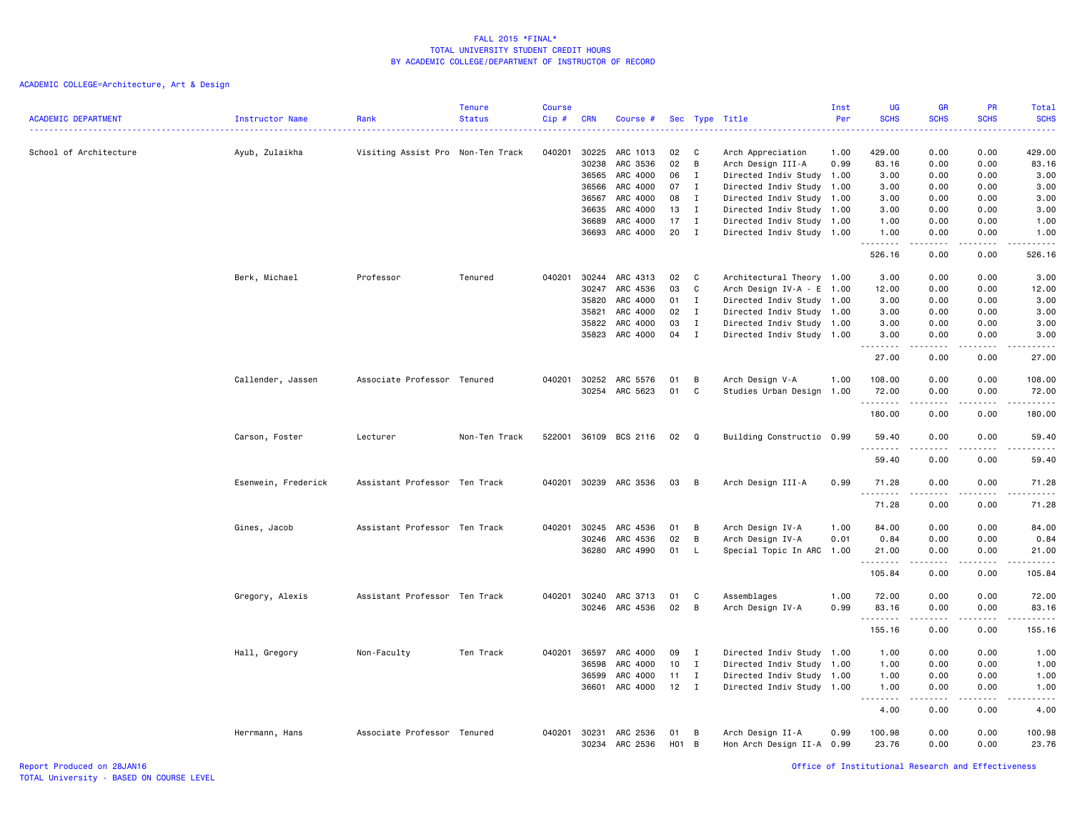| <b>ACADEMIC DEPARTMENT</b> | Instructor Name     | Rank                              | <b>Tenure</b><br><b>Status</b> | <b>Course</b><br>Cip# | <b>CRN</b>     | Course #             | Sec                    |              | Type Title                                             | Inst<br>Per | UG<br><b>SCHS</b> | <b>GR</b><br><b>SCHS</b> | PR<br><b>SCHS</b><br>.              | Total<br><b>SCHS</b><br>.                                                                                             |
|----------------------------|---------------------|-----------------------------------|--------------------------------|-----------------------|----------------|----------------------|------------------------|--------------|--------------------------------------------------------|-------------|-------------------|--------------------------|-------------------------------------|-----------------------------------------------------------------------------------------------------------------------|
| School of Architecture     | Ayub, Zulaikha      | Visiting Assist Pro Non-Ten Track |                                | 040201                | 30225          | ARC 1013             | 02                     | C            | Arch Appreciation                                      | 1.00        | 429.00            | 0.00                     | 0.00                                | 429.00                                                                                                                |
|                            |                     |                                   |                                |                       | 30238          | ARC 3536             | 02                     | В            | Arch Design III-A                                      | 0.99        | 83.16             | 0.00                     | 0.00                                | 83.16                                                                                                                 |
|                            |                     |                                   |                                |                       | 36565          | ARC 4000             | 06                     | I            | Directed Indiv Study 1.00                              |             | 3.00              | 0.00                     | 0.00                                | 3.00                                                                                                                  |
|                            |                     |                                   |                                |                       | 36566          | ARC 4000             | 07                     | I            | Directed Indiv Study 1.00                              |             | 3.00              | 0.00                     | 0.00                                | 3.00                                                                                                                  |
|                            |                     |                                   |                                |                       | 36567          | ARC 4000             | 08                     | $\mathbf{I}$ | Directed Indiv Study 1.00                              |             | 3.00              | 0.00                     | 0.00                                | 3.00                                                                                                                  |
|                            |                     |                                   |                                |                       | 36635          | ARC 4000             | 13                     | $\mathbf I$  | Directed Indiv Study 1.00                              |             | 3.00              | 0.00                     | 0.00                                | 3.00                                                                                                                  |
|                            |                     |                                   |                                |                       | 36689<br>36693 | ARC 4000<br>ARC 4000 | 17<br>20               | Ι.<br>I      | Directed Indiv Study 1.00<br>Directed Indiv Study 1.00 |             | 1.00<br>1.00      | 0.00<br>0.00             | 0.00<br>0.00                        | 1.00<br>1.00                                                                                                          |
|                            |                     |                                   |                                |                       |                |                      |                        |              |                                                        |             | .<br>526.16       | .<br>0.00                | <u>.</u><br>0.00                    | ------<br>526.16                                                                                                      |
|                            | Berk, Michael       | Professor                         | Tenured                        | 040201                | 30244          | ARC 4313             | 02                     | C            | Architectural Theory 1.00                              |             | 3.00              | 0.00                     | 0.00                                | 3.00                                                                                                                  |
|                            |                     |                                   |                                |                       | 30247          | ARC 4536             | 03                     | C            | Arch Design IV-A - E 1.00                              |             | 12.00             | 0.00                     | 0.00                                | 12.00                                                                                                                 |
|                            |                     |                                   |                                |                       | 35820          | ARC 4000             | 01                     | $\mathbf I$  | Directed Indiv Study 1.00                              |             | 3.00              | 0.00                     | 0.00                                | 3.00                                                                                                                  |
|                            |                     |                                   |                                |                       | 35821          | ARC 4000             | 02                     | $\mathbf{I}$ | Directed Indiv Study 1.00                              |             | 3.00              | 0.00                     | 0.00                                | 3.00                                                                                                                  |
|                            |                     |                                   |                                |                       | 35822          | ARC 4000             | 03                     | Ι.           | Directed Indiv Study 1.00                              |             | 3.00              | 0.00                     | 0.00                                | 3.00                                                                                                                  |
|                            |                     |                                   |                                |                       | 35823          | ARC 4000             | 04                     | Ι.           | Directed Indiv Study 1.00                              |             | 3.00<br>.         | 0.00<br>.                | 0.00<br>د د د د                     | 3.00<br>.                                                                                                             |
|                            |                     |                                   |                                |                       |                |                      |                        |              |                                                        |             | 27.00             | 0.00                     | 0.00                                | 27.00                                                                                                                 |
|                            | Callender, Jassen   | Associate Professor Tenured       |                                | 040201                | 30252          | ARC 5576             | 01                     | B            | Arch Design V-A                                        | 1.00        | 108.00            | 0.00                     | 0.00                                | 108.00                                                                                                                |
|                            |                     |                                   |                                |                       | 30254          | ARC 5623             | 01                     | C            | Studies Urban Design 1.00                              |             | 72.00             | 0.00                     | 0.00                                | 72.00                                                                                                                 |
|                            |                     |                                   |                                |                       |                |                      |                        |              |                                                        |             | .<br>180.00       | .<br>0.00                | .<br>0.00                           | .<br>180.00                                                                                                           |
|                            | Carson, Foster      | Lecturer                          | Non-Ten Track                  | 522001                |                | 36109 BCS 2116       | 02                     | Q            | Building Constructio 0.99                              |             | 59.40<br>.        | 0.00                     | 0.00<br>.                           | 59.40<br>د د د د د                                                                                                    |
|                            |                     |                                   |                                |                       |                |                      |                        |              |                                                        |             | 59.40             | 0.00                     | 0.00                                | 59.40                                                                                                                 |
|                            | Esenwein, Frederick | Assistant Professor Ten Track     |                                | 040201                | 30239          | ARC 3536             | 03                     | B            | Arch Design III-A                                      | 0.99        | 71.28<br>.        | 0.00                     | 0.00<br>$\sim$ $\sim$ $\sim$ $\sim$ | 71.28<br>د د د د د                                                                                                    |
|                            |                     |                                   |                                |                       |                |                      |                        |              |                                                        |             | 71.28             | 0.00                     | 0.00                                | 71.28                                                                                                                 |
|                            | Gines, Jacob        | Assistant Professor Ten Track     |                                | 040201                | 30245          | ARC 4536             | 01                     | B            | Arch Design IV-A                                       | 1.00        | 84.00             | 0.00                     | 0.00                                | 84.00                                                                                                                 |
|                            |                     |                                   |                                |                       | 30246          | ARC 4536             | 02                     | В            | Arch Design IV-A                                       | 0.01        | 0.84              | 0.00                     | 0.00                                | 0.84                                                                                                                  |
|                            |                     |                                   |                                |                       | 36280          | ARC 4990             | 01                     | L.           | Special Topic In ARC 1.00                              |             | 21.00<br>.        | 0.00<br>-----            | 0.00<br>.                           | 21.00<br>.                                                                                                            |
|                            |                     |                                   |                                |                       |                |                      |                        |              |                                                        |             | 105.84            | 0.00                     | 0.00                                | 105.84                                                                                                                |
|                            | Gregory, Alexis     | Assistant Professor Ten Track     |                                | 040201                | 30240          | ARC 3713             | 01                     | <b>C</b>     | Assemblages                                            | 1.00        | 72.00             | 0.00                     | 0.00                                | 72.00                                                                                                                 |
|                            |                     |                                   |                                |                       | 30246          | ARC 4536             | 02                     | B            | Arch Design IV-A                                       | 0.99        | 83.16             | 0.00                     | 0.00                                | 83.16                                                                                                                 |
|                            |                     |                                   |                                |                       |                |                      |                        |              |                                                        |             | .<br>155.16       | .<br>0.00                | .<br>0.00                           | $\begin{array}{cccccccccc} \bullet & \bullet & \bullet & \bullet & \bullet & \bullet & \bullet \end{array}$<br>155.16 |
|                            | Hall, Gregory       | Non-Faculty                       | Ten Track                      |                       | 040201 36597   | ARC 4000             | 09                     | Ι.           | Directed Indiv Study 1.00                              |             | 1.00              | 0.00                     | 0.00                                | 1.00                                                                                                                  |
|                            |                     |                                   |                                |                       | 36598          | ARC 4000             | 10                     | $\mathbf I$  | Directed Indiv Study 1.00                              |             | 1.00              | 0.00                     | 0.00                                | 1.00                                                                                                                  |
|                            |                     |                                   |                                |                       | 36599          | ARC 4000             | 11                     | $\mathbf{I}$ | Directed Indiv Study 1.00                              |             | 1.00              | 0.00                     | 0.00                                | 1.00                                                                                                                  |
|                            |                     |                                   |                                |                       | 36601          | ARC 4000             | $12$ I                 |              | Directed Indiv Study 1.00                              |             | 1.00              | 0.00                     | 0.00                                | 1.00                                                                                                                  |
|                            |                     |                                   |                                |                       |                |                      |                        |              |                                                        |             | .<br>4.00         | 0.00                     | .<br>0.00                           | . <u>. .</u><br>4.00                                                                                                  |
|                            |                     |                                   |                                |                       |                |                      |                        |              |                                                        |             |                   |                          |                                     |                                                                                                                       |
|                            | Herrmann, Hans      | Associate Professor Tenured       |                                | 040201 30231          | 30234          | ARC 2536<br>ARC 2536 | 01<br>H <sub>0</sub> 1 | B<br>B       | Arch Design II-A<br>Hon Arch Design II-A 0.99          | 0.99        | 100.98<br>23.76   | 0.00<br>0.00             | 0.00<br>0.00                        | 100.98<br>23.76                                                                                                       |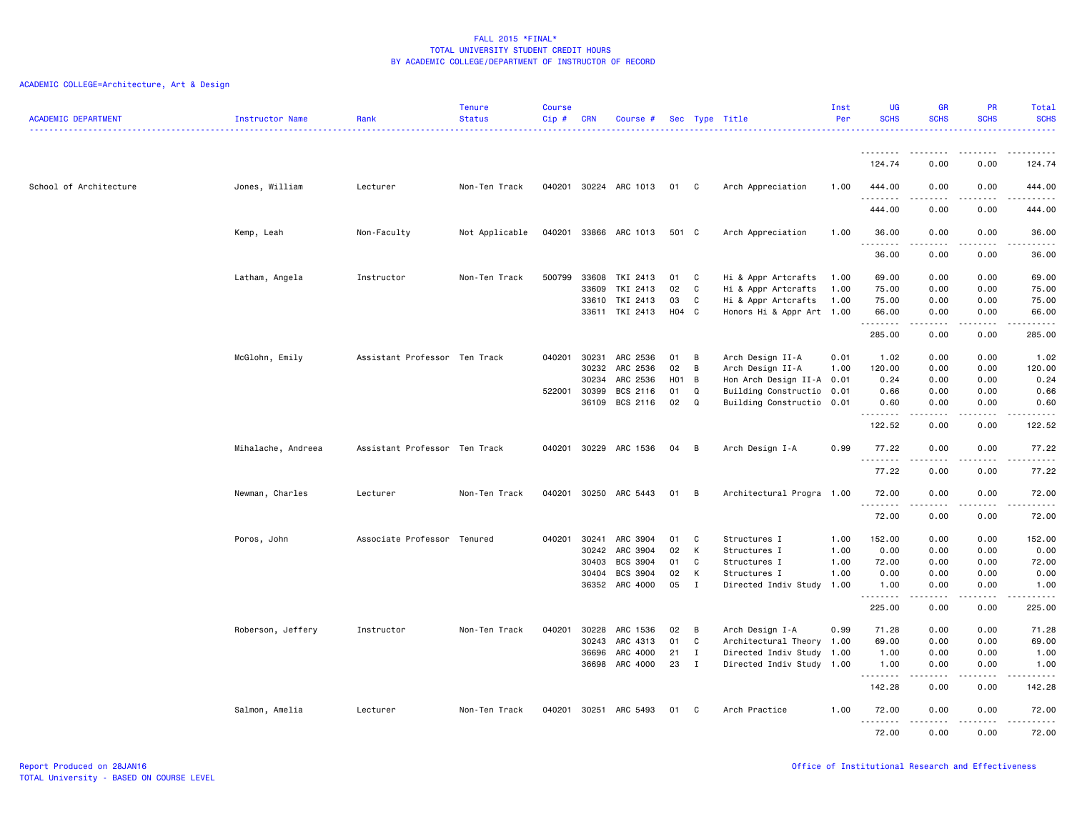| <b>ACADEMIC DEPARTMENT</b> | Instructor Name    | Rank                          | <b>Tenure</b><br><b>Status</b> | <b>Course</b><br>Cip# | <b>CRN</b>   | Course #              |                  |              | Sec Type Title            | Inst<br>Per | <b>UG</b><br><b>SCHS</b>                                                                                                                                           | <b>GR</b><br><b>SCHS</b>                   | <b>PR</b><br><b>SCHS</b>            | Total<br><b>SCHS</b> |
|----------------------------|--------------------|-------------------------------|--------------------------------|-----------------------|--------------|-----------------------|------------------|--------------|---------------------------|-------------|--------------------------------------------------------------------------------------------------------------------------------------------------------------------|--------------------------------------------|-------------------------------------|----------------------|
|                            |                    |                               |                                |                       |              |                       |                  |              | . <u>.</u>                |             |                                                                                                                                                                    |                                            |                                     | .                    |
|                            |                    |                               |                                |                       |              |                       |                  |              |                           |             | .<br>124.74                                                                                                                                                        | $\frac{1}{2}$<br>0.00                      | ----<br>0.00                        | .<br>124.74          |
| School of Architecture     | Jones, William     | Lecturer                      | Non-Ten Track                  |                       |              | 040201 30224 ARC 1013 | 01               | C.           | Arch Appreciation         | 1.00        | 444.00                                                                                                                                                             | 0.00                                       | 0.00                                | 444.00               |
|                            |                    |                               |                                |                       |              |                       |                  |              |                           |             | .<br>444.00                                                                                                                                                        | 0.00                                       | 0.00                                | .<br>444.00          |
|                            | Kemp, Leah         | Non-Faculty                   | Not Applicable                 | 040201                |              | 33866 ARC 1013        | 501 C            |              | Arch Appreciation         | 1.00        | 36.00<br>.                                                                                                                                                         | 0.00<br>.                                  | 0.00<br>.                           | 36.00<br>.           |
|                            |                    |                               |                                |                       |              |                       |                  |              |                           |             | 36.00                                                                                                                                                              | 0.00                                       | 0.00                                | 36.00                |
|                            | Latham, Angela     | Instructor                    | Non-Ten Track                  | 500799                | 33608        | TKI 2413              | 01               | C            | Hi & Appr Artcrafts       | 1.00        | 69.00                                                                                                                                                              | 0.00                                       | 0.00                                | 69.00                |
|                            |                    |                               |                                |                       | 33609        | TKI 2413              | 02               | C.           | Hi & Appr Artcrafts       | 1.00        | 75.00                                                                                                                                                              | 0.00                                       | 0.00                                | 75.00                |
|                            |                    |                               |                                |                       | 33610        | TKI 2413              | 03               | C            | Hi & Appr Artcrafts       | 1.00        | 75.00                                                                                                                                                              | 0.00                                       | 0.00                                | 75.00                |
|                            |                    |                               |                                |                       | 33611        | TKI 2413              | H04 C            |              | Honors Hi & Appr Art 1.00 |             | 66.00<br>.                                                                                                                                                         | 0.00<br>.                                  | 0.00<br>$\sim$ $\sim$ $\sim$ $\sim$ | 66.00<br>.           |
|                            |                    |                               |                                |                       |              |                       |                  |              |                           |             | 285.00                                                                                                                                                             | 0.00                                       | 0.00                                | 285.00               |
|                            | McGlohn, Emily     | Assistant Professor Ten Track |                                | 040201                | 30231        | ARC 2536              | 01               | B            | Arch Design II-A          | 0.01        | 1.02                                                                                                                                                               | 0.00                                       | 0.00                                | 1.02                 |
|                            |                    |                               |                                |                       | 30232        | ARC 2536              | 02               | B            | Arch Design II-A          | 1.00        | 120.00                                                                                                                                                             | 0.00                                       | 0.00                                | 120.00               |
|                            |                    |                               |                                |                       | 30234        | ARC 2536              | H <sub>0</sub> 1 | B            | Hon Arch Design II-A 0.01 |             | 0.24                                                                                                                                                               | 0.00                                       | 0.00                                | 0.24                 |
|                            |                    |                               |                                | 522001                | 30399        | BCS 2116              | 01               | Q            | Building Constructio 0.01 |             | 0.66                                                                                                                                                               | 0.00                                       | 0.00                                | 0.66                 |
|                            |                    |                               |                                |                       | 36109        | BCS 2116              | 02               | $\Omega$     | Building Constructio 0.01 |             | 0.60<br>.                                                                                                                                                          | 0.00<br>$\sim$ $\sim$ $\sim$ $\sim$ $\sim$ | 0.00<br>.                           | 0.60<br>.            |
|                            |                    |                               |                                |                       |              |                       |                  |              |                           |             | 122.52                                                                                                                                                             | 0.00                                       | 0.00                                | 122.52               |
|                            | Mihalache, Andreea | Assistant Professor Ten Track |                                | 040201                | 30229        | ARC 1536              | 04               | B            | Arch Design I-A           | 0.99        | 77.22<br>.<br>$\frac{1}{2} \left( \frac{1}{2} \right) \left( \frac{1}{2} \right) \left( \frac{1}{2} \right) \left( \frac{1}{2} \right) \left( \frac{1}{2} \right)$ | 0.00                                       | 0.00<br>.                           | 77.22<br>.           |
|                            |                    |                               |                                |                       |              |                       |                  |              |                           |             | 77.22                                                                                                                                                              | 0.00                                       | 0.00                                | 77.22                |
|                            | Newman, Charles    | Lecturer                      | Non-Ten Track                  |                       |              | 040201 30250 ARC 5443 | 01               | B            | Architectural Progra 1.00 |             | 72.00<br><u>.</u>                                                                                                                                                  | 0.00<br>.                                  | 0.00<br>$- - - -$                   | 72.00<br>.           |
|                            |                    |                               |                                |                       |              |                       |                  |              |                           |             | 72.00                                                                                                                                                              | 0.00                                       | 0.00                                | 72.00                |
|                            | Poros, John        | Associate Professor Tenured   |                                |                       | 040201 30241 | ARC 3904              | 01               | C            | Structures I              | 1.00        | 152.00                                                                                                                                                             | 0.00                                       | 0.00                                | 152.00               |
|                            |                    |                               |                                |                       | 30242        | ARC 3904              | 02               | K            | Structures I              | 1.00        | 0.00                                                                                                                                                               | 0.00                                       | 0.00                                | 0.00                 |
|                            |                    |                               |                                |                       | 30403        | BCS 3904              | 01               | C            | Structures I              | 1.00        | 72.00                                                                                                                                                              | 0.00                                       | 0.00                                | 72.00                |
|                            |                    |                               |                                |                       | 30404        | <b>BCS 3904</b>       | 02               | K            | Structures I              | 1.00        | 0.00                                                                                                                                                               | 0.00                                       | 0.00                                | 0.00                 |
|                            |                    |                               |                                |                       |              | 36352 ARC 4000        | 05               | I            | Directed Indiv Study      | 1.00        | 1.00                                                                                                                                                               | 0.00                                       | 0.00                                | 1.00                 |
|                            |                    |                               |                                |                       |              |                       |                  |              |                           |             | .<br>225.00                                                                                                                                                        | 0.00                                       | $\frac{1}{2}$<br>0.00               | .<br>225.00          |
|                            | Roberson, Jeffery  | Instructor                    | Non-Ten Track                  | 040201                | 30228        | ARC 1536              | 02               | B            | Arch Design I-A           | 0.99        | 71.28                                                                                                                                                              | 0.00                                       | 0.00                                | 71.28                |
|                            |                    |                               |                                |                       | 30243        | ARC 4313              | 01               | C            | Architectural Theory 1.00 |             | 69.00                                                                                                                                                              | 0.00                                       | 0.00                                | 69.00                |
|                            |                    |                               |                                |                       | 36696        | ARC 4000              | 21               | $\mathbf{I}$ | Directed Indiv Study 1.00 |             | 1.00                                                                                                                                                               | 0.00                                       | 0.00                                | 1.00                 |
|                            |                    |                               |                                |                       | 36698        | ARC 4000              | 23               | $\mathbf{I}$ | Directed Indiv Study 1.00 |             | 1.00<br>.                                                                                                                                                          | 0.00                                       | 0.00<br>- - - -                     | 1.00<br>.            |
|                            |                    |                               |                                |                       |              |                       |                  |              |                           |             | 142.28                                                                                                                                                             | 0.00                                       | 0.00                                | 142.28               |
|                            | Salmon, Amelia     | Lecturer                      | Non-Ten Track                  |                       |              | 040201 30251 ARC 5493 | 01               | C.           | Arch Practice             | 1.00        | 72.00<br>.                                                                                                                                                         | 0.00<br>.                                  | 0.00<br>.                           | 72.00<br>.           |
|                            |                    |                               |                                |                       |              |                       |                  |              |                           |             | 72.00                                                                                                                                                              | 0.00                                       | 0.00                                | 72.00                |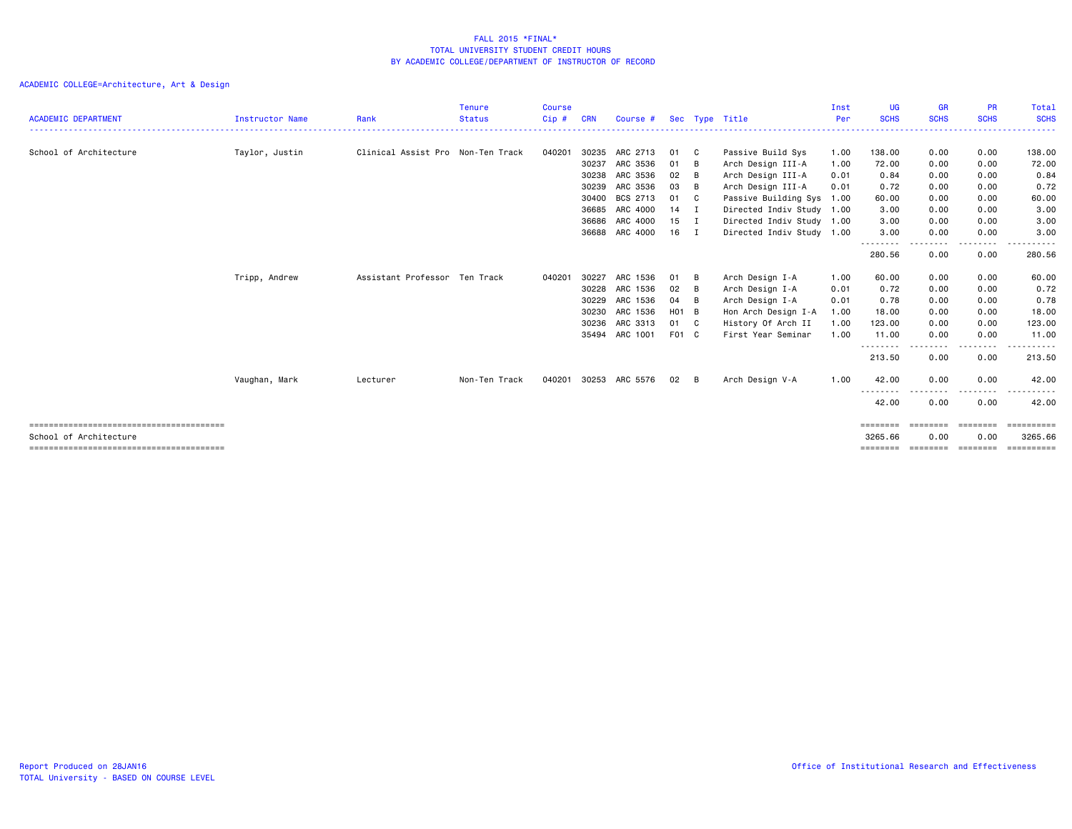| <b>ACADEMIC DEPARTMENT</b> | <b>Instructor Name</b> | Rank                              | <b>Tenure</b><br><b>Status</b> | <b>Course</b><br>Cip# | <b>CRN</b> | Course #       |       |              | Sec Type Title            | Inst<br>Per | UG<br><b>SCHS</b>  | <b>GR</b><br><b>SCHS</b> | <b>PR</b><br><b>SCHS</b> | Total<br><b>SCHS</b> |
|----------------------------|------------------------|-----------------------------------|--------------------------------|-----------------------|------------|----------------|-------|--------------|---------------------------|-------------|--------------------|--------------------------|--------------------------|----------------------|
| School of Architecture     | Taylor, Justin         | Clinical Assist Pro Non-Ten Track |                                | 040201                | 30235      | ARC 2713       | 01    | $\mathbf{C}$ | Passive Build Sys         | 1.00        | 138.00             | 0.00                     | 0.00                     | 138.00               |
|                            |                        |                                   |                                |                       | 30237      | ARC 3536       | 01    | B            | Arch Design III-A         | 1.00        | 72.00              | 0.00                     | 0.00                     | 72.00                |
|                            |                        |                                   |                                |                       | 30238      | ARC 3536       | 02    | B            | Arch Design III-A         | 0.01        | 0.84               | 0.00                     | 0.00                     | 0.84                 |
|                            |                        |                                   |                                |                       | 30239      | ARC 3536       | 03    | B            | Arch Design III-A         | 0.01        | 0.72               | 0.00                     | 0.00                     | 0.72                 |
|                            |                        |                                   |                                |                       | 30400      | BCS 2713       | 01    | $\mathbf{C}$ | Passive Building Sys      | 1.00        | 60.00              | 0.00                     | 0.00                     | 60.00                |
|                            |                        |                                   |                                |                       | 36685      | ARC 4000       | 14    | $\mathbf{I}$ | Directed Indiv Study 1.00 |             | 3.00               | 0.00                     | 0.00                     | 3.00                 |
|                            |                        |                                   |                                |                       | 36686      | ARC 4000       | 15    | I            | Directed Indiv Study 1.00 |             | 3.00               | 0.00                     | 0.00                     | 3.00                 |
|                            |                        |                                   |                                |                       | 36688      | ARC 4000       | 16    | $\mathbf I$  | Directed Indiv Study 1.00 |             | 3.00               | 0.00                     | 0.00                     | 3.00                 |
|                            |                        |                                   |                                |                       |            |                |       |              |                           |             | --------<br>280.56 | .<br>0.00                | $\cdots$<br>0.00         | .<br>280.56          |
|                            | Tripp, Andrew          | Assistant Professor Ten Track     |                                | 040201                | 30227      | ARC 1536       | 01    | B            | Arch Design I-A           | 1.00        | 60.00              | 0.00                     | 0.00                     | 60.00                |
|                            |                        |                                   |                                |                       | 30228      | ARC 1536       | 02    | B            | Arch Design I-A           | 0.01        | 0.72               | 0.00                     | 0.00                     | 0.72                 |
|                            |                        |                                   |                                |                       | 30229      | ARC 1536       | 04    | B            | Arch Design I-A           | 0.01        | 0.78               | 0.00                     | 0.00                     | 0.78                 |
|                            |                        |                                   |                                |                       | 30230      | ARC 1536       | H01 B |              | Hon Arch Design I-A       | 1.00        | 18.00              | 0.00                     | 0.00                     | 18.00                |
|                            |                        |                                   |                                |                       | 30236      | ARC 3313       | 01 C  |              | History Of Arch II        | 1.00        | 123.00             | 0.00                     | 0.00                     | 123.00               |
|                            |                        |                                   |                                |                       |            | 35494 ARC 1001 | F01 C |              | First Year Seminar        | 1.00        | 11.00              | 0.00                     | 0.00                     | 11.00                |
|                            |                        |                                   |                                |                       |            |                |       |              |                           |             | --------<br>213.50 | .<br>0.00                | .<br>0.00                | .<br>213.50          |
|                            | Vaughan, Mark          | Lecturer                          | Non-Ten Track                  | 040201                | 30253      | ARC 5576       | 02    | B            | Arch Design V-A           | 1.00        | 42.00              | 0.00                     | 0.00                     | 42.00                |
|                            |                        |                                   |                                |                       |            |                |       |              |                           |             | 42.00              | 0.00                     | . <b>.</b> .<br>0.00     | 42.00                |
|                            |                        |                                   |                                |                       |            |                |       |              |                           |             | ========           | ========                 | ========                 | ==========           |
| School of Architecture     |                        |                                   |                                |                       |            |                |       |              |                           |             | 3265.66            | 0.00                     | 0.00                     | 3265.66              |
|                            |                        |                                   |                                |                       |            |                |       |              |                           |             | ========           | ========                 | ========                 |                      |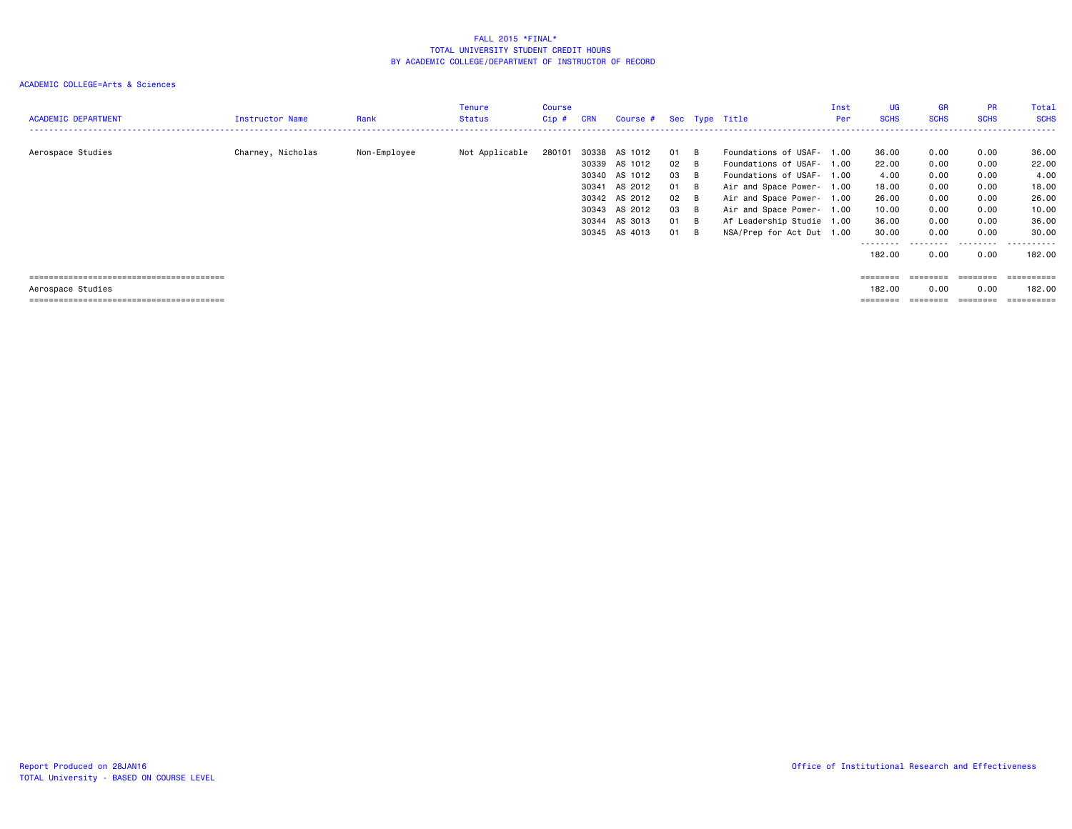| <b>ACADEMIC DEPARTMENT</b> | Instructor Name   | Rank         | Tenure<br><b>Status</b> | <b>Course</b><br>Cip# | <b>CRN</b> | Course # Sec Type Title |              |     |                           | Inst<br>Per | UG<br><b>SCHS</b> | GR<br><b>SCHS</b> | <b>PR</b><br><b>SCHS</b> | Total<br><b>SCHS</b>  |
|----------------------------|-------------------|--------------|-------------------------|-----------------------|------------|-------------------------|--------------|-----|---------------------------|-------------|-------------------|-------------------|--------------------------|-----------------------|
| Aerospace Studies          | Charney, Nicholas | Non-Employee | Not Applicable          | 280101                | 30338      | AS 1012                 | 01           | - B | Foundations of USAF- 1.00 |             | 36.00             | 0.00              | 0.00                     | 36.00                 |
|                            |                   |              |                         |                       | 30339      | AS 1012                 | 02 B         |     | Foundations of USAF- 1.00 |             | 22.00             | 0.00              | 0.00                     | 22.00                 |
|                            |                   |              |                         |                       | 30340      | AS 1012                 | 03           | - B | Foundations of USAF-      | 1.00        | 4.00              | 0.00              | 0.00                     | 4.00                  |
|                            |                   |              |                         |                       | 30341      | AS 2012                 | 01           | - B | Air and Space Power- 1.00 |             | 18.00             | 0.00              | 0.00                     | 18.00                 |
|                            |                   |              |                         |                       |            | 30342 AS 2012           | $02 \quad B$ |     | Air and Space Power- 1.00 |             | 26.00             | 0.00              | 0.00                     | 26.00                 |
|                            |                   |              |                         |                       |            | 30343 AS 2012           | 03           | - B | Air and Space Power- 1.00 |             | 10.00             | 0.00              | 0.00                     | 10.00                 |
|                            |                   |              |                         |                       |            | 30344 AS 3013           | 01           | - B | Af Leadership Studie 1.00 |             | 36.00             | 0.00              | 0.00                     | 36.00                 |
|                            |                   |              |                         |                       |            | 30345 AS 4013           | 01           | - B | NSA/Prep for Act Dut 1.00 |             | 30.00             | 0.00              | 0.00                     | 30.00                 |
|                            |                   |              |                         |                       |            |                         |              |     |                           |             | ---------         | .                 | .                        | .                     |
|                            |                   |              |                         |                       |            |                         |              |     |                           |             | 182.00            | 0.00              | 0.00                     | 182,00                |
|                            |                   |              |                         |                       |            |                         |              |     |                           |             | ========          | ========          | ========                 | ==========            |
| Aerospace Studies          |                   |              |                         |                       |            |                         |              |     |                           |             | 182.00            | 0.00              | 0.00                     | 182.00                |
|                            |                   |              |                         |                       |            |                         |              |     |                           |             |                   | ========          | ========                 | $=$ = = = = = = = = = |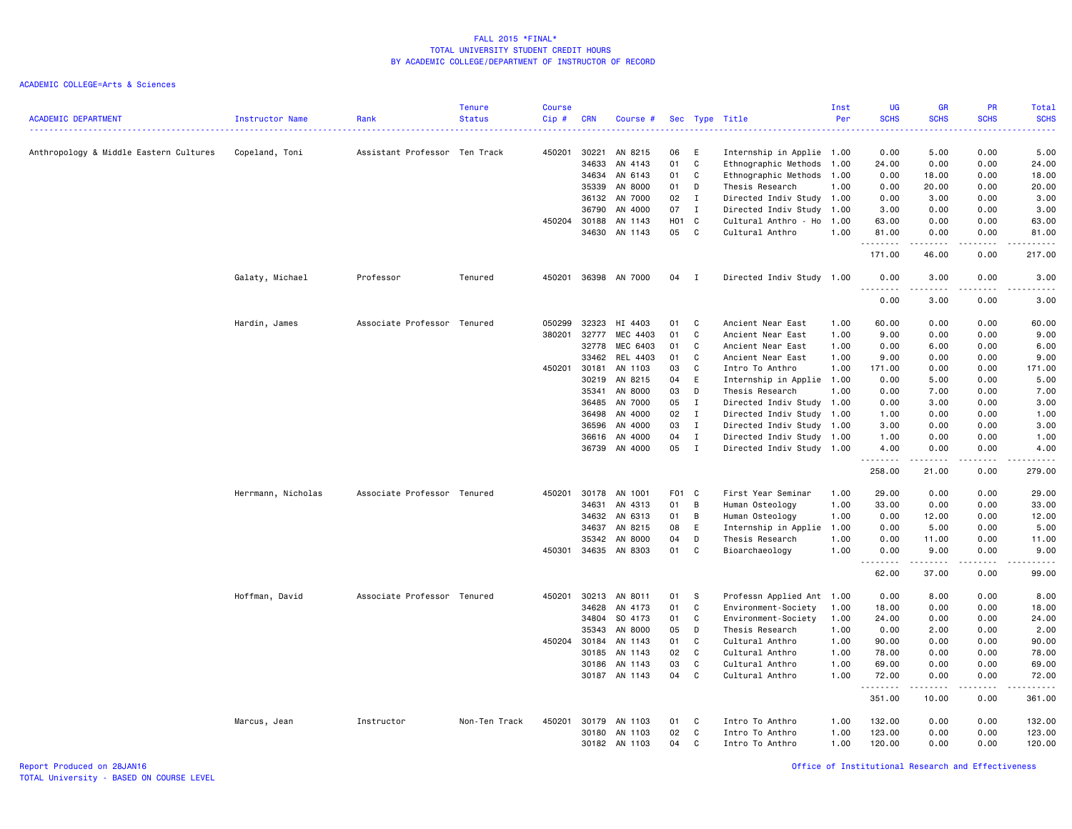| <b>ACADEMIC DEPARTMENT</b>             | Instructor Name    | Rank                          | <b>Tenure</b><br><b>Status</b> | <b>Course</b><br>$Cip$ # | <b>CRN</b> | Course #      |            |              | Sec Type Title            | Inst<br>Per | UG<br><b>SCHS</b>  | <b>GR</b><br><b>SCHS</b> | <b>PR</b><br><b>SCHS</b> | Total<br><b>SCHS</b> |
|----------------------------------------|--------------------|-------------------------------|--------------------------------|--------------------------|------------|---------------|------------|--------------|---------------------------|-------------|--------------------|--------------------------|--------------------------|----------------------|
|                                        |                    |                               |                                |                          |            |               |            |              |                           |             |                    |                          |                          |                      |
| Anthropology & Middle Eastern Cultures | Copeland, Toni     | Assistant Professor Ten Track |                                | 450201                   | 30221      | AN 8215       | 06         | Ε            | Internship in Applie 1.00 |             | 0.00               | 5.00                     | 0.00                     | 5.00                 |
|                                        |                    |                               |                                |                          | 34633      | AN 4143       | 01         | C            | Ethnographic Methods      | 1.00        | 24.00              | 0.00                     | 0.00                     | 24.00                |
|                                        |                    |                               |                                |                          | 34634      | AN 6143       | 01         | C            | Ethnographic Methods      | 1.00        | 0.00               | 18.00                    | 0.00                     | 18.00                |
|                                        |                    |                               |                                |                          | 35339      | AN 8000       | 01         | D            | Thesis Research           | 1.00        | 0.00               | 20.00                    | 0.00                     | 20.00                |
|                                        |                    |                               |                                |                          |            | 36132 AN 7000 | 02         | $\mathbf I$  | Directed Indiv Study 1.00 |             | 0.00               | 3.00                     | 0.00                     | 3.00                 |
|                                        |                    |                               |                                |                          | 36790      | AN 4000       | 07         | $\mathbf{I}$ | Directed Indiv Study      | 1.00        | 3.00               | 0.00                     | 0.00                     | 3.00                 |
|                                        |                    |                               |                                | 450204                   | 30188      | AN 1143       | <b>HO1</b> | $\mathbf{C}$ | Cultural Anthro - Ho      | 1.00        | 63.00              | 0.00                     | 0.00                     | 63.00                |
|                                        |                    |                               |                                |                          | 34630      | AN 1143       | 05         | C            | Cultural Anthro           | 1.00        | 81.00<br>.         | 0.00<br>.                | 0.00                     | 81.00<br>.           |
|                                        |                    |                               |                                |                          |            |               |            |              |                           |             | 171.00             | 46.00                    | 0.00                     | 217.00               |
|                                        | Galaty, Michael    | Professor                     | Tenured                        | 450201                   |            | 36398 AN 7000 | 04         | $\mathbf{I}$ | Directed Indiv Study 1.00 |             | 0.00<br>$  -$<br>. | 3.00<br>$- - - -$        | 0.00                     | 3.00<br>-----        |
|                                        |                    |                               |                                |                          |            |               |            |              |                           |             | 0.00               | 3.00                     | 0.00                     | 3.00                 |
|                                        | Hardin, James      | Associate Professor Tenured   |                                | 050299                   | 32323      | HI 4403       | 01         | C            | Ancient Near East         | 1.00        | 60.00              | 0.00                     | 0.00                     | 60.00                |
|                                        |                    |                               |                                | 380201                   | 32777      | MEC 4403      | 01         | C            | Ancient Near East         | 1.00        | 9.00               | 0.00                     | 0.00                     | 9.00                 |
|                                        |                    |                               |                                |                          | 32778      | MEC 6403      | 01         | C            | Ancient Near East         | 1.00        | 0.00               | 6.00                     | 0.00                     | 6.00                 |
|                                        |                    |                               |                                |                          | 33462      | REL 4403      | 01         | C            | Ancient Near East         | 1.00        | 9.00               | 0.00                     | 0.00                     | 9.00                 |
|                                        |                    |                               |                                | 450201                   | 30181      | AN 1103       | 03         | C            | Intro To Anthro           | 1.00        | 171.00             | 0.00                     | 0.00                     | 171.00               |
|                                        |                    |                               |                                |                          | 30219      | AN 8215       | 04         | E            | Internship in Applie      | 1.00        | 0.00               | 5.00                     | 0.00                     | 5.00                 |
|                                        |                    |                               |                                |                          | 35341      | AN 8000       | 03         | D            | Thesis Research           | 1.00        | 0.00               | 7.00                     | 0.00                     | 7.00                 |
|                                        |                    |                               |                                |                          | 36485      | AN 7000       | 05         | $\mathbf{I}$ | Directed Indiv Study      | 1.00        | 0.00               | 3.00                     | 0.00                     | 3.00                 |
|                                        |                    |                               |                                |                          | 36498      | AN 4000       | 02         | $\mathbf{I}$ | Directed Indiv Study      | 1.00        | 1.00               | 0.00                     | 0.00                     | 1.00                 |
|                                        |                    |                               |                                |                          | 36596      | AN 4000       | 03         | $\mathbf I$  | Directed Indiv Study      | 1.00        | 3.00               | 0.00                     | 0.00                     | 3.00                 |
|                                        |                    |                               |                                |                          | 36616      | AN 4000       | 04         | $\mathbf I$  | Directed Indiv Study      | 1.00        | 1.00               | 0.00                     | 0.00                     | 1.00                 |
|                                        |                    |                               |                                |                          | 36739      | AN 4000       | 05         | $\mathbf{I}$ | Directed Indiv Study      | 1.00        | 4.00<br>.          | 0.00                     | 0.00                     | 4.00                 |
|                                        |                    |                               |                                |                          |            |               |            |              |                           |             | 258.00             | 21.00                    | 0.00                     | 279.00               |
|                                        | Herrmann, Nicholas | Associate Professor Tenured   |                                | 450201                   | 30178      | AN 1001       | F01 C      |              | First Year Seminar        | 1.00        | 29.00              | 0.00                     | 0.00                     | 29.00                |
|                                        |                    |                               |                                |                          | 34631      | AN 4313       | 01         | В            | Human Osteology           | 1.00        | 33.00              | 0.00                     | 0.00                     | 33.00                |
|                                        |                    |                               |                                |                          | 34632      | AN 6313       | 01         | B            | Human Osteology           | 1.00        | 0.00               | 12.00                    | 0.00                     | 12.00                |
|                                        |                    |                               |                                |                          | 34637      | AN 8215       | 08         | E            | Internship in Applie      | 1.00        | 0.00               | 5.00                     | 0.00                     | 5.00                 |
|                                        |                    |                               |                                |                          | 35342      | AN 8000       | 04         | D            | Thesis Research           | 1.00        | 0.00               | 11.00                    | 0.00                     | 11.00                |
|                                        |                    |                               |                                | 450301                   | 34635      | AN 8303       | 01         | $\mathsf{C}$ | Bioarchaeology            | 1.00        | 0.00<br>.          | 9.00<br>.                | 0.00<br>د د د د          | 9.00<br>د د د د د    |
|                                        |                    |                               |                                |                          |            |               |            |              |                           |             | 62.00              | 37.00                    | 0.00                     | 99.00                |
|                                        | Hoffman, David     | Associate Professor Tenured   |                                | 450201                   | 30213      | AN 8011       | 01         | s            | Professn Applied Ant 1.00 |             | 0.00               | 8.00                     | 0.00                     | 8.00                 |
|                                        |                    |                               |                                |                          | 34628      | AN 4173       | 01         | C            | Environment-Society       | 1.00        | 18.00              | 0.00                     | 0.00                     | 18.00                |
|                                        |                    |                               |                                |                          | 34804      | SO 4173       | 01         | C            | Environment-Society       | 1.00        | 24.00              | 0.00                     | 0.00                     | 24.00                |
|                                        |                    |                               |                                |                          | 35343      | AN 8000       | 05         | D            | Thesis Research           | 1.00        | 0.00               | 2.00                     | 0.00                     | 2.00                 |
|                                        |                    |                               |                                | 450204                   | 30184      | AN 1143       | 01         | C            | Cultural Anthro           | 1.00        | 90.00              | 0.00                     | 0.00                     | 90.00                |
|                                        |                    |                               |                                |                          | 30185      | AN 1143       | 02         | $\mathtt{C}$ | Cultural Anthro           | 1.00        | 78.00              | 0.00                     | 0.00                     | 78.00                |
|                                        |                    |                               |                                |                          | 30186      | AN 1143       | 03         | $\mathtt{C}$ | Cultural Anthro           | 1.00        | 69.00              | 0.00                     | 0.00                     | 69.00                |
|                                        |                    |                               |                                |                          | 30187      | AN 1143       | 04         | C            | Cultural Anthro           | 1.00        | 72.00              | 0.00                     | 0.00                     | 72.00                |
|                                        |                    |                               |                                |                          |            |               |            |              |                           |             | .<br>351.00        | 10.00                    | 0.00                     | د د د د د<br>361.00  |
|                                        | Marcus, Jean       | Instructor                    | Non-Ten Track                  | 450201                   | 30179      | AN 1103       | 01         | C            | Intro To Anthro           | 1.00        | 132.00             | 0.00                     | 0.00                     | 132.00               |
|                                        |                    |                               |                                |                          | 30180      | AN 1103       | 02         | C            | Intro To Anthro           | 1.00        | 123.00             | 0.00                     | 0.00                     | 123.00               |
|                                        |                    |                               |                                |                          |            | 30182 AN 1103 | 04         | C            | Intro To Anthro           | 1.00        | 120.00             | 0.00                     | 0.00                     | 120.00               |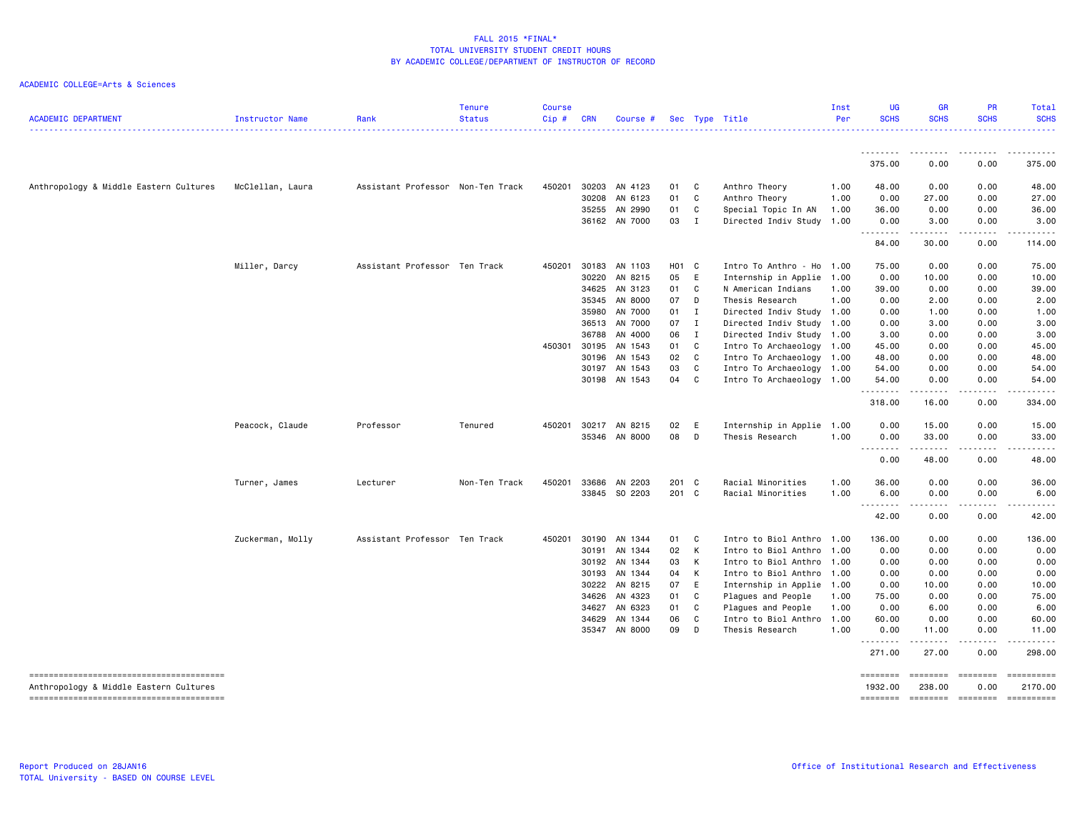| <b>ACADEMIC DEPARTMENT</b>             | Instructor Name  | Rank                              | <b>Tenure</b><br><b>Status</b> | <b>Course</b><br>$Cip \#$ | <b>CRN</b>     | Course #           |          |              | Sec Type Title                 | Inst<br>Per  | UG<br><b>SCHS</b>                                                                                                                                         | <b>GR</b><br><b>SCHS</b> | <b>PR</b><br><b>SCHS</b> | Total<br><b>SCHS</b><br>. <u>.</u> . |
|----------------------------------------|------------------|-----------------------------------|--------------------------------|---------------------------|----------------|--------------------|----------|--------------|--------------------------------|--------------|-----------------------------------------------------------------------------------------------------------------------------------------------------------|--------------------------|--------------------------|--------------------------------------|
|                                        |                  |                                   |                                |                           |                |                    |          |              |                                |              | 375.00                                                                                                                                                    | 0.00                     | .<br>0.00                | 375.00                               |
|                                        |                  |                                   |                                |                           |                |                    |          |              |                                |              |                                                                                                                                                           |                          |                          |                                      |
| Anthropology & Middle Eastern Cultures | McClellan, Laura | Assistant Professor Non-Ten Track |                                | 450201                    | 30203<br>30208 | AN 4123<br>AN 6123 | 01<br>01 | C<br>C       | Anthro Theory<br>Anthro Theory | 1.00<br>1.00 | 48.00<br>0.00                                                                                                                                             | 0.00<br>27.00            | 0.00<br>0.00             | 48.00<br>27.00                       |
|                                        |                  |                                   |                                |                           | 35255          | AN 2990            | 01       | C            | Special Topic In AN            | 1.00         | 36.00                                                                                                                                                     | 0.00                     | 0.00                     | 36.00                                |
|                                        |                  |                                   |                                |                           |                | 36162 AN 7000      | 03       | $\mathbf{I}$ | Directed Indiv Study 1.00      |              | 0.00                                                                                                                                                      | 3.00                     | 0.00                     | 3.00                                 |
|                                        |                  |                                   |                                |                           |                |                    |          |              |                                |              | <u>.</u><br>84.00                                                                                                                                         | .<br>30.00               | .<br>0.00                | .<br>114.00                          |
|                                        | Miller, Darcy    | Assistant Professor Ten Track     |                                | 450201                    | 30183          | AN 1103            | HO1 C    |              | Intro To Anthro - Ho           | 1.00         | 75.00                                                                                                                                                     | 0.00                     | 0.00                     | 75.00                                |
|                                        |                  |                                   |                                |                           | 30220          | AN 8215            | 05       | E            | Internship in Applie           | 1.00         | 0.00                                                                                                                                                      | 10.00                    | 0.00                     | 10.00                                |
|                                        |                  |                                   |                                |                           | 34625          | AN 3123            | 01       | C.           | N American Indians             | 1.00         | 39.00                                                                                                                                                     | 0.00                     | 0.00                     | 39.00                                |
|                                        |                  |                                   |                                |                           | 35345          | AN 8000            | 07       | D            | Thesis Research                | 1.00         | 0.00                                                                                                                                                      | 2.00                     | 0.00                     | 2.00                                 |
|                                        |                  |                                   |                                |                           | 35980          | AN 7000            | 01       | I            | Directed Indiv Study 1.00      |              | 0.00                                                                                                                                                      | 1.00                     | 0.00                     | 1.00                                 |
|                                        |                  |                                   |                                |                           | 36513          | AN 7000            | 07       | $\mathbf{I}$ | Directed Indiv Study 1.00      |              | 0.00                                                                                                                                                      | 3.00                     | 0.00                     | 3.00                                 |
|                                        |                  |                                   |                                |                           | 36788          | AN 4000            | 06       | $\mathbf{I}$ | Directed Indiv Study           | 1.00         | 3.00                                                                                                                                                      | 0.00                     | 0.00                     | 3.00                                 |
|                                        |                  |                                   |                                | 450301                    | 30195          | AN 1543            | 01       | C            | Intro To Archaeology 1.00      |              | 45.00                                                                                                                                                     | 0.00                     | 0.00                     | 45.00                                |
|                                        |                  |                                   |                                |                           | 30196          | AN 1543            | 02       | $\mathbf{C}$ | Intro To Archaeology           | 1.00         | 48.00                                                                                                                                                     | 0.00                     | 0.00                     | 48.00                                |
|                                        |                  |                                   |                                |                           | 30197          | AN 1543            | 03       | C            | Intro To Archaeology 1.00      |              | 54.00                                                                                                                                                     | 0.00                     | 0.00                     | 54.00                                |
|                                        |                  |                                   |                                |                           | 30198          | AN 1543            | 04       | C            | Intro To Archaeology 1.00      |              | 54.00<br>.                                                                                                                                                | 0.00<br>.                | 0.00<br>.                | 54.00<br>.                           |
|                                        |                  |                                   |                                |                           |                |                    |          |              |                                |              | 318.00                                                                                                                                                    | 16.00                    | 0.00                     | 334.00                               |
|                                        | Peacock, Claude  | Professor                         | Tenured                        | 450201                    | 30217          | AN 8215            | 02       | E            | Internship in Applie 1.00      |              | 0.00                                                                                                                                                      | 15.00                    | 0.00                     | 15.00                                |
|                                        |                  |                                   |                                |                           |                | 35346 AN 8000      | 08       | D            | Thesis Research                | 1.00         | 0.00<br>$\frac{1}{2} \left( \frac{1}{2} \right) \left( \frac{1}{2} \right) \left( \frac{1}{2} \right) \left( \frac{1}{2} \right)$<br>$\sim$ $\sim$ $\sim$ | 33.00<br>.               | 0.00<br>د د د د          | 33.00<br>د د د د د                   |
|                                        |                  |                                   |                                |                           |                |                    |          |              |                                |              | 0.00                                                                                                                                                      | 48.00                    | 0.00                     | 48.00                                |
|                                        | Turner, James    | Lecturer                          | Non-Ten Track                  | 450201                    | 33686          | AN 2203            | 201 C    |              | Racial Minorities              | 1.00         | 36.00                                                                                                                                                     | 0.00                     | 0.00                     | 36.00                                |
|                                        |                  |                                   |                                |                           |                | 33845 SO 2203      | 201 C    |              | Racial Minorities              | 1.00         | 6.00                                                                                                                                                      | 0.00                     | 0.00                     | 6.00                                 |
|                                        |                  |                                   |                                |                           |                |                    |          |              |                                |              | 42.00                                                                                                                                                     | -----<br>0.00            | .<br>0.00                | .<br>42.00                           |
|                                        | Zuckerman, Molly | Assistant Professor Ten Track     |                                | 450201                    | 30190          | AN 1344            | 01       | C            | Intro to Biol Anthro           | 1.00         | 136.00                                                                                                                                                    | 0.00                     | 0.00                     | 136.00                               |
|                                        |                  |                                   |                                |                           | 30191          | AN 1344            | 02       | $\mathsf{K}$ | Intro to Biol Anthro           | 1.00         | 0.00                                                                                                                                                      | 0.00                     | 0.00                     | 0.00                                 |
|                                        |                  |                                   |                                |                           | 30192          | AN 1344            | 03       | К            | Intro to Biol Anthro           | 1.00         | 0.00                                                                                                                                                      | 0.00                     | 0.00                     | 0.00                                 |
|                                        |                  |                                   |                                |                           | 30193          | AN 1344            | 04       | К            | Intro to Biol Anthro 1.00      |              | 0.00                                                                                                                                                      | 0.00                     | 0.00                     | 0.00                                 |
|                                        |                  |                                   |                                |                           | 30222          | AN 8215            | 07       | E            | Internship in Applie 1.00      |              | 0.00                                                                                                                                                      | 10.00                    | 0.00                     | 10.00                                |
|                                        |                  |                                   |                                |                           | 34626          | AN 4323            | 01       | C            | Plagues and People             | 1.00         | 75.00                                                                                                                                                     | 0.00                     | 0.00                     | 75.00                                |
|                                        |                  |                                   |                                |                           | 34627          | AN 6323            | 01       | C            | Plagues and People             | 1.00         | 0.00                                                                                                                                                      | 6.00                     | 0.00                     | 6.00                                 |
|                                        |                  |                                   |                                |                           | 34629          | AN 1344            | 06       | C            | Intro to Biol Anthro           | 1.00         | 60.00                                                                                                                                                     | 0.00                     | 0.00                     | 60.00                                |
|                                        |                  |                                   |                                |                           |                | 35347 AN 8000      | 09       | D            | Thesis Research                | 1.00         | 0.00<br>.                                                                                                                                                 | 11.00<br>.               | 0.00<br>.                | 11.00<br>.                           |
|                                        |                  |                                   |                                |                           |                |                    |          |              |                                |              | 271.00                                                                                                                                                    | 27.00                    | 0.00                     | 298.00                               |
|                                        |                  |                                   |                                |                           |                |                    |          |              |                                |              | ========                                                                                                                                                  | ---------                | ---------                | ==========                           |
| Anthropology & Middle Eastern Cultures |                  |                                   |                                |                           |                |                    |          |              |                                |              | 1932.00                                                                                                                                                   | 238.00                   | 0.00                     | 2170.00                              |
|                                        |                  |                                   |                                |                           |                |                    |          |              |                                |              | ========                                                                                                                                                  |                          |                          | ========= ========= ==========       |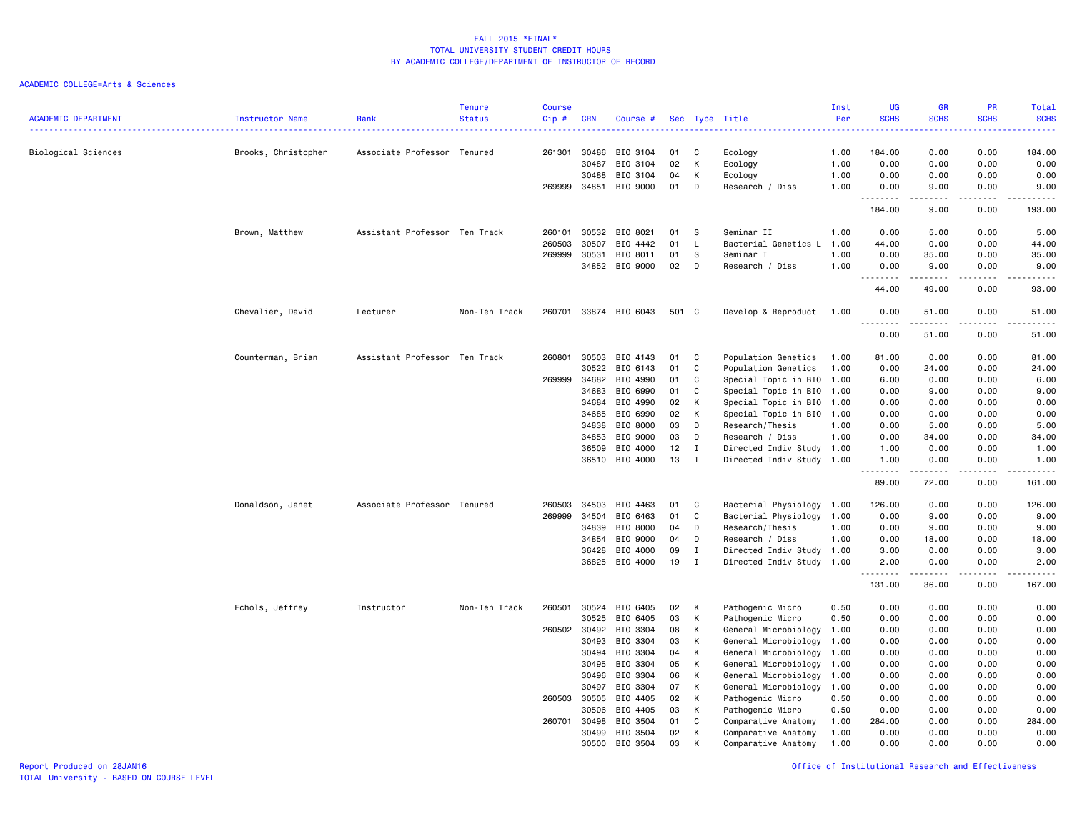### ACADEMIC COLLEGE=Arts & Sciences

| <b>ACADEMIC DEPARTMENT</b> | Instructor Name     | Rank                          | <b>Tenure</b><br><b>Status</b> | <b>Course</b><br>Cip# | <b>CRN</b>     | Course #             |          |              | Sec Type Title                                    | Inst<br>Per<br>. | <b>UG</b><br><b>SCHS</b><br>----                                                                                                                                                               | <b>GR</b><br><b>SCHS</b>                                                                                                                                     | <b>PR</b><br><b>SCHS</b><br>$\frac{1}{2}$ . $\frac{1}{2}$ . $\frac{1}{2}$                                                         | Total<br><b>SCHS</b><br>.                                                                                                                                    |
|----------------------------|---------------------|-------------------------------|--------------------------------|-----------------------|----------------|----------------------|----------|--------------|---------------------------------------------------|------------------|------------------------------------------------------------------------------------------------------------------------------------------------------------------------------------------------|--------------------------------------------------------------------------------------------------------------------------------------------------------------|-----------------------------------------------------------------------------------------------------------------------------------|--------------------------------------------------------------------------------------------------------------------------------------------------------------|
| Biological Sciences        | Brooks, Christopher | Associate Professor Tenured   |                                | 261301                | 30486          | BIO 3104             | 01       | C            | Ecology                                           | 1.00             | 184.00                                                                                                                                                                                         | 0.00                                                                                                                                                         | 0.00                                                                                                                              | 184.00                                                                                                                                                       |
|                            |                     |                               |                                |                       | 30487          | BIO 3104             | 02       | К            | Ecology                                           | 1.00             | 0.00                                                                                                                                                                                           | 0.00                                                                                                                                                         | 0.00                                                                                                                              | 0.00                                                                                                                                                         |
|                            |                     |                               |                                |                       | 30488          | BIO 3104             | 04       | К            | Ecology                                           | 1.00             | 0.00                                                                                                                                                                                           | 0.00                                                                                                                                                         | 0.00                                                                                                                              | 0.00                                                                                                                                                         |
|                            |                     |                               |                                | 269999                | 34851          | BIO 9000             | 01       | D            | Research / Diss                                   | 1.00             | 0.00<br>.                                                                                                                                                                                      | 9.00<br>.                                                                                                                                                    | 0.00<br>.                                                                                                                         | 9.00<br>------                                                                                                                                               |
|                            |                     |                               |                                |                       |                |                      |          |              |                                                   |                  | 184.00                                                                                                                                                                                         | 9.00                                                                                                                                                         | 0.00                                                                                                                              | 193.00                                                                                                                                                       |
|                            | Brown, Matthew      | Assistant Professor Ten Track |                                | 260101                | 30532          | BIO 8021             | 01       | S            | Seminar II                                        | 1.00             | 0.00                                                                                                                                                                                           | 5.00                                                                                                                                                         | 0.00                                                                                                                              | 5.00                                                                                                                                                         |
|                            |                     |                               |                                | 260503                | 30507          | BIO 4442             | 01       | L            | Bacterial Genetics L                              | 1.00             | 44.00                                                                                                                                                                                          | 0.00                                                                                                                                                         | 0.00                                                                                                                              | 44.00                                                                                                                                                        |
|                            |                     |                               |                                | 269999                | 30531          | BIO 8011             | 01       | s            | Seminar I                                         | 1.00             | 0.00                                                                                                                                                                                           | 35.00                                                                                                                                                        | 0.00                                                                                                                              | 35.00                                                                                                                                                        |
|                            |                     |                               |                                |                       | 34852          | BIO 9000             | 02       | D            | Research / Diss                                   | 1.00             | 0.00<br>$\overline{a}$<br>.                                                                                                                                                                    | 9.00<br>$\frac{1}{2} \left( \frac{1}{2} \right) \left( \frac{1}{2} \right) \left( \frac{1}{2} \right) \left( \frac{1}{2} \right) \left( \frac{1}{2} \right)$ | 0.00<br>$\sim$ $\sim$ $\sim$ $\sim$                                                                                               | 9.00<br>$\frac{1}{2} \left( \frac{1}{2} \right) \left( \frac{1}{2} \right) \left( \frac{1}{2} \right) \left( \frac{1}{2} \right) \left( \frac{1}{2} \right)$ |
|                            |                     |                               |                                |                       |                |                      |          |              |                                                   |                  | 44.00                                                                                                                                                                                          | 49.00                                                                                                                                                        | 0.00                                                                                                                              | 93.00                                                                                                                                                        |
|                            | Chevalier, David    | Lecturer                      | Non-Ten Track                  | 260701                |                | 33874 BIO 6043       | 501 C    |              | Develop & Reproduct                               | 1.00             | 0.00<br>.<br>$\frac{1}{2} \left( \frac{1}{2} \right) \left( \frac{1}{2} \right) \left( \frac{1}{2} \right) \left( \frac{1}{2} \right) \left( \frac{1}{2} \right)$                              | 51.00<br>.                                                                                                                                                   | 0.00<br>.                                                                                                                         | 51.00<br>د د د د د                                                                                                                                           |
|                            |                     |                               |                                |                       |                |                      |          |              |                                                   |                  | 0.00                                                                                                                                                                                           | 51.00                                                                                                                                                        | 0.00                                                                                                                              | 51.00                                                                                                                                                        |
|                            | Counterman, Brian   | Assistant Professor Ten Track |                                | 260801                | 30503          | BIO 4143             | 01       | C            | Population Genetics                               | 1.00             | 81.00                                                                                                                                                                                          | 0.00                                                                                                                                                         | 0.00                                                                                                                              | 81.00                                                                                                                                                        |
|                            |                     |                               |                                |                       | 30522          | BIO 6143             | 01       | C            | Population Genetics                               | 1.00             | 0.00                                                                                                                                                                                           | 24.00                                                                                                                                                        | 0.00                                                                                                                              | 24.00                                                                                                                                                        |
|                            |                     |                               |                                | 269999                | 34682          | BIO 4990             | 01       | C            | Special Topic in BIO 1.00                         |                  | 6.00                                                                                                                                                                                           | 0.00                                                                                                                                                         | 0.00                                                                                                                              | 6.00                                                                                                                                                         |
|                            |                     |                               |                                |                       | 34683          | BIO 6990             | 01       | C            | Special Topic in BIO 1.00                         |                  | 0.00                                                                                                                                                                                           | 9.00                                                                                                                                                         | 0.00                                                                                                                              | 9.00                                                                                                                                                         |
|                            |                     |                               |                                |                       | 34684          | BIO 4990             | 02       | К            | Special Topic in BIO 1.00                         |                  | 0.00                                                                                                                                                                                           | 0.00                                                                                                                                                         | 0.00                                                                                                                              | 0.00                                                                                                                                                         |
|                            |                     |                               |                                |                       | 34685          | BIO 6990             | 02       | К            | Special Topic in BIO 1.00                         |                  | 0.00                                                                                                                                                                                           | 0.00                                                                                                                                                         | 0.00                                                                                                                              | 0.00                                                                                                                                                         |
|                            |                     |                               |                                |                       | 34838          | BIO 8000             | 03       | D            | Research/Thesis                                   | 1.00             | 0.00                                                                                                                                                                                           | 5.00                                                                                                                                                         | 0.00                                                                                                                              | 5.00                                                                                                                                                         |
|                            |                     |                               |                                |                       | 34853<br>36509 | BIO 9000<br>BIO 4000 | 03<br>12 | D<br>I       | Research / Diss<br>Directed Indiv Study 1.00      | 1.00             | 0.00<br>1.00                                                                                                                                                                                   | 34.00<br>0.00                                                                                                                                                | 0.00<br>0.00                                                                                                                      | 34.00<br>1.00                                                                                                                                                |
|                            |                     |                               |                                |                       | 36510          | BIO 4000             | 13       | $\mathbf I$  | Directed Indiv Study 1.00                         |                  | 1.00                                                                                                                                                                                           | 0.00                                                                                                                                                         | 0.00                                                                                                                              | 1.00                                                                                                                                                         |
|                            |                     |                               |                                |                       |                |                      |          |              |                                                   |                  | $\frac{1}{2} \left( \frac{1}{2} \right) \left( \frac{1}{2} \right) \left( \frac{1}{2} \right) \left( \frac{1}{2} \right) \left( \frac{1}{2} \right) \left( \frac{1}{2} \right)$<br>н.<br>89.00 | .<br>72.00                                                                                                                                                   | .<br>0.00                                                                                                                         | .<br>161.00                                                                                                                                                  |
|                            | Donaldson, Janet    | Associate Professor Tenured   |                                | 260503                | 34503          | BIO 4463             | 01       | C            | Bacterial Physiology 1.00                         |                  | 126.00                                                                                                                                                                                         | 0.00                                                                                                                                                         | 0.00                                                                                                                              | 126.00                                                                                                                                                       |
|                            |                     |                               |                                | 269999                | 34504          | BIO 6463             | 01       | C            | Bacterial Physiology 1.00                         |                  | 0.00                                                                                                                                                                                           | 9.00                                                                                                                                                         | 0.00                                                                                                                              | 9.00                                                                                                                                                         |
|                            |                     |                               |                                |                       | 34839          | BIO 8000             | 04       | D            | Research/Thesis                                   | 1.00             | 0.00                                                                                                                                                                                           | 9.00                                                                                                                                                         | 0.00                                                                                                                              | 9.00                                                                                                                                                         |
|                            |                     |                               |                                |                       | 34854          | BIO 9000             | 04       | D            | Research / Diss                                   | 1.00             | 0.00                                                                                                                                                                                           | 18.00                                                                                                                                                        | 0.00                                                                                                                              | 18.00                                                                                                                                                        |
|                            |                     |                               |                                |                       | 36428          | BIO 4000             | 09       | $\mathbf{I}$ | Directed Indiv Study 1.00                         |                  | 3.00                                                                                                                                                                                           | 0.00                                                                                                                                                         | 0.00                                                                                                                              | 3.00                                                                                                                                                         |
|                            |                     |                               |                                |                       |                | 36825 BIO 4000       | 19       | I            | Directed Indiv Study 1.00                         |                  | 2.00<br>.                                                                                                                                                                                      | 0.00<br>-----                                                                                                                                                | 0.00<br>$\frac{1}{2} \left( \frac{1}{2} \right) \left( \frac{1}{2} \right) \left( \frac{1}{2} \right) \left( \frac{1}{2} \right)$ | 2.00<br>$\sim$ $\sim$ $\sim$ $\sim$ $\sim$                                                                                                                   |
|                            |                     |                               |                                |                       |                |                      |          |              |                                                   |                  | 131.00                                                                                                                                                                                         | 36.00                                                                                                                                                        | 0.00                                                                                                                              | 167.00                                                                                                                                                       |
|                            | Echols, Jeffrey     | Instructor                    | Non-Ten Track                  | 260501                | 30524          | BIO 6405             | 02       | К            | Pathogenic Micro                                  | 0.50             | 0.00                                                                                                                                                                                           | 0.00                                                                                                                                                         | 0.00                                                                                                                              | 0.00                                                                                                                                                         |
|                            |                     |                               |                                |                       | 30525          | BIO 6405             | 03       | К            | Pathogenic Micro                                  | 0.50             | 0.00                                                                                                                                                                                           | 0.00                                                                                                                                                         | 0.00                                                                                                                              | 0.00                                                                                                                                                         |
|                            |                     |                               |                                | 260502                | 30492          | BIO 3304             | 08       | К            | General Microbiology                              | 1.00             | 0.00                                                                                                                                                                                           | 0.00                                                                                                                                                         | 0.00                                                                                                                              | 0.00                                                                                                                                                         |
|                            |                     |                               |                                |                       | 30493          | BIO 3304             | 03       | К            | General Microbiology                              | 1.00             | 0.00                                                                                                                                                                                           | 0.00                                                                                                                                                         | 0.00                                                                                                                              | 0.00                                                                                                                                                         |
|                            |                     |                               |                                |                       | 30494          | BIO 3304             | 04       | К            | General Microbiology                              | 1.00             | 0.00                                                                                                                                                                                           | 0.00                                                                                                                                                         | 0.00                                                                                                                              | 0.00                                                                                                                                                         |
|                            |                     |                               |                                |                       | 30495          | BIO 3304             | 05       | К            | General Microbiology 1.00                         |                  | 0.00                                                                                                                                                                                           | 0.00                                                                                                                                                         | 0.00                                                                                                                              | 0.00                                                                                                                                                         |
|                            |                     |                               |                                |                       | 30496<br>30497 | BIO 3304<br>BIO 3304 | 06<br>07 | Κ<br>К       | General Microbiology 1.00<br>General Microbiology | 1.00             | 0.00<br>0.00                                                                                                                                                                                   | 0.00<br>0.00                                                                                                                                                 | 0.00<br>0.00                                                                                                                      | 0.00<br>0.00                                                                                                                                                 |
|                            |                     |                               |                                | 260503                | 30505          | BIO 4405             | 02       | К            | Pathogenic Micro                                  | 0.50             | 0.00                                                                                                                                                                                           | 0.00                                                                                                                                                         | 0.00                                                                                                                              | 0.00                                                                                                                                                         |
|                            |                     |                               |                                |                       | 30506          | BIO 4405             | 03       | К            | Pathogenic Micro                                  | 0.50             | 0.00                                                                                                                                                                                           | 0.00                                                                                                                                                         | 0.00                                                                                                                              | 0.00                                                                                                                                                         |
|                            |                     |                               |                                | 260701                | 30498          | BIO 3504             | 01       | C            | Comparative Anatomy                               | 1.00             | 284.00                                                                                                                                                                                         | 0.00                                                                                                                                                         | 0.00                                                                                                                              | 284.00                                                                                                                                                       |
|                            |                     |                               |                                |                       | 30499          | BIO 3504             | 02       | К            | Comparative Anatomy                               | 1.00             | 0.00                                                                                                                                                                                           | 0.00                                                                                                                                                         | 0.00                                                                                                                              | 0.00                                                                                                                                                         |
|                            |                     |                               |                                |                       | 30500          | BIO 3504             | 03       | K            | Comparative Anatomy                               | 1.00             | 0.00                                                                                                                                                                                           | 0.00                                                                                                                                                         | 0.00                                                                                                                              | 0.00                                                                                                                                                         |

Report Produced on 28JAN16 Office of Institutional Research and Effectiveness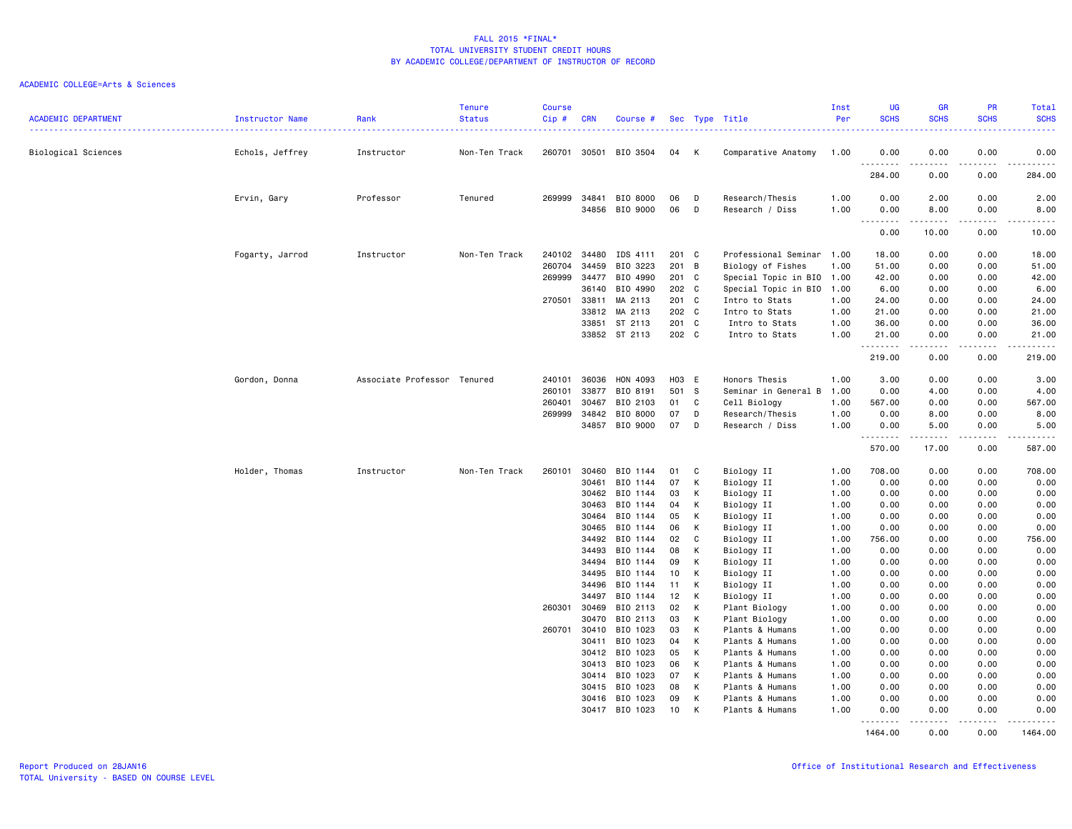| <b>ACADEMIC DEPARTMENT</b> | Instructor Name | Rank<br>. <b>.</b> .        | <b>Tenure</b><br><b>Status</b> | <b>Course</b><br>Cip# | <b>CRN</b> | Course #                 |                |   | Sec Type Title            | Inst<br>Per  | <b>UG</b><br><b>SCHS</b>          | GR<br><b>SCHS</b>              | <b>PR</b><br><b>SCHS</b>            | Total<br><b>SCHS</b><br>.                                                                                                                                    |
|----------------------------|-----------------|-----------------------------|--------------------------------|-----------------------|------------|--------------------------|----------------|---|---------------------------|--------------|-----------------------------------|--------------------------------|-------------------------------------|--------------------------------------------------------------------------------------------------------------------------------------------------------------|
| Biological Sciences        | Echols, Jeffrey | Instructor                  | Non-Ten Track                  | 260701                | 30501      | BIO 3504                 | 04             | K | Comparative Anatomy       | 1.00         | 0.00                              | 0.00                           | 0.00                                | 0.00                                                                                                                                                         |
|                            |                 |                             |                                |                       |            |                          |                |   |                           |              | .<br>284.00                       | 0.00                           | $\sim$ $\sim$ $\sim$ $\sim$<br>0.00 | $\sim$ $\sim$ $\sim$ $\sim$<br>284.00                                                                                                                        |
|                            | Ervin, Gary     | Professor                   | Tenured                        | 269999                | 34841      | BIO 8000                 | 06             | D | Research/Thesis           | 1.00         | 0.00                              | 2.00                           | 0.00                                | 2.00                                                                                                                                                         |
|                            |                 |                             |                                |                       | 34856      | BIO 9000                 | 06             | D | Research / Diss           | 1.00         | 0.00<br>$\sim$ $\sim$ $\sim$<br>. | 8.00<br>$\frac{1}{2}$          | 0.00<br>.                           | 8.00<br>$\frac{1}{2} \left( \frac{1}{2} \right) \left( \frac{1}{2} \right) \left( \frac{1}{2} \right) \left( \frac{1}{2} \right) \left( \frac{1}{2} \right)$ |
|                            |                 |                             |                                |                       |            |                          |                |   |                           |              | 0.00                              | 10.00                          | 0.00                                | 10.00                                                                                                                                                        |
|                            | Fogarty, Jarrod | Instructor                  | Non-Ten Track                  | 240102                | 34480      | IDS 4111                 | 201 C          |   | Professional Seminar      | 1.00         | 18.00                             | 0.00                           | 0.00                                | 18.00                                                                                                                                                        |
|                            |                 |                             |                                | 260704                | 34459      | BIO 3223                 | 201 B          |   | Biology of Fishes         | 1.00         | 51.00                             | 0.00                           | 0.00                                | 51.00                                                                                                                                                        |
|                            |                 |                             |                                | 269999                | 34477      | BIO 4990                 | 201 C          |   | Special Topic in BIO 1.00 |              | 42.00                             | 0.00                           | 0.00                                | 42.00                                                                                                                                                        |
|                            |                 |                             |                                |                       | 36140      | BIO 4990                 | 202 C          |   | Special Topic in BIO 1.00 |              | 6.00                              | 0.00                           | 0.00                                | 6.00                                                                                                                                                         |
|                            |                 |                             |                                | 270501                | 33811      | MA 2113                  | 201 C          |   | Intro to Stats            | 1.00         | 24.00                             | 0.00                           | 0.00                                | 24.00                                                                                                                                                        |
|                            |                 |                             |                                |                       | 33812      | MA 2113                  | 202 C          |   | Intro to Stats            | 1.00         | 21.00                             | 0.00                           | 0.00                                | 21.00                                                                                                                                                        |
|                            |                 |                             |                                |                       | 33851      | ST 2113<br>33852 ST 2113 | 201 C<br>202 C |   | Intro to Stats            | 1.00<br>1.00 | 36.00<br>21.00                    | 0.00                           | 0.00<br>0.00                        | 36.00<br>21.00                                                                                                                                               |
|                            |                 |                             |                                |                       |            |                          |                |   | Intro to Stats            |              | .                                 | 0.00<br>-----                  | .                                   | .                                                                                                                                                            |
|                            |                 |                             |                                |                       |            |                          |                |   |                           |              | 219.00                            | 0.00                           | 0.00                                | 219.00                                                                                                                                                       |
|                            | Gordon, Donna   | Associate Professor Tenured |                                | 240101                | 36036      | HON 4093                 | H03 E          |   | Honors Thesis             | 1.00         | 3.00                              | 0.00                           | 0.00                                | 3.00                                                                                                                                                         |
|                            |                 |                             |                                | 260101                | 33877      | BIO 8191                 | 501            | s | Seminar in General B      | 1.00         | 0.00                              | 4.00                           | 0.00                                | 4.00                                                                                                                                                         |
|                            |                 |                             |                                | 260401                | 30467      | BIO 2103                 | 01             | C | Cell Biology              | 1.00         | 567.00                            | 0.00                           | 0.00                                | 567.00                                                                                                                                                       |
|                            |                 |                             |                                | 269999                | 34842      | BIO 8000                 | 07             | D | Research/Thesis           | 1.00         | 0.00                              | 8.00                           | 0.00                                | 8.00                                                                                                                                                         |
|                            |                 |                             |                                |                       | 34857      | BIO 9000                 | 07             | D | Research / Diss           | 1.00         | 0.00<br>.                         | 5.00<br>$\cdots \cdots \cdots$ | 0.00<br>.                           | 5.00<br>.                                                                                                                                                    |
|                            |                 |                             |                                |                       |            |                          |                |   |                           |              | 570.00                            | 17.00                          | 0.00                                | 587.00                                                                                                                                                       |
|                            | Holder, Thomas  | Instructor                  | Non-Ten Track                  | 260101                | 30460      | BIO 1144                 | 01             | C | Biology II                | 1.00         | 708.00                            | 0.00                           | 0.00                                | 708.00                                                                                                                                                       |
|                            |                 |                             |                                |                       | 30461      | BIO 1144                 | 07             | К | Biology II                | 1.00         | 0.00                              | 0.00                           | 0.00                                | 0.00                                                                                                                                                         |
|                            |                 |                             |                                |                       | 30462      | BIO 1144                 | 03             | К | Biology II                | 1.00         | 0.00                              | 0.00                           | 0.00                                | 0.00                                                                                                                                                         |
|                            |                 |                             |                                |                       | 30463      | BIO 1144                 | 04             | К | Biology II                | 1.00         | 0.00                              | 0.00                           | 0.00                                | 0.00                                                                                                                                                         |
|                            |                 |                             |                                |                       | 30464      | BIO 1144                 | 05             | К | Biology II                | 1.00         | 0.00                              | 0.00                           | 0.00                                | 0.00                                                                                                                                                         |
|                            |                 |                             |                                |                       | 30465      | BIO 1144                 | 06             | К | Biology II                | 1.00         | 0.00                              | 0.00                           | 0.00                                | 0.00                                                                                                                                                         |
|                            |                 |                             |                                |                       | 34492      | BIO 1144                 | 02             | C | Biology II                | 1.00         | 756.00                            | 0.00                           | 0.00                                | 756.00                                                                                                                                                       |
|                            |                 |                             |                                |                       | 34493      | BIO 1144                 | 08             | К | Biology II                | 1.00         | 0.00                              | 0.00                           | 0.00                                | 0.00                                                                                                                                                         |
|                            |                 |                             |                                |                       | 34494      | BIO 1144                 | 09             | К | Biology II                | 1.00         | 0.00                              | 0.00                           | 0.00                                | 0.00                                                                                                                                                         |
|                            |                 |                             |                                |                       | 34495      | BIO 1144                 | 10             | К | Biology II                | 1.00         | 0.00                              | 0.00                           | 0.00                                | 0.00                                                                                                                                                         |
|                            |                 |                             |                                |                       | 34496      | BIO 1144                 | 11             | К | Biology II                | 1.00         | 0.00                              | 0.00                           | 0.00                                | 0.00                                                                                                                                                         |
|                            |                 |                             |                                |                       | 34497      | BIO 1144                 | 12             | К | Biology II                | 1.00         | 0.00                              | 0.00                           | 0.00                                | 0.00                                                                                                                                                         |
|                            |                 |                             |                                | 260301                | 30469      | BIO 2113                 | 02             | К | Plant Biology             | 1.00         | 0.00                              | 0.00                           | 0.00                                | 0.00                                                                                                                                                         |
|                            |                 |                             |                                |                       | 30470      | BIO 2113                 | 03             | К | Plant Biology             | 1.00         | 0.00                              | 0.00                           | 0.00                                | 0.00                                                                                                                                                         |
|                            |                 |                             |                                | 260701                | 30410      | BIO 1023                 | 03             | К | Plants & Humans           | 1.00         | 0.00                              | 0.00                           | 0.00                                | 0.00                                                                                                                                                         |
|                            |                 |                             |                                |                       | 30411      | BIO 1023                 | 04             | К | Plants & Humans           | 1.00         | 0.00                              | 0.00                           | 0.00                                | 0.00                                                                                                                                                         |
|                            |                 |                             |                                |                       | 30412      | BIO 1023                 | 05             | К | Plants & Humans           | 1.00         | 0.00                              | 0.00                           | 0.00                                | 0.00                                                                                                                                                         |
|                            |                 |                             |                                |                       | 30413      | BIO 1023                 | 06             | К | Plants & Humans           | 1.00         | 0.00                              | 0.00                           | 0.00                                | 0.00                                                                                                                                                         |
|                            |                 |                             |                                |                       | 30414      | BIO 1023                 | 07             | К | Plants & Humans           | 1.00         | 0.00                              | 0.00                           | 0.00                                | 0.00                                                                                                                                                         |
|                            |                 |                             |                                |                       | 30415      | BIO 1023                 | 08             | К | Plants & Humans           | 1.00         | 0.00                              | 0.00                           | 0.00                                | 0.00                                                                                                                                                         |
|                            |                 |                             |                                |                       | 30416      | BIO 1023                 | 09             | К | Plants & Humans           | 1.00         | 0.00                              | 0.00                           | 0.00                                | 0.00                                                                                                                                                         |
|                            |                 |                             |                                |                       | 30417      | BIO 1023                 | 10             | К | Plants & Humans           | 1.00         | 0.00<br>. <b>.</b>                | 0.00<br>$- - - - -$            | 0.00<br>.                           | 0.00<br>.                                                                                                                                                    |
|                            |                 |                             |                                |                       |            |                          |                |   |                           |              | 1464.00                           | 0.00                           | 0.00                                | 1464.00                                                                                                                                                      |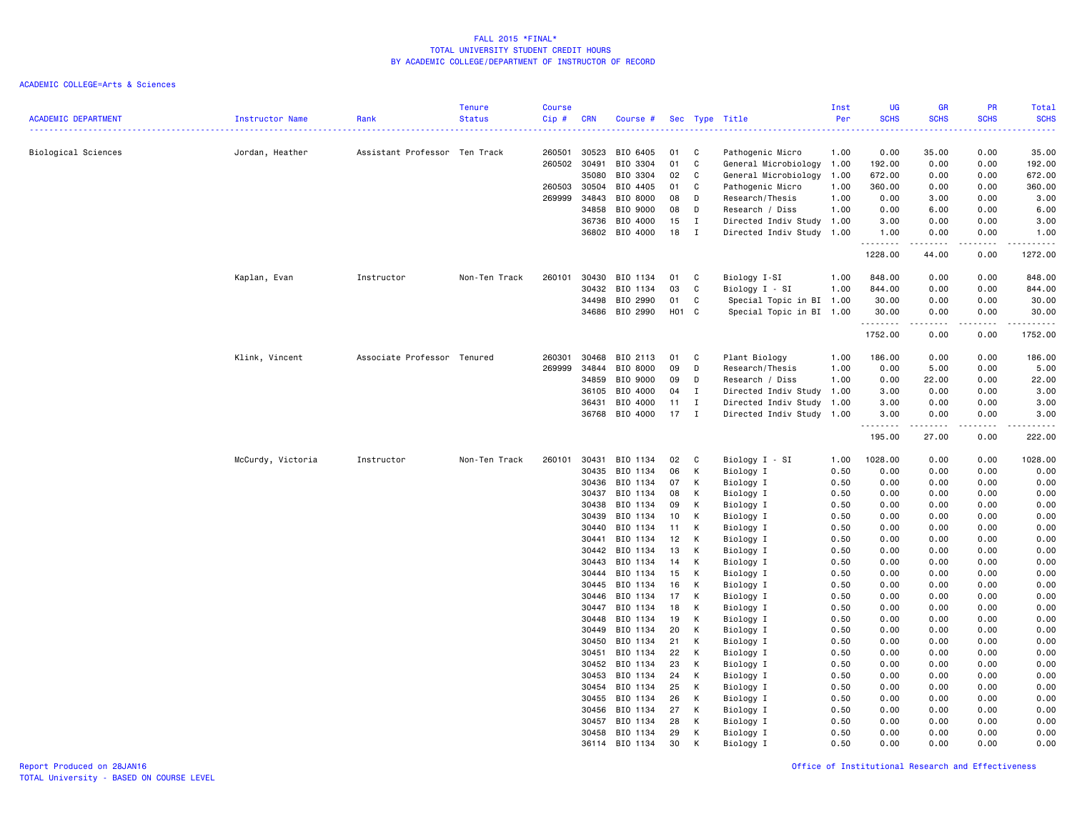| <b>ACADEMIC DEPARTMENT</b> | Instructor Name   | Rank                          | <b>Tenure</b><br><b>Status</b> | <b>Course</b><br>Cip# | <b>CRN</b>     | Course #             |          |              | Sec Type Title            | Inst<br>Per  | <b>UG</b><br><b>SCHS</b> | <b>GR</b><br><b>SCHS</b>                                                                                                                                     | PR<br><b>SCHS</b> | Total<br><b>SCHS</b>                                                                                                               |
|----------------------------|-------------------|-------------------------------|--------------------------------|-----------------------|----------------|----------------------|----------|--------------|---------------------------|--------------|--------------------------|--------------------------------------------------------------------------------------------------------------------------------------------------------------|-------------------|------------------------------------------------------------------------------------------------------------------------------------|
| Biological Sciences        | Jordan, Heather   | Assistant Professor Ten Track |                                | 260501                | 30523          | BIO 6405             | 01       | C            | Pathogenic Micro          | .<br>1.00    | 0.00                     | 35.00                                                                                                                                                        | 0.00              | $\frac{1}{2} \left( \frac{1}{2} \right) \left( \frac{1}{2} \right) \left( \frac{1}{2} \right) \left( \frac{1}{2} \right)$<br>35.00 |
|                            |                   |                               |                                | 260502                | 30491          | BIO 3304             | 01       | C            | General Microbiology 1.00 |              | 192.00                   | 0.00                                                                                                                                                         | 0.00              | 192.00                                                                                                                             |
|                            |                   |                               |                                |                       | 35080          | BIO 3304             | 02       | C            | General Microbiology      | 1.00         | 672.00                   | 0.00                                                                                                                                                         | 0.00              | 672.00                                                                                                                             |
|                            |                   |                               |                                | 260503                | 30504          | BIO 4405             | 01       | C            | Pathogenic Micro          | 1.00         | 360.00                   | 0.00                                                                                                                                                         | 0.00              | 360.00                                                                                                                             |
|                            |                   |                               |                                | 269999                | 34843          | BIO 8000             | 08       | D            | Research/Thesis           | 1.00         | 0.00                     | 3.00                                                                                                                                                         | 0.00              | 3.00                                                                                                                               |
|                            |                   |                               |                                |                       | 34858          | BIO 9000             | 08       | D            | Research / Diss           | 1.00         | 0.00                     | 6.00                                                                                                                                                         | 0.00              | 6.00                                                                                                                               |
|                            |                   |                               |                                |                       | 36736          | BIO 4000             | 15       | $\mathbf{I}$ | Directed Indiv Study 1.00 |              | 3.00                     | 0.00                                                                                                                                                         | 0.00              | 3.00                                                                                                                               |
|                            |                   |                               |                                |                       |                | 36802 BIO 4000       | 18       | $\mathbf{I}$ | Directed Indiv Study 1.00 |              | 1.00<br>.                | 0.00<br>$\frac{1}{2} \left( \frac{1}{2} \right) \left( \frac{1}{2} \right) \left( \frac{1}{2} \right) \left( \frac{1}{2} \right) \left( \frac{1}{2} \right)$ | 0.00<br>.         | 1.00<br>2.2.2.2.2.3                                                                                                                |
|                            |                   |                               |                                |                       |                |                      |          |              |                           |              | 1228.00                  | 44.00                                                                                                                                                        | 0.00              | 1272.00                                                                                                                            |
|                            | Kaplan, Evan      | Instructor                    | Non-Ten Track                  | 260101                | 30430          | BIO 1134             | 01       | $\mathbf{C}$ | Biology I-SI              | 1.00         | 848.00                   | 0.00                                                                                                                                                         | 0.00              | 848.00                                                                                                                             |
|                            |                   |                               |                                |                       | 30432          | BIO 1134             | 03       | C            | Biology I - SI            | 1.00         | 844.00                   | 0.00                                                                                                                                                         | 0.00              | 844.00                                                                                                                             |
|                            |                   |                               |                                |                       | 34498          | BIO 2990             | 01       | C            | Special Topic in BI 1.00  |              | 30.00                    | 0.00                                                                                                                                                         | 0.00              | 30.00                                                                                                                              |
|                            |                   |                               |                                |                       |                | 34686 BIO 2990       | H01 C    |              | Special Topic in BI 1.00  |              | 30.00<br>.               | 0.00<br>.                                                                                                                                                    | 0.00<br>.         | 30.00<br>.                                                                                                                         |
|                            |                   |                               |                                |                       |                |                      |          |              |                           |              | 1752.00                  | 0.00                                                                                                                                                         | 0.00              | 1752.00                                                                                                                            |
|                            | Klink, Vincent    | Associate Professor Tenured   |                                | 260301                | 30468          | BIO 2113             | 01       | C            | Plant Biology             | 1.00         | 186.00                   | 0.00                                                                                                                                                         | 0.00              | 186.00                                                                                                                             |
|                            |                   |                               |                                | 269999                | 34844          | BIO 8000             | 09       | D            | Research/Thesis           | 1.00         | 0.00                     | 5.00                                                                                                                                                         | 0.00              | 5.00                                                                                                                               |
|                            |                   |                               |                                |                       | 34859          | BIO 9000             | 09       | D            | Research / Diss           | 1.00         | 0.00                     | 22.00                                                                                                                                                        | 0.00              | 22.00                                                                                                                              |
|                            |                   |                               |                                |                       | 36105          | BIO 4000             | 04       | $\mathbf{I}$ | Directed Indiv Study 1.00 |              | 3.00                     | 0.00                                                                                                                                                         | 0.00              | 3.00                                                                                                                               |
|                            |                   |                               |                                |                       | 36431          | BIO 4000             | 11       | $\mathbf{I}$ | Directed Indiv Study      | 1.00         | 3.00                     | 0.00                                                                                                                                                         | 0.00              | 3.00                                                                                                                               |
|                            |                   |                               |                                |                       | 36768          | BIO 4000             | 17       | $\mathbf{I}$ | Directed Indiv Study 1.00 |              | 3.00<br>.                | 0.00<br>.                                                                                                                                                    | 0.00<br>.         | 3.00<br>.                                                                                                                          |
|                            |                   |                               |                                |                       |                |                      |          |              |                           |              | 195.00                   | 27.00                                                                                                                                                        | 0.00              | 222.00                                                                                                                             |
|                            | McCurdy, Victoria | Instructor                    | Non-Ten Track                  | 260101                | 30431          | BIO 1134             | 02       | $\mathbf{C}$ | Biology I - SI            | 1.00         | 1028.00                  | 0.00                                                                                                                                                         | 0.00              | 1028.00                                                                                                                            |
|                            |                   |                               |                                |                       | 30435          | BIO 1134             | 06       | К            | Biology I                 | 0.50         | 0.00                     | 0.00                                                                                                                                                         | 0.00              | 0.00                                                                                                                               |
|                            |                   |                               |                                |                       | 30436          | BIO 1134             | 07       | K            | Biology I                 | 0.50         | 0.00                     | 0.00                                                                                                                                                         | 0.00              | 0.00                                                                                                                               |
|                            |                   |                               |                                |                       | 30437          | BIO 1134             | 08       | К            | Biology I                 | 0.50         | 0.00                     | 0.00                                                                                                                                                         | 0.00              | 0.00                                                                                                                               |
|                            |                   |                               |                                |                       | 30438          | BIO 1134             | 09       | К            | Biology I                 | 0.50         | 0.00                     | 0.00                                                                                                                                                         | 0.00              | 0.00                                                                                                                               |
|                            |                   |                               |                                |                       | 30439          | BIO 1134             | 10       | К            | Biology I                 | 0.50         | 0.00                     | 0.00                                                                                                                                                         | 0.00              | 0.00                                                                                                                               |
|                            |                   |                               |                                |                       | 30440          | BIO 1134             | 11       | K            | Biology I                 | 0.50         | 0.00                     | 0.00                                                                                                                                                         | 0.00              | 0.00                                                                                                                               |
|                            |                   |                               |                                |                       | 30441          | BIO 1134<br>BIO 1134 | 12       | К            | Biology I                 | 0.50         | 0.00                     | 0.00                                                                                                                                                         | 0.00              | 0.00                                                                                                                               |
|                            |                   |                               |                                |                       | 30442<br>30443 | BIO 1134             | 13<br>14 | К<br>К       | Biology I<br>Biology I    | 0.50<br>0.50 | 0.00<br>0.00             | 0.00<br>0.00                                                                                                                                                 | 0.00<br>0.00      | 0.00<br>0.00                                                                                                                       |
|                            |                   |                               |                                |                       | 30444          | BIO 1134             | 15       | К            | Biology I                 | 0.50         | 0.00                     | 0.00                                                                                                                                                         | 0.00              | 0.00                                                                                                                               |
|                            |                   |                               |                                |                       | 30445          | BIO 1134             | 16       | К            | Biology I                 | 0.50         | 0.00                     | 0.00                                                                                                                                                         | 0.00              | 0.00                                                                                                                               |
|                            |                   |                               |                                |                       | 30446          | BIO 1134             | 17       | K            | Biology I                 | 0.50         | 0.00                     | 0.00                                                                                                                                                         | 0.00              | 0.00                                                                                                                               |
|                            |                   |                               |                                |                       | 30447          | BIO 1134             | 18       | К            | Biology I                 | 0.50         | 0.00                     | 0.00                                                                                                                                                         | 0.00              | 0.00                                                                                                                               |
|                            |                   |                               |                                |                       | 30448          | BIO 1134             | 19       | К            | Biology I                 | 0.50         | 0.00                     | 0.00                                                                                                                                                         | 0.00              | 0.00                                                                                                                               |
|                            |                   |                               |                                |                       | 30449          | BIO 1134             | 20       | К            | Biology I                 | 0.50         | 0.00                     | 0.00                                                                                                                                                         | 0.00              | 0.00                                                                                                                               |
|                            |                   |                               |                                |                       | 30450          | BIO 1134             | 21       | К            | Biology I                 | 0.50         | 0.00                     | 0.00                                                                                                                                                         | 0.00              | 0.00                                                                                                                               |
|                            |                   |                               |                                |                       | 30451          | BIO 1134             | 22       | К            | Biology I                 | 0.50         | 0.00                     | 0.00                                                                                                                                                         | 0.00              | 0.00                                                                                                                               |
|                            |                   |                               |                                |                       | 30452          | BIO 1134             | 23       | К            | Biology I                 | 0.50         | 0.00                     | 0.00                                                                                                                                                         | 0.00              | 0.00                                                                                                                               |
|                            |                   |                               |                                |                       | 30453          | BIO 1134             | 24       | K            | Biology I                 | 0.50         | 0.00                     | 0.00                                                                                                                                                         | 0.00              | 0.00                                                                                                                               |
|                            |                   |                               |                                |                       | 30454          | BIO 1134             | 25       | К            | Biology I                 | 0.50         | 0.00                     | 0.00                                                                                                                                                         | 0.00              | 0.00                                                                                                                               |
|                            |                   |                               |                                |                       | 30455          | BIO 1134             | 26       | К            | Biology I                 | 0.50         | 0.00                     | 0.00                                                                                                                                                         | 0.00              | 0.00                                                                                                                               |
|                            |                   |                               |                                |                       | 30456<br>30457 | BIO 1134<br>BIO 1134 | 27<br>28 | К<br>K       | Biology I                 | 0.50<br>0.50 | 0.00<br>0.00             | 0.00<br>0.00                                                                                                                                                 | 0.00<br>0.00      | 0.00                                                                                                                               |
|                            |                   |                               |                                |                       | 30458          | BIO 1134             | 29       | К            | Biology I<br>Biology I    | 0.50         | 0.00                     | 0.00                                                                                                                                                         | 0.00              | 0.00<br>0.00                                                                                                                       |
|                            |                   |                               |                                |                       |                | 36114 BIO 1134       | 30       | K            | Biology I                 | 0.50         | 0.00                     | 0.00                                                                                                                                                         | 0.00              | 0.00                                                                                                                               |
|                            |                   |                               |                                |                       |                |                      |          |              |                           |              |                          |                                                                                                                                                              |                   |                                                                                                                                    |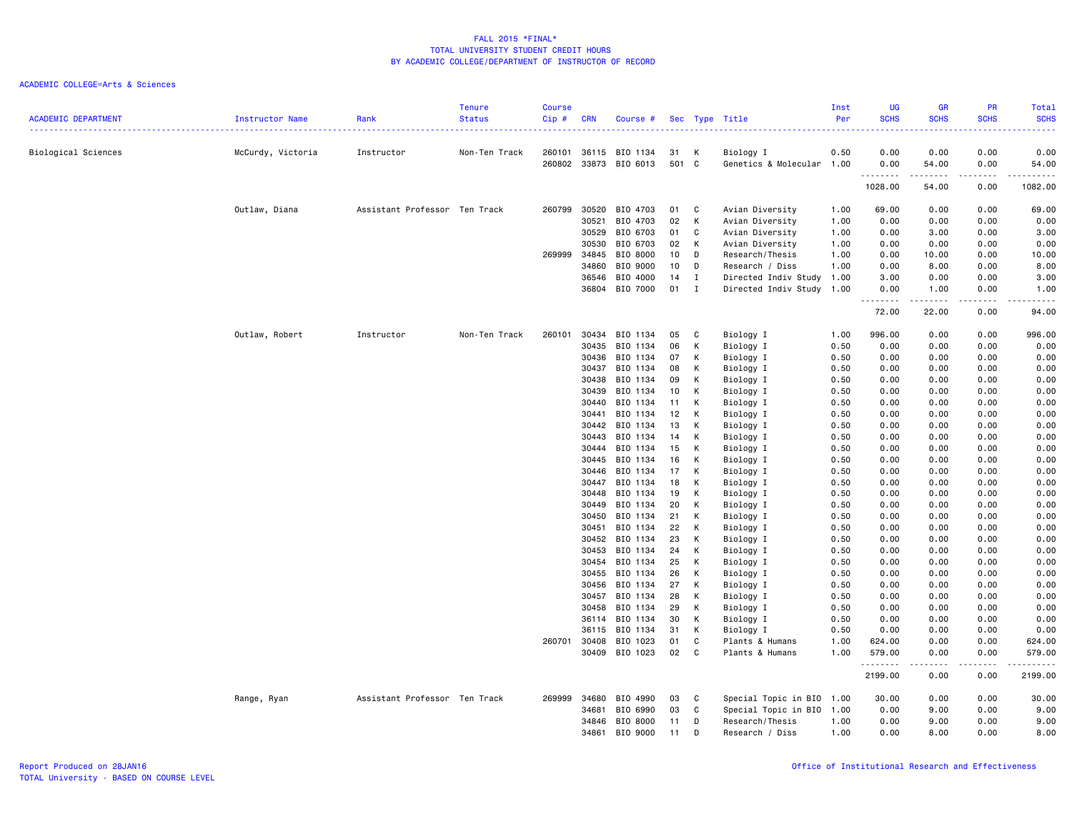| <b>ACADEMIC DEPARTMENT</b> | <b>Instructor Name</b> | Rank                          | <b>Tenure</b><br><b>Status</b> | <b>Course</b><br>Cip#<br><u>.</u> | <b>CRN</b>     | Course #                          |             |              | Sec Type Title                         | Inst<br>Per  | <b>UG</b><br><b>SCHS</b><br>. | GR<br><b>SCHS</b>                                                                                                                                            | PR<br><b>SCHS</b><br>$\sim$ $\sim$ $\sim$ $\sim$ | Total<br><b>SCHS</b><br><u>.</u> |
|----------------------------|------------------------|-------------------------------|--------------------------------|-----------------------------------|----------------|-----------------------------------|-------------|--------------|----------------------------------------|--------------|-------------------------------|--------------------------------------------------------------------------------------------------------------------------------------------------------------|--------------------------------------------------|----------------------------------|
| Biological Sciences        | McCurdy, Victoria      | Instructor                    | Non-Ten Track                  | 260101                            | 36115          | BIO 1134<br>260802 33873 BIO 6013 | 31<br>501 C | К            | Biology I<br>Genetics & Molecular 1.00 | 0.50         | 0.00<br>0.00                  | 0.00<br>54.00                                                                                                                                                | 0.00<br>0.00                                     | 0.00<br>54.00                    |
|                            |                        |                               |                                |                                   |                |                                   |             |              |                                        |              | .<br>1028.00                  | .<br>54.00                                                                                                                                                   | .<br>0.00                                        | .<br>1082.00                     |
|                            |                        |                               |                                |                                   |                |                                   |             |              |                                        |              |                               |                                                                                                                                                              |                                                  |                                  |
|                            | Outlaw, Diana          | Assistant Professor Ten Track |                                | 260799                            | 30520          | BIO 4703                          | 01          | C            | Avian Diversity                        | 1.00         | 69.00                         | 0.00                                                                                                                                                         | 0.00                                             | 69.00                            |
|                            |                        |                               |                                |                                   | 30521<br>30529 | BIO 4703<br>BIO 6703              | 02<br>01    | K<br>C       | Avian Diversity                        | 1.00<br>1.00 | 0.00<br>0.00                  | 0.00<br>3.00                                                                                                                                                 | 0.00<br>0.00                                     | 0.00<br>3.00                     |
|                            |                        |                               |                                |                                   | 30530          | BIO 6703                          | 02          | K            | Avian Diversity<br>Avian Diversity     | 1.00         | 0.00                          | 0.00                                                                                                                                                         | 0.00                                             | 0.00                             |
|                            |                        |                               |                                | 269999                            | 34845          | BIO 8000                          | 10          | D            | Research/Thesis                        | 1.00         | 0.00                          | 10.00                                                                                                                                                        | 0.00                                             | 10.00                            |
|                            |                        |                               |                                |                                   | 34860          | BIO 9000                          | 10          | D            | Research / Diss                        | 1.00         | 0.00                          | 8.00                                                                                                                                                         | 0.00                                             | 8.00                             |
|                            |                        |                               |                                |                                   | 36546          | BIO 4000                          | 14          | I            | Directed Indiv Study                   | 1.00         | 3.00                          | 0.00                                                                                                                                                         | 0.00                                             | 3.00                             |
|                            |                        |                               |                                |                                   | 36804          | BIO 7000                          | 01          | $\mathbf{I}$ | Directed Indiv Study 1.00              |              | 0.00                          | 1.00                                                                                                                                                         | 0.00                                             | 1.00                             |
|                            |                        |                               |                                |                                   |                |                                   |             |              |                                        |              | 72.00                         | .<br>22.00                                                                                                                                                   | ----<br>0.00                                     | 94.00                            |
|                            | Outlaw, Robert         | Instructor                    | Non-Ten Track                  | 260101                            | 30434          | BIO 1134                          | 05          | C            | Biology I                              | 1.00         | 996.00                        | 0.00                                                                                                                                                         | 0.00                                             | 996.00                           |
|                            |                        |                               |                                |                                   | 30435          | BIO 1134                          | 06          | К            | Biology I                              | 0.50         | 0.00                          | 0.00                                                                                                                                                         | 0.00                                             | 0.00                             |
|                            |                        |                               |                                |                                   | 30436          | BIO 1134                          | 07          | К            | Biology I                              | 0.50         | 0.00                          | 0.00                                                                                                                                                         | 0.00                                             | 0.00                             |
|                            |                        |                               |                                |                                   | 30437          | BIO 1134                          | 08          | К            | Biology I                              | 0.50         | 0.00                          | 0.00                                                                                                                                                         | 0.00                                             | 0.00                             |
|                            |                        |                               |                                |                                   | 30438          | BIO 1134                          | 09          | К            | Biology I                              | 0.50         | 0.00                          | 0.00                                                                                                                                                         | 0.00                                             | 0.00                             |
|                            |                        |                               |                                |                                   | 30439          | BIO 1134                          | 10          | К            | Biology I                              | 0.50         | 0.00                          | 0.00                                                                                                                                                         | 0.00                                             | 0.00                             |
|                            |                        |                               |                                |                                   | 30440          | BIO 1134                          | 11          | K            | Biology I                              | 0.50         | 0.00                          | 0.00                                                                                                                                                         | 0.00                                             | 0.00                             |
|                            |                        |                               |                                |                                   | 30441          | BIO 1134                          | 12          | K            | Biology I                              | 0.50         | 0.00                          | 0.00                                                                                                                                                         | 0.00                                             | 0.00                             |
|                            |                        |                               |                                |                                   | 30442          | BIO 1134                          | 13          | К            | Biology I                              | 0.50         | 0.00                          | 0.00                                                                                                                                                         | 0.00                                             | 0.00                             |
|                            |                        |                               |                                |                                   | 30443          | BIO 1134                          | 14          | К            | Biology I                              | 0.50         | 0.00                          | 0.00                                                                                                                                                         | 0.00                                             | 0.00                             |
|                            |                        |                               |                                |                                   | 30444          | BIO 1134                          | 15          | K            | Biology I                              | 0.50         | 0.00                          | 0.00                                                                                                                                                         | 0.00                                             | 0.00                             |
|                            |                        |                               |                                |                                   | 30445          | BIO 1134                          | 16          | К            | Biology I                              | 0.50         | 0.00                          | 0.00                                                                                                                                                         | 0.00                                             | 0.00                             |
|                            |                        |                               |                                |                                   | 30446          | BIO 1134                          | 17          | K            | Biology I                              | 0.50         | 0.00                          | 0.00                                                                                                                                                         | 0.00                                             | 0.00                             |
|                            |                        |                               |                                |                                   | 30447          | BIO 1134                          | 18          | K            | Biology I                              | 0.50         | 0.00                          | 0.00                                                                                                                                                         | 0.00                                             | 0.00                             |
|                            |                        |                               |                                |                                   | 30448          | BIO 1134<br>BIO 1134              | 19          | К<br>К       | Biology I                              | 0.50         | 0.00                          | 0.00                                                                                                                                                         | 0.00                                             | 0.00                             |
|                            |                        |                               |                                |                                   | 30449<br>30450 | BIO 1134                          | 20<br>21    | K            | Biology I<br>Biology I                 | 0.50<br>0.50 | 0.00<br>0.00                  | 0.00<br>0.00                                                                                                                                                 | 0.00<br>0.00                                     | 0.00<br>0.00                     |
|                            |                        |                               |                                |                                   | 30451          | BIO 1134                          | 22          | К            | Biology I                              | 0.50         | 0.00                          | 0.00                                                                                                                                                         | 0.00                                             | 0.00                             |
|                            |                        |                               |                                |                                   | 30452          | BIO 1134                          | 23          | К            | Biology I                              | 0.50         | 0.00                          | 0.00                                                                                                                                                         | 0.00                                             | 0.00                             |
|                            |                        |                               |                                |                                   | 30453          | BIO 1134                          | 24          | K            | Biology I                              | 0.50         | 0.00                          | 0.00                                                                                                                                                         | 0.00                                             | 0.00                             |
|                            |                        |                               |                                |                                   | 30454          | BIO 1134                          | 25          | К            | Biology I                              | 0.50         | 0.00                          | 0.00                                                                                                                                                         | 0.00                                             | 0.00                             |
|                            |                        |                               |                                |                                   | 30455          | BIO 1134                          | 26          | К            | Biology I                              | 0.50         | 0.00                          | 0.00                                                                                                                                                         | 0.00                                             | 0.00                             |
|                            |                        |                               |                                |                                   | 30456          | BIO 1134                          | 27          | K            | Biology I                              | 0.50         | 0.00                          | 0.00                                                                                                                                                         | 0.00                                             | 0.00                             |
|                            |                        |                               |                                |                                   | 30457          | BIO 1134                          | 28          | К            | Biology I                              | 0.50         | 0.00                          | 0.00                                                                                                                                                         | 0.00                                             | 0.00                             |
|                            |                        |                               |                                |                                   | 30458          | BIO 1134                          | 29          | K            | Biology I                              | 0.50         | 0.00                          | 0.00                                                                                                                                                         | 0.00                                             | 0.00                             |
|                            |                        |                               |                                |                                   | 36114          | BIO 1134                          | 30          | К            | Biology I                              | 0.50         | 0.00                          | 0.00                                                                                                                                                         | 0.00                                             | 0.00                             |
|                            |                        |                               |                                |                                   | 36115          | BIO 1134                          | 31          | К            | Biology I                              | 0.50         | 0.00                          | 0.00                                                                                                                                                         | 0.00                                             | 0.00                             |
|                            |                        |                               |                                | 260701                            | 30408          | BIO 1023                          | 01          | C            | Plants & Humans                        | 1.00         | 624.00                        | 0.00                                                                                                                                                         | 0.00                                             | 624.00                           |
|                            |                        |                               |                                |                                   | 30409          | BIO 1023                          | 02          | C            | Plants & Humans                        | 1.00         | 579.00<br>.                   | 0.00<br>$\frac{1}{2} \left( \frac{1}{2} \right) \left( \frac{1}{2} \right) \left( \frac{1}{2} \right) \left( \frac{1}{2} \right) \left( \frac{1}{2} \right)$ | 0.00<br>.                                        | 579.00<br>.                      |
|                            |                        |                               |                                |                                   |                |                                   |             |              |                                        |              | 2199.00                       | 0.00                                                                                                                                                         | 0.00                                             | 2199.00                          |
|                            | Range, Ryan            | Assistant Professor Ten Track |                                | 269999                            | 34680          | BIO 4990                          | 03          | C            | Special Topic in BIO 1.00              |              | 30.00                         | 0.00                                                                                                                                                         | 0.00                                             | 30.00                            |
|                            |                        |                               |                                |                                   | 34681          | BIO 6990                          | 03          | C            | Special Topic in BIO 1.00              |              | 0.00                          | 9.00                                                                                                                                                         | 0.00                                             | 9.00                             |
|                            |                        |                               |                                |                                   | 34846          | BIO 8000                          | 11          | D            | Research/Thesis                        | 1.00         | 0.00                          | 9.00                                                                                                                                                         | 0.00                                             | 9.00                             |
|                            |                        |                               |                                |                                   | 34861          | BIO 9000                          | 11          | <sup>n</sup> | Research / Diss                        | 1.00         | 0.00                          | 8.00                                                                                                                                                         | 0.00                                             | 8,00                             |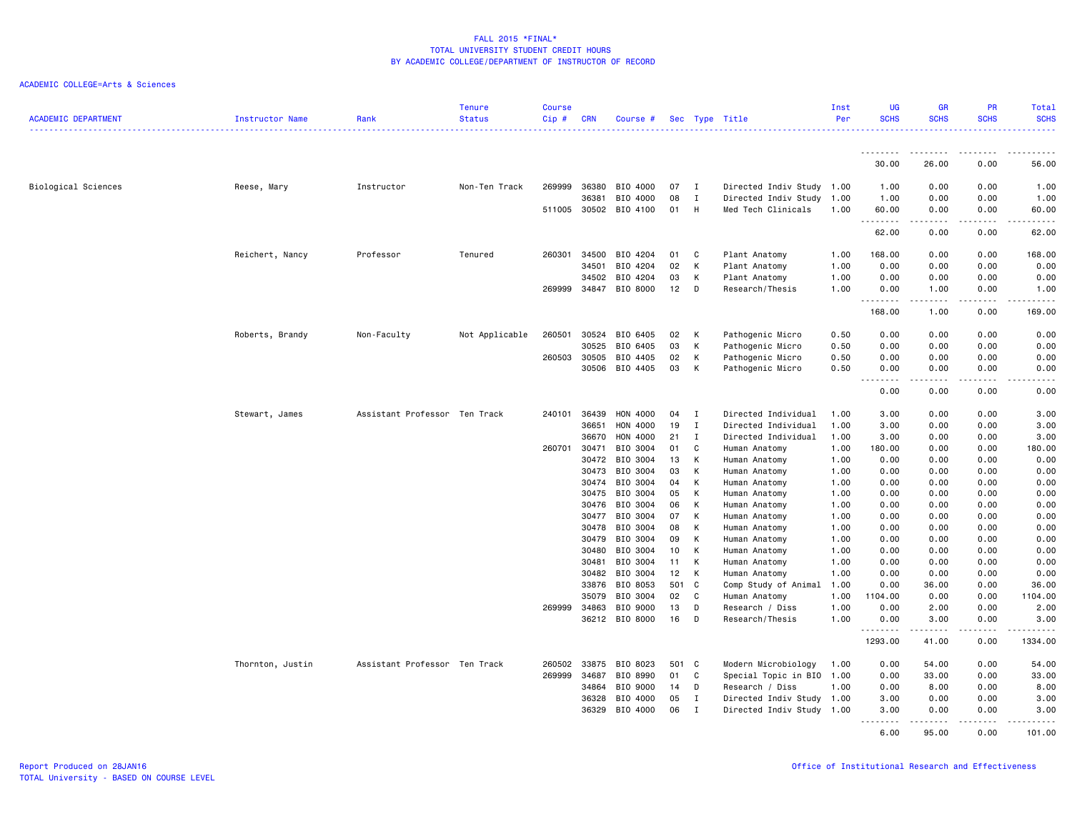| <b>ACADEMIC DEPARTMENT</b> | Instructor Name  | Rank                          | <b>Tenure</b><br><b>Status</b> | <b>Course</b><br>Cip# | <b>CRN</b>     | Course #              |          |              | Sec Type Title                 | Inst<br>Per  | UG<br><b>SCHS</b> | <b>GR</b><br><b>SCHS</b>                   | PR<br><b>SCHS</b> | Total<br><b>SCHS</b> |
|----------------------------|------------------|-------------------------------|--------------------------------|-----------------------|----------------|-----------------------|----------|--------------|--------------------------------|--------------|-------------------|--------------------------------------------|-------------------|----------------------|
|                            |                  |                               |                                |                       |                |                       |          |              |                                |              |                   |                                            |                   |                      |
|                            |                  |                               |                                |                       |                |                       |          |              |                                |              | <u>.</u><br>30.00 | 26.00                                      | 0.00              | 56.00                |
| Biological Sciences        | Reese, Mary      | Instructor                    | Non-Ten Track                  | 269999                | 36380          | BIO 4000              | 07       | <b>I</b>     | Directed Indiv Study 1.00      |              | 1.00              | 0.00                                       | 0.00              | 1.00                 |
|                            |                  |                               |                                |                       | 36381          | BIO 4000              | 08       | $\mathbf{I}$ | Directed Indiv Study           | 1.00         | 1.00              | 0.00                                       | 0.00              | 1.00                 |
|                            |                  |                               |                                |                       |                | 511005 30502 BIO 4100 | 01       | H            | Med Tech Clinicals             | 1.00         | 60.00<br>.        | 0.00<br>$\sim$ $\sim$ $\sim$ $\sim$ $\sim$ | 0.00<br>-----     | 60.00<br>.           |
|                            |                  |                               |                                |                       |                |                       |          |              |                                |              | 62.00             | 0.00                                       | 0.00              | 62.00                |
|                            | Reichert, Nancy  | Professor                     | Tenured                        | 260301                | 34500          | BIO 4204              | 01       | C            | Plant Anatomy                  | 1.00         | 168.00            | 0.00                                       | 0.00              | 168.00               |
|                            |                  |                               |                                |                       | 34501          | BIO 4204              | 02       | K            | Plant Anatomy                  | 1.00         | 0.00              | 0.00                                       | 0.00              | 0.00                 |
|                            |                  |                               |                                |                       | 34502          | BIO 4204              | 03       | К            | Plant Anatomy                  | 1.00         | 0.00              | 0.00                                       | 0.00              | 0.00                 |
|                            |                  |                               |                                | 269999                | 34847          | BIO 8000              | 12       | D            | Research/Thesis                | 1.00         | 0.00<br>.         | 1.00<br>.                                  | 0.00<br>.         | 1.00<br>.            |
|                            |                  |                               |                                |                       |                |                       |          |              |                                |              | 168.00            | 1.00                                       | 0.00              | 169.00               |
|                            | Roberts, Brandy  | Non-Faculty                   | Not Applicable                 | 260501                | 30524          | BIO 6405              | 02       | K            | Pathogenic Micro               | 0.50         | 0.00              | 0.00                                       | 0.00              | 0.00                 |
|                            |                  |                               |                                |                       | 30525          | BIO 6405              | 03       | К            | Pathogenic Micro               | 0.50         | 0.00              | 0.00                                       | 0.00              | 0.00                 |
|                            |                  |                               |                                | 260503                | 30505          | BIO 4405              | 02       | К            | Pathogenic Micro               | 0.50         | 0.00              | 0.00                                       | 0.00              | 0.00                 |
|                            |                  |                               |                                |                       | 30506          | BIO 4405              | 03       | К            | Pathogenic Micro               | 0.50         | 0.00<br>----      | 0.00<br>$- - -$                            | 0.00              | 0.00                 |
|                            |                  |                               |                                |                       |                |                       |          |              |                                |              | 0.00              | 0.00                                       | 0.00              | 0.00                 |
|                            | Stewart, James   | Assistant Professor Ten Track |                                | 240101                | 36439          | HON 4000              | 04       | I            | Directed Individual            | 1.00         | 3.00              | 0.00                                       | 0.00              | 3.00                 |
|                            |                  |                               |                                |                       | 36651          | HON 4000              | 19       | $\mathbf{I}$ | Directed Individual            | 1.00         | 3.00              | 0.00                                       | 0.00              | 3.00                 |
|                            |                  |                               |                                |                       | 36670          | HON 4000              | 21       | $\mathbf{I}$ | Directed Individual            | 1.00         | 3.00              | 0.00                                       | 0.00              | 3.00                 |
|                            |                  |                               |                                | 260701                | 30471          | BIO 3004              | 01       | C            | Human Anatomy                  | 1.00         | 180.00            | 0.00                                       | 0.00              | 180.00               |
|                            |                  |                               |                                |                       | 30472          | BIO 3004              | 13       | К            | Human Anatomy                  | 1.00         | 0.00              | 0.00                                       | 0.00              | 0.00                 |
|                            |                  |                               |                                |                       | 30473          | BIO 3004              | 03       | K            | Human Anatomy                  | 1.00         | 0.00              | 0.00                                       | 0.00              | 0.00                 |
|                            |                  |                               |                                |                       | 30474          | BIO 3004              | 04       | К            | Human Anatomy                  | 1.00         | 0.00              | 0.00                                       | 0.00              | 0.00                 |
|                            |                  |                               |                                |                       | 30475          | BIO 3004              | 05       | К            | Human Anatomy                  | 1.00         | 0.00              | 0.00                                       | 0.00              | 0.00                 |
|                            |                  |                               |                                |                       | 30476          | BIO 3004              | 06       | K            | Human Anatomy                  | 1.00         | 0.00              | 0.00                                       | 0.00              | 0.00                 |
|                            |                  |                               |                                |                       | 30477          | BIO 3004              | 07<br>08 | К            | Human Anatomy                  | 1.00         | 0.00              | 0.00                                       | 0.00              | 0.00                 |
|                            |                  |                               |                                |                       | 30478<br>30479 | BIO 3004<br>BIO 3004  | 09       | К<br>K       | Human Anatomy                  | 1.00<br>1.00 | 0.00<br>0.00      | 0.00<br>0.00                               | 0.00<br>0.00      | 0.00<br>0.00         |
|                            |                  |                               |                                |                       | 30480          | BIO 3004              | 10       | К            | Human Anatomy<br>Human Anatomy | 1.00         | 0.00              | 0.00                                       | 0.00              | 0.00                 |
|                            |                  |                               |                                |                       | 30481          | BIO 3004              | 11       | K            | Human Anatomy                  | 1.00         | 0.00              | 0.00                                       | 0.00              | 0.00                 |
|                            |                  |                               |                                |                       | 30482          | BIO 3004              | 12       | K            | Human Anatomy                  | 1.00         | 0.00              | 0.00                                       | 0.00              | 0.00                 |
|                            |                  |                               |                                |                       | 33876          | BIO 8053              | 501 C    |              | Comp Study of Animal           | 1.00         | 0.00              | 36.00                                      | 0.00              | 36.00                |
|                            |                  |                               |                                |                       | 35079          | BIO 3004              | 02       | $\mathbf{C}$ | Human Anatomy                  | 1.00         | 1104.00           | 0.00                                       | 0.00              | 1104.00              |
|                            |                  |                               |                                | 269999                | 34863          | BIO 9000              | 13       | D            | Research / Diss                | 1.00         | 0.00              | 2.00                                       | 0.00              | 2.00                 |
|                            |                  |                               |                                |                       |                | 36212 BIO 8000        | 16       | $\mathsf{D}$ | Research/Thesis                | 1.00         | 0.00              | 3.00                                       | 0.00              | 3.00                 |
|                            |                  |                               |                                |                       |                |                       |          |              |                                |              | .<br>1293.00      | .<br>41.00                                 | .<br>0.00         | .<br>1334.00         |
|                            | Thornton, Justin | Assistant Professor Ten Track |                                | 260502                | 33875          | BIO 8023              | 501 C    |              | Modern Microbiology            | 1.00         | 0.00              | 54.00                                      | 0.00              | 54.00                |
|                            |                  |                               |                                | 269999                | 34687          | BIO 8990              | 01       | C            | Special Topic in BIO           | 1.00         | 0.00              | 33.00                                      | 0.00              | 33.00                |
|                            |                  |                               |                                |                       | 34864          | BIO 9000              | 14       | D            | Research / Diss                | 1.00         | 0.00              | 8.00                                       | 0.00              | 8.00                 |
|                            |                  |                               |                                |                       | 36328          | BIO 4000              | 05       | I            | Directed Indiv Study 1.00      |              | 3.00              | 0.00                                       | 0.00              | 3.00                 |
|                            |                  |                               |                                |                       | 36329          | BIO 4000              | 06       | I            | Directed Indiv Study           | 1.00         | 3.00              | 0.00                                       | 0.00              | 3.00                 |
|                            |                  |                               |                                |                       |                |                       |          |              |                                |              | --------<br>6.00  | 95.00                                      | .<br>0.00         | 101.00               |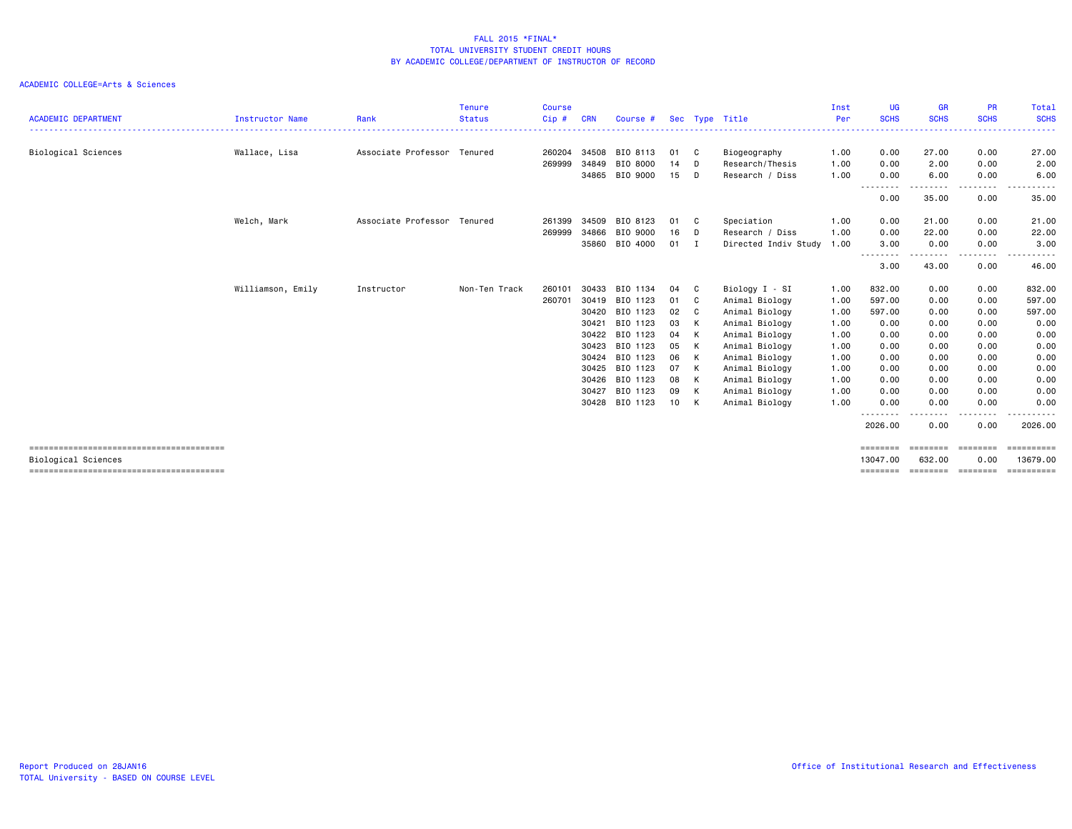| <b>ACADEMIC DEPARTMENT</b> | <b>Instructor Name</b> | Rank                        | <b>Tenure</b><br><b>Status</b> | <b>Course</b><br>Cip# | <b>CRN</b> | Course # |                 |              | Sec Type Title       | Inst<br>Per | UG<br><b>SCHS</b>    | <b>GR</b><br><b>SCHS</b>     | <b>PR</b><br><b>SCHS</b> | Total<br><b>SCHS</b>   |
|----------------------------|------------------------|-----------------------------|--------------------------------|-----------------------|------------|----------|-----------------|--------------|----------------------|-------------|----------------------|------------------------------|--------------------------|------------------------|
|                            |                        |                             |                                |                       |            |          |                 |              |                      | <u>.</u>    | . <u>.</u>           |                              |                          | .                      |
| Biological Sciences        | Wallace, Lisa          | Associate Professor Tenured |                                | 260204                | 34508      | BIO 8113 | 01              | - C          | Biogeography         | 1.00        | 0.00                 | 27.00                        | 0.00                     | 27.00                  |
|                            |                        |                             |                                | 269999                | 34849      | BIO 8000 | 14              | D            | Research/Thesis      | 1.00        | 0.00                 | 2.00                         | 0.00                     | 2.00                   |
|                            |                        |                             |                                |                       | 34865      | BIO 9000 | 15              | D            | Research / Diss      | 1.00        | 0.00                 | 6.00                         | 0.00                     | 6.00                   |
|                            |                        |                             |                                |                       |            |          |                 |              |                      |             | ---------<br>0.00    | ---------<br>35.00           | -----<br>0.00            | .<br>35.00             |
|                            | Welch, Mark            | Associate Professor Tenured |                                | 261399                | 34509      | BIO 8123 | 01              | C            | Speciation           | 1.00        | 0.00                 | 21.00                        | 0.00                     | 21.00                  |
|                            |                        |                             |                                | 269999                | 34866      | BIO 9000 | 16              | D            | Research / Diss      | 1.00        | 0.00                 | 22.00                        | 0.00                     | 22.00                  |
|                            |                        |                             |                                |                       | 35860      | BIO 4000 | 01              | $\mathbf{I}$ | Directed Indiv Study | 1.00        | 3.00                 | 0.00                         | 0.00                     | 3.00                   |
|                            |                        |                             |                                |                       |            |          |                 |              |                      |             | --------<br>3.00     | ------<br>43.00              | .<br>0.00                | .<br>46.00             |
|                            | Williamson, Emily      | Instructor                  | Non-Ten Track                  | 260101                | 30433      | BIO 1134 | 04              | C.           | Biology I - SI       | 1.00        | 832.00               | 0.00                         | 0.00                     | 832.00                 |
|                            |                        |                             |                                | 260701                | 30419      | BIO 1123 | 01              | $\mathbf{C}$ | Animal Biology       | 1.00        | 597.00               | 0.00                         | 0.00                     | 597.00                 |
|                            |                        |                             |                                |                       | 30420      | BIO 1123 | 02              | C            | Animal Biology       | 1.00        | 597.00               | 0.00                         | 0.00                     | 597.00                 |
|                            |                        |                             |                                |                       | 30421      | BIO 1123 | 03              | $\mathsf{K}$ | Animal Biology       | 1.00        | 0.00                 | 0.00                         | 0.00                     | 0.00                   |
|                            |                        |                             |                                |                       | 30422      | BIO 1123 | 04              | $\mathsf{K}$ | Animal Biology       | 1.00        | 0.00                 | 0.00                         | 0.00                     | 0.00                   |
|                            |                        |                             |                                |                       | 30423      | BIO 1123 | 05              | K            | Animal Biology       | 1.00        | 0.00                 | 0.00                         | 0.00                     | 0.00                   |
|                            |                        |                             |                                |                       | 30424      | BIO 1123 | 06              | K            | Animal Biology       | 1.00        | 0.00                 | 0.00                         | 0.00                     | 0.00                   |
|                            |                        |                             |                                |                       | 30425      | BIO 1123 | 07              | K            | Animal Biology       | 1.00        | 0.00                 | 0.00                         | 0.00                     | 0.00                   |
|                            |                        |                             |                                |                       | 30426      | BIO 1123 | 08              | K            | Animal Biology       | 1.00        | 0.00                 | 0.00                         | 0.00                     | 0.00                   |
|                            |                        |                             |                                |                       | 30427      | BIO 1123 | 09              | $\mathsf{K}$ | Animal Biology       | 1.00        | 0.00                 | 0.00                         | 0.00                     | 0.00                   |
|                            |                        |                             |                                |                       | 30428      | BIO 1123 | 10 <sup>1</sup> | K            | Animal Biology       | 1.00        | 0.00                 | 0.00                         | 0.00<br>.                | 0.00<br>.              |
|                            |                        |                             |                                |                       |            |          |                 |              |                      |             | --------<br>2026.00  | .<br>0.00                    | 0.00                     | 2026.00                |
| Biological Sciences        |                        |                             |                                |                       |            |          |                 |              |                      |             | ========<br>13047.00 | ==================<br>632.00 | 0.00                     | ==========<br>13679.00 |
|                            |                        |                             |                                |                       |            |          |                 |              |                      |             | ========             | ========= ========           |                          | essessess              |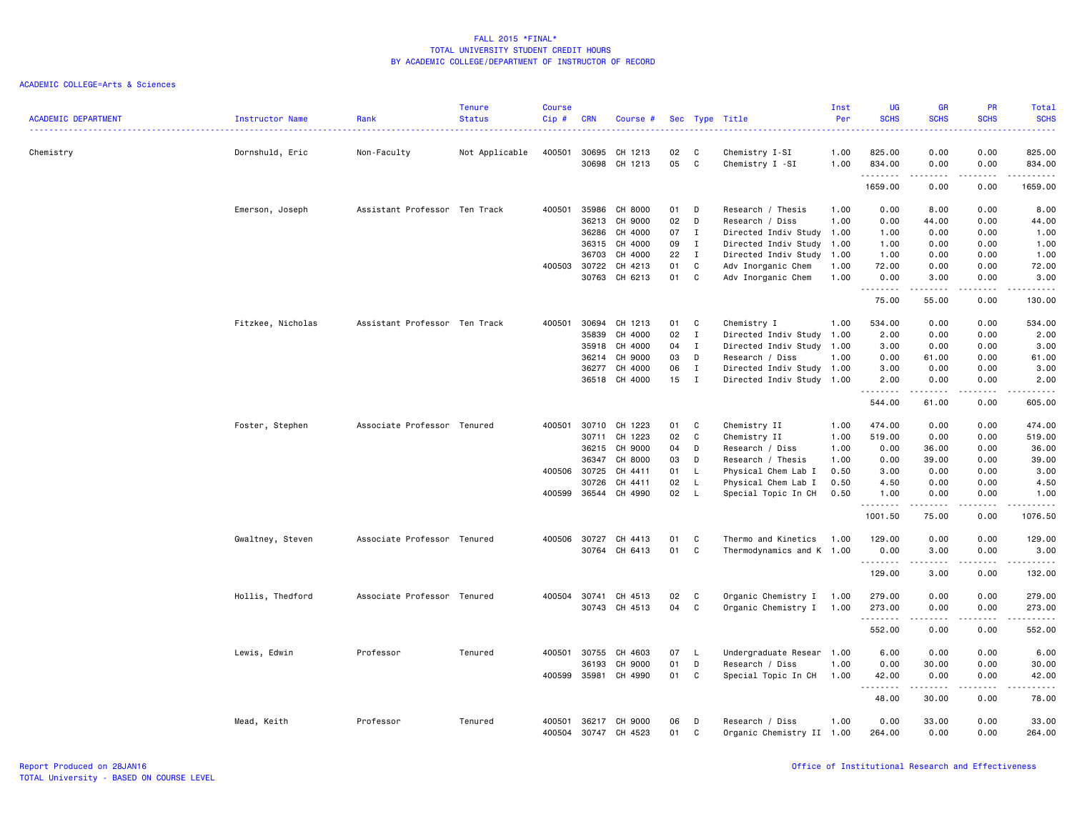| <b>ACADEMIC DEPARTMENT</b> | Instructor Name   | Rank                          | <b>Tenure</b><br><b>Status</b><br>. | <b>Course</b><br>Cip# | <b>CRN</b>     | Course #           |          |              | Sec Type Title                           | Inst<br>Per<br><u>.</u> | UG<br><b>SCHS</b><br>.                      | <b>GR</b><br><b>SCHS</b>                                                                                                                                     | PR<br><b>SCHS</b><br>$\frac{1}{2} \left( \frac{1}{2} \right) \left( \frac{1}{2} \right) \left( \frac{1}{2} \right) \left( \frac{1}{2} \right)$ | Total<br><b>SCHS</b><br><u>.</u> |
|----------------------------|-------------------|-------------------------------|-------------------------------------|-----------------------|----------------|--------------------|----------|--------------|------------------------------------------|-------------------------|---------------------------------------------|--------------------------------------------------------------------------------------------------------------------------------------------------------------|------------------------------------------------------------------------------------------------------------------------------------------------|----------------------------------|
| Chemistry                  | Dornshuld, Eric   | Non-Faculty                   | Not Applicable                      | 400501                | 30695<br>30698 | CH 1213<br>CH 1213 | 02<br>05 | C<br>C       | Chemistry I-SI<br>Chemistry I -SI        | 1.00<br>1.00            | 825.00<br>834.00                            | 0.00<br>0.00                                                                                                                                                 | 0.00<br>0.00                                                                                                                                   | 825.00<br>834.00                 |
|                            |                   |                               |                                     |                       |                |                    |          |              |                                          |                         | .<br>1659.00                                | $\frac{1}{2} \left( \frac{1}{2} \right) \left( \frac{1}{2} \right) \left( \frac{1}{2} \right) \left( \frac{1}{2} \right) \left( \frac{1}{2} \right)$<br>0.00 | .<br>0.00                                                                                                                                      | .<br>1659.00                     |
|                            |                   |                               |                                     |                       |                |                    |          |              |                                          |                         |                                             |                                                                                                                                                              |                                                                                                                                                |                                  |
|                            | Emerson, Joseph   | Assistant Professor Ten Track |                                     | 400501                | 35986          | CH 8000            | 01       | D            | Research / Thesis                        | 1.00                    | 0.00                                        | 8.00                                                                                                                                                         | 0.00                                                                                                                                           | 8.00                             |
|                            |                   |                               |                                     |                       | 36213          | CH 9000            | 02       | D            | Research / Diss                          | 1.00                    | 0.00                                        | 44.00                                                                                                                                                        | 0.00                                                                                                                                           | 44.00                            |
|                            |                   |                               |                                     |                       | 36286          | CH 4000            | 07       | $\mathbf{I}$ | Directed Indiv Study 1.00                |                         | 1.00                                        | 0.00                                                                                                                                                         | 0.00                                                                                                                                           | 1.00                             |
|                            |                   |                               |                                     |                       | 36315          | CH 4000            | 09       | $\mathbf{I}$ | Directed Indiv Study                     | 1.00                    | 1.00                                        | 0.00                                                                                                                                                         | 0.00                                                                                                                                           | 1.00                             |
|                            |                   |                               |                                     |                       | 36703          | CH 4000            | 22       | $\mathbf{I}$ | Directed Indiv Study 1.00                |                         | 1.00                                        | 0.00                                                                                                                                                         | 0.00                                                                                                                                           | 1.00                             |
|                            |                   |                               |                                     | 400503 30722          | 30763          | CH 4213<br>CH 6213 | 01<br>01 | C<br>C       | Adv Inorganic Chem<br>Adv Inorganic Chem | 1.00<br>1.00            | 72.00<br>0.00                               | 0.00<br>3.00                                                                                                                                                 | 0.00<br>0.00                                                                                                                                   | 72.00<br>3.00                    |
|                            |                   |                               |                                     |                       |                |                    |          |              |                                          |                         | .<br>75.00                                  | 55.00                                                                                                                                                        | $\sim$ $\sim$ $\sim$ $\sim$<br>0.00                                                                                                            | .<br>130.00                      |
|                            | Fitzkee, Nicholas | Assistant Professor Ten Track |                                     | 400501                | 30694          | CH 1213            | 01       | C            | Chemistry I                              | 1.00                    | 534.00                                      | 0.00                                                                                                                                                         | 0.00                                                                                                                                           | 534.00                           |
|                            |                   |                               |                                     |                       | 35839          | CH 4000            | 02       | $\mathbf{I}$ | Directed Indiv Study 1.00                |                         | 2.00                                        | 0.00                                                                                                                                                         | 0.00                                                                                                                                           | 2.00                             |
|                            |                   |                               |                                     |                       | 35918          | CH 4000            | 04       | $\mathbf{I}$ | Directed Indiv Study 1.00                |                         | 3.00                                        | 0.00                                                                                                                                                         | 0.00                                                                                                                                           | 3.00                             |
|                            |                   |                               |                                     |                       | 36214          | CH 9000            | 03       | D            | Research / Diss                          | 1.00                    | 0.00                                        | 61.00                                                                                                                                                        | 0.00                                                                                                                                           | 61.00                            |
|                            |                   |                               |                                     |                       | 36277          | CH 4000            | 06       | $\mathbf{I}$ | Directed Indiv Study 1.00                |                         | 3.00                                        | 0.00                                                                                                                                                         | 0.00                                                                                                                                           | 3.00                             |
|                            |                   |                               |                                     |                       | 36518          | CH 4000            | 15       | $\mathbf{I}$ | Directed Indiv Study 1.00                |                         | 2.00                                        | 0.00                                                                                                                                                         | 0.00                                                                                                                                           | 2.00                             |
|                            |                   |                               |                                     |                       |                |                    |          |              |                                          |                         | .<br>544.00                                 | 61.00                                                                                                                                                        | $\sim$ $\sim$ $\sim$ $\sim$<br>0.00                                                                                                            | .<br>605.00                      |
|                            | Foster, Stephen   | Associate Professor Tenured   |                                     | 400501                | 30710          | CH 1223            | 01       | C            | Chemistry II                             | 1.00                    | 474.00                                      | 0.00                                                                                                                                                         | 0.00                                                                                                                                           | 474.00                           |
|                            |                   |                               |                                     |                       | 30711          | CH 1223            | 02       | C            | Chemistry II                             | 1.00                    | 519.00                                      | 0.00                                                                                                                                                         | 0.00                                                                                                                                           | 519.00                           |
|                            |                   |                               |                                     |                       | 36215          | CH 9000            | 04       | D            | Research / Diss                          | 1.00                    | 0.00                                        | 36.00                                                                                                                                                        | 0.00                                                                                                                                           | 36.00                            |
|                            |                   |                               |                                     |                       | 36347          | CH 8000            | 03       | D            | Research / Thesis                        | 1.00                    | 0.00                                        | 39.00                                                                                                                                                        | 0.00                                                                                                                                           | 39.00                            |
|                            |                   |                               |                                     | 400506 30725          |                | CH 4411            | 01       | - L          | Physical Chem Lab I                      | 0.50                    | 3.00                                        | 0.00                                                                                                                                                         | 0.00                                                                                                                                           | 3.00                             |
|                            |                   |                               |                                     |                       | 30726          | CH 4411            | 02       | L.           | Physical Chem Lab I                      | 0.50                    | 4.50                                        | 0.00                                                                                                                                                         | 0.00                                                                                                                                           | 4.50                             |
|                            |                   |                               |                                     | 400599                | 36544          | CH 4990            | 02       | $\mathsf{L}$ | Special Topic In CH                      | 0.50                    | 1.00<br><u>.</u>                            | 0.00<br>$- - - - -$                                                                                                                                          | 0.00<br>$- - - -$                                                                                                                              | 1.00<br>. <u>.</u> .             |
|                            |                   |                               |                                     |                       |                |                    |          |              |                                          |                         | 1001.50                                     | 75.00                                                                                                                                                        | 0.00                                                                                                                                           | 1076.50                          |
|                            | Gwaltney, Steven  | Associate Professor Tenured   |                                     |                       | 400506 30727   | CH 4413            | 01       | C            | Thermo and Kinetics                      | 1.00                    | 129.00                                      | 0.00                                                                                                                                                         | 0.00                                                                                                                                           | 129.00                           |
|                            |                   |                               |                                     |                       | 30764          | CH 6413            | 01       | C            | Thermodynamics and K 1.00                |                         | 0.00                                        | 3,00                                                                                                                                                         | 0.00                                                                                                                                           | 3,00                             |
|                            |                   |                               |                                     |                       |                |                    |          |              |                                          |                         | .                                           | -----                                                                                                                                                        | .                                                                                                                                              | .                                |
|                            |                   |                               |                                     |                       |                |                    |          |              |                                          |                         | 129.00                                      | 3.00                                                                                                                                                         | 0.00                                                                                                                                           | 132.00                           |
|                            | Hollis, Thedford  | Associate Professor Tenured   |                                     | 400504                | 30741          | CH 4513            | 02       | C            | Organic Chemistry I                      | 1.00                    | 279.00                                      | 0.00                                                                                                                                                         | 0.00                                                                                                                                           | 279.00                           |
|                            |                   |                               |                                     |                       | 30743          | CH 4513            | 04       | C            | Organic Chemistry I 1.00                 |                         | 273.00                                      | 0.00                                                                                                                                                         | 0.00                                                                                                                                           | 273.00                           |
|                            |                   |                               |                                     |                       |                |                    |          |              |                                          |                         | .                                           | $\sim$ $\sim$ $\sim$ $\sim$ $\sim$                                                                                                                           | .                                                                                                                                              | .                                |
|                            |                   |                               |                                     |                       |                |                    |          |              |                                          |                         | 552.00                                      | 0.00                                                                                                                                                         | 0.00                                                                                                                                           | 552.00                           |
|                            | Lewis, Edwin      | Professor                     | Tenured                             | 400501                | 30755          | CH 4603            | 07       | <b>L</b>     | Undergraduate Resear                     | 1.00                    | 6.00                                        | 0.00                                                                                                                                                         | 0.00                                                                                                                                           | 6.00                             |
|                            |                   |                               |                                     |                       | 36193          | CH 9000            | 01       | D            | Research / Diss                          | 1.00                    | 0.00                                        | 30.00                                                                                                                                                        | 0.00                                                                                                                                           | 30.00                            |
|                            |                   |                               |                                     | 400599                | 35981          | CH 4990            | 01       | C            | Special Topic In CH                      | 1.00                    | 42.00<br>$\sim$ $\sim$ $\sim$ $\sim$ $\sim$ | 0.00<br>.                                                                                                                                                    | 0.00<br>.                                                                                                                                      | 42.00<br>.                       |
|                            |                   |                               |                                     |                       |                |                    |          |              |                                          |                         | 48.00                                       | 30.00                                                                                                                                                        | 0.00                                                                                                                                           | 78.00                            |
|                            | Mead, Keith       | Professor                     | Tenured                             | 400501                | 36217          | CH 9000            | 06       | D            | Research / Diss                          | 1.00                    | 0.00                                        | 33.00                                                                                                                                                        | 0.00                                                                                                                                           | 33.00                            |
|                            |                   |                               |                                     | 400504                | 30747          | CH 4523            | 01       | C            | Organic Chemistry II 1.00                |                         | 264.00                                      | 0.00                                                                                                                                                         | 0.00                                                                                                                                           | 264.00                           |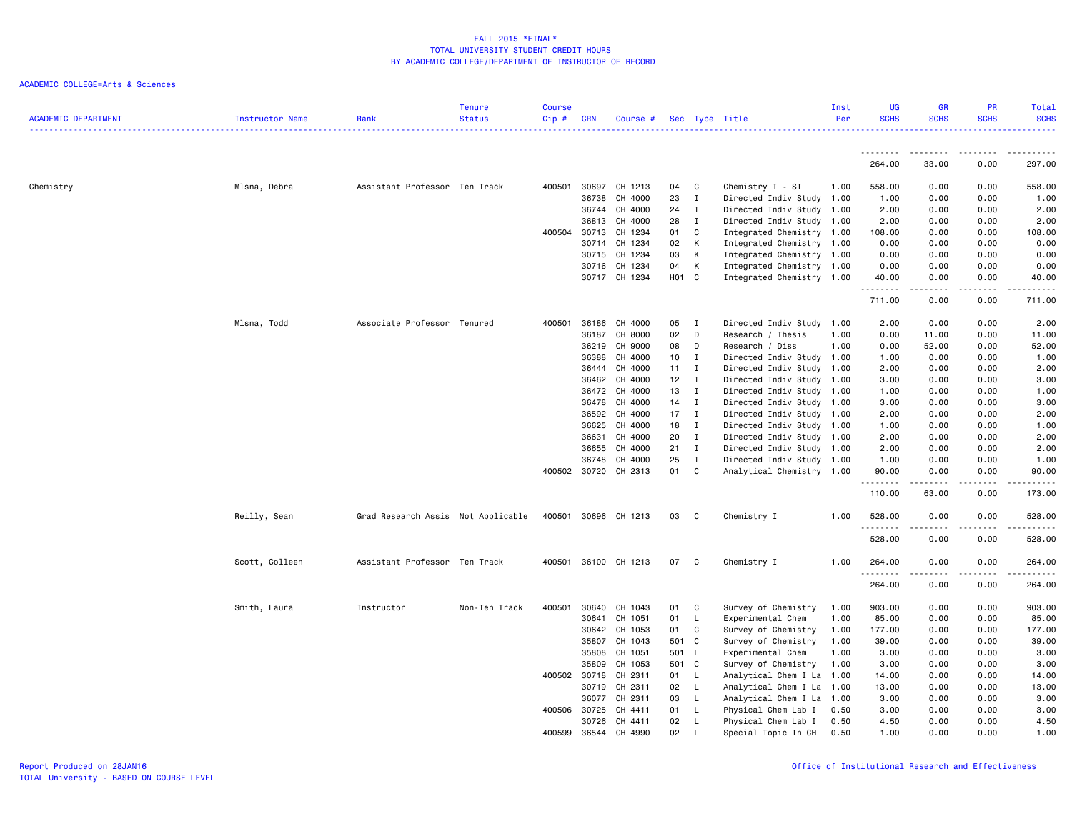| <b>ACADEMIC DEPARTMENT</b> | <b>Instructor Name</b> | Rank                               | <b>Tenure</b><br><b>Status</b> | <b>Course</b><br>Cip# | <b>CRN</b>   | Course #      |                  |              | Sec Type Title            | Inst<br>Per | <b>UG</b><br><b>SCHS</b> | <b>GR</b><br><b>SCHS</b>                                                                                                                                      | <b>PR</b><br><b>SCHS</b>    | Total<br><b>SCHS</b> |
|----------------------------|------------------------|------------------------------------|--------------------------------|-----------------------|--------------|---------------|------------------|--------------|---------------------------|-------------|--------------------------|---------------------------------------------------------------------------------------------------------------------------------------------------------------|-----------------------------|----------------------|
|                            |                        |                                    |                                |                       |              |               |                  |              |                           |             | .                        | ------                                                                                                                                                        | .                           |                      |
|                            |                        |                                    |                                |                       |              |               |                  |              |                           |             | 264.00                   | 33.00                                                                                                                                                         | 0.00                        | 297.00               |
| Chemistry                  | Mlsna, Debra           | Assistant Professor Ten Track      |                                | 400501                | 30697        | CH 1213       | 04               | C            | Chemistry I - SI          | 1.00        | 558.00                   | 0.00                                                                                                                                                          | 0.00                        | 558.00               |
|                            |                        |                                    |                                |                       | 36738        | CH 4000       | 23               | I            | Directed Indiv Study 1.00 |             | 1.00                     | 0.00                                                                                                                                                          | 0.00                        | 1.00                 |
|                            |                        |                                    |                                |                       | 36744        | CH 4000       | 24               | I            | Directed Indiv Study 1.00 |             | 2.00                     | 0.00                                                                                                                                                          | 0.00                        | 2.00                 |
|                            |                        |                                    |                                |                       | 36813        | CH 4000       | 28               | I            | Directed Indiv Study 1.00 |             | 2.00                     | 0.00                                                                                                                                                          | 0.00                        | 2.00                 |
|                            |                        |                                    |                                | 400504 30713          |              | CH 1234       | 01               | C            | Integrated Chemistry 1.00 |             | 108.00                   | 0.00                                                                                                                                                          | 0.00                        | 108.00               |
|                            |                        |                                    |                                |                       | 30714        | CH 1234       | 02               | К            | Integrated Chemistry 1.00 |             | 0.00                     | 0.00                                                                                                                                                          | 0.00                        | 0.00                 |
|                            |                        |                                    |                                |                       | 30715        | CH 1234       | 03               | К            | Integrated Chemistry 1.00 |             | 0.00                     | 0.00                                                                                                                                                          | 0.00                        | 0.00                 |
|                            |                        |                                    |                                |                       | 30716        | CH 1234       | 04               | К            | Integrated Chemistry 1.00 |             | 0.00                     | 0.00                                                                                                                                                          | 0.00                        | 0.00                 |
|                            |                        |                                    |                                |                       |              | 30717 CH 1234 | H <sub>0</sub> 1 | $\mathbf{C}$ | Integrated Chemistry 1.00 |             | 40.00<br>.               | 0.00<br>-----                                                                                                                                                 | 0.00<br>.                   | 40.00<br>.           |
|                            |                        |                                    |                                |                       |              |               |                  |              |                           |             | 711.00                   | 0.00                                                                                                                                                          | 0.00                        | 711.00               |
|                            | Mlsna, Todd            | Associate Professor Tenured        |                                | 400501                | 36186        | CH 4000       | 05               | $\mathbf I$  | Directed Indiv Study 1.00 |             | 2.00                     | 0.00                                                                                                                                                          | 0.00                        | 2.00                 |
|                            |                        |                                    |                                |                       | 36187        | CH 8000       | 02               | D            | Research / Thesis         | 1.00        | 0.00                     | 11.00                                                                                                                                                         | 0.00                        | 11.00                |
|                            |                        |                                    |                                |                       | 36219        | CH 9000       | 08               | D            | Research / Diss           | 1.00        | 0.00                     | 52.00                                                                                                                                                         | 0.00                        | 52.00                |
|                            |                        |                                    |                                |                       | 36388        | CH 4000       | 10               | I            | Directed Indiv Study 1.00 |             | 1.00                     | 0.00                                                                                                                                                          | 0.00                        | 1.00                 |
|                            |                        |                                    |                                |                       | 36444        | CH 4000       | 11               | $\mathbf{I}$ | Directed Indiv Study 1.00 |             | 2.00                     | 0.00                                                                                                                                                          | 0.00                        | 2.00                 |
|                            |                        |                                    |                                |                       | 36462        | CH 4000       | 12               | $\mathbf I$  | Directed Indiv Study 1.00 |             | 3.00                     | 0.00                                                                                                                                                          | 0.00                        | 3.00                 |
|                            |                        |                                    |                                |                       | 36472        | CH 4000       | 13               | I            | Directed Indiv Study 1.00 |             | 1.00                     | 0.00                                                                                                                                                          | 0.00                        | 1.00                 |
|                            |                        |                                    |                                |                       | 36478        | CH 4000       | 14               | $\mathbf{I}$ | Directed Indiv Study 1.00 |             | 3.00                     | 0.00                                                                                                                                                          | 0.00                        | 3.00                 |
|                            |                        |                                    |                                |                       | 36592        | CH 4000       | 17               | $\mathbf I$  | Directed Indiv Study 1.00 |             | 2.00                     | 0.00                                                                                                                                                          | 0.00                        | 2.00                 |
|                            |                        |                                    |                                |                       | 36625        | CH 4000       | 18               | I            | Directed Indiv Study 1.00 |             | 1.00                     | 0.00                                                                                                                                                          | 0.00                        | 1.00                 |
|                            |                        |                                    |                                |                       | 36631        | CH 4000       | 20               | $\mathbf{I}$ | Directed Indiv Study 1.00 |             | 2.00                     | 0.00                                                                                                                                                          | 0.00                        | 2.00                 |
|                            |                        |                                    |                                |                       | 36655        | CH 4000       | 21               | I            | Directed Indiv Study 1.00 |             | 2.00                     | 0.00                                                                                                                                                          | 0.00                        | 2.00                 |
|                            |                        |                                    |                                |                       | 36748        | CH 4000       | 25               | I            | Directed Indiv Study 1.00 |             | 1.00                     | 0.00                                                                                                                                                          | 0.00                        | 1.00                 |
|                            |                        |                                    |                                |                       | 400502 30720 | CH 2313       | 01               | C            | Analytical Chemistry 1.00 |             | 90.00                    | 0.00                                                                                                                                                          | 0.00                        | 90.00                |
|                            |                        |                                    |                                |                       |              |               |                  |              |                           |             | .<br>110.00              | $\frac{1}{2} \left( \frac{1}{2} \right) \left( \frac{1}{2} \right) \left( \frac{1}{2} \right) \left( \frac{1}{2} \right) \left( \frac{1}{2} \right)$<br>63.00 | .<br>0.00                   | .<br>173.00          |
|                            | Reilly, Sean           | Grad Research Assis Not Applicable |                                | 400501                | 30696        | CH 1213       | 03               | C.           | Chemistry I               | 1.00        | 528.00                   | 0.00                                                                                                                                                          | 0.00                        | 528.00               |
|                            |                        |                                    |                                |                       |              |               |                  |              |                           |             | .                        |                                                                                                                                                               | $\sim$ $\sim$ $\sim$ $\sim$ | <u>.</u>             |
|                            |                        |                                    |                                |                       |              |               |                  |              |                           |             | 528.00                   | 0.00                                                                                                                                                          | 0.00                        | 528.00               |
|                            | Scott, Colleen         | Assistant Professor Ten Track      |                                | 400501                |              | 36100 CH 1213 | 07               | - C          | Chemistry I               | 1.00        | 264.00<br><u>.</u>       | 0.00<br>.                                                                                                                                                     | 0.00<br>.                   | 264.00<br>.          |
|                            |                        |                                    |                                |                       |              |               |                  |              |                           |             | 264.00                   | 0.00                                                                                                                                                          | 0.00                        | 264.00               |
|                            | Smith, Laura           | Instructor                         | Non-Ten Track                  | 400501                | 30640        | CH 1043       | 01               | C            | Survey of Chemistry       | 1.00        | 903.00                   | 0.00                                                                                                                                                          | 0.00                        | 903.00               |
|                            |                        |                                    |                                |                       | 30641        | CH 1051       | 01               | L            | Experimental Chem         | 1.00        | 85.00                    | 0.00                                                                                                                                                          | 0.00                        | 85.00                |
|                            |                        |                                    |                                |                       | 30642        | CH 1053       | 01               | C            | Survey of Chemistry       | 1.00        | 177.00                   | 0.00                                                                                                                                                          | 0.00                        | 177.00               |
|                            |                        |                                    |                                |                       | 35807        | CH 1043       | 501              | $\mathbf{C}$ | Survey of Chemistry       | 1.00        | 39.00                    | 0.00                                                                                                                                                          | 0.00                        | 39.00                |
|                            |                        |                                    |                                |                       | 35808        | CH 1051       | 501              | - L          | Experimental Chem         | 1.00        | 3.00                     | 0.00                                                                                                                                                          | 0.00                        | 3.00                 |
|                            |                        |                                    |                                |                       | 35809        | CH 1053       | 501 C            |              | Survey of Chemistry       | 1.00        | 3.00                     | 0.00                                                                                                                                                          | 0.00                        | 3.00                 |
|                            |                        |                                    |                                |                       | 400502 30718 | CH 2311       | 01               | L            | Analytical Chem I La      | 1.00        | 14.00                    | 0.00                                                                                                                                                          | 0.00                        | 14.00                |
|                            |                        |                                    |                                |                       | 30719        | CH 2311       | 02               | L.           | Analytical Chem I La 1.00 |             | 13.00                    | 0.00                                                                                                                                                          | 0.00                        | 13.00                |
|                            |                        |                                    |                                |                       | 36077        | CH 2311       | 03               | L            | Analytical Chem I La 1.00 |             | 3.00                     | 0.00                                                                                                                                                          | 0.00                        | 3.00                 |
|                            |                        |                                    |                                | 400506                | 30725        | CH 4411       | 01               | L.           | Physical Chem Lab I       | 0.50        | 3.00                     | 0.00                                                                                                                                                          | 0.00                        | 3.00                 |
|                            |                        |                                    |                                |                       | 30726        | CH 4411       | 02               | L            | Physical Chem Lab I       | 0.50        | 4.50                     | 0.00                                                                                                                                                          | 0.00                        | 4.50                 |
|                            |                        |                                    |                                | 400599                | 36544        | CH 4990       | 02               | T            | Special Topic In CH       | 0.50        | 1.00                     | 0.00                                                                                                                                                          | 0.00                        | 1.00                 |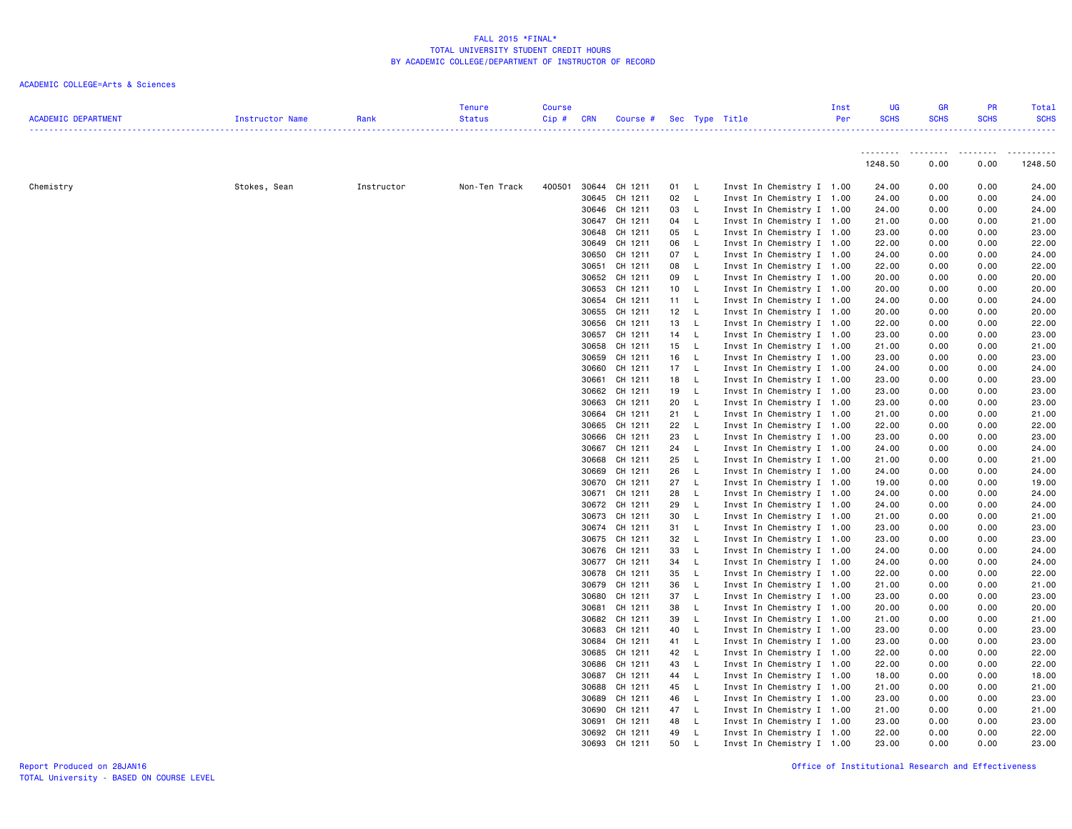| <b>Tenure</b><br><b>Course</b><br>Inst<br><b>ACADEMIC DEPARTMENT</b><br>Per<br>Rank<br><b>Status</b><br>Cip#<br><b>CRN</b><br>Course # Sec Type Title<br>Instructor Name | <b>UG</b><br><b>SCHS</b> | <b>GR</b><br><b>SCHS</b> | <b>PR</b><br><b>SCHS</b> | Total<br><b>SCHS</b> |
|--------------------------------------------------------------------------------------------------------------------------------------------------------------------------|--------------------------|--------------------------|--------------------------|----------------------|
|                                                                                                                                                                          | <u>.</u>                 | .                        | . <i>.</i> .             | .                    |
|                                                                                                                                                                          | 1248.50                  | 0.00                     | 0.00                     | 1248.50              |
| Invst In Chemistry I 1.00<br>Chemistry<br>Stokes, Sean<br>Instructor<br>Non-Ten Track<br>400501<br>30644 CH 1211<br>01 L                                                 | 24.00                    | 0.00                     | 0.00                     | 24.00                |
| 30645 CH 1211<br>02<br>$\mathsf{L}$<br>Invst In Chemistry I 1.00                                                                                                         | 24.00                    | 0.00                     | 0.00                     | 24.00                |
| 30646 CH 1211<br>03<br>$-L$<br>Invst In Chemistry I 1.00                                                                                                                 | 24.00                    | 0.00                     | 0.00                     | 24.00                |
| 30647 CH 1211<br>Invst In Chemistry I 1.00<br>04<br>$\mathsf{L}$                                                                                                         | 21.00                    | 0.00                     | 0.00                     | 21.00                |
| 30648 CH 1211<br>05<br>$\mathsf{L}$<br>Invst In Chemistry I 1.00                                                                                                         | 23.00                    | 0.00                     | 0.00                     | 23.00                |
| 30649 CH 1211<br>06<br>- L<br>Invst In Chemistry I 1.00                                                                                                                  | 22.00                    | 0.00                     | 0.00                     | 22.00                |
| 30650 CH 1211<br>07 L<br>Invst In Chemistry I 1.00                                                                                                                       | 24.00                    | 0.00                     | 0.00                     | 24.00                |
| 30651 CH 1211<br>08 L<br>Invst In Chemistry I 1.00                                                                                                                       | 22.00                    | 0.00                     | 0.00                     | 22.00                |
| 30652 CH 1211<br>09<br>$\mathsf{L}$<br>Invst In Chemistry I 1.00                                                                                                         | 20.00                    | 0.00                     | 0.00                     | 20.00                |
| 30653 CH 1211<br>10 L<br>Invst In Chemistry I 1.00                                                                                                                       | 20.00                    | 0.00                     | 0.00                     | 20.00                |
| 30654 CH 1211<br>11 L<br>Invst In Chemistry I 1.00                                                                                                                       | 24.00                    | 0.00                     | 0.00                     | 24.00                |
| 30655 CH 1211<br>12 L<br>Invst In Chemistry I 1.00                                                                                                                       | 20.00                    | 0.00                     | 0.00                     | 20.00                |
| 30656 CH 1211<br>13 L<br>Invst In Chemistry I 1.00                                                                                                                       | 22.00                    | 0.00                     | 0.00                     | 22.00                |
| 30657 CH 1211<br>14 L<br>Invst In Chemistry I 1.00                                                                                                                       | 23.00                    | 0.00                     | 0.00                     | 23.00                |
| 15 L<br>30658 CH 1211<br>Invst In Chemistry I 1.00                                                                                                                       | 21.00                    | 0.00                     | 0.00                     | 21.00                |
| 30659 CH 1211<br>16 L<br>Invst In Chemistry I 1.00                                                                                                                       | 23.00                    | 0.00                     | 0.00                     | 23.00                |
| 30660 CH 1211<br>17 L<br>Invst In Chemistry I 1.00                                                                                                                       | 24.00                    | 0.00                     | 0.00                     | 24.00                |
| 30661 CH 1211<br>18 L<br>Invst In Chemistry I 1.00                                                                                                                       | 23.00                    | 0.00                     | 0.00                     | 23.00                |
| 30662 CH 1211<br>19<br>$\mathsf{L}$<br>Invst In Chemistry I 1.00                                                                                                         | 23.00                    | 0.00                     | 0.00                     | 23.00                |
| 30663 CH 1211<br>20<br>- L<br>Invst In Chemistry I 1.00                                                                                                                  | 23.00                    | 0.00                     | 0.00                     | 23.00                |
| 30664 CH 1211<br>21 L<br>Invst In Chemistry I 1.00                                                                                                                       | 21.00                    | 0.00                     | 0.00                     | 21.00                |
| 30665 CH 1211<br>22 L<br>Invst In Chemistry I 1.00                                                                                                                       | 22.00                    | 0.00                     | 0.00                     | 22.00                |
| 30666 CH 1211<br>23<br>Invst In Chemistry I 1.00<br>- L                                                                                                                  | 23.00                    | 0.00                     | 0.00                     | 23.00                |
| 30667 CH 1211<br>24<br>- L<br>Invst In Chemistry I 1.00                                                                                                                  | 24.00                    | 0.00                     | 0.00                     | 24.00                |
| 25<br>30668 CH 1211<br>- L<br>Invst In Chemistry I 1.00                                                                                                                  | 21.00                    | 0.00                     | 0.00                     | 21.00                |
| 30669 CH 1211<br>26<br>- L<br>Invst In Chemistry I 1.00                                                                                                                  | 24.00                    | 0.00                     | 0.00                     | 24.00                |
| 30670 CH 1211<br>27<br>$\mathsf{L}$<br>Invst In Chemistry I 1.00                                                                                                         | 19.00                    | 0.00                     | 0.00                     | 19.00                |
| 28<br>30671 CH 1211<br>L<br>Invst In Chemistry I 1.00                                                                                                                    | 24.00                    | 0.00                     | 0.00                     | 24.00                |
| 30672 CH 1211<br>29<br>Invst In Chemistry I 1.00<br>- L                                                                                                                  | 24.00                    | 0.00                     | 0.00                     | 24.00                |
| 30673 CH 1211<br>30<br>- L<br>Invst In Chemistry I 1.00                                                                                                                  | 21.00                    | 0.00                     | 0.00                     | 21.00                |
| 30674 CH 1211<br>31 L<br>Invst In Chemistry I 1.00                                                                                                                       | 23.00                    | 0.00                     | 0.00                     | 23.00                |
| 30675 CH 1211<br>32<br>Invst In Chemistry I 1.00<br>- L                                                                                                                  | 23.00                    | 0.00                     | 0.00                     | 23.00                |
| 30676 CH 1211<br>33<br>L<br>Invst In Chemistry I 1.00                                                                                                                    | 24.00                    | 0.00                     | 0.00                     | 24.00                |
| 30677 CH 1211<br>34<br>- L<br>Invst In Chemistry I 1.00<br>30678 CH 1211<br>35<br>$-L$<br>Invst In Chemistry I 1.00                                                      | 24.00<br>22.00           | 0.00<br>0.00             | 0.00<br>0.00             | 24.00<br>22.00       |
| 30679 CH 1211<br>36<br>$\mathsf{L}$<br>Invst In Chemistry I 1.00                                                                                                         | 21.00                    | 0.00                     | 0.00                     | 21.00                |
| 30680 CH 1211<br>37<br>$\mathsf{L}$<br>Invst In Chemistry I 1.00                                                                                                         | 23.00                    | 0.00                     | 0.00                     | 23.00                |
| 30681 CH 1211<br>38<br>L<br>Invst In Chemistry I 1.00                                                                                                                    | 20.00                    | 0.00                     | 0.00                     | 20.00                |
| 30682 CH 1211<br>39<br>$\mathsf{L}$<br>Invst In Chemistry I 1.00                                                                                                         | 21.00                    | 0.00                     | 0.00                     | 21.00                |
| 30683 CH 1211<br>40<br>Invst In Chemistry I 1.00<br>- L                                                                                                                  | 23.00                    | 0.00                     | 0.00                     | 23.00                |
| 30684 CH 1211<br>41 L<br>Invst In Chemistry I 1.00                                                                                                                       | 23.00                    | 0.00                     | 0.00                     | 23.00                |
| 30685 CH 1211<br>42<br>- L<br>Invst In Chemistry I 1.00                                                                                                                  | 22.00                    | 0.00                     | 0.00                     | 22.00                |
| 30686 CH 1211<br>43<br>- L<br>Invst In Chemistry I 1.00                                                                                                                  | 22.00                    | 0.00                     | 0.00                     | 22.00                |
| 30687 CH 1211<br>44 L<br>Invst In Chemistry I 1.00                                                                                                                       | 18.00                    | 0.00                     | 0.00                     | 18.00                |
| 30688 CH 1211<br>45<br>- L<br>Invst In Chemistry I 1.00                                                                                                                  | 21.00                    | 0.00                     | 0.00                     | 21.00                |
| 30689 CH 1211<br>46<br>L<br>Invst In Chemistry I 1.00                                                                                                                    | 23.00                    | 0.00                     | 0.00                     | 23.00                |
| 30690 CH 1211<br>47<br>$\mathsf{L}$<br>Invst In Chemistry I 1.00                                                                                                         | 21.00                    | 0.00                     | 0.00                     | 21.00                |
| 30691 CH 1211<br>48<br>$-L$<br>Invst In Chemistry I 1.00                                                                                                                 | 23.00                    | 0.00                     | 0.00                     | 23.00                |
| 30692 CH 1211<br>49<br>- L<br>Invst In Chemistry I 1.00                                                                                                                  | 22.00                    | 0.00                     | 0.00                     | 22.00                |
| 30693 CH 1211<br>50<br>$\mathsf{L}$<br>Invst In Chemistry I 1.00                                                                                                         | 23,00                    | 0.00                     | 0.00                     | 23.00                |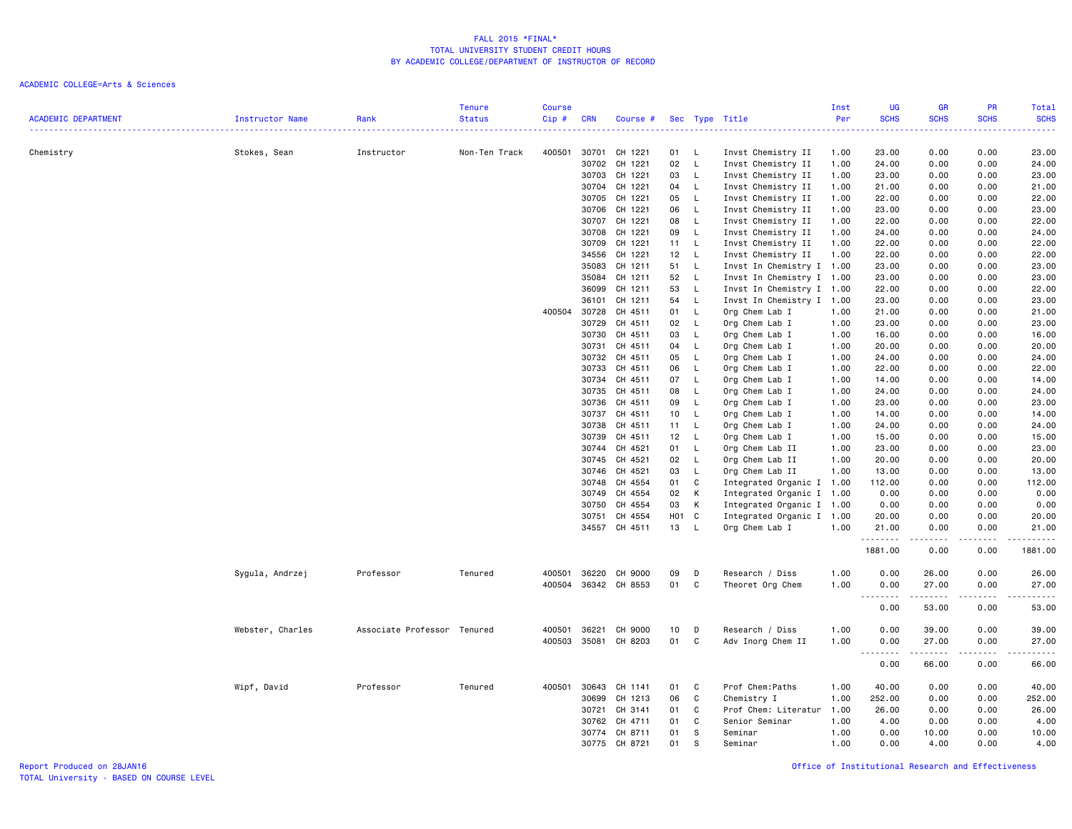|                            |                  |                             | <b>Tenure</b> | <b>Course</b> |                |                      |                   |                              |                                          | Inst         | UG                    | <b>GR</b>    | PR                                                                                                                                | Total                   |
|----------------------------|------------------|-----------------------------|---------------|---------------|----------------|----------------------|-------------------|------------------------------|------------------------------------------|--------------|-----------------------|--------------|-----------------------------------------------------------------------------------------------------------------------------------|-------------------------|
| <b>ACADEMIC DEPARTMENT</b> | Instructor Name  | Rank                        | <b>Status</b> | $Cip \#$      | <b>CRN</b>     | Course #             |                   |                              | Sec Type Title                           | Per          | <b>SCHS</b><br>22222) | <b>SCHS</b>  | <b>SCHS</b><br>$\omega_{\rm{eff}}$ and $\omega_{\rm{eff}}$                                                                        | <b>SCHS</b><br>بالأبالي |
|                            |                  |                             |               |               |                |                      |                   |                              |                                          |              |                       |              |                                                                                                                                   |                         |
| Chemistry                  | Stokes, Sean     | Instructor                  | Non-Ten Track | 400501        | 30701          | CH 1221              | 01                | - L                          | Invst Chemistry II                       | 1.00         | 23.00                 | 0.00         | 0.00                                                                                                                              | 23.00                   |
|                            |                  |                             |               |               | 30702<br>30703 | CH 1221<br>CH 1221   | 02<br>03          | $\mathsf{L}$<br>$\mathsf{L}$ | Invst Chemistry II<br>Invst Chemistry II | 1.00<br>1.00 | 24.00<br>23.00        | 0.00<br>0.00 | 0.00<br>0.00                                                                                                                      | 24.00<br>23.00          |
|                            |                  |                             |               |               | 30704          | CH 1221              | 04                | - L                          | Invst Chemistry II                       |              | 21.00                 | 0.00         | 0.00                                                                                                                              | 21.00                   |
|                            |                  |                             |               |               | 30705          | CH 1221              | 05                | $\mathsf{L}$                 | Invst Chemistry II                       | 1.00<br>1.00 | 22.00                 | 0.00         | 0.00                                                                                                                              | 22.00                   |
|                            |                  |                             |               |               | 30706          | CH 1221              | 06                | $\mathsf{L}$                 | Invst Chemistry II                       | 1.00         | 23.00                 | 0.00         | 0.00                                                                                                                              | 23.00                   |
|                            |                  |                             |               |               | 30707          | CH 1221              | 08                | $\mathsf{L}$                 | Invst Chemistry II                       | 1.00         | 22.00                 | 0.00         | 0.00                                                                                                                              | 22.00                   |
|                            |                  |                             |               |               | 30708          | CH 1221              | 09                | $\mathsf{L}$                 | Invst Chemistry II                       | 1.00         | 24.00                 | 0.00         | 0.00                                                                                                                              | 24.00                   |
|                            |                  |                             |               |               | 30709          | CH 1221              | 11                | $\mathsf{L}$                 | Invst Chemistry II                       | 1.00         | 22.00                 | 0.00         | 0.00                                                                                                                              | 22.00                   |
|                            |                  |                             |               |               | 34556          | CH 1221              | 12                | $\mathsf{L}$                 | Invst Chemistry II                       | 1.00         | 22.00                 | 0.00         | 0.00                                                                                                                              | 22.00                   |
|                            |                  |                             |               |               | 35083          | CH 1211              | 51                | $\mathsf{L}$                 | Invst In Chemistry I 1.00                |              | 23.00                 | 0.00         | 0.00                                                                                                                              | 23.00                   |
|                            |                  |                             |               |               | 35084          | CH 1211              | 52                | $\mathsf{L}$                 | Invst In Chemistry I 1.00                |              | 23.00                 | 0.00         | 0.00                                                                                                                              | 23.00                   |
|                            |                  |                             |               |               | 36099          | CH 1211              | 53                | L.                           | Invst In Chemistry I 1.00                |              | 22.00                 | 0.00         | 0.00                                                                                                                              | 22.00                   |
|                            |                  |                             |               |               | 36101          | CH 1211              | 54                | $\mathsf{L}$                 | Invst In Chemistry I 1.00                |              | 23.00                 | 0.00         | 0.00                                                                                                                              | 23.00                   |
|                            |                  |                             |               | 400504        | 30728          | CH 4511              | 01                | - L                          | Org Chem Lab I                           | 1.00         | 21.00                 | 0.00         | 0.00                                                                                                                              | 21.00                   |
|                            |                  |                             |               |               | 30729          | CH 4511              | 02                | $\mathsf{L}$                 | Org Chem Lab I                           | 1.00         | 23.00                 | 0.00         | 0.00                                                                                                                              | 23.00                   |
|                            |                  |                             |               |               | 30730          | CH 4511              | 03                | $\mathsf{L}$                 | Org Chem Lab I                           | 1.00         | 16.00                 | 0.00         | 0.00                                                                                                                              | 16.00                   |
|                            |                  |                             |               |               | 30731          | CH 4511              | 04                | L.                           | Org Chem Lab I                           | 1.00         | 20.00                 | 0.00         | 0.00                                                                                                                              | 20.00                   |
|                            |                  |                             |               |               | 30732          | CH 4511              | 05                | $\mathsf{L}$                 | Org Chem Lab I                           | 1.00         | 24.00                 | 0.00         | 0.00                                                                                                                              | 24.00                   |
|                            |                  |                             |               |               | 30733          | CH 4511              | 06                | <b>L</b>                     | Org Chem Lab I                           | 1.00         | 22.00                 | 0.00         | 0.00                                                                                                                              | 22.00                   |
|                            |                  |                             |               |               | 30734          | CH 4511              | 07                | <b>L</b>                     | Org Chem Lab I                           | 1.00         | 14.00                 | 0.00         | 0.00                                                                                                                              | 14.00                   |
|                            |                  |                             |               |               | 30735          | CH 4511              | 08                | $\mathsf{L}$                 | Org Chem Lab I                           | 1.00         | 24.00                 | 0.00         | 0.00                                                                                                                              | 24.00                   |
|                            |                  |                             |               |               | 30736          | CH 4511              | 09                | $\mathsf{L}$                 | Org Chem Lab I                           | 1.00         | 23.00                 | 0.00         | 0.00                                                                                                                              | 23.00                   |
|                            |                  |                             |               |               | 30737          | CH 4511              | 10 <sub>1</sub>   | $\mathsf{L}$                 | Org Chem Lab I                           | 1.00         | 14.00                 | 0.00         | 0.00                                                                                                                              | 14.00                   |
|                            |                  |                             |               |               | 30738          | CH 4511              | 11                | $\mathsf{L}$                 | Org Chem Lab I                           | 1.00         | 24.00                 | 0.00         | 0.00                                                                                                                              | 24.00                   |
|                            |                  |                             |               |               | 30739          | CH 4511              | 12                | <b>L</b>                     | Org Chem Lab I                           | 1.00         | 15.00                 | 0.00         | 0.00                                                                                                                              | 15.00                   |
|                            |                  |                             |               |               | 30744          | CH 4521              | 01                | L.                           | Org Chem Lab II                          | 1.00         | 23.00                 | 0.00         | 0.00                                                                                                                              | 23.00                   |
|                            |                  |                             |               |               | 30745          | CH 4521              | 02                | $\mathsf{L}$                 | Org Chem Lab II                          | 1.00         | 20.00                 | 0.00         | 0.00                                                                                                                              | 20.00                   |
|                            |                  |                             |               |               | 30746          | CH 4521              | 03                | $\mathsf{L}$                 | Org Chem Lab II                          | 1.00         | 13.00                 | 0.00         | 0.00                                                                                                                              | 13.00                   |
|                            |                  |                             |               |               | 30748          | CH 4554              | 01                | C                            | Integrated Organic I 1.00                |              | 112.00                | 0.00         | 0.00                                                                                                                              | 112.00                  |
|                            |                  |                             |               |               | 30749          | CH 4554              | 02                | K                            | Integrated Organic I 1.00                |              | 0.00                  | 0.00         | 0.00                                                                                                                              | 0.00                    |
|                            |                  |                             |               |               | 30750          | CH 4554              | 03                | K                            | Integrated Organic I 1.00                |              | 0.00                  | 0.00         | 0.00                                                                                                                              | 0.00                    |
|                            |                  |                             |               |               | 30751          | CH 4554              | H <sub>01</sub> C |                              | Integrated Organic I 1.00                |              | 20.00                 | 0.00         | 0.00                                                                                                                              | 20.00                   |
|                            |                  |                             |               |               |                | 34557 CH 4511        | 13                | $\mathsf{L}$                 | Org Chem Lab I                           | 1.00         | 21.00<br>.            | 0.00         | 0.00                                                                                                                              | 21.00                   |
|                            |                  |                             |               |               |                |                      |                   |                              |                                          |              | 1881.00               | 0.00         | 0.00                                                                                                                              | 1881.00                 |
|                            | Sygula, Andrzej  | Professor                   | Tenured       | 400501        | 36220          | CH 9000              | 09                | D                            | Research / Diss                          | 1.00         | 0.00                  | 26.00        | 0.00                                                                                                                              | 26.00                   |
|                            |                  |                             |               | 400504        | 36342          | CH 8553              | 01                | C                            | Theoret Org Chem                         | 1.00         | 0.00                  | 27.00        | 0.00                                                                                                                              | 27.00                   |
|                            |                  |                             |               |               |                |                      |                   |                              |                                          |              | .<br>0.00             | 53.00        | $\frac{1}{2} \left( \frac{1}{2} \right) \left( \frac{1}{2} \right) \left( \frac{1}{2} \right) \left( \frac{1}{2} \right)$<br>0.00 | .<br>53.00              |
|                            | Webster, Charles | Associate Professor Tenured |               | 400501        | 36221          | CH 9000              | 10                | D                            | Research / Diss                          | 1.00         | 0.00                  | 39.00        | 0.00                                                                                                                              | 39.00                   |
|                            |                  |                             |               |               |                | 400503 35081 CH 8203 | 01                | C.                           | Adv Inorg Chem II                        | 1.00         | 0.00                  | 27.00        | 0.00                                                                                                                              | 27.00                   |
|                            |                  |                             |               |               |                |                      |                   |                              |                                          |              | $\sim$ $\sim$ .<br>.  | .            | .                                                                                                                                 | .                       |
|                            |                  |                             |               |               |                |                      |                   |                              |                                          |              | 0.00                  | 66.00        | 0.00                                                                                                                              | 66.00                   |
|                            | Wipf, David      | Professor                   | Tenured       | 400501        | 30643          | CH 1141              | 01                | C                            | Prof Chem: Paths                         | 1.00         | 40.00                 | 0.00         | 0.00                                                                                                                              | 40.00                   |
|                            |                  |                             |               |               | 30699          | CH 1213              | 06                | C                            | Chemistry I                              | 1.00         | 252.00                | 0.00         | 0.00                                                                                                                              | 252.00                  |
|                            |                  |                             |               |               | 30721          | CH 3141              | 01                | C                            | Prof Chem: Literatur                     | 1.00         | 26.00                 | 0.00         | 0.00                                                                                                                              | 26.00                   |
|                            |                  |                             |               |               | 30762          | CH 4711              | 01                | C                            | Senior Seminar                           | 1.00         | 4.00                  | 0.00         | 0.00                                                                                                                              | 4.00                    |
|                            |                  |                             |               |               | 30774          | CH 8711<br>CH 8721   | 01<br>01          | s.<br>S                      | Seminar                                  | 1.00         | 0.00                  | 10.00        | 0.00<br>0.00                                                                                                                      | 10.00                   |
|                            |                  |                             |               |               | 30775          |                      |                   |                              | Seminar                                  | 1.00         | 0.00                  | 4.00         |                                                                                                                                   | 4.00                    |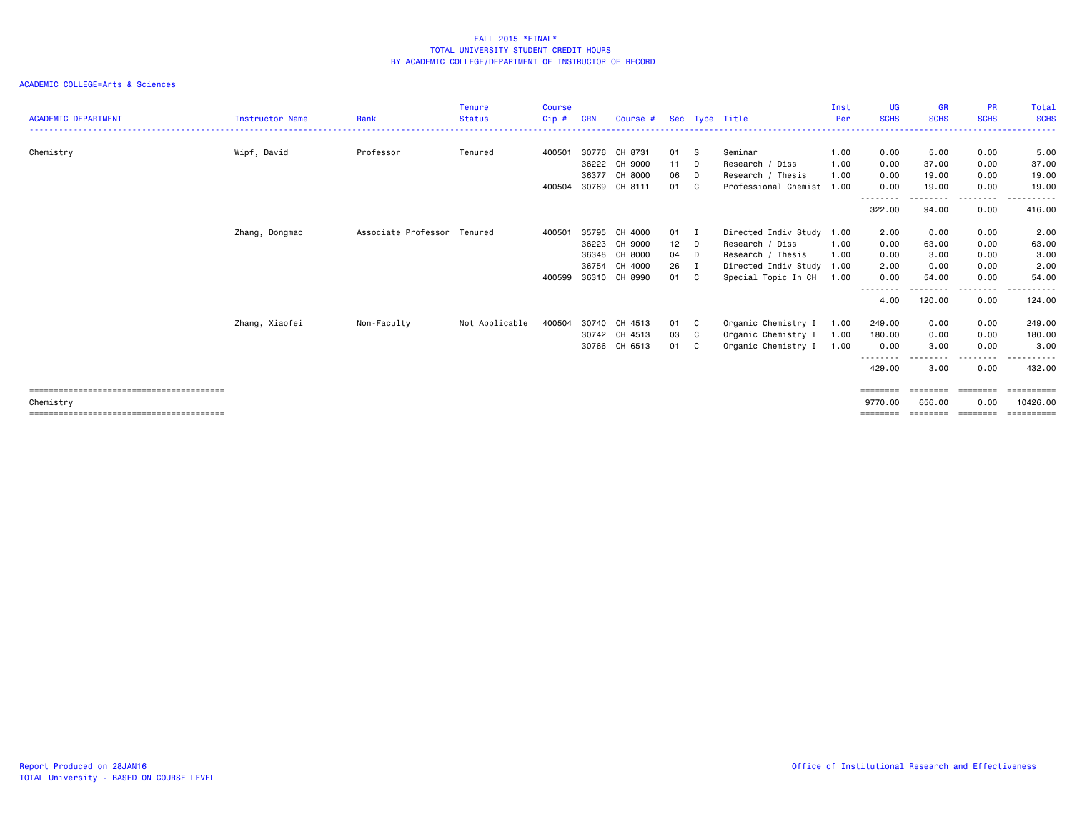| <b>ACADEMIC DEPARTMENT</b> | Instructor Name | Rank                        | <b>Tenure</b><br><b>Status</b> | <b>Course</b><br>Cip# | <b>CRN</b> | Course #      |        |              | Sec Type Title            | Inst<br>Per | <b>UG</b><br><b>SCHS</b> | <b>GR</b><br><b>SCHS</b> | <b>PR</b><br><b>SCHS</b>                                                | Total<br><b>SCHS</b> |
|----------------------------|-----------------|-----------------------------|--------------------------------|-----------------------|------------|---------------|--------|--------------|---------------------------|-------------|--------------------------|--------------------------|-------------------------------------------------------------------------|----------------------|
|                            |                 |                             |                                |                       |            |               |        |              |                           |             |                          |                          |                                                                         |                      |
| Chemistry                  | Wipf, David     | Professor                   | Tenured                        | 400501                |            | 30776 CH 8731 | 01     | - S          | Seminar                   | 1.00        | 0.00                     | 5.00                     | 0.00                                                                    | 5.00                 |
|                            |                 |                             |                                |                       | 36222      | CH 9000       | 11     | D            | Research / Diss           | 1.00        | 0.00                     | 37.00                    | 0.00                                                                    | 37.00                |
|                            |                 |                             |                                |                       | 36377      | CH 8000       | 06     | D            | Research / Thesis         | 1.00        | 0.00                     | 19.00                    | 0.00                                                                    | 19.00                |
|                            |                 |                             |                                | 400504                | 30769      | CH 8111       | 01     | C.           | Professional Chemist      | 1.00        | 0.00                     | 19.00                    | 0.00                                                                    | 19.00<br>.           |
|                            |                 |                             |                                |                       |            |               |        |              |                           |             | --------<br>322.00       | 94.00                    | .<br>0.00                                                               | 416.00               |
|                            | Zhang, Dongmao  | Associate Professor Tenured |                                | 400501                |            | 35795 CH 4000 | 01 I   |              | Directed Indiv Study      | 1.00        | 2.00                     | 0.00                     | 0.00                                                                    | 2.00                 |
|                            |                 |                             |                                |                       | 36223      | CH 9000       | $12$ D |              | Research / Diss           | 1.00        | 0.00                     | 63.00                    | 0.00                                                                    | 63.00                |
|                            |                 |                             |                                |                       | 36348      | CH 8000       | 04 D   |              | Research / Thesis         | 1.00        | 0.00                     | 3.00                     | 0.00                                                                    | 3.00                 |
|                            |                 |                             |                                |                       | 36754      | CH 4000       | 26     | I            | Directed Indiv Study 1.00 |             | 2.00                     | 0.00                     | 0.00                                                                    | 2.00                 |
|                            |                 |                             |                                | 400599                |            | 36310 CH 8990 | 01     | C.           | Special Topic In CH       | 1.00        | 0.00                     | 54.00                    | 0.00                                                                    | 54.00                |
|                            |                 |                             |                                |                       |            |               |        |              |                           |             | --------<br>4.00         | 120.00                   | ----<br>0.00                                                            | . <b>.</b><br>124.00 |
|                            | Zhang, Xiaofei  | Non-Faculty                 | Not Applicable                 | 400504                |            | 30740 CH 4513 | 01     | $\mathbf{C}$ | Organic Chemistry I       | 1.00        | 249.00                   | 0.00                     | 0.00                                                                    | 249.00               |
|                            |                 |                             |                                |                       |            | 30742 CH 4513 | 03     | C            | Organic Chemistry I       | 1.00        | 180.00                   | 0.00                     | 0.00                                                                    | 180.00               |
|                            |                 |                             |                                |                       |            | 30766 CH 6513 | 01     | C.           | Organic Chemistry I       | 1.00        | 0.00                     | 3.00                     | 0.00                                                                    | 3.00                 |
|                            |                 |                             |                                |                       |            |               |        |              |                           |             | --------<br>429.00       | 3.00                     | . <u>.</u> .<br>0.00                                                    | ------<br>432.00     |
|                            |                 |                             |                                |                       |            |               |        |              |                           |             | $=$ = = = = = = =        |                          | $\qquad \qquad \equiv \equiv \equiv \equiv \equiv \equiv \equiv \equiv$ | ==========           |
| Chemistry                  |                 |                             |                                |                       |            |               |        |              |                           |             | 9770.00                  | 656.00                   | 0.00                                                                    | 10426,00             |
|                            |                 |                             |                                |                       |            |               |        |              |                           |             | $=$ = = = = = = =        |                          | $=$ = = = = = = =                                                       |                      |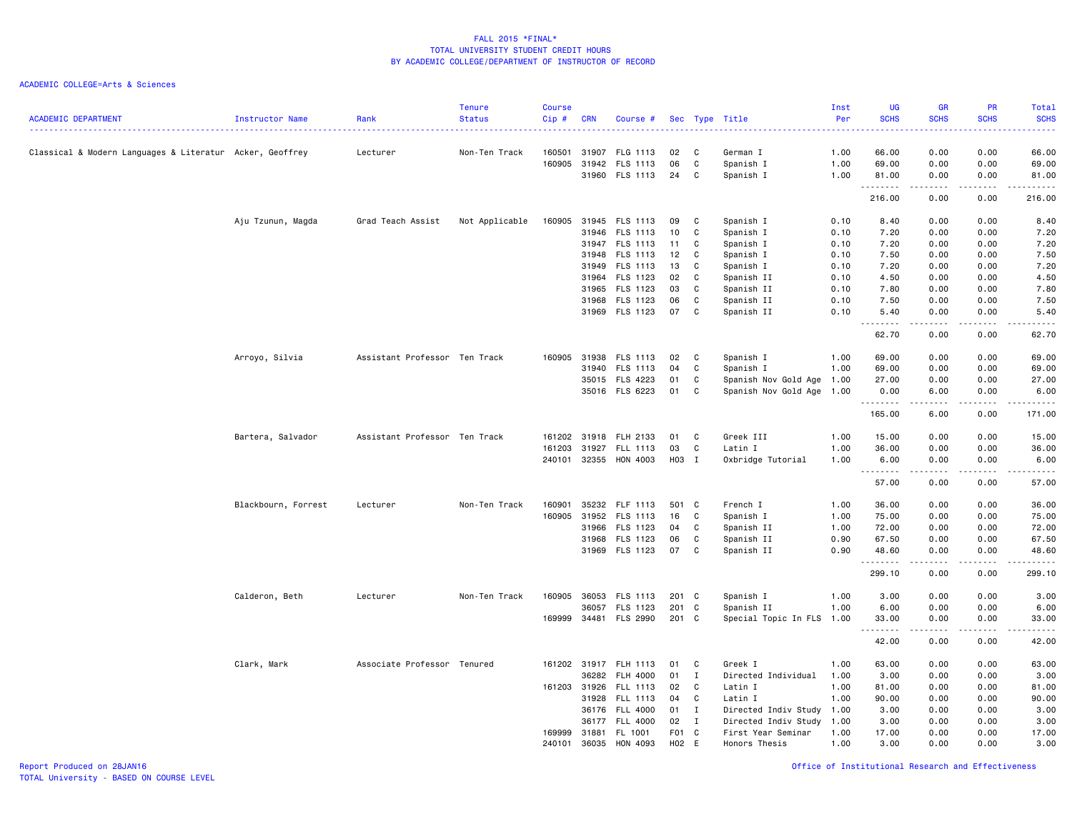ACADEMIC COLLEGE=Arts & Sciences

| <b>ACADEMIC DEPARTMENT</b>                               | Instructor Name     | Rank                          | <b>Tenure</b><br><b>Status</b> | <b>Course</b><br>Cip# | <b>CRN</b>     | Course #             |          |                   | Sec Type Title            | Inst<br>Per  | UG<br><b>SCHS</b>   | <b>GR</b><br><b>SCHS</b>                                                                                                          | PR<br><b>SCHS</b>     | Total<br><b>SCHS</b><br>$\frac{1}{2} \left( \frac{1}{2} \right) \left( \frac{1}{2} \right) \left( \frac{1}{2} \right) \left( \frac{1}{2} \right)$ |
|----------------------------------------------------------|---------------------|-------------------------------|--------------------------------|-----------------------|----------------|----------------------|----------|-------------------|---------------------------|--------------|---------------------|-----------------------------------------------------------------------------------------------------------------------------------|-----------------------|---------------------------------------------------------------------------------------------------------------------------------------------------|
| Classical & Modern Languages & Literatur Acker, Geoffrey |                     | Lecturer                      | Non-Ten Track                  | 160501<br>160905      | 31907<br>31942 | FLG 1113<br>FLS 1113 | 02<br>06 | C<br>$\mathtt{C}$ | German I<br>Spanish I     | 1.00<br>1.00 | 66.00<br>69.00      | 0.00<br>0.00                                                                                                                      | 0.00<br>0.00          | 66.00<br>69.00                                                                                                                                    |
|                                                          |                     |                               |                                |                       |                | 31960 FLS 1113       | 24       | C                 | Spanish I                 | 1.00         | 81.00               | 0.00                                                                                                                              | 0.00                  | 81.00                                                                                                                                             |
|                                                          |                     |                               |                                |                       |                |                      |          |                   |                           |              | .<br>216.00         | $\frac{1}{2} \left( \frac{1}{2} \right) \left( \frac{1}{2} \right) \left( \frac{1}{2} \right) \left( \frac{1}{2} \right)$<br>0.00 | المالما ماليا<br>0.00 | $\frac{1}{2} \left( \frac{1}{2} \right) \left( \frac{1}{2} \right) \left( \frac{1}{2} \right) \left( \frac{1}{2} \right)$<br>216.00               |
|                                                          | Aju Tzunun, Magda   | Grad Teach Assist             | Not Applicable                 | 160905                |                | 31945 FLS 1113       | 09       | C <sub>c</sub>    | Spanish I                 | 0.10         | 8.40                | 0.00                                                                                                                              | 0.00                  | 8.40                                                                                                                                              |
|                                                          |                     |                               |                                |                       |                | 31946 FLS 1113       | 10       | C                 | Spanish I                 | 0.10         | 7.20                | 0.00                                                                                                                              | 0.00                  | 7.20                                                                                                                                              |
|                                                          |                     |                               |                                |                       |                | 31947 FLS 1113       | 11       | C                 | Spanish I                 | 0.10         | 7.20                | 0.00                                                                                                                              | 0.00                  | 7.20                                                                                                                                              |
|                                                          |                     |                               |                                |                       | 31948          | FLS 1113             | 12       | C                 | Spanish I                 | 0.10         | 7.50                | 0.00                                                                                                                              | 0.00                  | 7.50                                                                                                                                              |
|                                                          |                     |                               |                                |                       | 31949          | FLS 1113             | 13       | C                 | Spanish I                 | 0.10         | 7.20                | 0.00                                                                                                                              | 0.00                  | 7.20                                                                                                                                              |
|                                                          |                     |                               |                                |                       | 31964          | FLS 1123             | 02       | C                 | Spanish II                | 0.10         | 4.50                | 0.00                                                                                                                              | 0.00                  | 4.50                                                                                                                                              |
|                                                          |                     |                               |                                |                       | 31965          | FLS 1123             | 03       | C                 | Spanish II                | 0.10         | 7.80                | 0.00                                                                                                                              | 0.00                  | 7.80                                                                                                                                              |
|                                                          |                     |                               |                                |                       | 31968          | <b>FLS 1123</b>      | 06       | C                 | Spanish II                | 0.10         | 7.50                | 0.00                                                                                                                              | 0.00                  | 7.50                                                                                                                                              |
|                                                          |                     |                               |                                |                       |                | 31969 FLS 1123       | 07       | C                 | Spanish II                | 0.10         | 5.40<br>-----       | 0.00<br>المتمام الما                                                                                                              | 0.00<br>.             | 5.40<br>$\frac{1}{2} \left( \frac{1}{2} \right) \left( \frac{1}{2} \right) \left( \frac{1}{2} \right) \left( \frac{1}{2} \right)$                 |
|                                                          |                     |                               |                                |                       |                |                      |          |                   |                           |              | 62.70               | 0.00                                                                                                                              | 0.00                  | 62.70                                                                                                                                             |
|                                                          | Arroyo, Silvia      | Assistant Professor Ten Track |                                | 160905                | 31938          | FLS 1113             | 02       | $\mathbf{C}$      | Spanish I                 | 1.00         | 69.00               | 0.00                                                                                                                              | 0.00                  | 69.00                                                                                                                                             |
|                                                          |                     |                               |                                |                       | 31940          | FLS 1113             | 04       | C                 | Spanish I                 | 1.00         | 69.00               | 0.00                                                                                                                              | 0.00                  | 69.00                                                                                                                                             |
|                                                          |                     |                               |                                |                       |                | 35015 FLS 4223       | 01       | C                 | Spanish Nov Gold Age 1.00 |              | 27.00               | 0.00                                                                                                                              | 0.00                  | 27.00                                                                                                                                             |
|                                                          |                     |                               |                                |                       |                | 35016 FLS 6223       | 01       | C                 | Spanish Nov Gold Age 1.00 |              | 0.00                | 6.00                                                                                                                              | 0.00                  | 6.00                                                                                                                                              |
|                                                          |                     |                               |                                |                       |                |                      |          |                   |                           |              | .<br>165.00         | .<br>6.00                                                                                                                         | .<br>0.00             | -----<br>171.00                                                                                                                                   |
|                                                          | Bartera, Salvador   | Assistant Professor Ten Track |                                | 161202                | 31918          | FLH 2133             | 01       | C                 | Greek III                 | 1.00         | 15.00               | 0.00                                                                                                                              | 0.00                  | 15.00                                                                                                                                             |
|                                                          |                     |                               |                                | 161203                | 31927          | FLL 1113             | 03       | C                 | Latin I                   | 1.00         | 36.00               | 0.00                                                                                                                              | 0.00                  | 36.00                                                                                                                                             |
|                                                          |                     |                               |                                | 240101                |                | 32355 HON 4003       | H03 I    |                   | Oxbridge Tutorial         | 1.00         | 6.00                | 0.00                                                                                                                              | 0.00                  | 6.00                                                                                                                                              |
|                                                          |                     |                               |                                |                       |                |                      |          |                   |                           |              | .<br>57.00          | $\sim$ $\sim$ $\sim$ $\sim$<br>0.00                                                                                               | المتمالين<br>0.00     | 57.00                                                                                                                                             |
|                                                          | Blackbourn, Forrest | Lecturer                      | Non-Ten Track                  | 160901                | 35232          | FLF 1113             | 501 C    |                   | French I                  | 1.00         | 36.00               | 0.00                                                                                                                              | 0.00                  | 36.00                                                                                                                                             |
|                                                          |                     |                               |                                | 160905                | 31952          | FLS 1113             | 16       | $\mathbf{C}$      | Spanish I                 | 1.00         | 75.00               | 0.00                                                                                                                              | 0.00                  | 75.00                                                                                                                                             |
|                                                          |                     |                               |                                |                       | 31966          | FLS 1123             | 04       | C                 | Spanish II                | 1.00         | 72.00               | 0.00                                                                                                                              | 0.00                  | 72.00                                                                                                                                             |
|                                                          |                     |                               |                                |                       | 31968          | FLS 1123             | 06       | C                 | Spanish II                | 0.90         | 67.50               | 0.00                                                                                                                              | 0.00                  | 67.50                                                                                                                                             |
|                                                          |                     |                               |                                |                       | 31969          | FLS 1123             | 07       | C                 | Spanish II                | 0.90         | 48.60<br>.          | 0.00<br>$\frac{1}{2}$                                                                                                             | 0.00<br>.             | 48.60<br>.                                                                                                                                        |
|                                                          |                     |                               |                                |                       |                |                      |          |                   |                           |              | 299.10              | 0.00                                                                                                                              | 0.00                  | 299.10                                                                                                                                            |
|                                                          | Calderon, Beth      | Lecturer                      | Non-Ten Track                  | 160905                | 36053          | FLS 1113             | 201 C    |                   | Spanish I                 | 1.00         | 3.00                | 0.00                                                                                                                              | 0.00                  | 3.00                                                                                                                                              |
|                                                          |                     |                               |                                |                       | 36057          | FLS 1123             | 201 C    |                   | Spanish II                | 1.00         | 6.00                | 0.00                                                                                                                              | 0.00                  | 6.00                                                                                                                                              |
|                                                          |                     |                               |                                | 169999                |                | 34481 FLS 2990       | 201 C    |                   | Special Topic In FLS 1.00 |              | 33.00               | 0.00                                                                                                                              | 0.00                  | 33.00                                                                                                                                             |
|                                                          |                     |                               |                                |                       |                |                      |          |                   |                           |              | . <b>.</b><br>42.00 | .<br>0.00                                                                                                                         | -----<br>0.00         | .<br>42.00                                                                                                                                        |
|                                                          | Clark, Mark         | Associate Professor Tenured   |                                |                       | 161202 31917   | <b>FLH 1113</b>      | 01       | C                 | Greek I                   | 1.00         | 63.00               | 0.00                                                                                                                              | 0.00                  | 63.00                                                                                                                                             |
|                                                          |                     |                               |                                |                       | 36282          | FLH 4000             | 01       | $\mathbf{I}$      | Directed Individual       | 1.00         | 3.00                | 0.00                                                                                                                              | 0.00                  | 3.00                                                                                                                                              |
|                                                          |                     |                               |                                |                       | 161203 31926   | FLL 1113             | 02       | C                 | Latin I                   | 1.00         | 81.00               | 0.00                                                                                                                              | 0.00                  | 81.00                                                                                                                                             |
|                                                          |                     |                               |                                |                       | 31928          | FLL 1113             | 04       | $\mathbf{C}$      | Latin I                   | 1.00         | 90.00               | 0.00                                                                                                                              | 0.00                  | 90.00                                                                                                                                             |
|                                                          |                     |                               |                                |                       | 36176          | FLL 4000             | 01 I     |                   | Directed Indiv Study      | 1.00         | 3.00                | 0.00                                                                                                                              | 0.00                  | 3.00                                                                                                                                              |
|                                                          |                     |                               |                                |                       | 36177          | <b>FLL 4000</b>      | 02       | $\mathbf{I}$      | Directed Indiv Study      | 1.00         | 3.00                | 0.00                                                                                                                              | 0.00                  | 3.00                                                                                                                                              |
|                                                          |                     |                               |                                | 169999                | 31881          | FL 1001              | F01 C    |                   | First Year Seminar        | 1.00         | 17.00               | 0.00                                                                                                                              | 0.00                  | 17.00                                                                                                                                             |
|                                                          |                     |                               |                                | 240101                | 36035          | HON 4093             | H02 E    |                   | Honors Thesis             | 1.00         | 3.00                | 0.00                                                                                                                              | 0.00                  | 3.00                                                                                                                                              |

Report Produced on 28JAN16 Office of Institutional Research and Effectiveness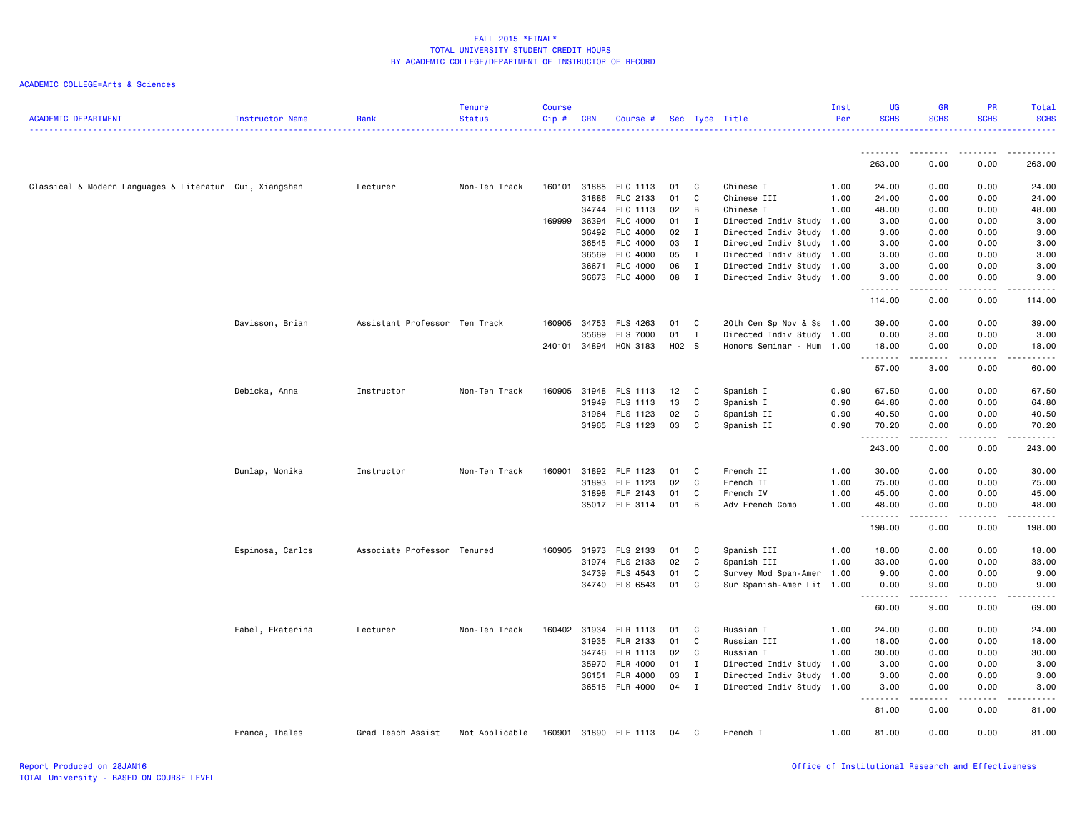| <b>ACADEMIC DEPARTMENT</b>                              | Instructor Name  | Rank                          | <b>Tenure</b><br><b>Status</b> | <b>Course</b><br>Cip# | <b>CRN</b> | Course #        |       |              | Sec Type Title            | Inst<br>Per | UG<br><b>SCHS</b>                                                                                                                                             | <b>GR</b><br><b>SCHS</b> | PR<br><b>SCHS</b>                                                                                                                 | Total<br><b>SCHS</b><br>.                                                                                                          |
|---------------------------------------------------------|------------------|-------------------------------|--------------------------------|-----------------------|------------|-----------------|-------|--------------|---------------------------|-------------|---------------------------------------------------------------------------------------------------------------------------------------------------------------|--------------------------|-----------------------------------------------------------------------------------------------------------------------------------|------------------------------------------------------------------------------------------------------------------------------------|
|                                                         |                  |                               |                                |                       |            |                 |       |              |                           |             | .                                                                                                                                                             |                          |                                                                                                                                   |                                                                                                                                    |
|                                                         |                  |                               |                                |                       |            |                 |       |              |                           |             | 263.00                                                                                                                                                        | 0.00                     | 0.00                                                                                                                              | 263.00                                                                                                                             |
| Classical & Modern Languages & Literatur Cui, Xiangshan |                  | Lecturer                      | Non-Ten Track                  | 160101                | 31885      | FLC 1113        | 01    | C            | Chinese I                 | 1.00        | 24.00                                                                                                                                                         | 0.00                     | 0.00                                                                                                                              | 24.00                                                                                                                              |
|                                                         |                  |                               |                                |                       | 31886      | FLC 2133        | 01    | C            | Chinese III               | 1.00        | 24.00                                                                                                                                                         | 0.00                     | 0.00                                                                                                                              | 24.00                                                                                                                              |
|                                                         |                  |                               |                                |                       | 34744      | FLC 1113        | 02    | B            | Chinese I                 | 1.00        | 48.00                                                                                                                                                         | 0.00                     | 0.00                                                                                                                              | 48.00                                                                                                                              |
|                                                         |                  |                               |                                | 169999                | 36394      | FLC 4000        | 01    | I            | Directed Indiv Study 1.00 |             | 3.00                                                                                                                                                          | 0.00                     | 0.00                                                                                                                              | 3.00                                                                                                                               |
|                                                         |                  |                               |                                |                       | 36492      | FLC 4000        | 02    | $\mathbf{I}$ | Directed Indiv Study 1.00 |             | 3.00                                                                                                                                                          | 0.00                     | 0.00                                                                                                                              | 3.00                                                                                                                               |
|                                                         |                  |                               |                                |                       | 36545      | FLC 4000        | 03    | $\mathbf{I}$ | Directed Indiv Study 1.00 |             | 3.00                                                                                                                                                          | 0.00                     | 0.00                                                                                                                              | 3.00                                                                                                                               |
|                                                         |                  |                               |                                |                       | 36569      | FLC 4000        | 05    | $\mathbf{I}$ | Directed Indiv Study 1.00 |             | 3.00                                                                                                                                                          | 0.00                     | 0.00                                                                                                                              | 3.00                                                                                                                               |
|                                                         |                  |                               |                                |                       | 36671      | FLC 4000        | 06    | $\mathbf{I}$ | Directed Indiv Study 1.00 |             | 3.00                                                                                                                                                          | 0.00                     | 0.00                                                                                                                              | 3.00                                                                                                                               |
|                                                         |                  |                               |                                |                       | 36673      | FLC 4000        | 08    | $\mathbf{I}$ | Directed Indiv Study 1.00 |             | 3.00<br>.                                                                                                                                                     | 0.00                     | 0.00                                                                                                                              | 3.00<br>-----                                                                                                                      |
|                                                         |                  |                               |                                |                       |            |                 |       |              |                           |             | 114.00                                                                                                                                                        | 0.00                     | 0.00                                                                                                                              | 114.00                                                                                                                             |
|                                                         | Davisson, Brian  | Assistant Professor Ten Track |                                | 160905                | 34753      | <b>FLS 4263</b> | 01    | C            | 20th Cen Sp Nov & Ss 1.00 |             | 39.00                                                                                                                                                         | 0.00                     | 0.00                                                                                                                              | 39.00                                                                                                                              |
|                                                         |                  |                               |                                |                       | 35689      | <b>FLS 7000</b> | 01    | $\mathbf{I}$ | Directed Indiv Study 1.00 |             | 0.00                                                                                                                                                          | 3.00                     | 0.00                                                                                                                              | 3.00                                                                                                                               |
|                                                         |                  |                               |                                | 240101 34894          |            | HON 3183        | H02 S |              | Honors Seminar - Hum      | 1.00        | 18.00                                                                                                                                                         | 0.00                     | 0.00                                                                                                                              | 18.00                                                                                                                              |
|                                                         |                  |                               |                                |                       |            |                 |       |              |                           |             | $\frac{1}{2} \left( \frac{1}{2} \right) \left( \frac{1}{2} \right) \left( \frac{1}{2} \right) \left( \frac{1}{2} \right) \left( \frac{1}{2} \right)$<br>57.00 | 3.00                     | 0.00                                                                                                                              | $\frac{1}{2} \left( \frac{1}{2} \right) \left( \frac{1}{2} \right) \left( \frac{1}{2} \right) \left( \frac{1}{2} \right)$<br>60.00 |
|                                                         | Debicka, Anna    | Instructor                    | Non-Ten Track                  | 160905                | 31948      | FLS 1113        | 12    | C            | Spanish I                 | 0.90        | 67.50                                                                                                                                                         | 0.00                     | 0.00                                                                                                                              | 67.50                                                                                                                              |
|                                                         |                  |                               |                                |                       | 31949      | FLS 1113        | 13    | C            | Spanish I                 | 0.90        | 64.80                                                                                                                                                         | 0.00                     | 0.00                                                                                                                              | 64.80                                                                                                                              |
|                                                         |                  |                               |                                |                       | 31964      | FLS 1123        | 02    | C            | Spanish II                | 0.90        | 40.50                                                                                                                                                         | 0.00                     | 0.00                                                                                                                              | 40.50                                                                                                                              |
|                                                         |                  |                               |                                |                       |            | 31965 FLS 1123  | 03    | C            | Spanish II                | 0.90        | 70.20                                                                                                                                                         | 0.00<br>-----            | 0.00<br>د د د د                                                                                                                   | 70.20<br>1.1.1.1.1                                                                                                                 |
|                                                         |                  |                               |                                |                       |            |                 |       |              |                           |             | 243.00                                                                                                                                                        | 0.00                     | 0.00                                                                                                                              | 243.00                                                                                                                             |
|                                                         | Dunlap, Monika   | Instructor                    | Non-Ten Track                  | 160901                | 31892      | FLF 1123        | 01    | C.           | French II                 | 1.00        | 30.00                                                                                                                                                         | 0.00                     | 0.00                                                                                                                              | 30.00                                                                                                                              |
|                                                         |                  |                               |                                |                       | 31893      | FLF 1123        | 02    | C            | French II                 | 1.00        | 75.00                                                                                                                                                         | 0.00                     | 0.00                                                                                                                              | 75.00                                                                                                                              |
|                                                         |                  |                               |                                |                       | 31898      | FLF 2143        | 01    | C            | French IV                 | 1.00        | 45.00                                                                                                                                                         | 0.00                     | 0.00                                                                                                                              | 45.00                                                                                                                              |
|                                                         |                  |                               |                                |                       |            | 35017 FLF 3114  | 01    | B            | Adv French Comp           | 1.00        | 48.00<br>.                                                                                                                                                    | 0.00<br>-----            | 0.00<br>.                                                                                                                         | 48.00<br>.                                                                                                                         |
|                                                         |                  |                               |                                |                       |            |                 |       |              |                           |             | 198.00                                                                                                                                                        | 0.00                     | 0.00                                                                                                                              | 198.00                                                                                                                             |
|                                                         | Espinosa, Carlos | Associate Professor Tenured   |                                | 160905                | 31973      | FLS 2133        | 01    | C            | Spanish III               | 1.00        | 18.00                                                                                                                                                         | 0.00                     | 0.00                                                                                                                              | 18.00                                                                                                                              |
|                                                         |                  |                               |                                |                       | 31974      | FLS 2133        | 02    | C            | Spanish III               | 1.00        | 33.00                                                                                                                                                         | 0.00                     | 0.00                                                                                                                              | 33.00                                                                                                                              |
|                                                         |                  |                               |                                |                       | 34739      | FLS 4543        | 01    | C            | Survey Mod Span-Amer      | 1.00        | 9.00                                                                                                                                                          | 0.00                     | 0.00                                                                                                                              | 9.00                                                                                                                               |
|                                                         |                  |                               |                                |                       |            | 34740 FLS 6543  | 01    | C            | Sur Spanish-Amer Lit 1.00 |             | 0.00<br>.<br>$\sim$ $\sim$                                                                                                                                    | 9.00                     | 0.00<br>$\frac{1}{2} \left( \frac{1}{2} \right) \left( \frac{1}{2} \right) \left( \frac{1}{2} \right) \left( \frac{1}{2} \right)$ | 9.00<br>-----                                                                                                                      |
|                                                         |                  |                               |                                |                       |            |                 |       |              |                           |             | 60.00                                                                                                                                                         | 9.00                     | 0.00                                                                                                                              | 69.00                                                                                                                              |
|                                                         | Fabel, Ekaterina | Lecturer                      | Non-Ten Track                  | 160402                | 31934      | <b>FLR 1113</b> | 01    | C            | Russian I                 | 1.00        | 24.00                                                                                                                                                         | 0.00                     | 0.00                                                                                                                              | 24.00                                                                                                                              |
|                                                         |                  |                               |                                |                       | 31935      | FLR 2133        | 01    | C            | Russian III               | 1.00        | 18.00                                                                                                                                                         | 0.00                     | 0.00                                                                                                                              | 18.00                                                                                                                              |
|                                                         |                  |                               |                                |                       | 34746      | FLR 1113        | 02    | C            | Russian I                 | 1.00        | 30.00                                                                                                                                                         | 0.00                     | 0.00                                                                                                                              | 30.00                                                                                                                              |
|                                                         |                  |                               |                                |                       | 35970      | FLR 4000        | 01    | $\mathbf{I}$ | Directed Indiv Study 1.00 |             | 3.00                                                                                                                                                          | 0.00                     | 0.00                                                                                                                              | 3.00                                                                                                                               |
|                                                         |                  |                               |                                |                       | 36151      | FLR 4000        | 03    | $\mathbf{I}$ | Directed Indiv Study 1.00 |             | 3.00                                                                                                                                                          | 0.00                     | 0.00                                                                                                                              | 3.00                                                                                                                               |
|                                                         |                  |                               |                                |                       |            | 36515 FLR 4000  | 04    | $\mathbf{I}$ | Directed Indiv Study 1.00 |             | 3.00<br>$\sim$ $\sim$ $\sim$                                                                                                                                  | 0.00                     | 0.00<br>$\sim$ $\sim$ $\sim$ $\sim$                                                                                               | 3.00<br>.                                                                                                                          |
|                                                         |                  |                               |                                |                       |            |                 |       |              |                           |             | 81.00                                                                                                                                                         | 0.00                     | 0.00                                                                                                                              | 81.00                                                                                                                              |
|                                                         | Franca, Thales   | Grad Teach Assist             | Not Applicable                 | 160901                |            | 31890 FLF 1113  | 04    | C            | French I                  | 1.00        | 81.00                                                                                                                                                         | 0.00                     | 0.00                                                                                                                              | 81.00                                                                                                                              |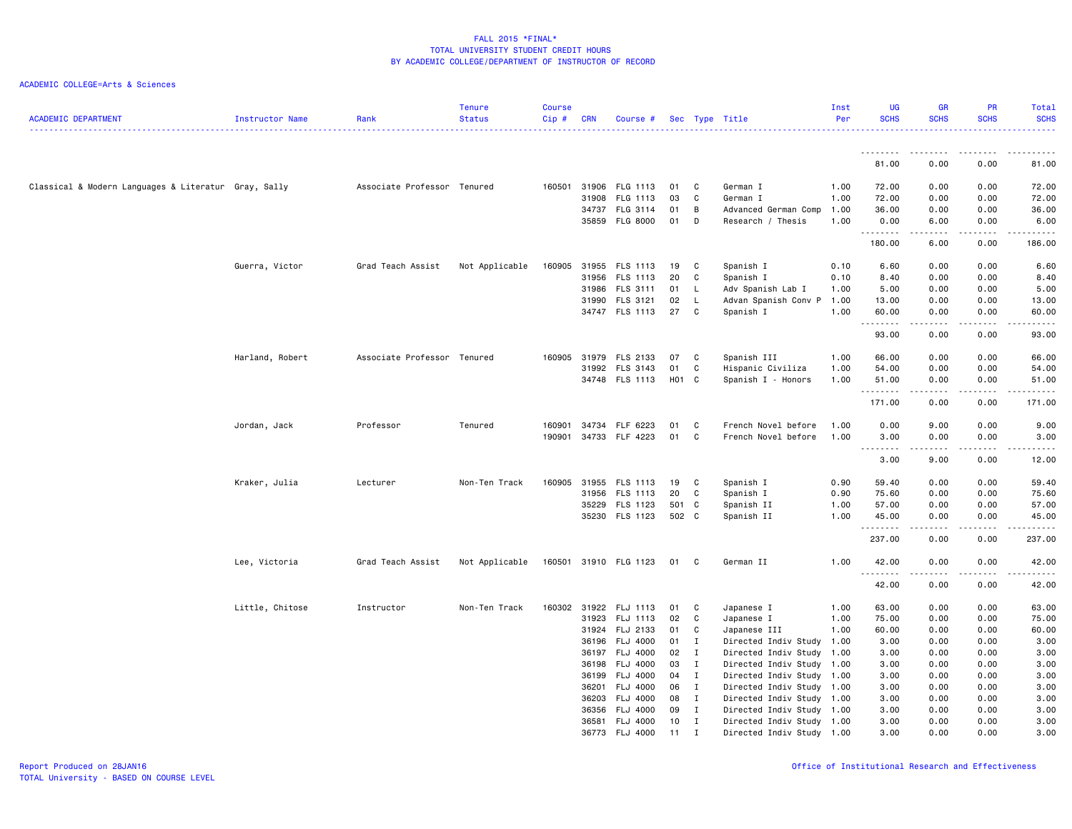| <b>ACADEMIC DEPARTMENT</b>                           | Instructor Name | Rank                        | <b>Tenure</b><br><b>Status</b> | <b>Course</b><br>Cip# | <b>CRN</b>     | Course #              |          |                              | Sec Type Title                                         | Inst<br>Per | UG<br><b>SCHS</b> | <b>GR</b><br><b>SCHS</b> | <b>PR</b><br><b>SCHS</b> | Total<br><b>SCHS</b>                                                                                                                                          |
|------------------------------------------------------|-----------------|-----------------------------|--------------------------------|-----------------------|----------------|-----------------------|----------|------------------------------|--------------------------------------------------------|-------------|-------------------|--------------------------|--------------------------|---------------------------------------------------------------------------------------------------------------------------------------------------------------|
|                                                      |                 |                             |                                |                       |                |                       |          |                              |                                                        |             | <u>.</u>          | .                        | $\frac{1}{2}$            |                                                                                                                                                               |
|                                                      |                 |                             |                                |                       |                |                       |          |                              |                                                        |             | 81.00             | 0.00                     | 0.00                     | 81.00                                                                                                                                                         |
| Classical & Modern Languages & Literatur Gray, Sally |                 | Associate Professor Tenured |                                | 160501 31906          |                | FLG 1113              | 01       | C                            | German I                                               | 1.00        | 72.00             | 0.00                     | 0.00                     | 72.00                                                                                                                                                         |
|                                                      |                 |                             |                                |                       | 31908          | FLG 1113              | 03       | C                            | German I                                               | 1.00        | 72.00             | 0.00                     | 0.00                     | 72.00                                                                                                                                                         |
|                                                      |                 |                             |                                |                       | 34737          | FLG 3114              | 01       | B                            | Advanced German Comp                                   | 1.00        | 36.00             | 0.00                     | 0.00                     | 36.00                                                                                                                                                         |
|                                                      |                 |                             |                                |                       |                | 35859 FLG 8000        | 01       | D                            | Research / Thesis                                      | 1.00        | 0.00<br>.         | 6.00                     | 0.00<br>.                | 6.00<br>$\frac{1}{2} \left( \frac{1}{2} \right) \left( \frac{1}{2} \right) \left( \frac{1}{2} \right) \left( \frac{1}{2} \right) \left( \frac{1}{2} \right)$  |
|                                                      |                 |                             |                                |                       |                |                       |          |                              |                                                        |             | 180.00            | 6.00                     | 0.00                     | 186.00                                                                                                                                                        |
|                                                      | Guerra, Victor  | Grad Teach Assist           | Not Applicable                 | 160905                | 31955          | FLS 1113              | 19       | C                            | Spanish I                                              | 0.10        | 6.60              | 0.00                     | 0.00                     | 6.60                                                                                                                                                          |
|                                                      |                 |                             |                                |                       | 31956          | FLS 1113              | 20       | C                            | Spanish I                                              | 0.10        | 8.40              | 0.00                     | 0.00                     | 8.40                                                                                                                                                          |
|                                                      |                 |                             |                                |                       | 31986          | FLS 3111              | 01       | L.                           | Adv Spanish Lab I                                      | 1.00        | 5.00              | 0.00                     | 0.00                     | 5.00                                                                                                                                                          |
|                                                      |                 |                             |                                |                       | 31990          | FLS 3121              | 02       | L.                           | Advan Spanish Conv P 1.00                              |             | 13.00             | 0.00                     | 0.00                     | 13.00                                                                                                                                                         |
|                                                      |                 |                             |                                |                       |                | 34747 FLS 1113        | 27       | C                            | Spanish I                                              | 1.00        | 60.00<br>.        | 0.00                     | 0.00<br>$\frac{1}{2}$    | 60.00<br>$\frac{1}{2} \left( \frac{1}{2} \right) \left( \frac{1}{2} \right) \left( \frac{1}{2} \right) \left( \frac{1}{2} \right) \left( \frac{1}{2} \right)$ |
|                                                      |                 |                             |                                |                       |                |                       |          |                              |                                                        |             | 93.00             | 0.00                     | 0.00                     | 93.00                                                                                                                                                         |
|                                                      | Harland, Robert | Associate Professor Tenured |                                | 160905                | 31979          | FLS 2133              | 07       | C                            | Spanish III                                            | 1.00        | 66.00             | 0.00                     | 0.00                     | 66.00                                                                                                                                                         |
|                                                      |                 |                             |                                |                       | 31992          | FLS 3143              | 01       | C                            | Hispanic Civiliza                                      | 1.00        | 54.00             | 0.00                     | 0.00                     | 54.00                                                                                                                                                         |
|                                                      |                 |                             |                                |                       |                | 34748 FLS 1113        | H01 C    |                              | Spanish I - Honors                                     | 1.00        | 51.00<br>.        | 0.00                     | 0.00<br>. <u>.</u> .     | 51.00<br>.                                                                                                                                                    |
|                                                      |                 |                             |                                |                       |                |                       |          |                              |                                                        |             | 171.00            | 0.00                     | 0.00                     | 171.00                                                                                                                                                        |
|                                                      | Jordan, Jack    | Professor                   | Tenured                        | 160901                | 34734          | FLF 6223              | 01       | C                            | French Novel before                                    | 1.00        | 0.00              | 9.00                     | 0.00                     | 9.00                                                                                                                                                          |
|                                                      |                 |                             |                                | 190901                | 34733          | FLF 4223              | 01       | C                            | French Novel before                                    | 1.00        | 3.00<br>.         | 0.00<br>.                | 0.00<br>.                | 3.00<br>$\frac{1}{2} \left( \frac{1}{2} \right) \left( \frac{1}{2} \right) \left( \frac{1}{2} \right) \left( \frac{1}{2} \right) \left( \frac{1}{2} \right)$  |
|                                                      |                 |                             |                                |                       |                |                       |          |                              |                                                        |             | 3.00              | 9.00                     | 0.00                     | 12.00                                                                                                                                                         |
|                                                      | Kraker, Julia   | Lecturer                    | Non-Ten Track                  | 160905                | 31955          | FLS 1113              | 19       | C                            | Spanish I                                              | 0.90        | 59.40             | 0.00                     | 0.00                     | 59.40                                                                                                                                                         |
|                                                      |                 |                             |                                |                       | 31956          | FLS 1113              | 20       | C                            | Spanish I                                              | 0.90        | 75.60             | 0.00                     | 0.00                     | 75.60                                                                                                                                                         |
|                                                      |                 |                             |                                |                       | 35229          | FLS 1123              | 501      | $\mathbf{C}$                 | Spanish II                                             | 1.00        | 57.00             | 0.00                     | 0.00                     | 57.00                                                                                                                                                         |
|                                                      |                 |                             |                                |                       |                | 35230 FLS 1123        | 502 C    |                              | Spanish II                                             | 1.00        | 45.00<br>.        | 0.00                     | 0.00<br>.                | 45.00<br>.                                                                                                                                                    |
|                                                      |                 |                             |                                |                       |                |                       |          |                              |                                                        |             | 237.00            | 0.00                     | 0.00                     | 237.00                                                                                                                                                        |
|                                                      | Lee, Victoria   | Grad Teach Assist           | Not Applicable                 |                       |                | 160501 31910 FLG 1123 | 01 C     |                              | German II                                              | 1.00        | 42.00             | 0.00                     | 0.00                     | 42.00                                                                                                                                                         |
|                                                      |                 |                             |                                |                       |                |                       |          |                              |                                                        |             | .<br>42.00        | 0.00                     | .<br>0.00                | $\sim$ $\sim$ $\sim$ $\sim$ $\sim$<br>42.00                                                                                                                   |
|                                                      | Little, Chitose | Instructor                  | Non-Ten Track                  | 160302                | 31922          | FLJ 1113              | 01       | C                            | Japanese I                                             | 1.00        | 63.00             | 0.00                     | 0.00                     | 63.00                                                                                                                                                         |
|                                                      |                 |                             |                                |                       | 31923          | FLJ 1113              | 02       | C                            | Japanese I                                             | 1.00        | 75.00             | 0.00                     | 0.00                     | 75.00                                                                                                                                                         |
|                                                      |                 |                             |                                |                       | 31924          | FLJ 2133              | 01       | C.                           | Japanese III                                           | 1.00        | 60.00             | 0.00                     | 0.00                     | 60.00                                                                                                                                                         |
|                                                      |                 |                             |                                |                       | 36196          | FLJ 4000              | 01       | $\mathbf{I}$                 | Directed Indiv Study 1.00                              |             | 3.00              | 0.00                     | 0.00                     | 3.00                                                                                                                                                          |
|                                                      |                 |                             |                                |                       | 36197          | FLJ 4000              | 02       | $\mathbf I$                  | Directed Indiv Study 1.00                              |             | 3.00              | 0.00                     | 0.00                     | 3.00                                                                                                                                                          |
|                                                      |                 |                             |                                |                       | 36198          | FLJ 4000              | 03       | $\mathbf I$                  | Directed Indiv Study 1.00                              |             | 3.00              | 0.00                     | 0.00                     | 3.00                                                                                                                                                          |
|                                                      |                 |                             |                                |                       | 36199          | FLJ 4000<br>FLJ 4000  | 04       | $\mathbf{I}$                 | Directed Indiv Study 1.00                              |             | 3.00              | 0.00                     | 0.00                     | 3.00                                                                                                                                                          |
|                                                      |                 |                             |                                |                       | 36201<br>36203 | FLJ 4000              | 06<br>08 | $\mathbf{I}$<br>$\mathbf{I}$ | Directed Indiv Study 1.00<br>Directed Indiv Study 1.00 |             | 3.00<br>3.00      | 0.00<br>0.00             | 0.00<br>0.00             | 3.00<br>3.00                                                                                                                                                  |
|                                                      |                 |                             |                                |                       | 36356          | FLJ 4000              | 09       | $\mathbf{I}$                 | Directed Indiv Study 1.00                              |             | 3.00              | 0.00                     | 0.00                     | 3.00                                                                                                                                                          |
|                                                      |                 |                             |                                |                       | 36581          | FLJ 4000              | 10       | I                            | Directed Indiv Study 1.00                              |             | 3.00              | 0.00                     | 0.00                     | 3.00                                                                                                                                                          |
|                                                      |                 |                             |                                |                       | 36773          | <b>FLJ 4000</b>       | 11       | Ι.                           | Directed Indiv Study 1.00                              |             | 3.00              | 0.00                     | 0.00                     | 3.00                                                                                                                                                          |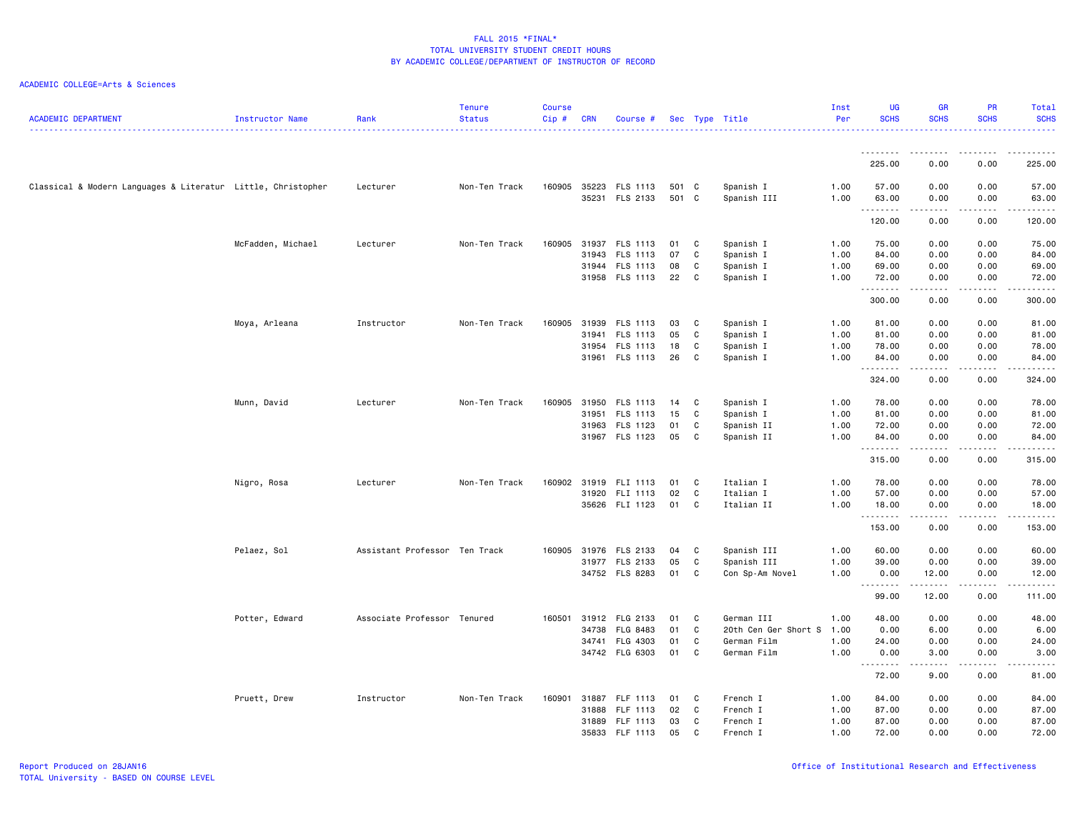| <b>ACADEMIC DEPARTMENT</b>                                   | Instructor Name   | Rank                          | <b>Tenure</b><br><b>Status</b> | <b>Course</b><br>Cip# | <b>CRN</b>   | Course #        |       |    | Sec Type Title       | Inst<br>Per | <b>UG</b><br><b>SCHS</b> | <b>GR</b><br><b>SCHS</b>                                                                                                                                     | <b>PR</b><br><b>SCHS</b> | Total<br><b>SCHS</b> |
|--------------------------------------------------------------|-------------------|-------------------------------|--------------------------------|-----------------------|--------------|-----------------|-------|----|----------------------|-------------|--------------------------|--------------------------------------------------------------------------------------------------------------------------------------------------------------|--------------------------|----------------------|
|                                                              |                   |                               |                                |                       |              |                 |       |    |                      |             |                          |                                                                                                                                                              |                          |                      |
|                                                              |                   |                               |                                |                       |              |                 |       |    |                      |             | .<br>225.00              | --------<br>0.00                                                                                                                                             | . <b>.</b><br>0.00       | .<br>225.00          |
| Classical & Modern Languages & Literatur Little, Christopher |                   | Lecturer                      | Non-Ten Track                  |                       | 160905 35223 | FLS 1113        | 501 C |    | Spanish I            | 1.00        | 57.00                    | 0.00                                                                                                                                                         | 0.00                     | 57.00                |
|                                                              |                   |                               |                                |                       | 35231        | FLS 2133        | 501 C |    | Spanish III          | 1.00        | 63.00                    | 0.00                                                                                                                                                         | 0.00                     | 63.00                |
|                                                              |                   |                               |                                |                       |              |                 |       |    |                      |             | .<br>120.00              | $\frac{1}{2} \left( \frac{1}{2} \right) \left( \frac{1}{2} \right) \left( \frac{1}{2} \right) \left( \frac{1}{2} \right) \left( \frac{1}{2} \right)$<br>0.00 | .<br>0.00                | 120.00               |
|                                                              | McFadden, Michael | Lecturer                      | Non-Ten Track                  | 160905                | 31937        | FLS 1113        | 01    | C. | Spanish I            | 1.00        | 75.00                    | 0.00                                                                                                                                                         | 0.00                     | 75.00                |
|                                                              |                   |                               |                                |                       | 31943        | <b>FLS 1113</b> | 07    | C  | Spanish I            | 1.00        | 84.00                    | 0.00                                                                                                                                                         | 0.00                     | 84.00                |
|                                                              |                   |                               |                                |                       | 31944        | FLS 1113        | 08    | C  | Spanish I            | 1.00        | 69.00                    | 0.00                                                                                                                                                         | 0.00                     | 69.00                |
|                                                              |                   |                               |                                |                       |              | 31958 FLS 1113  | 22    | C  | Spanish I            | 1.00        | 72.00                    | 0.00                                                                                                                                                         | 0.00                     | 72.00                |
|                                                              |                   |                               |                                |                       |              |                 |       |    |                      |             | .<br>300.00              | -----<br>0.00                                                                                                                                                | . <b>.</b><br>0.00       | .<br>300.00          |
|                                                              | Moya, Arleana     | Instructor                    | Non-Ten Track                  | 160905                | 31939        | FLS 1113        | 03    | C  | Spanish I            | 1.00        | 81.00                    | 0.00                                                                                                                                                         | 0.00                     | 81.00                |
|                                                              |                   |                               |                                |                       | 31941        | FLS 1113        | 05    | C  | Spanish I            | 1.00        | 81.00                    | 0.00                                                                                                                                                         | 0.00                     | 81.00                |
|                                                              |                   |                               |                                |                       | 31954        | FLS 1113        | 18    | C  | Spanish I            | 1.00        | 78.00                    | 0.00                                                                                                                                                         | 0.00                     | 78.00                |
|                                                              |                   |                               |                                |                       |              | 31961 FLS 1113  | 26    | C  | Spanish I            | 1.00        | 84.00<br>.               | 0.00<br>.                                                                                                                                                    | 0.00<br>.                | 84.00<br>.           |
|                                                              |                   |                               |                                |                       |              |                 |       |    |                      |             | 324.00                   | 0.00                                                                                                                                                         | 0.00                     | 324.00               |
|                                                              | Munn, David       | Lecturer                      | Non-Ten Track                  | 160905                | 31950        | FLS 1113        | 14    | C  | Spanish I            | 1.00        | 78.00                    | 0.00                                                                                                                                                         | 0.00                     | 78.00                |
|                                                              |                   |                               |                                |                       | 31951        | FLS 1113        | 15    | C  | Spanish I            | 1.00        | 81.00                    | 0.00                                                                                                                                                         | 0.00                     | 81.00                |
|                                                              |                   |                               |                                |                       | 31963        | FLS 1123        | 01    | C  | Spanish II           | 1.00        | 72.00                    | 0.00                                                                                                                                                         | 0.00                     | 72.00                |
|                                                              |                   |                               |                                |                       |              | 31967 FLS 1123  | 05    | C  | Spanish II           | 1.00        | 84.00                    | 0.00                                                                                                                                                         | 0.00                     | 84.00                |
|                                                              |                   |                               |                                |                       |              |                 |       |    |                      |             | .<br>315.00              | .<br>0.00                                                                                                                                                    | .<br>0.00                | .<br>315.00          |
|                                                              | Nigro, Rosa       | Lecturer                      | Non-Ten Track                  | 160902                | 31919        | FLI 1113        | 01    | C. | Italian I            | 1.00        | 78.00                    | 0.00                                                                                                                                                         | 0.00                     | 78.00                |
|                                                              |                   |                               |                                |                       | 31920        | FLI 1113        | 02    | C  | Italian I            | 1.00        | 57.00                    | 0.00                                                                                                                                                         | 0.00                     | 57.00                |
|                                                              |                   |                               |                                |                       |              | 35626 FLI 1123  | 01    | C  | Italian II           | 1.00        | 18.00                    | 0.00                                                                                                                                                         | 0.00                     | 18.00                |
|                                                              |                   |                               |                                |                       |              |                 |       |    |                      |             | .<br>153.00              | $\begin{array}{cccccccccc} \bullet & \bullet & \bullet & \bullet & \bullet & \bullet & \bullet \end{array}$<br>0.00                                          | .<br>0.00                | <b></b><br>153.00    |
|                                                              | Pelaez, Sol       | Assistant Professor Ten Track |                                | 160905                | 31976        | FLS 2133        | 04    | C  | Spanish III          | 1.00        | 60.00                    | 0.00                                                                                                                                                         | 0.00                     | 60.00                |
|                                                              |                   |                               |                                |                       |              | 31977 FLS 2133  | 05    | C  | Spanish III          | 1.00        | 39.00                    | 0.00                                                                                                                                                         | 0.00                     | 39.00                |
|                                                              |                   |                               |                                |                       |              | 34752 FLS 8283  | 01    | C  | Con Sp-Am Novel      | 1.00        | 0.00                     | 12.00                                                                                                                                                        | 0.00<br>.                | 12.00                |
|                                                              |                   |                               |                                |                       |              |                 |       |    |                      |             | .<br>99.00               | .<br>12.00                                                                                                                                                   | 0.00                     | 111.00               |
|                                                              | Potter, Edward    | Associate Professor Tenured   |                                | 160501                | 31912        | FLG 2133        | 01    | C  | German III           | 1.00        | 48.00                    | 0.00                                                                                                                                                         | 0.00                     | 48.00                |
|                                                              |                   |                               |                                |                       | 34738        | FLG 8483        | 01    | C  | 20th Cen Ger Short S | 1.00        | 0.00                     | 6.00                                                                                                                                                         | 0.00                     | 6.00                 |
|                                                              |                   |                               |                                |                       | 34741        | FLG 4303        | 01    | C  | German Film          | 1.00        | 24.00                    | 0.00                                                                                                                                                         | 0.00                     | 24.00                |
|                                                              |                   |                               |                                |                       |              | 34742 FLG 6303  | 01    | C  | German Film          | 1.00        | 0.00                     | 3.00                                                                                                                                                         | 0.00                     | 3.00                 |
|                                                              |                   |                               |                                |                       |              |                 |       |    |                      |             | .<br>72.00               | .<br>9.00                                                                                                                                                    | .<br>0.00                | .<br>81.00           |
|                                                              | Pruett, Drew      | Instructor                    | Non-Ten Track                  | 160901                | 31887        | FLF 1113        | 01    | C  | French I             | 1.00        | 84.00                    | 0.00                                                                                                                                                         | 0.00                     | 84.00                |
|                                                              |                   |                               |                                |                       | 31888        | FLF 1113        | 02    | C  | French I             | 1.00        | 87.00                    | 0.00                                                                                                                                                         | 0.00                     | 87.00                |
|                                                              |                   |                               |                                |                       | 31889        | FLF 1113        | 03    | C  | French I             | 1.00        | 87.00                    | 0.00                                                                                                                                                         | 0.00                     | 87.00                |
|                                                              |                   |                               |                                |                       | 35833        | FLF 1113        | 05    | C  | French I             | 1.00        | 72.00                    | 0.00                                                                                                                                                         | 0.00                     | 72.00                |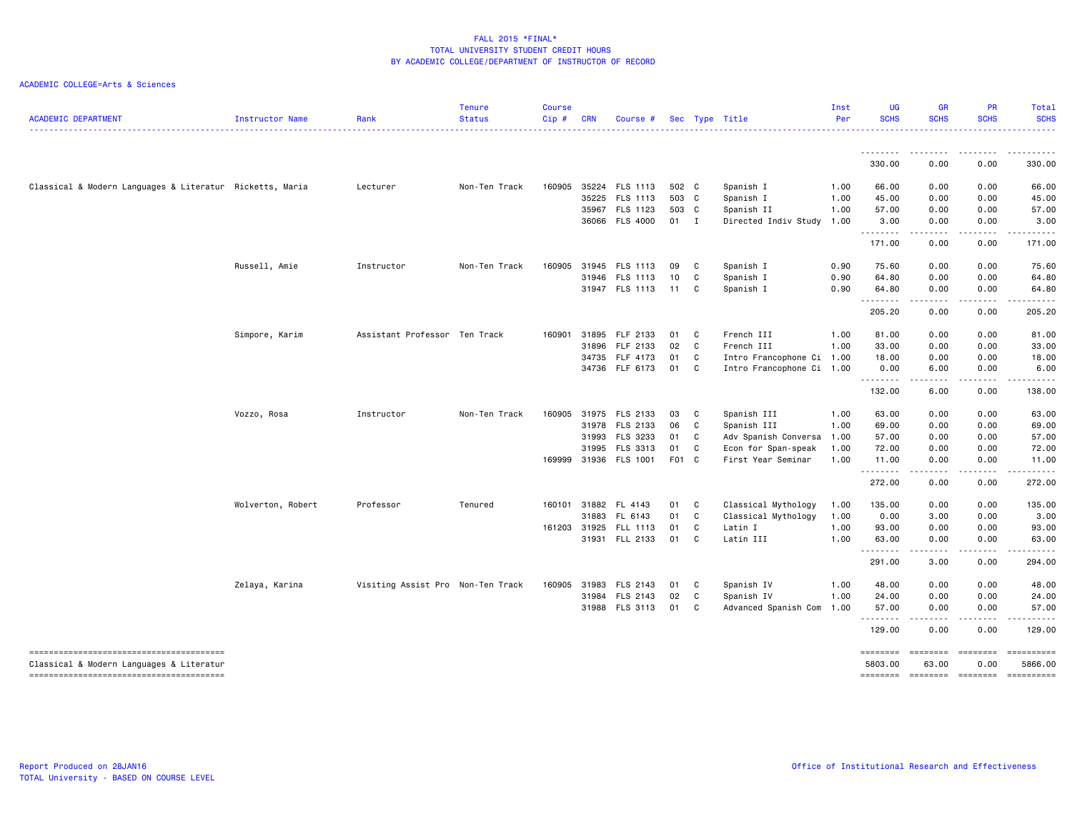| <b>ACADEMIC DEPARTMENT</b>                               | Instructor Name   | Rank                              | <b>Tenure</b><br><b>Status</b> | <b>Course</b><br>Cip# | <b>CRN</b> | Course #              |        |              | Sec Type Title            | Inst<br>Per | <b>UG</b><br><b>SCHS</b> | <b>GR</b><br><b>SCHS</b>                                                                                                          | <b>PR</b><br><b>SCHS</b>                                                                                                                                     | Total<br><b>SCHS</b>     |
|----------------------------------------------------------|-------------------|-----------------------------------|--------------------------------|-----------------------|------------|-----------------------|--------|--------------|---------------------------|-------------|--------------------------|-----------------------------------------------------------------------------------------------------------------------------------|--------------------------------------------------------------------------------------------------------------------------------------------------------------|--------------------------|
|                                                          |                   |                                   |                                |                       |            |                       |        |              |                           |             | <u>.</u>                 | ----                                                                                                                              | .                                                                                                                                                            | .                        |
|                                                          |                   |                                   |                                |                       |            |                       |        |              |                           |             | 330.00                   | 0.00                                                                                                                              | 0.00                                                                                                                                                         | 330.00                   |
| Classical & Modern Languages & Literatur Ricketts, Maria |                   | Lecturer                          | Non-Ten Track                  | 160905                |            | 35224 FLS 1113        | 502 C  |              | Spanish I                 | 1.00        | 66.00                    | 0.00                                                                                                                              | 0.00                                                                                                                                                         | 66.00                    |
|                                                          |                   |                                   |                                |                       | 35225      | FLS 1113              | 503 C  |              | Spanish I                 | 1.00        | 45.00                    | 0.00                                                                                                                              | 0.00                                                                                                                                                         | 45.00                    |
|                                                          |                   |                                   |                                |                       |            | 35967 FLS 1123        | 503 C  |              | Spanish II                | 1.00        | 57.00                    | 0.00                                                                                                                              | 0.00                                                                                                                                                         | 57.00                    |
|                                                          |                   |                                   |                                |                       |            | 36066 FLS 4000        | $01$ I |              | Directed Indiv Study      | 1.00        | 3.00<br>.                | 0.00                                                                                                                              | 0.00                                                                                                                                                         | 3.00                     |
|                                                          |                   |                                   |                                |                       |            |                       |        |              |                           |             | 171.00                   | 0.00                                                                                                                              | 0.00                                                                                                                                                         | 171.00                   |
|                                                          | Russell, Amie     | Instructor                        | Non-Ten Track                  | 160905                |            | 31945 FLS 1113        | 09     | $\mathbf{C}$ | Spanish I                 | 0.90        | 75.60                    | 0.00                                                                                                                              | 0.00                                                                                                                                                         | 75.60                    |
|                                                          |                   |                                   |                                |                       |            | 31946 FLS 1113        | 10     | C            | Spanish I                 | 0.90        | 64.80                    | 0.00                                                                                                                              | 0.00                                                                                                                                                         | 64.80                    |
|                                                          |                   |                                   |                                |                       |            | 31947 FLS 1113        | 11 C   |              | Spanish I                 | 0.90        | 64.80<br><u>.</u>        | 0.00<br>$\sim$ $\sim$ $\sim$ $\sim$                                                                                               | 0.00<br>.                                                                                                                                                    | 64.80<br>.               |
|                                                          |                   |                                   |                                |                       |            |                       |        |              |                           |             | 205.20                   | 0.00                                                                                                                              | 0.00                                                                                                                                                         | 205.20                   |
|                                                          | Simpore, Karim    | Assistant Professor Ten Track     |                                | 160901                |            | 31895 FLF 2133        | 01     | $\mathbf{C}$ | French III                | 1.00        | 81.00                    | 0.00                                                                                                                              | 0.00                                                                                                                                                         | 81.00                    |
|                                                          |                   |                                   |                                |                       | 31896      | FLF 2133              | 02     | $\mathbf{C}$ | French III                | 1.00        | 33.00                    | 0.00                                                                                                                              | 0.00                                                                                                                                                         | 33.00                    |
|                                                          |                   |                                   |                                |                       |            | 34735 FLF 4173        | 01     | $\mathbf{C}$ | Intro Francophone Ci 1.00 |             | 18.00                    | 0.00                                                                                                                              | 0.00                                                                                                                                                         | 18.00                    |
|                                                          |                   |                                   |                                |                       |            | 34736 FLF 6173        | 01     | $\mathbf{C}$ | Intro Francophone Ci 1.00 |             | 0.00<br>.                | 6.00<br>.                                                                                                                         | 0.00<br>.                                                                                                                                                    | 6.00                     |
|                                                          |                   |                                   |                                |                       |            |                       |        |              |                           |             | 132.00                   | 6.00                                                                                                                              | 0.00                                                                                                                                                         | 138.00                   |
|                                                          | Vozzo, Rosa       | Instructor                        | Non-Ten Track                  | 160905                |            | 31975 FLS 2133        | 03     | C            | Spanish III               | 1.00        | 63.00                    | 0.00                                                                                                                              | 0.00                                                                                                                                                         | 63.00                    |
|                                                          |                   |                                   |                                |                       |            | 31978 FLS 2133        | 06     | C            | Spanish III               | 1.00        | 69.00                    | 0.00                                                                                                                              | 0.00                                                                                                                                                         | 69.00                    |
|                                                          |                   |                                   |                                |                       | 31993      | FLS 3233              | 01 C   |              | Adv Spanish Conversa      | 1.00        | 57.00                    | 0.00                                                                                                                              | 0.00                                                                                                                                                         | 57.00                    |
|                                                          |                   |                                   |                                |                       | 31995      | FLS 3313              | 01     | $\mathbf{C}$ | Econ for Span-speak       | 1.00        | 72.00                    | 0.00                                                                                                                              | 0.00                                                                                                                                                         | 72.00                    |
|                                                          |                   |                                   |                                | 169999                |            | 31936 FLS 1001        | F01 C  |              | First Year Seminar        | 1.00        | 11.00<br><u>.</u>        | 0.00<br>$\frac{1}{2} \left( \frac{1}{2} \right) \left( \frac{1}{2} \right) \left( \frac{1}{2} \right) \left( \frac{1}{2} \right)$ | 0.00<br>.                                                                                                                                                    | 11.00<br>$- - - - - - -$ |
|                                                          |                   |                                   |                                |                       |            |                       |        |              |                           |             | 272.00                   | 0.00                                                                                                                              | 0.00                                                                                                                                                         | 272.00                   |
|                                                          | Wolverton, Robert | Professor                         | Tenured                        | 160101                | 31882      | FL 4143               | 01     | C.           | Classical Mythology       | 1.00        | 135.00                   | 0.00                                                                                                                              | 0.00                                                                                                                                                         | 135.00                   |
|                                                          |                   |                                   |                                |                       | 31883      | FL 6143               | 01 C   |              | Classical Mythology       | 1.00        | 0.00                     | 3.00                                                                                                                              | 0.00                                                                                                                                                         | 3.00                     |
|                                                          |                   |                                   |                                |                       |            | 161203 31925 FLL 1113 | 01     | $\mathbf{C}$ | Latin I                   | 1.00        | 93.00                    | 0.00                                                                                                                              | 0.00                                                                                                                                                         | 93.00                    |
|                                                          |                   |                                   |                                |                       |            | 31931 FLL 2133        | 01 C   |              | Latin III                 | 1.00        | 63.00                    | 0.00<br>$\omega_{\rm{eff}}$ and $\omega_{\rm{eff}}$                                                                               | 0.00<br>$\frac{1}{2} \left( \frac{1}{2} \right) \left( \frac{1}{2} \right) \left( \frac{1}{2} \right) \left( \frac{1}{2} \right) \left( \frac{1}{2} \right)$ | 63.00                    |
|                                                          |                   |                                   |                                |                       |            |                       |        |              |                           |             | .<br>291.00              | 3.00                                                                                                                              | 0.00                                                                                                                                                         | 294.00                   |
|                                                          | Zelaya, Karina    | Visiting Assist Pro Non-Ten Track |                                | 160905                | 31983      | FLS 2143              | 01     | $\mathbf{C}$ | Spanish IV                | 1.00        | 48.00                    | 0.00                                                                                                                              | 0.00                                                                                                                                                         | 48.00                    |
|                                                          |                   |                                   |                                |                       |            | 31984 FLS 2143        | 02     | $\mathbf{C}$ | Spanish IV                | 1.00        | 24.00                    | 0.00                                                                                                                              | 0.00                                                                                                                                                         | 24.00                    |
|                                                          |                   |                                   |                                |                       |            | 31988 FLS 3113        | 01 C   |              | Advanced Spanish Com      | 1.00        | 57.00<br>.               | 0.00<br>$\frac{1}{2} \left( \frac{1}{2} \right) \left( \frac{1}{2} \right) \left( \frac{1}{2} \right) \left( \frac{1}{2} \right)$ | 0.00<br>.                                                                                                                                                    | 57.00                    |
|                                                          |                   |                                   |                                |                       |            |                       |        |              |                           |             | 129.00                   | 0.00                                                                                                                              | 0.00                                                                                                                                                         | 129,00                   |
|                                                          |                   |                                   |                                |                       |            |                       |        |              |                           |             | ========                 | ========                                                                                                                          | $= 1.122222222$                                                                                                                                              | ==========               |
| Classical & Modern Languages & Literatur                 |                   |                                   |                                |                       |            |                       |        |              |                           |             | 5803.00<br>========      | 63.00<br>$= 1000000000$                                                                                                           | 0.00<br>========                                                                                                                                             | 5866.00<br>==========    |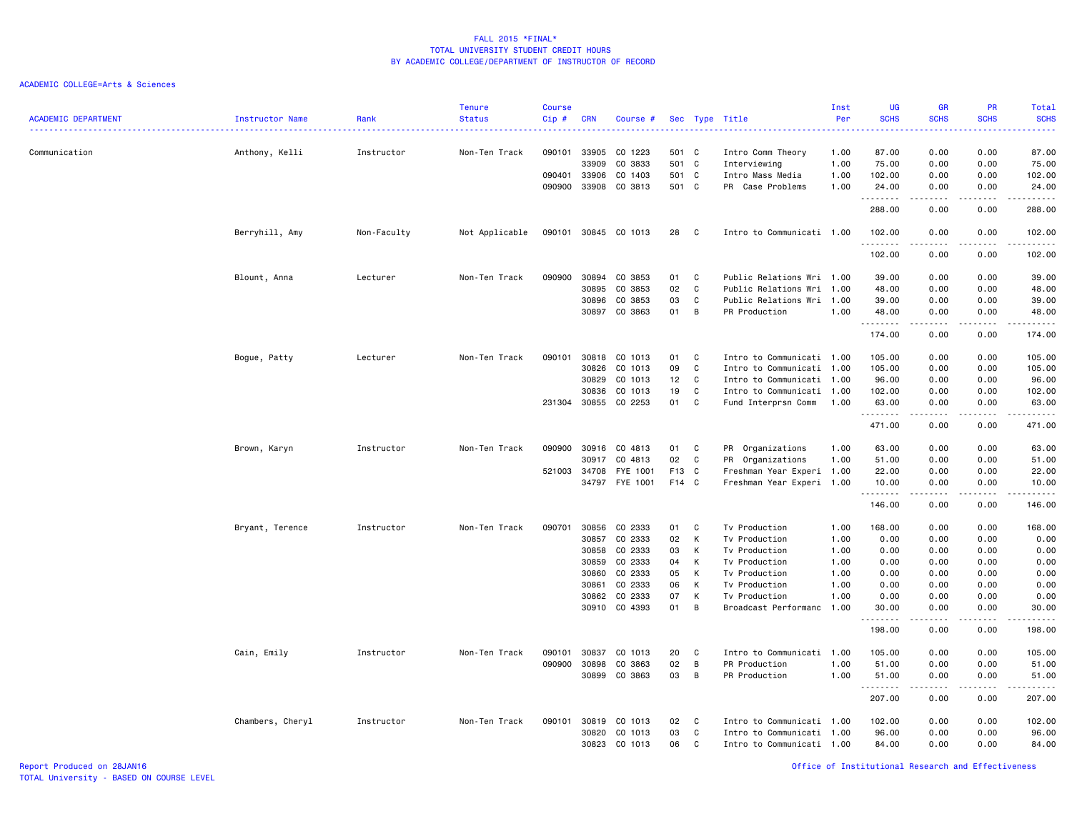ACADEMIC COLLEGE=Arts & Sciences

| <b>ACADEMIC DEPARTMENT</b> | Instructor Name  | Rank        | <b>Tenure</b><br><b>Status</b> | <b>Course</b><br>Cip# | <b>CRN</b>     | Course #             |              |        | Sec Type Title                    | Inst<br>Per  | UG<br><b>SCHS</b><br>. | <b>GR</b><br><b>SCHS</b>                                                                                                                                     | PR<br><b>SCHS</b>                   | Total<br><b>SCHS</b><br>. د د د د |
|----------------------------|------------------|-------------|--------------------------------|-----------------------|----------------|----------------------|--------------|--------|-----------------------------------|--------------|------------------------|--------------------------------------------------------------------------------------------------------------------------------------------------------------|-------------------------------------|-----------------------------------|
| Communication              | Anthony, Kelli   | Instructor  | Non-Ten Track                  | 090101                | 33905<br>33909 | CO 1223<br>CO 3833   | 501 C<br>501 | C      | Intro Comm Theory<br>Interviewing | 1.00<br>1.00 | 87.00<br>75.00         | 0.00<br>0.00                                                                                                                                                 | 0.00<br>0.00                        | 87.00<br>75.00                    |
|                            |                  |             |                                | 090401                | 33906          | CO 1403              | 501 C        |        | Intro Mass Media                  | 1.00         | 102.00                 | 0.00                                                                                                                                                         | 0.00                                | 102.00                            |
|                            |                  |             |                                | 090900                | 33908          | CO 3813              | 501 C        |        | PR Case Problems                  | 1.00         | 24.00<br>.             | 0.00                                                                                                                                                         | 0.00                                | 24.00<br>.                        |
|                            |                  |             |                                |                       |                |                      |              |        |                                   |              | 288.00                 | 0.00                                                                                                                                                         | 0.00                                | 288.00                            |
|                            | Berryhill, Amy   | Non-Faculty | Not Applicable                 |                       |                | 090101 30845 CO 1013 | 28           | C      | Intro to Communicati 1.00         |              | 102.00<br>.            | 0.00<br>$\frac{1}{2} \left( \frac{1}{2} \right) \left( \frac{1}{2} \right) \left( \frac{1}{2} \right) \left( \frac{1}{2} \right) \left( \frac{1}{2} \right)$ | 0.00<br>.                           | 102.00<br>.                       |
|                            |                  |             |                                |                       |                |                      |              |        |                                   |              | 102.00                 | 0.00                                                                                                                                                         | 0.00                                | 102.00                            |
|                            | Blount, Anna     | Lecturer    | Non-Ten Track                  | 090900                | 30894          | CO 3853              | 01           | C      | Public Relations Wri 1.00         |              | 39.00                  | 0.00                                                                                                                                                         | 0.00                                | 39.00                             |
|                            |                  |             |                                |                       | 30895          | CO 3853              | 02           | C      | Public Relations Wri              | 1.00         | 48.00                  | 0.00                                                                                                                                                         | 0.00                                | 48.00                             |
|                            |                  |             |                                |                       | 30896          | CO 3853              | 03           | C      | Public Relations Wri              | 1.00         | 39.00                  | 0.00                                                                                                                                                         | 0.00                                | 39.00                             |
|                            |                  |             |                                |                       |                | 30897 CO 3863        | 01           | B      | PR Production                     | 1.00         | 48.00<br><b>.</b> .    | 0.00<br>.                                                                                                                                                    | 0.00<br>.                           | 48.00<br>.                        |
|                            |                  |             |                                |                       |                |                      |              |        |                                   |              | 174.00                 | 0.00                                                                                                                                                         | 0.00                                | 174.00                            |
|                            | Bogue, Patty     | Lecturer    | Non-Ten Track                  | 090101                |                | 30818 CO 1013        | 01           | C      | Intro to Communicati 1.00         |              | 105.00                 | 0.00                                                                                                                                                         | 0.00                                | 105.00                            |
|                            |                  |             |                                |                       | 30826          | CO 1013              | 09           | C      | Intro to Communicati              | 1.00         | 105.00                 | 0.00                                                                                                                                                         | 0.00                                | 105.00                            |
|                            |                  |             |                                |                       | 30829          | CO 1013              | 12           | C      | Intro to Communicati 1.00         |              | 96.00                  | 0.00                                                                                                                                                         | 0.00                                | 96.00                             |
|                            |                  |             |                                |                       | 30836          | CO 1013              | 19           | C      | Intro to Communicati              | 1.00         | 102.00                 | 0.00                                                                                                                                                         | 0.00                                | 102.00                            |
|                            |                  |             |                                |                       | 231304 30855   | CO 2253              | 01           | C      | Fund Interprsn Comm               | 1.00         | 63.00<br>.             | 0.00<br>.                                                                                                                                                    | 0.00<br>.                           | 63.00<br>.                        |
|                            |                  |             |                                |                       |                |                      |              |        |                                   |              | 471.00                 | 0.00                                                                                                                                                         | 0.00                                | 471.00                            |
|                            | Brown, Karyn     | Instructor  | Non-Ten Track                  | 090900                | 30916          | CO 4813              | 01           | C      | PR Organizations                  | 1.00         | 63.00                  | 0.00                                                                                                                                                         | 0.00                                | 63.00                             |
|                            |                  |             |                                |                       | 30917          | CO 4813              | 02           | C      | PR Organizations                  | 1.00         | 51.00                  | 0.00                                                                                                                                                         | 0.00                                | 51.00                             |
|                            |                  |             |                                | 521003 34708          |                | FYE 1001             | F13          | C      | Freshman Year Experi 1.00         |              | 22.00                  | 0.00                                                                                                                                                         | 0.00                                | 22.00                             |
|                            |                  |             |                                |                       | 34797          | FYE 1001             | F14 C        |        | Freshman Year Experi 1.00         |              | 10.00<br>.             | 0.00<br>$\sim$ $\sim$ $\sim$ $\sim$                                                                                                                          | 0.00<br>$\sim$ $\sim$ $\sim$ $\sim$ | 10.00<br>.                        |
|                            |                  |             |                                |                       |                |                      |              |        |                                   |              | 146.00                 | 0.00                                                                                                                                                         | 0.00                                | 146.00                            |
|                            | Bryant, Terence  | Instructor  | Non-Ten Track                  | 090701                | 30856          | CO 2333              | 01           | C      | Tv Production                     | 1.00         | 168.00                 | 0.00                                                                                                                                                         | 0.00                                | 168.00                            |
|                            |                  |             |                                |                       | 30857          | CO 2333              | 02           | К      | Tv Production                     | 1.00         | 0.00                   | 0.00                                                                                                                                                         | 0.00                                | 0.00                              |
|                            |                  |             |                                |                       | 30858          | CO 2333              | 03           | К      | Tv Production                     | 1.00         | 0.00                   | 0.00                                                                                                                                                         | 0.00                                | 0.00                              |
|                            |                  |             |                                |                       | 30859          | CO 2333              | 04<br>05     | К      | Tv Production                     | 1.00         | 0.00                   | 0.00                                                                                                                                                         | 0.00                                | 0.00                              |
|                            |                  |             |                                |                       | 30860<br>30861 | CO 2333<br>CO 2333   | 06           | К<br>К | Tv Production<br>Tv Production    | 1.00<br>1.00 | 0.00<br>0.00           | 0.00<br>0.00                                                                                                                                                 | 0.00<br>0.00                        | 0.00<br>0.00                      |
|                            |                  |             |                                |                       | 30862          | CO 2333              | 07           | К      | Tv Production                     | 1.00         | 0.00                   | 0.00                                                                                                                                                         | 0.00                                | 0.00                              |
|                            |                  |             |                                |                       |                | 30910 CO 4393        | 01           | B      | Broadcast Performanc              | 1.00         | 30.00                  | 0.00                                                                                                                                                         | 0.00                                | 30.00                             |
|                            |                  |             |                                |                       |                |                      |              |        |                                   |              | .<br>198.00            | $\frac{1}{2} \left( \frac{1}{2} \right) \left( \frac{1}{2} \right) \left( \frac{1}{2} \right) \left( \frac{1}{2} \right) \left( \frac{1}{2} \right)$<br>0.00 | 0.00                                | .<br>198.00                       |
|                            | Cain, Emily      | Instructor  | Non-Ten Track                  | 090101                | 30837          | CO 1013              | 20           | C      | Intro to Communicati 1.00         |              | 105.00                 | 0.00                                                                                                                                                         | 0.00                                | 105.00                            |
|                            |                  |             |                                | 090900                | 30898          | CO 3863              | 02           | B      | PR Production                     | 1.00         | 51.00                  | 0.00                                                                                                                                                         | 0.00                                | 51.00                             |
|                            |                  |             |                                |                       | 30899          | CO 3863              | 03           | B      | PR Production                     | 1.00         | 51.00                  | 0.00                                                                                                                                                         | 0.00                                | 51.00                             |
|                            |                  |             |                                |                       |                |                      |              |        |                                   |              | .<br>207.00            | 0.00                                                                                                                                                         | 0.00                                | 207.00                            |
|                            | Chambers, Cheryl | Instructor  | Non-Ten Track                  | 090101                | 30819          | CO 1013              | 02           | C      | Intro to Communicati              | 1.00         | 102.00                 | 0.00                                                                                                                                                         | 0.00                                | 102.00                            |
|                            |                  |             |                                |                       | 30820          | CO 1013              | 03           | C      | Intro to Communicati              | 1.00         | 96.00                  | 0.00                                                                                                                                                         | 0.00                                | 96.00                             |
|                            |                  |             |                                |                       | 30823          | CO 1013              | 06           | C      | Intro to Communicati 1.00         |              | 84.00                  | 0.00                                                                                                                                                         | 0.00                                | 84.00                             |

Report Produced on 28JAN16 Office of Institutional Research and Effectiveness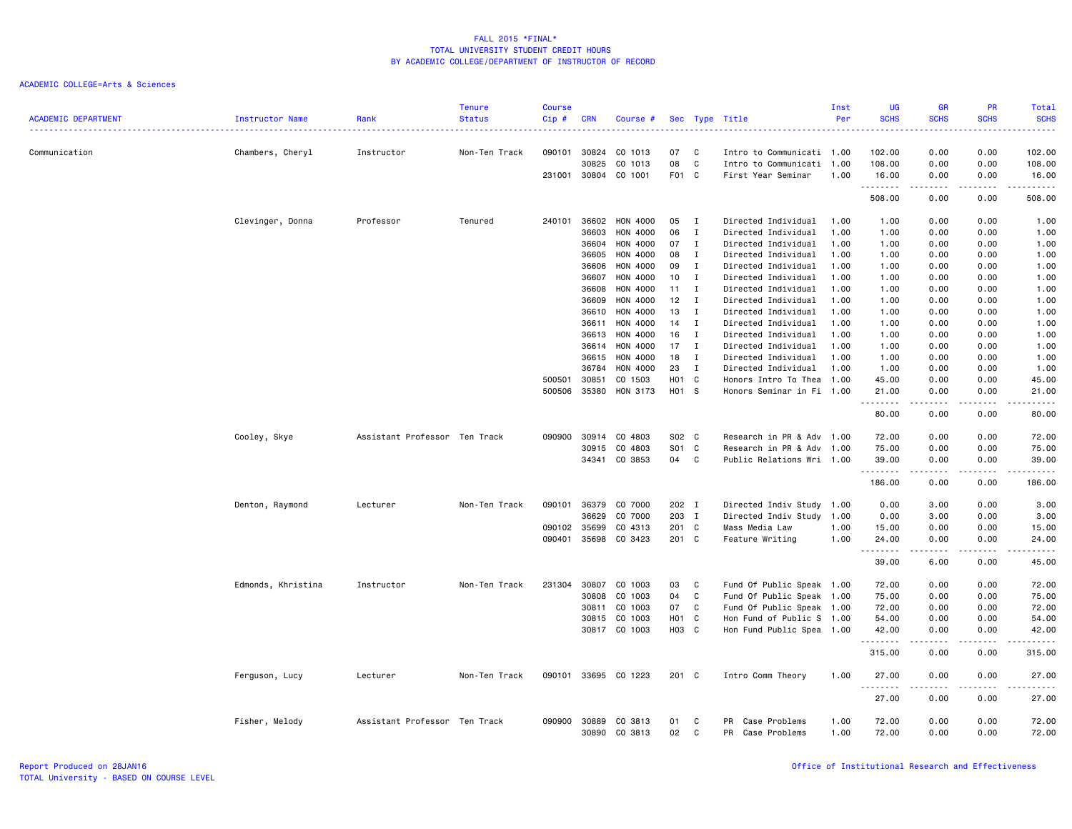|                            |                    |                               | <b>Tenure</b> | <b>Course</b> |              |               |                   |              |                           | Inst | UG          | <b>GR</b>             | <b>PR</b>             | <b>Total</b>                                                                                                                                                  |
|----------------------------|--------------------|-------------------------------|---------------|---------------|--------------|---------------|-------------------|--------------|---------------------------|------|-------------|-----------------------|-----------------------|---------------------------------------------------------------------------------------------------------------------------------------------------------------|
| <b>ACADEMIC DEPARTMENT</b> | Instructor Name    | Rank                          | <b>Status</b> | $Cip$ #       | <b>CRN</b>   | Course #      |                   |              | Sec Type Title            | Per  | <b>SCHS</b> | <b>SCHS</b>           | <b>SCHS</b>           | <b>SCHS</b><br>$\frac{1}{2} \left( \frac{1}{2} \right) \left( \frac{1}{2} \right) \left( \frac{1}{2} \right) \left( \frac{1}{2} \right)$                      |
| Communication              | Chambers, Cheryl   | Instructor                    | Non-Ten Track | 090101        | 30824        | CO 1013       | 07                | C            | Intro to Communicati      | 1.00 | 102.00      | 0.00                  | 0.00                  | 102.00                                                                                                                                                        |
|                            |                    |                               |               |               | 30825        | CO 1013       | 08                | C            | Intro to Communicati      | 1.00 | 108.00      | 0.00                  | 0.00                  | 108.00                                                                                                                                                        |
|                            |                    |                               |               |               | 231001 30804 | CO 1001       | F01 C             |              | First Year Seminar        | 1.00 | 16.00       | 0.00                  | 0.00                  | 16.00                                                                                                                                                         |
|                            |                    |                               |               |               |              |               |                   |              |                           |      | .<br>508.00 | $\frac{1}{2}$<br>0.00 | .<br>0.00             | .<br>508.00                                                                                                                                                   |
|                            |                    |                               |               |               |              |               |                   |              |                           |      |             |                       |                       |                                                                                                                                                               |
|                            | Clevinger, Donna   | Professor                     | Tenured       | 240101        | 36602        | HON 4000      | 05                | $\mathbf{I}$ | Directed Individual       | 1.00 | 1.00        | 0.00                  | 0.00                  | 1.00                                                                                                                                                          |
|                            |                    |                               |               |               | 36603        | HON 4000      | 06                | $\mathbf I$  | Directed Individual       | 1.00 | 1.00        | 0.00                  | 0.00                  | 1.00                                                                                                                                                          |
|                            |                    |                               |               |               | 36604        | HON 4000      | 07                | $\mathbf{I}$ | Directed Individual       | 1.00 | 1.00        | 0.00                  | 0.00                  | 1.00                                                                                                                                                          |
|                            |                    |                               |               |               | 36605        | HON 4000      | 08                | $\mathbf{I}$ | Directed Individual       | 1.00 | 1.00        | 0.00                  | 0.00                  | 1.00                                                                                                                                                          |
|                            |                    |                               |               |               | 36606        | HON 4000      | 09                | Ι.           | Directed Individual       | 1.00 | 1.00        | 0.00                  | 0.00                  | 1.00                                                                                                                                                          |
|                            |                    |                               |               |               | 36607        | HON 4000      | 10                | $\mathbf{I}$ | Directed Individual       | 1.00 | 1.00        | 0.00                  | 0.00                  | 1.00                                                                                                                                                          |
|                            |                    |                               |               |               | 36608        | HON 4000      | 11                | $\mathbf{I}$ | Directed Individual       | 1.00 | 1.00        | 0.00                  | 0.00                  | 1.00                                                                                                                                                          |
|                            |                    |                               |               |               | 36609        | HON 4000      | 12                | Ι.           | Directed Individual       | 1.00 | 1.00        | 0.00                  | 0.00                  | 1.00                                                                                                                                                          |
|                            |                    |                               |               |               | 36610        | HON 4000      | 13                | $\mathbf{I}$ | Directed Individual       | 1.00 | 1.00        | 0.00                  | 0.00                  | 1.00                                                                                                                                                          |
|                            |                    |                               |               |               | 36611        | HON 4000      | 14                | $\mathbf I$  | Directed Individual       | 1.00 | 1.00        | 0.00                  | 0.00                  | 1.00                                                                                                                                                          |
|                            |                    |                               |               |               | 36613        | HON 4000      | 16                | Ι.           | Directed Individual       | 1.00 | 1.00        | 0.00                  | 0.00                  | 1.00                                                                                                                                                          |
|                            |                    |                               |               |               | 36614        | HON 4000      | 17                | $\mathbf{I}$ | Directed Individual       | 1.00 | 1.00        | 0.00                  | 0.00                  | 1.00                                                                                                                                                          |
|                            |                    |                               |               |               | 36615        | HON 4000      | 18                | $\mathbf{I}$ | Directed Individual       | 1.00 | 1.00        | 0.00                  | 0.00                  | 1.00                                                                                                                                                          |
|                            |                    |                               |               |               | 36784        | HON 4000      | 23                | $\mathbf{I}$ | Directed Individual       | 1.00 | 1.00        | 0.00                  | 0.00                  | 1.00                                                                                                                                                          |
|                            |                    |                               |               | 500501        | 30851        | CO 1503       | H <sub>01</sub> C |              | Honors Intro To Thea      | 1.00 | 45.00       | 0.00                  | 0.00                  | 45.00                                                                                                                                                         |
|                            |                    |                               |               | 500506        | 35380        | HON 3173      | H01 S             |              | Honors Seminar in Fi 1.00 |      | 21.00       | 0.00                  | 0.00                  | 21.00<br>$\frac{1}{2}$                                                                                                                                        |
|                            |                    |                               |               |               |              |               |                   |              |                           |      | 80.00       | 0.00                  | 0.00                  | 80.00                                                                                                                                                         |
|                            | Cooley, Skye       | Assistant Professor Ten Track |               | 090900        | 30914        | CO 4803       | S02 C             |              | Research in PR & Adv 1.00 |      | 72.00       | 0.00                  | 0.00                  | 72.00                                                                                                                                                         |
|                            |                    |                               |               |               | 30915        | CO 4803       | S01 C             |              | Research in PR & Adv      | 1.00 | 75.00       | 0.00                  | 0.00                  | 75.00                                                                                                                                                         |
|                            |                    |                               |               |               | 34341        | CO 3853       | 04                | $\mathbf{C}$ | Public Relations Wri 1.00 |      | 39.00<br>.  | 0.00                  | 0.00                  | 39.00                                                                                                                                                         |
|                            |                    |                               |               |               |              |               |                   |              |                           |      | 186.00      | 0.00                  | 0.00                  | 186.00                                                                                                                                                        |
|                            | Denton, Raymond    | Lecturer                      | Non-Ten Track | 090101        | 36379        | CO 7000       | 202 I             |              | Directed Indiv Study      | 1.00 | 0.00        | 3.00                  | 0.00                  | 3.00                                                                                                                                                          |
|                            |                    |                               |               |               | 36629        | CO 7000       | 203 I             |              | Directed Indiv Study      | 1.00 | 0.00        | 3.00                  | 0.00                  | 3.00                                                                                                                                                          |
|                            |                    |                               |               | 090102        | 35699        | CO 4313       | 201 C             |              | Mass Media Law            | 1.00 | 15.00       | 0.00                  | 0.00                  | 15.00                                                                                                                                                         |
|                            |                    |                               |               | 090401        | 35698        | CO 3423       | 201 C             |              | Feature Writing           | 1.00 | 24.00<br>.  | 0.00<br>.             | 0.00                  | 24.00<br>$\frac{1}{2} \left( \frac{1}{2} \right) \left( \frac{1}{2} \right) \left( \frac{1}{2} \right) \left( \frac{1}{2} \right) \left( \frac{1}{2} \right)$ |
|                            |                    |                               |               |               |              |               |                   |              |                           |      | 39.00       | 6.00                  | 0.00                  | 45.00                                                                                                                                                         |
|                            | Edmonds, Khristina | Instructor                    | Non-Ten Track | 231304        | 30807        | CO 1003       | 03                | C            | Fund Of Public Speak 1.00 |      | 72.00       | 0.00                  | 0.00                  | 72.00                                                                                                                                                         |
|                            |                    |                               |               |               | 30808        | CO 1003       | 04                | C            | Fund Of Public Speak      | 1.00 | 75.00       | 0.00                  | 0.00                  | 75.00                                                                                                                                                         |
|                            |                    |                               |               |               | 30811        | CO 1003       | 07                | C            | Fund Of Public Speak 1.00 |      | 72.00       | 0.00                  | 0.00                  | 72.00                                                                                                                                                         |
|                            |                    |                               |               |               | 30815        | CO 1003       | H <sub>01</sub> C |              | Hon Fund of Public S 1.00 |      | 54.00       | 0.00                  | 0.00                  | 54.00                                                                                                                                                         |
|                            |                    |                               |               |               |              | 30817 CO 1003 | H03 C             |              | Hon Fund Public Spea 1.00 |      | 42.00       | 0.00                  | 0.00                  | 42.00                                                                                                                                                         |
|                            |                    |                               |               |               |              |               |                   |              |                           |      | .           |                       |                       |                                                                                                                                                               |
|                            |                    |                               |               |               |              |               |                   |              |                           |      | 315.00      | 0.00                  | 0.00                  | 315.00                                                                                                                                                        |
|                            | Ferguson, Lucy     | Lecturer                      | Non-Ten Track | 090101        |              | 33695 CO 1223 | 201 C             |              | Intro Comm Theory         | 1.00 | 27.00<br>.  | 0.00<br>$- - - -$     | 0.00<br>$\frac{1}{2}$ | 27.00<br>.                                                                                                                                                    |
|                            |                    |                               |               |               |              |               |                   |              |                           |      | 27.00       | 0.00                  | 0.00                  | 27.00                                                                                                                                                         |
|                            | Fisher, Melody     | Assistant Professor Ten Track |               | 090900        | 30889        | CO 3813       | 01                | C            | PR Case Problems          | 1.00 | 72.00       | 0.00                  | 0.00                  | 72.00                                                                                                                                                         |
|                            |                    |                               |               |               | 30890        | CO 3813       | 02                | C            | Case Problems<br>PR       | 1.00 | 72.00       | 0.00                  | 0.00                  | 72.00                                                                                                                                                         |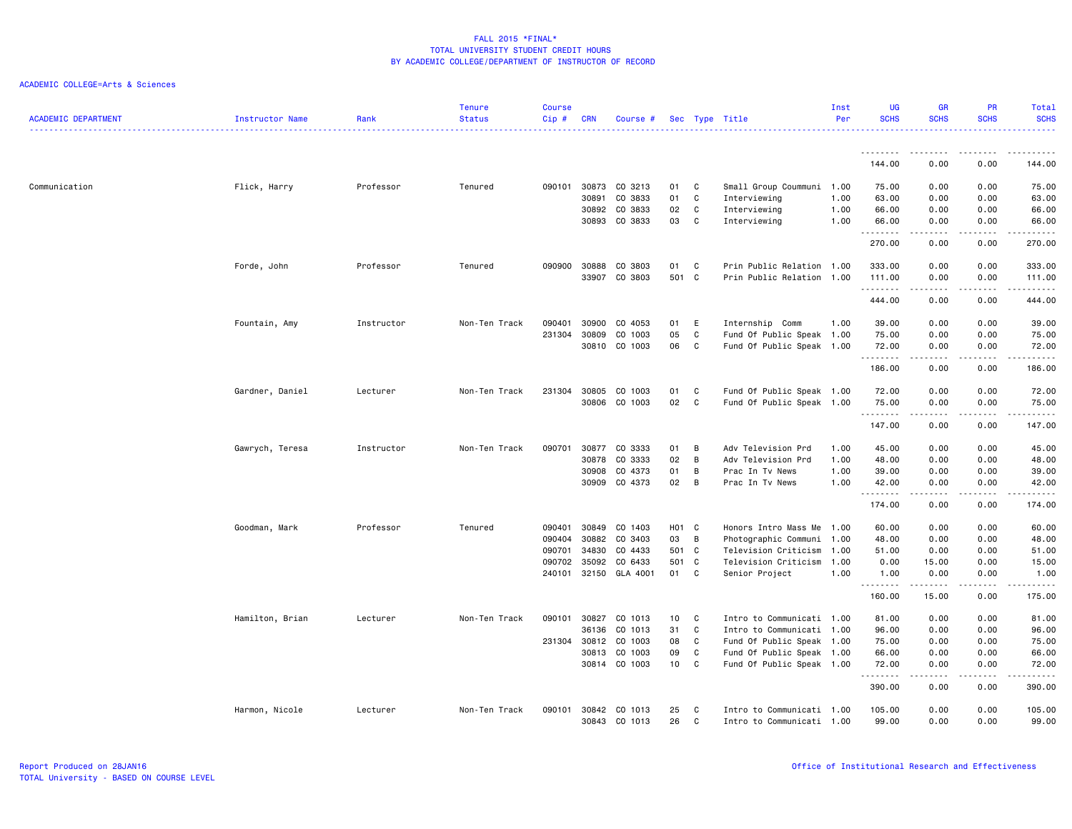| <b>ACADEMIC DEPARTMENT</b> | Instructor Name | Rank       | <b>Tenure</b><br><b>Status</b> | <b>Course</b><br>Cip# | CRN            | Course #           |                   |                | Sec Type Title                     | Inst<br>Per  | <b>UG</b><br><b>SCHS</b> | <b>GR</b><br><b>SCHS</b>                                                                                                                             | <b>PR</b><br><b>SCHS</b>            | Total<br><b>SCHS</b><br><u>.</u> |
|----------------------------|-----------------|------------|--------------------------------|-----------------------|----------------|--------------------|-------------------|----------------|------------------------------------|--------------|--------------------------|------------------------------------------------------------------------------------------------------------------------------------------------------|-------------------------------------|----------------------------------|
|                            |                 |            |                                |                       |                |                    |                   |                |                                    |              | <u>.</u>                 | <u> - - - - - - - -</u>                                                                                                                              | .                                   | .                                |
|                            |                 |            |                                |                       |                |                    |                   |                |                                    |              | 144.00                   | 0.00                                                                                                                                                 | 0.00                                | 144.00                           |
| Communication              | Flick, Harry    | Professor  | Tenured                        | 090101                | 30873          | CO 3213            | 01                | C              | Small Group Coummuni 1.00          |              | 75.00                    | 0.00                                                                                                                                                 | 0.00                                | 75.00                            |
|                            |                 |            |                                |                       | 30891          | CO 3833            | 01                | C              | Interviewing                       | 1.00         | 63.00                    | 0.00                                                                                                                                                 | 0.00                                | 63.00                            |
|                            |                 |            |                                |                       | 30892          | CO 3833            | 02                | C              | Interviewing                       | 1.00         | 66.00                    | 0.00                                                                                                                                                 | 0.00                                | 66.00                            |
|                            |                 |            |                                |                       | 30893          | CO 3833            | 03                | C.             | Interviewing                       | 1.00         | 66.00<br>.               | 0.00<br>$\begin{array}{cccccccccccccc} \bullet & \bullet & \bullet & \bullet & \bullet & \bullet & \bullet \end{array}$                              | 0.00<br>.                           | 66.00<br>.                       |
|                            |                 |            |                                |                       |                |                    |                   |                |                                    |              | 270.00                   | 0.00                                                                                                                                                 | 0.00                                | 270.00                           |
|                            | Forde, John     | Professor  | Tenured                        | 090900                | 30888          | CO 3803            | 01                | C              | Prin Public Relation 1.00          |              | 333.00                   | 0.00                                                                                                                                                 | 0.00                                | 333.00                           |
|                            |                 |            |                                |                       | 33907          | CO 3803            | 501 C             |                | Prin Public Relation 1.00          |              | 111.00                   | 0.00                                                                                                                                                 | 0.00                                | 111.00                           |
|                            |                 |            |                                |                       |                |                    |                   |                |                                    |              | .                        | $\frac{1}{2} \left( \frac{1}{2} \right) \left( \frac{1}{2} \right) \left( \frac{1}{2} \right) \left( \frac{1}{2} \right) \left( \frac{1}{2} \right)$ | .                                   | .                                |
|                            |                 |            |                                |                       |                |                    |                   |                |                                    |              | 444.00                   | 0.00                                                                                                                                                 | 0.00                                | 444.00                           |
|                            | Fountain, Amy   | Instructor | Non-Ten Track                  | 090401                | 30900          | CO 4053            | 01                | E              | Internship Comm                    | 1.00         | 39.00                    | 0.00                                                                                                                                                 | 0.00                                | 39.00                            |
|                            |                 |            |                                | 231304                | 30809          | CO 1003            | 05                | C              | Fund Of Public Speak 1.00          |              | 75.00                    | 0.00                                                                                                                                                 | 0.00                                | 75.00                            |
|                            |                 |            |                                |                       | 30810          | CO 1003            | 06                | C              | Fund Of Public Speak 1.00          |              | 72.00<br>.               | 0.00<br>-----                                                                                                                                        | 0.00<br>.                           | 72.00<br>.                       |
|                            |                 |            |                                |                       |                |                    |                   |                |                                    |              | 186.00                   | 0.00                                                                                                                                                 | 0.00                                | 186.00                           |
|                            | Gardner, Daniel | Lecturer   | Non-Ten Track                  | 231304                | 30805          | CO 1003            | 01                | C              | Fund Of Public Speak 1.00          |              | 72.00                    | 0.00                                                                                                                                                 | 0.00                                | 72.00                            |
|                            |                 |            |                                |                       | 30806          | CO 1003            | 02                | C              | Fund Of Public Speak 1.00          |              | 75.00                    | 0.00                                                                                                                                                 | 0.00                                | 75.00                            |
|                            |                 |            |                                |                       |                |                    |                   |                |                                    |              | .<br>147.00              | .<br>0.00                                                                                                                                            | $\sim$ $\sim$ $\sim$ $\sim$<br>0.00 | .<br>147.00                      |
|                            |                 |            |                                |                       |                |                    |                   |                |                                    |              |                          |                                                                                                                                                      |                                     |                                  |
|                            | Gawrych, Teresa | Instructor | Non-Ten Track                  | 090701                | 30877          | CO 3333            | 01                | $\overline{B}$ | Adv Television Prd                 | 1.00         | 45.00                    | 0.00                                                                                                                                                 | 0.00                                | 45.00                            |
|                            |                 |            |                                |                       | 30878          | CO 3333            | 02                | B              | Adv Television Prd                 | 1.00         | 48.00                    | 0.00                                                                                                                                                 | 0.00                                | 48.00                            |
|                            |                 |            |                                |                       | 30908<br>30909 | CO 4373<br>CO 4373 | 01<br>02          | B<br>B         | Prac In Tv News<br>Prac In Tv News | 1.00<br>1.00 | 39.00<br>42.00           | 0.00<br>0.00                                                                                                                                         | 0.00<br>0.00                        | 39.00<br>42.00                   |
|                            |                 |            |                                |                       |                |                    |                   |                |                                    |              | .                        | $\omega$ is $\omega$ in $\omega$                                                                                                                     | .                                   |                                  |
|                            |                 |            |                                |                       |                |                    |                   |                |                                    |              | 174.00                   | 0.00                                                                                                                                                 | 0.00                                | 174.00                           |
|                            | Goodman, Mark   | Professor  | Tenured                        | 090401                | 30849          | CO 1403            | H <sub>01</sub> C |                | Honors Intro Mass Me 1.00          |              | 60.00                    | 0.00                                                                                                                                                 | 0.00                                | 60.00                            |
|                            |                 |            |                                | 090404                | 30882          | CO 3403            | 03                | $\overline{B}$ | Photographic Communi 1.00          |              | 48.00                    | 0.00                                                                                                                                                 | 0.00                                | 48.00                            |
|                            |                 |            |                                | 090701                | 34830          | CO 4433            | 501               | $\mathbf{C}$   | Television Criticism               | 1.00         | 51.00                    | 0.00                                                                                                                                                 | 0.00                                | 51.00                            |
|                            |                 |            |                                | 090702                | 35092          | CO 6433            | 501               | $\mathbf{C}$   | Television Criticism 1.00          |              | 0.00                     | 15.00                                                                                                                                                | 0.00                                | 15.00                            |
|                            |                 |            |                                | 240101                |                | 32150 GLA 4001     | 01 C              |                | Senior Project                     | 1.00         | 1.00<br>.                | 0.00<br>.                                                                                                                                            | 0.00<br>.                           | 1.00<br><u>.</u>                 |
|                            |                 |            |                                |                       |                |                    |                   |                |                                    |              | 160.00                   | 15.00                                                                                                                                                | 0.00                                | 175.00                           |
|                            | Hamilton, Brian | Lecturer   | Non-Ten Track                  | 090101                | 30827          | CO 1013            | 10                | C              | Intro to Communicati 1.00          |              | 81.00                    | 0.00                                                                                                                                                 | 0.00                                | 81.00                            |
|                            |                 |            |                                |                       | 36136          | CO 1013            | 31                | C              | Intro to Communicati 1.00          |              | 96.00                    | 0.00                                                                                                                                                 | 0.00                                | 96.00                            |
|                            |                 |            |                                |                       | 231304 30812   | CO 1003            | 08                | C              | Fund Of Public Speak 1.00          |              | 75.00                    | 0.00                                                                                                                                                 | 0.00                                | 75.00                            |
|                            |                 |            |                                |                       | 30813          | CO 1003            | 09                | C              | Fund Of Public Speak 1.00          |              | 66.00                    | 0.00                                                                                                                                                 | 0.00                                | 66.00                            |
|                            |                 |            |                                |                       |                | 30814 CO 1003      | 10                | C              | Fund Of Public Speak 1.00          |              | 72.00<br>.               | 0.00<br>.                                                                                                                                            | 0.00<br>$\sim$ $\sim$ $\sim$ $\sim$ | 72.00<br>د د د د د               |
|                            |                 |            |                                |                       |                |                    |                   |                |                                    |              | 390.00                   | 0.00                                                                                                                                                 | 0.00                                | 390.00                           |
|                            | Harmon, Nicole  | Lecturer   | Non-Ten Track                  | 090101                | 30842          | CO 1013            | 25                | C              | Intro to Communicati 1.00          |              | 105.00                   | 0.00                                                                                                                                                 | 0.00                                | 105.00                           |
|                            |                 |            |                                |                       | 30843          | CO 1013            | 26                | C              | Intro to Communicati 1.00          |              | 99.00                    | 0.00                                                                                                                                                 | 0.00                                | 99.00                            |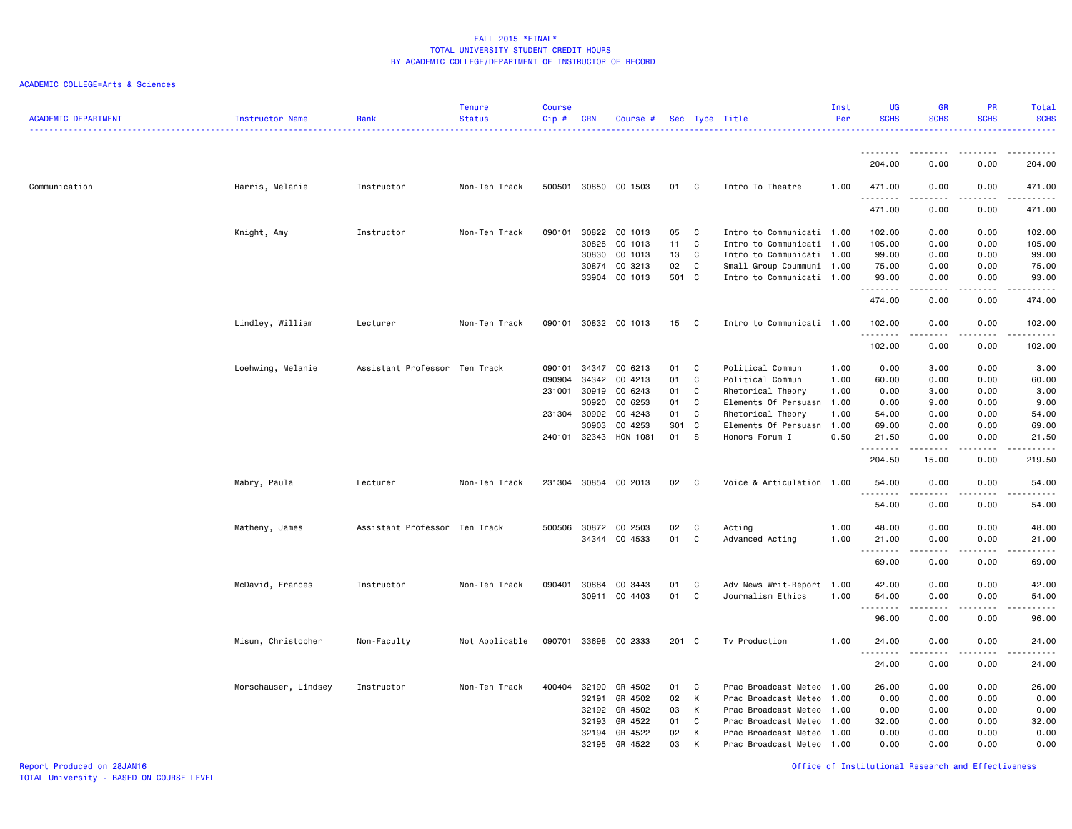| <b>ACADEMIC DEPARTMENT</b> | Instructor Name      | Rank                          | <b>Tenure</b><br><b>Status</b> | <b>Course</b><br>$Cip$ # | <b>CRN</b>   | Course #             |       |              | Sec Type Title            | Inst<br>Per | <b>UG</b><br><b>SCHS</b> | <b>GR</b><br><b>SCHS</b>                                                                                                | <b>PR</b><br><b>SCHS</b>            | Total<br><b>SCHS</b><br><u>.</u>                                                                                                                     |
|----------------------------|----------------------|-------------------------------|--------------------------------|--------------------------|--------------|----------------------|-------|--------------|---------------------------|-------------|--------------------------|-------------------------------------------------------------------------------------------------------------------------|-------------------------------------|------------------------------------------------------------------------------------------------------------------------------------------------------|
|                            |                      |                               |                                |                          |              |                      |       |              |                           |             |                          |                                                                                                                         |                                     |                                                                                                                                                      |
|                            |                      |                               |                                |                          |              |                      |       |              |                           |             | 204.00                   | 0.00                                                                                                                    | 0.00                                | 204.00                                                                                                                                               |
| Communication              | Harris, Melanie      | Instructor                    | Non-Ten Track                  |                          |              | 500501 30850 CO 1503 | 01 C  |              | Intro To Theatre          | 1.00        | 471.00<br>.              | 0.00                                                                                                                    | 0.00                                | 471.00<br>.                                                                                                                                          |
|                            |                      |                               |                                |                          |              |                      |       |              |                           |             | 471.00                   | 0.00                                                                                                                    | 0.00                                | 471.00                                                                                                                                               |
|                            | Knight, Amy          | Instructor                    | Non-Ten Track                  | 090101                   | 30822        | CO 1013              | 05    | C            | Intro to Communicati 1.00 |             | 102.00                   | 0.00                                                                                                                    | 0.00                                | 102.00                                                                                                                                               |
|                            |                      |                               |                                |                          | 30828        | CO 1013              | 11    | C            | Intro to Communicati 1.00 |             | 105.00                   | 0.00                                                                                                                    | 0.00                                | 105.00                                                                                                                                               |
|                            |                      |                               |                                |                          | 30830        | CO 1013              | 13    | C            | Intro to Communicati 1.00 |             | 99.00                    | 0.00                                                                                                                    | 0.00                                | 99.00                                                                                                                                                |
|                            |                      |                               |                                |                          | 30874        | CO 3213              | 02    | C            | Small Group Coummuni 1.00 |             | 75.00                    | 0.00                                                                                                                    | 0.00                                | 75.00                                                                                                                                                |
|                            |                      |                               |                                |                          |              | 33904 CO 1013        | 501 C |              | Intro to Communicati 1.00 |             | 93.00<br>. <b>.</b>      | 0.00<br>$\begin{array}{cccccccccccccc} \bullet & \bullet & \bullet & \bullet & \bullet & \bullet & \bullet \end{array}$ | 0.00<br>.                           | 93.00<br>------                                                                                                                                      |
|                            |                      |                               |                                |                          |              |                      |       |              |                           |             | 474.00                   | 0.00                                                                                                                    | 0.00                                | 474.00                                                                                                                                               |
|                            | Lindley, William     | Lecturer                      | Non-Ten Track                  | 090101                   |              | 30832 CO 1013        | 15    | $\mathbf{C}$ | Intro to Communicati 1.00 |             | 102.00<br>.              | 0.00                                                                                                                    | 0.00<br>.                           | 102.00<br><u>.</u>                                                                                                                                   |
|                            |                      |                               |                                |                          |              |                      |       |              |                           |             | 102.00                   | 0.00                                                                                                                    | 0.00                                | 102.00                                                                                                                                               |
|                            | Loehwing, Melanie    | Assistant Professor Ten Track |                                | 090101                   | 34347        | CO 6213              | 01    | C            | Political Commun          | 1.00        | 0.00                     | 3.00                                                                                                                    | 0.00                                | 3.00                                                                                                                                                 |
|                            |                      |                               |                                | 090904                   | 34342        | CO 4213              | 01    | C            | Political Commun          | 1.00        | 60.00                    | 0.00                                                                                                                    | 0.00                                | 60.00                                                                                                                                                |
|                            |                      |                               |                                | 231001                   | 30919        | CO 6243              | 01    | C            | Rhetorical Theory         | 1.00        | 0.00                     | 3.00                                                                                                                    | 0.00                                | 3.00                                                                                                                                                 |
|                            |                      |                               |                                |                          | 30920        | CO 6253              | 01    | C            | Elements Of Persuasn      | 1.00        | 0.00                     | 9.00                                                                                                                    | 0.00                                | 9.00                                                                                                                                                 |
|                            |                      |                               |                                | 231304                   | 30902        | CO 4243              | 01    | C            | Rhetorical Theory         | 1.00        | 54.00                    | 0.00                                                                                                                    | 0.00                                | 54.00                                                                                                                                                |
|                            |                      |                               |                                |                          | 30903        | CO 4253              | S01 C |              | Elements Of Persuasn      | 1.00        | 69.00                    | 0.00                                                                                                                    | 0.00                                | 69.00                                                                                                                                                |
|                            |                      |                               |                                | 240101                   | 32343        | HON 1081             | 01    | S.           | Honors Forum I            | 0.50        | 21.50                    | 0.00                                                                                                                    | 0.00                                | 21.50                                                                                                                                                |
|                            |                      |                               |                                |                          |              |                      |       |              |                           |             | .                        |                                                                                                                         |                                     | $\frac{1}{2} \left( \frac{1}{2} \right) \left( \frac{1}{2} \right) \left( \frac{1}{2} \right) \left( \frac{1}{2} \right) \left( \frac{1}{2} \right)$ |
|                            |                      |                               |                                |                          |              |                      |       |              |                           |             | 204.50                   | 15.00                                                                                                                   | 0.00                                | 219.50                                                                                                                                               |
|                            | Mabry, Paula         | Lecturer                      | Non-Ten Track                  |                          |              | 231304 30854 CO 2013 | 02    | $\mathbf{C}$ | Voice & Articulation 1.00 |             | 54.00<br>.               | 0.00                                                                                                                    | 0.00                                | 54.00<br>.                                                                                                                                           |
|                            |                      |                               |                                |                          |              |                      |       |              |                           |             | 54.00                    | 0.00                                                                                                                    | 0.00                                | 54.00                                                                                                                                                |
|                            | Matheny, James       | Assistant Professor Ten Track |                                |                          | 500506 30872 | CO 2503              | 02    | C            | Acting                    | 1.00        | 48.00                    | 0.00                                                                                                                    | 0.00                                | 48.00                                                                                                                                                |
|                            |                      |                               |                                |                          |              | 34344 CO 4533        | 01    | C            | Advanced Acting           | 1.00        | 21.00                    | 0.00                                                                                                                    | 0.00                                | 21.00                                                                                                                                                |
|                            |                      |                               |                                |                          |              |                      |       |              |                           |             | .                        | -----                                                                                                                   | .                                   | .                                                                                                                                                    |
|                            |                      |                               |                                |                          |              |                      |       |              |                           |             | 69.00                    | 0.00                                                                                                                    | 0.00                                | 69.00                                                                                                                                                |
|                            | McDavid, Frances     | Instructor                    | Non-Ten Track                  | 090401                   | 30884        | CO 3443              | 01    | C            | Adv News Writ-Report 1.00 |             | 42.00                    | 0.00                                                                                                                    | 0.00                                | 42.00                                                                                                                                                |
|                            |                      |                               |                                |                          | 30911        | CO 4403              | 01    | C            | Journalism Ethics         | 1.00        | 54.00<br>.               | 0.00<br>-----                                                                                                           | 0.00<br>$\sim$ $\sim$ $\sim$ $\sim$ | 54.00<br>.                                                                                                                                           |
|                            |                      |                               |                                |                          |              |                      |       |              |                           |             | 96.00                    | 0.00                                                                                                                    | 0.00                                | 96.00                                                                                                                                                |
|                            | Misun, Christopher   | Non-Faculty                   | Not Applicable                 |                          |              | 090701 33698 CO 2333 | 201 C |              | Tv Production             | 1.00        | 24.00<br><u>.</u>        | 0.00                                                                                                                    | 0.00                                | 24.00<br>$- - - - -$                                                                                                                                 |
|                            |                      |                               |                                |                          |              |                      |       |              |                           |             | 24.00                    | 0.00                                                                                                                    | 0.00                                | 24.00                                                                                                                                                |
|                            | Morschauser, Lindsey | Instructor                    | Non-Ten Track                  | 400404                   | 32190        | GR 4502              | 01 C  |              | Prac Broadcast Meteo 1.00 |             | 26.00                    | 0.00                                                                                                                    | 0.00                                | 26.00                                                                                                                                                |
|                            |                      |                               |                                |                          | 32191        | GR 4502              | 02    | K            | Prac Broadcast Meteo      | 1.00        | 0.00                     | 0.00                                                                                                                    | 0.00                                | 0.00                                                                                                                                                 |
|                            |                      |                               |                                |                          | 32192        | GR 4502              | 03    | K            | Prac Broadcast Meteo      | 1.00        | 0.00                     | 0.00                                                                                                                    | 0.00                                | 0.00                                                                                                                                                 |
|                            |                      |                               |                                |                          | 32193        | GR 4522              | 01    | C            | Prac Broadcast Meteo      | 1.00        | 32.00                    | 0.00                                                                                                                    | 0.00                                | 32.00                                                                                                                                                |
|                            |                      |                               |                                |                          | 32194        | GR 4522              | 02    | K            | Prac Broadcast Meteo      | 1.00        | 0.00                     | 0.00                                                                                                                    | 0.00                                | 0.00                                                                                                                                                 |
|                            |                      |                               |                                |                          | 32195        | GR 4522              | 03    | К            | Prac Broadcast Meteo 1.00 |             | 0.00                     | 0.00                                                                                                                    | 0.00                                | 0.00                                                                                                                                                 |
|                            |                      |                               |                                |                          |              |                      |       |              |                           |             |                          |                                                                                                                         |                                     |                                                                                                                                                      |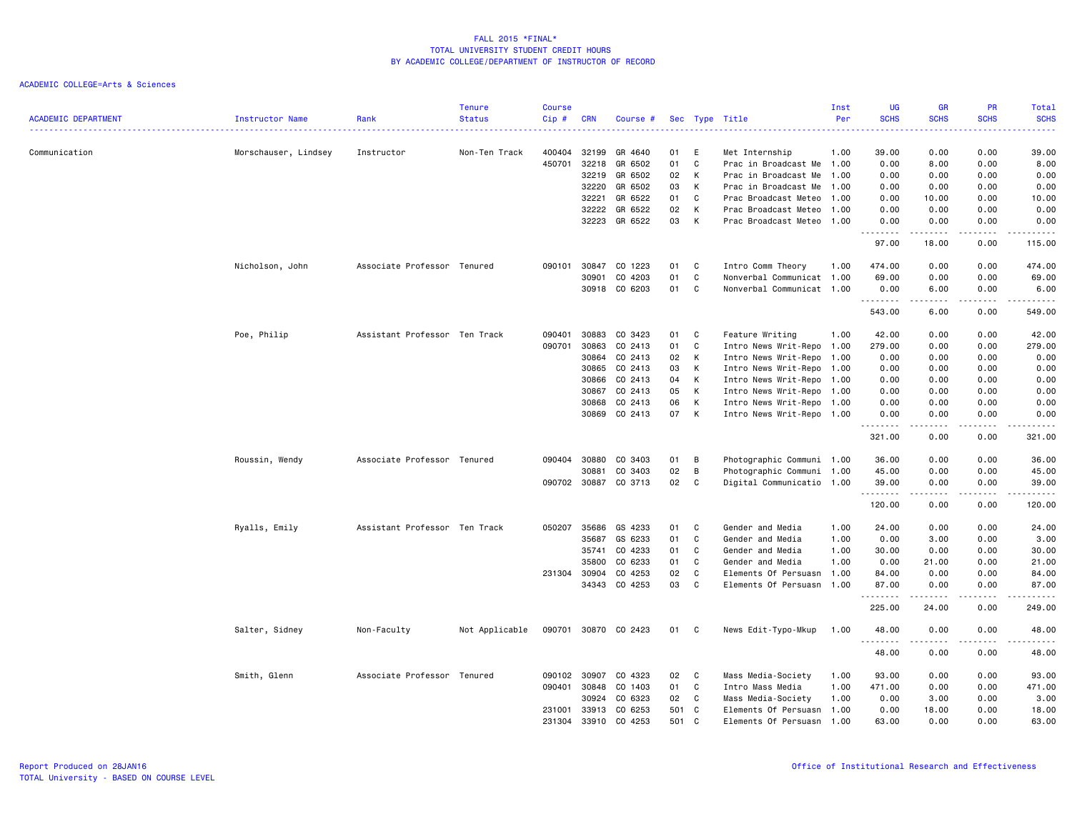| <b>ACADEMIC DEPARTMENT</b> | Instructor Name      | Rank                          | <b>Tenure</b><br><b>Status</b> | <b>Course</b><br>Cip# | <b>CRN</b>     | Course #           |          |        | Sec Type Title                               | Inst<br>Per  | <b>UG</b><br><b>SCHS</b> | <b>GR</b><br><b>SCHS</b>                                                                                                                                     | <b>PR</b><br><b>SCHS</b><br>-----   | Total<br><b>SCHS</b><br>د د د د د |
|----------------------------|----------------------|-------------------------------|--------------------------------|-----------------------|----------------|--------------------|----------|--------|----------------------------------------------|--------------|--------------------------|--------------------------------------------------------------------------------------------------------------------------------------------------------------|-------------------------------------|-----------------------------------|
| Communication              | Morschauser, Lindsey | Instructor                    | Non-Ten Track                  | 400404                | 32199          | GR 4640            | 01       | E      | Met Internship                               | 1.00         | 39.00                    | 0.00                                                                                                                                                         | 0.00                                | 39.00                             |
|                            |                      |                               |                                | 450701                | 32218          | GR 6502            | 01       | C      | Prac in Broadcast Me 1.00                    |              | 0.00                     | 8.00                                                                                                                                                         | 0.00                                | 8.00                              |
|                            |                      |                               |                                |                       | 32219          | GR 6502            | 02       | К      | Prac in Broadcast Me                         | 1.00         | 0.00                     | 0.00                                                                                                                                                         | 0.00                                | 0.00                              |
|                            |                      |                               |                                |                       | 32220          | GR 6502<br>GR 6522 | 03<br>01 | К<br>C | Prac in Broadcast Me 1.00                    |              | 0.00                     | 0.00                                                                                                                                                         | 0.00                                | 0.00                              |
|                            |                      |                               |                                |                       | 32221<br>32222 | GR 6522            | 02       | К      | Prac Broadcast Meteo<br>Prac Broadcast Meteo | 1.00<br>1.00 | 0.00<br>0.00             | 10.00<br>0.00                                                                                                                                                | 0.00<br>0.00                        | 10.00<br>0.00                     |
|                            |                      |                               |                                |                       | 32223          | GR 6522            | 03       | К      | Prac Broadcast Meteo 1.00                    |              | 0.00                     | 0.00<br>.                                                                                                                                                    | 0.00<br>.                           | 0.00<br>.                         |
|                            |                      |                               |                                |                       |                |                    |          |        |                                              |              | .<br>97.00               | 18.00                                                                                                                                                        | 0.00                                | 115.00                            |
|                            | Nicholson, John      | Associate Professor Tenured   |                                | 090101                | 30847          | CO 1223            | 01       | C      | Intro Comm Theory                            | 1.00         | 474.00                   | 0.00                                                                                                                                                         | 0.00                                | 474.00                            |
|                            |                      |                               |                                |                       | 30901          | CO 4203            | 01       | C      | Nonverbal Communicat 1.00                    |              | 69.00                    | 0.00                                                                                                                                                         | 0.00                                | 69.00                             |
|                            |                      |                               |                                |                       | 30918          | CO 6203            | 01       | C      | Nonverbal Communicat 1.00                    |              | 0.00<br>.                | 6.00<br>$\frac{1}{2} \left( \frac{1}{2} \right) \left( \frac{1}{2} \right) \left( \frac{1}{2} \right) \left( \frac{1}{2} \right) \left( \frac{1}{2} \right)$ | 0.00<br>.                           | 6.00<br>------                    |
|                            |                      |                               |                                |                       |                |                    |          |        |                                              |              | 543.00                   | 6.00                                                                                                                                                         | 0.00                                | 549.00                            |
|                            | Poe, Philip          | Assistant Professor Ten Track |                                | 090401                | 30883          | CO 3423            | 01       | C      | Feature Writing                              | 1.00         | 42.00                    | 0.00                                                                                                                                                         | 0.00                                | 42.00                             |
|                            |                      |                               |                                | 090701                | 30863          | CO 2413            | 01       | C      | Intro News Writ-Repo 1.00                    |              | 279.00                   | 0.00                                                                                                                                                         | 0.00                                | 279.00                            |
|                            |                      |                               |                                |                       | 30864          | CO 2413            | 02       | К      | Intro News Writ-Repo                         | 1.00         | 0.00                     | 0.00                                                                                                                                                         | 0.00                                | 0.00                              |
|                            |                      |                               |                                |                       | 30865          | CO 2413            | 03       | К      | Intro News Writ-Repo 1.00                    |              | 0.00                     | 0.00                                                                                                                                                         | 0.00                                | 0.00                              |
|                            |                      |                               |                                |                       | 30866          | CO 2413            | 04       | К      | Intro News Writ-Repo 1.00                    |              | 0.00                     | 0.00                                                                                                                                                         | 0.00                                | 0.00                              |
|                            |                      |                               |                                |                       | 30867          | CO 2413            | 05       | К      | Intro News Writ-Repo                         | 1.00         | 0.00                     | 0.00                                                                                                                                                         | 0.00                                | 0.00                              |
|                            |                      |                               |                                |                       | 30868          | CO 2413            | 06       | К      | Intro News Writ-Repo 1.00                    |              | 0.00                     | 0.00                                                                                                                                                         | 0.00                                | 0.00                              |
|                            |                      |                               |                                |                       | 30869          | CO 2413            | 07       | К      | Intro News Writ-Repo 1.00                    |              | 0.00<br>.                | 0.00<br>-----                                                                                                                                                | 0.00<br>.                           | 0.00<br>.                         |
|                            |                      |                               |                                |                       |                |                    |          |        |                                              |              | 321.00                   | 0.00                                                                                                                                                         | 0.00                                | 321.00                            |
|                            | Roussin, Wendy       | Associate Professor Tenured   |                                | 090404                | 30880          | CO 3403            | 01       | B      | Photographic Communi 1.00                    |              | 36.00                    | 0.00                                                                                                                                                         | 0.00                                | 36.00                             |
|                            |                      |                               |                                |                       | 30881          | CO 3403            | 02       | B      | Photographic Communi 1.00                    |              | 45.00                    | 0.00                                                                                                                                                         | 0.00                                | 45.00                             |
|                            |                      |                               |                                |                       | 090702 30887   | CO 3713            | 02       | C      | Digital Communicatio 1.00                    |              | 39.00<br>.               | 0.00<br>.                                                                                                                                                    | 0.00<br>$\sim$ $\sim$ $\sim$ $\sim$ | 39.00<br>.                        |
|                            |                      |                               |                                |                       |                |                    |          |        |                                              |              | 120.00                   | 0.00                                                                                                                                                         | 0.00                                | 120.00                            |
|                            | Ryalls, Emily        | Assistant Professor Ten Track |                                | 050207                | 35686          | GS 4233            | 01       | C      | Gender and Media                             | 1.00         | 24.00                    | 0.00                                                                                                                                                         | 0.00                                | 24.00                             |
|                            |                      |                               |                                |                       | 35687          | GS 6233            | 01       | C      | Gender and Media                             | 1.00         | 0.00                     | 3.00                                                                                                                                                         | 0.00                                | 3.00                              |
|                            |                      |                               |                                |                       | 35741          | CO 4233            | 01       | C      | Gender and Media                             | 1.00         | 30.00                    | 0.00                                                                                                                                                         | 0.00                                | 30.00                             |
|                            |                      |                               |                                |                       | 35800          | CO 6233            | 01       | C      | Gender and Media                             | 1.00         | 0.00                     | 21.00                                                                                                                                                        | 0.00                                | 21.00                             |
|                            |                      |                               |                                | 231304 30904          |                | CO 4253            | 02       | C      | Elements Of Persuasn                         | 1.00         | 84.00                    | 0.00                                                                                                                                                         | 0.00                                | 84.00                             |
|                            |                      |                               |                                |                       | 34343          | CO 4253            | 03       | C      | Elements Of Persuasn                         | 1.00         | 87.00<br>.               | 0.00<br>-----                                                                                                                                                | 0.00<br>.                           | 87.00<br>------                   |
|                            |                      |                               |                                |                       |                |                    |          |        |                                              |              | 225.00                   | 24.00                                                                                                                                                        | 0.00                                | 249.00                            |
|                            | Salter, Sidney       | Non-Faculty                   | Not Applicable                 | 090701                |                | 30870 CO 2423      | 01       | C      | News Edit-Typo-Mkup                          | 1.00         | 48.00<br>.               | 0.00<br>.                                                                                                                                                    | 0.00<br>.                           | 48.00<br>.                        |
|                            |                      |                               |                                |                       |                |                    |          |        |                                              |              | 48.00                    | 0.00                                                                                                                                                         | 0.00                                | 48.00                             |
|                            | Smith, Glenn         | Associate Professor Tenured   |                                | 090102                | 30907          | CO 4323            | 02       | C      | Mass Media-Society                           | 1.00         | 93.00                    | 0.00                                                                                                                                                         | 0.00                                | 93.00                             |
|                            |                      |                               |                                | 090401                | 30848          | CO 1403            | 01       | C      | Intro Mass Media                             | 1.00         | 471.00                   | 0.00                                                                                                                                                         | 0.00                                | 471.00                            |
|                            |                      |                               |                                |                       | 30924          | CO 6323            | 02       | C      | Mass Media-Society                           | 1.00         | 0.00                     | 3.00                                                                                                                                                         | 0.00                                | 3.00                              |
|                            |                      |                               |                                | 231001                | 33913          | CO 6253            | 501      | C      | Elements Of Persuasn                         | 1.00         | 0.00                     | 18.00                                                                                                                                                        | 0.00                                | 18.00                             |
|                            |                      |                               |                                | 231304                | 33910          | CO 4253            | 501      | C.     | Elements Of Persuasn                         | 1.00         | 63.00                    | 0.00                                                                                                                                                         | 0.00                                | 63.00                             |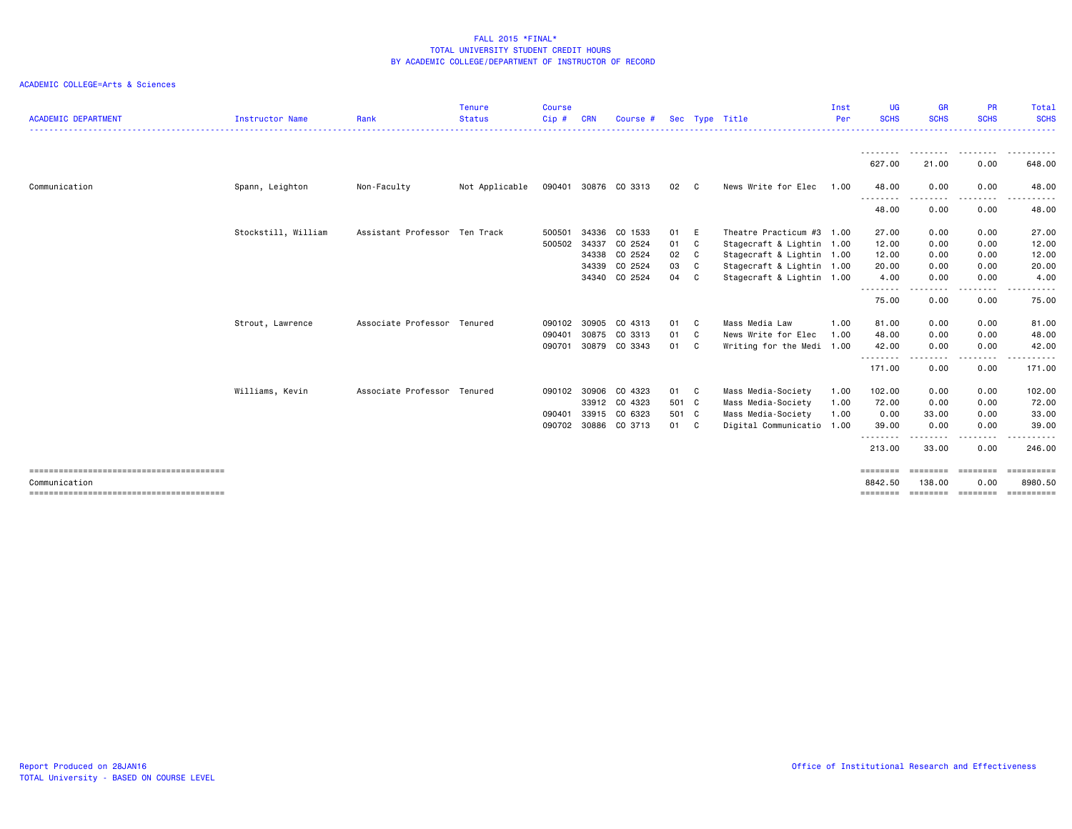| <b>ACADEMIC DEPARTMENT</b> | Instructor Name     | Rank                          | <b>Tenure</b><br><b>Status</b> | <b>Course</b><br>$Cip$ # | <b>CRN</b> | Course #             |       |   | Sec Type Title            | Inst<br>Per | <b>UG</b><br><b>SCHS</b> | <b>GR</b><br><b>SCHS</b>                                                                                                          | <b>PR</b><br><b>SCHS</b>                                                                                                                                                                | Total<br><b>SCHS</b>                        |
|----------------------------|---------------------|-------------------------------|--------------------------------|--------------------------|------------|----------------------|-------|---|---------------------------|-------------|--------------------------|-----------------------------------------------------------------------------------------------------------------------------------|-----------------------------------------------------------------------------------------------------------------------------------------------------------------------------------------|---------------------------------------------|
|                            |                     |                               |                                |                          |            |                      |       |   |                           |             |                          |                                                                                                                                   |                                                                                                                                                                                         |                                             |
|                            |                     |                               |                                |                          |            |                      |       |   |                           |             | --------<br>627.00       | --------<br>21.00                                                                                                                 | --------<br>0.00                                                                                                                                                                        | $- - -$<br>- - - - - - -<br>648.00          |
| Communication              | Spann, Leighton     | Non-Faculty                   | Not Applicable                 |                          |            | 090401 30876 CO 3313 | 02 C  |   | News Write for Elec       | 1.00        | 48.00                    | 0.00                                                                                                                              | 0.00                                                                                                                                                                                    | 48.00                                       |
|                            |                     |                               |                                |                          |            |                      |       |   |                           |             | ---------<br>48.00       | ----<br>0.00                                                                                                                      | 0.00                                                                                                                                                                                    | $\sim$ $\sim$ $\sim$<br>. <b>.</b><br>48.00 |
|                            | Stockstill, William | Assistant Professor Ten Track |                                | 500501                   | 34336      | CO 1533              | 01 E  |   | Theatre Practicum #3 1.00 |             | 27.00                    | 0.00                                                                                                                              | 0.00                                                                                                                                                                                    | 27.00                                       |
|                            |                     |                               |                                | 500502                   | 34337      | CO 2524              | 01    | C | Stagecraft & Lightin 1.00 |             | 12.00                    | 0.00                                                                                                                              | 0.00                                                                                                                                                                                    | 12.00                                       |
|                            |                     |                               |                                |                          | 34338      | CO 2524              | 02    | C | Stagecraft & Lightin 1.00 |             | 12.00                    | 0.00                                                                                                                              | 0.00                                                                                                                                                                                    | 12.00                                       |
|                            |                     |                               |                                |                          | 34339      | CO 2524              | 03    | C | Stagecraft & Lightin 1.00 |             | 20.00                    | 0.00                                                                                                                              | 0.00                                                                                                                                                                                    | 20.00                                       |
|                            |                     |                               |                                |                          | 34340      | CO 2524              | 04    | C | Stagecraft & Lightin 1.00 |             | 4.00<br>.                | 0.00<br>--------                                                                                                                  | 0.00<br>$\frac{1}{2} \left( \frac{1}{2} \right) \left( \frac{1}{2} \right) \left( \frac{1}{2} \right) \left( \frac{1}{2} \right) \left( \frac{1}{2} \right) \left( \frac{1}{2} \right)$ | 4.00<br>.                                   |
|                            |                     |                               |                                |                          |            |                      |       |   |                           |             | 75.00                    | 0.00                                                                                                                              | 0.00                                                                                                                                                                                    | 75.00                                       |
|                            | Strout, Lawrence    | Associate Professor           | Tenured                        | 090102                   | 30905      | CO 4313              | 01 C  |   | Mass Media Law            | 1.00        | 81.00                    | 0.00                                                                                                                              | 0.00                                                                                                                                                                                    | 81.00                                       |
|                            |                     |                               |                                | 090401                   | 30875      | CO 3313              | 01 C  |   | News Write for Elec       | 1.00        | 48.00                    | 0.00                                                                                                                              | 0.00                                                                                                                                                                                    | 48.00                                       |
|                            |                     |                               |                                | 090701                   |            | 30879 CO 3343        | 01    | C | Writing for the Medi 1.00 |             | 42.00<br>---------       | 0.00<br>$\frac{1}{2} \left( \frac{1}{2} \right) \left( \frac{1}{2} \right) \left( \frac{1}{2} \right) \left( \frac{1}{2} \right)$ | 0.00<br>.                                                                                                                                                                               | 42.00<br>------                             |
|                            |                     |                               |                                |                          |            |                      |       |   |                           |             | 171.00                   | 0.00                                                                                                                              | 0.00                                                                                                                                                                                    | 171.00                                      |
|                            | Williams, Kevin     | Associate Professor           | Tenured                        | 090102 30906             |            | CO 4323              | 01 C  |   | Mass Media-Society        | 1.00        | 102.00                   | 0.00                                                                                                                              | 0.00                                                                                                                                                                                    | 102.00                                      |
|                            |                     |                               |                                |                          |            | 33912 CO 4323        | 501 C |   | Mass Media-Society        | 1.00        | 72.00                    | 0.00                                                                                                                              | 0.00                                                                                                                                                                                    | 72.00                                       |
|                            |                     |                               |                                | 090401                   | 33915      | CO 6323              | 501 C |   | Mass Media-Society        | 1.00        | 0.00                     | 33.00                                                                                                                             | 0.00                                                                                                                                                                                    | 33.00                                       |
|                            |                     |                               |                                | 090702                   |            | 30886 CO 3713        | 01 C  |   | Digital Communicatio 1.00 |             | 39.00                    | 0.00                                                                                                                              | 0.00                                                                                                                                                                                    | 39.00                                       |
|                            |                     |                               |                                |                          |            |                      |       |   |                           |             | .<br>213.00              | ------<br>33.00                                                                                                                   | . <b>.</b><br>0.00                                                                                                                                                                      | .<br>246.00                                 |
|                            |                     |                               |                                |                          |            |                      |       |   |                           |             | ========                 | ========                                                                                                                          | ========                                                                                                                                                                                | $=$ ==========                              |
| Communication              |                     |                               |                                |                          |            |                      |       |   |                           |             | 8842.50                  | 138,00                                                                                                                            | 0.00                                                                                                                                                                                    | 8980.50                                     |
|                            |                     |                               |                                |                          |            |                      |       |   |                           |             | ========                 |                                                                                                                                   | =================                                                                                                                                                                       | <b>ESSESSESS</b>                            |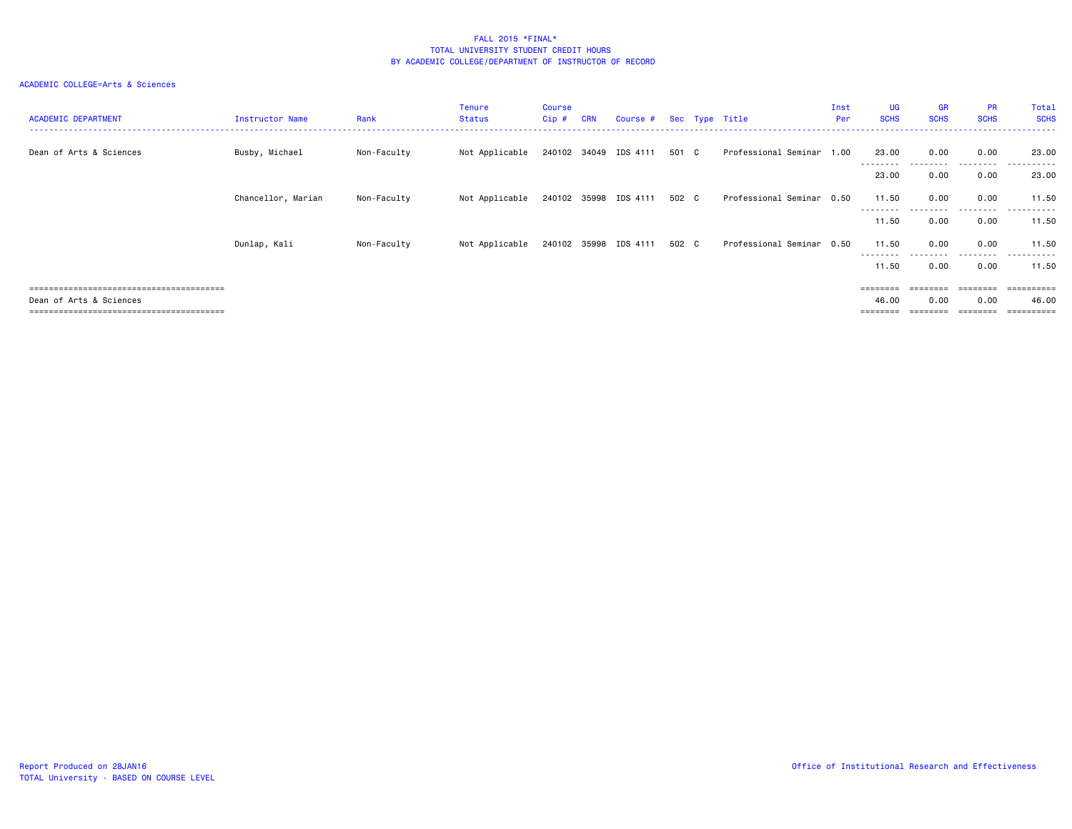| <b>ACADEMIC DEPARTMENT</b> | <b>Instructor Name</b> | Rank        | <b>Tenure</b><br><b>Status</b> | Course<br>$Cip$ # | <b>CRN</b> | Course #              |       | Sec Type Title            | Inst<br>Per | UG<br><b>SCHS</b> | <b>GR</b><br><b>SCHS</b> | <b>PR</b><br><b>SCHS</b> | Total<br><b>SCHS</b> |
|----------------------------|------------------------|-------------|--------------------------------|-------------------|------------|-----------------------|-------|---------------------------|-------------|-------------------|--------------------------|--------------------------|----------------------|
| Dean of Arts & Sciences    | Busby, Michael         | Non-Faculty | Not Applicable                 |                   |            | 240102 34049 IDS 4111 | 501 C | Professional Seminar 1.00 |             | 23.00             | 0.00                     | 0.00                     | 23.00                |
|                            |                        |             |                                |                   |            |                       |       |                           |             | 23.00             | 0.00                     | .<br>0.00                | -------<br>23.00     |
|                            | Chancellor, Marian     | Non-Faculty | Not Applicable                 |                   |            | 240102 35998 IDS 4111 | 502 C | Professional Seminar 0.50 |             | 11.50             | 0.00                     | 0.00                     | 11.50                |
|                            |                        |             |                                |                   |            |                       |       |                           |             | .<br>11.50        | 0.00                     | .<br>0.00                | .<br>11.50           |
|                            | Dunlap, Kali           | Non-Faculty | Not Applicable                 |                   |            | 240102 35998 IDS 4111 | 502 C | Professional Seminar 0.50 |             | 11.50             | 0.00                     | 0.00                     | 11.50                |
|                            |                        |             |                                |                   |            |                       |       |                           |             | --------<br>11.50 | .<br>0.00                | .<br>0.00                | .<br>11.50           |
|                            |                        |             |                                |                   |            |                       |       |                           |             | ========          | ========                 | ========                 | ==========           |
| Dean of Arts & Sciences    |                        |             |                                |                   |            |                       |       |                           |             | 46.00             | 0.00                     | 0.00                     | 46.00                |
|                            |                        |             |                                |                   |            |                       |       |                           |             | ========          |                          |                          | ==========           |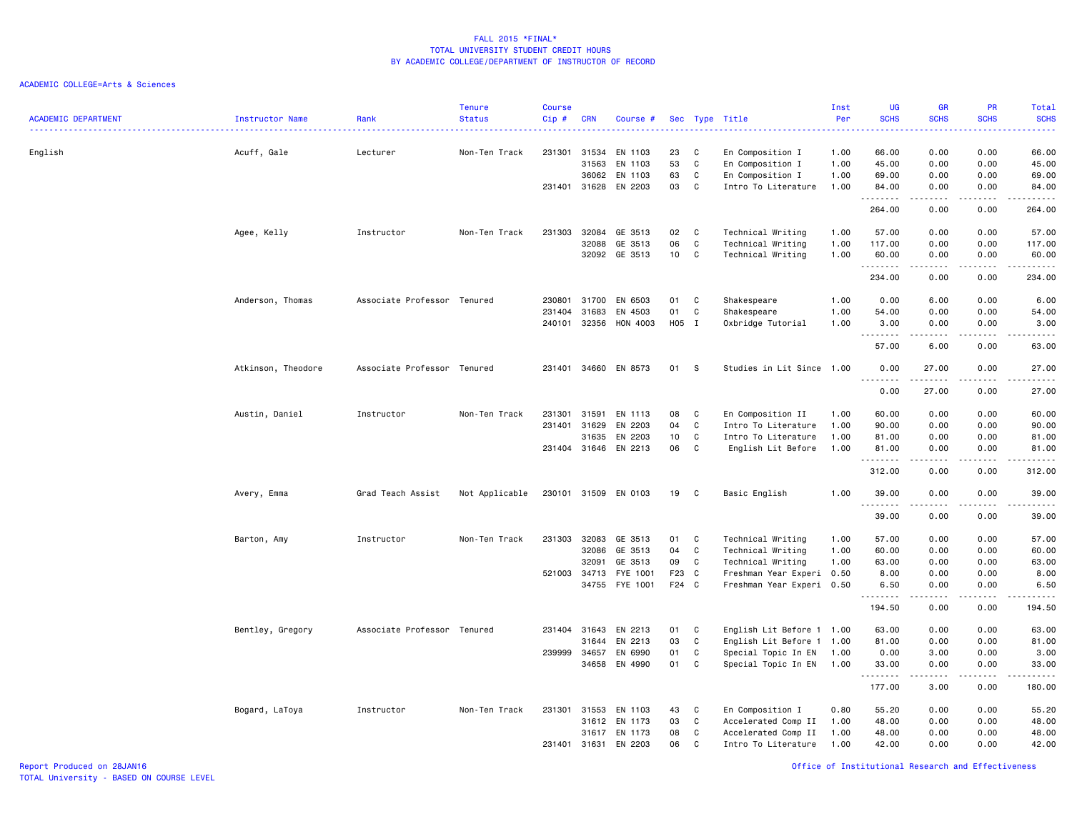| <b>ACADEMIC DEPARTMENT</b> | <b>Instructor Name</b> | Rank                        | <b>Tenure</b><br><b>Status</b> | <b>Course</b><br>Cip# | <b>CRN</b>   | Course #             |       |              | Sec Type Title            | Inst<br>Per | UG<br><b>SCHS</b>  | <b>GR</b><br><b>SCHS</b> | PR<br><b>SCHS</b>     | Total<br><b>SCHS</b><br><b>.</b> .  |
|----------------------------|------------------------|-----------------------------|--------------------------------|-----------------------|--------------|----------------------|-------|--------------|---------------------------|-------------|--------------------|--------------------------|-----------------------|-------------------------------------|
| English                    | Acuff, Gale            | Lecturer                    | Non-Ten Track                  | 231301                | 31534        | EN 1103              | 23    | C            | En Composition I          | 1.00        | 66.00              | 0.00                     | 0.00                  | 66.00                               |
|                            |                        |                             |                                |                       | 31563        | EN 1103              | 53    | $\mathtt{C}$ | En Composition I          | 1.00        | 45.00              | 0.00                     | 0.00                  | 45.00                               |
|                            |                        |                             |                                |                       | 36062        | EN 1103              | 63    | C            | En Composition I          | 1.00        | 69.00              | 0.00                     | 0.00                  | 69.00                               |
|                            |                        |                             |                                |                       | 231401 31628 | EN 2203              | 03    | C            | Intro To Literature       | 1.00        | 84.00<br>.         | 0.00                     | 0.00                  | 84.00<br>.                          |
|                            |                        |                             |                                |                       |              |                      |       |              |                           |             | 264.00             | 0.00                     | 0.00                  | 264.00                              |
|                            | Agee, Kelly            | Instructor                  | Non-Ten Track                  | 231303                | 32084        | GE 3513              | 02    | C            | Technical Writing         | 1.00        | 57.00              | 0.00                     | 0.00                  | 57.00                               |
|                            |                        |                             |                                |                       | 32088        | GE 3513              | 06    | $\mathtt{C}$ | Technical Writing         | 1.00        | 117.00             | 0.00                     | 0.00                  | 117.00                              |
|                            |                        |                             |                                |                       | 32092        | GE 3513              | 10    | C            | Technical Writing         | 1.00        | 60.00<br>.         | 0.00<br>- - - -          | 0.00<br>الأمالات الما | 60.00<br>.                          |
|                            |                        |                             |                                |                       |              |                      |       |              |                           |             | 234.00             | 0.00                     | 0.00                  | 234.00                              |
|                            | Anderson, Thomas       | Associate Professor Tenured |                                | 230801                | 31700        | EN 6503              | 01    | C            | Shakespeare               | 1.00        | 0.00               | 6.00                     | 0.00                  | 6.00                                |
|                            |                        |                             |                                | 231404                | 31683        | EN 4503              | 01    | C            | Shakespeare               | 1.00        | 54.00              | 0.00                     | 0.00                  | 54.00                               |
|                            |                        |                             |                                | 240101                | 32356        | HON 4003             | H05 I |              | Oxbridge Tutorial         | 1.00        | 3.00<br>.          | 0.00<br>المتمالين        | 0.00<br>.             | 3.00<br>$\sim$ $\sim$ $\sim$ $\sim$ |
|                            |                        |                             |                                |                       |              |                      |       |              |                           |             | 57.00              | 6.00                     | 0.00                  | 63.00                               |
|                            | Atkinson, Theodore     | Associate Professor Tenured |                                | 231401                | 34660        | EN 8573              | 01    | -S           | Studies in Lit Since 1.00 |             | 0.00<br>.          | 27.00                    | 0.00<br>د د د د       | 27.00<br>المالم مالك                |
|                            |                        |                             |                                |                       |              |                      |       |              |                           |             | 0.00               | 27.00                    | 0.00                  | 27.00                               |
|                            | Austin, Daniel         | Instructor                  | Non-Ten Track                  | 231301                | 31591        | EN 1113              | 08    | C            | En Composition II         | 1.00        | 60.00              | 0.00                     | 0.00                  | 60.00                               |
|                            |                        |                             |                                | 231401                | 31629        | EN 2203              | 04    | $\mathtt{C}$ | Intro To Literature       | 1.00        | 90.00              | 0.00                     | 0.00                  | 90.00                               |
|                            |                        |                             |                                |                       | 31635        | EN 2203              | 10    | C            | Intro To Literature       | 1.00        | 81.00              | 0.00                     | 0.00                  | 81.00                               |
|                            |                        |                             |                                |                       | 231404 31646 | EN 2213              | 06    | C            | English Lit Before        | 1.00        | 81.00<br>.         | 0.00                     | 0.00                  | 81,00                               |
|                            |                        |                             |                                |                       |              |                      |       |              |                           |             | 312.00             | 0.00                     | 0.00                  | 312.00                              |
|                            | Avery, Emma            | Grad Teach Assist           | Not Applicable                 |                       |              | 230101 31509 EN 0103 | 19    | C            | Basic English             | 1.00        | 39.00<br>.         | 0.00                     | 0.00                  | 39.00<br>.                          |
|                            |                        |                             |                                |                       |              |                      |       |              |                           |             | 39.00              | 0.00                     | 0.00                  | 39.00                               |
|                            | Barton, Amy            | Instructor                  | Non-Ten Track                  | 231303                | 32083        | GE 3513              | 01    | C            | Technical Writing         | 1.00        | 57.00              | 0.00                     | 0.00                  | 57.00                               |
|                            |                        |                             |                                |                       | 32086        | GE 3513              | 04    | C            | Technical Writing         | 1.00        | 60.00              | 0.00                     | 0.00                  | 60.00                               |
|                            |                        |                             |                                |                       | 32091        | GE 3513              | 09    | C            | Technical Writing         | 1.00        | 63.00              | 0.00                     | 0.00                  | 63.00                               |
|                            |                        |                             |                                | 521003                | 34713        | FYE 1001             | F23   | $\mathbf{C}$ | Freshman Year Experi 0.50 |             | 8.00               | 0.00                     | 0.00                  | 8.00                                |
|                            |                        |                             |                                |                       |              | 34755 FYE 1001       | F24 C |              | Freshman Year Experi 0.50 |             | 6.50<br>. <b>.</b> | 0.00<br>$\frac{1}{2}$    | 0.00<br>.             | 6.50<br>.                           |
|                            |                        |                             |                                |                       |              |                      |       |              |                           |             | 194.50             | 0.00                     | 0.00                  | 194.50                              |
|                            | Bentley, Gregory       | Associate Professor Tenured |                                |                       | 231404 31643 | EN 2213              | 01    | C            | English Lit Before 1 1.00 |             | 63.00              | 0.00                     | 0.00                  | 63.00                               |
|                            |                        |                             |                                |                       | 31644        | EN 2213              | 03    | $\mathtt{C}$ | English Lit Before 1 1.00 |             | 81.00              | 0.00                     | 0.00                  | 81.00                               |
|                            |                        |                             |                                | 239999                | 34657        | EN 6990              | 01    | C            | Special Topic In EN       | 1.00        | 0.00               | 3.00                     | 0.00                  | 3.00                                |
|                            |                        |                             |                                |                       | 34658        | EN 4990              | 01    | C            | Special Topic In EN       | 1.00        | 33.00<br>.         | 0.00<br>.                | 0.00<br>.             | 33.00<br>.                          |
|                            |                        |                             |                                |                       |              |                      |       |              |                           |             | 177.00             | 3.00                     | 0.00                  | 180.00                              |
|                            | Bogard, LaToya         | Instructor                  | Non-Ten Track                  | 231301                | 31553        | EN 1103              | 43    | C            | En Composition I          | 0.80        | 55.20              | 0.00                     | 0.00                  | 55.20                               |
|                            |                        |                             |                                |                       | 31612        | EN 1173              | 03    | C            | Accelerated Comp II       | 1.00        | 48.00              | 0.00                     | 0.00                  | 48.00                               |
|                            |                        |                             |                                |                       |              | 31617 EN 1173        | 08    | C            | Accelerated Comp II       | 1.00        | 48.00              | 0.00                     | 0.00                  | 48.00                               |
|                            |                        |                             |                                | 231401                | 31631        | EN 2203              | 06    | C            | Intro To Literature       | 1.00        | 42.00              | 0.00                     | 0.00                  | 42.00                               |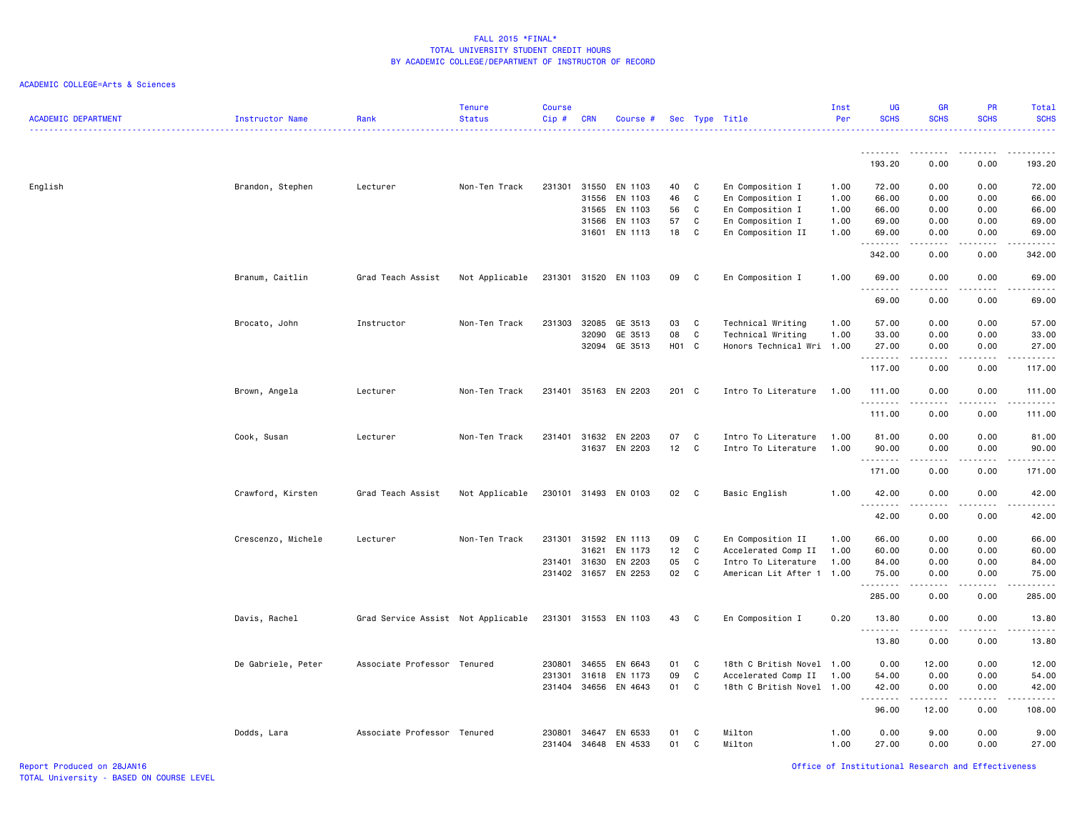#### ACADEMIC COLLEGE=Arts & Sciences

| <b>ACADEMIC DEPARTMENT</b> | <b>Instructor Name</b> | Rank                               | <b>Tenure</b><br><b>Status</b> | <b>Course</b><br>Cip# | <b>CRN</b>     | Course #             |          |        | Sec Type Title                       | Inst<br>Per  | <b>UG</b><br><b>SCHS</b> | <b>GR</b><br><b>SCHS</b>                                                                                                                                     | <b>PR</b><br><b>SCHS</b>            | Total<br><b>SCHS</b><br>.                                                                                                                                     |
|----------------------------|------------------------|------------------------------------|--------------------------------|-----------------------|----------------|----------------------|----------|--------|--------------------------------------|--------------|--------------------------|--------------------------------------------------------------------------------------------------------------------------------------------------------------|-------------------------------------|---------------------------------------------------------------------------------------------------------------------------------------------------------------|
|                            |                        |                                    |                                |                       |                |                      |          |        |                                      |              | .<br>193.20              | 0.00                                                                                                                                                         | .<br>0.00                           | 193.20                                                                                                                                                        |
|                            |                        |                                    |                                |                       |                |                      |          |        |                                      |              |                          |                                                                                                                                                              |                                     |                                                                                                                                                               |
| English                    | Brandon, Stephen       | Lecturer                           | Non-Ten Track                  | 231301                | 31550          | EN 1103              | 40       | C      | En Composition I                     | 1.00         | 72.00                    | 0.00                                                                                                                                                         | 0.00                                | 72.00                                                                                                                                                         |
|                            |                        |                                    |                                |                       | 31556          | EN 1103              | 46       | C      | En Composition I                     | 1.00         | 66.00                    | 0.00                                                                                                                                                         | 0.00                                | 66.00                                                                                                                                                         |
|                            |                        |                                    |                                |                       | 31565<br>31566 | EN 1103<br>EN 1103   | 56<br>57 | C<br>C | En Composition I<br>En Composition I | 1.00<br>1.00 | 66.00<br>69.00           | 0.00<br>0.00                                                                                                                                                 | 0.00<br>0.00                        | 66.00<br>69.00                                                                                                                                                |
|                            |                        |                                    |                                |                       |                | 31601 EN 1113        | 18       | C      | En Composition II                    | 1.00         | 69.00                    | 0.00                                                                                                                                                         | 0.00<br>$\frac{1}{2}$               | 69.00                                                                                                                                                         |
|                            |                        |                                    |                                |                       |                |                      |          |        |                                      |              | .<br>342.00              | .<br>0.00                                                                                                                                                    | 0.00                                | د د د د د<br>342.00                                                                                                                                           |
|                            | Branum, Caitlin        | Grad Teach Assist                  | Not Applicable                 |                       |                | 231301 31520 EN 1103 | 09       | C      | En Composition I                     | 1.00         | 69.00                    | 0.00                                                                                                                                                         | 0.00                                | 69.00                                                                                                                                                         |
|                            |                        |                                    |                                |                       |                |                      |          |        |                                      |              | .<br>69.00               | $- - - - -$<br>0.00                                                                                                                                          | .<br>0.00                           | .<br>69.00                                                                                                                                                    |
|                            | Brocato, John          | Instructor                         | Non-Ten Track                  | 231303                | 32085          | GE 3513              | 03       | C      | Technical Writing                    | 1.00         | 57.00                    | 0.00                                                                                                                                                         | 0.00                                | 57.00                                                                                                                                                         |
|                            |                        |                                    |                                |                       | 32090          | GE 3513              | 08       | C      | Technical Writing                    | 1.00         | 33.00                    | 0.00                                                                                                                                                         | 0.00                                | 33.00                                                                                                                                                         |
|                            |                        |                                    |                                |                       | 32094          | GE 3513              | H01 C    |        | Honors Technical Wri 1.00            |              | 27.00<br>.               | 0.00<br>.                                                                                                                                                    | 0.00<br>$\sim$ $\sim$ $\sim$ $\sim$ | 27.00<br>.                                                                                                                                                    |
|                            |                        |                                    |                                |                       |                |                      |          |        |                                      |              | 117.00                   | 0.00                                                                                                                                                         | 0.00                                | 117.00                                                                                                                                                        |
|                            | Brown, Angela          | Lecturer                           | Non-Ten Track                  |                       |                | 231401 35163 EN 2203 | 201 C    |        | Intro To Literature                  | 1.00         | 111.00<br>.              | 0.00<br>.                                                                                                                                                    | 0.00<br>.                           | 111.00<br>.                                                                                                                                                   |
|                            |                        |                                    |                                |                       |                |                      |          |        |                                      |              | 111.00                   | 0.00                                                                                                                                                         | 0.00                                | 111.00                                                                                                                                                        |
|                            | Cook, Susan            | Lecturer                           | Non-Ten Track                  | 231401                | 31632          | EN 2203              | 07       | C      | Intro To Literature                  | 1.00         | 81.00                    | 0.00                                                                                                                                                         | 0.00                                | 81.00                                                                                                                                                         |
|                            |                        |                                    |                                |                       | 31637          | EN 2203              | 12       | C      | Intro To Literature                  | 1.00         | 90.00<br>.               | 0.00                                                                                                                                                         | 0.00                                | 90.00<br>.                                                                                                                                                    |
|                            |                        |                                    |                                |                       |                |                      |          |        |                                      |              | 171.00                   | 0.00                                                                                                                                                         | 0.00                                | 171.00                                                                                                                                                        |
|                            | Crawford, Kirsten      | Grad Teach Assist                  | Not Applicable                 |                       |                | 230101 31493 EN 0103 | 02       | C      | Basic English                        | 1.00         | 42.00                    | 0.00                                                                                                                                                         | 0.00                                | 42.00                                                                                                                                                         |
|                            |                        |                                    |                                |                       |                |                      |          |        |                                      |              | .<br>42.00               | .<br>0.00                                                                                                                                                    | $\sim$ $\sim$ $\sim$ $\sim$<br>0.00 | .<br>42.00                                                                                                                                                    |
|                            | Crescenzo, Michele     | Lecturer                           | Non-Ten Track                  | 231301                | 31592          | EN 1113              | 09       | C      | En Composition II                    | 1.00         | 66.00                    | 0.00                                                                                                                                                         | 0.00                                | 66.00                                                                                                                                                         |
|                            |                        |                                    |                                |                       | 31621          | EN 1173              | 12       | C      | Accelerated Comp II                  | 1.00         | 60.00                    | 0.00                                                                                                                                                         | 0.00                                | 60.00                                                                                                                                                         |
|                            |                        |                                    |                                | 231401                | 31630          | EN 2203              | 05       | C      | Intro To Literature                  | 1.00         | 84.00                    | 0.00                                                                                                                                                         | 0.00                                | 84.00                                                                                                                                                         |
|                            |                        |                                    |                                | 231402 31657          |                | EN 2253              | 02       | C      | American Lit After 1 1.00            |              | 75.00<br>.               | 0.00                                                                                                                                                         | 0.00<br>$\sim$ $\sim$ $\sim$        | 75.00<br>$\frac{1}{2} \left( \frac{1}{2} \right) \left( \frac{1}{2} \right) \left( \frac{1}{2} \right) \left( \frac{1}{2} \right) \left( \frac{1}{2} \right)$ |
|                            |                        |                                    |                                |                       |                |                      |          |        |                                      |              | 285.00                   | 0.00                                                                                                                                                         | 0.00                                | 285.00                                                                                                                                                        |
|                            | Davis, Rachel          | Grad Service Assist Not Applicable |                                |                       |                | 231301 31553 EN 1103 | 43       | C      | En Composition I                     | 0.20         | 13.80<br>.               | 0.00<br>.                                                                                                                                                    | 0.00<br>.                           | 13.80<br>.                                                                                                                                                    |
|                            |                        |                                    |                                |                       |                |                      |          |        |                                      |              | 13.80                    | 0.00                                                                                                                                                         | 0.00                                | 13.80                                                                                                                                                         |
|                            | De Gabriele, Peter     | Associate Professor Tenured        |                                | 230801                | 34655          | EN 6643              | 01       | C      | 18th C British Novel 1.00            |              | 0.00                     | 12.00                                                                                                                                                        | 0.00                                | 12.00                                                                                                                                                         |
|                            |                        |                                    |                                | 231301                | 31618          | EN 1173              | 09       | C      | Accelerated Comp II                  | 1.00         | 54.00                    | 0.00                                                                                                                                                         | 0.00                                | 54.00                                                                                                                                                         |
|                            |                        |                                    |                                | 231404                | 34656          | EN 4643              | 01       | C      | 18th C British Novel 1.00            |              | 42.00<br>.               | 0.00<br>$\frac{1}{2} \left( \frac{1}{2} \right) \left( \frac{1}{2} \right) \left( \frac{1}{2} \right) \left( \frac{1}{2} \right) \left( \frac{1}{2} \right)$ | 0.00<br>.                           | 42.00<br>.                                                                                                                                                    |
|                            |                        |                                    |                                |                       |                |                      |          |        |                                      |              | 96.00                    | 12.00                                                                                                                                                        | 0.00                                | 108.00                                                                                                                                                        |
|                            | Dodds, Lara            | Associate Professor Tenured        |                                | 230801<br>231404      | 34647<br>34648 | EN 6533<br>EN 4533   | 01<br>01 | C<br>C | Milton<br>Milton                     | 1.00<br>1.00 | 0.00<br>27.00            | 9.00<br>0.00                                                                                                                                                 | 0.00<br>0.00                        | 9.00<br>27.00                                                                                                                                                 |

Report Produced on 28JAN16 Office of Institutional Research and Effectiveness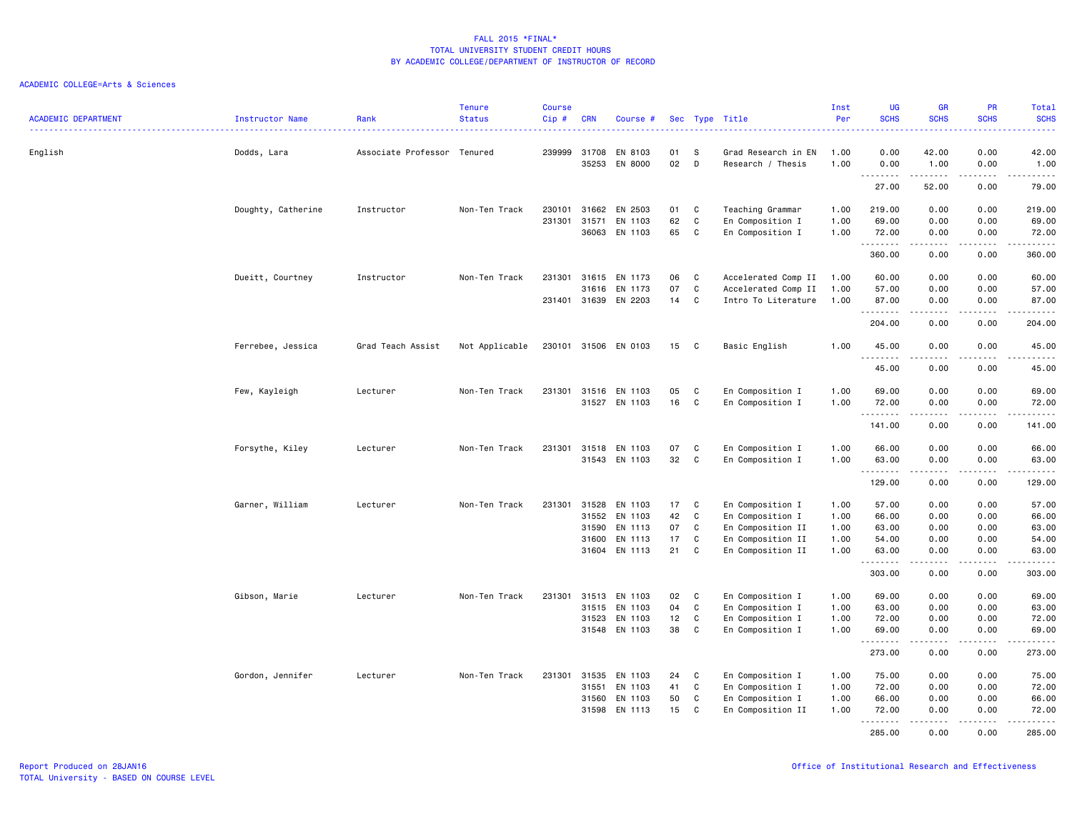|                            |                    |                             | <b>Tenure</b>  | Course |                |                      |          |          |                                          | Inst         | UG             | <b>GR</b>                                                                                                                                                    | PR            | <b>Total</b>                                                                                                                             |
|----------------------------|--------------------|-----------------------------|----------------|--------|----------------|----------------------|----------|----------|------------------------------------------|--------------|----------------|--------------------------------------------------------------------------------------------------------------------------------------------------------------|---------------|------------------------------------------------------------------------------------------------------------------------------------------|
| <b>ACADEMIC DEPARTMENT</b> | Instructor Name    | Rank                        | <b>Status</b>  | Cip#   | <b>CRN</b>     | Course #             |          |          | Sec Type Title                           | Per          | <b>SCHS</b>    | <b>SCHS</b>                                                                                                                                                  | <b>SCHS</b>   | <b>SCHS</b><br>$\frac{1}{2} \left( \frac{1}{2} \right) \left( \frac{1}{2} \right) \left( \frac{1}{2} \right) \left( \frac{1}{2} \right)$ |
|                            |                    |                             |                | 239999 |                |                      |          |          |                                          |              |                |                                                                                                                                                              |               |                                                                                                                                          |
| English                    | Dodds, Lara        | Associate Professor Tenured |                |        | 31708<br>35253 | EN 8103<br>EN 8000   | 01<br>02 | S<br>D   | Grad Research in EN<br>Research / Thesis | 1.00<br>1.00 | 0.00<br>0.00   | 42.00<br>1.00                                                                                                                                                | 0.00<br>0.00  | 42.00<br>1.00                                                                                                                            |
|                            |                    |                             |                |        |                |                      |          |          |                                          |              | .<br>27.00     | .<br>52.00                                                                                                                                                   | .<br>0.00     | .<br>79.00                                                                                                                               |
|                            |                    | Instructor                  | Non-Ten Track  | 230101 | 31662          | EN 2503              | 01       | C        | Teaching Grammar                         | 1.00         | 219.00         | 0.00                                                                                                                                                         | 0.00          | 219.00                                                                                                                                   |
|                            | Doughty, Catherine |                             |                | 231301 | 31571          | EN 1103              | 62       | C        | En Composition I                         | 1.00         | 69.00          | 0.00                                                                                                                                                         | 0.00          | 69.00                                                                                                                                    |
|                            |                    |                             |                |        | 36063          | EN 1103              | 65       | C        | En Composition I                         | 1.00         | 72.00          | 0.00                                                                                                                                                         | 0.00          | 72.00                                                                                                                                    |
|                            |                    |                             |                |        |                |                      |          |          |                                          |              | .<br>360.00    | $\frac{1}{2} \left( \frac{1}{2} \right) \left( \frac{1}{2} \right) \left( \frac{1}{2} \right) \left( \frac{1}{2} \right) \left( \frac{1}{2} \right)$<br>0.00 | .<br>0.00     | .<br>360.00                                                                                                                              |
|                            | Dueitt, Courtney   | Instructor                  | Non-Ten Track  | 231301 | 31615          | EN 1173              | 06       | C        | Accelerated Comp II                      | 1.00         | 60.00          | 0.00                                                                                                                                                         | 0.00          | 60.00                                                                                                                                    |
|                            |                    |                             |                |        | 31616          | EN 1173              | 07       | C        | Accelerated Comp II                      | 1.00         | 57.00          | 0.00                                                                                                                                                         | 0.00          | 57.00                                                                                                                                    |
|                            |                    |                             |                |        | 231401 31639   | EN 2203              | 14       | C        | Intro To Literature                      | 1.00         | 87.00          | 0.00                                                                                                                                                         | 0.00          | 87.00                                                                                                                                    |
|                            |                    |                             |                |        |                |                      |          |          |                                          |              | .<br>204.00    | $\frac{1}{2} \left( \frac{1}{2} \right) \left( \frac{1}{2} \right) \left( \frac{1}{2} \right) \left( \frac{1}{2} \right) \left( \frac{1}{2} \right)$<br>0.00 | .<br>0.00     | .<br>204.00                                                                                                                              |
|                            | Ferrebee, Jessica  | Grad Teach Assist           | Not Applicable |        |                | 230101 31506 EN 0103 | 15 C     |          | Basic English                            | 1.00         | 45.00          | 0.00                                                                                                                                                         | 0.00          | 45.00                                                                                                                                    |
|                            |                    |                             |                |        |                |                      |          |          |                                          |              | $- - - -$<br>. |                                                                                                                                                              |               | .                                                                                                                                        |
|                            |                    |                             |                |        |                |                      |          |          |                                          |              | 45.00          | 0.00                                                                                                                                                         | 0.00          | 45.00                                                                                                                                    |
|                            | Few, Kayleigh      | Lecturer                    | Non-Ten Track  |        | 231301 31516   | EN 1103              | 05       | C        | En Composition I                         | 1.00         | 69.00          | 0.00                                                                                                                                                         | 0.00          | 69.00                                                                                                                                    |
|                            |                    |                             |                |        |                | 31527 EN 1103        | 16       | C        | En Composition I                         | 1.00         | 72.00<br>.     | 0.00<br>. <b>.</b>                                                                                                                                           | 0.00<br>.     | 72.00<br>$- - - - - - -$                                                                                                                 |
|                            |                    |                             |                |        |                |                      |          |          |                                          |              | 141.00         | 0.00                                                                                                                                                         | 0.00          | 141.00                                                                                                                                   |
|                            | Forsythe, Kiley    | Lecturer                    | Non-Ten Track  | 231301 | 31518          | EN 1103              | 07       | C        | En Composition I                         | 1.00         | 66.00          | 0.00                                                                                                                                                         | 0.00          | 66.00                                                                                                                                    |
|                            |                    |                             |                |        |                | 31543 EN 1103        | 32       | C        | En Composition I                         | 1.00         | 63.00<br>.     | 0.00<br>$\begin{array}{cccccccccccccc} \bullet & \bullet & \bullet & \bullet & \bullet & \bullet & \bullet \end{array}$                                      | 0.00<br>----- | 63.00<br>.                                                                                                                               |
|                            |                    |                             |                |        |                |                      |          |          |                                          |              | 129.00         | 0.00                                                                                                                                                         | 0.00          | 129.00                                                                                                                                   |
|                            | Garner, William    | Lecturer                    | Non-Ten Track  | 231301 | 31528          | EN 1103              | 17       | C        | En Composition I                         | 1.00         | 57.00          | 0.00                                                                                                                                                         | 0.00          | 57.00                                                                                                                                    |
|                            |                    |                             |                |        | 31552          | EN 1103              | 42       | C        | En Composition I                         | 1.00         | 66.00          | 0.00                                                                                                                                                         | 0.00          | 66.00                                                                                                                                    |
|                            |                    |                             |                |        | 31590          | EN 1113              | 07       | C        | En Composition II                        | 1.00         | 63.00          | 0.00                                                                                                                                                         | 0.00          | 63.00                                                                                                                                    |
|                            |                    |                             |                |        | 31600          | EN 1113              | 17       | C        | En Composition II                        | 1.00         | 54.00          | 0.00                                                                                                                                                         | 0.00          | 54.00                                                                                                                                    |
|                            |                    |                             |                |        |                | 31604 EN 1113        | 21       | C        | En Composition II                        | 1.00         | 63.00<br>.     | 0.00<br><u>.</u>                                                                                                                                             | 0.00<br>.     | 63.00<br>.                                                                                                                               |
|                            |                    |                             |                |        |                |                      |          |          |                                          |              | 303.00         | 0.00                                                                                                                                                         | 0.00          | 303.00                                                                                                                                   |
|                            | Gibson, Marie      | Lecturer                    | Non-Ten Track  |        | 231301 31513   | EN 1103              | 02       | <b>C</b> | En Composition I                         | 1.00         | 69.00          | 0.00                                                                                                                                                         | 0.00          | 69.00                                                                                                                                    |
|                            |                    |                             |                |        | 31515          | EN 1103              | 04       | C        | En Composition I                         | 1.00         | 63.00          | 0.00                                                                                                                                                         | 0.00          | 63.00                                                                                                                                    |
|                            |                    |                             |                |        | 31523          | EN 1103              | 12       | C        | En Composition I                         | 1.00         | 72.00          | 0.00                                                                                                                                                         | 0.00          | 72.00                                                                                                                                    |
|                            |                    |                             |                |        |                | 31548 EN 1103        | 38       | C        | En Composition I                         | 1.00         | 69.00<br>.     | 0.00<br>د د د د د                                                                                                                                            | 0.00<br>.     | 69.00<br>.                                                                                                                               |
|                            |                    |                             |                |        |                |                      |          |          |                                          |              | 273.00         | 0.00                                                                                                                                                         | 0.00          | 273.00                                                                                                                                   |
|                            | Gordon, Jennifer   | Lecturer                    | Non-Ten Track  | 231301 | 31535          | EN 1103              | 24       | C        | En Composition I                         | 1.00         | 75.00          | 0.00                                                                                                                                                         | 0.00          | 75.00                                                                                                                                    |
|                            |                    |                             |                |        | 31551          | EN 1103              | 41       | C        | En Composition I                         | 1.00         | 72.00          | 0.00                                                                                                                                                         | 0.00          | 72.00                                                                                                                                    |
|                            |                    |                             |                |        | 31560          | EN 1103              | 50       | C        | En Composition I                         | 1.00         | 66.00          | 0.00                                                                                                                                                         | 0.00          | 66.00                                                                                                                                    |
|                            |                    |                             |                |        | 31598          | EN 1113              | 15       | C        | En Composition II                        | 1.00         | 72.00<br>.     | 0.00<br>.                                                                                                                                                    | 0.00          | 72.00<br>.                                                                                                                               |
|                            |                    |                             |                |        |                |                      |          |          |                                          |              | 285.00         | 0.00                                                                                                                                                         | 0.00          | 285.00                                                                                                                                   |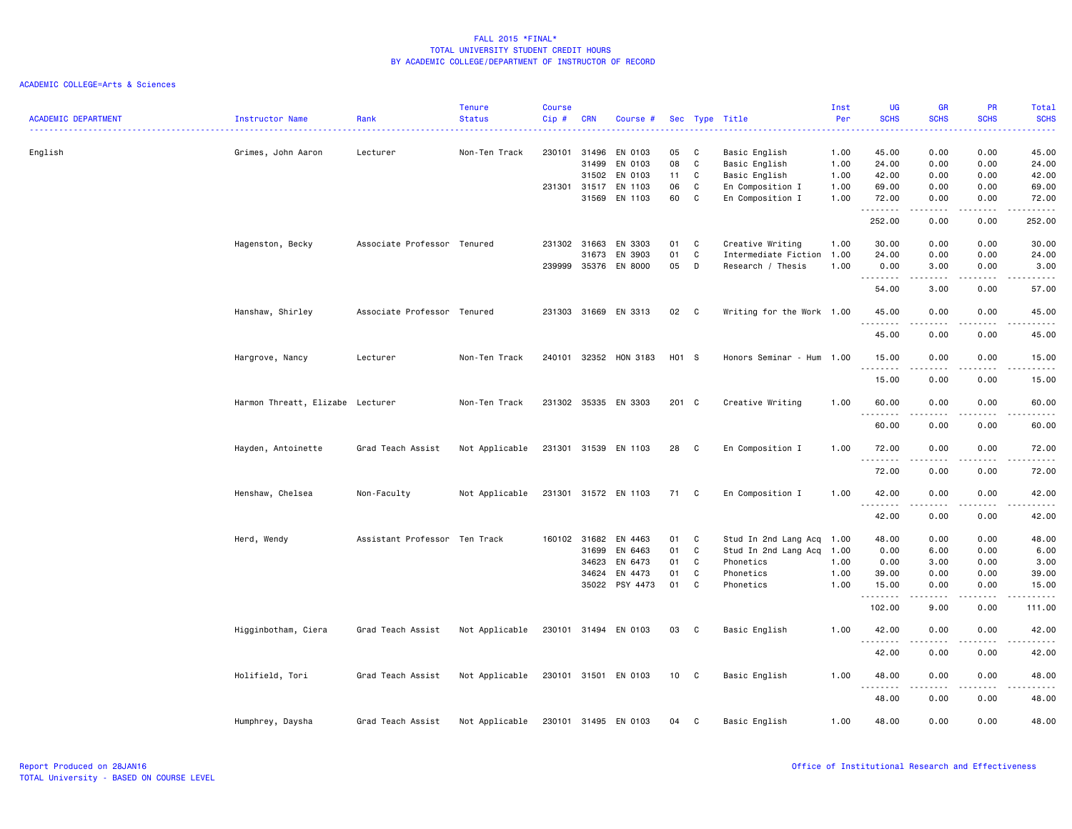|                            |                                  |                               | <b>Tenure</b>  | <b>Course</b> |            |                       |               |              |                                | Inst     | UG                                                   | GR                                                                                                                                                                                                                                                                                                                                                                                                                                                                         | PR                                  | Total                                                                                                                                                               |
|----------------------------|----------------------------------|-------------------------------|----------------|---------------|------------|-----------------------|---------------|--------------|--------------------------------|----------|------------------------------------------------------|----------------------------------------------------------------------------------------------------------------------------------------------------------------------------------------------------------------------------------------------------------------------------------------------------------------------------------------------------------------------------------------------------------------------------------------------------------------------------|-------------------------------------|---------------------------------------------------------------------------------------------------------------------------------------------------------------------|
| <b>ACADEMIC DEPARTMENT</b> | Instructor Name                  | Rank<br>.                     | <b>Status</b>  | Cip#          | <b>CRN</b> | Course #              |               |              | Sec Type Title<br>. <u>.</u> . | Per<br>. | <b>SCHS</b><br>----                                  | <b>SCHS</b>                                                                                                                                                                                                                                                                                                                                                                                                                                                                | <b>SCHS</b><br><u>.</u>             | <b>SCHS</b><br>$\frac{1}{2} \left( \frac{1}{2} \right) \left( \frac{1}{2} \right) \left( \frac{1}{2} \right) \left( \frac{1}{2} \right) \left( \frac{1}{2} \right)$ |
|                            |                                  | Lecturer                      | Non-Ten Track  | 230101 31496  |            | EN 0103               | 05            | C            |                                | 1.00     | 45.00                                                | 0.00                                                                                                                                                                                                                                                                                                                                                                                                                                                                       | 0.00                                | 45.00                                                                                                                                                               |
| English                    | Grimes, John Aaron               |                               |                |               | 31499      | EN 0103               | 08            | C            | Basic English<br>Basic English | 1.00     | 24.00                                                | 0.00                                                                                                                                                                                                                                                                                                                                                                                                                                                                       | 0.00                                | 24.00                                                                                                                                                               |
|                            |                                  |                               |                |               | 31502      | EN 0103               | 11            | C            | Basic English                  | 1.00     | 42.00                                                | 0.00                                                                                                                                                                                                                                                                                                                                                                                                                                                                       | 0.00                                | 42.00                                                                                                                                                               |
|                            |                                  |                               |                | 231301 31517  |            | EN 1103               | 06            | C            | En Composition I               | 1.00     | 69.00                                                | 0.00                                                                                                                                                                                                                                                                                                                                                                                                                                                                       | 0.00                                | 69.00                                                                                                                                                               |
|                            |                                  |                               |                |               | 31569      | EN 1103               | 60            | C            | En Composition I               | 1.00     | 72.00                                                | 0.00                                                                                                                                                                                                                                                                                                                                                                                                                                                                       | 0.00                                | 72.00                                                                                                                                                               |
|                            |                                  |                               |                |               |            |                       |               |              |                                |          | .                                                    | <u>.</u>                                                                                                                                                                                                                                                                                                                                                                                                                                                                   | .                                   | <u>.</u>                                                                                                                                                            |
|                            |                                  |                               |                |               |            |                       |               |              |                                |          | 252.00                                               | 0.00                                                                                                                                                                                                                                                                                                                                                                                                                                                                       | 0.00                                | 252.00                                                                                                                                                              |
|                            | Hagenston, Becky                 | Associate Professor Tenured   |                | 231302 31663  |            | EN 3303               | 01            | C            | Creative Writing               | 1.00     | 30.00                                                | 0.00                                                                                                                                                                                                                                                                                                                                                                                                                                                                       | 0.00                                | 30.00                                                                                                                                                               |
|                            |                                  |                               |                |               | 31673      | EN 3903               | 01            | C            | Intermediate Fiction 1.00      |          | 24.00                                                | 0.00                                                                                                                                                                                                                                                                                                                                                                                                                                                                       | 0.00                                | 24.00                                                                                                                                                               |
|                            |                                  |                               |                | 239999        | 35376      | EN 8000               | 05            | D            | Research / Thesis              | 1.00     | 0.00                                                 | 3.00                                                                                                                                                                                                                                                                                                                                                                                                                                                                       | 0.00                                | 3.00                                                                                                                                                                |
|                            |                                  |                               |                |               |            |                       |               |              |                                |          | .                                                    | .                                                                                                                                                                                                                                                                                                                                                                                                                                                                          | $\frac{1}{2}$                       | $\frac{1}{2} \left( \frac{1}{2} \right) \left( \frac{1}{2} \right) \left( \frac{1}{2} \right) \left( \frac{1}{2} \right) \left( \frac{1}{2} \right)$                |
|                            |                                  |                               |                |               |            |                       |               |              |                                |          | 54.00                                                | 3.00                                                                                                                                                                                                                                                                                                                                                                                                                                                                       | 0.00                                | 57.00                                                                                                                                                               |
|                            | Hanshaw, Shirley                 | Associate Professor Tenured   |                | 231303        | 31669      | EN 3313               | 02            | C            | Writing for the Work 1.00      |          | 45.00<br>.                                           | 0.00<br>.                                                                                                                                                                                                                                                                                                                                                                                                                                                                  | 0.00<br>.                           | 45.00<br>$\frac{1}{2} \left( \frac{1}{2} \right) \left( \frac{1}{2} \right) \left( \frac{1}{2} \right) \left( \frac{1}{2} \right) \left( \frac{1}{2} \right)$       |
|                            |                                  |                               |                |               |            |                       |               |              |                                |          | 45.00                                                | 0.00                                                                                                                                                                                                                                                                                                                                                                                                                                                                       | 0.00                                | 45.00                                                                                                                                                               |
|                            | Hargrove, Nancy                  | Lecturer                      | Non-Ten Track  |               |            | 240101 32352 HON 3183 | H01 S         |              | Honors Seminar - Hum 1.00      |          | 15.00                                                | 0.00                                                                                                                                                                                                                                                                                                                                                                                                                                                                       | 0.00                                | 15.00                                                                                                                                                               |
|                            |                                  |                               |                |               |            |                       |               |              |                                |          | .                                                    | $\frac{1}{2} \left( \frac{1}{2} \right) \left( \frac{1}{2} \right) \left( \frac{1}{2} \right) \left( \frac{1}{2} \right) \left( \frac{1}{2} \right) \left( \frac{1}{2} \right) \left( \frac{1}{2} \right) \left( \frac{1}{2} \right) \left( \frac{1}{2} \right) \left( \frac{1}{2} \right) \left( \frac{1}{2} \right) \left( \frac{1}{2} \right) \left( \frac{1}{2} \right) \left( \frac{1}{2} \right) \left( \frac{1}{2} \right) \left( \frac{1}{2} \right) \left( \frac$ | .                                   | .                                                                                                                                                                   |
|                            |                                  |                               |                |               |            |                       |               |              |                                |          | 15.00                                                | 0.00                                                                                                                                                                                                                                                                                                                                                                                                                                                                       | 0.00                                | 15.00                                                                                                                                                               |
|                            | Harmon Threatt, Elizabe Lecturer |                               | Non-Ten Track  | 231302 35335  |            | EN 3303               | $201 \quad C$ |              | Creative Writing               | 1.00     | 60.00                                                | 0.00                                                                                                                                                                                                                                                                                                                                                                                                                                                                       | 0.00                                | 60.00                                                                                                                                                               |
|                            |                                  |                               |                |               |            |                       |               |              |                                |          | .<br>60.00                                           | 0.00                                                                                                                                                                                                                                                                                                                                                                                                                                                                       | 0.00                                | $- - - - -$<br>60.00                                                                                                                                                |
|                            |                                  |                               |                |               |            |                       |               |              |                                |          |                                                      |                                                                                                                                                                                                                                                                                                                                                                                                                                                                            |                                     |                                                                                                                                                                     |
|                            | Hayden, Antoinette               | Grad Teach Assist             | Not Applicable |               |            | 231301 31539 EN 1103  | 28            | C            | En Composition I               | 1.00     | 72.00                                                | 0.00                                                                                                                                                                                                                                                                                                                                                                                                                                                                       | 0.00                                | 72.00                                                                                                                                                               |
|                            |                                  |                               |                |               |            |                       |               |              |                                |          | 72.00                                                | 0.00                                                                                                                                                                                                                                                                                                                                                                                                                                                                       | 0.00                                | 72.00                                                                                                                                                               |
|                            |                                  |                               |                |               |            |                       |               |              |                                |          |                                                      |                                                                                                                                                                                                                                                                                                                                                                                                                                                                            |                                     |                                                                                                                                                                     |
|                            | Henshaw, Chelsea                 | Non-Faculty                   | Not Applicable |               |            | 231301 31572 EN 1103  | 71 C          |              | En Composition I               | 1.00     | 42.00                                                | 0.00<br>.                                                                                                                                                                                                                                                                                                                                                                                                                                                                  | 0.00<br>$\sim$ $\sim$ $\sim$ $\sim$ | 42.00<br>$\frac{1}{2} \left( \frac{1}{2} \right) \left( \frac{1}{2} \right) \left( \frac{1}{2} \right) \left( \frac{1}{2} \right) \left( \frac{1}{2} \right)$       |
|                            |                                  |                               |                |               |            |                       |               |              |                                |          | .<br>42.00                                           | 0.00                                                                                                                                                                                                                                                                                                                                                                                                                                                                       | 0.00                                | 42.00                                                                                                                                                               |
|                            |                                  |                               |                |               |            |                       |               |              |                                |          |                                                      |                                                                                                                                                                                                                                                                                                                                                                                                                                                                            |                                     |                                                                                                                                                                     |
|                            | Herd, Wendy                      | Assistant Professor Ten Track |                | 160102        | 31682      | EN 4463               | 01            | C.<br>C      | Stud In 2nd Lang Acq 1.00      |          | 48.00                                                | 0.00                                                                                                                                                                                                                                                                                                                                                                                                                                                                       | 0.00                                | 48.00                                                                                                                                                               |
|                            |                                  |                               |                |               | 31699      | EN 6463               | 01            |              | Stud In 2nd Lang Acq 1.00      |          | 0.00                                                 | 6.00                                                                                                                                                                                                                                                                                                                                                                                                                                                                       | 0.00                                | 6.00                                                                                                                                                                |
|                            |                                  |                               |                |               | 34623      | EN 6473               | 01            | C            | Phonetics                      | 1.00     | 0.00                                                 | 3.00                                                                                                                                                                                                                                                                                                                                                                                                                                                                       | 0.00                                | 3.00                                                                                                                                                                |
|                            |                                  |                               |                |               | 34624      | EN 4473               | 01            | C            | Phonetics                      | 1.00     | 39.00                                                | 0.00                                                                                                                                                                                                                                                                                                                                                                                                                                                                       | 0.00                                | 39.00                                                                                                                                                               |
|                            |                                  |                               |                |               |            | 35022 PSY 4473        | 01            | C.           | Phonetics                      | 1.00     | 15.00<br>.                                           | 0.00<br>-----                                                                                                                                                                                                                                                                                                                                                                                                                                                              | 0.00<br>.                           | 15.00<br>.                                                                                                                                                          |
|                            |                                  |                               |                |               |            |                       |               |              |                                |          | 102.00                                               | 9.00                                                                                                                                                                                                                                                                                                                                                                                                                                                                       | 0.00                                | 111.00                                                                                                                                                              |
|                            | Higginbotham, Ciera              | Grad Teach Assist             | Not Applicable |               |            | 230101 31494 EN 0103  | 03            | $\mathbf{C}$ | Basic English                  | 1.00     | 42.00                                                | 0.00                                                                                                                                                                                                                                                                                                                                                                                                                                                                       | 0.00                                | 42.00                                                                                                                                                               |
|                            |                                  |                               |                |               |            |                       |               |              |                                |          | .<br>42.00                                           | 0.00                                                                                                                                                                                                                                                                                                                                                                                                                                                                       | 0.00                                | $\frac{1}{2}$<br>42.00                                                                                                                                              |
|                            |                                  |                               |                |               |            |                       |               |              |                                |          |                                                      |                                                                                                                                                                                                                                                                                                                                                                                                                                                                            |                                     |                                                                                                                                                                     |
|                            | Holifield, Tori                  | Grad Teach Assist             | Not Applicable | 230101 31501  |            | EN 0103               | 10            | C            | Basic English                  | 1.00     | 48.00<br>$\omega_{\rm{eff}}$ and $\omega_{\rm{eff}}$ | 0.00                                                                                                                                                                                                                                                                                                                                                                                                                                                                       | 0.00                                | 48.00                                                                                                                                                               |
|                            |                                  |                               |                |               |            |                       |               |              |                                |          | 48.00                                                | 0.00                                                                                                                                                                                                                                                                                                                                                                                                                                                                       | 0.00                                | 48.00                                                                                                                                                               |
|                            | Humphrey, Daysha                 | Grad Teach Assist             | Not Applicable |               |            | 230101 31495 EN 0103  | 04 C          |              | Basic English                  | 1.00     | 48.00                                                | 0.00                                                                                                                                                                                                                                                                                                                                                                                                                                                                       | 0.00                                | 48.00                                                                                                                                                               |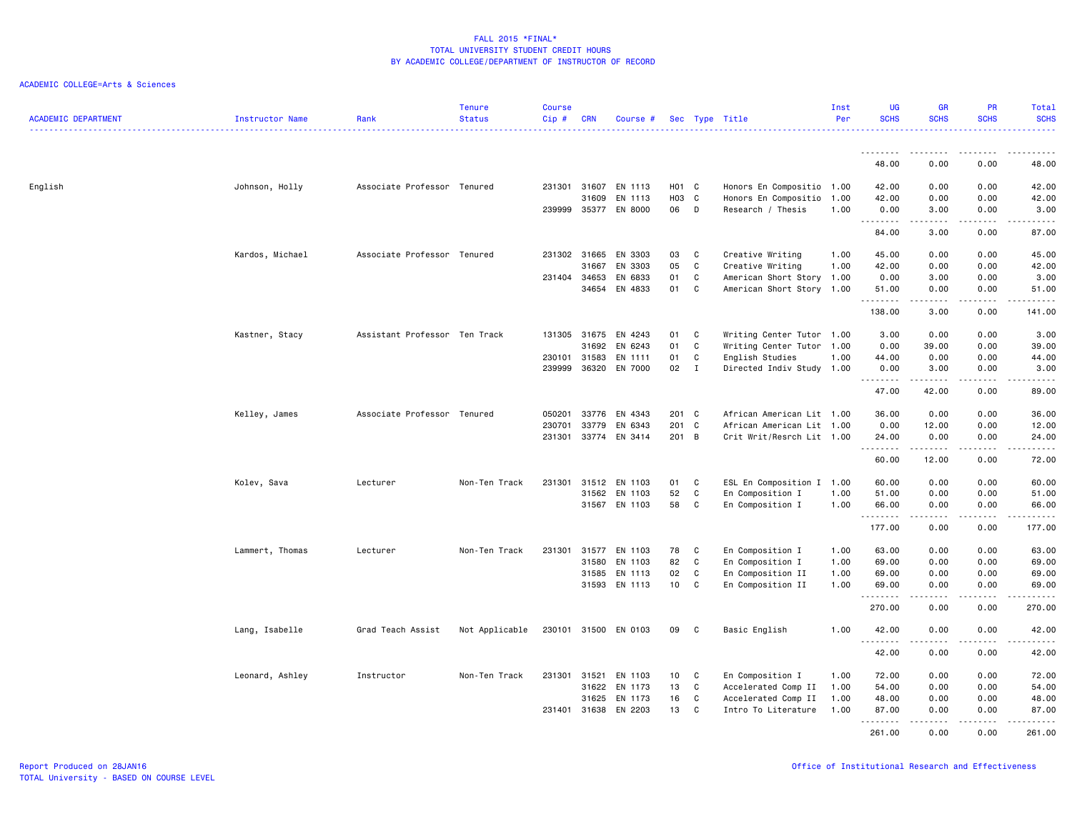| <b>ACADEMIC DEPARTMENT</b> | Instructor Name | Rank                          | <b>Tenure</b><br><b>Status</b> | <b>Course</b><br>$Cip$ # | <b>CRN</b>   | Course #             |                   |              | Sec Type Title            | Inst<br>Per | UG<br><b>SCHS</b>  | <b>GR</b><br><b>SCHS</b> | <b>PR</b><br><b>SCHS</b>                                                                                                          | Total<br><b>SCHS</b> |
|----------------------------|-----------------|-------------------------------|--------------------------------|--------------------------|--------------|----------------------|-------------------|--------------|---------------------------|-------------|--------------------|--------------------------|-----------------------------------------------------------------------------------------------------------------------------------|----------------------|
|                            |                 |                               |                                |                          |              |                      |                   |              |                           |             |                    |                          |                                                                                                                                   |                      |
|                            |                 |                               |                                |                          |              |                      |                   |              |                           |             | 48.00              | 0.00                     | 0.00                                                                                                                              | 48.00                |
| English                    | Johnson, Holly  | Associate Professor Tenured   |                                | 231301 31607             |              | EN 1113              | $H01$ C           |              | Honors En Compositio 1.00 |             | 42.00              | 0.00                     | 0.00                                                                                                                              | 42.00                |
|                            |                 |                               |                                |                          | 31609        | EN 1113              | HO <sub>3</sub> C |              | Honors En Compositio      | 1.00        | 42.00              | 0.00                     | 0.00                                                                                                                              | 42.00                |
|                            |                 |                               |                                | 239999                   |              | 35377 EN 8000        | 06                | $\mathsf{D}$ | Research / Thesis         | 1.00        | 0.00<br>--------   | 3.00<br>-----            | 0.00<br>.                                                                                                                         | 3.00<br>.            |
|                            |                 |                               |                                |                          |              |                      |                   |              |                           |             | 84.00              | 3.00                     | 0.00                                                                                                                              | 87.00                |
|                            | Kardos, Michael | Associate Professor Tenured   |                                | 231302 31665             |              | EN 3303              | 03                | C            | Creative Writing          | 1.00        | 45.00              | 0.00                     | 0.00                                                                                                                              | 45.00                |
|                            |                 |                               |                                |                          | 31667        | EN 3303              | 05                | C            | Creative Writing          | 1.00        | 42.00              | 0.00                     | 0.00                                                                                                                              | 42.00                |
|                            |                 |                               |                                | 231404                   | 34653        | EN 6833              | 01                | C            | American Short Story 1.00 |             | 0.00               | 3.00                     | 0.00                                                                                                                              | 3.00                 |
|                            |                 |                               |                                |                          | 34654        | EN 4833              | 01                | C            | American Short Story 1.00 |             | 51.00<br>.         | 0.00<br>.                | 0.00<br>.                                                                                                                         | 51.00<br>.           |
|                            |                 |                               |                                |                          |              |                      |                   |              |                           |             | 138.00             | 3.00                     | 0.00                                                                                                                              | 141.00               |
|                            | Kastner, Stacy  | Assistant Professor Ten Track |                                |                          | 131305 31675 | EN 4243              | 01                | $\mathbf{C}$ | Writing Center Tutor 1.00 |             | 3.00               | 0.00                     | 0.00                                                                                                                              | 3.00                 |
|                            |                 |                               |                                |                          | 31692        | EN 6243              | 01                | C            | Writing Center Tutor      | 1.00        | 0.00               | 39.00                    | 0.00                                                                                                                              | 39.00                |
|                            |                 |                               |                                | 230101                   | 31583        | EN 1111              | 01                | C            | English Studies           | 1.00        | 44.00              | 0.00                     | 0.00                                                                                                                              | 44.00                |
|                            |                 |                               |                                | 239999                   | 36320        | EN 7000              | 02                | $\mathbf{I}$ | Directed Indiv Study 1.00 |             | 0.00<br>.          | 3.00<br>.                | 0.00                                                                                                                              | 3.00<br>.            |
|                            |                 |                               |                                |                          |              |                      |                   |              |                           |             | 47.00              | 42.00                    | 0.00                                                                                                                              | 89.00                |
|                            | Kelley, James   | Associate Professor Tenured   |                                | 050201                   | 33776        | EN 4343              | 201 C             |              | African American Lit 1.00 |             | 36.00              | 0.00                     | 0.00                                                                                                                              | 36.00                |
|                            |                 |                               |                                | 230701                   | 33779        | EN 6343              | 201 C             |              | African American Lit 1.00 |             | 0.00               | 12.00                    | 0.00                                                                                                                              | 12.00                |
|                            |                 |                               |                                | 231301                   |              | 33774 EN 3414        | 201 B             |              | Crit Writ/Resrch Lit 1.00 |             | 24.00              | 0.00<br>-----            | 0.00<br>$\frac{1}{2} \left( \frac{1}{2} \right) \left( \frac{1}{2} \right) \left( \frac{1}{2} \right) \left( \frac{1}{2} \right)$ | 24.00<br>.           |
|                            |                 |                               |                                |                          |              |                      |                   |              |                           |             | 60.00              | 12.00                    | 0.00                                                                                                                              | 72.00                |
|                            | Kolev, Sava     | Lecturer                      | Non-Ten Track                  | 231301                   | 31512        | EN 1103              | 01                | C            | ESL En Composition I 1.00 |             | 60.00              | 0.00                     | 0.00                                                                                                                              | 60.00                |
|                            |                 |                               |                                |                          | 31562        | EN 1103              | 52                | C            | En Composition I          | 1.00        | 51.00              | 0.00                     | 0.00                                                                                                                              | 51.00                |
|                            |                 |                               |                                |                          | 31567        | EN 1103              | 58                | C            | En Composition I          | 1.00        | 66.00              | 0.00                     | 0.00                                                                                                                              | 66.00                |
|                            |                 |                               |                                |                          |              |                      |                   |              |                           |             | .<br>177.00        | 0.00                     | 0.00                                                                                                                              | د د د د د<br>177.00  |
|                            |                 |                               |                                |                          |              |                      |                   |              |                           |             |                    |                          |                                                                                                                                   |                      |
|                            | Lammert, Thomas | Lecturer                      | Non-Ten Track                  | 231301                   | 31577        | EN 1103              | 78                | C            | En Composition I          | 1.00        | 63.00              | 0.00                     | 0.00                                                                                                                              | 63.00                |
|                            |                 |                               |                                |                          | 31580        | EN 1103              | 82                | C            | En Composition I          | 1.00        | 69.00              | 0.00                     | 0.00                                                                                                                              | 69.00                |
|                            |                 |                               |                                |                          | 31585        | EN 1113              | 02                | C            | En Composition II         | 1.00        | 69.00              | 0.00                     | 0.00                                                                                                                              | 69.00                |
|                            |                 |                               |                                |                          |              | 31593 EN 1113        | 10                | C            | En Composition II         | 1.00        | 69.00<br>.         | 0.00<br>-----            | 0.00<br>.                                                                                                                         | 69.00<br>.           |
|                            |                 |                               |                                |                          |              |                      |                   |              |                           |             | 270.00             | 0.00                     | 0.00                                                                                                                              | 270.00               |
|                            | Lang, Isabelle  | Grad Teach Assist             | Not Applicable                 |                          |              | 230101 31500 EN 0103 | 09                | $\mathbf{C}$ | Basic English             | 1.00        | 42.00              | 0.00                     | 0.00                                                                                                                              | 42.00                |
|                            |                 |                               |                                |                          |              |                      |                   |              |                           |             | .<br>42.00         | .<br>0.00                | .<br>0.00                                                                                                                         | .<br>42.00           |
|                            | Leonard, Ashley | Instructor                    | Non-Ten Track                  | 231301                   | 31521        | EN 1103              | 10                | C            | En Composition I          | 1.00        | 72.00              | 0.00                     | 0.00                                                                                                                              | 72.00                |
|                            |                 |                               |                                |                          | 31622        | EN 1173              | 13                | C            | Accelerated Comp II       | 1.00        | 54.00              | 0.00                     | 0.00                                                                                                                              | 54.00                |
|                            |                 |                               |                                |                          | 31625        | EN 1173              | 16                | C            | Accelerated Comp II       | 1.00        | 48.00              | 0.00                     | 0.00                                                                                                                              | 48.00                |
|                            |                 |                               |                                | 231401                   | 31638        | EN 2203              | 13                | C            | Intro To Literature       | 1.00        | 87.00              | 0.00                     | 0.00                                                                                                                              | 87.00                |
|                            |                 |                               |                                |                          |              |                      |                   |              |                           |             | <u>.</u><br>261.00 | 0.00                     | 0.00                                                                                                                              | 261.00               |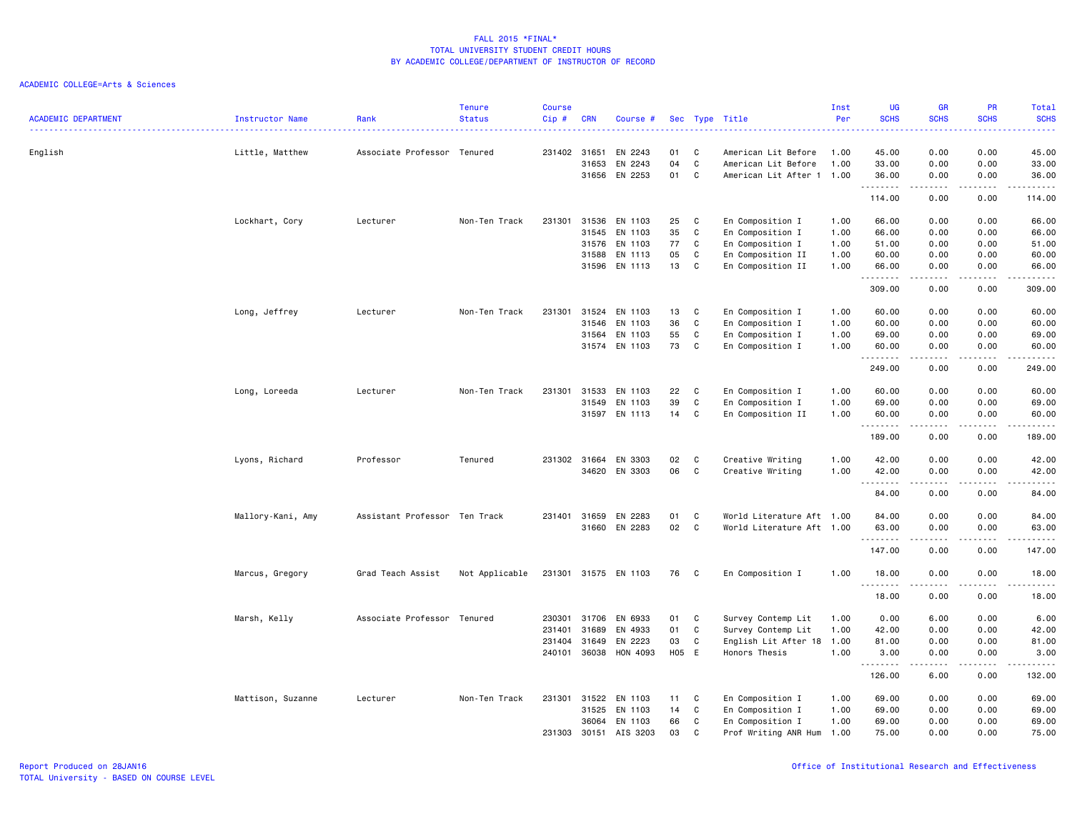| <b>ACADEMIC DEPARTMENT</b> | Instructor Name   | Rank                          | <b>Tenure</b><br><b>Status</b> | <b>Course</b><br>Cip# | <b>CRN</b> | Course #             |          |        | Sec Type Title                                   | Inst<br>Per  | <b>UG</b><br><b>SCHS</b>     | GR<br><b>SCHS</b> | PR<br><b>SCHS</b>                                                                                                         | Total<br><b>SCHS</b>                                                                                                                                           |
|----------------------------|-------------------|-------------------------------|--------------------------------|-----------------------|------------|----------------------|----------|--------|--------------------------------------------------|--------------|------------------------------|-------------------|---------------------------------------------------------------------------------------------------------------------------|----------------------------------------------------------------------------------------------------------------------------------------------------------------|
|                            |                   |                               |                                |                       |            |                      |          |        |                                                  |              | .                            |                   | $\frac{1}{2} \left( \frac{1}{2} \right) \left( \frac{1}{2} \right) \left( \frac{1}{2} \right) \left( \frac{1}{2} \right)$ | د د د د د                                                                                                                                                      |
| English                    | Little, Matthew   | Associate Professor Tenured   |                                | 231402 31651          | 31653      | EN 2243<br>EN 2243   | 01<br>04 | C<br>C | American Lit Before                              | 1.00<br>1.00 | 45.00                        | 0.00<br>0.00      | 0.00<br>0.00                                                                                                              | 45.00                                                                                                                                                          |
|                            |                   |                               |                                |                       | 31656      | EN 2253              | 01       | C      | American Lit Before<br>American Lit After 1 1.00 |              | 33.00<br>36.00               | 0.00              | 0.00                                                                                                                      | 33.00<br>36.00                                                                                                                                                 |
|                            |                   |                               |                                |                       |            |                      |          |        |                                                  |              | .                            |                   |                                                                                                                           | د د د د د                                                                                                                                                      |
|                            |                   |                               |                                |                       |            |                      |          |        |                                                  |              | 114.00                       | 0.00              | 0.00                                                                                                                      | 114.00                                                                                                                                                         |
|                            | Lockhart, Cory    | Lecturer                      | Non-Ten Track                  | 231301                | 31536      | EN 1103              | 25       | C      | En Composition I                                 | 1.00         | 66.00                        | 0.00              | 0.00                                                                                                                      | 66.00                                                                                                                                                          |
|                            |                   |                               |                                |                       | 31545      | EN 1103              | 35       | C      | En Composition I                                 | 1.00         | 66.00                        | 0.00              | 0.00                                                                                                                      | 66.00                                                                                                                                                          |
|                            |                   |                               |                                |                       | 31576      | EN 1103              | 77       | C      | En Composition I                                 | 1.00         | 51.00                        | 0.00              | 0.00                                                                                                                      | 51.00                                                                                                                                                          |
|                            |                   |                               |                                |                       | 31588      | EN 1113              | 05       | C      | En Composition II                                | 1.00         | 60.00                        | 0.00              | 0.00                                                                                                                      | 60.00                                                                                                                                                          |
|                            |                   |                               |                                |                       |            | 31596 EN 1113        | 13       | C      | En Composition II                                | 1.00         | 66.00<br>.                   | 0.00<br>.         | 0.00<br>.                                                                                                                 | 66.00<br>.                                                                                                                                                     |
|                            |                   |                               |                                |                       |            |                      |          |        |                                                  |              | 309.00                       | 0.00              | 0.00                                                                                                                      | 309.00                                                                                                                                                         |
|                            | Long, Jeffrey     | Lecturer                      | Non-Ten Track                  | 231301                | 31524      | EN 1103              | 13       | C      | En Composition I                                 | 1.00         | 60.00                        | 0.00              | 0.00                                                                                                                      | 60.00                                                                                                                                                          |
|                            |                   |                               |                                |                       | 31546      | EN 1103              | 36       | C      | En Composition I                                 | 1.00         | 60.00                        | 0.00              | 0.00                                                                                                                      | 60.00                                                                                                                                                          |
|                            |                   |                               |                                |                       | 31564      | EN 1103              | 55       | C      | En Composition I                                 | 1.00         | 69.00                        | 0.00              | 0.00                                                                                                                      | 69.00                                                                                                                                                          |
|                            |                   |                               |                                |                       | 31574      | EN 1103              | 73       | C      | En Composition I                                 | 1.00         | 60.00<br>.                   | 0.00              | 0.00                                                                                                                      | 60.00<br>$\frac{1}{2} \left( \frac{1}{2} \right) \left( \frac{1}{2} \right) \left( \frac{1}{2} \right) \left( \frac{1}{2} \right)$                             |
|                            |                   |                               |                                |                       |            |                      |          |        |                                                  |              | 249.00                       | 0.00              | 0.00                                                                                                                      | 249.00                                                                                                                                                         |
|                            | Long, Loreeda     | Lecturer                      | Non-Ten Track                  | 231301                | 31533      | EN 1103              | 22       | C      | En Composition I                                 | 1.00         | 60.00                        | 0.00              | 0.00                                                                                                                      | 60.00                                                                                                                                                          |
|                            |                   |                               |                                |                       | 31549      | EN 1103              | 39       | C      | En Composition I                                 | 1.00         | 69.00                        | 0.00              | 0.00                                                                                                                      | 69.00                                                                                                                                                          |
|                            |                   |                               |                                |                       | 31597      | EN 1113              | 14       | C      | En Composition II                                | 1.00         | 60.00                        | 0.00              | 0.00                                                                                                                      | 60.00                                                                                                                                                          |
|                            |                   |                               |                                |                       |            |                      |          |        |                                                  |              | .<br>189.00                  | 0.00              | 0.00                                                                                                                      | $\frac{1}{2} \left( \frac{1}{2} \right) \left( \frac{1}{2} \right) \left( \frac{1}{2} \right) \left( \frac{1}{2} \right) \left( \frac{1}{2} \right)$<br>189.00 |
|                            | Lyons, Richard    | Professor                     | Tenured                        | 231302 31664          |            | EN 3303              | 02       | C      | Creative Writing                                 | 1.00         | 42.00                        | 0.00              | 0.00                                                                                                                      | 42.00                                                                                                                                                          |
|                            |                   |                               |                                |                       | 34620      | EN 3303              | 06       | C      | Creative Writing                                 | 1.00         | 42.00                        | 0.00              | 0.00                                                                                                                      | 42.00                                                                                                                                                          |
|                            |                   |                               |                                |                       |            |                      |          |        |                                                  |              | .                            | -----             | .                                                                                                                         | .                                                                                                                                                              |
|                            |                   |                               |                                |                       |            |                      |          |        |                                                  |              | 84.00                        | 0.00              | 0.00                                                                                                                      | 84.00                                                                                                                                                          |
|                            | Mallory-Kani, Amy | Assistant Professor Ten Track |                                | 231401                | 31659      | EN 2283              | 01       | C      | World Literature Aft 1.00                        |              | 84.00                        | 0.00              | 0.00                                                                                                                      | 84.00                                                                                                                                                          |
|                            |                   |                               |                                |                       | 31660      | EN 2283              | 02       | C      | World Literature Aft 1.00                        |              | 63.00                        | 0.00              | 0.00                                                                                                                      | 63.00                                                                                                                                                          |
|                            |                   |                               |                                |                       |            |                      |          |        |                                                  |              | .<br>147.00                  | 0.00              | 0.00                                                                                                                      | .<br>147.00                                                                                                                                                    |
|                            |                   |                               |                                |                       |            |                      |          |        |                                                  |              |                              |                   |                                                                                                                           |                                                                                                                                                                |
|                            | Marcus, Gregory   | Grad Teach Assist             | Not Applicable                 |                       |            | 231301 31575 EN 1103 | 76       | C      | En Composition I                                 | 1.00         | 18.00<br>.                   | 0.00<br>-----     | 0.00<br>.                                                                                                                 | 18.00<br>.                                                                                                                                                     |
|                            |                   |                               |                                |                       |            |                      |          |        |                                                  |              | 18.00                        | 0.00              | 0.00                                                                                                                      | 18.00                                                                                                                                                          |
|                            | Marsh, Kelly      | Associate Professor           | Tenured                        | 230301                | 31706      | EN 6933              | 01       | C      | Survey Contemp Lit                               | 1.00         | 0.00                         | 6.00              | 0.00                                                                                                                      | 6.00                                                                                                                                                           |
|                            |                   |                               |                                | 231401                | 31689      | EN 4933              | 01       | C      | Survey Contemp Lit                               | 1.00         | 42.00                        | 0.00              | 0.00                                                                                                                      | 42.00                                                                                                                                                          |
|                            |                   |                               |                                | 231404                | 31649      | EN 2223              | 03       | C      | English Lit After 18                             | 1.00         | 81.00                        | 0.00              | 0.00                                                                                                                      | 81.00                                                                                                                                                          |
|                            |                   |                               |                                | 240101                | 36038      | HON 4093             | H05 E    |        | Honors Thesis                                    | 1.00         | 3.00<br>$\sim$ $\sim$ $\sim$ | 0.00              | 0.00                                                                                                                      | 3.00<br>$\frac{1}{2} \left( \frac{1}{2} \right) \left( \frac{1}{2} \right) \left( \frac{1}{2} \right) \left( \frac{1}{2} \right)$                              |
|                            |                   |                               |                                |                       |            |                      |          |        |                                                  |              | 126.00                       | 6.00              | 0.00                                                                                                                      | 132.00                                                                                                                                                         |
|                            | Mattison, Suzanne | Lecturer                      | Non-Ten Track                  | 231301                | 31522      | EN 1103              | 11       | C      | En Composition I                                 | 1.00         | 69.00                        | 0.00              | 0.00                                                                                                                      | 69.00                                                                                                                                                          |
|                            |                   |                               |                                |                       | 31525      | EN 1103              | 14       | C      | En Composition I                                 | 1.00         | 69.00                        | 0.00              | 0.00                                                                                                                      | 69.00                                                                                                                                                          |
|                            |                   |                               |                                |                       | 36064      | EN 1103              | 66       | C      | En Composition I                                 | 1.00         | 69.00                        | 0.00              | 0.00                                                                                                                      | 69.00                                                                                                                                                          |
|                            |                   |                               |                                | 231303                | 30151      | AIS 3203             | 03       | C      | Prof Writing ANR Hum                             | 1.00         | 75.00                        | 0.00              | 0.00                                                                                                                      | 75.00                                                                                                                                                          |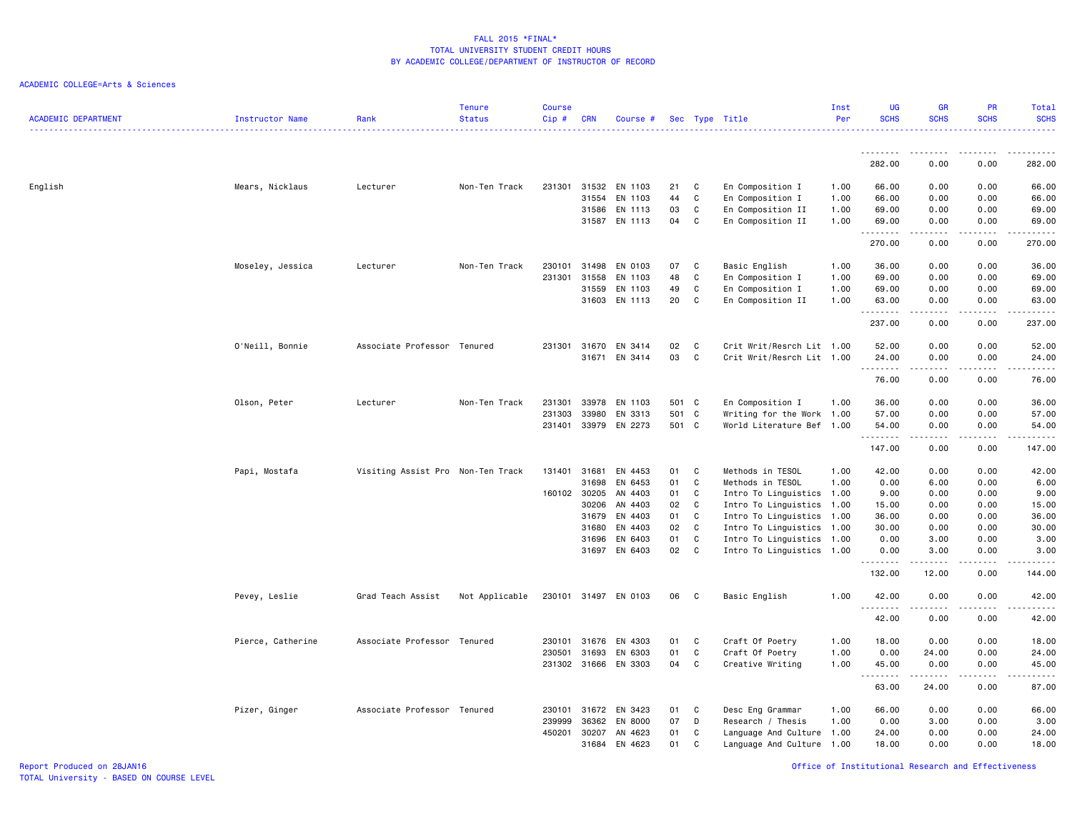| <b>ACADEMIC DEPARTMENT</b> | Instructor Name   | Rank                              | <b>Tenure</b><br><b>Status</b> | <b>Course</b><br>$Cip$ # | <b>CRN</b>     | Course #             |          |              | Sec Type Title                                         | Inst<br>Per  | <b>UG</b><br><b>SCHS</b> | <b>GR</b><br><b>SCHS</b>                                                                                                | <b>PR</b><br><b>SCHS</b> | Total<br><b>SCHS</b><br>. <u>.</u> |
|----------------------------|-------------------|-----------------------------------|--------------------------------|--------------------------|----------------|----------------------|----------|--------------|--------------------------------------------------------|--------------|--------------------------|-------------------------------------------------------------------------------------------------------------------------|--------------------------|------------------------------------|
|                            |                   |                                   |                                |                          |                |                      |          |              |                                                        |              |                          |                                                                                                                         |                          |                                    |
|                            |                   |                                   |                                |                          |                |                      |          |              |                                                        |              | 282.00                   | 0.00                                                                                                                    | 0.00                     | 282.00                             |
| English                    | Mears, Nicklaus   | Lecturer                          | Non-Ten Track                  | 231301                   | 31532          | EN 1103              | 21       | C            | En Composition I                                       | 1.00         | 66.00                    | 0.00                                                                                                                    | 0.00                     | 66.00                              |
|                            |                   |                                   |                                |                          | 31554          | EN 1103              | 44       | C            | En Composition I                                       | 1.00         | 66.00                    | 0.00                                                                                                                    | 0.00                     | 66.00                              |
|                            |                   |                                   |                                |                          | 31586          | EN 1113              | 03       | C            | En Composition II                                      | 1.00         | 69.00                    | 0.00                                                                                                                    | 0.00                     | 69.00                              |
|                            |                   |                                   |                                |                          |                | 31587 EN 1113        | 04       | C            | En Composition II                                      | 1.00         | 69.00                    | 0.00                                                                                                                    | 0.00                     | 69.00<br>.                         |
|                            |                   |                                   |                                |                          |                |                      |          |              |                                                        |              | 270.00                   | 0.00                                                                                                                    | 0.00                     | 270.00                             |
|                            | Moseley, Jessica  | Lecturer                          | Non-Ten Track                  | 230101                   | 31498          | EN 0103              | 07       | C            | Basic English                                          | 1.00         | 36.00                    | 0.00                                                                                                                    | 0.00                     | 36.00                              |
|                            |                   |                                   |                                | 231301                   | 31558          | EN 1103              | 48       | C            | En Composition I                                       | 1.00         | 69.00                    | 0.00                                                                                                                    | 0.00                     | 69.00                              |
|                            |                   |                                   |                                |                          | 31559          | EN 1103              | 49       | C            | En Composition I                                       | 1.00         | 69.00                    | 0.00                                                                                                                    | 0.00                     | 69.00                              |
|                            |                   |                                   |                                |                          |                | 31603 EN 1113        | 20       | C            | En Composition II                                      | 1.00         | 63.00<br>.               | 0.00<br>$\begin{array}{cccccccccccccc} \bullet & \bullet & \bullet & \bullet & \bullet & \bullet & \bullet \end{array}$ | 0.00<br>.                | 63.00<br><b><i><u></u></i></b>     |
|                            |                   |                                   |                                |                          |                |                      |          |              |                                                        |              | 237.00                   | 0.00                                                                                                                    | 0.00                     | 237.00                             |
|                            | O'Neill, Bonnie   | Associate Professor Tenured       |                                | 231301                   | 31670          | EN 3414              | 02       | C            | Crit Writ/Resrch Lit 1.00                              |              | 52.00                    | 0.00                                                                                                                    | 0.00                     | 52.00                              |
|                            |                   |                                   |                                |                          | 31671          | EN 3414              | 03       | C            | Crit Writ/Resrch Lit 1.00                              |              | 24.00                    | 0.00                                                                                                                    | 0.00                     | 24.00                              |
|                            |                   |                                   |                                |                          |                |                      |          |              |                                                        |              | <u>.</u>                 | .                                                                                                                       | $\frac{1}{2}$            | .                                  |
|                            |                   |                                   |                                |                          |                |                      |          |              |                                                        |              | 76.00                    | 0.00                                                                                                                    | 0.00                     | 76.00                              |
|                            | Olson, Peter      | Lecturer                          | Non-Ten Track                  | 231301                   | 33978          | EN 1103              | 501 C    |              | En Composition I                                       | 1.00         | 36.00                    | 0.00                                                                                                                    | 0.00                     | 36.00                              |
|                            |                   |                                   |                                | 231303                   | 33980          | EN 3313              | 501      | C            | Writing for the Work 1.00                              |              | 57.00                    | 0.00                                                                                                                    | 0.00                     | 57.00                              |
|                            |                   |                                   |                                | 231401                   | 33979          | EN 2273              | 501 C    |              | World Literature Bef 1.00                              |              | 54.00<br>.               | 0.00<br>.                                                                                                               | 0.00<br>.                | 54.00<br>.                         |
|                            |                   |                                   |                                |                          |                |                      |          |              |                                                        |              | 147.00                   | 0.00                                                                                                                    | 0.00                     | 147.00                             |
|                            | Papi, Mostafa     | Visiting Assist Pro Non-Ten Track |                                | 131401                   | 31681          | EN 4453              | 01       | C            | Methods in TESOL                                       | 1.00         | 42.00                    | 0.00                                                                                                                    | 0.00                     | 42.00                              |
|                            |                   |                                   |                                |                          | 31698          | EN 6453              | 01       | C            | Methods in TESOL                                       | 1.00         | 0.00                     | 6.00                                                                                                                    | 0.00                     | 6.00                               |
|                            |                   |                                   |                                |                          | 160102 30205   | AN 4403              | 01       | C            | Intro To Linguistics 1.00                              |              | 9.00                     | 0.00                                                                                                                    | 0.00                     | 9.00                               |
|                            |                   |                                   |                                |                          | 30206          | AN 4403              | 02       | C            | Intro To Linguistics 1.00                              |              | 15.00                    | 0.00                                                                                                                    | 0.00                     | 15.00                              |
|                            |                   |                                   |                                |                          | 31679          | EN 4403              | 01       | C            | Intro To Linguistics 1.00                              |              | 36.00                    | 0.00                                                                                                                    | 0.00                     | 36.00                              |
|                            |                   |                                   |                                |                          | 31680<br>31696 | EN 4403<br>EN 6403   | 02<br>01 | C<br>C       | Intro To Linguistics 1.00<br>Intro To Linguistics 1.00 |              | 30.00<br>0.00            | 0.00<br>3.00                                                                                                            | 0.00<br>0.00             | 30.00<br>3.00                      |
|                            |                   |                                   |                                |                          | 31697          | EN 6403              | 02       | $\mathbf{C}$ | Intro To Linguistics 1.00                              |              | 0.00                     | 3.00                                                                                                                    | 0.00                     | 3.00                               |
|                            |                   |                                   |                                |                          |                |                      |          |              |                                                        |              | .<br>132.00              | 12.00                                                                                                                   | $- - - -$<br>0.00        | .<br>144.00                        |
|                            | Pevey, Leslie     | Grad Teach Assist                 | Not Applicable                 |                          |                | 230101 31497 EN 0103 | 06       | C.           | Basic English                                          | 1.00         | 42.00                    | 0.00                                                                                                                    | 0.00                     | 42.00                              |
|                            |                   |                                   |                                |                          |                |                      |          |              |                                                        |              | <u>.</u><br>42.00        | 0.00                                                                                                                    | $- - - -$<br>0.00        | $\frac{1}{2}$<br>42.00             |
|                            |                   |                                   |                                |                          |                |                      |          |              |                                                        |              |                          |                                                                                                                         |                          |                                    |
|                            | Pierce, Catherine | Associate Professor Tenured       |                                | 230101<br>230501         | 31676<br>31693 | EN 4303<br>EN 6303   | 01<br>01 | C<br>C       | Craft Of Poetry<br>Craft Of Poetry                     | 1.00<br>1.00 | 18.00<br>0.00            | 0.00<br>24.00                                                                                                           | 0.00<br>0.00             | 18.00<br>24.00                     |
|                            |                   |                                   |                                |                          |                | 231302 31666 EN 3303 | 04       | C            | Creative Writing                                       | 1.00         | 45.00                    | 0.00                                                                                                                    | 0.00                     | 45.00                              |
|                            |                   |                                   |                                |                          |                |                      |          |              |                                                        |              | .                        | .                                                                                                                       | .                        | .                                  |
|                            |                   |                                   |                                |                          |                |                      |          |              |                                                        |              | 63.00                    | 24.00                                                                                                                   | 0.00                     | 87.00                              |
|                            | Pizer, Ginger     | Associate Professor Tenured       |                                | 230101                   | 31672          | EN 3423              | 01       | C            | Desc Eng Grammar                                       | 1.00         | 66.00                    | 0.00                                                                                                                    | 0.00                     | 66.00                              |
|                            |                   |                                   |                                | 239999                   | 36362          | EN 8000              | 07       | D            | Research / Thesis                                      | 1.00         | 0.00                     | 3.00                                                                                                                    | 0.00                     | 3.00                               |
|                            |                   |                                   |                                | 450201                   | 30207          | AN 4623              | 01       | C            | Language And Culture 1.00                              |              | 24.00                    | 0.00                                                                                                                    | 0.00                     | 24.00                              |
|                            |                   |                                   |                                |                          | 31684          | EN 4623              | 01       | C            | Language And Culture 1.00                              |              | 18.00                    | 0.00                                                                                                                    | 0.00                     | 18.00                              |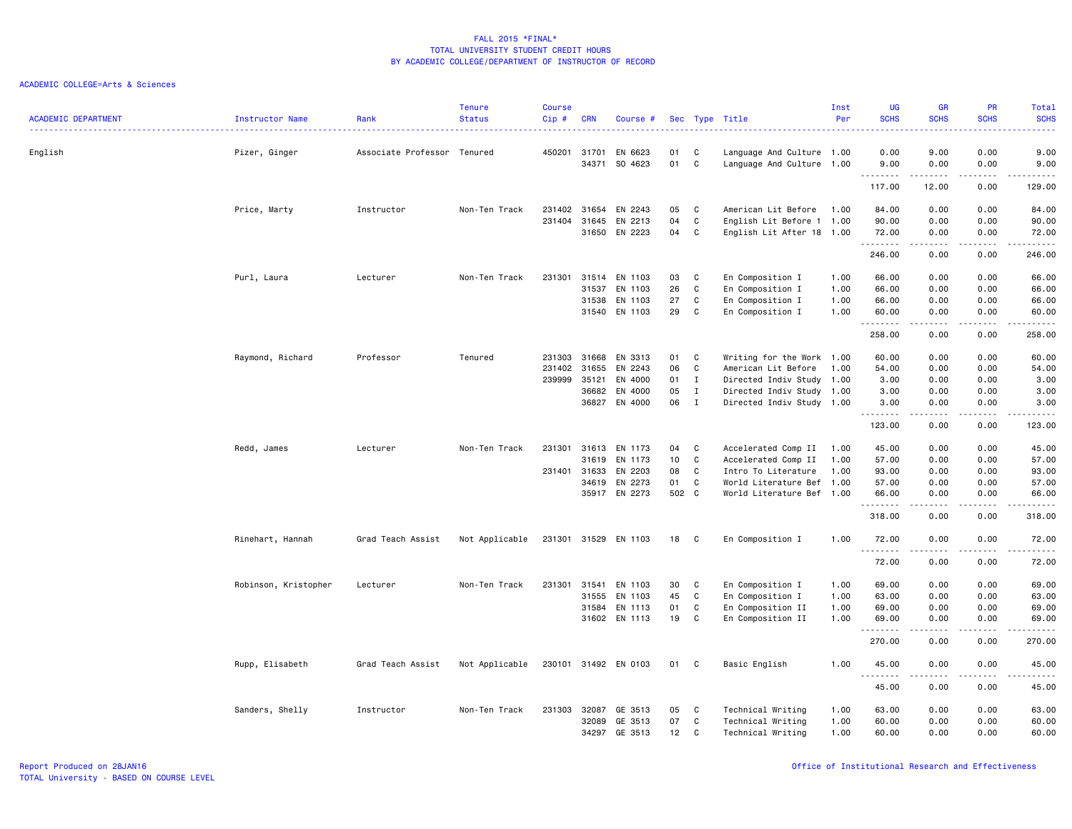|                            |                      |                             | <b>Tenure</b>  | <b>Course</b> |              |                      |       |              |                           | Inst | <b>UG</b>           | <b>GR</b>                                                                                                                                                    | <b>PR</b>                           | Total                                                                                                                                    |
|----------------------------|----------------------|-----------------------------|----------------|---------------|--------------|----------------------|-------|--------------|---------------------------|------|---------------------|--------------------------------------------------------------------------------------------------------------------------------------------------------------|-------------------------------------|------------------------------------------------------------------------------------------------------------------------------------------|
| <b>ACADEMIC DEPARTMENT</b> | Instructor Name      | Rank                        | <b>Status</b>  | Cip#          | <b>CRN</b>   | Course #             |       |              | Sec Type Title            | Per  | <b>SCHS</b>         | <b>SCHS</b>                                                                                                                                                  | <b>SCHS</b>                         | <b>SCHS</b><br>$\frac{1}{2} \left( \frac{1}{2} \right) \left( \frac{1}{2} \right) \left( \frac{1}{2} \right) \left( \frac{1}{2} \right)$ |
| English                    | Pizer, Ginger        | Associate Professor Tenured |                | 450201 31701  |              | EN 6623              | 01    | C            | Language And Culture 1.00 |      | 0.00                | 9.00                                                                                                                                                         | 0.00                                | 9.00                                                                                                                                     |
|                            |                      |                             |                |               | 34371        | SO 4623              | 01    | $\mathbf c$  | Language And Culture 1.00 |      | 9.00<br>.           | 0.00<br>-----                                                                                                                                                | 0.00<br>.                           | 9.00<br>$\omega_{\rm{eff}}$ and $\omega_{\rm{eff}}$                                                                                      |
|                            |                      |                             |                |               |              |                      |       |              |                           |      | 117.00              | 12.00                                                                                                                                                        | 0.00                                | 129.00                                                                                                                                   |
|                            | Price, Marty         | Instructor                  | Non-Ten Track  | 231402        | 31654        | EN 2243              | 05    | C            | American Lit Before       | 1.00 | 84.00               | 0.00                                                                                                                                                         | 0.00                                | 84.00                                                                                                                                    |
|                            |                      |                             |                | 231404        | 31645        | EN 2213              | 04    | C            | English Lit Before 1 1.00 |      | 90.00               | 0.00                                                                                                                                                         | 0.00                                | 90.00                                                                                                                                    |
|                            |                      |                             |                |               | 31650        | EN 2223              | 04    | C            | English Lit After 18 1.00 |      | 72.00<br>.          | 0.00<br>.                                                                                                                                                    | 0.00<br>.                           | 72.00<br>.                                                                                                                               |
|                            |                      |                             |                |               |              |                      |       |              |                           |      | 246.00              | 0.00                                                                                                                                                         | 0.00                                | 246.00                                                                                                                                   |
|                            | Purl, Laura          | Lecturer                    | Non-Ten Track  | 231301        | 31514        | EN 1103              | 03    | C            | En Composition I          | 1.00 | 66.00               | 0.00                                                                                                                                                         | 0.00                                | 66.00                                                                                                                                    |
|                            |                      |                             |                |               | 31537        | EN 1103              | 26    | C            | En Composition I          | 1.00 | 66.00               | 0.00                                                                                                                                                         | 0.00                                | 66.00                                                                                                                                    |
|                            |                      |                             |                |               | 31538        | EN 1103              | 27    | C            | En Composition I          | 1.00 | 66.00               | 0.00                                                                                                                                                         | 0.00                                | 66.00                                                                                                                                    |
|                            |                      |                             |                |               | 31540        | EN 1103              | 29    | C            | En Composition I          | 1.00 | 60.00<br>. <b>.</b> | 0.00<br>$- - - - -$                                                                                                                                          | 0.00<br>.                           | 60.00<br>.                                                                                                                               |
|                            |                      |                             |                |               |              |                      |       |              |                           |      | 258.00              | 0.00                                                                                                                                                         | 0.00                                | 258.00                                                                                                                                   |
|                            | Raymond, Richard     | Professor                   | Tenured        | 231303        | 31668        | EN 3313              | 01    | C.           | Writing for the Work 1.00 |      | 60.00               | 0.00                                                                                                                                                         | 0.00                                | 60.00                                                                                                                                    |
|                            |                      |                             |                | 231402        | 31655        | EN 2243              | 06    | C            | American Lit Before       | 1.00 | 54.00               | 0.00                                                                                                                                                         | 0.00                                | 54.00                                                                                                                                    |
|                            |                      |                             |                | 239999        | 35121        | EN 4000              | 01    | $\mathbf{I}$ | Directed Indiv Study 1.00 |      | 3.00                | 0.00                                                                                                                                                         | 0.00                                | 3.00                                                                                                                                     |
|                            |                      |                             |                |               | 36682        | EN 4000              | 05    | $\mathbf{I}$ | Directed Indiv Study 1.00 |      | 3.00                | 0.00                                                                                                                                                         | 0.00                                | 3.00                                                                                                                                     |
|                            |                      |                             |                |               | 36827        | EN 4000              | 06    | $\mathbf{I}$ | Directed Indiv Study 1.00 |      | 3.00<br>.           | 0.00<br>.                                                                                                                                                    | 0.00<br>$\sim$ $\sim$ $\sim$ $\sim$ | 3.00<br>د د د د د                                                                                                                        |
|                            |                      |                             |                |               |              |                      |       |              |                           |      | 123.00              | 0.00                                                                                                                                                         | 0.00                                | 123.00                                                                                                                                   |
|                            | Redd, James          | Lecturer                    | Non-Ten Track  | 231301        | 31613        | EN 1173              | 04    | C            | Accelerated Comp II       | 1.00 | 45.00               | 0.00                                                                                                                                                         | 0.00                                | 45.00                                                                                                                                    |
|                            |                      |                             |                |               | 31619        | EN 1173              | 10    | C            | Accelerated Comp II       | 1.00 | 57.00               | 0.00                                                                                                                                                         | 0.00                                | 57.00                                                                                                                                    |
|                            |                      |                             |                |               | 231401 31633 | EN 2203              | 08    | C            | Intro To Literature       | 1.00 | 93.00               | 0.00                                                                                                                                                         | 0.00                                | 93.00                                                                                                                                    |
|                            |                      |                             |                |               | 34619        | EN 2273              | 01    | $\mathbf c$  | World Literature Bef 1.00 |      | 57.00               | 0.00                                                                                                                                                         | 0.00                                | 57.00                                                                                                                                    |
|                            |                      |                             |                |               | 35917        | EN 2273              | 502 C |              | World Literature Bef 1.00 |      | 66.00               | 0.00<br>-----                                                                                                                                                | 0.00<br>.                           | 66.00                                                                                                                                    |
|                            |                      |                             |                |               |              |                      |       |              |                           |      | .<br>318.00         | 0.00                                                                                                                                                         | 0.00                                | ------<br>318.00                                                                                                                         |
|                            | Rinehart, Hannah     | Grad Teach Assist           | Not Applicable |               |              | 231301 31529 EN 1103 | 18    | C            | En Composition I          | 1.00 | 72.00               | 0.00                                                                                                                                                         | 0.00                                | 72.00                                                                                                                                    |
|                            |                      |                             |                |               |              |                      |       |              |                           |      | <u>.</u><br>72.00   | .<br>0.00                                                                                                                                                    | $\cdots$<br>0.00                    | .<br>72.00                                                                                                                               |
|                            | Robinson, Kristopher | Lecturer                    | Non-Ten Track  | 231301        | 31541        | EN 1103              | 30    | C            | En Composition I          | 1.00 | 69.00               | 0.00                                                                                                                                                         | 0.00                                | 69.00                                                                                                                                    |
|                            |                      |                             |                |               | 31555        | EN 1103              | 45    | C            | En Composition I          | 1.00 | 63.00               | 0.00                                                                                                                                                         | 0.00                                | 63.00                                                                                                                                    |
|                            |                      |                             |                |               | 31584        | EN 1113              | 01    | C            | En Composition II         | 1.00 | 69.00               | 0.00                                                                                                                                                         | 0.00                                | 69.00                                                                                                                                    |
|                            |                      |                             |                |               |              | 31602 EN 1113        | 19    | C            | En Composition II         | 1.00 | 69.00               | 0.00                                                                                                                                                         | 0.00                                | 69.00                                                                                                                                    |
|                            |                      |                             |                |               |              |                      |       |              |                           |      | .<br>270.00         | $\frac{1}{2} \left( \frac{1}{2} \right) \left( \frac{1}{2} \right) \left( \frac{1}{2} \right) \left( \frac{1}{2} \right) \left( \frac{1}{2} \right)$<br>0.00 | .<br>0.00                           | .<br>270.00                                                                                                                              |
|                            | Rupp, Elisabeth      | Grad Teach Assist           | Not Applicable |               |              | 230101 31492 EN 0103 | 01    | C            | Basic English             | 1.00 | 45.00               | 0.00                                                                                                                                                         | 0.00                                | 45.00                                                                                                                                    |
|                            |                      |                             |                |               |              |                      |       |              |                           |      | .<br>45.00          | 0.00                                                                                                                                                         | 0.00                                | .<br>45.00                                                                                                                               |
|                            |                      |                             |                |               |              |                      |       |              |                           |      |                     |                                                                                                                                                              |                                     |                                                                                                                                          |
|                            | Sanders, Shelly      | Instructor                  | Non-Ten Track  | 231303        | 32087        | GE 3513              | 05    | C            | Technical Writing         | 1.00 | 63.00               | 0.00                                                                                                                                                         | 0.00                                | 63.00                                                                                                                                    |
|                            |                      |                             |                |               | 32089        | GE 3513              | 07    | C            | Technical Writing         | 1.00 | 60.00               | 0.00                                                                                                                                                         | 0.00                                | 60.00                                                                                                                                    |
|                            |                      |                             |                |               | 34297        | GE 3513              | 12    | C            | Technical Writing         | 1.00 | 60.00               | 0.00                                                                                                                                                         | 0.00                                | 60.00                                                                                                                                    |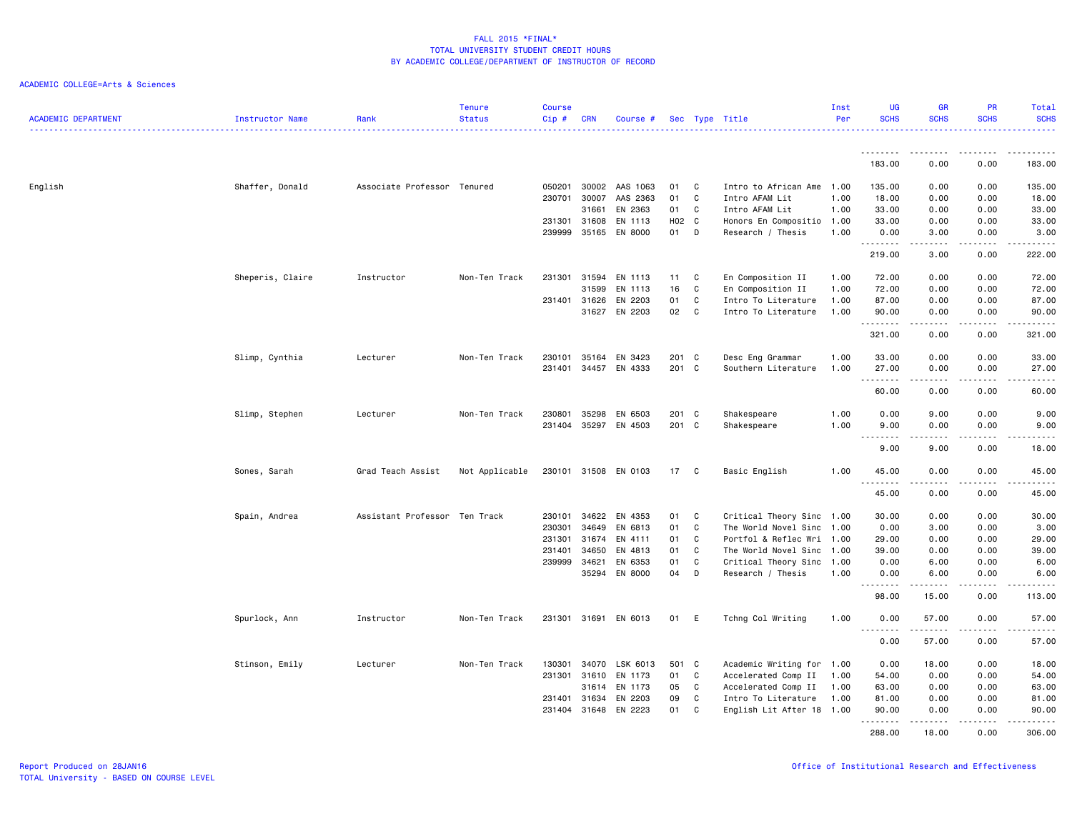| <b>ACADEMIC DEPARTMENT</b> | <b>Instructor Name</b> | Rank                          | <b>Tenure</b><br><b>Status</b> | <b>Course</b><br>Cip# | <b>CRN</b> | Course #             |       |              | Sec Type Title            | Inst<br>Per | UG<br><b>SCHS</b>                                                                                                                                                                                                                                                                                                                                                                                                                                                                              | <b>GR</b><br><b>SCHS</b>                                                                                                                                     | <b>PR</b><br><b>SCHS</b> | Total<br><b>SCHS</b>                                                                                                                                                                     |
|----------------------------|------------------------|-------------------------------|--------------------------------|-----------------------|------------|----------------------|-------|--------------|---------------------------|-------------|------------------------------------------------------------------------------------------------------------------------------------------------------------------------------------------------------------------------------------------------------------------------------------------------------------------------------------------------------------------------------------------------------------------------------------------------------------------------------------------------|--------------------------------------------------------------------------------------------------------------------------------------------------------------|--------------------------|------------------------------------------------------------------------------------------------------------------------------------------------------------------------------------------|
|                            |                        |                               |                                |                       |            |                      |       |              |                           |             | .                                                                                                                                                                                                                                                                                                                                                                                                                                                                                              | $\begin{array}{cccccccccccccc} \bullet & \bullet & \bullet & \bullet & \bullet & \bullet & \bullet \end{array}$                                              | .                        | .                                                                                                                                                                                        |
|                            |                        |                               |                                |                       |            |                      |       |              |                           |             | 183.00                                                                                                                                                                                                                                                                                                                                                                                                                                                                                         | 0.00                                                                                                                                                         | 0.00                     | 183.00                                                                                                                                                                                   |
| English                    | Shaffer, Donald        | Associate Professor Tenured   |                                | 050201                | 30002      | AAS 1063             | 01    | C            | Intro to African Ame      | 1.00        | 135.00                                                                                                                                                                                                                                                                                                                                                                                                                                                                                         | 0.00                                                                                                                                                         | 0.00                     | 135.00                                                                                                                                                                                   |
|                            |                        |                               |                                | 230701                | 30007      | AAS 2363             | 01    | C            | Intro AFAM Lit            | 1.00        | 18.00                                                                                                                                                                                                                                                                                                                                                                                                                                                                                          | 0.00                                                                                                                                                         | 0.00                     | 18.00                                                                                                                                                                                    |
|                            |                        |                               |                                |                       | 31661      | EN 2363              | 01    | C            | Intro AFAM Lit            | 1.00        | 33.00                                                                                                                                                                                                                                                                                                                                                                                                                                                                                          | 0.00                                                                                                                                                         | 0.00                     | 33.00                                                                                                                                                                                    |
|                            |                        |                               |                                | 231301                | 31608      | EN 1113              | H02 C |              | Honors En Compositio      | 1.00        | 33.00                                                                                                                                                                                                                                                                                                                                                                                                                                                                                          | 0.00                                                                                                                                                         | 0.00                     | 33.00                                                                                                                                                                                    |
|                            |                        |                               |                                | 239999                | 35165      | EN 8000              | 01    | D            | Research / Thesis         | 1.00        | 0.00<br>.                                                                                                                                                                                                                                                                                                                                                                                                                                                                                      | 3.00                                                                                                                                                         | 0.00                     | 3.00<br>$\frac{1}{2} \left( \frac{1}{2} \right) \left( \frac{1}{2} \right) \left( \frac{1}{2} \right) \left( \frac{1}{2} \right)$                                                        |
|                            |                        |                               |                                |                       |            |                      |       |              |                           |             | 219.00                                                                                                                                                                                                                                                                                                                                                                                                                                                                                         | 3.00                                                                                                                                                         | 0.00                     | 222.00                                                                                                                                                                                   |
|                            | Sheperis, Claire       | Instructor                    | Non-Ten Track                  | 231301                | 31594      | EN 1113              | 11    | C            | En Composition II         | 1.00        | 72.00                                                                                                                                                                                                                                                                                                                                                                                                                                                                                          | 0.00                                                                                                                                                         | 0.00                     | 72.00                                                                                                                                                                                    |
|                            |                        |                               |                                |                       | 31599      | EN 1113              | 16    | C            | En Composition II         | 1.00        | 72.00                                                                                                                                                                                                                                                                                                                                                                                                                                                                                          | 0.00                                                                                                                                                         | 0.00                     | 72.00                                                                                                                                                                                    |
|                            |                        |                               |                                | 231401                | 31626      | EN 2203              | 01    | C            | Intro To Literature       | 1.00        | 87.00                                                                                                                                                                                                                                                                                                                                                                                                                                                                                          | 0.00                                                                                                                                                         | 0.00                     | 87.00                                                                                                                                                                                    |
|                            |                        |                               |                                |                       |            | 31627 EN 2203        | 02    | C            | Intro To Literature       | 1.00        | 90.00<br>.                                                                                                                                                                                                                                                                                                                                                                                                                                                                                     | 0.00<br>$\frac{1}{2} \left( \frac{1}{2} \right) \left( \frac{1}{2} \right) \left( \frac{1}{2} \right) \left( \frac{1}{2} \right) \left( \frac{1}{2} \right)$ | 0.00<br>.                | 90.00<br>$\frac{1}{2} \left( \frac{1}{2} \right) \left( \frac{1}{2} \right) \left( \frac{1}{2} \right) \left( \frac{1}{2} \right) \left( \frac{1}{2} \right) \left( \frac{1}{2} \right)$ |
|                            |                        |                               |                                |                       |            |                      |       |              |                           |             | 321.00                                                                                                                                                                                                                                                                                                                                                                                                                                                                                         | 0.00                                                                                                                                                         | 0.00                     | 321.00                                                                                                                                                                                   |
|                            | Slimp, Cynthia         | Lecturer                      | Non-Ten Track                  | 230101                | 35164      | EN 3423              | 201 C |              | Desc Eng Grammar          | 1.00        | 33.00                                                                                                                                                                                                                                                                                                                                                                                                                                                                                          | 0.00                                                                                                                                                         | 0.00                     | 33.00                                                                                                                                                                                    |
|                            |                        |                               |                                | 231401                | 34457      | EN 4333              | 201 C |              | Southern Literature       | 1.00        | 27.00<br>.                                                                                                                                                                                                                                                                                                                                                                                                                                                                                     | 0.00                                                                                                                                                         | 0.00                     | 27.00                                                                                                                                                                                    |
|                            |                        |                               |                                |                       |            |                      |       |              |                           |             | 60.00                                                                                                                                                                                                                                                                                                                                                                                                                                                                                          | 0.00                                                                                                                                                         | 0.00                     | 60.00                                                                                                                                                                                    |
|                            | Slimp, Stephen         | Lecturer                      | Non-Ten Track                  | 230801                | 35298      | EN 6503              | 201 C |              | Shakespeare               | 1.00        | 0.00                                                                                                                                                                                                                                                                                                                                                                                                                                                                                           | 9.00                                                                                                                                                         | 0.00                     | 9.00                                                                                                                                                                                     |
|                            |                        |                               |                                |                       |            | 231404 35297 EN 4503 | 201 C |              | Shakespeare               | 1.00        | 9.00<br>$\begin{array}{cccccccccccccc} \multicolumn{2}{c}{} & \multicolumn{2}{c}{} & \multicolumn{2}{c}{} & \multicolumn{2}{c}{} & \multicolumn{2}{c}{} & \multicolumn{2}{c}{} & \multicolumn{2}{c}{} & \multicolumn{2}{c}{} & \multicolumn{2}{c}{} & \multicolumn{2}{c}{} & \multicolumn{2}{c}{} & \multicolumn{2}{c}{} & \multicolumn{2}{c}{} & \multicolumn{2}{c}{} & \multicolumn{2}{c}{} & \multicolumn{2}{c}{} & \multicolumn{2}{c}{} & \multicolumn{2}{c}{} & \multicolumn{2}{c}{} & \$ | 0.00<br>.                                                                                                                                                    | 0.00<br>.                | 9.00<br>.                                                                                                                                                                                |
|                            |                        |                               |                                |                       |            |                      |       |              |                           |             | 9.00                                                                                                                                                                                                                                                                                                                                                                                                                                                                                           | 9.00                                                                                                                                                         | 0.00                     | 18.00                                                                                                                                                                                    |
|                            | Sones, Sarah           | Grad Teach Assist             | Not Applicable                 |                       |            | 230101 31508 EN 0103 | 17    | $\mathbf{C}$ | Basic English             | 1.00        | 45.00                                                                                                                                                                                                                                                                                                                                                                                                                                                                                          | 0.00                                                                                                                                                         | 0.00                     | 45.00                                                                                                                                                                                    |
|                            |                        |                               |                                |                       |            |                      |       |              |                           |             | .<br>45.00                                                                                                                                                                                                                                                                                                                                                                                                                                                                                     | 0.00                                                                                                                                                         | 0.00                     | د د د د د<br>45.00                                                                                                                                                                       |
|                            | Spain, Andrea          | Assistant Professor Ten Track |                                | 230101                | 34622      | EN 4353              | 01    | C            | Critical Theory Sinc 1.00 |             | 30.00                                                                                                                                                                                                                                                                                                                                                                                                                                                                                          | 0.00                                                                                                                                                         | 0.00                     | 30.00                                                                                                                                                                                    |
|                            |                        |                               |                                | 230301                | 34649      | EN 6813              | 01    | C            | The World Novel Sinc 1.00 |             | 0.00                                                                                                                                                                                                                                                                                                                                                                                                                                                                                           | 3.00                                                                                                                                                         | 0.00                     | 3.00                                                                                                                                                                                     |
|                            |                        |                               |                                | 231301                | 31674      | EN 4111              | 01    | C            | Portfol & Reflec Wri      | 1.00        | 29.00                                                                                                                                                                                                                                                                                                                                                                                                                                                                                          | 0.00                                                                                                                                                         | 0.00                     | 29.00                                                                                                                                                                                    |
|                            |                        |                               |                                | 231401                | 34650      | EN 4813              | 01    | C            | The World Novel Sinc 1.00 |             | 39.00                                                                                                                                                                                                                                                                                                                                                                                                                                                                                          | 0.00                                                                                                                                                         | 0.00                     | 39.00                                                                                                                                                                                    |
|                            |                        |                               |                                | 239999                | 34621      | EN 6353              | 01    | C            | Critical Theory Sinc 1.00 |             | 0.00                                                                                                                                                                                                                                                                                                                                                                                                                                                                                           | 6.00                                                                                                                                                         | 0.00                     | 6.00                                                                                                                                                                                     |
|                            |                        |                               |                                |                       | 35294      | EN 8000              | 04    | D            | Research / Thesis         | 1.00        | 0.00<br><u>.</u>                                                                                                                                                                                                                                                                                                                                                                                                                                                                               | 6.00                                                                                                                                                         | 0.00                     | 6.00<br>.                                                                                                                                                                                |
|                            |                        |                               |                                |                       |            |                      |       |              |                           |             | 98.00                                                                                                                                                                                                                                                                                                                                                                                                                                                                                          | 15.00                                                                                                                                                        | 0.00                     | 113.00                                                                                                                                                                                   |
|                            | Spurlock, Ann          | Instructor                    | Non-Ten Track                  |                       |            | 231301 31691 EN 6013 | 01    | E            | Tchng Col Writing         | 1.00        | 0.00<br>$- - -$<br>-----                                                                                                                                                                                                                                                                                                                                                                                                                                                                       | 57.00<br>.                                                                                                                                                   | 0.00<br>.                | 57.00<br>.                                                                                                                                                                               |
|                            |                        |                               |                                |                       |            |                      |       |              |                           |             | 0.00                                                                                                                                                                                                                                                                                                                                                                                                                                                                                           | 57.00                                                                                                                                                        | 0.00                     | 57.00                                                                                                                                                                                    |
|                            | Stinson, Emily         | Lecturer                      | Non-Ten Track                  | 130301                | 34070      | LSK 6013             | 501 C |              | Academic Writing for 1.00 |             | 0.00                                                                                                                                                                                                                                                                                                                                                                                                                                                                                           | 18.00                                                                                                                                                        | 0.00                     | 18.00                                                                                                                                                                                    |
|                            |                        |                               |                                | 231301                | 31610      | EN 1173              | 01    | C            | Accelerated Comp II       | 1.00        | 54.00                                                                                                                                                                                                                                                                                                                                                                                                                                                                                          | 0.00                                                                                                                                                         | 0.00                     | 54.00                                                                                                                                                                                    |
|                            |                        |                               |                                |                       | 31614      | EN 1173              | 05    | C            | Accelerated Comp II       | 1.00        | 63.00                                                                                                                                                                                                                                                                                                                                                                                                                                                                                          | 0.00                                                                                                                                                         | 0.00                     | 63.00                                                                                                                                                                                    |
|                            |                        |                               |                                | 231401                | 31634      | EN 2203              | 09    | $\mathtt{C}$ | Intro To Literature       | 1.00        | 81.00                                                                                                                                                                                                                                                                                                                                                                                                                                                                                          | 0.00                                                                                                                                                         | 0.00                     | 81.00                                                                                                                                                                                    |
|                            |                        |                               |                                | 231404                | 31648      | EN 2223              | 01    | C            | English Lit After 18 1.00 |             | 90.00<br><u>.</u>                                                                                                                                                                                                                                                                                                                                                                                                                                                                              | 0.00                                                                                                                                                         | 0.00                     | 90.00<br>.                                                                                                                                                                               |
|                            |                        |                               |                                |                       |            |                      |       |              |                           |             | 288.00                                                                                                                                                                                                                                                                                                                                                                                                                                                                                         | 18.00                                                                                                                                                        | 0.00                     | 306.00                                                                                                                                                                                   |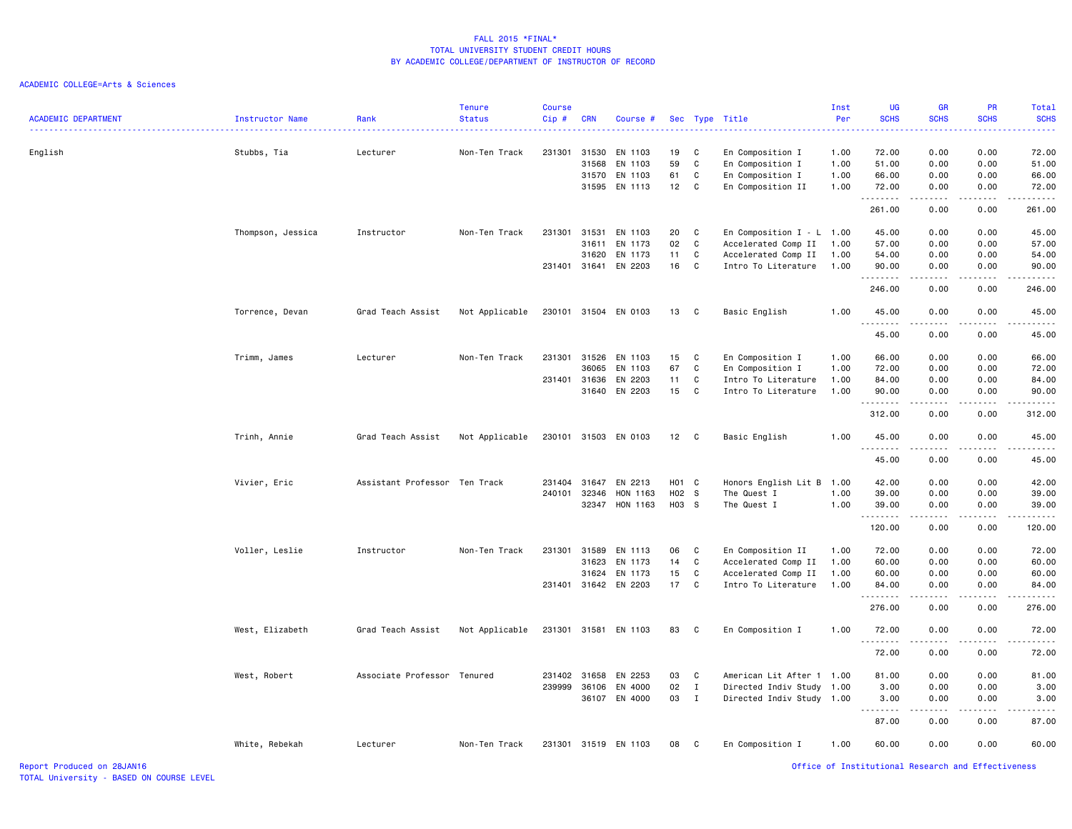| <b>ACADEMIC DEPARTMENT</b> | Instructor Name   | Rank                          | <b>Tenure</b><br><b>Status</b> | Course<br>$Cip$ # | <b>CRN</b>   | Course #             |       |              | Sec Type Title              | Inst<br>Per | UG<br><b>SCHS</b>                                  | GR<br><b>SCHS</b>                           | PR<br><b>SCHS</b>                                                                                                                                            | Total<br><b>SCHS</b> |
|----------------------------|-------------------|-------------------------------|--------------------------------|-------------------|--------------|----------------------|-------|--------------|-----------------------------|-------------|----------------------------------------------------|---------------------------------------------|--------------------------------------------------------------------------------------------------------------------------------------------------------------|----------------------|
| English                    | Stubbs, Tia       | Lecturer                      | Non-Ten Track                  | 231301            | 31530        | EN 1103              | 19    | C            | En Composition I            | 1.00        | 72.00                                              | 0.00                                        | 0.00                                                                                                                                                         | 72.00                |
|                            |                   |                               |                                |                   | 31568        | EN 1103              | 59    | C            | En Composition I            | 1.00        | 51.00                                              | 0.00                                        | 0.00                                                                                                                                                         | 51.00                |
|                            |                   |                               |                                |                   |              | 31570 EN 1103        | 61    | C            | En Composition I            | 1.00        | 66.00                                              | 0.00                                        | 0.00                                                                                                                                                         | 66.00                |
|                            |                   |                               |                                |                   |              | 31595 EN 1113        | 12    | C            | En Composition II           | 1.00        | 72.00<br>.                                         | 0.00<br>الداعات                             | 0.00<br>22222                                                                                                                                                | 72.00<br>.           |
|                            |                   |                               |                                |                   |              |                      |       |              |                             |             | 261.00                                             | 0.00                                        | 0.00                                                                                                                                                         | 261.00               |
|                            | Thompson, Jessica | Instructor                    | Non-Ten Track                  | 231301            | 31531        | EN 1103              | 20    | C            | En Composition $I - L$ 1.00 |             | 45.00                                              | 0.00                                        | 0.00                                                                                                                                                         | 45.00                |
|                            |                   |                               |                                |                   | 31611        | EN 1173              | 02    | C            | Accelerated Comp II         | 1.00        | 57.00                                              | 0.00                                        | 0.00                                                                                                                                                         | 57.00                |
|                            |                   |                               |                                |                   | 31620        | EN 1173              | 11    | C            | Accelerated Comp II         | 1.00        | 54.00                                              | 0.00                                        | 0.00                                                                                                                                                         | 54.00                |
|                            |                   |                               |                                |                   | 231401 31641 | EN 2203              | 16    | C            | Intro To Literature         | 1.00        | 90.00<br>.                                         | 0.00<br>المتمالين                           | 0.00<br>$\frac{1}{2} \left( \frac{1}{2} \right) \left( \frac{1}{2} \right) \left( \frac{1}{2} \right) \left( \frac{1}{2} \right) \left( \frac{1}{2} \right)$ | 90.00<br>.           |
|                            |                   |                               |                                |                   |              |                      |       |              |                             |             | 246.00                                             | 0.00                                        | 0.00                                                                                                                                                         | 246.00               |
|                            | Torrence, Devan   | Grad Teach Assist             | Not Applicable                 |                   |              | 230101 31504 EN 0103 | 13 C  |              | Basic English               | 1.00        | 45.00<br>.                                         | 0.00<br>$\omega$ $\omega$ $\omega$ $\omega$ | 0.00                                                                                                                                                         | 45.00                |
|                            |                   |                               |                                |                   |              |                      |       |              |                             |             | 45.00                                              | 0.00                                        | 0.00                                                                                                                                                         | 45.00                |
|                            | Trimm, James      | Lecturer                      | Non-Ten Track                  | 231301            |              | 31526 EN 1103        | 15    | C            | En Composition I            | 1.00        | 66.00                                              | 0.00                                        | 0.00                                                                                                                                                         | 66.00                |
|                            |                   |                               |                                |                   | 36065        | EN 1103              | 67    | C            | En Composition I            | 1.00        | 72.00                                              | 0.00                                        | 0.00                                                                                                                                                         | 72.00                |
|                            |                   |                               |                                |                   | 231401 31636 | EN 2203              | 11    | C            | Intro To Literature         | 1.00        | 84.00                                              | 0.00                                        | 0.00                                                                                                                                                         | 84.00                |
|                            |                   |                               |                                |                   |              | 31640 EN 2203        | 15    | C            | Intro To Literature         | 1.00        | 90.00<br>.                                         | 0.00<br>.                                   | 0.00<br>$- - - - -$                                                                                                                                          | 90.00                |
|                            |                   |                               |                                |                   |              |                      |       |              |                             |             | 312.00                                             | 0.00                                        | 0.00                                                                                                                                                         | 312.00               |
|                            | Trinh, Annie      | Grad Teach Assist             | Not Applicable                 |                   |              | 230101 31503 EN 0103 | 12 C  |              | Basic English               | 1.00        | 45.00<br>.                                         | 0.00<br>.                                   | 0.00<br>.                                                                                                                                                    | 45.00<br>.           |
|                            |                   |                               |                                |                   |              |                      |       |              |                             |             | 45.00                                              | 0.00                                        | 0.00                                                                                                                                                         | 45.00                |
|                            | Vivier, Eric      | Assistant Professor Ten Track |                                | 231404            | 31647        | EN 2213              | H01 C |              | Honors English Lit B        | 1.00        | 42.00                                              | 0.00                                        | 0.00                                                                                                                                                         | 42.00                |
|                            |                   |                               |                                | 240101            | 32346        | HON 1163             | H02 S |              | The Quest I                 | 1.00        | 39.00                                              | 0.00                                        | 0.00                                                                                                                                                         | 39.00                |
|                            |                   |                               |                                |                   |              | 32347 HON 1163       | H03 S |              | The Quest I                 | 1.00        | 39.00<br>.                                         | 0.00<br>.                                   | 0.00<br>.                                                                                                                                                    | 39.00<br>.           |
|                            |                   |                               |                                |                   |              |                      |       |              |                             |             | 120.00                                             | 0.00                                        | 0.00                                                                                                                                                         | 120.00               |
|                            | Voller, Leslie    | Instructor                    | Non-Ten Track                  | 231301            | 31589        | EN 1113              | 06    | C            | En Composition II           | 1.00        | 72.00                                              | 0.00                                        | 0.00                                                                                                                                                         | 72.00                |
|                            |                   |                               |                                |                   |              | 31623 EN 1173        | 14    | C            | Accelerated Comp II         | 1.00        | 60.00                                              | 0.00                                        | 0.00                                                                                                                                                         | 60.00                |
|                            |                   |                               |                                |                   |              | 31624 EN 1173        | 15    | C            | Accelerated Comp II         | 1.00        | 60.00                                              | 0.00                                        | 0.00                                                                                                                                                         | 60.00                |
|                            |                   |                               |                                | 231401            |              | 31642 EN 2203        | 17    | C            | Intro To Literature         | 1.00        | 84.00<br>.                                         | 0.00<br>.                                   | 0.00                                                                                                                                                         | 84.00                |
|                            |                   |                               |                                |                   |              |                      |       |              |                             |             | 276.00                                             | 0.00                                        | 0.00                                                                                                                                                         | 276.00               |
|                            | West, Elizabeth   | Grad Teach Assist             | Not Applicable                 |                   |              | 231301 31581 EN 1103 | 83    | C            | En Composition I            | 1.00        | 72.00<br>.                                         | 0.00                                        | 0.00                                                                                                                                                         | 72.00                |
|                            |                   |                               |                                |                   |              |                      |       |              |                             |             | 72.00                                              | 0.00                                        | 0.00                                                                                                                                                         | 72.00                |
|                            | West, Robert      | Associate Professor Tenured   |                                | 231402            | 31658        | EN 2253              | 03    | C            | American Lit After 1 1.00   |             | 81.00                                              | 0.00                                        | 0.00                                                                                                                                                         | 81.00                |
|                            |                   |                               |                                | 239999            |              | 36106 EN 4000        | 02    | $\mathbf{I}$ | Directed Indiv Study 1.00   |             | 3.00                                               | 0.00                                        | 0.00                                                                                                                                                         | 3.00                 |
|                            |                   |                               |                                |                   |              | 36107 EN 4000        | 03    | $\mathbf{I}$ | Directed Indiv Study 1.00   |             | 3.00<br><u>.</u>                                   | 0.00<br>$\frac{1}{2}$                       | 0.00<br>.                                                                                                                                                    | 3.00<br>.            |
|                            |                   |                               |                                |                   |              |                      |       |              |                             |             | 87.00                                              | 0.00                                        | 0.00                                                                                                                                                         | 87.00                |
|                            | White, Rebekah    | Lecturer                      | Non-Ten Track                  |                   |              | 231301 31519 EN 1103 | 08    | C            | En Composition I            | 1.00        | 60.00                                              | 0.00                                        | 0.00                                                                                                                                                         | 60.00                |
| Report Produced on 28JAN16 |                   |                               |                                |                   |              |                      |       |              |                             |             | Office of Institutional Research and Effectiveness |                                             |                                                                                                                                                              |                      |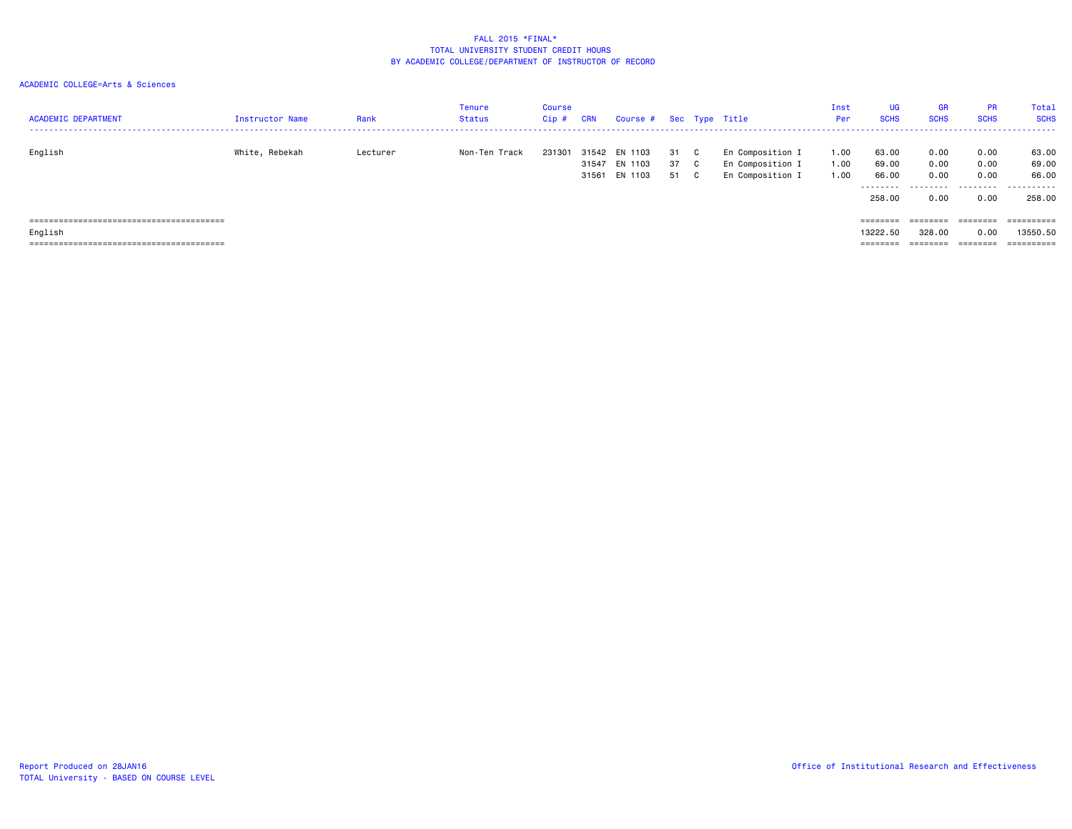| <b>ACADEMIC DEPARTMENT</b> | Instructor Name | Rank     | Tenure<br>Status | Course<br>$Cip$ # | <b>CRN</b> | Course # Sec Type Title                                |                      |                                                          | Inst<br>Per          | UG<br><b>SCHS</b>                              | <b>GR</b><br><b>SCHS</b>       | <b>PR</b><br><b>SCHS</b>              | Total<br><b>SCHS</b>                  |
|----------------------------|-----------------|----------|------------------|-------------------|------------|--------------------------------------------------------|----------------------|----------------------------------------------------------|----------------------|------------------------------------------------|--------------------------------|---------------------------------------|---------------------------------------|
| English                    | White, Rebekah  | Lecturer | Non-Ten Track    |                   |            | 231301 31542 EN 1103<br>31547 EN 1103<br>31561 EN 1103 | 31 C<br>37 C<br>51 C | En Composition I<br>En Composition I<br>En Composition I | 1.00<br>1.00<br>1.00 | 63.00<br>69.00<br>66.00<br>---------<br>258.00 | 0.00<br>0.00<br>0.00<br>0.00   | 0.00<br>0.00<br>0.00<br>0.00          | 63.00<br>69.00<br>66.00<br><br>258.00 |
| English                    |                 |          |                  |                   |            |                                                        |                      |                                                          |                      | ========<br>13222.50<br>========               | ========<br>328,00<br>======== | $=$ = = = = = = =<br>0.00<br>======== | $=$ = = = = = = = = =<br>13550.50     |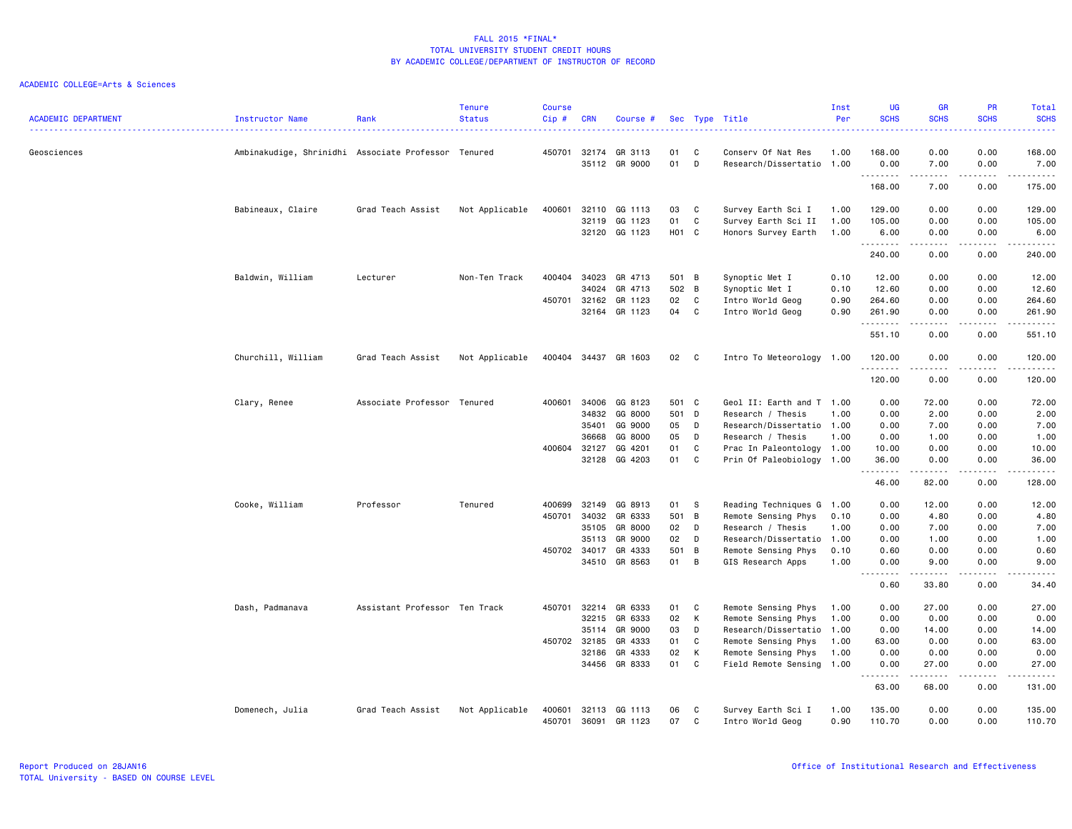| <b>ACADEMIC DEPARTMENT</b> | Instructor Name                                     | Rank                          | <b>Tenure</b><br><b>Status</b> | <b>Course</b><br>Cip# | <b>CRN</b>            | Course #             |           |                   | Sec Type Title                                  | Inst<br>Per  | <b>UG</b><br><b>SCHS</b> | <b>GR</b><br><b>SCHS</b> | PR<br><b>SCHS</b><br><u>.</u> | Total<br><b>SCHS</b><br>. |
|----------------------------|-----------------------------------------------------|-------------------------------|--------------------------------|-----------------------|-----------------------|----------------------|-----------|-------------------|-------------------------------------------------|--------------|--------------------------|--------------------------|-------------------------------|---------------------------|
| Geosciences                | Ambinakudige, Shrinidhi Associate Professor Tenured |                               |                                |                       | 450701 32174<br>35112 | GR 3113<br>GR 9000   | 01<br>01  | C<br>D            | Conserv Of Nat Res<br>Research/Dissertatio 1.00 | 1.00         | 168.00<br>0.00           | 0.00<br>7.00             | 0.00<br>0.00                  | 168.00<br>7.00            |
|                            |                                                     |                               |                                |                       |                       |                      |           |                   |                                                 |              | .<br>168.00              | .<br>7.00                | .<br>0.00                     | .<br>175.00               |
|                            | Babineaux, Claire                                   | Grad Teach Assist             | Not Applicable                 | 400601                | 32110                 | GG 1113              | 03        | C                 | Survey Earth Sci I                              | 1.00         | 129.00                   | 0.00                     | 0.00                          | 129.00                    |
|                            |                                                     |                               |                                |                       | 32119<br>32120        | GG 1123<br>GG 1123   | 01<br>H01 | C<br>$\mathbf{C}$ | Survey Earth Sci II<br>Honors Survey Earth      | 1.00<br>1.00 | 105.00<br>6.00           | 0.00<br>0.00             | 0.00<br>0.00                  | 105.00<br>6.00            |
|                            |                                                     |                               |                                |                       |                       |                      |           |                   |                                                 |              | .<br>240.00              | 0.00                     | 0.00                          | <u>.</u><br>240.00        |
|                            | Baldwin, William                                    | Lecturer                      | Non-Ten Track                  | 400404                | 34023                 | GR 4713              | 501 B     |                   | Synoptic Met I                                  | 0.10         | 12.00                    | 0.00                     | 0.00                          | 12.00                     |
|                            |                                                     |                               |                                |                       | 34024                 | GR 4713              | 502 B     |                   | Synoptic Met I                                  | 0.10         | 12.60                    | 0.00                     | 0.00                          | 12.60                     |
|                            |                                                     |                               |                                | 450701                | 32162                 | GR 1123              | 02        | C                 | Intro World Geog                                | 0.90         | 264.60                   | 0.00                     | 0.00                          | 264.60                    |
|                            |                                                     |                               |                                |                       |                       | 32164 GR 1123        | 04        | C                 | Intro World Geog                                | 0.90         | 261.90<br>.              | 0.00<br>-----            | 0.00<br>.                     | 261.90<br>.               |
|                            |                                                     |                               |                                |                       |                       |                      |           |                   |                                                 |              | 551.10                   | 0.00                     | 0.00                          | 551.10                    |
|                            | Churchill, William                                  | Grad Teach Assist             | Not Applicable                 |                       |                       | 400404 34437 GR 1603 | 02        | $\mathbf{C}$      | Intro To Meteorology 1.00                       |              | 120.00<br>.              | 0.00<br>. <u>.</u>       | 0.00<br>.                     | 120.00<br>.               |
|                            |                                                     |                               |                                |                       |                       |                      |           |                   |                                                 |              | 120.00                   | 0.00                     | 0.00                          | 120.00                    |
|                            | Clary, Renee                                        | Associate Professor Tenured   |                                | 400601                | 34006                 | GG 8123              | 501 C     |                   | Geol II: Earth and T 1.00                       |              | 0.00                     | 72.00                    | 0.00                          | 72.00                     |
|                            |                                                     |                               |                                |                       | 34832                 | GG 8000              | 501 D     |                   | Research / Thesis                               | 1.00         | 0.00                     | 2.00                     | 0.00                          | 2.00                      |
|                            |                                                     |                               |                                |                       | 35401                 | GG 9000              | 05        | D                 | Research/Dissertatio 1.00                       |              | 0.00                     | 7.00                     | 0.00                          | 7.00                      |
|                            |                                                     |                               |                                |                       | 36668                 | GG 8000              | 05        | D                 | Research / Thesis                               | 1.00         | 0.00                     | 1.00                     | 0.00                          | 1.00                      |
|                            |                                                     |                               |                                | 400604 32127          |                       | GG 4201              | 01        | C                 | Prac In Paleontology 1.00                       |              | 10.00                    | 0.00                     | 0.00                          | 10.00                     |
|                            |                                                     |                               |                                |                       | 32128                 | GG 4203              | 01        | C                 | Prin Of Paleobiology 1.00                       |              | 36.00<br>.               | 0.00<br>.                | 0.00<br>-----                 | 36.00<br>.                |
|                            |                                                     |                               |                                |                       |                       |                      |           |                   |                                                 |              | 46.00                    | 82.00                    | 0.00                          | 128.00                    |
|                            | Cooke, William                                      | Professor                     | Tenured                        | 400699                | 32149                 | GG 8913              | 01        | -S                | Reading Techniques G 1.00                       |              | 0.00                     | 12.00                    | 0.00                          | 12.00                     |
|                            |                                                     |                               |                                | 450701                | 34032                 | GR 6333              | 501       | $\overline{B}$    | Remote Sensing Phys                             | 0.10         | 0.00                     | 4.80                     | 0.00                          | 4.80                      |
|                            |                                                     |                               |                                |                       | 35105                 | GR 8000              | 02        | D                 | Research / Thesis                               | 1.00         | 0.00                     | 7.00                     | 0.00                          | 7.00                      |
|                            |                                                     |                               |                                |                       | 35113                 | GR 9000              | 02        | D                 | Research/Dissertatio 1.00                       |              | 0.00                     | 1.00                     | 0.00                          | 1.00                      |
|                            |                                                     |                               |                                | 450702 34017          |                       | GR 4333              | 501       | B                 | Remote Sensing Phys                             | 0.10         | 0.60                     | 0.00                     | 0.00                          | 0.60                      |
|                            |                                                     |                               |                                |                       |                       | 34510 GR 8563        | 01        | B                 | GIS Research Apps                               | 1.00         | 0.00<br>.                | 9.00<br>.                | 0.00<br><b>.</b>              | 9.00<br>.                 |
|                            |                                                     |                               |                                |                       |                       |                      |           |                   |                                                 |              | 0.60                     | 33.80                    | 0.00                          | 34.40                     |
|                            | Dash, Padmanava                                     | Assistant Professor Ten Track |                                | 450701                | 32214                 | GR 6333              | 01        | C                 | Remote Sensing Phys                             | 1.00         | 0.00                     | 27.00                    | 0.00                          | 27.00                     |
|                            |                                                     |                               |                                |                       | 32215                 | GR 6333              | 02        | K                 | Remote Sensing Phys                             | 1.00         | 0.00                     | 0.00                     | 0.00                          | 0.00                      |
|                            |                                                     |                               |                                |                       | 35114                 | GR 9000              | 03        | D                 | Research/Dissertatio 1.00                       |              | 0.00                     | 14.00                    | 0.00                          | 14.00                     |
|                            |                                                     |                               |                                | 450702 32185          |                       | GR 4333              | 01        | C                 | Remote Sensing Phys                             | 1.00         | 63.00                    | 0.00                     | 0.00                          | 63.00                     |
|                            |                                                     |                               |                                |                       | 32186                 | GR 4333              | 02        | K                 | Remote Sensing Phys                             | 1.00         | 0.00                     | 0.00                     | 0.00                          | 0.00                      |
|                            |                                                     |                               |                                |                       |                       | 34456 GR 8333        | 01        | C                 | Field Remote Sensing 1.00                       |              | 0.00<br>.                | 27.00<br>.               | 0.00<br>.                     | 27.00<br><u>.</u>         |
|                            |                                                     |                               |                                |                       |                       |                      |           |                   |                                                 |              | 63.00                    | 68.00                    | 0.00                          | 131.00                    |
|                            | Domenech, Julia                                     | Grad Teach Assist             | Not Applicable                 | 400601                | 32113                 | GG 1113              | 06        | C                 | Survey Earth Sci I                              | 1.00         | 135.00                   | 0.00                     | 0.00                          | 135.00                    |
|                            |                                                     |                               |                                | 450701                | 36091                 | GR 1123              | 07        | C                 | Intro World Geog                                | 0.90         | 110.70                   | 0.00                     | 0.00                          | 110.70                    |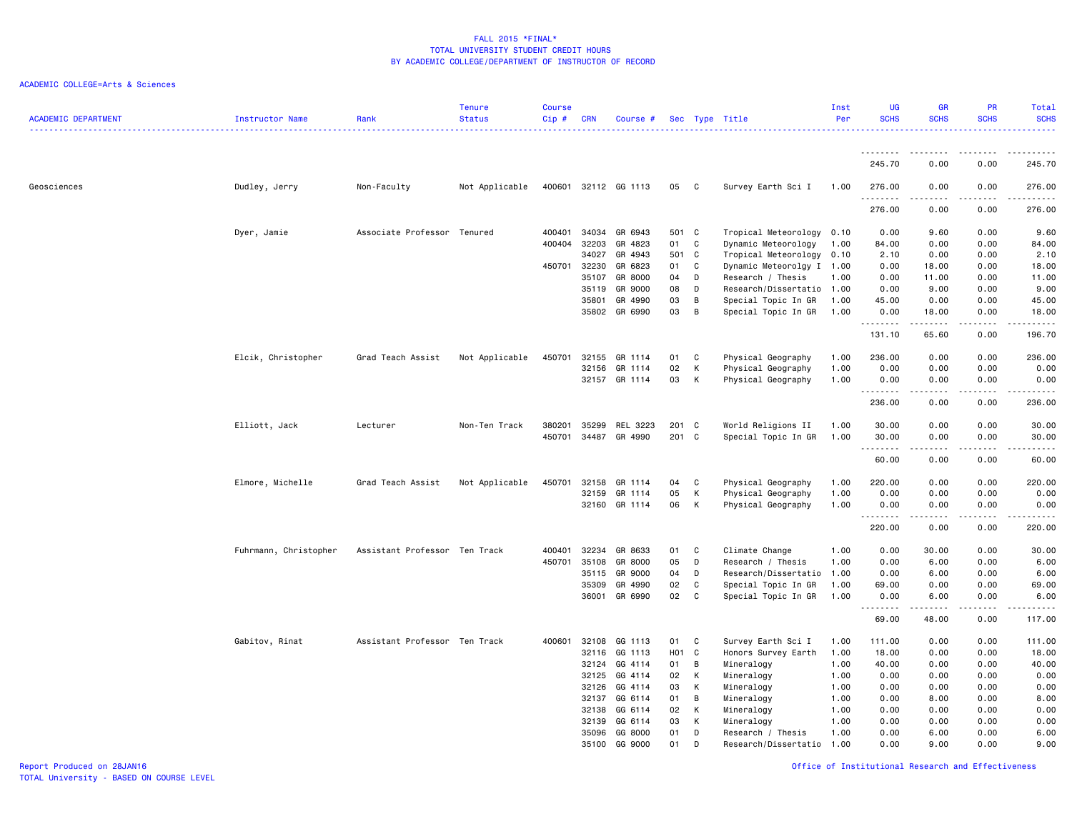| <b>ACADEMIC DEPARTMENT</b> | Instructor Name       | Rank                          | <b>Tenure</b><br><b>Status</b> | <b>Course</b><br>$Cip$ # | <b>CRN</b> | Course #             |                  |              | Sec Type Title            | Inst<br>Per | <b>UG</b><br><b>SCHS</b> | <b>GR</b><br><b>SCHS</b>                                                                                                                                     | <b>PR</b><br><b>SCHS</b> | Total<br><b>SCHS</b><br><u>.</u>           |
|----------------------------|-----------------------|-------------------------------|--------------------------------|--------------------------|------------|----------------------|------------------|--------------|---------------------------|-------------|--------------------------|--------------------------------------------------------------------------------------------------------------------------------------------------------------|--------------------------|--------------------------------------------|
|                            |                       |                               |                                |                          |            |                      |                  |              |                           |             | <u>.</u>                 |                                                                                                                                                              |                          |                                            |
|                            |                       |                               |                                |                          |            |                      |                  |              |                           |             | 245.70                   | 0.00                                                                                                                                                         | 0.00                     | 245.70                                     |
| Geosciences                | Dudley, Jerry         | Non-Faculty                   | Not Applicable                 |                          |            | 400601 32112 GG 1113 | 05               | C            | Survey Earth Sci I        | 1.00        | 276.00<br>.              | 0.00<br>22222                                                                                                                                                | 0.00<br>.                | 276.00<br>.                                |
|                            |                       |                               |                                |                          |            |                      |                  |              |                           |             | 276.00                   | 0.00                                                                                                                                                         | 0.00                     | 276.00                                     |
|                            | Dyer, Jamie           | Associate Professor Tenured   |                                | 400401                   | 34034      | GR 6943              | 501              | $\mathbf{C}$ | Tropical Meteorology 0.10 |             | 0.00                     | 9.60                                                                                                                                                         | 0.00                     | 9.60                                       |
|                            |                       |                               |                                | 400404                   | 32203      | GR 4823              | 01               | C            | Dynamic Meteorology       | 1.00        | 84.00                    | 0.00                                                                                                                                                         | 0.00                     | 84.00                                      |
|                            |                       |                               |                                |                          | 34027      | GR 4943              | 501              | $\mathbf{C}$ | Tropical Meteorology 0.10 |             | 2.10                     | 0.00                                                                                                                                                         | 0.00                     | 2.10                                       |
|                            |                       |                               |                                | 450701 32230             |            | GR 6823              | 01               | C            | Dynamic Meteorolgy I 1.00 |             | 0.00                     | 18.00                                                                                                                                                        | 0.00                     | 18.00                                      |
|                            |                       |                               |                                |                          | 35107      | GR 8000              | 04               | D            | Research / Thesis         | 1.00        | 0.00                     | 11.00                                                                                                                                                        | 0.00                     | 11.00                                      |
|                            |                       |                               |                                |                          | 35119      | GR 9000              | 08               | D            | Research/Dissertatio 1.00 |             | 0.00                     | 9.00                                                                                                                                                         | 0.00                     | 9.00                                       |
|                            |                       |                               |                                |                          | 35801      | GR 4990              | 03               | B            | Special Topic In GR       | 1.00        | 45.00                    | 0.00                                                                                                                                                         | 0.00                     | 45.00                                      |
|                            |                       |                               |                                |                          | 35802      | GR 6990              | 03               | B            | Special Topic In GR       | 1.00        | 0.00<br>.                | 18.00<br>.                                                                                                                                                   | 0.00<br>.                | 18.00<br>.                                 |
|                            |                       |                               |                                |                          |            |                      |                  |              |                           |             | 131.10                   | 65.60                                                                                                                                                        | 0.00                     | 196.70                                     |
|                            | Elcik, Christopher    | Grad Teach Assist             | Not Applicable                 | 450701                   | 32155      | GR 1114              | 01               | C            | Physical Geography        | 1.00        | 236.00                   | 0.00                                                                                                                                                         | 0.00                     | 236.00                                     |
|                            |                       |                               |                                |                          | 32156      | GR 1114              | 02               | K            | Physical Geography        | 1.00        | 0.00                     | 0.00                                                                                                                                                         | 0.00                     | 0.00                                       |
|                            |                       |                               |                                |                          |            | 32157 GR 1114        | 03               | K            | Physical Geography        | 1.00        | 0.00                     | 0.00                                                                                                                                                         | 0.00                     | 0.00                                       |
|                            |                       |                               |                                |                          |            |                      |                  |              |                           |             | .<br>236.00              | $\frac{1}{2} \left( \frac{1}{2} \right) \left( \frac{1}{2} \right) \left( \frac{1}{2} \right) \left( \frac{1}{2} \right) \left( \frac{1}{2} \right)$<br>0.00 | .<br>0.00                | .<br>236.00                                |
|                            | Elliott, Jack         | Lecturer                      | Non-Ten Track                  | 380201                   | 35299      | REL 3223             | 201 C            |              | World Religions II        | 1.00        | 30.00                    | 0.00                                                                                                                                                         | 0.00                     | 30.00                                      |
|                            |                       |                               |                                | 450701                   | 34487      | GR 4990              | 201 C            |              | Special Topic In GR       | 1.00        | 30.00                    | 0.00                                                                                                                                                         | 0.00                     | 30.00                                      |
|                            |                       |                               |                                |                          |            |                      |                  |              |                           |             | .                        |                                                                                                                                                              | $\frac{1}{2}$            | .                                          |
|                            |                       |                               |                                |                          |            |                      |                  |              |                           |             | 60.00                    | 0.00                                                                                                                                                         | 0.00                     | 60.00                                      |
|                            | Elmore, Michelle      | Grad Teach Assist             | Not Applicable                 | 450701                   | 32158      | GR 1114              | 04               | C            | Physical Geography        | 1.00        | 220.00                   | 0.00                                                                                                                                                         | 0.00                     | 220.00                                     |
|                            |                       |                               |                                |                          | 32159      | GR 1114              | 05               | К            | Physical Geography        | 1.00        | 0.00                     | 0.00                                                                                                                                                         | 0.00                     | 0.00                                       |
|                            |                       |                               |                                |                          |            | 32160 GR 1114        | 06               | К            | Physical Geography        | 1.00        | 0.00<br>.                | 0.00                                                                                                                                                         | 0.00                     | 0.00<br>$\sim$ $\sim$ $\sim$ $\sim$ $\sim$ |
|                            |                       |                               |                                |                          |            |                      |                  |              |                           |             | 220.00                   | 0.00                                                                                                                                                         | 0.00                     | 220.00                                     |
|                            | Fuhrmann, Christopher | Assistant Professor Ten Track |                                | 400401                   | 32234      | GR 8633              | 01               | C            | Climate Change            | 1.00        | 0.00                     | 30.00                                                                                                                                                        | 0.00                     | 30.00                                      |
|                            |                       |                               |                                | 450701                   | 35108      | GR 8000              | 05               | D            | Research / Thesis         | 1.00        | 0.00                     | 6.00                                                                                                                                                         | 0.00                     | 6.00                                       |
|                            |                       |                               |                                |                          | 35115      | GR 9000              | 04               | D            | Research/Dissertatio 1.00 |             | 0.00                     | 6.00                                                                                                                                                         | 0.00                     | 6.00                                       |
|                            |                       |                               |                                |                          | 35309      | GR 4990              | 02               | C            | Special Topic In GR       | 1.00        | 69.00                    | 0.00                                                                                                                                                         | 0.00                     | 69.00                                      |
|                            |                       |                               |                                |                          | 36001      | GR 6990              | 02               | C            | Special Topic In GR       | 1.00        | 0.00                     | 6.00                                                                                                                                                         | 0.00                     | 6.00                                       |
|                            |                       |                               |                                |                          |            |                      |                  |              |                           |             | .<br>69.00               | -----<br>48.00                                                                                                                                               | $\frac{1}{2}$<br>0.00    | .<br>117.00                                |
|                            | Gabitov, Rinat        | Assistant Professor Ten Track |                                | 400601                   | 32108      | GG 1113              | 01               | C            | Survey Earth Sci I        | 1.00        | 111.00                   | 0.00                                                                                                                                                         | 0.00                     | 111.00                                     |
|                            |                       |                               |                                |                          | 32116      | GG 1113              | H <sub>0</sub> 1 | C            | Honors Survey Earth       | 1.00        | 18.00                    | 0.00                                                                                                                                                         | 0.00                     | 18.00                                      |
|                            |                       |                               |                                |                          | 32124      | GG 4114              | 01               | B            | Mineralogy                | 1.00        | 40.00                    | 0.00                                                                                                                                                         | 0.00                     | 40.00                                      |
|                            |                       |                               |                                |                          | 32125      | GG 4114              | 02               | К            | Mineralogy                | 1.00        | 0.00                     | 0.00                                                                                                                                                         | 0.00                     | 0.00                                       |
|                            |                       |                               |                                |                          | 32126      | GG 4114              | 03               | К            | Mineralogy                | 1.00        | 0.00                     | 0.00                                                                                                                                                         | 0.00                     | 0.00                                       |
|                            |                       |                               |                                |                          | 32137      | GG 6114              | 01               | B            | Mineralogy                | 1.00        | 0.00                     | 8.00                                                                                                                                                         | 0.00                     | 8.00                                       |
|                            |                       |                               |                                |                          | 32138      | GG 6114              | 02               | К            | Mineralogy                | 1.00        | 0.00                     | 0.00                                                                                                                                                         | 0.00                     | 0.00                                       |
|                            |                       |                               |                                |                          | 32139      | GG 6114              | 03               | К            | Mineralogy                | 1.00        | 0.00                     | 0.00                                                                                                                                                         | 0.00                     | 0.00                                       |
|                            |                       |                               |                                |                          | 35096      | GG 8000              | 01               | D            | Research / Thesis         | 1.00        | 0.00                     | 6.00                                                                                                                                                         | 0.00                     | 6.00                                       |
|                            |                       |                               |                                |                          | 35100      | GG 9000              | 01               | D            | Research/Dissertatio      | 1.00        | 0.00                     | 9.00                                                                                                                                                         | 0.00                     | 9.00                                       |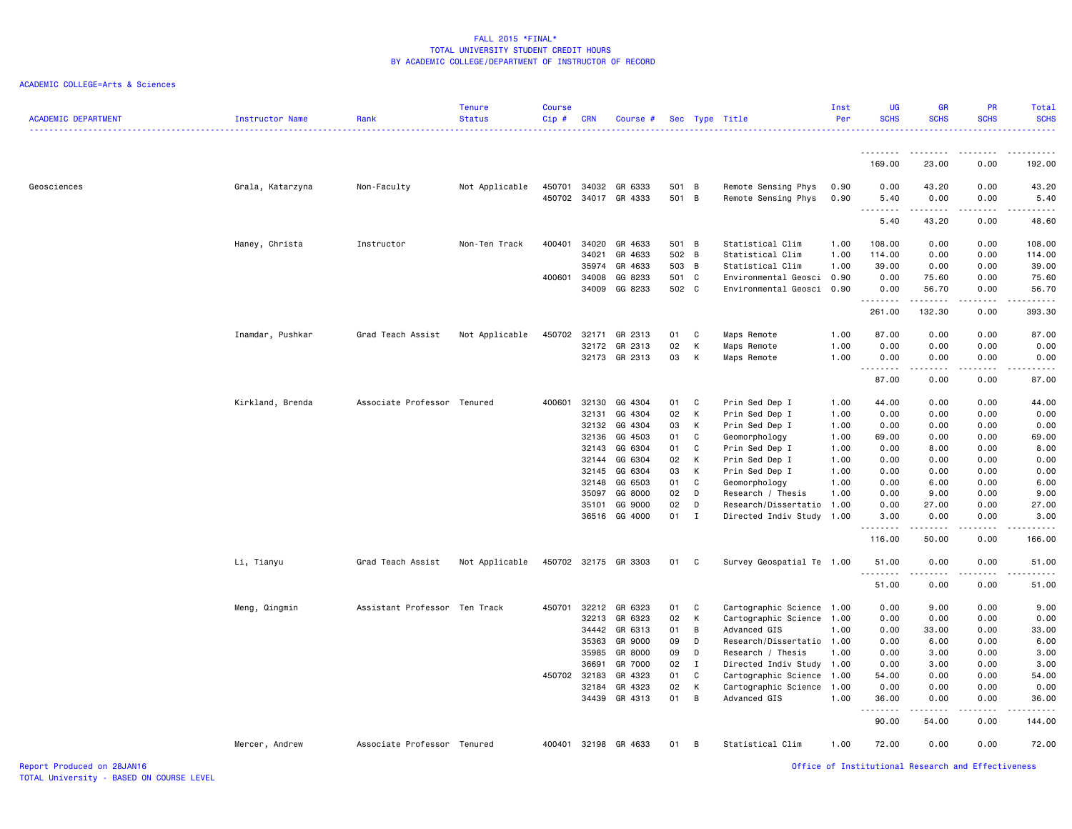| <b>ACADEMIC DEPARTMENT</b> | <b>Instructor Name</b> | Rank                          | <b>Tenure</b><br><b>Status</b> | <b>Course</b><br>Cip# | <b>CRN</b> | Course #                 |                |              | Sec Type Title                             | Inst<br>Per  | UG<br><b>SCHS</b> | GR<br><b>SCHS</b>  | PR<br><b>SCHS</b>       | <b>Total</b><br><b>SCHS</b> |
|----------------------------|------------------------|-------------------------------|--------------------------------|-----------------------|------------|--------------------------|----------------|--------------|--------------------------------------------|--------------|-------------------|--------------------|-------------------------|-----------------------------|
|                            |                        |                               |                                |                       |            |                          |                |              |                                            |              | . <b>.</b>        | .                  | .                       | .                           |
|                            |                        |                               |                                |                       |            |                          |                |              |                                            |              | 169.00            | 23.00              | 0.00                    | 192.00                      |
| Geosciences                | Grala, Katarzyna       | Non-Faculty                   | Not Applicable                 | 450701<br>450702      | 34032      | GR 6333<br>34017 GR 4333 | 501 B<br>501 B |              | Remote Sensing Phys<br>Remote Sensing Phys | 0.90<br>0.90 | 0.00<br>5.40<br>. | 43.20<br>0.00<br>. | 0.00<br>0.00<br>د د د د | 43.20<br>5.40<br>.          |
|                            |                        |                               |                                |                       |            |                          |                |              |                                            |              | 5.40              | 43.20              | 0.00                    | 48.60                       |
|                            | Haney, Christa         | Instructor                    | Non-Ten Track                  | 400401                | 34020      | GR 4633                  | 501 B          |              | Statistical Clim                           | 1.00         | 108.00            | 0.00               | 0.00                    | 108.00                      |
|                            |                        |                               |                                |                       | 34021      | GR 4633                  | 502 B          |              | Statistical Clim                           | 1.00         | 114.00            | 0.00               | 0.00                    | 114.00                      |
|                            |                        |                               |                                |                       | 35974      | GR 4633                  | 503 B          |              | Statistical Clim                           | 1.00         | 39.00             | 0.00               | 0.00                    | 39.00                       |
|                            |                        |                               |                                | 400601                | 34008      | GG 8233                  | 501 C          |              | Environmental Geosci 0.90                  |              | 0.00              | 75.60              | 0.00                    | 75.60                       |
|                            |                        |                               |                                |                       | 34009      | GG 8233                  | 502 C          |              | Environmental Geosci 0.90                  |              | 0.00<br><u>.</u>  | 56.70<br>------    | 0.00<br>.               | 56.70<br>.                  |
|                            |                        |                               |                                |                       |            |                          |                |              |                                            |              | 261.00            | 132.30             | 0.00                    | 393.30                      |
|                            | Inamdar, Pushkar       | Grad Teach Assist             | Not Applicable                 | 450702                | 32171      | GR 2313                  | 01             | C            | Maps Remote                                | 1.00         | 87.00             | 0.00               | 0.00                    | 87.00                       |
|                            |                        |                               |                                |                       | 32172      | GR 2313                  | 02             | К            | Maps Remote                                | 1.00         | 0.00              | 0.00               | 0.00                    | 0.00                        |
|                            |                        |                               |                                |                       |            | 32173 GR 2313            | 03             | К            | Maps Remote                                | 1.00         | 0.00              | 0.00               | 0.00                    | 0.00                        |
|                            |                        |                               |                                |                       |            |                          |                |              |                                            |              | 87.00             | .<br>0.00          | .<br>0.00               | .<br>87.00                  |
|                            | Kirkland, Brenda       | Associate Professor Tenured   |                                | 400601                | 32130      | GG 4304                  | 01             | C            | Prin Sed Dep I                             | 1.00         | 44.00             | 0.00               | 0.00                    | 44.00                       |
|                            |                        |                               |                                |                       | 32131      | GG 4304                  | 02             | К            | Prin Sed Dep I                             | 1.00         | 0.00              | 0.00               | 0.00                    | 0.00                        |
|                            |                        |                               |                                |                       | 32132      | GG 4304                  | 03             | К            | Prin Sed Dep I                             | 1.00         | 0.00              | 0.00               | 0.00                    | 0.00                        |
|                            |                        |                               |                                |                       | 32136      | GG 4503                  | 01             | C            | Geomorphology                              | 1.00         | 69.00             | 0.00               | 0.00                    | 69.00                       |
|                            |                        |                               |                                |                       | 32143      | GG 6304                  | 01             | C            | Prin Sed Dep I                             | 1.00         | 0.00              | 8.00               | 0.00                    | 8.00                        |
|                            |                        |                               |                                |                       | 32144      | GG 6304                  | 02             | к            | Prin Sed Dep I                             | 1.00         | 0.00              | 0.00               | 0.00                    | 0.00                        |
|                            |                        |                               |                                |                       | 32145      | GG 6304                  | 03             | К            | Prin Sed Dep I                             | 1.00         | 0.00              | 0.00               | 0.00                    | 0.00                        |
|                            |                        |                               |                                |                       | 32148      | GG 6503                  | 01             | C            | Geomorphology                              | 1.00         | 0.00              | 6.00               | 0.00                    | 6.00                        |
|                            |                        |                               |                                |                       | 35097      | GG 8000                  | 02             | D            | Research / Thesis                          | 1.00         | 0.00              | 9.00               | 0.00                    | 9.00                        |
|                            |                        |                               |                                |                       | 35101      | GG 9000                  | 02             | D            | Research/Dissertatio                       | 1.00         | 0.00              | 27.00              | 0.00                    | 27.00                       |
|                            |                        |                               |                                |                       |            | 36516 GG 4000            | 01             | $\mathbf{I}$ | Directed Indiv Study 1.00                  |              | 3.00              | 0.00               | 0.00                    | 3.00                        |
|                            |                        |                               |                                |                       |            |                          |                |              |                                            |              | 116.00            | 50.00              | 0.00                    | 166.00                      |
|                            | Li, Tianyu             | Grad Teach Assist             | Not Applicable                 |                       |            | 450702 32175 GR 3303     | 01             | C            | Survey Geospatial Te 1.00                  |              | 51.00             | 0.00               | 0.00                    | 51.00                       |
|                            |                        |                               |                                |                       |            |                          |                |              |                                            |              | <b></b><br>51.00  | -----<br>0.00      | .<br>0.00               | .<br>51.00                  |
|                            | Meng, Qingmin          | Assistant Professor Ten Track |                                | 450701                | 32212      | GR 6323                  | 01             | C            | Cartographic Science                       | 1.00         | 0.00              | 9.00               | 0.00                    | 9.00                        |
|                            |                        |                               |                                |                       | 32213      | GR 6323                  | 02             | Κ            | Cartographic Science                       | 1.00         | 0.00              | 0.00               | 0.00                    | 0.00                        |
|                            |                        |                               |                                |                       | 34442      | GR 6313                  | 01             | В            | Advanced GIS                               | 1.00         | 0.00              | 33.00              | 0.00                    | 33.00                       |
|                            |                        |                               |                                |                       | 35363      | GR 9000                  | 09             | D            | Research/Dissertatio 1.00                  |              | 0.00              | 6.00               | 0.00                    | 6.00                        |
|                            |                        |                               |                                |                       | 35985      | GR 8000                  | 09             | D            | Research / Thesis                          | 1.00         | 0.00              | 3.00               | 0.00                    | 3.00                        |
|                            |                        |                               |                                |                       | 36691      | GR 7000                  | 02             | $\mathbf I$  | Directed Indiv Study 1.00                  |              | 0.00              | 3.00               | 0.00                    | 3.00                        |
|                            |                        |                               |                                | 450702 32183          |            | GR 4323                  | 01             | C            | Cartographic Science                       | 1.00         | 54.00             | 0.00               | 0.00                    | 54.00                       |
|                            |                        |                               |                                |                       | 32184      | GR 4323                  | 02             | К            | Cartographic Science                       | 1.00         | 0.00              | 0.00               | 0.00                    | 0.00                        |
|                            |                        |                               |                                |                       | 34439      | GR 4313                  | 01             | B            | Advanced GIS                               | 1.00         | 36.00             | 0.00               | 0.00                    | 36.00                       |
|                            |                        |                               |                                |                       |            |                          |                |              |                                            |              | .<br>90.00        | 54.00              | 0.00                    | .<br>144.00                 |
|                            | Mercer, Andrew         | Associate Professor Tenured   |                                | 400401                |            | 32198 GR 4633            | 01             | B            | Statistical Clim                           | 1.00         | 72.00             | 0.00               | 0.00                    | 72.00                       |
|                            |                        |                               |                                |                       |            |                          |                |              |                                            |              |                   |                    |                         |                             |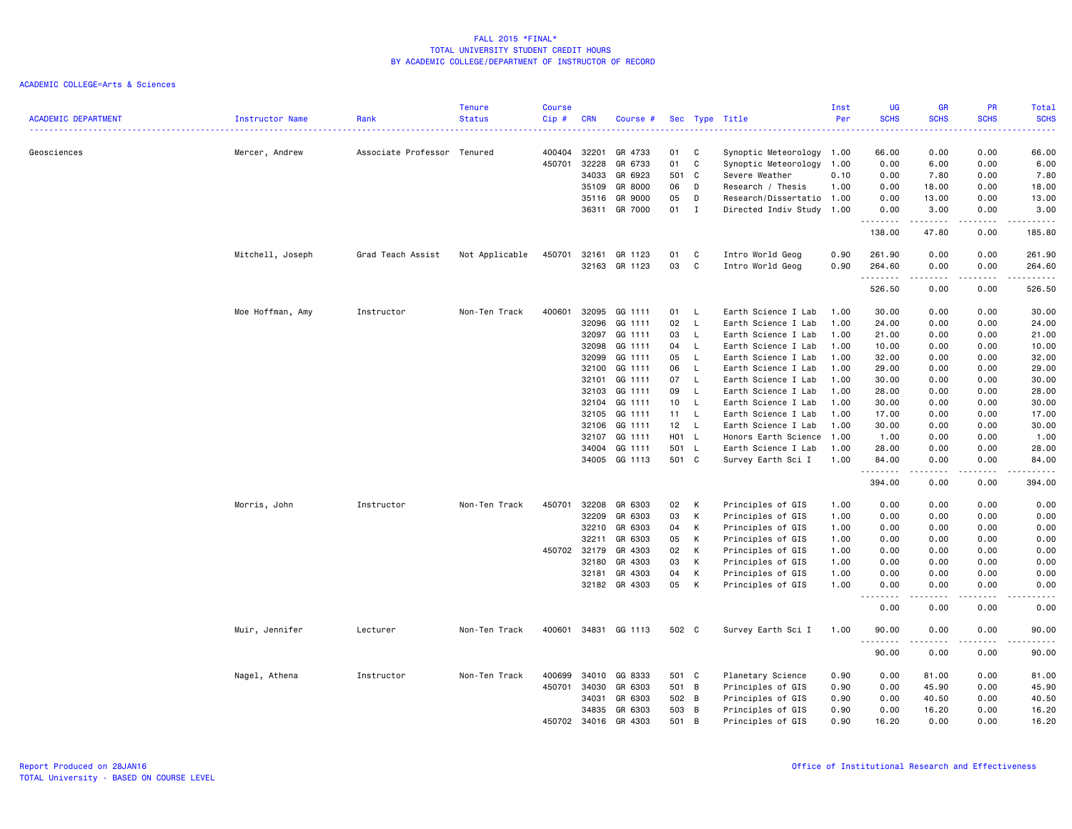|                            |                  |                             | <b>Tenure</b>  | <b>Course</b> |            |               |       |                |                           | Inst | UG                                            | <b>GR</b>                                                                                                                                                    | <b>PR</b>        | Total                                                                                                                                    |
|----------------------------|------------------|-----------------------------|----------------|---------------|------------|---------------|-------|----------------|---------------------------|------|-----------------------------------------------|--------------------------------------------------------------------------------------------------------------------------------------------------------------|------------------|------------------------------------------------------------------------------------------------------------------------------------------|
| <b>ACADEMIC DEPARTMENT</b> | Instructor Name  | Rank                        | <b>Status</b>  | Cip#          | <b>CRN</b> | Course #      |       |                | Sec Type Title            | Per  | <b>SCHS</b>                                   | <b>SCHS</b>                                                                                                                                                  | <b>SCHS</b><br>. | <b>SCHS</b><br>$\frac{1}{2} \left( \frac{1}{2} \right) \left( \frac{1}{2} \right) \left( \frac{1}{2} \right) \left( \frac{1}{2} \right)$ |
| Geosciences                |                  | Associate Professor Tenured |                | 400404        | 32201      | GR 4733       | 01    | C              | Synoptic Meteorology 1.00 |      | 66.00                                         | 0.00                                                                                                                                                         | 0.00             | 66.00                                                                                                                                    |
|                            | Mercer, Andrew   |                             |                | 450701        | 32228      | GR 6733       | 01    | C              | Synoptic Meteorology      | 1.00 | 0.00                                          | 6.00                                                                                                                                                         | 0.00             | 6.00                                                                                                                                     |
|                            |                  |                             |                |               | 34033      | GR 6923       | 501   | C <sub>c</sub> | Severe Weather            | 0.10 | 0.00                                          | 7.80                                                                                                                                                         | 0.00             | 7.80                                                                                                                                     |
|                            |                  |                             |                |               | 35109      | GR 8000       | 06    | D              | Research / Thesis         | 1.00 | 0.00                                          | 18.00                                                                                                                                                        | 0.00             | 18.00                                                                                                                                    |
|                            |                  |                             |                |               | 35116      | GR 9000       | 05    | D              | Research/Dissertatio 1.00 |      | 0.00                                          | 13.00                                                                                                                                                        | 0.00             | 13.00                                                                                                                                    |
|                            |                  |                             |                |               |            | 36311 GR 7000 | 01    | $\mathbf{I}$   | Directed Indiv Study 1.00 |      | 0.00                                          | 3.00                                                                                                                                                         | 0.00             | 3.00                                                                                                                                     |
|                            |                  |                             |                |               |            |               |       |                |                           |      | .<br>138.00                                   | -----<br>47.80                                                                                                                                               | .<br>0.00        | .<br>185.80                                                                                                                              |
|                            | Mitchell, Joseph | Grad Teach Assist           | Not Applicable | 450701        | 32161      | GR 1123       | 01    | C              | Intro World Geog          | 0.90 | 261.90                                        | 0.00                                                                                                                                                         | 0.00             | 261.90                                                                                                                                   |
|                            |                  |                             |                |               | 32163      | GR 1123       | 03    | C              | Intro World Geog          | 0.90 | 264.60                                        | 0.00                                                                                                                                                         | 0.00             | 264.60                                                                                                                                   |
|                            |                  |                             |                |               |            |               |       |                |                           |      | .<br>526.50                                   | .<br>0.00                                                                                                                                                    | .<br>0.00        | .<br>526.50                                                                                                                              |
|                            | Moe Hoffman, Amy | Instructor                  | Non-Ten Track  | 400601        | 32095      | GG 1111       | 01    | L,             | Earth Science I Lab       | 1.00 | 30.00                                         | 0.00                                                                                                                                                         | 0.00             | 30.00                                                                                                                                    |
|                            |                  |                             |                |               | 32096      | GG 1111       | 02    | $\mathsf{L}$   | Earth Science I Lab       | 1.00 | 24.00                                         | 0.00                                                                                                                                                         | 0.00             | 24.00                                                                                                                                    |
|                            |                  |                             |                |               | 32097      | GG 1111       | 03    | L              | Earth Science I Lab       | 1.00 | 21.00                                         | 0.00                                                                                                                                                         | 0.00             | 21.00                                                                                                                                    |
|                            |                  |                             |                |               | 32098      | GG 1111       | 04    | L,             | Earth Science I Lab       | 1.00 | 10.00                                         | 0.00                                                                                                                                                         | 0.00             | 10.00                                                                                                                                    |
|                            |                  |                             |                |               | 32099      | GG 1111       | 05    | $\mathsf{L}$   | Earth Science I Lab       | 1.00 | 32.00                                         | 0.00                                                                                                                                                         | 0.00             | 32.00                                                                                                                                    |
|                            |                  |                             |                |               | 32100      | GG 1111       | 06    | - L            | Earth Science I Lab       | 1.00 | 29.00                                         | 0.00                                                                                                                                                         | 0.00             | 29.00                                                                                                                                    |
|                            |                  |                             |                |               | 32101      | GG 1111       | 07    | $\mathsf{L}$   | Earth Science I Lab       | 1.00 | 30.00                                         | 0.00                                                                                                                                                         | 0.00             | 30.00                                                                                                                                    |
|                            |                  |                             |                |               | 32103      | GG 1111       | 09    | L              | Earth Science I Lab       | 1.00 | 28.00                                         | 0.00                                                                                                                                                         | 0.00             | 28.00                                                                                                                                    |
|                            |                  |                             |                |               | 32104      | GG 1111       | 10    | - L            | Earth Science I Lab       | 1.00 | 30.00                                         | 0.00                                                                                                                                                         | 0.00             | 30.00                                                                                                                                    |
|                            |                  |                             |                |               | 32105      | GG 1111       | 11 L  |                | Earth Science I Lab       | 1.00 | 17.00                                         | 0.00                                                                                                                                                         | 0.00             | 17.00                                                                                                                                    |
|                            |                  |                             |                |               | 32106      | GG 1111       | 12    | <b>L</b>       | Earth Science I Lab       | 1.00 | 30.00                                         | 0.00                                                                                                                                                         | 0.00             | 30.00                                                                                                                                    |
|                            |                  |                             |                |               | 32107      | GG 1111       | H01 L |                | Honors Earth Science 1.00 |      | 1.00                                          | 0.00                                                                                                                                                         | 0.00             | 1.00                                                                                                                                     |
|                            |                  |                             |                |               | 34004      | GG 1111       | 501 L |                | Earth Science I Lab       | 1.00 | 28.00                                         | 0.00                                                                                                                                                         | 0.00             | 28.00                                                                                                                                    |
|                            |                  |                             |                |               |            | 34005 GG 1113 | 501 C |                | Survey Earth Sci I        | 1.00 | 84.00<br>.                                    | 0.00<br>$\frac{1}{2} \left( \frac{1}{2} \right) \left( \frac{1}{2} \right) \left( \frac{1}{2} \right) \left( \frac{1}{2} \right) \left( \frac{1}{2} \right)$ | 0.00<br>.        | 84.00<br>.                                                                                                                               |
|                            |                  |                             |                |               |            |               |       |                |                           |      | 394.00                                        | 0.00                                                                                                                                                         | 0.00             | 394.00                                                                                                                                   |
|                            | Morris, John     | Instructor                  | Non-Ten Track  | 450701        | 32208      | GR 6303       | 02    | K              | Principles of GIS         | 1.00 | 0.00                                          | 0.00                                                                                                                                                         | 0.00             | 0.00                                                                                                                                     |
|                            |                  |                             |                |               | 32209      | GR 6303       | 03    | K              | Principles of GIS         | 1.00 | 0.00                                          | 0.00                                                                                                                                                         | 0.00             | 0.00                                                                                                                                     |
|                            |                  |                             |                |               | 32210      | GR 6303       | 04    | К              | Principles of GIS         | 1.00 | 0.00                                          | 0.00                                                                                                                                                         | 0.00             | 0.00                                                                                                                                     |
|                            |                  |                             |                |               | 32211      | GR 6303       | 05    | K              | Principles of GIS         | 1.00 | 0.00                                          | 0.00                                                                                                                                                         | 0.00             | 0.00                                                                                                                                     |
|                            |                  |                             |                | 450702        | 32179      | GR 4303       | 02    | К              | Principles of GIS         | 1.00 | 0.00                                          | 0.00                                                                                                                                                         | 0.00             | 0.00                                                                                                                                     |
|                            |                  |                             |                |               | 32180      | GR 4303       | 03    | К              | Principles of GIS         | 1.00 | 0.00                                          | 0.00                                                                                                                                                         | 0.00             | 0.00                                                                                                                                     |
|                            |                  |                             |                |               | 32181      | GR 4303       | 04    | К              | Principles of GIS         | 1.00 | 0.00                                          | 0.00                                                                                                                                                         | 0.00             | 0.00                                                                                                                                     |
|                            |                  |                             |                |               | 32182      | GR 4303       | 05    | K              | Principles of GIS         | 1.00 | 0.00<br>$\sim$ $\sim$<br>$\sim$ $\sim$ $\sim$ | 0.00                                                                                                                                                         | 0.00             | 0.00<br>$\sim$ $\sim$ $\sim$ $\sim$                                                                                                      |
|                            |                  |                             |                |               |            |               |       |                |                           |      | 0.00                                          | 0.00                                                                                                                                                         | 0.00             | 0.00                                                                                                                                     |
|                            | Muir, Jennifer   | Lecturer                    | Non-Ten Track  | 400601        |            | 34831 GG 1113 | 502 C |                | Survey Earth Sci I        | 1.00 | 90.00<br>.                                    | 0.00                                                                                                                                                         | 0.00<br>- - - -  | 90.00<br>.                                                                                                                               |
|                            |                  |                             |                |               |            |               |       |                |                           |      | 90.00                                         | 0.00                                                                                                                                                         | 0.00             | 90.00                                                                                                                                    |
|                            | Nagel, Athena    | Instructor                  | Non-Ten Track  | 400699        | 34010      | GG 8333       | 501 C |                | Planetary Science         | 0.90 | 0.00                                          | 81.00                                                                                                                                                        | 0.00             | 81.00                                                                                                                                    |
|                            |                  |                             |                | 450701        | 34030      | GR 6303       | 501 B |                | Principles of GIS         | 0.90 | 0.00                                          | 45.90                                                                                                                                                        | 0.00             | 45.90                                                                                                                                    |
|                            |                  |                             |                |               | 34031      | GR 6303       | 502 B |                | Principles of GIS         | 0.90 | 0.00                                          | 40.50                                                                                                                                                        | 0.00             | 40.50                                                                                                                                    |
|                            |                  |                             |                |               | 34835      | GR 6303       | 503 B |                | Principles of GIS         | 0.90 | 0.00                                          | 16.20                                                                                                                                                        | 0.00             | 16.20                                                                                                                                    |
|                            |                  |                             |                | 450702        | 34016      | GR 4303       | 501 B |                | Principles of GIS         | 0.90 | 16.20                                         | 0.00                                                                                                                                                         | 0.00             | 16.20                                                                                                                                    |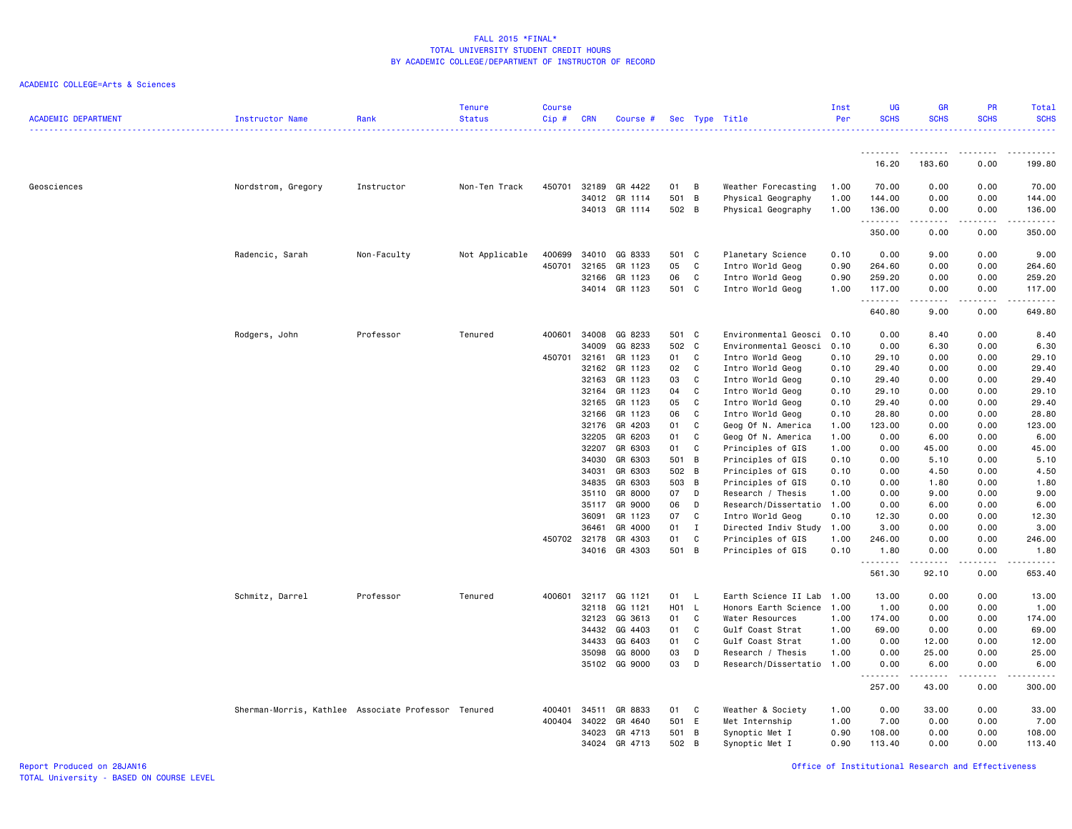### ACADEMIC COLLEGE=Arts & Sciences

| <b>ACADEMIC DEPARTMENT</b> | Instructor Name                                     | Rank        | <b>Tenure</b><br><b>Status</b> | <b>Course</b><br>Cip# | CRN            | Course #           |                  |                | Sec Type Title                            | Inst<br>Per  | <b>UG</b><br><b>SCHS</b> | <b>GR</b><br><b>SCHS</b> | <b>PR</b><br><b>SCHS</b> | Total<br><b>SCHS</b><br><u>.</u>                                                                                                    |
|----------------------------|-----------------------------------------------------|-------------|--------------------------------|-----------------------|----------------|--------------------|------------------|----------------|-------------------------------------------|--------------|--------------------------|--------------------------|--------------------------|-------------------------------------------------------------------------------------------------------------------------------------|
|                            |                                                     |             |                                |                       |                |                    |                  |                |                                           |              |                          |                          |                          |                                                                                                                                     |
|                            |                                                     |             |                                |                       |                |                    |                  |                |                                           |              | 16.20                    | 183.60                   | 0.00                     | 199.80                                                                                                                              |
| Geosciences                | Nordstrom, Gregory                                  | Instructor  | Non-Ten Track                  | 450701                | 32189          | GR 4422            | 01               | B              | Weather Forecasting                       | 1.00         | 70.00                    | 0.00                     | 0.00                     | 70.00                                                                                                                               |
|                            |                                                     |             |                                |                       | 34012          | GR 1114            | 501              | $\overline{B}$ | Physical Geography                        | 1.00         | 144.00                   | 0.00                     | 0.00                     | 144.00                                                                                                                              |
|                            |                                                     |             |                                |                       |                | 34013 GR 1114      | 502 B            |                | Physical Geography                        | 1.00         | 136.00<br>.              | 0.00<br>.                | 0.00<br>-----            | 136.00<br>.                                                                                                                         |
|                            |                                                     |             |                                |                       |                |                    |                  |                |                                           |              | 350.00                   | 0.00                     | 0.00                     | 350.00                                                                                                                              |
|                            | Radencic, Sarah                                     | Non-Faculty | Not Applicable                 | 400699                | 34010          | GG 8333            | 501              | C              | Planetary Science                         | 0.10         | 0.00                     | 9.00                     | 0.00                     | 9.00                                                                                                                                |
|                            |                                                     |             |                                | 450701                | 32165          | GR 1123            | 05               | C              | Intro World Geog                          | 0.90         | 264.60                   | 0.00                     | 0.00                     | 264.60                                                                                                                              |
|                            |                                                     |             |                                |                       | 32166          | GR 1123            | 06               | C              | Intro World Geog                          | 0.90         | 259.20                   | 0.00                     | 0.00                     | 259.20                                                                                                                              |
|                            |                                                     |             |                                |                       | 34014          | GR 1123            | 501              | C              | Intro World Geog                          | 1.00         | 117.00<br>.              | 0.00                     | 0.00<br>.                | 117.00<br>.                                                                                                                         |
|                            |                                                     |             |                                |                       |                |                    |                  |                |                                           |              | 640.80                   | 9.00                     | 0.00                     | 649.80                                                                                                                              |
|                            | Rodgers, John                                       | Professor   | Tenured                        | 400601                | 34008          | GG 8233            | 501 C            |                | Environmental Geosci 0.10                 |              | 0.00                     | 8.40                     | 0.00                     | 8.40                                                                                                                                |
|                            |                                                     |             |                                |                       | 34009          | GG 8233            | 502 C            |                | Environmental Geosci 0.10                 |              | 0.00                     | 6.30                     | 0.00                     | 6.30                                                                                                                                |
|                            |                                                     |             |                                | 450701                | 32161          | GR 1123            | 01               | C              | Intro World Geog                          | 0.10         | 29.10                    | 0.00                     | 0.00                     | 29.10                                                                                                                               |
|                            |                                                     |             |                                |                       | 32162          | GR 1123            | 02               | C              | Intro World Geog                          | 0.10         | 29.40                    | 0.00                     | 0.00                     | 29.40                                                                                                                               |
|                            |                                                     |             |                                |                       | 32163<br>32164 | GR 1123<br>GR 1123 | 03<br>04         | C<br>C         | Intro World Geog<br>Intro World Geog      | 0.10<br>0.10 | 29.40<br>29.10           | 0.00<br>0.00             | 0.00<br>0.00             | 29.40<br>29.10                                                                                                                      |
|                            |                                                     |             |                                |                       | 32165          | GR 1123            | 05               | C              | Intro World Geog                          | 0.10         | 29.40                    | 0.00                     | 0.00                     | 29.40                                                                                                                               |
|                            |                                                     |             |                                |                       | 32166          | GR 1123            | 06               | C              | Intro World Geog                          | 0.10         | 28.80                    | 0.00                     | 0.00                     | 28.80                                                                                                                               |
|                            |                                                     |             |                                |                       | 32176          | GR 4203            | 01               | C              | Geog Of N. America                        | 1.00         | 123.00                   | 0.00                     | 0.00                     | 123.00                                                                                                                              |
|                            |                                                     |             |                                |                       | 32205          | GR 6203            | 01               | C              | Geog Of N. America                        | 1.00         | 0.00                     | 6.00                     | 0.00                     | 6.00                                                                                                                                |
|                            |                                                     |             |                                |                       | 32207          | GR 6303            | 01               | C              | Principles of GIS                         | 1.00         | 0.00                     | 45.00                    | 0.00                     | 45.00                                                                                                                               |
|                            |                                                     |             |                                |                       | 34030          | GR 6303            | 501              | B              | Principles of GIS                         | 0.10         | 0.00                     | 5.10                     | 0.00                     | 5.10                                                                                                                                |
|                            |                                                     |             |                                |                       | 34031          | GR 6303            | 502 B            |                | Principles of GIS                         | 0.10         | 0.00                     | 4.50                     | 0.00                     | 4.50                                                                                                                                |
|                            |                                                     |             |                                |                       | 34835          | GR 6303            | 503 B            |                | Principles of GIS                         | 0.10         | 0.00                     | 1.80                     | 0.00                     | 1.80                                                                                                                                |
|                            |                                                     |             |                                |                       | 35110          | GR 8000            | 07               | D              | Research / Thesis                         | 1.00         | 0.00                     | 9.00                     | 0.00                     | 9.00                                                                                                                                |
|                            |                                                     |             |                                |                       | 35117          | GR 9000            | 06               | D              | Research/Dissertatio                      | 1.00         | 0.00                     | 6.00                     | 0.00                     | 6.00                                                                                                                                |
|                            |                                                     |             |                                |                       | 36091<br>36461 | GR 1123<br>GR 4000 | 07<br>01         | C<br>I         | Intro World Geog                          | 0.10<br>1.00 | 12.30<br>3.00            | 0.00<br>0.00             | 0.00<br>0.00             | 12.30<br>3.00                                                                                                                       |
|                            |                                                     |             |                                | 450702 32178          |                | GR 4303            | 01               | C              | Directed Indiv Study<br>Principles of GIS | 1.00         | 246.00                   | 0.00                     | 0.00                     | 246.00                                                                                                                              |
|                            |                                                     |             |                                |                       | 34016          | GR 4303            | 501              | $\overline{B}$ | Principles of GIS                         | 0.10         | 1.80                     | 0.00                     | 0.00                     | 1.80                                                                                                                                |
|                            |                                                     |             |                                |                       |                |                    |                  |                |                                           |              | .<br>561.30              | 92.10                    | . <u>.</u> .<br>0.00     | $\begin{array}{cccccccccccccc} \bullet & \bullet & \bullet & \bullet & \bullet & \bullet & \bullet & \bullet \end{array}$<br>653.40 |
|                            | Schmitz, Darrel                                     | Professor   | Tenured                        | 400601                | 32117          | GG 1121            | 01               | L              | Earth Science II Lab                      | 1.00         | 13.00                    | 0.00                     | 0.00                     | 13.00                                                                                                                               |
|                            |                                                     |             |                                |                       | 32118          | GG 1121            | H <sub>0</sub> 1 | L              | Honors Earth Science 1.00                 |              | 1.00                     | 0.00                     | 0.00                     | 1.00                                                                                                                                |
|                            |                                                     |             |                                |                       | 32123          | GG 3613            | 01               | C              | Water Resources                           | 1.00         | 174.00                   | 0.00                     | 0.00                     | 174.00                                                                                                                              |
|                            |                                                     |             |                                |                       | 34432          | GG 4403            | 01               | C              | Gulf Coast Strat                          | 1.00         | 69.00                    | 0.00                     | 0.00                     | 69.00                                                                                                                               |
|                            |                                                     |             |                                |                       | 34433          | GG 6403            | 01               | C              | Gulf Coast Strat                          | 1.00         | 0.00                     | 12.00                    | 0.00                     | 12.00                                                                                                                               |
|                            |                                                     |             |                                |                       | 35098          | GG 8000            | 03               | D              | Research / Thesis                         | 1.00         | 0.00                     | 25.00                    | 0.00                     | 25.00                                                                                                                               |
|                            |                                                     |             |                                |                       |                | 35102 GG 9000      | 03               | D              | Research/Dissertatio 1.00                 |              | 0.00<br>.                | 6.00<br>.                | 0.00<br>.                | 6.00<br>.                                                                                                                           |
|                            |                                                     |             |                                |                       |                |                    |                  |                |                                           |              | 257.00                   | 43.00                    | 0.00                     | 300.00                                                                                                                              |
|                            | Sherman-Morris, Kathlee Associate Professor Tenured |             |                                | 400401                | 34511          | GR 8833            | 01               | C              | Weather & Society                         | 1.00         | 0.00                     | 33.00                    | 0.00                     | 33.00                                                                                                                               |
|                            |                                                     |             |                                | 400404                | 34022          | GR 4640            | 501              | E              | Met Internship                            | 1.00         | 7.00                     | 0.00                     | 0.00                     | 7.00                                                                                                                                |
|                            |                                                     |             |                                |                       | 34023          | GR 4713            | 501              | B              | Synoptic Met I                            | 0.90         | 108.00                   | 0.00                     | 0.00                     | 108.00                                                                                                                              |
|                            |                                                     |             |                                |                       | 34024          | GR 4713            | 502 B            |                | Synoptic Met I                            | 0.90         | 113.40                   | 0.00                     | 0.00                     | 113.40                                                                                                                              |

Report Produced on 28JAN16 Office of Institutional Research and Effectiveness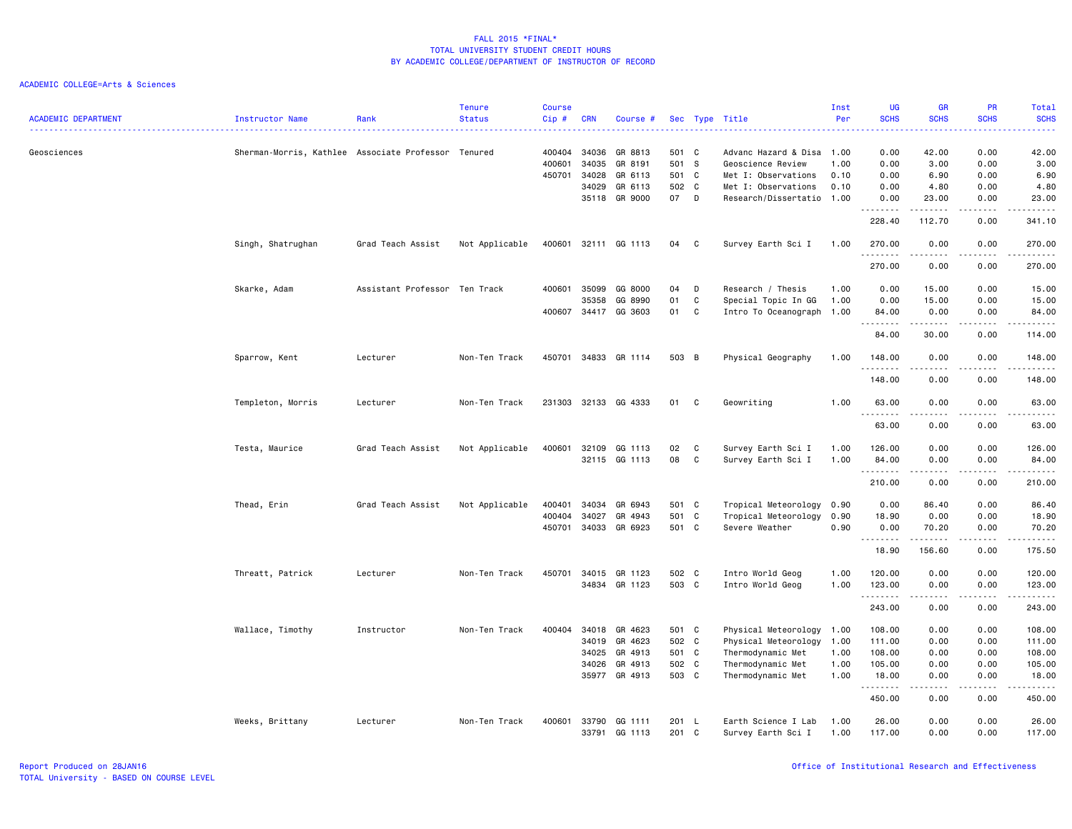| <b>ACADEMIC DEPARTMENT</b> | <b>Instructor Name</b>                              | Rank                          | <b>Tenure</b><br><b>Status</b> | Course<br>Cip# | <b>CRN</b> | Course #             |       |              | Sec Type Title            | Inst<br>Per | <b>UG</b><br><b>SCHS</b><br>. | <b>GR</b><br><b>SCHS</b> | PR<br><b>SCHS</b> | <b>Total</b><br><b>SCHS</b> |
|----------------------------|-----------------------------------------------------|-------------------------------|--------------------------------|----------------|------------|----------------------|-------|--------------|---------------------------|-------------|-------------------------------|--------------------------|-------------------|-----------------------------|
| Geosciences                | Sherman-Morris, Kathlee Associate Professor Tenured |                               |                                | 400404         | 34036      | GR 8813              | 501 C |              | Advanc Hazard & Disa      | 1.00        | 0.00                          | 42.00                    | 0.00              | 42.00                       |
|                            |                                                     |                               |                                | 400601         | 34035      | GR 8191              | 501 S |              | Geoscience Review         | 1.00        | 0.00                          | 3.00                     | 0.00              | 3.00                        |
|                            |                                                     |                               |                                | 450701         | 34028      | GR 6113              | 501 C |              | Met I: Observations       | 0.10        | 0.00                          | 6.90                     | 0.00              | 6.90                        |
|                            |                                                     |                               |                                |                | 34029      | GR 6113              | 502   | C            | Met I: Observations       | 0.10        | 0.00                          | 4.80                     | 0.00              | 4.80                        |
|                            |                                                     |                               |                                |                | 35118      | GR 9000              | 07    | D            | Research/Dissertatio      | 1.00        | 0.00<br>.                     | 23.00<br>$- - - - - - -$ | 0.00<br>.         | 23.00<br>.                  |
|                            |                                                     |                               |                                |                |            |                      |       |              |                           |             | 228.40                        | 112.70                   | 0.00              | 341.10                      |
|                            | Singh, Shatrughan                                   | Grad Teach Assist             | Not Applicable                 |                |            | 400601 32111 GG 1113 | 04    | $\mathbf{C}$ | Survey Earth Sci I        | 1.00        | 270.00<br>.                   | 0.00                     | 0.00              | 270.00                      |
|                            |                                                     |                               |                                |                |            |                      |       |              |                           |             | 270.00                        | 0.00                     | 0.00              | 270.00                      |
|                            | Skarke, Adam                                        | Assistant Professor Ten Track |                                | 400601         | 35099      | GG 8000              | 04    | D            | Research / Thesis         | 1.00        | 0.00                          | 15.00                    | 0.00              | 15.00                       |
|                            |                                                     |                               |                                |                | 35358      | GG 8990              | 01    | C            | Special Topic In GG       | 1.00        | 0.00                          | 15.00                    | 0.00              | 15.00                       |
|                            |                                                     |                               |                                |                |            | 400607 34417 GG 3603 | 01    | C            | Intro To Oceanograph 1.00 |             | 84.00<br>.                    | 0.00                     | 0.00<br>.         | 84.00<br>.                  |
|                            |                                                     |                               |                                |                |            |                      |       |              |                           |             | 84.00                         | 30.00                    | 0.00              | 114.00                      |
|                            | Sparrow, Kent                                       | Lecturer                      | Non-Ten Track                  |                |            | 450701 34833 GR 1114 | 503 B |              | Physical Geography        | 1.00        | 148.00<br><u>.</u>            | 0.00<br>.                | 0.00<br>.         | 148.00<br>.                 |
|                            |                                                     |                               |                                |                |            |                      |       |              |                           |             | 148.00                        | 0.00                     | 0.00              | 148.00                      |
|                            | Templeton, Morris                                   | Lecturer                      | Non-Ten Track                  |                |            | 231303 32133 GG 4333 | 01    | C            | Geowriting                | 1.00        | 63.00                         | 0.00                     | 0.00              | 63.00                       |
|                            |                                                     |                               |                                |                |            |                      |       |              |                           |             | .<br>63.00                    | .<br>0.00                | .<br>0.00         | .<br>63.00                  |
|                            | Testa, Maurice                                      | Grad Teach Assist             | Not Applicable                 | 400601         | 32109      | GG 1113              | 02    | C            | Survey Earth Sci I        | 1.00        | 126.00                        | 0.00                     | 0.00              | 126.00                      |
|                            |                                                     |                               |                                |                |            | 32115 GG 1113        | 08    | C            | Survey Earth Sci I        | 1.00        | 84.00                         | 0.00                     | 0.00              | 84.00                       |
|                            |                                                     |                               |                                |                |            |                      |       |              |                           |             | .                             | .                        | .                 | <u>.</u>                    |
|                            |                                                     |                               |                                |                |            |                      |       |              |                           |             | 210.00                        | 0.00                     | 0.00              | 210.00                      |
|                            | Thead, Erin                                         | Grad Teach Assist             | Not Applicable                 | 400401         | 34034      | GR 6943              | 501 C |              | Tropical Meteorology      | 0.90        | 0.00                          | 86.40                    | 0.00              | 86.40                       |
|                            |                                                     |                               |                                | 400404         | 34027      | GR 4943              | 501 C |              | Tropical Meteorology      | 0.90        | 18.90                         | 0.00                     | 0.00              | 18.90                       |
|                            |                                                     |                               |                                |                |            | 450701 34033 GR 6923 | 501 C |              | Severe Weather            | 0.90        | 0.00<br>.                     | 70.20<br>.               | 0.00<br>.         | 70.20<br>.                  |
|                            |                                                     |                               |                                |                |            |                      |       |              |                           |             | 18.90                         | 156.60                   | 0.00              | 175.50                      |
|                            | Threatt, Patrick                                    | Lecturer                      | Non-Ten Track                  | 450701         |            | 34015 GR 1123        | 502 C |              | Intro World Geog          | 1.00        | 120.00                        | 0.00                     | 0.00              | 120.00                      |
|                            |                                                     |                               |                                |                |            | 34834 GR 1123        | 503 C |              | Intro World Geog          | 1.00        | 123.00                        | 0.00                     | 0.00              | 123.00                      |
|                            |                                                     |                               |                                |                |            |                      |       |              |                           |             | .<br>243.00                   | .<br>0.00                | .<br>0.00         | .<br>243.00                 |
|                            | Wallace, Timothy                                    | Instructor                    | Non-Ten Track                  | 400404         | 34018      | GR 4623              | 501 C |              | Physical Meteorology      | 1.00        | 108.00                        | 0.00                     | 0.00              | 108.00                      |
|                            |                                                     |                               |                                |                | 34019      | GR 4623              | 502 C |              | Physical Meteorology      | 1.00        | 111.00                        | 0.00                     | 0.00              | 111.00                      |
|                            |                                                     |                               |                                |                | 34025      | GR 4913              | 501 C |              | Thermodynamic Met         | 1.00        | 108.00                        | 0.00                     | 0.00              | 108.00                      |
|                            |                                                     |                               |                                |                | 34026      | GR 4913              | 502 C |              | Thermodynamic Met         | 1.00        | 105.00                        | 0.00                     | 0.00              | 105.00                      |
|                            |                                                     |                               |                                |                |            | 35977 GR 4913        | 503 C |              | Thermodynamic Met         | 1.00        | 18.00<br>.                    | 0.00<br>.                | 0.00<br>.         | 18.00<br>.                  |
|                            |                                                     |                               |                                |                |            |                      |       |              |                           |             | 450.00                        | 0.00                     | 0.00              | 450.00                      |
|                            | Weeks, Brittany                                     | Lecturer                      | Non-Ten Track                  | 400601         | 33790      | GG 1111              | 201 L |              | Earth Science I Lab       | 1.00        | 26.00                         | 0.00                     | 0.00              | 26.00                       |
|                            |                                                     |                               |                                |                | 33791      | GG 1113              | 201 C |              | Survey Earth Sci I        | 1.00        | 117.00                        | 0.00                     | 0.00              | 117.00                      |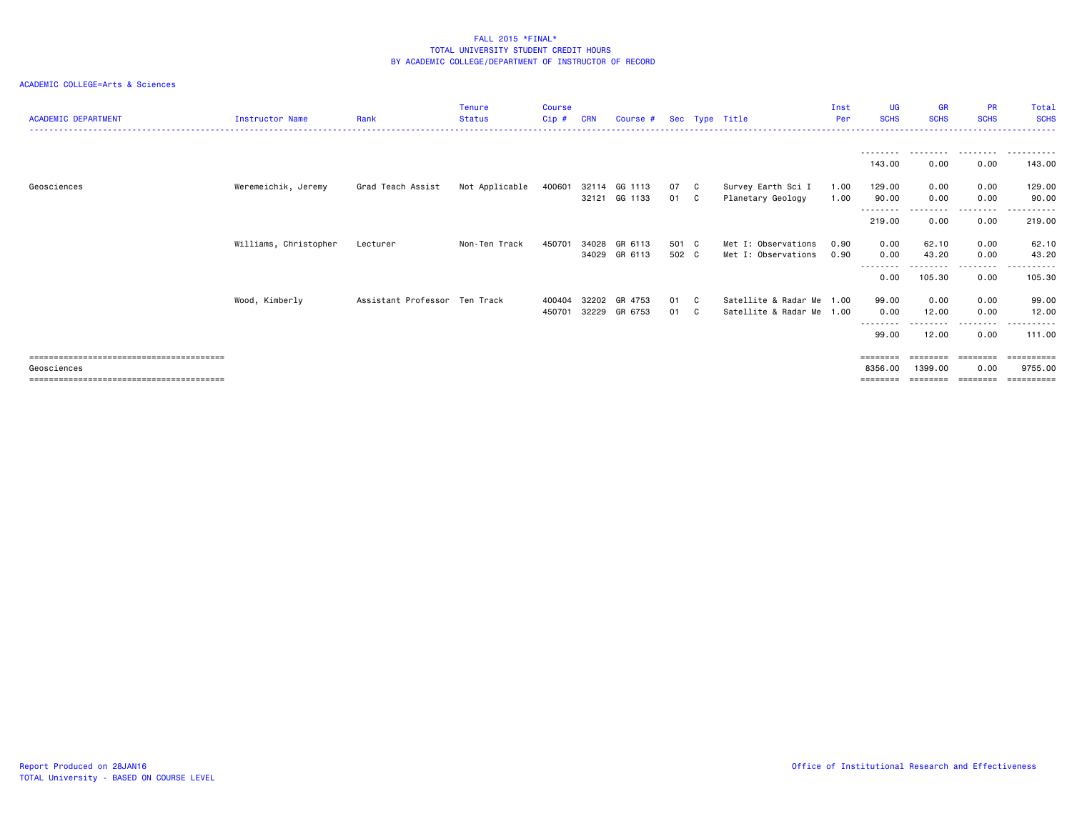| <b>ACADEMIC DEPARTMENT</b> | Instructor Name       | Rank                          | <b>Tenure</b><br><b>Status</b> | <b>Course</b><br>Cip # | <b>CRN</b>     | Course #                       |                | Sec Type Title                                         | Inst<br>Per  | <b>UG</b><br><b>SCHS</b>     | <b>GR</b><br><b>SCHS</b> | <b>PR</b><br><b>SCHS</b> | Total<br><b>SCHS</b>  |
|----------------------------|-----------------------|-------------------------------|--------------------------------|------------------------|----------------|--------------------------------|----------------|--------------------------------------------------------|--------------|------------------------------|--------------------------|--------------------------|-----------------------|
|                            |                       |                               |                                |                        |                |                                |                |                                                        |              | ---------<br>143.00          | . <i>.</i><br>0.00       | .<br>0.00                | .<br>143.00           |
| Geosciences                | Weremeichik, Jeremy   | Grad Teach Assist             | Not Applicable                 | 400601                 |                | 32114 GG 1113<br>32121 GG 1133 | 07 C<br>01 C   | Survey Earth Sci I<br>Planetary Geology                | 1.00<br>1.00 | 129.00<br>90.00              | 0.00<br>0.00             | 0.00<br>0.00             | 129.00<br>90.00       |
|                            |                       |                               |                                |                        |                |                                |                |                                                        |              | --------<br>219.00           | .<br>0.00                | --------<br>0.00         | .<br>219.00           |
|                            | Williams, Christopher | Lecturer                      | Non-Ten Track                  | 450701                 | 34028          | GR 6113<br>34029 GR 6113       | 501 C<br>502 C | Met I: Observations<br>Met I: Observations             | 0.90<br>0.90 | 0.00<br>0.00                 | 62.10<br>43.20           | 0.00<br>0.00             | 62.10<br>43.20        |
|                            |                       |                               |                                |                        |                |                                |                |                                                        |              | --------<br>0.00             | 105.30                   | --------<br>0.00         | ------<br>105.30      |
|                            | Wood, Kimberly        | Assistant Professor Ten Track |                                | 400404<br>450701       | 32202<br>32229 | GR 4753<br>GR 6753             | 01 C<br>01 C   | Satellite & Radar Me 1.00<br>Satellite & Radar Me 1.00 |              | 99.00<br>0.00                | 0.00<br>12.00            | 0.00<br>0.00             | 99.00<br>12.00        |
|                            |                       |                               |                                |                        |                |                                |                |                                                        |              | --------<br>99.00            | 12.00                    | --------<br>0.00         | ----------<br>111.00  |
| Geosciences                |                       |                               |                                |                        |                |                                |                |                                                        |              | $=$ = = = = = = =<br>8356.00 | ======<br>1399.00        | 0.00                     | ==========<br>9755.00 |
|                            |                       |                               |                                |                        |                |                                |                |                                                        |              | ========                     |                          | ========                 | ==========            |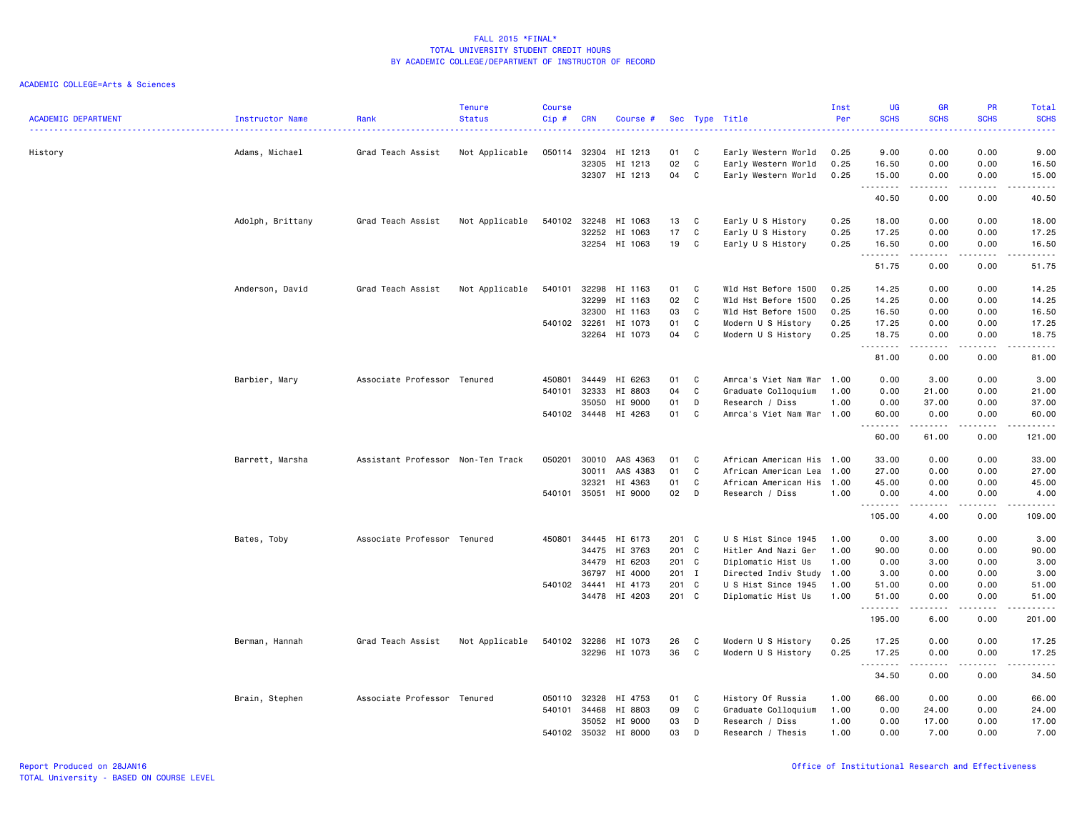| <b>ACADEMIC DEPARTMENT</b> | Instructor Name  | Rank                              | <b>Tenure</b><br><b>Status</b><br>. | <b>Course</b><br>Cip# | <b>CRN</b>   | Course #           |       |             | Sec Type Title                             | Inst<br>Per  | <b>UG</b><br><b>SCHS</b><br>. | <b>GR</b><br><b>SCHS</b>                                                                                                | PR<br><b>SCHS</b><br>$\frac{1}{2} \left( \frac{1}{2} \right) \left( \frac{1}{2} \right) \left( \frac{1}{2} \right) \left( \frac{1}{2} \right)$ | Total<br><b>SCHS</b><br>.                                                                                                                                     |
|----------------------------|------------------|-----------------------------------|-------------------------------------|-----------------------|--------------|--------------------|-------|-------------|--------------------------------------------|--------------|-------------------------------|-------------------------------------------------------------------------------------------------------------------------|------------------------------------------------------------------------------------------------------------------------------------------------|---------------------------------------------------------------------------------------------------------------------------------------------------------------|
|                            |                  |                                   |                                     |                       | 32304        |                    | 01    | C           |                                            |              | 9.00                          | 0.00                                                                                                                    | 0.00                                                                                                                                           | 9.00                                                                                                                                                          |
| History                    | Adams, Michael   | Grad Teach Assist                 | Not Applicable                      | 050114                | 32305        | HI 1213<br>HI 1213 | 02    | $\mathbf c$ | Early Western World<br>Early Western World | 0.25<br>0.25 | 16.50                         | 0.00                                                                                                                    | 0.00                                                                                                                                           | 16.50                                                                                                                                                         |
|                            |                  |                                   |                                     |                       | 32307        | HI 1213            | 04    | C           | Early Western World                        | 0.25         | 15.00                         | 0.00                                                                                                                    | 0.00                                                                                                                                           | 15.00                                                                                                                                                         |
|                            |                  |                                   |                                     |                       |              |                    |       |             |                                            |              | .                             |                                                                                                                         | $\sim$ $\sim$ $\sim$ $\sim$                                                                                                                    | $\frac{1}{2} \left( \frac{1}{2} \right) \left( \frac{1}{2} \right) \left( \frac{1}{2} \right) \left( \frac{1}{2} \right) \left( \frac{1}{2} \right)$          |
|                            |                  |                                   |                                     |                       |              |                    |       |             |                                            |              | 40.50                         | 0.00                                                                                                                    | 0.00                                                                                                                                           | 40.50                                                                                                                                                         |
|                            | Adolph, Brittany | Grad Teach Assist                 | Not Applicable                      | 540102                | 32248        | HI 1063            | 13    | C           | Early U S History                          | 0.25         | 18.00                         | 0.00                                                                                                                    | 0.00                                                                                                                                           | 18.00                                                                                                                                                         |
|                            |                  |                                   |                                     |                       | 32252        | HI 1063            | 17    | C           | Early U S History                          | 0.25         | 17.25                         | 0.00                                                                                                                    | 0.00                                                                                                                                           | 17.25                                                                                                                                                         |
|                            |                  |                                   |                                     |                       |              | 32254 HI 1063      | 19    | C           | Early U S History                          | 0.25         | 16.50<br>.                    | 0.00                                                                                                                    | 0.00<br>$\frac{1}{2} \left( \frac{1}{2} \right) \left( \frac{1}{2} \right) \left( \frac{1}{2} \right) \left( \frac{1}{2} \right)$              | 16.50<br>$\frac{1}{2} \left( \frac{1}{2} \right) \left( \frac{1}{2} \right) \left( \frac{1}{2} \right) \left( \frac{1}{2} \right) \left( \frac{1}{2} \right)$ |
|                            |                  |                                   |                                     |                       |              |                    |       |             |                                            |              | 51.75                         | 0.00                                                                                                                    | 0.00                                                                                                                                           | 51.75                                                                                                                                                         |
|                            | Anderson, David  | Grad Teach Assist                 | Not Applicable                      | 540101                | 32298        | HI 1163            | 01    | C           | Wld Hst Before 1500                        | 0.25         | 14.25                         | 0.00                                                                                                                    | 0.00                                                                                                                                           | 14.25                                                                                                                                                         |
|                            |                  |                                   |                                     |                       | 32299        | HI 1163            | 02    | C           | Wld Hst Before 1500                        | 0.25         | 14.25                         | 0.00                                                                                                                    | 0.00                                                                                                                                           | 14.25                                                                                                                                                         |
|                            |                  |                                   |                                     |                       | 32300        | HI 1163            | 03    | C           | Wld Hst Before 1500                        | 0.25         | 16.50                         | 0.00                                                                                                                    | 0.00                                                                                                                                           | 16.50                                                                                                                                                         |
|                            |                  |                                   |                                     | 540102 32261          |              | HI 1073            | 01    | C           | Modern U S History                         | 0.25         | 17.25                         | 0.00                                                                                                                    | 0.00                                                                                                                                           | 17.25                                                                                                                                                         |
|                            |                  |                                   |                                     |                       | 32264        | HI 1073            | 04    | C           | Modern U S History                         | 0.25         | 18.75<br>.                    | 0.00<br>.                                                                                                               | 0.00<br>.                                                                                                                                      | 18.75<br>.                                                                                                                                                    |
|                            |                  |                                   |                                     |                       |              |                    |       |             |                                            |              | 81.00                         | 0.00                                                                                                                    | 0.00                                                                                                                                           | 81.00                                                                                                                                                         |
|                            | Barbier, Mary    | Associate Professor Tenured       |                                     | 450801                | 34449        | HI 6263            | 01    | C           | Amrca's Viet Nam War                       | 1.00         | 0.00                          | 3.00                                                                                                                    | 0.00                                                                                                                                           | 3.00                                                                                                                                                          |
|                            |                  |                                   |                                     | 540101                | 32333        | HI 8803            | 04    | C           | Graduate Colloquium                        | 1.00         | 0.00                          | 21.00                                                                                                                   | 0.00                                                                                                                                           | 21.00                                                                                                                                                         |
|                            |                  |                                   |                                     |                       | 35050        | HI 9000            | 01    | D           | Research / Diss                            | 1.00         | 0.00                          | 37.00                                                                                                                   | 0.00                                                                                                                                           | 37.00                                                                                                                                                         |
|                            |                  |                                   |                                     | 540102 34448          |              | HI 4263            | 01    | C           | Amrca's Viet Nam War 1.00                  |              | 60.00                         | 0.00                                                                                                                    | 0.00                                                                                                                                           | 60.00                                                                                                                                                         |
|                            |                  |                                   |                                     |                       |              |                    |       |             |                                            |              | .<br>60.00                    | .<br>61.00                                                                                                              | .<br>0.00                                                                                                                                      | .<br>121.00                                                                                                                                                   |
|                            | Barrett, Marsha  | Assistant Professor Non-Ten Track |                                     | 050201                | 30010        | AAS 4363           | 01    | C.          | African American His                       | 1.00         | 33.00                         | 0.00                                                                                                                    | 0.00                                                                                                                                           | 33.00                                                                                                                                                         |
|                            |                  |                                   |                                     |                       | 30011        | AAS 4383           | 01    | C           | African American Lea                       | 1.00         | 27.00                         | 0.00                                                                                                                    | 0.00                                                                                                                                           | 27.00                                                                                                                                                         |
|                            |                  |                                   |                                     |                       | 32321        | HI 4363            | 01    | C           | African American His                       | 1.00         | 45.00                         | 0.00                                                                                                                    | 0.00                                                                                                                                           | 45.00                                                                                                                                                         |
|                            |                  |                                   |                                     | 540101                | 35051        | HI 9000            | 02    | D           | Research / Diss                            | 1.00         | 0.00                          | 4.00                                                                                                                    | 0.00                                                                                                                                           | 4.00                                                                                                                                                          |
|                            |                  |                                   |                                     |                       |              |                    |       |             |                                            |              | <u>.</u><br>105.00            | .<br>4.00                                                                                                               | .<br>0.00                                                                                                                                      | .<br>109.00                                                                                                                                                   |
|                            | Bates, Toby      | Associate Professor Tenured       |                                     |                       | 450801 34445 | HI 6173            | 201 C |             | U S Hist Since 1945                        | 1.00         | 0.00                          | 3.00                                                                                                                    | 0.00                                                                                                                                           | 3.00                                                                                                                                                          |
|                            |                  |                                   |                                     |                       | 34475        | HI 3763            | 201 C |             | Hitler And Nazi Ger                        | 1.00         | 90.00                         | 0.00                                                                                                                    | 0.00                                                                                                                                           | 90.00                                                                                                                                                         |
|                            |                  |                                   |                                     |                       | 34479        | HI 6203            | 201 C |             | Diplomatic Hist Us                         | 1.00         | 0.00                          | 3.00                                                                                                                    | 0.00                                                                                                                                           | 3.00                                                                                                                                                          |
|                            |                  |                                   |                                     |                       | 36797        | HI 4000            | 201 I |             | Directed Indiv Study 1.00                  |              | 3.00                          | 0.00                                                                                                                    | 0.00                                                                                                                                           | 3.00                                                                                                                                                          |
|                            |                  |                                   |                                     | 540102 34441          |              | HI 4173            | 201 C |             | U S Hist Since 1945                        | 1.00         | 51.00                         | 0.00                                                                                                                    | 0.00                                                                                                                                           | 51.00                                                                                                                                                         |
|                            |                  |                                   |                                     |                       |              | 34478 HI 4203      | 201 C |             | Diplomatic Hist Us                         | 1.00         | 51.00                         | 0.00                                                                                                                    | 0.00                                                                                                                                           | 51.00                                                                                                                                                         |
|                            |                  |                                   |                                     |                       |              |                    |       |             |                                            |              | .<br>195.00                   | .<br>6.00                                                                                                               | $\frac{1}{2}$<br>0.00                                                                                                                          | .<br>201.00                                                                                                                                                   |
|                            | Berman, Hannah   | Grad Teach Assist                 | Not Applicable                      | 540102 32286          |              | HI 1073            | 26    | C           | Modern U S History                         | 0.25         | 17.25                         | 0.00                                                                                                                    | 0.00                                                                                                                                           | 17.25                                                                                                                                                         |
|                            |                  |                                   |                                     |                       | 32296        | HI 1073            | 36    | C           | Modern U S History                         | 0.25         | 17.25                         | 0.00                                                                                                                    | 0.00                                                                                                                                           | 17.25                                                                                                                                                         |
|                            |                  |                                   |                                     |                       |              |                    |       |             |                                            |              | .<br>34.50                    | $\begin{array}{cccccccccccccc} \bullet & \bullet & \bullet & \bullet & \bullet & \bullet & \bullet \end{array}$<br>0.00 | .<br>0.00                                                                                                                                      | .<br>34.50                                                                                                                                                    |
|                            | Brain, Stephen   | Associate Professor Tenured       |                                     | 050110                | 32328        | HI 4753            | 01    | C           | History Of Russia                          | 1.00         | 66.00                         | 0.00                                                                                                                    | 0.00                                                                                                                                           | 66.00                                                                                                                                                         |
|                            |                  |                                   |                                     | 540101                | 34468        | HI 8803            | 09    | C           | Graduate Colloquium                        | 1.00         | 0.00                          | 24.00                                                                                                                   | 0.00                                                                                                                                           | 24.00                                                                                                                                                         |
|                            |                  |                                   |                                     |                       | 35052        | HI 9000            | 03    | D           | Research / Diss                            | 1.00         | 0.00                          | 17.00                                                                                                                   | 0.00                                                                                                                                           | 17.00                                                                                                                                                         |
|                            |                  |                                   |                                     | 540102                | 35032        | HI 8000            | 03    | D           | Research / Thesis                          | 1.00         | 0.00                          | 7.00                                                                                                                    | 0.00                                                                                                                                           | 7.00                                                                                                                                                          |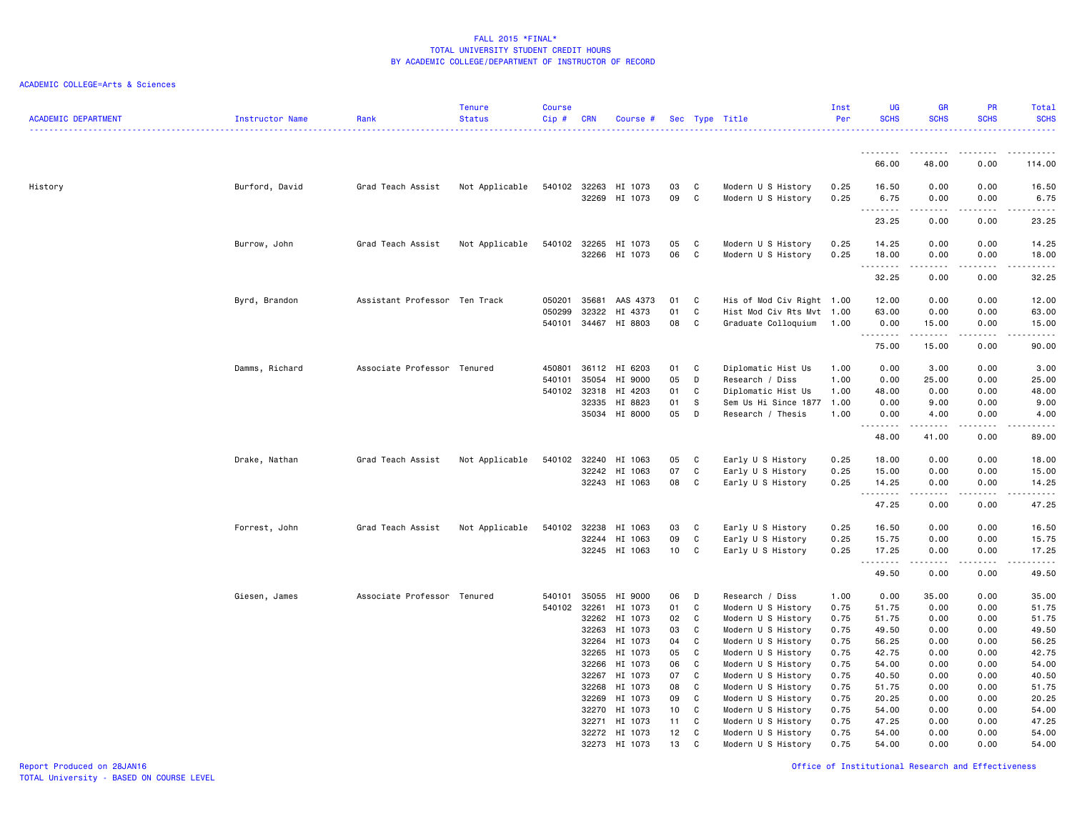| <b>ACADEMIC DEPARTMENT</b> | Instructor Name | Rank                          | <b>Tenure</b><br><b>Status</b> | <b>Course</b><br>Cip#      | <b>CRN</b>                       | Course #                                 |                      |                   | Sec Type Title                                                                      | Inst<br>Per                  | <b>UG</b><br><b>SCHS</b>      | <b>GR</b><br><b>SCHS</b>                                                                                                                                      | PR<br><b>SCHS</b>            | Total<br><b>SCHS</b>                                                                                                                                                  |
|----------------------------|-----------------|-------------------------------|--------------------------------|----------------------------|----------------------------------|------------------------------------------|----------------------|-------------------|-------------------------------------------------------------------------------------|------------------------------|-------------------------------|---------------------------------------------------------------------------------------------------------------------------------------------------------------|------------------------------|-----------------------------------------------------------------------------------------------------------------------------------------------------------------------|
|                            |                 |                               |                                |                            |                                  |                                          |                      |                   |                                                                                     |                              | <u>.</u>                      |                                                                                                                                                               | $   -$                       |                                                                                                                                                                       |
|                            |                 |                               |                                |                            |                                  |                                          |                      |                   |                                                                                     |                              | 66.00                         | 48.00                                                                                                                                                         | 0.00                         | 114.00                                                                                                                                                                |
| History                    | Burford, David  | Grad Teach Assist             | Not Applicable                 | 540102 32263               | 32269                            | HI 1073<br>HI 1073                       | 03<br>09             | C<br>C            | Modern U S History<br>Modern U S History                                            | 0.25<br>0.25                 | 16.50<br>6.75<br>.            | 0.00<br>0.00                                                                                                                                                  | 0.00<br>0.00<br>د د د د      | 16.50<br>6.75<br>$\frac{1}{2} \left( \frac{1}{2} \right) \left( \frac{1}{2} \right) \left( \frac{1}{2} \right) \left( \frac{1}{2} \right) \left( \frac{1}{2} \right)$ |
|                            |                 |                               |                                |                            |                                  |                                          |                      |                   |                                                                                     |                              | 23.25                         | -----<br>0.00                                                                                                                                                 | 0.00                         | 23.25                                                                                                                                                                 |
|                            | Burrow, John    | Grad Teach Assist             | Not Applicable                 | 540102                     | 32265<br>32266                   | HI 1073<br>HI 1073                       | 05<br>06             | C<br>C            | Modern U S History<br>Modern U S History                                            | 0.25<br>0.25                 | 14.25<br>18.00                | 0.00<br>0.00                                                                                                                                                  | 0.00<br>0.00                 | 14.25<br>18.00                                                                                                                                                        |
|                            |                 |                               |                                |                            |                                  |                                          |                      |                   |                                                                                     |                              | .<br>32.25                    | -----<br>0.00                                                                                                                                                 | .<br>0.00                    | .<br>32.25                                                                                                                                                            |
|                            | Byrd, Brandon   | Assistant Professor Ten Track |                                | 050201<br>050299           | 35681<br>32322                   | AAS 4373<br>HI 4373                      | 01<br>01             | C<br>C            | His of Mod Civ Right 1.00<br>Hist Mod Civ Rts Mvt 1.00                              |                              | 12.00<br>63.00                | 0.00<br>0.00                                                                                                                                                  | 0.00<br>0.00                 | 12.00<br>63.00                                                                                                                                                        |
|                            |                 |                               |                                | 540101                     | 34467                            | HI 8803                                  | 08                   | C                 | Graduate Colloquium                                                                 | 1.00                         | 0.00<br>.                     | 15.00<br>-----                                                                                                                                                | 0.00<br>.                    | 15.00<br>د د د د د                                                                                                                                                    |
|                            |                 |                               |                                |                            |                                  |                                          |                      |                   |                                                                                     |                              | 75.00                         | 15.00                                                                                                                                                         | 0.00                         | 90.00                                                                                                                                                                 |
|                            | Damms, Richard  | Associate Professor Tenured   |                                | 450801<br>540101<br>540102 | 36112<br>35054<br>32318<br>32335 | HI 6203<br>HI 9000<br>HI 4203<br>HI 8823 | 01<br>05<br>01<br>01 | C<br>D<br>C<br>-S | Diplomatic Hist Us<br>Research / Diss<br>Diplomatic Hist Us<br>Sem Us Hi Since 1877 | 1.00<br>1.00<br>1.00<br>1.00 | 0.00<br>0.00<br>48.00<br>0.00 | 3.00<br>25.00<br>0.00<br>9.00                                                                                                                                 | 0.00<br>0.00<br>0.00<br>0.00 | 3.00<br>25.00<br>48.00<br>9.00                                                                                                                                        |
|                            |                 |                               |                                |                            |                                  | 35034 HI 8000                            | 05                   | D                 | Research / Thesis                                                                   | 1.00                         | 0.00                          | 4.00                                                                                                                                                          | 0.00                         | 4.00                                                                                                                                                                  |
|                            |                 |                               |                                |                            |                                  |                                          |                      |                   |                                                                                     |                              | .<br>48.00                    | $\frac{1}{2} \left( \frac{1}{2} \right) \left( \frac{1}{2} \right) \left( \frac{1}{2} \right) \left( \frac{1}{2} \right) \left( \frac{1}{2} \right)$<br>41.00 | .<br>0.00                    | -----<br>89.00                                                                                                                                                        |
|                            | Drake, Nathan   | Grad Teach Assist             | Not Applicable                 | 540102                     | 32240<br>32242                   | HI 1063<br>HI 1063<br>32243 HI 1063      | 05<br>07<br>08       | C<br>C<br>C       | Early U S History<br>Early U S History<br>Early U S History                         | 0.25<br>0.25<br>0.25         | 18.00<br>15.00<br>14.25       | 0.00<br>0.00<br>0.00                                                                                                                                          | 0.00<br>0.00<br>0.00         | 18.00<br>15.00<br>14.25                                                                                                                                               |
|                            |                 |                               |                                |                            |                                  |                                          |                      |                   |                                                                                     |                              | .<br>47.25                    | .<br>0.00                                                                                                                                                     | $- - - -$<br>0.00            | $- - - -$<br>47.25                                                                                                                                                    |
|                            | Forrest, John   | Grad Teach Assist             | Not Applicable                 | 540102 32238               | 32244                            | HI 1063<br>HI 1063<br>32245 HI 1063      | 03<br>09<br>10       | C<br>C<br>C       | Early U S History<br>Early U S History<br>Early U S History                         | 0.25<br>0.25<br>0.25         | 16.50<br>15.75<br>17.25       | 0.00<br>0.00<br>0.00                                                                                                                                          | 0.00<br>0.00<br>0.00         | 16.50<br>15.75<br>17.25                                                                                                                                               |
|                            |                 |                               |                                |                            |                                  |                                          |                      |                   |                                                                                     |                              | <u>.</u><br>49.50             | .<br>0.00                                                                                                                                                     | .<br>0.00                    | .<br>49.50                                                                                                                                                            |
|                            | Giesen, James   | Associate Professor Tenured   |                                | 540101<br>540102 32261     | 35055                            | HI 9000<br>HI 1073                       | 06<br>01             | D<br>C            | Research / Diss<br>Modern U S History                                               | 1.00<br>0.75                 | 0.00<br>51.75                 | 35.00<br>0.00                                                                                                                                                 | 0.00<br>0.00                 | 35.00<br>51.75                                                                                                                                                        |
|                            |                 |                               |                                |                            | 32262                            | HI 1073<br>HI 1073                       | 02<br>03             | C<br>C            | Modern U S History                                                                  | 0.75                         | 51.75<br>49.50                | 0.00                                                                                                                                                          | 0.00                         | 51.75<br>49.50                                                                                                                                                        |
|                            |                 |                               |                                |                            | 32263<br>32264                   | HI 1073                                  | 04                   | C                 | Modern U S History<br>Modern U S History                                            | 0.75<br>0.75                 | 56.25                         | 0.00<br>0.00                                                                                                                                                  | 0.00<br>0.00                 | 56.25                                                                                                                                                                 |
|                            |                 |                               |                                |                            | 32265                            | HI 1073                                  | 05                   | C                 | Modern U S History                                                                  | 0.75                         | 42.75                         | 0.00                                                                                                                                                          | 0.00                         | 42.75                                                                                                                                                                 |
|                            |                 |                               |                                |                            | 32266                            | HI 1073                                  | 06                   | C                 | Modern U S History                                                                  | 0.75                         | 54.00                         | 0.00                                                                                                                                                          | 0.00                         | 54.00                                                                                                                                                                 |
|                            |                 |                               |                                |                            | 32267                            | HI 1073                                  | 07                   | C                 | Modern U S History                                                                  | 0.75                         | 40.50                         | 0.00                                                                                                                                                          | 0.00                         | 40.50                                                                                                                                                                 |
|                            |                 |                               |                                |                            | 32268<br>32269                   | HI 1073<br>HI 1073                       | 08                   | C                 | Modern U S History                                                                  | 0.75<br>0.75                 | 51.75                         | 0.00                                                                                                                                                          | 0.00                         | 51.75                                                                                                                                                                 |
|                            |                 |                               |                                |                            | 32270                            | HI 1073                                  | 09<br>10             | C<br>C            | Modern U S History<br>Modern U S History                                            | 0.75                         | 20.25<br>54.00                | 0.00<br>0.00                                                                                                                                                  | 0.00<br>0.00                 | 20.25<br>54.00                                                                                                                                                        |
|                            |                 |                               |                                |                            | 32271                            | HI 1073                                  | 11                   | C                 | Modern U S History                                                                  | 0.75                         | 47.25                         | 0.00                                                                                                                                                          | 0.00                         | 47.25                                                                                                                                                                 |
|                            |                 |                               |                                |                            | 32272                            | HI 1073                                  | 12                   | C                 | Modern U S History                                                                  | 0.75                         | 54.00                         | 0.00                                                                                                                                                          | 0.00                         | 54.00                                                                                                                                                                 |
|                            |                 |                               |                                |                            |                                  | 32273 HI 1073                            | 13                   | C                 | Modern U S History                                                                  | 0.75                         | 54.00                         | 0.00                                                                                                                                                          | 0.00                         | 54.00                                                                                                                                                                 |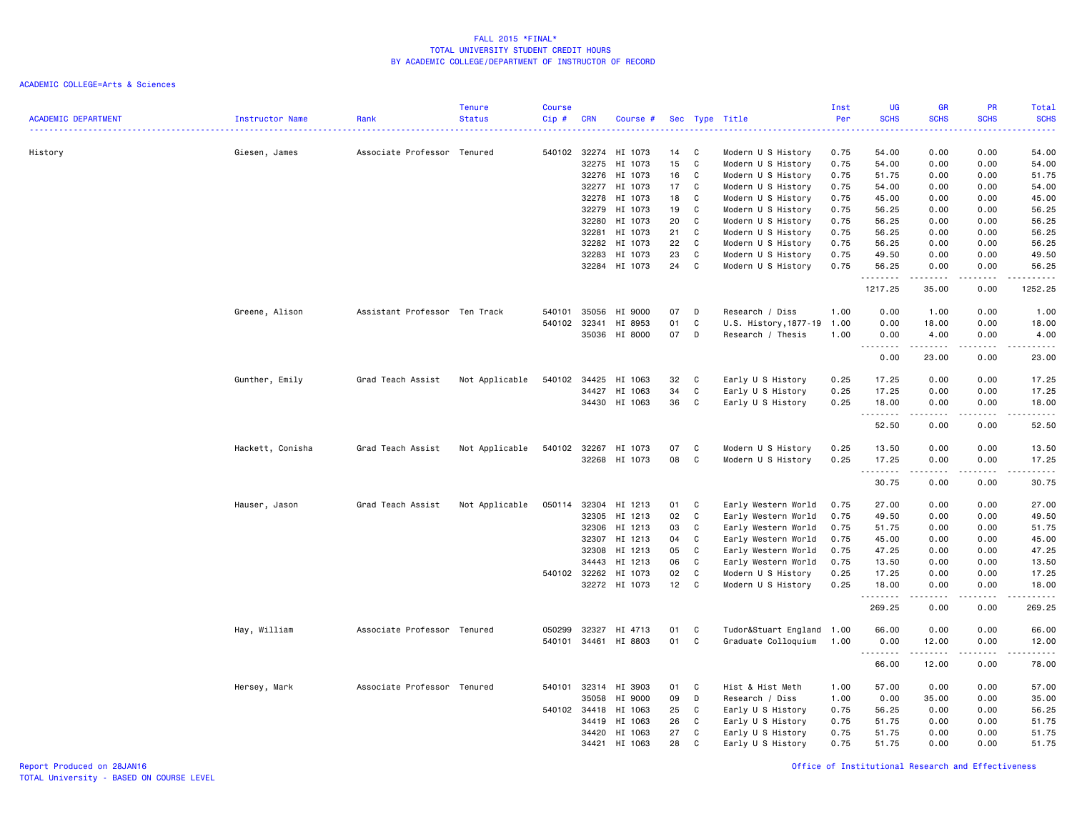| <b>ACADEMIC DEPARTMENT</b> | <b>Instructor Name</b> | Rank                          | <b>Tenure</b><br><b>Status</b> | <b>Course</b><br>Cip# | <b>CRN</b>     | Course #             |          |             | Sec Type Title                       | Inst<br>Per  | <b>UG</b><br><b>SCHS</b><br>$   -$ | <b>GR</b><br><b>SCHS</b> | <b>PR</b><br><b>SCHS</b> | <b>Total</b><br><b>SCHS</b><br>$\frac{1}{2} \left( \frac{1}{2} \right) \left( \frac{1}{2} \right) \left( \frac{1}{2} \right) \left( \frac{1}{2} \right)$ |
|----------------------------|------------------------|-------------------------------|--------------------------------|-----------------------|----------------|----------------------|----------|-------------|--------------------------------------|--------------|------------------------------------|--------------------------|--------------------------|----------------------------------------------------------------------------------------------------------------------------------------------------------|
| History                    | Giesen, James          | Associate Professor Tenured   |                                | 540102                | 32274          | HI 1073              | 14       | C           | Modern U S History                   | 0.75         | 54.00                              | 0.00                     | 0.00                     | 54.00                                                                                                                                                    |
|                            |                        |                               |                                |                       | 32275          | HI 1073              | 15       | C           | Modern U S History                   | 0.75         | 54.00                              | 0.00                     | 0.00                     | 54.00                                                                                                                                                    |
|                            |                        |                               |                                |                       | 32276          | HI 1073              | 16       | C           | Modern U S History                   | 0.75         | 51.75                              | 0.00                     | 0.00                     | 51.75                                                                                                                                                    |
|                            |                        |                               |                                |                       | 32277          | HI 1073              | 17       | C           | Modern U S History                   | 0.75         | 54.00                              | 0.00                     | 0.00                     | 54.00                                                                                                                                                    |
|                            |                        |                               |                                |                       | 32278          | HI 1073              | 18       | C           | Modern U S History                   | 0.75         | 45.00                              | 0.00                     | 0.00                     | 45.00                                                                                                                                                    |
|                            |                        |                               |                                |                       | 32279          | HI 1073              | 19       | C           | Modern U S History                   | 0.75         | 56.25                              | 0.00                     | 0.00                     | 56.25                                                                                                                                                    |
|                            |                        |                               |                                |                       | 32280          | HI 1073              | 20       | C           | Modern U S History                   | 0.75         | 56.25                              | 0.00                     | 0.00                     | 56.25                                                                                                                                                    |
|                            |                        |                               |                                |                       | 32281          | HI 1073              | 21       | C           | Modern U S History                   | 0.75         | 56.25                              | 0.00                     | 0.00                     | 56.25                                                                                                                                                    |
|                            |                        |                               |                                |                       | 32282          | HI 1073              | 22       | C           | Modern U S History                   | 0.75         | 56.25                              | 0.00                     | 0.00                     | 56.25                                                                                                                                                    |
|                            |                        |                               |                                |                       | 32283          | HI 1073              | 23       | C           | Modern U S History                   | 0.75         | 49.50                              | 0.00                     | 0.00                     | 49.50                                                                                                                                                    |
|                            |                        |                               |                                |                       |                | 32284 HI 1073        | 24       | C           | Modern U S History                   | 0.75         | 56.25<br>.                         | 0.00<br>.                | 0.00<br>.                | 56.25                                                                                                                                                    |
|                            |                        |                               |                                |                       |                |                      |          |             |                                      |              | 1217.25                            | 35.00                    | 0.00                     | 1252.25                                                                                                                                                  |
|                            | Greene, Alison         | Assistant Professor Ten Track |                                | 540101                | 35056          | HI 9000              | 07       | D           | Research / Diss                      | 1.00         | 0.00                               | 1.00                     | 0.00                     | 1.00                                                                                                                                                     |
|                            |                        |                               |                                | 540102                | 32341          | HI 8953              | 01       | C           | U.S. History, 1877-19                | 1.00         | 0.00                               | 18.00                    | 0.00                     | 18.00                                                                                                                                                    |
|                            |                        |                               |                                |                       |                | 35036 HI 8000        | 07       | D           | Research / Thesis                    | 1.00         | 0.00                               | 4.00<br>$\cdots$         | 0.00<br>. <b>.</b>       | 4.00<br>.                                                                                                                                                |
|                            |                        |                               |                                |                       |                |                      |          |             |                                      |              | 0.00                               | 23.00                    | 0.00                     | 23.00                                                                                                                                                    |
|                            | Gunther, Emily         | Grad Teach Assist             | Not Applicable                 | 540102                | 34425          | HI 1063              | 32       | C           | Early U S History                    | 0.25         | 17.25                              | 0.00                     | 0.00                     | 17.25                                                                                                                                                    |
|                            |                        |                               |                                |                       | 34427          | HI 1063              | 34       | C           | Early U S History                    | 0.25         | 17.25                              | 0.00                     | 0.00                     | 17.25                                                                                                                                                    |
|                            |                        |                               |                                |                       |                | 34430 HI 1063        | 36       | C           | Early U S History                    | 0.25         | 18.00<br>.                         | 0.00                     | 0.00                     | 18.00<br>$\omega$ is a set                                                                                                                               |
|                            |                        |                               |                                |                       |                |                      |          |             |                                      |              | 52.50                              | 0.00                     | 0.00                     | 52.50                                                                                                                                                    |
|                            | Hackett, Conisha       | Grad Teach Assist             | Not Applicable                 | 540102                | 32267          | HI 1073              | 07       | C           | Modern U S History                   | 0.25         | 13.50                              | 0.00                     | 0.00                     | 13.50                                                                                                                                                    |
|                            |                        |                               |                                |                       |                | 32268 HI 1073        | 08       | C           | Modern U S History                   | 0.25         | 17.25<br>.                         | 0.00<br>.                | 0.00<br>.                | 17.25<br>.                                                                                                                                               |
|                            |                        |                               |                                |                       |                |                      |          |             |                                      |              | 30.75                              | 0.00                     | 0.00                     | 30.75                                                                                                                                                    |
|                            | Hauser, Jason          | Grad Teach Assist             | Not Applicable                 | 050114                | 32304          | HI 1213              | 01       | C           | Early Western World                  | 0.75         | 27.00                              | 0.00                     | 0.00                     | 27.00                                                                                                                                                    |
|                            |                        |                               |                                |                       | 32305          | HI 1213              | 02       | C           | Early Western World                  | 0.75         | 49.50                              | 0.00                     | 0.00                     | 49.50                                                                                                                                                    |
|                            |                        |                               |                                |                       |                | 32306 HI 1213        | 03       | C           | Early Western World                  | 0.75         | 51.75                              | 0.00                     | 0.00                     | 51.75                                                                                                                                                    |
|                            |                        |                               |                                |                       |                | 32307 HI 1213        | 04       | C           | Early Western World                  | 0.75         | 45.00                              | 0.00                     | 0.00                     | 45.00                                                                                                                                                    |
|                            |                        |                               |                                |                       | 32308          | HI 1213              | 05       | C           | Early Western World                  | 0.75         | 47.25                              | 0.00                     | 0.00                     | 47.25                                                                                                                                                    |
|                            |                        |                               |                                |                       | 34443          | HI 1213              | 06       | C           | Early Western World                  | 0.75         | 13.50                              | 0.00                     | 0.00                     | 13.50                                                                                                                                                    |
|                            |                        |                               |                                |                       | 540102 32262   | HI 1073              | 02       | C           | Modern U S History                   | 0.25         | 17.25                              | 0.00                     | 0.00                     | 17.25                                                                                                                                                    |
|                            |                        |                               |                                |                       |                | 32272 HI 1073        | 12       | $\mathbf C$ | Modern U S History                   | 0.25         | 18.00<br>.                         | 0.00<br>.                | 0.00<br>.                | 18.00<br>.                                                                                                                                               |
|                            |                        |                               |                                |                       |                |                      |          |             |                                      |              | 269.25                             | 0.00                     | 0.00                     | 269.25                                                                                                                                                   |
|                            | Hay, William           | Associate Professor Tenured   |                                | 050299                | 32327          | HI 4713              | 01       | C           | Tudor&Stuart England                 | 1.00         | 66.00                              | 0.00                     | 0.00                     | 66.00                                                                                                                                                    |
|                            |                        |                               |                                | 540101                | 34461          | HI 8803              | 01       | C           | Graduate Colloquium                  | 1.00         | 0.00                               | 12.00                    | 0.00                     | 12.00                                                                                                                                                    |
|                            |                        |                               |                                |                       |                |                      |          |             |                                      |              | <u>.</u><br>66.00                  | . <u>.</u>               | .<br>0.00                | .<br>78.00                                                                                                                                               |
|                            |                        | Associate Professor Tenured   |                                |                       |                | 540101 32314 HI 3903 | 01       | C           | Hist & Hist Meth                     |              | 57.00                              | 12.00<br>0.00            | 0.00                     | 57.00                                                                                                                                                    |
|                            | Hersey, Mark           |                               |                                |                       |                |                      |          |             |                                      | 1.00         |                                    |                          |                          |                                                                                                                                                          |
|                            |                        |                               |                                | 540102                | 35058<br>34418 | HI 9000<br>HI 1063   | 09<br>25 | D<br>C      | Research / Diss<br>Early U S History | 1.00<br>0.75 | 0.00<br>56.25                      | 35.00<br>0.00            | 0.00<br>0.00             | 35.00<br>56.25                                                                                                                                           |
|                            |                        |                               |                                |                       | 34419          | HI 1063              | 26       | C           | Early U S History                    | 0.75         | 51.75                              | 0.00                     | 0.00                     | 51.75                                                                                                                                                    |
|                            |                        |                               |                                |                       | 34420          | HI 1063              | 27       | C           | Early U S History                    | 0.75         | 51.75                              | 0.00                     | 0.00                     | 51.75                                                                                                                                                    |
|                            |                        |                               |                                |                       | 34421          | HI 1063              | 28       | C           | Early U S History                    | 0.75         | 51.75                              | 0.00                     | 0.00                     | 51.75                                                                                                                                                    |
|                            |                        |                               |                                |                       |                |                      |          |             |                                      |              |                                    |                          |                          |                                                                                                                                                          |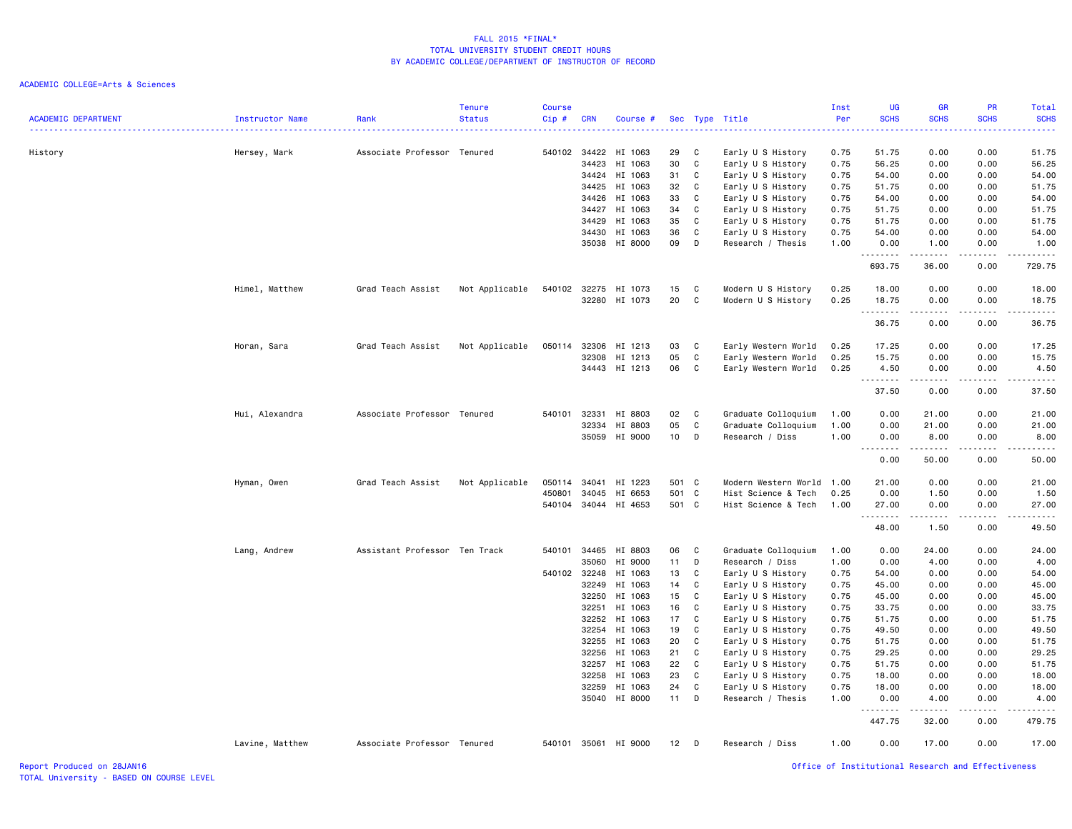ACADEMIC COLLEGE=Arts & Sciences

| <b>ACADEMIC DEPARTMENT</b> | Instructor Name | Rank                          | <b>Tenure</b><br><b>Status</b> | <b>Course</b><br>Cip# | <b>CRN</b>     | Course #             |          |              | Sec Type Title       | Inst<br>Per  | UG<br><b>SCHS</b>   | GR<br><b>SCHS</b> | PR<br><b>SCHS</b> | <b>Total</b><br><b>SCHS</b> |
|----------------------------|-----------------|-------------------------------|--------------------------------|-----------------------|----------------|----------------------|----------|--------------|----------------------|--------------|---------------------|-------------------|-------------------|-----------------------------|
|                            |                 |                               |                                |                       |                |                      |          |              |                      |              |                     |                   |                   |                             |
| History                    | Hersey, Mark    | Associate Professor Tenured   |                                | 540102                | 34422          | HI 1063              | 29       | C            | Early U S History    | 0.75         | 51.75               | 0.00              | 0.00              | 51.75                       |
|                            |                 |                               |                                |                       | 34423          | HI 1063              | 30       | C            | Early U S History    | 0.75         | 56.25               | 0.00              | 0.00              | 56.25                       |
|                            |                 |                               |                                |                       | 34424          | HI 1063              | 31       | C            | Early U S History    | 0.75         | 54.00               | 0.00              | 0.00              | 54.00                       |
|                            |                 |                               |                                |                       | 34425          | HI 1063              | 32       | C            | Early U S History    | 0.75         | 51.75               | 0.00              | 0.00              | 51.75                       |
|                            |                 |                               |                                |                       | 34426          | HI 1063              | 33       | C            | Early U S History    | 0.75         | 54.00               | 0.00              | 0.00              | 54.00                       |
|                            |                 |                               |                                |                       | 34427          | HI 1063              | 34       | C            | Early U S History    | 0.75         | 51.75               | 0.00              | 0.00              | 51.75                       |
|                            |                 |                               |                                |                       | 34429          | HI 1063              | 35       | C            | Early U S History    | 0.75         | 51.75               | 0.00              | 0.00              | 51.75                       |
|                            |                 |                               |                                |                       | 34430          | HI 1063              | 36       | C            | Early U S History    | 0.75         | 54.00               | 0.00              | 0.00              | 54.00                       |
|                            |                 |                               |                                |                       | 35038          | HI 8000              | 09       | D            | Research / Thesis    | 1.00         | 0.00<br>.           | 1.00<br>.         | 0.00<br>.         | 1.00<br>.                   |
|                            |                 |                               |                                |                       |                |                      |          |              |                      |              | 693.75              | 36.00             | 0.00              | 729.75                      |
|                            | Himel, Matthew  | Grad Teach Assist             | Not Applicable                 |                       | 540102 32275   | HI 1073              | 15       | C            | Modern U S History   | 0.25         | 18.00               | 0.00              | 0.00              | 18.00                       |
|                            |                 |                               |                                |                       | 32280          | HI 1073              | 20       | C            | Modern U S History   | 0.25         | 18.75<br>.          | 0.00<br>.         | 0.00<br>.         | 18.75<br>.                  |
|                            |                 |                               |                                |                       |                |                      |          |              |                      |              | 36.75               | 0.00              | 0.00              | 36.75                       |
|                            | Horan, Sara     | Grad Teach Assist             | Not Applicable                 | 050114                | 32306          | HI 1213              | 03       | C            | Early Western World  | 0.25         | 17.25               | 0.00              | 0.00              | 17.25                       |
|                            |                 |                               |                                |                       | 32308          | HI 1213              | 05       | C            | Early Western World  | 0.25         | 15.75               | 0.00              | 0.00              | 15.75                       |
|                            |                 |                               |                                |                       |                | 34443 HI 1213        | 06       | C            | Early Western World  | 0.25         | 4.50                | 0.00              | 0.00              | 4.50                        |
|                            |                 |                               |                                |                       |                |                      |          |              |                      |              | . <b>.</b><br>37.50 | .<br>0.00         | .<br>0.00         | .<br>37.50                  |
|                            |                 |                               |                                |                       |                |                      |          |              |                      |              |                     |                   |                   |                             |
|                            | Hui, Alexandra  | Associate Professor Tenured   |                                | 540101                | 32331          | HI 8803              | 02       | C            | Graduate Colloquium  | 1.00         | 0.00                | 21.00             | 0.00              | 21.00                       |
|                            |                 |                               |                                |                       | 32334          | HI 8803              | 05       | $\mathtt{C}$ | Graduate Colloquium  | 1.00         | 0.00                | 21.00             | 0.00              | 21.00                       |
|                            |                 |                               |                                |                       | 35059          | HI 9000              | 10       | D            | Research / Diss      | 1.00         | 0.00<br>. <b>.</b>  | 8.00<br>.         | 0.00<br>.         | 8.00<br>د د د د د           |
|                            |                 |                               |                                |                       |                |                      |          |              |                      |              | 0.00                | 50.00             | 0.00              | 50.00                       |
|                            | Hyman, Owen     | Grad Teach Assist             | Not Applicable                 |                       | 050114 34041   | HI 1223              | 501 C    |              | Modern Western World | 1.00         | 21.00               | 0.00              | 0.00              | 21.00                       |
|                            |                 |                               |                                | 450801                | 34045          | HI 6653              | 501 C    |              | Hist Science & Tech  | 0.25         | 0.00                | 1.50              | 0.00              | 1.50                        |
|                            |                 |                               |                                | 540104                | 34044          | HI 4653              | 501 C    |              | Hist Science & Tech  | 1.00         | 27.00               | 0.00              | 0.00              | 27.00                       |
|                            |                 |                               |                                |                       |                |                      |          |              |                      |              | 48.00               | 1.50              | 0.00              | 49.50                       |
|                            | Lang, Andrew    | Assistant Professor Ten Track |                                | 540101                | 34465          | HI 8803              | 06       | C            | Graduate Colloquium  | 1.00         | 0.00                | 24.00             | 0.00              | 24.00                       |
|                            |                 |                               |                                |                       | 35060          | HI 9000              | 11       | D            | Research / Diss      | 1.00         | 0.00                | 4.00              | 0.00              | 4.00                        |
|                            |                 |                               |                                | 540102                | 32248          | HI 1063              | 13       | C            | Early U S History    | 0.75         | 54.00               | 0.00              | 0.00              | 54.00                       |
|                            |                 |                               |                                |                       | 32249          | HI 1063              | 14       | C            | Early U S History    | 0.75         | 45.00               | 0.00              | 0.00              | 45.00                       |
|                            |                 |                               |                                |                       | 32250          | HI 1063              | 15       | C            | Early U S History    | 0.75         | 45.00               | 0.00              | 0.00              | 45.00                       |
|                            |                 |                               |                                |                       | 32251          | HI 1063              | 16       | C            | Early U S History    | 0.75         | 33.75               | 0.00              | 0.00              | 33.75                       |
|                            |                 |                               |                                |                       | 32252          | HI 1063              | 17       | C            | Early U S History    | 0.75         | 51.75               | 0.00              | 0.00              | 51.75                       |
|                            |                 |                               |                                |                       | 32254          | HI 1063              | 19       | C            | Early U S History    | 0.75         | 49.50               | 0.00              | 0.00              | 49.50                       |
|                            |                 |                               |                                |                       | 32255          | HI 1063              | 20       | C            | Early U S History    | 0.75         | 51.75               | 0.00              | 0.00              | 51.75                       |
|                            |                 |                               |                                |                       | 32256          | HI 1063              | 21       | C            | Early U S History    | 0.75         | 29.25               | 0.00              | 0.00              | 29.25                       |
|                            |                 |                               |                                |                       | 32257          | HI 1063              | 22       | C            | Early U S History    | 0.75         | 51.75               | 0.00              | 0.00              | 51.75                       |
|                            |                 |                               |                                |                       | 32258          | HI 1063              | 23       | C            | Early U S History    | 0.75         | 18.00               | 0.00              | 0.00              | 18.00                       |
|                            |                 |                               |                                |                       | 32259<br>35040 | HI 1063<br>HI 8000   | 24<br>11 | C<br>D       | Early U S History    | 0.75<br>1.00 | 18.00<br>0.00       | 0.00              | 0.00<br>0.00      | 18.00<br>4.00               |
|                            |                 |                               |                                |                       |                |                      |          |              | Research / Thesis    |              | .                   | 4.00              |                   | .                           |
|                            |                 |                               |                                |                       |                |                      |          |              |                      |              | 447.75              | 32.00             | 0.00              | 479.75                      |
|                            | Lavine, Matthew | Associate Professor Tenured   |                                |                       |                | 540101 35061 HI 9000 | 12       | <b>D</b>     | Research / Diss      | 1.00         | 0.00                | 17.00             | 0.00              | 17.00                       |

Report Produced on 28JAN16 Office of Institutional Research and Effectiveness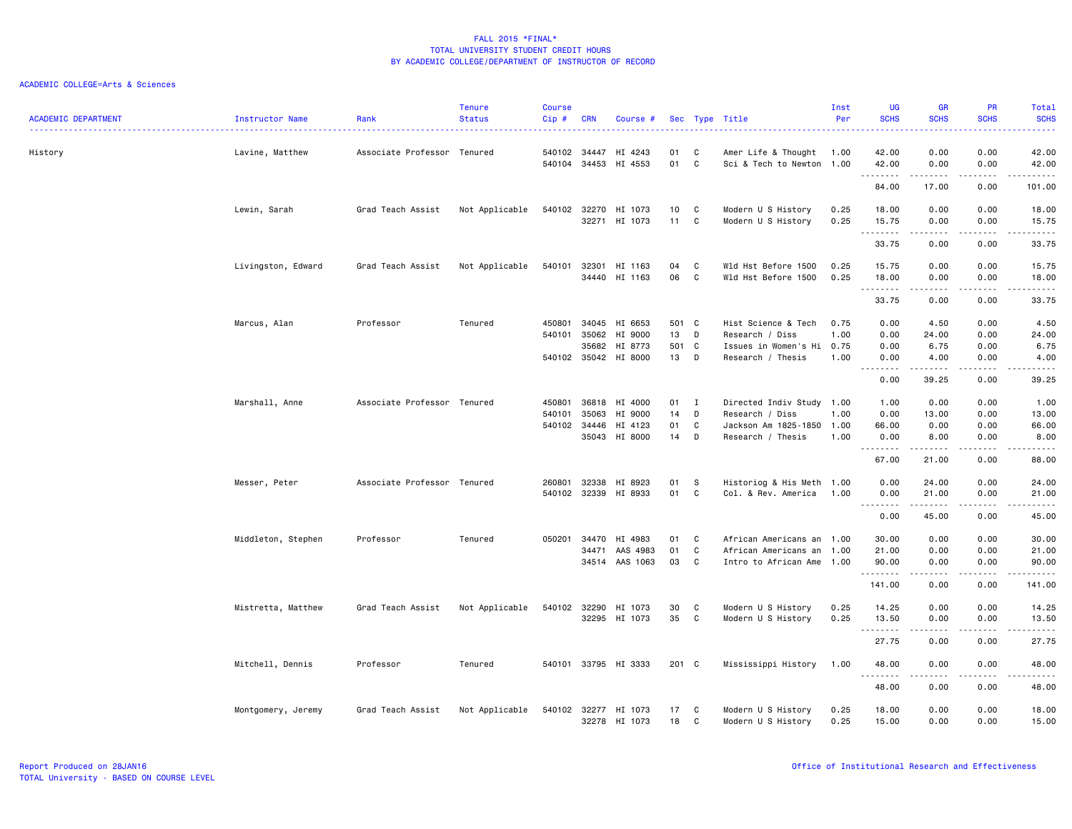|                            |                    |                             | <b>Tenure</b>  | <b>Course</b> |              |                          |          |              |                                            | Inst         | <b>UG</b>          | <b>GR</b><br><b>SCHS</b>                                                                                                                                      | PR<br><b>SCHS</b>                                                                                                         | Total                                                                                                                                                         |
|----------------------------|--------------------|-----------------------------|----------------|---------------|--------------|--------------------------|----------|--------------|--------------------------------------------|--------------|--------------------|---------------------------------------------------------------------------------------------------------------------------------------------------------------|---------------------------------------------------------------------------------------------------------------------------|---------------------------------------------------------------------------------------------------------------------------------------------------------------|
| <b>ACADEMIC DEPARTMENT</b> | Instructor Name    | Rank                        | <b>Status</b>  | Cip#          | <b>CRN</b>   | Course #                 |          |              | Sec Type Title                             | Per          | <b>SCHS</b>        |                                                                                                                                                               |                                                                                                                           | <b>SCHS</b><br>بالمحامية                                                                                                                                      |
| History                    | Lavine, Matthew    | Associate Professor Tenured |                | 540102        | 34447        | HI 4243                  | 01       | C            | Amer Life & Thought 1.00                   |              | 42.00              | 0.00                                                                                                                                                          | 0.00                                                                                                                      | 42.00                                                                                                                                                         |
|                            |                    |                             |                | 540104        | 34453        | HI 4553                  | 01       | C            | Sci & Tech to Newton 1.00                  |              | 42.00              | 0.00                                                                                                                                                          | 0.00                                                                                                                      | 42.00                                                                                                                                                         |
|                            |                    |                             |                |               |              |                          |          |              |                                            |              | .<br>84.00         | $\frac{1}{2} \left( \frac{1}{2} \right) \left( \frac{1}{2} \right) \left( \frac{1}{2} \right) \left( \frac{1}{2} \right) \left( \frac{1}{2} \right)$<br>17.00 | د د د د<br>0.00                                                                                                           | .<br>101.00                                                                                                                                                   |
|                            |                    |                             |                |               |              |                          |          |              |                                            |              |                    |                                                                                                                                                               |                                                                                                                           |                                                                                                                                                               |
|                            | Lewin, Sarah       | Grad Teach Assist           | Not Applicable | 540102        | 32270        | HI 1073<br>32271 HI 1073 | 10<br>11 | C<br>C       | Modern U S History<br>Modern U S History   | 0.25<br>0.25 | 18.00<br>15.75     | 0.00<br>0.00                                                                                                                                                  | 0.00<br>0.00                                                                                                              | 18.00<br>15.75                                                                                                                                                |
|                            |                    |                             |                |               |              |                          |          |              |                                            |              | .<br>33.75         | .<br>0.00                                                                                                                                                     | .<br>0.00                                                                                                                 | $\frac{1}{2} \left( \frac{1}{2} \right) \left( \frac{1}{2} \right) \left( \frac{1}{2} \right) \left( \frac{1}{2} \right) \left( \frac{1}{2} \right)$<br>33.75 |
|                            |                    |                             |                |               |              |                          |          |              |                                            |              |                    |                                                                                                                                                               |                                                                                                                           |                                                                                                                                                               |
|                            | Livingston, Edward | Grad Teach Assist           | Not Applicable | 540101        | 32301        | HI 1163<br>34440 HI 1163 | 04<br>06 | C<br>C       | Wld Hst Before 1500<br>Wld Hst Before 1500 | 0.25<br>0.25 | 15.75<br>18.00     | 0.00<br>0.00                                                                                                                                                  | 0.00<br>0.00                                                                                                              | 15.75<br>18.00                                                                                                                                                |
|                            |                    |                             |                |               |              |                          |          |              |                                            |              | .                  | $\frac{1}{2} \left( \frac{1}{2} \right) \left( \frac{1}{2} \right) \left( \frac{1}{2} \right) \left( \frac{1}{2} \right) \left( \frac{1}{2} \right)$          | .                                                                                                                         | .                                                                                                                                                             |
|                            |                    |                             |                |               |              |                          |          |              |                                            |              | 33.75              | 0.00                                                                                                                                                          | 0.00                                                                                                                      | 33.75                                                                                                                                                         |
|                            | Marcus, Alan       | Professor                   | Tenured        | 450801        | 34045        | HI 6653                  | 501 C    |              | Hist Science & Tech                        | 0.75         | 0.00               | 4.50                                                                                                                                                          | 0.00                                                                                                                      | 4.50                                                                                                                                                          |
|                            |                    |                             |                | 540101        | 35062        | HI 9000                  | 13       | D            | Research / Diss                            | 1.00         | 0.00               | 24.00                                                                                                                                                         | 0.00                                                                                                                      | 24.00                                                                                                                                                         |
|                            |                    |                             |                |               | 35682        | HI 8773                  | 501 C    |              | Issues in Women's Hi 0.75                  |              | 0.00               | 6.75                                                                                                                                                          | 0.00                                                                                                                      | 6.75                                                                                                                                                          |
|                            |                    |                             |                |               |              | 540102 35042 HI 8000     | 13       | D            | Research / Thesis                          | 1.00         | 0.00<br>.          | 4.00<br>.                                                                                                                                                     | 0.00<br>.                                                                                                                 | 4.00<br>$\omega$ is a set of                                                                                                                                  |
|                            |                    |                             |                |               |              |                          |          |              |                                            |              | 0.00               | 39.25                                                                                                                                                         | 0.00                                                                                                                      | 39.25                                                                                                                                                         |
|                            | Marshall, Anne     | Associate Professor Tenured |                | 450801        | 36818        | HI 4000                  | 01       | $\mathbf{I}$ | Directed Indiv Study 1.00                  |              | 1.00               | 0.00                                                                                                                                                          | 0.00                                                                                                                      | 1.00                                                                                                                                                          |
|                            |                    |                             |                | 540101        | 35063        | HI 9000                  | 14       | D            | Research / Diss                            | 1.00         | 0.00               | 13.00                                                                                                                                                         | 0.00                                                                                                                      | 13.00                                                                                                                                                         |
|                            |                    |                             |                |               | 540102 34446 | HI 4123                  | 01       | C            | Jackson Am 1825-1850 1.00                  |              | 66.00              | 0.00                                                                                                                                                          | 0.00                                                                                                                      | 66.00                                                                                                                                                         |
|                            |                    |                             |                |               |              | 35043 HI 8000            | 14       | D            | Research / Thesis                          | 1.00         | 0.00<br>. <b>.</b> | 8.00<br>.                                                                                                                                                     | 0.00<br>.                                                                                                                 | 8.00<br>.                                                                                                                                                     |
|                            |                    |                             |                |               |              |                          |          |              |                                            |              | 67.00              | 21.00                                                                                                                                                         | 0.00                                                                                                                      | 88.00                                                                                                                                                         |
|                            | Messer, Peter      | Associate Professor Tenured |                | 260801        | 32338        | HI 8923                  | 01       | - S          | Historiog & His Meth 1.00                  |              | 0.00               | 24.00                                                                                                                                                         | 0.00                                                                                                                      | 24.00                                                                                                                                                         |
|                            |                    |                             |                |               |              | 540102 32339 HI 8933     | 01       | C            | Col. & Rev. America 1.00                   |              | 0.00               | 21.00                                                                                                                                                         | 0.00                                                                                                                      | 21.00                                                                                                                                                         |
|                            |                    |                             |                |               |              |                          |          |              |                                            |              | <u>.</u><br>0.00   | .<br>45.00                                                                                                                                                    | .<br>0.00                                                                                                                 | .<br>45.00                                                                                                                                                    |
|                            | Middleton, Stephen | Professor                   | Tenured        | 050201        | 34470        | HI 4983                  | 01       | C            | African Americans an 1.00                  |              | 30.00              | 0.00                                                                                                                                                          | 0.00                                                                                                                      | 30.00                                                                                                                                                         |
|                            |                    |                             |                |               | 34471        | AAS 4983                 | 01       | C            | African Americans an                       | 1.00         | 21.00              | 0.00                                                                                                                                                          | 0.00                                                                                                                      | 21.00                                                                                                                                                         |
|                            |                    |                             |                |               |              | 34514 AAS 1063           | 03       | C            | Intro to African Ame 1.00                  |              | 90.00              | 0.00                                                                                                                                                          | 0.00                                                                                                                      | 90.00                                                                                                                                                         |
|                            |                    |                             |                |               |              |                          |          |              |                                            |              | .<br>141.00        | .<br>0.00                                                                                                                                                     | 0.00                                                                                                                      | .<br>141.00                                                                                                                                                   |
|                            |                    |                             |                |               |              |                          |          |              |                                            |              |                    |                                                                                                                                                               |                                                                                                                           |                                                                                                                                                               |
|                            | Mistretta, Matthew | Grad Teach Assist           | Not Applicable | 540102        | 32290        | HI 1073<br>32295 HI 1073 | 30<br>35 | C<br>C       | Modern U S History<br>Modern U S History   | 0.25<br>0.25 | 14.25<br>13.50     | 0.00<br>0.00                                                                                                                                                  | 0.00<br>0.00                                                                                                              | 14.25<br>13.50                                                                                                                                                |
|                            |                    |                             |                |               |              |                          |          |              |                                            |              | .                  | .                                                                                                                                                             | $\frac{1}{2} \left( \frac{1}{2} \right) \left( \frac{1}{2} \right) \left( \frac{1}{2} \right) \left( \frac{1}{2} \right)$ | .                                                                                                                                                             |
|                            |                    |                             |                |               |              |                          |          |              |                                            |              | 27.75              | 0.00                                                                                                                                                          | 0.00                                                                                                                      | 27.75                                                                                                                                                         |
|                            | Mitchell, Dennis   | Professor                   | Tenured        |               |              | 540101 33795 HI 3333     | 201 C    |              | Mississippi History                        | 1.00         | 48.00              | 0.00                                                                                                                                                          | 0.00                                                                                                                      | 48.00<br>-----                                                                                                                                                |
|                            |                    |                             |                |               |              |                          |          |              |                                            |              | .<br>48.00         | 0.00                                                                                                                                                          | 0.00                                                                                                                      | 48.00                                                                                                                                                         |
|                            | Montgomery, Jeremy | Grad Teach Assist           | Not Applicable |               |              | 540102 32277 HI 1073     | 17       | C            | Modern U S History                         | 0.25         | 18.00              | 0.00                                                                                                                                                          | 0.00                                                                                                                      | 18.00                                                                                                                                                         |
|                            |                    |                             |                |               |              | 32278 HI 1073            | 18       | C            | Modern U S History                         | 0.25         | 15.00              | 0.00                                                                                                                                                          | 0.00                                                                                                                      | 15.00                                                                                                                                                         |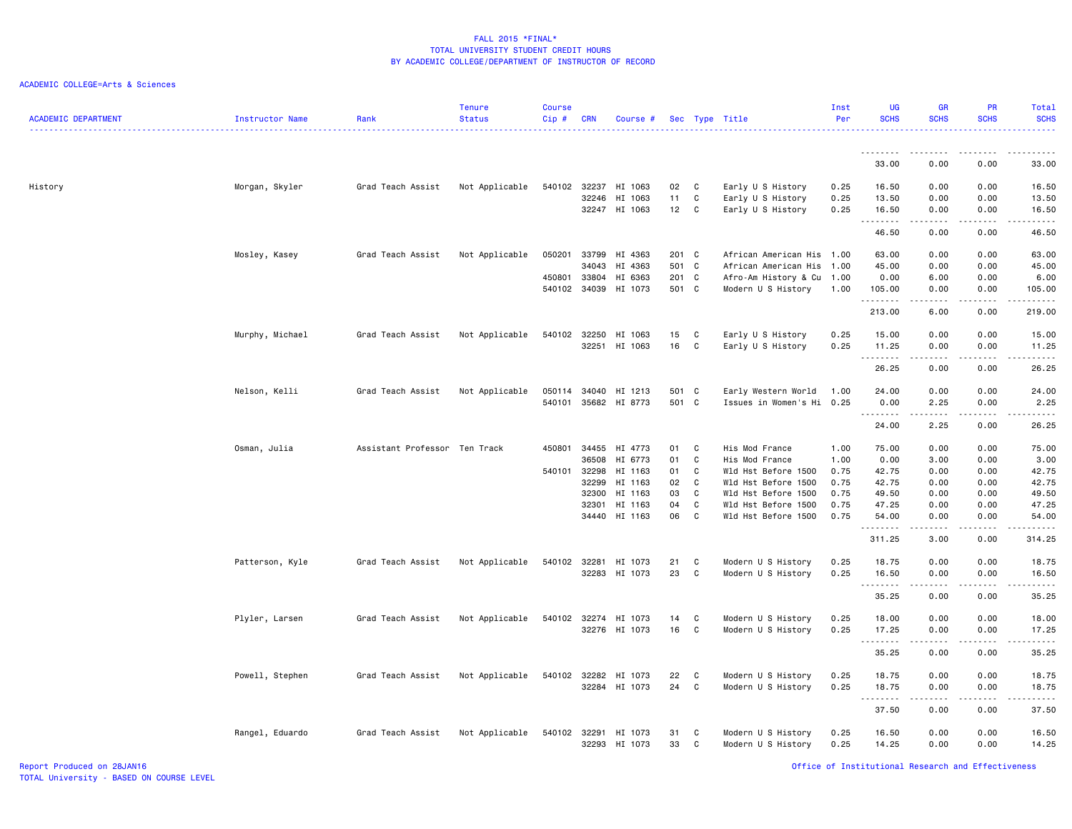#### ACADEMIC COLLEGE=Arts & Sciences

| <b>ACADEMIC DEPARTMENT</b> | <b>Instructor Name</b> | Rank                          | <b>Tenure</b><br><b>Status</b> | <b>Course</b><br>Cip# | <b>CRN</b> | Course #             |          |              | Sec Type Title                           | Inst<br>Per | <b>UG</b><br><b>SCHS</b>                                                                                                                                                                                                                                                                                                                                                                                                                                                                        | <b>GR</b><br><b>SCHS</b>                                                                                                                                                                                                                                                                                                                     | <b>PR</b><br><b>SCHS</b>            | Total<br><b>SCHS</b><br>.                                                                                                                                      |
|----------------------------|------------------------|-------------------------------|--------------------------------|-----------------------|------------|----------------------|----------|--------------|------------------------------------------|-------------|-------------------------------------------------------------------------------------------------------------------------------------------------------------------------------------------------------------------------------------------------------------------------------------------------------------------------------------------------------------------------------------------------------------------------------------------------------------------------------------------------|----------------------------------------------------------------------------------------------------------------------------------------------------------------------------------------------------------------------------------------------------------------------------------------------------------------------------------------------|-------------------------------------|----------------------------------------------------------------------------------------------------------------------------------------------------------------|
|                            |                        |                               |                                |                       |            |                      |          |              |                                          |             |                                                                                                                                                                                                                                                                                                                                                                                                                                                                                                 |                                                                                                                                                                                                                                                                                                                                              |                                     |                                                                                                                                                                |
|                            |                        |                               |                                |                       |            |                      |          |              |                                          |             | 33.00                                                                                                                                                                                                                                                                                                                                                                                                                                                                                           | 0.00                                                                                                                                                                                                                                                                                                                                         | 0.00                                | 33.00                                                                                                                                                          |
| History                    | Morgan, Skyler         | Grad Teach Assist             | Not Applicable                 | 540102 32237          |            | HI 1063              | 02       | C            | Early U S History                        | 0.25        | 16.50                                                                                                                                                                                                                                                                                                                                                                                                                                                                                           | 0.00                                                                                                                                                                                                                                                                                                                                         | 0.00                                | 16.50                                                                                                                                                          |
|                            |                        |                               |                                |                       | 32246      | HI 1063              | 11       | C            | Early U S History                        | 0.25        | 13.50                                                                                                                                                                                                                                                                                                                                                                                                                                                                                           | 0.00                                                                                                                                                                                                                                                                                                                                         | 0.00                                | 13.50                                                                                                                                                          |
|                            |                        |                               |                                |                       | 32247      | HI 1063              | 12       | C            | Early U S History                        | 0.25        | 16.50<br>$\begin{array}{cccccccccccccc} \multicolumn{2}{c}{} & \multicolumn{2}{c}{} & \multicolumn{2}{c}{} & \multicolumn{2}{c}{} & \multicolumn{2}{c}{} & \multicolumn{2}{c}{} & \multicolumn{2}{c}{} & \multicolumn{2}{c}{} & \multicolumn{2}{c}{} & \multicolumn{2}{c}{} & \multicolumn{2}{c}{} & \multicolumn{2}{c}{} & \multicolumn{2}{c}{} & \multicolumn{2}{c}{} & \multicolumn{2}{c}{} & \multicolumn{2}{c}{} & \multicolumn{2}{c}{} & \multicolumn{2}{c}{} & \multicolumn{2}{c}{} & \$ | 0.00<br>$\frac{1}{2} \left( \begin{array}{ccc} 1 & 0 & 0 & 0 \\ 0 & 0 & 0 & 0 \\ 0 & 0 & 0 & 0 \\ 0 & 0 & 0 & 0 \\ 0 & 0 & 0 & 0 \\ 0 & 0 & 0 & 0 \\ 0 & 0 & 0 & 0 \\ 0 & 0 & 0 & 0 \\ 0 & 0 & 0 & 0 \\ 0 & 0 & 0 & 0 \\ 0 & 0 & 0 & 0 & 0 \\ 0 & 0 & 0 & 0 & 0 \\ 0 & 0 & 0 & 0 & 0 \\ 0 & 0 & 0 & 0 & 0 \\ 0 & 0 & 0 & 0 & 0 \\ 0 & 0 & 0$ | 0.00<br>.                           | 16.50<br>.                                                                                                                                                     |
|                            |                        |                               |                                |                       |            |                      |          |              |                                          |             | 46.50                                                                                                                                                                                                                                                                                                                                                                                                                                                                                           | 0.00                                                                                                                                                                                                                                                                                                                                         | 0.00                                | 46.50                                                                                                                                                          |
|                            | Mosley, Kasey          | Grad Teach Assist             | Not Applicable                 | 050201                | 33799      | HI 4363              | 201 C    |              | African American His                     | 1.00        | 63.00                                                                                                                                                                                                                                                                                                                                                                                                                                                                                           | 0.00                                                                                                                                                                                                                                                                                                                                         | 0.00                                | 63.00                                                                                                                                                          |
|                            |                        |                               |                                |                       | 34043      | HI 4363              | 501 C    |              | African American His                     | 1.00        | 45.00                                                                                                                                                                                                                                                                                                                                                                                                                                                                                           | 0.00                                                                                                                                                                                                                                                                                                                                         | 0.00                                | 45.00                                                                                                                                                          |
|                            |                        |                               |                                | 450801                | 33804      | HI 6363              | 201 C    |              | Afro-Am History & Cu 1.00                |             | 0.00                                                                                                                                                                                                                                                                                                                                                                                                                                                                                            | 6.00                                                                                                                                                                                                                                                                                                                                         | 0.00                                | 6.00                                                                                                                                                           |
|                            |                        |                               |                                | 540102                | 34039      | HI 1073              | 501 C    |              | Modern U S History                       | 1.00        | 105.00<br>.                                                                                                                                                                                                                                                                                                                                                                                                                                                                                     | 0.00<br>.                                                                                                                                                                                                                                                                                                                                    | 0.00<br>$\sim$ $\sim$ $\sim$ $\sim$ | 105.00<br>.                                                                                                                                                    |
|                            |                        |                               |                                |                       |            |                      |          |              |                                          |             | 213.00                                                                                                                                                                                                                                                                                                                                                                                                                                                                                          | 6.00                                                                                                                                                                                                                                                                                                                                         | 0.00                                | 219.00                                                                                                                                                         |
|                            | Murphy, Michael        | Grad Teach Assist             | Not Applicable                 | 540102                | 32250      | HI 1063              | 15       | C            | Early U S History                        | 0.25        | 15.00                                                                                                                                                                                                                                                                                                                                                                                                                                                                                           | 0.00                                                                                                                                                                                                                                                                                                                                         | 0.00                                | 15.00                                                                                                                                                          |
|                            |                        |                               |                                |                       | 32251      | HI 1063              | 16       | C            | Early U S History                        | 0.25        | 11.25                                                                                                                                                                                                                                                                                                                                                                                                                                                                                           | 0.00                                                                                                                                                                                                                                                                                                                                         | 0.00                                | 11.25                                                                                                                                                          |
|                            |                        |                               |                                |                       |            |                      |          |              |                                          |             | .                                                                                                                                                                                                                                                                                                                                                                                                                                                                                               | .                                                                                                                                                                                                                                                                                                                                            | $\frac{1}{2}$                       | .                                                                                                                                                              |
|                            |                        |                               |                                |                       |            |                      |          |              |                                          |             | 26.25                                                                                                                                                                                                                                                                                                                                                                                                                                                                                           | 0.00                                                                                                                                                                                                                                                                                                                                         | 0.00                                | 26.25                                                                                                                                                          |
|                            | Nelson, Kelli          | Grad Teach Assist             | Not Applicable                 |                       |            | 050114 34040 HI 1213 | 501 C    |              | Early Western World                      | 1.00        | 24.00                                                                                                                                                                                                                                                                                                                                                                                                                                                                                           | 0.00                                                                                                                                                                                                                                                                                                                                         | 0.00                                | 24.00                                                                                                                                                          |
|                            |                        |                               |                                | 540101                | 35682      | HI 8773              | 501 C    |              | Issues in Women's Hi                     | 0.25        | 0.00                                                                                                                                                                                                                                                                                                                                                                                                                                                                                            | 2.25                                                                                                                                                                                                                                                                                                                                         | 0.00                                | 2.25                                                                                                                                                           |
|                            |                        |                               |                                |                       |            |                      |          |              |                                          |             | .<br>24.00                                                                                                                                                                                                                                                                                                                                                                                                                                                                                      | 2.25                                                                                                                                                                                                                                                                                                                                         | $\frac{1}{2}$<br>0.00               | $\frac{1}{2} \left( \frac{1}{2} \right) \left( \frac{1}{2} \right) \left( \frac{1}{2} \right) \left( \frac{1}{2} \right) \left( \frac{1}{2} \right)$<br>26.25  |
|                            | Osman, Julia           | Assistant Professor Ten Track |                                | 450801                | 34455      | HI 4773              | 01       | C            | His Mod France                           | 1.00        | 75.00                                                                                                                                                                                                                                                                                                                                                                                                                                                                                           | 0.00                                                                                                                                                                                                                                                                                                                                         | 0.00                                | 75.00                                                                                                                                                          |
|                            |                        |                               |                                |                       | 36508      | HI 6773              | 01       | C            | His Mod France                           | 1.00        | 0.00                                                                                                                                                                                                                                                                                                                                                                                                                                                                                            | 3.00                                                                                                                                                                                                                                                                                                                                         | 0.00                                | 3.00                                                                                                                                                           |
|                            |                        |                               |                                | 540101                | 32298      | HI 1163              | 01       | C            | Wld Hst Before 1500                      | 0.75        | 42.75                                                                                                                                                                                                                                                                                                                                                                                                                                                                                           | 0.00                                                                                                                                                                                                                                                                                                                                         | 0.00                                | 42.75                                                                                                                                                          |
|                            |                        |                               |                                |                       | 32299      | HI 1163              | 02       | C            | Wld Hst Before 1500                      | 0.75        | 42.75                                                                                                                                                                                                                                                                                                                                                                                                                                                                                           | 0.00                                                                                                                                                                                                                                                                                                                                         | 0.00                                | 42.75                                                                                                                                                          |
|                            |                        |                               |                                |                       | 32300      | HI 1163              | 03       | $\mathsf{C}$ | Wld Hst Before 1500                      | 0.75        | 49.50                                                                                                                                                                                                                                                                                                                                                                                                                                                                                           | 0.00                                                                                                                                                                                                                                                                                                                                         | 0.00                                | 49.50                                                                                                                                                          |
|                            |                        |                               |                                |                       | 32301      | HI 1163              | 04       | C            | Wld Hst Before 1500                      | 0.75        | 47.25                                                                                                                                                                                                                                                                                                                                                                                                                                                                                           | 0.00                                                                                                                                                                                                                                                                                                                                         | 0.00                                | 47.25                                                                                                                                                          |
|                            |                        |                               |                                |                       | 34440      | HI 1163              | 06       | C            | Wld Hst Before 1500                      | 0.75        | 54.00                                                                                                                                                                                                                                                                                                                                                                                                                                                                                           | 0.00                                                                                                                                                                                                                                                                                                                                         | 0.00                                | 54.00                                                                                                                                                          |
|                            |                        |                               |                                |                       |            |                      |          |              |                                          |             | .<br>311.25                                                                                                                                                                                                                                                                                                                                                                                                                                                                                     | 3.00                                                                                                                                                                                                                                                                                                                                         | .<br>0.00                           | $\frac{1}{2} \left( \frac{1}{2} \right) \left( \frac{1}{2} \right) \left( \frac{1}{2} \right) \left( \frac{1}{2} \right) \left( \frac{1}{2} \right)$<br>314.25 |
|                            | Patterson, Kyle        | Grad Teach Assist             | Not Applicable                 | 540102 32281          |            | HI 1073              | 21       | C            | Modern U S History                       | 0.25        | 18.75                                                                                                                                                                                                                                                                                                                                                                                                                                                                                           | 0.00                                                                                                                                                                                                                                                                                                                                         | 0.00                                | 18.75                                                                                                                                                          |
|                            |                        |                               |                                |                       |            | 32283 HI 1073        | 23       | C            | Modern U S History                       | 0.25        | 16.50                                                                                                                                                                                                                                                                                                                                                                                                                                                                                           | 0.00                                                                                                                                                                                                                                                                                                                                         | 0.00                                | 16.50                                                                                                                                                          |
|                            |                        |                               |                                |                       |            |                      |          |              |                                          |             | 35.25                                                                                                                                                                                                                                                                                                                                                                                                                                                                                           | 0.00                                                                                                                                                                                                                                                                                                                                         | $\sim$ $\sim$ $\sim$ $\sim$<br>0.00 | $\omega$ $\omega$ $\omega$ $\omega$ .<br>35.25                                                                                                                 |
|                            |                        |                               |                                | 540102 32274          |            |                      |          |              |                                          | 0.25        |                                                                                                                                                                                                                                                                                                                                                                                                                                                                                                 | 0.00                                                                                                                                                                                                                                                                                                                                         | 0.00                                | 18.00                                                                                                                                                          |
|                            | Plyler, Larsen         | Grad Teach Assist             | Not Applicable                 |                       | 32276      | HI 1073<br>HI 1073   | 14<br>16 | C<br>C       | Modern U S History<br>Modern U S History | 0.25        | 18.00<br>17.25                                                                                                                                                                                                                                                                                                                                                                                                                                                                                  | 0.00                                                                                                                                                                                                                                                                                                                                         | 0.00                                | 17.25                                                                                                                                                          |
|                            |                        |                               |                                |                       |            |                      |          |              |                                          |             | <u> - - - - - - - -</u>                                                                                                                                                                                                                                                                                                                                                                                                                                                                         |                                                                                                                                                                                                                                                                                                                                              |                                     | $\frac{1}{2} \left( \frac{1}{2} \right) \left( \frac{1}{2} \right) \left( \frac{1}{2} \right) \left( \frac{1}{2} \right) \left( \frac{1}{2} \right)$           |
|                            |                        |                               |                                |                       |            |                      |          |              |                                          |             | 35.25                                                                                                                                                                                                                                                                                                                                                                                                                                                                                           | 0.00                                                                                                                                                                                                                                                                                                                                         | 0.00                                | 35.25                                                                                                                                                          |
|                            | Powell, Stephen        | Grad Teach Assist             | Not Applicable                 | 540102 32282          |            | HI 1073              | 22       | C            | Modern U S History                       | 0.25        | 18.75                                                                                                                                                                                                                                                                                                                                                                                                                                                                                           | 0.00                                                                                                                                                                                                                                                                                                                                         | 0.00                                | 18.75                                                                                                                                                          |
|                            |                        |                               |                                |                       |            | 32284 HI 1073        | 24       | C            | Modern U S History                       | 0.25        | 18.75                                                                                                                                                                                                                                                                                                                                                                                                                                                                                           | 0.00                                                                                                                                                                                                                                                                                                                                         | 0.00                                | 18.75                                                                                                                                                          |
|                            |                        |                               |                                |                       |            |                      |          |              |                                          |             | .                                                                                                                                                                                                                                                                                                                                                                                                                                                                                               | $\frac{1}{2} \left( \frac{1}{2} \right) \left( \frac{1}{2} \right) \left( \frac{1}{2} \right) \left( \frac{1}{2} \right)$                                                                                                                                                                                                                    | $\sim$ $\sim$ $\sim$ $\sim$         | .                                                                                                                                                              |
|                            |                        |                               |                                |                       |            |                      |          |              |                                          |             | 37.50                                                                                                                                                                                                                                                                                                                                                                                                                                                                                           | 0.00                                                                                                                                                                                                                                                                                                                                         | 0.00                                | 37.50                                                                                                                                                          |
|                            | Rangel, Eduardo        | Grad Teach Assist             | Not Applicable                 | 540102 32291          |            | HI 1073              | 31       | C            | Modern U S History                       | 0.25        | 16.50                                                                                                                                                                                                                                                                                                                                                                                                                                                                                           | 0.00                                                                                                                                                                                                                                                                                                                                         | 0.00                                | 16.50                                                                                                                                                          |
|                            |                        |                               |                                |                       | 32293      | HI 1073              | 33       | C            | Modern U S History                       | 0.25        | 14.25                                                                                                                                                                                                                                                                                                                                                                                                                                                                                           | 0.00                                                                                                                                                                                                                                                                                                                                         | 0.00                                | 14.25                                                                                                                                                          |

Report Produced on 28JAN16 Office of Institutional Research and Effectiveness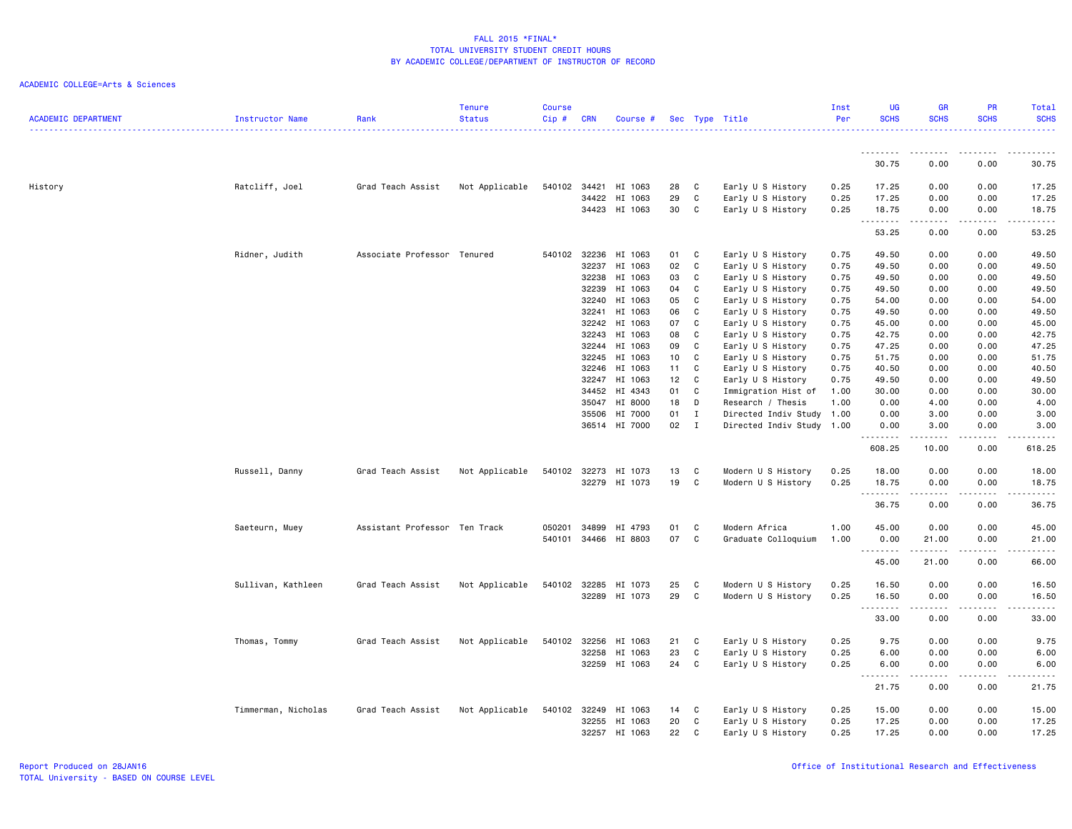| <b>ACADEMIC DEPARTMENT</b> | Instructor Name     | Rank                          | <b>Tenure</b><br><b>Status</b> | <b>Course</b><br>$Cip$ # | <b>CRN</b> | Course #      |    |             | Sec Type Title            | Inst<br>Per | <b>UG</b><br><b>SCHS</b> | <b>GR</b><br><b>SCHS</b>                                                                                                                                     | PR<br><b>SCHS</b>                                                                                                                 | Total<br><b>SCHS</b>                                                                                                                                 |
|----------------------------|---------------------|-------------------------------|--------------------------------|--------------------------|------------|---------------|----|-------------|---------------------------|-------------|--------------------------|--------------------------------------------------------------------------------------------------------------------------------------------------------------|-----------------------------------------------------------------------------------------------------------------------------------|------------------------------------------------------------------------------------------------------------------------------------------------------|
|                            |                     |                               |                                |                          |            |               |    |             |                           |             |                          | . <b>.</b>                                                                                                                                                   | ----                                                                                                                              |                                                                                                                                                      |
|                            |                     |                               |                                |                          |            |               |    |             |                           |             | 30.75                    | 0.00                                                                                                                                                         | 0.00                                                                                                                              | 30.75                                                                                                                                                |
| History                    | Ratcliff, Joel      | Grad Teach Assist             | Not Applicable                 | 540102                   | 34421      | HI 1063       | 28 | C           | Early U S History         | 0.25        | 17.25                    | 0.00                                                                                                                                                         | 0.00                                                                                                                              | 17.25                                                                                                                                                |
|                            |                     |                               |                                |                          | 34422      | HI 1063       | 29 | C           | Early U S History         | 0.25        | 17.25                    | 0.00                                                                                                                                                         | 0.00                                                                                                                              | 17.25                                                                                                                                                |
|                            |                     |                               |                                |                          |            | 34423 HI 1063 | 30 | C           | Early U S History         | 0.25        | 18.75<br>.               | 0.00                                                                                                                                                         | 0.00<br>$\frac{1}{2} \left( \frac{1}{2} \right) \left( \frac{1}{2} \right) \left( \frac{1}{2} \right) \left( \frac{1}{2} \right)$ | 18.75<br>$\sim$ $\sim$ $\sim$ $\sim$ $\sim$                                                                                                          |
|                            |                     |                               |                                |                          |            |               |    |             |                           |             | 53.25                    | 0.00                                                                                                                                                         | 0.00                                                                                                                              | 53.25                                                                                                                                                |
|                            | Ridner, Judith      | Associate Professor Tenured   |                                | 540102                   | 32236      | HI 1063       | 01 | C           | Early U S History         | 0.75        | 49.50                    | 0.00                                                                                                                                                         | 0.00                                                                                                                              | 49.50                                                                                                                                                |
|                            |                     |                               |                                |                          | 32237      | HI 1063       | 02 | C           | Early U S History         | 0.75        | 49.50                    | 0.00                                                                                                                                                         | 0.00                                                                                                                              | 49.50                                                                                                                                                |
|                            |                     |                               |                                |                          | 32238      | HI 1063       | 03 | C           | Early U S History         | 0.75        | 49.50                    | 0.00                                                                                                                                                         | 0.00                                                                                                                              | 49.50                                                                                                                                                |
|                            |                     |                               |                                |                          | 32239      | HI 1063       | 04 | C           | Early U S History         | 0.75        | 49.50                    | 0.00                                                                                                                                                         | 0.00                                                                                                                              | 49.50                                                                                                                                                |
|                            |                     |                               |                                |                          | 32240      | HI 1063       | 05 | C           | Early U S History         | 0.75        | 54.00                    | 0.00                                                                                                                                                         | 0.00                                                                                                                              | 54.00                                                                                                                                                |
|                            |                     |                               |                                |                          | 32241      | HI 1063       | 06 | C           | Early U S History         | 0.75        | 49.50                    | 0.00                                                                                                                                                         | 0.00                                                                                                                              | 49.50                                                                                                                                                |
|                            |                     |                               |                                |                          | 32242      | HI 1063       | 07 | C           | Early U S History         | 0.75        | 45.00                    | 0.00                                                                                                                                                         | 0.00                                                                                                                              | 45.00                                                                                                                                                |
|                            |                     |                               |                                |                          | 32243      | HI 1063       | 08 | C           | Early U S History         | 0.75        | 42.75                    | 0.00                                                                                                                                                         | 0.00                                                                                                                              | 42.75                                                                                                                                                |
|                            |                     |                               |                                |                          | 32244      | HI 1063       | 09 | C           | Early U S History         | 0.75        | 47.25                    | 0.00                                                                                                                                                         | 0.00                                                                                                                              | 47.25                                                                                                                                                |
|                            |                     |                               |                                |                          | 32245      | HI 1063       | 10 | C           | Early U S History         | 0.75        | 51.75                    | 0.00                                                                                                                                                         | 0.00                                                                                                                              | 51.75                                                                                                                                                |
|                            |                     |                               |                                |                          | 32246      | HI 1063       | 11 | C           | Early U S History         | 0.75        | 40.50                    | 0.00                                                                                                                                                         | 0.00                                                                                                                              | 40.50                                                                                                                                                |
|                            |                     |                               |                                |                          | 32247      | HI 1063       | 12 | C           | Early U S History         | 0.75        | 49.50                    | 0.00                                                                                                                                                         | 0.00                                                                                                                              | 49.50                                                                                                                                                |
|                            |                     |                               |                                |                          | 34452      | HI 4343       | 01 | C           | Immigration Hist of       | 1.00        | 30.00                    | 0.00                                                                                                                                                         | 0.00                                                                                                                              | 30.00                                                                                                                                                |
|                            |                     |                               |                                |                          | 35047      | HI 8000       | 18 | D           | Research / Thesis         | 1.00        | 0.00                     | 4.00                                                                                                                                                         | 0.00                                                                                                                              | 4.00                                                                                                                                                 |
|                            |                     |                               |                                |                          | 35506      | HI 7000       | 01 | $\mathbf I$ | Directed Indiv Study 1.00 |             | 0.00                     | 3.00                                                                                                                                                         | 0.00                                                                                                                              | 3.00                                                                                                                                                 |
|                            |                     |                               |                                |                          |            | 36514 HI 7000 | 02 | $\mathbf I$ | Directed Indiv Study 1.00 |             | 0.00<br>.                | 3.00<br>$\frac{1}{2} \left( \frac{1}{2} \right) \left( \frac{1}{2} \right) \left( \frac{1}{2} \right) \left( \frac{1}{2} \right) \left( \frac{1}{2} \right)$ | 0.00<br>.                                                                                                                         | 3.00<br><u>.</u>                                                                                                                                     |
|                            |                     |                               |                                |                          |            |               |    |             |                           |             | 608.25                   | 10.00                                                                                                                                                        | 0.00                                                                                                                              | 618.25                                                                                                                                               |
|                            | Russell, Danny      | Grad Teach Assist             | Not Applicable                 | 540102 32273             |            | HI 1073       | 13 | C           | Modern U S History        | 0.25        | 18.00                    | 0.00                                                                                                                                                         | 0.00                                                                                                                              | 18.00                                                                                                                                                |
|                            |                     |                               |                                |                          | 32279      | HI 1073       | 19 | C           | Modern U S History        | 0.25        | 18.75                    | 0.00                                                                                                                                                         | 0.00                                                                                                                              | 18.75                                                                                                                                                |
|                            |                     |                               |                                |                          |            |               |    |             |                           |             | .                        |                                                                                                                                                              |                                                                                                                                   | -----                                                                                                                                                |
|                            |                     |                               |                                |                          |            |               |    |             |                           |             | 36.75                    | 0.00                                                                                                                                                         | 0.00                                                                                                                              | 36.75                                                                                                                                                |
|                            | Saeteurn, Muey      | Assistant Professor Ten Track |                                | 050201                   | 34899      | HI 4793       | 01 | C           | Modern Africa             | 1.00        | 45.00                    | 0.00                                                                                                                                                         | 0.00                                                                                                                              | 45.00                                                                                                                                                |
|                            |                     |                               |                                | 540101                   |            | 34466 HI 8803 | 07 | C           | Graduate Colloquium       | 1.00        | 0.00<br>.                | 21.00<br>. <u>.</u>                                                                                                                                          | 0.00<br>.                                                                                                                         | 21.00<br>$\frac{1}{2}$                                                                                                                               |
|                            |                     |                               |                                |                          |            |               |    |             |                           |             | 45.00                    | 21.00                                                                                                                                                        | 0.00                                                                                                                              | 66.00                                                                                                                                                |
|                            | Sullivan, Kathleen  | Grad Teach Assist             | Not Applicable                 | 540102                   | 32285      | HI 1073       | 25 | C           | Modern U S History        | 0.25        | 16.50                    | 0.00                                                                                                                                                         | 0.00                                                                                                                              | 16.50                                                                                                                                                |
|                            |                     |                               |                                |                          | 32289      | HI 1073       | 29 | C           | Modern U S History        | 0.25        | 16.50                    | 0.00                                                                                                                                                         | 0.00                                                                                                                              | 16.50                                                                                                                                                |
|                            |                     |                               |                                |                          |            |               |    |             |                           |             | .                        | -----                                                                                                                                                        | .                                                                                                                                 | المستسما                                                                                                                                             |
|                            |                     |                               |                                |                          |            |               |    |             |                           |             | 33.00                    | 0.00                                                                                                                                                         | 0.00                                                                                                                              | 33.00                                                                                                                                                |
|                            | Thomas, Tommy       | Grad Teach Assist             | Not Applicable                 | 540102                   | 32256      | HI 1063       | 21 | C           | Early U S History         | 0.25        | 9.75                     | 0.00                                                                                                                                                         | 0.00                                                                                                                              | 9.75                                                                                                                                                 |
|                            |                     |                               |                                |                          | 32258      | HI 1063       | 23 | C           | Early U S History         | 0.25        | 6.00                     | 0.00                                                                                                                                                         | 0.00                                                                                                                              | 6.00                                                                                                                                                 |
|                            |                     |                               |                                |                          |            | 32259 HI 1063 | 24 | C           | Early U S History         | 0.25        | 6.00                     | 0.00                                                                                                                                                         | 0.00                                                                                                                              | 6.00                                                                                                                                                 |
|                            |                     |                               |                                |                          |            |               |    |             |                           |             | .                        | .                                                                                                                                                            | .                                                                                                                                 | $\frac{1}{2} \left( \frac{1}{2} \right) \left( \frac{1}{2} \right) \left( \frac{1}{2} \right) \left( \frac{1}{2} \right) \left( \frac{1}{2} \right)$ |
|                            |                     |                               |                                |                          |            |               |    |             |                           |             | 21.75                    | 0.00                                                                                                                                                         | 0.00                                                                                                                              | 21.75                                                                                                                                                |
|                            | Timmerman, Nicholas | Grad Teach Assist             | Not Applicable                 | 540102                   | 32249      | HI 1063       | 14 | C           | Early U S History         | 0.25        | 15.00                    | 0.00                                                                                                                                                         | 0.00                                                                                                                              | 15.00                                                                                                                                                |
|                            |                     |                               |                                |                          | 32255      | HI 1063       | 20 | C           | Early U S History         | 0.25        | 17.25                    | 0.00                                                                                                                                                         | 0.00                                                                                                                              | 17.25                                                                                                                                                |
|                            |                     |                               |                                |                          |            | 32257 HI 1063 | 22 | C           | Early U S History         | 0.25        | 17.25                    | 0.00                                                                                                                                                         | 0.00                                                                                                                              | 17.25                                                                                                                                                |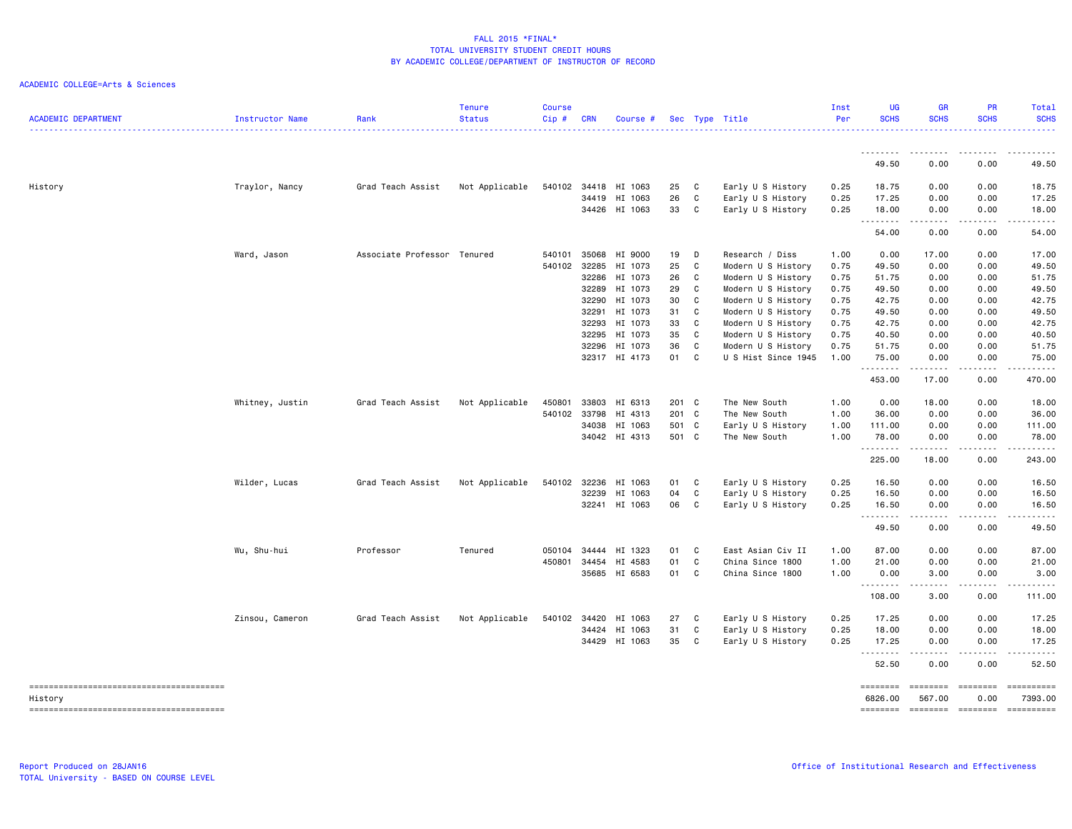| <b>ACADEMIC DEPARTMENT</b> | Instructor Name | Rank                        | <b>Tenure</b><br><b>Status</b> | <b>Course</b><br>Cip# | <b>CRN</b> | Course #      |       |              | Sec Type Title      | Inst<br>Per | <b>UG</b><br><b>SCHS</b> | <b>GR</b><br><b>SCHS</b>     | PR<br><b>SCHS</b>                                                                                                                                            | Total<br><b>SCHS</b>  |
|----------------------------|-----------------|-----------------------------|--------------------------------|-----------------------|------------|---------------|-------|--------------|---------------------|-------------|--------------------------|------------------------------|--------------------------------------------------------------------------------------------------------------------------------------------------------------|-----------------------|
|                            |                 |                             |                                |                       |            |               |       |              |                     |             | .                        | -----                        | -----                                                                                                                                                        |                       |
|                            |                 |                             |                                |                       |            |               |       |              |                     |             | 49.50                    | 0.00                         | 0.00                                                                                                                                                         | 49.50                 |
| History                    | Traylor, Nancy  | Grad Teach Assist           | Not Applicable                 | 540102                |            | 34418 HI 1063 | 25    | $\mathbf{C}$ | Early U S History   | 0.25        | 18.75                    | 0.00                         | 0.00                                                                                                                                                         | 18.75                 |
|                            |                 |                             |                                |                       | 34419      | HI 1063       | 26    | C            | Early U S History   | 0.25        | 17.25                    | 0.00                         | 0.00                                                                                                                                                         | 17.25                 |
|                            |                 |                             |                                |                       |            | 34426 HI 1063 | 33    | $\mathbf{C}$ | Early U S History   | 0.25        | 18.00<br>.               | 0.00<br>د د د د              | 0.00<br>.                                                                                                                                                    | 18.00<br>.            |
|                            |                 |                             |                                |                       |            |               |       |              |                     |             | 54.00                    | 0.00                         | 0.00                                                                                                                                                         | 54.00                 |
|                            | Ward, Jason     | Associate Professor Tenured |                                | 540101                | 35068      | HI 9000       | 19    | $\Box$       | Research / Diss     | 1.00        | 0.00                     | 17.00                        | 0.00                                                                                                                                                         | 17.00                 |
|                            |                 |                             |                                | 540102                | 32285      | HI 1073       | 25    | C            | Modern U S History  | 0.75        | 49.50                    | 0.00                         | 0.00                                                                                                                                                         | 49.50                 |
|                            |                 |                             |                                |                       | 32286      | HI 1073       | 26    | C            | Modern U S History  | 0.75        | 51.75                    | 0.00                         | 0.00                                                                                                                                                         | 51.75                 |
|                            |                 |                             |                                |                       | 32289      | HI 1073       | 29    | C            | Modern U S History  | 0.75        | 49.50                    | 0.00                         | 0.00                                                                                                                                                         | 49.50                 |
|                            |                 |                             |                                |                       | 32290      | HI 1073       | 30    | C            | Modern U S History  | 0.75        | 42.75                    | 0.00                         | 0.00                                                                                                                                                         | 42.75                 |
|                            |                 |                             |                                |                       |            | 32291 HI 1073 | 31    | C            | Modern U S History  | 0.75        | 49.50                    | 0.00                         | 0.00                                                                                                                                                         | 49.50                 |
|                            |                 |                             |                                |                       | 32293      | HI 1073       | 33    | C            | Modern U S History  | 0.75        | 42.75                    | 0.00                         | 0.00                                                                                                                                                         | 42.75                 |
|                            |                 |                             |                                |                       | 32295      | HI 1073       | 35    | C            | Modern U S History  | 0.75        | 40.50                    | 0.00                         | 0.00                                                                                                                                                         | 40.50                 |
|                            |                 |                             |                                |                       | 32296      | HI 1073       | 36    | C            | Modern U S History  | 0.75        | 51.75                    | 0.00                         | 0.00                                                                                                                                                         | 51.75                 |
|                            |                 |                             |                                |                       |            | 32317 HI 4173 | 01 C  |              | U S Hist Since 1945 | 1.00        | 75.00<br><u>.</u>        | 0.00<br>$- - - - -$          | 0.00<br>.                                                                                                                                                    | 75.00                 |
|                            |                 |                             |                                |                       |            |               |       |              |                     |             | 453.00                   | 17.00                        | 0.00                                                                                                                                                         | 470.00                |
|                            | Whitney, Justin | Grad Teach Assist           | Not Applicable                 | 450801                | 33803      | HI 6313       | 201 C |              | The New South       | 1.00        | 0.00                     | 18.00                        | 0.00                                                                                                                                                         | 18.00                 |
|                            |                 |                             |                                | 540102                | 33798      | HI 4313       | 201 C |              | The New South       | 1.00        | 36.00                    | 0.00                         | 0.00                                                                                                                                                         | 36.00                 |
|                            |                 |                             |                                |                       |            | 34038 HI 1063 | 501 C |              | Early U S History   | 1.00        | 111.00                   | 0.00                         | 0.00                                                                                                                                                         | 111.00                |
|                            |                 |                             |                                |                       |            | 34042 HI 4313 | 501 C |              | The New South       | 1.00        | 78.00<br><u>.</u>        | 0.00<br>.                    | 0.00<br>.                                                                                                                                                    | 78.00<br>.            |
|                            |                 |                             |                                |                       |            |               |       |              |                     |             | 225.00                   | 18.00                        | 0.00                                                                                                                                                         | 243.00                |
|                            | Wilder, Lucas   | Grad Teach Assist           | Not Applicable                 | 540102                | 32236      | HI 1063       | 01    | C            | Early U S History   | 0.25        | 16.50                    | 0.00                         | 0.00                                                                                                                                                         | 16.50                 |
|                            |                 |                             |                                |                       | 32239      | HI 1063       | 04    | C            | Early U S History   | 0.25        | 16.50                    | 0.00                         | 0.00                                                                                                                                                         | 16.50                 |
|                            |                 |                             |                                |                       |            | 32241 HI 1063 | 06    | C            | Early U S History   | 0.25        | 16.50<br>.               | 0.00<br>.                    | 0.00<br>$\frac{1}{2} \left( \frac{1}{2} \right) \left( \frac{1}{2} \right) \left( \frac{1}{2} \right) \left( \frac{1}{2} \right) \left( \frac{1}{2} \right)$ | 16.50<br>.            |
|                            |                 |                             |                                |                       |            |               |       |              |                     |             | 49.50                    | 0.00                         | 0.00                                                                                                                                                         | 49.50                 |
|                            | Wu, Shu-hui     | Professor                   | Tenured                        | 050104                | 34444      | HI 1323       | 01    | C            | East Asian Civ II   | 1.00        | 87.00                    | 0.00                         | 0.00                                                                                                                                                         | 87.00                 |
|                            |                 |                             |                                | 450801                |            | 34454 HI 4583 | 01    | C            | China Since 1800    | 1.00        | 21.00                    | 0.00                         | 0.00                                                                                                                                                         | 21.00                 |
|                            |                 |                             |                                |                       |            | 35685 HI 6583 | 01    | C            | China Since 1800    | 1.00        | 0.00<br>.                | 3.00<br>$\sim$ $\sim$ $\sim$ | 0.00                                                                                                                                                         | 3.00                  |
|                            |                 |                             |                                |                       |            |               |       |              |                     |             | 108.00                   | 3.00                         | 0.00                                                                                                                                                         | 111.00                |
|                            | Zinsou, Cameron | Grad Teach Assist           | Not Applicable                 | 540102                |            | 34420 HI 1063 | 27    | C            | Early U S History   | 0.25        | 17.25                    | 0.00                         | 0.00                                                                                                                                                         | 17.25                 |
|                            |                 |                             |                                |                       |            | 34424 HI 1063 | 31    | $\mathbf c$  | Early U S History   | 0.25        | 18.00                    | 0.00                         | 0.00                                                                                                                                                         | 18.00                 |
|                            |                 |                             |                                |                       |            | 34429 HI 1063 | 35    | $\mathbf{C}$ | Early U S History   | 0.25        | 17.25<br>.               | 0.00<br>.                    | 0.00                                                                                                                                                         | 17.25                 |
|                            |                 |                             |                                |                       |            |               |       |              |                     |             | 52.50                    | 0.00                         | 0.00                                                                                                                                                         | 52.50                 |
|                            |                 |                             |                                |                       |            |               |       |              |                     |             | ========<br>6826.00      | ========<br>567.00           | ========<br>0.00                                                                                                                                             | ==========<br>7393.00 |
| History                    |                 |                             |                                |                       |            |               |       |              |                     |             |                          | -------- ------- -------     |                                                                                                                                                              | ==========            |
|                            |                 |                             |                                |                       |            |               |       |              |                     |             |                          |                              |                                                                                                                                                              |                       |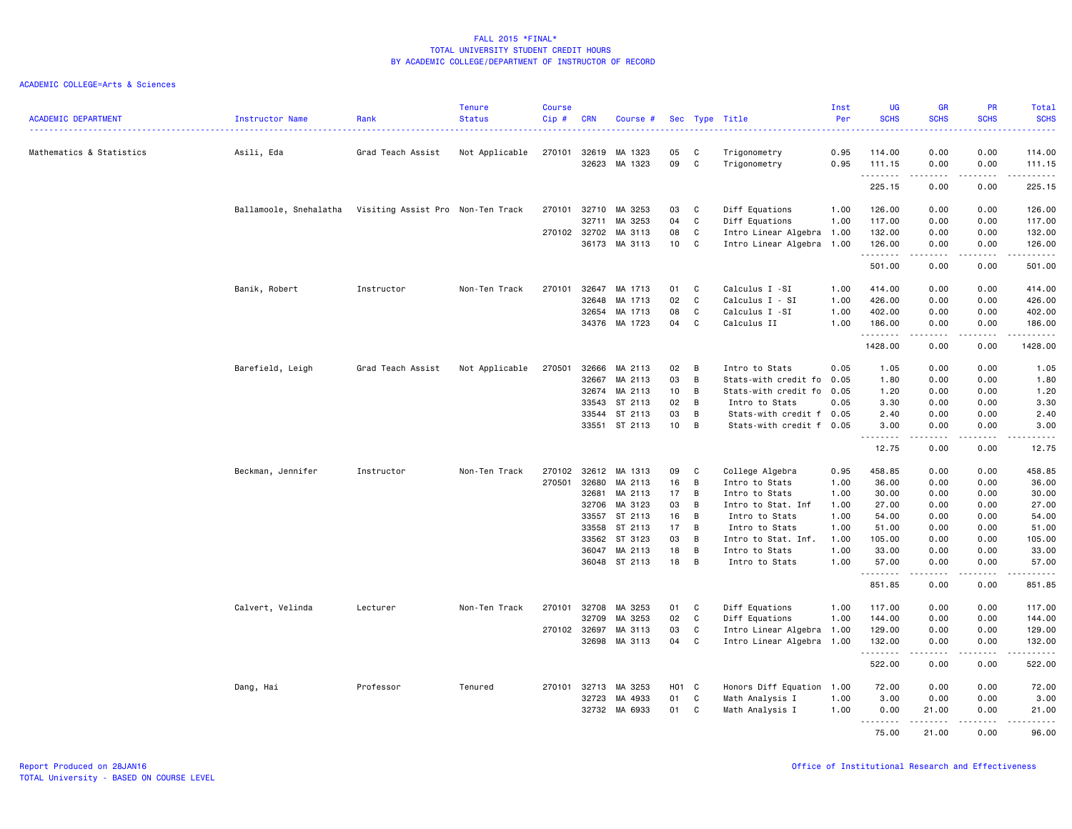| <b>ACADEMIC DEPARTMENT</b> | Instructor Name        | Rank                              | <b>Tenure</b><br><b>Status</b> | <b>Course</b><br>Cip# | <b>CRN</b>     | Course #           |                 |              | Sec Type Title               | Inst<br>Per  | UG<br><b>SCHS</b> | <b>GR</b><br><b>SCHS</b>                                                                                                                                                                | PR<br><b>SCHS</b>                                                                                                         | Total<br><b>SCHS</b>            |
|----------------------------|------------------------|-----------------------------------|--------------------------------|-----------------------|----------------|--------------------|-----------------|--------------|------------------------------|--------------|-------------------|-----------------------------------------------------------------------------------------------------------------------------------------------------------------------------------------|---------------------------------------------------------------------------------------------------------------------------|---------------------------------|
|                            |                        |                                   |                                |                       |                |                    |                 |              |                              | <u>.</u>     | .                 |                                                                                                                                                                                         | $\frac{1}{2} \left( \frac{1}{2} \right) \left( \frac{1}{2} \right) \left( \frac{1}{2} \right) \left( \frac{1}{2} \right)$ | <b><i><u>Literature</u></i></b> |
| Mathematics & Statistics   | Asili, Eda             | Grad Teach Assist                 | Not Applicable                 | 270101                | 32619<br>32623 | MA 1323<br>MA 1323 | 05<br>09        | C<br>C       | Trigonometry<br>Trigonometry | 0.95<br>0.95 | 114.00<br>111.15  | 0.00<br>0.00                                                                                                                                                                            | 0.00<br>0.00                                                                                                              | 114.00<br>111.15                |
|                            |                        |                                   |                                |                       |                |                    |                 |              |                              |              | .<br>225.15       | $\frac{1}{2} \left( \frac{1}{2} \right) \left( \frac{1}{2} \right) \left( \frac{1}{2} \right) \left( \frac{1}{2} \right) \left( \frac{1}{2} \right) \left( \frac{1}{2} \right)$<br>0.00 | .<br>0.00                                                                                                                 | .<br>225.15                     |
|                            | Ballamoole, Snehalatha | Visiting Assist Pro Non-Ten Track |                                | 270101                | 32710          | MA 3253            | 03              | C            | Diff Equations               | 1.00         | 126.00            | 0.00                                                                                                                                                                                    | 0.00                                                                                                                      | 126.00                          |
|                            |                        |                                   |                                |                       | 32711          | MA 3253            | 04              | C            | Diff Equations               | 1.00         | 117.00            | 0.00                                                                                                                                                                                    | 0.00                                                                                                                      | 117.00                          |
|                            |                        |                                   |                                | 270102 32702          |                | MA 3113            | 08              | C            | Intro Linear Algebra 1.00    |              | 132.00            | 0.00                                                                                                                                                                                    | 0.00                                                                                                                      | 132.00                          |
|                            |                        |                                   |                                |                       | 36173          | MA 3113            | 10              | C            | Intro Linear Algebra 1.00    |              | 126.00<br>.       | 0.00<br>$\begin{array}{cccccccccccccc} \bullet & \bullet & \bullet & \bullet & \bullet & \bullet & \bullet \end{array}$                                                                 | 0.00<br>.                                                                                                                 | 126.00<br>.                     |
|                            |                        |                                   |                                |                       |                |                    |                 |              |                              |              | 501.00            | 0.00                                                                                                                                                                                    | 0.00                                                                                                                      | 501.00                          |
|                            | Banik, Robert          | Instructor                        | Non-Ten Track                  | 270101                | 32647          | MA 1713            | 01              | C            | Calculus I -SI               | 1.00         | 414.00            | 0.00                                                                                                                                                                                    | 0.00                                                                                                                      | 414.00                          |
|                            |                        |                                   |                                |                       | 32648          | MA 1713            | 02              | C            | Calculus I - SI              | 1.00         | 426.00            | 0.00                                                                                                                                                                                    | 0.00                                                                                                                      | 426.00                          |
|                            |                        |                                   |                                |                       | 32654          | MA 1713            | 08              | C            | Calculus I -SI               | 1.00         | 402.00            | 0.00                                                                                                                                                                                    | 0.00                                                                                                                      | 402.00                          |
|                            |                        |                                   |                                |                       |                | 34376 MA 1723      | 04              | C            | Calculus II                  | 1.00         | 186.00<br>.       | 0.00<br>.                                                                                                                                                                               | 0.00<br>$\sim$ $\sim$ $\sim$ $\sim$                                                                                       | 186.00<br>------                |
|                            |                        |                                   |                                |                       |                |                    |                 |              |                              |              | 1428.00           | 0.00                                                                                                                                                                                    | 0.00                                                                                                                      | 1428.00                         |
|                            | Barefield, Leigh       | Grad Teach Assist                 | Not Applicable                 | 270501                | 32666          | MA 2113            | 02              | B            | Intro to Stats               | 0.05         | 1.05              | 0.00                                                                                                                                                                                    | 0.00                                                                                                                      | 1.05                            |
|                            |                        |                                   |                                |                       | 32667          | MA 2113            | 03              | B            | Stats-with credit fo 0.05    |              | 1.80              | 0.00                                                                                                                                                                                    | 0.00                                                                                                                      | 1.80                            |
|                            |                        |                                   |                                |                       | 32674          | MA 2113            | 10              | B            | Stats-with credit fo 0.05    |              | 1.20              | 0.00                                                                                                                                                                                    | 0.00                                                                                                                      | 1.20                            |
|                            |                        |                                   |                                |                       | 33543          | ST 2113            | 02              | B            | Intro to Stats               | 0.05         | 3.30              | 0.00                                                                                                                                                                                    | 0.00                                                                                                                      | 3.30                            |
|                            |                        |                                   |                                |                       | 33544          | ST 2113            | 03              | B            | Stats-with credit f 0.05     |              | 2.40              | 0.00                                                                                                                                                                                    | 0.00                                                                                                                      | 2.40                            |
|                            |                        |                                   |                                |                       |                | 33551 ST 2113      | 10 <sub>1</sub> | B            | Stats-with credit f 0.05     |              | 3.00<br>.         | 0.00<br>.                                                                                                                                                                               | 0.00<br>.                                                                                                                 | 3.00<br>$\frac{1}{2}$           |
|                            |                        |                                   |                                |                       |                |                    |                 |              |                              |              | 12.75             | 0.00                                                                                                                                                                                    | 0.00                                                                                                                      | 12.75                           |
|                            | Beckman, Jennifer      | Instructor                        | Non-Ten Track                  | 270102                | 32612          | MA 1313            | 09              | C            | College Algebra              | 0.95         | 458.85            | 0.00                                                                                                                                                                                    | 0.00                                                                                                                      | 458.85                          |
|                            |                        |                                   |                                | 270501                | 32680          | MA 2113            | 16              | B            | Intro to Stats               | 1.00         | 36.00             | 0.00                                                                                                                                                                                    | 0.00                                                                                                                      | 36.00                           |
|                            |                        |                                   |                                |                       | 32681          | MA 2113            | 17              | B            | Intro to Stats               | 1.00         | 30.00             | 0.00                                                                                                                                                                                    | 0.00                                                                                                                      | 30.00                           |
|                            |                        |                                   |                                |                       | 32706          | MA 3123            | 03              | B            | Intro to Stat. Inf           | 1.00         | 27.00             | 0.00                                                                                                                                                                                    | 0.00                                                                                                                      | 27.00                           |
|                            |                        |                                   |                                |                       | 33557          | ST 2113            | 16              | B            | Intro to Stats               | 1.00         | 54.00             | 0.00                                                                                                                                                                                    | 0.00                                                                                                                      | 54.00                           |
|                            |                        |                                   |                                |                       | 33558          | ST 2113            | 17              | B            | Intro to Stats               | 1.00         | 51.00             | 0.00                                                                                                                                                                                    | 0.00                                                                                                                      | 51.00                           |
|                            |                        |                                   |                                |                       | 33562          | ST 3123            | 03              | B            | Intro to Stat. Inf.          | 1.00         | 105.00            | 0.00                                                                                                                                                                                    | 0.00                                                                                                                      | 105.00                          |
|                            |                        |                                   |                                |                       | 36047          | MA 2113            | 18              | B            | Intro to Stats               | 1.00         | 33.00             | 0.00                                                                                                                                                                                    | 0.00                                                                                                                      | 33.00                           |
|                            |                        |                                   |                                |                       |                | 36048 ST 2113      | 18              | B            | Intro to Stats               | 1.00         | 57.00<br>.        | 0.00<br>$\begin{array}{cccccccccccccc} \bullet & \bullet & \bullet & \bullet & \bullet & \bullet & \bullet \end{array}$                                                                 | 0.00<br>.                                                                                                                 | 57.00<br>2.2.2.2.2.2            |
|                            |                        |                                   |                                |                       |                |                    |                 |              |                              |              | 851.85            | 0.00                                                                                                                                                                                    | 0.00                                                                                                                      | 851.85                          |
|                            | Calvert, Velinda       | Lecturer                          | Non-Ten Track                  | 270101                | 32708          | MA 3253            | 01              | C            | Diff Equations               | 1.00         | 117.00            | 0.00                                                                                                                                                                                    | 0.00                                                                                                                      | 117.00                          |
|                            |                        |                                   |                                |                       | 32709          | MA 3253            | 02              | C            | Diff Equations               | 1.00         | 144.00            | 0.00                                                                                                                                                                                    | 0.00                                                                                                                      | 144.00                          |
|                            |                        |                                   |                                | 270102 32697          |                | MA 3113            | 03              | C            | Intro Linear Algebra 1.00    |              | 129.00            | 0.00                                                                                                                                                                                    | 0.00                                                                                                                      | 129.00                          |
|                            |                        |                                   |                                |                       | 32698          | MA 3113            | 04              | C            | Intro Linear Algebra 1.00    |              | 132.00<br>.       | 0.00                                                                                                                                                                                    | 0.00                                                                                                                      | 132.00<br>------                |
|                            |                        |                                   |                                |                       |                |                    |                 |              |                              |              | 522.00            | 0.00                                                                                                                                                                                    | 0.00                                                                                                                      | 522.00                          |
|                            | Dang, Hai              | Professor                         | Tenured                        | 270101 32713          |                | MA 3253            | H01             | $\mathbf{C}$ | Honors Diff Equation 1.00    |              | 72.00             | 0.00                                                                                                                                                                                    | 0.00                                                                                                                      | 72.00                           |
|                            |                        |                                   |                                |                       | 32723          | MA 4933            | 01              | C            | Math Analysis I              | 1.00         | 3.00              | 0.00                                                                                                                                                                                    | 0.00                                                                                                                      | 3.00                            |
|                            |                        |                                   |                                |                       | 32732          | MA 6933            | 01              | C            | Math Analysis I              | 1.00         | 0.00<br>.         | 21.00<br>$- - - - - - -$                                                                                                                                                                | 0.00<br>.                                                                                                                 | 21.00<br>.                      |
|                            |                        |                                   |                                |                       |                |                    |                 |              |                              |              | 75.00             | 21.00                                                                                                                                                                                   | 0.00                                                                                                                      | 96.00                           |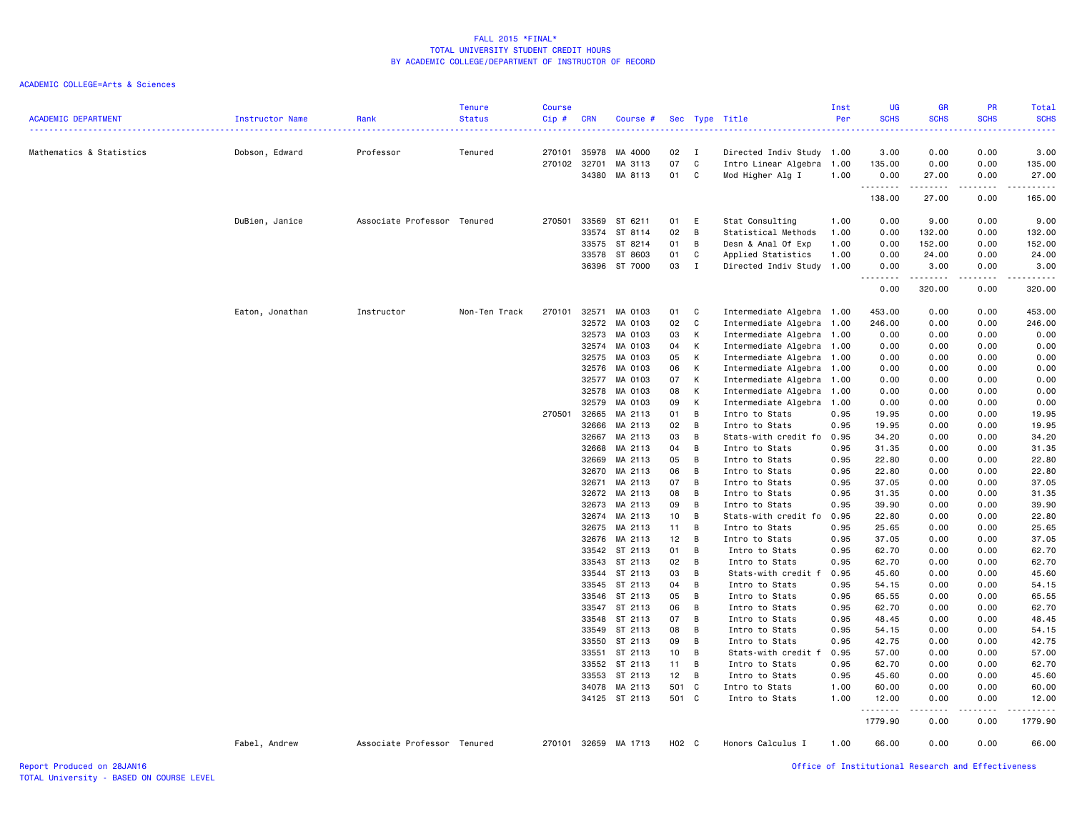| <b>ACADEMIC DEPARTMENT</b> | Instructor Name | Rank                        | <b>Tenure</b><br><b>Status</b> | <b>Course</b><br>Cip#<br>$\frac{1}{2}$ | <b>CRN</b> | Course #      |       |              | Sec Type Title            | Inst<br>Per | UG<br><b>SCHS</b>  | GR<br><b>SCHS</b>                                                                                                                                             | PR<br><b>SCHS</b>   | Total<br><b>SCHS</b> |
|----------------------------|-----------------|-----------------------------|--------------------------------|----------------------------------------|------------|---------------|-------|--------------|---------------------------|-------------|--------------------|---------------------------------------------------------------------------------------------------------------------------------------------------------------|---------------------|----------------------|
| Mathematics & Statistics   | Dobson, Edward  | Professor                   | Tenured                        | 270101                                 | 35978      | MA 4000       | 02    | $\mathbf{I}$ | Directed Indiv Study      | 1.00        | 3.00               | 0.00                                                                                                                                                          | 0.00                | 3.00                 |
|                            |                 |                             |                                | 270102                                 | 32701      | MA 3113       | 07    | C            | Intro Linear Algebra      | 1.00        | 135.00             | 0.00                                                                                                                                                          | 0.00                | 135.00               |
|                            |                 |                             |                                |                                        |            | 34380 MA 8113 | 01    | C            | Mod Higher Alg I          | 1.00        | 0.00               | 27.00                                                                                                                                                         | 0.00                | 27.00                |
|                            |                 |                             |                                |                                        |            |               |       |              |                           |             | .<br>138.00        | $\frac{1}{2} \left( \frac{1}{2} \right) \left( \frac{1}{2} \right) \left( \frac{1}{2} \right) \left( \frac{1}{2} \right) \left( \frac{1}{2} \right)$<br>27.00 | .<br>0.00           | 165.00               |
|                            | DuBien, Janice  | Associate Professor Tenured |                                | 270501                                 |            | 33569 ST 6211 | 01    | E            | Stat Consulting           | 1.00        | 0.00               | 9.00                                                                                                                                                          | 0.00                | 9.00                 |
|                            |                 |                             |                                |                                        |            | 33574 ST 8114 | 02    | B            | Statistical Methods       | 1.00        | 0.00               | 132.00                                                                                                                                                        | 0.00                | 132.00               |
|                            |                 |                             |                                |                                        | 33575      | ST 8214       | 01    | B            | Desn & Anal Of Exp        | 1.00        | 0.00               | 152.00                                                                                                                                                        | 0.00                | 152.00               |
|                            |                 |                             |                                |                                        | 33578      | ST 8603       | 01    | C            | Applied Statistics        | 1.00        | 0.00               | 24.00                                                                                                                                                         | 0.00                | 24.00                |
|                            |                 |                             |                                |                                        |            | 36396 ST 7000 | 03    | $\mathbf{I}$ | Directed Indiv Study      | 1.00        | 0.00               | 3.00                                                                                                                                                          | 0.00                | 3.00                 |
|                            |                 |                             |                                |                                        |            |               |       |              |                           |             | . <b>.</b><br>0.00 | .<br>320.00                                                                                                                                                   | د د د د د<br>0.00   | .<br>320.00          |
|                            | Eaton, Jonathan | Instructor                  | Non-Ten Track                  | 270101                                 |            | 32571 MA 0103 | 01    | C            | Intermediate Algebra 1.00 |             | 453.00             | 0.00                                                                                                                                                          | 0.00                | 453.00               |
|                            |                 |                             |                                |                                        | 32572      | MA 0103       | 02    | C            | Intermediate Algebra      | 1.00        | 246.00             | 0.00                                                                                                                                                          | 0.00                | 246.00               |
|                            |                 |                             |                                |                                        | 32573      | MA 0103       | 03    | К            | Intermediate Algebra      | 1.00        | 0.00               | 0.00                                                                                                                                                          | 0.00                | 0.00                 |
|                            |                 |                             |                                |                                        |            | 32574 MA 0103 | 04    | К            | Intermediate Algebra      | 1.00        | 0.00               | 0.00                                                                                                                                                          | 0.00                | 0.00                 |
|                            |                 |                             |                                |                                        | 32575      | MA 0103       | 05    | К            | Intermediate Algebra      | 1.00        | 0.00               | 0.00                                                                                                                                                          | 0.00                | 0.00                 |
|                            |                 |                             |                                |                                        | 32576      | MA 0103       | 06    | К            | Intermediate Algebra      | 1.00        | 0.00               | 0.00                                                                                                                                                          | 0.00                | 0.00                 |
|                            |                 |                             |                                |                                        | 32577      | MA 0103       | 07    | К            | Intermediate Algebra      | 1.00        | 0.00               | 0.00                                                                                                                                                          | 0.00                | 0.00                 |
|                            |                 |                             |                                |                                        | 32578      | MA 0103       | 08    | К            | Intermediate Algebra      | 1.00        | 0.00               | 0.00                                                                                                                                                          | 0.00                | 0.00                 |
|                            |                 |                             |                                |                                        | 32579      | MA 0103       | 09    | К            | Intermediate Algebra      | 1.00        | 0.00               | 0.00                                                                                                                                                          | 0.00                | 0.00                 |
|                            |                 |                             |                                | 270501                                 | 32665      | MA 2113       | 01    | B            | Intro to Stats            | 0.95        | 19.95              | 0.00                                                                                                                                                          | 0.00                | 19.95                |
|                            |                 |                             |                                |                                        | 32666      | MA 2113       | 02    | B            | Intro to Stats            | 0.95        | 19.95              | 0.00                                                                                                                                                          | 0.00                | 19.95                |
|                            |                 |                             |                                |                                        | 32667      | MA 2113       | 03    | B            | Stats-with credit fo      | 0.95        | 34.20              | 0.00                                                                                                                                                          | 0.00                | 34.20                |
|                            |                 |                             |                                |                                        | 32668      | MA 2113       | 04    | B            | Intro to Stats            | 0.95        | 31.35              | 0.00                                                                                                                                                          | 0.00                | 31.35                |
|                            |                 |                             |                                |                                        | 32669      | MA 2113       | 05    | B            | Intro to Stats            | 0.95        | 22.80              | 0.00                                                                                                                                                          | 0.00                | 22.80                |
|                            |                 |                             |                                |                                        | 32670      | MA 2113       | 06    | B            | Intro to Stats            | 0.95        | 22.80              | 0.00                                                                                                                                                          | 0.00                | 22.80                |
|                            |                 |                             |                                |                                        | 32671      | MA 2113       | 07    | B            | Intro to Stats            | 0.95        | 37.05              | 0.00                                                                                                                                                          | 0.00                | 37.05                |
|                            |                 |                             |                                |                                        |            | 32672 MA 2113 | 08    | B            | Intro to Stats            | 0.95        | 31.35              | 0.00                                                                                                                                                          | 0.00                | 31.35                |
|                            |                 |                             |                                |                                        |            | 32673 MA 2113 | 09    | B            | Intro to Stats            | 0.95        | 39.90              | 0.00                                                                                                                                                          | 0.00                | 39.90                |
|                            |                 |                             |                                |                                        |            | 32674 MA 2113 | 10    | B            | Stats-with credit fo      | 0.95        | 22.80              | 0.00                                                                                                                                                          | 0.00                | 22.80                |
|                            |                 |                             |                                |                                        | 32675      | MA 2113       | 11    | B            | Intro to Stats            | 0.95        | 25.65              | 0.00                                                                                                                                                          | 0.00                | 25.65                |
|                            |                 |                             |                                |                                        |            | 32676 MA 2113 | 12    | B            | Intro to Stats            | 0.95        | 37.05              | 0.00                                                                                                                                                          | 0.00                | 37.05                |
|                            |                 |                             |                                |                                        |            | 33542 ST 2113 | 01    | B            | Intro to Stats            | 0.95        | 62.70              | 0.00                                                                                                                                                          | 0.00                | 62.70                |
|                            |                 |                             |                                |                                        |            | 33543 ST 2113 | 02    | B            | Intro to Stats            | 0.95        | 62.70              | 0.00                                                                                                                                                          | 0.00                | 62.70                |
|                            |                 |                             |                                |                                        |            | 33544 ST 2113 | 03    | В            | Stats-with credit f       | 0.95        | 45.60              | 0.00                                                                                                                                                          | 0.00                | 45.60                |
|                            |                 |                             |                                |                                        | 33545      | ST 2113       | 04    | B            | Intro to Stats            | 0.95        | 54.15              | 0.00                                                                                                                                                          | 0.00                | 54.15                |
|                            |                 |                             |                                |                                        | 33546      | ST 2113       | 05    | B            | Intro to Stats            | 0.95        | 65.55              | 0.00                                                                                                                                                          | 0.00                | 65.55                |
|                            |                 |                             |                                |                                        |            | 33547 ST 2113 | 06    | B            | Intro to Stats            | 0.95        | 62.70              | 0.00                                                                                                                                                          | 0.00                | 62.70                |
|                            |                 |                             |                                |                                        | 33548      | ST 2113       | 07    | В            | Intro to Stats            | 0.95        | 48.45              | 0.00                                                                                                                                                          | 0.00                | 48.45                |
|                            |                 |                             |                                |                                        | 33549      | ST 2113       | 08    | В            | Intro to Stats            | 0.95        | 54.15              | 0.00                                                                                                                                                          | 0.00                | 54.15                |
|                            |                 |                             |                                |                                        |            | 33550 ST 2113 | 09    | B            | Intro to Stats            | 0.95        | 42.75              | 0.00                                                                                                                                                          | 0.00                | 42.75                |
|                            |                 |                             |                                |                                        |            | 33551 ST 2113 | 10    | B            | Stats-with credit f       | 0.95        | 57.00              | 0.00                                                                                                                                                          | 0.00                | 57.00                |
|                            |                 |                             |                                |                                        |            | 33552 ST 2113 | 11    | B            | Intro to Stats            | 0.95        | 62.70              | 0.00                                                                                                                                                          | 0.00                | 62.70                |
|                            |                 |                             |                                |                                        |            | 33553 ST 2113 | 12    | B            | Intro to Stats            | 0.95        | 45.60              | 0.00                                                                                                                                                          | 0.00                | 45.60                |
|                            |                 |                             |                                |                                        |            | 34078 MA 2113 | 501   | C            | Intro to Stats            | 1.00        | 60.00              | 0.00                                                                                                                                                          | 0.00                | 60.00                |
|                            |                 |                             |                                |                                        |            | 34125 ST 2113 | 501 C |              | Intro to Stats            | 1.00        | 12.00              | 0.00                                                                                                                                                          | 0.00                | 12.00                |
|                            |                 |                             |                                |                                        |            |               |       |              |                           |             | .<br>1779.90       | $\frac{1}{2}$<br>0.00                                                                                                                                         | $- - - - -$<br>0.00 | .<br>1779.90         |
|                            | Fabel, Andrew   | Associate Professor Tenured |                                | 270101                                 | 32659      | MA 1713       | H02 C |              | Honors Calculus I         | 1.00        | 66.00              | 0.00                                                                                                                                                          | 0.00                | 66.00                |
| Report Produced on 28JAN16 |                 |                             |                                |                                        |            |               |       |              |                           |             |                    | Office of Institutional Research and Effectiveness                                                                                                            |                     |                      |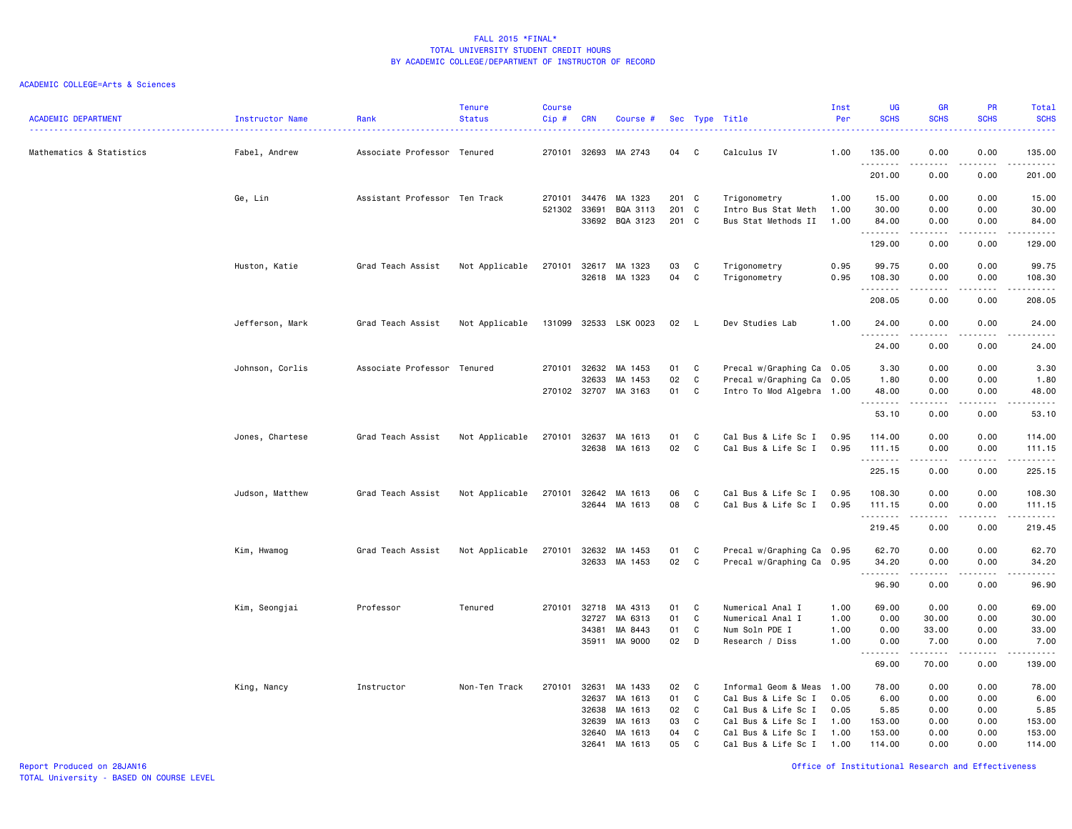| <b>ACADEMIC DEPARTMENT</b> | <b>Instructor Name</b> | Rank                          | <b>Tenure</b><br><b>Status</b> | Course<br>$Cip \#$ | <b>CRN</b>            | Course #             |                |                  | Sec Type Title                                    | Inst<br>Per  | <b>UG</b><br><b>SCHS</b> | <b>GR</b><br><b>SCHS</b>                                                                                                                                     | PR<br><b>SCHS</b>              | Total<br><b>SCHS</b>                                                                                                  |
|----------------------------|------------------------|-------------------------------|--------------------------------|--------------------|-----------------------|----------------------|----------------|------------------|---------------------------------------------------|--------------|--------------------------|--------------------------------------------------------------------------------------------------------------------------------------------------------------|--------------------------------|-----------------------------------------------------------------------------------------------------------------------|
| Mathematics & Statistics   | Fabel, Andrew          | Associate Professor Tenured   |                                |                    | 270101 32693          | MA 2743              | 04             | C                | Calculus IV                                       | 1.00         | 135.00<br>.              | 0.00<br>-----                                                                                                                                                | 0.00<br>.                      | 135.00<br>$\begin{array}{cccccccccc} \bullet & \bullet & \bullet & \bullet & \bullet & \bullet & \bullet \end{array}$ |
|                            |                        |                               |                                |                    |                       |                      |                |                  |                                                   |              | 201.00                   | 0.00                                                                                                                                                         | 0.00                           | 201.00                                                                                                                |
|                            | Ge, Lin                | Assistant Professor Ten Track |                                | 270101             | 34476                 | MA 1323              | 201 C          |                  | Trigonometry                                      | 1.00         | 15.00                    | 0.00                                                                                                                                                         | 0.00                           | 15.00                                                                                                                 |
|                            |                        |                               |                                | 521302             | 33691<br>33692        | BQA 3113<br>BQA 3123 | 201 C<br>201 C |                  | Intro Bus Stat Meth<br>Bus Stat Methods II        | 1.00<br>1.00 | 30.00<br>84.00           | 0.00<br>0.00                                                                                                                                                 | 0.00<br>0.00                   | 30.00<br>84.00                                                                                                        |
|                            |                        |                               |                                |                    |                       |                      |                |                  |                                                   |              | .<br>129.00              | .<br>0.00                                                                                                                                                    | .<br>0.00                      | .<br>129.00                                                                                                           |
|                            | Huston, Katie          | Grad Teach Assist             | Not Applicable                 | 270101             | 32617                 | MA 1323              | 03             | C                | Trigonometry                                      | 0.95         | 99.75                    | 0.00                                                                                                                                                         | 0.00                           | 99.75                                                                                                                 |
|                            |                        |                               |                                |                    |                       | 32618 MA 1323        | 04             | $\mathbf C$      | Trigonometry                                      | 0.95         | 108.30<br>.              | 0.00<br>$\begin{array}{cccccccccccccc} \bullet & \bullet & \bullet & \bullet & \bullet & \bullet & \bullet \end{array}$                                      | 0.00<br><b><i><u>.</u></i></b> | 108.30<br>.                                                                                                           |
|                            |                        |                               |                                |                    |                       |                      |                |                  |                                                   |              | 208.05                   | 0.00                                                                                                                                                         | 0.00                           | 208.05                                                                                                                |
|                            | Jefferson, Mark        | Grad Teach Assist             | Not Applicable                 | 131099             |                       | 32533 LSK 0023       | 02             | - L              | Dev Studies Lab                                   | 1.00         | 24.00<br>.               | 0.00<br>.                                                                                                                                                    | 0.00<br>$\frac{1}{2}$          | 24.00<br>.                                                                                                            |
|                            |                        |                               |                                |                    |                       |                      |                |                  |                                                   |              | 24.00                    | 0.00                                                                                                                                                         | 0.00                           | 24.00                                                                                                                 |
|                            | Johnson, Corlis        | Associate Professor Tenured   |                                | 270101             | 32632                 | MA 1453              | 01             | C                | Precal w/Graphing Ca 0.05                         |              | 3.30                     | 0.00                                                                                                                                                         | 0.00                           | 3.30                                                                                                                  |
|                            |                        |                               |                                |                    | 32633<br>270102 32707 | MA 1453<br>MA 3163   | 02<br>01       | $\mathbf C$<br>C | Precal w/Graphing Ca<br>Intro To Mod Algebra 1.00 | 0.05         | 1.80<br>48.00            | 0.00<br>0.00                                                                                                                                                 | 0.00<br>0.00                   | 1.80<br>48.00                                                                                                         |
|                            |                        |                               |                                |                    |                       |                      |                |                  |                                                   |              | .<br>53.10               | .<br>0.00                                                                                                                                                    | .<br>0.00                      | د د د د د<br>53.10                                                                                                    |
|                            | Jones, Chartese        | Grad Teach Assist             | Not Applicable                 | 270101             | 32637                 | MA 1613              | 01             | C                | Cal Bus & Life Sc I                               | 0.95         | 114.00                   | 0.00                                                                                                                                                         | 0.00                           | 114.00                                                                                                                |
|                            |                        |                               |                                |                    | 32638                 | MA 1613              | 02             | C                | Cal Bus & Life Sc I                               | 0.95         | 111.15                   | 0.00                                                                                                                                                         | 0.00                           | 111.15                                                                                                                |
|                            |                        |                               |                                |                    |                       |                      |                |                  |                                                   |              | .<br>225.15              | 0.00                                                                                                                                                         | 0.00                           | .<br>225.15                                                                                                           |
|                            | Judson, Matthew        | Grad Teach Assist             | Not Applicable                 | 270101             | 32642                 | MA 1613              | 06             | C                | Cal Bus & Life Sc I                               | 0.95         | 108.30                   | 0.00                                                                                                                                                         | 0.00                           | 108.30                                                                                                                |
|                            |                        |                               |                                |                    | 32644                 | MA 1613              | 08             | C                | Cal Bus & Life Sc I                               | 0.95         | 111.15<br>.              | 0.00<br>$\frac{1}{2} \left( \frac{1}{2} \right) \left( \frac{1}{2} \right) \left( \frac{1}{2} \right) \left( \frac{1}{2} \right) \left( \frac{1}{2} \right)$ | 0.00<br>.                      | 111.15<br>.                                                                                                           |
|                            |                        |                               |                                |                    |                       |                      |                |                  |                                                   |              | 219.45                   | 0.00                                                                                                                                                         | 0.00                           | 219.45                                                                                                                |
|                            | Kim, Hwamog            | Grad Teach Assist             | Not Applicable                 | 270101             | 32632                 | MA 1453              | 01             | C                | Precal w/Graphing Ca 0.95                         |              | 62.70                    | 0.00                                                                                                                                                         | 0.00                           | 62.70                                                                                                                 |
|                            |                        |                               |                                |                    |                       | 32633 MA 1453        | 02             | C                | Precal w/Graphing Ca 0.95                         |              | 34.20<br>.               | 0.00<br>-----                                                                                                                                                | 0.00<br>.                      | 34.20<br>.                                                                                                            |
|                            |                        |                               |                                |                    |                       |                      |                |                  |                                                   |              | 96.90                    | 0.00                                                                                                                                                         | 0.00                           | 96.90                                                                                                                 |
|                            | Kim, Seongjai          | Professor                     | Tenured                        | 270101             | 32718                 | MA 4313              | 01             | C                | Numerical Anal I                                  | 1.00         | 69.00                    | 0.00                                                                                                                                                         | 0.00                           | 69.00                                                                                                                 |
|                            |                        |                               |                                |                    | 32727<br>34381        | MA 6313<br>MA 8443   | 01<br>01       | C<br>C           | Numerical Anal I<br>Num Soln PDE I                | 1.00<br>1.00 | 0.00<br>0.00             | 30.00<br>33.00                                                                                                                                               | 0.00<br>0.00                   | 30.00<br>33.00                                                                                                        |
|                            |                        |                               |                                |                    |                       | 35911 MA 9000        | 02             | D                | Research / Diss                                   | 1.00         | 0.00                     | 7.00                                                                                                                                                         | 0.00                           | 7.00                                                                                                                  |
|                            |                        |                               |                                |                    |                       |                      |                |                  |                                                   |              | . <b>.</b><br>69.00      | $- - - - -$<br>70.00                                                                                                                                         | .<br>0.00                      | <u>.</u><br>139.00                                                                                                    |
|                            | King, Nancy            | Instructor                    | Non-Ten Track                  |                    | 270101 32631          | MA 1433              | 02             | C                | Informal Geom & Meas                              | 1.00         | 78.00                    | 0.00                                                                                                                                                         | 0.00                           | 78.00                                                                                                                 |
|                            |                        |                               |                                |                    | 32637                 | MA 1613              | 01             | C                | Cal Bus & Life Sc I                               | 0.05         | 6.00                     | 0.00                                                                                                                                                         | 0.00                           | 6.00                                                                                                                  |
|                            |                        |                               |                                |                    | 32638                 | MA 1613              | 02             | C                | Cal Bus & Life Sc I                               | 0.05         | 5.85                     | 0.00                                                                                                                                                         | 0.00                           | 5.85                                                                                                                  |
|                            |                        |                               |                                |                    | 32639<br>32640        | MA 1613<br>MA 1613   | 03<br>04       | C<br>C           | Cal Bus & Life Sc I<br>Cal Bus & Life Sc I        | 1.00<br>1.00 | 153.00<br>153.00         | 0.00<br>0.00                                                                                                                                                 | 0.00<br>0.00                   | 153.00<br>153.00                                                                                                      |
|                            |                        |                               |                                |                    | 32641                 | MA 1613              | 05             | C                | Cal Bus & Life Sc I                               | 1.00         | 114.00                   | 0.00                                                                                                                                                         | 0.00                           | 114.00                                                                                                                |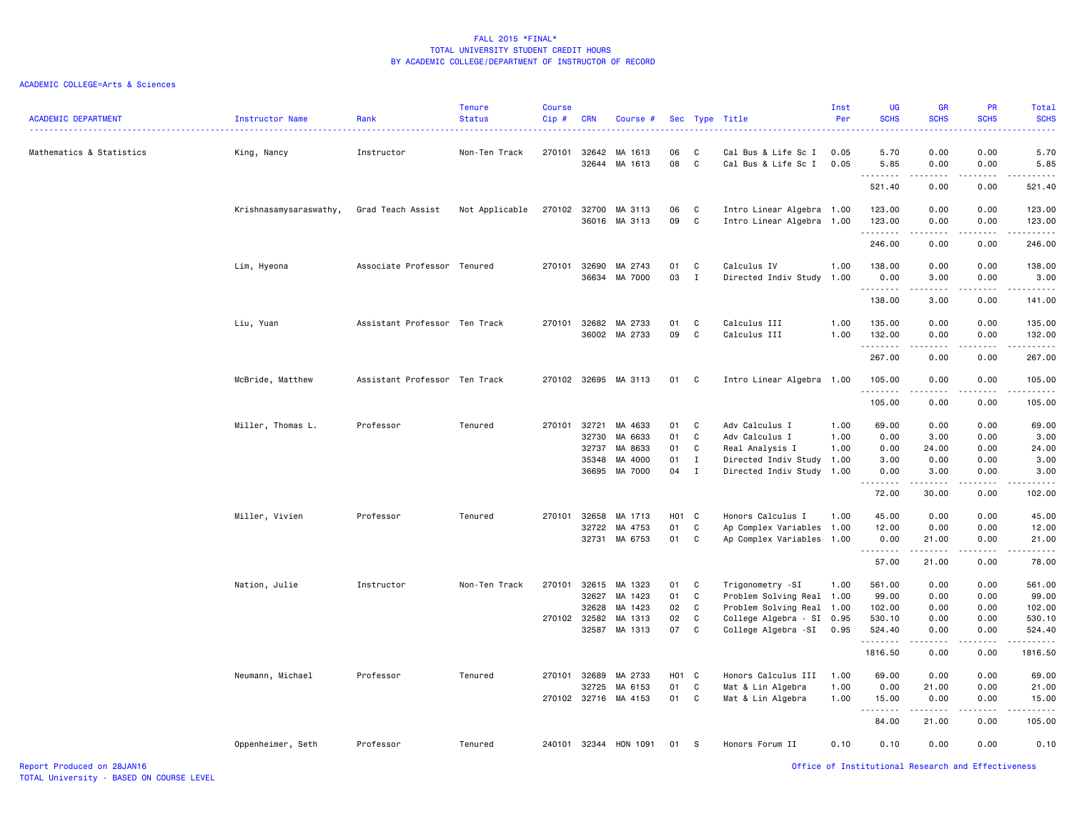| <b>ACADEMIC DEPARTMENT</b> | <b>Instructor Name</b> | Rank                          | <b>Tenure</b><br><b>Status</b> | <b>Course</b><br>Cip# | <b>CRN</b> | Course #             |                   |                | Sec Type Title            | Inst<br>Per | <b>UG</b><br><b>SCHS</b>                           | <b>GR</b><br><b>SCHS</b> | <b>PR</b><br><b>SCHS</b> | Total<br><b>SCHS</b><br>---- |
|----------------------------|------------------------|-------------------------------|--------------------------------|-----------------------|------------|----------------------|-------------------|----------------|---------------------------|-------------|----------------------------------------------------|--------------------------|--------------------------|------------------------------|
| Mathematics & Statistics   | King, Nancy            | Instructor                    | Non-Ten Track                  | 270101                | 32642      | MA 1613              | 06                | C              | Cal Bus & Life Sc I       | 0.05        | 5.70                                               | 0.00                     | 0.00                     | 5.70                         |
|                            |                        |                               |                                |                       |            | 32644 MA 1613        | 08                | $\mathbf{C}$   | Cal Bus & Life Sc I       | 0.05        | 5.85<br>.                                          | 0.00<br><u>.</u>         | 0.00<br>.                | 5.85<br>.                    |
|                            |                        |                               |                                |                       |            |                      |                   |                |                           |             | 521.40                                             | 0.00                     | 0.00                     | 521.40                       |
|                            | Krishnasamysaraswathy, | Grad Teach Assist             | Not Applicable                 | 270102                |            | 32700 MA 3113        | 06                | C              | Intro Linear Algebra 1.00 |             | 123.00                                             | 0.00                     | 0.00                     | 123.00                       |
|                            |                        |                               |                                |                       |            | 36016 MA 3113        | 09                | C              | Intro Linear Algebra 1.00 |             | 123.00                                             | 0.00                     | 0.00                     | 123.00                       |
|                            |                        |                               |                                |                       |            |                      |                   |                |                           |             | .<br>246.00                                        | .<br>0.00                | 22222<br>0.00            | $-2222$<br>246.00            |
|                            | Lim, Hyeona            | Associate Professor           | Tenured                        | 270101                | 32690      | MA 2743              | 01                | C              | Calculus IV               | 1.00        | 138.00                                             | 0.00                     | 0.00                     | 138.00                       |
|                            |                        |                               |                                |                       |            | 36634 MA 7000        | 03                | $\mathbf{I}$   | Directed Indiv Study      | 1.00        | 0.00                                               | 3.00                     | 0.00                     | 3.00                         |
|                            |                        |                               |                                |                       |            |                      |                   |                |                           |             | .<br>138.00                                        | .<br>3.00                | .<br>0.00                | $-2222$<br>141.00            |
|                            |                        |                               |                                |                       |            |                      |                   |                |                           |             |                                                    |                          |                          |                              |
|                            | Liu, Yuan              | Assistant Professor Ten Track |                                | 270101                |            | 32682 MA 2733        | 01                | $\mathbf{C}$   | Calculus III              | 1.00        | 135.00                                             | 0.00                     | 0.00                     | 135.00                       |
|                            |                        |                               |                                |                       |            | 36002 MA 2733        | 09                | C              | Calculus III              | 1.00        | 132.00<br>.                                        | 0.00<br>.                | 0.00<br>.                | 132.00<br>.                  |
|                            |                        |                               |                                |                       |            |                      |                   |                |                           |             | 267.00                                             | 0.00                     | 0.00                     | 267.00                       |
|                            | McBride, Matthew       | Assistant Professor Ten Track |                                |                       |            | 270102 32695 MA 3113 | 01 C              |                | Intro Linear Algebra 1.00 |             | 105.00<br>. <b>.</b>                               | 0.00<br>.                | 0.00                     | 105.00<br>.                  |
|                            |                        |                               |                                |                       |            |                      |                   |                |                           |             | 105.00                                             | 0.00                     | 0.00                     | 105.00                       |
|                            | Miller, Thomas L.      | Professor                     | Tenured                        | 270101                | 32721      | MA 4633              | 01                | $\mathbf{C}$   | Adv Calculus I            | 1.00        | 69.00                                              | 0.00                     | 0.00                     | 69.00                        |
|                            |                        |                               |                                |                       | 32730      | MA 6633              | 01                | C              | Adv Calculus I            | 1.00        | 0.00                                               | 3.00                     | 0.00                     | 3.00                         |
|                            |                        |                               |                                |                       | 32737      | MA 8633              | 01                | C              | Real Analysis I           | 1.00        | 0.00                                               | 24.00                    | 0.00                     | 24.00                        |
|                            |                        |                               |                                |                       | 35348      | MA 4000              | 01                | $\mathbf I$    | Directed Indiv Study      | 1.00        | 3.00                                               | 0.00                     | 0.00                     | 3.00                         |
|                            |                        |                               |                                |                       |            | 36695 MA 7000        | 04                | $\mathbf{I}$   | Directed Indiv Study 1.00 |             | 0.00<br>.                                          | 3.00<br>------           | 0.00<br>22222            | 3.00<br>. <b>.</b>           |
|                            |                        |                               |                                |                       |            |                      |                   |                |                           |             | 72.00                                              | 30.00                    | 0.00                     | 102.00                       |
|                            | Miller, Vivien         | Professor                     | Tenured                        | 270101                | 32658      | MA 1713              | H <sub>01</sub> C |                | Honors Calculus I         | 1.00        | 45.00                                              | 0.00                     | 0.00                     | 45.00                        |
|                            |                        |                               |                                |                       | 32722      | MA 4753              | 01                | C              | Ap Complex Variables 1.00 |             | 12.00                                              | 0.00                     | 0.00                     | 12.00                        |
|                            |                        |                               |                                |                       |            | 32731 MA 6753        | 01                | C              | Ap Complex Variables 1.00 |             | 0.00                                               | 21.00<br>.               | 0.00                     | 21.00<br>.                   |
|                            |                        |                               |                                |                       |            |                      |                   |                |                           |             | 57.00                                              | 21.00                    | 0.00                     | 78.00                        |
|                            | Nation, Julie          | Instructor                    | Non-Ten Track                  | 270101                |            | 32615 MA 1323        | 01                | $\mathbf{C}$   | Trigonometry -SI          | 1.00        | 561.00                                             | 0.00                     | 0.00                     | 561.00                       |
|                            |                        |                               |                                |                       | 32627      | MA 1423              | 01                | C              | Problem Solving Real 1.00 |             | 99.00                                              | 0.00                     | 0.00                     | 99.00                        |
|                            |                        |                               |                                |                       | 32628      | MA 1423              | 02                | C              | Problem Solving Real 1.00 |             | 102.00                                             | 0.00                     | 0.00                     | 102.00                       |
|                            |                        |                               |                                | 270102                | 32582      | MA 1313              | 02                | C.             | College Algebra - SI 0.95 |             | 530.10                                             | 0.00                     | 0.00                     | 530.10                       |
|                            |                        |                               |                                |                       |            | 32587 MA 1313        | 07                | C <sub>c</sub> | College Algebra -SI       | 0.95        | 524.40<br>.                                        | 0.00<br>المتمالين        | 0.00<br>.                | 524.40<br>.                  |
|                            |                        |                               |                                |                       |            |                      |                   |                |                           |             | 1816.50                                            | 0.00                     | 0.00                     | 1816.50                      |
|                            | Neumann, Michael       | Professor                     | Tenured                        | 270101                | 32689      | MA 2733              | H01 C             |                | Honors Calculus III       | 1.00        | 69.00                                              | 0.00                     | 0.00                     | 69.00                        |
|                            |                        |                               |                                |                       | 32725      | MA 6153              | 01                | C              | Mat & Lin Algebra         | 1.00        | 0.00                                               | 21.00                    | 0.00                     | 21.00                        |
|                            |                        |                               |                                |                       |            | 270102 32716 MA 4153 | 01 C              |                | Mat & Lin Algebra         | 1.00        | 15.00<br>.                                         | 0.00<br>. <b>.</b>       | 0.00<br><u>.</u>         | 15.00<br><u>.</u>            |
|                            |                        |                               |                                |                       |            |                      |                   |                |                           |             | 84.00                                              | 21.00                    | 0.00                     | 105.00                       |
|                            | Oppenheimer, Seth      | Professor                     | Tenured                        | 240101                |            | 32344 HON 1091       | 01                | - S            | Honors Forum II           | 0.10        | 0.10                                               | 0.00                     | 0.00                     | 0.10                         |
| Report Produced on 28JAN16 |                        |                               |                                |                       |            |                      |                   |                |                           |             | Office of Institutional Research and Effectiveness |                          |                          |                              |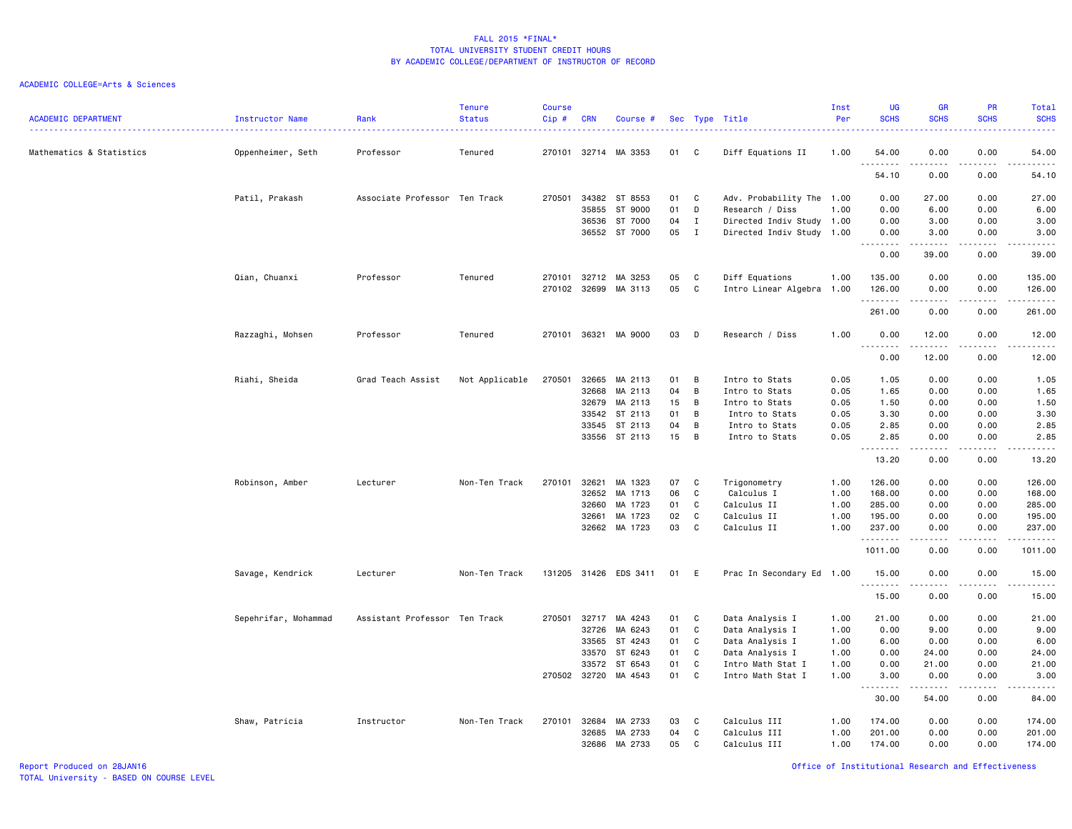| <b>ACADEMIC DEPARTMENT</b> | Instructor Name      | Rank                          | <b>Tenure</b><br><b>Status</b> | <b>Course</b><br>Cip# | <b>CRN</b>   | Course #              |    |                | Sec Type Title            | Inst<br>Per | <b>UG</b><br><b>SCHS</b> | <b>GR</b><br><b>SCHS</b>                                                                                                                             | PR<br><b>SCHS</b> | Total<br><b>SCHS</b><br>.                                                                                                                                     |
|----------------------------|----------------------|-------------------------------|--------------------------------|-----------------------|--------------|-----------------------|----|----------------|---------------------------|-------------|--------------------------|------------------------------------------------------------------------------------------------------------------------------------------------------|-------------------|---------------------------------------------------------------------------------------------------------------------------------------------------------------|
| Mathematics & Statistics   | Oppenheimer, Seth    | Professor                     | Tenured                        |                       | 270101 32714 | MA 3353               | 01 | C.             | Diff Equations II         | 1.00        | 54.00<br>.               | 0.00                                                                                                                                                 | 0.00              | 54.00<br>.                                                                                                                                                    |
|                            |                      |                               |                                |                       |              |                       |    |                |                           |             | 54.10                    | 0.00                                                                                                                                                 | 0.00              | 54.10                                                                                                                                                         |
|                            | Patil, Prakash       | Associate Professor Ten Track |                                | 270501                | 34382        | ST 8553               | 01 | C              | Adv. Probability The 1.00 |             | 0.00                     | 27.00                                                                                                                                                | 0.00              | 27.00                                                                                                                                                         |
|                            |                      |                               |                                |                       | 35855        | ST 9000               | 01 | D              | Research / Diss           | 1.00        | 0.00                     | 6.00                                                                                                                                                 | 0.00              | 6.00                                                                                                                                                          |
|                            |                      |                               |                                |                       | 36536        | ST 7000               | 04 | $\mathbf{I}$   | Directed Indiv Study 1.00 |             | 0.00                     | 3.00                                                                                                                                                 | 0.00              | 3.00                                                                                                                                                          |
|                            |                      |                               |                                |                       |              | 36552 ST 7000         | 05 | $\mathbf{I}$   | Directed Indiv Study 1.00 |             | 0.00<br><u>.</u>         | 3.00<br>.                                                                                                                                            | 0.00<br>.         | 3.00<br>.                                                                                                                                                     |
|                            |                      |                               |                                |                       |              |                       |    |                |                           |             | 0.00                     | 39.00                                                                                                                                                | 0.00              | 39.00                                                                                                                                                         |
|                            | Qian, Chuanxi        | Professor                     | Tenured                        | 270101                | 32712        | MA 3253               | 05 | C              | Diff Equations            | 1.00        | 135.00                   | 0.00                                                                                                                                                 | 0.00              | 135.00                                                                                                                                                        |
|                            |                      |                               |                                | 270102                | 32699        | MA 3113               | 05 | C              | Intro Linear Algebra 1.00 |             | 126.00                   | 0.00                                                                                                                                                 | 0.00              | 126.00                                                                                                                                                        |
|                            |                      |                               |                                |                       |              |                       |    |                |                           |             | .                        | .                                                                                                                                                    | .                 | <u>.</u>                                                                                                                                                      |
|                            |                      |                               |                                |                       |              |                       |    |                |                           |             | 261.00                   | 0.00                                                                                                                                                 | 0.00              | 261.00                                                                                                                                                        |
|                            | Razzaghi, Mohsen     | Professor                     | Tenured                        | 270101                | 36321        | MA 9000               | 03 | D              | Research / Diss           | 1.00        | 0.00                     | 12.00                                                                                                                                                | 0.00              | 12.00<br>.                                                                                                                                                    |
|                            |                      |                               |                                |                       |              |                       |    |                |                           |             | 0.00                     | 12.00                                                                                                                                                | 0.00              | 12.00                                                                                                                                                         |
|                            | Riahi, Sheida        | Grad Teach Assist             | Not Applicable                 | 270501                | 32665        | MA 2113               | 01 | B              | Intro to Stats            | 0.05        | 1.05                     | 0.00                                                                                                                                                 | 0.00              | 1.05                                                                                                                                                          |
|                            |                      |                               |                                |                       | 32668        | MA 2113               | 04 | B              | Intro to Stats            | 0.05        | 1.65                     | 0.00                                                                                                                                                 | 0.00              | 1.65                                                                                                                                                          |
|                            |                      |                               |                                |                       | 32679        | MA 2113               | 15 | $\overline{B}$ | Intro to Stats            | 0.05        | 1.50                     | 0.00                                                                                                                                                 | 0.00              | 1.50                                                                                                                                                          |
|                            |                      |                               |                                |                       | 33542        | ST 2113               | 01 | B              | Intro to Stats            | 0.05        | 3.30                     | 0.00                                                                                                                                                 | 0.00              | 3.30                                                                                                                                                          |
|                            |                      |                               |                                |                       | 33545        | ST 2113               | 04 | B              | Intro to Stats            | 0.05        | 2.85                     | 0.00                                                                                                                                                 | 0.00              | 2.85                                                                                                                                                          |
|                            |                      |                               |                                |                       | 33556        | ST 2113               | 15 | B              | Intro to Stats            | 0.05        | 2.85                     | 0.00                                                                                                                                                 | 0.00              | 2.85                                                                                                                                                          |
|                            |                      |                               |                                |                       |              |                       |    |                |                           |             | .                        | $\frac{1}{2} \left( \frac{1}{2} \right) \left( \frac{1}{2} \right) \left( \frac{1}{2} \right) \left( \frac{1}{2} \right) \left( \frac{1}{2} \right)$ | .                 | $\omega$ is a $\omega$ is                                                                                                                                     |
|                            |                      |                               |                                |                       |              |                       |    |                |                           |             | 13.20                    | 0.00                                                                                                                                                 | 0.00              | 13.20                                                                                                                                                         |
|                            | Robinson, Amber      | Lecturer                      | Non-Ten Track                  | 270101                | 32621        | MA 1323               | 07 | C              | Trigonometry              | 1.00        | 126.00                   | 0.00                                                                                                                                                 | 0.00              | 126.00                                                                                                                                                        |
|                            |                      |                               |                                |                       | 32652        | MA 1713               | 06 | C              | Calculus I                | 1.00        | 168.00                   | 0.00                                                                                                                                                 | 0.00              | 168.00                                                                                                                                                        |
|                            |                      |                               |                                |                       | 32660        | MA 1723               | 01 | C              | Calculus II               | 1.00        | 285.00                   | 0.00                                                                                                                                                 | 0.00              | 285.00                                                                                                                                                        |
|                            |                      |                               |                                |                       | 32661        | MA 1723               | 02 | C              | Calculus II               | 1.00        | 195.00                   | 0.00                                                                                                                                                 | 0.00              | 195.00                                                                                                                                                        |
|                            |                      |                               |                                |                       |              | 32662 MA 1723         | 03 | C              | Calculus II               | 1.00        | 237.00<br>.              | 0.00<br>-----                                                                                                                                        | 0.00              | 237.00<br>$\begin{array}{cccccccccc} \bullet & \bullet & \bullet & \bullet & \bullet & \bullet & \bullet & \bullet \end{array}$                               |
|                            |                      |                               |                                |                       |              |                       |    |                |                           |             | 1011.00                  | 0.00                                                                                                                                                 | 0.00              | 1011.00                                                                                                                                                       |
|                            | Savage, Kendrick     | Lecturer                      | Non-Ten Track                  |                       |              | 131205 31426 EDS 3411 | 01 | E              | Prac In Secondary Ed 1.00 |             | 15.00<br><u>.</u>        | 0.00                                                                                                                                                 | 0.00              | 15.00                                                                                                                                                         |
|                            |                      |                               |                                |                       |              |                       |    |                |                           |             | 15.00                    | 0.00                                                                                                                                                 | 0.00              | $\frac{1}{2} \left( \frac{1}{2} \right) \left( \frac{1}{2} \right) \left( \frac{1}{2} \right) \left( \frac{1}{2} \right) \left( \frac{1}{2} \right)$<br>15.00 |
|                            | Sepehrifar, Mohammad | Assistant Professor Ten Track |                                | 270501 32717          |              | MA 4243               | 01 | C              | Data Analysis I           | 1.00        | 21.00                    | 0.00                                                                                                                                                 | 0.00              | 21.00                                                                                                                                                         |
|                            |                      |                               |                                |                       | 32726        | MA 6243               | 01 | C              | Data Analysis I           | 1.00        | 0.00                     | 9.00                                                                                                                                                 | 0.00              | 9.00                                                                                                                                                          |
|                            |                      |                               |                                |                       | 33565        | ST 4243               | 01 | C              | Data Analysis I           | 1.00        | 6.00                     | 0.00                                                                                                                                                 | 0.00              | 6.00                                                                                                                                                          |
|                            |                      |                               |                                |                       | 33570        | ST 6243               | 01 | C              | Data Analysis I           | 1.00        | 0.00                     | 24.00                                                                                                                                                | 0.00              | 24.00                                                                                                                                                         |
|                            |                      |                               |                                |                       | 33572        | ST 6543               | 01 | C              | Intro Math Stat I         | 1.00        | 0.00                     | 21.00                                                                                                                                                | 0.00              | 21.00                                                                                                                                                         |
|                            |                      |                               |                                | 270502 32720          |              | MA 4543               | 01 | C              | Intro Math Stat I         | 1.00        | 3.00<br>$  -$            | 0.00                                                                                                                                                 | 0.00              | 3.00<br>$\frac{1}{2}$                                                                                                                                         |
|                            |                      |                               |                                |                       |              |                       |    |                |                           |             | 30.00                    | 54.00                                                                                                                                                | 0.00              | 84.00                                                                                                                                                         |
|                            | Shaw, Patricia       | Instructor                    | Non-Ten Track                  | 270101                | 32684        | MA 2733               | 03 | C              | Calculus III              | 1.00        | 174.00                   | 0.00                                                                                                                                                 | 0.00              | 174.00                                                                                                                                                        |
|                            |                      |                               |                                |                       | 32685        | MA 2733               | 04 | C              | Calculus III              | 1.00        | 201.00                   | 0.00                                                                                                                                                 | 0.00              | 201.00                                                                                                                                                        |
|                            |                      |                               |                                |                       | 32686        | MA 2733               | 05 | C              | Calculus III              | 1.00        | 174.00                   | 0.00                                                                                                                                                 | 0.00              | 174.00                                                                                                                                                        |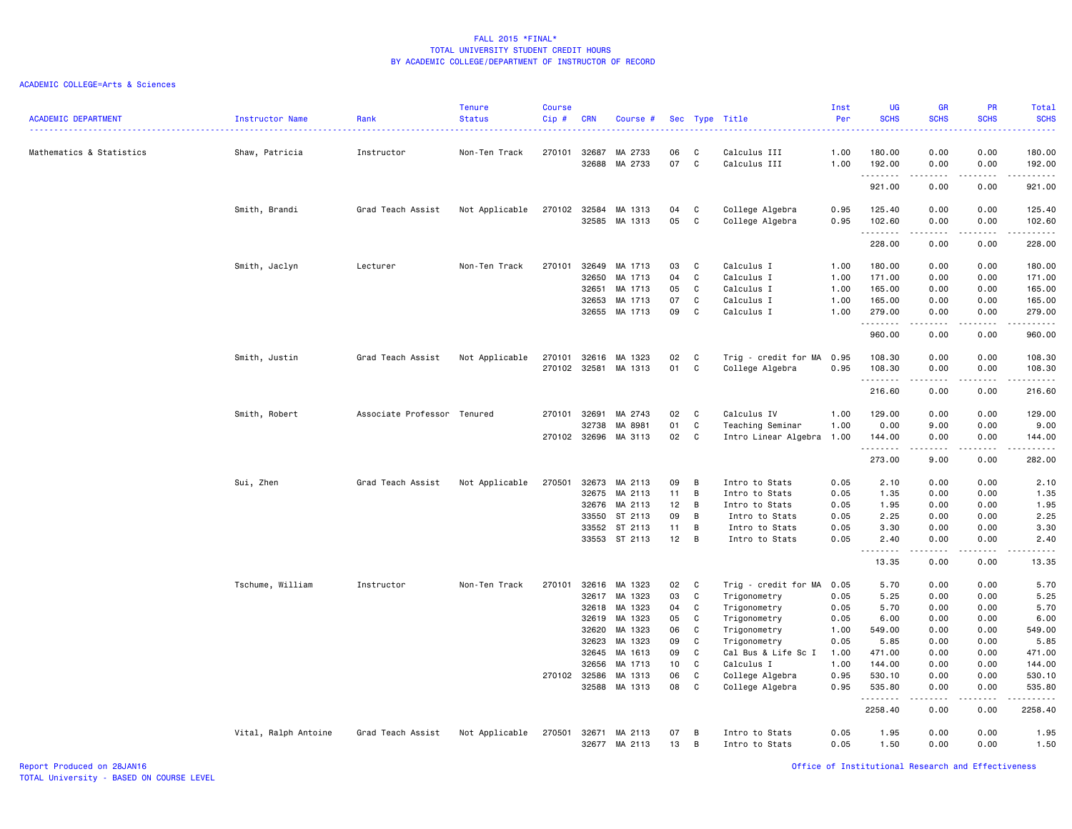| <b>ACADEMIC DEPARTMENT</b> | Instructor Name      | Rank                        | <b>Tenure</b><br><b>Status</b> | Course<br>Cip # | <b>CRN</b>     | Course #           |          |                   | Sec Type Title                                | Inst<br>Per  | UG<br><b>SCHS</b>          | <b>GR</b><br><b>SCHS</b> | PR<br><b>SCHS</b><br>$\omega_{\rm c}$ and $\omega_{\rm c}$ | Total<br><b>SCHS</b><br>.                                                                                                                                                                 |
|----------------------------|----------------------|-----------------------------|--------------------------------|-----------------|----------------|--------------------|----------|-------------------|-----------------------------------------------|--------------|----------------------------|--------------------------|------------------------------------------------------------|-------------------------------------------------------------------------------------------------------------------------------------------------------------------------------------------|
| Mathematics & Statistics   | Shaw, Patricia       | Instructor                  | Non-Ten Track                  | 270101          | 32687          | MA 2733            | 06       | C                 | Calculus III                                  | 1.00         | 180.00                     | 0.00                     | 0.00                                                       | 180.00                                                                                                                                                                                    |
|                            |                      |                             |                                |                 | 32688          | MA 2733            | 07       | $\mathtt{C}$      | Calculus III                                  | 1.00         | 192.00<br>.                | 0.00                     | 0.00<br>$\sim$ $\sim$ $\sim$ $\sim$                        | 192.00<br>------                                                                                                                                                                          |
|                            |                      |                             |                                |                 |                |                    |          |                   |                                               |              | 921.00                     | 0.00                     | 0.00                                                       | 921.00                                                                                                                                                                                    |
|                            | Smith, Brandi        | Grad Teach Assist           | Not Applicable                 | 270102          | 32584          | MA 1313            | 04       | C                 | College Algebra                               | 0.95         | 125.40                     | 0.00                     | 0.00                                                       | 125.40                                                                                                                                                                                    |
|                            |                      |                             |                                |                 | 32585          | MA 1313            | 05       | C                 | College Algebra                               | 0.95         | 102.60                     | 0.00                     | 0.00                                                       | 102.60                                                                                                                                                                                    |
|                            |                      |                             |                                |                 |                |                    |          |                   |                                               |              | .<br>228.00                | 0.00                     | 0.00                                                       | .<br>228.00                                                                                                                                                                               |
|                            | Smith, Jaclyn        | Lecturer                    | Non-Ten Track                  | 270101          | 32649          | MA 1713            | 03       | C                 | Calculus I                                    | 1.00         | 180.00                     | 0.00                     | 0.00                                                       | 180.00                                                                                                                                                                                    |
|                            |                      |                             |                                |                 | 32650          | MA 1713            | 04       | C                 | Calculus I                                    | 1.00         | 171.00                     | 0.00                     | 0.00                                                       | 171.00                                                                                                                                                                                    |
|                            |                      |                             |                                |                 | 32651          | MA 1713            | 05       | C                 | Calculus I                                    | 1.00         | 165.00                     | 0.00                     | 0.00                                                       | 165.00                                                                                                                                                                                    |
|                            |                      |                             |                                |                 | 32653          | MA 1713            | 07       | C                 | Calculus I                                    | 1.00         | 165.00                     | 0.00                     | 0.00                                                       | 165.00                                                                                                                                                                                    |
|                            |                      |                             |                                |                 | 32655          | MA 1713            | 09       | C                 | Calculus I                                    | 1.00         | 279.00<br>.                | 0.00                     | 0.00                                                       | 279.00<br>.                                                                                                                                                                               |
|                            |                      |                             |                                |                 |                |                    |          |                   |                                               |              | 960.00                     | 0.00                     | 0.00                                                       | 960.00                                                                                                                                                                                    |
|                            | Smith, Justin        | Grad Teach Assist           | Not Applicable                 | 270101          | 32616          | MA 1323            | 02       | C                 | Trig - credit for MA                          | 0.95         | 108.30                     | 0.00                     | 0.00                                                       | 108.30                                                                                                                                                                                    |
|                            |                      |                             |                                | 270102          | 32581          | MA 1313            | 01       | C                 | College Algebra                               | 0.95         | 108.30                     | 0.00                     | 0.00                                                       | 108.30                                                                                                                                                                                    |
|                            |                      |                             |                                |                 |                |                    |          |                   |                                               |              | .<br>216.60                | 0.00                     | .<br>0.00                                                  | $\frac{1}{2} \left( \frac{1}{2} \right) \left( \frac{1}{2} \right) \left( \frac{1}{2} \right) \left( \frac{1}{2} \right) \left( \frac{1}{2} \right) \left( \frac{1}{2} \right)$<br>216.60 |
|                            |                      |                             |                                |                 |                |                    |          |                   |                                               |              |                            |                          |                                                            |                                                                                                                                                                                           |
|                            | Smith, Robert        | Associate Professor Tenured |                                | 270101          | 32691          | MA 2743            | 02<br>01 | C<br>C            | Calculus IV                                   | 1.00<br>1.00 | 129.00                     | 0.00                     | 0.00<br>0.00                                               | 129.00                                                                                                                                                                                    |
|                            |                      |                             |                                | 270102 32696    | 32738          | MA 8981<br>MA 3113 | 02       | C                 | Teaching Seminar<br>Intro Linear Algebra 1.00 |              | 0.00<br>144.00             | 9.00<br>0.00             | 0.00                                                       | 9.00<br>144.00                                                                                                                                                                            |
|                            |                      |                             |                                |                 |                |                    |          |                   |                                               |              | 1.1.1.1.1.1.1              | -----                    | .                                                          |                                                                                                                                                                                           |
|                            |                      |                             |                                |                 |                |                    |          |                   |                                               |              | 273.00                     | 9.00                     | 0.00                                                       | 282.00                                                                                                                                                                                    |
|                            | Sui, Zhen            | Grad Teach Assist           | Not Applicable                 | 270501          | 32673          | MA 2113            | 09       | B                 | Intro to Stats                                | 0.05         | 2.10                       | 0.00                     | 0.00                                                       | 2.10                                                                                                                                                                                      |
|                            |                      |                             |                                |                 | 32675          | MA 2113            | 11       | В                 | Intro to Stats                                | 0.05         | 1.35                       | 0.00                     | 0.00                                                       | 1.35                                                                                                                                                                                      |
|                            |                      |                             |                                |                 | 32676          | MA 2113            | 12       | B                 | Intro to Stats                                | 0.05         | 1.95                       | 0.00                     | 0.00                                                       | 1.95                                                                                                                                                                                      |
|                            |                      |                             |                                |                 | 33550          | ST 2113            | 09       | в                 | Intro to Stats                                | 0.05         | 2.25                       | 0.00                     | 0.00                                                       | 2.25                                                                                                                                                                                      |
|                            |                      |                             |                                |                 | 33552          | ST 2113            | 11       | B                 | Intro to Stats                                | 0.05         | 3.30                       | 0.00                     | 0.00                                                       | 3.30                                                                                                                                                                                      |
|                            |                      |                             |                                |                 |                | 33553 ST 2113      | 12       | B                 | Intro to Stats                                | 0.05         | 2.40<br>$\sim$ $\sim$<br>. | 0.00<br>$- - - - -$      | 0.00<br>.                                                  | 2.40<br>.                                                                                                                                                                                 |
|                            |                      |                             |                                |                 |                |                    |          |                   |                                               |              | 13.35                      | 0.00                     | 0.00                                                       | 13.35                                                                                                                                                                                     |
|                            | Tschume, William     | Instructor                  | Non-Ten Track                  | 270101          | 32616          | MA 1323            | 02       | C                 | Trig - credit for MA                          | 0.05         | 5.70                       | 0.00                     | 0.00                                                       | 5.70                                                                                                                                                                                      |
|                            |                      |                             |                                |                 | 32617          | MA 1323            | 03       | C                 | Trigonometry                                  | 0.05         | 5.25                       | 0.00                     | 0.00                                                       | 5.25                                                                                                                                                                                      |
|                            |                      |                             |                                |                 | 32618          | MA 1323            | 04       | C                 | Trigonometry                                  | 0.05         | 5.70                       | 0.00                     | 0.00                                                       | 5.70                                                                                                                                                                                      |
|                            |                      |                             |                                |                 | 32619          | MA 1323            | 05       | C                 | Trigonometry                                  | 0.05         | 6.00                       | 0.00                     | 0.00                                                       | 6.00                                                                                                                                                                                      |
|                            |                      |                             |                                |                 | 32620          | MA 1323            | 06       | C                 | Trigonometry                                  | 1.00         | 549.00                     | 0.00                     | 0.00                                                       | 549.00                                                                                                                                                                                    |
|                            |                      |                             |                                |                 | 32623          | MA 1323            | 09       | C                 | Trigonometry                                  | 0.05         | 5.85                       | 0.00                     | 0.00                                                       | 5.85                                                                                                                                                                                      |
|                            |                      |                             |                                |                 | 32645          | MA 1613            | 09       | C                 | Cal Bus & Life Sc I                           | 1.00         | 471.00                     | 0.00                     | 0.00                                                       | 471.00                                                                                                                                                                                    |
|                            |                      |                             |                                |                 | 32656          | MA 1713            | 10       | C                 | Calculus I                                    | 1.00         | 144.00                     | 0.00                     | 0.00                                                       | 144.00                                                                                                                                                                                    |
|                            |                      |                             |                                | 270102 32586    | 32588          | MA 1313<br>MA 1313 | 06<br>08 | C<br>$\mathsf{C}$ | College Algebra<br>College Algebra            | 0.95<br>0.95 | 530.10<br>535.80           | 0.00<br>0.00             | 0.00<br>0.00                                               | 530.10<br>535.80                                                                                                                                                                          |
|                            |                      |                             |                                |                 |                |                    |          |                   |                                               |              | .                          | -----                    | .                                                          | .                                                                                                                                                                                         |
|                            |                      |                             |                                |                 |                |                    |          |                   |                                               |              | 2258.40                    | 0.00                     | 0.00                                                       | 2258.40                                                                                                                                                                                   |
|                            | Vital, Ralph Antoine | Grad Teach Assist           | Not Applicable                 | 270501          | 32671<br>32677 | MA 2113<br>MA 2113 | 07<br>13 | В<br>В            | Intro to Stats<br>Intro to Stats              | 0.05<br>0.05 | 1.95<br>1.50               | 0.00<br>0.00             | 0.00<br>0.00                                               | 1.95<br>1.50                                                                                                                                                                              |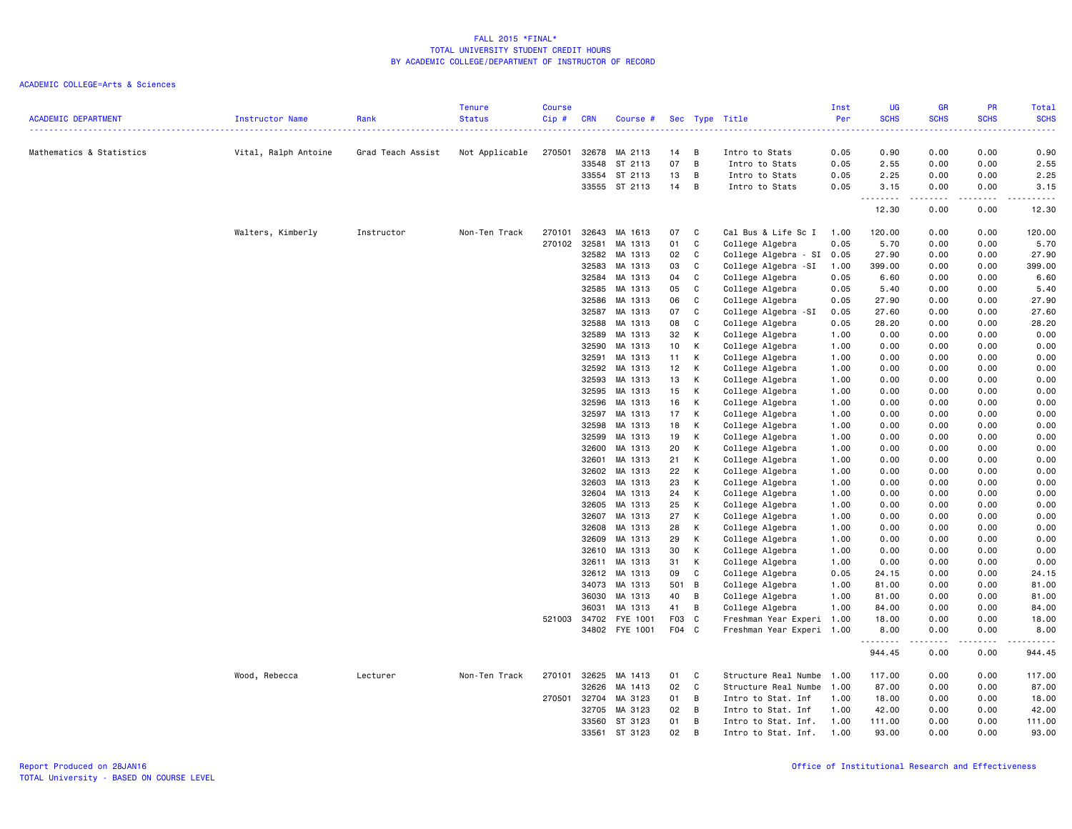| <b>ACADEMIC DEPARTMENT</b> | Instructor Name      | Rank              | <b>Tenure</b><br><b>Status</b> | <b>Course</b><br>Cip# | <b>CRN</b>     | Course #             |       |   | Sec Type Title            | Inst<br>Per | <b>UG</b><br><b>SCHS</b><br>. | GR<br><b>SCHS</b><br><b>.</b> .                                                                                                   | PR<br><b>SCHS</b>     | Total<br><b>SCHS</b><br>$\frac{1}{2} \left( \frac{1}{2} \right) \left( \frac{1}{2} \right) \left( \frac{1}{2} \right) \left( \frac{1}{2} \right) \left( \frac{1}{2} \right)$ |
|----------------------------|----------------------|-------------------|--------------------------------|-----------------------|----------------|----------------------|-------|---|---------------------------|-------------|-------------------------------|-----------------------------------------------------------------------------------------------------------------------------------|-----------------------|------------------------------------------------------------------------------------------------------------------------------------------------------------------------------|
| Mathematics & Statistics   | Vital, Ralph Antoine | Grad Teach Assist | Not Applicable                 | 270501                |                | 32678 MA 2113        | 14    | B | Intro to Stats            | 0.05        | 0.90                          | 0.00                                                                                                                              | 0.00                  | 0.90                                                                                                                                                                         |
|                            |                      |                   |                                |                       |                | 33548 ST 2113        | 07    | B | Intro to Stats            | 0.05        | 2.55                          | 0.00                                                                                                                              | 0.00                  | 2.55                                                                                                                                                                         |
|                            |                      |                   |                                |                       |                | 33554 ST 2113        | 13    | B | Intro to Stats            | 0.05        | 2.25                          | 0.00                                                                                                                              | 0.00                  | 2.25                                                                                                                                                                         |
|                            |                      |                   |                                |                       |                | 33555 ST 2113        | 14    | B | Intro to Stats            | 0.05        | 3.15                          | 0.00                                                                                                                              | 0.00                  | 3.15                                                                                                                                                                         |
|                            |                      |                   |                                |                       |                |                      |       |   |                           |             | <u>.</u><br>12.30             | $\frac{1}{2} \left( \frac{1}{2} \right) \left( \frac{1}{2} \right) \left( \frac{1}{2} \right) \left( \frac{1}{2} \right)$<br>0.00 | $\frac{1}{2}$<br>0.00 | $\frac{1}{2}$<br>12.30                                                                                                                                                       |
|                            | Walters, Kimberly    | Instructor        | Non-Ten Track                  | 270101                |                | 32643 MA 1613        | 07    | C | Cal Bus & Life Sc I       | 1.00        | 120.00                        | 0.00                                                                                                                              | 0.00                  | 120.00                                                                                                                                                                       |
|                            |                      |                   |                                | 270102                | 32581          | MA 1313              | 01    | C | College Algebra           | 0.05        | 5.70                          | 0.00                                                                                                                              | 0.00                  | 5.70                                                                                                                                                                         |
|                            |                      |                   |                                |                       | 32582          | MA 1313              | 02    | C | College Algebra - SI      | 0.05        | 27.90                         | 0.00                                                                                                                              | 0.00                  | 27.90                                                                                                                                                                        |
|                            |                      |                   |                                |                       | 32583          | MA 1313              | 03    | C | College Algebra -SI       | 1.00        | 399.00                        | 0.00                                                                                                                              | 0.00                  | 399.00                                                                                                                                                                       |
|                            |                      |                   |                                |                       | 32584          | MA 1313              | 04    | C | College Algebra           | 0.05        | 6.60                          | 0.00                                                                                                                              | 0.00                  | 6.60                                                                                                                                                                         |
|                            |                      |                   |                                |                       | 32585          | MA 1313              | 05    | C | College Algebra           | 0.05        | 5.40                          | 0.00                                                                                                                              | 0.00                  | 5.40                                                                                                                                                                         |
|                            |                      |                   |                                |                       | 32586          | MA 1313              | 06    | C | College Algebra           | 0.05        | 27.90                         | 0.00                                                                                                                              | 0.00                  | 27.90                                                                                                                                                                        |
|                            |                      |                   |                                |                       | 32587          | MA 1313              | 07    | C | College Algebra -SI       | 0.05        | 27.60                         | 0.00                                                                                                                              | 0.00                  | 27.60                                                                                                                                                                        |
|                            |                      |                   |                                |                       | 32588          | MA 1313              | 08    | C | College Algebra           | 0.05        | 28.20                         | 0.00                                                                                                                              | 0.00                  | 28.20                                                                                                                                                                        |
|                            |                      |                   |                                |                       | 32589          | MA 1313              | 32    | К | College Algebra           | 1.00        | 0.00                          | 0.00                                                                                                                              | 0.00                  | 0.00                                                                                                                                                                         |
|                            |                      |                   |                                |                       | 32590          | MA 1313              | 10    | К | College Algebra           | 1.00        | 0.00                          | 0.00                                                                                                                              | 0.00                  | 0.00                                                                                                                                                                         |
|                            |                      |                   |                                |                       | 32591          | MA 1313              | 11    | К | College Algebra           | 1.00        | 0.00                          | 0.00                                                                                                                              | 0.00                  | 0.00                                                                                                                                                                         |
|                            |                      |                   |                                |                       | 32592          | MA 1313              | 12    | К | College Algebra           | 1.00        | 0.00                          | 0.00                                                                                                                              | 0.00                  | 0.00                                                                                                                                                                         |
|                            |                      |                   |                                |                       | 32593          | MA 1313              | 13    | К | College Algebra           | 1.00        | 0.00                          | 0.00                                                                                                                              | 0.00                  | 0.00                                                                                                                                                                         |
|                            |                      |                   |                                |                       | 32595          | MA 1313              | 15    | К | College Algebra           | 1.00        | 0.00                          | 0.00                                                                                                                              | 0.00                  | 0.00                                                                                                                                                                         |
|                            |                      |                   |                                |                       | 32596          | MA 1313              | 16    | К | College Algebra           | 1.00        | 0.00                          | 0.00                                                                                                                              | 0.00                  | 0.00                                                                                                                                                                         |
|                            |                      |                   |                                |                       | 32597          | MA 1313              | 17    | К | College Algebra           | 1.00        | 0.00                          | 0.00                                                                                                                              | 0.00                  | 0.00                                                                                                                                                                         |
|                            |                      |                   |                                |                       | 32598          | MA 1313              | 18    | К | College Algebra           | 1.00        | 0.00                          | 0.00                                                                                                                              | 0.00                  | 0.00                                                                                                                                                                         |
|                            |                      |                   |                                |                       | 32599          | MA 1313              | 19    | К | College Algebra           | 1.00        | 0.00                          | 0.00                                                                                                                              | 0.00                  | 0.00                                                                                                                                                                         |
|                            |                      |                   |                                |                       | 32600          | MA 1313              | 20    | К | College Algebra           | 1.00        | 0.00                          | 0.00                                                                                                                              | 0.00                  | 0.00                                                                                                                                                                         |
|                            |                      |                   |                                |                       | 32601          | MA 1313              | 21    | К | College Algebra           | 1.00        | 0.00                          | 0.00                                                                                                                              | 0.00                  | 0.00                                                                                                                                                                         |
|                            |                      |                   |                                |                       | 32602          | MA 1313              | 22    | К | College Algebra           | 1.00        | 0.00                          | 0.00                                                                                                                              | 0.00                  | 0.00                                                                                                                                                                         |
|                            |                      |                   |                                |                       | 32603          | MA 1313              | 23    | К | College Algebra           | 1.00        | 0.00                          | 0.00                                                                                                                              | 0.00                  | 0.00                                                                                                                                                                         |
|                            |                      |                   |                                |                       |                | MA 1313              | 24    | К |                           | 1.00        | 0.00                          | 0.00                                                                                                                              | 0.00                  | 0.00                                                                                                                                                                         |
|                            |                      |                   |                                |                       | 32604<br>32605 | MA 1313              | 25    | К | College Algebra           |             |                               | 0.00                                                                                                                              | 0.00                  |                                                                                                                                                                              |
|                            |                      |                   |                                |                       |                | MA 1313              | 27    | К | College Algebra           | 1.00        | 0.00<br>0.00                  |                                                                                                                                   |                       | 0.00<br>0.00                                                                                                                                                                 |
|                            |                      |                   |                                |                       | 32607          |                      |       |   | College Algebra           | 1.00        |                               | 0.00                                                                                                                              | 0.00                  |                                                                                                                                                                              |
|                            |                      |                   |                                |                       | 32608          | MA 1313              | 28    | К | College Algebra           | 1.00        | 0.00                          | 0.00                                                                                                                              | 0.00                  | 0.00                                                                                                                                                                         |
|                            |                      |                   |                                |                       | 32609          | MA 1313              | 29    | К | College Algebra           | 1.00        | 0.00                          | 0.00                                                                                                                              | 0.00                  | 0.00                                                                                                                                                                         |
|                            |                      |                   |                                |                       | 32610          | MA 1313              | 30    | К | College Algebra           | 1.00        | 0.00                          | 0.00                                                                                                                              | 0.00                  | 0.00                                                                                                                                                                         |
|                            |                      |                   |                                |                       | 32611          | MA 1313              | 31    | К | College Algebra           | 1.00        | 0.00                          | 0.00                                                                                                                              | 0.00                  | 0.00                                                                                                                                                                         |
|                            |                      |                   |                                |                       |                | 32612 MA 1313        | 09    | C | College Algebra           | 0.05        | 24.15                         | 0.00                                                                                                                              | 0.00                  | 24.15                                                                                                                                                                        |
|                            |                      |                   |                                |                       |                | 34073 MA 1313        | 501   | B | College Algebra           | 1.00        | 81.00                         | 0.00                                                                                                                              | 0.00                  | 81.00                                                                                                                                                                        |
|                            |                      |                   |                                |                       | 36030          | MA 1313              | 40    | B | College Algebra           | 1.00        | 81.00                         | 0.00                                                                                                                              | 0.00                  | 81.00                                                                                                                                                                        |
|                            |                      |                   |                                |                       | 36031          | MA 1313              | 41    | B | College Algebra           | 1.00        | 84.00                         | 0.00                                                                                                                              | 0.00                  | 84.00                                                                                                                                                                        |
|                            |                      |                   |                                | 521003                | 34702          | FYE 1001             | F03 C |   | Freshman Year Experi 1.00 |             | 18.00                         | 0.00                                                                                                                              | 0.00                  | 18.00                                                                                                                                                                        |
|                            |                      |                   |                                |                       |                | 34802 FYE 1001       | F04 C |   | Freshman Year Experi 1.00 |             | 8.00<br>.                     | 0.00<br>.                                                                                                                         | 0.00<br>.             | 8.00<br>.                                                                                                                                                                    |
|                            |                      |                   |                                |                       |                |                      |       |   |                           |             | 944.45                        | 0.00                                                                                                                              | 0.00                  | 944.45                                                                                                                                                                       |
|                            | Wood, Rebecca        | Lecturer          | Non-Ten Track                  | 270101                | 32625          | MA 1413              | 01    | C | Structure Real Numbe      | 1.00        | 117.00                        | 0.00                                                                                                                              | 0.00                  | 117.00                                                                                                                                                                       |
|                            |                      |                   |                                |                       | 32626          | MA 1413              | 02    | C | Structure Real Numbe 1.00 |             | 87.00                         | 0.00                                                                                                                              | 0.00                  | 87.00                                                                                                                                                                        |
|                            |                      |                   |                                |                       |                | 270501 32704 MA 3123 | 01    | В | Intro to Stat. Inf        | 1.00        | 18.00                         | 0.00                                                                                                                              | 0.00                  | 18.00                                                                                                                                                                        |
|                            |                      |                   |                                |                       | 32705          | MA 3123              | 02    | B | Intro to Stat. Inf        | 1.00        | 42.00                         | 0.00                                                                                                                              | 0.00                  | 42.00                                                                                                                                                                        |
|                            |                      |                   |                                |                       |                | 33560 ST 3123        | 01    | В | Intro to Stat. Inf.       | 1.00        | 111.00                        | 0.00                                                                                                                              | 0.00                  | 111.00                                                                                                                                                                       |
|                            |                      |                   |                                |                       | 33561          | ST 3123              | 02    | B | Intro to Stat, Inf.       | 1.00        | 93.00                         | 0.00                                                                                                                              | 0.00                  | 93.00                                                                                                                                                                        |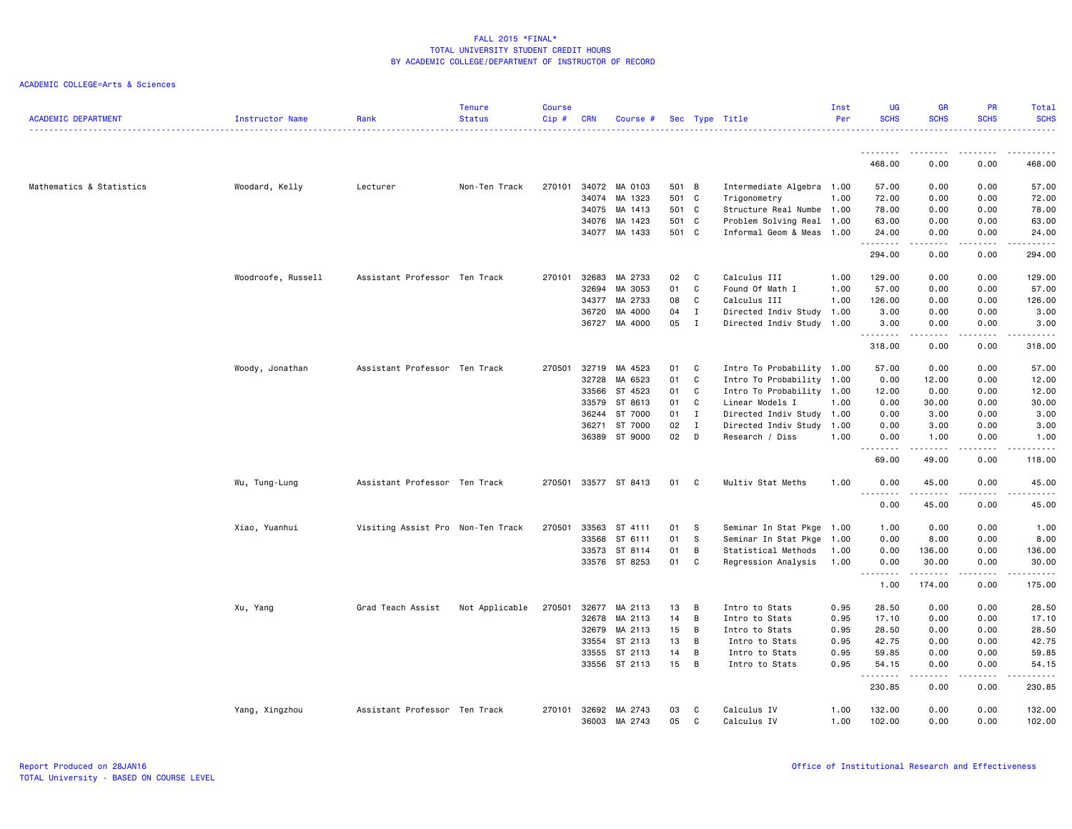| <b>ACADEMIC DEPARTMENT</b> | <b>Instructor Name</b> | Rank                              | <b>Tenure</b><br><b>Status</b> | <b>Course</b><br>Cip# | <b>CRN</b> | Course #      |       |                | Sec Type Title            | Inst<br>Per | UG<br><b>SCHS</b>  | <b>GR</b><br><b>SCHS</b>                                                                                                                                     | <b>PR</b><br><b>SCHS</b> | Total<br><b>SCHS</b>                                                                                                               |
|----------------------------|------------------------|-----------------------------------|--------------------------------|-----------------------|------------|---------------|-------|----------------|---------------------------|-------------|--------------------|--------------------------------------------------------------------------------------------------------------------------------------------------------------|--------------------------|------------------------------------------------------------------------------------------------------------------------------------|
|                            |                        |                                   |                                |                       |            |               |       |                |                           |             | <u>.</u>           | <u>.</u>                                                                                                                                                     | .                        | .                                                                                                                                  |
|                            |                        |                                   |                                |                       |            |               |       |                |                           |             | 468.00             | 0.00                                                                                                                                                         | 0.00                     | 468.00                                                                                                                             |
| Mathematics & Statistics   | Woodard, Kelly         | Lecturer                          | Non-Ten Track                  | 270101                |            | 34072 MA 0103 | 501 B |                | Intermediate Algebra 1.00 |             | 57.00              | 0.00                                                                                                                                                         | 0.00                     | 57.00                                                                                                                              |
|                            |                        |                                   |                                |                       | 34074      | MA 1323       | 501 C |                | Trigonometry              | 1.00        | 72.00              | 0.00                                                                                                                                                         | 0.00                     | 72.00                                                                                                                              |
|                            |                        |                                   |                                |                       | 34075      | MA 1413       | 501 C |                | Structure Real Numbe 1.00 |             | 78.00              | 0.00                                                                                                                                                         | 0.00                     | 78.00                                                                                                                              |
|                            |                        |                                   |                                |                       | 34076      | MA 1423       | 501 C |                | Problem Solving Real 1.00 |             | 63.00              | 0.00                                                                                                                                                         | 0.00                     | 63.00                                                                                                                              |
|                            |                        |                                   |                                |                       | 34077      | MA 1433       | 501 C |                | Informal Geom & Meas 1.00 |             | 24.00<br>.         | 0.00                                                                                                                                                         | 0.00<br>$\frac{1}{2}$    | 24.00<br>$\frac{1}{2}$                                                                                                             |
|                            |                        |                                   |                                |                       |            |               |       |                |                           |             | 294.00             | 0.00                                                                                                                                                         | 0.00                     | 294.00                                                                                                                             |
|                            | Woodroofe, Russell     | Assistant Professor Ten Track     |                                | 270101                | 32683      | MA 2733       | 02    | C              | Calculus III              | 1.00        | 129.00             | 0.00                                                                                                                                                         | 0.00                     | 129.00                                                                                                                             |
|                            |                        |                                   |                                |                       | 32694      | MA 3053       | 01    | C              | Found Of Math I           | 1.00        | 57.00              | 0.00                                                                                                                                                         | 0.00                     | 57.00                                                                                                                              |
|                            |                        |                                   |                                |                       | 34377      | MA 2733       | 08    | C              | Calculus III              | 1.00        | 126.00             | 0.00                                                                                                                                                         | 0.00                     | 126.00                                                                                                                             |
|                            |                        |                                   |                                |                       | 36720      | MA 4000       | 04    | $\mathbf I$    | Directed Indiv Study 1.00 |             | 3.00               | 0.00                                                                                                                                                         | 0.00                     | 3.00                                                                                                                               |
|                            |                        |                                   |                                |                       | 36727      | MA 4000       | 05    | $\mathbf I$    | Directed Indiv Study 1.00 |             | 3.00<br>.          | 0.00<br>.                                                                                                                                                    | 0.00<br>.                | 3.00<br>$\begin{array}{cccccccccccccc} \bullet & \bullet & \bullet & \bullet & \bullet & \bullet & \bullet & \bullet \end{array}$  |
|                            |                        |                                   |                                |                       |            |               |       |                |                           |             | 318.00             | 0.00                                                                                                                                                         | 0.00                     | 318.00                                                                                                                             |
|                            | Woody, Jonathan        | Assistant Professor Ten Track     |                                | 270501                | 32719      | MA 4523       | 01    | C              | Intro To Probability 1.00 |             | 57.00              | 0.00                                                                                                                                                         | 0.00                     | 57.00                                                                                                                              |
|                            |                        |                                   |                                |                       | 32728      | MA 6523       | 01    | $\mathsf{C}$   | Intro To Probability      | 1.00        | 0.00               | 12.00                                                                                                                                                        | 0.00                     | 12.00                                                                                                                              |
|                            |                        |                                   |                                |                       | 33566      | ST 4523       | 01    | C              | Intro To Probability 1.00 |             | 12.00              | 0.00                                                                                                                                                         | 0.00                     | 12.00                                                                                                                              |
|                            |                        |                                   |                                |                       | 33579      | ST 8613       | 01    | C              | Linear Models I           | 1.00        | 0.00               | 30.00                                                                                                                                                        | 0.00                     | 30.00                                                                                                                              |
|                            |                        |                                   |                                |                       | 36244      | ST 7000       | 01    | $\mathbf I$    | Directed Indiv Study 1.00 |             | 0.00               | 3.00                                                                                                                                                         | 0.00                     | 3.00                                                                                                                               |
|                            |                        |                                   |                                |                       | 36271      | ST 7000       | 02    | $\mathbf{I}$   | Directed Indiv Study 1.00 |             | 0.00               | 3.00                                                                                                                                                         | 0.00                     | 3.00                                                                                                                               |
|                            |                        |                                   |                                |                       | 36389      | ST 9000       | 02    | D              | Research / Diss           | 1.00        | 0.00               | 1.00                                                                                                                                                         | 0.00                     | 1.00                                                                                                                               |
|                            |                        |                                   |                                |                       |            |               |       |                |                           |             | .<br>69.00         | .<br>49.00                                                                                                                                                   | .<br>0.00                | .<br>118.00                                                                                                                        |
|                            | Wu, Tung-Lung          | Assistant Professor Ten Track     |                                | 270501                |            | 33577 ST 8413 | 01    | $\mathbf{C}$   | Multiv Stat Meths         | 1.00        | 0.00<br>$- - - -$  | 45.00                                                                                                                                                        | 0.00<br>.                | 45.00<br>.                                                                                                                         |
|                            |                        |                                   |                                |                       |            |               |       |                |                           |             | $  -$<br>0.00      | .<br>45.00                                                                                                                                                   | 0.00                     | 45.00                                                                                                                              |
|                            | Xiao, Yuanhui          | Visiting Assist Pro Non-Ten Track |                                | 270501                | 33563      | ST 4111       | 01    | s              | Seminar In Stat Pkge 1.00 |             | 1.00               | 0.00                                                                                                                                                         | 0.00                     | 1.00                                                                                                                               |
|                            |                        |                                   |                                |                       | 33568      | ST 6111       | 01    | S              | Seminar In Stat Pkge      | 1.00        | 0.00               | 8.00                                                                                                                                                         | 0.00                     | 8.00                                                                                                                               |
|                            |                        |                                   |                                |                       | 33573      | ST 8114       | 01    | В              | Statistical Methods       | 1.00        | 0.00               | 136.00                                                                                                                                                       | 0.00                     | 136.00                                                                                                                             |
|                            |                        |                                   |                                |                       |            | 33576 ST 8253 | 01    | C              | Regression Analysis       | 1.00        | 0.00               | 30.00                                                                                                                                                        | 0.00                     | 30.00                                                                                                                              |
|                            |                        |                                   |                                |                       |            |               |       |                |                           |             | .<br>1.00          | .<br>174.00                                                                                                                                                  | .<br>0.00                | <b></b><br>175.00                                                                                                                  |
|                            | Xu, Yang               | Grad Teach Assist                 | Not Applicable                 | 270501                | 32677      | MA 2113       | 13    | B              | Intro to Stats            | 0.95        | 28.50              | 0.00                                                                                                                                                         | 0.00                     | 28.50                                                                                                                              |
|                            |                        |                                   |                                |                       | 32678      | MA 2113       | 14    | $\overline{B}$ | Intro to Stats            | 0.95        | 17.10              | 0.00                                                                                                                                                         | 0.00                     | 17.10                                                                                                                              |
|                            |                        |                                   |                                |                       | 32679      | MA 2113       | 15    | B              | Intro to Stats            | 0.95        | 28.50              | 0.00                                                                                                                                                         | 0.00                     | 28.50                                                                                                                              |
|                            |                        |                                   |                                |                       | 33554      | ST 2113       | 13    | В              | Intro to Stats            | 0.95        | 42.75              | 0.00                                                                                                                                                         | 0.00                     | 42.75                                                                                                                              |
|                            |                        |                                   |                                |                       | 33555      | ST 2113       | 14    | B              | Intro to Stats            | 0.95        | 59.85              | 0.00                                                                                                                                                         | 0.00                     | 59.85                                                                                                                              |
|                            |                        |                                   |                                |                       |            | 33556 ST 2113 | 15    | B              | Intro to Stats            | 0.95        | 54.15              | 0.00<br>$\frac{1}{2} \left( \frac{1}{2} \right) \left( \frac{1}{2} \right) \left( \frac{1}{2} \right) \left( \frac{1}{2} \right) \left( \frac{1}{2} \right)$ | 0.00<br>.                | 54.15<br>$\begin{array}{cccccccccccccc} \bullet & \bullet & \bullet & \bullet & \bullet & \bullet & \bullet & \bullet \end{array}$ |
|                            |                        |                                   |                                |                       |            |               |       |                |                           |             | --------<br>230.85 | 0.00                                                                                                                                                         | 0.00                     | 230.85                                                                                                                             |
|                            | Yang, Xingzhou         | Assistant Professor Ten Track     |                                | 270101                | 32692      | MA 2743       | 03    | C              | Calculus IV               | 1.00        | 132.00             | 0.00                                                                                                                                                         | 0.00                     | 132.00                                                                                                                             |
|                            |                        |                                   |                                |                       | 36003      | MA 2743       | 05    | C              | Calculus IV               | 1.00        | 102.00             | 0.00                                                                                                                                                         | 0.00                     | 102.00                                                                                                                             |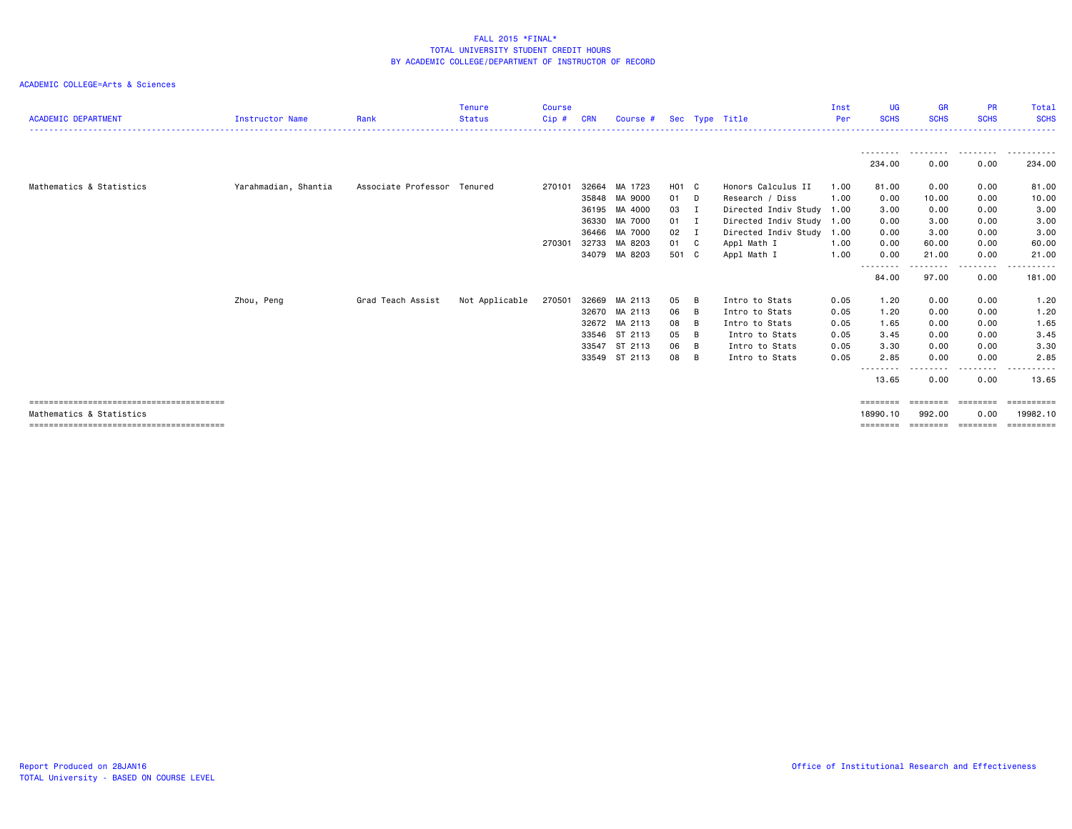|                            |                        |                             | <b>Tenure</b>  | <b>Course</b> |            |               |              |     |                           | Inst | UG                | <b>GR</b>         | <b>PR</b>          | Total                         |
|----------------------------|------------------------|-----------------------------|----------------|---------------|------------|---------------|--------------|-----|---------------------------|------|-------------------|-------------------|--------------------|-------------------------------|
| <b>ACADEMIC DEPARTMENT</b> | <b>Instructor Name</b> | Rank                        | <b>Status</b>  | Cip#          | <b>CRN</b> | Course #      |              |     | Sec Type Title            | Per  | <b>SCHS</b>       | <b>SCHS</b>       | <b>SCHS</b>        | <b>SCHS</b>                   |
|                            |                        |                             |                |               |            |               |              |     |                           |      |                   |                   |                    |                               |
|                            |                        |                             |                |               |            |               |              |     |                           |      | 234.00            | .<br>0.00         | . <i>.</i><br>0.00 | - - - - - - - - - -<br>234.00 |
| Mathematics & Statistics   | Yarahmadian, Shantia   | Associate Professor Tenured |                | 270101        | 32664      | MA 1723       | H01 C        |     | Honors Calculus II        | 1.00 | 81.00             | 0.00              | 0.00               | 81.00                         |
|                            |                        |                             |                |               | 35848      | MA 9000       | 01 D         |     | Research / Diss           | 1.00 | 0.00              | 10.00             | 0.00               | 10.00                         |
|                            |                        |                             |                |               | 36195      | MA 4000       | 03 I         |     | Directed Indiv Study 1.00 |      | 3.00              | 0.00              | 0.00               | 3.00                          |
|                            |                        |                             |                |               | 36330      | MA 7000       | $01$ I       |     | Directed Indiv Study 1.00 |      | 0.00              | 3.00              | 0.00               | 3.00                          |
|                            |                        |                             |                |               | 36466      | MA 7000       | $02 \quad I$ |     | Directed Indiv Study      | 1.00 | 0.00              | 3.00              | 0.00               | 3.00                          |
|                            |                        |                             |                | 270301        | 32733      | MA 8203       | 01 C         |     | Appl Math I               | 1.00 | 0.00              | 60.00             | 0.00               | 60.00                         |
|                            |                        |                             |                |               | 34079      | MA 8203       | 501 C        |     | Appl Math I               | 1.00 | 0.00              | 21.00             | 0.00               | 21.00                         |
|                            |                        |                             |                |               |            |               |              |     |                           |      | --------          | - - - - - - - - - | <u>.</u>           | .                             |
|                            |                        |                             |                |               |            |               |              |     |                           |      | 84.00             | 97.00             | 0.00               | 181.00                        |
|                            | Zhou, Peng             | Grad Teach Assist           | Not Applicable | 270501        | 32669      | MA 2113       | 05           | - B | Intro to Stats            | 0.05 | 1.20              | 0.00              | 0.00               | 1.20                          |
|                            |                        |                             |                |               | 32670      | MA 2113       | 06 B         |     | Intro to Stats            | 0.05 | 1.20              | 0.00              | 0.00               | 1.20                          |
|                            |                        |                             |                |               |            | 32672 MA 2113 | 08           | B   | Intro to Stats            | 0.05 | 1.65              | 0.00              | 0.00               | 1.65                          |
|                            |                        |                             |                |               | 33546      | ST 2113       | 05           | B   | Intro to Stats            | 0.05 | 3.45              | 0.00              | 0.00               | 3.45                          |
|                            |                        |                             |                |               | 33547      | ST 2113       | 06           | B   | Intro to Stats            | 0.05 | 3.30              | 0.00              | 0.00               | 3.30                          |
|                            |                        |                             |                |               | 33549      | ST 2113       | 08           | B   | Intro to Stats            | 0.05 | 2.85              | 0.00              | 0.00               | 2.85                          |
|                            |                        |                             |                |               |            |               |              |     |                           |      | --------<br>13.65 | 0.00              | 0.00               | 13.65                         |
|                            |                        |                             |                |               |            |               |              |     |                           |      | ========          | ========          | ========           | ==========                    |
| Mathematics & Statistics   |                        |                             |                |               |            |               |              |     |                           |      | 18990.10          | 992.00            | 0.00               | 19982.10                      |
|                            |                        |                             |                |               |            |               |              |     |                           |      | ========          |                   |                    | --------                      |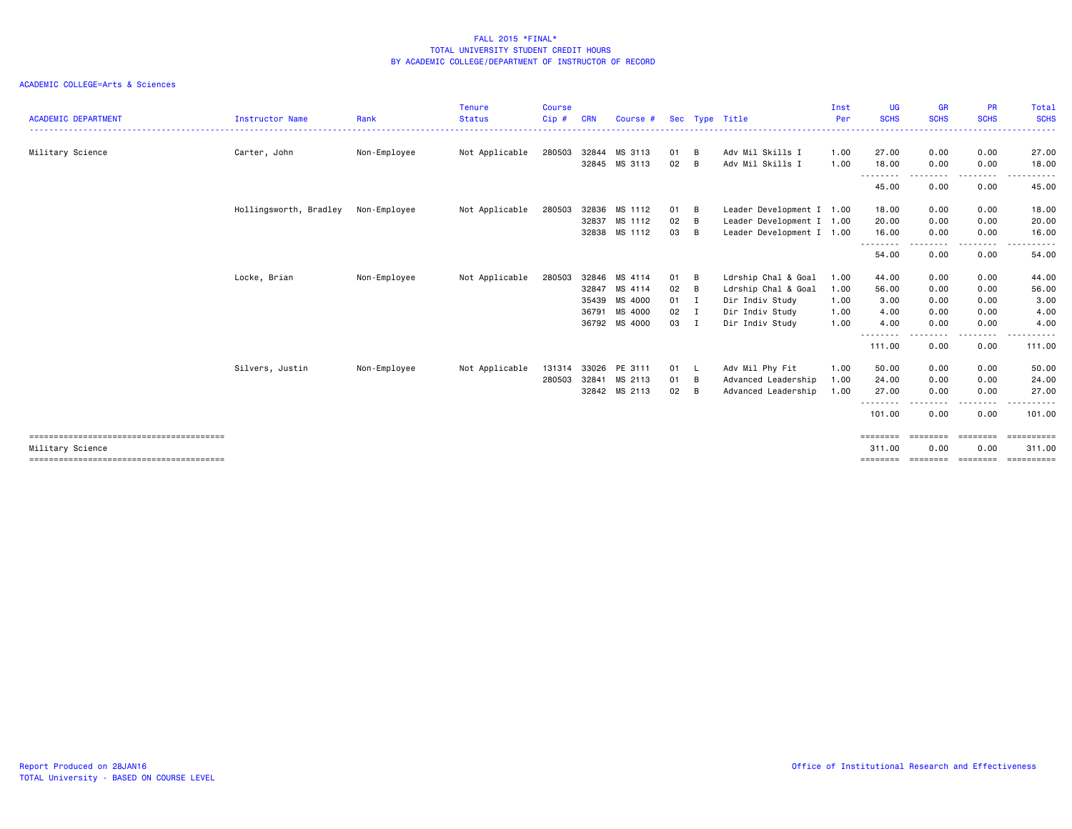| <b>ACADEMIC DEPARTMENT</b> | <b>Instructor Name</b> | Rank         | <b>Tenure</b><br><b>Status</b> | <b>Course</b><br>Cip# | <b>CRN</b> | Course #      |              |     | Sec Type Title            | Inst<br>Per | UG<br><b>SCHS</b>  | <b>GR</b><br><b>SCHS</b> | <b>PR</b><br><b>SCHS</b> | Total<br><b>SCHS</b><br>.  |
|----------------------------|------------------------|--------------|--------------------------------|-----------------------|------------|---------------|--------------|-----|---------------------------|-------------|--------------------|--------------------------|--------------------------|----------------------------|
| Military Science           | Carter, John           | Non-Employee | Not Applicable                 | 280503                | 32844      | MS 3113       | 01           | B   | Adv Mil Skills I          | 1.00        | 27.00              | 0.00                     | 0.00                     | 27.00                      |
|                            |                        |              |                                |                       |            | 32845 MS 3113 | 02           | B   | Adv Mil Skills I          | 1.00        | 18.00              | 0.00                     | 0.00                     | 18.00                      |
|                            |                        |              |                                |                       |            |               |              |     |                           |             | ---------<br>45.00 | --------<br>0.00         | -----<br>0.00            | .<br>45.00                 |
|                            | Hollingsworth, Bradley | Non-Employee | Not Applicable                 | 280503                | 32836      | MS 1112       | 01           | B   | Leader Development I 1.00 |             | 18.00              | 0.00                     | 0.00                     | 18.00                      |
|                            |                        |              |                                |                       | 32837      | MS 1112       | 02           | B   | Leader Development I 1.00 |             | 20.00              | 0.00                     | 0.00                     | 20.00                      |
|                            |                        |              |                                |                       | 32838      | MS 1112       | 03           | B   | Leader Development I 1.00 |             | 16.00              | 0.00                     | 0.00                     | 16.00                      |
|                            |                        |              |                                |                       |            |               |              |     |                           |             | ---------<br>54.00 | $- - -$<br>0.00          | . <b>.</b> .<br>0.00     | .<br>54.00                 |
|                            | Locke, Brian           | Non-Employee | Not Applicable                 | 280503                | 32846      | MS 4114       | 01           | B   | Ldrship Chal & Goal       | 1.00        | 44.00              | 0.00                     | 0.00                     | 44.00                      |
|                            |                        |              |                                |                       | 32847      | MS 4114       | 02           | B   | Ldrship Chal & Goal       | 1.00        | 56.00              | 0.00                     | 0.00                     | 56.00                      |
|                            |                        |              |                                |                       | 35439      | MS 4000       | $01 \quad I$ |     | Dir Indiv Study           | 1.00        | 3.00               | 0.00                     | 0.00                     | 3.00                       |
|                            |                        |              |                                |                       | 36791      | MS 4000       | $02 \quad I$ |     | Dir Indiv Study           | 1.00        | 4.00               | 0.00                     | 0.00                     | 4.00                       |
|                            |                        |              |                                |                       |            | 36792 MS 4000 | 03 I         |     | Dir Indiv Study           | 1.00        | 4.00               | 0.00                     | 0.00                     | 4.00                       |
|                            |                        |              |                                |                       |            |               |              |     |                           |             | --------<br>111.00 | . <b>.</b><br>0.00       | ----<br>0.00             | ------<br>111.00           |
|                            | Silvers, Justin        | Non-Employee | Not Applicable                 | 131314                | 33026      | PE 3111       | 01 L         |     | Adv Mil Phy Fit           | 1.00        | 50.00              | 0.00                     | 0.00                     | 50.00                      |
|                            |                        |              |                                | 280503                | 32841      | MS 2113       | 01           | - B | Advanced Leadership       | 1.00        | 24.00              | 0.00                     | 0.00                     | 24.00                      |
|                            |                        |              |                                |                       |            | 32842 MS 2113 | 02           | B   | Advanced Leadership       | 1.00        | 27.00              | 0.00                     | 0.00                     | 27.00                      |
|                            |                        |              |                                |                       |            |               |              |     |                           |             | --------<br>101.00 | 0.00                     | 0.00                     | 101.00                     |
|                            |                        |              |                                |                       |            |               |              |     |                           |             | ========           | ========                 | ========                 | ==========                 |
| Military Science           |                        |              |                                |                       |            |               |              |     |                           |             | 311.00<br>======== | 0.00<br>========         | 0.00<br>========         | 311.00<br><b>ESSESSEES</b> |
|                            |                        |              |                                |                       |            |               |              |     |                           |             |                    |                          |                          |                            |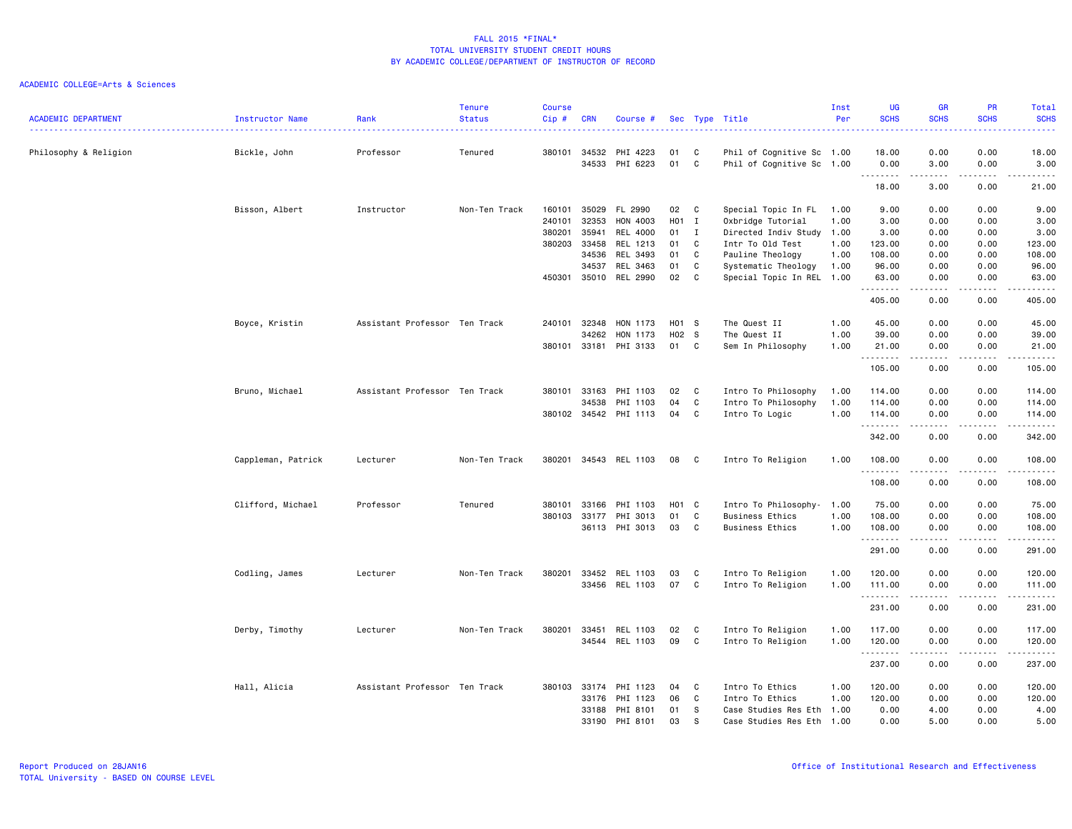|                            |                    |                               | <b>Tenure</b> | <b>Course</b> |              |                |       |              |                           | Inst | UG                              | <b>GR</b>                                                                                                                                                                                                                                                                                                                                    | PR          | Total                                                                                                                                                        |
|----------------------------|--------------------|-------------------------------|---------------|---------------|--------------|----------------|-------|--------------|---------------------------|------|---------------------------------|----------------------------------------------------------------------------------------------------------------------------------------------------------------------------------------------------------------------------------------------------------------------------------------------------------------------------------------------|-------------|--------------------------------------------------------------------------------------------------------------------------------------------------------------|
| <b>ACADEMIC DEPARTMENT</b> | Instructor Name    | Rank<br>------------------    | <b>Status</b> | Cip#          | <b>CRN</b>   | Course #       |       |              | Sec Type Title            | Per  | <b>SCHS</b>                     | <b>SCHS</b>                                                                                                                                                                                                                                                                                                                                  | <b>SCHS</b> | <b>SCHS</b><br>22222                                                                                                                                         |
| Philosophy & Religion      | Bickle, John       | Professor                     | Tenured       | 380101        | 34532        | PHI 4223       | 01    | C            | Phil of Cognitive Sc 1.00 |      | 18.00                           | 0.00                                                                                                                                                                                                                                                                                                                                         | 0.00        | 18.00                                                                                                                                                        |
|                            |                    |                               |               |               | 34533        | PHI 6223       | 01    | C            | Phil of Cognitive Sc 1.00 |      | 0.00<br>.                       | 3.00<br>-----                                                                                                                                                                                                                                                                                                                                | 0.00<br>.   | 3.00<br>$\frac{1}{2} \left( \frac{1}{2} \right) \left( \frac{1}{2} \right) \left( \frac{1}{2} \right) \left( \frac{1}{2} \right) \left( \frac{1}{2} \right)$ |
|                            |                    |                               |               |               |              |                |       |              |                           |      | 18.00                           | 3.00                                                                                                                                                                                                                                                                                                                                         | 0.00        | 21.00                                                                                                                                                        |
|                            | Bisson, Albert     | Instructor                    | Non-Ten Track | 160101        | 35029        | FL 2990        | 02    | $\mathbf{C}$ | Special Topic In FL       | 1.00 | 9.00                            | 0.00                                                                                                                                                                                                                                                                                                                                         | 0.00        | 9.00                                                                                                                                                         |
|                            |                    |                               |               | 240101        | 32353        | HON 4003       | H01 I |              | Oxbridge Tutorial         | 1.00 | 3.00                            | 0.00                                                                                                                                                                                                                                                                                                                                         | 0.00        | 3.00                                                                                                                                                         |
|                            |                    |                               |               | 380201        | 35941        | REL 4000       | 01    | $\mathbf{I}$ | Directed Indiv Study 1.00 |      | 3.00                            | 0.00                                                                                                                                                                                                                                                                                                                                         | 0.00        | 3.00                                                                                                                                                         |
|                            |                    |                               |               | 380203        | 33458        | REL 1213       | 01    | C.           | Intr To Old Test          | 1.00 | 123.00                          | 0.00                                                                                                                                                                                                                                                                                                                                         | 0.00        | 123.00                                                                                                                                                       |
|                            |                    |                               |               |               | 34536        | REL 3493       | 01    | C            | Pauline Theology          | 1.00 | 108.00                          | 0.00                                                                                                                                                                                                                                                                                                                                         | 0.00        | 108.00                                                                                                                                                       |
|                            |                    |                               |               |               | 34537        | REL 3463       | 01    | C            | Systematic Theology       | 1.00 | 96.00                           | 0.00                                                                                                                                                                                                                                                                                                                                         | 0.00        | 96.00                                                                                                                                                        |
|                            |                    |                               |               | 450301        | 35010        | REL 2990       | 02    | C            | Special Topic In REL 1.00 |      | 63.00<br>.                      | 0.00                                                                                                                                                                                                                                                                                                                                         | 0.00<br>.   | 63.00<br>.                                                                                                                                                   |
|                            |                    |                               |               |               |              |                |       |              |                           |      | 405.00                          | -----<br>0.00                                                                                                                                                                                                                                                                                                                                | 0.00        | 405.00                                                                                                                                                       |
|                            | Boyce, Kristin     | Assistant Professor Ten Track |               | 240101        | 32348        | HON 1173       | H01 S |              | The Quest II              | 1.00 | 45.00                           | 0.00                                                                                                                                                                                                                                                                                                                                         | 0.00        | 45.00                                                                                                                                                        |
|                            |                    |                               |               |               | 34262        | HON 1173       | H02 S |              | The Quest II              | 1.00 | 39.00                           | 0.00                                                                                                                                                                                                                                                                                                                                         | 0.00        | 39.00                                                                                                                                                        |
|                            |                    |                               |               | 380101        | 33181        | PHI 3133       | 01 C  |              | Sem In Philosophy         | 1.00 | 21.00<br>.                      | 0.00<br>-----                                                                                                                                                                                                                                                                                                                                | 0.00<br>.   | 21.00<br>.                                                                                                                                                   |
|                            |                    |                               |               |               |              |                |       |              |                           |      | 105.00                          | 0.00                                                                                                                                                                                                                                                                                                                                         | 0.00        | 105.00                                                                                                                                                       |
|                            | Bruno, Michael     | Assistant Professor Ten Track |               | 380101        | 33163        | PHI 1103       | 02    | C            | Intro To Philosophy       | 1.00 | 114.00                          | 0.00                                                                                                                                                                                                                                                                                                                                         | 0.00        | 114.00                                                                                                                                                       |
|                            |                    |                               |               |               | 34538        | PHI 1103       | 04    | C            | Intro To Philosophy       | 1.00 | 114.00                          | 0.00                                                                                                                                                                                                                                                                                                                                         | 0.00        | 114.00                                                                                                                                                       |
|                            |                    |                               |               |               | 380102 34542 | PHI 1113       | 04    | C            | Intro To Logic            | 1.00 | 114.00<br>.                     | 0.00<br>.                                                                                                                                                                                                                                                                                                                                    | 0.00<br>.   | 114.00<br>.                                                                                                                                                  |
|                            |                    |                               |               |               |              |                |       |              |                           |      | 342.00                          | 0.00                                                                                                                                                                                                                                                                                                                                         | 0.00        | 342.00                                                                                                                                                       |
|                            | Cappleman, Patrick | Lecturer                      | Non-Ten Track | 380201        | 34543        | REL 1103       | 08    | $\mathbf{C}$ | Intro To Religion         | 1.00 | 108.00<br>.                     | 0.00<br>$\frac{1}{2} \left( \frac{1}{2} \right) \left( \frac{1}{2} \right) \left( \frac{1}{2} \right) \left( \frac{1}{2} \right) \left( \frac{1}{2} \right)$                                                                                                                                                                                 | 0.00<br>.   | 108.00<br>.                                                                                                                                                  |
|                            |                    |                               |               |               |              |                |       |              |                           |      | 108.00                          | 0.00                                                                                                                                                                                                                                                                                                                                         | 0.00        | 108.00                                                                                                                                                       |
|                            | Clifford, Michael  | Professor                     | Tenured       | 380101        | 33166        | PHI 1103       | H01   | $\mathbf{C}$ | Intro To Philosophy-      | 1.00 | 75.00                           | 0.00                                                                                                                                                                                                                                                                                                                                         | 0.00        | 75.00                                                                                                                                                        |
|                            |                    |                               |               | 380103        | 33177        | PHI 3013       | 01    | C            | <b>Business Ethics</b>    | 1.00 | 108.00                          | 0.00                                                                                                                                                                                                                                                                                                                                         | 0.00        | 108.00                                                                                                                                                       |
|                            |                    |                               |               |               |              | 36113 PHI 3013 | 03    | C.           | <b>Business Ethics</b>    | 1.00 | 108.00                          | 0.00                                                                                                                                                                                                                                                                                                                                         | 0.00        | 108.00                                                                                                                                                       |
|                            |                    |                               |               |               |              |                |       |              |                           |      | .<br>291.00                     | $\frac{1}{2} \left( \begin{array}{ccc} 1 & 0 & 0 & 0 \\ 0 & 0 & 0 & 0 \\ 0 & 0 & 0 & 0 \\ 0 & 0 & 0 & 0 \\ 0 & 0 & 0 & 0 \\ 0 & 0 & 0 & 0 \\ 0 & 0 & 0 & 0 \\ 0 & 0 & 0 & 0 \\ 0 & 0 & 0 & 0 \\ 0 & 0 & 0 & 0 \\ 0 & 0 & 0 & 0 & 0 \\ 0 & 0 & 0 & 0 & 0 \\ 0 & 0 & 0 & 0 & 0 \\ 0 & 0 & 0 & 0 & 0 \\ 0 & 0 & 0 & 0 & 0 \\ 0 & 0 & 0$<br>0.00 | .<br>0.00   | .<br>291.00                                                                                                                                                  |
|                            | Codling, James     | Lecturer                      | Non-Ten Track | 380201        | 33452        | REL 1103       | 03    | C            | Intro To Religion         | 1.00 | 120.00                          | 0.00                                                                                                                                                                                                                                                                                                                                         | 0.00        | 120.00                                                                                                                                                       |
|                            |                    |                               |               |               | 33456        | REL 1103       | 07    | C            | Intro To Religion         | 1.00 | 111.00                          | 0.00                                                                                                                                                                                                                                                                                                                                         | 0.00        | 111.00                                                                                                                                                       |
|                            |                    |                               |               |               |              |                |       |              |                           |      | <u> - - - - - - -</u><br>231.00 | 0.00                                                                                                                                                                                                                                                                                                                                         | 0.00        | $\sim$ $\sim$ $\sim$ $\sim$ $\sim$ $\sim$<br>231.00                                                                                                          |
|                            | Derby, Timothy     | Lecturer                      | Non-Ten Track | 380201        | 33451        | REL 1103       | 02    | C            | Intro To Religion         | 1.00 | 117.00                          | 0.00                                                                                                                                                                                                                                                                                                                                         | 0.00        | 117.00                                                                                                                                                       |
|                            |                    |                               |               |               | 34544        | REL 1103       | 09    | C            | Intro To Religion         | 1.00 | 120.00<br>.                     | 0.00                                                                                                                                                                                                                                                                                                                                         | 0.00        | 120.00<br>2.2.2.2.2.2                                                                                                                                        |
|                            |                    |                               |               |               |              |                |       |              |                           |      | 237.00                          | 0.00                                                                                                                                                                                                                                                                                                                                         | 0.00        | 237.00                                                                                                                                                       |
|                            | Hall, Alicia       | Assistant Professor Ten Track |               | 380103        | 33174        | PHI 1123       | 04    | C            | Intro To Ethics           | 1.00 | 120.00                          | 0.00                                                                                                                                                                                                                                                                                                                                         | 0.00        | 120.00                                                                                                                                                       |
|                            |                    |                               |               |               | 33176        | PHI 1123       | 06    | C            | Intro To Ethics           | 1.00 | 120.00                          | 0.00                                                                                                                                                                                                                                                                                                                                         | 0.00        | 120.00                                                                                                                                                       |
|                            |                    |                               |               |               | 33188        | PHI 8101       | 01    | s.           | Case Studies Res Eth 1.00 |      | 0.00                            | 4.00                                                                                                                                                                                                                                                                                                                                         | 0.00        | 4.00                                                                                                                                                         |
|                            |                    |                               |               |               | 33190        | PHI 8101       | 03    | S            | Case Studies Res Eth      | 1.00 | 0.00                            | 5.00                                                                                                                                                                                                                                                                                                                                         | 0.00        | 5.00                                                                                                                                                         |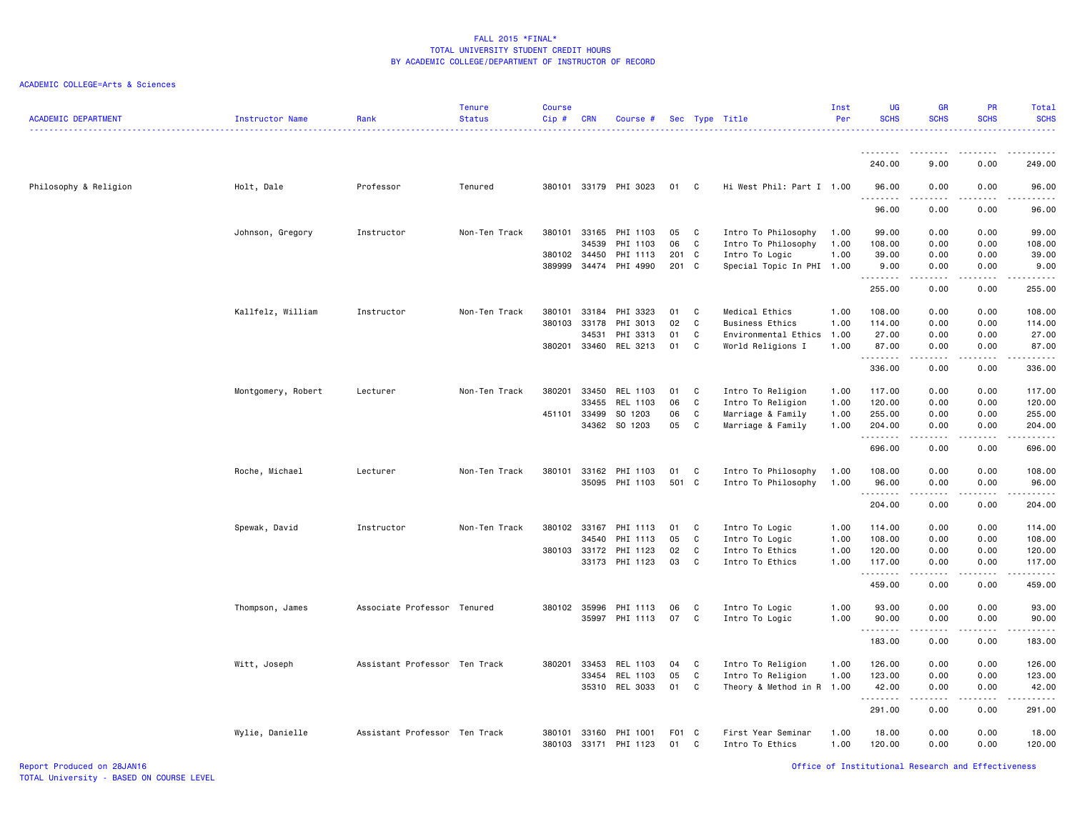### ACADEMIC COLLEGE=Arts & Sciences

| <b>ACADEMIC DEPARTMENT</b> | Instructor Name    | Rank                          | <b>Tenure</b><br><b>Status</b> | <b>Course</b><br>Cip# | <b>CRN</b>     | Course #                   |           |             | Sec Type Title                              | Inst<br>Per  | <b>UG</b><br><b>SCHS</b><br><u>.</u> | <b>GR</b><br><b>SCHS</b>                                                                                                                                     | <b>PR</b><br><b>SCHS</b>                                                                                                  | Total<br><b>SCHS</b><br><u>.</u>                                                                            |
|----------------------------|--------------------|-------------------------------|--------------------------------|-----------------------|----------------|----------------------------|-----------|-------------|---------------------------------------------|--------------|--------------------------------------|--------------------------------------------------------------------------------------------------------------------------------------------------------------|---------------------------------------------------------------------------------------------------------------------------|-------------------------------------------------------------------------------------------------------------|
|                            |                    |                               |                                |                       |                |                            |           |             |                                             |              | 240.00                               | 9.00                                                                                                                                                         | 0.00                                                                                                                      | 249,00                                                                                                      |
|                            |                    |                               |                                |                       |                | 380101 33179 PHI 3023      | 01 C      |             | Hi West Phil: Part I 1.00                   |              | 96.00                                |                                                                                                                                                              | 0.00                                                                                                                      |                                                                                                             |
| Philosophy & Religion      | Holt, Dale         | Professor                     | Tenured                        |                       |                |                            |           |             |                                             |              | <u>.</u>                             | 0.00                                                                                                                                                         |                                                                                                                           | 96.00<br>.                                                                                                  |
|                            |                    |                               |                                |                       |                |                            |           |             |                                             |              | 96.00                                | 0.00                                                                                                                                                         | 0.00                                                                                                                      | 96.00                                                                                                       |
|                            | Johnson, Gregory   | Instructor                    | Non-Ten Track                  | 380101                | 33165          | PHI 1103                   | 05        | C.          | Intro To Philosophy                         | 1.00         | 99.00                                | 0.00                                                                                                                                                         | 0.00                                                                                                                      | 99.00                                                                                                       |
|                            |                    |                               |                                | 380102                | 34539<br>34450 | PHI 1103                   | 06<br>201 | C           | Intro To Philosophy                         | 1.00<br>1.00 | 108.00<br>39.00                      | 0.00                                                                                                                                                         | 0.00<br>0.00                                                                                                              | 108.00<br>39.00                                                                                             |
|                            |                    |                               |                                | 389999                |                | PHI 1113<br>34474 PHI 4990 | 201 C     | C           | Intro To Logic<br>Special Topic In PHI 1.00 |              | 9.00                                 | 0.00<br>0.00                                                                                                                                                 | 0.00                                                                                                                      | 9.00                                                                                                        |
|                            |                    |                               |                                |                       |                |                            |           |             |                                             |              | .                                    | -----                                                                                                                                                        |                                                                                                                           | $\begin{array}{cccccccccc} \bullet & \bullet & \bullet & \bullet & \bullet & \bullet & \bullet \end{array}$ |
|                            |                    |                               |                                |                       |                |                            |           |             |                                             |              | 255.00                               | 0.00                                                                                                                                                         | 0.00                                                                                                                      | 255.00                                                                                                      |
|                            | Kallfelz, William  | Instructor                    | Non-Ten Track                  | 380101                | 33184          | PHI 3323                   | 01        | C           | Medical Ethics                              | 1.00         | 108.00                               | 0.00                                                                                                                                                         | 0.00                                                                                                                      | 108.00                                                                                                      |
|                            |                    |                               |                                | 380103                | 33178          | PHI 3013                   | 02        | $\mathbf c$ | <b>Business Ethics</b>                      | 1.00         | 114.00                               | 0.00                                                                                                                                                         | 0.00                                                                                                                      | 114.00                                                                                                      |
|                            |                    |                               |                                |                       | 34531          | PHI 3313                   | 01        | C           | Environmental Ethics                        | 1.00         | 27.00                                | 0.00                                                                                                                                                         | 0.00                                                                                                                      | 27.00                                                                                                       |
|                            |                    |                               |                                | 380201                | 33460          | REL 3213                   | 01        | C           | World Religions I                           | 1.00         | 87.00<br>.                           | 0.00<br>-----                                                                                                                                                | 0.00<br>.                                                                                                                 | 87.00<br>.                                                                                                  |
|                            |                    |                               |                                |                       |                |                            |           |             |                                             |              | 336.00                               | 0.00                                                                                                                                                         | 0.00                                                                                                                      | 336.00                                                                                                      |
|                            | Montgomery, Robert | Lecturer                      | Non-Ten Track                  | 380201                | 33450          | REL 1103                   | 01        | C           | Intro To Religion                           | 1.00         | 117.00                               | 0.00                                                                                                                                                         | 0.00                                                                                                                      | 117.00                                                                                                      |
|                            |                    |                               |                                |                       | 33455          | REL 1103                   | 06        | C           | Intro To Religion                           | 1.00         | 120.00                               | 0.00                                                                                                                                                         | 0.00                                                                                                                      | 120.00                                                                                                      |
|                            |                    |                               |                                | 451101                | 33499          | SO 1203                    | 06        | C           | Marriage & Family                           | 1.00         | 255.00                               | 0.00                                                                                                                                                         | 0.00                                                                                                                      | 255.00                                                                                                      |
|                            |                    |                               |                                |                       |                | 34362 SO 1203              | 05        | C           | Marriage & Family                           | 1.00         | 204.00<br>.                          | 0.00<br>$\frac{1}{2} \left( \frac{1}{2} \right) \left( \frac{1}{2} \right) \left( \frac{1}{2} \right) \left( \frac{1}{2} \right) \left( \frac{1}{2} \right)$ | 0.00<br>.                                                                                                                 | 204.00<br>.                                                                                                 |
|                            |                    |                               |                                |                       |                |                            |           |             |                                             |              | 696.00                               | 0.00                                                                                                                                                         | 0.00                                                                                                                      | 696.00                                                                                                      |
|                            | Roche, Michael     | Lecturer                      | Non-Ten Track                  | 380101                | 33162          | PHI 1103                   | 01        | C           | Intro To Philosophy                         | 1.00         | 108.00                               | 0.00                                                                                                                                                         | 0.00                                                                                                                      | 108.00                                                                                                      |
|                            |                    |                               |                                |                       | 35095          | PHI 1103                   | 501       | C           | Intro To Philosophy                         | 1.00         | 96.00                                | 0.00                                                                                                                                                         | 0.00                                                                                                                      | 96.00                                                                                                       |
|                            |                    |                               |                                |                       |                |                            |           |             |                                             |              | .                                    | $\frac{1}{2} \left( \frac{1}{2} \right) \left( \frac{1}{2} \right) \left( \frac{1}{2} \right) \left( \frac{1}{2} \right) \left( \frac{1}{2} \right)$         | .                                                                                                                         | .                                                                                                           |
|                            |                    |                               |                                |                       |                |                            |           |             |                                             |              | 204.00                               | 0.00                                                                                                                                                         | 0.00                                                                                                                      | 204.00                                                                                                      |
|                            | Spewak, David      | Instructor                    | Non-Ten Track                  | 380102                | 33167          | PHI 1113                   | 01        | C           | Intro To Logic                              | 1.00         | 114.00                               | 0.00                                                                                                                                                         | 0.00                                                                                                                      | 114.00                                                                                                      |
|                            |                    |                               |                                |                       | 34540          | PHI 1113                   | 05        | C           | Intro To Logic                              | 1.00         | 108.00                               | 0.00                                                                                                                                                         | 0.00                                                                                                                      | 108.00                                                                                                      |
|                            |                    |                               |                                | 380103 33172          |                | PHI 1123                   | 02        | C           | Intro To Ethics                             | 1.00         | 120.00                               | 0.00                                                                                                                                                         | 0.00                                                                                                                      | 120.00                                                                                                      |
|                            |                    |                               |                                |                       | 33173          | PHI 1123                   | 03        | C           | Intro To Ethics                             | 1.00         | 117.00<br>.                          | 0.00<br>$\frac{1}{2} \left( \frac{1}{2} \right) \left( \frac{1}{2} \right) \left( \frac{1}{2} \right) \left( \frac{1}{2} \right) \left( \frac{1}{2} \right)$ | 0.00<br>.                                                                                                                 | 117.00<br>.                                                                                                 |
|                            |                    |                               |                                |                       |                |                            |           |             |                                             |              | 459.00                               | 0.00                                                                                                                                                         | 0.00                                                                                                                      | 459.00                                                                                                      |
|                            | Thompson, James    | Associate Professor Tenured   |                                | 380102 35996          |                | PHI 1113                   | 06        | C           | Intro To Logic                              | 1.00         | 93.00                                | 0.00                                                                                                                                                         | 0.00                                                                                                                      | 93.00                                                                                                       |
|                            |                    |                               |                                |                       | 35997          | PHI 1113                   | 07        | C           | Intro To Logic                              | 1.00         | 90.00                                | 0.00                                                                                                                                                         | 0.00                                                                                                                      | 90.00                                                                                                       |
|                            |                    |                               |                                |                       |                |                            |           |             |                                             |              | .                                    | .                                                                                                                                                            | $\frac{1}{2} \left( \frac{1}{2} \right) \left( \frac{1}{2} \right) \left( \frac{1}{2} \right) \left( \frac{1}{2} \right)$ | .                                                                                                           |
|                            |                    |                               |                                |                       |                |                            |           |             |                                             |              | 183.00                               | 0.00                                                                                                                                                         | 0.00                                                                                                                      | 183.00                                                                                                      |
|                            | Witt, Joseph       | Assistant Professor Ten Track |                                | 380201                | 33453          | REL 1103                   | 04        | C           | Intro To Religion                           | 1.00         | 126.00                               | 0.00                                                                                                                                                         | 0.00                                                                                                                      | 126.00                                                                                                      |
|                            |                    |                               |                                |                       | 33454          | REL 1103                   | 05        | C           | Intro To Religion                           | 1.00         | 123.00                               | 0.00                                                                                                                                                         | 0.00                                                                                                                      | 123.00                                                                                                      |
|                            |                    |                               |                                |                       | 35310          | REL 3033                   | 01        | C           | Theory & Method in R 1.00                   |              | 42.00<br>.                           | 0.00<br>$\frac{1}{2} \left( \frac{1}{2} \right) \left( \frac{1}{2} \right) \left( \frac{1}{2} \right) \left( \frac{1}{2} \right) \left( \frac{1}{2} \right)$ | 0.00<br>.                                                                                                                 | 42.00<br>.                                                                                                  |
|                            |                    |                               |                                |                       |                |                            |           |             |                                             |              | 291.00                               | 0.00                                                                                                                                                         | 0.00                                                                                                                      | 291.00                                                                                                      |
|                            | Wylie, Danielle    | Assistant Professor Ten Track |                                | 380101                | 33160          | PHI 1001                   | F01       | C           | First Year Seminar                          | 1.00         | 18.00                                | 0.00                                                                                                                                                         | 0.00                                                                                                                      | 18.00                                                                                                       |
|                            |                    |                               |                                | 380103                | 33171          | PHI 1123                   | 01        | C           | Intro To Ethics                             | 1.00         | 120.00                               | 0.00                                                                                                                                                         | 0.00                                                                                                                      | 120.00                                                                                                      |

Report Produced on 28JAN16 Office of Institutional Research and Effectiveness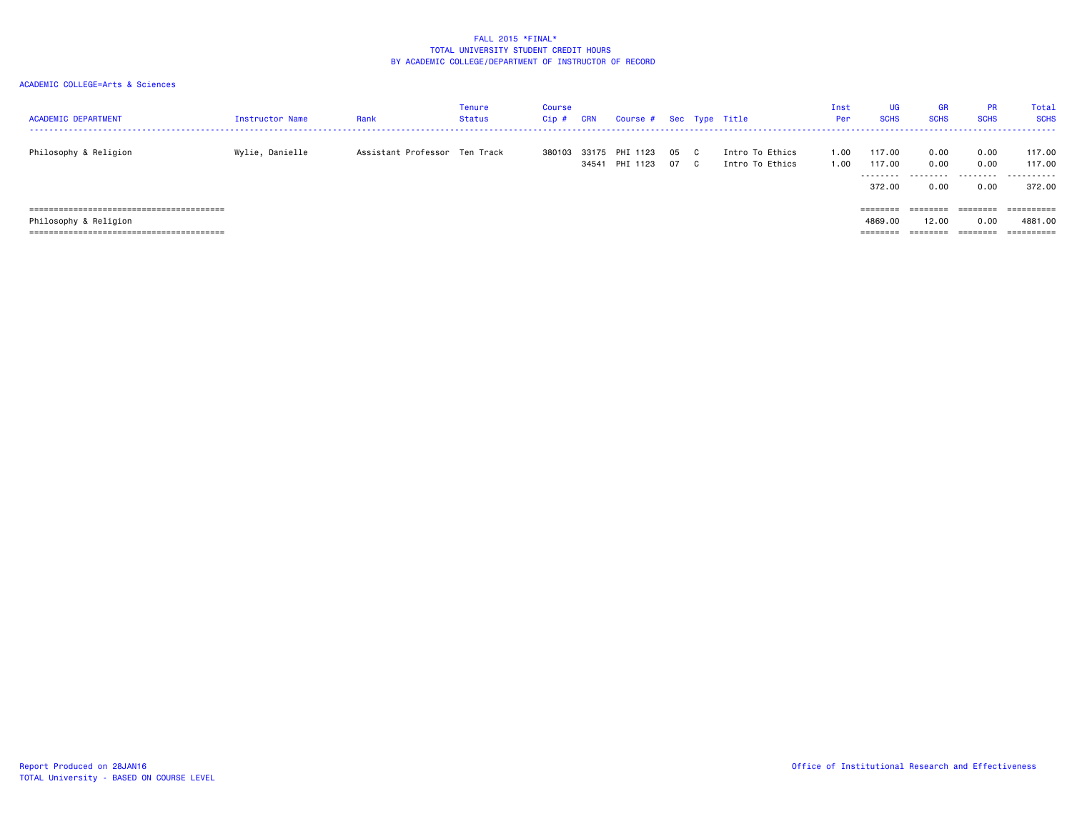| <b>ACADEMIC DEPARTMENT</b> | Instructor Name | Rank                          | Tenure<br><b>Status</b> | <b>Course</b><br>$Cip$ # | <b>CRN</b> | Course # Sec Type Title    |              |                                    | Inst<br>Per  | UG<br><b>SCHS</b>               | <b>GR</b><br><b>SCHS</b>          | <b>PR</b><br><b>SCHS</b>  | Tota]<br><b>SCHS</b>            |
|----------------------------|-----------------|-------------------------------|-------------------------|--------------------------|------------|----------------------------|--------------|------------------------------------|--------------|---------------------------------|-----------------------------------|---------------------------|---------------------------------|
| Philosophy & Religion      | Wylie, Danielle | Assistant Professor Ten Track |                         | 380103                   | 33175      | PHI 1123<br>34541 PHI 1123 | 05 C<br>07 C | Intro To Ethics<br>Intro To Ethics | 0.00<br>00،، | 117.00<br>117.00<br>.<br>372.00 | 0.00<br>0.00<br>---------<br>0.00 | 0.00<br>0.00<br>.<br>0.00 | 117.00<br>117.00<br>.<br>372.00 |
|                            |                 |                               |                         |                          |            |                            |              |                                    |              | ========                        | ========                          |                           |                                 |
| Philosophy & Religion      |                 |                               |                         |                          |            |                            |              |                                    |              | 4869,00<br>========             | 12.00<br>========                 | 0.00<br>========          | 4881,00<br>==========           |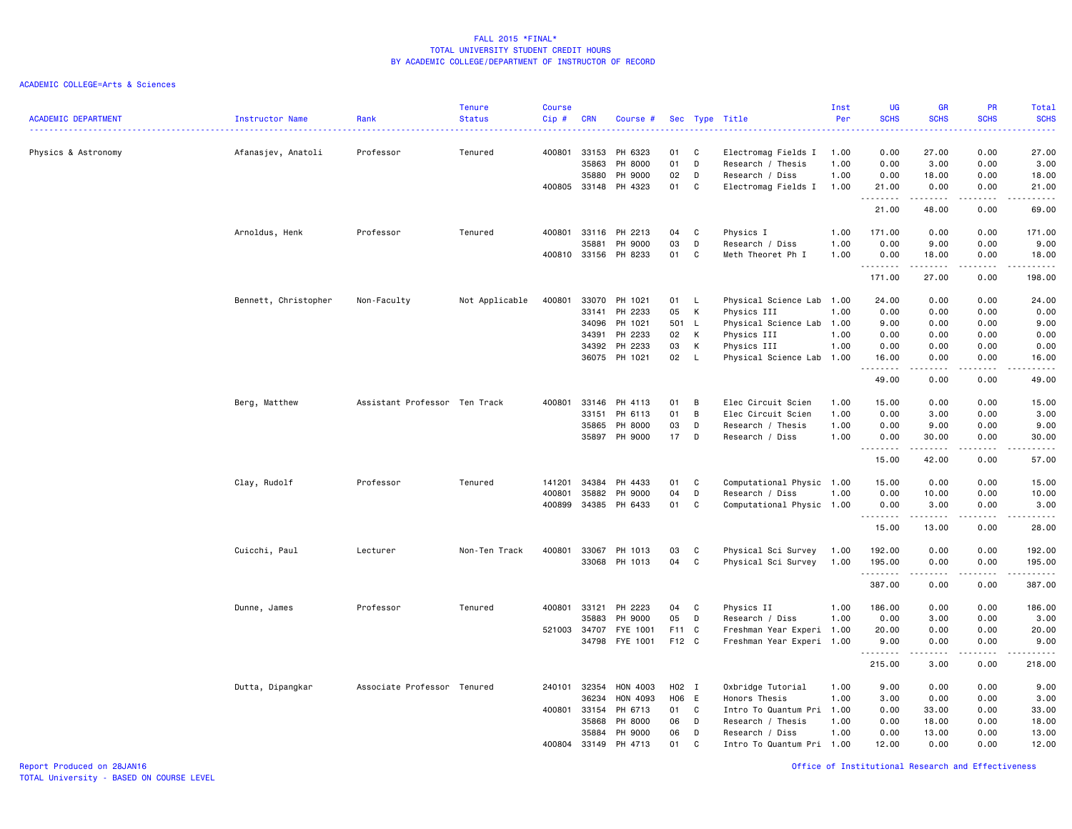ACADEMIC COLLEGE=Arts & Sciences

| <b>ACADEMIC DEPARTMENT</b> | Instructor Name      | Rank                          | <b>Tenure</b><br><b>Status</b> | <b>Course</b><br>Cip#<br>$\frac{1}{2} \left( \frac{1}{2} \right) \left( \frac{1}{2} \right) \left( \frac{1}{2} \right) \left( \frac{1}{2} \right) \left( \frac{1}{2} \right)$ | <b>CRN</b>   | Course #             |       |              | Sec Type Title            | Inst<br>Per | UG<br><b>SCHS</b><br>. | <b>GR</b><br><b>SCHS</b>                                                                                                                                                                | PR<br><b>SCHS</b><br>الأمال الأما                                                                                                                            | <b>Total</b><br><b>SCHS</b><br>وعاعاها |
|----------------------------|----------------------|-------------------------------|--------------------------------|-------------------------------------------------------------------------------------------------------------------------------------------------------------------------------|--------------|----------------------|-------|--------------|---------------------------|-------------|------------------------|-----------------------------------------------------------------------------------------------------------------------------------------------------------------------------------------|--------------------------------------------------------------------------------------------------------------------------------------------------------------|----------------------------------------|
| Physics & Astronomy        | Afanasjev, Anatoli   | Professor                     | Tenured                        | 400801                                                                                                                                                                        | 33153        | PH 6323              | 01    | C            | Electromag Fields I       | 1.00        | 0.00                   | 27.00                                                                                                                                                                                   | 0.00                                                                                                                                                         | 27.00                                  |
|                            |                      |                               |                                |                                                                                                                                                                               | 35863        | PH 8000              | 01    | D            | Research / Thesis         | 1.00        | 0.00                   | 3.00                                                                                                                                                                                    | 0.00                                                                                                                                                         | 3.00                                   |
|                            |                      |                               |                                |                                                                                                                                                                               | 35880        | PH 9000              | 02    | D            | Research / Diss           | 1.00        | 0.00                   | 18.00                                                                                                                                                                                   | 0.00                                                                                                                                                         | 18.00                                  |
|                            |                      |                               |                                |                                                                                                                                                                               |              | 400805 33148 PH 4323 | 01    | C            | Electromag Fields I       | 1.00        | 21.00<br><u>.</u>      | 0.00<br>$\frac{1}{2} \left( \frac{1}{2} \right) \left( \frac{1}{2} \right) \left( \frac{1}{2} \right) \left( \frac{1}{2} \right) \left( \frac{1}{2} \right) \left( \frac{1}{2} \right)$ | 0.00                                                                                                                                                         | 21.00                                  |
|                            |                      |                               |                                |                                                                                                                                                                               |              |                      |       |              |                           |             | 21.00                  | 48.00                                                                                                                                                                                   | 0.00                                                                                                                                                         | 69.00                                  |
|                            | Arnoldus, Henk       | Professor                     | Tenured                        | 400801                                                                                                                                                                        | 33116        | PH 2213              | 04    | C            | Physics I                 | 1.00        | 171.00                 | 0.00                                                                                                                                                                                    | 0.00                                                                                                                                                         | 171.00                                 |
|                            |                      |                               |                                |                                                                                                                                                                               | 35881        | PH 9000              | 03    | D            | Research / Diss           | 1.00        | 0.00                   | 9.00                                                                                                                                                                                    | 0.00                                                                                                                                                         | 9.00                                   |
|                            |                      |                               |                                |                                                                                                                                                                               | 400810 33156 | PH 8233              | 01    | C            | Meth Theoret Ph I         | 1.00        | 0.00<br>.              | 18.00<br>$- - - - -$                                                                                                                                                                    | 0.00<br>.                                                                                                                                                    | 18.00<br>.                             |
|                            |                      |                               |                                |                                                                                                                                                                               |              |                      |       |              |                           |             | 171.00                 | 27.00                                                                                                                                                                                   | 0.00                                                                                                                                                         | 198.00                                 |
|                            | Bennett, Christopher | Non-Faculty                   | Not Applicable                 | 400801                                                                                                                                                                        | 33070        | PH 1021              | 01 L  |              | Physical Science Lab      | 1.00        | 24.00                  | 0.00                                                                                                                                                                                    | 0.00                                                                                                                                                         | 24.00                                  |
|                            |                      |                               |                                |                                                                                                                                                                               | 33141        | PH 2233              | 05    | К            | Physics III               | 1.00        | 0.00                   | 0.00                                                                                                                                                                                    | 0.00                                                                                                                                                         | 0.00                                   |
|                            |                      |                               |                                |                                                                                                                                                                               | 34096        | PH 1021              | 501 L |              | Physical Science Lab      | 1.00        | 9.00                   | 0.00                                                                                                                                                                                    | 0.00                                                                                                                                                         | 9.00                                   |
|                            |                      |                               |                                |                                                                                                                                                                               | 34391        | PH 2233              | 02    | K            | Physics III               | 1.00        | 0.00                   | 0.00                                                                                                                                                                                    | 0.00                                                                                                                                                         | 0.00                                   |
|                            |                      |                               |                                |                                                                                                                                                                               | 34392        | PH 2233              | 03    | К            | Physics III               | 1.00        | 0.00                   | 0.00                                                                                                                                                                                    | 0.00                                                                                                                                                         | 0.00                                   |
|                            |                      |                               |                                |                                                                                                                                                                               |              | 36075 PH 1021        | 02    | $\mathsf{L}$ | Physical Science Lab 1.00 |             | 16.00<br>.             | 0.00<br>.                                                                                                                                                                               | 0.00<br>.                                                                                                                                                    | 16.00<br>.                             |
|                            |                      |                               |                                |                                                                                                                                                                               |              |                      |       |              |                           |             | 49.00                  | 0.00                                                                                                                                                                                    | 0.00                                                                                                                                                         | 49.00                                  |
|                            | Berg, Matthew        | Assistant Professor Ten Track |                                | 400801                                                                                                                                                                        | 33146        | PH 4113              | 01    | B            | Elec Circuit Scien        | 1.00        | 15.00                  | 0.00                                                                                                                                                                                    | 0.00                                                                                                                                                         | 15.00                                  |
|                            |                      |                               |                                |                                                                                                                                                                               | 33151        | PH 6113              | 01    | B            | Elec Circuit Scien        | 1.00        | 0.00                   | 3.00                                                                                                                                                                                    | 0.00                                                                                                                                                         | 3.00                                   |
|                            |                      |                               |                                |                                                                                                                                                                               | 35865        | PH 8000              | 03    | D            | Research / Thesis         | 1.00        | 0.00                   | 9.00                                                                                                                                                                                    | 0.00                                                                                                                                                         | 9.00                                   |
|                            |                      |                               |                                |                                                                                                                                                                               |              | 35897 PH 9000        | 17    | D            | Research / Diss           | 1.00        | 0.00<br><u>.</u>       | 30.00<br>.                                                                                                                                                                              | 0.00<br>.                                                                                                                                                    | 30.00<br>.                             |
|                            |                      |                               |                                |                                                                                                                                                                               |              |                      |       |              |                           |             | 15.00                  | 42.00                                                                                                                                                                                   | 0.00                                                                                                                                                         | 57.00                                  |
|                            | Clay, Rudolf         | Professor                     | Tenured                        | 141201                                                                                                                                                                        | 34384        | PH 4433              | 01    | C            | Computational Physic 1.00 |             | 15.00                  | 0.00                                                                                                                                                                                    | 0.00                                                                                                                                                         | 15.00                                  |
|                            |                      |                               |                                | 400801                                                                                                                                                                        | 35882        | PH 9000              | 04    | D            | Research / Diss           | 1.00        | 0.00                   | 10.00                                                                                                                                                                                   | 0.00                                                                                                                                                         | 10.00                                  |
|                            |                      |                               |                                | 400899                                                                                                                                                                        |              | 34385 PH 6433        | 01    | C            | Computational Physic 1.00 |             | 0.00<br>.              | 3.00<br>.                                                                                                                                                                               | 0.00<br>.                                                                                                                                                    | 3.00<br>.                              |
|                            |                      |                               |                                |                                                                                                                                                                               |              |                      |       |              |                           |             | 15.00                  | 13.00                                                                                                                                                                                   | 0.00                                                                                                                                                         | 28.00                                  |
|                            | Cuicchi, Paul        | Lecturer                      | Non-Ten Track                  | 400801                                                                                                                                                                        | 33067        | PH 1013              | 03    | C            | Physical Sci Survey       | 1.00        | 192.00                 | 0.00                                                                                                                                                                                    | 0.00                                                                                                                                                         | 192.00                                 |
|                            |                      |                               |                                |                                                                                                                                                                               |              | 33068 PH 1013        | 04    | C            | Physical Sci Survey       | 1.00        | 195.00                 | 0.00                                                                                                                                                                                    | 0.00                                                                                                                                                         | 195.00                                 |
|                            |                      |                               |                                |                                                                                                                                                                               |              |                      |       |              |                           |             | .<br>387.00            | $\frac{1}{2} \left( \frac{1}{2} \right) \left( \frac{1}{2} \right) \left( \frac{1}{2} \right) \left( \frac{1}{2} \right) \left( \frac{1}{2} \right)$<br>0.00                            | $\frac{1}{2} \left( \frac{1}{2} \right) \left( \frac{1}{2} \right) \left( \frac{1}{2} \right) \left( \frac{1}{2} \right) \left( \frac{1}{2} \right)$<br>0.00 | .<br>387.00                            |
|                            |                      |                               |                                |                                                                                                                                                                               |              |                      |       |              |                           |             |                        |                                                                                                                                                                                         |                                                                                                                                                              |                                        |
|                            | Dunne, James         | Professor                     | Tenured                        | 400801                                                                                                                                                                        | 33121        | PH 2223              | 04    | C            | Physics II                | 1.00        | 186.00                 | 0.00                                                                                                                                                                                    | 0.00                                                                                                                                                         | 186.00                                 |
|                            |                      |                               |                                |                                                                                                                                                                               | 35883        | PH 9000              | 05    | D            | Research / Diss           | 1.00        | 0.00                   | 3.00                                                                                                                                                                                    | 0.00                                                                                                                                                         | 3.00                                   |
|                            |                      |                               |                                | 521003                                                                                                                                                                        | 34707        | FYE 1001             | F11 C |              | Freshman Year Experi 1.00 |             | 20.00                  | 0.00                                                                                                                                                                                    | 0.00                                                                                                                                                         | 20.00                                  |
|                            |                      |                               |                                |                                                                                                                                                                               | 34798        | FYE 1001             | F12 C |              | Freshman Year Experi 1.00 |             | 9.00<br>.              | 0.00<br>$\frac{1}{2} \left( \frac{1}{2} \right) \left( \frac{1}{2} \right) \left( \frac{1}{2} \right) \left( \frac{1}{2} \right) \left( \frac{1}{2} \right)$                            | 0.00<br>.                                                                                                                                                    | 9.00<br>.                              |
|                            |                      |                               |                                |                                                                                                                                                                               |              |                      |       |              |                           |             | 215.00                 | 3.00                                                                                                                                                                                    | 0.00                                                                                                                                                         | 218.00                                 |
|                            | Dutta, Dipangkar     | Associate Professor Tenured   |                                | 240101 32354                                                                                                                                                                  |              | HON 4003             | H02 I |              | Oxbridge Tutorial         | 1.00        | 9.00                   | 0.00                                                                                                                                                                                    | 0.00                                                                                                                                                         | 9.00                                   |
|                            |                      |                               |                                |                                                                                                                                                                               | 36234        | HON 4093             | H06 E |              | Honors Thesis             | 1.00        | 3.00                   | 0.00                                                                                                                                                                                    | 0.00                                                                                                                                                         | 3.00                                   |
|                            |                      |                               |                                | 400801                                                                                                                                                                        | 33154        | PH 6713              | 01 C  |              | Intro To Quantum Pri      | 1.00        | 0.00                   | 33.00                                                                                                                                                                                   | 0.00                                                                                                                                                         | 33.00                                  |
|                            |                      |                               |                                |                                                                                                                                                                               | 35868        | PH 8000              | 06    | D            | Research / Thesis         | 1.00        | 0.00                   | 18.00                                                                                                                                                                                   | 0.00                                                                                                                                                         | 18.00                                  |
|                            |                      |                               |                                |                                                                                                                                                                               | 35884        | PH 9000              | 06    | D            | Research / Diss           | 1.00        | 0.00                   | 13.00                                                                                                                                                                                   | 0.00                                                                                                                                                         | 13.00                                  |
|                            |                      |                               |                                | 400804                                                                                                                                                                        | 33149        | PH 4713              | 01    | C            | Intro To Quantum Pri 1.00 |             | 12.00                  | 0.00                                                                                                                                                                                    | 0.00                                                                                                                                                         | 12.00                                  |

Report Produced on 28JAN16 Office of Institutional Research and Effectiveness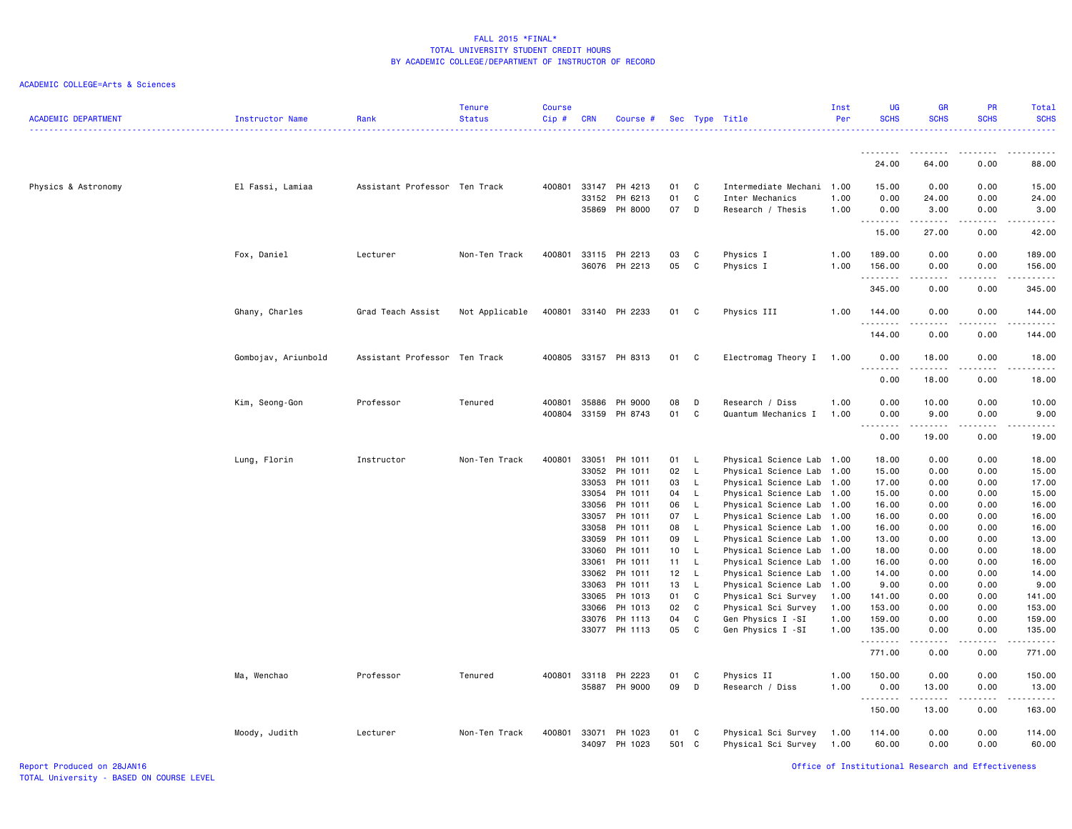| <u>.</u>                                                                                                                                                                                       | 64.00                                                                                                                                                         | $\frac{1}{2}$<br>.<br>0.00<br>88.00                                                                              |
|------------------------------------------------------------------------------------------------------------------------------------------------------------------------------------------------|---------------------------------------------------------------------------------------------------------------------------------------------------------------|------------------------------------------------------------------------------------------------------------------|
|                                                                                                                                                                                                |                                                                                                                                                               |                                                                                                                  |
| 24.00                                                                                                                                                                                          |                                                                                                                                                               |                                                                                                                  |
| Physics & Astronomy<br>El Fassi, Lamiaa<br>Assistant Professor Ten Track<br>400801<br>33147<br>PH 4213<br>01<br>C<br>Intermediate Mechani<br>1.00<br>15.00                                     | 0.00                                                                                                                                                          | 0.00<br>15.00                                                                                                    |
| 33152<br>PH 6213<br>01<br>C<br>Inter Mechanics<br>1.00<br>0.00                                                                                                                                 | 24.00                                                                                                                                                         | 0.00<br>24.00                                                                                                    |
| 07<br>35869<br>PH 8000<br>D<br>1.00<br>0.00<br>Research / Thesis<br><u>.</u>                                                                                                                   | 3.00<br>.                                                                                                                                                     | 0.00<br>3.00<br>.<br>.                                                                                           |
| 15.00                                                                                                                                                                                          | 27.00                                                                                                                                                         | 0.00<br>42.00                                                                                                    |
| Fox, Daniel<br>400801<br>33115 PH 2213<br>Physics I<br>189.00<br>Lecturer<br>Non-Ten Track<br>03<br>C<br>1.00                                                                                  | 0.00                                                                                                                                                          | 0.00<br>189.00                                                                                                   |
| 05<br>C<br>36076 PH 2213<br>Physics I<br>1.00<br>156.00                                                                                                                                        | 0.00                                                                                                                                                          | 0.00<br>156.00                                                                                                   |
| .                                                                                                                                                                                              | .                                                                                                                                                             | $\begin{array}{cccccccccc} \bullet & \bullet & \bullet & \bullet & \bullet & \bullet & \bullet \end{array}$<br>. |
| 345.00                                                                                                                                                                                         | 0.00                                                                                                                                                          | 0.00<br>345.00                                                                                                   |
| Ghany, Charles<br>Grad Teach Assist<br>Not Applicable<br>400801 33140 PH 2233<br>01<br>Physics III<br>1.00<br>144.00<br>C<br>.                                                                 | 0.00                                                                                                                                                          | 0.00<br>144.00<br>.                                                                                              |
| 144.00                                                                                                                                                                                         | 0.00                                                                                                                                                          | 0.00<br>144.00                                                                                                   |
| Assistant Professor Ten Track<br>400805 33157 PH 8313<br>01<br>Gombojav, Ariunbold<br>C<br>Electromag Theory I 1.00<br>0.00<br>. <u>.</u> .                                                    | 18.00<br>.                                                                                                                                                    | 0.00<br>18.00<br>.<br>.                                                                                          |
| 0.00                                                                                                                                                                                           | 18.00                                                                                                                                                         | 0.00<br>18.00                                                                                                    |
| Kim, Seong-Gon<br>Professor<br>Tenured<br>400801<br>35886<br>PH 9000<br>08<br>Research / Diss<br>1.00<br>0.00<br>D                                                                             | 10.00                                                                                                                                                         | 0.00<br>10.00                                                                                                    |
| 400804<br>PH 8743<br>01<br>C<br>33159<br>Quantum Mechanics I<br>1.00<br>0.00                                                                                                                   | 9.00                                                                                                                                                          | 0.00<br>9.00                                                                                                     |
| $\sim$ $\sim$<br>0.00                                                                                                                                                                          | 19.00                                                                                                                                                         | د د د د د<br>0.00<br>19.00                                                                                       |
| Lung, Florin<br>400801<br>PH 1011<br>Physical Science Lab 1.00<br>18.00<br>Instructor<br>Non-Ten Track<br>33051<br>01<br>L                                                                     | 0.00                                                                                                                                                          | 0.00<br>18.00                                                                                                    |
| 33052<br>PH 1011<br>02<br>$\mathsf{L}$<br>Physical Science Lab<br>15.00<br>1.00                                                                                                                | 0.00                                                                                                                                                          | 0.00<br>15.00                                                                                                    |
| 33053<br>PH 1011<br>03<br>Physical Science Lab<br>17.00<br>L<br>1.00                                                                                                                           | 0.00                                                                                                                                                          | 0.00<br>17.00                                                                                                    |
| 33054<br>PH 1011<br>04<br>$\mathsf{L}$<br>Physical Science Lab 1.00<br>15.00                                                                                                                   | 0.00                                                                                                                                                          | 0.00<br>15.00                                                                                                    |
| 33056<br>PH 1011<br>06<br>Physical Science Lab 1.00<br>16.00<br>L.                                                                                                                             | 0.00                                                                                                                                                          | 0.00<br>16.00                                                                                                    |
| PH 1011<br>07<br>33057<br>$\mathsf{L}$<br>Physical Science Lab 1.00<br>16.00                                                                                                                   | 0.00                                                                                                                                                          | 0.00<br>16.00                                                                                                    |
| 33058<br>PH 1011<br>08<br>Physical Science Lab 1.00<br>16.00<br>L.                                                                                                                             | 0.00                                                                                                                                                          | 0.00<br>16.00                                                                                                    |
| PH 1011<br>09<br>33059<br>L<br>Physical Science Lab 1.00<br>13.00                                                                                                                              | 0.00                                                                                                                                                          | 13.00<br>0.00                                                                                                    |
| 33060<br>PH 1011<br>10<br>$\mathsf{L}$<br>Physical Science Lab 1.00<br>18.00<br>PH 1011<br>11                                                                                                  | 0.00                                                                                                                                                          | 0.00<br>18.00<br>0.00<br>16.00                                                                                   |
| Physical Science Lab 1.00<br>33061<br>L.<br>16.00<br>33062<br>PH 1011<br>12<br>L<br>Physical Science Lab 1.00<br>14.00                                                                         | 0.00<br>0.00                                                                                                                                                  | 0.00<br>14.00                                                                                                    |
| 13<br>33063<br>PH 1011<br>$\mathsf{L}$<br>9.00<br>Physical Science Lab 1.00                                                                                                                    | 0.00                                                                                                                                                          | 0.00<br>9.00                                                                                                     |
| PH 1013<br>33065<br>01<br>C<br>Physical Sci Survey<br>141.00<br>1.00                                                                                                                           | 0.00                                                                                                                                                          | 0.00<br>141.00                                                                                                   |
| 33066<br>PH 1013<br>02<br>C<br>Physical Sci Survey<br>1.00<br>153.00                                                                                                                           | 0.00                                                                                                                                                          | 0.00<br>153.00                                                                                                   |
| PH 1113<br>04<br>C<br>Gen Physics I -SI<br>159.00<br>33076<br>1.00                                                                                                                             | 0.00                                                                                                                                                          | 0.00<br>159.00                                                                                                   |
| 05<br>33077 PH 1113<br>C<br>Gen Physics I -SI<br>1.00<br>135.00<br>.                                                                                                                           | 0.00<br>.                                                                                                                                                     | 0.00<br>135.00<br>.<br><u>.</u>                                                                                  |
| 771.00                                                                                                                                                                                         | 0.00                                                                                                                                                          | 0.00<br>771.00                                                                                                   |
| 150.00<br>Ma, Wenchao<br>Professor<br>Tenured<br>400801<br>33118<br>PH 2223<br>01<br>C<br>Physics II<br>1.00                                                                                   | 0.00                                                                                                                                                          | 0.00<br>150.00                                                                                                   |
| 35887 PH 9000<br>09<br>D<br>Research / Diss<br>1.00<br>0.00                                                                                                                                    | 13.00                                                                                                                                                         | 0.00<br>13.00                                                                                                    |
| .<br>150.00                                                                                                                                                                                    | $\frac{1}{2} \left( \frac{1}{2} \right) \left( \frac{1}{2} \right) \left( \frac{1}{2} \right) \left( \frac{1}{2} \right) \left( \frac{1}{2} \right)$<br>13.00 | $\sim$ $\sim$ $\sim$ $\sim$<br>.<br>0.00<br>163.00                                                               |
| Moody, Judith<br>Lecturer<br>Non-Ten Track<br>400801<br>33071<br>PH 1023<br>01<br>C<br>Physical Sci Survey<br>1.00<br>114.00<br>34097 PH 1023<br>501 C<br>Physical Sci Survey<br>60.00<br>1.00 | 0.00<br>0.00                                                                                                                                                  | 0.00<br>114.00<br>0.00<br>60.00                                                                                  |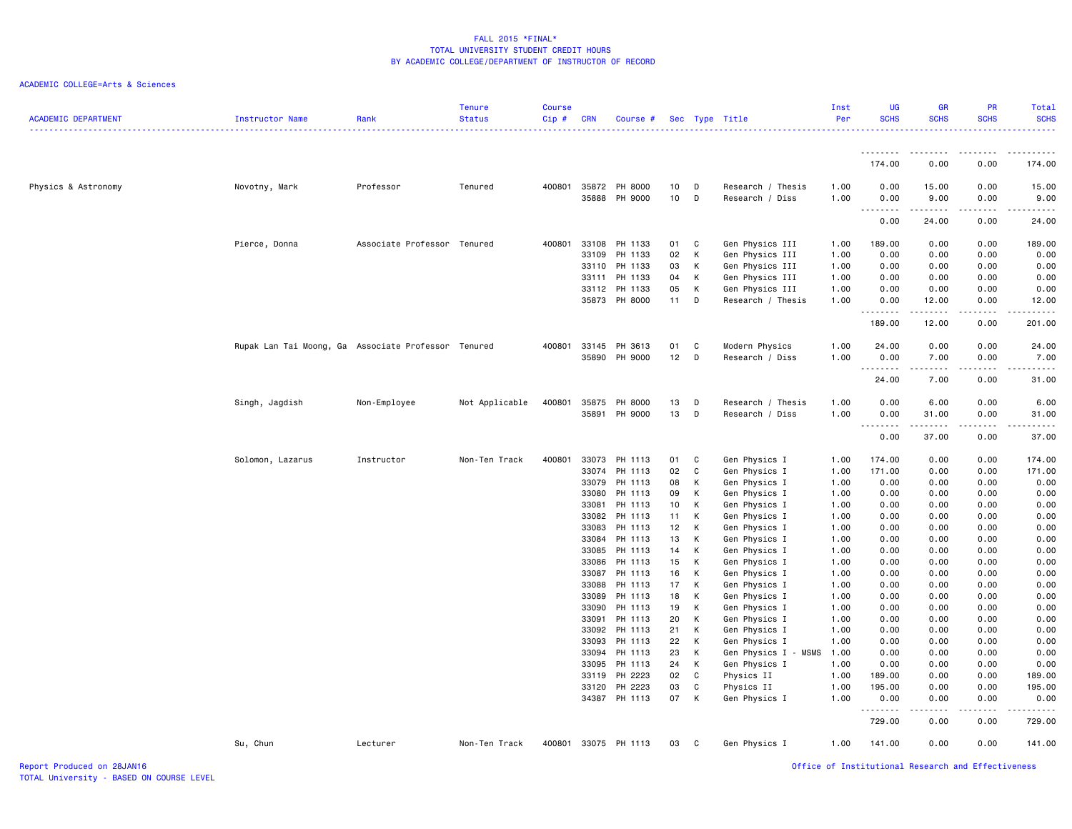| <b>ACADEMIC DEPARTMENT</b><br>Instructor Name | Rank                                                | Tenure<br><b>Status</b> | <b>Course</b><br>Cip# | <b>CRN</b>     | Course #                 |                       |        | Sec Type Title                       | Inst<br>Per  | <b>UG</b><br><b>SCHS</b>                                                                                                                                     | <b>GR</b><br><b>SCHS</b>                                                                                                          | <b>PR</b><br><b>SCHS</b> | Total<br><b>SCHS</b><br>$- - - - - -$                                                                                                                                                     |
|-----------------------------------------------|-----------------------------------------------------|-------------------------|-----------------------|----------------|--------------------------|-----------------------|--------|--------------------------------------|--------------|--------------------------------------------------------------------------------------------------------------------------------------------------------------|-----------------------------------------------------------------------------------------------------------------------------------|--------------------------|-------------------------------------------------------------------------------------------------------------------------------------------------------------------------------------------|
|                                               |                                                     |                         |                       |                |                          |                       |        |                                      |              | .                                                                                                                                                            |                                                                                                                                   |                          |                                                                                                                                                                                           |
|                                               |                                                     |                         |                       |                |                          |                       |        |                                      |              | 174.00                                                                                                                                                       | 0.00                                                                                                                              | 0.00                     | 174.00                                                                                                                                                                                    |
| Physics & Astronomy<br>Novotny, Mark          | Professor                                           | Tenured                 | 400801                | 35888          | 35872 PH 8000<br>PH 9000 | 10 <sub>1</sub><br>10 | D<br>D | Research / Thesis<br>Research / Diss | 1.00<br>1.00 | 0.00<br>0.00<br>--------                                                                                                                                     | 15.00<br>9.00<br>------                                                                                                           | 0.00<br>0.00<br>.        | 15.00<br>9.00<br>.                                                                                                                                                                        |
|                                               |                                                     |                         |                       |                |                          |                       |        |                                      |              | 0.00                                                                                                                                                         | 24.00                                                                                                                             | 0.00                     | 24.00                                                                                                                                                                                     |
| Pierce, Donna                                 | Associate Professor Tenured                         |                         | 400801                | 33108          | PH 1133                  | 01                    | C      | Gen Physics III                      | 1.00         | 189.00                                                                                                                                                       | 0.00                                                                                                                              | 0.00                     | 189.00                                                                                                                                                                                    |
|                                               |                                                     |                         |                       | 33109          | PH 1133                  | 02                    | К      | Gen Physics III                      | 1.00         | 0.00                                                                                                                                                         | 0.00                                                                                                                              | 0.00                     | 0.00                                                                                                                                                                                      |
|                                               |                                                     |                         |                       | 33110          | PH 1133                  | 03                    | К      | Gen Physics III                      | 1.00         | 0.00                                                                                                                                                         | 0.00                                                                                                                              | 0.00                     | 0.00                                                                                                                                                                                      |
|                                               |                                                     |                         |                       | 33111          | PH 1133                  | 04<br>05              | К<br>К | Gen Physics III                      | 1.00         | 0.00                                                                                                                                                         | 0.00<br>0.00                                                                                                                      | 0.00<br>0.00             | 0.00<br>0.00                                                                                                                                                                              |
|                                               |                                                     |                         |                       | 33112          | PH 1133<br>35873 PH 8000 | 11                    | D      | Gen Physics III<br>Research / Thesis | 1.00<br>1.00 | 0.00<br>0.00                                                                                                                                                 | 12.00                                                                                                                             | 0.00                     | 12.00                                                                                                                                                                                     |
|                                               |                                                     |                         |                       |                |                          |                       |        |                                      |              | .                                                                                                                                                            | $\begin{array}{cccccccccccccc} \bullet & \bullet & \bullet & \bullet & \bullet & \bullet & \bullet \end{array}$                   |                          |                                                                                                                                                                                           |
|                                               |                                                     |                         |                       |                |                          |                       |        |                                      |              | 189.00                                                                                                                                                       | 12.00                                                                                                                             | 0.00                     | 201.00                                                                                                                                                                                    |
|                                               | Rupak Lan Tai Moong, Ga Associate Professor Tenured |                         | 400801                | 33145          | PH 3613                  | 01                    | C      | Modern Physics                       | 1.00         | 24.00                                                                                                                                                        | 0.00                                                                                                                              | 0.00                     | 24.00                                                                                                                                                                                     |
|                                               |                                                     |                         |                       | 35890          | PH 9000                  | 12                    | D      | Research / Diss                      | 1.00         | 0.00<br>.                                                                                                                                                    | 7.00<br>$\frac{1}{2} \left( \frac{1}{2} \right) \left( \frac{1}{2} \right) \left( \frac{1}{2} \right) \left( \frac{1}{2} \right)$ | 0.00<br>.                | 7.00<br>د د د د                                                                                                                                                                           |
|                                               |                                                     |                         |                       |                |                          |                       |        |                                      |              | 24.00                                                                                                                                                        | 7.00                                                                                                                              | 0.00                     | 31.00                                                                                                                                                                                     |
| Singh, Jagdish                                | Non-Employee                                        | Not Applicable          | 400801                | 35875          | PH 8000                  | 13                    | D      | Research / Thesis                    | 1.00         | 0.00                                                                                                                                                         | 6.00                                                                                                                              | 0.00                     | 6.00                                                                                                                                                                                      |
|                                               |                                                     |                         |                       | 35891          | PH 9000                  | 13                    | D      | Research / Diss                      | 1.00         | 0.00                                                                                                                                                         | 31.00                                                                                                                             | 0.00                     | 31.00                                                                                                                                                                                     |
|                                               |                                                     |                         |                       |                |                          |                       |        |                                      |              | $\frac{1}{2} \left( \frac{1}{2} \right) \left( \frac{1}{2} \right) \left( \frac{1}{2} \right) \left( \frac{1}{2} \right) \left( \frac{1}{2} \right)$<br>0.00 | 37.00                                                                                                                             | 0.00                     | 37.00                                                                                                                                                                                     |
| Solomon, Lazarus                              | Instructor                                          | Non-Ten Track           | 400801                | 33073          | PH 1113                  | 01                    | C      | Gen Physics I                        | 1.00         | 174.00                                                                                                                                                       | 0.00                                                                                                                              | 0.00                     | 174.00                                                                                                                                                                                    |
|                                               |                                                     |                         |                       | 33074          | PH 1113                  | 02                    | C      | Gen Physics I                        | 1.00         | 171.00                                                                                                                                                       | 0.00                                                                                                                              | 0.00                     | 171.00                                                                                                                                                                                    |
|                                               |                                                     |                         |                       | 33079          | PH 1113                  | 08                    | К      | Gen Physics I                        | 1.00         | 0.00                                                                                                                                                         | 0.00                                                                                                                              | 0.00                     | 0.00                                                                                                                                                                                      |
|                                               |                                                     |                         |                       | 33080          | PH 1113                  | 09                    | К      | Gen Physics I                        | 1.00         | 0.00                                                                                                                                                         | 0.00                                                                                                                              | 0.00                     | 0.00                                                                                                                                                                                      |
|                                               |                                                     |                         |                       | 33081          | PH 1113                  | 10 <sub>1</sub>       | К      | Gen Physics I                        | 1.00         | 0.00                                                                                                                                                         | 0.00                                                                                                                              | 0.00                     | 0.00                                                                                                                                                                                      |
|                                               |                                                     |                         |                       |                | 33082 PH 1113            | 11                    | К      | Gen Physics I                        | 1.00         | 0.00                                                                                                                                                         | 0.00                                                                                                                              | 0.00                     | 0.00                                                                                                                                                                                      |
|                                               |                                                     |                         |                       | 33083          | PH 1113<br>PH 1113       | 12<br>13              | K      | Gen Physics I                        | 1.00         | 0.00                                                                                                                                                         | 0.00                                                                                                                              | 0.00                     | 0.00                                                                                                                                                                                      |
|                                               |                                                     |                         |                       | 33084<br>33085 | PH 1113                  | 14                    | К<br>К | Gen Physics I<br>Gen Physics I       | 1.00<br>1.00 | 0.00<br>0.00                                                                                                                                                 | 0.00<br>0.00                                                                                                                      | 0.00<br>0.00             | 0.00<br>0.00                                                                                                                                                                              |
|                                               |                                                     |                         |                       | 33086          | PH 1113                  | 15                    | К      | Gen Physics I                        | 1.00         | 0.00                                                                                                                                                         | 0.00                                                                                                                              | 0.00                     | 0.00                                                                                                                                                                                      |
|                                               |                                                     |                         |                       | 33087          | PH 1113                  | 16                    | К      | Gen Physics I                        | 1.00         | 0.00                                                                                                                                                         | 0.00                                                                                                                              | 0.00                     | 0.00                                                                                                                                                                                      |
|                                               |                                                     |                         |                       | 33088          | PH 1113                  | 17                    | К      | Gen Physics I                        | 1.00         | 0.00                                                                                                                                                         | 0.00                                                                                                                              | 0.00                     | 0.00                                                                                                                                                                                      |
|                                               |                                                     |                         |                       | 33089          | PH 1113                  | 18                    | К      | Gen Physics I                        | 1.00         | 0.00                                                                                                                                                         | 0.00                                                                                                                              | 0.00                     | 0.00                                                                                                                                                                                      |
|                                               |                                                     |                         |                       | 33090          | PH 1113                  | 19                    | К      | Gen Physics I                        | 1.00         | 0.00                                                                                                                                                         | 0.00                                                                                                                              | 0.00                     | 0.00                                                                                                                                                                                      |
|                                               |                                                     |                         |                       | 33091          | PH 1113                  | 20                    | К      | Gen Physics I                        | 1.00         | 0.00                                                                                                                                                         | 0.00                                                                                                                              | 0.00                     | 0.00                                                                                                                                                                                      |
|                                               |                                                     |                         |                       | 33092          | PH 1113                  | 21                    | К      | Gen Physics I                        | 1.00         | 0.00                                                                                                                                                         | 0.00                                                                                                                              | 0.00                     | 0.00                                                                                                                                                                                      |
|                                               |                                                     |                         |                       | 33093          | PH 1113                  | 22                    | К      | Gen Physics I                        | 1.00         | 0.00                                                                                                                                                         | 0.00                                                                                                                              | 0.00                     | 0.00                                                                                                                                                                                      |
|                                               |                                                     |                         |                       | 33094          | PH 1113                  | 23                    | К      | Gen Physics I - MSMS                 | 1.00         | 0.00                                                                                                                                                         | 0.00                                                                                                                              | 0.00                     | 0.00                                                                                                                                                                                      |
|                                               |                                                     |                         |                       | 33095          | PH 1113                  | 24                    | К      | Gen Physics I                        | 1.00         | 0.00                                                                                                                                                         | 0.00                                                                                                                              | 0.00                     | 0.00                                                                                                                                                                                      |
|                                               |                                                     |                         |                       | 33119<br>33120 | PH 2223<br>PH 2223       | 02<br>03              | C<br>C | Physics II<br>Physics II             | 1.00<br>1.00 | 189.00<br>195.00                                                                                                                                             | 0.00<br>0.00                                                                                                                      | 0.00<br>0.00             | 189.00<br>195.00                                                                                                                                                                          |
|                                               |                                                     |                         |                       |                | 34387 PH 1113            | 07                    | К      | Gen Physics I                        | 1.00         | 0.00                                                                                                                                                         | 0.00                                                                                                                              | 0.00                     | 0.00                                                                                                                                                                                      |
|                                               |                                                     |                         |                       |                |                          |                       |        |                                      |              | .<br>729.00                                                                                                                                                  | 0.00                                                                                                                              | 0.00                     | $\frac{1}{2} \left( \frac{1}{2} \right) \left( \frac{1}{2} \right) \left( \frac{1}{2} \right) \left( \frac{1}{2} \right) \left( \frac{1}{2} \right) \left( \frac{1}{2} \right)$<br>729.00 |
| Su, Chun                                      | Lecturer                                            | Non-Ten Track           | 400801                |                | 33075 PH 1113            | 03                    | - C    | Gen Physics I                        | 1.00         | 141.00                                                                                                                                                       | 0.00                                                                                                                              | 0.00                     | 141.00                                                                                                                                                                                    |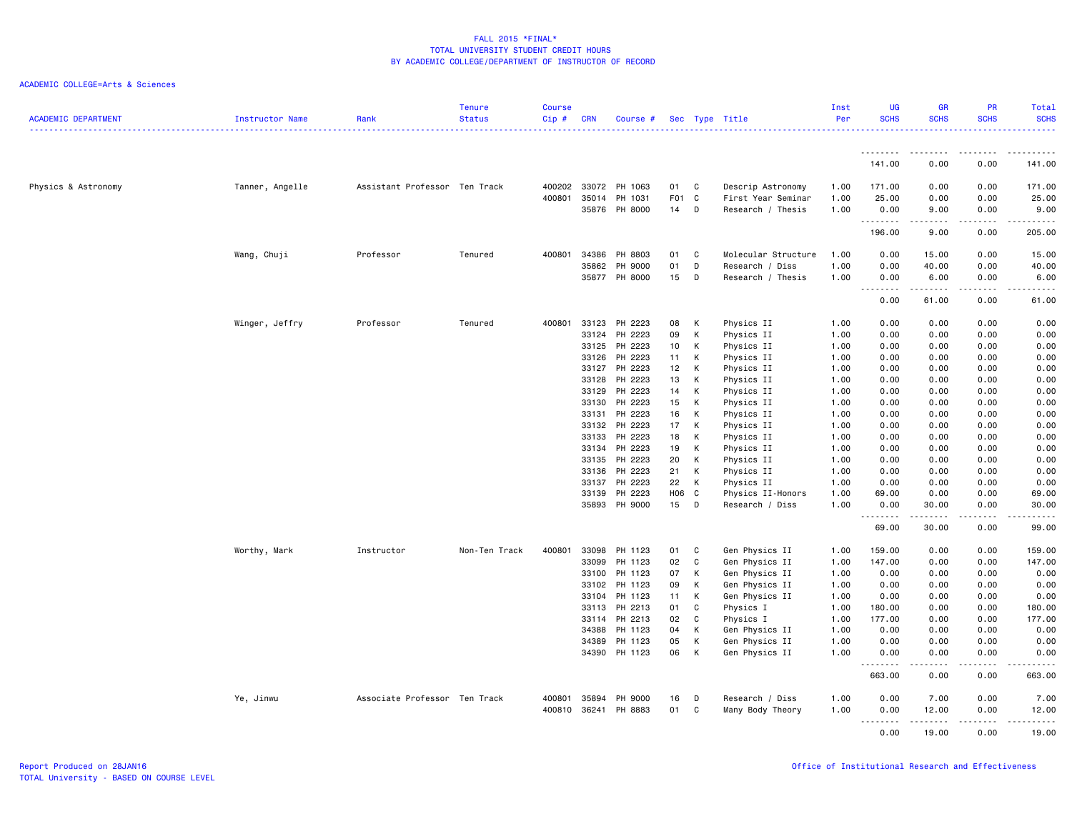| <b>ACADEMIC DEPARTMENT</b> | <b>Instructor Name</b> | Rank                          | <b>Tenure</b><br><b>Status</b> | <b>Course</b><br>Cip# | <b>CRN</b>     | Course #             |                  |              | Sec Type Title           | Inst<br>Per  | <b>UG</b><br><b>SCHS</b> | GR<br><b>SCHS</b>                                                                                                                                            | PR<br><b>SCHS</b> | Total<br><b>SCHS</b>                                                                                                                                         |
|----------------------------|------------------------|-------------------------------|--------------------------------|-----------------------|----------------|----------------------|------------------|--------------|--------------------------|--------------|--------------------------|--------------------------------------------------------------------------------------------------------------------------------------------------------------|-------------------|--------------------------------------------------------------------------------------------------------------------------------------------------------------|
|                            |                        |                               |                                |                       |                |                      |                  |              |                          |              |                          |                                                                                                                                                              |                   | .                                                                                                                                                            |
|                            |                        |                               |                                |                       |                |                      |                  |              |                          |              | .<br>141.00              | .<br>0.00                                                                                                                                                    | <b>.</b><br>0.00  | . <u>.</u> .<br>$\sim$ $\sim$ $\sim$<br>141.00                                                                                                               |
| Physics & Astronomy        | Tanner, Angelle        | Assistant Professor Ten Track |                                |                       | 400202 33072   | PH 1063              | 01               | C.           | Descrip Astronomy        | 1.00         | 171.00                   | 0.00                                                                                                                                                         | 0.00              | 171.00                                                                                                                                                       |
|                            |                        |                               |                                |                       |                | 400801 35014 PH 1031 | F <sub>0</sub> 1 | $\mathbf{C}$ | First Year Seminar       | 1.00         | 25.00                    | 0.00                                                                                                                                                         | 0.00              | 25.00                                                                                                                                                        |
|                            |                        |                               |                                |                       |                | 35876 PH 8000        | 14               | D            | Research / Thesis        | 1.00         | 0.00<br>.                | 9.00<br>.                                                                                                                                                    | 0.00<br>.         | 9.00                                                                                                                                                         |
|                            |                        |                               |                                |                       |                |                      |                  |              |                          |              | 196.00                   | 9.00                                                                                                                                                         | 0.00              | 205.00                                                                                                                                                       |
|                            | Wang, Chuji            | Professor                     | Tenured                        | 400801                | 34386          | PH 8803              | 01               | C            | Molecular Structure      | 1.00         | 0.00                     | 15.00                                                                                                                                                        | 0.00              | 15.00                                                                                                                                                        |
|                            |                        |                               |                                |                       | 35862          | PH 9000              | 01               | D            | Research / Diss          | 1.00         | 0.00                     | 40.00                                                                                                                                                        | 0.00              | 40.00                                                                                                                                                        |
|                            |                        |                               |                                |                       |                | 35877 PH 8000        | 15               | D            | Research / Thesis        | 1.00         | 0.00<br>.                | 6.00<br>.                                                                                                                                                    | 0.00<br>.         | 6.00<br>$\frac{1}{2} \left( \frac{1}{2} \right) \left( \frac{1}{2} \right) \left( \frac{1}{2} \right) \left( \frac{1}{2} \right) \left( \frac{1}{2} \right)$ |
|                            |                        |                               |                                |                       |                |                      |                  |              |                          |              | 0.00                     | 61.00                                                                                                                                                        | 0.00              | 61.00                                                                                                                                                        |
|                            | Winger, Jeffry         | Professor                     | Tenured                        | 400801                | 33123          | PH 2223              | 08               | К            | Physics II               | 1.00         | 0.00                     | 0.00                                                                                                                                                         | 0.00              | 0.00                                                                                                                                                         |
|                            |                        |                               |                                |                       | 33124          | PH 2223              | 09               | K            | Physics II               | 1.00         | 0.00                     | 0.00                                                                                                                                                         | 0.00              | 0.00                                                                                                                                                         |
|                            |                        |                               |                                |                       | 33125          | PH 2223              | 10               | К            | Physics II               | 1.00         | 0.00                     | 0.00                                                                                                                                                         | 0.00              | 0.00                                                                                                                                                         |
|                            |                        |                               |                                |                       | 33126          | PH 2223              | 11               | К            | Physics II               | 1.00         | 0.00                     | 0.00                                                                                                                                                         | 0.00              | 0.00                                                                                                                                                         |
|                            |                        |                               |                                |                       | 33127          | PH 2223              | 12               | K            | Physics II               | 1.00         | 0.00                     | 0.00                                                                                                                                                         | 0.00              | 0.00                                                                                                                                                         |
|                            |                        |                               |                                |                       | 33128          | PH 2223              | 13               | K            | Physics II               | 1.00         | 0.00                     | 0.00                                                                                                                                                         | 0.00              | 0.00                                                                                                                                                         |
|                            |                        |                               |                                |                       | 33129          | PH 2223              | 14               | K            | Physics II               | 1.00         | 0.00                     | 0.00                                                                                                                                                         | 0.00              | 0.00                                                                                                                                                         |
|                            |                        |                               |                                |                       | 33130          | PH 2223              | 15               | K            | Physics II               | 1.00         | 0.00                     | 0.00                                                                                                                                                         | 0.00              | 0.00                                                                                                                                                         |
|                            |                        |                               |                                |                       | 33131<br>33132 | PH 2223<br>PH 2223   | 16<br>17         | К<br>K       | Physics II               | 1.00         | 0.00<br>0.00             | 0.00<br>0.00                                                                                                                                                 | 0.00<br>0.00      | 0.00<br>0.00                                                                                                                                                 |
|                            |                        |                               |                                |                       | 33133          | PH 2223              | 18               |              | Physics II               | 1.00<br>1.00 | 0.00                     | 0.00                                                                                                                                                         | 0.00              | 0.00                                                                                                                                                         |
|                            |                        |                               |                                |                       |                | 33134 PH 2223        | 19               | K<br>K       | Physics II<br>Physics II | 1.00         | 0.00                     | 0.00                                                                                                                                                         | 0.00              | 0.00                                                                                                                                                         |
|                            |                        |                               |                                |                       | 33135          | PH 2223              | 20               | K            | Physics II               | 1.00         | 0.00                     | 0.00                                                                                                                                                         | 0.00              | 0.00                                                                                                                                                         |
|                            |                        |                               |                                |                       | 33136          | PH 2223              | 21               | K            | Physics II               | 1.00         | 0.00                     | 0.00                                                                                                                                                         | 0.00              | 0.00                                                                                                                                                         |
|                            |                        |                               |                                |                       |                | 33137 PH 2223        | 22               | K            | Physics II               | 1.00         | 0.00                     | 0.00                                                                                                                                                         | 0.00              | 0.00                                                                                                                                                         |
|                            |                        |                               |                                |                       | 33139          | PH 2223              | H06 C            |              | Physics II-Honors        | 1.00         | 69.00                    | 0.00                                                                                                                                                         | 0.00              | 69.00                                                                                                                                                        |
|                            |                        |                               |                                |                       | 35893          | PH 9000              | 15               | D            | Research / Diss          | 1.00         | 0.00                     | 30.00                                                                                                                                                        | 0.00              | 30.00                                                                                                                                                        |
|                            |                        |                               |                                |                       |                |                      |                  |              |                          |              | .                        | .                                                                                                                                                            | .                 | .                                                                                                                                                            |
|                            |                        |                               |                                |                       |                |                      |                  |              |                          |              | 69.00                    | 30.00                                                                                                                                                        | 0.00              | 99.00                                                                                                                                                        |
|                            | Worthy, Mark           | Instructor                    | Non-Ten Track                  | 400801                | 33098          | PH 1123              | 01               | C.           | Gen Physics II           | 1.00         | 159.00                   | 0.00                                                                                                                                                         | 0.00              | 159.00                                                                                                                                                       |
|                            |                        |                               |                                |                       | 33099          | PH 1123              | 02               | C            | Gen Physics II           | 1.00         | 147.00                   | 0.00                                                                                                                                                         | 0.00              | 147.00                                                                                                                                                       |
|                            |                        |                               |                                |                       | 33100          | PH 1123              | 07               | K            | Gen Physics II           | 1.00         | 0.00                     | 0.00                                                                                                                                                         | 0.00              | 0.00                                                                                                                                                         |
|                            |                        |                               |                                |                       |                | 33102 PH 1123        | 09               | K            | Gen Physics II           | 1.00         | 0.00                     | 0.00                                                                                                                                                         | 0.00              | 0.00                                                                                                                                                         |
|                            |                        |                               |                                |                       |                | 33104 PH 1123        | 11               | K            | Gen Physics II           | 1.00         | 0.00                     | 0.00                                                                                                                                                         | 0.00              | 0.00                                                                                                                                                         |
|                            |                        |                               |                                |                       | 33113          | PH 2213              | 01               | C            | Physics I                | 1.00         | 180.00                   | 0.00                                                                                                                                                         | 0.00              | 180.00                                                                                                                                                       |
|                            |                        |                               |                                |                       |                | 33114 PH 2213        | 02               | C.           | Physics I                | 1.00         | 177.00                   | 0.00                                                                                                                                                         | 0.00              | 177.00                                                                                                                                                       |
|                            |                        |                               |                                |                       | 34388          | PH 1123              | 04               | K            | Gen Physics II           | 1.00         | 0.00                     | 0.00                                                                                                                                                         | 0.00              | 0.00                                                                                                                                                         |
|                            |                        |                               |                                |                       | 34389          | PH 1123              | 05               | K            | Gen Physics II           | 1.00         | 0.00                     | 0.00                                                                                                                                                         | 0.00              | 0.00                                                                                                                                                         |
|                            |                        |                               |                                |                       |                | 34390 PH 1123        | 06               | K            | Gen Physics II           | 1.00         | 0.00<br>.                | 0.00<br>$\frac{1}{2} \left( \frac{1}{2} \right) \left( \frac{1}{2} \right) \left( \frac{1}{2} \right) \left( \frac{1}{2} \right) \left( \frac{1}{2} \right)$ | 0.00<br>.         | 0.00<br>.                                                                                                                                                    |
|                            |                        |                               |                                |                       |                |                      |                  |              |                          |              | 663.00                   | 0.00                                                                                                                                                         | 0.00              | 663,00                                                                                                                                                       |
|                            | Ye, Jinwu              | Associate Professor Ten Track |                                | 400801                | 35894          | PH 9000              | 16               | D            | Research / Diss          | 1.00         | 0.00                     | 7.00                                                                                                                                                         | 0.00              | 7.00                                                                                                                                                         |
|                            |                        |                               |                                | 400810                | 36241          | PH 8883              | 01               | C            | Many Body Theory         | 1.00         | 0.00                     | 12.00                                                                                                                                                        | 0.00              | 12.00                                                                                                                                                        |
|                            |                        |                               |                                |                       |                |                      |                  |              |                          |              | .<br>0.00                | .<br>19.00                                                                                                                                                   | .<br>0.00         | <u>.</u><br>19,00                                                                                                                                            |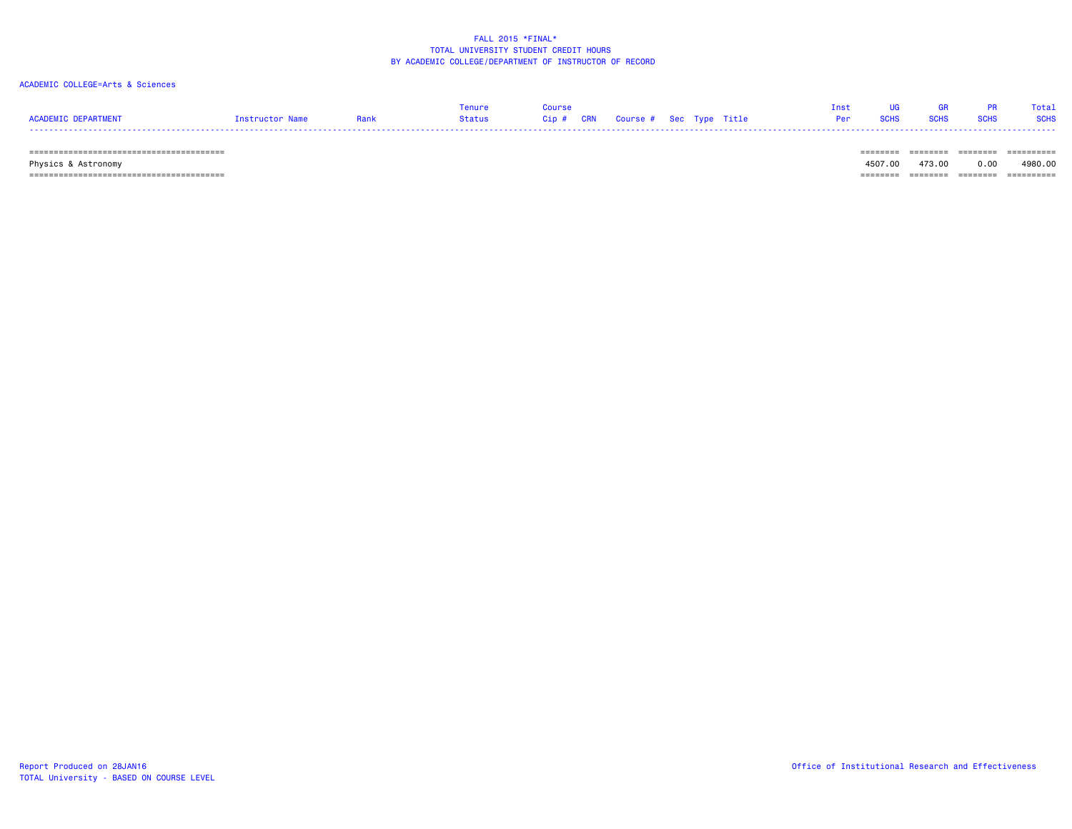#### ACADEMIC COLLEGE=Arts & Sciences

|                                                                 |                 |        |       |            |          |  |                |  |  | Total       |
|-----------------------------------------------------------------|-----------------|--------|-------|------------|----------|--|----------------|--|--|-------------|
| <b>ACADEMTC</b><br>$\cdots$ ned a dimensional contract $\cdots$ | instructor Name | Status | 31D # | <b>CRN</b> | Course # |  | Sec Type Title |  |  | <b>SCHS</b> |
| ----                                                            |                 |        |       |            |          |  |                |  |  |             |

======================================== ======== ======== ======== ==========

 Physics & Astronomy 4507.00 473.00 0.00 4980.00 ======================================== ======== ======== ======== ==========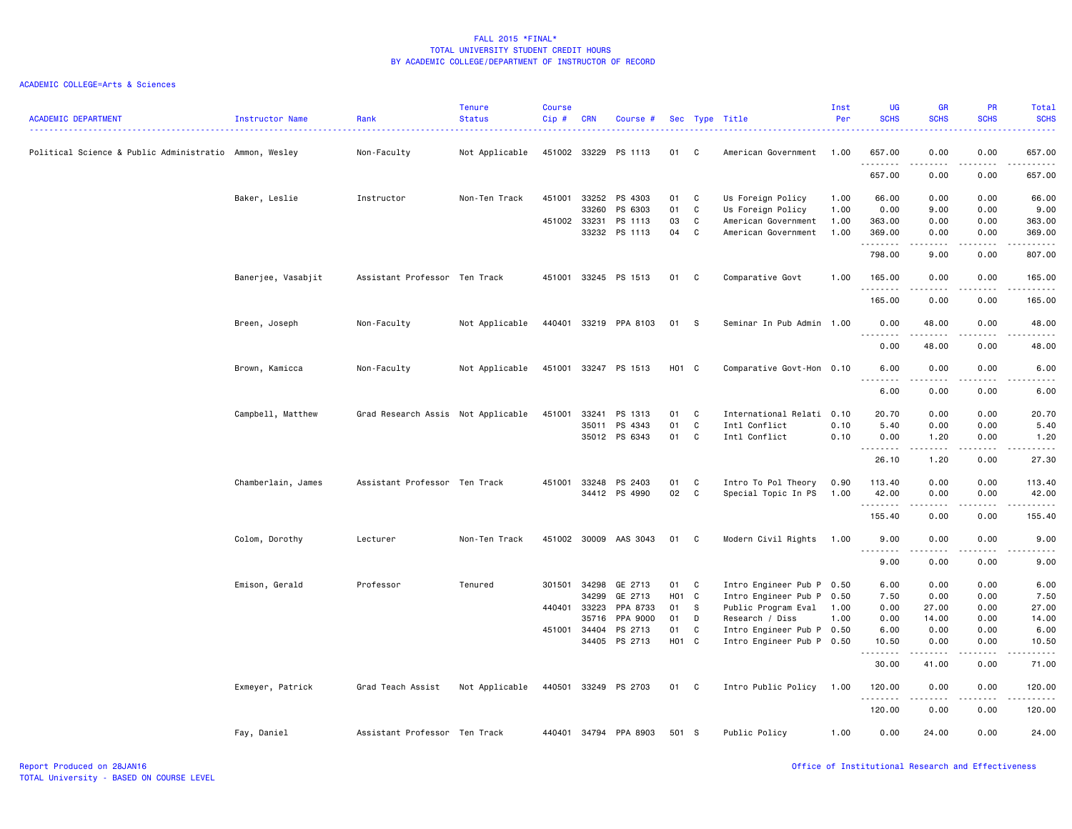| <b>ACADEMIC DEPARTMENT</b>                             | Instructor Name    | Rank                               | <b>Tenure</b><br><b>Status</b> | <b>Course</b><br>Cip# | <b>CRN</b>   | Course #              |                   |              | Sec Type Title            | Inst<br>Per | UG<br><b>SCHS</b>               | <b>GR</b><br><b>SCHS</b>                                                                                                                             | PR<br><b>SCHS</b>                                                                                                                 | Total<br><b>SCHS</b>   |
|--------------------------------------------------------|--------------------|------------------------------------|--------------------------------|-----------------------|--------------|-----------------------|-------------------|--------------|---------------------------|-------------|---------------------------------|------------------------------------------------------------------------------------------------------------------------------------------------------|-----------------------------------------------------------------------------------------------------------------------------------|------------------------|
| Political Science & Public Administratio Ammon, Wesley |                    | Non-Faculty                        | Not Applicable                 |                       | 451002 33229 | PS 1113               | 01                | C            | American Government       | 1.00        | 657.00<br>.                     | 0.00<br>- - - -                                                                                                                                      | 0.00<br>----                                                                                                                      | 657.00<br>.            |
|                                                        |                    |                                    |                                |                       |              |                       |                   |              |                           |             | 657.00                          | 0.00                                                                                                                                                 | 0.00                                                                                                                              | 657.00                 |
|                                                        | Baker, Leslie      | Instructor                         | Non-Ten Track                  | 451001                | 33252        | PS 4303               | 01                | $\mathbf{C}$ | Us Foreign Policy         | 1.00        | 66.00                           | 0.00                                                                                                                                                 | 0.00                                                                                                                              | 66.00                  |
|                                                        |                    |                                    |                                |                       | 33260        | PS 6303               | 01                | C            | Us Foreign Policy         | 1.00        | 0.00                            | 9.00                                                                                                                                                 | 0.00                                                                                                                              | 9.00                   |
|                                                        |                    |                                    |                                | 451002 33231          |              | PS 1113               | 03                | C            | American Government       | 1.00        | 363.00                          | 0.00                                                                                                                                                 | 0.00                                                                                                                              | 363.00                 |
|                                                        |                    |                                    |                                |                       | 33232        | PS 1113               | 04                | C            | American Government       | 1.00        | 369.00<br>.                     | 0.00<br>.                                                                                                                                            | 0.00<br>.                                                                                                                         | 369.00<br>------       |
|                                                        |                    |                                    |                                |                       |              |                       |                   |              |                           |             | 798.00                          | 9.00                                                                                                                                                 | 0.00                                                                                                                              | 807.00                 |
|                                                        | Banerjee, Vasabjit | Assistant Professor Ten Track      |                                | 451001                | 33245        | PS 1513               | 01                | C            | Comparative Govt          | 1.00        | 165.00                          | 0.00                                                                                                                                                 | 0.00                                                                                                                              | 165.00                 |
|                                                        |                    |                                    |                                |                       |              |                       |                   |              |                           |             | .<br>165.00                     | 0.00                                                                                                                                                 | $\sim$ $\sim$ $\sim$ $\sim$<br>0.00                                                                                               | .<br>165.00            |
|                                                        | Breen, Joseph      | Non-Faculty                        | Not Applicable                 |                       |              | 440401 33219 PPA 8103 | 01                | - S          | Seminar In Pub Admin 1.00 |             | 0.00                            | 48.00                                                                                                                                                | 0.00                                                                                                                              | 48.00                  |
|                                                        |                    |                                    |                                |                       |              |                       |                   |              |                           |             | 0.00                            | -----<br>48.00                                                                                                                                       | 0.00                                                                                                                              | $\frac{1}{2}$<br>48.00 |
|                                                        | Brown, Kamicca     | Non-Faculty                        | Not Applicable                 | 451001                |              | 33247 PS 1513         | H <sub>01</sub> C |              | Comparative Govt-Hon 0.10 |             | 6.00                            | 0.00                                                                                                                                                 | 0.00                                                                                                                              | 6.00                   |
|                                                        |                    |                                    |                                |                       |              |                       |                   |              |                           |             | . <u>.</u> .<br>$\sim$ $\sim$ . | $\frac{1}{2} \left( \frac{1}{2} \right) \left( \frac{1}{2} \right) \left( \frac{1}{2} \right) \left( \frac{1}{2} \right) \left( \frac{1}{2} \right)$ | .                                                                                                                                 | -----                  |
|                                                        |                    |                                    |                                |                       |              |                       |                   |              |                           |             | 6.00                            | 0.00                                                                                                                                                 | 0.00                                                                                                                              | 6.00                   |
|                                                        | Campbell, Matthew  | Grad Research Assis Not Applicable |                                | 451001                | 33241        | PS 1313               | 01                | C            | International Relati      | 0.10        | 20.70                           | 0.00                                                                                                                                                 | 0.00                                                                                                                              | 20.70                  |
|                                                        |                    |                                    |                                |                       | 35011        | PS 4343               | 01                | C            | Intl Conflict             | 0.10        | 5.40                            | 0.00                                                                                                                                                 | 0.00                                                                                                                              | 5.40                   |
|                                                        |                    |                                    |                                |                       |              | 35012 PS 6343         | 01                | C            | Intl Conflict             | 0.10        | 0.00<br>--------                | 1.20<br>.                                                                                                                                            | 0.00<br>.                                                                                                                         | 1.20<br>.              |
|                                                        |                    |                                    |                                |                       |              |                       |                   |              |                           |             | 26.10                           | 1.20                                                                                                                                                 | 0.00                                                                                                                              | 27.30                  |
|                                                        | Chamberlain, James | Assistant Professor Ten Track      |                                | 451001                | 33248        | PS 2403               | 01                | C            | Intro To Pol Theory       | 0.90        | 113.40                          | 0.00                                                                                                                                                 | 0.00                                                                                                                              | 113.40                 |
|                                                        |                    |                                    |                                |                       |              | 34412 PS 4990         | 02                | C            | Special Topic In PS       | 1.00        | 42.00                           | 0.00                                                                                                                                                 | 0.00                                                                                                                              | 42.00                  |
|                                                        |                    |                                    |                                |                       |              |                       |                   |              |                           |             | .<br>155.40                     | 0.00                                                                                                                                                 | 0.00                                                                                                                              | ------<br>155.40       |
|                                                        |                    |                                    |                                |                       |              |                       |                   |              |                           |             |                                 |                                                                                                                                                      |                                                                                                                                   |                        |
|                                                        | Colom, Dorothy     | Lecturer                           | Non-Ten Track                  | 451002                |              | 30009 AAS 3043        | 01                | C            | Modern Civil Rights       | 1.00        | 9.00<br>----                    | 0.00<br>----                                                                                                                                         | 0.00<br>$\frac{1}{2} \left( \frac{1}{2} \right) \left( \frac{1}{2} \right) \left( \frac{1}{2} \right) \left( \frac{1}{2} \right)$ | 9.00                   |
|                                                        |                    |                                    |                                |                       |              |                       |                   |              |                           |             | 9.00                            | 0.00                                                                                                                                                 | 0.00                                                                                                                              | 9.00                   |
|                                                        | Emison, Gerald     | Professor                          | Tenured                        | 301501                | 34298        | GE 2713               | 01                | C            | Intro Engineer Pub P      | 0.50        | 6.00                            | 0.00                                                                                                                                                 | 0.00                                                                                                                              | 6.00                   |
|                                                        |                    |                                    |                                |                       | 34299        | GE 2713               | H <sub>01</sub> C |              | Intro Engineer Pub P      | 0.50        | 7.50                            | 0.00                                                                                                                                                 | 0.00                                                                                                                              | 7.50                   |
|                                                        |                    |                                    |                                | 440401                | 33223        | PPA 8733              | 01                | S            | Public Program Eval       | 1.00        | 0.00                            | 27.00                                                                                                                                                | 0.00                                                                                                                              | 27.00                  |
|                                                        |                    |                                    |                                |                       | 35716        | PPA 9000              | 01                | D            | Research / Diss           | 1.00        | 0.00                            | 14.00                                                                                                                                                | 0.00                                                                                                                              | 14.00                  |
|                                                        |                    |                                    |                                | 451001                | 34404        | PS 2713               | 01                | C            | Intro Engineer Pub P      | 0.50        | 6.00                            | 0.00                                                                                                                                                 | 0.00                                                                                                                              | 6.00                   |
|                                                        |                    |                                    |                                |                       |              | 34405 PS 2713         | H <sub>01</sub> C |              | Intro Engineer Pub P 0.50 |             | 10.50<br>.                      | 0.00<br>.                                                                                                                                            | 0.00<br>$\frac{1}{2}$                                                                                                             | 10.50<br>$- - - - -$   |
|                                                        |                    |                                    |                                |                       |              |                       |                   |              |                           |             | 30.00                           | 41.00                                                                                                                                                | 0.00                                                                                                                              | 71.00                  |
|                                                        | Exmeyer, Patrick   | Grad Teach Assist                  | Not Applicable                 | 440501                |              | 33249 PS 2703         | 01                | $\mathbf{C}$ | Intro Public Policy       | 1.00        | 120.00                          | 0.00                                                                                                                                                 | 0.00                                                                                                                              | 120.00                 |
|                                                        |                    |                                    |                                |                       |              |                       |                   |              |                           |             | . <b>.</b><br>120.00            | .<br>0.00                                                                                                                                            | .<br>0.00                                                                                                                         | .<br>120.00            |
|                                                        | Fay, Daniel        | Assistant Professor Ten Track      |                                | 440401                |              | 34794 PPA 8903        | 501 S             |              | Public Policy             | 1.00        | 0.00                            | 24.00                                                                                                                                                | 0.00                                                                                                                              | 24.00                  |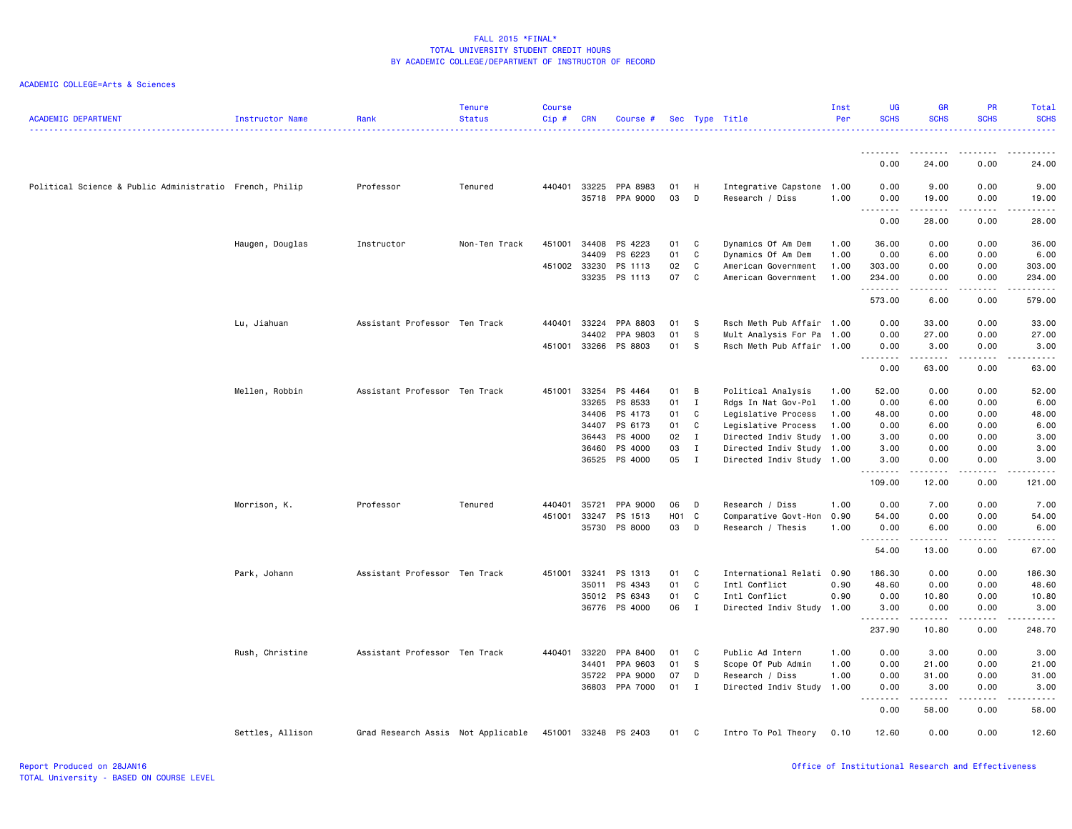| <b>ACADEMIC DEPARTMENT</b>                              | Instructor Name  | Rank                               | <b>Tenure</b><br><b>Status</b> | <b>Course</b><br>Cip# | <b>CRN</b> | Course #                   |          |              | Sec Type Title                               | Inst<br>Per | UG<br><b>SCHS</b>          | <b>GR</b><br><b>SCHS</b> | <b>PR</b><br><b>SCHS</b> | Total<br><b>SCHS</b><br>. |
|---------------------------------------------------------|------------------|------------------------------------|--------------------------------|-----------------------|------------|----------------------------|----------|--------------|----------------------------------------------|-------------|----------------------------|--------------------------|--------------------------|---------------------------|
|                                                         |                  |                                    |                                |                       |            |                            |          |              |                                              |             |                            |                          |                          |                           |
|                                                         |                  |                                    |                                |                       |            |                            |          |              |                                              |             | 0.00                       | 24.00                    | 0.00                     | 24.00                     |
| Political Science & Public Administratio French, Philip |                  | Professor                          | Tenured                        | 440401 33225          |            | PPA 8983<br>35718 PPA 9000 | 01<br>03 | H<br>D       | Integrative Capstone 1.00<br>Research / Diss | 1.00        | 0.00<br>0.00               | 9.00<br>19.00            | 0.00<br>0.00             | 9.00<br>19.00             |
|                                                         |                  |                                    |                                |                       |            |                            |          |              |                                              |             | <u>.</u><br>0.00           | 28.00                    | .<br>0.00                | .<br>28.00                |
|                                                         | Haugen, Douglas  | Instructor                         | Non-Ten Track                  | 451001                | 34408      | PS 4223                    | 01       | C            | Dynamics Of Am Dem                           | 1.00        | 36.00                      | 0.00                     | 0.00                     | 36.00                     |
|                                                         |                  |                                    |                                |                       | 34409      | PS 6223                    | 01       | C            | Dynamics Of Am Dem                           | 1.00        | 0.00                       | 6.00                     | 0.00                     | 6.00                      |
|                                                         |                  |                                    |                                | 451002 33230          |            | PS 1113                    | 02       | C            | American Government                          | 1.00        | 303.00                     | 0.00                     | 0.00                     | 303.00                    |
|                                                         |                  |                                    |                                |                       | 33235      | PS 1113                    | 07       | C            | American Government                          | 1.00        | 234.00<br><u>.</u>         | 0.00<br>.                | 0.00<br>.                | 234.00<br>.               |
|                                                         |                  |                                    |                                |                       |            |                            |          |              |                                              |             | 573.00                     | 6.00                     | 0.00                     | 579.00                    |
|                                                         | Lu, Jiahuan      | Assistant Professor Ten Track      |                                | 440401                | 33224      | PPA 8803                   | 01       | - S          | Rsch Meth Pub Affair 1.00                    |             | 0.00                       | 33.00                    | 0.00                     | 33.00                     |
|                                                         |                  |                                    |                                |                       | 34402      | PPA 9803                   | 01       | S            | Mult Analysis For Pa                         | 1.00        | 0.00                       | 27.00                    | 0.00                     | 27.00                     |
|                                                         |                  |                                    |                                | 451001 33266          |            | PS 8803                    | 01       | S            | Rsch Meth Pub Affair 1.00                    |             | 0.00<br>.                  | 3.00<br>. <b>.</b>       | 0.00<br>.                | 3.00<br>.                 |
|                                                         |                  |                                    |                                |                       |            |                            |          |              |                                              |             | 0.00                       | 63.00                    | 0.00                     | 63.00                     |
|                                                         | Mellen, Robbin   | Assistant Professor Ten Track      |                                | 451001                | 33254      | PS 4464                    | 01       | B            | Political Analysis                           | 1.00        | 52.00                      | 0.00                     | 0.00                     | 52.00                     |
|                                                         |                  |                                    |                                |                       | 33265      | PS 8533                    | 01       | I            | Rdgs In Nat Gov-Pol                          | 1.00        | 0.00                       | 6.00                     | 0.00                     | 6.00                      |
|                                                         |                  |                                    |                                |                       | 34406      | PS 4173                    | 01       | C            | Legislative Process                          | 1.00        | 48.00                      | 0.00                     | 0.00                     | 48.00                     |
|                                                         |                  |                                    |                                |                       | 34407      | PS 6173                    | 01       | C            | Legislative Process                          | 1.00        | 0.00                       | 6.00                     | 0.00                     | 6.00                      |
|                                                         |                  |                                    |                                |                       | 36443      | PS 4000                    | 02       | $\mathbf I$  | Directed Indiv Study                         | 1.00        | 3.00                       | 0.00                     | 0.00                     | 3.00                      |
|                                                         |                  |                                    |                                |                       | 36460      | PS 4000                    | 03       | $\mathbf{I}$ | Directed Indiv Study 1.00                    |             | 3.00                       | 0.00                     | 0.00                     | 3.00                      |
|                                                         |                  |                                    |                                |                       | 36525      | PS 4000                    | 05       | $\mathbf I$  | Directed Indiv Study 1.00                    |             | 3.00                       | 0.00                     | 0.00                     | 3.00<br>.                 |
|                                                         |                  |                                    |                                |                       |            |                            |          |              |                                              |             | 109.00                     | 12.00                    | 0.00                     | 121.00                    |
|                                                         | Morrison, K.     | Professor                          | Tenured                        | 440401                | 35721      | PPA 9000                   | 06       | D            | Research / Diss                              | 1.00        | 0.00                       | 7.00                     | 0.00                     | 7.00                      |
|                                                         |                  |                                    |                                | 451001                | 33247      | PS 1513                    | HO1 C    |              | Comparative Govt-Hon                         | 0.90        | 54.00                      | 0.00                     | 0.00                     | 54.00                     |
|                                                         |                  |                                    |                                |                       |            | 35730 PS 8000              | 03       | $\mathsf{D}$ | Research / Thesis                            | 1.00        | 0.00<br><b></b>            | 6.00                     | 0.00                     | 6.00<br>.                 |
|                                                         |                  |                                    |                                |                       |            |                            |          |              |                                              |             | 54.00                      | 13.00                    | 0.00                     | 67.00                     |
|                                                         | Park, Johann     | Assistant Professor Ten Track      |                                | 451001                | 33241      | PS 1313                    | 01       | C            | International Relati                         | 0.90        | 186.30                     | 0.00                     | 0.00                     | 186.30                    |
|                                                         |                  |                                    |                                |                       | 35011      | PS 4343                    | 01       | C            | Intl Conflict                                | 0.90        | 48.60                      | 0.00                     | 0.00                     | 48.60                     |
|                                                         |                  |                                    |                                |                       |            | 35012 PS 6343              | 01       | C            | Intl Conflict                                | 0.90        | 0.00                       | 10.80                    | 0.00                     | 10.80                     |
|                                                         |                  |                                    |                                |                       |            | 36776 PS 4000              | 06       | $\mathbf{I}$ | Directed Indiv Study 1.00                    |             | 3.00<br>.                  | 0.00<br>$- - - - -$      | 0.00<br>$\frac{1}{2}$    | 3.00<br>.                 |
|                                                         |                  |                                    |                                |                       |            |                            |          |              |                                              |             | 237.90                     | 10.80                    | 0.00                     | 248.70                    |
|                                                         | Rush, Christine  | Assistant Professor Ten Track      |                                | 440401                | 33220      | PPA 8400                   | 01       | C            | Public Ad Intern                             | 1.00        | 0.00                       | 3.00                     | 0.00                     | 3.00                      |
|                                                         |                  |                                    |                                |                       | 34401      | PPA 9603                   | 01       | S            | Scope Of Pub Admin                           | 1.00        | 0.00                       | 21.00                    | 0.00                     | 21.00                     |
|                                                         |                  |                                    |                                |                       | 35722      | PPA 9000                   | 07       | D            | Research / Diss                              | 1.00        | 0.00                       | 31.00                    | 0.00                     | 31.00                     |
|                                                         |                  |                                    |                                |                       |            | 36803 PPA 7000             | 01       | $\mathbf{I}$ | Directed Indiv Study 1.00                    |             | 0.00                       | 3.00                     | 0.00                     | 3.00                      |
|                                                         |                  |                                    |                                |                       |            |                            |          |              |                                              |             | .<br>$\sim$ $\sim$<br>0.00 | .<br>58.00               | .<br>0.00                | د د د د د<br>58.00        |
|                                                         | Settles, Allison | Grad Research Assis Not Applicable |                                |                       |            | 451001 33248 PS 2403       | 01       | C            | Intro To Pol Theory                          | 0.10        | 12.60                      | 0.00                     | 0.00                     | 12.60                     |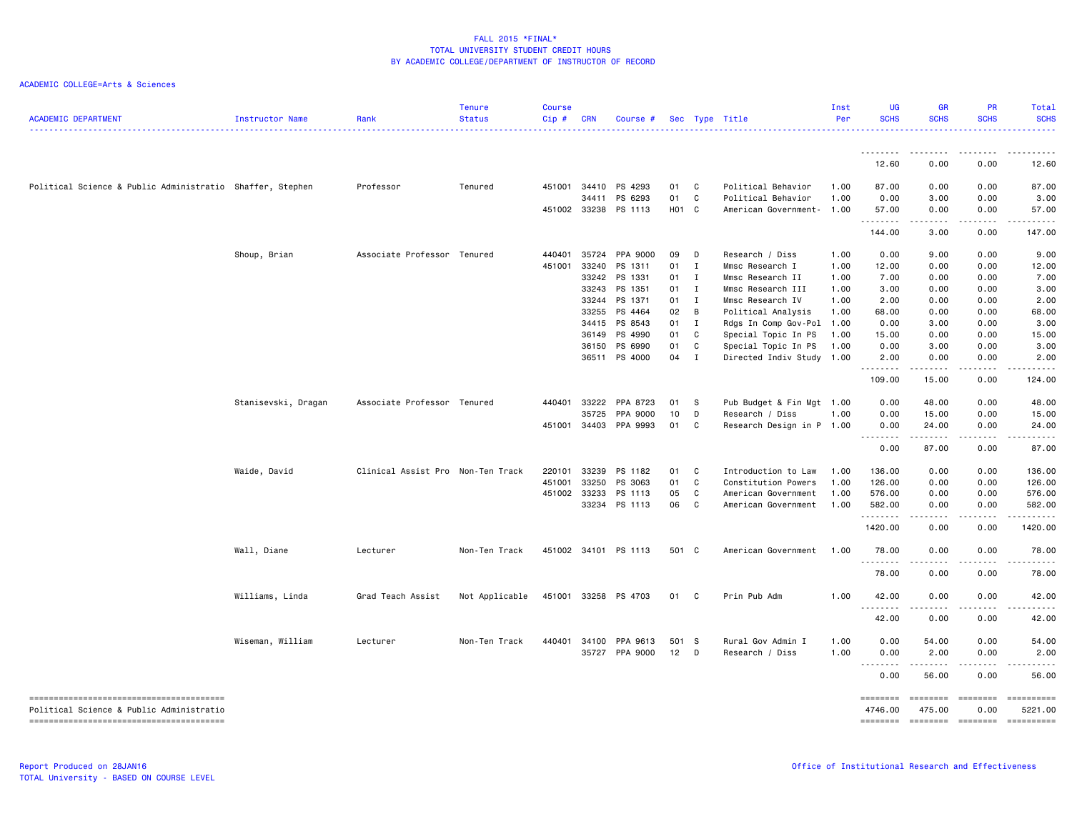| <b>ACADEMIC DEPARTMENT</b>                                | Instructor Name     | Rank                              | <b>Tenure</b><br><b>Status</b> | <b>Course</b><br>Cip# | <b>CRN</b> | Course #             |              |              | Sec Type Title            | Inst<br>Per | <b>UG</b><br><b>SCHS</b> | <b>GR</b><br><b>SCHS</b> | PR<br><b>SCHS</b>      | Total<br><b>SCHS</b>                                                                                                                        |
|-----------------------------------------------------------|---------------------|-----------------------------------|--------------------------------|-----------------------|------------|----------------------|--------------|--------------|---------------------------|-------------|--------------------------|--------------------------|------------------------|---------------------------------------------------------------------------------------------------------------------------------------------|
|                                                           |                     |                                   |                                |                       |            |                      |              |              |                           |             | <u>.</u>                 |                          |                        |                                                                                                                                             |
|                                                           |                     |                                   |                                |                       |            |                      |              |              |                           |             | 12.60                    | 0.00                     | 0.00                   | 12.60                                                                                                                                       |
| Political Science & Public Administratio Shaffer, Stephen |                     | Professor                         | Tenured                        | 451001                | 34410      | PS 4293              | 01           | - C          | Political Behavior        | 1.00        | 87.00                    | 0.00                     | 0.00                   | 87.00                                                                                                                                       |
|                                                           |                     |                                   |                                |                       | 34411      | PS 6293              | 01           | C            | Political Behavior        | 1.00        | 0.00                     | 3.00                     | 0.00                   | 3.00                                                                                                                                        |
|                                                           |                     |                                   |                                |                       |            | 451002 33238 PS 1113 | H01 C        |              | American Government-      | 1.00        | 57.00                    | 0.00                     | 0.00<br>.              | 57.00                                                                                                                                       |
|                                                           |                     |                                   |                                |                       |            |                      |              |              |                           |             | .<br>144.00              | .<br>3.00                | 0.00                   | 147.00                                                                                                                                      |
|                                                           | Shoup, Brian        | Associate Professor Tenured       |                                | 440401                | 35724      | PPA 9000             | 09           | D            | Research / Diss           | 1.00        | 0.00                     | 9.00                     | 0.00                   | 9.00                                                                                                                                        |
|                                                           |                     |                                   |                                | 451001                | 33240      | PS 1311              | 01           | $\mathbf{I}$ | Mmsc Research I           | 1.00        | 12.00                    | 0.00                     | 0.00                   | 12.00                                                                                                                                       |
|                                                           |                     |                                   |                                |                       | 33242      | PS 1331              | 01           | $\mathbf{I}$ | Mmsc Research II          | 1.00        | 7.00                     | 0.00                     | 0.00                   | 7.00                                                                                                                                        |
|                                                           |                     |                                   |                                |                       |            | 33243 PS 1351        | 01 I         |              | Mmsc Research III         | 1.00        | 3.00                     | 0.00                     | 0.00                   | 3.00                                                                                                                                        |
|                                                           |                     |                                   |                                |                       | 33244      | PS 1371              | 01 I         |              | Mmsc Research IV          | 1.00        | 2.00                     | 0.00                     | 0.00                   | 2.00                                                                                                                                        |
|                                                           |                     |                                   |                                |                       |            | 33255 PS 4464        | 02           | B            | Political Analysis        | 1.00        | 68.00                    | 0.00                     | 0.00                   | 68.00                                                                                                                                       |
|                                                           |                     |                                   |                                |                       |            | 34415 PS 8543        | $01 \quad I$ |              | Rdgs In Comp Gov-Pol 1.00 |             | 0.00                     | 3.00                     | 0.00                   | 3.00                                                                                                                                        |
|                                                           |                     |                                   |                                |                       | 36149      | PS 4990              | 01           | C            | Special Topic In PS       | 1.00        | 15.00                    | 0.00                     | 0.00                   | 15.00                                                                                                                                       |
|                                                           |                     |                                   |                                |                       | 36150      | PS 6990              | 01           | C            | Special Topic In PS       | 1.00        | 0.00                     | 3.00                     | 0.00                   | 3.00                                                                                                                                        |
|                                                           |                     |                                   |                                |                       |            | 36511 PS 4000        | 04 I         |              | Directed Indiv Study 1.00 |             | 2.00<br>.                | 0.00<br>.                | 0.00<br>.              | 2.00<br><b>.</b> .                                                                                                                          |
|                                                           |                     |                                   |                                |                       |            |                      |              |              |                           |             | 109.00                   | 15.00                    | 0.00                   | 124.00                                                                                                                                      |
|                                                           | Stanisevski, Dragan | Associate Professor Tenured       |                                | 440401                | 33222      | PPA 8723             | 01           | $^{\circ}$ s | Pub Budget & Fin Mgt 1.00 |             | 0.00                     | 48.00                    | 0.00                   | 48.00                                                                                                                                       |
|                                                           |                     |                                   |                                |                       | 35725      | PPA 9000             | 10           | D            | Research / Diss           | 1.00        | 0.00                     | 15.00                    | 0.00                   | 15.00                                                                                                                                       |
|                                                           |                     |                                   |                                | 451001                |            | 34403 PPA 9993       | 01           | C            | Research Design in P 1.00 |             | 0.00<br>.                | 24.00<br>.               | 0.00<br><b>.</b>       | 24.00<br>.                                                                                                                                  |
|                                                           |                     |                                   |                                |                       |            |                      |              |              |                           |             | 0.00                     | 87.00                    | 0.00                   | 87.00                                                                                                                                       |
|                                                           | Waide, David        | Clinical Assist Pro Non-Ten Track |                                | 220101                | 33239      | PS 1182              | 01           | C            | Introduction to Law       | 1.00        | 136.00                   | 0.00                     | 0.00                   | 136.00                                                                                                                                      |
|                                                           |                     |                                   |                                | 451001                | 33250      | PS 3063              | 01           | C            | Constitution Powers       | 1.00        | 126.00                   | 0.00                     | 0.00                   | 126.00                                                                                                                                      |
|                                                           |                     |                                   |                                | 451002                | 33233      | PS 1113              | 05           | C            | American Government       | 1.00        | 576.00                   | 0.00                     | 0.00                   | 576.00                                                                                                                                      |
|                                                           |                     |                                   |                                |                       |            | 33234 PS 1113        | 06           | C            | American Government       | 1.00        | 582.00                   | 0.00                     | 0.00                   | 582.00                                                                                                                                      |
|                                                           |                     |                                   |                                |                       |            |                      |              |              |                           |             | .<br>1420.00             | 0.00                     | 0.00                   | 1420.00                                                                                                                                     |
|                                                           | Wall, Diane         | Lecturer                          | Non-Ten Track                  |                       |            | 451002 34101 PS 1113 | 501 C        |              | American Government       | 1.00        | 78.00                    | 0.00                     | 0.00                   | 78.00                                                                                                                                       |
|                                                           |                     |                                   |                                |                       |            |                      |              |              |                           |             | .<br>78.00               | 0.00                     | 0.00                   | 78.00                                                                                                                                       |
|                                                           | Williams, Linda     | Grad Teach Assist                 | Not Applicable                 | 451001                |            | 33258 PS 4703        | 01 C         |              | Prin Pub Adm              | 1.00        | 42.00                    | 0.00                     | 0.00                   | 42.00                                                                                                                                       |
|                                                           |                     |                                   |                                |                       |            |                      |              |              |                           |             | <u>.</u><br>42.00        | $\frac{1}{2}$<br>0.00    | $- - - - -$<br>0.00    | .<br>42.00                                                                                                                                  |
|                                                           | Wiseman, William    | Lecturer                          | Non-Ten Track                  | 440401                | 34100      | PPA 9613             | 501 S        |              | Rural Gov Admin I         | 1.00        | 0.00                     | 54.00                    | 0.00                   | 54.00                                                                                                                                       |
|                                                           |                     |                                   |                                |                       |            | 35727 PPA 9000       | $12$ D       |              | Research / Diss           | 1.00        | 0.00                     | 2.00                     | 0.00                   | 2.00                                                                                                                                        |
|                                                           |                     |                                   |                                |                       |            |                      |              |              |                           |             | .                        | -----                    | .                      |                                                                                                                                             |
|                                                           |                     |                                   |                                |                       |            |                      |              |              |                           |             | 0.00                     | 56.00                    | 0.00                   | 56.00                                                                                                                                       |
| Political Science & Public Administratio                  |                     |                                   |                                |                       |            |                      |              |              |                           |             | ========<br>4746.00      | ========<br>475.00       | <b>ESSESSE</b><br>0.00 | $\begin{minipage}{0.9\linewidth} \hspace*{-0.2cm} \textbf{m} = \textbf{m} = \textbf{m} = \textbf{m} = \textbf{m} \end{minipage}$<br>5221.00 |
|                                                           |                     |                                   |                                |                       |            |                      |              |              |                           |             | ========                 | -------- -------         |                        |                                                                                                                                             |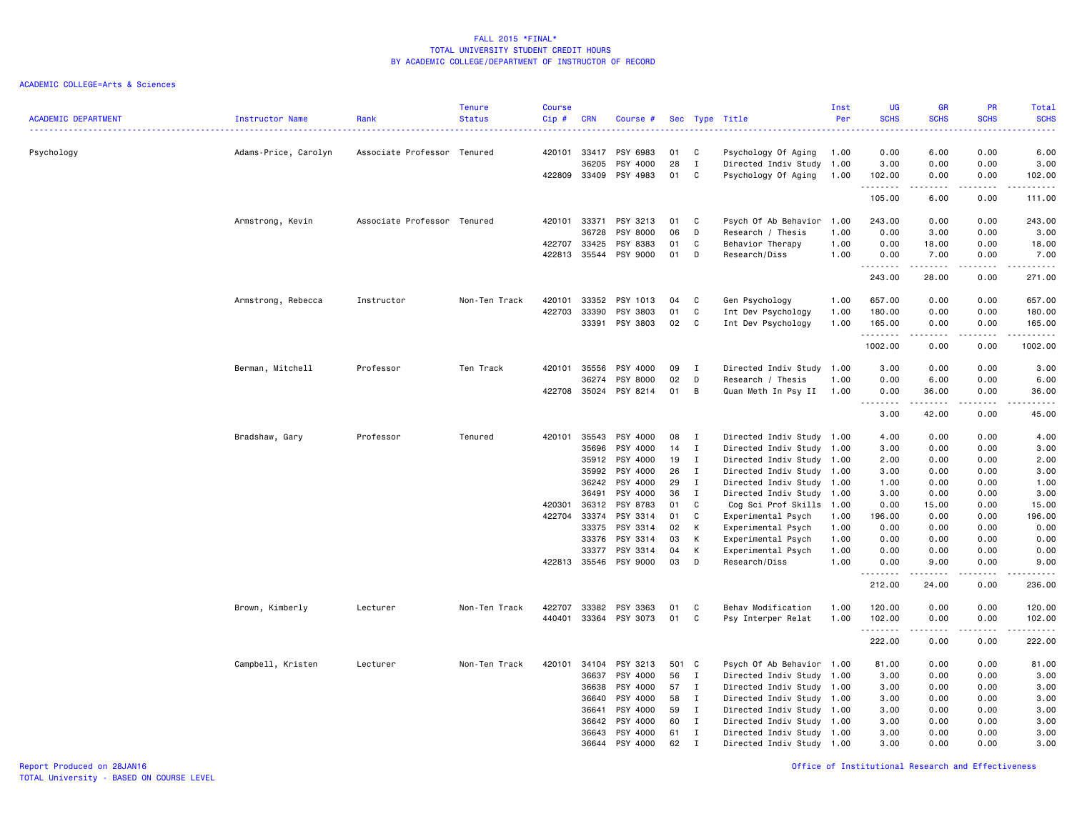| <b>ACADEMIC DEPARTMENT</b> | <b>Instructor Name</b> | Rank                        | <b>Tenure</b><br><b>Status</b> | <b>Course</b><br>Cip# | <b>CRN</b>     | Course #              |          |                  | Sec Type Title                              | Inst<br>Per  | UG<br><b>SCHS</b> | <b>GR</b><br><b>SCHS</b>                                                                                                                                                                                                                                                                                                                      | PR<br><b>SCHS</b> | Total<br><b>SCHS</b> |
|----------------------------|------------------------|-----------------------------|--------------------------------|-----------------------|----------------|-----------------------|----------|------------------|---------------------------------------------|--------------|-------------------|-----------------------------------------------------------------------------------------------------------------------------------------------------------------------------------------------------------------------------------------------------------------------------------------------------------------------------------------------|-------------------|----------------------|
| Psychology                 | Adams-Price, Carolyn   | Associate Professor Tenured |                                | 420101                | 33417          | PSY 6983              | 01       | C                | Psychology Of Aging                         | 1.00         | 0.00              | 6.00                                                                                                                                                                                                                                                                                                                                          | 0.00              | 6.00                 |
|                            |                        |                             |                                | 422809                | 36205<br>33409 | PSY 4000<br>PSY 4983  | 28<br>01 | $\mathbf I$<br>C | Directed Indiv Study<br>Psychology Of Aging | 1.00<br>1.00 | 3.00<br>102.00    | 0.00<br>0.00                                                                                                                                                                                                                                                                                                                                  | 0.00<br>0.00      | 3.00<br>102.00       |
|                            |                        |                             |                                |                       |                |                       |          |                  |                                             |              | .<br>105.00       | .<br>6.00                                                                                                                                                                                                                                                                                                                                     | .<br>0.00         | .<br>111.00          |
|                            |                        |                             |                                |                       |                |                       |          |                  |                                             |              |                   |                                                                                                                                                                                                                                                                                                                                               |                   |                      |
|                            | Armstrong, Kevin       | Associate Professor Tenured |                                | 420101                | 33371<br>36728 | PSY 3213<br>PSY 8000  | 01<br>06 | C<br>D           | Psych Of Ab Behavior<br>Research / Thesis   | 1.00<br>1.00 | 243.00<br>0.00    | 0.00<br>3.00                                                                                                                                                                                                                                                                                                                                  | 0.00<br>0.00      | 243.00<br>3.00       |
|                            |                        |                             |                                | 422707                | 33425          | PSY 8383              | 01       | C                | Behavior Therapy                            | 1.00         | 0.00              | 18.00                                                                                                                                                                                                                                                                                                                                         | 0.00              | 18.00                |
|                            |                        |                             |                                | 422813                | 35544          | PSY 9000              | 01       | D                | Research/Diss                               | 1.00         | 0.00              | 7.00                                                                                                                                                                                                                                                                                                                                          | 0.00              | 7.00                 |
|                            |                        |                             |                                |                       |                |                       |          |                  |                                             |              | .<br>243.00       | $\frac{1}{2} \left( \begin{array}{ccc} 1 & 0 & 0 & 0 \\ 0 & 0 & 0 & 0 \\ 0 & 0 & 0 & 0 \\ 0 & 0 & 0 & 0 \\ 0 & 0 & 0 & 0 \\ 0 & 0 & 0 & 0 \\ 0 & 0 & 0 & 0 \\ 0 & 0 & 0 & 0 \\ 0 & 0 & 0 & 0 \\ 0 & 0 & 0 & 0 \\ 0 & 0 & 0 & 0 & 0 \\ 0 & 0 & 0 & 0 & 0 \\ 0 & 0 & 0 & 0 & 0 \\ 0 & 0 & 0 & 0 & 0 \\ 0 & 0 & 0 & 0 & 0 \\ 0 & 0 & 0$<br>28.00 | الدامات ب<br>0.00 | .<br>271.00          |
|                            | Armstrong, Rebecca     | Instructor                  | Non-Ten Track                  | 420101                | 33352          | PSY 1013              | 04       | C                | Gen Psychology                              | 1.00         | 657.00            | 0.00                                                                                                                                                                                                                                                                                                                                          | 0.00              | 657.00               |
|                            |                        |                             |                                | 422703                | 33390          | PSY 3803              | 01       | C                | Int Dev Psychology                          | 1.00         | 180.00            | 0.00                                                                                                                                                                                                                                                                                                                                          | 0.00              | 180.00               |
|                            |                        |                             |                                |                       | 33391          | PSY 3803              | 02       | C                | Int Dev Psychology                          | 1.00         | 165.00            | 0.00                                                                                                                                                                                                                                                                                                                                          | 0.00              | 165.00               |
|                            |                        |                             |                                |                       |                |                       |          |                  |                                             |              | .<br>1002.00      | المتماما<br>0.00                                                                                                                                                                                                                                                                                                                              | .<br>0.00         | .<br>1002.00         |
|                            | Berman, Mitchell       | Professor                   | Ten Track                      | 420101                | 35556          | PSY 4000              | 09       | I                | Directed Indiv Study 1.00                   |              | 3.00              | 0.00                                                                                                                                                                                                                                                                                                                                          | 0.00              | 3.00                 |
|                            |                        |                             |                                |                       | 36274          | PSY 8000              | 02       | D                | Research / Thesis                           | 1.00         | 0.00              | 6.00                                                                                                                                                                                                                                                                                                                                          | 0.00              | 6.00                 |
|                            |                        |                             |                                | 422708                | 35024          | PSY 8214              | 01       | B                | Quan Meth In Psy II                         | 1.00         | 0.00              | 36.00                                                                                                                                                                                                                                                                                                                                         | 0.00              | 36.00                |
|                            |                        |                             |                                |                       |                |                       |          |                  |                                             |              | -----<br>3.00     | .<br>42.00                                                                                                                                                                                                                                                                                                                                    | .<br>0.00         | المتمامين<br>45.00   |
|                            | Bradshaw, Gary         | Professor                   | Tenured                        | 420101                | 35543          | PSY 4000              | 08       | $\mathbf{I}$     | Directed Indiv Study 1.00                   |              | 4.00              | 0.00                                                                                                                                                                                                                                                                                                                                          | 0.00              | 4.00                 |
|                            |                        |                             |                                |                       | 35696          | PSY 4000              | 14       | $\mathbf{I}$     | Directed Indiv Study                        | 1.00         | 3.00              | 0.00                                                                                                                                                                                                                                                                                                                                          | 0.00              | 3.00                 |
|                            |                        |                             |                                |                       | 35912          | PSY 4000              | 19       | $\mathbf{I}$     | Directed Indiv Study 1.00                   |              | 2.00              | 0.00                                                                                                                                                                                                                                                                                                                                          | 0.00              | 2.00                 |
|                            |                        |                             |                                |                       | 35992          | PSY 4000              | 26       | $\mathbf{I}$     | Directed Indiv Study 1.00                   |              | 3.00              | 0.00                                                                                                                                                                                                                                                                                                                                          | 0.00              | 3.00                 |
|                            |                        |                             |                                |                       | 36242          | PSY 4000              | 29       | $\mathbf{I}$     | Directed Indiv Study                        | 1.00         | 1.00              | 0.00                                                                                                                                                                                                                                                                                                                                          | 0.00              | 1.00                 |
|                            |                        |                             |                                |                       | 36491          | PSY 4000              | 36       | $\mathbf{I}$     | Directed Indiv Study 1.00                   |              | 3.00              | 0.00                                                                                                                                                                                                                                                                                                                                          | 0.00              | 3.00                 |
|                            |                        |                             |                                | 420301<br>422704      | 36312<br>33374 | PSY 8783<br>PSY 3314  | 01<br>01 | C<br>C           | Cog Sci Prof Skills<br>Experimental Psych   | 1.00<br>1.00 | 0.00<br>196.00    | 15.00<br>0.00                                                                                                                                                                                                                                                                                                                                 | 0.00<br>0.00      | 15.00<br>196.00      |
|                            |                        |                             |                                |                       | 33375          | PSY 3314              | 02       | К                | Experimental Psych                          | 1.00         | 0.00              | 0.00                                                                                                                                                                                                                                                                                                                                          | 0.00              | 0.00                 |
|                            |                        |                             |                                |                       | 33376          | PSY 3314              | 03       | К                | Experimental Psych                          | 1.00         | 0.00              | 0.00                                                                                                                                                                                                                                                                                                                                          | 0.00              | 0.00                 |
|                            |                        |                             |                                |                       | 33377          | PSY 3314              | 04       | К                | Experimental Psych                          | 1.00         | 0.00              | 0.00                                                                                                                                                                                                                                                                                                                                          | 0.00              | 0.00                 |
|                            |                        |                             |                                |                       |                | 422813 35546 PSY 9000 | 03       | D                | Research/Diss                               | 1.00         | 0.00              | 9.00                                                                                                                                                                                                                                                                                                                                          | 0.00              | 9.00                 |
|                            |                        |                             |                                |                       |                |                       |          |                  |                                             |              | 212.00            | 24.00                                                                                                                                                                                                                                                                                                                                         | 0.00              | 236.00               |
|                            | Brown, Kimberly        | Lecturer                    | Non-Ten Track                  | 422707                | 33382          | PSY 3363              | 01       | C                | Behav Modification                          | 1.00         | 120.00            | 0.00                                                                                                                                                                                                                                                                                                                                          | 0.00              | 120.00               |
|                            |                        |                             |                                | 440401                |                | 33364 PSY 3073        | 01       | C                | Psy Interper Relat                          | 1.00         | 102.00            | 0.00                                                                                                                                                                                                                                                                                                                                          | 0.00              | 102.00               |
|                            |                        |                             |                                |                       |                |                       |          |                  |                                             |              | .<br>222.00       | .<br>0.00                                                                                                                                                                                                                                                                                                                                     | .<br>0.00         | 222.00               |
|                            | Campbell, Kristen      | Lecturer                    | Non-Ten Track                  | 420101                | 34104          | PSY 3213              | 501 C    |                  | Psych Of Ab Behavior 1.00                   |              | 81.00             | 0.00                                                                                                                                                                                                                                                                                                                                          | 0.00              | 81.00                |
|                            |                        |                             |                                |                       | 36637          | PSY 4000              | 56       | $\mathbf{I}$     | Directed Indiv Study                        | 1.00         | 3.00              | 0.00                                                                                                                                                                                                                                                                                                                                          | 0.00              | 3.00                 |
|                            |                        |                             |                                |                       | 36638          | PSY 4000              | 57       | $\mathbf{I}$     | Directed Indiv Study 1.00                   |              | 3.00              | 0.00                                                                                                                                                                                                                                                                                                                                          | 0.00              | 3.00                 |
|                            |                        |                             |                                |                       | 36640          | PSY 4000              | 58       | $\mathbf{I}$     | Directed Indiv Study 1.00                   |              | 3.00              | 0.00                                                                                                                                                                                                                                                                                                                                          | 0.00              | 3.00                 |
|                            |                        |                             |                                |                       | 36641          | PSY 4000              | 59       | $\mathbf{I}$     | Directed Indiv Study                        | 1.00         | 3.00              | 0.00                                                                                                                                                                                                                                                                                                                                          | 0.00              | 3.00                 |
|                            |                        |                             |                                |                       | 36642          | PSY 4000              | 60       | I                | Directed Indiv Study 1.00                   |              | 3.00              | 0.00                                                                                                                                                                                                                                                                                                                                          | 0.00              | 3.00                 |
|                            |                        |                             |                                |                       | 36643          | PSY 4000              | 61       | $\mathbf I$      | Directed Indiv Study 1.00                   |              | 3.00              | 0.00                                                                                                                                                                                                                                                                                                                                          | 0.00              | 3.00                 |
|                            |                        |                             |                                |                       | 36644          | PSY 4000              | 62       | I                | Directed Indiv Study 1.00                   |              | 3.00              | 0.00                                                                                                                                                                                                                                                                                                                                          | 0.00              | 3.00                 |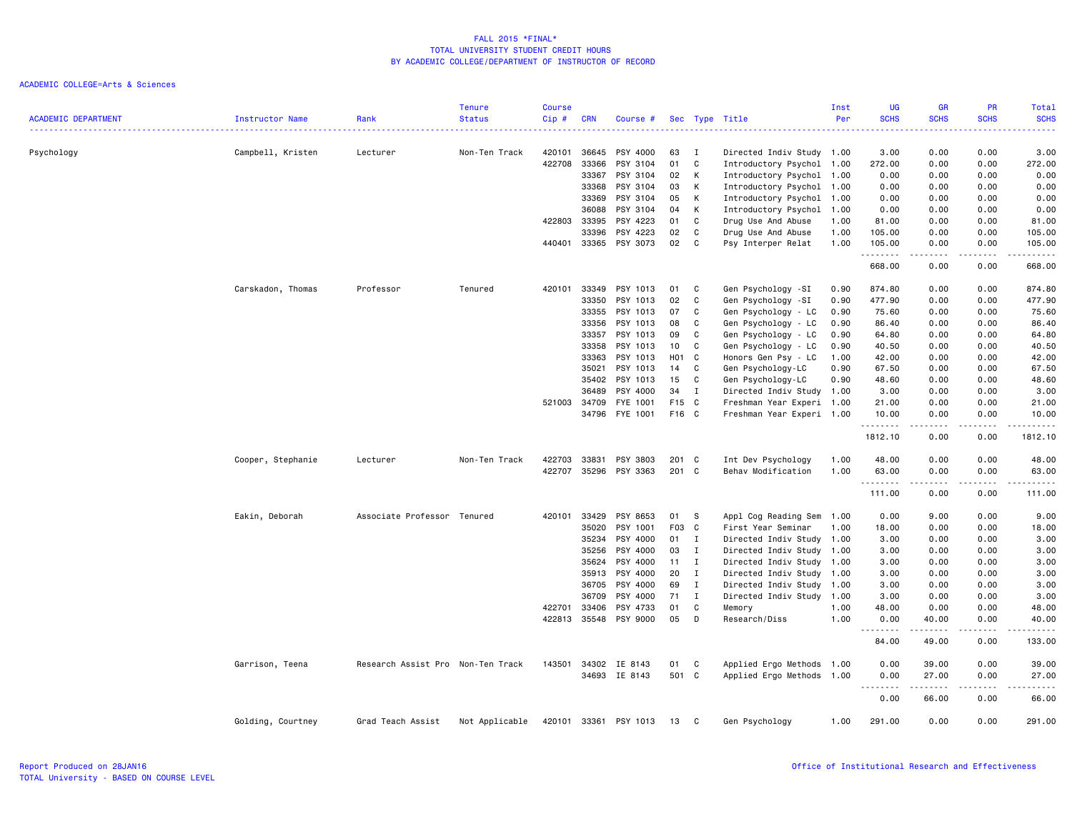|                            |                   |                                   | <b>Tenure</b>  | <b>Course</b> |            |                       |                  |              |                           | Inst | UG                                         | <b>GR</b>                                                                                                                                                    | <b>PR</b>   | Total                                                                                                                                    |
|----------------------------|-------------------|-----------------------------------|----------------|---------------|------------|-----------------------|------------------|--------------|---------------------------|------|--------------------------------------------|--------------------------------------------------------------------------------------------------------------------------------------------------------------|-------------|------------------------------------------------------------------------------------------------------------------------------------------|
| <b>ACADEMIC DEPARTMENT</b> | Instructor Name   | Rank                              | <b>Status</b>  | Cip#          | <b>CRN</b> | Course #              |                  |              | Sec Type Title            | Per  | <b>SCHS</b><br>$\sim$ $\sim$ $\sim$ $\sim$ | <b>SCHS</b>                                                                                                                                                  | <b>SCHS</b> | <b>SCHS</b><br>$\frac{1}{2} \left( \frac{1}{2} \right) \left( \frac{1}{2} \right) \left( \frac{1}{2} \right) \left( \frac{1}{2} \right)$ |
|                            |                   |                                   |                |               |            |                       |                  |              |                           |      |                                            |                                                                                                                                                              |             |                                                                                                                                          |
| Psychology                 | Campbell, Kristen | Lecturer                          | Non-Ten Track  | 420101        | 36645      | PSY 4000              | 63               | Ι.           | Directed Indiv Study 1.00 |      | 3.00                                       | 0.00                                                                                                                                                         | 0.00        | 3.00                                                                                                                                     |
|                            |                   |                                   |                | 422708        | 33366      | PSY 3104              | 01               | C            | Introductory Psychol      | 1.00 | 272.00                                     | 0.00                                                                                                                                                         | 0.00        | 272.00                                                                                                                                   |
|                            |                   |                                   |                |               | 33367      | PSY 3104              | 02               | К            | Introductory Psychol      | 1.00 | 0.00                                       | 0.00                                                                                                                                                         | 0.00        | 0.00                                                                                                                                     |
|                            |                   |                                   |                |               | 33368      | PSY 3104              | 03               | к            | Introductory Psychol      | 1.00 | 0.00                                       | 0.00                                                                                                                                                         | 0.00        | 0.00                                                                                                                                     |
|                            |                   |                                   |                |               | 33369      | PSY 3104              | 05               | К            | Introductory Psychol      | 1.00 | 0.00                                       | 0.00                                                                                                                                                         | 0.00        | 0.00                                                                                                                                     |
|                            |                   |                                   |                |               | 36088      | PSY 3104              | 04               | К            | Introductory Psychol      | 1.00 | 0.00                                       | 0.00                                                                                                                                                         | 0.00        | 0.00                                                                                                                                     |
|                            |                   |                                   |                | 422803        | 33395      | PSY 4223              | 01               | C            | Drug Use And Abuse        | 1.00 | 81.00                                      | 0.00                                                                                                                                                         | 0.00        | 81.00                                                                                                                                    |
|                            |                   |                                   |                |               | 33396      | PSY 4223              | 02               | C            | Drug Use And Abuse        | 1.00 | 105.00                                     | 0.00                                                                                                                                                         | 0.00        | 105.00                                                                                                                                   |
|                            |                   |                                   |                | 440401        | 33365      | PSY 3073              | 02               | C            | Psy Interper Relat        | 1.00 | 105.00<br>.                                | 0.00                                                                                                                                                         | 0.00        | 105.00<br>.                                                                                                                              |
|                            |                   |                                   |                |               |            |                       |                  |              |                           |      | 668.00                                     | 0.00                                                                                                                                                         | 0.00        | 668.00                                                                                                                                   |
|                            | Carskadon, Thomas | Professor                         | Tenured        | 420101        | 33349      | PSY 1013              | 01               | C            | Gen Psychology -SI        | 0.90 | 874.80                                     | 0.00                                                                                                                                                         | 0.00        | 874.80                                                                                                                                   |
|                            |                   |                                   |                |               | 33350      | PSY 1013              | 02               | C            | Gen Psychology -SI        | 0.90 | 477.90                                     | 0.00                                                                                                                                                         | 0.00        | 477.90                                                                                                                                   |
|                            |                   |                                   |                |               | 33355      | PSY 1013              | 07               | C            | Gen Psychology - LC       | 0.90 | 75.60                                      | 0.00                                                                                                                                                         | 0.00        | 75.60                                                                                                                                    |
|                            |                   |                                   |                |               | 33356      | PSY 1013              | 08               | C            | Gen Psychology - LC       | 0.90 | 86.40                                      | 0.00                                                                                                                                                         | 0.00        | 86.40                                                                                                                                    |
|                            |                   |                                   |                |               | 33357      | PSY 1013              | 09               | C            | Gen Psychology - LC       | 0.90 | 64.80                                      | 0.00                                                                                                                                                         | 0.00        | 64.80                                                                                                                                    |
|                            |                   |                                   |                |               | 33358      | PSY 1013              | 10               | C            | Gen Psychology - LC       | 0.90 | 40.50                                      | 0.00                                                                                                                                                         | 0.00        | 40.50                                                                                                                                    |
|                            |                   |                                   |                |               | 33363      | PSY 1013              | H <sub>0</sub> 1 | C.           | Honors Gen Psy - LC       | 1.00 | 42.00                                      | 0.00                                                                                                                                                         | 0.00        | 42.00                                                                                                                                    |
|                            |                   |                                   |                |               | 35021      | PSY 1013              | 14               | C            | Gen Psychology-LC         | 0.90 | 67.50                                      | 0.00                                                                                                                                                         | 0.00        | 67.50                                                                                                                                    |
|                            |                   |                                   |                |               | 35402      | PSY 1013              | 15               | C            | Gen Psychology-LC         | 0.90 | 48.60                                      | 0.00                                                                                                                                                         | 0.00        | 48.60                                                                                                                                    |
|                            |                   |                                   |                |               | 36489      | PSY 4000              | 34               | $\mathbf I$  | Directed Indiv Study 1.00 |      | 3.00                                       | 0.00                                                                                                                                                         | 0.00        | 3.00                                                                                                                                     |
|                            |                   |                                   |                | 521003        | 34709      | FYE 1001              | F15 C            |              | Freshman Year Experi 1.00 |      | 21.00                                      | 0.00                                                                                                                                                         | 0.00        | 21.00                                                                                                                                    |
|                            |                   |                                   |                |               | 34796      | FYE 1001              | F16 C            |              | Freshman Year Experi 1.00 |      | 10.00<br>.                                 | 0.00<br>$\frac{1}{2} \left( \frac{1}{2} \right) \left( \frac{1}{2} \right) \left( \frac{1}{2} \right) \left( \frac{1}{2} \right) \left( \frac{1}{2} \right)$ | 0.00        | 10.00<br>.                                                                                                                               |
|                            |                   |                                   |                |               |            |                       |                  |              |                           |      | 1812.10                                    | 0.00                                                                                                                                                         | 0.00        | 1812.10                                                                                                                                  |
|                            | Cooper, Stephanie | Lecturer                          | Non-Ten Track  | 422703        | 33831      | PSY 3803              | 201 C            |              | Int Dev Psychology        | 1.00 | 48.00                                      | 0.00                                                                                                                                                         | 0.00        | 48.00                                                                                                                                    |
|                            |                   |                                   |                | 422707        | 35296      | PSY 3363              | 201              | C            | Behav Modification        | 1.00 | 63.00<br>. <b>.</b>                        | 0.00                                                                                                                                                         | 0.00        | 63.00                                                                                                                                    |
|                            |                   |                                   |                |               |            |                       |                  |              |                           |      | 111.00                                     | 0.00                                                                                                                                                         | 0.00        | 111.00                                                                                                                                   |
|                            | Eakin, Deborah    | Associate Professor Tenured       |                | 420101        | 33429      | PSY 8653              | 01               | - S          | Appl Cog Reading Sem      | 1.00 | 0.00                                       | 9.00                                                                                                                                                         | 0.00        | 9.00                                                                                                                                     |
|                            |                   |                                   |                |               | 35020      | PSY 1001              | F03 C            |              | First Year Seminar        | 1.00 | 18.00                                      | 0.00                                                                                                                                                         | 0.00        | 18.00                                                                                                                                    |
|                            |                   |                                   |                |               | 35234      | PSY 4000              | 01               | $\mathbf{I}$ | Directed Indiv Study      | 1.00 | 3.00                                       | 0.00                                                                                                                                                         | 0.00        | 3.00                                                                                                                                     |
|                            |                   |                                   |                |               | 35256      | PSY 4000              | 03               | $\mathbf I$  | Directed Indiv Study 1.00 |      | 3.00                                       | 0.00                                                                                                                                                         | 0.00        | 3.00                                                                                                                                     |
|                            |                   |                                   |                |               | 35624      | PSY 4000              | 11               | $\mathbf{I}$ | Directed Indiv Study 1.00 |      | 3.00                                       | 0.00                                                                                                                                                         | 0.00        | 3.00                                                                                                                                     |
|                            |                   |                                   |                |               | 35913      | PSY 4000              | 20               | $\mathbf{I}$ | Directed Indiv Study      | 1.00 | 3.00                                       | 0.00                                                                                                                                                         | 0.00        | 3.00                                                                                                                                     |
|                            |                   |                                   |                |               | 36705      | PSY 4000              | 69               | $\mathbf{I}$ | Directed Indiv Study      | 1.00 | 3.00                                       | 0.00                                                                                                                                                         | 0.00        | 3.00                                                                                                                                     |
|                            |                   |                                   |                |               | 36709      | PSY 4000              | 71               | $\mathbf{I}$ | Directed Indiv Study      | 1.00 | 3.00                                       | 0.00                                                                                                                                                         | 0.00        | 3.00                                                                                                                                     |
|                            |                   |                                   |                | 422701        | 33406      | PSY 4733              | 01               | C            | Memory                    | 1.00 | 48.00                                      | 0.00                                                                                                                                                         | 0.00        | 48.00                                                                                                                                    |
|                            |                   |                                   |                | 422813        |            | 35548 PSY 9000        | 05               | D            | Research/Diss             | 1.00 | 0.00<br>.                                  | 40.00<br>.                                                                                                                                                   | 0.00        | 40.00<br>د د د د د                                                                                                                       |
|                            |                   |                                   |                |               |            |                       |                  |              |                           |      | 84.00                                      | 49.00                                                                                                                                                        | 0.00        | 133.00                                                                                                                                   |
|                            | Garrison, Teena   | Research Assist Pro Non-Ten Track |                | 143501        | 34302      | IE 8143               | 01               | C            | Applied Ergo Methods 1.00 |      | 0.00                                       | 39.00                                                                                                                                                        | 0.00        | 39.00                                                                                                                                    |
|                            |                   |                                   |                |               |            | 34693 IE 8143         | 501 C            |              | Applied Ergo Methods 1.00 |      | 0.00<br>$\sim$ $\sim$ .                    | 27.00                                                                                                                                                        | 0.00        | 27.00                                                                                                                                    |
|                            |                   |                                   |                |               |            |                       |                  |              |                           |      | 0.00                                       | 66.00                                                                                                                                                        | 0.00        | 66.00                                                                                                                                    |
|                            | Golding, Courtney | Grad Teach Assist                 | Not Applicable |               |            | 420101 33361 PSY 1013 | 13               | $\mathbf{C}$ | Gen Psychology            | 1.00 | 291.00                                     | 0.00                                                                                                                                                         | 0.00        | 291.00                                                                                                                                   |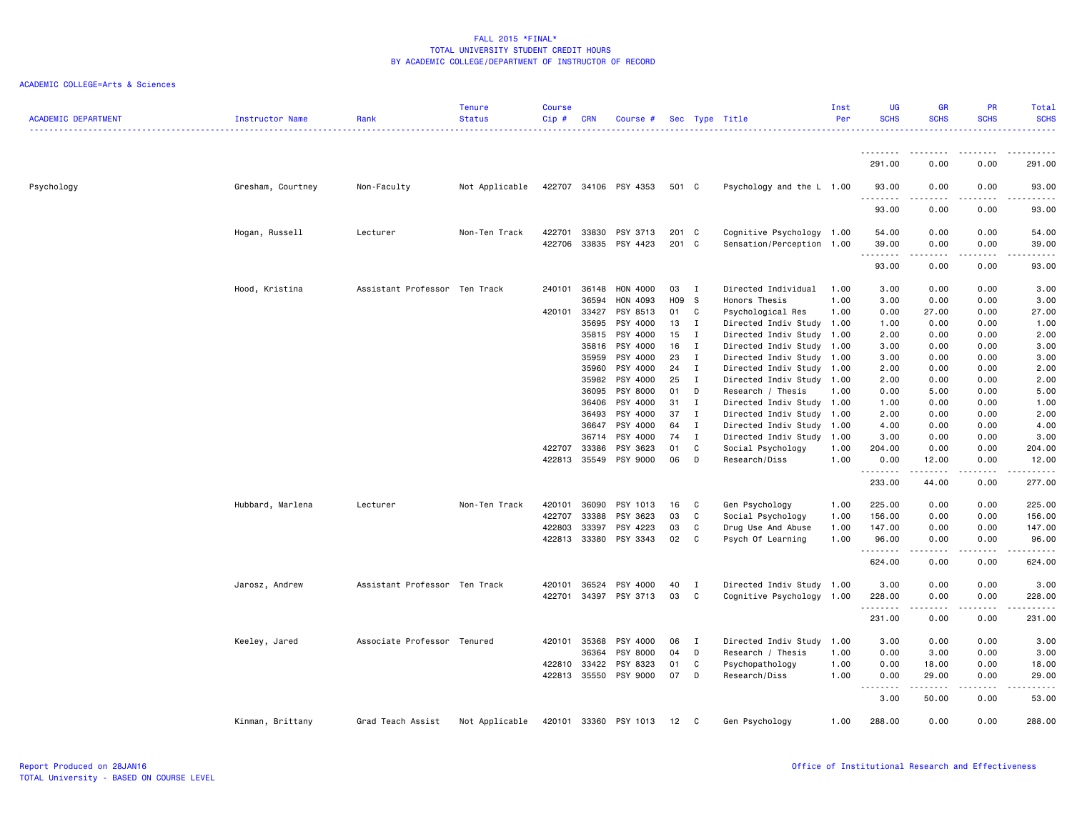| <b>ACADEMIC DEPARTMENT</b> | <b>Instructor Name</b> | Rank                          | <b>Tenure</b><br><b>Status</b> | <b>Course</b><br>Cip# | <b>CRN</b> | Course #              |       |              | Sec Type Title            | Inst<br>Per | <b>UG</b><br><b>SCHS</b> | <b>GR</b><br><b>SCHS</b> | <b>PR</b><br><b>SCHS</b> | Total<br><b>SCHS</b> |
|----------------------------|------------------------|-------------------------------|--------------------------------|-----------------------|------------|-----------------------|-------|--------------|---------------------------|-------------|--------------------------|--------------------------|--------------------------|----------------------|
|                            |                        |                               |                                |                       |            |                       |       |              |                           |             |                          |                          |                          | $\omega$ is a set    |
|                            |                        |                               |                                |                       |            |                       |       |              |                           |             | .<br>291.00              | 0.00                     | 0.00                     | 291.00               |
| Psychology                 | Gresham, Courtney      | Non-Faculty                   | Not Applicable                 |                       |            | 422707 34106 PSY 4353 | 501 C |              | Psychology and the L 1.00 |             | 93.00                    | 0.00                     | 0.00                     | 93.00                |
|                            |                        |                               |                                |                       |            |                       |       |              |                           |             | .<br>93.00               | 0.00                     | .<br>0.00                | .<br>93.00           |
|                            | Hogan, Russell         | Lecturer                      | Non-Ten Track                  | 422701                | 33830      | PSY 3713              | 201 C |              | Cognitive Psychology 1.00 |             | 54.00                    | 0.00                     | 0.00                     | 54.00                |
|                            |                        |                               |                                | 422706                | 33835      | PSY 4423              | 201 C |              | Sensation/Perception      | 1.00        | 39.00<br>.               | 0.00                     | 0.00<br>.                | 39.00<br>د د د د د   |
|                            |                        |                               |                                |                       |            |                       |       |              |                           |             | 93.00                    | 0.00                     | 0.00                     | 93.00                |
|                            | Hood, Kristina         | Assistant Professor Ten Track |                                | 240101                | 36148      | HON 4000              | 03    | $\mathbf I$  | Directed Individual       | 1.00        | 3.00                     | 0.00                     | 0.00                     | 3.00                 |
|                            |                        |                               |                                |                       | 36594      | HON 4093              | H09   | <sub>S</sub> | Honors Thesis             | 1.00        | 3.00                     | 0.00                     | 0.00                     | 3.00                 |
|                            |                        |                               |                                | 420101                | 33427      | PSY 8513              | 01    | C            | Psychological Res         | 1.00        | 0.00                     | 27.00                    | 0.00                     | 27.00                |
|                            |                        |                               |                                |                       | 35695      | PSY 4000              | 13    | I            | Directed Indiv Study 1.00 |             | 1.00                     | 0.00                     | 0.00                     | 1.00                 |
|                            |                        |                               |                                |                       | 35815      | PSY 4000              | 15    | $\mathbf{I}$ | Directed Indiv Study 1.00 |             | 2.00                     | 0.00                     | 0.00                     | 2.00                 |
|                            |                        |                               |                                |                       | 35816      | PSY 4000              | 16    | I            | Directed Indiv Study 1.00 |             | 3.00                     | 0.00                     | 0.00                     | 3.00                 |
|                            |                        |                               |                                |                       | 35959      | PSY 4000              | 23    | $\mathbf I$  | Directed Indiv Study 1.00 |             | 3.00                     | 0.00                     | 0.00                     | 3.00                 |
|                            |                        |                               |                                |                       | 35960      | PSY 4000              | 24    | $\mathbf{I}$ | Directed Indiv Study 1.00 |             | 2.00                     | 0.00                     | 0.00                     | 2.00                 |
|                            |                        |                               |                                |                       | 35982      | PSY 4000              | 25    | I            | Directed Indiv Study 1.00 |             | 2.00                     | 0.00                     | 0.00                     | 2.00                 |
|                            |                        |                               |                                |                       | 36095      | PSY 8000              | 01    | D            | Research / Thesis         | 1.00        | 0.00                     | 5.00                     | 0.00                     | 5.00                 |
|                            |                        |                               |                                |                       | 36406      | PSY 4000              | 31    | $\mathbf I$  | Directed Indiv Study 1.00 |             | 1.00                     | 0.00                     | 0.00                     | 1.00                 |
|                            |                        |                               |                                |                       | 36493      | PSY 4000              | 37    | $\mathbf I$  | Directed Indiv Study 1.00 |             | 2.00                     | 0.00                     | 0.00                     | 2.00                 |
|                            |                        |                               |                                |                       | 36647      | PSY 4000              | 64    | $\mathbf I$  | Directed Indiv Study 1.00 |             | 4.00                     | 0.00                     | 0.00                     | 4.00                 |
|                            |                        |                               |                                |                       | 36714      | PSY 4000              | 74    | Ι.           | Directed Indiv Study      | 1.00        | 3.00                     | 0.00                     | 0.00                     | 3.00                 |
|                            |                        |                               |                                | 422707                | 33386      | PSY 3623              | 01    | C            | Social Psychology         | 1.00        | 204.00                   | 0.00                     | 0.00                     | 204.00               |
|                            |                        |                               |                                | 422813                | 35549      | PSY 9000              | 06    | D            | Research/Diss             | 1.00        | 0.00<br>.                | 12.00<br>.               | 0.00<br>.                | 12.00<br>.           |
|                            |                        |                               |                                |                       |            |                       |       |              |                           |             | 233.00                   | 44.00                    | 0.00                     | 277.00               |
|                            | Hubbard, Marlena       | Lecturer                      | Non-Ten Track                  | 420101                | 36090      | PSY 1013              | 16    | C            | Gen Psychology            | 1.00        | 225.00                   | 0.00                     | 0.00                     | 225.00               |
|                            |                        |                               |                                | 422707                | 33388      | PSY 3623              | 03    | C            | Social Psychology         | 1.00        | 156.00                   | 0.00                     | 0.00                     | 156.00               |
|                            |                        |                               |                                | 422803                | 33397      | PSY 4223              | 03    | C            | Drug Use And Abuse        | 1.00        | 147.00                   | 0.00                     | 0.00                     | 147.00               |
|                            |                        |                               |                                | 422813                | 33380      | PSY 3343              | 02    | C            | Psych Of Learning         | 1.00        | 96.00                    | 0.00                     | 0.00                     | 96.00                |
|                            |                        |                               |                                |                       |            |                       |       |              |                           |             | .<br>624.00              | 0.00                     | 0.00                     | .<br>624.00          |
|                            |                        | Assistant Professor Ten Track |                                | 420101                | 36524      | PSY 4000              | 40    | I            |                           |             | 3.00                     |                          | 0.00                     | 3.00                 |
|                            | Jarosz, Andrew         |                               |                                | 422701                | 34397      | PSY 3713              | 03    | C            | Directed Indiv Study 1.00 |             | 228.00                   | 0.00<br>0.00             | 0.00                     | 228.00               |
|                            |                        |                               |                                |                       |            |                       |       |              | Cognitive Psychology 1.00 |             | .                        |                          | .                        | د د د د د            |
|                            |                        |                               |                                |                       |            |                       |       |              |                           |             | 231.00                   | 0.00                     | 0.00                     | 231.00               |
|                            | Keeley, Jared          | Associate Professor Tenured   |                                | 420101                | 35368      | PSY 4000              | 06    | I            | Directed Indiv Study      | 1.00        | 3.00                     | 0.00                     | 0.00                     | 3.00                 |
|                            |                        |                               |                                |                       | 36364      | PSY 8000              | 04    | D            | Research / Thesis         | 1.00        | 0.00                     | 3.00                     | 0.00                     | 3.00                 |
|                            |                        |                               |                                | 422810                | 33422      | PSY 8323              | 01    | C            | Psychopathology           | 1.00        | 0.00                     | 18.00                    | 0.00                     | 18.00                |
|                            |                        |                               |                                | 422813                | 35550      | PSY 9000              | 07    | D            | Research/Diss             | 1.00        | 0.00                     | 29.00<br>-----           | 0.00                     | 29.00<br>$- - - -$   |
|                            |                        |                               |                                |                       |            |                       |       |              |                           |             | <u>.</u><br>3.00         | 50.00                    | $\frac{1}{2}$<br>0.00    | 53.00                |
|                            | Kinman, Brittany       | Grad Teach Assist             | Not Applicable                 | 420101                | 33360      | PSY 1013              | 12    | C            | Gen Psychology            | 1.00        | 288.00                   | 0.00                     | 0.00                     | 288.00               |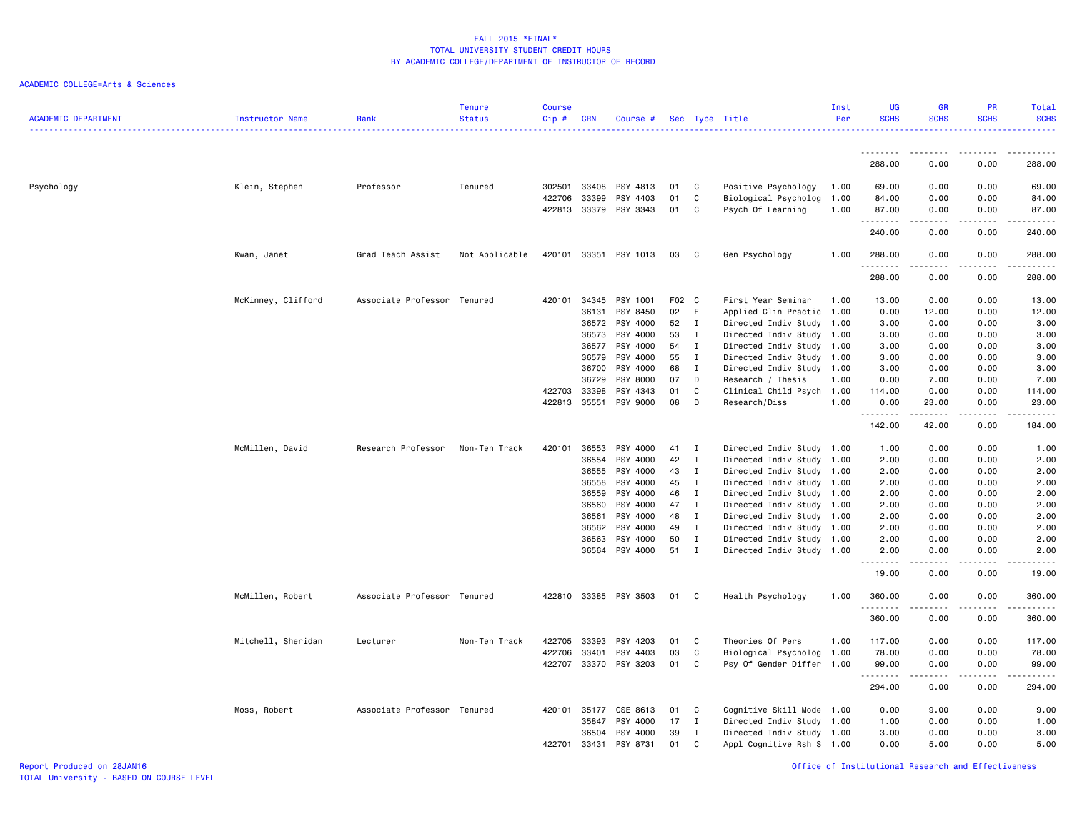| <b>ACADEMIC DEPARTMENT</b> | <b>Instructor Name</b> | Rank                        | <b>Tenure</b><br><b>Status</b> | <b>Course</b><br>Cip# | <b>CRN</b> | Course #              |       |              | Sec Type Title            | Inst<br>Per | <b>UG</b><br><b>SCHS</b> | GR<br><b>SCHS</b>                                                                                                                                             | PR<br><b>SCHS</b>                   | Total<br><b>SCHS</b> |
|----------------------------|------------------------|-----------------------------|--------------------------------|-----------------------|------------|-----------------------|-------|--------------|---------------------------|-------------|--------------------------|---------------------------------------------------------------------------------------------------------------------------------------------------------------|-------------------------------------|----------------------|
|                            |                        |                             |                                |                       |            |                       |       |              |                           |             | .                        | $\frac{1}{2} \left( \frac{1}{2} \right) \left( \frac{1}{2} \right) \left( \frac{1}{2} \right) \left( \frac{1}{2} \right) \left( \frac{1}{2} \right)$          | .                                   | .                    |
|                            |                        |                             |                                |                       |            |                       |       |              |                           |             | 288.00                   | 0.00                                                                                                                                                          | 0.00                                | 288.00               |
| Psychology                 | Klein, Stephen         | Professor                   | Tenured                        | 302501                | 33408      | PSY 4813              | 01    | C            | Positive Psychology       | 1.00        | 69.00                    | 0.00                                                                                                                                                          | 0.00                                | 69.00                |
|                            |                        |                             |                                | 422706                | 33399      | PSY 4403              | 01    | C            | Biological Psycholog      | 1.00        | 84.00                    | 0.00                                                                                                                                                          | 0.00                                | 84.00                |
|                            |                        |                             |                                |                       |            | 422813 33379 PSY 3343 | 01    | C            | Psych Of Learning         | 1.00        | 87.00<br>.               | 0.00<br>.                                                                                                                                                     | 0.00<br>.                           | 87.00<br>.           |
|                            |                        |                             |                                |                       |            |                       |       |              |                           |             | 240.00                   | 0.00                                                                                                                                                          | 0.00                                | 240.00               |
|                            | Kwan, Janet            | Grad Teach Assist           | Not Applicable                 | 420101                |            | 33351 PSY 1013        | 03    | C            | Gen Psychology            | 1.00        | 288.00                   | 0.00                                                                                                                                                          | 0.00                                | 288.00               |
|                            |                        |                             |                                |                       |            |                       |       |              |                           |             | .<br>288.00              | 0.00                                                                                                                                                          | $- - - -$<br>0.00                   | <u>.</u><br>288.00   |
|                            | McKinney, Clifford     | Associate Professor Tenured |                                | 420101                | 34345      | PSY 1001              | F02 C |              | First Year Seminar        | 1.00        | 13.00                    | 0.00                                                                                                                                                          | 0.00                                | 13.00                |
|                            |                        |                             |                                |                       | 36131      | PSY 8450              | 02    | Ε            | Applied Clin Practic 1.00 |             | 0.00                     | 12.00                                                                                                                                                         | 0.00                                | 12.00                |
|                            |                        |                             |                                |                       | 36572      | PSY 4000              | 52    | $\mathbf{I}$ | Directed Indiv Study 1.00 |             | 3.00                     | 0.00                                                                                                                                                          | 0.00                                | 3.00                 |
|                            |                        |                             |                                |                       | 36573      | PSY 4000              | 53    | I            | Directed Indiv Study 1.00 |             | 3.00                     | 0.00                                                                                                                                                          | 0.00                                | 3.00                 |
|                            |                        |                             |                                |                       | 36577      | PSY 4000              | 54    | $\mathbf{I}$ | Directed Indiv Study 1.00 |             | 3.00                     | 0.00                                                                                                                                                          | 0.00                                | 3.00                 |
|                            |                        |                             |                                |                       | 36579      | PSY 4000              | 55    | $\mathbf{I}$ | Directed Indiv Study 1.00 |             | 3.00                     | 0.00                                                                                                                                                          | 0.00                                | 3.00                 |
|                            |                        |                             |                                |                       | 36700      | PSY 4000              | 68    | $\mathbf{I}$ | Directed Indiv Study 1.00 |             | 3.00                     | 0.00                                                                                                                                                          | 0.00                                | 3.00                 |
|                            |                        |                             |                                |                       | 36729      | PSY 8000              | 07    | D            | Research / Thesis         | 1.00        | 0.00                     | 7.00                                                                                                                                                          | 0.00                                | 7.00                 |
|                            |                        |                             |                                | 422703                | 33398      | PSY 4343<br>PSY 9000  | 01    | C            | Clinical Child Psych 1.00 |             | 114.00                   | 0.00                                                                                                                                                          | 0.00                                | 114.00               |
|                            |                        |                             |                                | 422813                | 35551      |                       | 08    | D            | Research/Diss             | 1.00        | 0.00<br>.                | 23.00<br>$\frac{1}{2} \left( \frac{1}{2} \right) \left( \frac{1}{2} \right) \left( \frac{1}{2} \right) \left( \frac{1}{2} \right) \left( \frac{1}{2} \right)$ | 0.00<br>.                           | 23.00<br>.           |
|                            |                        |                             |                                |                       |            |                       |       |              |                           |             | 142.00                   | 42.00                                                                                                                                                         | 0.00                                | 184.00               |
|                            | McMillen, David        | Research Professor          | Non-Ten Track                  | 420101                | 36553      | PSY 4000              | 41    | Ι.           | Directed Indiv Study 1.00 |             | 1.00                     | 0.00                                                                                                                                                          | 0.00                                | 1.00                 |
|                            |                        |                             |                                |                       | 36554      | PSY 4000              | 42    | $\mathbf{I}$ | Directed Indiv Study 1.00 |             | 2.00                     | 0.00                                                                                                                                                          | 0.00                                | 2.00                 |
|                            |                        |                             |                                |                       | 36555      | PSY 4000              | 43    | $\mathbf I$  | Directed Indiv Study 1.00 |             | 2.00                     | 0.00                                                                                                                                                          | 0.00                                | 2.00                 |
|                            |                        |                             |                                |                       | 36558      | PSY 4000              | 45    | I            | Directed Indiv Study 1.00 |             | 2.00                     | 0.00                                                                                                                                                          | 0.00                                | 2.00                 |
|                            |                        |                             |                                |                       | 36559      | PSY 4000              | 46    | $\mathbf I$  | Directed Indiv Study 1.00 |             | 2.00                     | 0.00                                                                                                                                                          | 0.00                                | 2.00                 |
|                            |                        |                             |                                |                       | 36560      | PSY 4000              | 47    | $\mathbf I$  | Directed Indiv Study 1.00 |             | 2.00                     | 0.00                                                                                                                                                          | 0.00                                | 2.00                 |
|                            |                        |                             |                                |                       | 36561      | PSY 4000              | 48    | $\mathbf{I}$ | Directed Indiv Study 1.00 |             | 2.00                     | 0.00                                                                                                                                                          | 0.00                                | 2.00                 |
|                            |                        |                             |                                |                       | 36562      | PSY 4000              | 49    | I            | Directed Indiv Study 1.00 |             | 2.00                     | 0.00                                                                                                                                                          | 0.00                                | 2.00                 |
|                            |                        |                             |                                |                       | 36563      | PSY 4000              | 50    | I            | Directed Indiv Study 1.00 |             | 2.00                     | 0.00                                                                                                                                                          | 0.00                                | 2.00                 |
|                            |                        |                             |                                |                       | 36564      | PSY 4000              | 51    | $\mathbf I$  | Directed Indiv Study 1.00 |             | 2.00<br>.                | 0.00<br>.                                                                                                                                                     | 0.00<br>$\frac{1}{2}$               | 2.00<br>.            |
|                            |                        |                             |                                |                       |            |                       |       |              |                           |             | 19.00                    | 0.00                                                                                                                                                          | 0.00                                | 19.00                |
|                            | McMillen, Robert       | Associate Professor Tenured |                                | 422810                |            | 33385 PSY 3503        | 01    | C            | Health Psychology         | 1.00        | 360.00<br>.              | 0.00                                                                                                                                                          | 0.00                                | 360.00<br>.          |
|                            |                        |                             |                                |                       |            |                       |       |              |                           |             | 360.00                   | 0.00                                                                                                                                                          | 0.00                                | 360.00               |
|                            | Mitchell, Sheridan     | Lecturer                    | Non-Ten Track                  | 422705                | 33393      | PSY 4203              | 01    | C            | Theories Of Pers          | 1.00        | 117.00                   | 0.00                                                                                                                                                          | 0.00                                | 117.00               |
|                            |                        |                             |                                | 422706                | 33401      | PSY 4403              | 03    | C            | Biological Psycholog 1.00 |             | 78.00                    | 0.00                                                                                                                                                          | 0.00                                | 78.00                |
|                            |                        |                             |                                | 422707                | 33370      | PSY 3203              | 01    | C            | Psy Of Gender Differ 1.00 |             | 99.00                    | 0.00                                                                                                                                                          | 0.00                                | 99.00                |
|                            |                        |                             |                                |                       |            |                       |       |              |                           |             | .<br>294.00              | 0.00                                                                                                                                                          | $\sim$ $\sim$ $\sim$ $\sim$<br>0.00 | .<br>294.00          |
|                            | Moss, Robert           | Associate Professor Tenured |                                | 420101                | 35177      | CSE 8613              | 01    | C            | Cognitive Skill Mode 1.00 |             | 0.00                     | 9.00                                                                                                                                                          | 0.00                                | 9.00                 |
|                            |                        |                             |                                |                       | 35847      | PSY 4000              | 17    | I            | Directed Indiv Study 1.00 |             | 1.00                     | 0.00                                                                                                                                                          | 0.00                                | 1.00                 |
|                            |                        |                             |                                |                       | 36504      | PSY 4000              | 39    | I            | Directed Indiv Study 1.00 |             | 3.00                     | 0.00                                                                                                                                                          | 0.00                                | 3.00                 |
|                            |                        |                             |                                | 422701                | 33431      | PSY 8731              | 01    | C            | Appl Cognitive Rsh S 1.00 |             | 0.00                     | 5.00                                                                                                                                                          | 0.00                                | 5.00                 |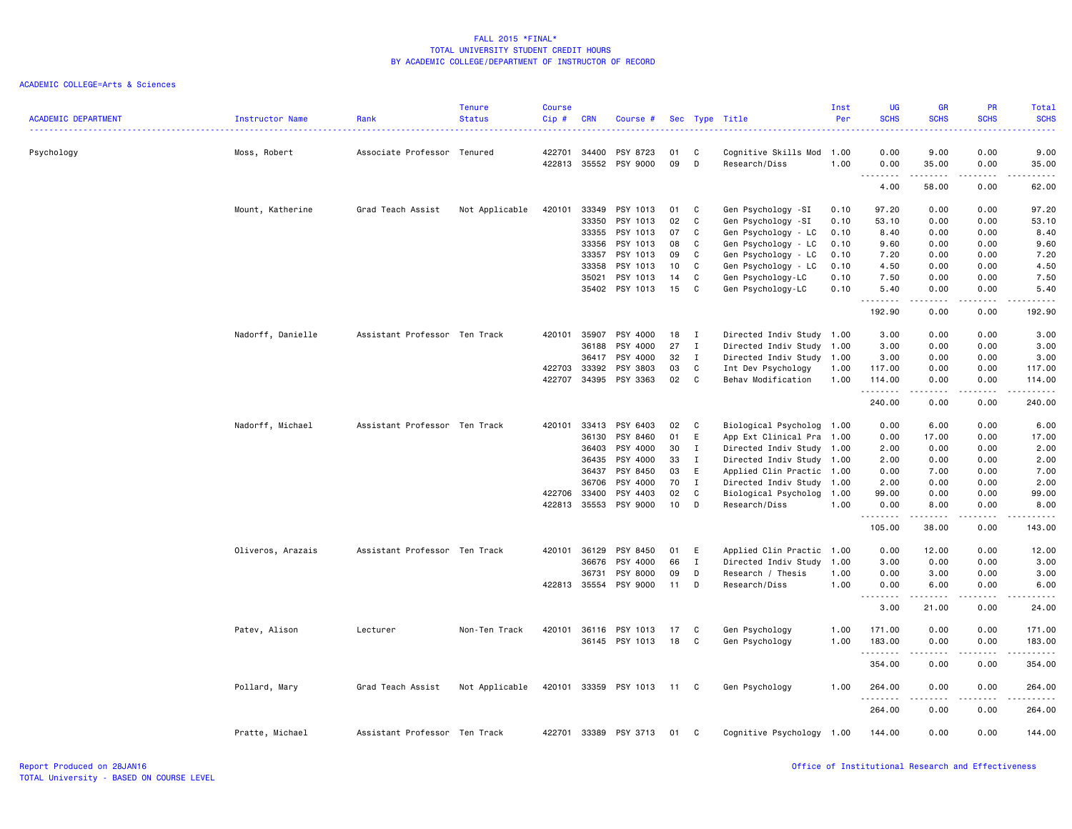|                            |                   |                               | <b>Tenure</b>  | <b>Course</b> |            |                       |      |              |                           | Inst | <b>UG</b>                                     | GR                                                                                                                                                            | PR                                                                                                                                | Total                                                                                                                                                         |
|----------------------------|-------------------|-------------------------------|----------------|---------------|------------|-----------------------|------|--------------|---------------------------|------|-----------------------------------------------|---------------------------------------------------------------------------------------------------------------------------------------------------------------|-----------------------------------------------------------------------------------------------------------------------------------|---------------------------------------------------------------------------------------------------------------------------------------------------------------|
| <b>ACADEMIC DEPARTMENT</b> | Instructor Name   | Rank                          | <b>Status</b>  | Cip #         | <b>CRN</b> | Course #              |      |              | Sec Type Title            | Per  | <b>SCHS</b>                                   | <b>SCHS</b>                                                                                                                                                   | <b>SCHS</b>                                                                                                                       | <b>SCHS</b>                                                                                                                                                   |
| Psychology                 | Moss, Robert      | Associate Professor Tenured   |                | 422701        | 34400      | PSY 8723              | 01   | C            | Cognitive Skills Mod      | 1.00 | 0.00                                          | 9.00                                                                                                                                                          | 0.00                                                                                                                              | 9.00                                                                                                                                                          |
|                            |                   |                               |                | 422813        | 35552      | PSY 9000              | 09   | D            | Research/Diss             | 1.00 | 0.00<br>$\sim$ $\sim$ $\sim$<br>$\sim$ $\sim$ | 35.00                                                                                                                                                         | 0.00<br>$\frac{1}{2} \left( \frac{1}{2} \right) \left( \frac{1}{2} \right) \left( \frac{1}{2} \right) \left( \frac{1}{2} \right)$ | 35.00<br>د د د د د                                                                                                                                            |
|                            |                   |                               |                |               |            |                       |      |              |                           |      | 4.00                                          | .<br>58.00                                                                                                                                                    | 0.00                                                                                                                              | 62.00                                                                                                                                                         |
|                            | Mount, Katherine  | Grad Teach Assist             | Not Applicable | 420101        | 33349      | PSY 1013              | 01   | C            | Gen Psychology -SI        | 0.10 | 97.20                                         | 0.00                                                                                                                                                          | 0.00                                                                                                                              | 97.20                                                                                                                                                         |
|                            |                   |                               |                |               | 33350      | PSY 1013              | 02   | C            | Gen Psychology -SI        | 0.10 | 53.10                                         | 0.00                                                                                                                                                          | 0.00                                                                                                                              | 53.10                                                                                                                                                         |
|                            |                   |                               |                |               | 33355      | PSY 1013              | 07   | C            | Gen Psychology - LC       | 0.10 | 8.40                                          | 0.00                                                                                                                                                          | 0.00                                                                                                                              | 8.40                                                                                                                                                          |
|                            |                   |                               |                |               | 33356      | PSY 1013              | 08   | C            | Gen Psychology - LC       | 0.10 | 9.60                                          | 0.00                                                                                                                                                          | 0.00                                                                                                                              | 9.60                                                                                                                                                          |
|                            |                   |                               |                |               | 33357      | PSY 1013              | 09   | C            | Gen Psychology - LC       | 0.10 | 7.20                                          | 0.00                                                                                                                                                          | 0.00                                                                                                                              | 7.20                                                                                                                                                          |
|                            |                   |                               |                |               | 33358      | PSY 1013              | 10   | C            | Gen Psychology - LC       | 0.10 | 4.50                                          | 0.00                                                                                                                                                          | 0.00                                                                                                                              | 4.50                                                                                                                                                          |
|                            |                   |                               |                |               | 35021      | PSY 1013              | 14   | C            | Gen Psychology-LC         | 0.10 | 7.50                                          | 0.00                                                                                                                                                          | 0.00                                                                                                                              | 7.50                                                                                                                                                          |
|                            |                   |                               |                |               | 35402      | PSY 1013              | 15   | C            | Gen Psychology-LC         | 0.10 | 5.40                                          | 0.00                                                                                                                                                          | 0.00<br>$   -$                                                                                                                    | 5.40                                                                                                                                                          |
|                            |                   |                               |                |               |            |                       |      |              |                           |      | 192.90                                        | 0.00                                                                                                                                                          | 0.00                                                                                                                              | .<br>192.90                                                                                                                                                   |
|                            | Nadorff, Danielle | Assistant Professor Ten Track |                | 420101        | 35907      | PSY 4000              | 18   | I            | Directed Indiv Study 1.00 |      | 3.00                                          | 0.00                                                                                                                                                          | 0.00                                                                                                                              | 3.00                                                                                                                                                          |
|                            |                   |                               |                |               | 36188      | PSY 4000              | 27   | $\mathbf{I}$ | Directed Indiv Study 1.00 |      | 3.00                                          | 0.00                                                                                                                                                          | 0.00                                                                                                                              | 3.00                                                                                                                                                          |
|                            |                   |                               |                |               | 36417      | PSY 4000              | 32   | $\mathbf{I}$ | Directed Indiv Study 1.00 |      | 3.00                                          | 0.00                                                                                                                                                          | 0.00                                                                                                                              | 3.00                                                                                                                                                          |
|                            |                   |                               |                | 422703        | 33392      | PSY 3803              | 03   | C            | Int Dev Psychology        | 1.00 | 117.00                                        | 0.00                                                                                                                                                          | 0.00                                                                                                                              | 117.00                                                                                                                                                        |
|                            |                   |                               |                | 422707        | 34395      | PSY 3363              | 02   | C            | Behav Modification        | 1.00 | 114.00                                        | 0.00                                                                                                                                                          | 0.00                                                                                                                              | 114.00                                                                                                                                                        |
|                            |                   |                               |                |               |            |                       |      |              |                           |      | . <b>.</b><br>240.00                          | .<br>0.00                                                                                                                                                     | .<br>0.00                                                                                                                         | $\begin{array}{cccccccccc} \bullet & \bullet & \bullet & \bullet & \bullet & \bullet & \bullet & \bullet \end{array}$<br>240.00                               |
|                            | Nadorff, Michael  | Assistant Professor Ten Track |                | 420101        | 33413      | PSY 6403              | 02   | C            | Biological Psycholog 1.00 |      | 0.00                                          | 6.00                                                                                                                                                          | 0.00                                                                                                                              | 6.00                                                                                                                                                          |
|                            |                   |                               |                |               | 36130      | PSY 8460              | 01   | E            | App Ext Clinical Pra      | 1.00 | 0.00                                          | 17.00                                                                                                                                                         | 0.00                                                                                                                              | 17.00                                                                                                                                                         |
|                            |                   |                               |                |               | 36403      | PSY 4000              | 30   | $\mathbf{I}$ | Directed Indiv Study 1.00 |      | 2.00                                          | 0.00                                                                                                                                                          | 0.00                                                                                                                              | 2.00                                                                                                                                                          |
|                            |                   |                               |                |               | 36435      | PSY 4000              | 33   | $\mathbf{I}$ | Directed Indiv Study 1.00 |      | 2.00                                          | 0.00                                                                                                                                                          | 0.00                                                                                                                              | 2.00                                                                                                                                                          |
|                            |                   |                               |                |               | 36437      | PSY 8450              | 03   | E            | Applied Clin Practic 1.00 |      | 0.00                                          | 7.00                                                                                                                                                          | 0.00                                                                                                                              | 7.00                                                                                                                                                          |
|                            |                   |                               |                |               | 36706      | PSY 4000              | 70   | $\mathbf{I}$ | Directed Indiv Study 1.00 |      | 2.00                                          | 0.00                                                                                                                                                          | 0.00                                                                                                                              | 2.00                                                                                                                                                          |
|                            |                   |                               |                | 422706        | 33400      | PSY 4403              | 02   | C            | Biological Psycholog      | 1.00 | 99.00                                         | 0.00                                                                                                                                                          | 0.00                                                                                                                              | 99.00                                                                                                                                                         |
|                            |                   |                               |                | 422813        | 35553      | PSY 9000              | 10   | D            | Research/Diss             | 1.00 | 0.00                                          | 8.00                                                                                                                                                          | 0.00                                                                                                                              | 8.00                                                                                                                                                          |
|                            |                   |                               |                |               |            |                       |      |              |                           |      | .<br>105.00                                   | 38.00                                                                                                                                                         | $- - - -$<br>0.00                                                                                                                 | $\frac{1}{2}$<br>143.00                                                                                                                                       |
|                            | Oliveros, Arazais | Assistant Professor Ten Track |                | 420101        | 36129      | PSY 8450              | 01   | E            | Applied Clin Practic 1.00 |      | 0.00                                          | 12.00                                                                                                                                                         | 0.00                                                                                                                              | 12.00                                                                                                                                                         |
|                            |                   |                               |                |               | 36676      | PSY 4000              | 66   | $\mathbf{I}$ | Directed Indiv Study      | 1.00 | 3.00                                          | 0.00                                                                                                                                                          | 0.00                                                                                                                              | 3.00                                                                                                                                                          |
|                            |                   |                               |                |               | 36731      | <b>PSY 8000</b>       | 09   | D            | Research / Thesis         | 1.00 | 0.00                                          | 3.00                                                                                                                                                          | 0.00                                                                                                                              | 3.00                                                                                                                                                          |
|                            |                   |                               |                | 422813 35554  |            | PSY 9000              | 11   | D            | Research/Diss             | 1.00 | 0.00                                          | 6.00                                                                                                                                                          | 0.00                                                                                                                              | 6.00                                                                                                                                                          |
|                            |                   |                               |                |               |            |                       |      |              |                           |      | $\sim$ $\sim$ $\sim$<br>$\sim$ $\sim$<br>3.00 | $\frac{1}{2} \left( \frac{1}{2} \right) \left( \frac{1}{2} \right) \left( \frac{1}{2} \right) \left( \frac{1}{2} \right) \left( \frac{1}{2} \right)$<br>21.00 | $\sim$ $\sim$ $\sim$<br>0.00                                                                                                      | $\frac{1}{2} \left( \frac{1}{2} \right) \left( \frac{1}{2} \right) \left( \frac{1}{2} \right) \left( \frac{1}{2} \right) \left( \frac{1}{2} \right)$<br>24.00 |
|                            | Patev, Alison     | Lecturer                      | Non-Ten Track  | 420101        | 36116      | PSY 1013              | 17   | C            | Gen Psychology            | 1.00 | 171.00                                        | 0.00                                                                                                                                                          | 0.00                                                                                                                              | 171.00                                                                                                                                                        |
|                            |                   |                               |                |               |            | 36145 PSY 1013        | 18   | C            | Gen Psychology            | 1.00 | 183.00                                        | 0.00                                                                                                                                                          | 0.00                                                                                                                              | 183.00                                                                                                                                                        |
|                            |                   |                               |                |               |            |                       |      |              |                           |      | .<br>354.00                                   | $- - - -$<br>0.00                                                                                                                                             | $- - - -$<br>0.00                                                                                                                 | .<br>354.00                                                                                                                                                   |
|                            | Pollard, Mary     | Grad Teach Assist             | Not Applicable |               |            | 420101 33359 PSY 1013 | 11 C |              | Gen Psychology            | 1.00 | 264.00<br>.                                   | 0.00                                                                                                                                                          | 0.00<br>والمالمات                                                                                                                 | 264.00<br>.                                                                                                                                                   |
|                            |                   |                               |                |               |            |                       |      |              |                           |      | 264.00                                        | 0.00                                                                                                                                                          | 0.00                                                                                                                              | 264.00                                                                                                                                                        |
|                            | Pratte, Michael   | Assistant Professor Ten Track |                | 422701        | 33389      | PSY 3713              | 01   | C            | Cognitive Psychology 1.00 |      | 144.00                                        | 0.00                                                                                                                                                          | 0.00                                                                                                                              | 144.00                                                                                                                                                        |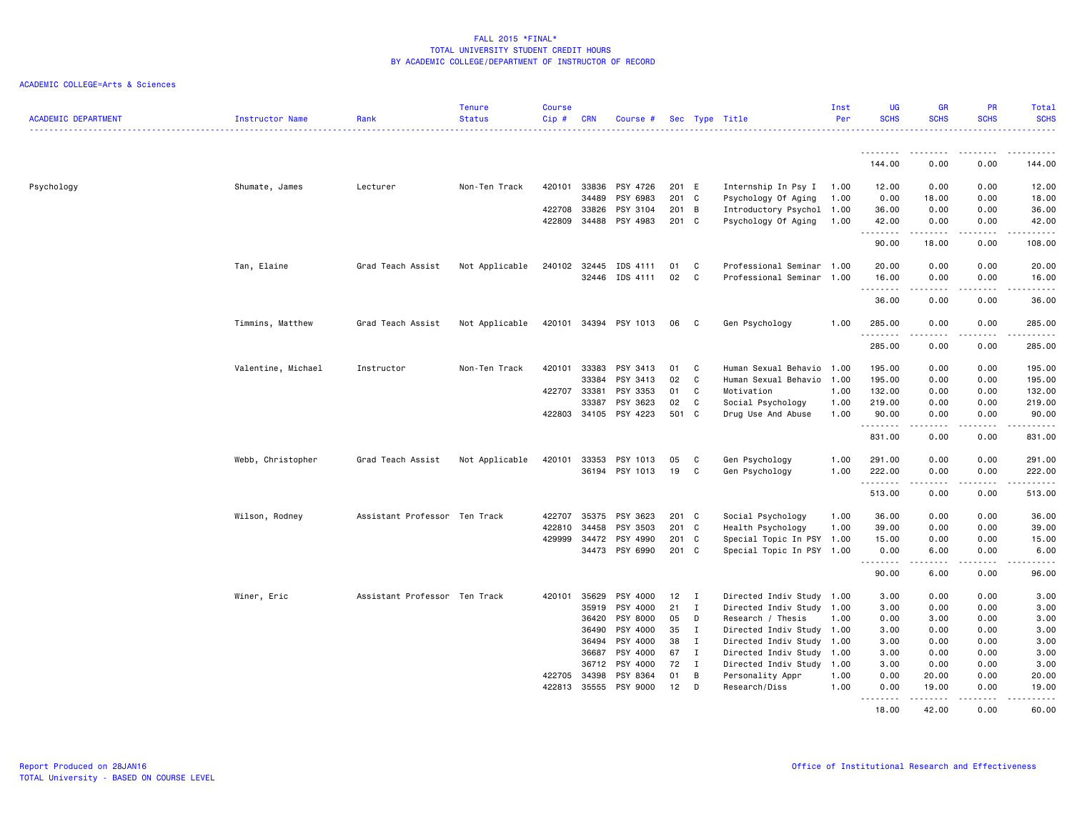| <b>ACADEMIC DEPARTMENT</b> | Instructor Name    | Rank                          | <b>Tenure</b><br><b>Status</b> | <b>Course</b><br>Cip# | <b>CRN</b>     | Course #              |                |              | Sec Type Title                              | Inst<br>Per  | UG<br><b>SCHS</b> | <b>GR</b><br><b>SCHS</b>                                                                                                                                                        | <b>PR</b><br><b>SCHS</b>            | Total<br><b>SCHS</b>                                                                                                                                                                     |
|----------------------------|--------------------|-------------------------------|--------------------------------|-----------------------|----------------|-----------------------|----------------|--------------|---------------------------------------------|--------------|-------------------|---------------------------------------------------------------------------------------------------------------------------------------------------------------------------------|-------------------------------------|------------------------------------------------------------------------------------------------------------------------------------------------------------------------------------------|
|                            |                    |                               |                                |                       |                |                       |                |              |                                             |              | .                 | $\frac{1}{2} \left( \frac{1}{2} \right) \left( \frac{1}{2} \right) \left( \frac{1}{2} \right) \left( \frac{1}{2} \right) \left( \frac{1}{2} \right) \left( \frac{1}{2} \right)$ | .                                   | .                                                                                                                                                                                        |
|                            |                    |                               |                                |                       |                |                       |                |              |                                             |              | 144.00            | 0.00                                                                                                                                                                            | 0.00                                | 144.00                                                                                                                                                                                   |
| Psychology                 | Shumate, James     | Lecturer                      | Non-Ten Track                  | 420101                | 33836          | PSY 4726              | 201            | E            | Internship In Psy I                         | 1.00         | 12.00             | 0.00                                                                                                                                                                            | 0.00                                | 12.00                                                                                                                                                                                    |
|                            |                    |                               |                                |                       | 34489          | PSY 6983              | 201 C          |              | Psychology Of Aging                         | 1.00         | 0.00              | 18.00                                                                                                                                                                           | 0.00                                | 18.00                                                                                                                                                                                    |
|                            |                    |                               |                                | 422708<br>422809      | 33826<br>34488 | PSY 3104<br>PSY 4983  | 201 B<br>201 C |              | Introductory Psychol<br>Psychology Of Aging | 1.00<br>1.00 | 36.00<br>42.00    | 0.00<br>0.00                                                                                                                                                                    | 0.00<br>0.00                        | 36.00<br>42.00                                                                                                                                                                           |
|                            |                    |                               |                                |                       |                |                       |                |              |                                             |              | .<br>90.00        | .<br>18.00                                                                                                                                                                      | 0.00                                | .<br>108.00                                                                                                                                                                              |
|                            |                    |                               |                                |                       |                |                       |                |              |                                             |              |                   |                                                                                                                                                                                 |                                     |                                                                                                                                                                                          |
|                            | Tan, Elaine        | Grad Teach Assist             | Not Applicable                 | 240102                | 32445          | IDS 4111              | 01             | C.           | Professional Seminar 1.00                   |              | 20.00             | 0.00                                                                                                                                                                            | 0.00                                | 20.00                                                                                                                                                                                    |
|                            |                    |                               |                                |                       | 32446          | IDS 4111              | 02             | C            | Professional Seminar 1.00                   |              | 16.00<br>.        | 0.00                                                                                                                                                                            | 0.00                                | 16.00<br>$\frac{1}{2} \left( \frac{1}{2} \right) \left( \frac{1}{2} \right) \left( \frac{1}{2} \right) \left( \frac{1}{2} \right) \left( \frac{1}{2} \right) \left( \frac{1}{2} \right)$ |
|                            |                    |                               |                                |                       |                |                       |                |              |                                             |              | 36.00             | 0.00                                                                                                                                                                            | 0.00                                | 36.00                                                                                                                                                                                    |
|                            | Timmins, Matthew   | Grad Teach Assist             | Not Applicable                 |                       |                | 420101 34394 PSY 1013 | 06             | C            | Gen Psychology                              | 1.00         | 285.00            | 0.00                                                                                                                                                                            | 0.00                                | 285.00                                                                                                                                                                                   |
|                            |                    |                               |                                |                       |                |                       |                |              |                                             |              | 285.00            | 0.00                                                                                                                                                                            | ----<br>0.00                        | .<br>285.00                                                                                                                                                                              |
|                            |                    |                               |                                |                       |                |                       |                |              |                                             |              |                   |                                                                                                                                                                                 |                                     |                                                                                                                                                                                          |
|                            | Valentine, Michael | Instructor                    | Non-Ten Track                  | 420101                | 33383          | PSY 3413              | 01             | C            | Human Sexual Behavio                        | 1.00         | 195.00            | 0.00                                                                                                                                                                            | 0.00                                | 195.00                                                                                                                                                                                   |
|                            |                    |                               |                                |                       | 33384          | PSY 3413              | 02             | C<br>C       | Human Sexual Behavio 1.00                   |              | 195.00            | 0.00                                                                                                                                                                            | 0.00                                | 195.00                                                                                                                                                                                   |
|                            |                    |                               |                                | 422707                | 33381<br>33387 | PSY 3353<br>PSY 3623  | 01<br>02       | C            | Motivation                                  | 1.00<br>1.00 | 132.00<br>219.00  | 0.00<br>0.00                                                                                                                                                                    | 0.00<br>0.00                        | 132.00<br>219.00                                                                                                                                                                         |
|                            |                    |                               |                                | 422803                | 34105          | PSY 4223              | 501 C          |              | Social Psychology<br>Drug Use And Abuse     | 1.00         | 90.00             | 0.00                                                                                                                                                                            | 0.00                                | 90.00                                                                                                                                                                                    |
|                            |                    |                               |                                |                       |                |                       |                |              |                                             |              | .<br>831.00       | .<br>0.00                                                                                                                                                                       | $\sim$ $\sim$ $\sim$ $\sim$<br>0.00 | .<br>831.00                                                                                                                                                                              |
|                            |                    |                               |                                |                       |                |                       |                |              |                                             |              |                   |                                                                                                                                                                                 |                                     |                                                                                                                                                                                          |
|                            | Webb, Christopher  | Grad Teach Assist             | Not Applicable                 | 420101                | 33353          | PSY 1013              | 05             | C            | Gen Psychology                              | 1.00         | 291.00            | 0.00                                                                                                                                                                            | 0.00                                | 291.00                                                                                                                                                                                   |
|                            |                    |                               |                                |                       | 36194          | PSY 1013              | 19             | C            | Gen Psychology                              | 1.00         | 222.00            | 0.00                                                                                                                                                                            | 0.00                                | 222.00                                                                                                                                                                                   |
|                            |                    |                               |                                |                       |                |                       |                |              |                                             |              | .<br>513.00       | 0.00                                                                                                                                                                            | 0.00                                | .<br>513.00                                                                                                                                                                              |
|                            | Wilson, Rodney     | Assistant Professor Ten Track |                                | 422707                | 35375          | PSY 3623              | 201 C          |              | Social Psychology                           | 1.00         | 36.00             | 0.00                                                                                                                                                                            | 0.00                                | 36.00                                                                                                                                                                                    |
|                            |                    |                               |                                | 422810                | 34458          | PSY 3503              | $201$ C        |              | Health Psychology                           | 1.00         | 39.00             | 0.00                                                                                                                                                                            | 0.00                                | 39.00                                                                                                                                                                                    |
|                            |                    |                               |                                | 429999                | 34472          | PSY 4990              | 201 C          |              | Special Topic In PSY 1.00                   |              | 15.00             | 0.00                                                                                                                                                                            | 0.00                                | 15.00                                                                                                                                                                                    |
|                            |                    |                               |                                |                       |                | 34473 PSY 6990        | 201 C          |              | Special Topic In PSY 1.00                   |              | 0.00              | 6.00                                                                                                                                                                            | 0.00                                | 6.00                                                                                                                                                                                     |
|                            |                    |                               |                                |                       |                |                       |                |              |                                             |              | .<br>90.00        | 6.00                                                                                                                                                                            | 0.00                                | .<br>96.00                                                                                                                                                                               |
|                            | Winer, Eric        | Assistant Professor Ten Track |                                | 420101                | 35629          | PSY 4000              | $12$ I         |              | Directed Indiv Study 1.00                   |              | 3.00              | 0.00                                                                                                                                                                            | 0.00                                | 3.00                                                                                                                                                                                     |
|                            |                    |                               |                                |                       | 35919          | PSY 4000              | 21             | I            | Directed Indiv Study 1.00                   |              | 3.00              | 0.00                                                                                                                                                                            | 0.00                                | 3.00                                                                                                                                                                                     |
|                            |                    |                               |                                |                       | 36420          | PSY 8000              | 05             | D            | Research / Thesis                           | 1.00         | 0.00              | 3.00                                                                                                                                                                            | 0.00                                | 3.00                                                                                                                                                                                     |
|                            |                    |                               |                                |                       | 36490          | PSY 4000              | 35             | $\mathbf{I}$ | Directed Indiv Study 1.00                   |              | 3.00              | 0.00                                                                                                                                                                            | 0.00                                | 3.00                                                                                                                                                                                     |
|                            |                    |                               |                                |                       | 36494          | PSY 4000              | 38             | I            | Directed Indiv Study 1.00                   |              | 3.00              | 0.00                                                                                                                                                                            | 0.00                                | 3.00                                                                                                                                                                                     |
|                            |                    |                               |                                |                       | 36687          | PSY 4000              | 67             | $\mathbf{I}$ | Directed Indiv Study 1.00                   |              | 3.00              | 0.00                                                                                                                                                                            | 0.00                                | 3.00                                                                                                                                                                                     |
|                            |                    |                               |                                |                       | 36712          | PSY 4000              | 72             | $\mathbf{I}$ | Directed Indiv Study 1.00                   |              | 3.00              | 0.00                                                                                                                                                                            | 0.00                                | 3.00                                                                                                                                                                                     |
|                            |                    |                               |                                | 422705                | 34398          | PSY 8364              | 01             | B            | Personality Appr                            | 1.00         | 0.00              | 20.00                                                                                                                                                                           | 0.00                                | 20.00                                                                                                                                                                                    |
|                            |                    |                               |                                | 422813                | 35555          | PSY 9000              | 12             | D            | Research/Diss                               | 1.00         | 0.00              | 19.00                                                                                                                                                                           | 0.00                                | 19.00                                                                                                                                                                                    |
|                            |                    |                               |                                |                       |                |                       |                |              |                                             |              | .<br>18.00        | .<br>42.00                                                                                                                                                                      | $\sim$ $\sim$ $\sim$ $\sim$<br>0.00 | $\frac{1}{2} \left( \frac{1}{2} \right) \left( \frac{1}{2} \right) \left( \frac{1}{2} \right) \left( \frac{1}{2} \right) \left( \frac{1}{2} \right)$<br>60.00                            |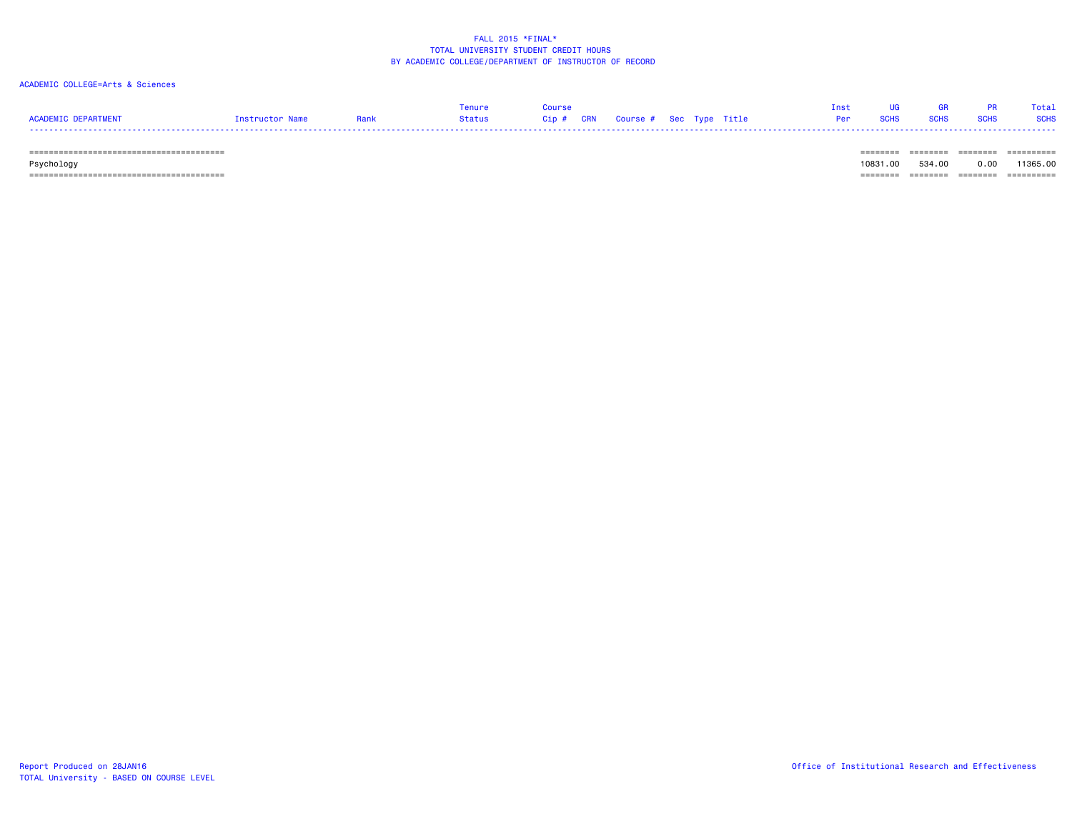#### ACADEMIC COLLEGE=Arts & Sciences

|                     |                 |        |                                   |  |  |     |             |             | Total       |
|---------------------|-----------------|--------|-----------------------------------|--|--|-----|-------------|-------------|-------------|
| ACADEMIC DEPARTMENT | Instructor Name | Status | Cip # CRN Course # Sec Type Title |  |  | Per | <b>SCHS</b> | <b>SCHS</b> | <b>SCHS</b> |
| -----               |                 |        |                                   |  |  |     |             |             |             |

======================================== ======== ======== ======== ==========

 Psychology 10831.00 534.00 0.00 11365.00 ======================================== ======== ======== ======== ==========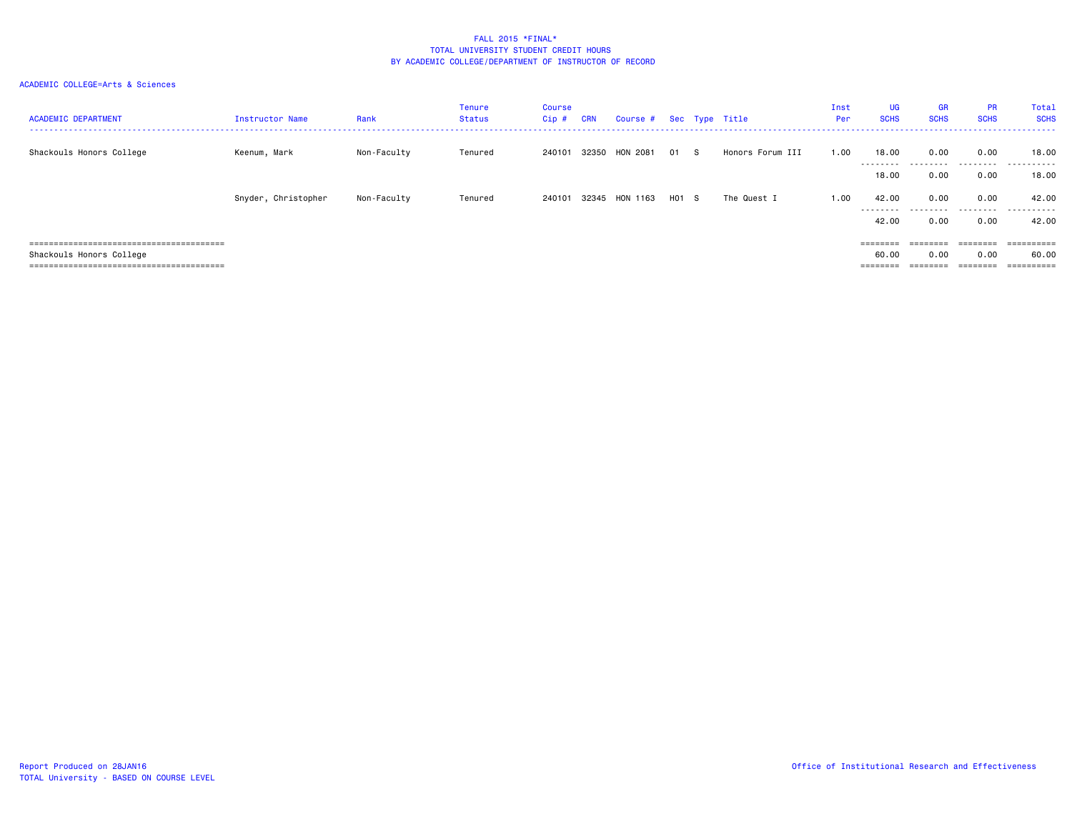| <b>ACADEMIC DEPARTMENT</b> | Instructor Name     | Rank        | Tenure<br>Status | <b>Course</b><br>Cip # | <b>CRN</b> | Course # Sec Type Title |       |                  | Inst<br>Per | <b>UG</b><br><b>SCHS</b> | <b>GR</b><br><b>SCHS</b> | <b>PR</b><br><b>SCHS</b>                                                | Total<br><b>SCHS</b> |
|----------------------------|---------------------|-------------|------------------|------------------------|------------|-------------------------|-------|------------------|-------------|--------------------------|--------------------------|-------------------------------------------------------------------------|----------------------|
| Shackouls Honors College   | Keenum, Mark        | Non-Faculty | Tenured          | 240101                 | 32350      | HON 2081                | 01 S  | Honors Forum III | 1.00        | 18.00                    | 0.00                     | 0.00                                                                    | 18.00                |
|                            |                     |             |                  |                        |            |                         |       |                  |             | ---------<br>18,00       | .<br>0.00                | .<br>0.00                                                               | .<br>18.00           |
|                            | Snyder, Christopher | Non-Faculty | Tenured          | 240101                 |            | 32345 HON 1163          | H01 S | The Quest I      | 1.00        | 42.00<br>---------       | 0.00                     | 0.00<br>.                                                               | 42.00<br>.           |
|                            |                     |             |                  |                        |            |                         |       |                  |             | 42.00                    | 0.00                     | 0.00                                                                    | 42.00                |
|                            |                     |             |                  |                        |            |                         |       |                  |             | $=$ = = = = = = =        |                          | $\qquad \qquad \equiv \equiv \equiv \equiv \equiv \equiv \equiv \equiv$ | ==========           |
| Shackouls Honors College   |                     |             |                  |                        |            |                         |       |                  |             | 60.00                    | 0.00                     | 0.00                                                                    | 60.00                |
|                            |                     |             |                  |                        |            |                         |       |                  |             | ========                 |                          | ========                                                                | ==========           |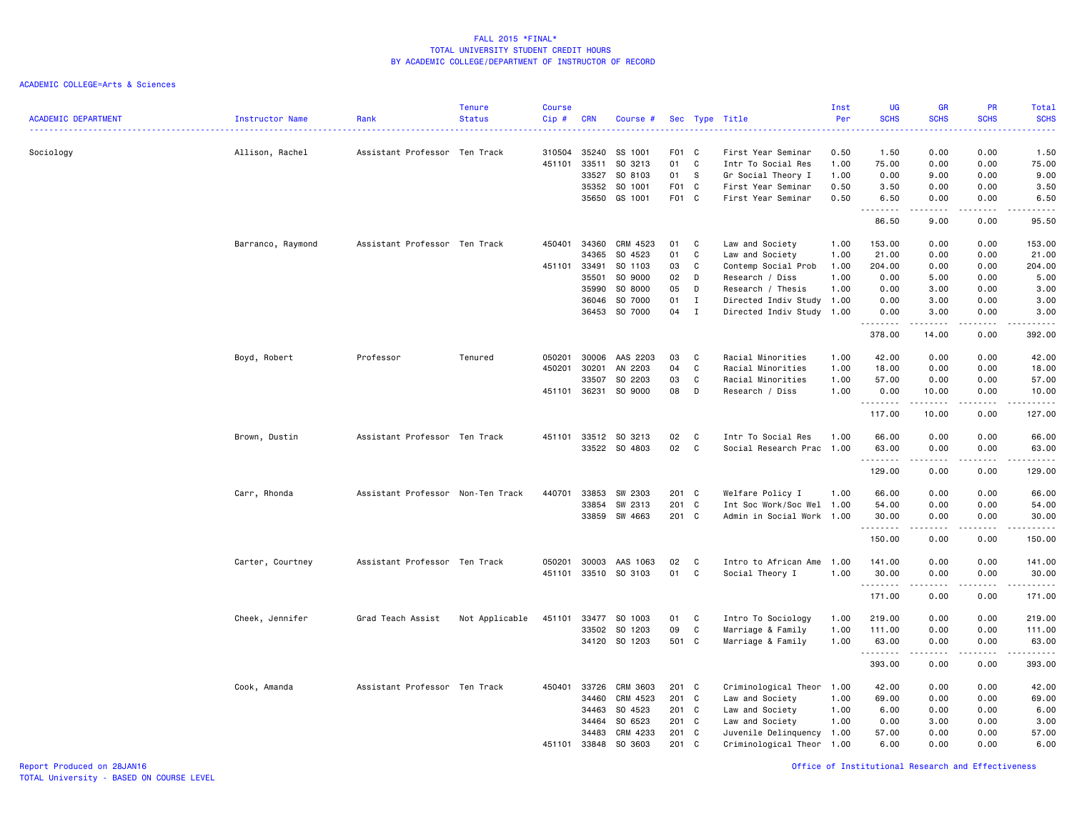| <b>ACADEMIC DEPARTMENT</b> | Instructor Name   | Rank                              | <b>Tenure</b><br><b>Status</b> | <b>Course</b><br>$Cip$ # | <b>CRN</b>              | Course #                      |                              |                          | Sec Type Title                                                 | Inst<br>Per          | <b>UG</b><br><b>SCHS</b>                                                                                                                                           | <b>GR</b><br><b>SCHS</b>                                                                                                                                     | PR<br><b>SCHS</b>    | Total<br><b>SCHS</b>  |
|----------------------------|-------------------|-----------------------------------|--------------------------------|--------------------------|-------------------------|-------------------------------|------------------------------|--------------------------|----------------------------------------------------------------|----------------------|--------------------------------------------------------------------------------------------------------------------------------------------------------------------|--------------------------------------------------------------------------------------------------------------------------------------------------------------|----------------------|-----------------------|
| Sociology                  | Allison, Rachel   | Assistant Professor Ten Track     |                                | 310504<br>451101         | 35240<br>33511<br>33527 | SS 1001<br>SO 3213<br>SO 8103 | F <sub>0</sub> 1<br>01<br>01 | $\mathbf{C}$<br>C<br>- S | First Year Seminar<br>Intr To Social Res<br>Gr Social Theory I | 0.50<br>1.00<br>1.00 | 1.50<br>75.00<br>0.00                                                                                                                                              | 0.00<br>0.00<br>9.00                                                                                                                                         | 0.00<br>0.00<br>0.00 | 1.50<br>75.00<br>9.00 |
|                            |                   |                                   |                                |                          | 35352<br>35650          | SO 1001<br>GS 1001            | F <sub>0</sub> 1<br>F01 C    | $\mathbf{C}$             | First Year Seminar<br>First Year Seminar                       | 0.50<br>0.50         | 3.50<br>6.50                                                                                                                                                       | 0.00<br>0.00                                                                                                                                                 | 0.00<br>0.00         | 3.50<br>6.50          |
|                            |                   |                                   |                                |                          |                         |                               |                              |                          |                                                                |                      | .<br>$\frac{1}{2} \left( \frac{1}{2} \right) \left( \frac{1}{2} \right) \left( \frac{1}{2} \right) \left( \frac{1}{2} \right) \left( \frac{1}{2} \right)$<br>86.50 | $\frac{1}{2} \left( \frac{1}{2} \right) \left( \frac{1}{2} \right) \left( \frac{1}{2} \right) \left( \frac{1}{2} \right) \left( \frac{1}{2} \right)$<br>9.00 | .<br>0.00            | $- - - -$<br>95.50    |
|                            | Barranco, Raymond | Assistant Professor Ten Track     |                                | 450401                   | 34360<br>34365          | CRM 4523<br>SO 4523           | 01<br>01                     | C<br>C                   | Law and Society<br>Law and Society                             | 1.00<br>1.00         | 153.00<br>21.00                                                                                                                                                    | 0.00<br>0.00                                                                                                                                                 | 0.00<br>0.00         | 153.00<br>21.00       |
|                            |                   |                                   |                                | 451101                   | 33491                   | SO 1103                       | 03                           | C                        | Contemp Social Prob                                            | 1.00                 | 204.00                                                                                                                                                             | 0.00                                                                                                                                                         | 0.00                 | 204.00                |
|                            |                   |                                   |                                |                          | 35501                   | SO 9000                       | 02                           | D                        | Research / Diss                                                | 1.00                 | 0.00                                                                                                                                                               | 5.00                                                                                                                                                         | 0.00                 | 5.00                  |
|                            |                   |                                   |                                |                          | 35990                   | SO 8000                       | 05                           |                          |                                                                | 1.00                 |                                                                                                                                                                    |                                                                                                                                                              | 0.00                 |                       |
|                            |                   |                                   |                                |                          |                         |                               |                              | D                        | Research / Thesis                                              |                      | 0.00                                                                                                                                                               | 3.00                                                                                                                                                         |                      | 3.00                  |
|                            |                   |                                   |                                |                          | 36046                   | SO 7000                       | 01                           | I                        | Directed Indiv Study 1.00                                      |                      | 0.00                                                                                                                                                               | 3.00                                                                                                                                                         | 0.00                 | 3.00                  |
|                            |                   |                                   |                                |                          | 36453                   | SO 7000                       | 04                           | $\mathbf I$              | Directed Indiv Study 1.00                                      |                      | 0.00<br>.                                                                                                                                                          | 3.00<br>.                                                                                                                                                    | 0.00<br>.            | 3.00<br>.             |
|                            |                   |                                   |                                |                          |                         |                               |                              |                          |                                                                |                      | 378.00                                                                                                                                                             | 14.00                                                                                                                                                        | 0.00                 | 392.00                |
|                            | Boyd, Robert      | Professor                         | Tenured                        | 050201                   | 30006                   | AAS 2203                      | 03                           | C                        | Racial Minorities                                              | 1.00                 | 42.00                                                                                                                                                              | 0.00                                                                                                                                                         | 0.00                 | 42.00                 |
|                            |                   |                                   |                                | 450201                   | 30201                   | AN 2203                       | 04                           | C                        | Racial Minorities                                              | 1.00                 | 18.00                                                                                                                                                              | 0.00                                                                                                                                                         | 0.00                 | 18.00                 |
|                            |                   |                                   |                                |                          | 33507                   | SO 2203                       | 03                           | C                        | Racial Minorities                                              | 1.00                 | 57.00                                                                                                                                                              | 0.00                                                                                                                                                         | 0.00                 | 57.00                 |
|                            |                   |                                   |                                | 451101 36231             |                         | SO 9000                       | 08                           | D                        | Research / Diss                                                | 1.00                 | 0.00                                                                                                                                                               | 10.00                                                                                                                                                        | 0.00                 | 10.00                 |
|                            |                   |                                   |                                |                          |                         |                               |                              |                          |                                                                |                      | .                                                                                                                                                                  | .                                                                                                                                                            | .                    | .                     |
|                            |                   |                                   |                                |                          |                         |                               |                              |                          |                                                                |                      | 117.00                                                                                                                                                             | 10.00                                                                                                                                                        | 0.00                 | 127.00                |
|                            | Brown, Dustin     | Assistant Professor Ten Track     |                                | 451101                   | 33512                   | SO 3213                       | 02                           | C                        | Intr To Social Res                                             | 1.00                 | 66.00                                                                                                                                                              | 0.00                                                                                                                                                         | 0.00                 | 66.00                 |
|                            |                   |                                   |                                |                          |                         | 33522 SO 4803                 | 02                           | C                        | Social Research Prac                                           | 1.00                 | 63.00                                                                                                                                                              | 0.00                                                                                                                                                         | 0.00                 | 63.00                 |
|                            |                   |                                   |                                |                          |                         |                               |                              |                          |                                                                |                      | .<br>129.00                                                                                                                                                        | 0.00                                                                                                                                                         | 0.00                 | .<br>129.00           |
|                            | Carr, Rhonda      | Assistant Professor Non-Ten Track |                                | 440701                   | 33853                   | SW 2303                       | 201 C                        |                          | Welfare Policy I                                               | 1.00                 | 66.00                                                                                                                                                              | 0.00                                                                                                                                                         | 0.00                 | 66.00                 |
|                            |                   |                                   |                                |                          | 33854                   | SW 2313                       | 201                          | $\mathbf{C}$             | Int Soc Work/Soc Wel 1.00                                      |                      | 54.00                                                                                                                                                              | 0.00                                                                                                                                                         | 0.00                 | 54.00                 |
|                            |                   |                                   |                                |                          | 33859                   | SW 4663                       | 201 C                        |                          | Admin in Social Work 1.00                                      |                      | 30.00                                                                                                                                                              | 0.00                                                                                                                                                         | 0.00                 | 30.00                 |
|                            |                   |                                   |                                |                          |                         |                               |                              |                          |                                                                |                      | .                                                                                                                                                                  | .                                                                                                                                                            | .                    | .                     |
|                            |                   |                                   |                                |                          |                         |                               |                              |                          |                                                                |                      | 150.00                                                                                                                                                             | 0.00                                                                                                                                                         | 0.00                 | 150.00                |
|                            | Carter, Courtney  | Assistant Professor Ten Track     |                                | 050201                   | 30003                   | AAS 1063                      | 02                           | C                        | Intro to African Ame 1.00                                      |                      | 141.00                                                                                                                                                             | 0.00                                                                                                                                                         | 0.00                 | 141.00                |
|                            |                   |                                   |                                | 451101                   |                         | 33510 SO 3103                 | 01                           | C                        | Social Theory I                                                | 1.00                 | 30.00                                                                                                                                                              | 0.00                                                                                                                                                         | 0.00<br>.            | 30.00<br><u>.</u>     |
|                            |                   |                                   |                                |                          |                         |                               |                              |                          |                                                                |                      | .<br>171.00                                                                                                                                                        | $\frac{1}{2}$<br>0.00                                                                                                                                        | 0.00                 | 171.00                |
|                            | Cheek, Jennifer   | Grad Teach Assist                 | Not Applicable                 | 451101                   | 33477                   | SO 1003                       | 01                           | C                        | Intro To Sociology                                             | 1.00                 | 219.00                                                                                                                                                             | 0.00                                                                                                                                                         | 0.00                 | 219.00                |
|                            |                   |                                   |                                |                          | 33502                   | SO 1203                       | 09                           | C                        | Marriage & Family                                              | 1.00                 | 111.00                                                                                                                                                             | 0.00                                                                                                                                                         | 0.00                 | 111.00                |
|                            |                   |                                   |                                |                          |                         | 34120 SO 1203                 | 501 C                        |                          | Marriage & Family                                              | 1.00                 | 63.00                                                                                                                                                              | 0.00                                                                                                                                                         | 0.00                 | 63.00                 |
|                            |                   |                                   |                                |                          |                         |                               |                              |                          |                                                                |                      | .                                                                                                                                                                  | -----                                                                                                                                                        | .                    | <u>.</u>              |
|                            |                   |                                   |                                |                          |                         |                               |                              |                          |                                                                |                      | 393.00                                                                                                                                                             | 0.00                                                                                                                                                         | 0.00                 | 393.00                |
|                            | Cook, Amanda      | Assistant Professor Ten Track     |                                |                          | 450401 33726            | CRM 3603                      | 201 C                        |                          | Criminological Theor 1.00                                      |                      | 42.00                                                                                                                                                              | 0.00                                                                                                                                                         | 0.00                 | 42.00                 |
|                            |                   |                                   |                                |                          | 34460                   | CRM 4523                      | 201                          | C                        | Law and Society                                                | 1.00                 | 69.00                                                                                                                                                              | 0.00                                                                                                                                                         | 0.00                 | 69.00                 |
|                            |                   |                                   |                                |                          | 34463                   | SO 4523                       | 201                          | $\mathbf{C}$             | Law and Society                                                | 1.00                 | 6.00                                                                                                                                                               | 0.00                                                                                                                                                         | 0.00                 | 6.00                  |
|                            |                   |                                   |                                |                          | 34464                   | SO 6523                       | 201 C                        |                          | Law and Society                                                | 1.00                 | 0.00                                                                                                                                                               | 3.00                                                                                                                                                         | 0.00                 | 3.00                  |
|                            |                   |                                   |                                |                          | 34483                   | CRM 4233                      | 201                          | $\mathbf{C}$             | Juvenile Delinquency 1.00                                      |                      | 57.00                                                                                                                                                              | 0.00                                                                                                                                                         | 0.00                 | 57.00                 |
|                            |                   |                                   |                                | 451101                   | 33848                   | SO 3603                       | 201                          | C                        | Criminological Theor 1.00                                      |                      | 6.00                                                                                                                                                               | 0.00                                                                                                                                                         | 0.00                 | 6.00                  |
|                            |                   |                                   |                                |                          |                         |                               |                              |                          |                                                                |                      |                                                                                                                                                                    |                                                                                                                                                              |                      |                       |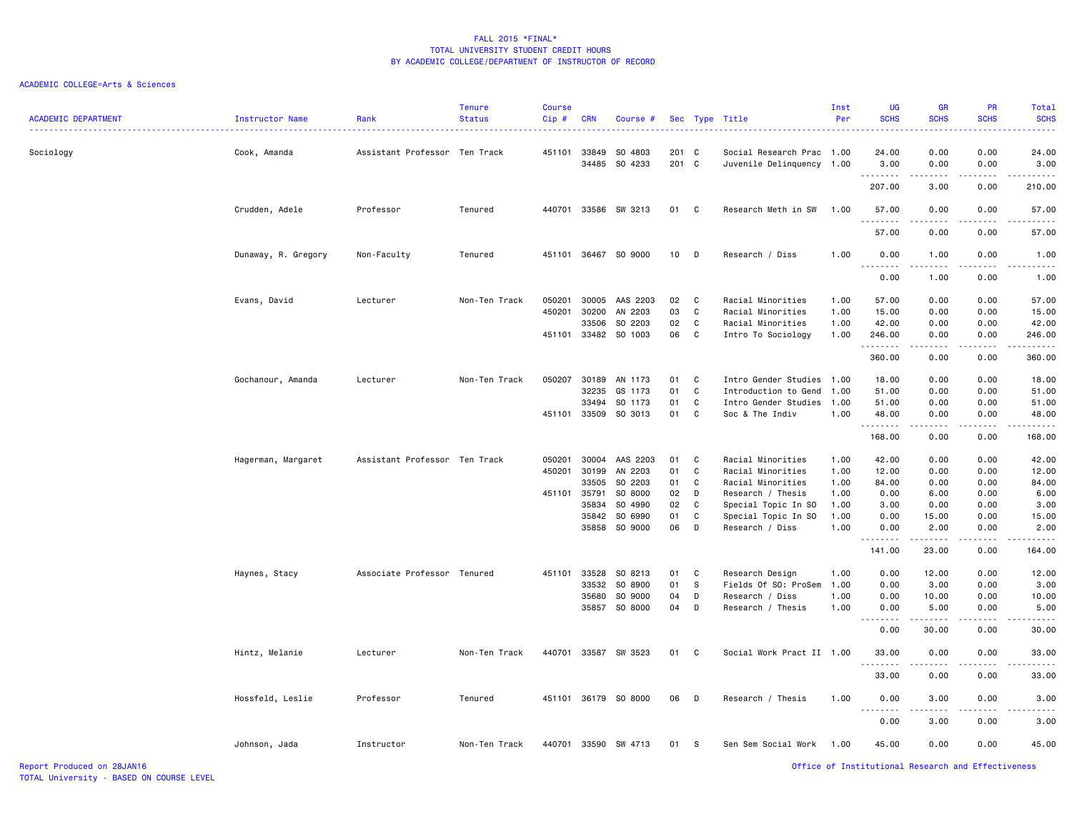| <b>ACADEMIC DEPARTMENT</b> | <b>Instructor Name</b> | Rank                          | <b>Tenure</b><br><b>Status</b> | <b>Course</b><br>Cip# | <b>CRN</b> | Course #             |        |              | Sec Type Title            | Inst<br>Per | <b>UG</b><br><b>SCHS</b>                                                                                                                                     | <b>GR</b><br><b>SCHS</b>                                                                                                                                      | <b>PR</b><br><b>SCHS</b>                           | Total<br><b>SCHS</b>                                                                                                                                                                                       |
|----------------------------|------------------------|-------------------------------|--------------------------------|-----------------------|------------|----------------------|--------|--------------|---------------------------|-------------|--------------------------------------------------------------------------------------------------------------------------------------------------------------|---------------------------------------------------------------------------------------------------------------------------------------------------------------|----------------------------------------------------|------------------------------------------------------------------------------------------------------------------------------------------------------------------------------------------------------------|
| Sociology                  | Cook, Amanda           | Assistant Professor Ten Track |                                | 451101                |            | 33849 SO 4803        | 201 C  |              | Social Research Prac 1.00 |             | 24.00                                                                                                                                                        | 0.00                                                                                                                                                          | 0.00                                               | 24.00                                                                                                                                                                                                      |
|                            |                        |                               |                                |                       | 34485      | SO 4233              | 201 C  |              | Juvenile Delinquency 1.00 |             | 3.00<br><u>.</u>                                                                                                                                             | 0.00<br>.                                                                                                                                                     | 0.00<br>.                                          | 3.00<br>.                                                                                                                                                                                                  |
|                            |                        |                               |                                |                       |            |                      |        |              |                           |             | 207.00                                                                                                                                                       | 3.00                                                                                                                                                          | 0.00                                               | 210.00                                                                                                                                                                                                     |
|                            | Crudden, Adele         | Professor                     | Tenured                        | 440701                |            | 33586 SW 3213        | 01 C   |              | Research Meth in SW       | 1.00        | 57.00<br>.                                                                                                                                                   | 0.00<br>د د د د                                                                                                                                               | 0.00<br>.                                          | 57.00                                                                                                                                                                                                      |
|                            |                        |                               |                                |                       |            |                      |        |              |                           |             | 57.00                                                                                                                                                        | 0.00                                                                                                                                                          | 0.00                                               | 57.00                                                                                                                                                                                                      |
|                            | Dunaway, R. Gregory    | Non-Faculty                   | Tenured                        |                       |            | 451101 36467 SO 9000 | $10$ D |              | Research / Diss           | 1.00        | 0.00<br>.                                                                                                                                                    | 1.00<br>$\frac{1}{2} \left( \frac{1}{2} \right) \left( \frac{1}{2} \right) \left( \frac{1}{2} \right) \left( \frac{1}{2} \right)$                             | 0.00                                               | 1.00                                                                                                                                                                                                       |
|                            |                        |                               |                                |                       |            |                      |        |              |                           |             | 0.00                                                                                                                                                         | 1.00                                                                                                                                                          | 0.00                                               | 1.00                                                                                                                                                                                                       |
|                            | Evans, David           | Lecturer                      | Non-Ten Track                  | 050201                |            | 30005 AAS 2203       | 02     | C            | Racial Minorities         | 1.00        | 57.00                                                                                                                                                        | 0.00                                                                                                                                                          | 0.00                                               | 57.00                                                                                                                                                                                                      |
|                            |                        |                               |                                | 450201                | 30200      | AN 2203              | 03     | C            | Racial Minorities         | 1.00        | 15.00                                                                                                                                                        | 0.00                                                                                                                                                          | 0.00                                               | 15.00                                                                                                                                                                                                      |
|                            |                        |                               |                                |                       | 33506      | SO 2203              | 02     | C            | Racial Minorities         | 1.00        | 42.00                                                                                                                                                        | 0.00                                                                                                                                                          | 0.00                                               | 42.00                                                                                                                                                                                                      |
|                            |                        |                               |                                | 451101                |            | 33482 SO 1003        | 06     | C            | Intro To Sociology        | 1.00        | 246.00                                                                                                                                                       | 0.00                                                                                                                                                          | 0.00                                               | 246.00                                                                                                                                                                                                     |
|                            |                        |                               |                                |                       |            |                      |        |              |                           |             | <u>.</u><br>360.00                                                                                                                                           | .<br>0.00                                                                                                                                                     | .<br>0.00                                          | .<br>360.00                                                                                                                                                                                                |
|                            | Gochanour, Amanda      | Lecturer                      | Non-Ten Track                  | 050207                |            | 30189 AN 1173        | 01     | C            | Intro Gender Studies      | 1.00        | 18.00                                                                                                                                                        | 0.00                                                                                                                                                          | 0.00                                               | 18.00                                                                                                                                                                                                      |
|                            |                        |                               |                                |                       | 32235      | GS 1173              | 01     | C            | Introduction to Gend      | 1.00        | 51.00                                                                                                                                                        | 0.00                                                                                                                                                          | 0.00                                               | 51.00                                                                                                                                                                                                      |
|                            |                        |                               |                                |                       | 33494      | SO 1173              | 01     | C            | Intro Gender Studies      | 1.00        | 51.00                                                                                                                                                        | 0.00                                                                                                                                                          | 0.00                                               | 51.00                                                                                                                                                                                                      |
|                            |                        |                               |                                | 451101                |            | 33509 SO 3013        | 01     | C            | Soc & The Indiv           | 1.00        | 48.00                                                                                                                                                        | 0.00                                                                                                                                                          | 0.00                                               | 48.00                                                                                                                                                                                                      |
|                            |                        |                               |                                |                       |            |                      |        |              |                           |             | .                                                                                                                                                            | .                                                                                                                                                             | -----                                              | $\frac{1}{2} \left( \frac{1}{2} \right) \left( \frac{1}{2} \right) \left( \frac{1}{2} \right) \left( \frac{1}{2} \right) \left( \frac{1}{2} \right) \left( \frac{1}{2} \right) \left( \frac{1}{2} \right)$ |
|                            |                        |                               |                                |                       |            |                      |        |              |                           |             | 168.00                                                                                                                                                       | 0.00                                                                                                                                                          | 0.00                                               | 168.00                                                                                                                                                                                                     |
|                            | Hagerman, Margaret     | Assistant Professor Ten Track |                                | 050201                | 30004      | AAS 2203             | 01     | C            | Racial Minorities         | 1.00        | 42.00                                                                                                                                                        | 0.00                                                                                                                                                          | 0.00                                               | 42.00                                                                                                                                                                                                      |
|                            |                        |                               |                                | 450201                | 30199      | AN 2203              | 01     | C            | Racial Minorities         | 1.00        | 12.00                                                                                                                                                        | 0.00                                                                                                                                                          | 0.00                                               | 12.00                                                                                                                                                                                                      |
|                            |                        |                               |                                |                       | 33505      | SO 2203              | 01     | C            | Racial Minorities         | 1.00        | 84.00                                                                                                                                                        | 0.00                                                                                                                                                          | 0.00                                               | 84.00                                                                                                                                                                                                      |
|                            |                        |                               |                                | 451101                | 35791      | SO 8000              | 02     | D            | Research / Thesis         | 1.00        | 0.00                                                                                                                                                         | 6.00                                                                                                                                                          | 0.00                                               | 6.00                                                                                                                                                                                                       |
|                            |                        |                               |                                |                       | 35834      | SO 4990              | 02     | C            | Special Topic In SO       | 1.00        | 3.00                                                                                                                                                         | 0.00                                                                                                                                                          | 0.00                                               | 3.00                                                                                                                                                                                                       |
|                            |                        |                               |                                |                       |            | 35842 SO 6990        | 01     | C            | Special Topic In SO       | 1.00        | 0.00                                                                                                                                                         | 15.00                                                                                                                                                         | 0.00                                               | 15.00                                                                                                                                                                                                      |
|                            |                        |                               |                                |                       | 35858      | SO 9000              | 06     | D            | Research / Diss           | 1.00        | 0.00                                                                                                                                                         | 2.00                                                                                                                                                          | 0.00                                               | 2.00                                                                                                                                                                                                       |
|                            |                        |                               |                                |                       |            |                      |        |              |                           |             | .<br>141.00                                                                                                                                                  | د د د د د<br>23.00                                                                                                                                            | .<br>0.00                                          | .<br>164.00                                                                                                                                                                                                |
|                            | Haynes, Stacy          | Associate Professor Tenured   |                                | 451101                | 33528      | SO 8213              | 01     | C            | Research Design           | 1.00        | 0.00                                                                                                                                                         | 12.00                                                                                                                                                         | 0.00                                               | 12.00                                                                                                                                                                                                      |
|                            |                        |                               |                                |                       | 33532      | SO 8900              | 01     | S            | Fields Of SO: ProSem      | 1.00        | 0.00                                                                                                                                                         | 3.00                                                                                                                                                          | 0.00                                               | 3.00                                                                                                                                                                                                       |
|                            |                        |                               |                                |                       | 35680      | SO 9000              | 04     | D            | Research / Diss           | 1.00        | 0.00                                                                                                                                                         | 10.00                                                                                                                                                         | 0.00                                               | 10.00                                                                                                                                                                                                      |
|                            |                        |                               |                                |                       |            | 35857 SO 8000        | 04     | D            | Research / Thesis         | 1.00        | 0.00                                                                                                                                                         | 5.00                                                                                                                                                          | 0.00                                               | 5.00                                                                                                                                                                                                       |
|                            |                        |                               |                                |                       |            |                      |        |              |                           |             | $\frac{1}{2} \left( \frac{1}{2} \right) \left( \frac{1}{2} \right) \left( \frac{1}{2} \right) \left( \frac{1}{2} \right) \left( \frac{1}{2} \right)$<br>0.00 | $\frac{1}{2} \left( \frac{1}{2} \right) \left( \frac{1}{2} \right) \left( \frac{1}{2} \right) \left( \frac{1}{2} \right) \left( \frac{1}{2} \right)$<br>30.00 | .<br>0.00                                          | .<br>30.00                                                                                                                                                                                                 |
|                            | Hintz, Melanie         | Lecturer                      | Non-Ten Track                  | 440701                |            | 33587 SW 3523        | 01     | $\mathbf{C}$ | Social Work Pract II 1.00 |             | 33.00                                                                                                                                                        | 0.00                                                                                                                                                          | 0.00                                               | 33.00                                                                                                                                                                                                      |
|                            |                        |                               |                                |                       |            |                      |        |              |                           |             | .<br>33.00                                                                                                                                                   | .<br>0.00                                                                                                                                                     | .<br>0.00                                          | .<br>33.00                                                                                                                                                                                                 |
|                            | Hossfeld, Leslie       | Professor                     | Tenured                        | 451101                |            | 36179 SO 8000        | 06     | D            | Research / Thesis         | 1.00        | 0.00                                                                                                                                                         | 3.00                                                                                                                                                          | 0.00                                               | 3.00                                                                                                                                                                                                       |
|                            |                        |                               |                                |                       |            |                      |        |              |                           |             | . <b>.</b>                                                                                                                                                   | ----<br>3.00                                                                                                                                                  | .<br>0.00                                          | $\frac{1}{2} \left( \frac{1}{2} \right) \left( \frac{1}{2} \right) \left( \frac{1}{2} \right) \left( \frac{1}{2} \right)$<br>3.00                                                                          |
|                            |                        |                               |                                |                       |            |                      |        |              |                           |             | 0.00                                                                                                                                                         |                                                                                                                                                               |                                                    |                                                                                                                                                                                                            |
|                            | Johnson, Jada          | Instructor                    | Non-Ten Track                  | 440701                | 33590      | SW 4713              | 01     | - S          | Sen Sem Social Work       | 1.00        | 45.00                                                                                                                                                        | 0.00                                                                                                                                                          | 0.00                                               | 45.00                                                                                                                                                                                                      |
| Report Produced on 28JAN16 |                        |                               |                                |                       |            |                      |        |              |                           |             |                                                                                                                                                              |                                                                                                                                                               | Office of Institutional Research and Effectiveness |                                                                                                                                                                                                            |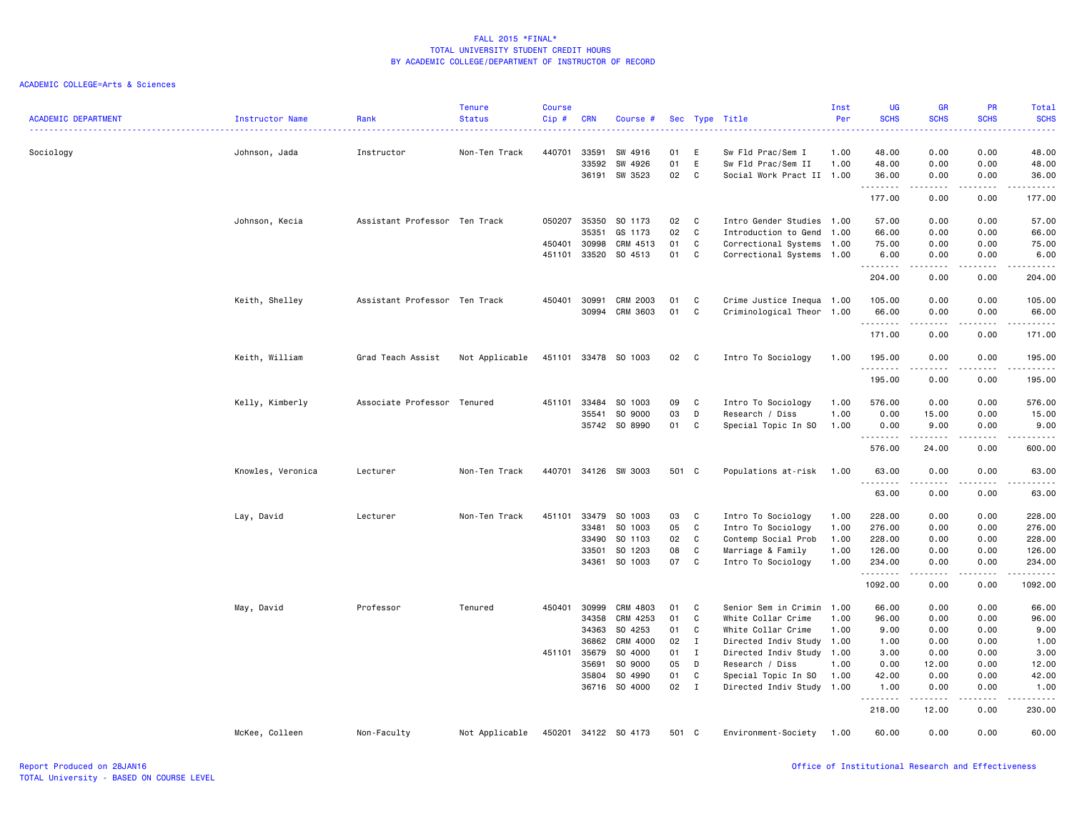| <b>ACADEMIC DEPARTMENT</b> | <b>Instructor Name</b> | Rank                          | <b>Tenure</b><br><b>Status</b> | <b>Course</b><br>Cip# | <b>CRN</b>   | Course #             |       |              | Sec Type Title            | Inst<br>Per<br>. | UG<br><b>SCHS</b> | <b>GR</b><br><b>SCHS</b><br>.       | PR<br><b>SCHS</b> | Total<br><b>SCHS</b><br>.                                                                                                                                                       |
|----------------------------|------------------------|-------------------------------|--------------------------------|-----------------------|--------------|----------------------|-------|--------------|---------------------------|------------------|-------------------|-------------------------------------|-------------------|---------------------------------------------------------------------------------------------------------------------------------------------------------------------------------|
| Sociology                  | Johnson, Jada          | Instructor                    | Non-Ten Track                  | 440701                | 33591        | SW 4916              | 01    | Ε            | Sw Fld Prac/Sem I         | 1.00             | 48.00             | 0.00                                | 0.00              | 48.00                                                                                                                                                                           |
|                            |                        |                               |                                |                       | 33592        | SW 4926              | 01    | E            | Sw Fld Prac/Sem II        | 1.00             | 48.00             | 0.00                                | 0.00              | 48.00                                                                                                                                                                           |
|                            |                        |                               |                                |                       |              | 36191 SW 3523        | 02    | C            | Social Work Pract II 1.00 |                  | 36.00<br>.        | 0.00<br>$\sim$ $\sim$ $\sim$ $\sim$ | 0.00<br>.         | 36.00<br>.                                                                                                                                                                      |
|                            |                        |                               |                                |                       |              |                      |       |              |                           |                  | 177.00            | 0.00                                | 0.00              | 177.00                                                                                                                                                                          |
|                            | Johnson, Kecia         | Assistant Professor Ten Track |                                | 050207                | 35350        | SO 1173              | 02    | C            | Intro Gender Studies 1.00 |                  | 57.00             | 0.00                                | 0.00              | 57.00                                                                                                                                                                           |
|                            |                        |                               |                                |                       | 35351        | GS 1173              | 02    | C            | Introduction to Gend      | 1.00             | 66.00             | 0.00                                | 0.00              | 66.00                                                                                                                                                                           |
|                            |                        |                               |                                | 450401                | 30998        | CRM 4513             | 01    | C            | Correctional Systems      | 1.00             | 75.00             | 0.00                                | 0.00              | 75.00                                                                                                                                                                           |
|                            |                        |                               |                                | 451101                | 33520        | SO 4513              | 01    | C            | Correctional Systems 1.00 |                  | 6.00              | 0.00                                | 0.00              | 6.00                                                                                                                                                                            |
|                            |                        |                               |                                |                       |              |                      |       |              |                           |                  | .<br>204.00       | .<br>0.00                           | 0.00              | 204.00                                                                                                                                                                          |
|                            | Keith, Shelley         | Assistant Professor Ten Track |                                | 450401                | 30991        | CRM 2003             | 01    | C            | Crime Justice Inequa 1.00 |                  | 105.00            | 0.00                                | 0.00              | 105.00                                                                                                                                                                          |
|                            |                        |                               |                                |                       | 30994        | CRM 3603             | 01    | C            | Criminological Theor      | 1.00             | 66.00             | 0.00                                | 0.00              | 66.00                                                                                                                                                                           |
|                            |                        |                               |                                |                       |              |                      |       |              |                           |                  | .                 | .                                   | .                 | $\frac{1}{2} \left( \frac{1}{2} \right) \left( \frac{1}{2} \right) \left( \frac{1}{2} \right) \left( \frac{1}{2} \right) \left( \frac{1}{2} \right) \left( \frac{1}{2} \right)$ |
|                            |                        |                               |                                |                       |              |                      |       |              |                           |                  | 171.00            | 0.00                                | 0.00              | 171.00                                                                                                                                                                          |
|                            | Keith, William         | Grad Teach Assist             | Not Applicable                 |                       |              | 451101 33478 SO 1003 | 02 C  |              | Intro To Sociology        | 1.00             | 195.00<br>.       | 0.00                                | 0.00              | 195.00                                                                                                                                                                          |
|                            |                        |                               |                                |                       |              |                      |       |              |                           |                  | 195.00            | 0.00                                | 0.00              | 195.00                                                                                                                                                                          |
|                            | Kelly, Kimberly        | Associate Professor Tenured   |                                |                       | 451101 33484 | SO 1003              | 09    | C            | Intro To Sociology        | 1.00             | 576.00            | 0.00                                | 0.00              | 576.00                                                                                                                                                                          |
|                            |                        |                               |                                |                       | 35541        | SO 9000              | 03    | D            | Research / Diss           | 1.00             | 0.00              | 15.00                               | 0.00              | 15.00                                                                                                                                                                           |
|                            |                        |                               |                                |                       | 35742        | SO 8990              | 01    | C            | Special Topic In SO       | 1.00             | 0.00              | 9.00                                | 0.00              | 9.00                                                                                                                                                                            |
|                            |                        |                               |                                |                       |              |                      |       |              |                           |                  | .                 |                                     |                   | 600.00                                                                                                                                                                          |
|                            |                        |                               |                                |                       |              |                      |       |              |                           |                  | 576.00            | 24.00                               | 0.00              |                                                                                                                                                                                 |
|                            | Knowles, Veronica      | Lecturer                      | Non-Ten Track                  |                       |              | 440701 34126 SW 3003 | 501 C |              | Populations at-risk       | 1.00             | 63.00<br>.        | 0.00<br>.                           | 0.00<br>.         | 63.00<br>.                                                                                                                                                                      |
|                            |                        |                               |                                |                       |              |                      |       |              |                           |                  | 63.00             | 0.00                                | 0.00              | 63.00                                                                                                                                                                           |
|                            | Lay, David             | Lecturer                      | Non-Ten Track                  | 451101                | 33479        | SO 1003              | 03    | C            | Intro To Sociology        | 1.00             | 228.00            | 0.00                                | 0.00              | 228.00                                                                                                                                                                          |
|                            |                        |                               |                                |                       | 33481        | SO 1003              | 05    | C            | Intro To Sociology        | 1.00             | 276.00            | 0.00                                | 0.00              | 276.00                                                                                                                                                                          |
|                            |                        |                               |                                |                       | 33490        | SO 1103              | 02    | C            | Contemp Social Prob       | 1.00             | 228.00            | 0.00                                | 0.00              | 228.00                                                                                                                                                                          |
|                            |                        |                               |                                |                       | 33501        | SO 1203              | 08    | C            | Marriage & Family         | 1.00             | 126.00            | 0.00                                | 0.00              | 126.00                                                                                                                                                                          |
|                            |                        |                               |                                |                       | 34361        | SO 1003              | 07    | C            | Intro To Sociology        | 1.00             | 234.00<br>.       | 0.00<br>$\sim$ $\sim$ $\sim$ $\sim$ | 0.00<br>.         | 234.00<br>.                                                                                                                                                                     |
|                            |                        |                               |                                |                       |              |                      |       |              |                           |                  | 1092.00           | 0.00                                | 0.00              | 1092.00                                                                                                                                                                         |
|                            | May, David             | Professor                     | Tenured                        | 450401                | 30999        | CRM 4803             | 01    | C            | Senior Sem in Crimin      | 1.00             | 66.00             | 0.00                                | 0.00              | 66.00                                                                                                                                                                           |
|                            |                        |                               |                                |                       | 34358        | CRM 4253             | 01    | C            | White Collar Crime        | 1.00             | 96.00             | 0.00                                | 0.00              | 96.00                                                                                                                                                                           |
|                            |                        |                               |                                |                       | 34363        | SO 4253              | 01    | C            | White Collar Crime        | 1.00             | 9.00              | 0.00                                | 0.00              | 9.00                                                                                                                                                                            |
|                            |                        |                               |                                |                       | 36862        | CRM 4000             | 02    | $\mathbf{I}$ | Directed Indiv Study      | 1.00             | 1.00              | 0.00                                | 0.00              | 1.00                                                                                                                                                                            |
|                            |                        |                               |                                | 451101                | 35679        | SO 4000              | 01 I  |              | Directed Indiv Study      | 1.00             | 3.00              | 0.00                                | 0.00              | 3.00                                                                                                                                                                            |
|                            |                        |                               |                                |                       | 35691        | SO 9000              | 05    | D            | Research / Diss           | 1.00             | 0.00              | 12.00                               | 0.00              | 12.00                                                                                                                                                                           |
|                            |                        |                               |                                |                       | 35804        | SO 4990              | 01    | C            | Special Topic In SO       | 1.00             | 42.00             | 0.00                                | 0.00              | 42.00                                                                                                                                                                           |
|                            |                        |                               |                                |                       |              | 36716 SO 4000        | 02 I  |              | Directed Indiv Study 1.00 |                  | 1.00<br>.         | 0.00<br>-----                       | 0.00<br>.         | 1.00<br>.                                                                                                                                                                       |
|                            |                        |                               |                                |                       |              |                      |       |              |                           |                  | 218.00            | 12.00                               | 0.00              | 230.00                                                                                                                                                                          |
|                            | McKee, Colleen         | Non-Faculty                   | Not Applicable                 |                       |              | 450201 34122 SO 4173 | 501 C |              | Environment-Society       | 1.00             | 60.00             | 0.00                                | 0.00              | 60.00                                                                                                                                                                           |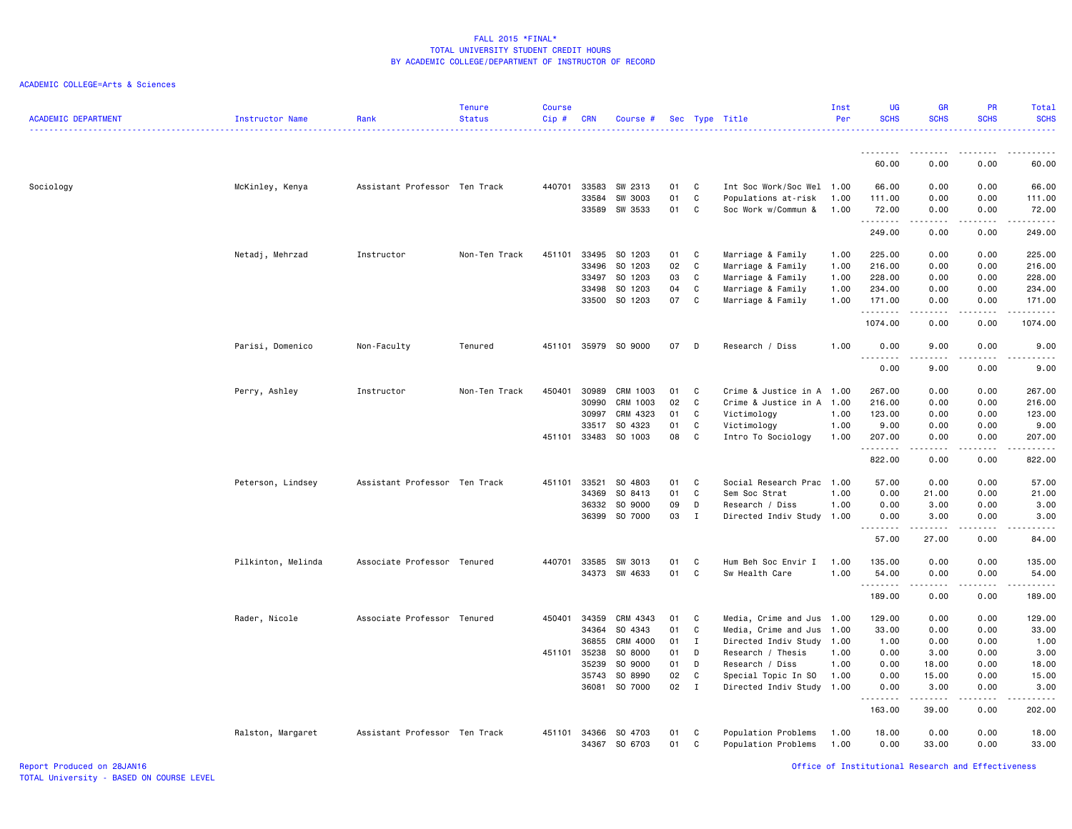### ACADEMIC COLLEGE=Arts & Sciences

| <b>ACADEMIC DEPARTMENT</b> | Instructor Name    | Rank                          | <b>Tenure</b><br><b>Status</b> | <b>Course</b><br>Cip# | <b>CRN</b>     | Course #             |          | Sec Type Title |                                            | Inst<br>Per  | UG<br><b>SCHS</b>                 | GR<br><b>SCHS</b> | PR<br><b>SCHS</b> | Total<br><b>SCHS</b>                                                                                                                                                                      |
|----------------------------|--------------------|-------------------------------|--------------------------------|-----------------------|----------------|----------------------|----------|----------------|--------------------------------------------|--------------|-----------------------------------|-------------------|-------------------|-------------------------------------------------------------------------------------------------------------------------------------------------------------------------------------------|
|                            |                    |                               |                                |                       |                |                      |          |                |                                            |              |                                   |                   |                   |                                                                                                                                                                                           |
|                            |                    |                               |                                |                       |                |                      |          |                |                                            |              | 60.00                             | 0.00              | 0.00              | 60.00                                                                                                                                                                                     |
| Sociology                  | McKinley, Kenya    | Assistant Professor Ten Track |                                | 440701                | 33583          | SW 2313              | 01       | C              | Int Soc Work/Soc Wel 1.00                  |              | 66.00                             | 0.00              | 0.00              | 66.00                                                                                                                                                                                     |
|                            |                    |                               |                                |                       | 33584          | SW 3003              | 01       | C              | Populations at-risk                        | 1.00         | 111.00                            | 0.00              | 0.00              | 111.00                                                                                                                                                                                    |
|                            |                    |                               |                                |                       | 33589          | SW 3533              | 01       | C              | Soc Work w/Commun &                        | 1.00         | 72.00<br>.                        | 0.00<br>.         | 0.00<br>.         | 72.00<br>$\begin{array}{cccccccccc} \bullet & \bullet & \bullet & \bullet & \bullet & \bullet & \bullet \end{array}$                                                                      |
|                            |                    |                               |                                |                       |                |                      |          |                |                                            |              | 249.00                            | 0.00              | 0.00              | 249.00                                                                                                                                                                                    |
|                            | Netadj, Mehrzad    | Instructor                    | Non-Ten Track                  | 451101                | 33495          | SO 1203              | 01       | C              | Marriage & Family                          | 1.00         | 225.00                            | 0.00              | 0.00              | 225.00                                                                                                                                                                                    |
|                            |                    |                               |                                |                       | 33496          | SO 1203              | 02       | C              | Marriage & Family                          | 1.00         | 216.00                            | 0.00              | 0.00              | 216.00                                                                                                                                                                                    |
|                            |                    |                               |                                |                       | 33497          | SO 1203              | 03       | C              | Marriage & Family                          | 1.00         | 228.00                            | 0.00              | 0.00              | 228.00                                                                                                                                                                                    |
|                            |                    |                               |                                |                       | 33498          | SO 1203              | 04       | C              | Marriage & Family                          | 1.00         | 234.00                            | 0.00              | 0.00              | 234.00                                                                                                                                                                                    |
|                            |                    |                               |                                |                       |                | 33500 SO 1203        | 07       | C              | Marriage & Family                          | 1.00         | 171.00<br>.                       | 0.00              | 0.00              | 171.00<br>$\frac{1}{2} \left( \frac{1}{2} \right) \left( \frac{1}{2} \right) \left( \frac{1}{2} \right) \left( \frac{1}{2} \right) \left( \frac{1}{2} \right) \left( \frac{1}{2} \right)$ |
|                            |                    |                               |                                |                       |                |                      |          |                |                                            |              | 1074.00                           | 0.00              | 0.00              | 1074.00                                                                                                                                                                                   |
|                            | Parisi, Domenico   | Non-Faculty                   | Tenured                        |                       |                | 451101 35979 SO 9000 | 07       | D              | Research / Diss                            | 1.00         | 0.00<br>$\sim$ $\sim$ $\sim$<br>. | 9.00              | 0.00              | 9.00                                                                                                                                                                                      |
|                            |                    |                               |                                |                       |                |                      |          |                |                                            |              | 0.00                              | 9.00              | 0.00              | 9.00                                                                                                                                                                                      |
|                            | Perry, Ashley      | Instructor                    | Non-Ten Track                  | 450401                | 30989          | CRM 1003             | 01       | C              | Crime & Justice in A 1.00                  |              | 267.00                            | 0.00              | 0.00              | 267.00                                                                                                                                                                                    |
|                            |                    |                               |                                |                       | 30990          | CRM 1003             | 02       | C              | Crime & Justice in A 1.00                  |              | 216.00                            | 0.00              | 0.00              | 216.00                                                                                                                                                                                    |
|                            |                    |                               |                                |                       | 30997          | CRM 4323             | 01       | C              | Victimology                                | 1.00         | 123.00                            | 0.00              | 0.00              | 123.00                                                                                                                                                                                    |
|                            |                    |                               |                                |                       | 33517          | SO 4323              | 01       | C              | Victimology                                | 1.00         | 9.00                              | 0.00              | 0.00              | 9.00                                                                                                                                                                                      |
|                            |                    |                               |                                | 451101 33483          |                | SO 1003              | 08       | C              | Intro To Sociology                         | 1.00         | 207.00<br>.                       | 0.00<br>.         | 0.00<br>.         | 207.00<br>1.1.1.1.1                                                                                                                                                                       |
|                            |                    |                               |                                |                       |                |                      |          |                |                                            |              | 822.00                            | 0.00              | 0.00              | 822.00                                                                                                                                                                                    |
|                            | Peterson, Lindsey  | Assistant Professor Ten Track |                                | 451101                | 33521          | SO 4803              | 01       | C              | Social Research Prac                       | 1.00         | 57.00                             | 0.00              | 0.00              | 57.00                                                                                                                                                                                     |
|                            |                    |                               |                                |                       | 34369          | SO 8413              | 01       | C              | Sem Soc Strat                              | 1.00         | 0.00                              | 21.00             | 0.00              | 21.00                                                                                                                                                                                     |
|                            |                    |                               |                                |                       | 36332          | SO 9000              | 09       | D              | Research / Diss                            | 1.00         | 0.00                              | 3.00              | 0.00              | 3.00                                                                                                                                                                                      |
|                            |                    |                               |                                |                       | 36399          | SO 7000              | 03       | $\mathbf{I}$   | Directed Indiv Study                       | 1.00         | 0.00                              | 3.00              | 0.00              | 3.00                                                                                                                                                                                      |
|                            |                    |                               |                                |                       |                |                      |          |                |                                            |              | 57.00                             | 27.00             | 0.00              | 84.00                                                                                                                                                                                     |
|                            | Pilkinton, Melinda | Associate Professor Tenured   |                                | 440701                | 33585          | SW 3013              | 01       | C              | Hum Beh Soc Envir I                        | 1.00         | 135.00                            | 0.00              | 0.00              | 135.00                                                                                                                                                                                    |
|                            |                    |                               |                                |                       |                | 34373 SW 4633        | 01       | C              | Sw Health Care                             | 1.00         | 54.00<br><b></b>                  | 0.00<br>.         | 0.00<br>.         | 54.00<br>.                                                                                                                                                                                |
|                            |                    |                               |                                |                       |                |                      |          |                |                                            |              | 189.00                            | 0.00              | 0.00              | 189.00                                                                                                                                                                                    |
|                            | Rader, Nicole      | Associate Professor Tenured   |                                | 450401 34359          |                | CRM 4343             | 01       | C              | Media, Crime and Jus 1.00                  |              | 129.00                            | 0.00              | 0.00              | 129.00                                                                                                                                                                                    |
|                            |                    |                               |                                |                       | 34364          | SO 4343              | 01       | C              | Media, Crime and Jus                       | 1.00         | 33.00                             | 0.00              | 0.00              | 33.00                                                                                                                                                                                     |
|                            |                    |                               |                                |                       | 36855          | CRM 4000             | 01       | $\mathbf{I}$   | Directed Indiv Study 1.00                  |              | 1.00                              | 0.00              | 0.00              | 1.00                                                                                                                                                                                      |
|                            |                    |                               |                                | 451101 35238          |                | SO 8000              | 01       | D              | Research / Thesis                          | 1.00         | 0.00                              | 3.00              | 0.00              | 3.00                                                                                                                                                                                      |
|                            |                    |                               |                                |                       | 35239          | SO 9000              | 01       | D              | Research / Diss                            | 1.00         | 0.00                              | 18.00             | 0.00              | 18.00                                                                                                                                                                                     |
|                            |                    |                               |                                |                       | 35743          | SO 8990              | 02       | C              | Special Topic In SO                        | 1.00         | 0.00                              | 15.00             | 0.00              | 15.00                                                                                                                                                                                     |
|                            |                    |                               |                                |                       | 36081          | SO 7000              | 02       | $\mathbf{I}$   | Directed Indiv Study 1.00                  |              | 0.00<br>.                         | 3,00<br>.         | 0.00<br>.         | 3,00<br>$\begin{array}{cccccccccccccc} \bullet & \bullet & \bullet & \bullet & \bullet & \bullet & \bullet & \bullet \end{array}$                                                         |
|                            |                    |                               |                                |                       |                |                      |          |                |                                            |              | 163.00                            | 39.00             | 0.00              | 202.00                                                                                                                                                                                    |
|                            | Ralston, Margaret  | Assistant Professor Ten Track |                                | 451101                | 34366<br>34367 | SO 4703<br>SO 6703   | 01<br>01 | C<br>C         | Population Problems<br>Population Problems | 1.00<br>1.00 | 18.00<br>0.00                     | 0.00<br>33.00     | 0.00<br>0.00      | 18.00<br>33.00                                                                                                                                                                            |

Report Produced on 28JAN16 Office of Institutional Research and Effectiveness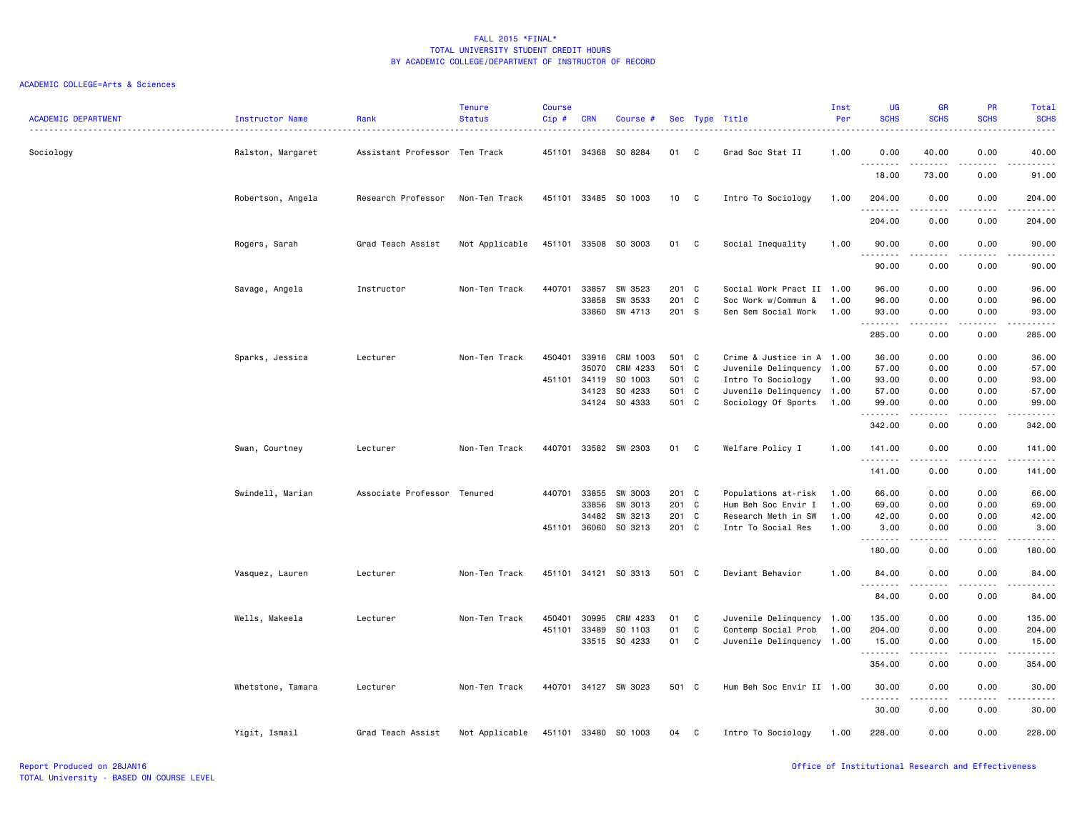| <b>ACADEMIC DEPARTMENT</b> | Instructor Name   | Rank<br>--------------------  | <b>Tenure</b><br><b>Status</b> | <b>Course</b><br>Cip# | <b>CRN</b>     | Course #           |                |              | Sec Type Title<br>. <u>.</u> .             | Inst<br>Per  | <b>UG</b><br><b>SCHS</b><br>$\frac{1}{2} \left( \frac{1}{2} \right) \left( \frac{1}{2} \right) \left( \frac{1}{2} \right)$ | <b>GR</b><br><b>SCHS</b>                                                                                                                                     | PR<br><b>SCHS</b>                   | Total<br><b>SCHS</b><br>. |
|----------------------------|-------------------|-------------------------------|--------------------------------|-----------------------|----------------|--------------------|----------------|--------------|--------------------------------------------|--------------|----------------------------------------------------------------------------------------------------------------------------|--------------------------------------------------------------------------------------------------------------------------------------------------------------|-------------------------------------|---------------------------|
| Sociology                  | Ralston, Margaret | Assistant Professor Ten Track |                                | 451101                | 34368          | SO 8284            | 01             | C            | Grad Soc Stat II                           | 1.00         | 0.00<br><u>.</u>                                                                                                           | 40.00<br>.                                                                                                                                                   | 0.00<br>.                           | 40.00<br>.                |
|                            |                   |                               |                                |                       |                |                    |                |              |                                            |              | 18.00                                                                                                                      | 73.00                                                                                                                                                        | 0.00                                | 91.00                     |
|                            | Robertson, Angela | Research Professor            | Non-Ten Track                  | 451101                |                | 33485 SO 1003      | 10 C           |              | Intro To Sociology                         | 1.00         | 204.00<br>.                                                                                                                | 0.00<br>.                                                                                                                                                    | 0.00<br>.                           | 204.00<br>.               |
|                            |                   |                               |                                |                       |                |                    |                |              |                                            |              | 204.00                                                                                                                     | 0.00                                                                                                                                                         | 0.00                                | 204.00                    |
|                            | Rogers, Sarah     | Grad Teach Assist             | Not Applicable                 | 451101                | 33508          | SO 3003            | 01             | $\mathbf{C}$ | Social Inequality                          | 1.00         | 90.00<br>.                                                                                                                 | 0.00                                                                                                                                                         | 0.00                                | 90.00<br>$- - - - -$      |
|                            |                   |                               |                                |                       |                |                    |                |              |                                            |              | 90.00                                                                                                                      | 0.00                                                                                                                                                         | 0.00                                | 90.00                     |
|                            | Savage, Angela    | Instructor                    | Non-Ten Track                  | 440701                | 33857          | SW 3523            | 201 C          |              | Social Work Pract II                       | 1.00         | 96.00                                                                                                                      | 0.00                                                                                                                                                         | 0.00                                | 96.00                     |
|                            |                   |                               |                                |                       | 33858<br>33860 | SW 3533<br>SW 4713 | 201 C<br>201 S |              | Soc Work w/Commun &<br>Sen Sem Social Work | 1.00<br>1.00 | 96.00<br>93.00                                                                                                             | 0.00<br>0.00                                                                                                                                                 | 0.00<br>0.00                        | 96.00<br>93.00            |
|                            |                   |                               |                                |                       |                |                    |                |              |                                            |              | .<br>285.00                                                                                                                | 0.00                                                                                                                                                         | 0.00                                | 285.00                    |
|                            | Sparks, Jessica   | Lecturer                      | Non-Ten Track                  | 450401                | 33916          | CRM 1003           | 501 C          |              | Crime & Justice in A 1.00                  |              | 36.00                                                                                                                      | 0.00                                                                                                                                                         | 0.00                                | 36.00                     |
|                            |                   |                               |                                |                       | 35070          | CRM 4233           | 501 C          |              | Juvenile Delinquency 1.00                  |              | 57.00                                                                                                                      | 0.00                                                                                                                                                         | 0.00                                | 57.00                     |
|                            |                   |                               |                                | 451101                | 34119          | SO 1003            | 501 C          |              | Intro To Sociology                         | 1.00         | 93.00                                                                                                                      | 0.00                                                                                                                                                         | 0.00                                | 93.00                     |
|                            |                   |                               |                                |                       | 34123          | SO 4233            | 501 C          |              | Juvenile Delinquency 1.00                  |              | 57.00                                                                                                                      | 0.00                                                                                                                                                         | 0.00                                | 57.00                     |
|                            |                   |                               |                                |                       | 34124          | SO 4333            | 501 C          |              | Sociology Of Sports                        | 1.00         | 99.00<br>.                                                                                                                 | 0.00<br>$\frac{1}{2} \left( \frac{1}{2} \right) \left( \frac{1}{2} \right) \left( \frac{1}{2} \right) \left( \frac{1}{2} \right) \left( \frac{1}{2} \right)$ | 0.00<br>.                           | 99.00<br>.                |
|                            |                   |                               |                                |                       |                |                    |                |              |                                            |              | 342.00                                                                                                                     | 0.00                                                                                                                                                         | 0.00                                | 342.00                    |
|                            | Swan, Courtney    | Lecturer                      | Non-Ten Track                  | 440701                |                | 33582 SW 2303      | 01             | C            | Welfare Policy I                           | 1.00         | 141.00<br>. <b>.</b>                                                                                                       | 0.00<br>.                                                                                                                                                    | 0.00<br>$\sim$ $\sim$ $\sim$ $\sim$ | 141.00                    |
|                            |                   |                               |                                |                       |                |                    |                |              |                                            |              | 141.00                                                                                                                     | 0.00                                                                                                                                                         | 0.00                                | 141.00                    |
|                            | Swindell, Marian  | Associate Professor           | Tenured                        | 440701                | 33855          | SW 3003            | 201 C          |              | Populations at-risk                        | 1.00         | 66.00                                                                                                                      | 0.00                                                                                                                                                         | 0.00                                | 66.00                     |
|                            |                   |                               |                                |                       | 33856          | SW 3013            | 201 C          |              | Hum Beh Soc Envir I                        | 1.00         | 69.00                                                                                                                      | 0.00                                                                                                                                                         | 0.00                                | 69.00                     |
|                            |                   |                               |                                |                       | 34482          | SW 3213            | 201 C          |              | Research Meth in SW                        | 1.00         | 42.00                                                                                                                      | 0.00                                                                                                                                                         | 0.00                                | 42.00                     |
|                            |                   |                               |                                | 451101                | 36060          | SO 3213            | 201 C          |              | Intr To Social Res                         | 1.00         | 3.00<br>.                                                                                                                  | 0.00<br>.                                                                                                                                                    | 0.00                                | 3.00<br>.                 |
|                            |                   |                               |                                |                       |                |                    |                |              |                                            |              | 180.00                                                                                                                     | 0.00                                                                                                                                                         | 0.00                                | 180.00                    |
|                            | Vasquez, Lauren   | Lecturer                      | Non-Ten Track                  | 451101                |                | 34121 SO 3313      | 501 C          |              | Deviant Behavior                           | 1.00         | 84.00<br>.                                                                                                                 | 0.00<br>-----                                                                                                                                                | 0.00<br>.                           | 84.00<br>.                |
|                            |                   |                               |                                |                       |                |                    |                |              |                                            |              | 84.00                                                                                                                      | 0.00                                                                                                                                                         | 0.00                                | 84.00                     |
|                            | Wells, Makeela    | Lecturer                      | Non-Ten Track                  | 450401                | 30995          | CRM 4233           | 01             | C            | Juvenile Delinquency 1.00                  |              | 135.00                                                                                                                     | 0.00                                                                                                                                                         | 0.00                                | 135.00                    |
|                            |                   |                               |                                | 451101                | 33489          | SO 1103            | 01             | C            | Contemp Social Prob                        | 1.00         | 204.00                                                                                                                     | 0.00                                                                                                                                                         | 0.00                                | 204.00                    |
|                            |                   |                               |                                |                       |                | 33515 SO 4233      | 01             | C            | Juvenile Delinquency 1.00                  |              | 15.00<br>--------                                                                                                          | 0.00<br>.                                                                                                                                                    | 0.00<br>.                           | 15.00<br>.                |
|                            |                   |                               |                                |                       |                |                    |                |              |                                            |              | 354.00                                                                                                                     | 0.00                                                                                                                                                         | 0.00                                | 354.00                    |
|                            | Whetstone, Tamara | Lecturer                      | Non-Ten Track                  | 440701                |                | 34127 SW 3023      | 501 C          |              | Hum Beh Soc Envir II 1.00                  |              | 30.00                                                                                                                      | 0.00<br>.                                                                                                                                                    | 0.00<br>.                           | 30.00<br>.                |
|                            |                   |                               |                                |                       |                |                    |                |              |                                            |              | 30.00                                                                                                                      | 0.00                                                                                                                                                         | 0.00                                | 30.00                     |
|                            | Yigit, Ismail     | Grad Teach Assist             | Not Applicable                 | 451101                | 33480          | SO 1003            | 04             | C            | Intro To Sociology                         | 1.00         | 228.00                                                                                                                     | 0.00                                                                                                                                                         | 0.00                                | 228.00                    |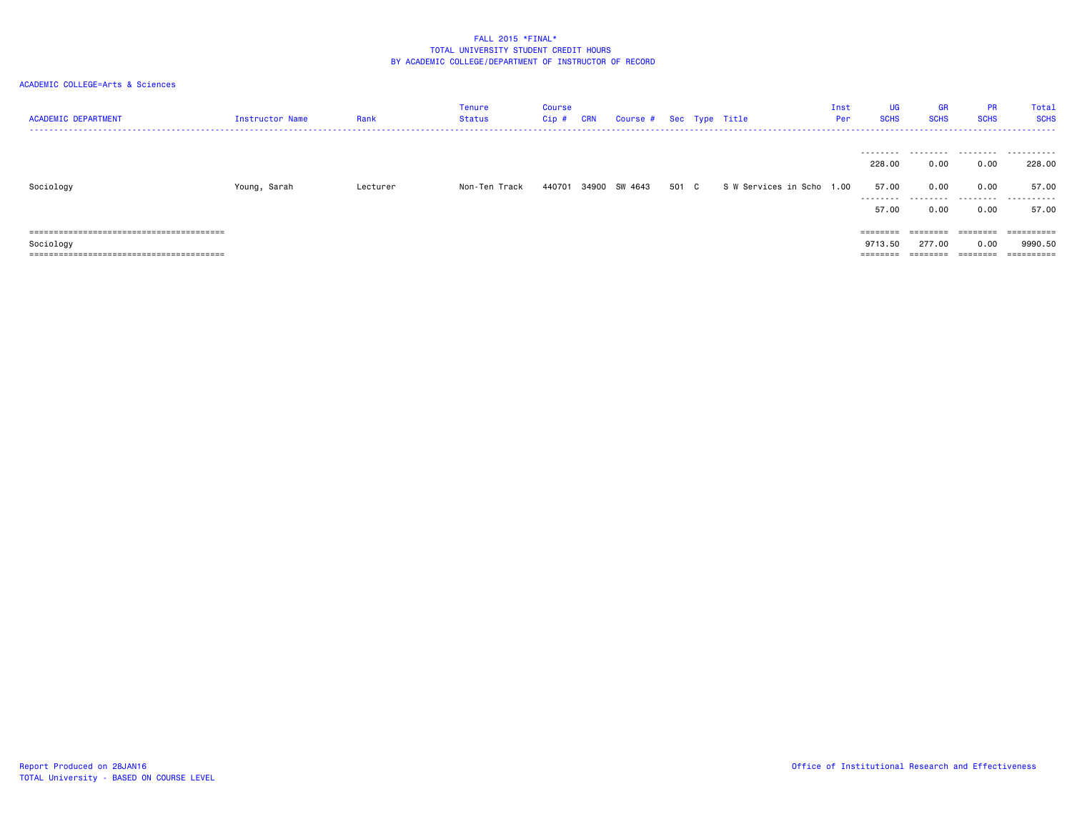| <b>ACADEMIC DEPARTMENT</b> | <b>Instructor Name</b> | Rank     | <b>Tenure</b><br>Status | Course<br>Cip # | <b>CRN</b> | Course # Sec Type Title |       |                           | Inst<br>Per | UG<br><b>SCHS</b> | <b>GR</b><br><b>SCHS</b> | <b>PR</b><br><b>SCHS</b> | Total<br><b>SCHS</b> |
|----------------------------|------------------------|----------|-------------------------|-----------------|------------|-------------------------|-------|---------------------------|-------------|-------------------|--------------------------|--------------------------|----------------------|
|                            |                        |          |                         |                 |            |                         |       |                           |             | 228,00            | 0.00                     | 0.00                     | 228.00               |
| Sociology                  | Young, Sarah           | Lecturer | Non-Ten Track           | 440701          |            | 34900 SW 4643           | 501 C | S W Services in Scho 1.00 |             | 57.00             | 0.00                     | 0.00                     | 57.00                |
|                            |                        |          |                         |                 |            |                         |       |                           |             | 57.00             | 0.00                     | 0.00                     | 57.00                |
|                            |                        |          |                         |                 |            |                         |       |                           |             | ========          | ========                 | ========                 | ==========           |
| Sociology                  |                        |          |                         |                 |            |                         |       |                           |             | 9713.50           | 277.00                   | 0.00                     | 9990.50              |
|                            |                        |          |                         |                 |            |                         |       |                           |             | ========          | ========                 | $=$ = = = = = = =        | ==========           |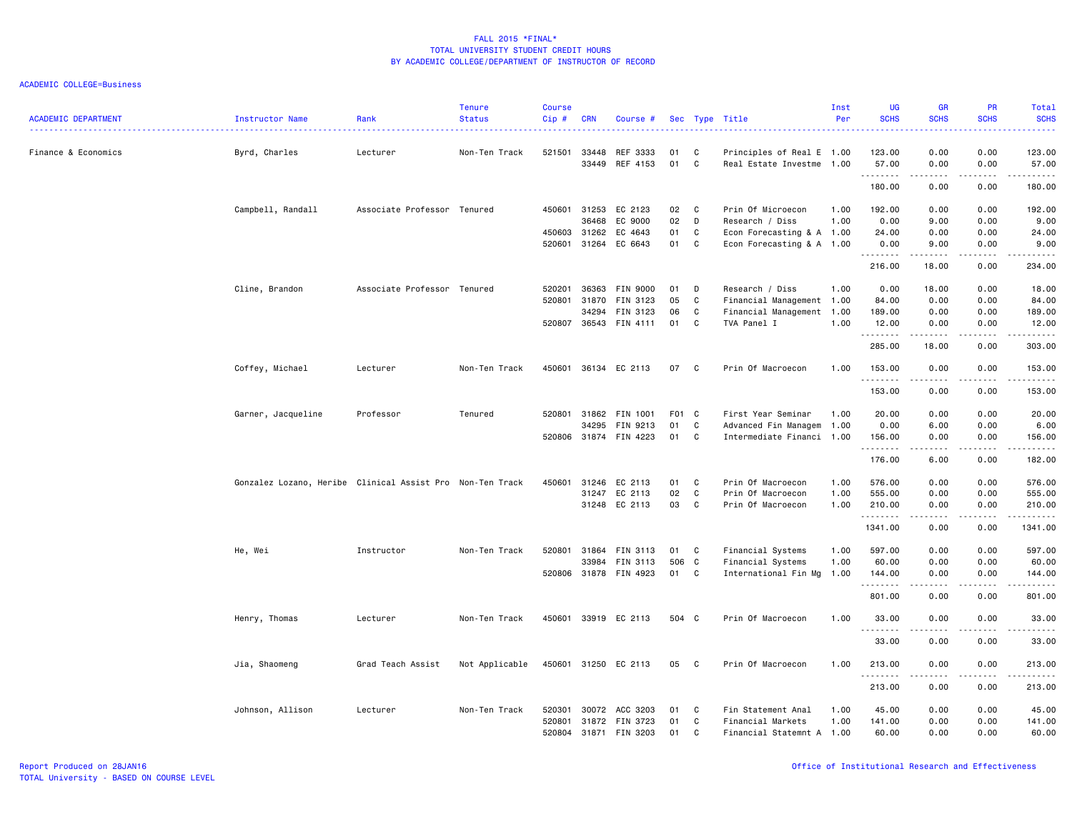| <b>ACADEMIC DEPARTMENT</b> | Instructor Name                                           | Rank                        | <b>Tenure</b><br><b>Status</b> | <b>Course</b><br>Cip# | <b>CRN</b>     | Course #              |          |              | Sec Type Title                                         | Inst<br>Per | UG<br><b>SCHS</b> | <b>GR</b><br><b>SCHS</b>                                                                                                          | PR<br><b>SCHS</b> | Total<br><b>SCHS</b> |
|----------------------------|-----------------------------------------------------------|-----------------------------|--------------------------------|-----------------------|----------------|-----------------------|----------|--------------|--------------------------------------------------------|-------------|-------------------|-----------------------------------------------------------------------------------------------------------------------------------|-------------------|----------------------|
| Finance & Economics        | Byrd, Charles                                             | Lecturer                    | Non-Ten Track                  | 521501                | 33448<br>33449 | REF 3333<br>REF 4153  | 01<br>01 | C<br>C       | Principles of Real E 1.00<br>Real Estate Investme 1.00 |             | 123.00<br>57.00   | 0.00<br>0.00                                                                                                                      | 0.00<br>0.00      | 123.00<br>57.00      |
|                            |                                                           |                             |                                |                       |                |                       |          |              |                                                        |             | .<br>180.00       | .<br>0.00                                                                                                                         | .<br>0.00         | .<br>180.00          |
|                            | Campbell, Randall                                         | Associate Professor Tenured |                                | 450601                | 31253          | EC 2123               | 02       | $\mathbf{C}$ | Prin Of Microecon                                      | 1.00        | 192.00            | 0.00                                                                                                                              | 0.00              | 192.00               |
|                            |                                                           |                             |                                |                       | 36468          | EC 9000               | 02       | D            | Research / Diss                                        | 1.00        | 0.00              | 9.00                                                                                                                              | 0.00              | 9.00                 |
|                            |                                                           |                             |                                | 450603                | 31262          | EC 4643               | 01       | C            | Econ Forecasting & A 1.00                              |             | 24.00             | 0.00                                                                                                                              | 0.00              | 24.00                |
|                            |                                                           |                             |                                | 520601 31264          |                | EC 6643               | 01       | $\mathbf{C}$ | Econ Forecasting & A 1.00                              |             | 0.00<br>.         | 9.00<br>$\begin{array}{cccccccccccccc} \bullet & \bullet & \bullet & \bullet & \bullet & \bullet & \bullet \end{array}$           | 0.00<br>.         | 9.00<br>.            |
|                            |                                                           |                             |                                |                       |                |                       |          |              |                                                        |             | 216.00            | 18.00                                                                                                                             | 0.00              | 234.00               |
|                            | Cline, Brandon                                            | Associate Professor Tenured |                                | 520201                | 36363          | <b>FIN 9000</b>       | 01       | D            | Research / Diss                                        | 1.00        | 0.00              | 18.00                                                                                                                             | 0.00              | 18.00                |
|                            |                                                           |                             |                                | 520801 31870          |                | FIN 3123              | 05       | C            | Financial Management 1.00                              |             | 84.00             | 0.00                                                                                                                              | 0.00              | 84.00                |
|                            |                                                           |                             |                                |                       | 34294          | FIN 3123              | 06       | C            | Financial Management                                   | 1.00        | 189.00            | 0.00                                                                                                                              | 0.00              | 189.00               |
|                            |                                                           |                             |                                |                       |                | 520807 36543 FIN 4111 | 01       | C            | TVA Panel I                                            | 1.00        | 12.00<br>.        | 0.00<br>$- - - - - -$                                                                                                             | 0.00<br>.         | 12.00<br>.           |
|                            |                                                           |                             |                                |                       |                |                       |          |              |                                                        |             | 285.00            | 18.00                                                                                                                             | 0.00              | 303.00               |
|                            | Coffey, Michael                                           | Lecturer                    | Non-Ten Track                  |                       |                | 450601 36134 EC 2113  | 07       | $\mathbf{C}$ | Prin Of Macroecon                                      | 1.00        | 153.00<br>.       | 0.00<br>د د د د                                                                                                                   | 0.00<br>.         | 153.00<br>. <b>.</b> |
|                            |                                                           |                             |                                |                       |                |                       |          |              |                                                        |             | 153.00            | 0.00                                                                                                                              | 0.00              | 153.00               |
|                            | Garner, Jacqueline                                        | Professor                   | Tenured                        | 520801                | 31862          | FIN 1001              | F01 C    |              | First Year Seminar                                     | 1.00        | 20.00             | 0.00                                                                                                                              | 0.00              | 20.00                |
|                            |                                                           |                             |                                |                       | 34295          | FIN 9213              | 01       | C            | Advanced Fin Managem                                   | 1.00        | 0.00              | 6.00                                                                                                                              | 0.00              | 6.00                 |
|                            |                                                           |                             |                                |                       |                | 520806 31874 FIN 4223 | 01       | C            | Intermediate Financi 1.00                              |             | 156.00<br>.       | 0.00<br>.                                                                                                                         | 0.00<br>.         | 156.00<br>.          |
|                            |                                                           |                             |                                |                       |                |                       |          |              |                                                        |             | 176.00            | 6.00                                                                                                                              | 0.00              | 182.00               |
|                            | Gonzalez Lozano, Heribe Clinical Assist Pro Non-Ten Track |                             |                                | 450601                | 31246          | EC 2113               | 01       | C            | Prin Of Macroecon                                      | 1.00        | 576.00            | 0.00                                                                                                                              | 0.00              | 576.00               |
|                            |                                                           |                             |                                |                       | 31247          | EC 2113               | 02       | C            | Prin Of Macroecon                                      | 1.00        | 555.00            | 0.00                                                                                                                              | 0.00              | 555.00               |
|                            |                                                           |                             |                                |                       |                | 31248 EC 2113         | 03       | C            | Prin Of Macroecon                                      | 1.00        | 210.00<br>.       | 0.00<br>$\frac{1}{2} \left( \frac{1}{2} \right) \left( \frac{1}{2} \right) \left( \frac{1}{2} \right) \left( \frac{1}{2} \right)$ | 0.00<br>د د د د   | 210.00<br>.          |
|                            |                                                           |                             |                                |                       |                |                       |          |              |                                                        |             | 1341.00           | 0.00                                                                                                                              | 0.00              | 1341.00              |
|                            | He, Wei                                                   | Instructor                  | Non-Ten Track                  | 520801                | 31864          | FIN 3113              | 01       | C            | Financial Systems                                      | 1.00        | 597.00            | 0.00                                                                                                                              | 0.00              | 597.00               |
|                            |                                                           |                             |                                |                       | 33984          | FIN 3113              | 506 C    |              | Financial Systems                                      | 1.00        | 60.00             | 0.00                                                                                                                              | 0.00              | 60.00                |
|                            |                                                           |                             |                                |                       |                | 520806 31878 FIN 4923 | 01 C     |              | International Fin Mg                                   | 1.00        | 144.00<br>.       | 0.00<br>د د د د                                                                                                                   | 0.00<br>.         | 144.00<br>.          |
|                            |                                                           |                             |                                |                       |                |                       |          |              |                                                        |             | 801.00            | 0.00                                                                                                                              | 0.00              | 801.00               |
|                            | Henry, Thomas                                             | Lecturer                    | Non-Ten Track                  | 450601                |                | 33919 EC 2113         | 504 C    |              | Prin Of Macroecon                                      | 1.00        | 33.00<br>.        | 0.00<br>$\frac{1}{2} \left( \frac{1}{2} \right) \left( \frac{1}{2} \right) \left( \frac{1}{2} \right) \left( \frac{1}{2} \right)$ | 0.00              | 33.00<br>د د د د د   |
|                            |                                                           |                             |                                |                       |                |                       |          |              |                                                        |             | 33.00             | 0.00                                                                                                                              | 0.00              | 33.00                |
|                            | Jia, Shaomeng                                             | Grad Teach Assist           | Not Applicable                 |                       |                | 450601 31250 EC 2113  | 05       | $\mathbf{C}$ | Prin Of Macroecon                                      | 1.00        | 213.00<br>.       | 0.00                                                                                                                              | 0.00              | 213.00               |
|                            |                                                           |                             |                                |                       |                |                       |          |              |                                                        |             | 213.00            | 0.00                                                                                                                              | 0.00              | 213.00               |
|                            | Johnson, Allison                                          | Lecturer                    | Non-Ten Track                  | 520301                | 30072          | ACC 3203              | 01       | C            | Fin Statement Anal                                     | 1.00        | 45.00             | 0.00                                                                                                                              | 0.00              | 45.00                |
|                            |                                                           |                             |                                | 520801                |                | 31872 FIN 3723        | 01       | C            | Financial Markets                                      | 1.00        | 141.00            | 0.00                                                                                                                              | 0.00              | 141.00               |
|                            |                                                           |                             |                                | 520804                |                | 31871 FIN 3203        | 01       | C            | Financial Statemnt A                                   | 1.00        | 60.00             | 0.00                                                                                                                              | 0.00              | 60.00                |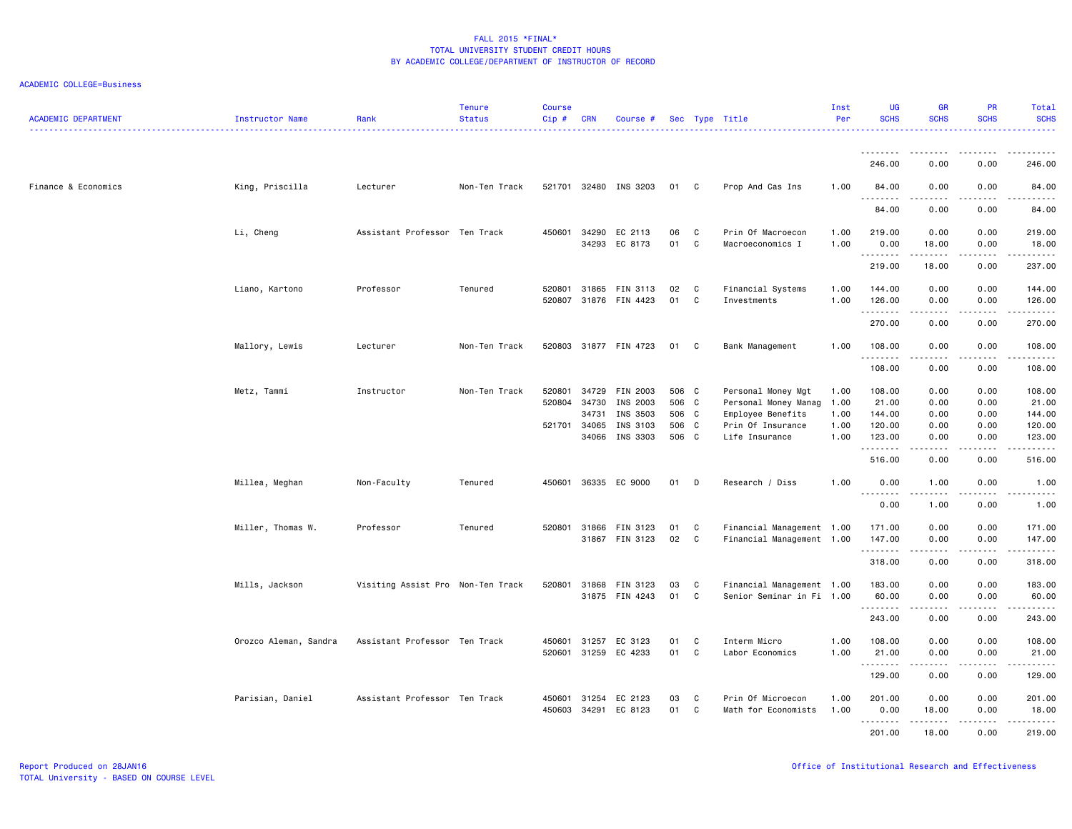| <b>ACADEMIC DEPARTMENT</b> | Instructor Name       | Rank                              | <b>Tenure</b><br><b>Status</b> | <b>Course</b><br>$Cip$ # | <b>CRN</b>              | Course #                                     |                         |                   | Sec Type Title                                         | Inst<br>Per          | <b>UG</b><br><b>SCHS</b>  | <b>GR</b><br><b>SCHS</b>  | <b>PR</b><br><b>SCHS</b> | Total<br><b>SCHS</b>                                                                                                                                                                               |
|----------------------------|-----------------------|-----------------------------------|--------------------------------|--------------------------|-------------------------|----------------------------------------------|-------------------------|-------------------|--------------------------------------------------------|----------------------|---------------------------|---------------------------|--------------------------|----------------------------------------------------------------------------------------------------------------------------------------------------------------------------------------------------|
|                            |                       |                                   |                                |                          |                         |                                              |                         |                   |                                                        |                      | .<br>246.00               | <u>.</u><br>0.00          | .<br>0.00                | .<br>246.00                                                                                                                                                                                        |
| Finance & Economics        | King, Priscilla       | Lecturer                          | Non-Ten Track                  |                          |                         | 521701 32480 INS 3203                        | 01 C                    |                   | Prop And Cas Ins                                       | 1.00                 | 84.00                     | 0.00                      | 0.00                     | 84.00                                                                                                                                                                                              |
|                            |                       |                                   |                                |                          |                         |                                              |                         |                   |                                                        |                      | .<br>84.00                | -----<br>0.00             | -----<br>0.00            | .<br>84.00                                                                                                                                                                                         |
|                            | Li, Cheng             | Assistant Professor Ten Track     |                                | 450601                   | 34290<br>34293          | EC 2113<br>EC 8173                           | 06<br>01                | C<br>C            | Prin Of Macroecon<br>Macroeconomics I                  | 1.00<br>1.00         | 219.00<br>0.00            | 0.00<br>18.00             | 0.00<br>0.00             | 219.00<br>18.00                                                                                                                                                                                    |
|                            |                       |                                   |                                |                          |                         |                                              |                         |                   |                                                        |                      | .<br>219.00               | .<br>18.00                | .<br>0.00                | 237.00                                                                                                                                                                                             |
|                            | Liano, Kartono        | Professor                         | Tenured                        | 520801<br>520807         | 31865                   | FIN 3113<br>31876 FIN 4423                   | 02<br>01                | C<br>C            | Financial Systems<br>Investments                       | 1.00<br>1.00         | 144.00<br>126.00<br>.     | 0.00<br>0.00<br>.         | 0.00<br>0.00<br>.        | 144.00<br>126.00<br>.                                                                                                                                                                              |
|                            |                       |                                   |                                |                          |                         |                                              |                         |                   |                                                        |                      | 270.00                    | 0.00                      | 0.00                     | 270.00                                                                                                                                                                                             |
|                            | Mallory, Lewis        | Lecturer                          | Non-Ten Track                  |                          |                         | 520803 31877 FIN 4723                        | 01 C                    |                   | Bank Management                                        | 1.00                 | 108.00<br>.               | 0.00<br>.                 | 0.00<br>.                | 108.00<br>-----                                                                                                                                                                                    |
|                            |                       |                                   |                                |                          |                         |                                              |                         |                   |                                                        |                      | 108.00                    | 0.00                      | 0.00                     | 108.00                                                                                                                                                                                             |
|                            | Metz, Tammi           | Instructor                        | Non-Ten Track                  | 520801<br>520804         | 34729<br>34730<br>34731 | FIN 2003<br>INS 2003<br>INS 3503             | 506 C<br>506 C<br>506 C |                   | Personal Money Mgt<br>Personal Money Manag             | 1.00<br>1.00<br>1.00 | 108.00<br>21.00<br>144.00 | 0.00<br>0.00              | 0.00<br>0.00<br>0.00     | 108.00<br>21.00<br>144.00                                                                                                                                                                          |
|                            |                       |                                   |                                | 521701                   | 34065                   | INS 3103                                     | 506 C                   |                   | Employee Benefits<br>Prin Of Insurance                 | 1.00                 | 120.00                    | 0.00<br>0.00              | 0.00                     | 120.00                                                                                                                                                                                             |
|                            |                       |                                   |                                |                          | 34066                   | INS 3303                                     | 506 C                   |                   | Life Insurance                                         | 1.00                 | 123.00<br>.               | 0.00<br>.                 | 0.00<br>.                | 123.00<br>$\sim$ $\sim$ $\sim$ $\sim$                                                                                                                                                              |
|                            |                       |                                   |                                |                          |                         |                                              |                         |                   |                                                        |                      | 516.00                    | 0.00                      | 0.00                     | 516.00                                                                                                                                                                                             |
|                            | Millea, Meghan        | Non-Faculty                       | Tenured                        | 450601                   |                         | 36335 EC 9000                                | 01                      | D                 | Research / Diss                                        | 1.00                 | 0.00<br><u>.</u>          | 1.00<br>.                 | 0.00                     | 1.00<br>.                                                                                                                                                                                          |
|                            |                       |                                   |                                |                          |                         |                                              |                         |                   |                                                        |                      | 0.00                      | 1.00                      | 0.00                     | 1.00                                                                                                                                                                                               |
|                            | Miller, Thomas W.     | Professor                         | Tenured                        |                          | 520801 31866            | FIN 3123<br>31867 FIN 3123                   | 01<br>02                | C<br>$\mathbf{C}$ | Financial Management 1.00<br>Financial Management 1.00 |                      | 171.00<br>147.00<br>.     | 0.00<br>0.00<br>.         | 0.00<br>0.00<br>-----    | 171.00<br>147.00<br>.                                                                                                                                                                              |
|                            |                       |                                   |                                |                          |                         |                                              |                         |                   |                                                        |                      | 318.00                    | 0.00                      | 0.00                     | 318.00                                                                                                                                                                                             |
|                            | Mills, Jackson        | Visiting Assist Pro Non-Ten Track |                                | 520801                   | 31868                   | FIN 3123<br>31875 FIN 4243                   | 03<br>01                | C<br>C            | Financial Management 1.00<br>Senior Seminar in Fi 1.00 |                      | 183.00<br>60.00<br>.      | 0.00<br>0.00<br>.         | 0.00<br>0.00             | 183.00<br>60.00<br>.                                                                                                                                                                               |
|                            |                       |                                   |                                |                          |                         |                                              |                         |                   |                                                        |                      | 243.00                    | 0.00                      | 0.00                     | 243.00                                                                                                                                                                                             |
|                            | Orozco Aleman, Sandra | Assistant Professor Ten Track     |                                |                          |                         | 450601 31257 EC 3123<br>520601 31259 EC 4233 | 01<br>01                | C<br>C            | Interm Micro<br>Labor Economics                        | 1.00<br>1.00         | 108.00<br>21.00<br>.      | 0.00<br>0.00<br>المتمالين | 0.00<br>0.00<br><b>.</b> | 108.00<br>21.00<br>$\frac{1}{2} \left( \frac{1}{2} \right) \left( \frac{1}{2} \right) \left( \frac{1}{2} \right) \left( \frac{1}{2} \right) \left( \frac{1}{2} \right) \left( \frac{1}{2} \right)$ |
|                            |                       |                                   |                                |                          |                         |                                              |                         |                   |                                                        |                      | 129.00                    | 0.00                      | 0.00                     | 129.00                                                                                                                                                                                             |
|                            | Parisian, Daniel      | Assistant Professor Ten Track     |                                | 450601<br>450603         | 31254                   | EC 2123<br>34291 EC 8123                     | 03<br>01                | C<br>C            | Prin Of Microecon<br>Math for Economists               | 1.00<br>1.00         | 201.00<br>0.00            | 0.00<br>18.00             | 0.00<br>0.00             | 201.00<br>18.00                                                                                                                                                                                    |
|                            |                       |                                   |                                |                          |                         |                                              |                         |                   |                                                        |                      | .<br>201.00               | .<br>18.00                | .<br>0.00                | -----<br>219.00                                                                                                                                                                                    |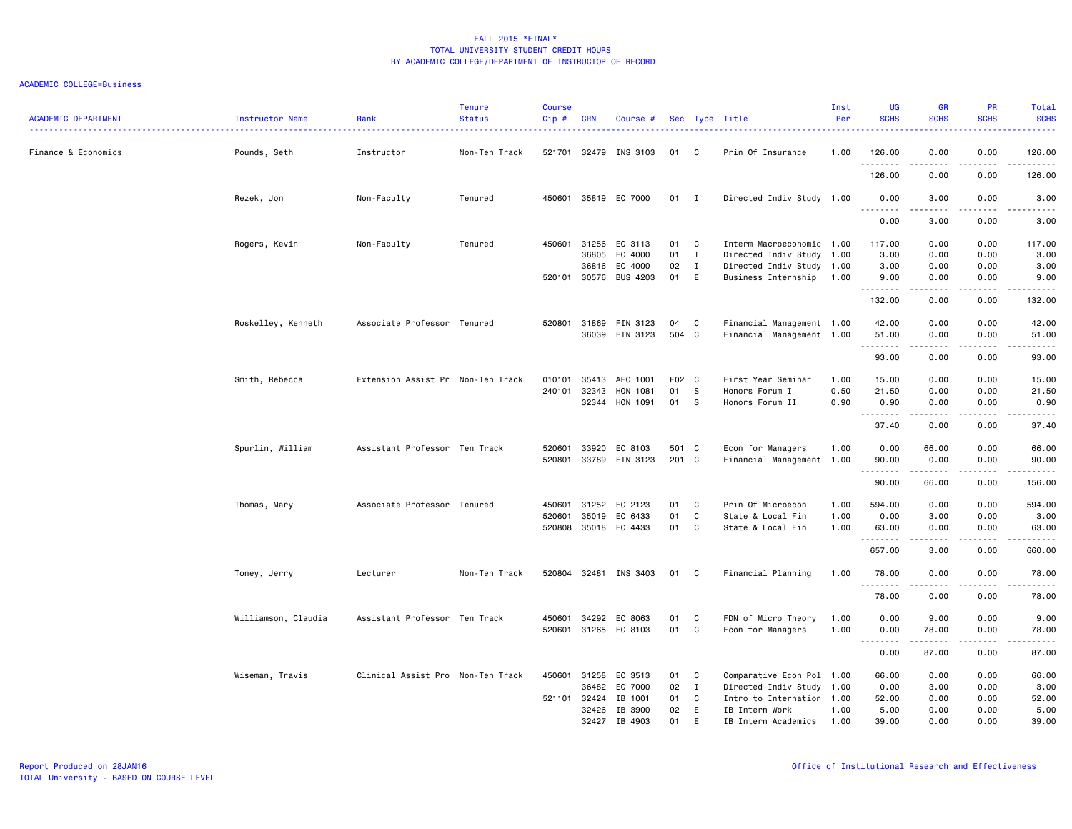| <b>ACADEMIC DEPARTMENT</b> | <b>Instructor Name</b> | Rank                              | <b>Tenure</b><br><b>Status</b> | <b>Course</b><br>Cip# | <b>CRN</b> | Course #              |       |              | Sec Type Title            | Inst<br>Per | <b>UG</b><br><b>SCHS</b> | <b>GR</b><br><b>SCHS</b>       | <b>PR</b><br><b>SCHS</b>    | Total<br><b>SCHS</b>                                                                                                                                          |
|----------------------------|------------------------|-----------------------------------|--------------------------------|-----------------------|------------|-----------------------|-------|--------------|---------------------------|-------------|--------------------------|--------------------------------|-----------------------------|---------------------------------------------------------------------------------------------------------------------------------------------------------------|
| Finance & Economics        | Pounds, Seth           | ------------------<br>Instructor  | Non-Ten Track                  |                       |            | 521701 32479 INS 3103 | 01 C  |              | Prin Of Insurance         | 1.00        | 126.00                   | 0.00                           | 0.00                        | .<br>126.00                                                                                                                                                   |
|                            |                        |                                   |                                |                       |            |                       |       |              |                           |             | <u>.</u><br>126.00       | $- - - - -$<br>0.00            | .<br>0.00                   | .<br>126.00                                                                                                                                                   |
|                            | Rezek, Jon             | Non-Faculty                       | Tenured                        | 450601                |            | 35819 EC 7000         | 01 I  |              | Directed Indiv Study 1.00 |             | 0.00                     | 3.00                           | 0.00                        | 3.00                                                                                                                                                          |
|                            |                        |                                   |                                |                       |            |                       |       |              |                           |             | <u>.</u><br>0.00         | 3.00                           | 0.00                        | -----<br>3.00                                                                                                                                                 |
|                            | Rogers, Kevin          | Non-Faculty                       | Tenured                        | 450601                | 31256      | EC 3113               | 01    | C            | Interm Macroeconomic 1.00 |             | 117.00                   | 0.00                           | 0.00                        | 117.00                                                                                                                                                        |
|                            |                        |                                   |                                |                       | 36805      | EC 4000               | 01    | $\mathbf{I}$ | Directed Indiv Study 1.00 |             | 3.00                     | 0.00                           | 0.00                        | 3.00                                                                                                                                                          |
|                            |                        |                                   |                                |                       | 36816      | EC 4000               | 02    | $\mathbf{I}$ | Directed Indiv Study 1.00 |             | 3.00                     | 0.00                           | 0.00                        | 3.00                                                                                                                                                          |
|                            |                        |                                   |                                |                       |            | 520101 30576 BUS 4203 | 01    | E            | Business Internship       | 1.00        | 9.00<br>.                | 0.00<br>-----                  | 0.00<br>.                   | 9.00<br>.                                                                                                                                                     |
|                            |                        |                                   |                                |                       |            |                       |       |              |                           |             | 132.00                   | 0.00                           | 0.00                        | 132.00                                                                                                                                                        |
|                            | Roskelley, Kenneth     | Associate Professor Tenured       |                                | 520801                | 31869      | FIN 3123              | 04    | C            | Financial Management 1.00 |             | 42.00                    | 0.00                           | 0.00                        | 42.00                                                                                                                                                         |
|                            |                        |                                   |                                |                       |            | 36039 FIN 3123        | 504 C |              | Financial Management 1.00 |             | 51.00                    | 0.00                           | 0.00                        | 51.00                                                                                                                                                         |
|                            |                        |                                   |                                |                       |            |                       |       |              |                           |             | .                        | .                              | .                           | .                                                                                                                                                             |
|                            |                        |                                   |                                |                       |            |                       |       |              |                           |             | 93.00                    | 0.00                           | 0.00                        | 93.00                                                                                                                                                         |
|                            | Smith, Rebecca         | Extension Assist Pr Non-Ten Track |                                | 010101                | 35413      | AEC 1001              | F02 C |              | First Year Seminar        | 1.00        | 15.00                    | 0.00                           | 0.00                        | 15.00                                                                                                                                                         |
|                            |                        |                                   |                                | 240101                | 32343      | HON 1081              | 01    | - S          | Honors Forum I            | 0.50        | 21.50                    | 0.00                           | 0.00                        | 21.50                                                                                                                                                         |
|                            |                        |                                   |                                |                       | 32344      | HON 1091              | 01    | - S          | Honors Forum II           | 0.90        | 0.90                     | 0.00                           | 0.00                        | 0.90                                                                                                                                                          |
|                            |                        |                                   |                                |                       |            |                       |       |              |                           |             | .<br>37.40               | $\cdots \cdots \cdots$<br>0.00 | .<br>0.00                   | .<br>37.40                                                                                                                                                    |
|                            |                        |                                   |                                |                       |            |                       |       |              |                           |             |                          |                                |                             |                                                                                                                                                               |
|                            | Spurlin, William       | Assistant Professor Ten Track     |                                | 520601                | 33920      | EC 8103               | 501 C |              | Econ for Managers         | 1.00        | 0.00                     | 66.00                          | 0.00                        | 66.00                                                                                                                                                         |
|                            |                        |                                   |                                | 520801                |            | 33789 FIN 3123        | 201 C |              | Financial Management 1.00 |             | 90.00                    | 0.00                           | 0.00                        | 90.00                                                                                                                                                         |
|                            |                        |                                   |                                |                       |            |                       |       |              |                           |             | .<br>90.00               | . <u>.</u><br>66.00            | .<br>0.00                   | .<br>156.00                                                                                                                                                   |
|                            | Thomas, Mary           | Associate Professor Tenured       |                                | 450601                | 31252      | EC 2123               | 01    | C            | Prin Of Microecon         | 1.00        | 594.00                   | 0.00                           | 0.00                        | 594.00                                                                                                                                                        |
|                            |                        |                                   |                                | 520601                | 35019      | EC 6433               | 01    | C            | State & Local Fin         | 1.00        | 0.00                     | 3.00                           | 0.00                        | 3.00                                                                                                                                                          |
|                            |                        |                                   |                                | 520808                |            | 35018 EC 4433         | 01    | C            | State & Local Fin         | 1.00        | 63.00                    | 0.00                           | 0.00                        | 63.00                                                                                                                                                         |
|                            |                        |                                   |                                |                       |            |                       |       |              |                           |             | .                        | .                              | $\sim$ $\sim$ $\sim$ $\sim$ | د د د د د                                                                                                                                                     |
|                            |                        |                                   |                                |                       |            |                       |       |              |                           |             | 657.00                   | 3.00                           | 0.00                        | 660.00                                                                                                                                                        |
|                            | Toney, Jerry           | Lecturer                          | Non-Ten Track                  | 520804                |            | 32481 INS 3403        | 01    | C            | Financial Planning        | 1.00        | 78.00<br>.               | 0.00                           | 0.00<br>والمالية            | 78.00<br>$\frac{1}{2} \left( \frac{1}{2} \right) \left( \frac{1}{2} \right) \left( \frac{1}{2} \right) \left( \frac{1}{2} \right) \left( \frac{1}{2} \right)$ |
|                            |                        |                                   |                                |                       |            |                       |       |              |                           |             | 78.00                    | 0.00                           | 0.00                        | 78.00                                                                                                                                                         |
|                            | Williamson, Claudia    | Assistant Professor Ten Track     |                                | 450601                | 34292      | EC 8063               | 01    | C            | FDN of Micro Theory       | 1.00        | 0.00                     | 9.00                           | 0.00                        | 9.00                                                                                                                                                          |
|                            |                        |                                   |                                | 520601                |            | 31265 EC 8103         | 01    | C            | Econ for Managers         | 1.00        | 0.00                     | 78.00                          | 0.00                        | 78.00                                                                                                                                                         |
|                            |                        |                                   |                                |                       |            |                       |       |              |                           |             |                          | .                              | .                           | .                                                                                                                                                             |
|                            |                        |                                   |                                |                       |            |                       |       |              |                           |             | 0.00                     | 87.00                          | 0.00                        | 87.00                                                                                                                                                         |
|                            | Wiseman, Travis        | Clinical Assist Pro Non-Ten Track |                                | 450601                | 31258      | EC 3513               | 01    | C            | Comparative Econ Pol 1.00 |             | 66.00                    | 0.00                           | 0.00                        | 66.00                                                                                                                                                         |
|                            |                        |                                   |                                |                       | 36482      | EC 7000               | 02    | $\mathbf{I}$ | Directed Indiv Study 1.00 |             | 0.00                     | 3.00                           | 0.00                        | 3.00                                                                                                                                                          |
|                            |                        |                                   |                                | 521101                | 32424      | IB 1001               | 01    | C            | Intro to Internation 1.00 |             | 52.00                    | 0.00                           | 0.00                        | 52.00                                                                                                                                                         |
|                            |                        |                                   |                                |                       | 32426      | IB 3900               | 02    | E            | IB Intern Work            | 1.00        | 5.00                     | 0.00                           | 0.00                        | 5.00                                                                                                                                                          |
|                            |                        |                                   |                                |                       | 32427      | IB 4903               | 01    | F            | IB Intern Academics       | 1.00        | 39,00                    | 0.00                           | 0.00                        | 39,00                                                                                                                                                         |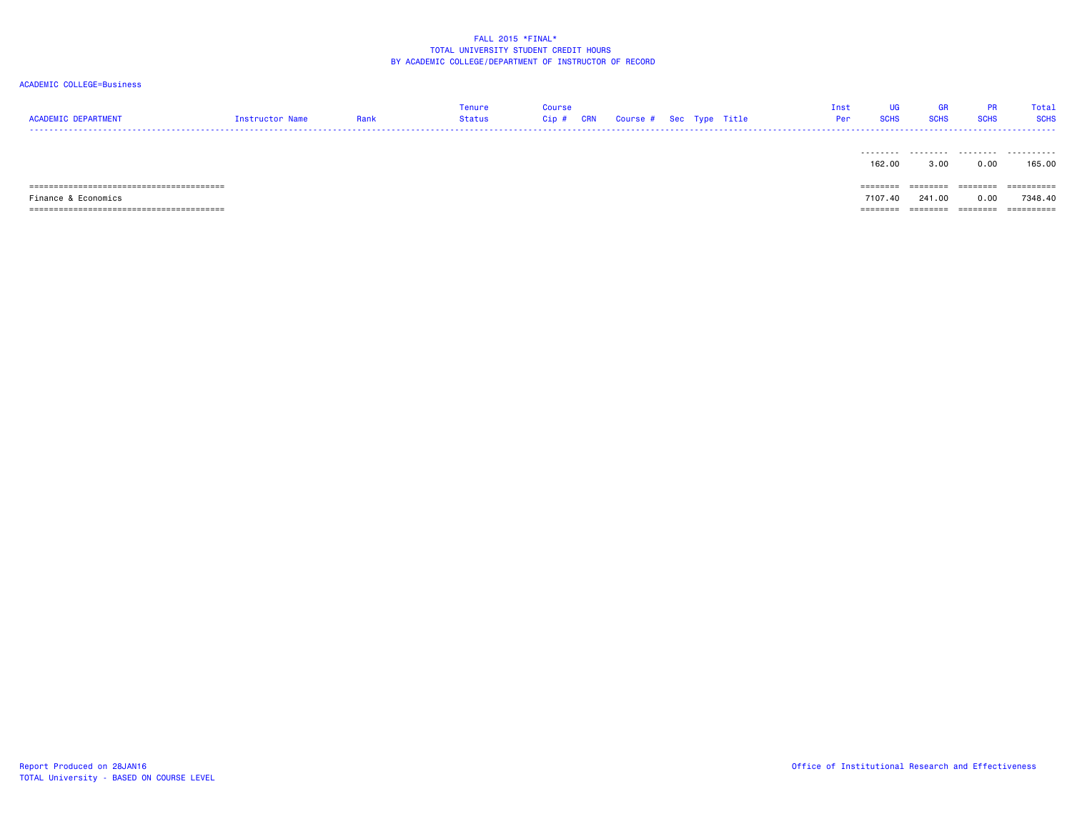#### ACADEMIC COLLEGE=Business

| <b>ACADEMIC DEPARTMENT</b>           | Instructor Name | Rank | Tenure<br>Status | <b>Course</b><br>Cip # | <b>CRN</b> | Course # Sec Type Title |  |  | Inst<br>Per | UG<br><b>SCHS</b> | GR<br><b>SCHS</b> | <b>PR</b><br><b>SCHS</b> | Total<br><b>SCHS</b> |
|--------------------------------------|-----------------|------|------------------|------------------------|------------|-------------------------|--|--|-------------|-------------------|-------------------|--------------------------|----------------------|
|                                      |                 |      |                  |                        |            |                         |  |  |             | 162.00            | 3.00              | 0.00                     | 165.00               |
| ==================================== |                 |      |                  |                        |            |                         |  |  |             | ========          |                   |                          | ==========           |
| Finance & Economics                  |                 |      |                  |                        |            |                         |  |  |             | 7107.40           | 241.00            | 0.00                     | 7348.40              |

======================================== ======== ======== ======== ==========

TOTAL University - BASED ON COURSE LEVEL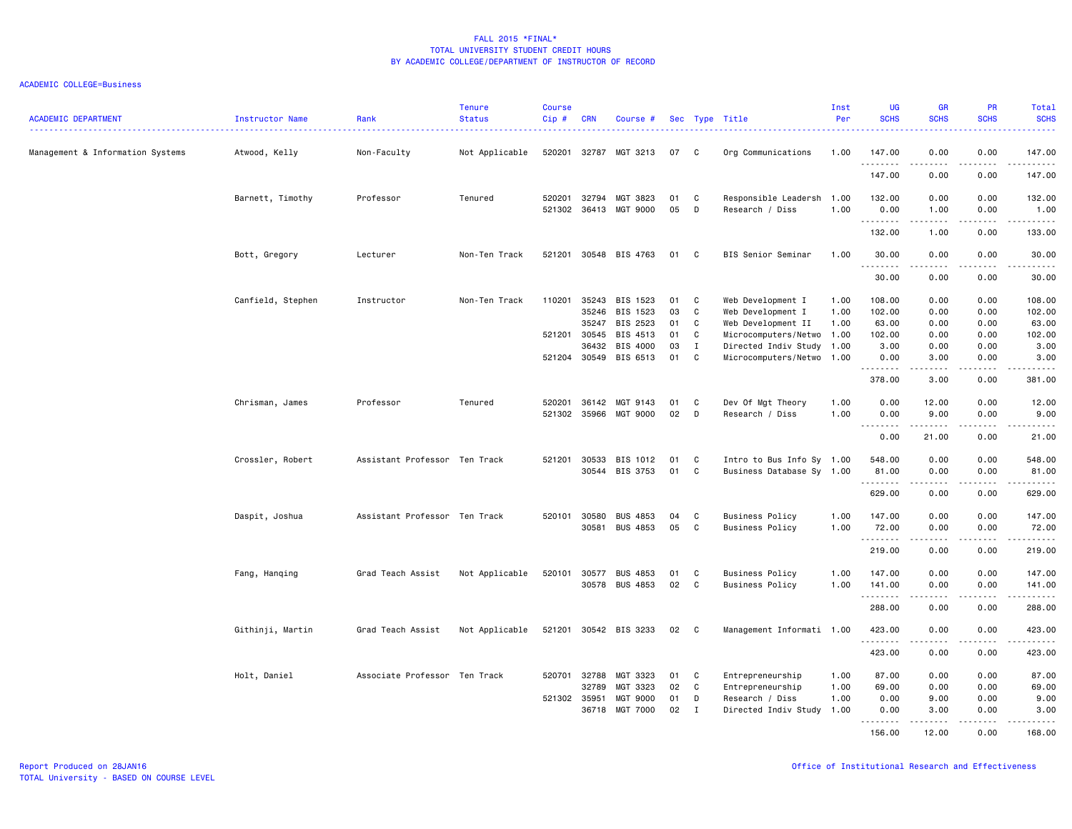| <b>ACADEMIC DEPARTMENT</b>       | <b>Instructor Name</b> | Rank                          | <b>Tenure</b><br><b>Status</b> | <b>Course</b><br>Cip# | <b>CRN</b>     | Course #             |          |             | Sec Type Title                          | Inst<br>Per  | <b>UG</b><br><b>SCHS</b> | <b>GR</b><br><b>SCHS</b>                                                                                                                                      | <b>PR</b><br><b>SCHS</b>            | Total<br><b>SCHS</b>                                                                                                                                                                      |
|----------------------------------|------------------------|-------------------------------|--------------------------------|-----------------------|----------------|----------------------|----------|-------------|-----------------------------------------|--------------|--------------------------|---------------------------------------------------------------------------------------------------------------------------------------------------------------|-------------------------------------|-------------------------------------------------------------------------------------------------------------------------------------------------------------------------------------------|
| Management & Information Systems | Atwood, Kelly          | Non-Faculty                   | Not Applicable                 | 520201                |                | 32787 MGT 3213       | 07       | C           | Org Communications                      | 1.00         | 147.00<br>.              | 0.00<br>.                                                                                                                                                     | 0.00<br>$\sim$ $\sim$ $\sim$ $\sim$ | 147.00<br>.                                                                                                                                                                               |
|                                  |                        |                               |                                |                       |                |                      |          |             |                                         |              | 147.00                   | 0.00                                                                                                                                                          | 0.00                                | 147.00                                                                                                                                                                                    |
|                                  | Barnett, Timothy       | Professor                     | Tenured                        | 520201<br>521302      | 32794<br>36413 | MGT 3823<br>MGT 9000 | 01<br>05 | C<br>D      | Responsible Leadersh<br>Research / Diss | 1.00<br>1.00 | 132.00<br>0.00           | 0.00<br>1.00                                                                                                                                                  | 0.00<br>0.00                        | 132.00<br>1.00                                                                                                                                                                            |
|                                  |                        |                               |                                |                       |                |                      |          |             |                                         |              | .<br>132.00              | -----<br>1.00                                                                                                                                                 | .<br>0.00                           | $\begin{array}{cccccccccccccc} \circ & \circ & \circ & \circ & \circ & \circ & \circ & \circ \end{array}$<br>133.00                                                                       |
|                                  | Bott, Gregory          | Lecturer                      | Non-Ten Track                  | 521201                |                | 30548 BIS 4763       | 01       | C           | BIS Senior Seminar                      | 1.00         | 30.00                    | 0.00                                                                                                                                                          | 0.00                                | 30.00                                                                                                                                                                                     |
|                                  |                        |                               |                                |                       |                |                      |          |             |                                         |              | .                        | .                                                                                                                                                             | .                                   | د د د د د                                                                                                                                                                                 |
|                                  |                        |                               |                                |                       |                |                      |          |             |                                         |              | 30.00                    | 0.00                                                                                                                                                          | 0.00                                | 30.00                                                                                                                                                                                     |
|                                  | Canfield, Stephen      | Instructor                    | Non-Ten Track                  | 110201                | 35243          | BIS 1523             | 01       | C           | Web Development I                       | 1.00         | 108.00                   | 0.00                                                                                                                                                          | 0.00                                | 108.00                                                                                                                                                                                    |
|                                  |                        |                               |                                |                       | 35246          | BIS 1523             | 03       | C           | Web Development I                       | 1.00         | 102.00                   | 0.00                                                                                                                                                          | 0.00                                | 102.00                                                                                                                                                                                    |
|                                  |                        |                               |                                |                       | 35247          | BIS 2523             | 01       | C           | Web Development II                      | 1.00         | 63.00                    | 0.00                                                                                                                                                          | 0.00                                | 63.00                                                                                                                                                                                     |
|                                  |                        |                               |                                |                       | 521201 30545   | BIS 4513             | 01       | C           | Microcomputers/Netwo 1.00               |              | 102.00                   | 0.00                                                                                                                                                          | 0.00                                | 102.00                                                                                                                                                                                    |
|                                  |                        |                               |                                |                       | 36432          | BIS 4000             | 03       | $\mathbf I$ | Directed Indiv Study 1.00               |              | 3.00                     | 0.00                                                                                                                                                          | 0.00                                | 3.00                                                                                                                                                                                      |
|                                  |                        |                               |                                |                       | 521204 30549   | BIS 6513             | 01       | C           | Microcomputers/Netwo 1.00               |              | 0.00<br>.                | 3.00                                                                                                                                                          | 0.00<br>$- - -$                     | 3.00<br>$\frac{1}{2} \left( \frac{1}{2} \right) \left( \frac{1}{2} \right) \left( \frac{1}{2} \right) \left( \frac{1}{2} \right) \left( \frac{1}{2} \right)$                              |
|                                  |                        |                               |                                |                       |                |                      |          |             |                                         |              | 378.00                   | 3.00                                                                                                                                                          | 0.00                                | 381.00                                                                                                                                                                                    |
|                                  | Chrisman, James        | Professor                     | Tenured                        | 520201                | 36142          | MGT 9143             | 01       | C           | Dev Of Mgt Theory                       | 1.00         | 0.00                     | 12.00                                                                                                                                                         | 0.00                                | 12.00                                                                                                                                                                                     |
|                                  |                        |                               |                                | 521302                | 35966          | MGT 9000             | 02       | D           | Research / Diss                         | 1.00         | 0.00                     | 9.00                                                                                                                                                          | 0.00                                | 9.00                                                                                                                                                                                      |
|                                  |                        |                               |                                |                       |                |                      |          |             |                                         |              | $  -$<br>0.00            | 21.00                                                                                                                                                         | $\sim$ $\sim$ $\sim$ $\sim$<br>0.00 | $\frac{1}{2} \left( \frac{1}{2} \right) \left( \frac{1}{2} \right) \left( \frac{1}{2} \right) \left( \frac{1}{2} \right) \left( \frac{1}{2} \right)$<br>21.00                             |
|                                  | Crossler, Robert       | Assistant Professor Ten Track |                                | 521201                | 30533          | BIS 1012             | 01       | C           | Intro to Bus Info Sy 1.00               |              | 548.00                   | 0.00                                                                                                                                                          | 0.00                                | 548.00                                                                                                                                                                                    |
|                                  |                        |                               |                                |                       | 30544          | BIS 3753             | 01       | C           | Business Database Sy 1.00               |              | 81.00                    | 0.00                                                                                                                                                          | 0.00                                | 81.00                                                                                                                                                                                     |
|                                  |                        |                               |                                |                       |                |                      |          |             |                                         |              | .                        | -----                                                                                                                                                         | .                                   | .                                                                                                                                                                                         |
|                                  |                        |                               |                                |                       |                |                      |          |             |                                         |              | 629.00                   | 0.00                                                                                                                                                          | 0.00                                | 629.00                                                                                                                                                                                    |
|                                  | Daspit, Joshua         | Assistant Professor Ten Track |                                | 520101                | 30580          | <b>BUS 4853</b>      | 04       | C           | <b>Business Policy</b>                  | 1.00         | 147.00                   | 0.00                                                                                                                                                          | 0.00                                | 147.00                                                                                                                                                                                    |
|                                  |                        |                               |                                |                       | 30581          | <b>BUS 4853</b>      | 05       | C           | <b>Business Policy</b>                  | 1.00         | 72.00                    | 0.00                                                                                                                                                          | 0.00                                | 72.00                                                                                                                                                                                     |
|                                  |                        |                               |                                |                       |                |                      |          |             |                                         |              | .<br>219.00              | .<br>0.00                                                                                                                                                     | .<br>0.00                           | $\frac{1}{2} \left( \frac{1}{2} \right) \left( \frac{1}{2} \right) \left( \frac{1}{2} \right) \left( \frac{1}{2} \right) \left( \frac{1}{2} \right) \left( \frac{1}{2} \right)$<br>219.00 |
|                                  | Fang, Hanqing          | Grad Teach Assist             | Not Applicable                 | 520101                | 30577          | <b>BUS 4853</b>      | 01       | C           | <b>Business Policy</b>                  | 1.00         | 147.00                   | 0.00                                                                                                                                                          | 0.00                                | 147.00                                                                                                                                                                                    |
|                                  |                        |                               |                                |                       |                | 30578 BUS 4853       | 02       | C           | <b>Business Policy</b>                  | 1.00         | 141.00                   | 0.00                                                                                                                                                          | 0.00                                | 141.00                                                                                                                                                                                    |
|                                  |                        |                               |                                |                       |                |                      |          |             |                                         |              | .<br>288.00              | 0.00                                                                                                                                                          | 0.00                                | 288.00                                                                                                                                                                                    |
|                                  | Githinji, Martin       | Grad Teach Assist             | Not Applicable                 | 521201                |                | 30542 BIS 3233       | 02       | C           | Management Informati 1.00               |              | 423.00                   | 0.00                                                                                                                                                          | 0.00                                | 423.00                                                                                                                                                                                    |
|                                  |                        |                               |                                |                       |                |                      |          |             |                                         |              | .<br>423.00              | .<br>0.00                                                                                                                                                     | .<br>0.00                           | .<br>423.00                                                                                                                                                                               |
|                                  | Holt, Daniel           | Associate Professor Ten Track |                                | 520701                | 32788          | MGT 3323             | 01       | C           | Entrepreneurship                        | 1.00         | 87.00                    | 0.00                                                                                                                                                          | 0.00                                | 87.00                                                                                                                                                                                     |
|                                  |                        |                               |                                |                       | 32789          | MGT 3323             | 02       | C           | Entrepreneurship                        | 1.00         | 69.00                    | 0.00                                                                                                                                                          | 0.00                                | 69.00                                                                                                                                                                                     |
|                                  |                        |                               |                                |                       | 521302 35951   | MGT 9000             | 01       | D           | Research / Diss                         | 1.00         | 0.00                     | 9.00                                                                                                                                                          | 0.00                                | 9.00                                                                                                                                                                                      |
|                                  |                        |                               |                                |                       | 36718          | MGT 7000             | 02       | I           | Directed Indiv Study                    | 1.00         | 0.00                     | 3.00                                                                                                                                                          | 0.00                                | 3.00                                                                                                                                                                                      |
|                                  |                        |                               |                                |                       |                |                      |          |             |                                         |              | . <b>.</b><br>156.00     | $\frac{1}{2} \left( \frac{1}{2} \right) \left( \frac{1}{2} \right) \left( \frac{1}{2} \right) \left( \frac{1}{2} \right) \left( \frac{1}{2} \right)$<br>12.00 | .<br>0.00                           | $- - - - -$<br>168.00                                                                                                                                                                     |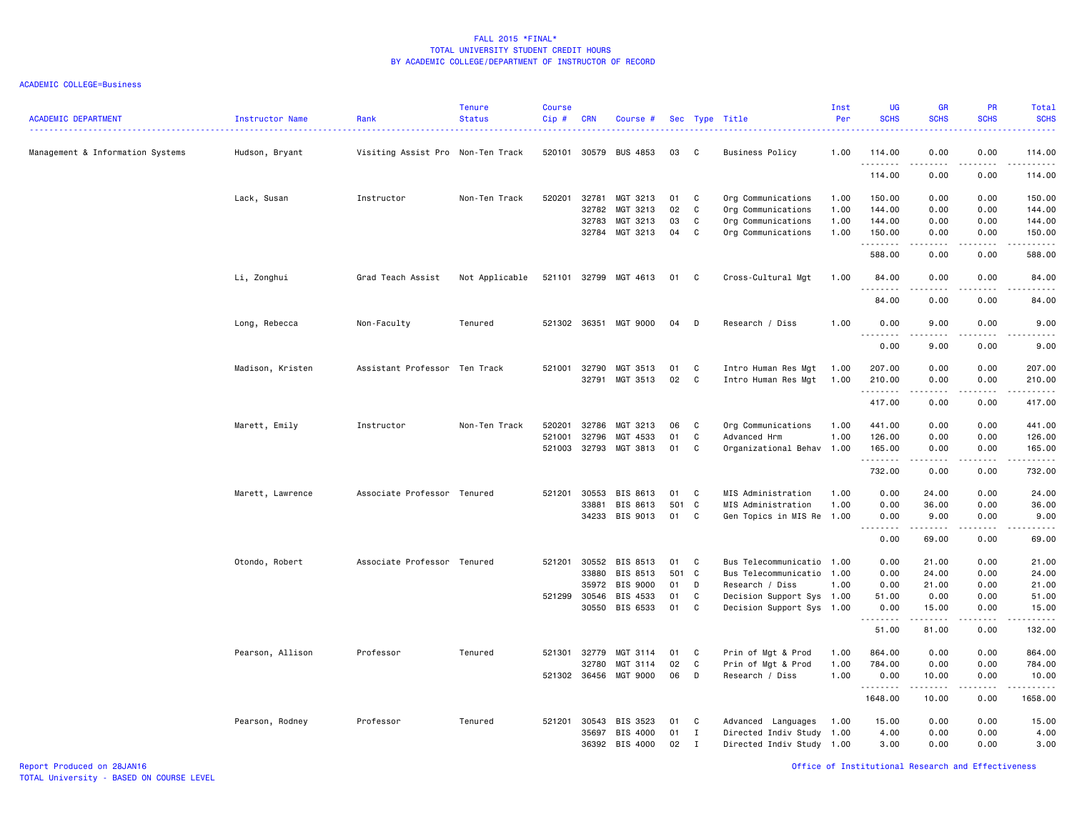| <b>ACADEMIC DEPARTMENT</b>       | <b>Instructor Name</b> | Rank                              | <b>Tenure</b><br><b>Status</b> | <b>Course</b><br>Cip# | <b>CRN</b>     | Course #              |          |                             | Sec Type Title                                         | Inst<br>Per  | <b>UG</b><br><b>SCHS</b>          | GR<br><b>SCHS</b>                                                                                                                                            | PR<br><b>SCHS</b>                   | Total<br><b>SCHS</b>  |
|----------------------------------|------------------------|-----------------------------------|--------------------------------|-----------------------|----------------|-----------------------|----------|-----------------------------|--------------------------------------------------------|--------------|-----------------------------------|--------------------------------------------------------------------------------------------------------------------------------------------------------------|-------------------------------------|-----------------------|
| Management & Information Systems | Hudson, Bryant         | Visiting Assist Pro Non-Ten Track |                                | 520101                | 30579          | <b>BUS 4853</b>       | 03       | C                           | <b>Business Policy</b>                                 | 1.00         | 114.00<br>.                       | 0.00<br><u>.</u>                                                                                                                                             | 0.00<br>.                           | 114.00<br>.           |
|                                  |                        |                                   |                                |                       |                |                       |          |                             |                                                        |              | 114.00                            | 0.00                                                                                                                                                         | 0.00                                | 114.00                |
|                                  | Lack, Susan            | Instructor                        | Non-Ten Track                  | 520201                | 32781<br>32782 | MGT 3213<br>MGT 3213  | 01<br>02 | C<br>C                      | Org Communications<br>Org Communications               | 1.00<br>1.00 | 150.00<br>144.00                  | 0.00<br>0.00                                                                                                                                                 | 0.00<br>0.00                        | 150.00<br>144.00      |
|                                  |                        |                                   |                                |                       | 32783          | MGT 3213              | 03       | C                           | Org Communications                                     | 1.00         | 144.00                            | 0.00                                                                                                                                                         | 0.00                                | 144.00                |
|                                  |                        |                                   |                                |                       |                | 32784 MGT 3213        | 04       | C                           | Org Communications                                     | 1.00         | 150.00                            | 0.00                                                                                                                                                         | 0.00                                | 150.00                |
|                                  |                        |                                   |                                |                       |                |                       |          |                             |                                                        |              | .<br>588.00                       | .<br>0.00                                                                                                                                                    | $\sim$ $\sim$ $\sim$ $\sim$<br>0.00 | .<br>588.00           |
|                                  |                        |                                   |                                |                       |                |                       | 01 C     |                             |                                                        |              |                                   |                                                                                                                                                              |                                     |                       |
|                                  | Li, Zonghui            | Grad Teach Assist                 | Not Applicable                 |                       |                | 521101 32799 MGT 4613 |          |                             | Cross-Cultural Mgt                                     | 1.00         | 84.00<br>.                        | 0.00<br>$\frac{1}{2} \left( \frac{1}{2} \right) \left( \frac{1}{2} \right) \left( \frac{1}{2} \right) \left( \frac{1}{2} \right) \left( \frac{1}{2} \right)$ | 0.00<br>.                           | 84.00<br>.            |
|                                  |                        |                                   |                                |                       |                |                       |          |                             |                                                        |              | 84.00                             | 0.00                                                                                                                                                         | 0.00                                | 84.00                 |
|                                  | Long, Rebecca          | Non-Faculty                       | Tenured                        |                       |                | 521302 36351 MGT 9000 | 04       | D                           | Research / Diss                                        | 1.00         | 0.00<br>$- - - - -$               | 9.00<br>.                                                                                                                                                    | 0.00<br>$\frac{1}{2}$               | 9.00<br>.             |
|                                  |                        |                                   |                                |                       |                |                       |          |                             |                                                        |              | 0.00                              | 9.00                                                                                                                                                         | 0.00                                | 9.00                  |
|                                  | Madison, Kristen       | Assistant Professor Ten Track     |                                | 521001                | 32790          | MGT 3513              | 01       | C                           | Intro Human Res Mgt                                    | 1.00         | 207.00                            | 0.00                                                                                                                                                         | 0.00                                | 207.00                |
|                                  |                        |                                   |                                |                       | 32791          | MGT 3513              | 02       | C                           | Intro Human Res Mgt                                    | 1.00         | 210.00                            | 0.00                                                                                                                                                         | 0.00                                | 210.00                |
|                                  |                        |                                   |                                |                       |                |                       |          |                             |                                                        |              | .<br>417.00                       | -----<br>0.00                                                                                                                                                | .<br>0.00                           | .<br>417.00           |
|                                  | Marett, Emily          | Instructor                        | Non-Ten Track                  | 520201                | 32786          | MGT 3213              | 06       | C                           | Org Communications                                     | 1.00         | 441.00                            | 0.00                                                                                                                                                         | 0.00                                | 441.00                |
|                                  |                        |                                   |                                | 521001                | 32796          | MGT 4533              | 01       | C                           | Advanced Hrm                                           | 1.00         | 126.00                            | 0.00                                                                                                                                                         | 0.00                                | 126.00                |
|                                  |                        |                                   |                                | 521003                | 32793          | MGT 3813              | 01       | C                           | Organizational Behav 1.00                              |              | 165.00<br>.                       | 0.00<br>-----                                                                                                                                                | 0.00<br>.                           | 165.00<br>.           |
|                                  |                        |                                   |                                |                       |                |                       |          |                             |                                                        |              | 732.00                            | 0.00                                                                                                                                                         | 0.00                                | 732.00                |
|                                  | Marett, Lawrence       | Associate Professor Tenured       |                                | 521201                | 30553          | BIS 8613              | 01       | C                           | MIS Administration                                     | 1.00         | 0.00                              | 24.00                                                                                                                                                        | 0.00                                | 24.00                 |
|                                  |                        |                                   |                                |                       | 33881          | BIS 8613              | 501      | C                           | MIS Administration                                     | 1.00         | 0.00                              | 36.00                                                                                                                                                        | 0.00                                | 36.00                 |
|                                  |                        |                                   |                                |                       | 34233          | BIS 9013              | 01       | C                           | Gen Topics in MIS Re 1.00                              |              | 0.00<br>.<br>$\sim$ $\sim$ $\sim$ | 9.00<br><u>.</u>                                                                                                                                             | 0.00<br>$- - -$                     | 9.00<br>.             |
|                                  |                        |                                   |                                |                       |                |                       |          |                             |                                                        |              | 0.00                              | 69.00                                                                                                                                                        | 0.00                                | 69.00                 |
|                                  | Otondo, Robert         | Associate Professor Tenured       |                                | 521201                | 30552          | BIS 8513              | 01       | C                           | Bus Telecommunicatio 1.00                              |              | 0.00                              | 21.00                                                                                                                                                        | 0.00                                | 21.00                 |
|                                  |                        |                                   |                                |                       | 33880          | BIS 8513              | 501      | $\mathbf{C}$                | Bus Telecommunicatio 1.00                              |              | 0.00                              | 24.00                                                                                                                                                        | 0.00                                | 24.00                 |
|                                  |                        |                                   |                                |                       | 35972          | BIS 9000              | 01       | D                           | Research / Diss                                        | 1.00         | 0.00                              | 21.00                                                                                                                                                        | 0.00                                | 21.00                 |
|                                  |                        |                                   |                                | 521299                | 30546<br>30550 | BIS 4533<br>BIS 6533  | 01<br>01 | C<br>C                      | Decision Support Sys 1.00<br>Decision Support Sys 1.00 |              | 51.00<br>0.00                     | 0.00<br>15.00                                                                                                                                                | 0.00<br>0.00                        | 51.00<br>15.00        |
|                                  |                        |                                   |                                |                       |                |                       |          |                             |                                                        |              | .<br>51.00                        | .<br>81.00                                                                                                                                                   | .<br>0.00                           | 2.2.2.2.2.2<br>132.00 |
|                                  |                        |                                   |                                |                       |                |                       |          |                             |                                                        |              |                                   |                                                                                                                                                              |                                     |                       |
|                                  | Pearson, Allison       | Professor                         | Tenured                        | 521301                | 32779<br>32780 | MGT 3114<br>MGT 3114  | 01<br>02 | C<br>C                      | Prin of Mgt & Prod                                     | 1.00<br>1.00 | 864.00<br>784.00                  | 0.00<br>0.00                                                                                                                                                 | 0.00<br>0.00                        | 864.00<br>784.00      |
|                                  |                        |                                   |                                |                       | 521302 36456   | MGT 9000              | 06       | D                           | Prin of Mgt & Prod<br>Research / Diss                  | 1.00         | 0.00                              | 10.00                                                                                                                                                        | 0.00                                | 10.00                 |
|                                  |                        |                                   |                                |                       |                |                       |          |                             |                                                        |              | .<br>1648.00                      | $- - - - -$<br>10.00                                                                                                                                         | .<br>0.00                           | .<br>1658.00          |
|                                  |                        |                                   |                                |                       |                |                       |          |                             |                                                        |              |                                   |                                                                                                                                                              |                                     |                       |
|                                  | Pearson, Rodney        | Professor                         | Tenured                        | 521201                | 30543          | BIS 3523              | 01       | C                           | Advanced Languages                                     | 1.00         | 15.00                             | 0.00                                                                                                                                                         | 0.00                                | 15.00                 |
|                                  |                        |                                   |                                |                       | 35697<br>36392 | BIS 4000<br>BIS 4000  | 01<br>02 | $\mathbf I$<br>$\mathbf{I}$ | Directed Indiv Study 1.00                              |              | 4.00<br>3.00                      | 0.00<br>0.00                                                                                                                                                 | 0.00<br>0.00                        | 4.00<br>3.00          |
|                                  |                        |                                   |                                |                       |                |                       |          |                             | Directed Indiv Study 1.00                              |              |                                   |                                                                                                                                                              |                                     |                       |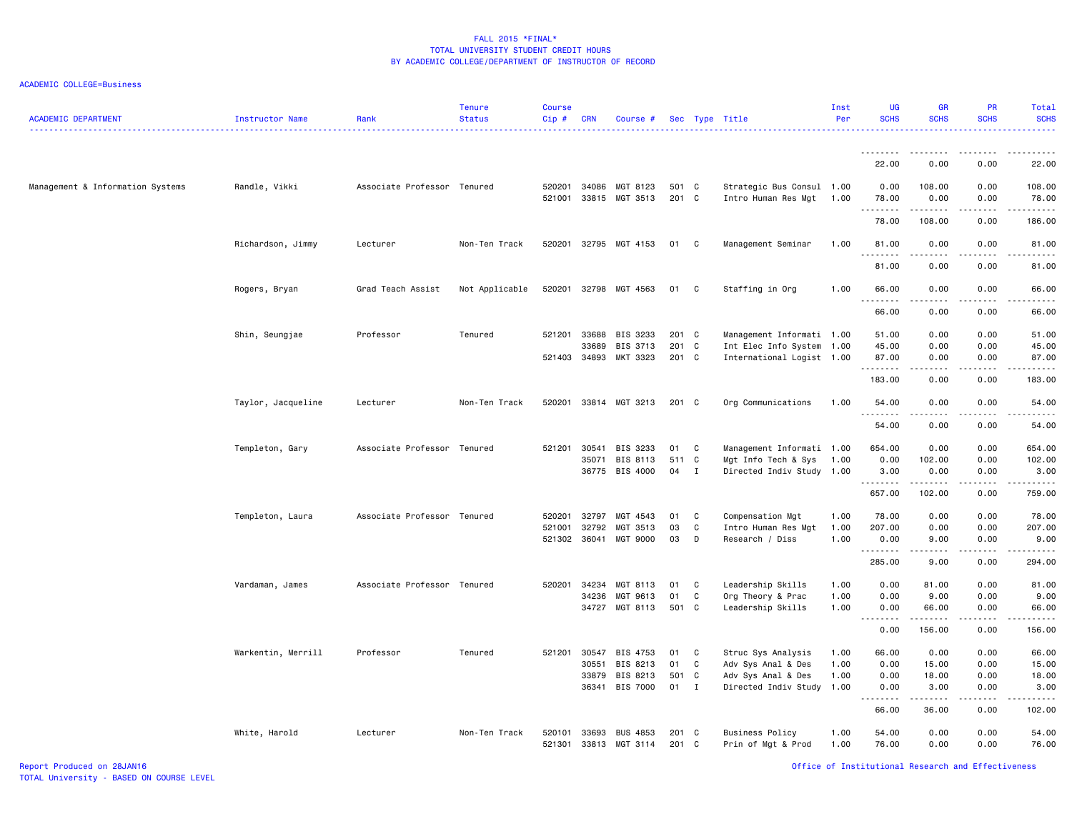| <b>ACADEMIC DEPARTMENT</b>       | Instructor Name    | Rank                        | Tenure<br><b>Status</b> | <b>Course</b><br>Cip# | <b>CRN</b>     | Course #                    |                |              | Sec Type Title                               | Inst<br>Per  | <b>UG</b><br><b>SCHS</b> | <b>GR</b><br><b>SCHS</b>     | PR<br><b>SCHS</b> | Total<br><b>SCHS</b>            |
|----------------------------------|--------------------|-----------------------------|-------------------------|-----------------------|----------------|-----------------------------|----------------|--------------|----------------------------------------------|--------------|--------------------------|------------------------------|-------------------|---------------------------------|
|                                  |                    |                             |                         |                       |                |                             |                |              |                                              |              | .<br>22.00               | 0.00                         | 0.00              | 22.00                           |
| Management & Information Systems | Randle, Vikki      | Associate Professor Tenured |                         | 520201                | 34086          | MGT 8123                    | 501 C          |              | Strategic Bus Consul 1.00                    |              | 0.00                     | 108.00                       | 0.00              | 108.00                          |
|                                  |                    |                             |                         | 521001                |                | 33815 MGT 3513              | 201 C          |              | Intro Human Res Mgt                          | 1.00         | 78.00<br>.               | 0.00<br>--------             | 0.00<br>.         | 78.00<br>.                      |
|                                  |                    |                             |                         |                       |                |                             |                |              |                                              |              | 78.00                    | 108.00                       | 0.00              | 186.00                          |
|                                  | Richardson, Jimmy  | Lecturer                    | Non-Ten Track           | 520201                |                | 32795 MGT 4153              | 01             | C            | Management Seminar                           | 1.00         | 81.00                    | 0.00<br>د د د د              | 0.00              | 81.00<br>$\omega$ is a $\omega$ |
|                                  |                    |                             |                         |                       |                |                             |                |              |                                              |              | 81.00                    | 0.00                         | 0.00              | 81.00                           |
|                                  | Rogers, Bryan      | Grad Teach Assist           | Not Applicable          | 520201                | 32798          | MGT 4563                    | 01             | C            | Staffing in Org                              | 1.00         | 66.00<br>.<br>66.00      | 0.00<br>0.00                 | 0.00<br>0.00      | 66.00<br>66.00                  |
|                                  | Shin, Seungjae     | Professor                   | Tenured                 | 521201                | 33688          | BIS 3233                    | 201 C          |              | Management Informati 1.00                    |              | 51.00                    | 0.00                         | 0.00              | 51.00                           |
|                                  |                    |                             |                         |                       | 33689          | BIS 3713                    | 201 C          |              | Int Elec Info System                         | 1.00         | 45.00                    | 0.00                         | 0.00              | 45.00                           |
|                                  |                    |                             |                         | 521403                | 34893          | MKT 3323                    | 201 C          |              | International Logist 1.00                    |              | 87.00<br>.               | 0.00<br>المتماما             | 0.00<br>.         | 87.00<br>.                      |
|                                  |                    |                             |                         |                       |                |                             |                |              |                                              |              | 183.00                   | 0.00                         | 0.00              | 183.00                          |
|                                  | Taylor, Jacqueline | Lecturer                    | Non-Ten Track           | 520201                |                | 33814 MGT 3213              | 201 C          |              | Org Communications                           | 1.00         | 54.00                    | 0.00                         | 0.00              | 54.00                           |
|                                  |                    |                             |                         |                       |                |                             |                |              |                                              |              | 54.00                    | 0.00                         | 0.00              | 54.00                           |
|                                  | Templeton, Gary    | Associate Professor Tenured |                         | 521201                | 30541          | BIS 3233                    | 01             | C            | Management Informati 1.00                    |              | 654.00                   | 0.00                         | 0.00              | 654.00                          |
|                                  |                    |                             |                         |                       | 35071          | BIS 8113                    | 511 C          |              | Mgt Info Tech & Sys                          | 1.00         | 0.00                     | 102.00                       | 0.00              | 102.00                          |
|                                  |                    |                             |                         |                       |                | 36775 BIS 4000              | 04             | $\mathbf I$  | Directed Indiv Study 1.00                    |              | 3.00<br>.                | 0.00<br>.                    | 0.00<br>.         | 3.00<br>.                       |
|                                  |                    |                             |                         |                       |                |                             |                |              |                                              |              | 657.00                   | 102.00                       | 0.00              | 759.00                          |
|                                  | Templeton, Laura   | Associate Professor Tenured |                         | 520201                | 32797          | MGT 4543                    | 01             | C            | Compensation Mgt                             | 1.00         | 78.00                    | 0.00                         | 0.00              | 78.00                           |
|                                  |                    |                             |                         | 521001                | 32792          | MGT 3513                    | 03             | C            | Intro Human Res Mgt                          | 1.00         | 207.00                   | 0.00                         | 0.00              | 207.00                          |
|                                  |                    |                             |                         |                       | 521302 36041   | MGT 9000                    | 03             | D            | Research / Diss                              | 1.00         | 0.00<br>.                | 9.00<br>المالمات الما        | 0.00<br>.         | 9.00<br>. <b>.</b>              |
|                                  |                    |                             |                         |                       |                |                             |                |              |                                              |              | 285.00                   | 9.00                         | 0.00              | 294.00                          |
|                                  | Vardaman, James    | Associate Professor Tenured |                         | 520201                | 34234          | MGT 8113                    | 01             | C            | Leadership Skills                            | 1.00         | 0.00                     | 81.00                        | 0.00              | 81.00                           |
|                                  |                    |                             |                         |                       | 34236<br>34727 | MGT 9613<br>MGT 8113        | 01<br>501 C    | C            | Org Theory & Prac<br>Leadership Skills       | 1.00<br>1.00 | 0.00<br>0.00             | 9.00<br>66.00                | 0.00<br>0.00      | 9.00<br>66.00                   |
|                                  |                    |                             |                         |                       |                |                             |                |              |                                              |              | .<br>0.00                | .<br>156.00                  | .<br>0.00         | .<br>156.00                     |
|                                  | Warkentin, Merrill | Professor                   | Tenured                 | 521201                | 30547          | BIS 4753                    | 01             | C            | Struc Sys Analysis                           | 1.00         | 66.00                    | 0.00                         | 0.00              | 66.00                           |
|                                  |                    |                             |                         |                       | 30551          | BIS 8213                    | 01             | $\mathtt{C}$ | Adv Sys Anal & Des                           | 1.00         | 0.00                     | 15.00                        | 0.00              | 15.00                           |
|                                  |                    |                             |                         |                       | 33879          | BIS 8213                    | 501 C          |              | Adv Sys Anal & Des                           | 1.00         | 0.00                     | 18.00                        | 0.00              | 18.00                           |
|                                  |                    |                             |                         |                       | 36341          | BIS 7000                    | 01 I           |              | Directed Indiv Study 1.00                    |              | 0.00<br>.                | 3.00<br>$\omega$ is a set of | 0.00<br>الدامات ب | 3.00<br>.                       |
|                                  |                    |                             |                         |                       |                |                             |                |              |                                              |              | 66.00                    | 36.00                        | 0.00              | 102.00                          |
|                                  | White, Harold      | Lecturer                    | Non-Ten Track           | 520101<br>521301      | 33693<br>33813 | <b>BUS 4853</b><br>MGT 3114 | 201 C<br>201 C |              | <b>Business Policy</b><br>Prin of Mgt & Prod | 1.00<br>1.00 | 54.00<br>76.00           | 0.00<br>0.00                 | 0.00<br>0.00      | 54.00<br>76.00                  |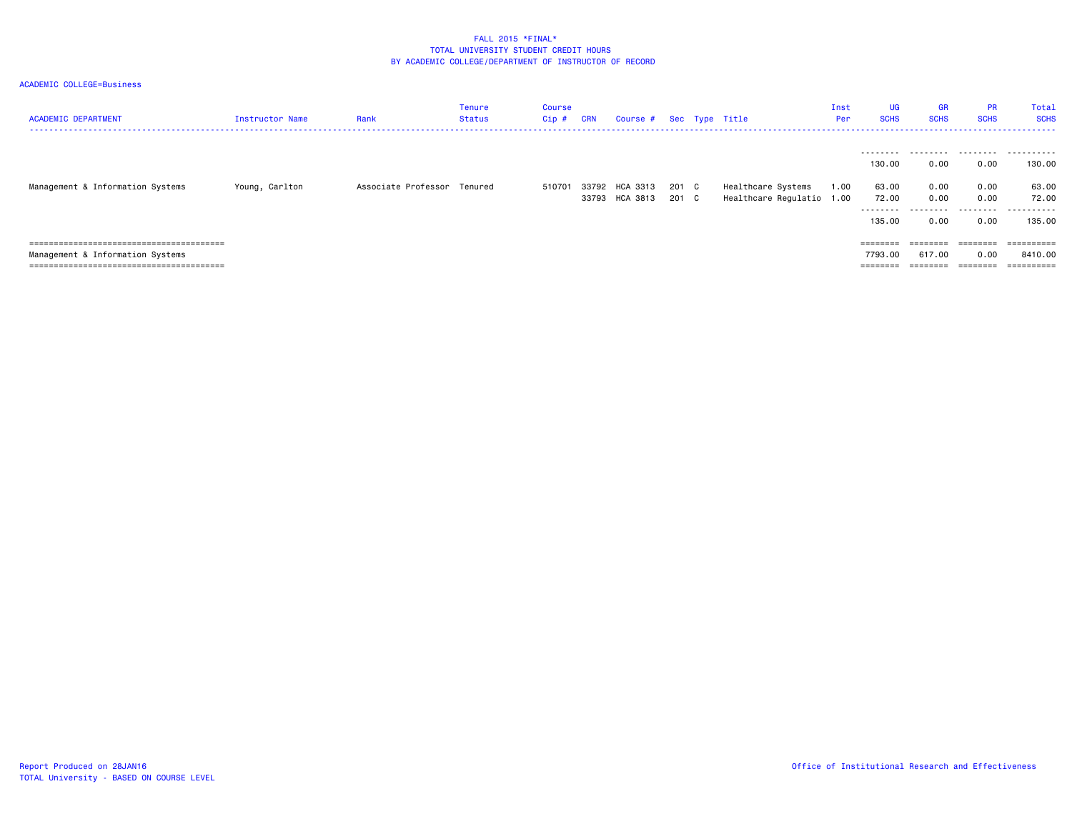| <b>ACADEMIC DEPARTMENT</b>       | Instructor Name | Rank                        | Tenure<br>Status | Course<br>Cip # | <b>CRN</b> | Course #       |       | Sec Type Title            | Inst<br>Per | <b>UG</b><br><b>SCHS</b> | <b>GR</b><br><b>SCHS</b> | <b>PR</b><br><b>SCHS</b> | Total<br><b>SCHS</b> |
|----------------------------------|-----------------|-----------------------------|------------------|-----------------|------------|----------------|-------|---------------------------|-------------|--------------------------|--------------------------|--------------------------|----------------------|
|                                  |                 |                             |                  |                 |            |                |       |                           |             |                          |                          |                          |                      |
|                                  |                 |                             |                  |                 |            |                |       |                           |             |                          |                          |                          |                      |
|                                  |                 |                             |                  |                 |            |                |       |                           |             | 130.00                   | 0.00                     | 0.00                     | 130.00               |
| Management & Information Systems | Young, Carlton  | Associate Professor Tenured |                  | 510701          |            | 33792 HCA 3313 | 201 C | Healthcare Systems        | 1.00        | 63.00                    | 0.00                     | 0.00                     | 63.00                |
|                                  |                 |                             |                  |                 |            | 33793 HCA 3813 | 201 C | Healthcare Regulatio 1.00 |             | 72.00                    | 0.00                     | 0.00                     | 72.00                |
|                                  |                 |                             |                  |                 |            |                |       |                           |             | --------                 |                          | .                        | -------              |
|                                  |                 |                             |                  |                 |            |                |       |                           |             | 135.00                   | 0.00                     | 0.00                     | 135.00               |
|                                  |                 |                             |                  |                 |            |                |       |                           |             |                          |                          |                          |                      |
|                                  |                 |                             |                  |                 |            |                |       |                           |             |                          |                          | $=$ = = = = = = =        | ==========           |
| Management & Information Systems |                 |                             |                  |                 |            |                |       |                           |             | 7793.00                  | 617.00                   | 0.00                     | 8410.00              |
|                                  |                 |                             |                  |                 |            |                |       |                           |             | ========                 |                          | $=$ = = = = = = =        | ==========           |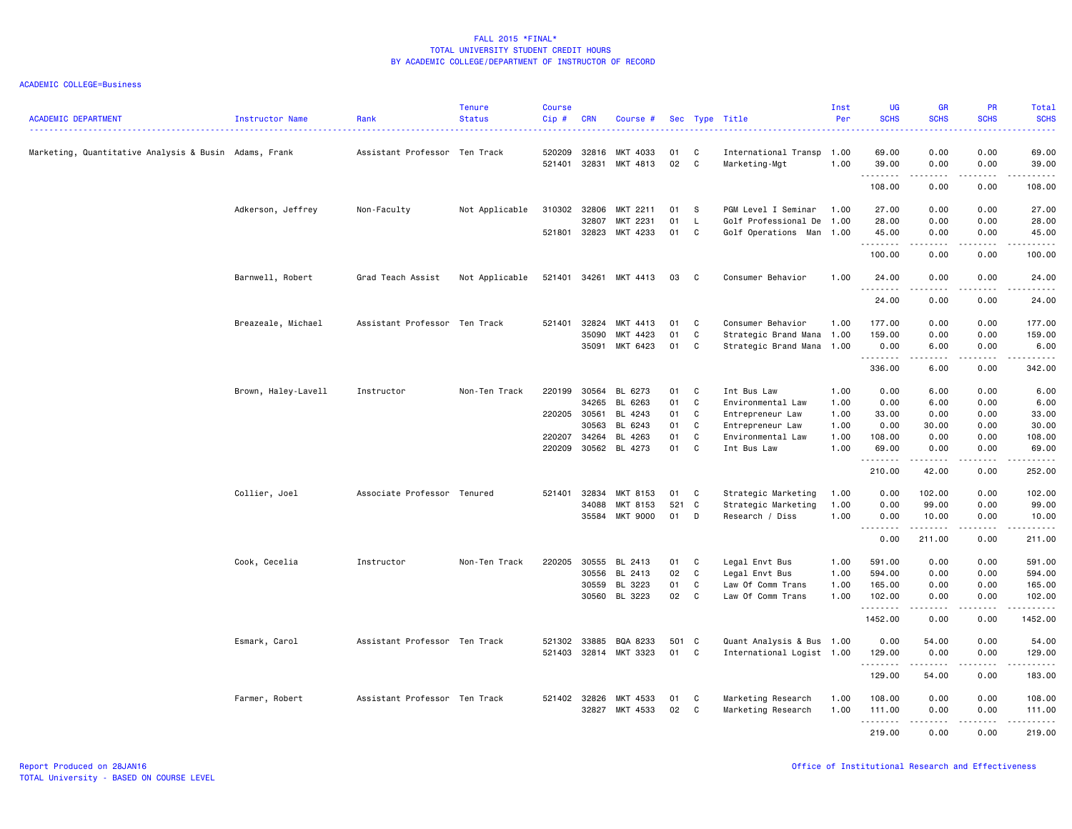| <b>ACADEMIC DEPARTMENT</b>                            | Instructor Name     | Rank                          | <b>Tenure</b><br><b>Status</b> | <b>Course</b><br>$Cip$ # | <b>CRN</b>     | Course #             |          |        | Sec Type Title                        | Inst<br>Per  | UG<br><b>SCHS</b>   | <b>GR</b><br><b>SCHS</b> | <b>PR</b><br><b>SCHS</b> | Total<br><b>SCHS</b><br>$\frac{1}{2} \left( \frac{1}{2} \right) \left( \frac{1}{2} \right) \left( \frac{1}{2} \right) \left( \frac{1}{2} \right)$                                         |
|-------------------------------------------------------|---------------------|-------------------------------|--------------------------------|--------------------------|----------------|----------------------|----------|--------|---------------------------------------|--------------|---------------------|--------------------------|--------------------------|-------------------------------------------------------------------------------------------------------------------------------------------------------------------------------------------|
| Marketing, Quantitative Analysis & Busin Adams, Frank |                     | Assistant Professor Ten Track |                                | 520209<br>521401         | 32816<br>32831 | MKT 4033<br>MKT 4813 | 01<br>02 | C<br>C | International Transp<br>Marketing-Mgt | 1.00<br>1.00 | 69.00<br>39.00      | 0.00<br>0.00             | 0.00<br>0.00             | 69.00<br>39.00                                                                                                                                                                            |
|                                                       |                     |                               |                                |                          |                |                      |          |        |                                       |              | .<br>108.00         | .<br>0.00                | .<br>0.00                | .<br>108.00                                                                                                                                                                               |
|                                                       | Adkerson, Jeffrey   | Non-Faculty                   | Not Applicable                 | 310302                   | 32806          | MKT 2211             | 01       | - S    | PGM Level I Seminar                   | 1.00         | 27.00               | 0.00                     | 0.00                     | 27.00                                                                                                                                                                                     |
|                                                       |                     |                               |                                |                          | 32807          | MKT 2231             | 01       | L.     | Golf Professional De                  | 1.00         | 28.00               | 0.00                     | 0.00                     | 28.00                                                                                                                                                                                     |
|                                                       |                     |                               |                                | 521801 32823             |                | MKT 4233             | 01       | C      | Golf Operations Man                   | 1.00         | 45.00<br>.          | 0.00<br>.                | 0.00<br>.                | 45.00<br>.                                                                                                                                                                                |
|                                                       |                     |                               |                                |                          |                |                      |          |        |                                       |              | 100.00              | 0.00                     | 0.00                     | 100.00                                                                                                                                                                                    |
|                                                       | Barnwell, Robert    | Grad Teach Assist             | Not Applicable                 | 521401                   | 34261          | MKT 4413             | 03       | C      | Consumer Behavior                     | 1.00         | 24.00               | 0.00                     | 0.00                     | 24.00                                                                                                                                                                                     |
|                                                       |                     |                               |                                |                          |                |                      |          |        |                                       |              | <u>.</u><br>24.00   | 0.00                     | 0.00                     | $\frac{1}{2}$<br>24.00                                                                                                                                                                    |
|                                                       | Breazeale, Michael  | Assistant Professor Ten Track |                                | 521401                   | 32824          | MKT 4413             | 01       | C      | Consumer Behavior                     | 1.00         | 177.00              | 0.00                     | 0.00                     | 177.00                                                                                                                                                                                    |
|                                                       |                     |                               |                                |                          | 35090          | MKT 4423             | 01       | C      | Strategic Brand Mana 1.00             |              | 159.00              | 0.00                     | 0.00                     | 159.00                                                                                                                                                                                    |
|                                                       |                     |                               |                                |                          | 35091          | MKT 6423             | 01       | C      | Strategic Brand Mana                  | 1.00         | 0.00<br>.           | 6.00                     | 0.00<br>$- - -$          | 6.00<br>.                                                                                                                                                                                 |
|                                                       |                     |                               |                                |                          |                |                      |          |        |                                       |              | 336.00              | 6.00                     | 0.00                     | 342.00                                                                                                                                                                                    |
|                                                       | Brown, Haley-Lavell | Instructor                    | Non-Ten Track                  | 220199                   | 30564          | BL 6273              | 01       | C      | Int Bus Law                           | 1.00         | 0.00                | 6.00                     | 0.00                     | 6.00                                                                                                                                                                                      |
|                                                       |                     |                               |                                |                          | 34265          | BL 6263              | 01       | C      | Environmental Law                     | 1.00         | 0.00                | 6.00                     | 0.00                     | 6.00                                                                                                                                                                                      |
|                                                       |                     |                               |                                | 220205 30561             |                | BL 4243              | 01       | C      | Entrepreneur Law                      | 1.00         | 33.00               | 0.00                     | 0.00                     | 33.00                                                                                                                                                                                     |
|                                                       |                     |                               |                                |                          | 30563          | BL 6243              | 01       | C      | Entrepreneur Law                      | 1.00         | 0.00                | 30.00                    | 0.00                     | 30.00                                                                                                                                                                                     |
|                                                       |                     |                               |                                | 220207                   | 34264          | BL 4263              | 01       | C      | Environmental Law                     | 1.00         | 108.00              | 0.00                     | 0.00                     | 108.00                                                                                                                                                                                    |
|                                                       |                     |                               |                                | 220209                   | 30562          | BL 4273              | 01       | C      | Int Bus Law                           | 1.00         | 69.00<br>. <b>.</b> | 0.00<br>.                | 0.00<br>.                | 69.00<br><u>.</u>                                                                                                                                                                         |
|                                                       |                     |                               |                                |                          |                |                      |          |        |                                       |              | 210.00              | 42.00                    | 0.00                     | 252.00                                                                                                                                                                                    |
|                                                       | Collier, Joel       | Associate Professor Tenured   |                                | 521401                   | 32834          | MKT 8153             | 01       | C      | Strategic Marketing                   | 1.00         | 0.00                | 102.00                   | 0.00                     | 102.00                                                                                                                                                                                    |
|                                                       |                     |                               |                                |                          | 34088          | MKT 8153             | 521      | C      | Strategic Marketing                   | 1.00         | 0.00                | 99.00                    | 0.00                     | 99.00                                                                                                                                                                                     |
|                                                       |                     |                               |                                |                          | 35584          | MKT 9000             | 01       | D      | Research / Diss                       | 1.00         | 0.00<br>. <b>.</b>  | 10.00<br>. <u>.</u>      | 0.00<br>.                | 10.00<br><u>.</u>                                                                                                                                                                         |
|                                                       |                     |                               |                                |                          |                |                      |          |        |                                       |              | 0.00                | 211.00                   | 0.00                     | 211.00                                                                                                                                                                                    |
|                                                       | Cook, Cecelia       | Instructor                    | Non-Ten Track                  | 220205                   | 30555          | BL 2413              | 01       | C      | Legal Envt Bus                        | 1.00         | 591.00              | 0.00                     | 0.00                     | 591.00                                                                                                                                                                                    |
|                                                       |                     |                               |                                |                          | 30556          | BL 2413              | 02       | C      | Legal Envt Bus                        | 1.00         | 594.00              | 0.00                     | 0.00                     | 594.00                                                                                                                                                                                    |
|                                                       |                     |                               |                                |                          | 30559          | BL 3223              | 01       | C      | Law Of Comm Trans                     | 1.00         | 165.00              | 0.00                     | 0.00                     | 165.00                                                                                                                                                                                    |
|                                                       |                     |                               |                                |                          | 30560          | BL 3223              | 02       | C      | Law Of Comm Trans                     | 1.00         | 102.00<br>.         | 0.00                     | 0.00                     | 102.00<br>.                                                                                                                                                                               |
|                                                       |                     |                               |                                |                          |                |                      |          |        |                                       |              | 1452.00             | 0.00                     | 0.00                     | 1452.00                                                                                                                                                                                   |
|                                                       | Esmark, Carol       | Assistant Professor Ten Track |                                | 521302                   | 33885          | BQA 8233             | 501      | C      | Quant Analysis & Bus 1.00             |              | 0.00                | 54.00                    | 0.00                     | 54.00                                                                                                                                                                                     |
|                                                       |                     |                               |                                | 521403                   |                | 32814 MKT 3323       | 01       | C      | International Logist 1.00             |              | 129.00              | 0.00<br>.                | 0.00<br>.                | 129.00                                                                                                                                                                                    |
|                                                       |                     |                               |                                |                          |                |                      |          |        |                                       |              | 129.00              | 54.00                    | 0.00                     | 183.00                                                                                                                                                                                    |
|                                                       | Farmer, Robert      | Assistant Professor Ten Track |                                | 521402                   | 32826          | MKT 4533             | 01       | C      | Marketing Research                    | 1.00         | 108.00              | 0.00                     | 0.00                     | 108.00                                                                                                                                                                                    |
|                                                       |                     |                               |                                |                          |                | 32827 MKT 4533       | 02       | C      | Marketing Research                    | 1.00         | 111.00              | 0.00                     | 0.00                     | 111.00                                                                                                                                                                                    |
|                                                       |                     |                               |                                |                          |                |                      |          |        |                                       |              | .<br>219.00         | 0.00                     | $- - -$<br>0.00          | $\frac{1}{2} \left( \frac{1}{2} \right) \left( \frac{1}{2} \right) \left( \frac{1}{2} \right) \left( \frac{1}{2} \right) \left( \frac{1}{2} \right) \left( \frac{1}{2} \right)$<br>219.00 |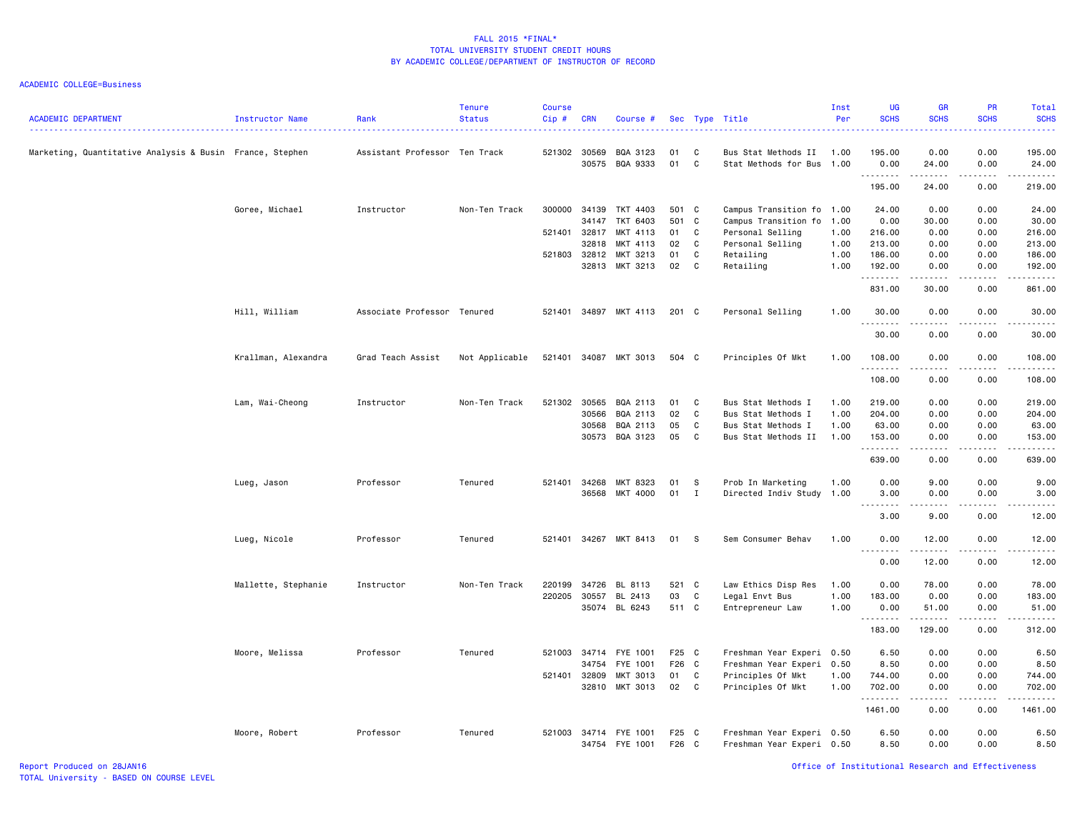ACADEMIC COLLEGE=Business

| <b>ACADEMIC DEPARTMENT</b>                               | <b>Instructor Name</b> | Rank                          | <b>Tenure</b><br><b>Status</b> | <b>Course</b><br>Cip# | <b>CRN</b> | Course #                         |                |              | Sec Type Title                                         | Inst<br>Per  | <b>UG</b><br><b>SCHS</b> | <b>GR</b><br><b>SCHS</b>         | <b>PR</b><br><b>SCHS</b>                   | Total<br><b>SCHS</b><br>.                                                                                                                                                       |
|----------------------------------------------------------|------------------------|-------------------------------|--------------------------------|-----------------------|------------|----------------------------------|----------------|--------------|--------------------------------------------------------|--------------|--------------------------|----------------------------------|--------------------------------------------|---------------------------------------------------------------------------------------------------------------------------------------------------------------------------------|
| Marketing, Quantitative Analysis & Busin France, Stephen |                        | Assistant Professor Ten Track |                                | 521302 30569          | 30575      | BQA 3123<br>BQA 9333             | 01<br>01       | C<br>C.      | Bus Stat Methods II<br>Stat Methods for Bus            | 1.00<br>1.00 | 195.00<br>0.00           | 0.00<br>24.00                    | 0.00<br>0.00                               | 195.00<br>24.00                                                                                                                                                                 |
|                                                          |                        |                               |                                |                       |            |                                  |                |              |                                                        |              | .<br>195.00              | .<br>24.00                       | .<br>0.00                                  | .<br>219.00                                                                                                                                                                     |
|                                                          | Goree, Michael         | Instructor                    | Non-Ten Track                  | 300000                | 34139      | TKT 4403                         | 501 C          |              | Campus Transition fo                                   | 1.00         | 24.00                    | 0.00                             | 0.00                                       | 24.00                                                                                                                                                                           |
|                                                          |                        |                               |                                |                       | 34147      | TKT 6403                         | 501 C          |              | Campus Transition fo                                   | 1.00         | 0.00                     | 30.00                            | 0.00                                       | 30.00                                                                                                                                                                           |
|                                                          |                        |                               |                                | 521401 32817          |            | MKT 4113                         | 01             | C            | Personal Selling                                       | 1.00         | 216.00                   | 0.00                             | 0.00                                       | 216.00                                                                                                                                                                          |
|                                                          |                        |                               |                                |                       | 32818      | MKT 4113                         | 02             | $\mathbf{C}$ | Personal Selling                                       | 1.00         | 213.00                   | 0.00                             | 0.00                                       | 213.00                                                                                                                                                                          |
|                                                          |                        |                               |                                | 521803                | 32812      | MKT 3213                         | 01             | C            | Retailing                                              | 1.00         | 186.00                   | 0.00                             | 0.00                                       | 186.00                                                                                                                                                                          |
|                                                          |                        |                               |                                |                       |            | 32813 MKT 3213                   | 02             | $\mathbf{C}$ | Retailing                                              | 1.00         | 192.00                   | 0.00                             | 0.00<br>.                                  | 192.00                                                                                                                                                                          |
|                                                          |                        |                               |                                |                       |            |                                  |                |              |                                                        |              | .<br>831.00              | 30.00                            | 0.00                                       | وعاعاته عاملته<br>861.00                                                                                                                                                        |
|                                                          | Hill, William          | Associate Professor Tenured   |                                |                       |            | 521401 34897 MKT 4113            | 201 C          |              | Personal Selling                                       | 1.00         | 30.00<br>.               | 0.00<br>.                        | 0.00<br>.                                  | 30.00<br>الداعات بال                                                                                                                                                            |
|                                                          |                        |                               |                                |                       |            |                                  |                |              |                                                        |              | 30.00                    | 0.00                             | 0.00                                       | 30.00                                                                                                                                                                           |
|                                                          | Krallman, Alexandra    | Grad Teach Assist             | Not Applicable                 |                       |            | 521401 34087 MKT 3013            | 504 C          |              | Principles Of Mkt                                      | 1.00         | 108.00<br>. <b>.</b>     | 0.00<br>.                        | 0.00<br>.                                  | 108.00<br>$- - - - - -$                                                                                                                                                         |
|                                                          |                        |                               |                                |                       |            |                                  |                |              |                                                        |              | 108.00                   | 0.00                             | 0.00                                       | 108.00                                                                                                                                                                          |
|                                                          | Lam, Wai-Cheong        | Instructor                    | Non-Ten Track                  | 521302                | 30565      | BQA 2113                         | 01             | C            | Bus Stat Methods I                                     | 1.00         | 219.00                   | 0.00                             | 0.00                                       | 219.00                                                                                                                                                                          |
|                                                          |                        |                               |                                |                       | 30566      | BQA 2113                         | 02             | C            | Bus Stat Methods I                                     | 1.00         | 204.00                   | 0.00                             | 0.00                                       | 204.00                                                                                                                                                                          |
|                                                          |                        |                               |                                |                       | 30568      | BQA 2113                         | 05             | C            | Bus Stat Methods I                                     | 1.00         | 63.00                    | 0.00                             | 0.00                                       | 63.00                                                                                                                                                                           |
|                                                          |                        |                               |                                |                       |            | 30573 BQA 3123                   | 05             | C            | Bus Stat Methods II                                    | 1.00         | 153.00                   | 0.00                             | 0.00                                       | 153.00                                                                                                                                                                          |
|                                                          |                        |                               |                                |                       |            |                                  |                |              |                                                        |              | .                        | $\omega$ is $\omega$ in $\omega$ | $\sim$ $\sim$ $\sim$ $\sim$ $\sim$<br>0.00 | $\frac{1}{2} \left( \frac{1}{2} \right) \left( \frac{1}{2} \right) \left( \frac{1}{2} \right) \left( \frac{1}{2} \right) \left( \frac{1}{2} \right) \left( \frac{1}{2} \right)$ |
|                                                          |                        |                               |                                |                       |            |                                  |                |              |                                                        |              | 639.00                   | 0.00                             |                                            | 639.00                                                                                                                                                                          |
|                                                          | Lueg, Jason            | Professor                     | Tenured                        | 521401                | 34268      | MKT 8323                         | 01             | - S          | Prob In Marketing                                      | 1.00         | 0.00                     | 9.00                             | 0.00                                       | 9.00                                                                                                                                                                            |
|                                                          |                        |                               |                                |                       | 36568      | MKT 4000                         | 01             | $\mathbf{I}$ | Directed Indiv Study                                   | 1.00         | 3.00                     | 0.00                             | 0.00                                       | 3.00                                                                                                                                                                            |
|                                                          |                        |                               |                                |                       |            |                                  |                |              |                                                        |              | 3.00                     | 9.00                             | 0.00                                       | 12.00                                                                                                                                                                           |
|                                                          |                        |                               |                                |                       |            |                                  |                |              |                                                        |              |                          |                                  |                                            |                                                                                                                                                                                 |
|                                                          | Lueg, Nicole           | Professor                     | Tenured                        |                       |            | 521401 34267 MKT 8413            | 01             | $^{\circ}$ s | Sem Consumer Behav                                     | 1.00         | 0.00<br>.                | 12.00<br>.                       | 0.00<br>.                                  | 12.00<br>.                                                                                                                                                                      |
|                                                          |                        |                               |                                |                       |            |                                  |                |              |                                                        |              | 0.00                     | 12.00                            | 0.00                                       | 12.00                                                                                                                                                                           |
|                                                          | Mallette, Stephanie    | Instructor                    | Non-Ten Track                  | 220199                | 34726      | BL 8113                          | 521 C          |              | Law Ethics Disp Res                                    | 1.00         | 0.00                     | 78.00                            | 0.00                                       | 78.00                                                                                                                                                                           |
|                                                          |                        |                               |                                | 220205                | 30557      | BL 2413                          | 03             | C            | Legal Envt Bus                                         | 1.00         | 183.00                   | 0.00                             | 0.00                                       | 183.00                                                                                                                                                                          |
|                                                          |                        |                               |                                |                       |            | 35074 BL 6243                    | 511 C          |              | Entrepreneur Law                                       | 1.00         | 0.00<br>.                | 51.00                            | 0.00                                       | 51.00                                                                                                                                                                           |
|                                                          |                        |                               |                                |                       |            |                                  |                |              |                                                        |              | 183.00                   | 129.00                           | 0.00                                       | 312.00                                                                                                                                                                          |
|                                                          | Moore, Melissa         | Professor                     | Tenured                        |                       |            | 521003 34714 FYE 1001            | F25 C          |              | Freshman Year Experi 0.50                              |              | 6.50                     | 0.00                             | 0.00                                       | 6.50                                                                                                                                                                            |
|                                                          |                        |                               |                                |                       | 34754      | FYE 1001                         | F26 C          |              | Freshman Year Experi 0.50                              |              | 8.50                     | 0.00                             | 0.00                                       | 8.50                                                                                                                                                                            |
|                                                          |                        |                               |                                | 521401                | 32809      | MKT 3013                         | 01             | C            | Principles Of Mkt                                      | 1.00         | 744.00                   | 0.00                             | 0.00                                       | 744.00                                                                                                                                                                          |
|                                                          |                        |                               |                                |                       |            | 32810 MKT 3013                   | 02             | $\mathbf{C}$ | Principles Of Mkt                                      | 1.00         | 702.00<br>.              | 0.00<br>.                        | 0.00                                       | 702.00<br>.                                                                                                                                                                     |
|                                                          |                        |                               |                                |                       |            |                                  |                |              |                                                        |              | 1461.00                  | 0.00                             | 0.00                                       | 1461.00                                                                                                                                                                         |
|                                                          | Moore, Robert          | Professor                     | Tenured                        | 521003                |            | 34714 FYE 1001<br>34754 FYE 1001 | F25 C<br>F26 C |              | Freshman Year Experi 0.50<br>Freshman Year Experi 0.50 |              | 6.50<br>8.50             | 0.00<br>0.00                     | 0.00<br>0.00                               | 6.50<br>8.50                                                                                                                                                                    |

Report Produced on 28JAN16 Office of Institutional Research and Effectiveness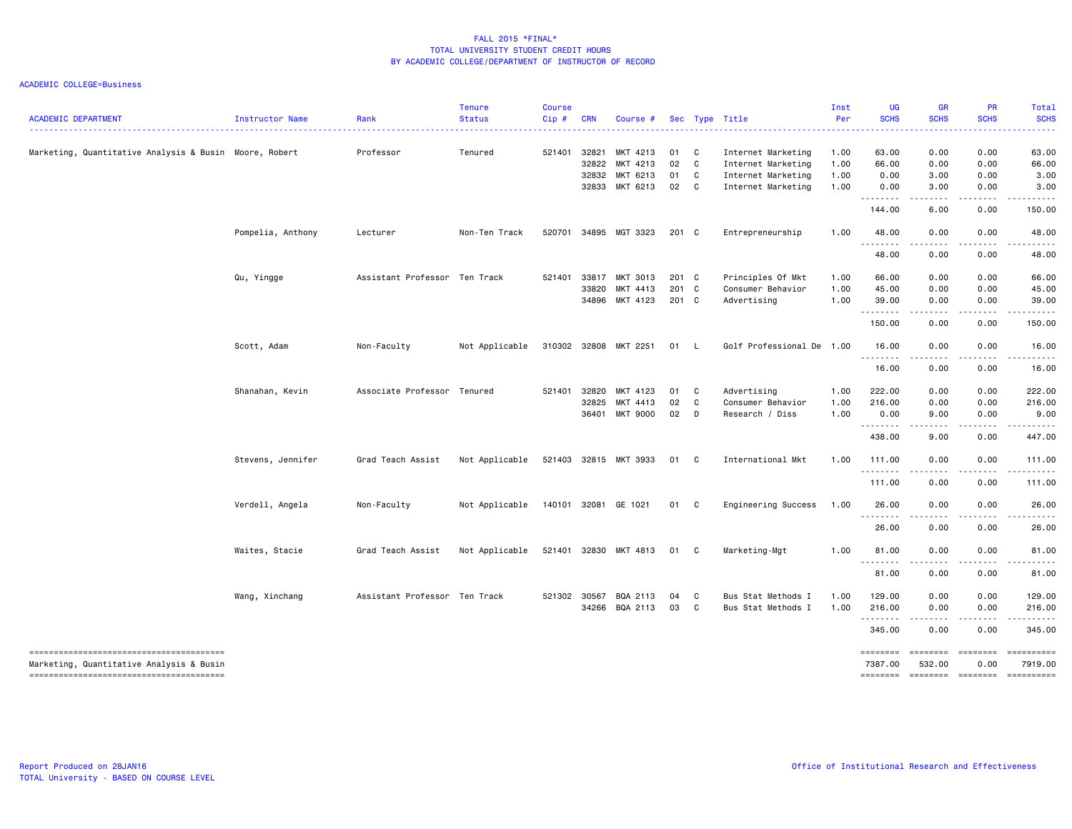| <b>ACADEMIC DEPARTMENT</b>                             | Instructor Name   | Rank                          | <b>Tenure</b><br><b>Status</b> | Course<br>Cip# | <b>CRN</b> | Course #              |       |                | Sec Type Title            | Inst<br>Per | UG<br><b>SCHS</b>   | <b>GR</b><br><b>SCHS</b>  | <b>PR</b><br><b>SCHS</b>                                                                                                | Total<br><b>SCHS</b>  |
|--------------------------------------------------------|-------------------|-------------------------------|--------------------------------|----------------|------------|-----------------------|-------|----------------|---------------------------|-------------|---------------------|---------------------------|-------------------------------------------------------------------------------------------------------------------------|-----------------------|
| Marketing, Quantitative Analysis & Busin Moore, Robert |                   | Professor                     | Tenured                        | 521401         | 32821      | MKT 4213              | 01    | $\overline{c}$ | Internet Marketing        | 1.00        | 63.00               | 0.00                      | 0.00                                                                                                                    | 63.00                 |
|                                                        |                   |                               |                                |                | 32822      | MKT 4213              | 02    | $\mathbf{C}$   | Internet Marketing        | 1.00        | 66.00               | 0.00                      | 0.00                                                                                                                    | 66.00                 |
|                                                        |                   |                               |                                |                | 32832      | MKT 6213              | 01    | $\mathbf{C}$   | Internet Marketing        | 1.00        | 0.00                | 3.00                      | 0.00                                                                                                                    | 3.00                  |
|                                                        |                   |                               |                                |                |            | 32833 MKT 6213        | 02    | $\mathbf{C}$   | Internet Marketing        | 1.00        | 0.00<br>.           | 3.00<br>.                 | 0.00<br>.                                                                                                               | 3.00                  |
|                                                        |                   |                               |                                |                |            |                       |       |                |                           |             | 144.00              | 6.00                      | 0.00                                                                                                                    | 150.00                |
|                                                        | Pompelia, Anthony | Lecturer                      | Non-Ten Track                  | 520701         |            | 34895 MGT 3323        | 201 C |                | Entrepreneurship          | 1.00        | 48.00<br>.          | 0.00                      | 0.00                                                                                                                    | 48.00                 |
|                                                        |                   |                               |                                |                |            |                       |       |                |                           |             | 48.00               | 0.00                      | 0.00                                                                                                                    | 48.00                 |
|                                                        | Qu, Yingge        | Assistant Professor Ten Track |                                | 521401         | 33817      | MKT 3013              | 201 C |                | Principles Of Mkt         | 1.00        | 66.00               | 0.00                      | 0.00                                                                                                                    | 66.00                 |
|                                                        |                   |                               |                                |                | 33820      | MKT 4413              | 201 C |                | Consumer Behavior         | 1.00        | 45.00               | 0.00                      | 0.00                                                                                                                    | 45.00                 |
|                                                        |                   |                               |                                |                | 34896      | MKT 4123              | 201 C |                | Advertising               | 1.00        | 39.00<br>.          | 0.00<br>.                 | 0.00<br>.                                                                                                               | 39.00<br>.            |
|                                                        |                   |                               |                                |                |            |                       |       |                |                           |             | 150.00              | 0.00                      | 0.00                                                                                                                    | 150.00                |
|                                                        | Scott, Adam       | Non-Faculty                   | Not Applicable                 |                |            | 310302 32808 MKT 2251 | 01 L  |                | Golf Professional De 1.00 |             | 16.00<br>.          | 0.00<br>$\omega$ is a set | 0.00<br>-----                                                                                                           | 16.00<br>.            |
|                                                        |                   |                               |                                |                |            |                       |       |                |                           |             | 16.00               | 0.00                      | 0.00                                                                                                                    | 16.00                 |
|                                                        | Shanahan, Kevin   | Associate Professor Tenured   |                                | 521401         | 32820      | MKT 4123              | 01    | $\mathbf{C}$   | Advertising               | 1.00        | 222.00              | 0.00                      | 0.00                                                                                                                    | 222.00                |
|                                                        |                   |                               |                                |                | 32825      | MKT 4413              | 02    | $\mathbf{C}$   | Consumer Behavior         | 1.00        | 216.00              | 0.00                      | 0.00                                                                                                                    | 216.00                |
|                                                        |                   |                               |                                |                |            | 36401 MKT 9000        | 02    | $\Box$         | Research / Diss           | 1.00        | 0.00<br>.           | 9.00<br>.                 | 0.00                                                                                                                    | 9.00                  |
|                                                        |                   |                               |                                |                |            |                       |       |                |                           |             | 438.00              | 9.00                      | 0.00                                                                                                                    | 447.00                |
|                                                        | Stevens, Jennifer | Grad Teach Assist             | Not Applicable                 |                |            | 521403 32815 MKT 3933 | 01 C  |                | International Mkt         | 1.00        | 111.00              | 0.00                      | 0.00                                                                                                                    | 111.00                |
|                                                        |                   |                               |                                |                |            |                       |       |                |                           |             | <u>.</u><br>111.00  | $- - -$<br>0.00           | 0.00                                                                                                                    | .<br>111.00           |
|                                                        | Verdell, Angela   | Non-Faculty                   | Not Applicable                 |                |            | 140101 32081 GE 1021  | 01 C  |                | Engineering Success       | 1.00        | 26.00               | 0.00                      | 0.00                                                                                                                    | 26.00                 |
|                                                        |                   |                               |                                |                |            |                       |       |                |                           |             | 26.00               | 0.00                      | 0.00                                                                                                                    | 26.00                 |
|                                                        | Waites, Stacie    | Grad Teach Assist             | Not Applicable                 |                |            | 521401 32830 MKT 4813 | 01 C  |                | Marketing-Mgt             | 1.00        | 81.00               | 0.00                      | 0.00                                                                                                                    | 81.00                 |
|                                                        |                   |                               |                                |                |            |                       |       |                |                           |             | 81.00               | 0.00                      | 0.00                                                                                                                    | 81.00                 |
|                                                        | Wang, Xinchang    | Assistant Professor Ten Track |                                |                |            | 521302 30567 BQA 2113 | 04    | C              | Bus Stat Methods I        | 1.00        | 129.00              | 0.00                      | 0.00                                                                                                                    | 129.00                |
|                                                        |                   |                               |                                |                |            | 34266 BQA 2113        | 03    | $\mathbf{C}$   | Bus Stat Methods I        | 1.00        | 216.00              | 0.00                      | 0.00                                                                                                                    | 216.00                |
|                                                        |                   |                               |                                |                |            |                       |       |                |                           |             | .<br>345.00         | .<br>0.00                 | $\begin{array}{cccccccccccccc} \bullet & \bullet & \bullet & \bullet & \bullet & \bullet & \bullet \end{array}$<br>0.00 | .<br>345.00           |
| Marketing, Quantitative Analysis & Busin               |                   |                               |                                |                |            |                       |       |                |                           |             | ========<br>7387.00 | <b>EBBEBBE</b><br>532.00  | ========<br>0.00                                                                                                        | ==========<br>7919.00 |
|                                                        |                   |                               |                                |                |            |                       |       |                |                           |             | ========            | ========                  | $=$                                                                                                                     | ==========            |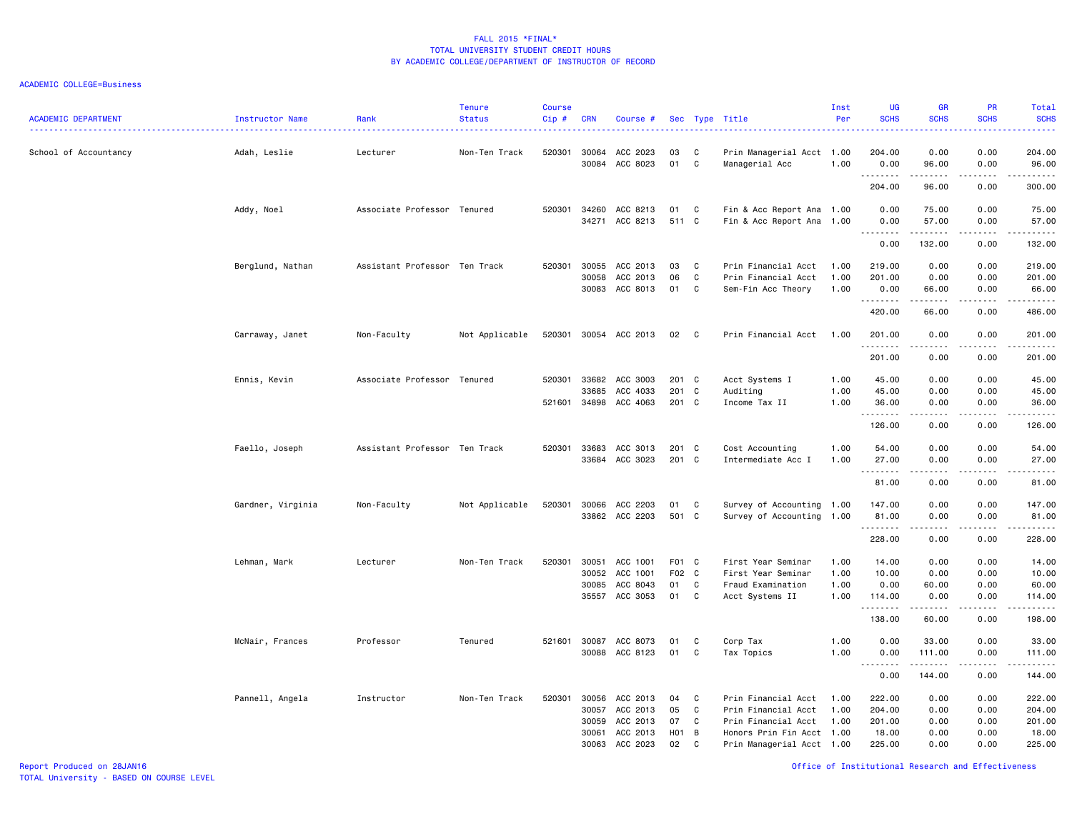| <b>ACADEMIC DEPARTMENT</b> | Instructor Name   | Rank                          | <b>Tenure</b><br><b>Status</b> | <b>Course</b><br>Cip# | <b>CRN</b>                                | Course #                                                 |                             |                                    | Sec Type Title                                                                                                              | Inst<br>Per                  | <b>UG</b><br><b>SCHS</b>                      | <b>GR</b><br><b>SCHS</b>             | PR<br><b>SCHS</b>                    | Total<br><b>SCHS</b><br>.                     |
|----------------------------|-------------------|-------------------------------|--------------------------------|-----------------------|-------------------------------------------|----------------------------------------------------------|-----------------------------|------------------------------------|-----------------------------------------------------------------------------------------------------------------------------|------------------------------|-----------------------------------------------|--------------------------------------|--------------------------------------|-----------------------------------------------|
| School of Accountancy      | Adah, Leslie      | Lecturer                      | Non-Ten Track                  | 520301                | 30064<br>30084                            | ACC 2023<br>ACC 8023                                     | 03<br>01                    | C<br>C                             | Prin Managerial Acct 1.00<br>Managerial Acc                                                                                 | 1.00                         | 204.00<br>0.00                                | 0.00<br>96.00                        | 0.00<br>0.00                         | 204.00<br>96.00                               |
|                            |                   |                               |                                |                       |                                           |                                                          |                             |                                    |                                                                                                                             |                              | .<br>204.00                                   | .<br>96.00                           | .<br>0.00                            | ------<br>300.00                              |
|                            | Addy, Noel        | Associate Professor Tenured   |                                | 520301                | 34260<br>34271                            | ACC 8213<br>ACC 8213                                     | 01<br>511 C                 | C                                  | Fin & Acc Report Ana 1.00<br>Fin & Acc Report Ana 1.00                                                                      |                              | 0.00<br>0.00<br>. <b>.</b>                    | 75.00<br>57.00<br>.                  | 0.00<br>0.00<br>.                    | 75.00<br>57.00<br><b></b>                     |
|                            |                   |                               |                                |                       |                                           |                                                          |                             |                                    |                                                                                                                             |                              | 0.00                                          | 132.00                               | 0.00                                 | 132.00                                        |
|                            | Berglund, Nathan  | Assistant Professor Ten Track |                                | 520301                | 30055<br>30058<br>30083                   | ACC 2013<br>ACC 2013<br>ACC 8013                         | 03<br>06<br>01              | C<br>C<br>C                        | Prin Financial Acct<br>Prin Financial Acct<br>Sem-Fin Acc Theory                                                            | 1.00<br>1.00<br>1.00         | 219.00<br>201.00<br>0.00<br>.                 | 0.00<br>0.00<br>66.00                | 0.00<br>0.00<br>0.00<br>. <u>.</u> . | 219.00<br>201.00<br>66.00<br>.                |
|                            |                   |                               |                                |                       |                                           |                                                          |                             |                                    |                                                                                                                             |                              | 420.00                                        | 66.00                                | 0.00                                 | 486.00                                        |
|                            | Carraway, Janet   | Non-Faculty                   | Not Applicable                 | 520301                |                                           | 30054 ACC 2013                                           | 02                          | C                                  | Prin Financial Acct                                                                                                         | 1.00                         | 201.00<br>.                                   | 0.00                                 | 0.00                                 | 201.00<br><b><i><u></u></i></b>               |
|                            |                   |                               |                                |                       |                                           |                                                          |                             |                                    |                                                                                                                             |                              | 201.00                                        | 0.00                                 | 0.00                                 | 201.00                                        |
|                            | Ennis, Kevin      | Associate Professor Tenured   |                                | 520301<br>521601      | 33682<br>33685<br>34898                   | ACC 3003<br>ACC 4033<br>ACC 4063                         | 201<br>201<br>201 C         | C<br>C                             | Acct Systems I<br>Auditing<br>Income Tax II                                                                                 | 1.00<br>1.00<br>1.00         | 45.00<br>45.00<br>36.00                       | 0.00<br>0.00<br>0.00                 | 0.00<br>0.00<br>0.00                 | 45.00<br>45.00<br>36.00                       |
|                            |                   |                               |                                |                       |                                           |                                                          |                             |                                    |                                                                                                                             |                              | <u>.</u><br>126.00                            | -----<br>0.00                        | .<br>0.00                            | .<br>126.00                                   |
|                            | Faello, Joseph    | Assistant Professor Ten Track |                                | 520301                | 33683                                     | ACC 3013<br>33684 ACC 3023                               | 201<br>201 C                | C <sub>c</sub>                     | Cost Accounting<br>Intermediate Acc I                                                                                       | 1.00<br>1.00                 | 54.00<br>27.00<br><u>.</u>                    | 0.00<br>0.00<br>$- - - - -$          | 0.00<br>0.00<br>.                    | 54.00<br>27.00<br>.                           |
|                            |                   |                               |                                |                       |                                           |                                                          |                             |                                    |                                                                                                                             |                              | 81.00                                         | 0.00                                 | 0.00                                 | 81.00                                         |
|                            | Gardner, Virginia | Non-Faculty                   | Not Applicable                 | 520301                | 30066                                     | ACC 2203<br>33862 ACC 2203                               | 01<br>501                   | C<br>C                             | Survey of Accounting 1.00<br>Survey of Accounting 1.00                                                                      |                              | 147.00<br>81.00<br>.                          | 0.00<br>0.00<br>-----                | 0.00<br>0.00<br>.                    | 147.00<br>81.00<br>------                     |
|                            |                   |                               |                                |                       |                                           |                                                          |                             |                                    |                                                                                                                             |                              | 228.00                                        | 0.00                                 | 0.00                                 | 228.00                                        |
|                            | Lehman, Mark      | Lecturer                      | Non-Ten Track                  | 520301                | 30051<br>30052<br>30085<br>35557          | ACC 1001<br>ACC 1001<br>ACC 8043<br>ACC 3053             | F01 C<br>F02 C<br>01<br>01  | C<br>C                             | First Year Seminar<br>First Year Seminar<br>Fraud Examination<br>Acct Systems II                                            | 1.00<br>1.00<br>1.00<br>1.00 | 14.00<br>10.00<br>0.00<br>114.00<br>.         | 0.00<br>0.00<br>60.00<br>0.00<br>.   | 0.00<br>0.00<br>0.00<br>0.00         | 14.00<br>10.00<br>60.00<br>114.00<br><u>.</u> |
|                            |                   |                               |                                |                       |                                           |                                                          |                             |                                    |                                                                                                                             |                              | 138.00                                        | 60.00                                | $\sim$ $\sim$ $\sim$ $\sim$<br>0.00  | 198.00                                        |
|                            | McNair, Frances   | Professor                     | Tenured                        | 521601                | 30087<br>30088                            | ACC 8073<br>ACC 8123                                     | 01<br>01                    | C<br>C                             | Corp Tax<br>Tax Topics                                                                                                      | 1.00<br>1.00                 | 0.00<br>0.00<br>.                             | 33.00<br>111.00<br>.                 | 0.00<br>0.00<br>د د د د              | 33.00<br>111.00<br>.                          |
|                            |                   |                               |                                |                       |                                           |                                                          |                             |                                    |                                                                                                                             |                              | 0.00                                          | 144.00                               | 0.00                                 | 144.00                                        |
|                            | Pannell, Angela   | Instructor                    | Non-Ten Track                  | 520301                | 30056<br>30057<br>30059<br>30061<br>30063 | ACC 2013<br>ACC 2013<br>ACC 2013<br>ACC 2013<br>ACC 2023 | 04<br>05<br>07<br>H01<br>02 | C<br>C<br>C<br>$\overline{B}$<br>C | Prin Financial Acct<br>Prin Financial Acct<br>Prin Financial Acct<br>Honors Prin Fin Acct 1.00<br>Prin Managerial Acct 1.00 | 1.00<br>1.00<br>1.00         | 222.00<br>204.00<br>201.00<br>18.00<br>225.00 | 0.00<br>0.00<br>0.00<br>0.00<br>0.00 | 0.00<br>0.00<br>0.00<br>0.00<br>0.00 | 222.00<br>204.00<br>201.00<br>18.00<br>225.00 |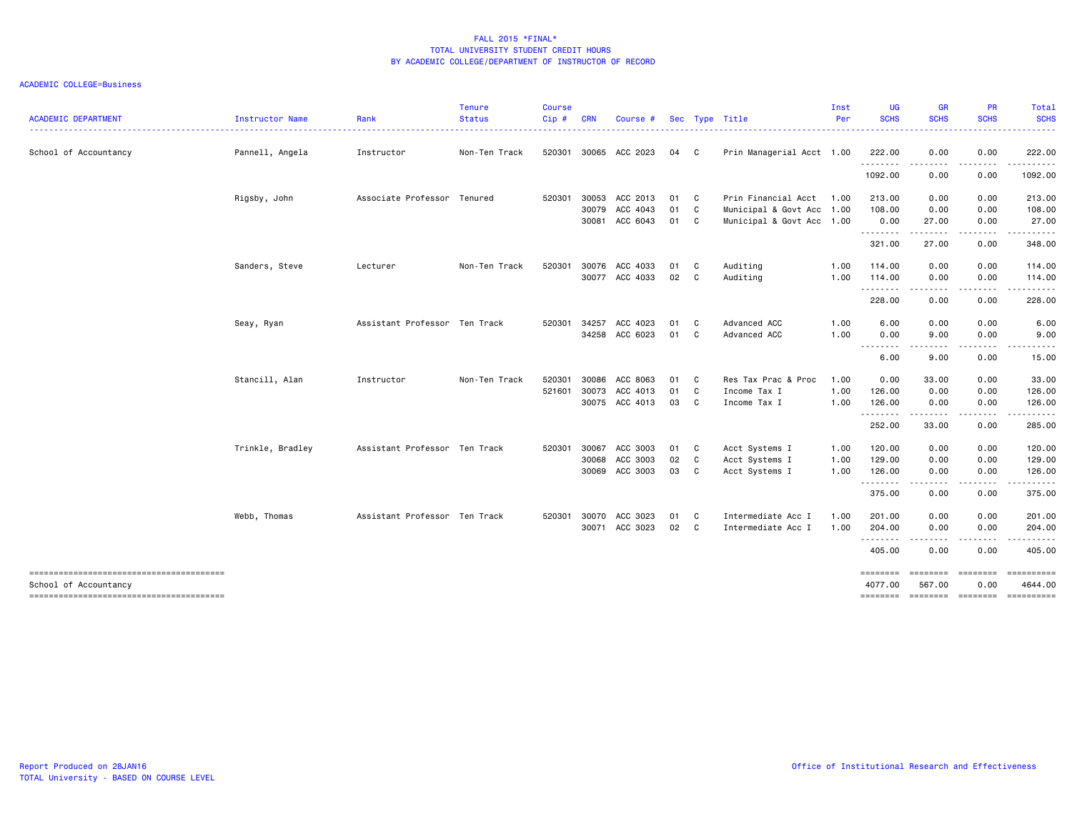| <b>ACADEMIC DEPARTMENT</b> | Instructor Name  | Rank                          | <b>Tenure</b><br><b>Status</b> | <b>Course</b><br>Cip# | <b>CRN</b> | Course #       |      |                            | Sec Type Title            | Inst<br>Per | <b>UG</b><br><b>SCHS</b> | <b>GR</b><br><b>SCHS</b>                                                                                                                                                                 | PR<br><b>SCHS</b>  | Total<br><b>SCHS</b>    |
|----------------------------|------------------|-------------------------------|--------------------------------|-----------------------|------------|----------------|------|----------------------------|---------------------------|-------------|--------------------------|------------------------------------------------------------------------------------------------------------------------------------------------------------------------------------------|--------------------|-------------------------|
|                            |                  |                               |                                |                       |            |                |      |                            |                           |             |                          |                                                                                                                                                                                          |                    |                         |
| School of Accountancy      | Pannell, Angela  | Instructor                    | Non-Ten Track                  | 520301                |            | 30065 ACC 2023 | 04 C |                            | Prin Managerial Acct 1.00 |             | 222.00                   | 0.00                                                                                                                                                                                     | 0.00               | 222.00                  |
|                            |                  |                               |                                |                       |            |                |      |                            |                           |             | .<br>1092.00             | .<br>0.00                                                                                                                                                                                | -----<br>0.00      | .<br>1092.00            |
|                            | Rigsby, John     | Associate Professor           | Tenured                        | 520301                | 30053      | ACC 2013       | 01   | $\mathbf{C}$               | Prin Financial Acct       | 1.00        | 213.00                   | 0.00                                                                                                                                                                                     | 0.00               | 213.00                  |
|                            |                  |                               |                                |                       | 30079      | ACC 4043       | 01   | $\mathbf{C}$               | Municipal & Govt Acc 1.00 |             | 108.00                   | 0.00                                                                                                                                                                                     | 0.00               | 108.00                  |
|                            |                  |                               |                                |                       | 30081      | ACC 6043       | 01   | $\mathbf{C}$               | Municipal & Govt Acc 1.00 |             | 0.00<br>.                | 27.00<br>$\begin{array}{cccccccccccccc} \bullet & \bullet & \bullet & \bullet & \bullet & \bullet & \bullet \end{array}$                                                                 | 0.00<br>. <b>.</b> | 27.00<br>.              |
|                            |                  |                               |                                |                       |            |                |      |                            |                           |             | 321.00                   | 27.00                                                                                                                                                                                    | 0.00               | 348.00                  |
|                            | Sanders, Steve   | Lecturer                      | Non-Ten Track                  | 520301                | 30076      | ACC 4033       | 01   | $\mathbf{C}$               | Auditing                  | 1.00        | 114.00                   | 0.00                                                                                                                                                                                     | 0.00               | 114.00                  |
|                            |                  |                               |                                |                       |            | 30077 ACC 4033 | 02 C |                            | Auditing                  | 1.00        | 114.00                   | 0.00                                                                                                                                                                                     | 0.00               | 114.00                  |
|                            |                  |                               |                                |                       |            |                |      |                            |                           |             | . <sub>.</sub><br>228.00 | ----<br>0.00                                                                                                                                                                             | .<br>0.00          | $- - - - - -$<br>228.00 |
|                            | Seay, Ryan       | Assistant Professor Ten Track |                                | 520301                | 34257      | ACC 4023       | 01   | $\mathbf{C}$               | Advanced ACC              | 1.00        | 6.00                     | 0.00                                                                                                                                                                                     | 0.00               | 6.00                    |
|                            |                  |                               |                                |                       |            | 34258 ACC 6023 | 01   | $\overline{\phantom{a}}$ C | Advanced ACC              | 1.00        | 0.00                     | 9.00                                                                                                                                                                                     | 0.00               | 9.00                    |
|                            |                  |                               |                                |                       |            |                |      |                            |                           |             | --------<br>6.00         | .<br>9.00                                                                                                                                                                                | .<br>0.00          | .<br>15.00              |
|                            | Stancill, Alan   | Instructor                    | Non-Ten Track                  | 520301                | 30086      | ACC 8063       | 01 C |                            | Res Tax Prac & Proc       | 1.00        | 0.00                     | 33.00                                                                                                                                                                                    | 0.00               | 33.00                   |
|                            |                  |                               |                                | 521601                | 30073      | ACC 4013       | 01   | $\mathbf{C}$               | Income Tax I              | 1.00        | 126.00                   | 0.00                                                                                                                                                                                     | 0.00               | 126.00                  |
|                            |                  |                               |                                |                       |            | 30075 ACC 4013 | 03   | $\mathbf{C}$               | Income Tax I              | 1.00        | 126.00                   | 0.00                                                                                                                                                                                     | 0.00               | 126.00                  |
|                            |                  |                               |                                |                       |            |                |      |                            |                           |             | .<br>252.00              | $\frac{1}{2} \left( \frac{1}{2} \right) \left( \frac{1}{2} \right) \left( \frac{1}{2} \right) \left( \frac{1}{2} \right) \left( \frac{1}{2} \right) \left( \frac{1}{2} \right)$<br>33.00 | .<br>0.00          | ------<br>285.00        |
|                            | Trinkle, Bradley | Assistant Professor Ten Track |                                | 520301                | 30067      | ACC 3003       | 01 C |                            | Acct Systems I            | 1.00        | 120.00                   | 0.00                                                                                                                                                                                     | 0.00               | 120.00                  |
|                            |                  |                               |                                |                       | 30068      | ACC 3003       | 02   | <b>C</b>                   | Acct Systems I            | 1.00        | 129.00                   | 0.00                                                                                                                                                                                     | 0.00               | 129.00                  |
|                            |                  |                               |                                |                       |            | 30069 ACC 3003 | 03 C |                            | Acct Systems I            | 1.00        | 126.00                   | 0.00                                                                                                                                                                                     | 0.00               | 126.00                  |
|                            |                  |                               |                                |                       |            |                |      |                            |                           |             | .<br>375.00              | .<br>0.00                                                                                                                                                                                | 0.00               | 375.00                  |
|                            | Webb, Thomas     | Assistant Professor Ten Track |                                | 520301                | 30070      | ACC 3023       | 01   | $\mathbf{C}$               | Intermediate Acc I        | 1.00        | 201.00                   | 0.00                                                                                                                                                                                     | 0.00               | 201.00                  |
|                            |                  |                               |                                |                       |            | 30071 ACC 3023 | 02 C |                            | Intermediate Acc I        | 1.00        | 204.00                   | 0.00                                                                                                                                                                                     | 0.00               | 204.00                  |
|                            |                  |                               |                                |                       |            |                |      |                            |                           |             | .<br>405.00              | -----<br>0.00                                                                                                                                                                            | -----<br>0.00      | . <u>.</u> .<br>405.00  |
|                            |                  |                               |                                |                       |            |                |      |                            |                           |             | ========                 | ========                                                                                                                                                                                 |                    | $=$ = = = = = = = = = = |
| School of Accountancy      |                  |                               |                                |                       |            |                |      |                            |                           |             | 4077.00<br>========      | 567.00                                                                                                                                                                                   | 0.00               | 4644.00<br>==========   |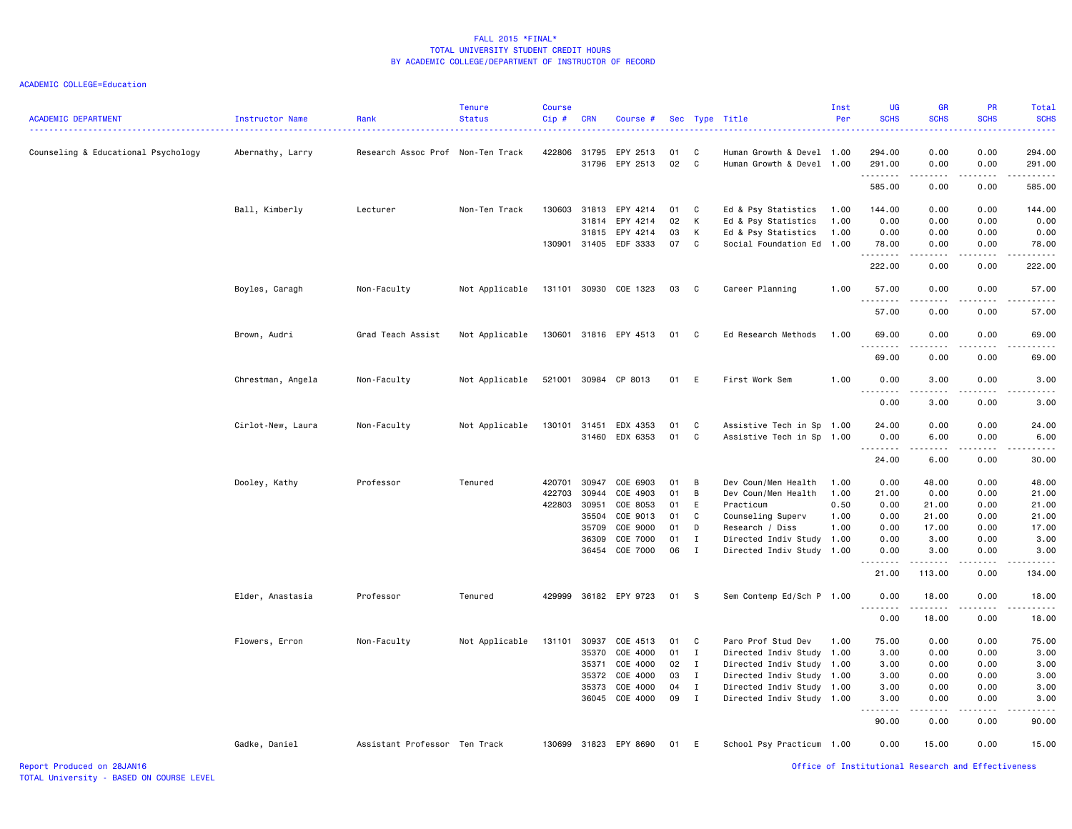| <b>ACADEMIC DEPARTMENT</b>          | Instructor Name   | Rank                              | <b>Tenure</b><br><b>Status</b> | <b>Course</b><br>Cip# | <b>CRN</b> | Course #              |      |                | Sec Type Title            | Inst<br>Per | UG<br><b>SCHS</b> | GR<br><b>SCHS</b>                                                                                                                 | PR<br><b>SCHS</b>     | Total<br><b>SCHS</b>                                                                                                                                                                      |
|-------------------------------------|-------------------|-----------------------------------|--------------------------------|-----------------------|------------|-----------------------|------|----------------|---------------------------|-------------|-------------------|-----------------------------------------------------------------------------------------------------------------------------------|-----------------------|-------------------------------------------------------------------------------------------------------------------------------------------------------------------------------------------|
| Counseling & Educational Psychology | Abernathy, Larry  | Research Assoc Prof Non-Ten Track |                                | 422806                | 31795      | EPY 2513              | 01   | C              | Human Growth & Devel 1.00 |             | 294.00            | 0.00                                                                                                                              | 0.00                  | 294.00                                                                                                                                                                                    |
|                                     |                   |                                   |                                |                       |            | 31796 EPY 2513        | 02   | $\mathbf{C}$   | Human Growth & Devel 1.00 |             | 291.00<br>.       | 0.00<br>$\frac{1}{2} \left( \frac{1}{2} \right) \left( \frac{1}{2} \right) \left( \frac{1}{2} \right) \left( \frac{1}{2} \right)$ | 0.00<br>.             | 291.00<br>$\frac{1}{2} \left( \frac{1}{2} \right) \left( \frac{1}{2} \right) \left( \frac{1}{2} \right) \left( \frac{1}{2} \right) \left( \frac{1}{2} \right) \left( \frac{1}{2} \right)$ |
|                                     |                   |                                   |                                |                       |            |                       |      |                |                           |             | 585.00            | 0.00                                                                                                                              | 0.00                  | 585.00                                                                                                                                                                                    |
|                                     | Ball, Kimberly    | Lecturer                          | Non-Ten Track                  | 130603                | 31813      | EPY 4214              | 01   | C              | Ed & Psy Statistics       | 1.00        | 144.00            | 0.00                                                                                                                              | 0.00                  | 144.00                                                                                                                                                                                    |
|                                     |                   |                                   |                                |                       | 31814      | EPY 4214              | 02   | к              | Ed & Psy Statistics       | 1.00        | 0.00              | 0.00                                                                                                                              | 0.00                  | 0.00                                                                                                                                                                                      |
|                                     |                   |                                   |                                |                       | 31815      | EPY 4214              | 03   | к              | Ed & Psy Statistics       | 1.00        | 0.00              | 0.00                                                                                                                              | 0.00                  | 0.00                                                                                                                                                                                      |
|                                     |                   |                                   |                                |                       |            | 130901 31405 EDF 3333 | 07   | C              | Social Foundation Ed 1.00 |             | 78.00<br>.        | 0.00<br>$\omega$ is a $\omega$                                                                                                    | 0.00<br>.             | 78.00<br>.                                                                                                                                                                                |
|                                     |                   |                                   |                                |                       |            |                       |      |                |                           |             | 222.00            | 0.00                                                                                                                              | 0.00                  | 222.00                                                                                                                                                                                    |
|                                     | Boyles, Caragh    | Non-Faculty                       | Not Applicable                 |                       |            | 131101 30930 COE 1323 | 03   | C              | Career Planning           | 1.00        | 57.00<br>.        | 0.00<br>$\sim$ $\sim$ $\sim$ $\sim$                                                                                               | 0.00<br>.             | 57.00                                                                                                                                                                                     |
|                                     |                   |                                   |                                |                       |            |                       |      |                |                           |             | 57.00             | 0.00                                                                                                                              | 0.00                  | 57.00                                                                                                                                                                                     |
|                                     | Brown, Audri      | Grad Teach Assist                 | Not Applicable                 |                       |            | 130601 31816 EPY 4513 | 01   | $\overline{C}$ | Ed Research Methods       | 1.00        | 69.00<br><u>.</u> | 0.00                                                                                                                              | 0.00                  | 69.00                                                                                                                                                                                     |
|                                     |                   |                                   |                                |                       |            |                       |      |                |                           |             | 69.00             | $\sim$ $\sim$ $\sim$<br>0.00                                                                                                      | .<br>0.00             | .<br>69.00                                                                                                                                                                                |
|                                     | Chrestman, Angela | Non-Faculty                       | Not Applicable                 | 521001                |            | 30984 CP 8013         | 01 E |                | First Work Sem            | 1.00        | 0.00              | 3.00                                                                                                                              | 0.00                  | 3.00                                                                                                                                                                                      |
|                                     |                   |                                   |                                |                       |            |                       |      |                |                           |             | 0.00              | 3.00                                                                                                                              | 0.00                  | 3.00                                                                                                                                                                                      |
|                                     | Cirlot-New, Laura | Non-Faculty                       | Not Applicable                 | 130101                | 31451      | EDX 4353              | 01   | $\mathbf{C}$   | Assistive Tech in Sp 1.00 |             | 24.00             | 0.00                                                                                                                              | 0.00                  | 24.00                                                                                                                                                                                     |
|                                     |                   |                                   |                                |                       |            | 31460 EDX 6353        | 01   | $\overline{c}$ | Assistive Tech in Sp      | 1.00        | 0.00<br>.         | 6.00<br>.                                                                                                                         | 0.00<br>$\frac{1}{2}$ | 6.00                                                                                                                                                                                      |
|                                     |                   |                                   |                                |                       |            |                       |      |                |                           |             | 24.00             | 6.00                                                                                                                              | 0.00                  | 30.00                                                                                                                                                                                     |
|                                     | Dooley, Kathy     | Professor                         | Tenured                        | 420701                | 30947      | COE 6903              | 01   | $\overline{B}$ | Dev Coun/Men Health       | 1.00        | 0.00              | 48.00                                                                                                                             | 0.00                  | 48.00                                                                                                                                                                                     |
|                                     |                   |                                   |                                | 422703                | 30944      | COE 4903              | 01   | B              | Dev Coun/Men Health       | 1.00        | 21.00             | 0.00                                                                                                                              | 0.00                  | 21.00                                                                                                                                                                                     |
|                                     |                   |                                   |                                | 422803                | 30951      | COE 8053              | 01   | E              | Practicum                 | 0.50        | 0.00              | 21.00                                                                                                                             | 0.00                  | 21.00                                                                                                                                                                                     |
|                                     |                   |                                   |                                |                       | 35504      | COE 9013              | 01   | C              | Counseling Superv         | 1.00        | 0.00              | 21.00                                                                                                                             | 0.00                  | 21.00                                                                                                                                                                                     |
|                                     |                   |                                   |                                |                       | 35709      | COE 9000              | 01   | D              | Research / Diss           | 1.00        | 0.00              | 17.00                                                                                                                             | 0.00                  | 17.00                                                                                                                                                                                     |
|                                     |                   |                                   |                                |                       | 36309      | COE 7000              | 01   | $\mathbf{I}$   | Directed Indiv Study      | 1.00        | 0.00              | 3.00                                                                                                                              | 0.00                  | 3.00                                                                                                                                                                                      |
|                                     |                   |                                   |                                |                       |            | 36454 COE 7000        | 06   | $\mathbf{I}$   | Directed Indiv Study 1.00 |             | 0.00              | 3.00<br>.                                                                                                                         | 0.00<br>.             | 3.00                                                                                                                                                                                      |
|                                     |                   |                                   |                                |                       |            |                       |      |                |                           |             | 21.00             | 113.00                                                                                                                            | 0.00                  | 134.00                                                                                                                                                                                    |
|                                     | Elder, Anastasia  | Professor                         | Tenured                        | 429999                |            | 36182 EPY 9723        | 01   | $\mathbf{s}$   | Sem Contemp Ed/Sch P 1.00 |             | 0.00<br>.         | 18.00<br>.                                                                                                                        | 0.00<br>.             | 18.00                                                                                                                                                                                     |
|                                     |                   |                                   |                                |                       |            |                       |      |                |                           |             | 0.00              | 18.00                                                                                                                             | 0.00                  | 18.00                                                                                                                                                                                     |
|                                     | Flowers, Erron    | Non-Faculty                       | Not Applicable                 | 131101                | 30937      | COE 4513              | 01 C |                | Paro Prof Stud Dev        | 1.00        | 75.00             | 0.00                                                                                                                              | 0.00                  | 75.00                                                                                                                                                                                     |
|                                     |                   |                                   |                                |                       | 35370      | COE 4000              | 01   | $\mathbf{I}$   | Directed Indiv Study      | 1.00        | 3.00              | 0.00                                                                                                                              | 0.00                  | 3.00                                                                                                                                                                                      |
|                                     |                   |                                   |                                |                       | 35371      | COE 4000              | 02   | $\mathbf{I}$   | Directed Indiv Study 1.00 |             | 3.00              | 0.00                                                                                                                              | 0.00                  | 3.00                                                                                                                                                                                      |
|                                     |                   |                                   |                                |                       | 35372      | COE 4000              | 03   | $\mathbf I$    | Directed Indiv Study      | 1.00        | 3.00              | 0.00                                                                                                                              | 0.00                  | 3.00                                                                                                                                                                                      |
|                                     |                   |                                   |                                |                       | 35373      | COE 4000              | 04   | $\mathbf{I}$   | Directed Indiv Study      | 1.00        | 3.00              | 0.00                                                                                                                              | 0.00                  | 3.00                                                                                                                                                                                      |
|                                     |                   |                                   |                                |                       | 36045      | COE 4000              | 09   | $\mathbf{I}$   | Directed Indiv Study      | 1.00        | 3.00              | 0.00                                                                                                                              | 0.00                  | 3.00                                                                                                                                                                                      |
|                                     |                   |                                   |                                |                       |            |                       |      |                |                           |             | 90.00             | 0.00                                                                                                                              | 0.00                  | 90.00                                                                                                                                                                                     |
|                                     | Gadke, Daniel     | Assistant Professor Ten Track     |                                |                       |            | 130699 31823 EPY 8690 | 01 E |                | School Psy Practicum 1.00 |             | 0.00              | 15.00                                                                                                                             | 0.00                  | 15.00                                                                                                                                                                                     |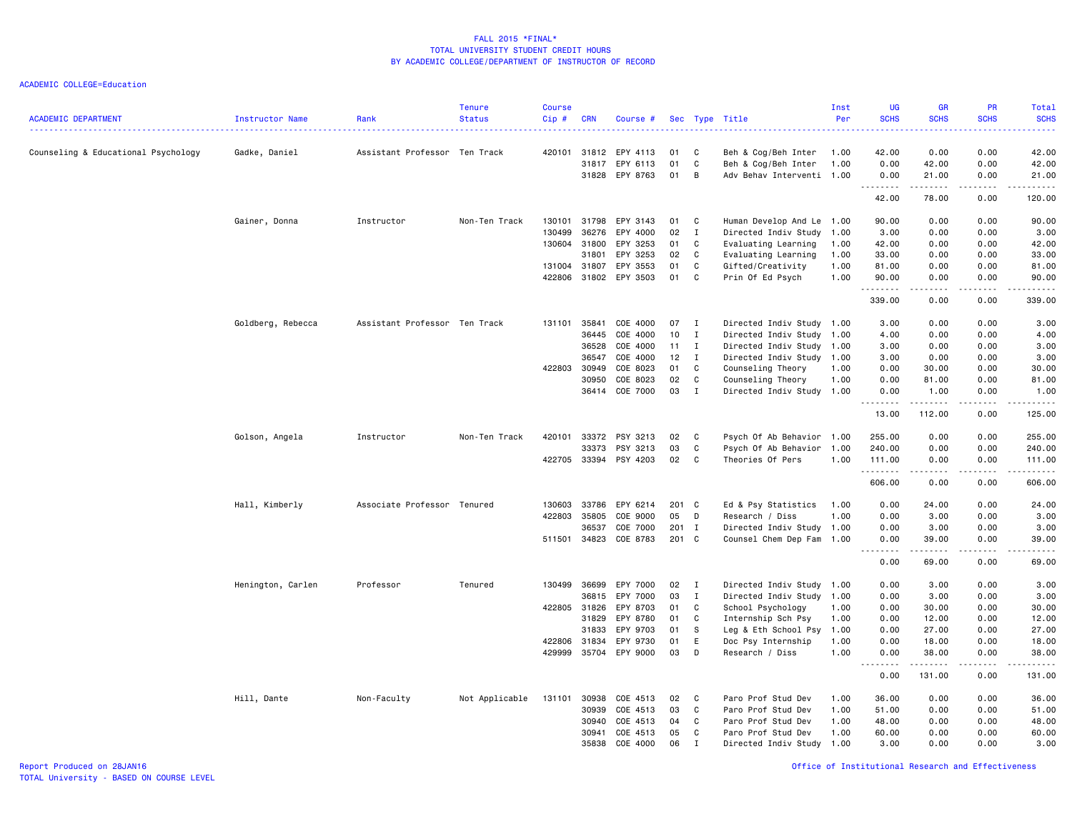| <b>ACADEMIC DEPARTMENT</b>          | <b>Instructor Name</b> | Rank                          | <b>Tenure</b><br><b>Status</b> | <b>Course</b><br>Cip# | <b>CRN</b> | Course #                         |          |              | Sec Type Title                                   | Inst<br>Per | UG<br><b>SCHS</b><br>222 L                                                                                                                                                                                                                                                                                                                                                                                                                                                                     | <b>GR</b><br><b>SCHS</b>                                                                                                                                     | <b>PR</b><br><b>SCHS</b> | <b>Total</b><br><b>SCHS</b><br>د د د د د                                                                                          |
|-------------------------------------|------------------------|-------------------------------|--------------------------------|-----------------------|------------|----------------------------------|----------|--------------|--------------------------------------------------|-------------|------------------------------------------------------------------------------------------------------------------------------------------------------------------------------------------------------------------------------------------------------------------------------------------------------------------------------------------------------------------------------------------------------------------------------------------------------------------------------------------------|--------------------------------------------------------------------------------------------------------------------------------------------------------------|--------------------------|-----------------------------------------------------------------------------------------------------------------------------------|
| Counseling & Educational Psychology | Gadke, Daniel          | Assistant Professor Ten Track |                                | 420101                | 31812      | EPY 4113                         | 01       | C            | Beh & Cog/Beh Inter                              | 1.00        | 42.00                                                                                                                                                                                                                                                                                                                                                                                                                                                                                          | 0.00                                                                                                                                                         | 0.00                     | 42.00                                                                                                                             |
|                                     |                        |                               |                                |                       |            | 31817 EPY 6113<br>31828 EPY 8763 | 01<br>01 | C<br>B       | Beh & Cog/Beh Inter<br>Adv Behav Interventi 1.00 | 1.00        | 0.00<br>0.00                                                                                                                                                                                                                                                                                                                                                                                                                                                                                   | 42.00<br>21.00                                                                                                                                               | 0.00<br>0.00             | 42.00<br>21.00                                                                                                                    |
|                                     |                        |                               |                                |                       |            |                                  |          |              |                                                  |             | .<br>42.00                                                                                                                                                                                                                                                                                                                                                                                                                                                                                     | .<br>78.00                                                                                                                                                   | .<br>0.00                | .<br>120.00                                                                                                                       |
|                                     | Gainer, Donna          | Instructor                    | Non-Ten Track                  | 130101                | 31798      | EPY 3143                         | 01       | C            | Human Develop And Le 1.00                        |             | 90.00                                                                                                                                                                                                                                                                                                                                                                                                                                                                                          | 0.00                                                                                                                                                         | 0.00                     | 90.00                                                                                                                             |
|                                     |                        |                               |                                | 130499                | 36276      | EPY 4000                         | 02       | Ι.           | Directed Indiv Study                             | 1.00        | 3.00                                                                                                                                                                                                                                                                                                                                                                                                                                                                                           | 0.00                                                                                                                                                         | 0.00                     | 3.00                                                                                                                              |
|                                     |                        |                               |                                | 130604                | 31800      | EPY 3253                         | 01       | C            | Evaluating Learning                              | 1.00        | 42.00                                                                                                                                                                                                                                                                                                                                                                                                                                                                                          | 0.00                                                                                                                                                         | 0.00                     | 42.00                                                                                                                             |
|                                     |                        |                               |                                |                       | 31801      | EPY 3253                         | 02       | C            | Evaluating Learning                              | 1.00        | 33.00                                                                                                                                                                                                                                                                                                                                                                                                                                                                                          | 0.00                                                                                                                                                         | 0.00                     | 33.00                                                                                                                             |
|                                     |                        |                               |                                | 131004 31807          |            | EPY 3553                         | 01       | C            | Gifted/Creativity                                | 1.00        | 81.00                                                                                                                                                                                                                                                                                                                                                                                                                                                                                          | 0.00                                                                                                                                                         | 0.00                     | 81.00                                                                                                                             |
|                                     |                        |                               |                                | 422806                |            | 31802 EPY 3503                   | 01       | C            | Prin Of Ed Psych                                 | 1.00        | 90.00<br>.                                                                                                                                                                                                                                                                                                                                                                                                                                                                                     | 0.00<br>$\frac{1}{2} \left( \frac{1}{2} \right) \left( \frac{1}{2} \right) \left( \frac{1}{2} \right) \left( \frac{1}{2} \right) \left( \frac{1}{2} \right)$ | 0.00<br>.                | 90.00<br>.                                                                                                                        |
|                                     |                        |                               |                                |                       |            |                                  |          |              |                                                  |             | 339.00                                                                                                                                                                                                                                                                                                                                                                                                                                                                                         | 0.00                                                                                                                                                         | 0.00                     | 339.00                                                                                                                            |
|                                     | Goldberg, Rebecca      | Assistant Professor Ten Track |                                | 131101                | 35841      | COE 4000                         | 07       | $\mathbf{I}$ | Directed Indiv Study 1.00                        |             | 3.00                                                                                                                                                                                                                                                                                                                                                                                                                                                                                           | 0.00                                                                                                                                                         | 0.00                     | 3.00                                                                                                                              |
|                                     |                        |                               |                                |                       | 36445      | COE 4000                         | 10       | Ι.           | Directed Indiv Study 1.00                        |             | 4.00                                                                                                                                                                                                                                                                                                                                                                                                                                                                                           | 0.00                                                                                                                                                         | 0.00                     | 4.00                                                                                                                              |
|                                     |                        |                               |                                |                       | 36528      | COE 4000                         | 11       | I            | Directed Indiv Study                             | 1.00        | 3.00                                                                                                                                                                                                                                                                                                                                                                                                                                                                                           | 0.00                                                                                                                                                         | 0.00                     | 3.00                                                                                                                              |
|                                     |                        |                               |                                |                       | 36547      | COE 4000                         | 12       | $\mathbf I$  | Directed Indiv Study 1.00                        |             | 3.00                                                                                                                                                                                                                                                                                                                                                                                                                                                                                           | 0.00                                                                                                                                                         | 0.00                     | 3.00                                                                                                                              |
|                                     |                        |                               |                                | 422803                | 30949      | COE 8023                         | 01       | C            | Counseling Theory                                | 1.00        | 0.00                                                                                                                                                                                                                                                                                                                                                                                                                                                                                           | 30.00                                                                                                                                                        | 0.00                     | 30.00                                                                                                                             |
|                                     |                        |                               |                                |                       | 30950      | COE 8023                         | 02       | C            | Counseling Theory                                | 1.00        | 0.00                                                                                                                                                                                                                                                                                                                                                                                                                                                                                           | 81.00                                                                                                                                                        | 0.00                     | 81.00                                                                                                                             |
|                                     |                        |                               |                                |                       |            | 36414 COE 7000                   | 03       | $\;$ I       | Directed Indiv Study 1.00                        |             | 0.00<br>$\begin{array}{cccccccccccccc} \multicolumn{2}{c}{} & \multicolumn{2}{c}{} & \multicolumn{2}{c}{} & \multicolumn{2}{c}{} & \multicolumn{2}{c}{} & \multicolumn{2}{c}{} & \multicolumn{2}{c}{} & \multicolumn{2}{c}{} & \multicolumn{2}{c}{} & \multicolumn{2}{c}{} & \multicolumn{2}{c}{} & \multicolumn{2}{c}{} & \multicolumn{2}{c}{} & \multicolumn{2}{c}{} & \multicolumn{2}{c}{} & \multicolumn{2}{c}{} & \multicolumn{2}{c}{} & \multicolumn{2}{c}{} & \multicolumn{2}{c}{} & \$ | 1.00<br>.                                                                                                                                                    | 0.00<br>.                | 1.00<br>$\begin{array}{cccccccccccccc} \bullet & \bullet & \bullet & \bullet & \bullet & \bullet & \bullet & \bullet \end{array}$ |
|                                     |                        |                               |                                |                       |            |                                  |          |              |                                                  |             | 13.00                                                                                                                                                                                                                                                                                                                                                                                                                                                                                          | 112.00                                                                                                                                                       | 0.00                     | 125.00                                                                                                                            |
|                                     | Golson, Angela         | Instructor                    | Non-Ten Track                  | 420101                | 33372      | PSY 3213                         | 02       | C            | Psych Of Ab Behavior 1.00                        |             | 255.00                                                                                                                                                                                                                                                                                                                                                                                                                                                                                         | 0.00                                                                                                                                                         | 0.00                     | 255.00                                                                                                                            |
|                                     |                        |                               |                                |                       | 33373      | PSY 3213                         | 03       | C            | Psych Of Ab Behavior 1.00                        |             | 240.00                                                                                                                                                                                                                                                                                                                                                                                                                                                                                         | 0.00                                                                                                                                                         | 0.00                     | 240.00                                                                                                                            |
|                                     |                        |                               |                                | 422705                |            | 33394 PSY 4203                   | 02       | C            | Theories Of Pers                                 | 1.00        | 111.00<br>.                                                                                                                                                                                                                                                                                                                                                                                                                                                                                    | 0.00<br>.                                                                                                                                                    | 0.00<br>.                | 111.00<br>.                                                                                                                       |
|                                     |                        |                               |                                |                       |            |                                  |          |              |                                                  |             | 606.00                                                                                                                                                                                                                                                                                                                                                                                                                                                                                         | 0.00                                                                                                                                                         | 0.00                     | 606.00                                                                                                                            |
|                                     | Hall, Kimberly         | Associate Professor Tenured   |                                | 130603                | 33786      | EPY 6214                         | 201 C    |              | Ed & Psy Statistics                              | 1.00        | 0.00                                                                                                                                                                                                                                                                                                                                                                                                                                                                                           | 24.00                                                                                                                                                        | 0.00                     | 24.00                                                                                                                             |
|                                     |                        |                               |                                | 422803                | 35805      | COE 9000                         | 05       | D            | Research / Diss                                  | 1.00        | 0.00                                                                                                                                                                                                                                                                                                                                                                                                                                                                                           | 3.00                                                                                                                                                         | 0.00                     | 3.00                                                                                                                              |
|                                     |                        |                               |                                |                       | 36537      | COE 7000                         | 201      | $\mathbf{I}$ | Directed Indiv Study 1.00                        |             | 0.00                                                                                                                                                                                                                                                                                                                                                                                                                                                                                           | 3.00                                                                                                                                                         | 0.00                     | 3.00                                                                                                                              |
|                                     |                        |                               |                                | 511501 34823          |            | COE 8783                         | 201 C    |              | Counsel Chem Dep Fam 1.00                        |             | 0.00<br>$- - - - -$<br>$\sim$ $\sim$ $\sim$                                                                                                                                                                                                                                                                                                                                                                                                                                                    | 39.00<br>.                                                                                                                                                   | 0.00<br>.                | 39.00<br>د د د د د                                                                                                                |
|                                     |                        |                               |                                |                       |            |                                  |          |              |                                                  |             | 0.00                                                                                                                                                                                                                                                                                                                                                                                                                                                                                           | 69.00                                                                                                                                                        | 0.00                     | 69.00                                                                                                                             |
|                                     | Henington, Carlen      | Professor                     | Tenured                        | 130499                | 36699      | EPY 7000                         | 02       | $\mathbf{I}$ | Directed Indiv Study                             | 1.00        | 0.00                                                                                                                                                                                                                                                                                                                                                                                                                                                                                           | 3.00                                                                                                                                                         | 0.00                     | 3.00                                                                                                                              |
|                                     |                        |                               |                                |                       | 36815      | EPY 7000                         | 03       | I            | Directed Indiv Study 1.00                        |             | 0.00                                                                                                                                                                                                                                                                                                                                                                                                                                                                                           | 3.00                                                                                                                                                         | 0.00                     | 3.00                                                                                                                              |
|                                     |                        |                               |                                | 422805 31826          |            | EPY 8703                         | 01       | C            | School Psychology                                | 1.00        | 0.00                                                                                                                                                                                                                                                                                                                                                                                                                                                                                           | 30.00                                                                                                                                                        | 0.00                     | 30.00                                                                                                                             |
|                                     |                        |                               |                                |                       | 31829      | EPY 8780                         | 01       | C            | Internship Sch Psy                               | 1.00        | 0.00                                                                                                                                                                                                                                                                                                                                                                                                                                                                                           | 12.00                                                                                                                                                        | 0.00                     | 12.00                                                                                                                             |
|                                     |                        |                               |                                |                       | 31833      | EPY 9703                         | 01       | S            | Leg & Eth School Psy                             | 1.00        | 0.00                                                                                                                                                                                                                                                                                                                                                                                                                                                                                           | 27.00                                                                                                                                                        | 0.00                     | 27.00                                                                                                                             |
|                                     |                        |                               |                                | 422806                | 31834      | EPY 9730                         | 01       | E            | Doc Psy Internship                               | 1.00        | 0.00                                                                                                                                                                                                                                                                                                                                                                                                                                                                                           | 18.00                                                                                                                                                        | 0.00                     | 18.00                                                                                                                             |
|                                     |                        |                               |                                | 429999                |            | 35704 EPY 9000                   | 03       | D            | Research / Diss                                  | 1.00        | 0.00<br>$\frac{1}{2} \left( \frac{1}{2} \right) \left( \frac{1}{2} \right) \left( \frac{1}{2} \right) \left( \frac{1}{2} \right) \left( \frac{1}{2} \right)$<br>$\sim$ $\sim$ $\sim$                                                                                                                                                                                                                                                                                                           | 38.00<br>.                                                                                                                                                   | 0.00<br>المالم مالك      | 38.00<br>.                                                                                                                        |
|                                     |                        |                               |                                |                       |            |                                  |          |              |                                                  |             | 0.00                                                                                                                                                                                                                                                                                                                                                                                                                                                                                           | 131.00                                                                                                                                                       | 0.00                     | 131.00                                                                                                                            |
|                                     | Hill, Dante            | Non-Faculty                   | Not Applicable                 | 131101                | 30938      | COE 4513                         | 02       | C.           | Paro Prof Stud Dev                               | 1.00        | 36.00                                                                                                                                                                                                                                                                                                                                                                                                                                                                                          | 0.00                                                                                                                                                         | 0.00                     | 36.00                                                                                                                             |
|                                     |                        |                               |                                |                       | 30939      | COE 4513                         | 03       | C            | Paro Prof Stud Dev                               | 1.00        | 51.00                                                                                                                                                                                                                                                                                                                                                                                                                                                                                          | 0.00                                                                                                                                                         | 0.00                     | 51.00                                                                                                                             |
|                                     |                        |                               |                                |                       | 30940      | COE 4513                         | 04       | C            | Paro Prof Stud Dev                               | 1.00        | 48.00                                                                                                                                                                                                                                                                                                                                                                                                                                                                                          | 0.00                                                                                                                                                         | 0.00                     | 48.00                                                                                                                             |
|                                     |                        |                               |                                |                       | 30941      | COE 4513                         | 05       | C            | Paro Prof Stud Dev                               | 1.00        | 60.00                                                                                                                                                                                                                                                                                                                                                                                                                                                                                          | 0.00                                                                                                                                                         | 0.00                     | 60.00                                                                                                                             |
|                                     |                        |                               |                                |                       | 35838      | COE 4000                         | 06       | $\mathbf I$  | Directed Indiv Study                             | 1.00        | 3.00                                                                                                                                                                                                                                                                                                                                                                                                                                                                                           | 0.00                                                                                                                                                         | 0.00                     | 3.00                                                                                                                              |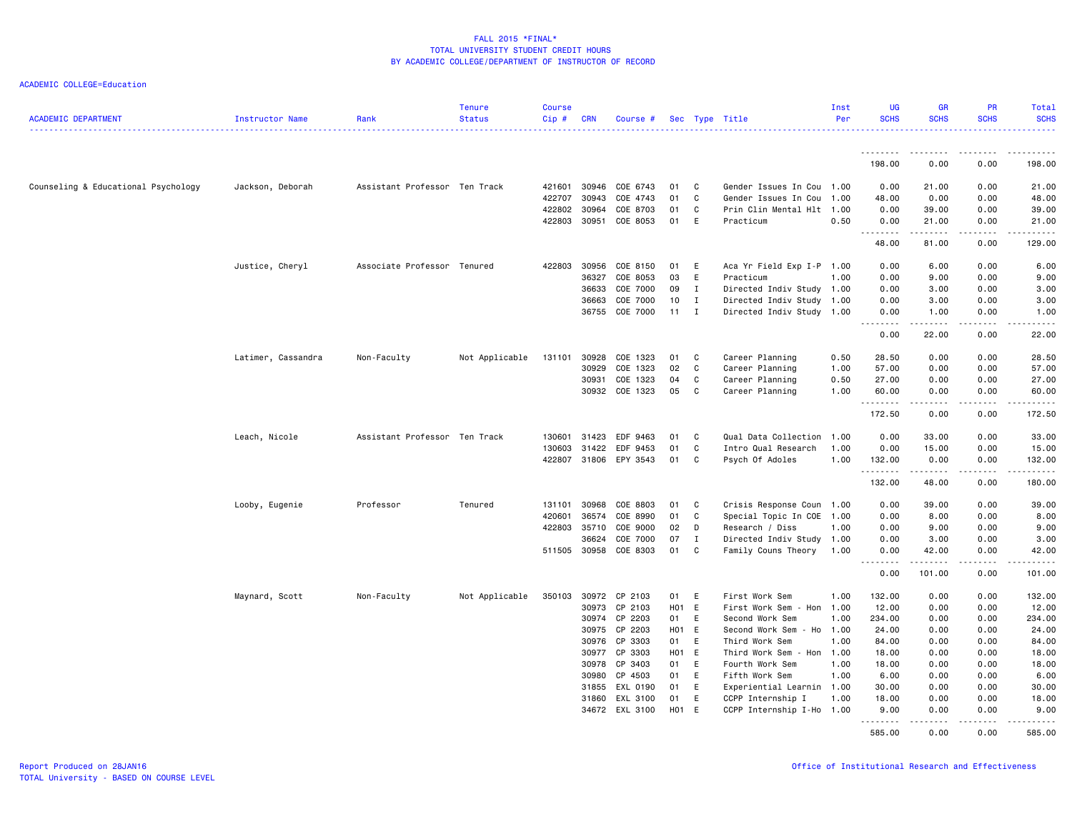| <b>ACADEMIC DEPARTMENT</b>          | Instructor Name    | Rank                          | <b>Tenure</b><br><b>Status</b> | <b>Course</b><br>Cip# | <b>CRN</b>   | Course #              |       |              | Sec Type Title            | Inst<br>Per | UG<br><b>SCHS</b>  | <b>GR</b><br><b>SCHS</b>     | PR<br><b>SCHS</b> | Total<br><b>SCHS</b>  |
|-------------------------------------|--------------------|-------------------------------|--------------------------------|-----------------------|--------------|-----------------------|-------|--------------|---------------------------|-------------|--------------------|------------------------------|-------------------|-----------------------|
|                                     |                    |                               |                                |                       |              |                       |       |              |                           |             | .                  | .                            |                   |                       |
|                                     |                    |                               |                                |                       |              |                       |       |              |                           |             | 198.00             | 0.00                         | 0.00              | 198.00                |
| Counseling & Educational Psychology | Jackson, Deborah   | Assistant Professor Ten Track |                                | 421601                | 30946        | COE 6743              | 01    | C            | Gender Issues In Cou      | 1.00        | 0.00               | 21.00                        | 0.00              | 21.00                 |
|                                     |                    |                               |                                | 422707                | 30943        | COE 4743              | 01    | C            | Gender Issues In Cou      | 1.00        | 48.00              | 0.00                         | 0.00              | 48.00                 |
|                                     |                    |                               |                                | 422802                | 30964        | COE 8703              | 01    | C            | Prin Clin Mental Hlt      | 1.00        | 0.00               | 39.00                        | 0.00              | 39.00                 |
|                                     |                    |                               |                                | 422803                | 30951        | COE 8053              | 01    | E            | Practicum                 | 0.50        | 0.00<br>. <b>.</b> | 21.00<br>------              | 0.00<br>-----     | 21.00<br>.            |
|                                     |                    |                               |                                |                       |              |                       |       |              |                           |             | 48.00              | 81.00                        | 0.00              | 129.00                |
|                                     | Justice, Cheryl    | Associate Professor Tenured   |                                | 422803                | 30956        | COE 8150              | 01    | E            | Aca Yr Field Exp I-P 1.00 |             | 0.00               | 6.00                         | 0.00              | 6.00                  |
|                                     |                    |                               |                                |                       | 36327        | COE 8053              | 03    | E            | Practicum                 | 1.00        | 0.00               | 9.00                         | 0.00              | 9.00                  |
|                                     |                    |                               |                                |                       | 36633        | COE 7000              | 09    | $\mathbf I$  | Directed Indiv Study 1.00 |             | 0.00               | 3.00                         | 0.00              | 3.00                  |
|                                     |                    |                               |                                |                       | 36663        | COE 7000              | 10    | $\mathbf{I}$ | Directed Indiv Study 1.00 |             | 0.00               | 3.00                         | 0.00              | 3.00                  |
|                                     |                    |                               |                                |                       | 36755        | COE 7000              | 11    | I            | Directed Indiv Study 1.00 |             | 0.00               | 1.00                         | 0.00              | 1.00                  |
|                                     |                    |                               |                                |                       |              |                       |       |              |                           |             | د د د د د<br>0.00  | .<br>22.00                   | د د د د<br>0.00   | د د د د د<br>22.00    |
|                                     | Latimer, Cassandra | Non-Faculty                   | Not Applicable                 | 131101                | 30928        | COE 1323              | 01    | C            | Career Planning           | 0.50        | 28.50              | 0.00                         | 0.00              | 28.50                 |
|                                     |                    |                               |                                |                       | 30929        | COE 1323              | 02    | $\mathbf{C}$ | Career Planning           | 1.00        | 57.00              | 0.00                         | 0.00              | 57.00                 |
|                                     |                    |                               |                                |                       | 30931        | COE 1323              | 04    | C            | Career Planning           | 0.50        | 27.00              | 0.00                         | 0.00              | 27.00                 |
|                                     |                    |                               |                                |                       |              | 30932 COE 1323        | 05    | C            | Career Planning           | 1.00        | 60.00              | 0.00                         | 0.00              | 60.00                 |
|                                     |                    |                               |                                |                       |              |                       |       |              |                           |             | .<br>172.50        | $\sim$ $\sim$ $\sim$<br>0.00 | المتمامين<br>0.00 | الدامات بال<br>172.50 |
|                                     | Leach, Nicole      | Assistant Professor Ten Track |                                | 130601                | 31423        | EDF 9463              | 01    | C            | Qual Data Collection      | 1.00        | 0.00               | 33.00                        | 0.00              | 33.00                 |
|                                     |                    |                               |                                | 130603                | 31422        | EDF 9453              | 01    | C            | Intro Qual Research       | 1.00        | 0.00               | 15.00                        | 0.00              | 15.00                 |
|                                     |                    |                               |                                |                       |              | 422807 31806 EPY 3543 | 01    | C            | Psych Of Adoles           | 1.00        | 132.00             | 0.00                         | 0.00              | 132.00                |
|                                     |                    |                               |                                |                       |              |                       |       |              |                           |             | .<br>132.00        | .<br>48.00                   | .<br>0.00         | .<br>180.00           |
|                                     | Looby, Eugenie     | Professor                     | Tenured                        | 131101                | 30968        | COE 8803              | 01    | C            | Crisis Response Coun      | 1.00        | 0.00               | 39.00                        | 0.00              | 39.00                 |
|                                     |                    |                               |                                | 420601                | 36574        | COE 8990              | 01    | C            | Special Topic In COE      | 1.00        | 0.00               | 8.00                         | 0.00              | 8.00                  |
|                                     |                    |                               |                                | 422803                | 35710        | COE 9000              | 02    | D            | Research / Diss           | 1.00        | 0.00               | 9.00                         | 0.00              | 9.00                  |
|                                     |                    |                               |                                |                       | 36624        | COE 7000              | 07    | I            | Directed Indiv Study      | 1.00        | 0.00               | 3.00                         | 0.00              | 3.00                  |
|                                     |                    |                               |                                |                       | 511505 30958 | COE 8303              | 01    | C            | Family Couns Theory       | 1.00        | 0.00               | 42.00                        | 0.00              | 42.00                 |
|                                     |                    |                               |                                |                       |              |                       |       |              |                           |             | 0.00               | 101.00                       | .<br>0.00         | 101.00                |
|                                     | Maynard, Scott     | Non-Faculty                   | Not Applicable                 | 350103                | 30972        | CP 2103               | 01    | E            | First Work Sem            | 1.00        | 132.00             | 0.00                         | 0.00              | 132.00                |
|                                     |                    |                               |                                |                       | 30973        | CP 2103               | H01 E |              | First Work Sem - Hon      | 1.00        | 12.00              | 0.00                         | 0.00              | 12.00                 |
|                                     |                    |                               |                                |                       | 30974        | CP 2203               | 01 E  |              | Second Work Sem           | 1.00        | 234.00             | 0.00                         | 0.00              | 234.00                |
|                                     |                    |                               |                                |                       | 30975        | CP 2203               | H01 E |              | Second Work Sem - Ho      | 1.00        | 24.00              | 0.00                         | 0.00              | 24.00                 |
|                                     |                    |                               |                                |                       | 30976        | CP 3303               | 01    | E            | Third Work Sem            | 1.00        | 84.00              | 0.00                         | 0.00              | 84.00                 |
|                                     |                    |                               |                                |                       | 30977        | CP 3303               | H01 E |              | Third Work Sem - Hon      | 1.00        | 18.00              | 0.00                         | 0.00              | 18.00                 |
|                                     |                    |                               |                                |                       | 30978        | CP 3403               | 01    | E            | Fourth Work Sem           | 1.00        | 18.00              | 0.00                         | 0.00              | 18.00                 |
|                                     |                    |                               |                                |                       | 30980        | CP 4503               | 01    | E            | Fifth Work Sem            | 1.00        | 6.00               | 0.00                         | 0.00              | 6.00                  |
|                                     |                    |                               |                                |                       |              | 31855 EXL 0190        | 01    | E            | Experiential Learnin 1.00 |             | 30.00              | 0.00                         | 0.00              | 30.00                 |
|                                     |                    |                               |                                |                       | 31860        | EXL 3100              | 01    | E            | CCPP Internship I         | 1.00        | 18.00              | 0.00                         | 0.00              | 18.00                 |
|                                     |                    |                               |                                |                       | 34672        | EXL 3100              | H01 E |              | CCPP Internship I-Ho      | 1.00        | 9.00               | 0.00                         | 0.00              | 9.00                  |
|                                     |                    |                               |                                |                       |              |                       |       |              |                           |             | .<br>585.00        | .<br>0.00                    | .<br>0.00         | .<br>585.00           |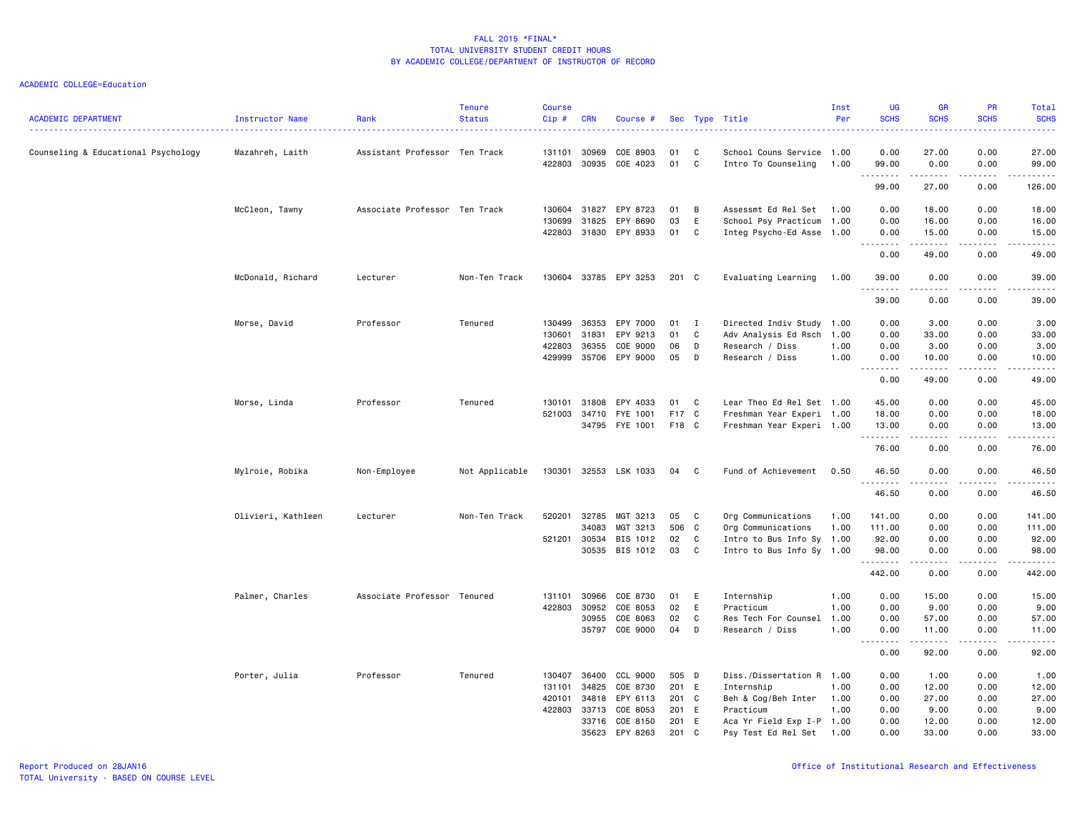| <b>ACADEMIC DEPARTMENT</b>          | <b>Instructor Name</b> | Rank                          | <b>Tenure</b><br><b>Status</b> | <b>Course</b><br>Cip# | <b>CRN</b> | Course #       |       |              | Sec Type Title            | Inst<br>Per | UG<br><b>SCHS</b> | <b>GR</b><br><b>SCHS</b> | <b>PR</b><br><b>SCHS</b> | Total<br><b>SCHS</b><br>. |
|-------------------------------------|------------------------|-------------------------------|--------------------------------|-----------------------|------------|----------------|-------|--------------|---------------------------|-------------|-------------------|--------------------------|--------------------------|---------------------------|
| Counseling & Educational Psychology | Mazahreh, Laith        | Assistant Professor Ten Track |                                | 131101                | 30969      | COE 8903       | 01    | C            | School Couns Service 1.00 |             | 0.00              | 27.00                    | 0.00                     | 27.00                     |
|                                     |                        |                               |                                | 422803                | 30935      | COE 4023       | 01    | C            | Intro To Counseling       | 1.00        | 99.00             | 0.00                     | 0.00                     | 99.00                     |
|                                     |                        |                               |                                |                       |            |                |       |              |                           |             | .<br>99.00        | .<br>27.00               | .<br>0.00                | .<br>126.00               |
|                                     | McCleon, Tawny         | Associate Professor Ten Track |                                | 130604                | 31827      | EPY 8723       | 01    | B            | Assessmt Ed Rel Set       | 1.00        | 0.00              | 18.00                    | 0.00                     | 18.00                     |
|                                     |                        |                               |                                | 130699                | 31825      | EPY 8690       | 03    | E            | School Psy Practicum      | 1.00        | 0.00              | 16.00                    | 0.00                     | 16.00                     |
|                                     |                        |                               |                                | 422803                | 31830      | EPY 8933       | 01    | C            | Integ Psycho-Ed Asse      | 1.00        | 0.00              | 15.00                    | 0.00                     | 15.00                     |
|                                     |                        |                               |                                |                       |            |                |       |              |                           |             | 0.00              | .<br>49.00               | .<br>0.00                | .<br>49.00                |
|                                     | McDonald, Richard      | Lecturer                      | Non-Ten Track                  | 130604                |            | 33785 EPY 3253 | 201 C |              | Evaluating Learning       | 1.00        | 39.00             | 0.00                     | 0.00                     | 39.00                     |
|                                     |                        |                               |                                |                       |            |                |       |              |                           |             | .<br>39.00        | 0.00                     | 0.00                     | .<br>39.00                |
|                                     | Morse, David           | Professor                     | Tenured                        | 130499                | 36353      | EPY 7000       | 01    | $\mathbf{I}$ | Directed Indiv Study      | 1.00        | 0.00              | 3.00                     | 0.00                     | 3.00                      |
|                                     |                        |                               |                                | 130601                | 31831      | EPY 9213       | 01    | C            | Adv Analysis Ed Rsch 1.00 |             | 0.00              | 33.00                    | 0.00                     | 33.00                     |
|                                     |                        |                               |                                | 422803                | 36355      | COE 9000       | 06    | D            | Research / Diss           | 1.00        | 0.00              | 3.00                     | 0.00                     | 3.00                      |
|                                     |                        |                               |                                | 429999                |            | 35706 EPY 9000 | 05    | D            | Research / Diss           | 1.00        | 0.00              | 10.00                    | 0.00                     | 10.00                     |
|                                     |                        |                               |                                |                       |            |                |       |              |                           |             | .                 | .                        | .                        | .                         |
|                                     |                        |                               |                                |                       |            |                |       |              |                           |             | 0.00              | 49.00                    | 0.00                     | 49.00                     |
|                                     | Morse, Linda           | Professor                     | Tenured                        | 130101                | 31808      | EPY 4033       | 01    | C            | Lear Theo Ed Rel Set 1.00 |             | 45.00             | 0.00                     | 0.00                     | 45.00                     |
|                                     |                        |                               |                                | 521003                | 34710      | FYE 1001       | F17 C |              | Freshman Year Experi 1.00 |             | 18.00             | 0.00                     | 0.00                     | 18.00                     |
|                                     |                        |                               |                                |                       |            | 34795 FYE 1001 | F18 C |              | Freshman Year Experi 1.00 |             | 13.00             | 0.00                     | 0.00                     | 13.00                     |
|                                     |                        |                               |                                |                       |            |                |       |              |                           |             | .<br>76.00        | .<br>0.00                | .<br>0.00                | .<br>76.00                |
|                                     | Mylroie, Robika        | Non-Employee                  | Not Applicable                 | 130301                |            | 32553 LSK 1033 | 04    | $\mathbf{C}$ | Fund of Achievement       | 0.50        | 46.50             | 0.00                     | 0.00                     | 46.50                     |
|                                     |                        |                               |                                |                       |            |                |       |              |                           |             | .<br>46.50        | $- - - -$<br>0.00        | $\frac{1}{2}$<br>0.00    | .<br>46.50                |
|                                     | Olivieri, Kathleen     | Lecturer                      | Non-Ten Track                  | 520201                | 32785      | MGT 3213       | 05    | $\mathbf{C}$ | Org Communications        | 1.00        | 141.00            | 0.00                     | 0.00                     | 141.00                    |
|                                     |                        |                               |                                |                       | 34083      | MGT 3213       | 506 C |              | Org Communications        | 1.00        | 111.00            | 0.00                     | 0.00                     | 111.00                    |
|                                     |                        |                               |                                | 521201                | 30534      | BIS 1012       | 02    | C            | Intro to Bus Info Sy      | 1.00        | 92.00             | 0.00                     | 0.00                     | 92.00                     |
|                                     |                        |                               |                                |                       | 30535      | BIS 1012       | 03    | C.           | Intro to Bus Info Sy 1.00 |             | 98.00             | 0.00                     | 0.00                     | 98.00                     |
|                                     |                        |                               |                                |                       |            |                |       |              |                           |             | .<br>442.00       | .<br>0.00                | 0.00                     | .<br>442.00               |
|                                     | Palmer, Charles        | Associate Professor Tenured   |                                | 131101                | 30966      | COE 8730       | 01    | E            | Internship                | 1.00        | 0.00              | 15.00                    | 0.00                     | 15.00                     |
|                                     |                        |                               |                                | 422803                | 30952      | COE 8053       | 02    | E            | Practicum                 | 1.00        | 0.00              | 9.00                     | 0.00                     | 9.00                      |
|                                     |                        |                               |                                |                       | 30955      | COE 8063       | 02    | C            | Res Tech For Counsel      | 1.00        | 0.00              | 57.00                    | 0.00                     | 57.00                     |
|                                     |                        |                               |                                |                       |            | 35797 COE 9000 | 04    | D            | Research / Diss           | 1.00        | 0.00              | 11.00                    | 0.00                     | 11.00                     |
|                                     |                        |                               |                                |                       |            |                |       |              |                           |             | .<br>0.00         | ------<br>92.00          | .<br>0.00                | .<br>92.00                |
|                                     | Porter, Julia          | Professor                     | Tenured                        | 130407                | 36400      | CCL 9000       | 505 D |              | Diss./Dissertation R 1.00 |             | 0.00              | 1.00                     | 0.00                     | 1.00                      |
|                                     |                        |                               |                                | 131101                | 34825      | COE 8730       | 201 E |              | Internship                | 1.00        | 0.00              | 12.00                    | 0.00                     | 12.00                     |
|                                     |                        |                               |                                | 420101                | 34818      | EPY 6113       | 201 C |              | Beh & Cog/Beh Inter       | 1.00        | 0.00              | 27.00                    | 0.00                     | 27.00                     |
|                                     |                        |                               |                                | 422803                | 33713      | COE 8053       | 201 E |              | Practicum                 | 1.00        | 0.00              | 9.00                     | 0.00                     | 9.00                      |
|                                     |                        |                               |                                |                       | 33716      | COE 8150       | 201 E |              | Aca Yr Field Exp I-P 1.00 |             | 0.00              | 12.00                    | 0.00                     | 12.00                     |
|                                     |                        |                               |                                |                       | 35623      | EPY 8263       | 201   | C            | Psy Test Ed Rel Set       | 1.00        | 0.00              | 33,00                    | 0.00                     | 33.00                     |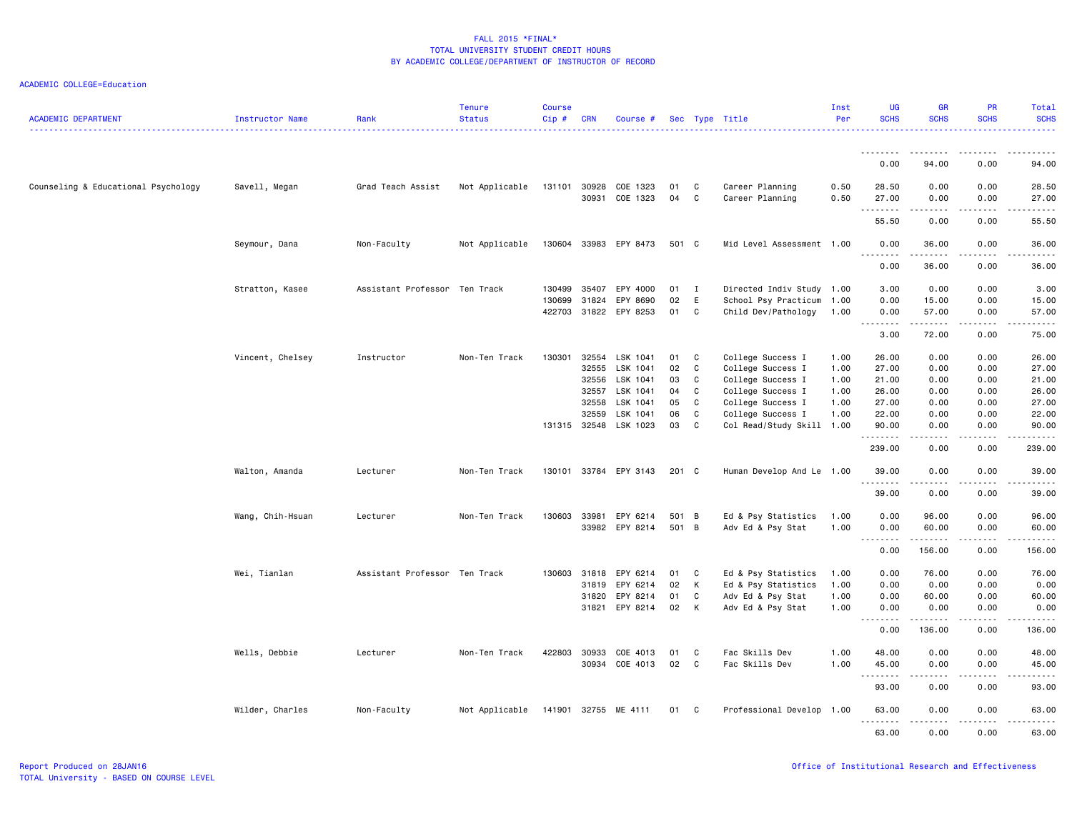| <b>ACADEMIC DEPARTMENT</b>          | <b>Instructor Name</b> | Rank                          | <b>Tenure</b><br><b>Status</b> | <b>Course</b><br>Cip# | <b>CRN</b>     | Course #              |          |              | Sec Type Title                                 | Inst<br>Per | <b>UG</b><br><b>SCHS</b> | <b>GR</b><br><b>SCHS</b> | PR<br><b>SCHS</b>                                                                                                                 | Total<br><b>SCHS</b> |
|-------------------------------------|------------------------|-------------------------------|--------------------------------|-----------------------|----------------|-----------------------|----------|--------------|------------------------------------------------|-------------|--------------------------|--------------------------|-----------------------------------------------------------------------------------------------------------------------------------|----------------------|
|                                     |                        |                               |                                |                       |                |                       |          |              |                                                |             | <u>.</u>                 | .                        |                                                                                                                                   |                      |
|                                     |                        |                               |                                |                       |                |                       |          |              |                                                |             | 0.00                     | 94.00                    | 0.00                                                                                                                              | 94.00                |
| Counseling & Educational Psychology | Savell, Megan          | Grad Teach Assist             | Not Applicable                 | 131101                | 30928          | COE 1323              | 01       | C            | Career Planning                                | 0.50        | 28.50                    | 0.00                     | 0.00                                                                                                                              | 28.50                |
|                                     |                        |                               |                                |                       | 30931          | COE 1323              | 04       | C            | Career Planning                                | 0.50        | 27.00<br>.               | 0.00<br>.                | 0.00<br>.                                                                                                                         | 27.00<br>.           |
|                                     |                        |                               |                                |                       |                |                       |          |              |                                                |             | 55.50                    | 0.00                     | 0.00                                                                                                                              | 55.50                |
|                                     | Seymour, Dana          | Non-Faculty                   | Not Applicable                 |                       |                | 130604 33983 EPY 8473 | 501 C    |              | Mid Level Assessment 1.00                      |             | 0.00<br>.                | 36.00                    | 0.00                                                                                                                              | 36.00                |
|                                     |                        |                               |                                |                       |                |                       |          |              |                                                |             | 0.00                     | 36.00                    | 0.00                                                                                                                              | 36.00                |
|                                     | Stratton, Kasee        | Assistant Professor Ten Track |                                | 130499                | 35407          | EPY 4000              | 01       | $\mathbf{I}$ | Directed Indiv Study 1.00                      |             | 3.00                     | 0.00                     | 0.00                                                                                                                              | 3.00                 |
|                                     |                        |                               |                                | 130699                | 31824          | EPY 8690              | 02       | E            | School Psy Practicum                           | 1.00        | 0.00                     | 15.00                    | 0.00                                                                                                                              | 15.00                |
|                                     |                        |                               |                                | 422703                |                | 31822 EPY 8253        | 01       | C            | Child Dev/Pathology                            | 1.00        | 0.00<br>.                | 57.00<br>.               | 0.00<br>.                                                                                                                         | 57.00<br>.           |
|                                     |                        |                               |                                |                       |                |                       |          |              |                                                |             | 3.00                     | 72.00                    | 0.00                                                                                                                              | 75.00                |
|                                     | Vincent, Chelsey       | Instructor                    | Non-Ten Track                  | 130301                | 32554          | LSK 1041              | 01       | C            | College Success I                              | 1.00        | 26.00                    | 0.00                     | 0.00                                                                                                                              | 26.00                |
|                                     |                        |                               |                                |                       | 32555          | LSK 1041              | 02       | C            | College Success I                              | 1.00        | 27.00                    | 0.00                     | 0.00                                                                                                                              | 27.00                |
|                                     |                        |                               |                                |                       | 32556          | LSK 1041              | 03       | C            | College Success I                              | 1.00        | 21.00                    | 0.00                     | 0.00                                                                                                                              | 21.00                |
|                                     |                        |                               |                                |                       | 32557          | LSK 1041              | 04       | C            | College Success I                              | 1.00        | 26.00                    | 0.00                     | 0.00                                                                                                                              | 26.00                |
|                                     |                        |                               |                                |                       | 32558          | LSK 1041              | 05       | C            | College Success I                              | 1.00        | 27.00                    | 0.00                     | 0.00                                                                                                                              | 27.00                |
|                                     |                        |                               |                                | 131315                | 32559<br>32548 | LSK 1041<br>LSK 1023  | 06<br>03 | C<br>C       | College Success I<br>Col Read/Study Skill 1.00 | 1.00        | 22.00<br>90.00           | 0.00<br>0.00             | 0.00<br>0.00                                                                                                                      | 22.00<br>90.00       |
|                                     |                        |                               |                                |                       |                |                       |          |              |                                                |             | .<br>239.00              | $- - - -$<br>0.00        | $\frac{1}{2} \left( \frac{1}{2} \right) \left( \frac{1}{2} \right) \left( \frac{1}{2} \right) \left( \frac{1}{2} \right)$<br>0.00 | .<br>239.00          |
|                                     |                        |                               |                                |                       |                |                       |          |              |                                                |             |                          |                          |                                                                                                                                   |                      |
|                                     | Walton, Amanda         | Lecturer                      | Non-Ten Track                  |                       |                | 130101 33784 EPY 3143 | 201 C    |              | Human Develop And Le 1.00                      |             | 39.00<br>.               | 0.00<br>$- - - -$        | 0.00<br>.                                                                                                                         | 39.00<br>.           |
|                                     |                        |                               |                                |                       |                |                       |          |              |                                                |             | 39.00                    | 0.00                     | 0.00                                                                                                                              | 39.00                |
|                                     | Wang, Chih-Hsuan       | Lecturer                      | Non-Ten Track                  | 130603                | 33981          | EPY 6214              | 501 B    |              | Ed & Psy Statistics                            | 1.00        | 0.00                     | 96.00                    | 0.00                                                                                                                              | 96.00                |
|                                     |                        |                               |                                |                       |                | 33982 EPY 8214        | 501 B    |              | Adv Ed & Psy Stat                              | 1.00        | 0.00                     | 60.00                    | 0.00                                                                                                                              | 60.00                |
|                                     |                        |                               |                                |                       |                |                       |          |              |                                                |             | .<br>0.00                | <b></b><br>156.00        | .<br>0.00                                                                                                                         | <u>.</u><br>156.00   |
|                                     | Wei, Tianlan           | Assistant Professor Ten Track |                                |                       | 130603 31818   | EPY 6214              | 01       | $\mathbf{C}$ | Ed & Psy Statistics                            | 1.00        | 0.00                     | 76.00                    | 0.00                                                                                                                              | 76.00                |
|                                     |                        |                               |                                |                       | 31819          | EPY 6214              | 02       | K            | Ed & Psy Statistics                            | 1.00        | 0.00                     | 0.00                     | 0.00                                                                                                                              | 0.00                 |
|                                     |                        |                               |                                |                       | 31820          | EPY 8214              | 01       | C            | Adv Ed & Psy Stat                              | 1.00        | 0.00                     | 60.00                    | 0.00                                                                                                                              | 60.00                |
|                                     |                        |                               |                                |                       |                | 31821 EPY 8214        | 02       | $\mathsf{K}$ | Adv Ed & Psy Stat                              | 1.00        | 0.00<br><u>.</u>         | 0.00<br>.                | 0.00<br>.                                                                                                                         | 0.00<br>.            |
|                                     |                        |                               |                                |                       |                |                       |          |              |                                                |             | 0.00                     | 136.00                   | 0.00                                                                                                                              | 136.00               |
|                                     | Wells, Debbie          | Lecturer                      | Non-Ten Track                  | 422803                | 30933          | COE 4013              | 01       | C            | Fac Skills Dev                                 | 1.00        | 48.00                    | 0.00                     | 0.00                                                                                                                              | 48.00                |
|                                     |                        |                               |                                |                       |                | 30934 COE 4013        | 02       | C            | Fac Skills Dev                                 | 1.00        | 45.00                    | 0.00                     | 0.00                                                                                                                              | 45.00                |
|                                     |                        |                               |                                |                       |                |                       |          |              |                                                |             | 93.00                    | 0.00                     | 0.00                                                                                                                              | 93.00                |
|                                     | Wilder, Charles        | Non-Faculty                   | Not Applicable                 |                       |                | 141901 32755 ME 4111  | 01 C     |              | Professional Develop 1.00                      |             | 63.00                    | 0.00                     | 0.00                                                                                                                              | 63.00                |
|                                     |                        |                               |                                |                       |                |                       |          |              |                                                |             | <u>.</u><br>63.00        | .<br>0.00                | .<br>0.00                                                                                                                         | .<br>63.00           |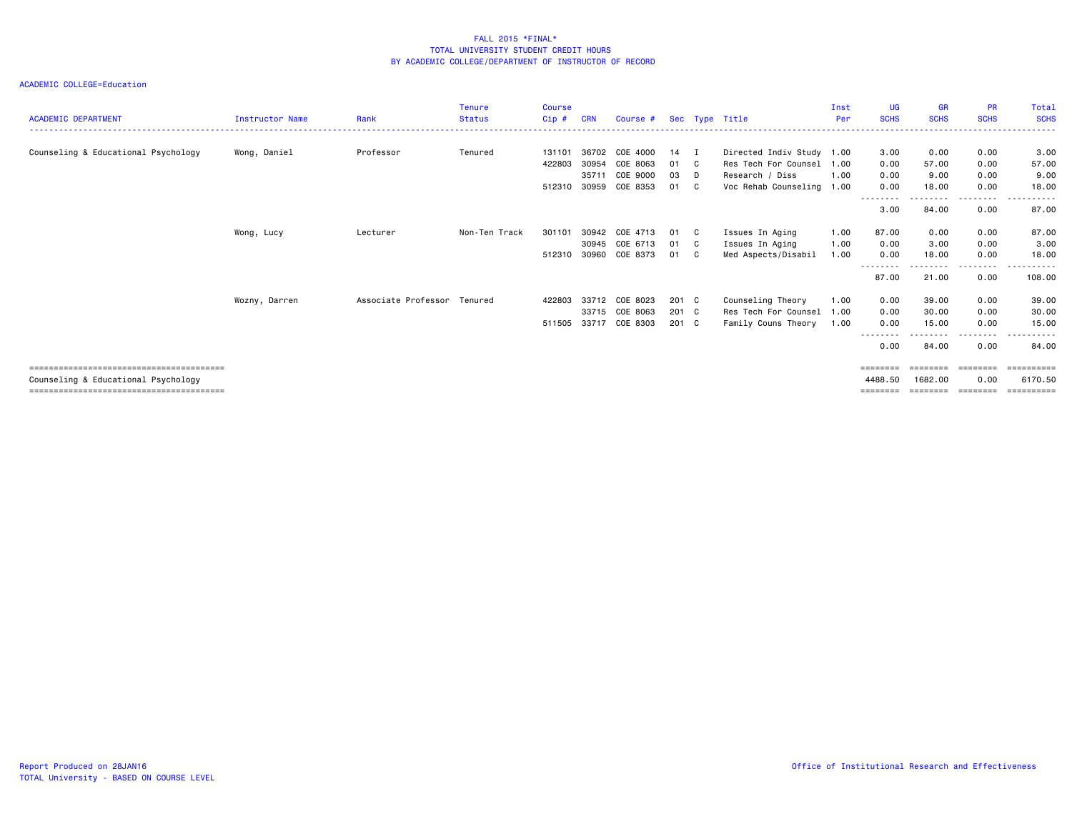| <b>ACADEMIC DEPARTMENT</b>          | <b>Instructor Name</b> | Rank                        | <b>Tenure</b><br><b>Status</b> | <b>Course</b><br>$Cip$ # | <b>CRN</b> | Course #              |               |              | Sec Type Title            | Inst<br>Per | UG<br><b>SCHS</b>  | <b>GR</b><br><b>SCHS</b> | <b>PR</b><br><b>SCHS</b> | Total<br><b>SCHS</b> |
|-------------------------------------|------------------------|-----------------------------|--------------------------------|--------------------------|------------|-----------------------|---------------|--------------|---------------------------|-------------|--------------------|--------------------------|--------------------------|----------------------|
|                                     |                        |                             |                                |                          |            |                       |               |              |                           |             |                    |                          |                          |                      |
| Counseling & Educational Psychology | Wong, Daniel           | Professor                   | Tenured                        | 131101                   | 36702      | COE 4000              | 14            | I            | Directed Indiv Study 1.00 |             | 3.00               | 0.00                     | 0.00                     | 3.00                 |
|                                     |                        |                             |                                | 422803                   | 30954      | COE 8063              | 01            | C.           | Res Tech For Counsel      | 1.00        | 0.00               | 57.00                    | 0.00                     | 57.00                |
|                                     |                        |                             |                                |                          | 35711      | COE 9000              | 03            | D            | Research / Diss           | 1.00        | 0.00               | 9.00                     | 0.00                     | 9.00                 |
|                                     |                        |                             |                                | 512310                   | 30959      | COE 8353              | 01            | $\mathbf{C}$ | Voc Rehab Counseling 1.00 |             | 0.00               | 18.00                    | 0.00                     | 18.00                |
|                                     |                        |                             |                                |                          |            |                       |               |              |                           |             | ---------<br>3.00  | 84.00                    | -----<br>0.00            | .<br>87.00           |
|                                     | Wong, Lucy             | Lecturer                    | Non-Ten Track                  | 301101                   | 30942      | COE 4713              | 01            | $\mathbf{C}$ | Issues In Aging           | 1.00        | 87.00              | 0.00                     | 0.00                     | 87.00                |
|                                     |                        |                             |                                |                          | 30945      | COE 6713              | 01            | $\mathbf{C}$ | Issues In Aging           | 1.00        | 0.00               | 3.00                     | 0.00                     | 3.00                 |
|                                     |                        |                             |                                | 512310                   | 30960      | COE 8373              | 01            | $\mathbf{C}$ | Med Aspects/Disabil       | 1.00        | 0.00               | 18.00                    | 0.00                     | 18.00                |
|                                     |                        |                             |                                |                          |            |                       |               |              |                           |             | ---------<br>87.00 | 21.00                    | .<br>0.00                | .<br>108.00          |
|                                     | Wozny, Darren          | Associate Professor Tenured |                                | 422803                   | 33712      | COE 8023              | 201 C         |              | Counseling Theory         | 1.00        | 0.00               | 39.00                    | 0.00                     | 39.00                |
|                                     |                        |                             |                                |                          |            | 33715 COE 8063        | 201 C         |              | Res Tech For Counsel      | 1.00        | 0.00               | 30.00                    | 0.00                     | 30.00                |
|                                     |                        |                             |                                |                          |            | 511505 33717 COE 8303 | $201 \quad C$ |              | Family Couns Theory       | 1.00        | 0.00               | 15.00                    | 0.00                     | 15.00                |
|                                     |                        |                             |                                |                          |            |                       |               |              |                           |             | ---------<br>0.00  | 84.00                    | --------<br>0.00         | .<br>84.00           |
|                                     |                        |                             |                                |                          |            |                       |               |              |                           |             | $=$ = = = = = = =  | ========                 | --------                 |                      |
| Counseling & Educational Psychology |                        |                             |                                |                          |            |                       |               |              |                           |             | 4488.50            | 1682.00                  | 0.00                     | 6170.50              |
|                                     |                        |                             |                                |                          |            |                       |               |              |                           |             |                    |                          |                          | :=======             |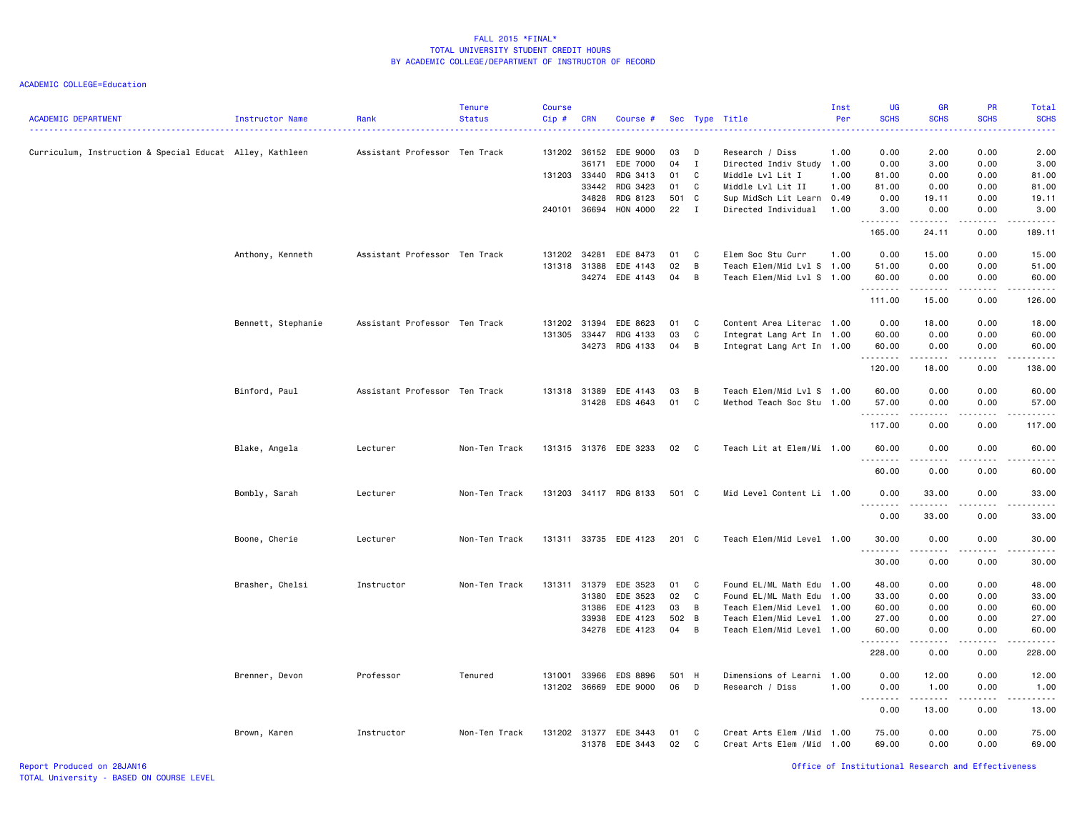ACADEMIC COLLEGE=Education

| <b>ACADEMIC DEPARTMENT</b>                               | <b>Instructor Name</b> | Rank                          | <b>Tenure</b><br><b>Status</b> | <b>Course</b><br>Cip# | <b>CRN</b>            | Course #              |          |                   | Sec Type Title                               | Inst<br>Per | <b>UG</b><br><b>SCHS</b> | <b>GR</b><br><b>SCHS</b> | PR<br><b>SCHS</b> | <b>Total</b><br><b>SCHS</b> |
|----------------------------------------------------------|------------------------|-------------------------------|--------------------------------|-----------------------|-----------------------|-----------------------|----------|-------------------|----------------------------------------------|-------------|--------------------------|--------------------------|-------------------|-----------------------------|
| Curriculum, Instruction & Special Educat Alley, Kathleen |                        | Assistant Professor Ten Track |                                |                       | 131202 36152<br>36171 | EDE 9000<br>EDE 7000  | 03<br>04 | D<br>$\mathbf{I}$ | Research / Diss<br>Directed Indiv Study 1.00 | 1.00        | 0.00<br>0.00             | 2.00<br>3.00             | 0.00<br>0.00      | 2.00<br>3.00                |
|                                                          |                        |                               |                                |                       | 131203 33440          | RDG 3413              | 01       | C                 | Middle Lvl Lit I                             | 1.00        | 81.00                    | 0.00                     | 0.00              | 81.00                       |
|                                                          |                        |                               |                                |                       | 33442                 | RDG 3423              | 01       | C                 | Middle Lvl Lit II                            | 1.00        | 81.00                    | 0.00                     | 0.00              | 81.00                       |
|                                                          |                        |                               |                                |                       | 34828                 | RDG 8123              | 501 C    |                   | Sup MidSch Lit Learn 0.49                    |             | 0.00                     | 19.11                    | 0.00              | 19.11                       |
|                                                          |                        |                               |                                | 240101 36694          |                       | HON 4000              | 22       | $\mathbf{I}$      | Directed Individual                          | 1.00        | 3.00<br>.                | 0.00                     | 0.00<br>2.2.2.2.2 | 3.00<br>.                   |
|                                                          |                        |                               |                                |                       |                       |                       |          |                   |                                              |             | 165.00                   | 24.11                    | 0.00              | 189.11                      |
|                                                          | Anthony, Kenneth       | Assistant Professor Ten Track |                                | 131202                | 34281                 | EDE 8473              | 01       | C                 | Elem Soc Stu Curr                            | 1.00        | 0.00                     | 15.00                    | 0.00              | 15.00                       |
|                                                          |                        |                               |                                | 131318 31388          |                       | EDE 4143              | 02       | B                 | Teach Elem/Mid Lvl S 1.00                    |             | 51.00                    | 0.00                     | 0.00              | 51.00                       |
|                                                          |                        |                               |                                |                       |                       | 34274 EDE 4143        | 04       | B                 | Teach Elem/Mid Lvl S 1.00                    |             | 60.00<br>.               | 0.00<br>.                | 0.00<br>2.2.2.2.2 | 60.00<br>.                  |
|                                                          |                        |                               |                                |                       |                       |                       |          |                   |                                              |             | 111.00                   | 15.00                    | 0.00              | 126.00                      |
|                                                          | Bennett, Stephanie     | Assistant Professor Ten Track |                                | 131202                | 31394                 | EDE 8623              | 01       | C                 | Content Area Literac 1.00                    |             | 0.00                     | 18.00                    | 0.00              | 18.00                       |
|                                                          |                        |                               |                                | 131305                | 33447                 | RDG 4133              | 03       | C                 | Integrat Lang Art In 1.00                    |             | 60.00                    | 0.00                     | 0.00              | 60.00                       |
|                                                          |                        |                               |                                |                       | 34273                 | RDG 4133              | 04       | B                 | Integrat Lang Art In 1.00                    |             | 60.00                    | 0.00                     | 0.00              | 60.00                       |
|                                                          |                        |                               |                                |                       |                       |                       |          |                   |                                              |             | .<br>120.00              | .<br>18.00               | .<br>0.00         | .<br>138.00                 |
|                                                          | Binford, Paul          | Assistant Professor Ten Track |                                |                       | 131318 31389          | EDE 4143              | 03       | B                 | Teach Elem/Mid Lvl S 1.00                    |             | 60.00                    | 0.00                     | 0.00              | 60.00                       |
|                                                          |                        |                               |                                |                       | 31428                 | EDS 4643              | 01       | C                 | Method Teach Soc Stu                         | 1.00        | 57.00                    | 0.00                     | 0.00              | 57.00                       |
|                                                          |                        |                               |                                |                       |                       |                       |          |                   |                                              |             | .<br>117.00              | <u>.</u> .<br>0.00       | .<br>0.00         | .<br>117.00                 |
|                                                          |                        |                               |                                |                       |                       |                       |          |                   |                                              |             |                          |                          |                   |                             |
|                                                          | Blake, Angela          | Lecturer                      | Non-Ten Track                  |                       |                       | 131315 31376 EDE 3233 | 02       | $\mathbf{C}$      | Teach Lit at Elem/Mi 1.00                    |             | 60.00<br>.               | 0.00                     | 0.00              | 60.00                       |
|                                                          |                        |                               |                                |                       |                       |                       |          |                   |                                              |             | 60.00                    | 0.00                     | 0.00              | 60.00                       |
|                                                          | Bombly, Sarah          | Lecturer                      | Non-Ten Track                  |                       |                       | 131203 34117 RDG 8133 | 501 C    |                   | Mid Level Content Li 1.00                    |             | 0.00                     | 33.00                    | 0.00<br>.         | 33.00<br>.                  |
|                                                          |                        |                               |                                |                       |                       |                       |          |                   |                                              |             | 0.00                     | 33.00                    | 0.00              | 33.00                       |
|                                                          | Boone, Cherie          | Lecturer                      | Non-Ten Track                  |                       |                       | 131311 33735 EDE 4123 | 201 C    |                   | Teach Elem/Mid Level 1.00                    |             | 30.00                    | 0.00                     | 0.00              | 30.00                       |
|                                                          |                        |                               |                                |                       |                       |                       |          |                   |                                              |             | <b></b><br>30.00         | .<br>0.00                | .<br>0.00         | .<br>30.00                  |
|                                                          | Brasher, Chelsi        | Instructor                    | Non-Ten Track                  |                       | 131311 31379          | EDE 3523              | 01       | C                 | Found EL/ML Math Edu 1.00                    |             | 48.00                    | 0.00                     | 0.00              | 48.00                       |
|                                                          |                        |                               |                                |                       | 31380                 | EDE 3523              | 02       | C                 | Found EL/ML Math Edu                         | 1.00        | 33.00                    | 0.00                     | 0.00              | 33.00                       |
|                                                          |                        |                               |                                |                       | 31386                 | EDE 4123              | 03       | B                 | Teach Elem/Mid Level 1.00                    |             | 60.00                    | 0.00                     | 0.00              | 60.00                       |
|                                                          |                        |                               |                                |                       | 33938                 | EDE 4123              | 502      | B                 | Teach Elem/Mid Level 1.00                    |             | 27.00                    | 0.00                     | 0.00              | 27.00                       |
|                                                          |                        |                               |                                |                       |                       | 34278 EDE 4123        | 04       | $\overline{B}$    | Teach Elem/Mid Level 1.00                    |             | 60.00                    | 0.00                     | 0.00              | 60.00                       |
|                                                          |                        |                               |                                |                       |                       |                       |          |                   |                                              |             | .<br>228.00              | .<br>0.00                | .<br>0.00         | .<br>228.00                 |
|                                                          |                        | Professor                     |                                | 131001                | 33966                 | EDS 8896              | 501 H    |                   | Dimensions of Learni 1.00                    |             | 0.00                     | 12.00                    | 0.00              | 12.00                       |
|                                                          | Brenner, Devon         |                               | Tenured                        |                       | 131202 36669          | EDE 9000              | 06       | D                 | Research / Diss                              | 1.00        | 0.00                     | 1.00                     | 0.00              | 1.00                        |
|                                                          |                        |                               |                                |                       |                       |                       |          |                   |                                              |             |                          | . <b>.</b>               | .                 | .                           |
|                                                          |                        |                               |                                |                       |                       |                       |          |                   |                                              |             | 0.00                     | 13.00                    | 0.00              | 13.00                       |
|                                                          | Brown, Karen           | Instructor                    | Non-Ten Track                  |                       | 131202 31377          | EDE 3443              | 01       | C                 | Creat Arts Elem / Mid 1.00                   |             | 75.00                    | 0.00                     | 0.00              | 75.00                       |
|                                                          |                        |                               |                                |                       |                       | 31378 EDE 3443        | 02       | C                 | Creat Arts Elem / Mid 1.00                   |             | 69.00                    | 0.00                     | 0.00              | 69.00                       |

Report Produced on 28JAN16 Office of Institutional Research and Effectiveness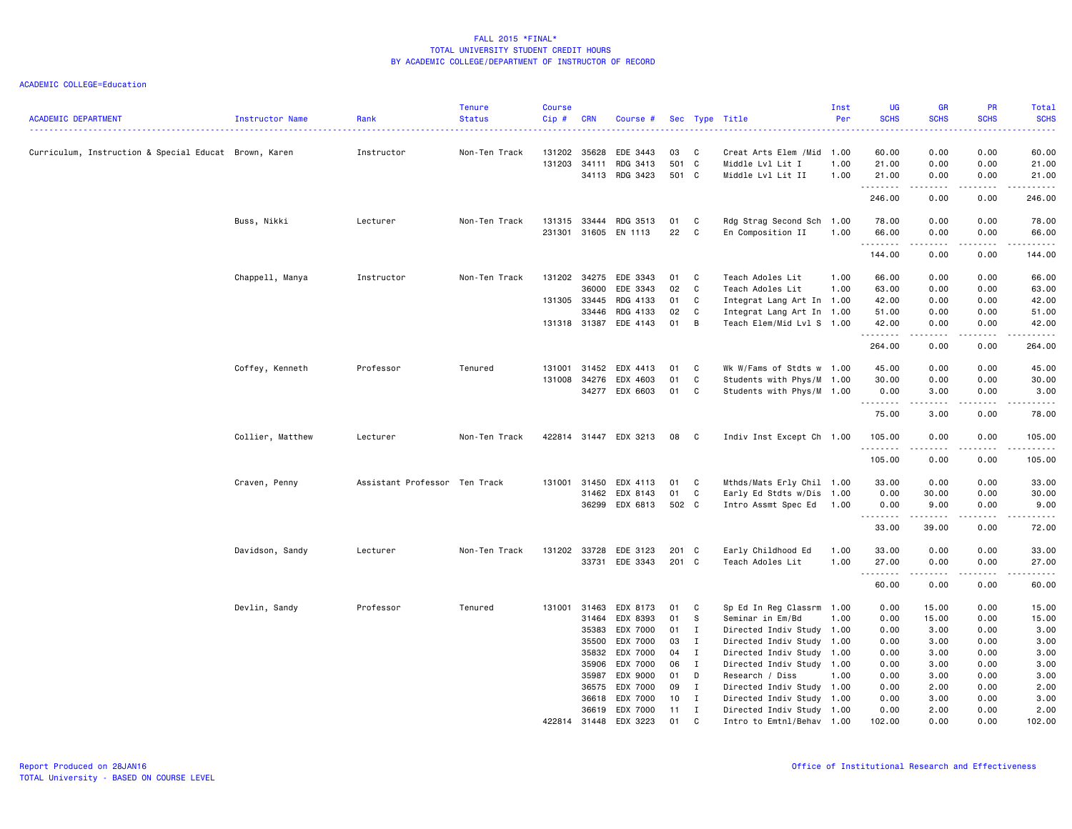| <b>ACADEMIC DEPARTMENT</b>                            | Instructor Name  | Rank                          | <b>Tenure</b><br><b>Status</b> | <b>Course</b><br>Cip#                  | CRN                     | Course #                                                 |                            |                       | Sec Type Title                                                                                                              | Inst<br>Per  | <b>UG</b><br><b>SCHS</b>                                                                                                                                           | <b>GR</b><br><b>SCHS</b>                                                                                                                                     | <b>PR</b><br><b>SCHS</b>                                                                                                          | Total<br><b>SCHS</b><br>22222                                                                                                                                                                                                                                                                                                                                                                                                                                                                    |
|-------------------------------------------------------|------------------|-------------------------------|--------------------------------|----------------------------------------|-------------------------|----------------------------------------------------------|----------------------------|-----------------------|-----------------------------------------------------------------------------------------------------------------------------|--------------|--------------------------------------------------------------------------------------------------------------------------------------------------------------------|--------------------------------------------------------------------------------------------------------------------------------------------------------------|-----------------------------------------------------------------------------------------------------------------------------------|--------------------------------------------------------------------------------------------------------------------------------------------------------------------------------------------------------------------------------------------------------------------------------------------------------------------------------------------------------------------------------------------------------------------------------------------------------------------------------------------------|
| Curriculum, Instruction & Special Educat Brown, Karen |                  | Instructor                    | Non-Ten Track                  | 131202<br>131203                       | 35628<br>34111<br>34113 | EDE 3443<br>RDG 3413<br>RDG 3423                         | 03<br>501<br>501 C         | C<br>C                | Creat Arts Elem / Mid 1.00<br>Middle Lvl Lit I<br>Middle Lvl Lit II                                                         | 1.00<br>1.00 | 60.00<br>21.00<br>21.00                                                                                                                                            | 0.00<br>0.00<br>0.00                                                                                                                                         | 0.00<br>0.00<br>0.00                                                                                                              | 60.00<br>21.00<br>21.00                                                                                                                                                                                                                                                                                                                                                                                                                                                                          |
|                                                       |                  |                               |                                |                                        |                         |                                                          |                            |                       |                                                                                                                             |              | .<br>246.00                                                                                                                                                        | $\frac{1}{2} \left( \frac{1}{2} \right) \left( \frac{1}{2} \right) \left( \frac{1}{2} \right) \left( \frac{1}{2} \right) \left( \frac{1}{2} \right)$<br>0.00 | .<br>0.00                                                                                                                         | .<br>246.00                                                                                                                                                                                                                                                                                                                                                                                                                                                                                      |
|                                                       | Buss, Nikki      | Lecturer                      | Non-Ten Track                  | 131315<br>231301                       | 33444<br>31605          | RDG 3513<br>EN 1113                                      | 01<br>22                   | C<br>C                | Rdg Strag Second Sch 1.00<br>En Composition II                                                                              | 1.00         | 78.00<br>66.00                                                                                                                                                     | 0.00<br>0.00                                                                                                                                                 | 0.00<br>0.00                                                                                                                      | 78.00<br>66.00                                                                                                                                                                                                                                                                                                                                                                                                                                                                                   |
|                                                       |                  |                               |                                |                                        |                         |                                                          |                            |                       |                                                                                                                             |              | .<br>144.00                                                                                                                                                        | 0.00                                                                                                                                                         | $   -$<br>0.00                                                                                                                    | .<br>144.00                                                                                                                                                                                                                                                                                                                                                                                                                                                                                      |
|                                                       | Chappell, Manya  | Instructor                    | Non-Ten Track                  | 131202 34275<br>131305<br>131318 31387 | 36000<br>33445<br>33446 | EDE 3343<br>EDE 3343<br>RDG 4133<br>RDG 4133<br>EDE 4143 | 01<br>02<br>01<br>02<br>01 | C<br>C<br>C<br>C<br>B | Teach Adoles Lit<br>Teach Adoles Lit<br>Integrat Lang Art In 1.00<br>Integrat Lang Art In 1.00<br>Teach Elem/Mid Lvl S 1.00 | 1.00<br>1.00 | 66.00<br>63.00<br>42.00<br>51.00<br>42.00                                                                                                                          | 0.00<br>0.00<br>0.00<br>0.00<br>0.00                                                                                                                         | 0.00<br>0.00<br>0.00<br>0.00<br>0.00                                                                                              | 66.00<br>63.00<br>42.00<br>51.00<br>42.00                                                                                                                                                                                                                                                                                                                                                                                                                                                        |
|                                                       |                  |                               |                                |                                        |                         |                                                          |                            |                       |                                                                                                                             |              | .<br>264.00                                                                                                                                                        | 0.00                                                                                                                                                         | $\frac{1}{2} \left( \frac{1}{2} \right) \left( \frac{1}{2} \right) \left( \frac{1}{2} \right) \left( \frac{1}{2} \right)$<br>0.00 | .<br>264.00                                                                                                                                                                                                                                                                                                                                                                                                                                                                                      |
|                                                       | Coffey, Kenneth  | Professor                     | Tenured                        | 131001<br>131008                       | 31452<br>34276<br>34277 | EDX 4413<br>EDX 4603<br>EDX 6603                         | 01<br>01<br>01             | C<br>C<br>C           | Wk W/Fams of Stdts w 1.00<br>Students with Phys/M 1.00<br>Students with Phys/M 1.00                                         |              | 45.00<br>30.00<br>0.00<br>.                                                                                                                                        | 0.00<br>0.00<br>3.00                                                                                                                                         | 0.00<br>0.00<br>0.00<br>.                                                                                                         | 45.00<br>30.00<br>3.00<br>.                                                                                                                                                                                                                                                                                                                                                                                                                                                                      |
|                                                       |                  |                               |                                |                                        |                         |                                                          |                            |                       |                                                                                                                             |              | 75.00                                                                                                                                                              | 3.00                                                                                                                                                         | 0.00                                                                                                                              | 78.00                                                                                                                                                                                                                                                                                                                                                                                                                                                                                            |
|                                                       | Collier, Matthew | Lecturer                      | Non-Ten Track                  |                                        |                         | 422814 31447 EDX 3213                                    | 08                         | $\mathbf{C}$          | Indiv Inst Except Ch 1.00                                                                                                   |              | 105.00<br>.                                                                                                                                                        | 0.00<br>$\frac{1}{2}$                                                                                                                                        | 0.00<br>.                                                                                                                         | 105.00<br>$\begin{array}{cccccccccccccc} \multicolumn{2}{c}{} & \multicolumn{2}{c}{} & \multicolumn{2}{c}{} & \multicolumn{2}{c}{} & \multicolumn{2}{c}{} & \multicolumn{2}{c}{} & \multicolumn{2}{c}{} & \multicolumn{2}{c}{} & \multicolumn{2}{c}{} & \multicolumn{2}{c}{} & \multicolumn{2}{c}{} & \multicolumn{2}{c}{} & \multicolumn{2}{c}{} & \multicolumn{2}{c}{} & \multicolumn{2}{c}{} & \multicolumn{2}{c}{} & \multicolumn{2}{c}{} & \multicolumn{2}{c}{} & \multicolumn{2}{c}{} & \$ |
|                                                       |                  |                               |                                |                                        |                         |                                                          |                            |                       |                                                                                                                             |              | 105.00                                                                                                                                                             | 0.00                                                                                                                                                         | 0.00                                                                                                                              | 105.00                                                                                                                                                                                                                                                                                                                                                                                                                                                                                           |
|                                                       | Craven, Penny    | Assistant Professor Ten Track |                                | 131001                                 | 31450                   | EDX 4113                                                 | 01                         | C                     | Mthds/Mats Erly Chil 1.00                                                                                                   |              | 33.00                                                                                                                                                              | 0.00                                                                                                                                                         | 0.00                                                                                                                              | 33.00                                                                                                                                                                                                                                                                                                                                                                                                                                                                                            |
|                                                       |                  |                               |                                |                                        | 31462                   | EDX 8143                                                 | 01                         | C                     | Early Ed Stdts w/Dis 1.00                                                                                                   |              | 0.00                                                                                                                                                               | 30.00                                                                                                                                                        | 0.00                                                                                                                              | 30.00                                                                                                                                                                                                                                                                                                                                                                                                                                                                                            |
|                                                       |                  |                               |                                |                                        | 36299                   | EDX 6813                                                 | 502 C                      |                       | Intro Assmt Spec Ed                                                                                                         | 1.00         | 0.00<br>-----                                                                                                                                                      | 9.00<br>$\frac{1}{2} \left( \frac{1}{2} \right) \left( \frac{1}{2} \right) \left( \frac{1}{2} \right) \left( \frac{1}{2} \right) \left( \frac{1}{2} \right)$ | 0.00<br>.                                                                                                                         | 9.00<br>$\frac{1}{2} \left( \frac{1}{2} \right) \left( \frac{1}{2} \right) \left( \frac{1}{2} \right) \left( \frac{1}{2} \right) \left( \frac{1}{2} \right)$                                                                                                                                                                                                                                                                                                                                     |
|                                                       |                  |                               |                                |                                        |                         |                                                          |                            |                       |                                                                                                                             |              | 33.00                                                                                                                                                              | 39.00                                                                                                                                                        | 0.00                                                                                                                              | 72.00                                                                                                                                                                                                                                                                                                                                                                                                                                                                                            |
|                                                       | Davidson, Sandy  | Lecturer                      | Non-Ten Track                  | 131202 33728                           |                         | EDE 3123                                                 | 201                        | $\mathbf{C}$          | Early Childhood Ed                                                                                                          | 1.00         | 33.00                                                                                                                                                              | 0.00                                                                                                                                                         | 0.00                                                                                                                              | 33.00                                                                                                                                                                                                                                                                                                                                                                                                                                                                                            |
|                                                       |                  |                               |                                |                                        | 33731                   | EDE 3343                                                 | 201 C                      |                       | Teach Adoles Lit                                                                                                            | 1.00         | 27.00<br>.<br>$\frac{1}{2} \left( \frac{1}{2} \right) \left( \frac{1}{2} \right) \left( \frac{1}{2} \right) \left( \frac{1}{2} \right) \left( \frac{1}{2} \right)$ | 0.00<br>.                                                                                                                                                    | 0.00<br>$\sim$ $\sim$ $\sim$ $\sim$                                                                                               | 27.00<br>$\frac{1}{2} \left( \frac{1}{2} \right) \left( \frac{1}{2} \right) \left( \frac{1}{2} \right) \left( \frac{1}{2} \right) \left( \frac{1}{2} \right)$                                                                                                                                                                                                                                                                                                                                    |
|                                                       |                  |                               |                                |                                        |                         |                                                          |                            |                       |                                                                                                                             |              | 60.00                                                                                                                                                              | 0.00                                                                                                                                                         | 0.00                                                                                                                              | 60.00                                                                                                                                                                                                                                                                                                                                                                                                                                                                                            |
|                                                       | Devlin, Sandy    | Professor                     | Tenured                        | 131001                                 | 31463                   | EDX 8173                                                 | 01                         | C                     | Sp Ed In Reg Classrm 1.00                                                                                                   |              | 0.00                                                                                                                                                               | 15.00                                                                                                                                                        | 0.00                                                                                                                              | 15.00                                                                                                                                                                                                                                                                                                                                                                                                                                                                                            |
|                                                       |                  |                               |                                |                                        | 31464                   | EDX 8393                                                 | 01                         | -S                    | Seminar in Em/Bd                                                                                                            | 1.00         | 0.00                                                                                                                                                               | 15.00                                                                                                                                                        | 0.00                                                                                                                              | 15.00                                                                                                                                                                                                                                                                                                                                                                                                                                                                                            |
|                                                       |                  |                               |                                |                                        | 35383                   | EDX 7000                                                 | 01                         | $\mathbf I$           | Directed Indiv Study 1.00                                                                                                   |              | 0.00                                                                                                                                                               | 3.00                                                                                                                                                         | 0.00                                                                                                                              | 3.00                                                                                                                                                                                                                                                                                                                                                                                                                                                                                             |
|                                                       |                  |                               |                                |                                        | 35500                   | EDX 7000                                                 | 03                         | $\mathbf{I}$          | Directed Indiv Study 1.00                                                                                                   |              | 0.00                                                                                                                                                               | 3.00                                                                                                                                                         | 0.00                                                                                                                              | 3.00                                                                                                                                                                                                                                                                                                                                                                                                                                                                                             |
|                                                       |                  |                               |                                |                                        | 35832                   | EDX 7000                                                 | 04                         | I                     | Directed Indiv Study 1.00                                                                                                   |              | 0.00                                                                                                                                                               | 3.00                                                                                                                                                         | 0.00                                                                                                                              | 3.00                                                                                                                                                                                                                                                                                                                                                                                                                                                                                             |
|                                                       |                  |                               |                                |                                        | 35906                   | EDX 7000                                                 | 06                         | $\mathbf{I}$          | Directed Indiv Study 1.00                                                                                                   |              | 0.00                                                                                                                                                               | 3.00                                                                                                                                                         | 0.00                                                                                                                              | 3.00                                                                                                                                                                                                                                                                                                                                                                                                                                                                                             |
|                                                       |                  |                               |                                |                                        | 35987                   | EDX 9000                                                 | 01                         | D                     | Research / Diss                                                                                                             | 1.00         | 0.00                                                                                                                                                               | 3.00                                                                                                                                                         | 0.00                                                                                                                              | 3.00                                                                                                                                                                                                                                                                                                                                                                                                                                                                                             |
|                                                       |                  |                               |                                |                                        | 36575                   | EDX 7000                                                 | 09                         | I                     | Directed Indiv Study 1.00                                                                                                   |              | 0.00                                                                                                                                                               | 2.00                                                                                                                                                         | 0.00                                                                                                                              | 2.00                                                                                                                                                                                                                                                                                                                                                                                                                                                                                             |
|                                                       |                  |                               |                                |                                        | 36618<br>36619          | EDX 7000<br>EDX 7000                                     | 10<br>11                   | I<br>$\mathbf{I}$     | Directed Indiv Study 1.00<br>Directed Indiv Study 1.00                                                                      |              | 0.00<br>0.00                                                                                                                                                       | 3.00<br>2.00                                                                                                                                                 | 0.00<br>0.00                                                                                                                      | 3.00<br>2.00                                                                                                                                                                                                                                                                                                                                                                                                                                                                                     |
|                                                       |                  |                               |                                | 422814 31448                           |                         | EDX 3223                                                 | 01                         | C                     | Intro to Emtnl/Behav 1.00                                                                                                   |              | 102.00                                                                                                                                                             | 0.00                                                                                                                                                         | 0.00                                                                                                                              | 102.00                                                                                                                                                                                                                                                                                                                                                                                                                                                                                           |
|                                                       |                  |                               |                                |                                        |                         |                                                          |                            |                       |                                                                                                                             |              |                                                                                                                                                                    |                                                                                                                                                              |                                                                                                                                   |                                                                                                                                                                                                                                                                                                                                                                                                                                                                                                  |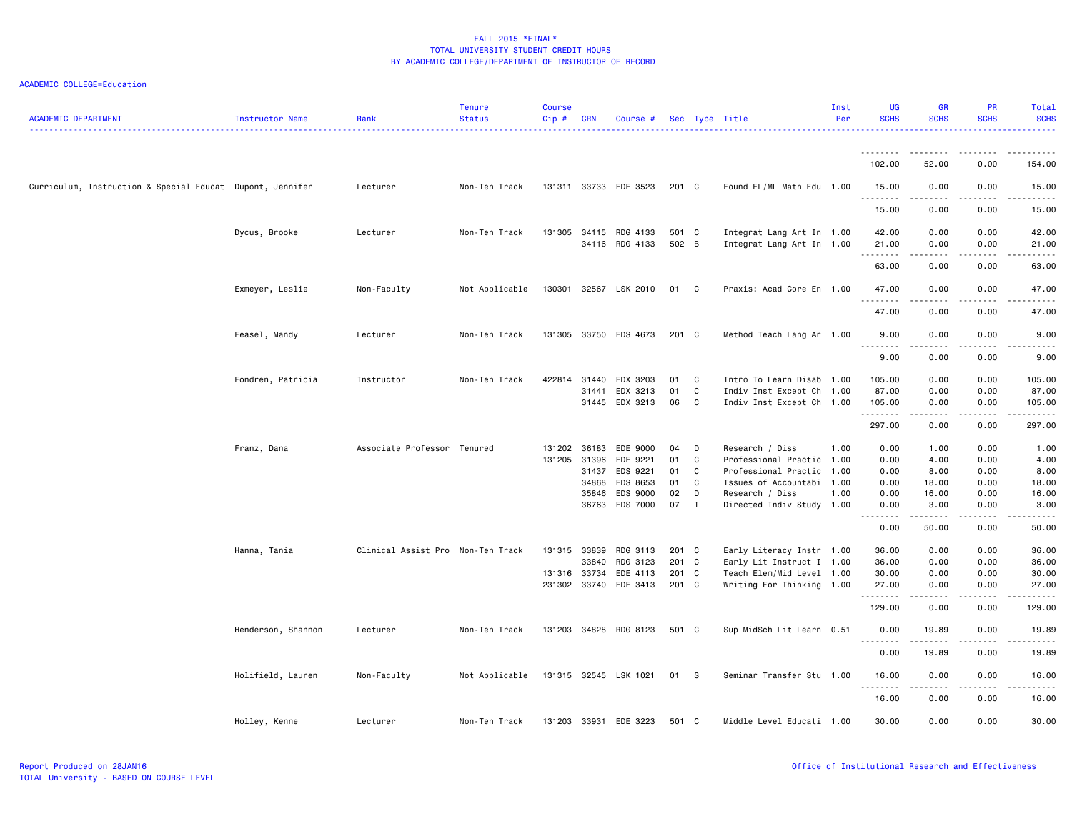| <b>ACADEMIC DEPARTMENT</b>                                | Instructor Name    | Rank                              | <b>Tenure</b><br><b>Status</b> | <b>Course</b><br>Cip# | <b>CRN</b>   | Course #              |       |              | Sec Type Title            | Inst<br>Per | <b>UG</b><br><b>SCHS</b>                                                                                                                                                        | <b>GR</b><br><b>SCHS</b>                                                                                                                                     | <b>PR</b><br><b>SCHS</b> | Total<br><b>SCHS</b>                                                                                                                                         |
|-----------------------------------------------------------|--------------------|-----------------------------------|--------------------------------|-----------------------|--------------|-----------------------|-------|--------------|---------------------------|-------------|---------------------------------------------------------------------------------------------------------------------------------------------------------------------------------|--------------------------------------------------------------------------------------------------------------------------------------------------------------|--------------------------|--------------------------------------------------------------------------------------------------------------------------------------------------------------|
|                                                           |                    |                                   |                                |                       |              |                       |       |              |                           |             | 102.00                                                                                                                                                                          | 52.00                                                                                                                                                        | 0.00                     | 154.00                                                                                                                                                       |
|                                                           |                    |                                   |                                |                       |              |                       |       |              |                           |             |                                                                                                                                                                                 |                                                                                                                                                              |                          |                                                                                                                                                              |
| Curriculum, Instruction & Special Educat Dupont, Jennifer |                    | Lecturer                          | Non-Ten Track                  |                       |              | 131311 33733 EDE 3523 | 201 C |              | Found EL/ML Math Edu 1.00 |             | 15.00<br>.                                                                                                                                                                      | 0.00<br>.                                                                                                                                                    | 0.00<br>.                | 15.00<br>.                                                                                                                                                   |
|                                                           |                    |                                   |                                |                       |              |                       |       |              |                           |             | 15.00                                                                                                                                                                           | 0.00                                                                                                                                                         | 0.00                     | 15.00                                                                                                                                                        |
|                                                           | Dycus, Brooke      | Lecturer                          | Non-Ten Track                  | 131305                |              | 34115 RDG 4133        | 501 C |              | Integrat Lang Art In 1.00 |             | 42.00                                                                                                                                                                           | 0.00                                                                                                                                                         | 0.00                     | 42.00                                                                                                                                                        |
|                                                           |                    |                                   |                                |                       |              | 34116 RDG 4133        | 502 B |              | Integrat Lang Art In 1.00 |             | 21.00<br>.                                                                                                                                                                      | 0.00<br>$\frac{1}{2} \left( \frac{1}{2} \right) \left( \frac{1}{2} \right) \left( \frac{1}{2} \right) \left( \frac{1}{2} \right) \left( \frac{1}{2} \right)$ | 0.00<br>.                | 21.00<br>.                                                                                                                                                   |
|                                                           |                    |                                   |                                |                       |              |                       |       |              |                           |             | 63.00                                                                                                                                                                           | 0.00                                                                                                                                                         | 0.00                     | 63.00                                                                                                                                                        |
|                                                           | Exmeyer, Leslie    | Non-Faculty                       | Not Applicable                 |                       |              | 130301 32567 LSK 2010 | 01 C  |              | Praxis: Acad Core En 1.00 |             | 47.00<br>.                                                                                                                                                                      | 0.00<br>.                                                                                                                                                    | 0.00<br>$\cdots$         | 47.00<br>.                                                                                                                                                   |
|                                                           |                    |                                   |                                |                       |              |                       |       |              |                           |             | 47.00                                                                                                                                                                           | 0.00                                                                                                                                                         | 0.00                     | 47.00                                                                                                                                                        |
|                                                           | Feasel, Mandy      | Lecturer                          | Non-Ten Track                  |                       |              | 131305 33750 EDS 4673 | 201 C |              | Method Teach Lang Ar 1.00 |             | 9.00<br><u>.</u>                                                                                                                                                                | 0.00                                                                                                                                                         | 0.00                     | 9.00                                                                                                                                                         |
|                                                           |                    |                                   |                                |                       |              |                       |       |              |                           |             | 9.00                                                                                                                                                                            | 0.00                                                                                                                                                         | 0.00                     | 9.00                                                                                                                                                         |
|                                                           | Fondren, Patricia  | Instructor                        | Non-Ten Track                  | 422814 31440          |              | EDX 3203              | 01    | C            | Intro To Learn Disab 1.00 |             | 105.00                                                                                                                                                                          | 0.00                                                                                                                                                         | 0.00                     | 105.00                                                                                                                                                       |
|                                                           |                    |                                   |                                |                       | 31441        | EDX 3213              | 01    | $\mathtt{C}$ | Indiv Inst Except Ch      | 1.00        | 87.00                                                                                                                                                                           | 0.00                                                                                                                                                         | 0.00                     | 87.00                                                                                                                                                        |
|                                                           |                    |                                   |                                |                       |              | 31445 EDX 3213        | 06    | $\mathbf{C}$ | Indiv Inst Except Ch 1.00 |             | 105.00<br>.                                                                                                                                                                     | 0.00<br>$\sim$ $\sim$ $\sim$ $\sim$ $\sim$                                                                                                                   | 0.00<br>.                | 105.00<br>.                                                                                                                                                  |
|                                                           |                    |                                   |                                |                       |              |                       |       |              |                           |             | 297.00                                                                                                                                                                          | 0.00                                                                                                                                                         | 0.00                     | 297.00                                                                                                                                                       |
|                                                           | Franz, Dana        | Associate Professor Tenured       |                                | 131202                | 36183        | EDE 9000              | 04    | D            | Research / Diss           | 1.00        | 0.00                                                                                                                                                                            | 1.00                                                                                                                                                         | 0.00                     | 1.00                                                                                                                                                         |
|                                                           |                    |                                   |                                | 131205                | 31396        | EDE 9221              | 01    | C            | Professional Practic 1.00 |             | 0.00                                                                                                                                                                            | 4.00                                                                                                                                                         | 0.00                     | 4.00                                                                                                                                                         |
|                                                           |                    |                                   |                                |                       | 31437        | EDS 9221              | 01    | C            | Professional Practic      | 1.00        | 0.00                                                                                                                                                                            | 8.00                                                                                                                                                         | 0.00                     | 8.00                                                                                                                                                         |
|                                                           |                    |                                   |                                |                       | 34868        | EDS 8653              | 01    | C            | Issues of Accountabi 1.00 |             | 0.00                                                                                                                                                                            | 18.00                                                                                                                                                        | 0.00                     | 18.00                                                                                                                                                        |
|                                                           |                    |                                   |                                |                       | 35846        | EDS 9000              | 02    | D            | Research / Diss           | 1.00        | 0.00                                                                                                                                                                            | 16.00                                                                                                                                                        | 0.00                     | 16.00                                                                                                                                                        |
|                                                           |                    |                                   |                                |                       | 36763        | EDS 7000              | 07    | $\mathbf{I}$ | Directed Indiv Study 1.00 |             | 0.00<br>$\frac{1}{2} \left( \frac{1}{2} \right) \left( \frac{1}{2} \right) \left( \frac{1}{2} \right) \left( \frac{1}{2} \right) \left( \frac{1}{2} \right)$<br>$\sim$ $\sim$ . | 3.00                                                                                                                                                         | 0.00                     | 3.00<br>$\frac{1}{2} \left( \frac{1}{2} \right) \left( \frac{1}{2} \right) \left( \frac{1}{2} \right) \left( \frac{1}{2} \right) \left( \frac{1}{2} \right)$ |
|                                                           |                    |                                   |                                |                       |              |                       |       |              |                           |             | 0.00                                                                                                                                                                            | 50.00                                                                                                                                                        | 0.00                     | 50.00                                                                                                                                                        |
|                                                           | Hanna, Tania       | Clinical Assist Pro Non-Ten Track |                                | 131315 33839          |              | RDG 3113              | 201 C |              | Early Literacy Instr 1.00 |             | 36.00                                                                                                                                                                           | 0.00                                                                                                                                                         | 0.00                     | 36.00                                                                                                                                                        |
|                                                           |                    |                                   |                                |                       | 33840        | RDG 3123              | 201 C |              | Early Lit Instruct I      | 1.00        | 36.00                                                                                                                                                                           | 0.00                                                                                                                                                         | 0.00                     | 36.00                                                                                                                                                        |
|                                                           |                    |                                   |                                | 131316 33734          |              | EDE 4113              | 201 C |              | Teach Elem/Mid Level 1.00 |             | 30.00                                                                                                                                                                           | 0.00                                                                                                                                                         | 0.00                     | 30.00                                                                                                                                                        |
|                                                           |                    |                                   |                                |                       | 231302 33740 | EDF 3413              | 201 C |              | Writing For Thinking 1.00 |             | 27.00<br>.                                                                                                                                                                      | 0.00<br>المتمالين                                                                                                                                            | 0.00<br>.                | 27.00<br>.                                                                                                                                                   |
|                                                           |                    |                                   |                                |                       |              |                       |       |              |                           |             | 129.00                                                                                                                                                                          | 0.00                                                                                                                                                         | 0.00                     | 129.00                                                                                                                                                       |
|                                                           | Henderson, Shannon | Lecturer                          | Non-Ten Track                  | 131203                |              | 34828 RDG 8123        | 501 C |              | Sup MidSch Lit Learn 0.51 |             | 0.00<br>.                                                                                                                                                                       | 19.89                                                                                                                                                        | 0.00                     | 19.89                                                                                                                                                        |
|                                                           |                    |                                   |                                |                       |              |                       |       |              |                           |             | 0.00                                                                                                                                                                            | 19.89                                                                                                                                                        | 0.00                     | 19.89                                                                                                                                                        |
|                                                           | Holifield, Lauren  | Non-Faculty                       | Not Applicable                 |                       |              | 131315 32545 LSK 1021 | 01    | - S          | Seminar Transfer Stu 1.00 |             | 16.00                                                                                                                                                                           | 0.00                                                                                                                                                         | 0.00                     | 16.00                                                                                                                                                        |
|                                                           |                    |                                   |                                |                       |              |                       |       |              |                           |             | 16.00                                                                                                                                                                           | 0.00                                                                                                                                                         | 0.00                     | 16.00                                                                                                                                                        |
|                                                           | Holley, Kenne      | Lecturer                          | Non-Ten Track                  | 131203                |              | 33931 EDE 3223        | 501 C |              | Middle Level Educati 1.00 |             | 30.00                                                                                                                                                                           | 0.00                                                                                                                                                         | 0.00                     | 30.00                                                                                                                                                        |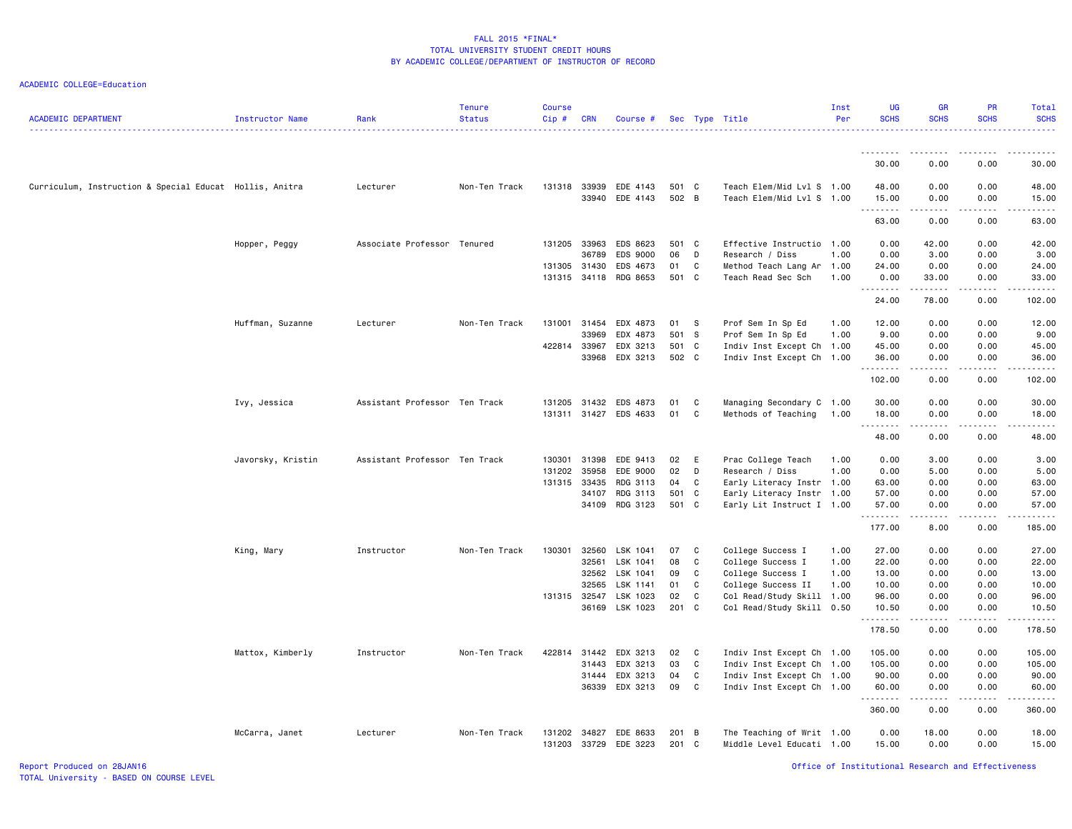| <b>ACADEMIC DEPARTMENT</b>                              | Instructor Name   | Rank                          | <b>Tenure</b><br><b>Status</b> | <b>Course</b><br>Cip# | <b>CRN</b> | Course #                                |                |              | Sec Type Title                                         | Inst<br>Per | UG<br><b>SCHS</b>   | <b>GR</b><br><b>SCHS</b>            | PR<br><b>SCHS</b> | Total<br><b>SCHS</b> |
|---------------------------------------------------------|-------------------|-------------------------------|--------------------------------|-----------------------|------------|-----------------------------------------|----------------|--------------|--------------------------------------------------------|-------------|---------------------|-------------------------------------|-------------------|----------------------|
|                                                         |                   |                               |                                |                       |            |                                         |                |              |                                                        |             |                     |                                     |                   |                      |
|                                                         |                   |                               |                                |                       |            |                                         |                |              |                                                        |             | 30.00               | 0.00                                | 0.00              | 30.00                |
| Curriculum, Instruction & Special Educat Hollis, Anitra |                   | Lecturer                      | Non-Ten Track                  |                       |            | 131318 33939 EDE 4143<br>33940 EDE 4143 | 501 C<br>502 B |              | Teach Elem/Mid Lvl S 1.00<br>Teach Elem/Mid Lvl S 1.00 |             | 48.00<br>15.00      | 0.00<br>0.00                        | 0.00<br>0.00      | 48.00<br>15.00       |
|                                                         |                   |                               |                                |                       |            |                                         |                |              |                                                        |             | .<br>63.00          | -----<br>0.00                       | .<br>0.00         | .<br>63.00           |
|                                                         | Hopper, Peggy     | Associate Professor           | Tenured                        | 131205                | 33963      | EDS 8623                                | 501 C          |              | Effective Instructio 1.00                              |             | 0.00                | 42.00                               | 0.00              | 42.00                |
|                                                         |                   |                               |                                |                       | 36789      | EDS 9000                                | 06             | D            | Research / Diss                                        | 1.00        | 0.00                | 3.00                                | 0.00              | 3.00                 |
|                                                         |                   |                               |                                | 131305 31430          |            | EDS 4673                                | 01             | C            | Method Teach Lang Ar 1.00                              |             | 24.00               | 0.00                                | 0.00              | 24.00                |
|                                                         |                   |                               |                                |                       |            | 131315 34118 RDG 8653                   | 501 C          |              | Teach Read Sec Sch                                     | 1.00        | 0.00<br>.           | 33.00<br>.                          | 0.00<br>.         | 33.00<br>.           |
|                                                         |                   |                               |                                |                       |            |                                         |                |              |                                                        |             | 24.00               | 78.00                               | 0.00              | 102.00               |
|                                                         | Huffman, Suzanne  | Lecturer                      | Non-Ten Track                  | 131001                | 31454      | EDX 4873                                | 01             | $^{\circ}$ s | Prof Sem In Sp Ed                                      | 1.00        | 12.00               | 0.00                                | 0.00              | 12.00                |
|                                                         |                   |                               |                                |                       | 33969      | EDX 4873                                | 501 S          |              | Prof Sem In Sp Ed                                      | 1.00        | 9.00                | 0.00                                | 0.00              | 9.00                 |
|                                                         |                   |                               |                                | 422814 33967          |            | EDX 3213                                | 501 C          |              | Indiv Inst Except Ch 1.00                              |             | 45.00               | 0.00                                | 0.00              | 45.00                |
|                                                         |                   |                               |                                |                       | 33968      | EDX 3213                                | 502 C          |              | Indiv Inst Except Ch 1.00                              |             | 36.00<br>.          | 0.00<br>الأنابات                    | 0.00<br>.         | 36.00<br>.           |
|                                                         |                   |                               |                                |                       |            |                                         |                |              |                                                        |             | 102.00              | 0.00                                | 0.00              | 102.00               |
|                                                         | Ivy, Jessica      | Assistant Professor Ten Track |                                | 131205                | 31432      | EDS 4873                                | 01             | $\mathbf{C}$ | Managing Secondary C 1.00                              |             | 30.00               | 0.00                                | 0.00              | 30.00                |
|                                                         |                   |                               |                                |                       |            | 131311 31427 EDS 4633                   | 01             | <b>C</b>     | Methods of Teaching                                    | 1.00        | 18.00               | 0.00                                | 0.00              | 18.00                |
|                                                         |                   |                               |                                |                       |            |                                         |                |              |                                                        |             | .<br>48.00          | .<br>0.00                           | .<br>0.00         | .<br>48.00           |
|                                                         | Javorsky, Kristin | Assistant Professor Ten Track |                                | 130301                | 31398      | EDE 9413                                | 02             | - E          | Prac College Teach                                     | 1.00        | 0.00                | 3.00                                | 0.00              | 3.00                 |
|                                                         |                   |                               |                                |                       | 35958      | EDE 9000                                | 02             |              |                                                        | 1.00        | 0.00                |                                     | 0.00              |                      |
|                                                         |                   |                               |                                | 131202<br>131315      | 33435      | RDG 3113                                | 04             | D<br>C       | Research / Diss<br>Early Literacy Instr 1.00           |             | 63.00               | 5.00<br>0.00                        | 0.00              | 5.00<br>63.00        |
|                                                         |                   |                               |                                |                       | 34107      | RDG 3113                                | 501 C          |              |                                                        |             | 57.00               | 0.00                                | 0.00              | 57.00                |
|                                                         |                   |                               |                                |                       |            | 34109 RDG 3123                          | 501 C          |              | Early Literacy Instr 1.00<br>Early Lit Instruct I 1.00 |             | 57.00               | 0.00                                | 0.00              | 57.00                |
|                                                         |                   |                               |                                |                       |            |                                         |                |              |                                                        |             | .                   | .                                   | .                 | .                    |
|                                                         |                   |                               |                                |                       |            |                                         |                |              |                                                        |             | 177.00              | 8.00                                | 0.00              | 185.00               |
|                                                         | King, Mary        | Instructor                    | Non-Ten Track                  | 130301                | 32560      | LSK 1041                                | 07             | $\mathbf{C}$ | College Success I                                      | 1.00        | 27.00               | 0.00                                | 0.00              | 27.00                |
|                                                         |                   |                               |                                |                       | 32561      | LSK 1041                                | 08             | C            | College Success I                                      | 1.00        | 22.00               | 0.00                                | 0.00              | 22.00                |
|                                                         |                   |                               |                                |                       | 32562      | LSK 1041                                | 09             | C            | College Success I                                      | 1.00        | 13.00               | 0.00                                | 0.00              | 13.00                |
|                                                         |                   |                               |                                |                       | 32565      | LSK 1141                                | 01             | C            | College Success II                                     | 1.00        | 10.00               | 0.00                                | 0.00              | 10.00                |
|                                                         |                   |                               |                                | 131315 32547          |            | LSK 1023                                | 02             | $\mathbf{C}$ | Col Read/Study Skill                                   | 1.00        | 96.00               | 0.00                                | 0.00              | 96.00                |
|                                                         |                   |                               |                                |                       |            | 36169 LSK 1023                          | 201 C          |              | Col Read/Study Skill 0.50                              |             | 10.50<br>. <b>.</b> | 0.00<br>.                           | 0.00<br>.         | 10.50<br>.           |
|                                                         |                   |                               |                                |                       |            |                                         |                |              |                                                        |             | 178.50              | 0.00                                | 0.00              | 178.50               |
|                                                         | Mattox, Kimberly  | Instructor                    | Non-Ten Track                  |                       |            | 422814 31442 EDX 3213                   | 02             | $\mathbf{C}$ | Indiv Inst Except Ch 1.00                              |             | 105.00              | 0.00                                | 0.00              | 105.00               |
|                                                         |                   |                               |                                |                       | 31443      | EDX 3213                                | 03             | $\mathbf{C}$ | Indiv Inst Except Ch 1.00                              |             | 105.00              | 0.00                                | 0.00              | 105.00               |
|                                                         |                   |                               |                                |                       | 31444      | EDX 3213                                | 04             | $\mathbf{C}$ | Indiv Inst Except Ch 1.00                              |             | 90.00               | 0.00                                | 0.00              | 90.00                |
|                                                         |                   |                               |                                |                       |            | 36339 EDX 3213                          | 09             | $\mathbf{C}$ | Indiv Inst Except Ch 1.00                              |             | 60.00<br>.          | 0.00<br>$\sim$ $\sim$ $\sim$ $\sim$ | 0.00<br>.         | 60.00<br>.           |
|                                                         |                   |                               |                                |                       |            |                                         |                |              |                                                        |             | 360.00              | 0.00                                | 0.00              | 360.00               |
|                                                         | McCarra, Janet    | Lecturer                      | Non-Ten Track                  | 131202<br>131203      |            | 34827 EDE 8633<br>33729 EDE 3223        | 201 B<br>201 C |              | The Teaching of Writ 1.00<br>Middle Level Educati 1.00 |             | 0.00<br>15.00       | 18.00<br>0.00                       | 0.00<br>0.00      | 18.00<br>15.00       |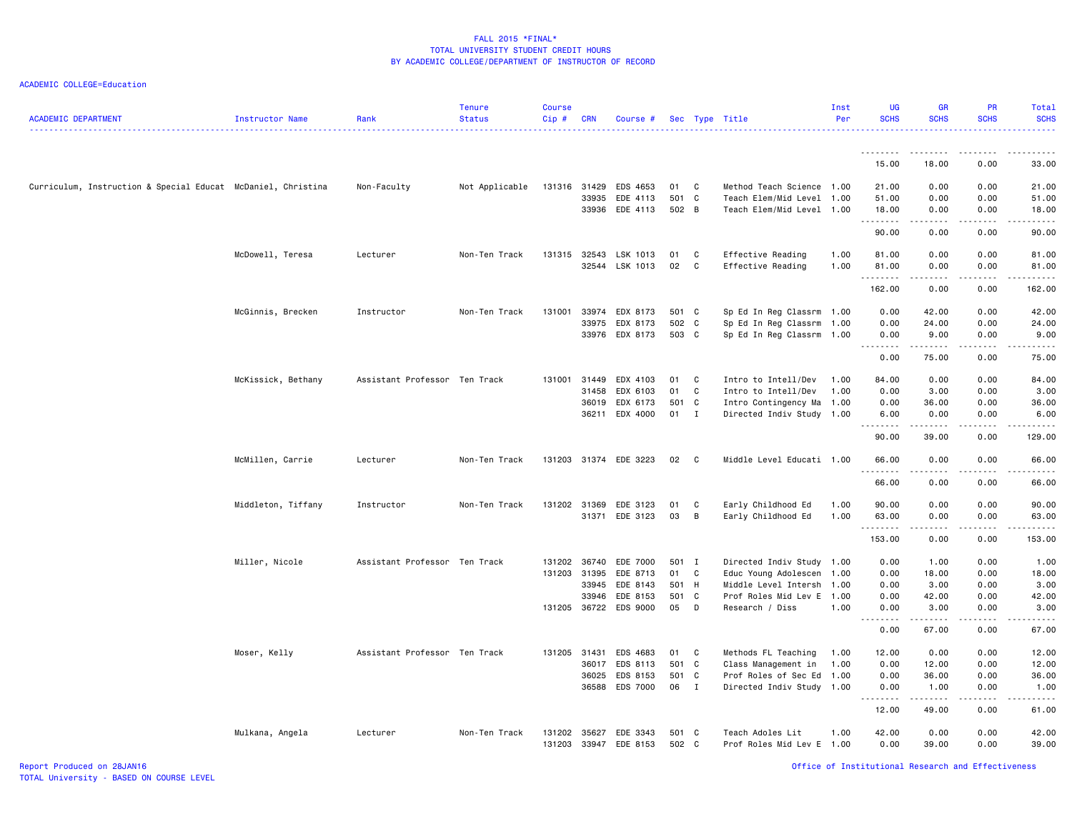| <b>ACADEMIC DEPARTMENT</b>                                   | Instructor Name    | Rank                          | <b>Tenure</b><br><b>Status</b> | <b>Course</b><br>Cip# | <b>CRN</b>   | Course #                   |                |              | Sec Type Title                                    | Inst<br>Per | <b>UG</b><br><b>SCHS</b> | <b>GR</b><br><b>SCHS</b> | <b>PR</b><br><b>SCHS</b> | Total<br><b>SCHS</b>                                                                                                           |
|--------------------------------------------------------------|--------------------|-------------------------------|--------------------------------|-----------------------|--------------|----------------------------|----------------|--------------|---------------------------------------------------|-------------|--------------------------|--------------------------|--------------------------|--------------------------------------------------------------------------------------------------------------------------------|
|                                                              |                    |                               |                                |                       |              |                            |                |              |                                                   |             | .                        | . <b>.</b>               |                          |                                                                                                                                |
|                                                              |                    |                               |                                |                       |              |                            |                |              |                                                   |             | 15.00                    | 18.00                    | 0.00                     | 33.00                                                                                                                          |
| Curriculum, Instruction & Special Educat McDaniel, Christina |                    | Non-Faculty                   | Not Applicable                 |                       | 131316 31429 | EDS 4653                   | 01             | $\mathbf{C}$ | Method Teach Science 1.00                         |             | 21.00                    | 0.00                     | 0.00                     | 21.00                                                                                                                          |
|                                                              |                    |                               |                                |                       | 33935        | EDE 4113<br>33936 EDE 4113 | 501 C<br>502 B |              | Teach Elem/Mid Level<br>Teach Elem/Mid Level 1.00 | 1.00        | 51.00<br>18.00           | 0.00<br>0.00             | 0.00<br>0.00             | 51.00<br>18.00                                                                                                                 |
|                                                              |                    |                               |                                |                       |              |                            |                |              |                                                   |             | .                        | .                        | .                        | .                                                                                                                              |
|                                                              |                    |                               |                                |                       |              |                            |                |              |                                                   |             | 90.00                    | 0.00                     | 0.00                     | 90.00                                                                                                                          |
|                                                              | McDowell, Teresa   | Lecturer                      | Non-Ten Track                  | 131315                | 32543        | LSK 1013                   | 01             | C            | Effective Reading                                 | 1.00        | 81.00                    | 0.00                     | 0.00                     | 81.00                                                                                                                          |
|                                                              |                    |                               |                                |                       |              | 32544 LSK 1013             | 02             | $\mathbf{C}$ | Effective Reading                                 | 1.00        | 81.00<br>.               | 0.00<br>.                | 0.00<br>.                | 81.00<br>$\begin{array}{cccccccccc} \bullet & \bullet & \bullet & \bullet & \bullet & \bullet & \bullet & \bullet \end{array}$ |
|                                                              |                    |                               |                                |                       |              |                            |                |              |                                                   |             | 162.00                   | 0.00                     | 0.00                     | 162.00                                                                                                                         |
|                                                              | McGinnis, Brecken  | Instructor                    | Non-Ten Track                  | 131001                | 33974        | EDX 8173                   | 501 C          |              | Sp Ed In Reg Classrm 1.00                         |             | 0.00                     | 42.00                    | 0.00                     | 42.00                                                                                                                          |
|                                                              |                    |                               |                                |                       | 33975        | EDX 8173                   | 502 C          |              | Sp Ed In Reg Classrm                              | 1.00        | 0.00                     | 24.00                    | 0.00                     | 24.00                                                                                                                          |
|                                                              |                    |                               |                                |                       |              | 33976 EDX 8173             | 503 C          |              | Sp Ed In Reg Classrm 1.00                         |             | 0.00<br>.                | 9.00<br>.                | 0.00                     | 9.00<br>.                                                                                                                      |
|                                                              |                    |                               |                                |                       |              |                            |                |              |                                                   |             | 0.00                     | 75.00                    | 0.00                     | 75.00                                                                                                                          |
|                                                              | McKissick, Bethany | Assistant Professor Ten Track |                                |                       | 131001 31449 | EDX 4103                   | 01             | C            | Intro to Intell/Dev                               | 1.00        | 84.00                    | 0.00                     | 0.00                     | 84.00                                                                                                                          |
|                                                              |                    |                               |                                |                       | 31458        | EDX 6103                   | 01             | C            | Intro to Intell/Dev                               | 1.00        | 0.00                     | 3.00                     | 0.00                     | 3.00                                                                                                                           |
|                                                              |                    |                               |                                |                       | 36019        | EDX 6173                   | 501 C          |              | Intro Contingency Ma                              | 1.00        | 0.00                     | 36.00                    | 0.00                     | 36.00                                                                                                                          |
|                                                              |                    |                               |                                |                       | 36211        | EDX 4000                   | $01$ I         |              | Directed Indiv Study 1.00                         |             | 6.00                     | 0.00<br>.                | 0.00                     | 6.00                                                                                                                           |
|                                                              |                    |                               |                                |                       |              |                            |                |              |                                                   |             | 90.00                    | 39.00                    | 0.00                     | 129.00                                                                                                                         |
|                                                              | McMillen, Carrie   | Lecturer                      | Non-Ten Track                  |                       |              | 131203 31374 EDE 3223      | 02             | $\mathbf{C}$ | Middle Level Educati 1.00                         |             | 66.00                    | 0.00<br>.                | 0.00                     | 66.00                                                                                                                          |
|                                                              |                    |                               |                                |                       |              |                            |                |              |                                                   |             | 66.00                    | 0.00                     | 0.00                     | 66.00                                                                                                                          |
|                                                              | Middleton, Tiffany | Instructor                    | Non-Ten Track                  |                       | 131202 31369 | EDE 3123                   | 01             | C            | Early Childhood Ed                                | 1.00        | 90.00                    | 0.00                     | 0.00                     | 90.00                                                                                                                          |
|                                                              |                    |                               |                                |                       | 31371        | EDE 3123                   | 03             | B            | Early Childhood Ed                                | 1.00        | 63.00                    | 0.00                     | 0.00                     | 63.00                                                                                                                          |
|                                                              |                    |                               |                                |                       |              |                            |                |              |                                                   |             | .<br>153.00              | .<br>0.00                | 0.00                     | 153.00                                                                                                                         |
|                                                              | Miller, Nicole     | Assistant Professor Ten Track |                                |                       | 131202 36740 | EDE 7000                   | 501 I          |              | Directed Indiv Study 1.00                         |             | 0.00                     | 1.00                     | 0.00                     | 1.00                                                                                                                           |
|                                                              |                    |                               |                                |                       | 131203 31395 | EDE 8713                   | 01 C           |              | Educ Young Adolescen                              | 1.00        | 0.00                     | 18.00                    | 0.00                     | 18.00                                                                                                                          |
|                                                              |                    |                               |                                |                       | 33945        | EDE 8143                   | 501 H          |              | Middle Level Intersh                              | 1.00        | 0.00                     | 3.00                     | 0.00                     | 3.00                                                                                                                           |
|                                                              |                    |                               |                                |                       | 33946        | EDE 8153                   | 501 C          |              | Prof Roles Mid Lev E                              | 1.00        | 0.00                     | 42.00                    | 0.00                     | 42.00                                                                                                                          |
|                                                              |                    |                               |                                |                       |              | 131205 36722 EDS 9000      | 05 D           |              | Research / Diss                                   | 1.00        | 0.00                     | 3.00                     | 0.00                     | 3.00                                                                                                                           |
|                                                              |                    |                               |                                |                       |              |                            |                |              |                                                   |             | .<br>0.00                | .<br>67.00               | .<br>0.00                | .<br>67.00                                                                                                                     |
|                                                              | Moser, Kelly       | Assistant Professor Ten Track |                                | 131205 31431          |              | EDS 4683                   | 01 C           |              | Methods FL Teaching                               | 1.00        | 12.00                    | 0.00                     | 0.00                     | 12.00                                                                                                                          |
|                                                              |                    |                               |                                |                       | 36017        | EDS 8113                   | 501 C          |              | Class Management in                               | 1.00        | 0.00                     | 12.00                    | 0.00                     | 12.00                                                                                                                          |
|                                                              |                    |                               |                                |                       | 36025        | EDS 8153                   | 501 C          |              | Prof Roles of Sec Ed                              | 1.00        | 0.00                     | 36.00                    | 0.00                     | 36.00                                                                                                                          |
|                                                              |                    |                               |                                |                       | 36588        | EDS 7000                   | 06 I           |              | Directed Indiv Study 1.00                         |             | 0.00                     | 1.00                     | 0.00                     | 1.00                                                                                                                           |
|                                                              |                    |                               |                                |                       |              |                            |                |              |                                                   |             | .<br>12.00               | .<br>49.00               | .<br>0.00                | .<br>61.00                                                                                                                     |
|                                                              | Mulkana, Angela    | Lecturer                      | Non-Ten Track                  | 131202                | 35627        | EDE 3343                   | 501 C          |              | Teach Adoles Lit                                  | 1.00        | 42.00                    | 0.00                     | 0.00                     | 42.00                                                                                                                          |
|                                                              |                    |                               |                                | 131203                | 33947        | EDE 8153                   | 502 C          |              | Prof Roles Mid Lev E 1.00                         |             | 0.00                     | 39.00                    | 0.00                     | 39.00                                                                                                                          |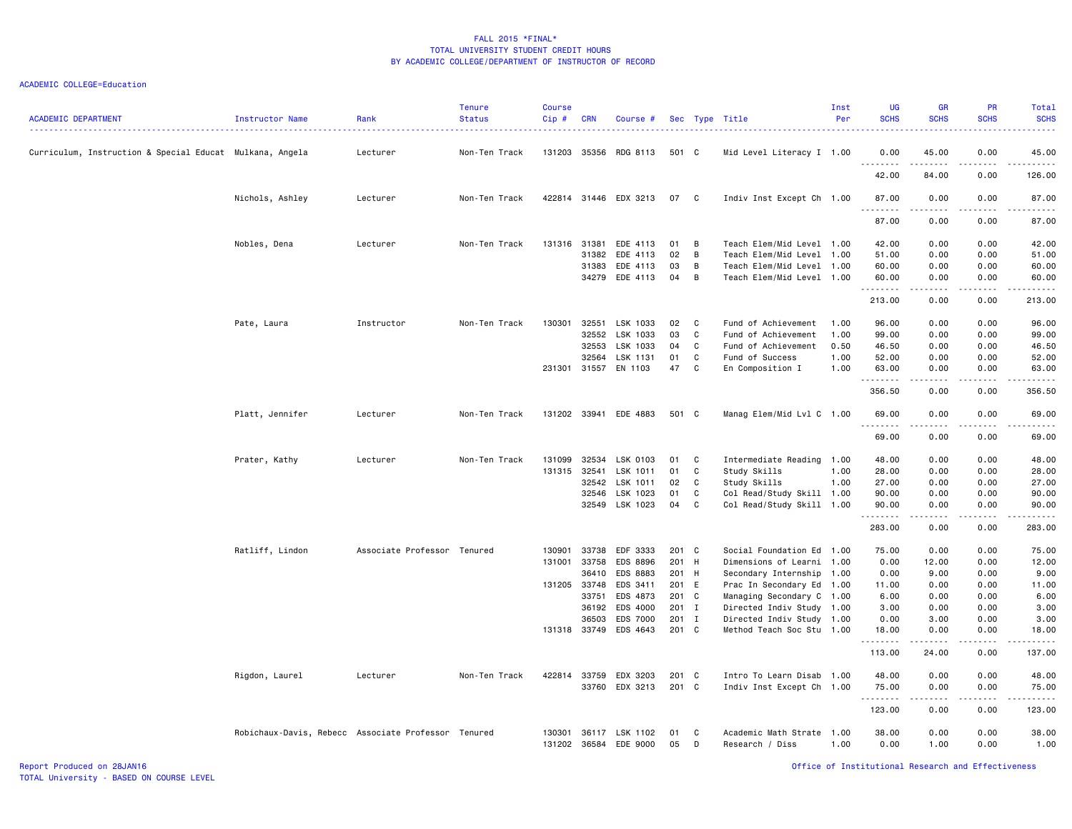| <b>ACADEMIC DEPARTMENT</b>                               | Instructor Name                                     | Rank<br>.                   | <b>Tenure</b><br><b>Status</b> | <b>Course</b><br>Cip#  | <b>CRN</b>     | Course #                   |                |                | Sec Type Title                                         | Inst<br>Per  | <b>UG</b><br><b>SCHS</b><br>$  -$ | <b>GR</b><br><b>SCHS</b>                                                                                                                                      | <b>PR</b><br><b>SCHS</b>    | Total<br><b>SCHS</b><br>.                                                                                                                                      |
|----------------------------------------------------------|-----------------------------------------------------|-----------------------------|--------------------------------|------------------------|----------------|----------------------------|----------------|----------------|--------------------------------------------------------|--------------|-----------------------------------|---------------------------------------------------------------------------------------------------------------------------------------------------------------|-----------------------------|----------------------------------------------------------------------------------------------------------------------------------------------------------------|
| Curriculum, Instruction & Special Educat Mulkana, Angela |                                                     | Lecturer                    | Non-Ten Track                  | 131203                 | 35356          | RDG 8113                   | 501 C          |                | Mid Level Literacy I 1.00                              |              | 0.00<br>.                         | 45.00<br>$\frac{1}{2} \left( \frac{1}{2} \right) \left( \frac{1}{2} \right) \left( \frac{1}{2} \right) \left( \frac{1}{2} \right) \left( \frac{1}{2} \right)$ | 0.00<br>.                   | 45.00<br>$\begin{array}{cccccccccc} \bullet & \bullet & \bullet & \bullet & \bullet & \bullet & \bullet \end{array}$                                           |
|                                                          |                                                     |                             |                                |                        |                |                            |                |                |                                                        |              | 42.00                             | 84.00                                                                                                                                                         | 0.00                        | 126.00                                                                                                                                                         |
|                                                          | Nichols, Ashley                                     | Lecturer                    | Non-Ten Track                  |                        |                | 422814 31446 EDX 3213      | 07             | C <sub>1</sub> | Indiv Inst Except Ch 1.00                              |              | 87.00<br>.                        | 0.00                                                                                                                                                          | 0.00                        | 87.00                                                                                                                                                          |
|                                                          |                                                     |                             |                                |                        |                |                            |                |                |                                                        |              | 87.00                             | 0.00                                                                                                                                                          | 0.00                        | 87.00                                                                                                                                                          |
|                                                          | Nobles, Dena                                        | Lecturer                    | Non-Ten Track                  | 131316                 | 31381<br>31382 | EDE 4113<br>EDE 4113       | 01<br>02       | B<br>B         | Teach Elem/Mid Level 1.00<br>Teach Elem/Mid Level 1.00 |              | 42.00<br>51.00                    | 0.00<br>0.00                                                                                                                                                  | 0.00<br>0.00                | 42.00<br>51.00                                                                                                                                                 |
|                                                          |                                                     |                             |                                |                        | 31383          | EDE 4113                   | 03             | B              | Teach Elem/Mid Level 1.00                              |              | 60.00                             | 0.00                                                                                                                                                          | 0.00                        | 60.00                                                                                                                                                          |
|                                                          |                                                     |                             |                                |                        | 34279          | EDE 4113                   | 04             | B              | Teach Elem/Mid Level 1.00                              |              | 60.00<br>.                        | 0.00<br>-----                                                                                                                                                 | 0.00<br>.                   | 60.00<br>.                                                                                                                                                     |
|                                                          |                                                     |                             |                                |                        |                |                            |                |                |                                                        |              | 213.00                            | 0.00                                                                                                                                                          | 0.00                        | 213.00                                                                                                                                                         |
|                                                          | Pate, Laura                                         | Instructor                  | Non-Ten Track                  | 130301                 | 32551          | LSK 1033                   | 02             | C              | Fund of Achievement                                    | 1.00         | 96.00                             | 0.00                                                                                                                                                          | 0.00                        | 96.00                                                                                                                                                          |
|                                                          |                                                     |                             |                                |                        | 32552          | LSK 1033                   | 03             | C              | Fund of Achievement                                    | 1.00         | 99.00                             | 0.00                                                                                                                                                          | 0.00                        | 99.00                                                                                                                                                          |
|                                                          |                                                     |                             |                                |                        | 32553          | LSK 1033                   | 04             | C              | Fund of Achievement                                    | 0.50         | 46.50                             | 0.00                                                                                                                                                          | 0.00                        | 46.50                                                                                                                                                          |
|                                                          |                                                     |                             |                                | 231301 31557           | 32564          | LSK 1131<br>EN 1103        | 01<br>47       | C<br>C         | Fund of Success<br>En Composition I                    | 1.00<br>1.00 | 52.00<br>63.00                    | 0.00<br>0.00                                                                                                                                                  | 0.00<br>0.00                | 52.00<br>63.00                                                                                                                                                 |
|                                                          |                                                     |                             |                                |                        |                |                            |                |                |                                                        |              | .<br>356.50                       | 0.00                                                                                                                                                          | $- - -$<br>0.00             | $\frac{1}{2} \left( \frac{1}{2} \right) \left( \frac{1}{2} \right) \left( \frac{1}{2} \right) \left( \frac{1}{2} \right) \left( \frac{1}{2} \right)$<br>356.50 |
|                                                          |                                                     |                             |                                |                        |                |                            |                |                |                                                        |              |                                   |                                                                                                                                                               |                             |                                                                                                                                                                |
|                                                          | Platt, Jennifer                                     | Lecturer                    | Non-Ten Track                  | 131202 33941           |                | EDE 4883                   | 501            | $\mathbf{C}$   | Manag Elem/Mid Lvl C 1.00                              |              | 69.00<br>.                        | 0.00                                                                                                                                                          | 0.00                        | 69.00<br>$\frac{1}{2} \left( \frac{1}{2} \right) \left( \frac{1}{2} \right) \left( \frac{1}{2} \right) \left( \frac{1}{2} \right) \left( \frac{1}{2} \right)$  |
|                                                          |                                                     |                             |                                |                        |                |                            |                |                |                                                        |              | 69.00                             | 0.00                                                                                                                                                          | 0.00                        | 69.00                                                                                                                                                          |
|                                                          | Prater, Kathy                                       | Lecturer                    | Non-Ten Track                  | 131099                 | 32534          | LSK 0103                   | 01             | C              | Intermediate Reading 1.00                              |              | 48.00                             | 0.00                                                                                                                                                          | 0.00                        | 48.00                                                                                                                                                          |
|                                                          |                                                     |                             |                                | 131315                 | 32541          | LSK 1011                   | 01             | C              | Study Skills                                           | 1.00         | 28.00                             | 0.00                                                                                                                                                          | 0.00                        | 28.00                                                                                                                                                          |
|                                                          |                                                     |                             |                                |                        | 32542          | LSK 1011                   | 02             | C              | Study Skills                                           | 1.00         | 27.00                             | 0.00                                                                                                                                                          | 0.00                        | 27.00                                                                                                                                                          |
|                                                          |                                                     |                             |                                |                        | 32546          | LSK 1023                   | 01             | C              | Col Read/Study Skill 1.00                              |              | 90.00                             | 0.00                                                                                                                                                          | 0.00                        | 90.00                                                                                                                                                          |
|                                                          |                                                     |                             |                                |                        | 32549          | LSK 1023                   | 04             | C              | Col Read/Study Skill 1.00                              |              | 90.00<br>.                        | 0.00<br>$\frac{1}{2} \left( \frac{1}{2} \right) \left( \frac{1}{2} \right) \left( \frac{1}{2} \right) \left( \frac{1}{2} \right) \left( \frac{1}{2} \right)$  | 0.00<br>.                   | 90.00<br>.                                                                                                                                                     |
|                                                          |                                                     |                             |                                |                        |                |                            |                |                |                                                        |              | 283.00                            | 0.00                                                                                                                                                          | 0.00                        | 283.00                                                                                                                                                         |
|                                                          | Ratliff, Lindon                                     | Associate Professor Tenured |                                | 130901                 | 33738          | EDF 3333                   | 201 C          |                | Social Foundation Ed 1.00                              |              | 75.00                             | 0.00                                                                                                                                                          | 0.00                        | 75.00                                                                                                                                                          |
|                                                          |                                                     |                             |                                | 131001                 | 33758          | EDS 8896                   | 201            | H              | Dimensions of Learni 1.00                              |              | 0.00                              | 12.00                                                                                                                                                         | 0.00                        | 12.00                                                                                                                                                          |
|                                                          |                                                     |                             |                                |                        | 36410          | EDS 8883                   | 201 H          |                | Secondary Internship 1.00                              |              | 0.00                              | 9.00                                                                                                                                                          | 0.00                        | 9.00                                                                                                                                                           |
|                                                          |                                                     |                             |                                | 131205 33748           |                | EDS 3411                   | 201 E          |                | Prac In Secondary Ed 1.00                              |              | 11.00                             | 0.00                                                                                                                                                          | 0.00                        | 11.00                                                                                                                                                          |
|                                                          |                                                     |                             |                                |                        | 33751          | EDS 4873                   | 201            | $\mathbf{C}$   | Managing Secondary C 1.00                              |              | 6.00                              | 0.00                                                                                                                                                          | 0.00                        | 6.00                                                                                                                                                           |
|                                                          |                                                     |                             |                                |                        | 36192<br>36503 | EDS 4000<br>EDS 7000       | 201 I<br>201 I |                | Directed Indiv Study 1.00<br>Directed Indiv Study 1.00 |              | 3.00<br>0.00                      | 0.00<br>3.00                                                                                                                                                  | 0.00<br>0.00                | 3.00<br>3.00                                                                                                                                                   |
|                                                          |                                                     |                             |                                | 131318 33749           |                | EDS 4643                   | 201 C          |                | Method Teach Soc Stu 1.00                              |              | 18.00                             | 0.00                                                                                                                                                          | 0.00                        | 18.00                                                                                                                                                          |
|                                                          |                                                     |                             |                                |                        |                |                            |                |                |                                                        |              | .                                 | $\frac{1}{2} \left( \frac{1}{2} \right) \left( \frac{1}{2} \right) \left( \frac{1}{2} \right) \left( \frac{1}{2} \right) \left( \frac{1}{2} \right)$          | $\sim$ $\sim$ $\sim$ $\sim$ | د د د د د                                                                                                                                                      |
|                                                          |                                                     |                             |                                |                        |                |                            |                |                |                                                        |              | 113.00                            | 24.00                                                                                                                                                         | 0.00                        | 137.00                                                                                                                                                         |
|                                                          | Rigdon, Laurel                                      | Lecturer                    | Non-Ten Track                  | 422814                 | 33759          | EDX 3203                   | 201            | $\mathbf{C}$   | Intro To Learn Disab 1.00                              |              | 48.00                             | 0.00                                                                                                                                                          | 0.00                        | 48.00                                                                                                                                                          |
|                                                          |                                                     |                             |                                |                        | 33760          | EDX 3213                   | 201 C          |                | Indiv Inst Except Ch 1.00                              |              | 75.00<br>.                        | 0.00                                                                                                                                                          | 0.00<br>.                   | 75.00<br>.                                                                                                                                                     |
|                                                          |                                                     |                             |                                |                        |                |                            |                |                |                                                        |              | 123.00                            | 0.00                                                                                                                                                          | 0.00                        | 123.00                                                                                                                                                         |
|                                                          | Robichaux-Davis, Rebecc Associate Professor Tenured |                             |                                | 130301<br>131202 36584 |                | 36117 LSK 1102<br>EDE 9000 | 01<br>05       | C.<br>D        | Academic Math Strate 1.00<br>Research / Diss           | 1.00         | 38.00<br>0.00                     | 0.00<br>1.00                                                                                                                                                  | 0.00<br>0.00                | 38.00<br>1.00                                                                                                                                                  |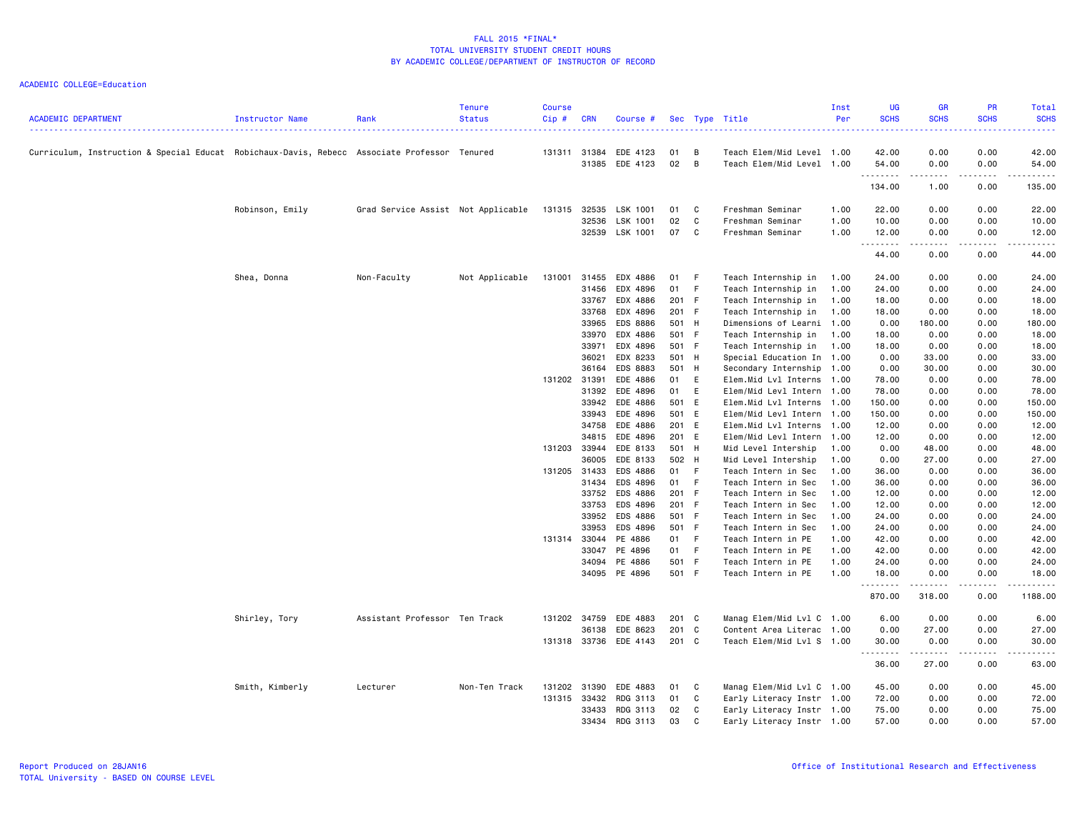| <b>ACADEMIC DEPARTMENT</b>                                                                   | Instructor Name | Rank                               | <b>Tenure</b><br><b>Status</b> | <b>Course</b><br>Cip# | <b>CRN</b>   | Course #              |       |                | Sec Type Title            | Inst<br>Per | <b>UG</b><br><b>SCHS</b> | <b>GR</b><br><b>SCHS</b> | PR<br><b>SCHS</b>                                                                                                                                            | Total<br><b>SCHS</b>           |
|----------------------------------------------------------------------------------------------|-----------------|------------------------------------|--------------------------------|-----------------------|--------------|-----------------------|-------|----------------|---------------------------|-------------|--------------------------|--------------------------|--------------------------------------------------------------------------------------------------------------------------------------------------------------|--------------------------------|
| Curriculum, Instruction & Special Educat Robichaux-Davis, Rebecc Associate Professor Tenured |                 |                                    |                                |                       | 131311 31384 | EDE 4123              | 01    | B              | Teach Elem/Mid Level 1.00 |             | 42.00                    | 0.00                     | 0.00                                                                                                                                                         | 42.00                          |
|                                                                                              |                 |                                    |                                |                       | 31385        | EDE 4123              | 02    | $\overline{B}$ | Teach Elem/Mid Level 1.00 |             | 54.00<br>.               | 0.00                     | 0.00                                                                                                                                                         | 54.00                          |
|                                                                                              |                 |                                    |                                |                       |              |                       |       |                |                           |             | 134.00                   | 1.00                     | 0.00                                                                                                                                                         | 135.00                         |
|                                                                                              | Robinson, Emily | Grad Service Assist Not Applicable |                                | 131315                | 32535        | LSK 1001              | 01    | C              | Freshman Seminar          | 1.00        | 22.00                    | 0.00                     | 0.00                                                                                                                                                         | 22.00                          |
|                                                                                              |                 |                                    |                                |                       | 32536        | LSK 1001              | 02    | C              | Freshman Seminar          | 1.00        | 10.00                    | 0.00                     | 0.00                                                                                                                                                         | 10.00                          |
|                                                                                              |                 |                                    |                                |                       |              | 32539 LSK 1001        | 07    | $\mathbf{C}$   | Freshman Seminar          | 1.00        | 12.00                    | 0.00                     | 0.00                                                                                                                                                         | 12.00                          |
|                                                                                              |                 |                                    |                                |                       |              |                       |       |                |                           |             | .<br>44.00               | .<br>0.00                | 0.00                                                                                                                                                         | 44.00                          |
|                                                                                              | Shea, Donna     | Non-Faculty                        | Not Applicable                 | 131001                | 31455        | EDX 4886              | 01 F  |                | Teach Internship in       | 1.00        | 24.00                    | 0.00                     | 0.00                                                                                                                                                         | 24.00                          |
|                                                                                              |                 |                                    |                                |                       | 31456        | EDX 4896              | 01 F  |                | Teach Internship in       | 1.00        | 24.00                    | 0.00                     | 0.00                                                                                                                                                         | 24.00                          |
|                                                                                              |                 |                                    |                                |                       | 33767        | EDX 4886              | 201 F |                | Teach Internship in       | 1.00        | 18.00                    | 0.00                     | 0.00                                                                                                                                                         | 18.00                          |
|                                                                                              |                 |                                    |                                |                       | 33768        | EDX 4896              | 201 F |                | Teach Internship in       | 1.00        | 18.00                    | 0.00                     | 0.00                                                                                                                                                         | 18.00                          |
|                                                                                              |                 |                                    |                                |                       | 33965        | EDS 8886              | 501 H |                | Dimensions of Learni 1.00 |             | 0.00                     | 180.00                   | 0.00                                                                                                                                                         | 180.00                         |
|                                                                                              |                 |                                    |                                |                       | 33970        | EDX 4886              | 501 F |                | Teach Internship in       | 1.00        | 18.00                    | 0.00                     | 0.00                                                                                                                                                         | 18.00                          |
|                                                                                              |                 |                                    |                                |                       | 33971        | EDX 4896              | 501 F |                | Teach Internship in       | 1.00        | 18.00                    | 0.00                     | 0.00                                                                                                                                                         | 18.00                          |
|                                                                                              |                 |                                    |                                |                       | 36021        | EDX 8233              | 501 H |                |                           |             |                          | 33.00                    | 0.00                                                                                                                                                         | 33.00                          |
|                                                                                              |                 |                                    |                                |                       | 36164        | EDS 8883              | 501 H |                | Special Education In 1.00 |             | 0.00                     | 30.00                    | 0.00                                                                                                                                                         | 30.00                          |
|                                                                                              |                 |                                    |                                |                       |              |                       |       |                | Secondary Internship 1.00 |             | 0.00                     |                          |                                                                                                                                                              |                                |
|                                                                                              |                 |                                    |                                | 131202 31391          |              | EDE 4886              | 01 E  |                | Elem.Mid Lvl Interns 1.00 |             | 78.00                    | 0.00                     | 0.00                                                                                                                                                         | 78.00                          |
|                                                                                              |                 |                                    |                                |                       | 31392        | EDE 4896              | 01 E  |                | Elem/Mid Levl Intern      | 1.00        | 78.00                    | 0.00                     | 0.00                                                                                                                                                         | 78.00                          |
|                                                                                              |                 |                                    |                                |                       |              | 33942 EDE 4886        | 501 E |                | Elem.Mid Lvl Interns      | 1.00        | 150.00                   | 0.00                     | 0.00                                                                                                                                                         | 150.00                         |
|                                                                                              |                 |                                    |                                |                       | 33943        | EDE 4896              | 501 E |                | Elem/Mid Levl Intern      | 1.00        | 150.00                   | 0.00                     | 0.00                                                                                                                                                         | 150.00                         |
|                                                                                              |                 |                                    |                                |                       | 34758        | EDE 4886              | 201 E |                | Elem.Mid Lvl Interns      | 1.00        | 12.00                    | 0.00                     | 0.00                                                                                                                                                         | 12.00                          |
|                                                                                              |                 |                                    |                                |                       | 34815        | EDE 4896              | 201 E |                | Elem/Mid Levl Intern 1.00 |             | 12.00                    | 0.00                     | 0.00                                                                                                                                                         | 12.00                          |
|                                                                                              |                 |                                    |                                | 131203                | 33944        | EDE 8133              | 501 H |                | Mid Level Intership       | 1.00        | 0.00                     | 48.00                    | 0.00                                                                                                                                                         | 48.00                          |
|                                                                                              |                 |                                    |                                |                       | 36005        | EDE 8133              | 502 H |                | Mid Level Intership       | 1.00        | 0.00                     | 27.00                    | 0.00                                                                                                                                                         | 27.00                          |
|                                                                                              |                 |                                    |                                | 131205 31433          |              | EDS 4886              | 01 F  |                | Teach Intern in Sec       | 1.00        | 36.00                    | 0.00                     | 0.00                                                                                                                                                         | 36.00                          |
|                                                                                              |                 |                                    |                                |                       | 31434        | EDS 4896              | 01 F  |                | Teach Intern in Sec       | 1.00        | 36.00                    | 0.00                     | 0.00                                                                                                                                                         | 36.00                          |
|                                                                                              |                 |                                    |                                |                       | 33752        | EDS 4886              | 201 F |                | Teach Intern in Sec       | 1.00        | 12.00                    | 0.00                     | 0.00                                                                                                                                                         | 12.00                          |
|                                                                                              |                 |                                    |                                |                       | 33753        | EDS 4896              | 201 F |                | Teach Intern in Sec       | 1.00        | 12.00                    | 0.00                     | 0.00                                                                                                                                                         | 12.00                          |
|                                                                                              |                 |                                    |                                |                       | 33952        | EDS 4886              | 501 F |                | Teach Intern in Sec       | 1.00        | 24.00                    | 0.00                     | 0.00                                                                                                                                                         | 24.00                          |
|                                                                                              |                 |                                    |                                |                       | 33953        | EDS 4896              | 501 F |                | Teach Intern in Sec       | 1.00        | 24.00                    | 0.00                     | 0.00                                                                                                                                                         | 24.00                          |
|                                                                                              |                 |                                    |                                |                       | 131314 33044 | PE 4886               | 01 F  |                | Teach Intern in PE        | 1.00        | 42.00                    | 0.00                     | 0.00                                                                                                                                                         | 42.00                          |
|                                                                                              |                 |                                    |                                |                       | 33047        | PE 4896               | 01 F  |                | Teach Intern in PE        | 1.00        | 42.00                    | 0.00                     | 0.00                                                                                                                                                         | 42.00                          |
|                                                                                              |                 |                                    |                                |                       |              | 34094 PE 4886         | 501 F |                | Teach Intern in PE        | 1.00        | 24.00                    | 0.00                     | 0.00                                                                                                                                                         | 24.00                          |
|                                                                                              |                 |                                    |                                |                       |              | 34095 PE 4896         | 501 F |                | Teach Intern in PE        | 1.00        | 18.00<br>.               | 0.00<br>.                | 0.00<br>.                                                                                                                                                    | 18.00<br>.                     |
|                                                                                              |                 |                                    |                                |                       |              |                       |       |                |                           |             | 870.00                   | 318.00                   | 0.00                                                                                                                                                         | 1188.00                        |
|                                                                                              | Shirley, Tory   | Assistant Professor Ten Track      |                                |                       | 131202 34759 | EDE 4883              | 201 C |                | Manag Elem/Mid Lvl C 1.00 |             | 6.00                     | 0.00                     | 0.00                                                                                                                                                         | 6.00                           |
|                                                                                              |                 |                                    |                                |                       | 36138        | EDE 8623              | 201 C |                | Content Area Literac 1.00 |             | 0.00                     | 27.00                    | 0.00                                                                                                                                                         | 27.00                          |
|                                                                                              |                 |                                    |                                |                       |              | 131318 33736 EDE 4143 | 201 C |                | Teach Elem/Mid Lvl S 1.00 |             | 30.00<br>.               | 0.00<br><b>.</b>         | 0.00<br>$\frac{1}{2} \left( \frac{1}{2} \right) \left( \frac{1}{2} \right) \left( \frac{1}{2} \right) \left( \frac{1}{2} \right) \left( \frac{1}{2} \right)$ | 30.00<br><b><i><u></u></i></b> |
|                                                                                              |                 |                                    |                                |                       |              |                       |       |                |                           |             | 36.00                    | 27.00                    | 0.00                                                                                                                                                         | 63.00                          |
|                                                                                              | Smith, Kimberly | Lecturer                           | Non-Ten Track                  | 131202                | 31390        | EDE 4883              | 01    | $\mathbf{C}$   | Manag Elem/Mid Lvl C 1.00 |             | 45.00                    | 0.00                     | 0.00                                                                                                                                                         | 45.00                          |
|                                                                                              |                 |                                    |                                | 131315                | 33432        | RDG 3113              | 01    | C              | Early Literacy Instr 1.00 |             | 72.00                    | 0.00                     | 0.00                                                                                                                                                         | 72.00                          |
|                                                                                              |                 |                                    |                                |                       | 33433        | RDG 3113              | 02    | C              | Early Literacy Instr 1.00 |             | 75.00                    | 0.00                     | 0.00                                                                                                                                                         | 75.00                          |
|                                                                                              |                 |                                    |                                |                       |              | 33434 RDG 3113        | 03    | C              | Early Literacy Instr 1.00 |             | 57.00                    | 0.00                     | 0.00                                                                                                                                                         | 57.00                          |
|                                                                                              |                 |                                    |                                |                       |              |                       |       |                |                           |             |                          |                          |                                                                                                                                                              |                                |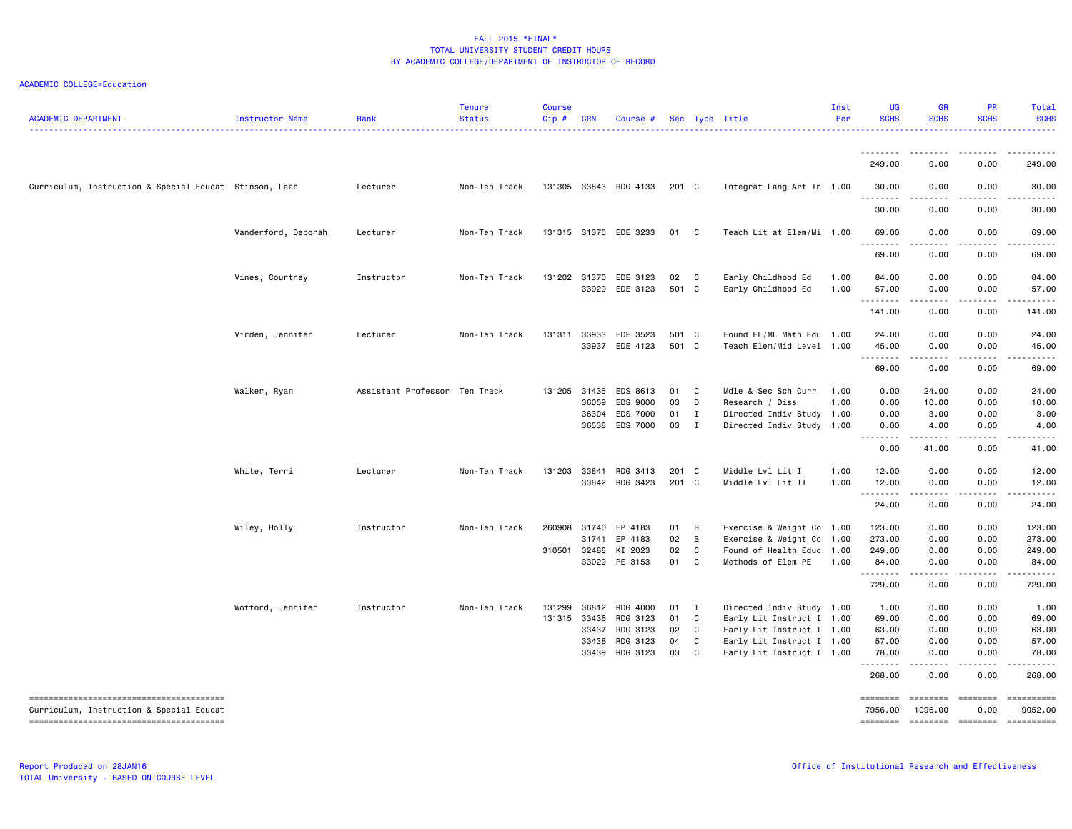| <b>ACADEMIC DEPARTMENT</b>                             | <b>Instructor Name</b> | Rank                          | <b>Tenure</b><br><b>Status</b> | <b>Course</b><br>$Cip$ # | <b>CRN</b>     | Course #              |                |              | Sec Type Title                                         | Inst<br>Per | <b>UG</b><br><b>SCHS</b>                                                                                                          | <b>GR</b><br><b>SCHS</b>                                                                                                                                     | PR<br><b>SCHS</b>                   | Total<br><b>SCHS</b>  |
|--------------------------------------------------------|------------------------|-------------------------------|--------------------------------|--------------------------|----------------|-----------------------|----------------|--------------|--------------------------------------------------------|-------------|-----------------------------------------------------------------------------------------------------------------------------------|--------------------------------------------------------------------------------------------------------------------------------------------------------------|-------------------------------------|-----------------------|
|                                                        |                        |                               |                                |                          |                |                       |                |              |                                                        |             | <u>.</u><br>249.00                                                                                                                | . <u>.</u> .<br>0.00                                                                                                                                         | . <u>.</u> .<br>0.00                | .<br>249.00           |
| Curriculum, Instruction & Special Educat Stinson, Leah |                        | Lecturer                      | Non-Ten Track                  |                          |                | 131305 33843 RDG 4133 | 201 C          |              | Integrat Lang Art In 1.00                              |             | 30.00                                                                                                                             | 0.00                                                                                                                                                         | 0.00                                | 30.00                 |
|                                                        |                        |                               |                                |                          |                |                       |                |              |                                                        |             | .<br>30.00                                                                                                                        | $\frac{1}{2} \left( \frac{1}{2} \right) \left( \frac{1}{2} \right) \left( \frac{1}{2} \right) \left( \frac{1}{2} \right) \left( \frac{1}{2} \right)$<br>0.00 | <b>.</b><br>0.00                    | .<br>30.00            |
|                                                        | Vanderford, Deborah    | Lecturer                      | Non-Ten Track                  |                          |                | 131315 31375 EDE 3233 | 01             | $\mathbf{C}$ | Teach Lit at Elem/Mi 1.00                              |             | 69.00                                                                                                                             | 0.00                                                                                                                                                         | 0.00                                | 69.00                 |
|                                                        |                        |                               |                                |                          |                |                       |                |              |                                                        |             | 69.00                                                                                                                             | 0.00                                                                                                                                                         | 0.00                                | 69.00                 |
|                                                        | Vines, Courtney        | Instructor                    | Non-Ten Track                  |                          | 131202 31370   | EDE 3123              | 02             | C            | Early Childhood Ed                                     | 1.00        | 84.00                                                                                                                             | 0.00                                                                                                                                                         | 0.00                                | 84.00                 |
|                                                        |                        |                               |                                |                          | 33929          | EDE 3123              | 501 C          |              | Early Childhood Ed                                     | 1.00        | 57.00<br>.                                                                                                                        | 0.00<br>.                                                                                                                                                    | 0.00<br><b>.</b>                    | 57.00<br>.            |
|                                                        |                        |                               |                                |                          |                |                       |                |              |                                                        |             | 141.00                                                                                                                            | 0.00                                                                                                                                                         | 0.00                                | 141.00                |
|                                                        | Virden, Jennifer       | Lecturer                      | Non-Ten Track                  | 131311                   | 33933<br>33937 | EDE 3523<br>EDE 4123  | 501 C<br>501 C |              | Found EL/ML Math Edu 1.00<br>Teach Elem/Mid Level 1.00 |             | 24.00<br>45.00                                                                                                                    | 0.00<br>0.00                                                                                                                                                 | 0.00<br>0.00                        | 24.00<br>45.00        |
|                                                        |                        |                               |                                |                          |                |                       |                |              |                                                        |             | .<br>69.00                                                                                                                        | .<br>0.00                                                                                                                                                    | .<br>0.00                           | . <b>.</b> .<br>69.00 |
|                                                        | Walker, Ryan           | Assistant Professor Ten Track |                                | 131205                   | 31435          | EDS 8613              | 01             | C            | Mdle & Sec Sch Curr                                    | 1.00        | 0.00                                                                                                                              | 24.00                                                                                                                                                        | 0.00                                | 24.00                 |
|                                                        |                        |                               |                                |                          | 36059          | EDS 9000              | 03             | D            | Research / Diss                                        | 1.00        | 0.00                                                                                                                              | 10.00                                                                                                                                                        | 0.00                                | 10.00                 |
|                                                        |                        |                               |                                |                          | 36304          | EDS 7000              | 01             | $\mathbf{I}$ | Directed Indiv Study 1.00                              |             | 0.00                                                                                                                              | 3.00                                                                                                                                                         | 0.00                                | 3.00                  |
|                                                        |                        |                               |                                |                          | 36538          | EDS 7000              | 03             | $\mathbf{I}$ | Directed Indiv Study 1.00                              |             | 0.00<br>$\frac{1}{2} \left( \frac{1}{2} \right) \left( \frac{1}{2} \right) \left( \frac{1}{2} \right) \left( \frac{1}{2} \right)$ | 4.00                                                                                                                                                         | 0.00                                | 4.00                  |
|                                                        |                        |                               |                                |                          |                |                       |                |              |                                                        |             | 0.00                                                                                                                              | 41.00                                                                                                                                                        | 0.00                                | 41.00                 |
|                                                        | White, Terri           | Lecturer                      | Non-Ten Track                  | 131203                   | 33841          | RDG 3413              | 201 C          |              | Middle Lvl Lit I                                       | 1.00        | 12.00                                                                                                                             | 0.00                                                                                                                                                         | 0.00                                | 12.00                 |
|                                                        |                        |                               |                                |                          |                | 33842 RDG 3423        | 201 C          |              | Middle Lvl Lit II                                      | 1.00        | 12.00                                                                                                                             | 0.00                                                                                                                                                         | 0.00                                | 12.00                 |
|                                                        |                        |                               |                                |                          |                |                       |                |              |                                                        |             | .<br>24.00                                                                                                                        | $\omega$ is a set of<br>0.00                                                                                                                                 | 22222.<br>0.00                      | .<br>24.00            |
|                                                        | Wiley, Holly           | Instructor                    | Non-Ten Track                  | 260908                   | 31740          | EP 4183               | 01             | B            | Exercise & Weight Co 1.00                              |             | 123.00                                                                                                                            | 0.00                                                                                                                                                         | 0.00                                | 123.00                |
|                                                        |                        |                               |                                |                          | 31741          | EP 4183               | 02             | B            | Exercise & Weight Co 1.00                              |             | 273.00                                                                                                                            | 0.00                                                                                                                                                         | 0.00                                | 273.00                |
|                                                        |                        |                               |                                |                          | 310501 32488   | KI 2023               | 02             | C            | Found of Health Educ 1.00                              |             | 249.00                                                                                                                            | 0.00                                                                                                                                                         | 0.00                                | 249.00                |
|                                                        |                        |                               |                                |                          |                | 33029 PE 3153         | 01             | $\mathbf{C}$ | Methods of Elem PE                                     | 1.00        | 84.00<br><u>.</u>                                                                                                                 | 0.00<br>.                                                                                                                                                    | 0.00<br>.                           | 84.00<br>.            |
|                                                        |                        |                               |                                |                          |                |                       |                |              |                                                        |             | 729.00                                                                                                                            | 0.00                                                                                                                                                         | 0.00                                | 729.00                |
|                                                        | Wofford, Jennifer      | Instructor                    | Non-Ten Track                  | 131299                   | 36812          | RDG 4000              | 01             | $\mathbf{I}$ | Directed Indiv Study 1.00                              |             | 1.00                                                                                                                              | 0.00                                                                                                                                                         | 0.00                                | 1.00                  |
|                                                        |                        |                               |                                | 131315                   | 33436          | RDG 3123              | 01             | $\mathbf{C}$ | Early Lit Instruct I 1.00                              |             | 69.00                                                                                                                             | 0.00                                                                                                                                                         | 0.00                                | 69.00                 |
|                                                        |                        |                               |                                |                          | 33437          | RDG 3123              | 02             | $\mathbf{C}$ | Early Lit Instruct I 1.00                              |             | 63.00                                                                                                                             | 0.00                                                                                                                                                         | 0.00                                | 63.00                 |
|                                                        |                        |                               |                                |                          | 33438          | RDG 3123              | 04             | C            | Early Lit Instruct I 1.00                              |             | 57.00                                                                                                                             | 0.00                                                                                                                                                         | 0.00                                | 57.00                 |
|                                                        |                        |                               |                                |                          | 33439          | RDG 3123              | 03             | C            | Early Lit Instruct I 1.00                              |             | 78.00<br>.                                                                                                                        | 0.00<br>$\sim$ $\sim$ $\sim$                                                                                                                                 | 0.00<br>$\sim$ $\sim$ $\sim$ $\sim$ | 78.00<br>الداعات بال  |
|                                                        |                        |                               |                                |                          |                |                       |                |              |                                                        |             | 268.00                                                                                                                            | 0.00                                                                                                                                                         | 0.00                                | 268.00                |
| Curriculum, Instruction & Special Educat               |                        |                               |                                |                          |                |                       |                |              |                                                        |             | ========<br>7956.00                                                                                                               | ========<br>1096.00                                                                                                                                          | ========<br>0.00                    | ==========<br>9052.00 |
|                                                        |                        |                               |                                |                          |                |                       |                |              |                                                        |             | ========                                                                                                                          | ========                                                                                                                                                     | ========                            | ==========            |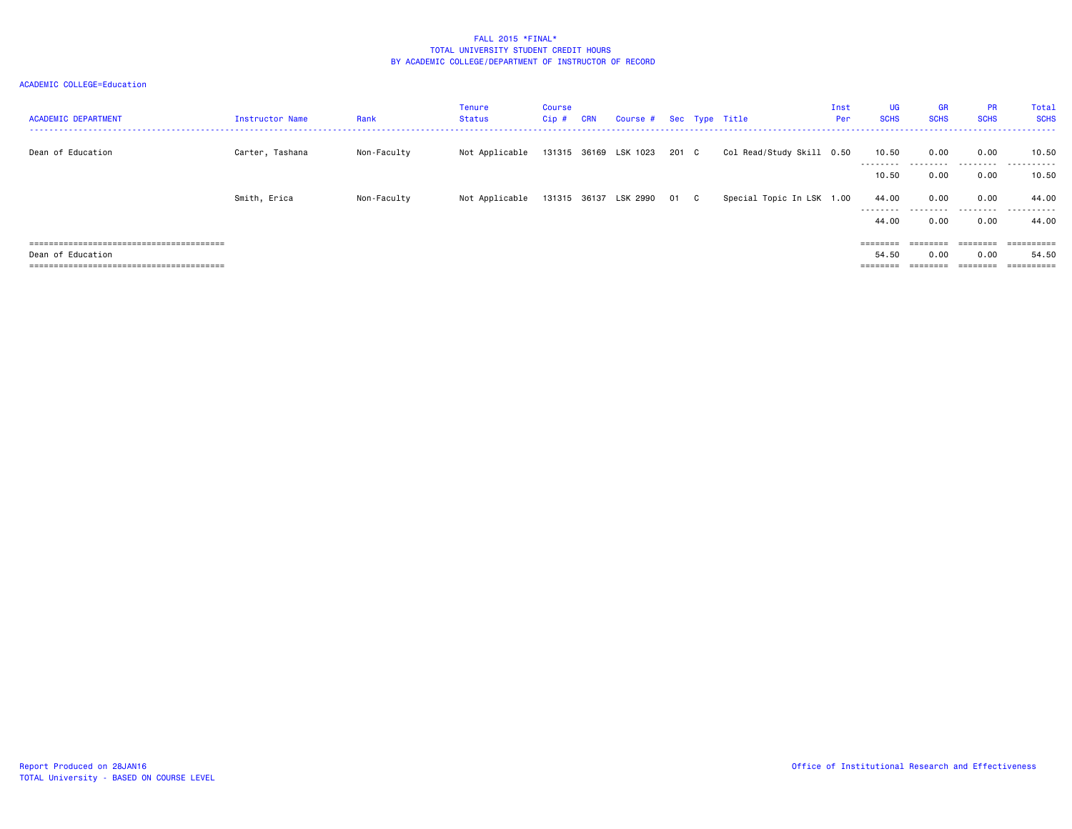| <b>ACADEMIC DEPARTMENT</b> | Instructor Name | Rank        | Tenure<br>Status | <b>Course</b><br>Cip # | <b>CRN</b> | Course # Sec Type Title    |       |                           | Inst<br>Per | <b>UG</b><br><b>SCHS</b> | <b>GR</b><br><b>SCHS</b> | <b>PR</b><br><b>SCHS</b> | Total<br><b>SCHS</b> |
|----------------------------|-----------------|-------------|------------------|------------------------|------------|----------------------------|-------|---------------------------|-------------|--------------------------|--------------------------|--------------------------|----------------------|
| Dean of Education          | Carter, Tashana | Non-Faculty | Not Applicable   |                        |            | 131315 36169 LSK 1023      | 201 C | Col Read/Study Skill 0.50 |             | 10.50<br>--------        | 0.00                     | 0.00<br>.                | 10.50<br>.           |
|                            |                 |             |                  |                        |            |                            |       |                           |             | 10.50                    | 0.00                     | 0.00                     | 10.50                |
|                            | Smith, Erica    | Non-Faculty | Not Applicable   |                        |            | 131315 36137 LSK 2990 01 C |       | Special Topic In LSK 1.00 |             | 44.00<br>---------       | 0.00<br>.                | 0.00<br>.                | 44.00<br>.           |
|                            |                 |             |                  |                        |            |                            |       |                           |             | 44.00                    | 0.00                     | 0.00                     | 44.00                |
|                            |                 |             |                  |                        |            |                            |       |                           |             | $=$ = = = = = = =        | eeeeeee                  | eeeeee                   | eessessess           |
| Dean of Education          |                 |             |                  |                        |            |                            |       |                           |             | 54.50                    | 0.00                     | 0.00                     | 54.50                |
|                            |                 |             |                  |                        |            |                            |       |                           |             |                          |                          |                          | ==========           |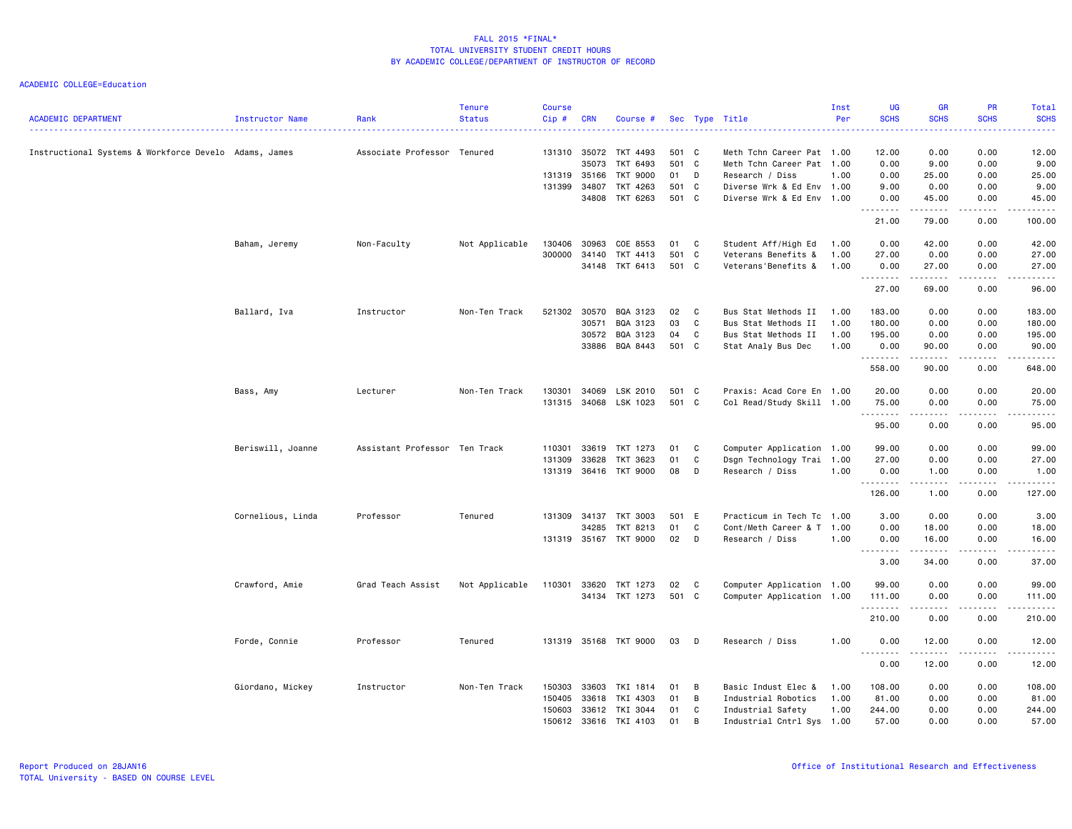| <b>ACADEMIC DEPARTMENT</b>                            | Instructor Name   | Rank                          | <b>Tenure</b><br><b>Status</b> | <b>Course</b><br>Cip# | <b>CRN</b>   | Course #              |       |                | Sec Type Title            | Inst<br>Per | <b>UG</b><br><b>SCHS</b> | <b>GR</b><br><b>SCHS</b>                                                                                                          | <b>PR</b><br><b>SCHS</b>                                                                                                                             | <b>Total</b><br><b>SCHS</b>                                                                                                                                                               |
|-------------------------------------------------------|-------------------|-------------------------------|--------------------------------|-----------------------|--------------|-----------------------|-------|----------------|---------------------------|-------------|--------------------------|-----------------------------------------------------------------------------------------------------------------------------------|------------------------------------------------------------------------------------------------------------------------------------------------------|-------------------------------------------------------------------------------------------------------------------------------------------------------------------------------------------|
|                                                       |                   |                               |                                |                       |              |                       |       |                |                           |             | .                        |                                                                                                                                   | $\frac{1}{2} \left( \frac{1}{2} \right) \left( \frac{1}{2} \right) \left( \frac{1}{2} \right) \left( \frac{1}{2} \right) \left( \frac{1}{2} \right)$ | .                                                                                                                                                                                         |
| Instructional Systems & Workforce Develo Adams, James |                   | Associate Professor Tenured   |                                |                       | 131310 35072 | TKT 4493              | 501 C |                | Meth Tchn Career Pat 1.00 |             | 12.00                    | 0.00                                                                                                                              | 0.00                                                                                                                                                 | 12.00                                                                                                                                                                                     |
|                                                       |                   |                               |                                |                       | 35073        | TKT 6493              | 501 C |                | Meth Tchn Career Pat 1.00 |             | 0.00                     | 9.00                                                                                                                              | 0.00                                                                                                                                                 | 9.00                                                                                                                                                                                      |
|                                                       |                   |                               |                                |                       | 131319 35166 | TKT 9000              | 01    | D              | Research / Diss           | 1.00        | 0.00                     | 25.00                                                                                                                             | 0.00                                                                                                                                                 | 25.00                                                                                                                                                                                     |
|                                                       |                   |                               |                                | 131399                | 34807        | TKT 4263              | 501 C |                | Diverse Wrk & Ed Env 1.00 |             | 9.00                     | 0.00                                                                                                                              | 0.00                                                                                                                                                 | 9.00                                                                                                                                                                                      |
|                                                       |                   |                               |                                |                       | 34808        | TKT 6263              | 501 C |                | Diverse Wrk & Ed Env 1.00 |             | 0.00                     | 45.00                                                                                                                             | 0.00                                                                                                                                                 | 45.00                                                                                                                                                                                     |
|                                                       |                   |                               |                                |                       |              |                       |       |                |                           |             | .<br>21.00               | .<br>79.00                                                                                                                        | .<br>0.00                                                                                                                                            | . <b>.</b><br>100.00                                                                                                                                                                      |
|                                                       | Baham, Jeremy     | Non-Faculty                   | Not Applicable                 | 130406                | 30963        | COE 8553              | 01    | $\mathbf{C}$   | Student Aff/High Ed       | 1.00        | 0.00                     | 42.00                                                                                                                             | 0.00                                                                                                                                                 | 42.00                                                                                                                                                                                     |
|                                                       |                   |                               |                                | 300000                | 34140        | TKT 4413              | 501 C |                | Veterans Benefits &       | 1.00        | 27.00                    | 0.00                                                                                                                              | 0.00                                                                                                                                                 | 27.00                                                                                                                                                                                     |
|                                                       |                   |                               |                                |                       | 34148        | TKT 6413              | 501 C |                | Veterans'Benefits &       | 1.00        | 0.00                     | 27.00                                                                                                                             | 0.00                                                                                                                                                 | 27.00                                                                                                                                                                                     |
|                                                       |                   |                               |                                |                       |              |                       |       |                |                           |             | .<br>27.00               | المتمالين<br>69.00                                                                                                                | 0.00                                                                                                                                                 | .<br>96.00                                                                                                                                                                                |
|                                                       | Ballard, Iva      | Instructor                    | Non-Ten Track                  |                       | 521302 30570 | BQA 3123              | 02    | $\overline{c}$ | Bus Stat Methods II       | 1.00        | 183.00                   | 0.00                                                                                                                              | 0.00                                                                                                                                                 | 183.00                                                                                                                                                                                    |
|                                                       |                   |                               |                                |                       | 30571        | BQA 3123              | 03    | C              | Bus Stat Methods II       | 1.00        | 180.00                   | 0.00                                                                                                                              | 0.00                                                                                                                                                 | 180.00                                                                                                                                                                                    |
|                                                       |                   |                               |                                |                       | 30572        | BQA 3123              | 04    | C              | Bus Stat Methods II       | 1.00        | 195.00                   | 0.00                                                                                                                              | 0.00                                                                                                                                                 | 195.00                                                                                                                                                                                    |
|                                                       |                   |                               |                                |                       | 33886        | BQA 8443              | 501 C |                | Stat Analy Bus Dec        | 1.00        | 0.00                     | 90.00                                                                                                                             | 0.00                                                                                                                                                 | 90.00                                                                                                                                                                                     |
|                                                       |                   |                               |                                |                       |              |                       |       |                |                           |             | .<br>558.00              | .<br>90.00                                                                                                                        | .<br>0.00                                                                                                                                            | $\frac{1}{2} \left( \frac{1}{2} \right) \left( \frac{1}{2} \right) \left( \frac{1}{2} \right) \left( \frac{1}{2} \right) \left( \frac{1}{2} \right) \left( \frac{1}{2} \right)$<br>648.00 |
|                                                       | Bass, Amy         | Lecturer                      | Non-Ten Track                  | 130301                | 34069        | LSK 2010              | 501 C |                | Praxis: Acad Core En 1.00 |             | 20.00                    | 0.00                                                                                                                              | 0.00                                                                                                                                                 | 20.00                                                                                                                                                                                     |
|                                                       |                   |                               |                                |                       |              | 131315 34068 LSK 1023 | 501 C |                | Col Read/Study Skill 1.00 |             | 75.00                    | 0.00                                                                                                                              | 0.00                                                                                                                                                 | 75.00                                                                                                                                                                                     |
|                                                       |                   |                               |                                |                       |              |                       |       |                |                           |             | <u>.</u><br>95.00        | ----<br>0.00                                                                                                                      | .<br>0.00                                                                                                                                            | المتمامين<br>95.00                                                                                                                                                                        |
|                                                       | Beriswill, Joanne | Assistant Professor Ten Track |                                | 110301                | 33619        | TKT 1273              | 01    | C              | Computer Application 1.00 |             | 99.00                    | 0.00                                                                                                                              | 0.00                                                                                                                                                 | 99.00                                                                                                                                                                                     |
|                                                       |                   |                               |                                | 131309                | 33628        | TKT 3623              | 01    | C              | Dsgn Technology Trai 1.00 |             | 27.00                    | 0.00                                                                                                                              | 0.00                                                                                                                                                 | 27.00                                                                                                                                                                                     |
|                                                       |                   |                               |                                |                       |              |                       |       |                |                           |             |                          |                                                                                                                                   |                                                                                                                                                      |                                                                                                                                                                                           |
|                                                       |                   |                               |                                |                       |              | 131319 36416 TKT 9000 | 08    | D              | Research / Diss           | 1.00        | 0.00<br>.                | 1.00<br>.                                                                                                                         | 0.00<br>$- - - - -$                                                                                                                                  | 1.00<br>$- - - - - -$                                                                                                                                                                     |
|                                                       |                   |                               |                                |                       |              |                       |       |                |                           |             | 126.00                   | 1.00                                                                                                                              | 0.00                                                                                                                                                 | 127.00                                                                                                                                                                                    |
|                                                       | Cornelious, Linda | Professor                     | Tenured                        | 131309                | 34137        | TKT 3003              | 501 E |                | Practicum in Tech Tc 1.00 |             | 3.00                     | 0.00                                                                                                                              | 0.00                                                                                                                                                 | 3.00                                                                                                                                                                                      |
|                                                       |                   |                               |                                |                       | 34285        | TKT 8213              | 01    | C              | Cont/Meth Career & T 1.00 |             | 0.00                     | 18.00                                                                                                                             | 0.00                                                                                                                                                 | 18.00                                                                                                                                                                                     |
|                                                       |                   |                               |                                |                       |              | 131319 35167 TKT 9000 | 02    | D              | Research / Diss           | 1.00        | 0.00<br>.                | 16.00<br>.                                                                                                                        | 0.00<br>.                                                                                                                                            | 16.00<br>.                                                                                                                                                                                |
|                                                       |                   |                               |                                |                       |              |                       |       |                |                           |             | 3.00                     | 34.00                                                                                                                             | 0.00                                                                                                                                                 | 37.00                                                                                                                                                                                     |
|                                                       | Crawford, Amie    | Grad Teach Assist             | Not Applicable                 | 110301                | 33620        | TKT 1273              | 02    | $\mathbf{C}$   | Computer Application 1.00 |             | 99.00                    | 0.00                                                                                                                              | 0.00                                                                                                                                                 | 99.00                                                                                                                                                                                     |
|                                                       |                   |                               |                                |                       |              | 34134 TKT 1273        | 501 C |                | Computer Application 1.00 |             | 111.00                   | 0.00                                                                                                                              | 0.00                                                                                                                                                 | 111.00                                                                                                                                                                                    |
|                                                       |                   |                               |                                |                       |              |                       |       |                |                           |             | .<br>210.00              | $\frac{1}{2} \left( \frac{1}{2} \right) \left( \frac{1}{2} \right) \left( \frac{1}{2} \right) \left( \frac{1}{2} \right)$<br>0.00 | .<br>0.00                                                                                                                                            | . <b>.</b><br>210.00                                                                                                                                                                      |
|                                                       | Forde, Connie     | Professor                     | Tenured                        |                       |              | 131319 35168 TKT 9000 | 03    | D              | Research / Diss           | 1.00        | 0.00                     | 12.00                                                                                                                             | 0.00                                                                                                                                                 | 12.00                                                                                                                                                                                     |
|                                                       |                   |                               |                                |                       |              |                       |       |                |                           |             | .<br>0.00                | .<br>12.00                                                                                                                        | .<br>0.00                                                                                                                                            | .<br>12.00                                                                                                                                                                                |
|                                                       | Giordano, Mickey  | Instructor                    | Non-Ten Track                  | 150303                | 33603        | TKI 1814              | 01    | B              | Basic Indust Elec &       | 1.00        | 108.00                   | 0.00                                                                                                                              | 0.00                                                                                                                                                 | 108.00                                                                                                                                                                                    |
|                                                       |                   |                               |                                | 150405                | 33618        | TKI 4303              | 01    | B              | Industrial Robotics       | 1.00        | 81.00                    | 0.00                                                                                                                              | 0.00                                                                                                                                                 | 81.00                                                                                                                                                                                     |
|                                                       |                   |                               |                                | 150603                | 33612        | TKI 3044              | 01    | C              | Industrial Safety         | 1.00        | 244.00                   | 0.00                                                                                                                              | 0.00                                                                                                                                                 | 244.00                                                                                                                                                                                    |
|                                                       |                   |                               |                                | 150612                |              | 33616 TKI 4103        | 01    | B              | Industrial Cntrl Sys 1.00 |             | 57.00                    | 0.00                                                                                                                              | 0.00                                                                                                                                                 | 57.00                                                                                                                                                                                     |
|                                                       |                   |                               |                                |                       |              |                       |       |                |                           |             |                          |                                                                                                                                   |                                                                                                                                                      |                                                                                                                                                                                           |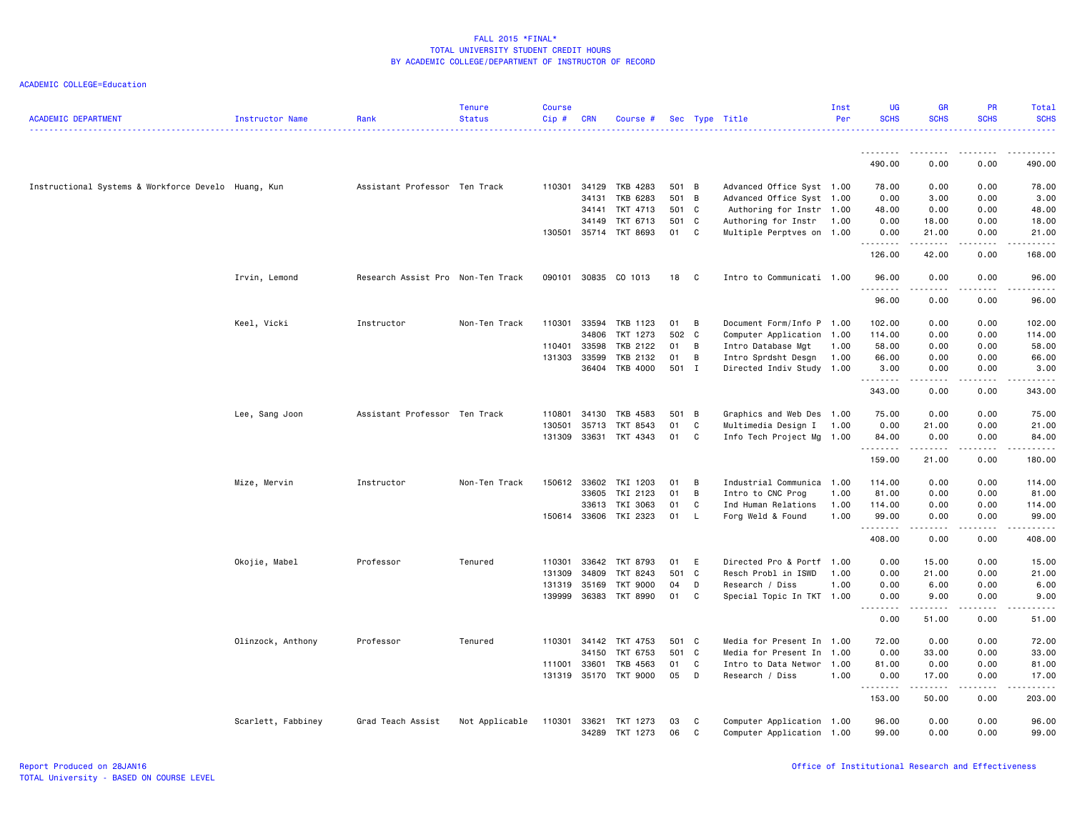| <b>ACADEMIC DEPARTMENT</b>                          | Instructor Name    | Rank                              | <b>Tenure</b><br><b>Status</b> | <b>Course</b><br>Cip# | <b>CRN</b>     | Course #              |          |              | Sec Type Title                                         | Inst<br>Per | UG<br><b>SCHS</b>     | GR<br><b>SCHS</b>  | <b>PR</b><br><b>SCHS</b> | Total<br><b>SCHS</b>                                                                                                                                          |
|-----------------------------------------------------|--------------------|-----------------------------------|--------------------------------|-----------------------|----------------|-----------------------|----------|--------------|--------------------------------------------------------|-------------|-----------------------|--------------------|--------------------------|---------------------------------------------------------------------------------------------------------------------------------------------------------------|
|                                                     |                    |                                   |                                |                       |                |                       |          |              |                                                        |             | <u>.</u>              |                    |                          |                                                                                                                                                               |
|                                                     |                    |                                   |                                |                       |                |                       |          |              |                                                        |             | 490.00                | 0.00               | 0.00                     | 490.00                                                                                                                                                        |
| Instructional Systems & Workforce Develo Huang, Kun |                    | Assistant Professor Ten Track     |                                |                       | 110301 34129   | TKB 4283              | 501 B    |              | Advanced Office Syst 1.00                              |             | 78.00                 | 0.00               | 0.00                     | 78.00                                                                                                                                                         |
|                                                     |                    |                                   |                                |                       | 34131          | TKB 6283              | 501 B    |              | Advanced Office Syst 1.00                              |             | 0.00                  | 3.00               | 0.00                     | 3.00                                                                                                                                                          |
|                                                     |                    |                                   |                                |                       | 34141          | TKT 4713              | 501 C    |              | Authoring for Instr 1.00                               |             | 48.00                 | 0.00               | 0.00                     | 48.00                                                                                                                                                         |
|                                                     |                    |                                   |                                |                       | 34149          | TKT 6713              | 501 C    |              | Authoring for Instr                                    | 1.00        | 0.00                  | 18.00              | 0.00                     | 18.00                                                                                                                                                         |
|                                                     |                    |                                   |                                |                       |                | 130501 35714 TKT 8693 | 01       | $\mathbf{C}$ | Multiple Perptves on 1.00                              |             | 0.00<br>.             | 21.00<br>.         | 0.00<br>.                | 21.00<br>.                                                                                                                                                    |
|                                                     |                    |                                   |                                |                       |                |                       |          |              |                                                        |             | 126.00                | 42.00              | 0.00                     | 168.00                                                                                                                                                        |
|                                                     | Irvin, Lemond      | Research Assist Pro Non-Ten Track |                                | 090101                | 30835          | CO 1013               | 18       | C            | Intro to Communicati 1.00                              |             | 96.00                 | 0.00               | 0.00                     | 96.00                                                                                                                                                         |
|                                                     |                    |                                   |                                |                       |                |                       |          |              |                                                        |             | 96.00                 | 0.00               | 0.00                     | $\frac{1}{2} \left( \frac{1}{2} \right) \left( \frac{1}{2} \right) \left( \frac{1}{2} \right) \left( \frac{1}{2} \right) \left( \frac{1}{2} \right)$<br>96.00 |
|                                                     | Keel, Vicki        | Instructor                        | Non-Ten Track                  | 110301                | 33594          | TKB 1123              | 01       | B            | Document Form/Info P 1.00                              |             | 102.00                | 0.00               | 0.00                     | 102.00                                                                                                                                                        |
|                                                     |                    |                                   |                                |                       | 34806          | TKT 1273              | 502 C    |              | Computer Application                                   | 1.00        | 114.00                | 0.00               | 0.00                     | 114.00                                                                                                                                                        |
|                                                     |                    |                                   |                                | 110401                | 33598          | TKB 2122              | 01       | B            | Intro Database Mgt                                     | 1.00        | 58.00                 | 0.00               | 0.00                     | 58.00                                                                                                                                                         |
|                                                     |                    |                                   |                                | 131303                | 33599          | TKB 2132              | 01       | B            | Intro Sprdsht Desgn                                    | 1.00        | 66.00                 | 0.00               | 0.00                     | 66.00                                                                                                                                                         |
|                                                     |                    |                                   |                                |                       | 36404          | <b>TKB 4000</b>       | 501 I    |              | Directed Indiv Study 1.00                              |             | 3.00<br><b></b>       | 0.00<br><u>.</u>   | 0.00<br>.                | 3.00<br>.                                                                                                                                                     |
|                                                     |                    |                                   |                                |                       |                |                       |          |              |                                                        |             | 343.00                | 0.00               | 0.00                     | 343.00                                                                                                                                                        |
|                                                     | Lee, Sang Joon     | Assistant Professor Ten Track     |                                | 110801                | 34130          | TKB 4583              | 501 B    |              | Graphics and Web Des 1.00                              |             | 75.00                 | 0.00               | 0.00                     | 75.00                                                                                                                                                         |
|                                                     |                    |                                   |                                | 130501                | 35713          | TKT 8543              | 01       | C            | Multimedia Design I                                    | 1.00        | 0.00                  | 21.00              | 0.00                     | 21.00                                                                                                                                                         |
|                                                     |                    |                                   |                                | 131309                | 33631          | TKT 4343              | 01       | C            | Info Tech Project Mg 1.00                              |             | 84.00<br>.            | 0.00<br>.          | 0.00<br>.                | 84.00<br>.                                                                                                                                                    |
|                                                     |                    |                                   |                                |                       |                |                       |          |              |                                                        |             | 159.00                | 21.00              | 0.00                     | 180.00                                                                                                                                                        |
|                                                     | Mize, Mervin       | Instructor                        | Non-Ten Track                  | 150612                | 33602          | TKI 1203              | 01       | B            | Industrial Communica                                   | 1.00        | 114.00                | 0.00               | 0.00                     | 114.00                                                                                                                                                        |
|                                                     |                    |                                   |                                |                       | 33605          | TKI 2123              | 01       | в            | Intro to CNC Prog                                      | 1.00        | 81.00                 | 0.00               | 0.00                     | 81.00                                                                                                                                                         |
|                                                     |                    |                                   |                                |                       | 33613          | TKI 3063              | 01       | C            | Ind Human Relations                                    | 1.00        | 114.00                | 0.00               | 0.00                     | 114.00                                                                                                                                                        |
|                                                     |                    |                                   |                                |                       | 150614 33606   | TKI 2323              | 01       | L            | Forg Weld & Found                                      | 1.00        | 99.00                 | 0.00<br>. <b>.</b> | 0.00<br>.                | 99.00<br><b></b>                                                                                                                                              |
|                                                     |                    |                                   |                                |                       |                |                       |          |              |                                                        |             | 408.00                | 0.00               | 0.00                     | 408.00                                                                                                                                                        |
|                                                     | Okojie, Mabel      | Professor                         | Tenured                        | 110301                | 33642          | TKT 8793              | 01       | E            | Directed Pro & Portf 1.00                              |             | 0.00                  | 15.00              | 0.00                     | 15.00                                                                                                                                                         |
|                                                     |                    |                                   |                                | 131309                | 34809          | TKT 8243              | 501      | $\mathbf{C}$ | Resch Probl in ISWD                                    | 1.00        | 0.00                  | 21.00              | 0.00                     | 21.00                                                                                                                                                         |
|                                                     |                    |                                   |                                | 131319                | 35169          | <b>TKT 9000</b>       | 04       | D            | Research / Diss                                        | 1.00        | 0.00                  | 6.00               | 0.00                     | 6.00                                                                                                                                                          |
|                                                     |                    |                                   |                                | 139999                | 36383          | TKT 8990              | 01       | C            | Special Topic In TKT 1.00                              |             | 0.00<br>$\sim$ $\sim$ | 9.00               | 0.00                     | 9.00<br>$\frac{1}{2}$                                                                                                                                         |
|                                                     |                    |                                   |                                |                       |                |                       |          |              |                                                        |             | 0.00                  | 51.00              | 0.00                     | 51.00                                                                                                                                                         |
|                                                     | Olinzock, Anthony  | Professor                         | Tenured                        |                       | 110301 34142   | TKT 4753              | 501 C    |              | Media for Present In 1.00                              |             | 72.00                 | 0.00               | 0.00                     | 72.00                                                                                                                                                         |
|                                                     |                    |                                   |                                |                       | 34150          | TKT 6753              | 501 C    |              | Media for Present In                                   | 1.00        | 0.00                  | 33.00              | 0.00                     | 33.00                                                                                                                                                         |
|                                                     |                    |                                   |                                | 111001                | 33601          | TKB 4563              | 01       | C            | Intro to Data Networ                                   | 1.00        | 81.00                 | 0.00               | 0.00                     | 81.00                                                                                                                                                         |
|                                                     |                    |                                   |                                | 131319                |                | 35170 TKT 9000        | 05       | D            | Research / Diss                                        | 1.00        | 0.00<br>.             | 17.00<br>.         | 0.00<br>.                | 17.00<br>.                                                                                                                                                    |
|                                                     |                    |                                   |                                |                       |                |                       |          |              |                                                        |             | 153.00                | 50.00              | 0.00                     | 203.00                                                                                                                                                        |
|                                                     | Scarlett, Fabbiney | Grad Teach Assist                 | Not Applicable                 | 110301                | 33621<br>34289 | TKT 1273<br>TKT 1273  | 03<br>06 | C<br>C       | Computer Application 1.00<br>Computer Application 1.00 |             | 96.00<br>99.00        | 0.00<br>0.00       | 0.00<br>0.00             | 96.00<br>99.00                                                                                                                                                |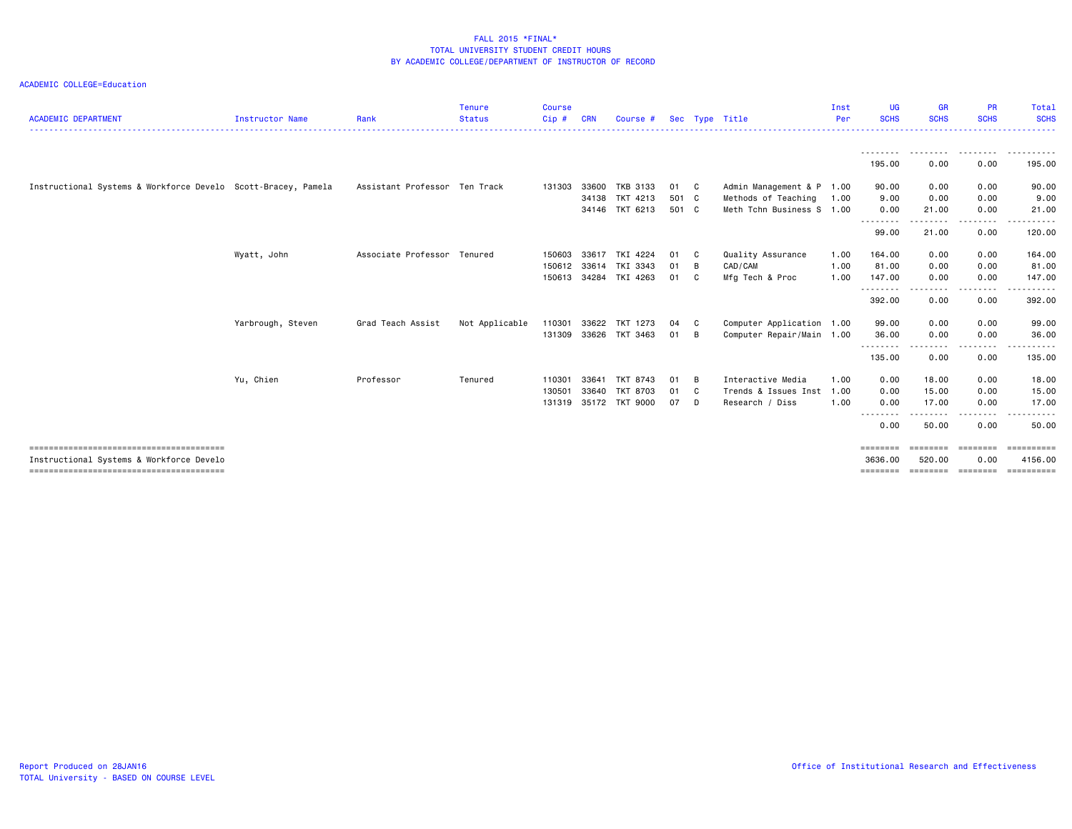| <b>ACADEMIC DEPARTMENT</b>                                    | <b>Instructor Name</b> | Rank                          | <b>Tenure</b><br><b>Status</b> | <b>Course</b><br>Cip# | <b>CRN</b> | Course #              |       |                | Sec Type Title            | Inst<br>Per | UG<br><b>SCHS</b> | <b>GR</b><br><b>SCHS</b> | <b>PR</b><br><b>SCHS</b> | Total<br><b>SCHS</b> |
|---------------------------------------------------------------|------------------------|-------------------------------|--------------------------------|-----------------------|------------|-----------------------|-------|----------------|---------------------------|-------------|-------------------|--------------------------|--------------------------|----------------------|
|                                                               |                        |                               |                                |                       |            |                       |       |                |                           |             |                   |                          |                          |                      |
|                                                               |                        |                               |                                |                       |            |                       |       |                |                           |             | 195.00            | 0.00                     | 0.00                     | 195.00               |
| Instructional Systems & Workforce Develo Scott-Bracey, Pamela |                        | Assistant Professor Ten Track |                                | 131303                | 33600      | TKB 3133              | 01 C  |                | Admin Management & P 1.00 |             | 90.00             | 0.00                     | 0.00                     | 90.00                |
|                                                               |                        |                               |                                |                       | 34138      | TKT 4213              | 501 C |                | Methods of Teaching       | 1.00        | 9.00              | 0.00                     | 0.00                     | 9.00                 |
|                                                               |                        |                               |                                |                       |            | 34146 TKT 6213        | 501 C |                | Meth Tchn Business S 1.00 |             | 0.00              | 21.00                    | 0.00                     | 21.00                |
|                                                               |                        |                               |                                |                       |            |                       |       |                |                           |             | .<br>99.00        | 21.00                    | .<br>0.00                | <u>.</u> .<br>120.00 |
|                                                               | Wyatt, John            | Associate Professor           | Tenured                        | 150603                | 33617      | TKI 4224              | 01    | - C            | Quality Assurance         | 1.00        | 164.00            | 0.00                     | 0.00                     | 164.00               |
|                                                               |                        |                               |                                | 150612                |            | 33614 TKI 3343        | 01    | $\overline{B}$ | CAD/CAM                   | 1.00        | 81.00             | 0.00                     | 0.00                     | 81.00                |
|                                                               |                        |                               |                                |                       |            | 150613 34284 TKI 4263 | 01 C  |                | Mfg Tech & Proc           | 1.00        | 147.00            | 0.00                     | 0.00                     | 147.00               |
|                                                               |                        |                               |                                |                       |            |                       |       |                |                           |             | .<br>392.00       | ----<br>0.00             | . <b>.</b><br>0.00       | 392.00               |
|                                                               | Yarbrough, Steven      | Grad Teach Assist             | Not Applicable                 | 110301                | 33622      | TKT 1273              | 04 C  |                | Computer Application 1.00 |             | 99.00             | 0.00                     | 0.00                     | 99.00                |
|                                                               |                        |                               |                                |                       |            | 131309 33626 TKT 3463 | 01    | - B            | Computer Repair/Main 1.00 |             | 36.00             | 0.00                     | 0.00                     | 36.00                |
|                                                               |                        |                               |                                |                       |            |                       |       |                |                           |             | .<br>135.00       | .<br>0.00                | .<br>0.00                | <u>.</u><br>135.00   |
|                                                               | Yu, Chien              | Professor                     | Tenured                        | 110301                | 33641      | TKT 8743              | 01    | B              | Interactive Media         | 1.00        | 0.00              | 18.00                    | 0.00                     | 18.00                |
|                                                               |                        |                               |                                | 130501                | 33640      | <b>TKT 8703</b>       | 01 C  |                | Trends & Issues Inst 1.00 |             | 0.00              | 15.00                    | 0.00                     | 15.00                |
|                                                               |                        |                               |                                | 131319                |            | 35172 TKT 9000        | 07    | $\Box$         | Research / Diss           | 1.00        | 0.00              | 17.00                    | 0.00                     | 17.00                |
|                                                               |                        |                               |                                |                       |            |                       |       |                |                           |             | .<br>0.00         | .<br>50.00               | <u>.</u><br>0.00         | 50.00                |
|                                                               |                        |                               |                                |                       |            |                       |       |                |                           |             | ========          | ========                 | ========                 | ==========           |
| Instructional Systems & Workforce Develo                      |                        |                               |                                |                       |            |                       |       |                |                           |             | 3636.00           | 520.00                   | 0.00                     | 4156.00              |
|                                                               |                        |                               |                                |                       |            |                       |       |                |                           |             | ========          | ---------                | - coopooco               | ==========           |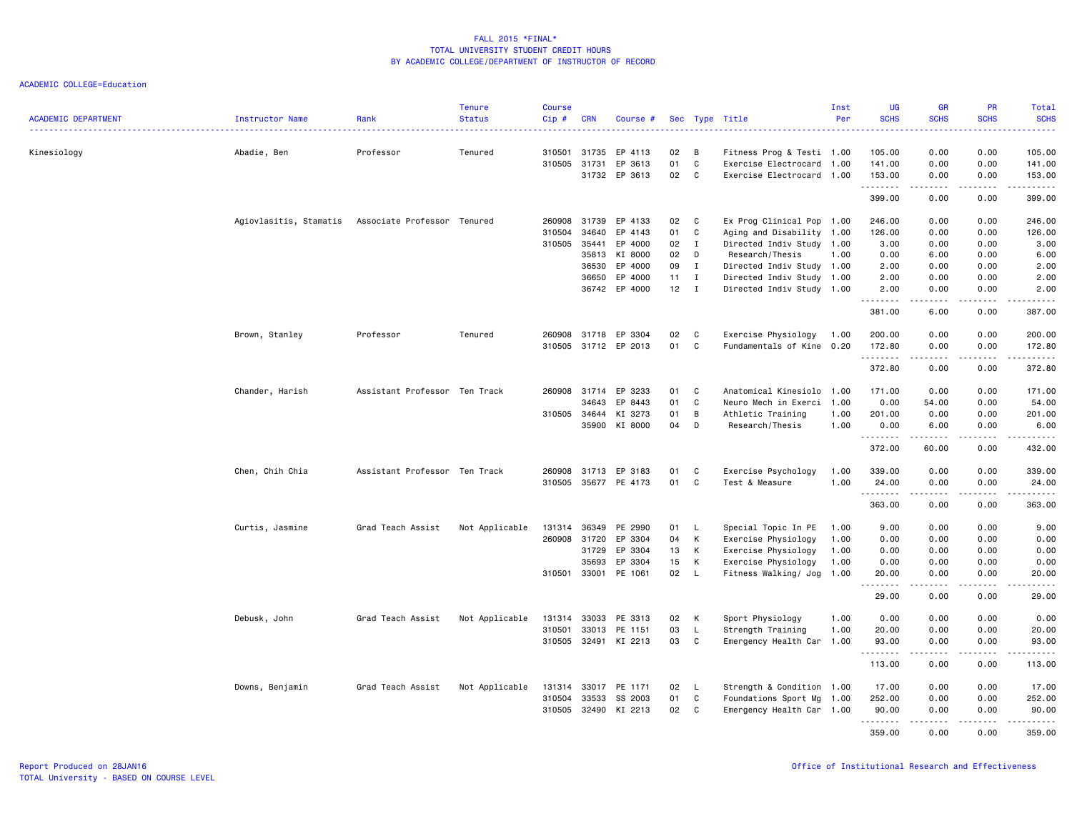| <b>ACADEMIC DEPARTMENT</b> | Instructor Name                                    | Rank                          | <b>Tenure</b><br><b>Status</b> | <b>Course</b><br>Cip # | <b>CRN</b>   | Course #             |        |              | Sec Type Title            | Inst<br>Per | UG<br><b>SCHS</b> | <b>GR</b><br><b>SCHS</b> | PR<br><b>SCHS</b>                   | Total<br><b>SCHS</b>                                                                                                                                                                      |
|----------------------------|----------------------------------------------------|-------------------------------|--------------------------------|------------------------|--------------|----------------------|--------|--------------|---------------------------|-------------|-------------------|--------------------------|-------------------------------------|-------------------------------------------------------------------------------------------------------------------------------------------------------------------------------------------|
|                            |                                                    |                               |                                |                        |              |                      |        |              |                           |             |                   |                          |                                     | وعاماما                                                                                                                                                                                   |
| Kinesiology                | Abadie, Ben                                        | Professor                     | Tenured                        | 310501                 | 31735        | EP 4113              | 02     | В            | Fitness Prog & Testi 1.00 |             | 105.00            | 0.00                     | 0.00                                | 105.00                                                                                                                                                                                    |
|                            |                                                    |                               |                                | 310505                 | 31731        | EP 3613              | 01     | C            | Exercise Electrocard      | 1.00        | 141.00            | 0.00                     | 0.00                                | 141.00                                                                                                                                                                                    |
|                            |                                                    |                               |                                |                        |              | 31732 EP 3613        | 02     | C            | Exercise Electrocard 1.00 |             | 153.00<br>.       | 0.00                     | 0.00<br>$  -$                       | 153.00<br>.                                                                                                                                                                               |
|                            |                                                    |                               |                                |                        |              |                      |        |              |                           |             | 399.00            | 0.00                     | 0.00                                | 399.00                                                                                                                                                                                    |
|                            | Agiovlasitis, Stamatis Associate Professor Tenured |                               |                                | 260908                 | 31739        | EP 4133              | 02     | C            | Ex Prog Clinical Pop 1.00 |             | 246.00            | 0.00                     | 0.00                                | 246.00                                                                                                                                                                                    |
|                            |                                                    |                               |                                | 310504                 | 34640        | EP 4143              | 01     | C            | Aging and Disability 1.00 |             | 126.00            | 0.00                     | 0.00                                | 126.00                                                                                                                                                                                    |
|                            |                                                    |                               |                                | 310505                 | 35441        | EP 4000              | 02     | $\mathbf{I}$ | Directed Indiv Study 1.00 |             | 3.00              | 0.00                     | 0.00                                | 3.00                                                                                                                                                                                      |
|                            |                                                    |                               |                                |                        | 35813        | KI 8000              | 02     | D            | Research/Thesis           | 1.00        | 0.00              | 6.00                     | 0.00                                | 6.00                                                                                                                                                                                      |
|                            |                                                    |                               |                                |                        | 36530        | EP 4000              | 09     | $\mathbf{I}$ | Directed Indiv Study 1.00 |             | 2.00              | 0.00                     | 0.00                                | 2.00                                                                                                                                                                                      |
|                            |                                                    |                               |                                |                        | 36650        | EP 4000              | 11     | $\mathbf{I}$ | Directed Indiv Study 1.00 |             | 2.00              | 0.00                     | 0.00                                | 2.00                                                                                                                                                                                      |
|                            |                                                    |                               |                                |                        | 36742        | EP 4000              | $12$ I |              | Directed Indiv Study 1.00 |             | 2.00<br>.         | 0.00<br>.                | 0.00<br>.                           | 2.00<br>.                                                                                                                                                                                 |
|                            |                                                    |                               |                                |                        |              |                      |        |              |                           |             | 381.00            | 6.00                     | 0.00                                | 387.00                                                                                                                                                                                    |
|                            | Brown, Stanley                                     | Professor                     | Tenured                        | 260908 31718           |              | EP 3304              | 02     | C            | Exercise Physiology       | 1.00        | 200.00            | 0.00                     | 0.00                                | 200.00                                                                                                                                                                                    |
|                            |                                                    |                               |                                |                        |              | 310505 31712 EP 2013 | 01     | C            | Fundamentals of Kine      | 0.20        | 172.80<br>.       | 0.00<br>.                | 0.00<br>.                           | 172.80<br>$\frac{1}{2} \left( \frac{1}{2} \right) \left( \frac{1}{2} \right) \left( \frac{1}{2} \right) \left( \frac{1}{2} \right) \left( \frac{1}{2} \right) \left( \frac{1}{2} \right)$ |
|                            |                                                    |                               |                                |                        |              |                      |        |              |                           |             | 372.80            | 0.00                     | 0.00                                | 372.80                                                                                                                                                                                    |
|                            | Chander, Harish                                    | Assistant Professor Ten Track |                                | 260908                 | 31714        | EP 3233              | 01     | C            | Anatomical Kinesiolo      | 1.00        | 171.00            | 0.00                     | 0.00                                | 171.00                                                                                                                                                                                    |
|                            |                                                    |                               |                                |                        | 34643        | EP 8443              | 01     | C            | Neuro Mech in Exerci 1.00 |             | 0.00              | 54.00                    | 0.00                                | 54.00                                                                                                                                                                                     |
|                            |                                                    |                               |                                | 310505                 | 34644        | KI 3273              | 01     | B            | Athletic Training         | 1.00        | 201.00            | 0.00                     | 0.00                                | 201.00                                                                                                                                                                                    |
|                            |                                                    |                               |                                |                        | 35900        | KI 8000              | 04     | D            | Research/Thesis           | 1.00        | 0.00<br><b></b>   | 6.00<br>.                | 0.00<br>.                           | 6.00<br>$- - - - - -$                                                                                                                                                                     |
|                            |                                                    |                               |                                |                        |              |                      |        |              |                           |             | 372.00            | 60.00                    | 0.00                                | 432.00                                                                                                                                                                                    |
|                            | Chen, Chih Chia                                    | Assistant Professor Ten Track |                                | 260908                 | 31713        | EP 3183              | 01     | C            | Exercise Psychology       | 1.00        | 339.00            | 0.00                     | 0.00                                | 339.00                                                                                                                                                                                    |
|                            |                                                    |                               |                                | 310505                 |              | 35677 PE 4173        | 01     | C            | Test & Measure            | 1.00        | 24.00             | 0.00<br><u>.</u>         | 0.00<br>.                           | 24.00                                                                                                                                                                                     |
|                            |                                                    |                               |                                |                        |              |                      |        |              |                           |             | 363.00            | 0.00                     | 0.00                                | 363.00                                                                                                                                                                                    |
|                            | Curtis, Jasmine                                    | Grad Teach Assist             | Not Applicable                 | 131314                 | 36349        | PE 2990              | 01     | $\mathsf{L}$ | Special Topic In PE       | 1.00        | 9.00              | 0.00                     | 0.00                                | 9.00                                                                                                                                                                                      |
|                            |                                                    |                               |                                | 260908                 | 31720        | EP 3304              | 04     | К            | Exercise Physiology       | 1.00        | 0.00              | 0.00                     | 0.00                                | 0.00                                                                                                                                                                                      |
|                            |                                                    |                               |                                |                        | 31729        | EP 3304              | 13     | К            | Exercise Physiology       | 1.00        | 0.00              | 0.00                     | 0.00                                | 0.00                                                                                                                                                                                      |
|                            |                                                    |                               |                                |                        | 35693        | EP 3304              | 15     | Κ            | Exercise Physiology       | 1.00        | 0.00              | 0.00                     | 0.00                                | 0.00                                                                                                                                                                                      |
|                            |                                                    |                               |                                | 310501                 | 33001        | PE 1061              | 02     | L.           | Fitness Walking/ Jog      | 1.00        | 20.00<br><b></b>  | 0.00                     | 0.00<br>$\sim$ $\sim$ $\sim$ $\sim$ | 20.00<br>د د د د د                                                                                                                                                                        |
|                            |                                                    |                               |                                |                        |              |                      |        |              |                           |             | 29.00             | 0.00                     | 0.00                                | 29.00                                                                                                                                                                                     |
|                            | Debusk, John                                       | Grad Teach Assist             | Not Applicable                 | 131314                 | 33033        | PE 3313              | 02     | Κ            | Sport Physiology          | 1.00        | 0.00              | 0.00                     | 0.00                                | 0.00                                                                                                                                                                                      |
|                            |                                                    |                               |                                | 310501                 | 33013        | PE 1151              | 03     | L.           | Strength Training         | 1.00        | 20.00             | 0.00                     | 0.00                                | 20.00                                                                                                                                                                                     |
|                            |                                                    |                               |                                | 310505                 | 32491        | KI 2213              | 03     | C            | Emergency Health Car      | 1.00        | 93.00<br>.        | 0.00                     | 0.00                                | 93.00<br>.                                                                                                                                                                                |
|                            |                                                    |                               |                                |                        |              |                      |        |              |                           |             | 113.00            | 0.00                     | 0.00                                | 113.00                                                                                                                                                                                    |
|                            | Downs, Benjamin                                    | Grad Teach Assist             | Not Applicable                 |                        | 131314 33017 | PE 1171              | 02     | L.           | Strength & Condition 1.00 |             | 17.00             | 0.00                     | 0.00                                | 17.00                                                                                                                                                                                     |
|                            |                                                    |                               |                                | 310504                 | 33533        | SS 2003              | 01     | C            | Foundations Sport Mg      | 1.00        | 252.00            | 0.00                     | 0.00                                | 252.00                                                                                                                                                                                    |
|                            |                                                    |                               |                                | 310505                 | 32490        | KI 2213              | 02     | C            | Emergency Health Car 1.00 |             | 90.00<br><b></b>  | 0.00<br><u>.</u>         | 0.00<br>.                           | 90.00<br><u>.</u>                                                                                                                                                                         |
|                            |                                                    |                               |                                |                        |              |                      |        |              |                           |             | 359.00            | 0.00                     | 0.00                                | 359.00                                                                                                                                                                                    |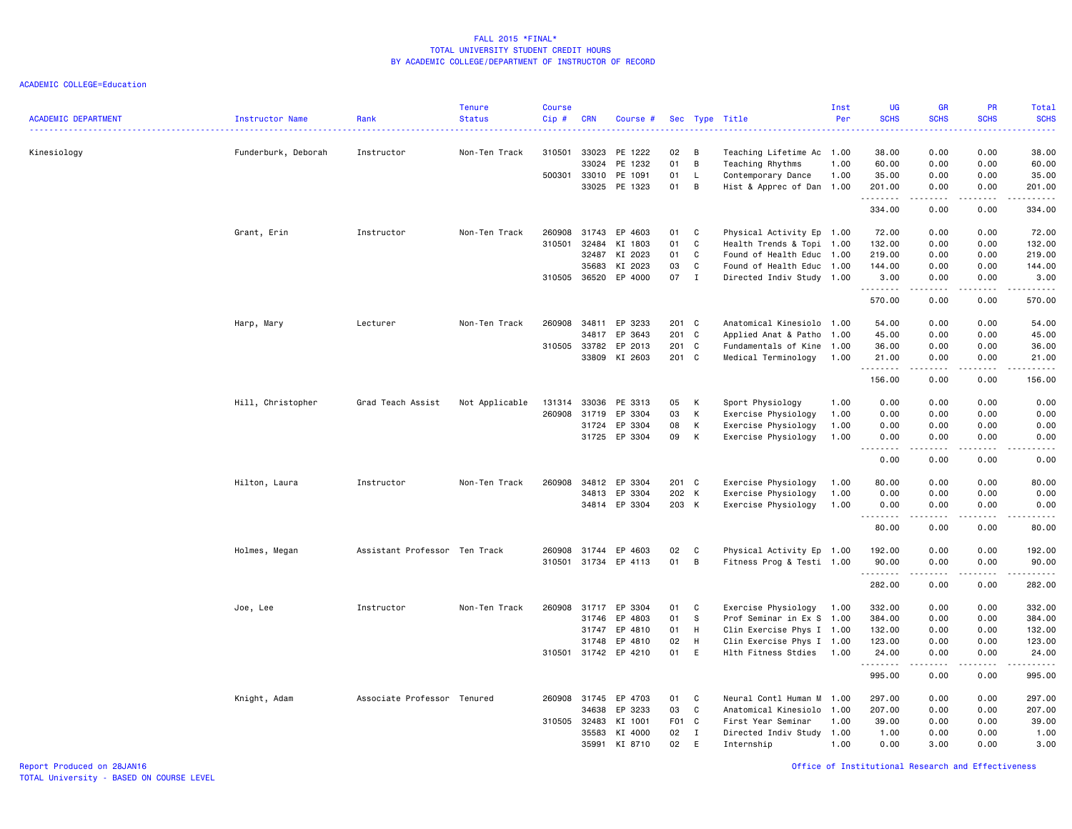| 310501<br>0.00<br>0.00<br>Kinesiology<br>33023<br>PE 1222<br>02<br>38.00<br>38.00<br>Funderburk, Deborah<br>Instructor<br>Non-Ten Track<br>B<br>Teaching Lifetime Ac 1.00<br>PE 1232<br>01<br>B<br>33024<br>1.00<br>60.00<br>0.00<br>0.00<br>60.00<br>Teaching Rhythms<br>01<br>500301<br>33010<br>PE 1091<br>L,<br>Contemporary Dance<br>1.00<br>35.00<br>0.00<br>0.00<br>35.00<br>33025 PE 1323<br>01<br>B<br>Hist & Apprec of Dan 1.00<br>201.00<br>0.00<br>0.00<br>201.00<br>.<br>------<br>.<br>.<br>334.00<br>0.00<br>0.00<br>334.00<br>Grant, Erin<br>Non-Ten Track<br>260908<br>31743<br>EP 4603<br>01<br>Physical Activity Ep 1.00<br>72.00<br>0.00<br>0.00<br>72.00<br>Instructor<br>C<br>310501<br>32484<br>KI 1803<br>01<br>C<br>Health Trends & Topi 1.00<br>132.00<br>0.00<br>0.00<br>132.00<br>KI 2023<br>01<br>32487<br>C<br>Found of Health Educ 1.00<br>219.00<br>0.00<br>0.00<br>219.00<br>KI 2023<br>03<br>$\mathtt{C}$<br>35683<br>Found of Health Educ 1.00<br>144.00<br>0.00<br>0.00<br>144.00<br>07<br>EP 4000<br>$\mathbf I$<br>310505 36520<br>Directed Indiv Study 1.00<br>3.00<br>0.00<br>0.00<br>3.00<br>.<br>$\sim$ $\sim$ $\sim$ $\sim$<br>.<br>.<br>570.00<br>0.00<br>0.00<br>570.00<br>34811<br>EP 3233<br>0.00<br>0.00<br>54.00<br>Harp, Mary<br>Lecturer<br>Non-Ten Track<br>260908<br>201 C<br>Anatomical Kinesiolo 1.00<br>54.00<br>201 C<br>34817<br>EP 3643<br>45.00<br>0.00<br>0.00<br>45.00<br>Applied Anat & Patho<br>1.00<br>33782<br>201 C<br>310505<br>EP 2013<br>Fundamentals of Kine<br>1.00<br>36.00<br>0.00<br>0.00<br>36.00<br>KI 2603<br>201 C<br>33809<br>Medical Terminology<br>1.00<br>21.00<br>0.00<br>0.00<br>21.00<br>.<br>.<br>.<br>.<br>156.00<br>0.00<br>0.00<br>156.00<br>Hill, Christopher<br>Grad Teach Assist<br>Not Applicable<br>131314<br>33036<br>PE 3313<br>05<br>К<br>Sport Physiology<br>1.00<br>0.00<br>0.00<br>0.00<br>0.00<br>03<br>260908<br>EP 3304<br>К<br>Exercise Physiology<br>1.00<br>0.00<br>0.00<br>0.00<br>0.00<br>31719<br>EP 3304<br>08<br>К<br>0.00<br>0.00<br>0.00<br>31724<br>Exercise Physiology<br>1.00<br>0.00<br>31725 EP 3304<br>09<br>К<br>Exercise Physiology<br>0.00<br>0.00<br>0.00<br>1.00<br>0.00<br>$\sim$ $\sim$ $\sim$ $\sim$<br>.<br>0.00<br>0.00<br>0.00<br>0.00<br>EP 3304<br>0.00<br>0.00<br>80.00<br>Hilton, Laura<br>Non-Ten Track<br>260908<br>34812<br>201 C<br>Exercise Physiology<br>1.00<br>80.00<br>Instructor<br>EP 3304<br>202 K<br>Exercise Physiology<br>0.00<br>0.00<br>0.00<br>0.00<br>34813<br>1.00<br>34814 EP 3304<br>203 K<br>Exercise Physiology<br>1.00<br>0.00<br>0.00<br>0.00<br>0.00<br>.<br>$\omega$ and $\omega$<br>.<br>د د د د د<br>0.00<br>80.00<br>0.00<br>80.00<br>Holmes, Megan<br>Assistant Professor Ten Track<br>260908<br>31744<br>EP 4603<br>02<br>C<br>Physical Activity Ep 1.00<br>192.00<br>0.00<br>0.00<br>192.00<br>01<br>B<br>310501 31734 EP 4113<br>Fitness Prog & Testi 1.00<br>90.00<br>0.00<br>0.00<br>90.00<br>.<br>.<br>$\frac{1}{2} \left( \frac{1}{2} \right) \left( \frac{1}{2} \right) \left( \frac{1}{2} \right) \left( \frac{1}{2} \right) \left( \frac{1}{2} \right)$<br>.<br>282.00<br>0.00<br>0.00<br>282.00<br>Joe, Lee<br>Instructor<br>Non-Ten Track<br>260908<br>31717<br>EP 3304<br>01<br>C<br>Exercise Physiology<br>332.00<br>0.00<br>0.00<br>332.00<br>1.00<br>31746<br>EP 4803<br>01<br>S<br>Prof Seminar in Ex S 1.00<br>384.00<br>0.00<br>0.00<br>384.00<br>31747<br>EP 4810<br>01<br>H<br>Clin Exercise Phys I 1.00<br>132.00<br>0.00<br>0.00<br>132.00<br>02<br>EP 4810<br>H<br>Clin Exercise Phys I 1.00<br>123.00<br>0.00<br>0.00<br>123.00<br>31748<br>310501 31742 EP 4210<br>01<br>E<br>Hlth Fitness Stdies<br>1.00<br>0.00<br>0.00<br>24.00<br>24.00<br>.<br>$\omega$ is a $\omega$<br>الدامات ب<br>.<br>995.00<br>0.00<br>0.00<br>995.00<br>31745<br>EP 4703<br>297.00<br>0.00<br>0.00<br>297.00<br>Knight, Adam<br>Associate Professor Tenured<br>260908<br>01<br>C<br>Neural Contl Human M<br>1.00<br>EP 3233<br>03<br>C<br>Anatomical Kinesiolo<br>207.00<br>0.00<br>0.00<br>207.00<br>34638<br>1.00<br>310505 32483<br>KI 1001<br>F01 C<br>First Year Seminar<br>39.00<br>0.00<br>0.00<br>39.00<br>1.00<br>KI 4000<br>02<br>35583<br>I<br>Directed Indiv Study<br>1.00<br>1.00<br>0.00<br>0.00<br>1.00<br>35991<br>KI 8710<br>02<br>E<br>Internship<br>1.00<br>0.00<br>3.00<br>0.00<br>3.00 | <b>ACADEMIC DEPARTMENT</b> | Instructor Name | Rank | Tenure<br><b>Status</b> | <b>Course</b><br>Cip# | <b>CRN</b> | Course # |  | Sec Type Title | Inst<br>Per | UG<br><b>SCHS</b> | <b>GR</b><br><b>SCHS</b> | PR<br><b>SCHS</b> | Total<br><b>SCHS</b> |
|------------------------------------------------------------------------------------------------------------------------------------------------------------------------------------------------------------------------------------------------------------------------------------------------------------------------------------------------------------------------------------------------------------------------------------------------------------------------------------------------------------------------------------------------------------------------------------------------------------------------------------------------------------------------------------------------------------------------------------------------------------------------------------------------------------------------------------------------------------------------------------------------------------------------------------------------------------------------------------------------------------------------------------------------------------------------------------------------------------------------------------------------------------------------------------------------------------------------------------------------------------------------------------------------------------------------------------------------------------------------------------------------------------------------------------------------------------------------------------------------------------------------------------------------------------------------------------------------------------------------------------------------------------------------------------------------------------------------------------------------------------------------------------------------------------------------------------------------------------------------------------------------------------------------------------------------------------------------------------------------------------------------------------------------------------------------------------------------------------------------------------------------------------------------------------------------------------------------------------------------------------------------------------------------------------------------------------------------------------------------------------------------------------------------------------------------------------------------------------------------------------------------------------------------------------------------------------------------------------------------------------------------------------------------------------------------------------------------------------------------------------------------------------------------------------------------------------------------------------------------------------------------------------------------------------------------------------------------------------------------------------------------------------------------------------------------------------------------------------------------------------------------------------------------------------------------------------------------------------------------------------------------------------------------------------------------------------------------------------------------------------------------------------------------------------------------------------------------------------------------------------------------------------------------------------------------------------------------------------------------------------------------------------------------------------------------------------------------------------------------------------------------------------------------------------------------------------------------------------------------------------------------------------------------------------------------------------------------------------------------------------------------------------------------------------------------------------------------------------------------------------------------------------------------------------------------------------------------------------------------------------------------------------------------------------------------------------------------------------------------------------------|----------------------------|-----------------|------|-------------------------|-----------------------|------------|----------|--|----------------|-------------|-------------------|--------------------------|-------------------|----------------------|
|                                                                                                                                                                                                                                                                                                                                                                                                                                                                                                                                                                                                                                                                                                                                                                                                                                                                                                                                                                                                                                                                                                                                                                                                                                                                                                                                                                                                                                                                                                                                                                                                                                                                                                                                                                                                                                                                                                                                                                                                                                                                                                                                                                                                                                                                                                                                                                                                                                                                                                                                                                                                                                                                                                                                                                                                                                                                                                                                                                                                                                                                                                                                                                                                                                                                                                                                                                                                                                                                                                                                                                                                                                                                                                                                                                                                                                                                                                                                                                                                                                                                                                                                                                                                                                                                                                                                                                                          |                            |                 |      |                         |                       |            |          |  |                |             |                   |                          |                   |                      |
|                                                                                                                                                                                                                                                                                                                                                                                                                                                                                                                                                                                                                                                                                                                                                                                                                                                                                                                                                                                                                                                                                                                                                                                                                                                                                                                                                                                                                                                                                                                                                                                                                                                                                                                                                                                                                                                                                                                                                                                                                                                                                                                                                                                                                                                                                                                                                                                                                                                                                                                                                                                                                                                                                                                                                                                                                                                                                                                                                                                                                                                                                                                                                                                                                                                                                                                                                                                                                                                                                                                                                                                                                                                                                                                                                                                                                                                                                                                                                                                                                                                                                                                                                                                                                                                                                                                                                                                          |                            |                 |      |                         |                       |            |          |  |                |             |                   |                          |                   |                      |
|                                                                                                                                                                                                                                                                                                                                                                                                                                                                                                                                                                                                                                                                                                                                                                                                                                                                                                                                                                                                                                                                                                                                                                                                                                                                                                                                                                                                                                                                                                                                                                                                                                                                                                                                                                                                                                                                                                                                                                                                                                                                                                                                                                                                                                                                                                                                                                                                                                                                                                                                                                                                                                                                                                                                                                                                                                                                                                                                                                                                                                                                                                                                                                                                                                                                                                                                                                                                                                                                                                                                                                                                                                                                                                                                                                                                                                                                                                                                                                                                                                                                                                                                                                                                                                                                                                                                                                                          |                            |                 |      |                         |                       |            |          |  |                |             |                   |                          |                   |                      |
|                                                                                                                                                                                                                                                                                                                                                                                                                                                                                                                                                                                                                                                                                                                                                                                                                                                                                                                                                                                                                                                                                                                                                                                                                                                                                                                                                                                                                                                                                                                                                                                                                                                                                                                                                                                                                                                                                                                                                                                                                                                                                                                                                                                                                                                                                                                                                                                                                                                                                                                                                                                                                                                                                                                                                                                                                                                                                                                                                                                                                                                                                                                                                                                                                                                                                                                                                                                                                                                                                                                                                                                                                                                                                                                                                                                                                                                                                                                                                                                                                                                                                                                                                                                                                                                                                                                                                                                          |                            |                 |      |                         |                       |            |          |  |                |             |                   |                          |                   |                      |
|                                                                                                                                                                                                                                                                                                                                                                                                                                                                                                                                                                                                                                                                                                                                                                                                                                                                                                                                                                                                                                                                                                                                                                                                                                                                                                                                                                                                                                                                                                                                                                                                                                                                                                                                                                                                                                                                                                                                                                                                                                                                                                                                                                                                                                                                                                                                                                                                                                                                                                                                                                                                                                                                                                                                                                                                                                                                                                                                                                                                                                                                                                                                                                                                                                                                                                                                                                                                                                                                                                                                                                                                                                                                                                                                                                                                                                                                                                                                                                                                                                                                                                                                                                                                                                                                                                                                                                                          |                            |                 |      |                         |                       |            |          |  |                |             |                   |                          |                   |                      |
|                                                                                                                                                                                                                                                                                                                                                                                                                                                                                                                                                                                                                                                                                                                                                                                                                                                                                                                                                                                                                                                                                                                                                                                                                                                                                                                                                                                                                                                                                                                                                                                                                                                                                                                                                                                                                                                                                                                                                                                                                                                                                                                                                                                                                                                                                                                                                                                                                                                                                                                                                                                                                                                                                                                                                                                                                                                                                                                                                                                                                                                                                                                                                                                                                                                                                                                                                                                                                                                                                                                                                                                                                                                                                                                                                                                                                                                                                                                                                                                                                                                                                                                                                                                                                                                                                                                                                                                          |                            |                 |      |                         |                       |            |          |  |                |             |                   |                          |                   |                      |
|                                                                                                                                                                                                                                                                                                                                                                                                                                                                                                                                                                                                                                                                                                                                                                                                                                                                                                                                                                                                                                                                                                                                                                                                                                                                                                                                                                                                                                                                                                                                                                                                                                                                                                                                                                                                                                                                                                                                                                                                                                                                                                                                                                                                                                                                                                                                                                                                                                                                                                                                                                                                                                                                                                                                                                                                                                                                                                                                                                                                                                                                                                                                                                                                                                                                                                                                                                                                                                                                                                                                                                                                                                                                                                                                                                                                                                                                                                                                                                                                                                                                                                                                                                                                                                                                                                                                                                                          |                            |                 |      |                         |                       |            |          |  |                |             |                   |                          |                   |                      |
|                                                                                                                                                                                                                                                                                                                                                                                                                                                                                                                                                                                                                                                                                                                                                                                                                                                                                                                                                                                                                                                                                                                                                                                                                                                                                                                                                                                                                                                                                                                                                                                                                                                                                                                                                                                                                                                                                                                                                                                                                                                                                                                                                                                                                                                                                                                                                                                                                                                                                                                                                                                                                                                                                                                                                                                                                                                                                                                                                                                                                                                                                                                                                                                                                                                                                                                                                                                                                                                                                                                                                                                                                                                                                                                                                                                                                                                                                                                                                                                                                                                                                                                                                                                                                                                                                                                                                                                          |                            |                 |      |                         |                       |            |          |  |                |             |                   |                          |                   |                      |
|                                                                                                                                                                                                                                                                                                                                                                                                                                                                                                                                                                                                                                                                                                                                                                                                                                                                                                                                                                                                                                                                                                                                                                                                                                                                                                                                                                                                                                                                                                                                                                                                                                                                                                                                                                                                                                                                                                                                                                                                                                                                                                                                                                                                                                                                                                                                                                                                                                                                                                                                                                                                                                                                                                                                                                                                                                                                                                                                                                                                                                                                                                                                                                                                                                                                                                                                                                                                                                                                                                                                                                                                                                                                                                                                                                                                                                                                                                                                                                                                                                                                                                                                                                                                                                                                                                                                                                                          |                            |                 |      |                         |                       |            |          |  |                |             |                   |                          |                   |                      |
|                                                                                                                                                                                                                                                                                                                                                                                                                                                                                                                                                                                                                                                                                                                                                                                                                                                                                                                                                                                                                                                                                                                                                                                                                                                                                                                                                                                                                                                                                                                                                                                                                                                                                                                                                                                                                                                                                                                                                                                                                                                                                                                                                                                                                                                                                                                                                                                                                                                                                                                                                                                                                                                                                                                                                                                                                                                                                                                                                                                                                                                                                                                                                                                                                                                                                                                                                                                                                                                                                                                                                                                                                                                                                                                                                                                                                                                                                                                                                                                                                                                                                                                                                                                                                                                                                                                                                                                          |                            |                 |      |                         |                       |            |          |  |                |             |                   |                          |                   |                      |
|                                                                                                                                                                                                                                                                                                                                                                                                                                                                                                                                                                                                                                                                                                                                                                                                                                                                                                                                                                                                                                                                                                                                                                                                                                                                                                                                                                                                                                                                                                                                                                                                                                                                                                                                                                                                                                                                                                                                                                                                                                                                                                                                                                                                                                                                                                                                                                                                                                                                                                                                                                                                                                                                                                                                                                                                                                                                                                                                                                                                                                                                                                                                                                                                                                                                                                                                                                                                                                                                                                                                                                                                                                                                                                                                                                                                                                                                                                                                                                                                                                                                                                                                                                                                                                                                                                                                                                                          |                            |                 |      |                         |                       |            |          |  |                |             |                   |                          |                   |                      |
|                                                                                                                                                                                                                                                                                                                                                                                                                                                                                                                                                                                                                                                                                                                                                                                                                                                                                                                                                                                                                                                                                                                                                                                                                                                                                                                                                                                                                                                                                                                                                                                                                                                                                                                                                                                                                                                                                                                                                                                                                                                                                                                                                                                                                                                                                                                                                                                                                                                                                                                                                                                                                                                                                                                                                                                                                                                                                                                                                                                                                                                                                                                                                                                                                                                                                                                                                                                                                                                                                                                                                                                                                                                                                                                                                                                                                                                                                                                                                                                                                                                                                                                                                                                                                                                                                                                                                                                          |                            |                 |      |                         |                       |            |          |  |                |             |                   |                          |                   |                      |
|                                                                                                                                                                                                                                                                                                                                                                                                                                                                                                                                                                                                                                                                                                                                                                                                                                                                                                                                                                                                                                                                                                                                                                                                                                                                                                                                                                                                                                                                                                                                                                                                                                                                                                                                                                                                                                                                                                                                                                                                                                                                                                                                                                                                                                                                                                                                                                                                                                                                                                                                                                                                                                                                                                                                                                                                                                                                                                                                                                                                                                                                                                                                                                                                                                                                                                                                                                                                                                                                                                                                                                                                                                                                                                                                                                                                                                                                                                                                                                                                                                                                                                                                                                                                                                                                                                                                                                                          |                            |                 |      |                         |                       |            |          |  |                |             |                   |                          |                   |                      |
|                                                                                                                                                                                                                                                                                                                                                                                                                                                                                                                                                                                                                                                                                                                                                                                                                                                                                                                                                                                                                                                                                                                                                                                                                                                                                                                                                                                                                                                                                                                                                                                                                                                                                                                                                                                                                                                                                                                                                                                                                                                                                                                                                                                                                                                                                                                                                                                                                                                                                                                                                                                                                                                                                                                                                                                                                                                                                                                                                                                                                                                                                                                                                                                                                                                                                                                                                                                                                                                                                                                                                                                                                                                                                                                                                                                                                                                                                                                                                                                                                                                                                                                                                                                                                                                                                                                                                                                          |                            |                 |      |                         |                       |            |          |  |                |             |                   |                          |                   |                      |
|                                                                                                                                                                                                                                                                                                                                                                                                                                                                                                                                                                                                                                                                                                                                                                                                                                                                                                                                                                                                                                                                                                                                                                                                                                                                                                                                                                                                                                                                                                                                                                                                                                                                                                                                                                                                                                                                                                                                                                                                                                                                                                                                                                                                                                                                                                                                                                                                                                                                                                                                                                                                                                                                                                                                                                                                                                                                                                                                                                                                                                                                                                                                                                                                                                                                                                                                                                                                                                                                                                                                                                                                                                                                                                                                                                                                                                                                                                                                                                                                                                                                                                                                                                                                                                                                                                                                                                                          |                            |                 |      |                         |                       |            |          |  |                |             |                   |                          |                   |                      |
|                                                                                                                                                                                                                                                                                                                                                                                                                                                                                                                                                                                                                                                                                                                                                                                                                                                                                                                                                                                                                                                                                                                                                                                                                                                                                                                                                                                                                                                                                                                                                                                                                                                                                                                                                                                                                                                                                                                                                                                                                                                                                                                                                                                                                                                                                                                                                                                                                                                                                                                                                                                                                                                                                                                                                                                                                                                                                                                                                                                                                                                                                                                                                                                                                                                                                                                                                                                                                                                                                                                                                                                                                                                                                                                                                                                                                                                                                                                                                                                                                                                                                                                                                                                                                                                                                                                                                                                          |                            |                 |      |                         |                       |            |          |  |                |             |                   |                          |                   |                      |
|                                                                                                                                                                                                                                                                                                                                                                                                                                                                                                                                                                                                                                                                                                                                                                                                                                                                                                                                                                                                                                                                                                                                                                                                                                                                                                                                                                                                                                                                                                                                                                                                                                                                                                                                                                                                                                                                                                                                                                                                                                                                                                                                                                                                                                                                                                                                                                                                                                                                                                                                                                                                                                                                                                                                                                                                                                                                                                                                                                                                                                                                                                                                                                                                                                                                                                                                                                                                                                                                                                                                                                                                                                                                                                                                                                                                                                                                                                                                                                                                                                                                                                                                                                                                                                                                                                                                                                                          |                            |                 |      |                         |                       |            |          |  |                |             |                   |                          |                   |                      |
|                                                                                                                                                                                                                                                                                                                                                                                                                                                                                                                                                                                                                                                                                                                                                                                                                                                                                                                                                                                                                                                                                                                                                                                                                                                                                                                                                                                                                                                                                                                                                                                                                                                                                                                                                                                                                                                                                                                                                                                                                                                                                                                                                                                                                                                                                                                                                                                                                                                                                                                                                                                                                                                                                                                                                                                                                                                                                                                                                                                                                                                                                                                                                                                                                                                                                                                                                                                                                                                                                                                                                                                                                                                                                                                                                                                                                                                                                                                                                                                                                                                                                                                                                                                                                                                                                                                                                                                          |                            |                 |      |                         |                       |            |          |  |                |             |                   |                          |                   |                      |
|                                                                                                                                                                                                                                                                                                                                                                                                                                                                                                                                                                                                                                                                                                                                                                                                                                                                                                                                                                                                                                                                                                                                                                                                                                                                                                                                                                                                                                                                                                                                                                                                                                                                                                                                                                                                                                                                                                                                                                                                                                                                                                                                                                                                                                                                                                                                                                                                                                                                                                                                                                                                                                                                                                                                                                                                                                                                                                                                                                                                                                                                                                                                                                                                                                                                                                                                                                                                                                                                                                                                                                                                                                                                                                                                                                                                                                                                                                                                                                                                                                                                                                                                                                                                                                                                                                                                                                                          |                            |                 |      |                         |                       |            |          |  |                |             |                   |                          |                   |                      |
|                                                                                                                                                                                                                                                                                                                                                                                                                                                                                                                                                                                                                                                                                                                                                                                                                                                                                                                                                                                                                                                                                                                                                                                                                                                                                                                                                                                                                                                                                                                                                                                                                                                                                                                                                                                                                                                                                                                                                                                                                                                                                                                                                                                                                                                                                                                                                                                                                                                                                                                                                                                                                                                                                                                                                                                                                                                                                                                                                                                                                                                                                                                                                                                                                                                                                                                                                                                                                                                                                                                                                                                                                                                                                                                                                                                                                                                                                                                                                                                                                                                                                                                                                                                                                                                                                                                                                                                          |                            |                 |      |                         |                       |            |          |  |                |             |                   |                          |                   |                      |
|                                                                                                                                                                                                                                                                                                                                                                                                                                                                                                                                                                                                                                                                                                                                                                                                                                                                                                                                                                                                                                                                                                                                                                                                                                                                                                                                                                                                                                                                                                                                                                                                                                                                                                                                                                                                                                                                                                                                                                                                                                                                                                                                                                                                                                                                                                                                                                                                                                                                                                                                                                                                                                                                                                                                                                                                                                                                                                                                                                                                                                                                                                                                                                                                                                                                                                                                                                                                                                                                                                                                                                                                                                                                                                                                                                                                                                                                                                                                                                                                                                                                                                                                                                                                                                                                                                                                                                                          |                            |                 |      |                         |                       |            |          |  |                |             |                   |                          |                   |                      |
|                                                                                                                                                                                                                                                                                                                                                                                                                                                                                                                                                                                                                                                                                                                                                                                                                                                                                                                                                                                                                                                                                                                                                                                                                                                                                                                                                                                                                                                                                                                                                                                                                                                                                                                                                                                                                                                                                                                                                                                                                                                                                                                                                                                                                                                                                                                                                                                                                                                                                                                                                                                                                                                                                                                                                                                                                                                                                                                                                                                                                                                                                                                                                                                                                                                                                                                                                                                                                                                                                                                                                                                                                                                                                                                                                                                                                                                                                                                                                                                                                                                                                                                                                                                                                                                                                                                                                                                          |                            |                 |      |                         |                       |            |          |  |                |             |                   |                          |                   |                      |
|                                                                                                                                                                                                                                                                                                                                                                                                                                                                                                                                                                                                                                                                                                                                                                                                                                                                                                                                                                                                                                                                                                                                                                                                                                                                                                                                                                                                                                                                                                                                                                                                                                                                                                                                                                                                                                                                                                                                                                                                                                                                                                                                                                                                                                                                                                                                                                                                                                                                                                                                                                                                                                                                                                                                                                                                                                                                                                                                                                                                                                                                                                                                                                                                                                                                                                                                                                                                                                                                                                                                                                                                                                                                                                                                                                                                                                                                                                                                                                                                                                                                                                                                                                                                                                                                                                                                                                                          |                            |                 |      |                         |                       |            |          |  |                |             |                   |                          |                   |                      |
|                                                                                                                                                                                                                                                                                                                                                                                                                                                                                                                                                                                                                                                                                                                                                                                                                                                                                                                                                                                                                                                                                                                                                                                                                                                                                                                                                                                                                                                                                                                                                                                                                                                                                                                                                                                                                                                                                                                                                                                                                                                                                                                                                                                                                                                                                                                                                                                                                                                                                                                                                                                                                                                                                                                                                                                                                                                                                                                                                                                                                                                                                                                                                                                                                                                                                                                                                                                                                                                                                                                                                                                                                                                                                                                                                                                                                                                                                                                                                                                                                                                                                                                                                                                                                                                                                                                                                                                          |                            |                 |      |                         |                       |            |          |  |                |             |                   |                          |                   |                      |
|                                                                                                                                                                                                                                                                                                                                                                                                                                                                                                                                                                                                                                                                                                                                                                                                                                                                                                                                                                                                                                                                                                                                                                                                                                                                                                                                                                                                                                                                                                                                                                                                                                                                                                                                                                                                                                                                                                                                                                                                                                                                                                                                                                                                                                                                                                                                                                                                                                                                                                                                                                                                                                                                                                                                                                                                                                                                                                                                                                                                                                                                                                                                                                                                                                                                                                                                                                                                                                                                                                                                                                                                                                                                                                                                                                                                                                                                                                                                                                                                                                                                                                                                                                                                                                                                                                                                                                                          |                            |                 |      |                         |                       |            |          |  |                |             |                   |                          |                   |                      |
|                                                                                                                                                                                                                                                                                                                                                                                                                                                                                                                                                                                                                                                                                                                                                                                                                                                                                                                                                                                                                                                                                                                                                                                                                                                                                                                                                                                                                                                                                                                                                                                                                                                                                                                                                                                                                                                                                                                                                                                                                                                                                                                                                                                                                                                                                                                                                                                                                                                                                                                                                                                                                                                                                                                                                                                                                                                                                                                                                                                                                                                                                                                                                                                                                                                                                                                                                                                                                                                                                                                                                                                                                                                                                                                                                                                                                                                                                                                                                                                                                                                                                                                                                                                                                                                                                                                                                                                          |                            |                 |      |                         |                       |            |          |  |                |             |                   |                          |                   |                      |
|                                                                                                                                                                                                                                                                                                                                                                                                                                                                                                                                                                                                                                                                                                                                                                                                                                                                                                                                                                                                                                                                                                                                                                                                                                                                                                                                                                                                                                                                                                                                                                                                                                                                                                                                                                                                                                                                                                                                                                                                                                                                                                                                                                                                                                                                                                                                                                                                                                                                                                                                                                                                                                                                                                                                                                                                                                                                                                                                                                                                                                                                                                                                                                                                                                                                                                                                                                                                                                                                                                                                                                                                                                                                                                                                                                                                                                                                                                                                                                                                                                                                                                                                                                                                                                                                                                                                                                                          |                            |                 |      |                         |                       |            |          |  |                |             |                   |                          |                   |                      |
|                                                                                                                                                                                                                                                                                                                                                                                                                                                                                                                                                                                                                                                                                                                                                                                                                                                                                                                                                                                                                                                                                                                                                                                                                                                                                                                                                                                                                                                                                                                                                                                                                                                                                                                                                                                                                                                                                                                                                                                                                                                                                                                                                                                                                                                                                                                                                                                                                                                                                                                                                                                                                                                                                                                                                                                                                                                                                                                                                                                                                                                                                                                                                                                                                                                                                                                                                                                                                                                                                                                                                                                                                                                                                                                                                                                                                                                                                                                                                                                                                                                                                                                                                                                                                                                                                                                                                                                          |                            |                 |      |                         |                       |            |          |  |                |             |                   |                          |                   |                      |
|                                                                                                                                                                                                                                                                                                                                                                                                                                                                                                                                                                                                                                                                                                                                                                                                                                                                                                                                                                                                                                                                                                                                                                                                                                                                                                                                                                                                                                                                                                                                                                                                                                                                                                                                                                                                                                                                                                                                                                                                                                                                                                                                                                                                                                                                                                                                                                                                                                                                                                                                                                                                                                                                                                                                                                                                                                                                                                                                                                                                                                                                                                                                                                                                                                                                                                                                                                                                                                                                                                                                                                                                                                                                                                                                                                                                                                                                                                                                                                                                                                                                                                                                                                                                                                                                                                                                                                                          |                            |                 |      |                         |                       |            |          |  |                |             |                   |                          |                   |                      |
|                                                                                                                                                                                                                                                                                                                                                                                                                                                                                                                                                                                                                                                                                                                                                                                                                                                                                                                                                                                                                                                                                                                                                                                                                                                                                                                                                                                                                                                                                                                                                                                                                                                                                                                                                                                                                                                                                                                                                                                                                                                                                                                                                                                                                                                                                                                                                                                                                                                                                                                                                                                                                                                                                                                                                                                                                                                                                                                                                                                                                                                                                                                                                                                                                                                                                                                                                                                                                                                                                                                                                                                                                                                                                                                                                                                                                                                                                                                                                                                                                                                                                                                                                                                                                                                                                                                                                                                          |                            |                 |      |                         |                       |            |          |  |                |             |                   |                          |                   |                      |
|                                                                                                                                                                                                                                                                                                                                                                                                                                                                                                                                                                                                                                                                                                                                                                                                                                                                                                                                                                                                                                                                                                                                                                                                                                                                                                                                                                                                                                                                                                                                                                                                                                                                                                                                                                                                                                                                                                                                                                                                                                                                                                                                                                                                                                                                                                                                                                                                                                                                                                                                                                                                                                                                                                                                                                                                                                                                                                                                                                                                                                                                                                                                                                                                                                                                                                                                                                                                                                                                                                                                                                                                                                                                                                                                                                                                                                                                                                                                                                                                                                                                                                                                                                                                                                                                                                                                                                                          |                            |                 |      |                         |                       |            |          |  |                |             |                   |                          |                   |                      |
|                                                                                                                                                                                                                                                                                                                                                                                                                                                                                                                                                                                                                                                                                                                                                                                                                                                                                                                                                                                                                                                                                                                                                                                                                                                                                                                                                                                                                                                                                                                                                                                                                                                                                                                                                                                                                                                                                                                                                                                                                                                                                                                                                                                                                                                                                                                                                                                                                                                                                                                                                                                                                                                                                                                                                                                                                                                                                                                                                                                                                                                                                                                                                                                                                                                                                                                                                                                                                                                                                                                                                                                                                                                                                                                                                                                                                                                                                                                                                                                                                                                                                                                                                                                                                                                                                                                                                                                          |                            |                 |      |                         |                       |            |          |  |                |             |                   |                          |                   |                      |
|                                                                                                                                                                                                                                                                                                                                                                                                                                                                                                                                                                                                                                                                                                                                                                                                                                                                                                                                                                                                                                                                                                                                                                                                                                                                                                                                                                                                                                                                                                                                                                                                                                                                                                                                                                                                                                                                                                                                                                                                                                                                                                                                                                                                                                                                                                                                                                                                                                                                                                                                                                                                                                                                                                                                                                                                                                                                                                                                                                                                                                                                                                                                                                                                                                                                                                                                                                                                                                                                                                                                                                                                                                                                                                                                                                                                                                                                                                                                                                                                                                                                                                                                                                                                                                                                                                                                                                                          |                            |                 |      |                         |                       |            |          |  |                |             |                   |                          |                   |                      |
|                                                                                                                                                                                                                                                                                                                                                                                                                                                                                                                                                                                                                                                                                                                                                                                                                                                                                                                                                                                                                                                                                                                                                                                                                                                                                                                                                                                                                                                                                                                                                                                                                                                                                                                                                                                                                                                                                                                                                                                                                                                                                                                                                                                                                                                                                                                                                                                                                                                                                                                                                                                                                                                                                                                                                                                                                                                                                                                                                                                                                                                                                                                                                                                                                                                                                                                                                                                                                                                                                                                                                                                                                                                                                                                                                                                                                                                                                                                                                                                                                                                                                                                                                                                                                                                                                                                                                                                          |                            |                 |      |                         |                       |            |          |  |                |             |                   |                          |                   |                      |
|                                                                                                                                                                                                                                                                                                                                                                                                                                                                                                                                                                                                                                                                                                                                                                                                                                                                                                                                                                                                                                                                                                                                                                                                                                                                                                                                                                                                                                                                                                                                                                                                                                                                                                                                                                                                                                                                                                                                                                                                                                                                                                                                                                                                                                                                                                                                                                                                                                                                                                                                                                                                                                                                                                                                                                                                                                                                                                                                                                                                                                                                                                                                                                                                                                                                                                                                                                                                                                                                                                                                                                                                                                                                                                                                                                                                                                                                                                                                                                                                                                                                                                                                                                                                                                                                                                                                                                                          |                            |                 |      |                         |                       |            |          |  |                |             |                   |                          |                   |                      |
|                                                                                                                                                                                                                                                                                                                                                                                                                                                                                                                                                                                                                                                                                                                                                                                                                                                                                                                                                                                                                                                                                                                                                                                                                                                                                                                                                                                                                                                                                                                                                                                                                                                                                                                                                                                                                                                                                                                                                                                                                                                                                                                                                                                                                                                                                                                                                                                                                                                                                                                                                                                                                                                                                                                                                                                                                                                                                                                                                                                                                                                                                                                                                                                                                                                                                                                                                                                                                                                                                                                                                                                                                                                                                                                                                                                                                                                                                                                                                                                                                                                                                                                                                                                                                                                                                                                                                                                          |                            |                 |      |                         |                       |            |          |  |                |             |                   |                          |                   |                      |
|                                                                                                                                                                                                                                                                                                                                                                                                                                                                                                                                                                                                                                                                                                                                                                                                                                                                                                                                                                                                                                                                                                                                                                                                                                                                                                                                                                                                                                                                                                                                                                                                                                                                                                                                                                                                                                                                                                                                                                                                                                                                                                                                                                                                                                                                                                                                                                                                                                                                                                                                                                                                                                                                                                                                                                                                                                                                                                                                                                                                                                                                                                                                                                                                                                                                                                                                                                                                                                                                                                                                                                                                                                                                                                                                                                                                                                                                                                                                                                                                                                                                                                                                                                                                                                                                                                                                                                                          |                            |                 |      |                         |                       |            |          |  |                |             |                   |                          |                   |                      |
|                                                                                                                                                                                                                                                                                                                                                                                                                                                                                                                                                                                                                                                                                                                                                                                                                                                                                                                                                                                                                                                                                                                                                                                                                                                                                                                                                                                                                                                                                                                                                                                                                                                                                                                                                                                                                                                                                                                                                                                                                                                                                                                                                                                                                                                                                                                                                                                                                                                                                                                                                                                                                                                                                                                                                                                                                                                                                                                                                                                                                                                                                                                                                                                                                                                                                                                                                                                                                                                                                                                                                                                                                                                                                                                                                                                                                                                                                                                                                                                                                                                                                                                                                                                                                                                                                                                                                                                          |                            |                 |      |                         |                       |            |          |  |                |             |                   |                          |                   |                      |
|                                                                                                                                                                                                                                                                                                                                                                                                                                                                                                                                                                                                                                                                                                                                                                                                                                                                                                                                                                                                                                                                                                                                                                                                                                                                                                                                                                                                                                                                                                                                                                                                                                                                                                                                                                                                                                                                                                                                                                                                                                                                                                                                                                                                                                                                                                                                                                                                                                                                                                                                                                                                                                                                                                                                                                                                                                                                                                                                                                                                                                                                                                                                                                                                                                                                                                                                                                                                                                                                                                                                                                                                                                                                                                                                                                                                                                                                                                                                                                                                                                                                                                                                                                                                                                                                                                                                                                                          |                            |                 |      |                         |                       |            |          |  |                |             |                   |                          |                   |                      |
|                                                                                                                                                                                                                                                                                                                                                                                                                                                                                                                                                                                                                                                                                                                                                                                                                                                                                                                                                                                                                                                                                                                                                                                                                                                                                                                                                                                                                                                                                                                                                                                                                                                                                                                                                                                                                                                                                                                                                                                                                                                                                                                                                                                                                                                                                                                                                                                                                                                                                                                                                                                                                                                                                                                                                                                                                                                                                                                                                                                                                                                                                                                                                                                                                                                                                                                                                                                                                                                                                                                                                                                                                                                                                                                                                                                                                                                                                                                                                                                                                                                                                                                                                                                                                                                                                                                                                                                          |                            |                 |      |                         |                       |            |          |  |                |             |                   |                          |                   |                      |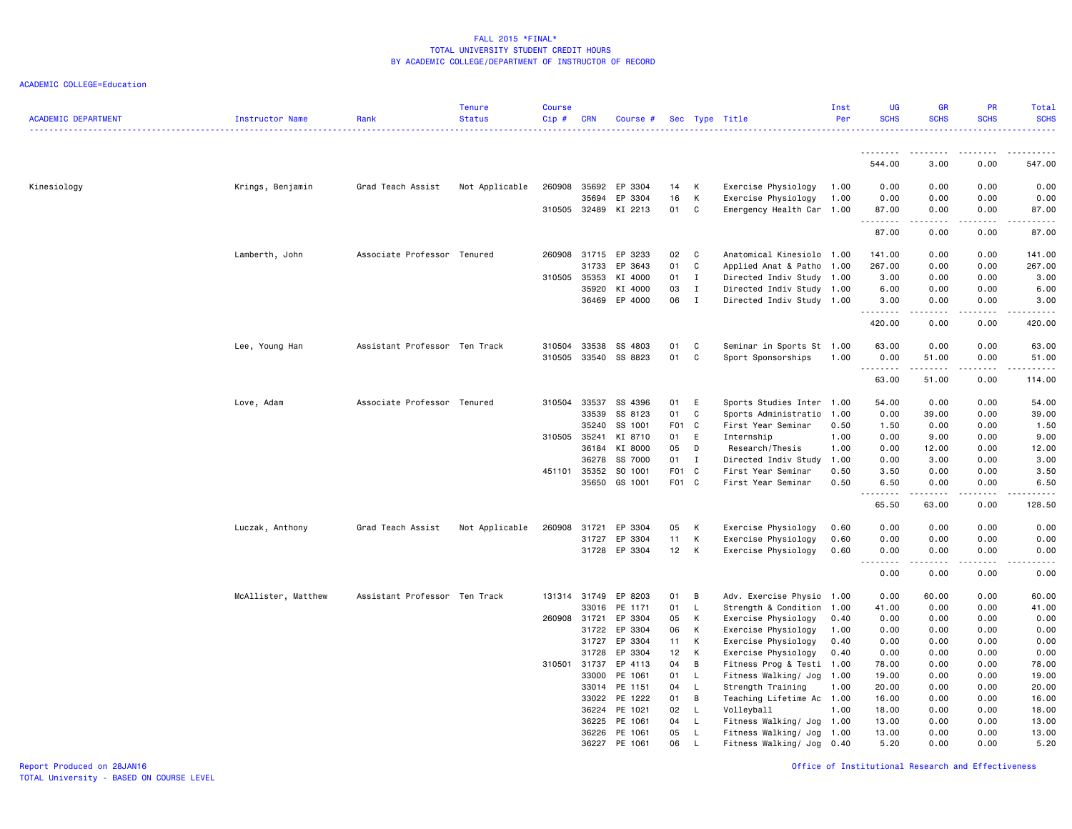| <b>ACADEMIC DEPARTMENT</b> | Instructor Name     | Rank                          | Tenure<br><b>Status</b> | <b>Course</b><br>Cip# | <b>CRN</b>   | Course # Sec Type Title |       |               |                                                        | Inst<br>Per | UG<br><b>SCHS</b> | GR<br><b>SCHS</b>                   | PR<br><b>SCHS</b> | Total<br><b>SCHS</b> |
|----------------------------|---------------------|-------------------------------|-------------------------|-----------------------|--------------|-------------------------|-------|---------------|--------------------------------------------------------|-------------|-------------------|-------------------------------------|-------------------|----------------------|
|                            |                     |                               |                         |                       |              |                         |       |               |                                                        |             |                   |                                     |                   |                      |
|                            |                     |                               |                         |                       |              |                         |       |               |                                                        |             | 544.00            | 3.00                                | 0.00              | 547.00               |
| Kinesiology                | Krings, Benjamin    | Grad Teach Assist             | Not Applicable          | 260908                |              | 35692 EP 3304           | 14    | К             | Exercise Physiology                                    | 1.00        | 0.00              | 0.00                                | 0.00              | 0.00                 |
|                            |                     |                               |                         |                       | 35694        | EP 3304                 | 16    | К             | Exercise Physiology                                    | 1.00        | 0.00              | 0.00                                | 0.00              | 0.00                 |
|                            |                     |                               |                         |                       |              | 310505 32489 KI 2213    | 01    | C             | Emergency Health Car                                   | 1.00        | 87.00             | 0.00                                | 0.00              | 87.00                |
|                            |                     |                               |                         |                       |              |                         |       |               |                                                        |             | .                 | $\sim$ $\sim$ $\sim$                | .                 |                      |
|                            |                     |                               |                         |                       |              |                         |       |               |                                                        |             | 87.00             | 0.00                                | 0.00              | 87.00                |
|                            | Lamberth, John      | Associate Professor Tenured   |                         |                       |              | 260908 31715 EP 3233    | 02 C  |               | Anatomical Kinesiolo 1.00                              |             | 141.00            | 0.00                                | 0.00              | 141.00               |
|                            |                     |                               |                         |                       | 31733        | EP 3643                 | 01    | C             | Applied Anat & Patho                                   | 1.00        | 267.00            | 0.00                                | 0.00              | 267.00               |
|                            |                     |                               |                         | 310505                | 35353        | KI 4000                 | 01    | $\mathbf I$   | Directed Indiv Study                                   | 1.00        | 3.00              | 0.00                                | 0.00              | 3.00                 |
|                            |                     |                               |                         |                       | 35920        | KI 4000                 | 03    | $\mathbf{I}$  | Directed Indiv Study 1.00                              |             | 6.00              | 0.00                                | 0.00              | 6.00                 |
|                            |                     |                               |                         |                       |              | 36469 EP 4000           | 06 I  |               | Directed Indiv Study 1.00                              |             | 3.00              | 0.00                                | 0.00              | 3.00                 |
|                            |                     |                               |                         |                       |              |                         |       |               |                                                        |             | .<br>420.00       | $\sim$ $\sim$ $\sim$ $\sim$<br>0.00 | .<br>0.00         | 420.00               |
|                            | Lee, Young Han      | Assistant Professor Ten Track |                         | 310504                | 33538        | SS 4803                 | 01    | C             | Seminar in Sports St 1.00                              |             | 63.00             | 0.00                                | 0.00              | 63.00                |
|                            |                     |                               |                         | 310505                |              | 33540 SS 8823           | 01    | C             | Sport Sponsorships                                     | 1.00        | 0.00              | 51.00                               | 0.00              | 51.00                |
|                            |                     |                               |                         |                       |              |                         |       |               |                                                        |             | .                 |                                     |                   |                      |
|                            |                     |                               |                         |                       |              |                         |       |               |                                                        |             | 63.00             | 51.00                               | 0.00              | 114.00               |
|                            | Love, Adam          | Associate Professor Tenured   |                         | 310504                | 33537        | SS 4396                 | 01    | E             | Sports Studies Inter                                   | 1.00        | 54.00             | 0.00                                | 0.00              | 54.00                |
|                            |                     |                               |                         |                       | 33539        | SS 8123                 | 01    | C             | Sports Administratio                                   | 1.00        | 0.00              | 39.00                               | 0.00              | 39.00                |
|                            |                     |                               |                         |                       | 35240        | SS 1001                 | F01 C |               | First Year Seminar                                     | 0.50        | 1.50              | 0.00                                | 0.00              | 1.50                 |
|                            |                     |                               |                         | 310505                | 35241        | KI 8710                 | 01    | E             | Internship                                             | 1.00        | 0.00              | 9.00                                | 0.00              | 9.00                 |
|                            |                     |                               |                         |                       | 36184        | KI 8000                 | 05    | D             | Research/Thesis                                        | 1.00        | 0.00              | 12.00                               | 0.00              | 12.00                |
|                            |                     |                               |                         |                       | 36278        | SS 7000                 | 01 I  |               | Directed Indiv Study                                   | 1.00        | 0.00              | 3.00                                | 0.00              | 3.00                 |
|                            |                     |                               |                         | 451101                | 35352        | SO 1001                 | F01 C |               | First Year Seminar                                     | 0.50        | 3.50              | 0.00                                | 0.00              | 3.50                 |
|                            |                     |                               |                         |                       | 35650        | GS 1001                 | F01 C |               | First Year Seminar                                     | 0.50        | 6.50              | 0.00                                | 0.00              | 6.50                 |
|                            |                     |                               |                         |                       |              |                         |       |               |                                                        |             | 65.50             | 63.00                               | 0.00              | 128.50               |
|                            | Luczak, Anthony     | Grad Teach Assist             | Not Applicable          | 260908                | 31721        | EP 3304                 | 05    | K             | Exercise Physiology                                    | 0.60        | 0.00              | 0.00                                | 0.00              | 0.00                 |
|                            |                     |                               |                         |                       | 31727        | EP 3304                 | 11    | К             | Exercise Physiology                                    | 0.60        | 0.00              | 0.00                                | 0.00              | 0.00                 |
|                            |                     |                               |                         |                       |              | 31728 EP 3304           | 12 K  |               | Exercise Physiology                                    | 0.60        | 0.00              | 0.00                                | 0.00              | 0.00                 |
|                            |                     |                               |                         |                       |              |                         |       |               |                                                        |             | .<br>0.00         | .<br>0.00                           | 0.00              | .<br>0.00            |
|                            | McAllister, Matthew | Assistant Professor Ten Track |                         |                       | 131314 31749 | EP 8203                 | 01    | B             | Adv. Exercise Physio 1.00                              |             | 0.00              | 60.00                               | 0.00              | 60.00                |
|                            |                     |                               |                         |                       | 33016        | PE 1171                 | 01    |               | Strength & Condition                                   | 1.00        |                   | 0.00                                | 0.00              | 41.00                |
|                            |                     |                               |                         | 260908                | 31721        | EP 3304                 | 05    | <b>L</b><br>К | Exercise Physiology                                    | 0.40        | 41.00<br>0.00     | 0.00                                | 0.00              | 0.00                 |
|                            |                     |                               |                         |                       | 31722        | EP 3304                 | 06    | К             | Exercise Physiology                                    | 1.00        | 0.00              | 0.00                                | 0.00              | 0.00                 |
|                            |                     |                               |                         |                       | 31727        | EP 3304                 | 11    | K             | Exercise Physiology                                    | 0.40        | 0.00              | 0.00                                | 0.00              | 0.00                 |
|                            |                     |                               |                         |                       | 31728        | EP 3304                 | 12    | K             |                                                        | 0.40        | 0.00              | 0.00                                | 0.00              | 0.00                 |
|                            |                     |                               |                         | 310501                | 31737        | EP 4113                 | 04    | B             | Exercise Physiology<br>Fitness Prog & Testi 1.00       |             | 78.00             | 0.00                                | 0.00              | 78.00                |
|                            |                     |                               |                         |                       | 33000        | PE 1061                 | 01    | <b>L</b>      | Fitness Walking/ Jog                                   | 1.00        | 19.00             | 0.00                                | 0.00              | 19.00                |
|                            |                     |                               |                         |                       |              | 33014 PE 1151           | 04    | $\mathsf{L}$  | Strength Training                                      | 1.00        | 20.00             | 0.00                                | 0.00              | 20.00                |
|                            |                     |                               |                         |                       | 33022        | PE 1222                 | 01    | B             |                                                        |             | 16.00             | 0.00                                | 0.00              | 16.00                |
|                            |                     |                               |                         |                       |              | 36224 PE 1021           | 02    | - L           | Teaching Lifetime Ac 1.00<br>Volleyball                | 1.00        | 18.00             | 0.00                                | 0.00              | 18.00                |
|                            |                     |                               |                         |                       | 36225        | PE 1061                 | 04    | - L           |                                                        |             | 13.00             | 0.00                                | 0.00              | 13.00                |
|                            |                     |                               |                         |                       | 36226        | PE 1061                 | 05    | - L           | Fitness Walking/ Jog 1.00<br>Fitness Walking/ Jog 1.00 |             | 13.00             | 0.00                                | 0.00              | 13.00                |
|                            |                     |                               |                         |                       | 36227        | PE 1061                 | 06    | $\perp$       | Fitness Walking/ Jog 0.40                              |             | 5.20              | 0.00                                | 0.00              | 5.20                 |
|                            |                     |                               |                         |                       |              |                         |       |               |                                                        |             |                   |                                     |                   |                      |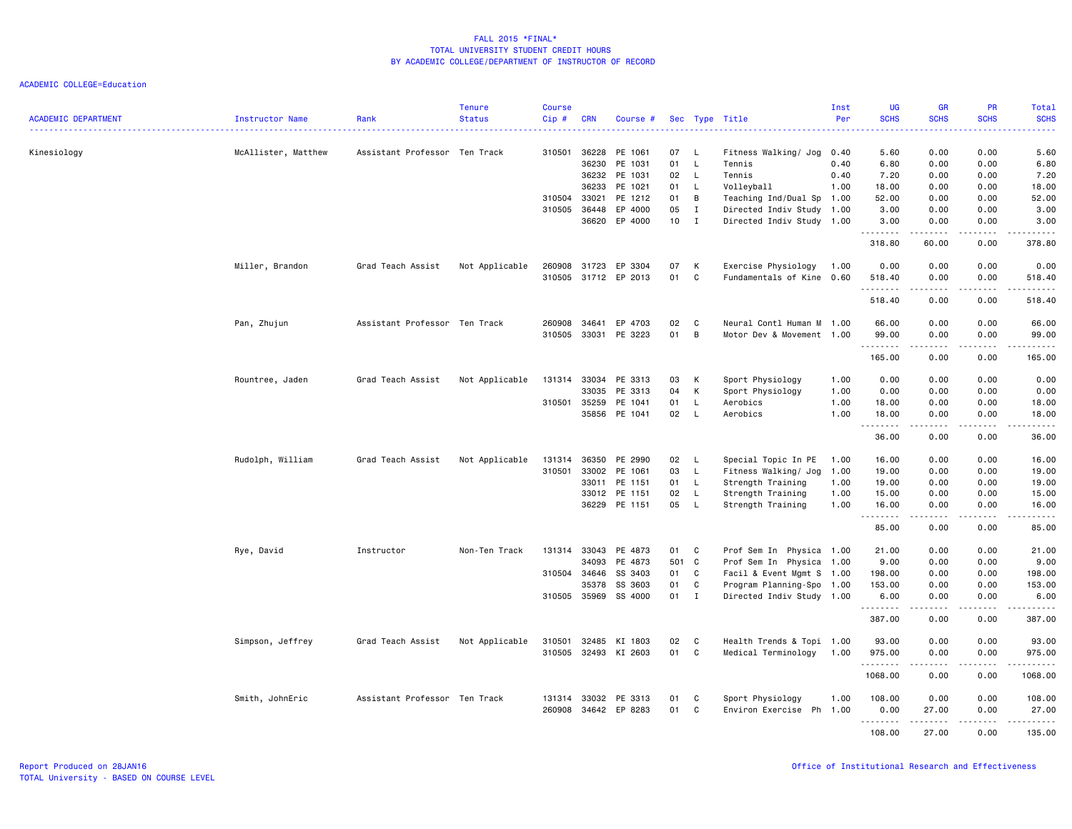| <b>ACADEMIC DEPARTMENT</b> | <b>Instructor Name</b> | Rank                          | <b>Tenure</b><br><b>Status</b> | <b>Course</b><br>Cip# | <b>CRN</b> | Course #             |       |              | Sec Type Title            | Inst<br>Per | UG<br><b>SCHS</b> | <b>GR</b><br><b>SCHS</b> | <b>PR</b><br><b>SCHS</b> | <b>Total</b><br><b>SCHS</b><br>. <b>.</b> |
|----------------------------|------------------------|-------------------------------|--------------------------------|-----------------------|------------|----------------------|-------|--------------|---------------------------|-------------|-------------------|--------------------------|--------------------------|-------------------------------------------|
|                            | McAllister, Matthew    | Assistant Professor Ten Track |                                | 310501                | 36228      | PE 1061              | 07    | - Li         | Fitness Walking/ Jog      | 0.40        | 5.60              | 0.00                     | 0.00                     | 5.60                                      |
| Kinesiology                |                        |                               |                                |                       | 36230      | PE 1031              | 01    | $\mathsf{L}$ | Tennis                    | 0.40        | 6.80              | 0.00                     | 0.00                     | 6.80                                      |
|                            |                        |                               |                                |                       |            | 36232 PE 1031        | 02    | - L          | Tennis                    | 0.40        | 7.20              | 0.00                     | 0.00                     | 7.20                                      |
|                            |                        |                               |                                |                       | 36233      | PE 1021              | 01    | L            | Volleyball                | 1.00        | 18.00             | 0.00                     | 0.00                     | 18.00                                     |
|                            |                        |                               |                                | 310504                | 33021      | PE 1212              | 01    | B            | Teaching Ind/Dual Sp 1.00 |             | 52.00             | 0.00                     | 0.00                     | 52.00                                     |
|                            |                        |                               |                                | 310505                | 36448      | EP 4000              | 05    | $\mathbf{I}$ | Directed Indiv Study 1.00 |             | 3.00              | 0.00                     | 0.00                     | 3.00                                      |
|                            |                        |                               |                                |                       | 36620      | EP 4000              | 10    | $\mathbf{I}$ | Directed Indiv Study 1.00 |             | 3.00<br>.         | 0.00                     | 0.00                     | 3.00                                      |
|                            |                        |                               |                                |                       |            |                      |       |              |                           |             | 318.80            | 60.00                    | 0.00                     | 378.80                                    |
|                            | Miller, Brandon        | Grad Teach Assist             | Not Applicable                 | 260908                | 31723      | EP 3304              | 07    | К            | Exercise Physiology       | 1.00        | 0.00              | 0.00                     | 0.00                     | 0.00                                      |
|                            |                        |                               |                                |                       |            | 310505 31712 EP 2013 | 01    | C            | Fundamentals of Kine      | 0.60        | 518.40            | 0.00                     | 0.00                     | 518.40                                    |
|                            |                        |                               |                                |                       |            |                      |       |              |                           |             | .                 | <u>.</u>                 | .                        | .                                         |
|                            |                        |                               |                                |                       |            |                      |       |              |                           |             | 518.40            | 0.00                     | 0.00                     | 518.40                                    |
|                            | Pan, Zhujun            | Assistant Professor Ten Track |                                | 260908                | 34641      | EP 4703              | 02    | C            | Neural Contl Human M      | 1.00        | 66.00             | 0.00                     | 0.00                     | 66.00                                     |
|                            |                        |                               |                                | 310505                | 33031      | PE 3223              | 01    | В            | Motor Dev & Movement 1.00 |             | 99.00             | 0.00                     | 0.00                     | 99.00                                     |
|                            |                        |                               |                                |                       |            |                      |       |              |                           |             | <u>.</u>          | .                        | .                        | .                                         |
|                            |                        |                               |                                |                       |            |                      |       |              |                           |             | 165.00            | 0.00                     | 0.00                     | 165.00                                    |
|                            |                        | Grad Teach Assist             |                                | 131314                | 33034      | PE 3313              | 03    | К            | Sport Physiology          | 1.00        | 0.00              | 0.00                     | 0.00                     | 0.00                                      |
|                            | Rountree, Jaden        |                               | Not Applicable                 |                       | 33035      | PE 3313              | 04    | К            | Sport Physiology          | 1.00        | 0.00              | 0.00                     | 0.00                     | 0.00                                      |
|                            |                        |                               |                                | 310501                | 35259      | PE 1041              | 01    | L            | Aerobics                  | 1.00        | 18.00             | 0.00                     | 0.00                     | 18.00                                     |
|                            |                        |                               |                                |                       |            | 35856 PE 1041        | 02    | $\mathsf{L}$ | Aerobics                  | 1.00        | 18.00             | 0.00                     | 0.00                     | 18.00                                     |
|                            |                        |                               |                                |                       |            |                      |       |              |                           |             |                   | .                        | .                        | .                                         |
|                            |                        |                               |                                |                       |            |                      |       |              |                           |             | 36.00             | 0.00                     | 0.00                     | 36.00                                     |
|                            | Rudolph, William       | Grad Teach Assist             | Not Applicable                 | 131314                | 36350      | PE 2990              | 02    | L.           | Special Topic In PE       | 1.00        | 16.00             | 0.00                     | 0.00                     | 16.00                                     |
|                            |                        |                               |                                | 310501                | 33002      | PE 1061              | 03    | L            | Fitness Walking/ Jog      | 1.00        | 19.00             | 0.00                     | 0.00                     | 19.00                                     |
|                            |                        |                               |                                |                       | 33011      | PE 1151              | 01    | L.           | Strength Training         | 1.00        | 19.00             | 0.00                     | 0.00                     | 19.00                                     |
|                            |                        |                               |                                |                       | 33012      | PE 1151              | 02    | L            | Strength Training         | 1.00        | 15.00             | 0.00                     | 0.00                     | 15.00                                     |
|                            |                        |                               |                                |                       | 36229      | PE 1151              | 05    | L            | Strength Training         | 1.00        | 16.00<br>-------- | 0.00<br>-----            | 0.00<br>.                | 16.00<br>.                                |
|                            |                        |                               |                                |                       |            |                      |       |              |                           |             | 85.00             | 0.00                     | 0.00                     | 85.00                                     |
|                            | Rye, David             | Instructor                    | Non-Ten Track                  | 131314                | 33043      | PE 4873              | 01    | C            | Prof Sem In Physica 1.00  |             | 21.00             | 0.00                     | 0.00                     | 21.00                                     |
|                            |                        |                               |                                |                       | 34093      | PE 4873              | 501 C |              | Prof Sem In Physica 1.00  |             | 9.00              | 0.00                     | 0.00                     | 9.00                                      |
|                            |                        |                               |                                | 310504 34646          |            | SS 3403              | 01    | C            | Facil & Event Mgmt S 1.00 |             | 198.00            | 0.00                     | 0.00                     | 198.00                                    |
|                            |                        |                               |                                |                       | 35378      | SS 3603              | 01    | C            | Program Planning-Spo 1.00 |             | 153.00            | 0.00                     | 0.00                     | 153.00                                    |
|                            |                        |                               |                                | 310505                | 35969      | SS 4000              | 01    | $\mathbf I$  | Directed Indiv Study 1.00 |             | 6.00<br><u>.</u>  | 0.00<br>.                | 0.00<br>.                | 6.00<br>. <u>.</u> .                      |
|                            |                        |                               |                                |                       |            |                      |       |              |                           |             | 387.00            | 0.00                     | 0.00                     | 387.00                                    |
|                            | Simpson, Jeffrey       | Grad Teach Assist             | Not Applicable                 | 310501                | 32485      | KI 1803              | 02    | C            | Health Trends & Topi 1.00 |             | 93.00             | 0.00                     | 0.00                     | 93.00                                     |
|                            |                        |                               |                                | 310505                |            | 32493 KI 2603        | 01    | C            | Medical Terminology       | 1.00        | 975.00            | 0.00                     | 0.00                     | 975.00                                    |
|                            |                        |                               |                                |                       |            |                      |       |              |                           |             | .<br>1068.00      | 0.00                     | 0.00                     | 1068.00                                   |
|                            | Smith, JohnEric        | Assistant Professor Ten Track |                                | 131314                | 33032      | PE 3313              | 01    | C            | Sport Physiology          | 1.00        | 108.00            | 0.00                     | 0.00                     | 108.00                                    |
|                            |                        |                               |                                | 260908                |            | 34642 EP 8283        | 01    | C            | Environ Exercise Ph 1.00  |             | 0.00              | 27.00                    | 0.00                     | 27.00                                     |
|                            |                        |                               |                                |                       |            |                      |       |              |                           |             | .<br>108.00       | .<br>27.00               | .<br>0.00                | .<br>135.00                               |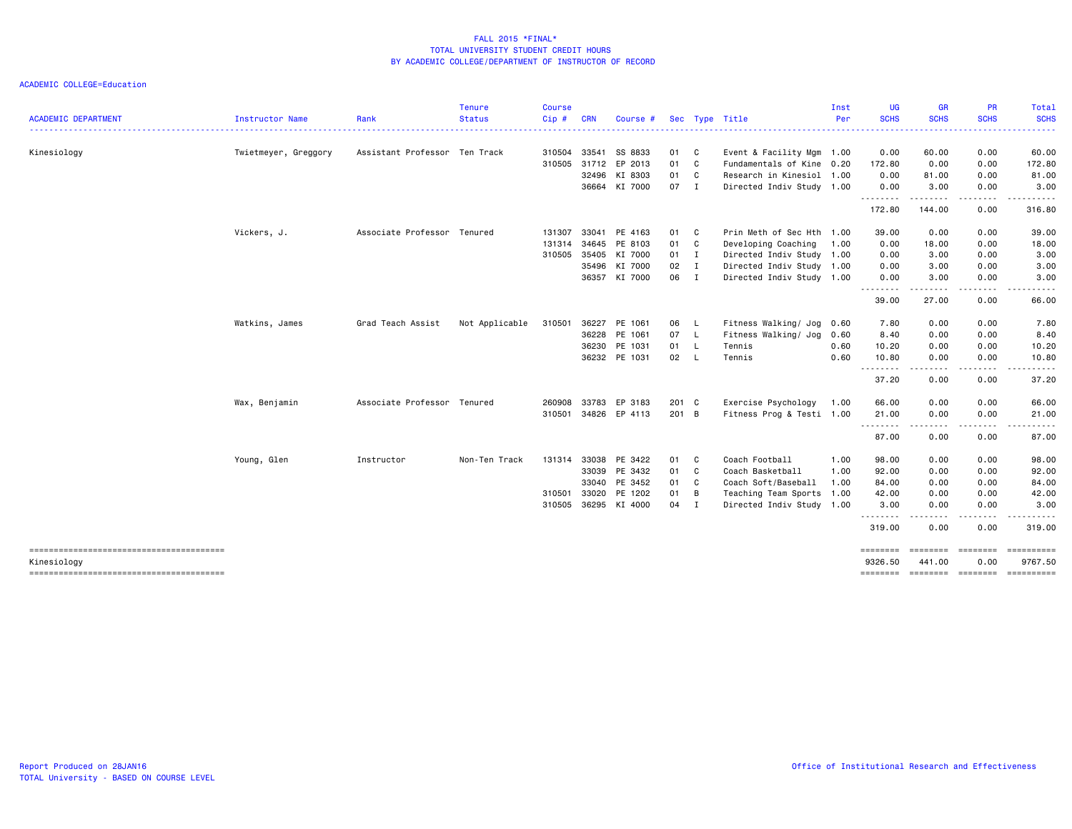|                                        |                      |                               | <b>Tenure</b>  | <b>Course</b> |            |               |       |                            |                           | Inst | UG                                                                                                                                                                                             | <b>GR</b>          | <b>PR</b>      | Total            |
|----------------------------------------|----------------------|-------------------------------|----------------|---------------|------------|---------------|-------|----------------------------|---------------------------|------|------------------------------------------------------------------------------------------------------------------------------------------------------------------------------------------------|--------------------|----------------|------------------|
| <b>ACADEMIC DEPARTMENT</b>             | Instructor Name      | Rank                          | <b>Status</b>  | Cip#          | <b>CRN</b> | Course #      |       |                            | Sec Type Title            | Per  | <b>SCHS</b><br>$\frac{1}{2} \left( \frac{1}{2} \right) \left( \frac{1}{2} \right) \left( \frac{1}{2} \right) \left( \frac{1}{2} \right) \left( \frac{1}{2} \right) \left( \frac{1}{2} \right)$ | <b>SCHS</b>        | <b>SCHS</b>    | <b>SCHS</b><br>. |
| Kinesiology                            | Twietmeyer, Greggory | Assistant Professor Ten Track |                | 310504        | 33541      | SS 8833       | 01    | $\overline{\phantom{a}}$ C | Event & Facility Mgm 1.00 |      | 0.00                                                                                                                                                                                           | 60.00              | 0.00           | 60.00            |
|                                        |                      |                               |                | 310505        | 31712      | EP 2013       | 01    | <b>C</b>                   | Fundamentals of Kine 0.20 |      | 172.80                                                                                                                                                                                         | 0.00               | 0.00           | 172.80           |
|                                        |                      |                               |                |               | 32496      | KI 8303       | 01    | $\overline{\phantom{a}}$ C | Research in Kinesiol 1.00 |      | 0.00                                                                                                                                                                                           | 81.00              | 0.00           | 81.00            |
|                                        |                      |                               |                |               |            | 36664 KI 7000 | 07    | I                          | Directed Indiv Study 1.00 |      | 0.00<br>.                                                                                                                                                                                      | 3.00<br>.          | 0.00<br>.      | 3.00             |
|                                        |                      |                               |                |               |            |               |       |                            |                           |      | 172.80                                                                                                                                                                                         | 144.00             | 0.00           | 316.80           |
|                                        | Vickers, J.          | Associate Professor Tenured   |                | 131307        |            | 33041 PE 4163 | 01 C  |                            | Prin Meth of Sec Hth 1.00 |      | 39.00                                                                                                                                                                                          | 0.00               | 0.00           | 39.00            |
|                                        |                      |                               |                | 131314        | 34645      | PE 8103       | 01 C  |                            | Developing Coaching       | 1.00 | 0.00                                                                                                                                                                                           | 18.00              | 0.00           | 18.00            |
|                                        |                      |                               |                | 310505        | 35405      | KI 7000       | 01    | $\blacksquare$             | Directed Indiv Study 1.00 |      | 0.00                                                                                                                                                                                           | 3.00               | 0.00           | 3.00             |
|                                        |                      |                               |                |               | 35496      | KI 7000       | 02    | $\blacksquare$             | Directed Indiv Study 1.00 |      | 0.00                                                                                                                                                                                           | 3.00               | 0.00           | 3.00             |
|                                        |                      |                               |                |               |            | 36357 KI 7000 | 06    | $\mathbf{I}$               | Directed Indiv Study 1.00 |      | 0.00<br>.                                                                                                                                                                                      | 3.00               | 0.00           | 3.00             |
|                                        |                      |                               |                |               |            |               |       |                            |                           |      | 39.00                                                                                                                                                                                          | 27.00              | 0.00           | 66.00            |
|                                        | Watkins, James       | Grad Teach Assist             | Not Applicable | 310501        | 36227      | PE 1061       | 06    | - L                        | Fitness Walking/ Jog      | 0.60 | 7.80                                                                                                                                                                                           | 0.00               | 0.00           | 7.80             |
|                                        |                      |                               |                |               | 36228      | PE 1061       | 07 L  |                            | Fitness Walking/ Jog      | 0.60 | 8.40                                                                                                                                                                                           | 0.00               | 0.00           | 8.40             |
|                                        |                      |                               |                |               | 36230      | PE 1031       | 01    | $\mathsf{L}$               | Tennis                    | 0.60 | 10.20                                                                                                                                                                                          | 0.00               | 0.00           | 10.20            |
|                                        |                      |                               |                |               |            | 36232 PE 1031 | 02 L  |                            | Tennis                    | 0.60 | 10.80<br><u>.</u>                                                                                                                                                                              | 0.00<br>- - - -    | 0.00           | 10.80            |
|                                        |                      |                               |                |               |            |               |       |                            |                           |      | 37.20                                                                                                                                                                                          | 0.00               | 0.00           | 37.20            |
|                                        | Wax, Benjamin        | Associate Professor Tenured   |                | 260908        | 33783      | EP 3183       | 201 C |                            | Exercise Psychology       | 1.00 | 66.00                                                                                                                                                                                          | 0.00               | 0.00           | 66.00            |
|                                        |                      |                               |                | 310501        |            | 34826 EP 4113 | 201 B |                            | Fitness Prog & Testi 1.00 |      | 21.00                                                                                                                                                                                          | 0.00<br>-----      | 0.00<br>-----  | 21.00<br>.       |
|                                        |                      |                               |                |               |            |               |       |                            |                           |      | 87.00                                                                                                                                                                                          | 0.00               | 0.00           | 87.00            |
|                                        | Young, Glen          | Instructor                    | Non-Ten Track  | 131314        | 33038      | PE 3422       | 01    | $\mathbf{C}$               | Coach Football            | 1.00 | 98.00                                                                                                                                                                                          | 0.00               | 0.00           | 98.00            |
|                                        |                      |                               |                |               | 33039      | PE 3432       | 01 C  |                            | Coach Basketball          | 1.00 | 92.00                                                                                                                                                                                          | 0.00               | 0.00           | 92.00            |
|                                        |                      |                               |                |               | 33040      | PE 3452       | 01    | $\overline{\phantom{a}}$ C | Coach Soft/Baseball       | 1.00 | 84.00                                                                                                                                                                                          | 0.00               | 0.00           | 84.00            |
|                                        |                      |                               |                | 310501        | 33020      | PE 1202       | 01    | B                          | Teaching Team Sports      | 1.00 | 42.00                                                                                                                                                                                          | 0.00               | 0.00           | 42.00            |
|                                        |                      |                               |                | 310505        |            | 36295 KI 4000 | 04    | $\blacksquare$             | Directed Indiv Study 1.00 |      | 3.00<br><u>.</u>                                                                                                                                                                               | 0.00               | 0.00           | 3.00<br>.        |
|                                        |                      |                               |                |               |            |               |       |                            |                           |      | 319.00                                                                                                                                                                                         | .<br>0.00          | .<br>0.00      | 319.00           |
|                                        |                      |                               |                |               |            |               |       |                            |                           |      | ========                                                                                                                                                                                       | ========           | <b>EEEEEEE</b> | EEEEEEEEE        |
| Kinesiology                            |                      |                               |                |               |            |               |       |                            |                           |      | 9326.50                                                                                                                                                                                        | 441.00             | 0.00           | 9767.50          |
| -------------------------------------- |                      |                               |                |               |            |               |       |                            |                           |      | ========                                                                                                                                                                                       | --------- -------- |                | ==========       |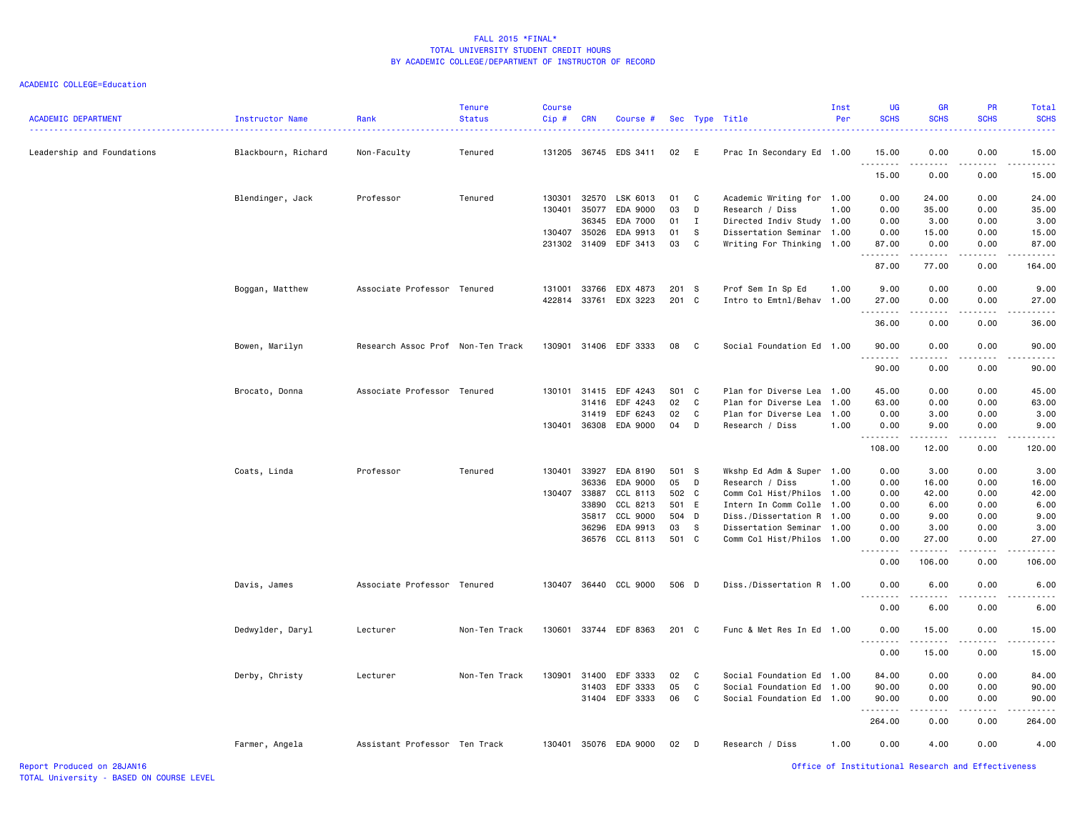### ACADEMIC COLLEGE=Education

| <b>ACADEMIC DEPARTMENT</b> | Instructor Name     | Rank                              | <b>Tenure</b><br><b>Status</b> | <b>Course</b><br>Cip# | <b>CRN</b>   | Course #              |       |              | Sec Type Title            | Inst<br>Per | <b>UG</b><br><b>SCHS</b> | <b>GR</b><br><b>SCHS</b> | PR<br><b>SCHS</b> | Total<br><b>SCHS</b>                                                                                                              |
|----------------------------|---------------------|-----------------------------------|--------------------------------|-----------------------|--------------|-----------------------|-------|--------------|---------------------------|-------------|--------------------------|--------------------------|-------------------|-----------------------------------------------------------------------------------------------------------------------------------|
| Leadership and Foundations | Blackbourn, Richard | Non-Faculty                       | Tenured                        |                       |              | 131205 36745 EDS 3411 | 02    | E            | Prac In Secondary Ed 1.00 |             | 15.00<br>.               | 0.00<br>$\frac{1}{2}$    | 0.00<br>.         | 15.00<br>.                                                                                                                        |
|                            |                     |                                   |                                |                       |              |                       |       |              |                           |             | 15.00                    | 0.00                     | 0.00              | 15.00                                                                                                                             |
|                            | Blendinger, Jack    | Professor                         | Tenured                        | 130301                | 32570        | LSK 6013              | 01    | C            | Academic Writing for 1.00 |             | 0.00                     | 24.00                    | 0.00              | 24.00                                                                                                                             |
|                            |                     |                                   |                                | 130401                | 35077        | EDA 9000              | 03    | D            | Research / Diss           | 1.00        | 0.00                     | 35.00                    | 0.00              | 35.00                                                                                                                             |
|                            |                     |                                   |                                |                       | 36345        | EDA 7000              | 01    | $\mathbf{I}$ | Directed Indiv Study      | 1.00        | 0.00                     | 3.00                     | 0.00              | 3.00                                                                                                                              |
|                            |                     |                                   |                                | 130407 35026          |              | EDA 9913              | 01    | - S          | Dissertation Seminar 1.00 |             | 0.00                     | 15.00                    | 0.00              | 15.00                                                                                                                             |
|                            |                     |                                   |                                |                       | 231302 31409 | EDF 3413              | 03    | $\mathbf{C}$ | Writing For Thinking 1.00 |             | 87.00<br>. <b>.</b>      | 0.00<br>.                | 0.00<br>.         | 87.00<br>. <b>.</b>                                                                                                               |
|                            |                     |                                   |                                |                       |              |                       |       |              |                           |             | 87.00                    | 77.00                    | 0.00              | 164.00                                                                                                                            |
|                            | Boggan, Matthew     | Associate Professor Tenured       |                                |                       | 131001 33766 | EDX 4873              | 201 S |              | Prof Sem In Sp Ed         | 1.00        | 9.00                     | 0.00                     | 0.00              | 9.00                                                                                                                              |
|                            |                     |                                   |                                |                       | 422814 33761 | EDX 3223              | 201 C |              | Intro to Emtnl/Behav 1.00 |             | 27.00<br>.               | 0.00<br>-----            | 0.00<br>.         | 27.00<br>.                                                                                                                        |
|                            |                     |                                   |                                |                       |              |                       |       |              |                           |             | 36.00                    | 0.00                     | 0.00              | 36.00                                                                                                                             |
|                            | Bowen, Marilyn      | Research Assoc Prof Non-Ten Track |                                |                       |              | 130901 31406 EDF 3333 | 08    | $\mathbf{C}$ | Social Foundation Ed 1.00 |             | 90.00                    | 0.00                     | 0.00              | 90.00                                                                                                                             |
|                            |                     |                                   |                                |                       |              |                       |       |              |                           |             | .<br>90.00               | 0.00                     | 0.00              | 90.00                                                                                                                             |
|                            | Brocato, Donna      | Associate Professor Tenured       |                                |                       |              | 130101 31415 EDF 4243 | S01 C |              | Plan for Diverse Lea 1.00 |             | 45.00                    | 0.00                     | 0.00              | 45.00                                                                                                                             |
|                            |                     |                                   |                                |                       | 31416        | EDF 4243              | 02 C  |              | Plan for Diverse Lea      | 1.00        | 63.00                    | 0.00                     | 0.00              | 63.00                                                                                                                             |
|                            |                     |                                   |                                |                       | 31419        | EDF 6243              | 02    | C            | Plan for Diverse Lea      | 1.00        | 0.00                     | 3.00                     | 0.00              | 3.00                                                                                                                              |
|                            |                     |                                   |                                |                       | 130401 36308 | EDA 9000              | 04    | D            | Research / Diss           | 1.00        | 0.00                     | 9.00<br>.                | 0.00<br>.         | 9.00                                                                                                                              |
|                            |                     |                                   |                                |                       |              |                       |       |              |                           |             | .<br>108.00              | 12.00                    | 0.00              | <u>.</u><br>120.00                                                                                                                |
|                            | Coats, Linda        | Professor                         | Tenured                        | 130401                | 33927        | EDA 8190              | 501 S |              | Wkshp Ed Adm & Super      | 1.00        | 0.00                     | 3.00                     | 0.00              | 3.00                                                                                                                              |
|                            |                     |                                   |                                |                       | 36336        | EDA 9000              | 05    | D            | Research / Diss           | 1.00        | 0.00                     | 16.00                    | 0.00              | 16.00                                                                                                                             |
|                            |                     |                                   |                                | 130407                | 33887        | CCL 8113              | 502 C |              | Comm Col Hist/Philos      | 1.00        | 0.00                     | 42.00                    | 0.00              | 42.00                                                                                                                             |
|                            |                     |                                   |                                |                       | 33890        | CCL 8213              | 501 E |              | Intern In Comm Colle      | 1.00        | 0.00                     | 6.00                     | 0.00              | 6.00                                                                                                                              |
|                            |                     |                                   |                                |                       | 35817        | CCL 9000              | 504 D |              | Diss./Dissertation R      | 1.00        | 0.00                     | 9.00                     | 0.00              | 9.00                                                                                                                              |
|                            |                     |                                   |                                |                       | 36296        | EDA 9913              | 03    | $\mathbf{s}$ | Dissertation Seminar      | 1.00        | 0.00                     | 3.00                     | 0.00              | 3.00                                                                                                                              |
|                            |                     |                                   |                                |                       |              | 36576 CCL 8113        | 501 C |              | Comm Col Hist/Philos 1.00 |             | 0.00<br>.                | 27.00<br>.               | 0.00<br>.         | 27.00<br>.                                                                                                                        |
|                            |                     |                                   |                                |                       |              |                       |       |              |                           |             | 0.00                     | 106.00                   | 0.00              | 106.00                                                                                                                            |
|                            | Davis, James        | Associate Professor Tenured       |                                |                       |              | 130407 36440 CCL 9000 | 506 D |              | Diss./Dissertation R 1.00 |             | 0.00<br><u>.</u>         | 6.00<br>.                | 0.00<br>.         | 6.00<br>$\frac{1}{2} \left( \frac{1}{2} \right) \left( \frac{1}{2} \right) \left( \frac{1}{2} \right) \left( \frac{1}{2} \right)$ |
|                            |                     |                                   |                                |                       |              |                       |       |              |                           |             | 0.00                     | 6.00                     | 0.00              | 6.00                                                                                                                              |
|                            | Dedwylder, Daryl    | Lecturer                          | Non-Ten Track                  | 130601                |              | 33744 EDF 8363        | 201 C |              | Func & Met Res In Ed 1.00 |             | 0.00<br>.                | 15.00                    | 0.00              | 15.00                                                                                                                             |
|                            |                     |                                   |                                |                       |              |                       |       |              |                           |             | 0.00                     | 15.00                    | 0.00              | 15.00                                                                                                                             |
|                            | Derby, Christy      | Lecturer                          | Non-Ten Track                  |                       | 130901 31400 | EDF 3333              | 02    | $\mathbf{C}$ | Social Foundation Ed 1.00 |             | 84.00                    | 0.00                     | 0.00              | 84.00                                                                                                                             |
|                            |                     |                                   |                                |                       | 31403        | EDF 3333              | 05    | C            | Social Foundation Ed      | 1.00        | 90.00                    | 0.00                     | 0.00              | 90.00                                                                                                                             |
|                            |                     |                                   |                                |                       |              | 31404 EDF 3333        | 06    | $\mathbf{C}$ | Social Foundation Ed 1.00 |             | 90.00<br>.               | 0.00<br>.                | 0.00<br>.         | 90.00                                                                                                                             |
|                            |                     |                                   |                                |                       |              |                       |       |              |                           |             | 264.00                   | 0.00                     | 0.00              | 264.00                                                                                                                            |
|                            | Farmer, Angela      | Assistant Professor Ten Track     |                                |                       |              | 130401 35076 EDA 9000 | 02    | $\Box$       | Research / Diss           | 1.00        | 0.00                     | 4.00                     | 0.00              | 4.00                                                                                                                              |

Report Produced on 28JAN16 Office of Institutional Research and Effectiveness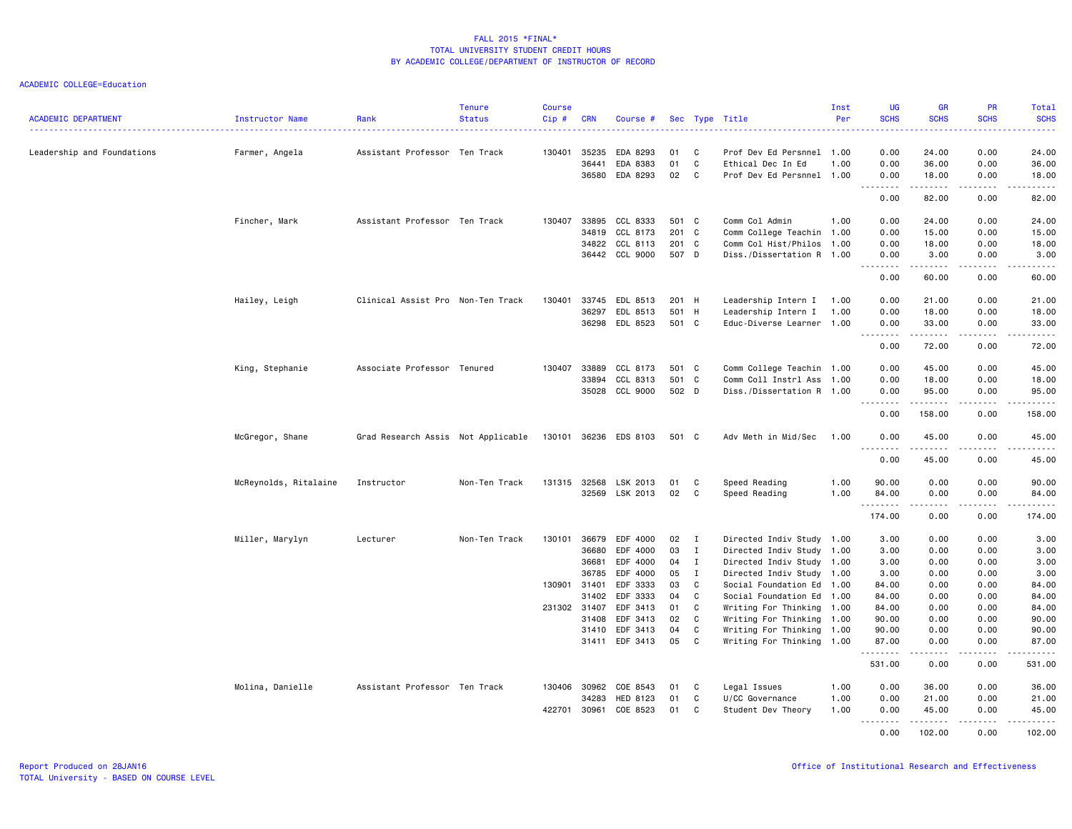| <b>ACADEMIC DEPARTMENT</b> | <b>Instructor Name</b> | Rank                               | <b>Tenure</b><br><b>Status</b> | <b>Course</b><br>Cip# | <b>CRN</b>   | Course #       |       |              | Sec Type Title            | Inst<br>Per | <b>UG</b><br><b>SCHS</b><br>$\frac{1}{2} \left( \frac{1}{2} \right) \left( \frac{1}{2} \right) \left( \frac{1}{2} \right)$                                   | <b>GR</b><br><b>SCHS</b> | <b>PR</b><br><b>SCHS</b>                                                                                                                                     | <b>Total</b><br><b>SCHS</b><br>$\frac{1}{2} \left( \frac{1}{2} \right) \left( \frac{1}{2} \right) \left( \frac{1}{2} \right) \left( \frac{1}{2} \right)$ |
|----------------------------|------------------------|------------------------------------|--------------------------------|-----------------------|--------------|----------------|-------|--------------|---------------------------|-------------|--------------------------------------------------------------------------------------------------------------------------------------------------------------|--------------------------|--------------------------------------------------------------------------------------------------------------------------------------------------------------|----------------------------------------------------------------------------------------------------------------------------------------------------------|
| Leadership and Foundations | Farmer, Angela         | Assistant Professor Ten Track      |                                | 130401                | 35235        | EDA 8293       | 01    | C            | Prof Dev Ed Persnnel 1.00 |             | 0.00                                                                                                                                                         | 24.00                    | 0.00                                                                                                                                                         | 24.00                                                                                                                                                    |
|                            |                        |                                    |                                |                       | 36441        | EDA 8383       | 01    | C            | Ethical Dec In Ed         | 1.00        | 0.00                                                                                                                                                         | 36.00                    | 0.00                                                                                                                                                         | 36.00                                                                                                                                                    |
|                            |                        |                                    |                                |                       | 36580        | EDA 8293       | 02    | C            | Prof Dev Ed Persnnel 1.00 |             | 0.00                                                                                                                                                         | 18.00                    | 0.00                                                                                                                                                         | 18.00                                                                                                                                                    |
|                            |                        |                                    |                                |                       |              |                |       |              |                           |             | $\frac{1}{2} \left( \frac{1}{2} \right) \left( \frac{1}{2} \right) \left( \frac{1}{2} \right) \left( \frac{1}{2} \right) \left( \frac{1}{2} \right)$<br>0.00 | .<br>82.00               | .<br>0.00                                                                                                                                                    | .<br>82.00                                                                                                                                               |
|                            | Fincher, Mark          | Assistant Professor Ten Track      |                                | 130407                | 33895        | CCL 8333       | 501 C |              | Comm Col Admin            | 1.00        | 0.00                                                                                                                                                         | 24.00                    | 0.00                                                                                                                                                         | 24.00                                                                                                                                                    |
|                            |                        |                                    |                                |                       | 34819        | CCL 8173       | 201 C |              | Comm College Teachin 1.00 |             | 0.00                                                                                                                                                         | 15.00                    | 0.00                                                                                                                                                         | 15.00                                                                                                                                                    |
|                            |                        |                                    |                                |                       |              | 34822 CCL 8113 | 201 C |              | Comm Col Hist/Philos 1.00 |             | 0.00                                                                                                                                                         | 18.00                    | 0.00                                                                                                                                                         | 18.00                                                                                                                                                    |
|                            |                        |                                    |                                |                       |              | 36442 CCL 9000 | 507 D |              | Diss./Dissertation R 1.00 |             | 0.00<br>$- - - - -$<br>$\sim$ $\sim$ $\sim$                                                                                                                  | 3.00<br>.                | 0.00<br>.                                                                                                                                                    | 3.00<br>.                                                                                                                                                |
|                            |                        |                                    |                                |                       |              |                |       |              |                           |             | 0.00                                                                                                                                                         | 60.00                    | 0.00                                                                                                                                                         | 60.00                                                                                                                                                    |
|                            | Hailey, Leigh          | Clinical Assist Pro Non-Ten Track  |                                | 130401                | 33745        | EDL 8513       | 201 H |              | Leadership Intern I 1.00  |             | 0.00                                                                                                                                                         | 21.00                    | 0.00                                                                                                                                                         | 21.00                                                                                                                                                    |
|                            |                        |                                    |                                |                       | 36297        | EDL 8513       | 501 H |              | Leadership Intern I       | 1.00        | 0.00                                                                                                                                                         | 18.00                    | 0.00                                                                                                                                                         | 18.00                                                                                                                                                    |
|                            |                        |                                    |                                |                       |              | 36298 EDL 8523 | 501 C |              | Educ-Diverse Learner 1.00 |             | 0.00<br>$- - - - -$<br>$\sim$ $\sim$                                                                                                                         | 33.00<br>$- - - - - - -$ | 0.00<br><u>.</u>                                                                                                                                             | 33.00<br>.                                                                                                                                               |
|                            |                        |                                    |                                |                       |              |                |       |              |                           |             | 0.00                                                                                                                                                         | 72.00                    | 0.00                                                                                                                                                         | 72.00                                                                                                                                                    |
|                            | King, Stephanie        | Associate Professor Tenured        |                                | 130407                | 33889        | CCL 8173       | 501 C |              | Comm College Teachin 1.00 |             | 0.00                                                                                                                                                         | 45.00                    | 0.00                                                                                                                                                         | 45.00                                                                                                                                                    |
|                            |                        |                                    |                                |                       | 33894        | CCL 8313       | 501 C |              | Comm Coll Instrl Ass 1.00 |             | 0.00                                                                                                                                                         | 18.00                    | 0.00                                                                                                                                                         | 18.00                                                                                                                                                    |
|                            |                        |                                    |                                |                       |              | 35028 CCL 9000 | 502 D |              | Diss./Dissertation R 1.00 |             | 0.00<br>.                                                                                                                                                    | 95.00<br>.               | 0.00<br><u>.</u>                                                                                                                                             | 95.00<br>.                                                                                                                                               |
|                            |                        |                                    |                                |                       |              |                |       |              |                           |             | 0.00                                                                                                                                                         | 158.00                   | 0.00                                                                                                                                                         | 158.00                                                                                                                                                   |
|                            | McGregor, Shane        | Grad Research Assis Not Applicable |                                | 130101                |              | 36236 EDS 8103 | 501 C |              | Adv Meth in Mid/Sec       | 1.00        | 0.00                                                                                                                                                         | 45.00                    | 0.00                                                                                                                                                         | 45.00                                                                                                                                                    |
|                            |                        |                                    |                                |                       |              |                |       |              |                           |             | 0.00                                                                                                                                                         | 45.00                    | 0.00                                                                                                                                                         | 45.00                                                                                                                                                    |
|                            | McReynolds, Ritalaine  | Instructor                         | Non-Ten Track                  |                       | 131315 32568 | LSK 2013       | 01    | C            | Speed Reading             | 1.00        | 90.00                                                                                                                                                        | 0.00                     | 0.00                                                                                                                                                         | 90.00                                                                                                                                                    |
|                            |                        |                                    |                                |                       |              | 32569 LSK 2013 | 02    | C            | Speed Reading             | 1.00        | 84.00                                                                                                                                                        | 0.00                     | 0.00                                                                                                                                                         | 84.00                                                                                                                                                    |
|                            |                        |                                    |                                |                       |              |                |       |              |                           |             | . <b>.</b><br>174.00                                                                                                                                         | .<br>0.00                | $\frac{1}{2} \left( \frac{1}{2} \right) \left( \frac{1}{2} \right) \left( \frac{1}{2} \right) \left( \frac{1}{2} \right) \left( \frac{1}{2} \right)$<br>0.00 | .<br>174.00                                                                                                                                              |
|                            | Miller, Marylyn        | Lecturer                           | Non-Ten Track                  | 130101                | 36679        | EDF 4000       | 02    | $\mathbf{I}$ | Directed Indiv Study 1.00 |             | 3.00                                                                                                                                                         | 0.00                     | 0.00                                                                                                                                                         | 3.00                                                                                                                                                     |
|                            |                        |                                    |                                |                       | 36680        | EDF 4000       | 03    | $\mathbf{I}$ | Directed Indiv Study 1.00 |             | 3.00                                                                                                                                                         | 0.00                     | 0.00                                                                                                                                                         | 3.00                                                                                                                                                     |
|                            |                        |                                    |                                |                       | 36681        | EDF 4000       | 04    | $\mathbf{I}$ | Directed Indiv Study 1.00 |             | 3.00                                                                                                                                                         | 0.00                     | 0.00                                                                                                                                                         | 3.00                                                                                                                                                     |
|                            |                        |                                    |                                |                       | 36785        | EDF 4000       | 05    | $\mathbf{I}$ | Directed Indiv Study 1.00 |             | 3.00                                                                                                                                                         | 0.00                     | 0.00                                                                                                                                                         | 3.00                                                                                                                                                     |
|                            |                        |                                    |                                | 130901 31401          |              | EDF 3333       | 03    | C            | Social Foundation Ed 1.00 |             | 84.00                                                                                                                                                        | 0.00                     | 0.00                                                                                                                                                         | 84.00                                                                                                                                                    |
|                            |                        |                                    |                                |                       | 31402        | EDF 3333       | 04    | C            | Social Foundation Ed 1.00 |             | 84.00                                                                                                                                                        | 0.00                     | 0.00                                                                                                                                                         | 84.00                                                                                                                                                    |
|                            |                        |                                    |                                | 231302 31407          |              | EDF 3413       | 01    | C            | Writing For Thinking 1.00 |             | 84.00                                                                                                                                                        | 0.00                     | 0.00                                                                                                                                                         | 84.00                                                                                                                                                    |
|                            |                        |                                    |                                |                       | 31408        | EDF 3413       | 02    | C            | Writing For Thinking 1.00 |             | 90.00                                                                                                                                                        | 0.00                     | 0.00                                                                                                                                                         | 90.00                                                                                                                                                    |
|                            |                        |                                    |                                |                       | 31410        | EDF 3413       | 04    | C            | Writing For Thinking 1.00 |             | 90.00                                                                                                                                                        | 0.00                     | 0.00                                                                                                                                                         | 90.00                                                                                                                                                    |
|                            |                        |                                    |                                |                       | 31411        | EDF 3413       | 05    | C            | Writing For Thinking 1.00 |             | 87.00                                                                                                                                                        | 0.00                     | 0.00                                                                                                                                                         | 87.00                                                                                                                                                    |
|                            |                        |                                    |                                |                       |              |                |       |              |                           |             | 531.00                                                                                                                                                       | 0.00                     | 0.00                                                                                                                                                         | 531.00                                                                                                                                                   |
|                            | Molina, Danielle       | Assistant Professor Ten Track      |                                |                       | 130406 30962 | COE 8543       | 01    | C            | Legal Issues              | 1.00        | 0.00                                                                                                                                                         | 36.00                    | 0.00                                                                                                                                                         | 36.00                                                                                                                                                    |
|                            |                        |                                    |                                |                       | 34283        | HED 8123       | 01    | C            | U/CC Governance           | 1.00        | 0.00                                                                                                                                                         | 21.00                    | 0.00                                                                                                                                                         | 21.00                                                                                                                                                    |
|                            |                        |                                    |                                | 422701                | 30961        | COE 8523       | 01    | C            | Student Dev Theory        | 1.00        | 0.00<br>1.1.1.1.1.1.1                                                                                                                                        | 45.00<br>.               | 0.00<br>$- - - - -$                                                                                                                                          | 45.00                                                                                                                                                    |
|                            |                        |                                    |                                |                       |              |                |       |              |                           |             | 0.00                                                                                                                                                         | 102.00                   | 0.00                                                                                                                                                         | 102.00                                                                                                                                                   |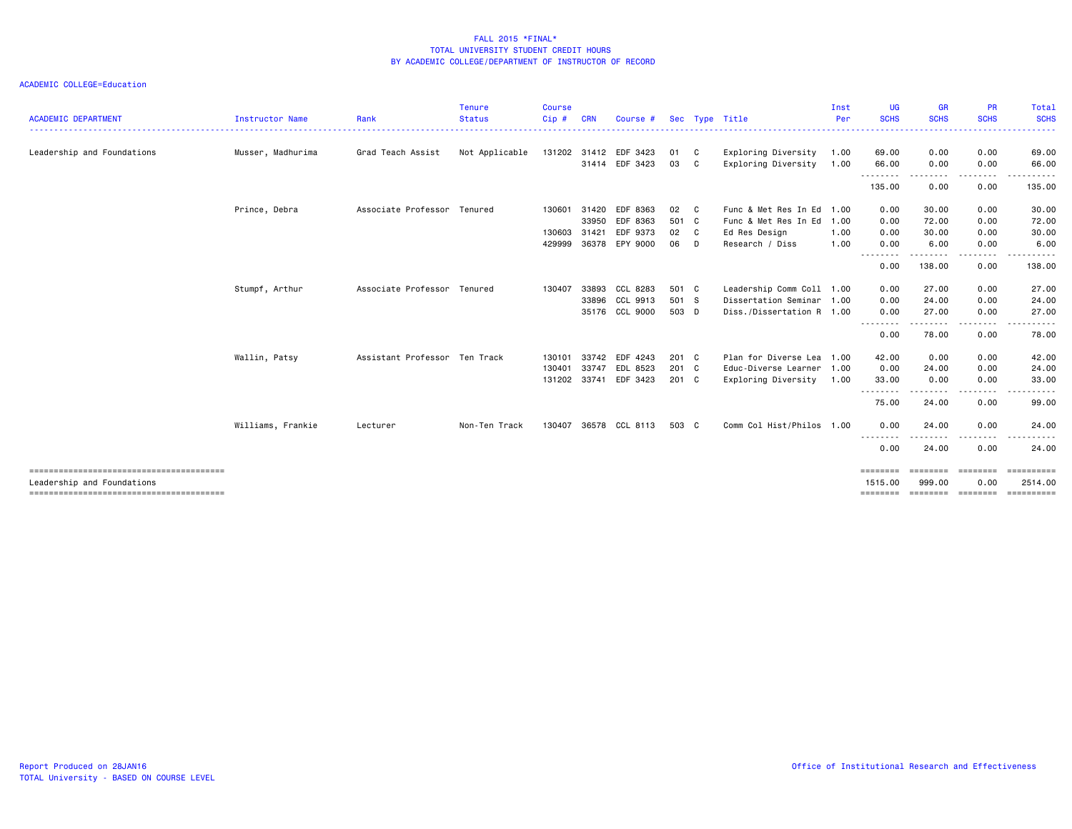| <b>ACADEMIC DEPARTMENT</b> | <b>Instructor Name</b> | Rank                          | Tenure<br><b>Status</b> | <b>Course</b><br>Cip# | <b>CRN</b> | Course #              |       |              | Sec Type Title            | Inst<br>Per | UG<br><b>SCHS</b>       | <b>GR</b><br><b>SCHS</b> | <b>PR</b><br><b>SCHS</b> | <b>Total</b><br><b>SCHS</b> |
|----------------------------|------------------------|-------------------------------|-------------------------|-----------------------|------------|-----------------------|-------|--------------|---------------------------|-------------|-------------------------|--------------------------|--------------------------|-----------------------------|
| Leadership and Foundations | Musser, Madhurima      | Grad Teach Assist             | Not Applicable          |                       |            | 131202 31412 EDF 3423 | 01 C  |              | Exploring Diversity       | 1.00        | 69.00                   | 0.00                     | 0.00                     | .<br>69.00                  |
|                            |                        |                               |                         |                       |            | 31414 EDF 3423        | 03 C  |              | Exploring Diversity       | 1.00        | 66.00                   | 0.00                     | 0.00                     | 66.00                       |
|                            |                        |                               |                         |                       |            |                       |       |              |                           |             | .<br>135.00             | ----<br>0.00             | -----<br>0.00            | ------<br>135.00            |
|                            | Prince, Debra          | Associate Professor Tenured   |                         | 130601                | 31420      | EDF 8363              | 02    | $\mathbf{C}$ | Func & Met Res In Ed      | 1.00        | 0.00                    | 30.00                    | 0.00                     | 30.00                       |
|                            |                        |                               |                         |                       | 33950      | EDF 8363              | 501 C |              | Func & Met Res In Ed      | 1.00        | 0.00                    | 72.00                    | 0.00                     | 72.00                       |
|                            |                        |                               |                         | 130603                | 31421      | EDF 9373              | 02 C  |              | Ed Res Design             | 1.00        | 0.00                    | 30.00                    | 0.00                     | 30.00                       |
|                            |                        |                               |                         | 429999                | 36378      | EPY 9000              | 06 D  |              | Research / Diss           | 1.00        | 0.00<br><u>--------</u> | 6.00                     | 0.00                     | 6.00                        |
|                            |                        |                               |                         |                       |            |                       |       |              |                           |             | 0.00                    | 138.00                   | 0.00                     | 138.00                      |
|                            | Stumpf, Arthur         | Associate Professor Tenured   |                         | 130407                | 33893      | CCL 8283              | 501 C |              | Leadership Comm Coll 1.00 |             | 0.00                    | 27.00                    | 0.00                     | 27.00                       |
|                            |                        |                               |                         |                       | 33896      | CCL 9913              | 501 S |              | Dissertation Seminar      | 1.00        | 0.00                    | 24.00                    | 0.00                     | 24.00                       |
|                            |                        |                               |                         |                       |            | 35176 CCL 9000        | 503 D |              | Diss./Dissertation R 1.00 |             | 0.00                    | 27.00                    | 0.00                     | 27.00                       |
|                            |                        |                               |                         |                       |            |                       |       |              |                           |             | --------<br>0.00        | .<br>78.00               | .<br>0.00                | .<br>78.00                  |
|                            | Wallin, Patsy          | Assistant Professor Ten Track |                         | 130101                | 33742      | EDF 4243              | 201 C |              | Plan for Diverse Lea      | 1.00        | 42.00                   | 0.00                     | 0.00                     | 42.00                       |
|                            |                        |                               |                         | 130401                | 33747      | EDL 8523              | 201 C |              | Educ-Diverse Learner 1.00 |             | 0.00                    | 24.00                    | 0.00                     | 24.00                       |
|                            |                        |                               |                         | 131202 33741          |            | EDF 3423              | 201 C |              | Exploring Diversity       | 1.00        | 33.00                   | 0.00                     | 0.00                     | 33.00                       |
|                            |                        |                               |                         |                       |            |                       |       |              |                           |             | <u>.</u><br>75.00       | .<br>24.00               | <u>.</u><br>0.00         | .<br>99.00                  |
|                            | Williams, Frankie      | Lecturer                      | Non-Ten Track           | 130407                | 36578      | CCL 8113              | 503 C |              | Comm Col Hist/Philos 1.00 |             | 0.00                    | 24.00                    | 0.00                     | 24.00                       |
|                            |                        |                               |                         |                       |            |                       |       |              |                           |             | --------<br>0.00        | .<br>24.00               | . <b>.</b> .<br>0.00     | 24.00                       |
|                            |                        |                               |                         |                       |            |                       |       |              |                           |             | ========                | <b>EEEEEEE</b>           | ========                 | ==========                  |
| Leadership and Foundations |                        |                               |                         |                       |            |                       |       |              |                           |             | 1515.00                 | 999.00                   | 0.00                     | 2514.00<br>==========       |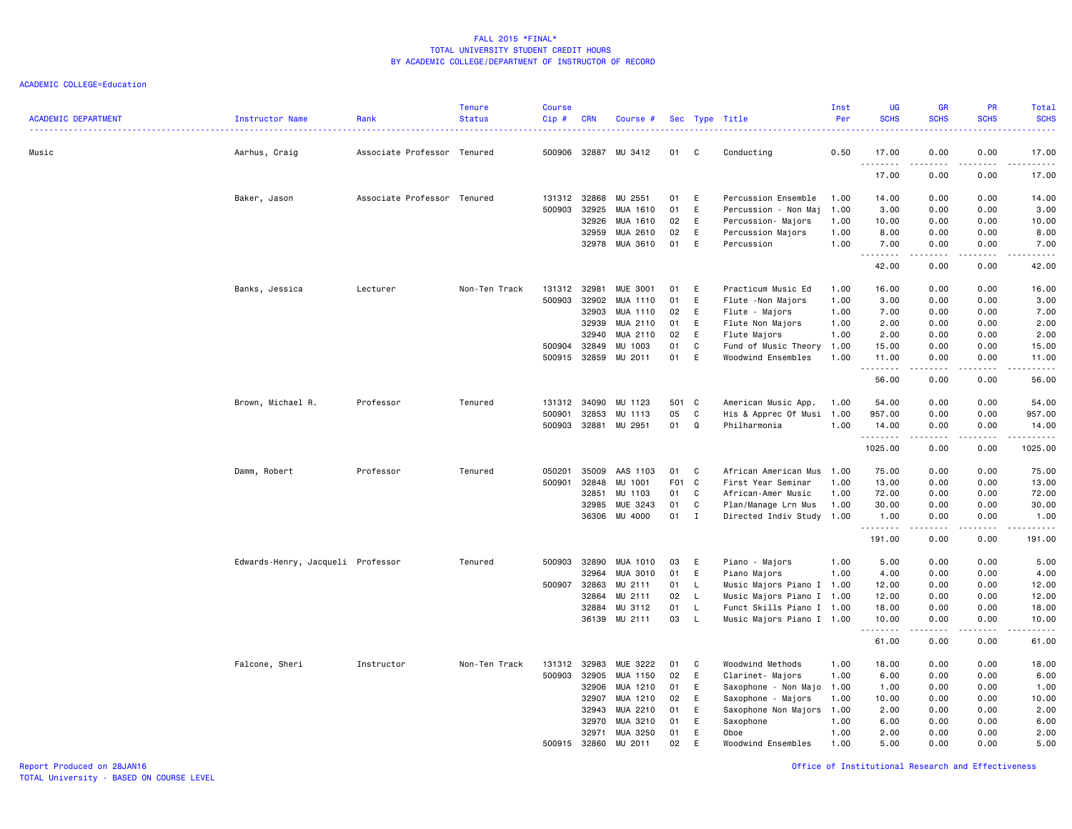ACADEMIC COLLEGE=Education

| <b>ACADEMIC DEPARTMENT</b> | Instructor Name                   | Rank                        | <b>Tenure</b><br><b>Status</b> | <b>Course</b><br>$Cip$ # | <b>CRN</b> | Course #        |       |              | Sec Type Title            | Inst<br>Per | <b>UG</b><br><b>SCHS</b> | <b>GR</b><br><b>SCHS</b>                                                                                                                                     | PR<br><b>SCHS</b>                   | Total<br><b>SCHS</b>         |
|----------------------------|-----------------------------------|-----------------------------|--------------------------------|--------------------------|------------|-----------------|-------|--------------|---------------------------|-------------|--------------------------|--------------------------------------------------------------------------------------------------------------------------------------------------------------|-------------------------------------|------------------------------|
| Music                      | Aarhus, Craig                     | Associate Professor Tenured |                                | 500906 32887             |            | MU 3412         | 01    | C            | Conducting                | 0.50        | 17.00                    | 0.00                                                                                                                                                         | 0.00                                | 17.00                        |
|                            |                                   |                             |                                |                          |            |                 |       |              |                           |             | <u>.</u><br>17.00        | .<br>0.00                                                                                                                                                    | $- - - -$<br>0.00                   | $- - - - -$<br>17.00         |
|                            | Baker, Jason                      | Associate Professor Tenured |                                | 131312 32868             |            | MU 2551         | 01    | E            | Percussion Ensemble       | 1.00        | 14.00                    | 0.00                                                                                                                                                         | 0.00                                | 14.00                        |
|                            |                                   |                             |                                | 500903                   | 32925      | MUA 1610        | 01    | E            | Percussion - Non Maj      | 1.00        | 3.00                     | 0.00                                                                                                                                                         | 0.00                                | 3.00                         |
|                            |                                   |                             |                                |                          | 32926      | MUA 1610        | 02    | E            | Percussion- Majors        | 1.00        | 10.00                    | 0.00                                                                                                                                                         | 0.00                                | 10.00                        |
|                            |                                   |                             |                                |                          | 32959      | MUA 2610        | 02    | E            | Percussion Majors         | 1.00        | 8.00                     | 0.00                                                                                                                                                         | 0.00                                | 8.00                         |
|                            |                                   |                             |                                |                          | 32978      | MUA 3610        | 01    | E            | Percussion                | 1.00        | 7.00<br>.                | 0.00<br>$\frac{1}{2} \left( \frac{1}{2} \right) \left( \frac{1}{2} \right) \left( \frac{1}{2} \right) \left( \frac{1}{2} \right) \left( \frac{1}{2} \right)$ | 0.00<br>.                           | 7.00<br>$\omega$ is a set of |
|                            |                                   |                             |                                |                          |            |                 |       |              |                           |             | 42.00                    | 0.00                                                                                                                                                         | 0.00                                | 42.00                        |
|                            | Banks, Jessica                    | Lecturer                    | Non-Ten Track                  | 131312                   | 32981      | <b>MUE 3001</b> | 01    | E            | Practicum Music Ed        | 1.00        | 16.00                    | 0.00                                                                                                                                                         | 0.00                                | 16.00                        |
|                            |                                   |                             |                                | 500903                   | 32902      | MUA 1110        | 01    | E            | Flute - Non Majors        | 1.00        | 3.00                     | 0.00                                                                                                                                                         | 0.00                                | 3.00                         |
|                            |                                   |                             |                                |                          | 32903      | MUA 1110        | 02    | E            | Flute - Majors            | 1.00        | 7.00                     | 0.00                                                                                                                                                         | 0.00                                | 7.00                         |
|                            |                                   |                             |                                |                          | 32939      | MUA 2110        | 01    | E            | Flute Non Majors          | 1.00        | 2.00                     | 0.00                                                                                                                                                         | 0.00                                | 2.00                         |
|                            |                                   |                             |                                |                          | 32940      | MUA 2110        | 02    | E            | Flute Majors              | 1.00        | 2.00                     | 0.00                                                                                                                                                         | 0.00                                | 2.00                         |
|                            |                                   |                             |                                | 500904                   | 32849      | MU 1003         | 01    | C            | Fund of Music Theory      | 1.00        | 15.00                    | 0.00                                                                                                                                                         | 0.00                                | 15.00                        |
|                            |                                   |                             |                                | 500915                   | 32859      | MU 2011         | 01    | E            | Woodwind Ensembles        | 1.00        | 11.00<br>.               | 0.00<br>-----                                                                                                                                                | 0.00<br>.                           | 11.00<br>.                   |
|                            |                                   |                             |                                |                          |            |                 |       |              |                           |             | 56.00                    | 0.00                                                                                                                                                         | 0.00                                | 56.00                        |
|                            | Brown, Michael R.                 | Professor                   | Tenured                        | 131312                   | 34090      | MU 1123         | 501 C |              | American Music App.       | 1.00        | 54.00                    | 0.00                                                                                                                                                         | 0.00                                | 54.00                        |
|                            |                                   |                             |                                | 500901                   | 32853      | MU 1113         | 05    | C            | His & Apprec Of Musi      | 1.00        | 957.00                   | 0.00                                                                                                                                                         | 0.00                                | 957.00                       |
|                            |                                   |                             |                                | 500903                   | 32881      | MU 2951         | 01    | Q            | Philharmonia              | 1.00        | 14.00<br>.               | 0.00<br>$\frac{1}{2} \left( \frac{1}{2} \right) \left( \frac{1}{2} \right) \left( \frac{1}{2} \right) \left( \frac{1}{2} \right) \left( \frac{1}{2} \right)$ | 0.00<br>.                           | 14.00<br>. <u>.</u>          |
|                            |                                   |                             |                                |                          |            |                 |       |              |                           |             | 1025.00                  | 0.00                                                                                                                                                         | 0.00                                | 1025.00                      |
|                            | Damm, Robert                      | Professor                   | Tenured                        | 050201                   | 35009      | AAS 1103        | 01    | C            | African American Mus      | 1.00        | 75.00                    | 0.00                                                                                                                                                         | 0.00                                | 75.00                        |
|                            |                                   |                             |                                | 500901                   | 32848      | MU 1001         | F01   | C            | First Year Seminar        | 1.00        | 13.00                    | 0.00                                                                                                                                                         | 0.00                                | 13.00                        |
|                            |                                   |                             |                                |                          | 32851      | MU 1103         | 01    | C            | African-Amer Music        | 1.00        | 72.00                    | 0.00                                                                                                                                                         | 0.00                                | 72.00                        |
|                            |                                   |                             |                                |                          | 32985      | MUE 3243        | 01    | C            | Plan/Manage Lrn Mus       | 1.00        | 30.00                    | 0.00                                                                                                                                                         | 0.00                                | 30.00                        |
|                            |                                   |                             |                                |                          | 36306      | MU 4000         | 01    | $\mathbf{I}$ | Directed Indiv Study 1.00 |             | 1.00<br>.                | 0.00<br>.                                                                                                                                                    | 0.00<br>$\sim$ $\sim$ $\sim$ $\sim$ | 1.00<br>.                    |
|                            |                                   |                             |                                |                          |            |                 |       |              |                           |             | 191.00                   | 0.00                                                                                                                                                         | 0.00                                | 191.00                       |
|                            | Edwards-Henry, Jacqueli Professor |                             | Tenured                        | 500903                   | 32890      | MUA 1010        | 03    | E            | Piano - Majors            | 1.00        | 5.00                     | 0.00                                                                                                                                                         | 0.00                                | 5.00                         |
|                            |                                   |                             |                                |                          | 32964      | MUA 3010        | 01    | E            | Piano Majors              | 1.00        | 4.00                     | 0.00                                                                                                                                                         | 0.00                                | 4.00                         |
|                            |                                   |                             |                                | 500907                   | 32863      | MU 2111         | 01    | $\mathsf{L}$ | Music Majors Piano I 1.00 |             | 12.00                    | 0.00                                                                                                                                                         | 0.00                                | 12.00                        |
|                            |                                   |                             |                                |                          | 32864      | MU 2111         | 02    | - L          | Music Majors Piano I 1.00 |             | 12.00                    | 0.00                                                                                                                                                         | 0.00                                | 12.00                        |
|                            |                                   |                             |                                |                          | 32884      | MU 3112         | 01    | L.           | Funct Skills Piano I 1.00 |             | 18.00                    | 0.00                                                                                                                                                         | 0.00                                | 18.00                        |
|                            |                                   |                             |                                |                          | 36139      | MU 2111         | 03    | $\mathsf{L}$ | Music Majors Piano I 1.00 |             | 10.00<br><u>.</u>        | 0.00<br>-----                                                                                                                                                | 0.00<br>.                           | 10.00<br>.                   |
|                            |                                   |                             |                                |                          |            |                 |       |              |                           |             | 61.00                    | 0.00                                                                                                                                                         | 0.00                                | 61.00                        |
|                            | Falcone, Sheri                    | Instructor                  | Non-Ten Track                  | 131312                   | 32983      | MUE 3222        | 01    | C            | Woodwind Methods          | 1.00        | 18.00                    | 0.00                                                                                                                                                         | 0.00                                | 18.00                        |
|                            |                                   |                             |                                | 500903                   | 32905      | MUA 1150        | 02    | E            | Clarinet- Majors          | 1.00        | 6.00                     | 0.00                                                                                                                                                         | 0.00                                | 6.00                         |
|                            |                                   |                             |                                |                          | 32906      | MUA 1210        | 01    | E.           | Saxophone - Non Majo      | 1.00        | 1.00                     | 0.00                                                                                                                                                         | 0.00                                | 1.00                         |
|                            |                                   |                             |                                |                          | 32907      | MUA 1210        | 02    | E            | Saxophone - Majors        | 1.00        | 10.00                    | 0.00                                                                                                                                                         | 0.00                                | 10.00                        |
|                            |                                   |                             |                                |                          | 32943      | MUA 2210        | 01    | E.           | Saxophone Non Majors      | 1.00        | 2.00                     | 0.00                                                                                                                                                         | 0.00                                | 2.00                         |
|                            |                                   |                             |                                |                          | 32970      | MUA 3210        | 01    | E            | Saxophone                 | 1.00        | 6.00                     | 0.00                                                                                                                                                         | 0.00                                | 6.00                         |
|                            |                                   |                             |                                |                          | 32971      | MUA 3250        | 01    | E            | Oboe                      | 1.00        | 2.00                     | 0.00                                                                                                                                                         | 0.00                                | 2.00                         |
|                            |                                   |                             |                                | 500915                   | 32860      | MU 2011         | 02    | E            | Woodwind Ensembles        | 1.00        | 5.00                     | 0.00                                                                                                                                                         | 0.00                                | 5.00                         |

Report Produced on 28JAN16 Office of Institutional Research and Effectiveness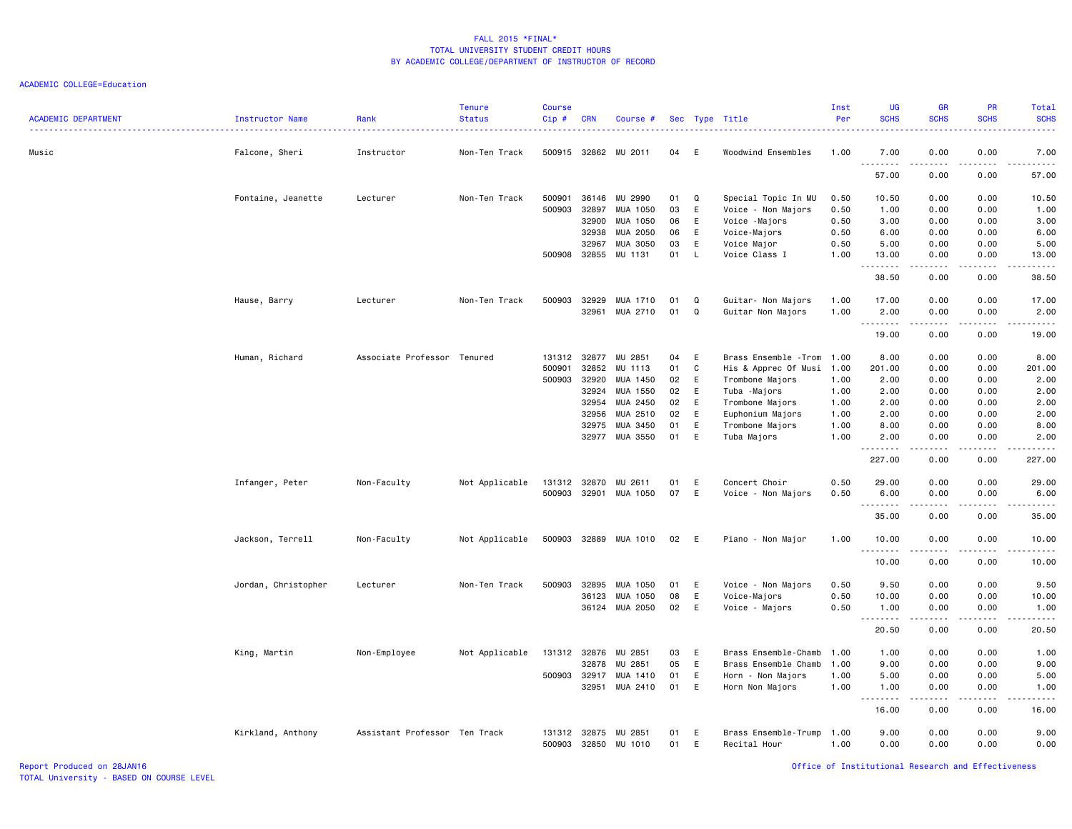| <b>ACADEMIC DEPARTMENT</b> | <b>Instructor Name</b> | Rank<br>. <u>.</u> .          | <b>Tenure</b><br><b>Status</b> | <b>Course</b><br>Cip# | <b>CRN</b>     | Course #             |          |              | Sec Type Title<br>.          | Inst<br>Per  | <b>UG</b><br><b>SCHS</b><br>. | <b>GR</b><br><b>SCHS</b>                                                                                                                                     | <b>PR</b><br><b>SCHS</b>            | Total<br><b>SCHS</b><br><u>.</u>                                                                                                                              |
|----------------------------|------------------------|-------------------------------|--------------------------------|-----------------------|----------------|----------------------|----------|--------------|------------------------------|--------------|-------------------------------|--------------------------------------------------------------------------------------------------------------------------------------------------------------|-------------------------------------|---------------------------------------------------------------------------------------------------------------------------------------------------------------|
| Music                      | Falcone, Sheri         | Instructor                    | Non-Ten Track                  | 500915                |                | 32862 MU 2011        | 04       | E            | Woodwind Ensembles           | 1.00         | 7.00<br>.                     | 0.00<br>.                                                                                                                                                    | 0.00<br>$\sim$ $\sim$ $\sim$ $\sim$ | 7.00<br>.                                                                                                                                                     |
|                            |                        |                               |                                |                       |                |                      |          |              |                              |              | 57.00                         | 0.00                                                                                                                                                         | 0.00                                | 57.00                                                                                                                                                         |
|                            | Fontaine, Jeanette     | Lecturer                      | Non-Ten Track                  | 500901                | 36146          | MU 2990              | 01       | Q            | Special Topic In MU          | 0.50         | 10.50                         | 0.00                                                                                                                                                         | 0.00                                | 10.50                                                                                                                                                         |
|                            |                        |                               |                                | 500903                | 32897          | MUA 1050             | 03       | E            | Voice - Non Majors           | 0.50         | 1.00                          | 0.00                                                                                                                                                         | 0.00                                | 1.00                                                                                                                                                          |
|                            |                        |                               |                                |                       | 32900          | MUA 1050             | 06       | E            | Voice -Majors                | 0.50         | 3.00                          | 0.00                                                                                                                                                         | 0.00                                | 3.00                                                                                                                                                          |
|                            |                        |                               |                                |                       | 32938<br>32967 | MUA 2050<br>MUA 3050 | 06<br>03 | E<br>E       | Voice-Majors                 | 0.50<br>0.50 | 6.00<br>5.00                  | 0.00<br>0.00                                                                                                                                                 | 0.00<br>0.00                        | 6.00<br>5.00                                                                                                                                                  |
|                            |                        |                               |                                | 500908                | 32855          | MU 1131              | 01       | L            | Voice Major<br>Voice Class I | 1.00         | 13.00                         | 0.00                                                                                                                                                         | 0.00                                | 13.00                                                                                                                                                         |
|                            |                        |                               |                                |                       |                |                      |          |              |                              |              | .                             | .                                                                                                                                                            | .                                   | $\frac{1}{2} \left( \frac{1}{2} \right) \left( \frac{1}{2} \right) \left( \frac{1}{2} \right) \left( \frac{1}{2} \right) \left( \frac{1}{2} \right)$          |
|                            |                        |                               |                                |                       |                |                      |          |              |                              |              | 38.50                         | 0.00                                                                                                                                                         | 0.00                                | 38.50                                                                                                                                                         |
|                            | Hause, Barry           | Lecturer                      | Non-Ten Track                  | 500903                | 32929          | MUA 1710             | 01       | Q            | Guitar- Non Majors           | 1.00         | 17.00                         | 0.00                                                                                                                                                         | 0.00                                | 17.00                                                                                                                                                         |
|                            |                        |                               |                                |                       | 32961          | MUA 2710             | 01       | Q            | Guitar Non Majors            | 1.00         | 2.00                          | 0.00                                                                                                                                                         | 0.00                                | 2.00                                                                                                                                                          |
|                            |                        |                               |                                |                       |                |                      |          |              |                              |              | .                             | .                                                                                                                                                            | $\sim$ $\sim$ $\sim$ $\sim$         | $\sim$ $\sim$ $\sim$ $\sim$                                                                                                                                   |
|                            |                        |                               |                                |                       |                |                      |          |              |                              |              | 19.00                         | 0.00                                                                                                                                                         | 0.00                                | 19.00                                                                                                                                                         |
|                            | Human, Richard         | Associate Professor Tenured   |                                | 131312 32877          |                | MU 2851              | 04       | E            | Brass Ensemble - Trom 1.00   |              | 8.00                          | 0.00                                                                                                                                                         | 0.00                                | 8.00                                                                                                                                                          |
|                            |                        |                               |                                | 500901                | 32852          | MU 1113              | 01       | C            | His & Apprec Of Musi         | 1.00         | 201.00                        | 0.00                                                                                                                                                         | 0.00                                | 201.00                                                                                                                                                        |
|                            |                        |                               |                                | 500903                | 32920          | MUA 1450             | 02       | E            | Trombone Majors              | 1.00         | 2.00                          | 0.00                                                                                                                                                         | 0.00                                | 2.00                                                                                                                                                          |
|                            |                        |                               |                                |                       | 32924          | MUA 1550             | 02       | E            | Tuba -Majors                 | 1.00         | 2.00                          | 0.00                                                                                                                                                         | 0.00                                | 2.00                                                                                                                                                          |
|                            |                        |                               |                                |                       | 32954          | MUA 2450             | 02       | E            | Trombone Majors              | 1.00         | 2.00                          | 0.00                                                                                                                                                         | 0.00                                | 2.00                                                                                                                                                          |
|                            |                        |                               |                                |                       | 32956          | MUA 2510             | 02       | E            | Euphonium Majors             | 1.00         | 2.00                          | 0.00                                                                                                                                                         | 0.00                                | 2.00                                                                                                                                                          |
|                            |                        |                               |                                |                       | 32975          | MUA 3450             | 01       | E            | Trombone Majors              | 1.00         | 8.00                          | 0.00                                                                                                                                                         | 0.00                                | 8.00                                                                                                                                                          |
|                            |                        |                               |                                |                       | 32977          | MUA 3550             | 01       | E            | Tuba Majors                  | 1.00         | 2.00<br>.                     | 0.00<br>$\frac{1}{2} \left( \frac{1}{2} \right) \left( \frac{1}{2} \right) \left( \frac{1}{2} \right) \left( \frac{1}{2} \right) \left( \frac{1}{2} \right)$ | 0.00<br>.                           | 2.00<br>.                                                                                                                                                     |
|                            |                        |                               |                                |                       |                |                      |          |              |                              |              | 227.00                        | 0.00                                                                                                                                                         | 0.00                                | 227.00                                                                                                                                                        |
|                            | Infanger, Peter        | Non-Faculty                   | Not Applicable                 | 131312                | 32870          | MU 2611              | 01       | E            | Concert Choir                | 0.50         | 29.00                         | 0.00                                                                                                                                                         | 0.00                                | 29.00                                                                                                                                                         |
|                            |                        |                               |                                | 500903                | 32901          | MUA 1050             | 07       | E            | Voice - Non Majors           | 0.50         | 6.00                          | 0.00                                                                                                                                                         | 0.00                                | 6.00                                                                                                                                                          |
|                            |                        |                               |                                |                       |                |                      |          |              |                              |              | .                             | -----                                                                                                                                                        | .                                   | .                                                                                                                                                             |
|                            |                        |                               |                                |                       |                |                      |          |              |                              |              | 35.00                         | 0.00                                                                                                                                                         | 0.00                                | 35.00                                                                                                                                                         |
|                            | Jackson, Terrell       | Non-Faculty                   | Not Applicable                 | 500903                |                | 32889 MUA 1010       | 02       | E.           | Piano - Non Major            | 1.00         | 10.00                         | 0.00                                                                                                                                                         | 0.00                                | 10.00                                                                                                                                                         |
|                            |                        |                               |                                |                       |                |                      |          |              |                              |              | .<br>10.00                    | .<br>0.00                                                                                                                                                    | .<br>0.00                           | $\frac{1}{2} \left( \frac{1}{2} \right) \left( \frac{1}{2} \right) \left( \frac{1}{2} \right) \left( \frac{1}{2} \right) \left( \frac{1}{2} \right)$<br>10.00 |
|                            | Jordan, Christopher    | Lecturer                      | Non-Ten Track                  | 500903                | 32895          | MUA 1050             | 01       | E            | Voice - Non Majors           | 0.50         | 9.50                          | 0.00                                                                                                                                                         | 0.00                                | 9.50                                                                                                                                                          |
|                            |                        |                               |                                |                       | 36123          | MUA 1050             | 08       | E            | Voice-Majors                 | 0.50         | 10.00                         | 0.00                                                                                                                                                         | 0.00                                | 10.00                                                                                                                                                         |
|                            |                        |                               |                                |                       |                | 36124 MUA 2050       | 02       | E            | Voice - Majors               | 0.50         | 1.00                          | 0.00                                                                                                                                                         | 0.00                                | 1.00                                                                                                                                                          |
|                            |                        |                               |                                |                       |                |                      |          |              |                              |              | .<br>20.50                    | -----<br>0.00                                                                                                                                                | .<br>0.00                           | .<br>20.50                                                                                                                                                    |
|                            | King, Martin           | Non-Employee                  | Not Applicable                 | 131312 32876          |                | MU 2851              | 03       | E            | Brass Ensemble-Chamb         | 1.00         | 1.00                          | 0.00                                                                                                                                                         | 0.00                                | 1.00                                                                                                                                                          |
|                            |                        |                               |                                |                       | 32878          | MU 2851              | 05       | E            | Brass Ensemble Chamb         | 1.00         | 9.00                          | 0.00                                                                                                                                                         | 0.00                                | 9.00                                                                                                                                                          |
|                            |                        |                               |                                | 500903                | 32917          | MUA 1410             | 01       | $\mathsf{E}$ | Horn - Non Majors            | 1.00         | 5.00                          | 0.00                                                                                                                                                         | 0.00                                | 5.00                                                                                                                                                          |
|                            |                        |                               |                                |                       | 32951          | MUA 2410             | 01       | $\mathsf{E}$ | Horn Non Majors              | 1.00         | 1.00<br>$\sim$ $\sim$ .       | 0.00                                                                                                                                                         | 0.00<br>.                           | 1.00<br>.                                                                                                                                                     |
|                            |                        |                               |                                |                       |                |                      |          |              |                              |              | 16.00                         | 0.00                                                                                                                                                         | 0.00                                | 16.00                                                                                                                                                         |
|                            | Kirkland, Anthony      | Assistant Professor Ten Track |                                | 131312 32875          |                | MU 2851              | 01       | E            | Brass Ensemble-Trump         | 1.00         | 9.00                          | 0.00                                                                                                                                                         | 0.00                                | 9.00                                                                                                                                                          |
|                            |                        |                               |                                | 500903                | 32850          | MU 1010              | 01       | E            | Recital Hour                 | 1.00         | 0.00                          | 0.00                                                                                                                                                         | 0.00                                | 0.00                                                                                                                                                          |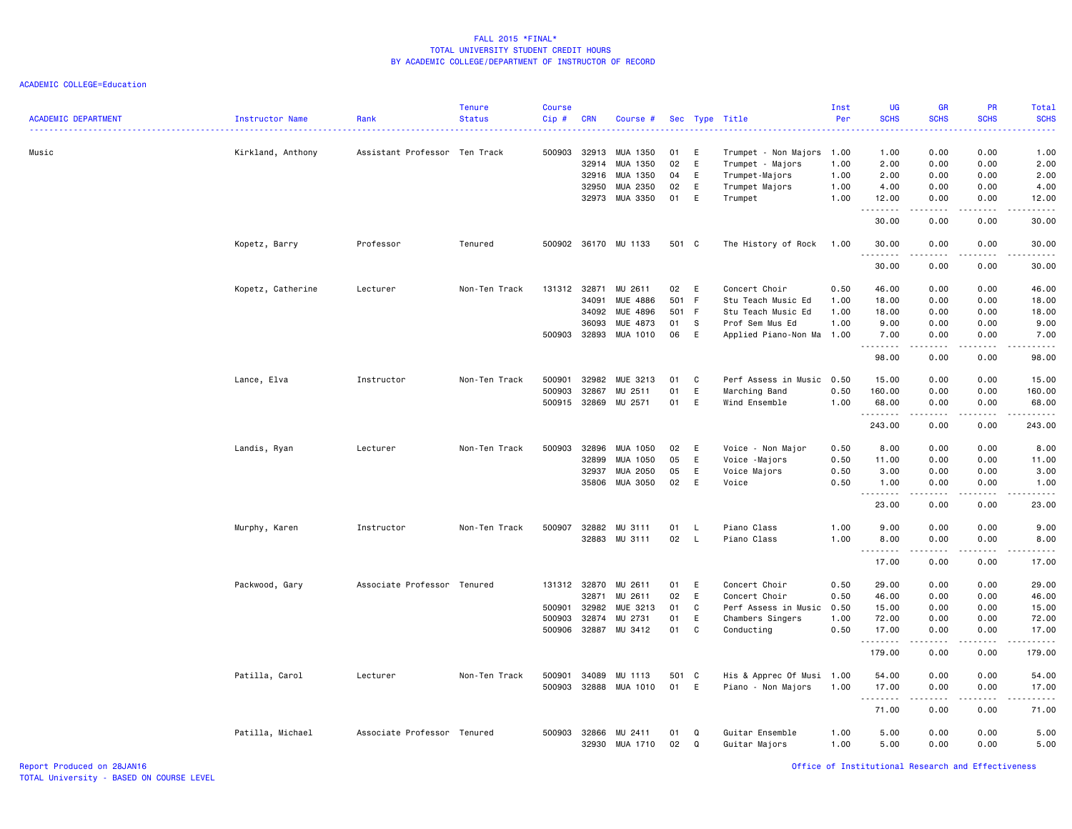| <b>ACADEMIC DEPARTMENT</b> | Instructor Name   | Rank                          | <b>Tenure</b><br><b>Status</b> | <b>Course</b><br>Cip# | <b>CRN</b> | Course #        |          |              | Sec Type Title                                | Inst<br>Per | UG<br><b>SCHS</b>                                                                                                                 | <b>GR</b><br><b>SCHS</b>                                                                                                          | <b>PR</b><br><b>SCHS</b> | Total<br><b>SCHS</b>                                                                                                              |
|----------------------------|-------------------|-------------------------------|--------------------------------|-----------------------|------------|-----------------|----------|--------------|-----------------------------------------------|-------------|-----------------------------------------------------------------------------------------------------------------------------------|-----------------------------------------------------------------------------------------------------------------------------------|--------------------------|-----------------------------------------------------------------------------------------------------------------------------------|
| Music                      |                   | Assistant Professor Ten Track |                                | 500903                | 32913      | MUA 1350        |          | E            |                                               |             | $\frac{1}{2} \left( \frac{1}{2} \right) \left( \frac{1}{2} \right) \left( \frac{1}{2} \right) \left( \frac{1}{2} \right)$<br>1.00 | 0.00                                                                                                                              | 0.00                     | $\frac{1}{2} \left( \frac{1}{2} \right) \left( \frac{1}{2} \right) \left( \frac{1}{2} \right) \left( \frac{1}{2} \right)$<br>1.00 |
|                            | Kirkland, Anthony |                               |                                |                       | 32914      | MUA 1350        | 01<br>02 | E            | Trumpet - Non Majors 1.00<br>Trumpet - Majors | 1.00        | 2.00                                                                                                                              | 0.00                                                                                                                              | 0.00                     | 2.00                                                                                                                              |
|                            |                   |                               |                                |                       | 32916      | MUA 1350        | 04       | E            | Trumpet-Majors                                | 1.00        | 2.00                                                                                                                              | 0.00                                                                                                                              | 0.00                     | 2.00                                                                                                                              |
|                            |                   |                               |                                |                       | 32950      | MUA 2350        | 02       | E            | Trumpet Majors                                | 1.00        | 4.00                                                                                                                              | 0.00                                                                                                                              | 0.00                     | 4.00                                                                                                                              |
|                            |                   |                               |                                |                       |            | 32973 MUA 3350  | 01       | E            | Trumpet                                       | 1.00        | 12.00                                                                                                                             | 0.00                                                                                                                              | 0.00                     | 12.00                                                                                                                             |
|                            |                   |                               |                                |                       |            |                 |          |              |                                               |             | .<br>30.00                                                                                                                        | .<br>0.00                                                                                                                         | .<br>0.00                | .<br>30.00                                                                                                                        |
|                            | Kopetz, Barry     | Professor                     | Tenured                        | 500902                |            | 36170 MU 1133   | 501 C    |              | The History of Rock                           | 1.00        | 30.00<br>.                                                                                                                        | 0.00<br>-----                                                                                                                     | 0.00<br>.                | 30.00<br>.                                                                                                                        |
|                            |                   |                               |                                |                       |            |                 |          |              |                                               |             | 30.00                                                                                                                             | 0.00                                                                                                                              | 0.00                     | 30.00                                                                                                                             |
|                            | Kopetz, Catherine | Lecturer                      | Non-Ten Track                  | 131312                | 32871      | MU 2611         | 02       | E            | Concert Choir                                 | 0.50        | 46.00                                                                                                                             | 0.00                                                                                                                              | 0.00                     | 46.00                                                                                                                             |
|                            |                   |                               |                                |                       | 34091      | <b>MUE 4886</b> | 501      | F            | Stu Teach Music Ed                            | 1.00        | 18.00                                                                                                                             | 0.00                                                                                                                              | 0.00                     | 18.00                                                                                                                             |
|                            |                   |                               |                                |                       | 34092      | MUE 4896        | 501 F    |              | Stu Teach Music Ed                            | 1.00        | 18.00                                                                                                                             | 0.00                                                                                                                              | 0.00                     | 18.00                                                                                                                             |
|                            |                   |                               |                                |                       | 36093      | MUE 4873        | 01       | - S          | Prof Sem Mus Ed                               | 1.00        | 9.00                                                                                                                              | 0.00                                                                                                                              | 0.00                     | 9.00                                                                                                                              |
|                            |                   |                               |                                | 500903                | 32893      | MUA 1010        | 06       | E            | Applied Piano-Non Ma                          | 1.00        | 7.00<br>.                                                                                                                         | 0.00<br>.                                                                                                                         | 0.00<br>.                | 7.00<br>.                                                                                                                         |
|                            |                   |                               |                                |                       |            |                 |          |              |                                               |             | 98.00                                                                                                                             | 0.00                                                                                                                              | 0.00                     | 98.00                                                                                                                             |
|                            | Lance, Elva       | Instructor                    | Non-Ten Track                  | 500901                | 32982      | MUE 3213        | 01       | C            | Perf Assess in Music                          | 0.50        | 15.00                                                                                                                             | 0.00                                                                                                                              | 0.00                     | 15.00                                                                                                                             |
|                            |                   |                               |                                | 500903                | 32867      | MU 2511         | 01       | E            | Marching Band                                 | 0.50        | 160.00                                                                                                                            | 0.00                                                                                                                              | 0.00                     | 160.00                                                                                                                            |
|                            |                   |                               |                                | 500915                | 32869      | MU 2571         | 01       | E            | Wind Ensemble                                 | 1.00        | 68.00                                                                                                                             | 0.00                                                                                                                              | 0.00                     | 68.00                                                                                                                             |
|                            |                   |                               |                                |                       |            |                 |          |              |                                               |             | <b></b>                                                                                                                           | . <b>.</b>                                                                                                                        | .                        | <u>.</u>                                                                                                                          |
|                            |                   |                               |                                |                       |            |                 |          |              |                                               |             | 243.00                                                                                                                            | 0.00                                                                                                                              | 0.00                     | 243.00                                                                                                                            |
|                            | Landis, Ryan      | Lecturer                      | Non-Ten Track                  | 500903                | 32896      | MUA 1050        | 02       | E            | Voice - Non Major                             | 0.50        | 8.00                                                                                                                              | 0.00                                                                                                                              | 0.00                     | 8.00                                                                                                                              |
|                            |                   |                               |                                |                       | 32899      | MUA 1050        | 05       | E            | Voice -Majors                                 | 0.50        | 11.00                                                                                                                             | 0.00                                                                                                                              | 0.00                     | 11.00                                                                                                                             |
|                            |                   |                               |                                |                       | 32937      | MUA 2050        | 05       | E            | Voice Majors                                  | 0.50        | 3.00                                                                                                                              | 0.00                                                                                                                              | 0.00                     | 3.00                                                                                                                              |
|                            |                   |                               |                                |                       | 35806      | MUA 3050        | 02       | E            | Voice                                         | 0.50        | 1.00<br>.                                                                                                                         | 0.00<br>$\frac{1}{2} \left( \frac{1}{2} \right) \left( \frac{1}{2} \right) \left( \frac{1}{2} \right) \left( \frac{1}{2} \right)$ | 0.00<br>.                | 1.00<br>.                                                                                                                         |
|                            |                   |                               |                                |                       |            |                 |          |              |                                               |             | 23.00                                                                                                                             | 0.00                                                                                                                              | 0.00                     | 23.00                                                                                                                             |
|                            | Murphy, Karen     | Instructor                    | Non-Ten Track                  | 500907                | 32882      | MU 3111         | 01       | L.           | Piano Class                                   | 1.00        | 9.00                                                                                                                              | 0.00                                                                                                                              | 0.00                     | 9.00                                                                                                                              |
|                            |                   |                               |                                |                       |            | 32883 MU 3111   | 02       | $\mathsf{L}$ | Piano Class                                   | 1.00        | 8.00                                                                                                                              | 0.00                                                                                                                              | 0.00                     | 8.00                                                                                                                              |
|                            |                   |                               |                                |                       |            |                 |          |              |                                               |             | <u>.</u>                                                                                                                          | $\frac{1}{2}$                                                                                                                     | $  -$                    | $\frac{1}{2}$                                                                                                                     |
|                            |                   |                               |                                |                       |            |                 |          |              |                                               |             | 17.00                                                                                                                             | 0.00                                                                                                                              | 0.00                     | 17.00                                                                                                                             |
|                            | Packwood, Gary    | Associate Professor Tenured   |                                | 131312 32870          |            | MU 2611         | 01       | E            | Concert Choir                                 | 0.50        | 29.00                                                                                                                             | 0.00                                                                                                                              | 0.00                     | 29.00                                                                                                                             |
|                            |                   |                               |                                |                       | 32871      | MU 2611         | 02       | E            | Concert Choir                                 | 0.50        | 46.00                                                                                                                             | 0.00                                                                                                                              | 0.00                     | 46.00                                                                                                                             |
|                            |                   |                               |                                | 500901                | 32982      | MUE 3213        | 01       | C            | Perf Assess in Music                          | 0.50        | 15.00                                                                                                                             | 0.00                                                                                                                              | 0.00                     | 15.00                                                                                                                             |
|                            |                   |                               |                                | 500903                | 32874      | MU 2731         | 01       | E            | Chambers Singers                              | 1.00        | 72.00                                                                                                                             | 0.00                                                                                                                              | 0.00                     | 72.00                                                                                                                             |
|                            |                   |                               |                                | 500906                | 32887      | MU 3412         | 01       | C            | Conducting                                    | 0.50        | 17.00<br>.                                                                                                                        | 0.00<br>بالمحام                                                                                                                   | 0.00<br>.                | 17.00<br>.                                                                                                                        |
|                            |                   |                               |                                |                       |            |                 |          |              |                                               |             | 179.00                                                                                                                            | 0.00                                                                                                                              | 0.00                     | 179.00                                                                                                                            |
|                            | Patilla, Carol    | Lecturer                      | Non-Ten Track                  | 500901                | 34089      | MU 1113         | 501 C    |              | His & Apprec Of Musi 1.00                     |             | 54.00                                                                                                                             | 0.00                                                                                                                              | 0.00                     | 54.00                                                                                                                             |
|                            |                   |                               |                                | 500903                | 32888      | MUA 1010        | 01       | E            | Piano - Non Majors                            | 1.00        | 17.00                                                                                                                             | 0.00                                                                                                                              | 0.00                     | 17.00                                                                                                                             |
|                            |                   |                               |                                |                       |            |                 |          |              |                                               |             | .                                                                                                                                 |                                                                                                                                   | .                        | .                                                                                                                                 |
|                            |                   |                               |                                |                       |            |                 |          |              |                                               |             | 71.00                                                                                                                             | 0.00                                                                                                                              | 0.00                     | 71.00                                                                                                                             |
|                            | Patilla, Michael  | Associate Professor Tenured   |                                | 500903                | 32866      | MU 2411         | 01       | Q            | Guitar Ensemble                               | 1.00        | 5.00                                                                                                                              | 0.00                                                                                                                              | 0.00                     | 5.00                                                                                                                              |
|                            |                   |                               |                                |                       |            | 32930 MUA 1710  | 02       | $\mathbf Q$  | Guitar Majors                                 | 1.00        | 5.00                                                                                                                              | 0.00                                                                                                                              | 0.00                     | 5.00                                                                                                                              |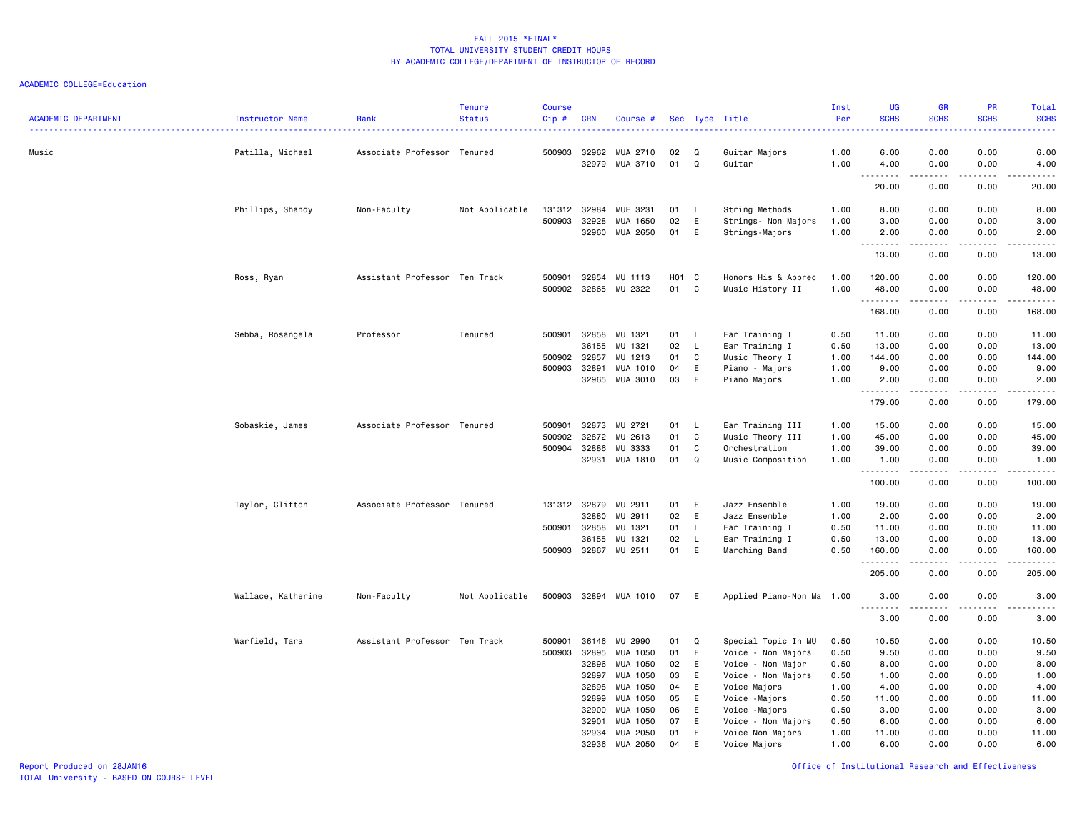ACADEMIC COLLEGE=Education

| <b>ACADEMIC DEPARTMENT</b> | Instructor Name    | Rank                          | <b>Tenure</b><br><b>Status</b> | <b>Course</b><br>Cip# | <b>CRN</b>     | Course #             |          |        | Sec Type Title                 | Inst<br>Per  | UG<br><b>SCHS</b>  | GR<br><b>SCHS</b>                                                                                                                 | <b>PR</b><br><b>SCHS</b> | Total<br><b>SCHS</b>                                                                                                                                          |
|----------------------------|--------------------|-------------------------------|--------------------------------|-----------------------|----------------|----------------------|----------|--------|--------------------------------|--------------|--------------------|-----------------------------------------------------------------------------------------------------------------------------------|--------------------------|---------------------------------------------------------------------------------------------------------------------------------------------------------------|
| Music                      | Patilla, Michael   | Associate Professor Tenured   |                                | 500903                | 32962<br>32979 | MUA 2710<br>MUA 3710 | 02<br>01 | Q<br>Q | Guitar Majors<br>Guitar        | 1.00<br>1.00 | 6.00<br>4.00       | 0.00<br>0.00                                                                                                                      | 0.00<br>0.00             | 6.00<br>4.00                                                                                                                                                  |
|                            |                    |                               |                                |                       |                |                      |          |        |                                |              | $- - - -$<br>20.00 | $\frac{1}{2} \left( \frac{1}{2} \right) \left( \frac{1}{2} \right) \left( \frac{1}{2} \right) \left( \frac{1}{2} \right)$<br>0.00 | .<br>0.00                | $- - - - -$<br>20.00                                                                                                                                          |
|                            | Phillips, Shandy   | Non-Faculty                   | Not Applicable                 | 131312                | 32984          | MUE 3231             | 01       | L.     | String Methods                 | 1.00         | 8.00               | 0.00                                                                                                                              | 0.00                     | 8.00                                                                                                                                                          |
|                            |                    |                               |                                | 500903                | 32928          | MUA 1650             | 02       | Ε      | Strings- Non Majors            | 1.00         | 3.00               | 0.00                                                                                                                              | 0.00                     | 3.00                                                                                                                                                          |
|                            |                    |                               |                                |                       | 32960          | MUA 2650             | 01       | E      | Strings-Majors                 | 1.00         | 2.00               | 0.00                                                                                                                              | 0.00                     | 2.00                                                                                                                                                          |
|                            |                    |                               |                                |                       |                |                      |          |        |                                |              | --------<br>13.00  | .<br>0.00                                                                                                                         | .<br>0.00                | $\frac{1}{2} \left( \frac{1}{2} \right) \left( \frac{1}{2} \right) \left( \frac{1}{2} \right) \left( \frac{1}{2} \right) \left( \frac{1}{2} \right)$<br>13.00 |
|                            | Ross, Ryan         | Assistant Professor Ten Track |                                | 500901                | 32854          | MU 1113              | H01      | C      | Honors His & Apprec            | 1.00         | 120.00             | 0.00                                                                                                                              | 0.00                     | 120.00                                                                                                                                                        |
|                            |                    |                               |                                | 500902                | 32865          | MU 2322              | 01       | C      | Music History II               | 1.00         | 48.00              | 0.00                                                                                                                              | 0.00                     | 48.00                                                                                                                                                         |
|                            |                    |                               |                                |                       |                |                      |          |        |                                |              | .<br>168.00        | 0.00                                                                                                                              | 0.00                     | .<br>168.00                                                                                                                                                   |
|                            | Sebba, Rosangela   | Professor                     | Tenured                        | 500901                | 32858          | MU 1321              | 01       | L      | Ear Training I                 | 0.50         | 11.00              | 0.00                                                                                                                              | 0.00                     | 11.00                                                                                                                                                         |
|                            |                    |                               |                                |                       | 36155          | MU 1321              | 02       | L.     | Ear Training I                 | 0.50         | 13.00              | 0.00                                                                                                                              | 0.00                     | 13.00                                                                                                                                                         |
|                            |                    |                               |                                | 500902                | 32857          | MU 1213              | 01       | C      | Music Theory I                 | 1.00         | 144.00             | 0.00                                                                                                                              | 0.00                     | 144.00                                                                                                                                                        |
|                            |                    |                               |                                | 500903                | 32891          | MUA 1010             | 04       | E      | Piano - Majors                 | 1.00         | 9.00               | 0.00                                                                                                                              | 0.00                     | 9.00                                                                                                                                                          |
|                            |                    |                               |                                |                       | 32965          | MUA 3010             | 03       | E      | Piano Majors                   | 1.00         | 2.00               | 0.00                                                                                                                              | 0.00                     | 2.00                                                                                                                                                          |
|                            |                    |                               |                                |                       |                |                      |          |        |                                |              | .<br>179.00        | 0.00                                                                                                                              | $- - -$<br>0.00          | 179.00                                                                                                                                                        |
|                            | Sobaskie, James    | Associate Professor Tenured   |                                | 500901                | 32873          | MU 2721              | 01       | L.     | Ear Training III               | 1.00         | 15.00              | 0.00                                                                                                                              | 0.00                     | 15.00                                                                                                                                                         |
|                            |                    |                               |                                | 500902                | 32872          | MU 2613              | 01       | C      | Music Theory III               | 1.00         | 45.00              | 0.00                                                                                                                              | 0.00                     | 45.00                                                                                                                                                         |
|                            |                    |                               |                                | 500904                | 32886          | MU 3333              | 01       | C      | Orchestration                  | 1.00         | 39.00              | 0.00                                                                                                                              | 0.00                     | 39.00                                                                                                                                                         |
|                            |                    |                               |                                |                       | 32931          | MUA 1810             | 01       | Q      | Music Composition              | 1.00         | 1.00               | 0.00                                                                                                                              | 0.00                     | 1.00                                                                                                                                                          |
|                            |                    |                               |                                |                       |                |                      |          |        |                                |              | --------<br>100.00 | .<br>0.00                                                                                                                         | .<br>0.00                | .<br>100.00                                                                                                                                                   |
|                            | Taylor, Clifton    | Associate Professor Tenured   |                                | 131312                | 32879          | MU 2911              | 01       | E      | Jazz Ensemble                  | 1.00         | 19.00              | 0.00                                                                                                                              | 0.00                     | 19.00                                                                                                                                                         |
|                            |                    |                               |                                |                       | 32880          | MU 2911              | 02       | E      | Jazz Ensemble                  | 1.00         | 2.00               | 0.00                                                                                                                              | 0.00                     | 2.00                                                                                                                                                          |
|                            |                    |                               |                                | 500901                | 32858          | MU 1321              | 01       | L.     | Ear Training I                 | 0.50         | 11.00              | 0.00                                                                                                                              | 0.00                     | 11.00                                                                                                                                                         |
|                            |                    |                               |                                |                       | 36155          | MU 1321              | 02       | L.     | Ear Training I                 | 0.50         | 13.00              | 0.00                                                                                                                              | 0.00                     | 13.00                                                                                                                                                         |
|                            |                    |                               |                                | 500903                | 32867          | MU 2511              | 01       | E      | Marching Band                  | 0.50         | 160.00<br>.        | 0.00                                                                                                                              | 0.00                     | 160.00                                                                                                                                                        |
|                            |                    |                               |                                |                       |                |                      |          |        |                                |              | 205.00             | 0.00                                                                                                                              | 0.00                     | 205.00                                                                                                                                                        |
|                            | Wallace, Katherine | Non-Faculty                   | Not Applicable                 | 500903                |                | 32894 MUA 1010       | 07       | E      | Applied Piano-Non Ma 1.00      |              | 3.00<br>.          | 0.00<br>-----                                                                                                                     | 0.00                     | 3.00<br>$\frac{1}{2} \left( \frac{1}{2} \right) \left( \frac{1}{2} \right) \left( \frac{1}{2} \right) \left( \frac{1}{2} \right) \left( \frac{1}{2} \right)$  |
|                            |                    |                               |                                |                       |                |                      |          |        |                                |              | 3.00               | 0.00                                                                                                                              | 0.00                     | 3.00                                                                                                                                                          |
|                            | Warfield, Tara     | Assistant Professor Ten Track |                                | 500901                | 36146          | MU 2990              | 01       | Q      | Special Topic In MU            | 0.50         | 10.50              | 0.00                                                                                                                              | 0.00                     | 10.50                                                                                                                                                         |
|                            |                    |                               |                                | 500903                | 32895          | MUA 1050             | 01       | E      | Voice - Non Majors             | 0.50         | 9.50               | 0.00                                                                                                                              | 0.00                     | 9.50                                                                                                                                                          |
|                            |                    |                               |                                |                       | 32896          | MUA 1050             | 02       | E      | Voice - Non Major              | 0.50         | 8.00               | 0.00                                                                                                                              | 0.00                     | 8.00                                                                                                                                                          |
|                            |                    |                               |                                |                       | 32897          | MUA 1050             | 03       | E      | Voice - Non Majors             | 0.50         | 1.00               | 0.00                                                                                                                              | 0.00                     | 1.00                                                                                                                                                          |
|                            |                    |                               |                                |                       | 32898          | MUA 1050             | 04       | E      | Voice Majors                   | 1.00         | 4.00               | 0.00                                                                                                                              | 0.00                     | 4.00                                                                                                                                                          |
|                            |                    |                               |                                |                       | 32899<br>32900 | MUA 1050<br>MUA 1050 | 05<br>06 | E<br>E | Voice -Majors<br>Voice -Majors | 0.50<br>0.50 | 11.00<br>3.00      | 0.00<br>0.00                                                                                                                      | 0.00<br>0.00             | 11.00<br>3.00                                                                                                                                                 |
|                            |                    |                               |                                |                       | 32901          | MUA 1050             | 07       | E      | Voice - Non Majors             | 0.50         | 6.00               | 0.00                                                                                                                              | 0.00                     | 6.00                                                                                                                                                          |
|                            |                    |                               |                                |                       | 32934          | MUA 2050             | 01       | E      | Voice Non Majors               | 1.00         | 11.00              | 0.00                                                                                                                              | 0.00                     | 11.00                                                                                                                                                         |
|                            |                    |                               |                                |                       | 32936          | MUA 2050             | 04       | E      | Voice Majors                   | 1.00         | 6.00               | 0.00                                                                                                                              | 0.00                     | 6.00                                                                                                                                                          |

Report Produced on 28JAN16 Office of Institutional Research and Effectiveness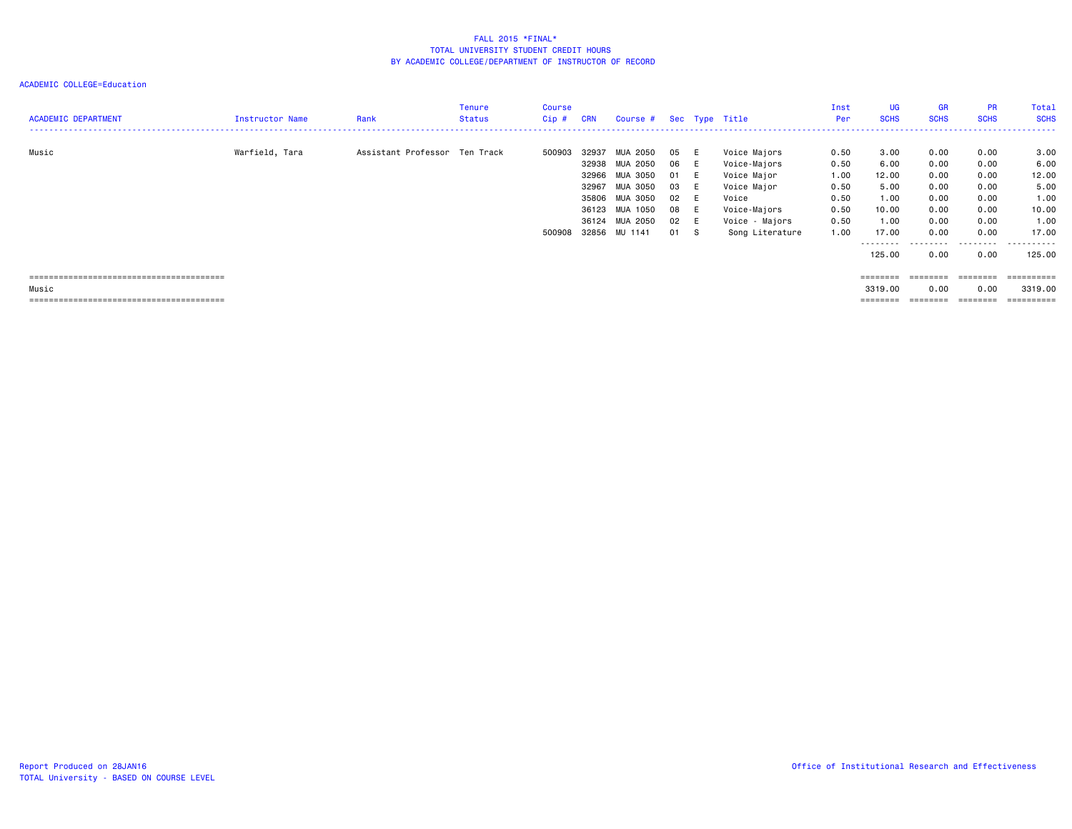#### ACADEMIC COLLEGE=Education

| <b>ACADEMIC DEPARTMENT</b> | Instructor Name | Rank                          | Tenure<br><b>Status</b> | <b>Course</b><br>$Cip$ # | <b>CRN</b>                                         | Course # Sec Type Title                                                                                 |                                                  |                                      |                                                                                                                          | Inst<br>Per                                                  | <b>UG</b><br><b>SCHS</b>                                        | <b>GR</b><br><b>SCHS</b>                                     | <b>PR</b><br><b>SCHS</b>                                     | Total<br><b>SCHS</b>                                            |
|----------------------------|-----------------|-------------------------------|-------------------------|--------------------------|----------------------------------------------------|---------------------------------------------------------------------------------------------------------|--------------------------------------------------|--------------------------------------|--------------------------------------------------------------------------------------------------------------------------|--------------------------------------------------------------|-----------------------------------------------------------------|--------------------------------------------------------------|--------------------------------------------------------------|-----------------------------------------------------------------|
| Music                      | Warfield, Tara  | Assistant Professor Ten Track |                         | 500903<br>500908         | 32937<br>32938<br>32966<br>32967<br>35806<br>36123 | MUA 2050<br>MUA 2050<br>MUA 3050<br>MUA 3050<br>MUA 3050<br>MUA 1050<br>36124 MUA 2050<br>32856 MU 1141 | 05<br>06<br>01<br>03<br>02 E<br>08<br>02 E<br>01 | - E<br>- E<br>E<br>- E<br>- E<br>- S | Voice Majors<br>Voice-Majors<br>Voice Major<br>Voice Major<br>Voice<br>Voice-Majors<br>Voice - Majors<br>Song Literature | 0.50<br>0.50<br>1.00<br>0.50<br>0.50<br>0.50<br>0.50<br>1.00 | 3.00<br>6.00<br>12.00<br>5.00<br>1.00<br>10.00<br>1.00<br>17.00 | 0.00<br>0.00<br>0.00<br>0.00<br>0.00<br>0.00<br>0.00<br>0.00 | 0.00<br>0.00<br>0.00<br>0.00<br>0.00<br>0.00<br>0.00<br>0.00 | 3.00<br>6.00<br>12.00<br>5.00<br>1.00<br>10.00<br>1.00<br>17.00 |
| Music                      |                 |                               |                         |                          |                                                    |                                                                                                         |                                                  |                                      |                                                                                                                          |                                                              | ---------<br>125.00<br>========<br>3319,00<br>========          | 0.00<br>---------<br>0.00                                    | ---------<br>0.00<br>========<br>0.00<br>========            | .<br>125.00<br>==========<br>3319.00<br>==========              |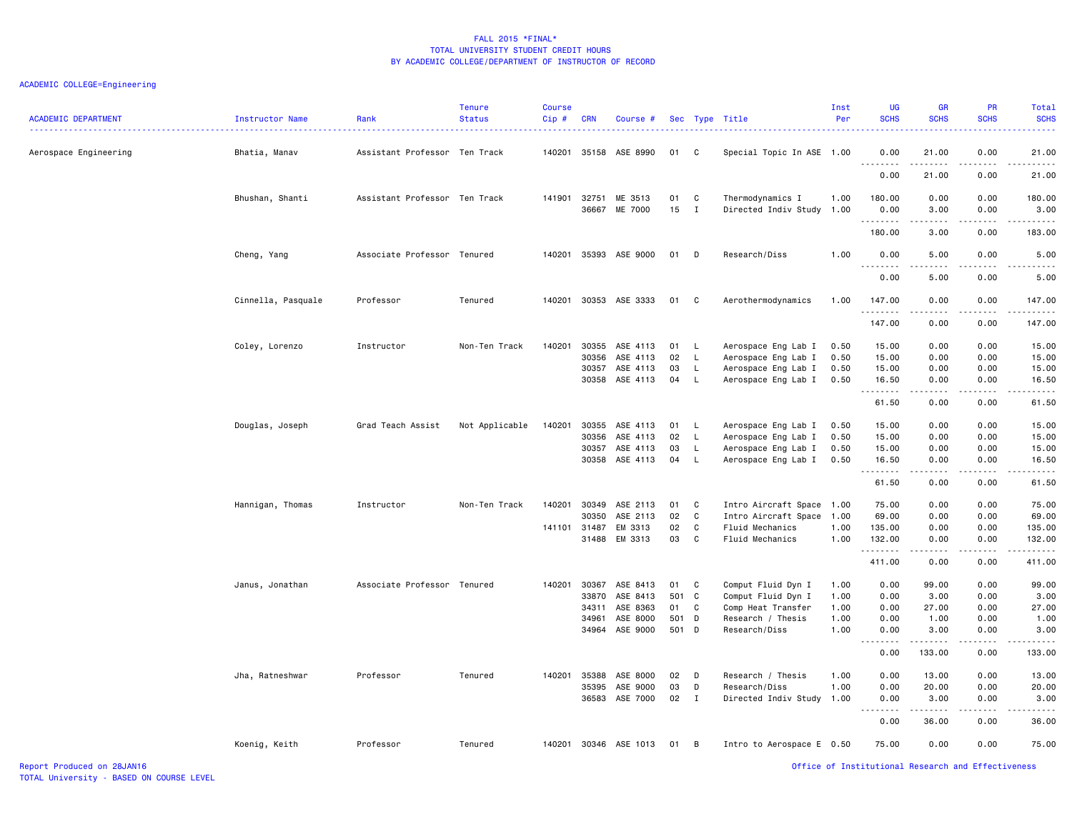# ACADEMIC COLLEGE=Engineering

| <b>ACADEMIC DEPARTMENT</b> | <b>Instructor Name</b> | Rank                          | <b>Tenure</b><br><b>Status</b> | Course<br>$Cip$ # | <b>CRN</b> | Course #       |       |              | Sec Type Title            | Inst<br>Per | UG<br><b>SCHS</b>               | <b>GR</b><br><b>SCHS</b> | PR<br><b>SCHS</b>                   | <b>Total</b><br><b>SCHS</b><br>$\frac{1}{2} \left( \frac{1}{2} \right) \left( \frac{1}{2} \right) \left( \frac{1}{2} \right) \left( \frac{1}{2} \right)$ |
|----------------------------|------------------------|-------------------------------|--------------------------------|-------------------|------------|----------------|-------|--------------|---------------------------|-------------|---------------------------------|--------------------------|-------------------------------------|----------------------------------------------------------------------------------------------------------------------------------------------------------|
| Aerospace Engineering      | Bhatia, Manav          | Assistant Professor Ten Track |                                | 140201            |            | 35158 ASE 8990 | 01    | C            | Special Topic In ASE 1.00 |             | 0.00<br><u> - - - - - - - -</u> | 21.00<br>.               | 0.00<br>.                           | 21.00<br>.                                                                                                                                               |
|                            |                        |                               |                                |                   |            |                |       |              |                           |             | 0.00                            | 21.00                    | 0.00                                | 21.00                                                                                                                                                    |
|                            | Bhushan, Shanti        | Assistant Professor Ten Track |                                | 141901            | 32751      | ME 3513        | 01    | C            | Thermodynamics I          | 1.00        | 180.00                          | 0.00                     | 0.00                                | 180.00                                                                                                                                                   |
|                            |                        |                               |                                |                   | 36667      | ME 7000        | 15    | $\mathbf{I}$ | Directed Indiv Study 1.00 |             | 0.00                            | 3.00                     | 0.00                                | 3.00                                                                                                                                                     |
|                            |                        |                               |                                |                   |            |                |       |              |                           |             | .<br>180.00                     | .<br>3.00                | .<br>0.00                           | .<br>183.00                                                                                                                                              |
|                            | Cheng, Yang            | Associate Professor Tenured   |                                | 140201            | 35393      | ASE 9000       | 01    | D            | Research/Diss             | 1.00        | 0.00                            | 5.00                     | 0.00                                | 5.00                                                                                                                                                     |
|                            |                        |                               |                                |                   |            |                |       |              |                           |             | 0.00                            | .<br>5.00                | .<br>0.00                           | د د د د د<br>5.00                                                                                                                                        |
|                            | Cinnella, Pasquale     | Professor                     | Tenured                        | 140201            | 30353      | ASE 3333       | 01    | C            | Aerothermodynamics        | 1.00        | 147.00<br>.                     | 0.00<br>.                | 0.00<br>.                           | 147.00<br>$- - - - - - -$                                                                                                                                |
|                            |                        |                               |                                |                   |            |                |       |              |                           |             | 147.00                          | 0.00                     | 0.00                                | 147.00                                                                                                                                                   |
|                            | Coley, Lorenzo         | Instructor                    | Non-Ten Track                  | 140201            | 30355      | ASE 4113       | 01    | <b>L</b>     | Aerospace Eng Lab I       | 0.50        | 15.00                           | 0.00                     | 0.00                                | 15.00                                                                                                                                                    |
|                            |                        |                               |                                |                   | 30356      | ASE 4113       | 02    | $\mathsf{L}$ | Aerospace Eng Lab I       | 0.50        | 15.00                           | 0.00                     | 0.00                                | 15.00                                                                                                                                                    |
|                            |                        |                               |                                |                   | 30357      | ASE 4113       | 03    | L            | Aerospace Eng Lab I       | 0.50        | 15.00                           | 0.00                     | 0.00                                | 15.00                                                                                                                                                    |
|                            |                        |                               |                                |                   | 30358      | ASE 4113       | 04    | - L          | Aerospace Eng Lab I       | 0.50        | 16.50                           | 0.00<br>$\frac{1}{2}$    | 0.00<br>$\omega$ is a $\omega$      | 16.50<br>.                                                                                                                                               |
|                            |                        |                               |                                |                   |            |                |       |              |                           |             | 61.50                           | 0.00                     | 0.00                                | 61.50                                                                                                                                                    |
|                            | Douglas, Joseph        | Grad Teach Assist             | Not Applicable                 | 140201            | 30355      | ASE 4113       | 01    | <b>L</b>     | Aerospace Eng Lab I       | 0.50        | 15.00                           | 0.00                     | 0.00                                | 15.00                                                                                                                                                    |
|                            |                        |                               |                                |                   | 30356      | ASE 4113       | 02    | L.           | Aerospace Eng Lab I       | 0.50        | 15.00                           | 0.00                     | 0.00                                | 15.00                                                                                                                                                    |
|                            |                        |                               |                                |                   | 30357      | ASE 4113       | 03    | $\mathsf L$  | Aerospace Eng Lab I       | 0.50        | 15.00                           | 0.00                     | 0.00                                | 15.00                                                                                                                                                    |
|                            |                        |                               |                                |                   | 30358      | ASE 4113       | 04    | L.           | Aerospace Eng Lab I       | 0.50        | 16.50<br><u>.</u>               | 0.00<br>$- - -$          | 0.00<br>$\frac{1}{2}$               | 16.50<br>$\frac{1}{2}$                                                                                                                                   |
|                            |                        |                               |                                |                   |            |                |       |              |                           |             | 61.50                           | 0.00                     | 0.00                                | 61.50                                                                                                                                                    |
|                            | Hannigan, Thomas       | Instructor                    | Non-Ten Track                  | 140201            | 30349      | ASE 2113       | 01    | C            | Intro Aircraft Space 1.00 |             | 75.00                           | 0.00                     | 0.00                                | 75.00                                                                                                                                                    |
|                            |                        |                               |                                |                   | 30350      | ASE 2113       | 02    | C            | Intro Aircraft Space 1.00 |             | 69.00                           | 0.00                     | 0.00                                | 69.00                                                                                                                                                    |
|                            |                        |                               |                                | 141101            | 31487      | EM 3313        | 02    | $\mathsf C$  | Fluid Mechanics           | 1.00        | 135.00                          | 0.00                     | 0.00                                | 135.00                                                                                                                                                   |
|                            |                        |                               |                                |                   | 31488      | EM 3313        | 03    | C            | Fluid Mechanics           | 1.00        | 132.00<br>.                     | 0.00                     | 0.00<br>.                           | 132.00<br>.                                                                                                                                              |
|                            |                        |                               |                                |                   |            |                |       |              |                           |             | 411.00                          | 0.00                     | 0.00                                | 411.00                                                                                                                                                   |
|                            | Janus, Jonathan        | Associate Professor Tenured   |                                | 140201            | 30367      | ASE 8413       | 01    | C            | Comput Fluid Dyn I        | 1.00        | 0.00                            | 99.00                    | 0.00                                | 99.00                                                                                                                                                    |
|                            |                        |                               |                                |                   | 33870      | ASE 8413       | 501 C |              | Comput Fluid Dyn I        | 1.00        | 0.00                            | 3.00                     | 0.00                                | 3.00                                                                                                                                                     |
|                            |                        |                               |                                |                   | 34311      | ASE 8363       | 01    | C            | Comp Heat Transfer        | 1.00        | 0.00                            | 27.00                    | 0.00                                | 27.00                                                                                                                                                    |
|                            |                        |                               |                                |                   | 34961      | ASE 8000       | 501   | D            | Research / Thesis         | 1.00        | 0.00                            | 1.00                     | 0.00                                | 1.00                                                                                                                                                     |
|                            |                        |                               |                                |                   | 34964      | ASE 9000       | 501 D |              | Research/Diss             | 1.00        | 0.00                            | 3.00                     | 0.00<br>$\sim$ $\sim$ $\sim$ $\sim$ | 3.00<br>------                                                                                                                                           |
|                            |                        |                               |                                |                   |            |                |       |              |                           |             | 0.00                            | 133.00                   | 0.00                                | 133.00                                                                                                                                                   |
|                            | Jha, Ratneshwar        | Professor                     | Tenured                        | 140201            | 35388      | ASE 8000       | 02    | D            | Research / Thesis         | 1.00        | 0.00                            | 13.00                    | 0.00                                | 13.00                                                                                                                                                    |
|                            |                        |                               |                                |                   | 35395      | ASE 9000       | 03    | D            | Research/Diss             | 1.00        | 0.00                            | 20.00                    | 0.00                                | 20.00                                                                                                                                                    |
|                            |                        |                               |                                |                   | 36583      | ASE 7000       | 02    | $\mathbf I$  | Directed Indiv Study 1.00 |             | 0.00<br>----                    | 3.00<br>-----            | 0.00<br>$  -$                       | 3.00<br>$\frac{1}{2}$                                                                                                                                    |
|                            |                        |                               |                                |                   |            |                |       |              |                           |             | 0.00                            | 36.00                    | 0.00                                | 36.00                                                                                                                                                    |
|                            | Koenig, Keith          | Professor                     | Tenured                        | 140201            |            | 30346 ASE 1013 | 01    | B            | Intro to Aerospace E 0.50 |             | 75.00                           | 0.00                     | 0.00                                | 75.00                                                                                                                                                    |

Report Produced on 28JAN16 Office of Institutional Research and Effectiveness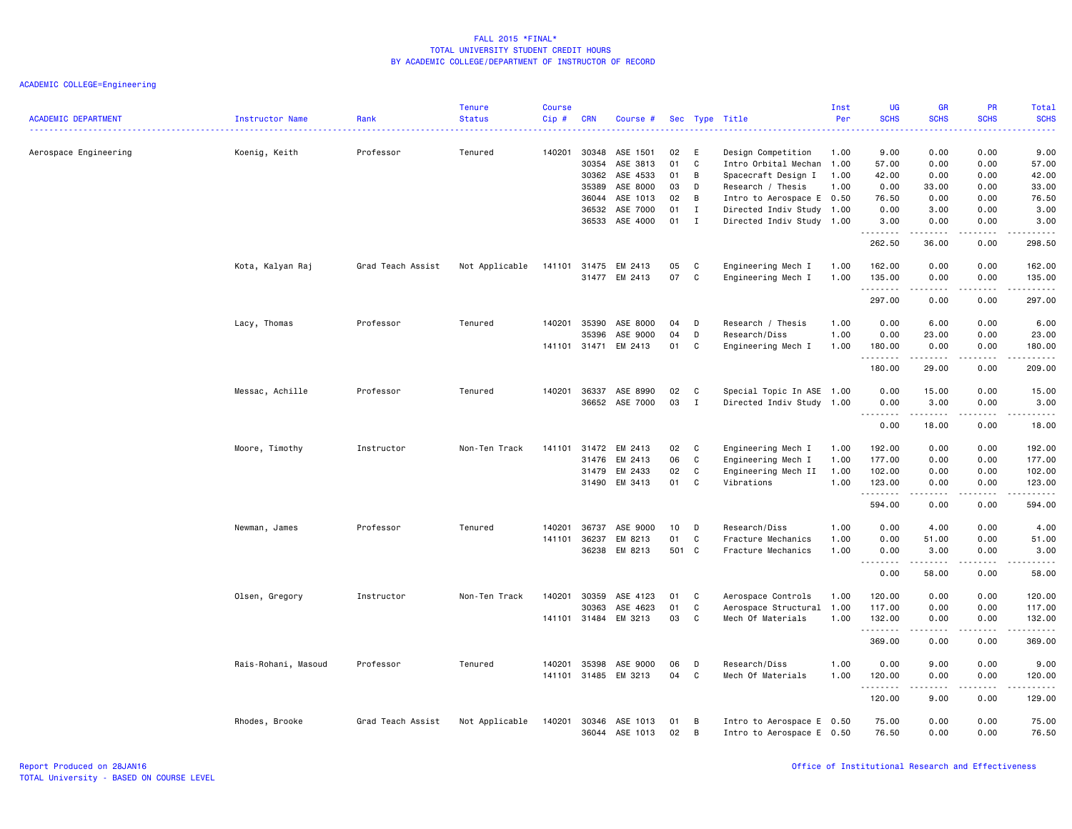| <b>ACADEMIC DEPARTMENT</b> | Instructor Name     | Rank              | <b>Tenure</b><br><b>Status</b> | <b>Course</b><br>$Cip$ # | <b>CRN</b>     | Course #                   |          |                              | Sec Type Title                                         | Inst<br>Per  | UG<br><b>SCHS</b>  | <b>GR</b><br><b>SCHS</b> | PR<br><b>SCHS</b>                                                                                                                 | Total<br><b>SCHS</b>      |
|----------------------------|---------------------|-------------------|--------------------------------|--------------------------|----------------|----------------------------|----------|------------------------------|--------------------------------------------------------|--------------|--------------------|--------------------------|-----------------------------------------------------------------------------------------------------------------------------------|---------------------------|
| Aerospace Engineering      | Koenig, Keith       | Professor         | Tenured                        | 140201                   | 30348<br>30354 | ASE 1501<br>ASE 3813       | 02<br>01 | E<br>C                       | Design Competition<br>Intro Orbital Mechan             | 1.00<br>1.00 | 9.00<br>57.00      | 0.00<br>0.00             | 0.00<br>0.00                                                                                                                      | 9.00<br>57.00             |
|                            |                     |                   |                                |                          | 30362          | ASE 4533                   | 01       | B                            | Spacecraft Design I                                    | 1.00         | 42.00              | 0.00                     | 0.00                                                                                                                              | 42.00                     |
|                            |                     |                   |                                |                          | 35389          | ASE 8000                   | 03       | D                            | Research / Thesis                                      | 1.00         | 0.00               | 33.00                    | 0.00                                                                                                                              | 33.00                     |
|                            |                     |                   |                                |                          | 36044          | ASE 1013                   | 02       | B                            | Intro to Aerospace E 0.50                              |              | 76.50              | 0.00                     | 0.00                                                                                                                              | 76.50                     |
|                            |                     |                   |                                |                          | 36532          | ASE 7000<br>36533 ASE 4000 | 01<br>01 | $\mathbf{I}$<br>$\mathbf{I}$ | Directed Indiv Study 1.00<br>Directed Indiv Study 1.00 |              | 0.00<br>3.00       | 3.00<br>0.00             | 0.00<br>0.00                                                                                                                      | 3.00<br>3.00              |
|                            |                     |                   |                                |                          |                |                            |          |                              |                                                        |              | .<br>262.50        | $- - - - -$<br>36.00     | $\frac{1}{2}$<br>0.00                                                                                                             | .<br>298.50               |
|                            | Kota, Kalyan Raj    | Grad Teach Assist | Not Applicable                 | 141101 31475             |                | EM 2413                    | 05       | C                            | Engineering Mech I                                     | 1.00         | 162.00             | 0.00                     | 0.00                                                                                                                              | 162.00                    |
|                            |                     |                   |                                |                          | 31477          | EM 2413                    | 07       | C                            | Engineering Mech I                                     | 1.00         | 135.00<br><u>.</u> | 0.00                     | 0.00                                                                                                                              | 135.00<br>.               |
|                            |                     |                   |                                |                          |                |                            |          |                              |                                                        |              | 297.00             | 0.00                     | 0.00                                                                                                                              | 297.00                    |
|                            | Lacy, Thomas        | Professor         | Tenured                        | 140201                   | 35390          | ASE 8000                   | 04       | D                            | Research / Thesis                                      | 1.00         | 0.00               | 6.00                     | 0.00                                                                                                                              | 6.00                      |
|                            |                     |                   |                                |                          | 35396          | ASE 9000                   | 04       | D                            | Research/Diss                                          | 1.00         | 0.00               | 23.00                    | 0.00                                                                                                                              | 23.00                     |
|                            |                     |                   |                                | 141101 31471             |                | EM 2413                    | 01       | C                            | Engineering Mech I                                     | 1.00         | 180.00<br>.        | 0.00                     | 0.00<br>$- - - -$                                                                                                                 | 180.00<br>د د د د د       |
|                            |                     |                   |                                |                          |                |                            |          |                              |                                                        |              | 180.00             | 29.00                    | 0.00                                                                                                                              | 209.00                    |
|                            | Messac, Achille     | Professor         | Tenured                        | 140201                   | 36337          | ASE 8990                   | 02       | C                            | Special Topic In ASE 1.00                              |              | 0.00               | 15.00                    | 0.00                                                                                                                              | 15.00                     |
|                            |                     |                   |                                |                          |                | 36652 ASE 7000             | 03       | $\mathbf{I}$                 | Directed Indiv Study 1.00                              |              | 0.00<br>.          | 3.00<br>.                | 0.00<br>.                                                                                                                         | 3.00<br>.                 |
|                            |                     |                   |                                |                          |                |                            |          |                              |                                                        |              | 0.00               | 18.00                    | 0.00                                                                                                                              | 18.00                     |
|                            | Moore, Timothy      | Instructor        | Non-Ten Track                  | 141101                   | 31472          | EM 2413                    | 02       | C                            | Engineering Mech I                                     | 1.00         | 192.00             | 0.00                     | 0.00                                                                                                                              | 192.00                    |
|                            |                     |                   |                                |                          | 31476          | EM 2413                    | 06       | C                            | Engineering Mech I                                     | 1.00         | 177.00             | 0.00                     | 0.00                                                                                                                              | 177.00                    |
|                            |                     |                   |                                |                          | 31479          | EM 2433                    | 02       | C                            | Engineering Mech II                                    | 1.00         | 102.00             | 0.00                     | 0.00                                                                                                                              | 102.00                    |
|                            |                     |                   |                                |                          | 31490          | EM 3413                    | 01       | C                            | Vibrations                                             | 1.00         | 123.00<br>.        | 0.00<br>-----            | 0.00<br>.                                                                                                                         | 123.00<br>2.2.2.2.2.2     |
|                            |                     |                   |                                |                          |                |                            |          |                              |                                                        |              | 594.00             | 0.00                     | 0.00                                                                                                                              | 594.00                    |
|                            | Newman, James       | Professor         | Tenured                        | 140201                   | 36737          | ASE 9000                   | 10       | D                            | Research/Diss                                          | 1.00         | 0.00               | 4.00                     | 0.00                                                                                                                              | 4.00                      |
|                            |                     |                   |                                | 141101                   | 36237          | EM 8213                    | 01       | C                            | Fracture Mechanics                                     | 1.00         | 0.00               | 51.00                    | 0.00                                                                                                                              | 51.00                     |
|                            |                     |                   |                                |                          | 36238          | EM 8213                    | 501 C    |                              | Fracture Mechanics                                     | 1.00         | 0.00               | 3.00<br>.                | 0.00<br>.                                                                                                                         | 3.00<br>د د د د د         |
|                            |                     |                   |                                |                          |                |                            |          |                              |                                                        |              | 0.00               | 58.00                    | 0.00                                                                                                                              | 58.00                     |
|                            | Olsen, Gregory      | Instructor        | Non-Ten Track                  | 140201                   | 30359          | ASE 4123                   | 01       | C                            | Aerospace Controls                                     | 1.00         | 120.00             | 0.00                     | 0.00                                                                                                                              | 120.00                    |
|                            |                     |                   |                                |                          | 30363          | ASE 4623                   | 01       | C                            | Aerospace Structural                                   | 1.00         | 117.00             | 0.00                     | 0.00                                                                                                                              | 117.00                    |
|                            |                     |                   |                                | 141101 31484             |                | EM 3213                    | 03       | C                            | Mech Of Materials                                      | 1.00         | 132.00<br>.        | 0.00<br><u>.</u>         | 0.00<br>.                                                                                                                         | 132.00<br>$- - - - - - -$ |
|                            |                     |                   |                                |                          |                |                            |          |                              |                                                        |              | 369.00             | 0.00                     | 0.00                                                                                                                              | 369.00                    |
|                            | Rais-Rohani, Masoud | Professor         | Tenured                        | 140201                   | 35398          | ASE 9000                   | 06       | D                            | Research/Diss                                          | 1.00         | 0.00               | 9.00                     | 0.00                                                                                                                              | 9.00                      |
|                            |                     |                   |                                | 141101                   |                | 31485 EM 3213              | 04       | C                            | Mech Of Materials                                      | 1.00         | 120.00<br>.        | 0.00<br>.                | 0.00<br>$\frac{1}{2} \left( \frac{1}{2} \right) \left( \frac{1}{2} \right) \left( \frac{1}{2} \right) \left( \frac{1}{2} \right)$ | 120.00<br>2.2.2.2.2.2     |
|                            |                     |                   |                                |                          |                |                            |          |                              |                                                        |              | 120.00             | 9.00                     | 0.00                                                                                                                              | 129.00                    |
|                            | Rhodes, Brooke      | Grad Teach Assist | Not Applicable                 | 140201                   | 30346          | ASE 1013                   | 01       | B                            | Intro to Aerospace E 0.50                              |              | 75.00              | 0.00                     | 0.00                                                                                                                              | 75.00                     |
|                            |                     |                   |                                |                          |                | 36044 ASE 1013             | 02       | B                            | Intro to Aerospace E 0.50                              |              | 76.50              | 0.00                     | 0.00                                                                                                                              | 76.50                     |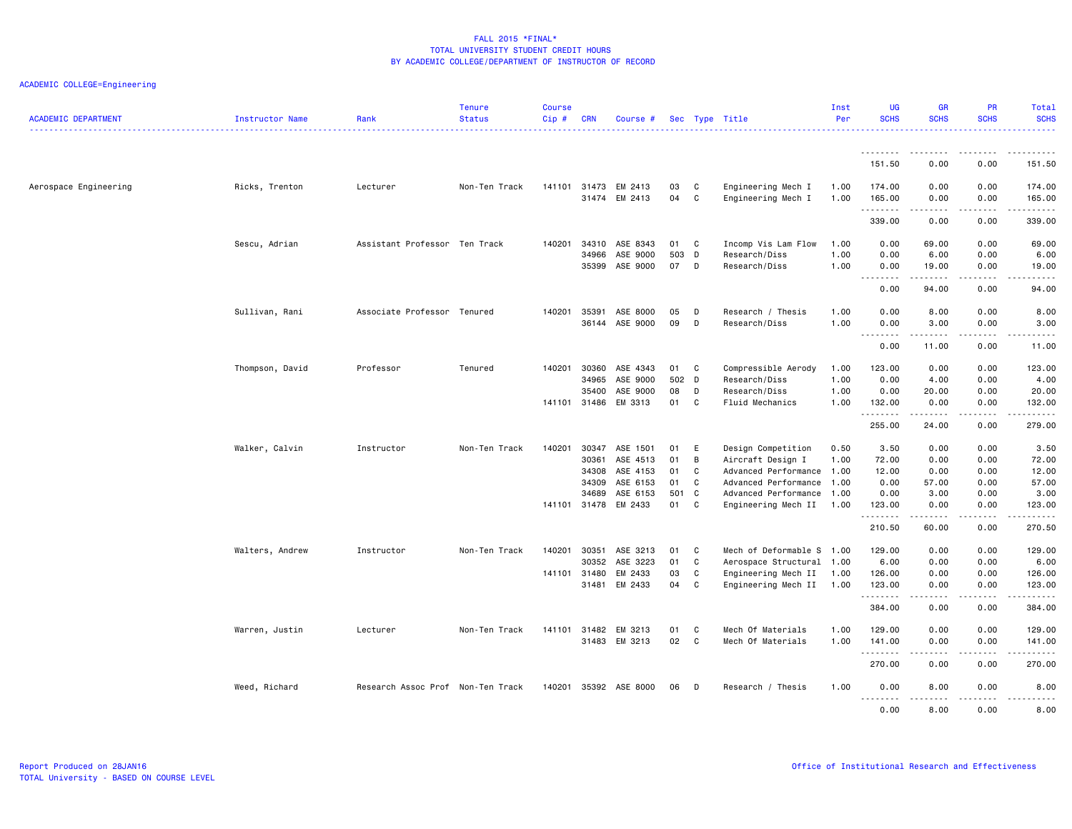| <b>ACADEMIC DEPARTMENT</b> | Instructor Name | Rank                              | <b>Tenure</b><br><b>Status</b> | <b>Course</b><br>$Cip \#$ | <b>CRN</b>     | Course #             |           |        | Sec Type Title                                    | Inst<br>Per | <b>UG</b><br><b>SCHS</b>     | <b>GR</b><br><b>SCHS</b>                                                                                                                                      | <b>PR</b><br><b>SCHS</b> | Total<br><b>SCHS</b><br>.                                                                                                                                                                 |
|----------------------------|-----------------|-----------------------------------|--------------------------------|---------------------------|----------------|----------------------|-----------|--------|---------------------------------------------------|-------------|------------------------------|---------------------------------------------------------------------------------------------------------------------------------------------------------------|--------------------------|-------------------------------------------------------------------------------------------------------------------------------------------------------------------------------------------|
|                            |                 |                                   |                                |                           |                |                      |           |        |                                                   |             | <u>.</u>                     | . <b>.</b> .                                                                                                                                                  | .                        |                                                                                                                                                                                           |
|                            |                 |                                   |                                |                           |                |                      |           |        |                                                   |             | 151.50                       | 0.00                                                                                                                                                          | 0.00                     | 151.50                                                                                                                                                                                    |
| Aerospace Engineering      | Ricks, Trenton  | Lecturer                          | Non-Ten Track                  | 141101                    | 31473          | EM 2413              | 03        | C      | Engineering Mech I                                | 1.00        | 174.00                       | 0.00                                                                                                                                                          | 0.00                     | 174.00                                                                                                                                                                                    |
|                            |                 |                                   |                                |                           | 31474          | EM 2413              | 04        | C      | Engineering Mech I                                | 1.00        | 165.00<br>.                  | 0.00<br>-----                                                                                                                                                 | 0.00<br>.                | 165.00<br><b></b>                                                                                                                                                                         |
|                            |                 |                                   |                                |                           |                |                      |           |        |                                                   |             | 339.00                       | 0.00                                                                                                                                                          | 0.00                     | 339.00                                                                                                                                                                                    |
|                            | Sescu, Adrian   | Assistant Professor Ten Track     |                                | 140201                    | 34310          | ASE 8343             | 01        | C      | Incomp Vis Lam Flow                               | 1.00        | 0.00                         | 69.00                                                                                                                                                         | 0.00                     | 69.00                                                                                                                                                                                     |
|                            |                 |                                   |                                |                           | 34966          | ASE 9000             | 503       | D      | Research/Diss                                     | 1.00        | 0.00                         | 6.00                                                                                                                                                          | 0.00                     | 6.00                                                                                                                                                                                      |
|                            |                 |                                   |                                |                           | 35399          | ASE 9000             | 07        | D      | Research/Diss                                     | 1.00        | 0.00<br>$\sim$ $\sim$ .<br>. | 19.00<br>$\frac{1}{2} \left( \frac{1}{2} \right) \left( \frac{1}{2} \right) \left( \frac{1}{2} \right) \left( \frac{1}{2} \right) \left( \frac{1}{2} \right)$ | 0.00<br>.                | 19.00<br>$\frac{1}{2} \left( \frac{1}{2} \right) \left( \frac{1}{2} \right) \left( \frac{1}{2} \right) \left( \frac{1}{2} \right) \left( \frac{1}{2} \right)$                             |
|                            |                 |                                   |                                |                           |                |                      |           |        |                                                   |             | 0.00                         | 94.00                                                                                                                                                         | 0.00                     | 94.00                                                                                                                                                                                     |
|                            | Sullivan, Rani  | Associate Professor Tenured       |                                | 140201                    | 35391          | ASE 8000             | 05        | D      | Research / Thesis                                 | 1.00        | 0.00                         | 8.00                                                                                                                                                          | 0.00                     | 8.00                                                                                                                                                                                      |
|                            |                 |                                   |                                |                           |                | 36144 ASE 9000       | 09        | D      | Research/Diss                                     | 1.00        | 0.00<br>.                    | 3.00<br>$- - - - -$                                                                                                                                           | 0.00<br>.                | 3.00<br>$\frac{1}{2} \left( \frac{1}{2} \right) \left( \frac{1}{2} \right) \left( \frac{1}{2} \right) \left( \frac{1}{2} \right) \left( \frac{1}{2} \right)$                              |
|                            |                 |                                   |                                |                           |                |                      |           |        |                                                   |             | 0.00                         | 11.00                                                                                                                                                         | 0.00                     | 11.00                                                                                                                                                                                     |
|                            | Thompson, David | Professor                         | Tenured                        | 140201                    | 30360          | ASE 4343             | 01        | C      | Compressible Aerody                               | 1.00        | 123.00                       | 0.00                                                                                                                                                          | 0.00                     | 123.00                                                                                                                                                                                    |
|                            |                 |                                   |                                |                           | 34965          | ASE 9000             | 502       | D      | Research/Diss                                     | 1.00        | 0.00                         | 4.00                                                                                                                                                          | 0.00                     | 4.00                                                                                                                                                                                      |
|                            |                 |                                   |                                |                           | 35400          | ASE 9000             | 08        | D      | Research/Diss                                     | 1.00        | 0.00                         | 20.00                                                                                                                                                         | 0.00                     | 20.00                                                                                                                                                                                     |
|                            |                 |                                   |                                | 141101                    | 31486          | EM 3313              | 01        | C      | Fluid Mechanics                                   | 1.00        | 132.00<br>.                  | 0.00<br>. <b>.</b>                                                                                                                                            | 0.00<br>.                | 132.00<br>.                                                                                                                                                                               |
|                            |                 |                                   |                                |                           |                |                      |           |        |                                                   |             | 255.00                       | 24.00                                                                                                                                                         | 0.00                     | 279.00                                                                                                                                                                                    |
|                            | Walker, Calvin  | Instructor                        | Non-Ten Track                  | 140201                    | 30347          | ASE 1501             | 01        | E      | Design Competition                                | 0.50        | 3.50                         | 0.00                                                                                                                                                          | 0.00                     | 3.50                                                                                                                                                                                      |
|                            |                 |                                   |                                |                           | 30361          | ASE 4513             | 01        | B      | Aircraft Design I                                 | 1.00        | 72.00                        | 0.00                                                                                                                                                          | 0.00                     | 72.00                                                                                                                                                                                     |
|                            |                 |                                   |                                |                           | 34308          | ASE 4153             | 01        | C      | Advanced Performance 1.00                         |             | 12.00                        | 0.00                                                                                                                                                          | 0.00                     | 12.00                                                                                                                                                                                     |
|                            |                 |                                   |                                |                           | 34309<br>34689 | ASE 6153<br>ASE 6153 | 01<br>501 | C<br>C | Advanced Performance 1.00<br>Advanced Performance | 1.00        | 0.00<br>0.00                 | 57.00                                                                                                                                                         | 0.00<br>0.00             | 57.00<br>3.00                                                                                                                                                                             |
|                            |                 |                                   |                                |                           | 141101 31478   | EM 2433              | 01        | C      | Engineering Mech II                               | 1.00        | 123.00                       | 3.00<br>0.00                                                                                                                                                  | 0.00                     | 123.00                                                                                                                                                                                    |
|                            |                 |                                   |                                |                           |                |                      |           |        |                                                   |             | .<br>210.50                  | 60.00                                                                                                                                                         | 0.00                     | $\frac{1}{2} \left( \frac{1}{2} \right) \left( \frac{1}{2} \right) \left( \frac{1}{2} \right) \left( \frac{1}{2} \right) \left( \frac{1}{2} \right) \left( \frac{1}{2} \right)$<br>270.50 |
|                            |                 |                                   |                                |                           |                |                      |           |        |                                                   |             |                              |                                                                                                                                                               |                          |                                                                                                                                                                                           |
|                            | Walters, Andrew | Instructor                        | Non-Ten Track                  | 140201                    | 30351<br>30352 | ASE 3213<br>ASE 3223 | 01<br>01  | C<br>C | Mech of Deformable S<br>Aerospace Structural 1.00 | 1.00        | 129.00<br>6.00               | 0.00<br>0.00                                                                                                                                                  | 0.00<br>0.00             | 129.00<br>6.00                                                                                                                                                                            |
|                            |                 |                                   |                                | 141101 31480              |                | EM 2433              | 03        | C      | Engineering Mech II                               | 1.00        | 126.00                       | 0.00                                                                                                                                                          | 0.00                     | 126.00                                                                                                                                                                                    |
|                            |                 |                                   |                                |                           | 31481          | EM 2433              | 04        | C      | Engineering Mech II 1.00                          |             | 123.00                       | 0.00                                                                                                                                                          | 0.00                     | 123.00                                                                                                                                                                                    |
|                            |                 |                                   |                                |                           |                |                      |           |        |                                                   |             | .<br>384.00                  | $- - - - -$<br>0.00                                                                                                                                           | .<br>0.00                | .<br>384.00                                                                                                                                                                               |
|                            | Warren, Justin  | Lecturer                          | Non-Ten Track                  | 141101                    | 31482          | EM 3213              | 01        | C      | Mech Of Materials                                 | 1.00        | 129.00                       | 0.00                                                                                                                                                          | 0.00                     | 129.00                                                                                                                                                                                    |
|                            |                 |                                   |                                |                           | 31483          | EM 3213              | 02        | C      | Mech Of Materials                                 | 1.00        | 141.00                       | 0.00                                                                                                                                                          | 0.00                     | 141.00                                                                                                                                                                                    |
|                            |                 |                                   |                                |                           |                |                      |           |        |                                                   |             | .<br>270.00                  | 0.00                                                                                                                                                          | 0.00                     | .<br>270.00                                                                                                                                                                               |
|                            | Weed, Richard   | Research Assoc Prof Non-Ten Track |                                | 140201                    |                | 35392 ASE 8000       | 06        | D      | Research / Thesis                                 | 1.00        | 0.00                         | 8.00                                                                                                                                                          | 0.00                     | 8.00                                                                                                                                                                                      |
|                            |                 |                                   |                                |                           |                |                      |           |        |                                                   |             | .<br>0.00                    | -----<br>8,00                                                                                                                                                 | .<br>0.00                | $\frac{1}{2}$<br>8.00                                                                                                                                                                     |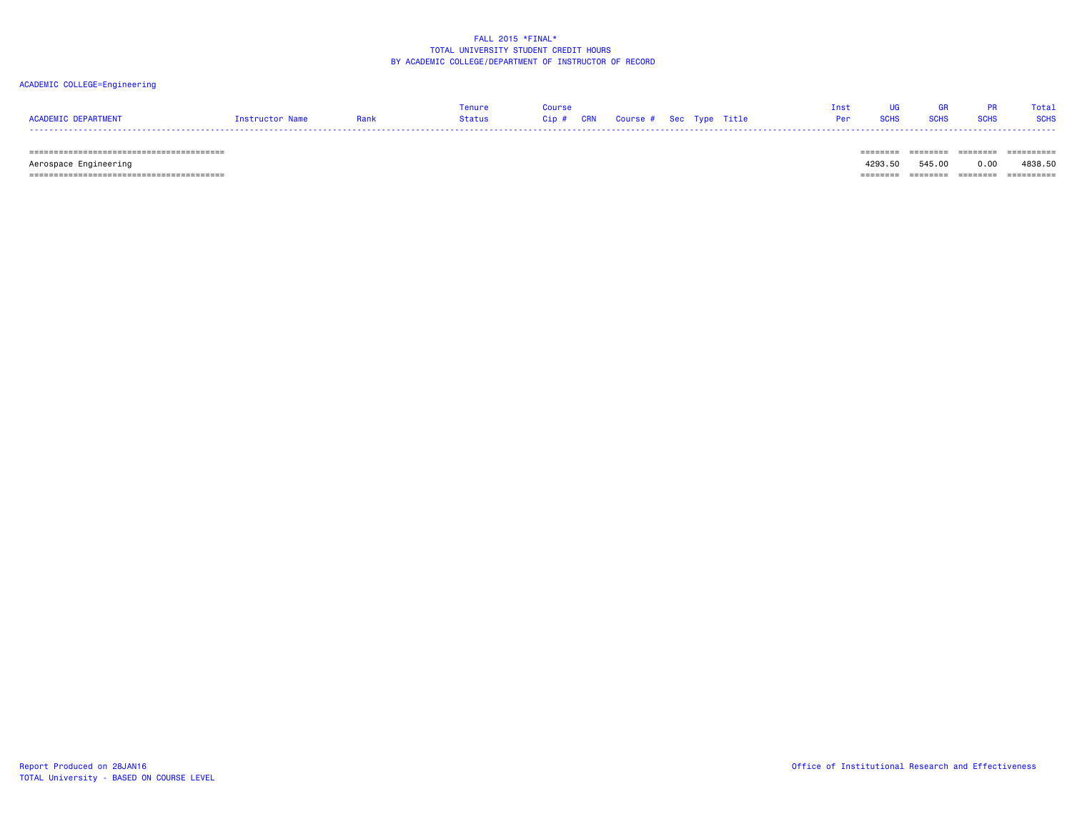# ACADEMIC COLLEGE=Engineering

|                     |                 |        |                                   |  |  |  |             | Total       |
|---------------------|-----------------|--------|-----------------------------------|--|--|--|-------------|-------------|
| ACADEMIC DEPARTMENT | Instructor Name | Status | Cip # CRN Course # Sec Type Title |  |  |  | <b>SCHS</b> | <b>SCHS</b> |
|                     |                 |        |                                   |  |  |  |             |             |

======================================== ======== ======== ======== ==========

 Aerospace Engineering 4293.50 545.00 0.00 4838.50 ======================================== ======== ======== ======== ==========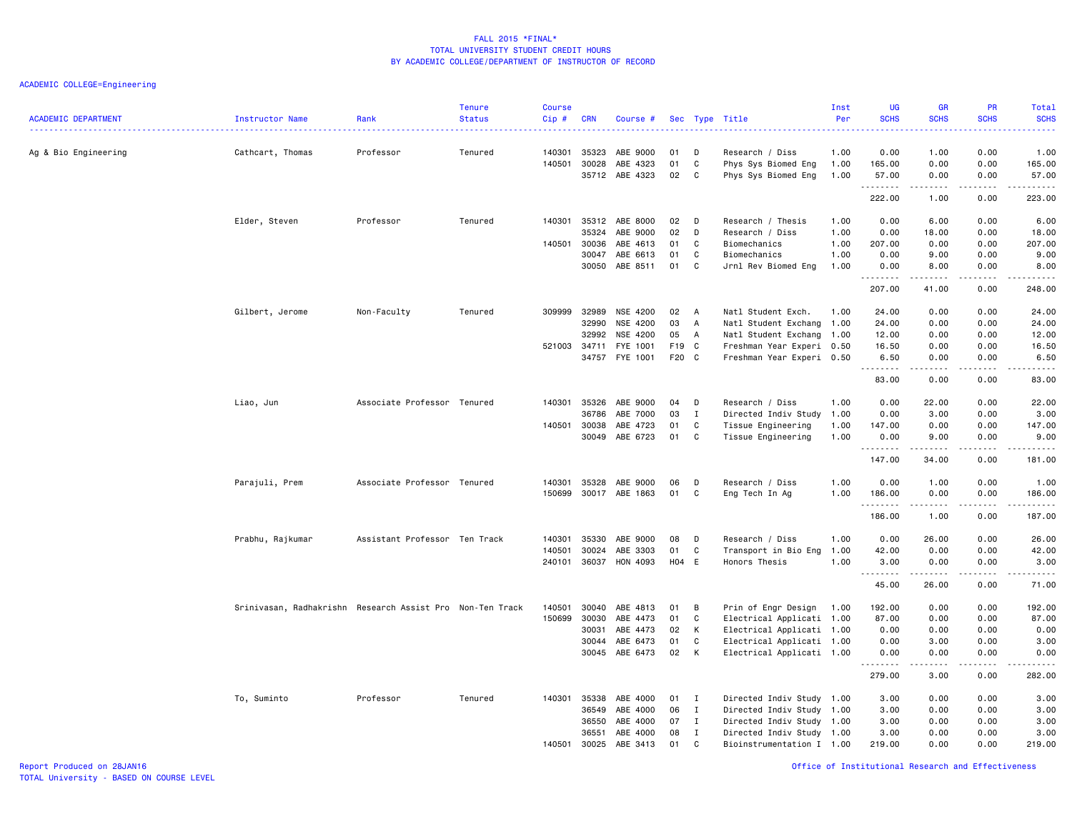| <b>ACADEMIC DEPARTMENT</b> | Instructor Name                                           | Rank<br>.                     | <b>Tenure</b><br><b>Status</b> | <b>Course</b><br>$Cip \#$ | <b>CRN</b>     | Course #             |          |                | Sec Type Title                         | Inst<br>Per  | UG<br><b>SCHS</b><br>$\frac{1}{2}$ . $\frac{1}{2}$ . $\frac{1}{2}$ | GR<br><b>SCHS</b>                                                                                                                                            | PR<br><b>SCHS</b><br>2222.                                                                                                        | Total<br><b>SCHS</b><br>$\sim$ $\sim$ $\sim$ $\sim$ $\sim$                                                                                                   |
|----------------------------|-----------------------------------------------------------|-------------------------------|--------------------------------|---------------------------|----------------|----------------------|----------|----------------|----------------------------------------|--------------|--------------------------------------------------------------------|--------------------------------------------------------------------------------------------------------------------------------------------------------------|-----------------------------------------------------------------------------------------------------------------------------------|--------------------------------------------------------------------------------------------------------------------------------------------------------------|
| Ag & Bio Engineering       | Cathcart, Thomas                                          | Professor                     | Tenured                        | 140301<br>140501          | 35323<br>30028 | ABE 9000<br>ABE 4323 | 01<br>01 | D<br>C         | Research / Diss<br>Phys Sys Biomed Eng | 1.00<br>1.00 | 0.00<br>165.00                                                     | 1.00<br>0.00                                                                                                                                                 | 0.00<br>0.00                                                                                                                      | 1.00<br>165.00                                                                                                                                               |
|                            |                                                           |                               |                                |                           | 35712          | ABE 4323             | 02       | C              | Phys Sys Biomed Eng                    | 1.00         | 57.00<br>.                                                         | 0.00<br>.                                                                                                                                                    | 0.00<br>$\omega$ is a $\omega$                                                                                                    | 57.00<br>.                                                                                                                                                   |
|                            |                                                           |                               |                                |                           |                |                      |          |                |                                        |              | 222.00                                                             | 1.00                                                                                                                                                         | 0.00                                                                                                                              | 223.00                                                                                                                                                       |
|                            | Elder, Steven                                             | Professor                     | Tenured                        | 140301                    |                | 35312 ABE 8000       | 02       | D              | Research / Thesis                      | 1.00         | 0.00                                                               | 6.00                                                                                                                                                         | 0.00                                                                                                                              | 6.00                                                                                                                                                         |
|                            |                                                           |                               |                                |                           | 35324          | ABE 9000             | 02       | D              | Research / Diss                        | 1.00         | 0.00                                                               | 18.00                                                                                                                                                        | 0.00                                                                                                                              | 18.00                                                                                                                                                        |
|                            |                                                           |                               |                                | 140501                    | 30036          | ABE 4613             | 01       | C              | Biomechanics                           | 1.00         | 207.00                                                             | 0.00                                                                                                                                                         | 0.00                                                                                                                              | 207.00                                                                                                                                                       |
|                            |                                                           |                               |                                |                           | 30047          | ABE 6613<br>ABE 8511 | 01       | C              | Biomechanics                           | 1.00         | 0.00                                                               | 9.00                                                                                                                                                         | 0.00                                                                                                                              | 9.00                                                                                                                                                         |
|                            |                                                           |                               |                                |                           | 30050          |                      | 01       | C              | Jrnl Rev Biomed Eng                    | 1.00         | 0.00<br>.                                                          | 8.00<br>$\frac{1}{2} \left( \frac{1}{2} \right) \left( \frac{1}{2} \right) \left( \frac{1}{2} \right) \left( \frac{1}{2} \right) \left( \frac{1}{2} \right)$ | 0.00<br>.                                                                                                                         | 8.00<br>.                                                                                                                                                    |
|                            |                                                           |                               |                                |                           |                |                      |          |                |                                        |              | 207.00                                                             | 41.00                                                                                                                                                        | 0.00                                                                                                                              | 248.00                                                                                                                                                       |
|                            | Gilbert, Jerome                                           | Non-Faculty                   | Tenured                        | 309999                    | 32989          | NSE 4200             | 02       | $\overline{A}$ | Natl Student Exch.                     | 1.00         | 24.00                                                              | 0.00                                                                                                                                                         | 0.00                                                                                                                              | 24.00                                                                                                                                                        |
|                            |                                                           |                               |                                |                           | 32990          | NSE 4200             | 03       | $\overline{A}$ | Natl Student Exchang 1.00              |              | 24.00                                                              | 0.00                                                                                                                                                         | 0.00                                                                                                                              | 24.00                                                                                                                                                        |
|                            |                                                           |                               |                                |                           | 32992          | NSE 4200             | 05       | A              | Natl Student Exchang 1.00              |              | 12.00                                                              | 0.00                                                                                                                                                         | 0.00                                                                                                                              | 12.00                                                                                                                                                        |
|                            |                                                           |                               |                                | 521003 34711              |                | FYE 1001             | F19 C    |                | Freshman Year Experi 0.50              |              | 16.50                                                              | 0.00                                                                                                                                                         | 0.00                                                                                                                              | 16.50                                                                                                                                                        |
|                            |                                                           |                               |                                |                           | 34757          | FYE 1001             | F20 C    |                | Freshman Year Experi 0.50              |              | 6.50<br>.                                                          | 0.00<br>.                                                                                                                                                    | 0.00<br>د د د د                                                                                                                   | 6.50<br>$\frac{1}{2} \left( \frac{1}{2} \right) \left( \frac{1}{2} \right) \left( \frac{1}{2} \right) \left( \frac{1}{2} \right) \left( \frac{1}{2} \right)$ |
|                            |                                                           |                               |                                |                           |                |                      |          |                |                                        |              | 83.00                                                              | 0.00                                                                                                                                                         | 0.00                                                                                                                              | 83.00                                                                                                                                                        |
|                            | Liao, Jun                                                 | Associate Professor Tenured   |                                | 140301                    | 35326          | ABE 9000             | 04       | D              | Research / Diss                        | 1.00         | 0.00                                                               | 22.00                                                                                                                                                        | 0.00                                                                                                                              | 22.00                                                                                                                                                        |
|                            |                                                           |                               |                                |                           | 36786          | ABE 7000             | 03       | $\mathbf I$    | Directed Indiv Study                   | 1.00         | 0.00                                                               | 3.00                                                                                                                                                         | 0.00                                                                                                                              | 3.00                                                                                                                                                         |
|                            |                                                           |                               |                                | 140501 30038              |                | ABE 4723             | 01       | C              | Tissue Engineering                     | 1.00         | 147.00                                                             | 0.00                                                                                                                                                         | 0.00                                                                                                                              | 147.00                                                                                                                                                       |
|                            |                                                           |                               |                                |                           | 30049          | ABE 6723             | 01       | C              | Tissue Engineering                     | 1.00         | 0.00<br>.                                                          | 9.00<br>$- - - - -$                                                                                                                                          | 0.00<br>$\frac{1}{2} \left( \frac{1}{2} \right) \left( \frac{1}{2} \right) \left( \frac{1}{2} \right) \left( \frac{1}{2} \right)$ | 9.00<br>$\frac{1}{2} \left( \frac{1}{2} \right) \left( \frac{1}{2} \right) \left( \frac{1}{2} \right) \left( \frac{1}{2} \right) \left( \frac{1}{2} \right)$ |
|                            |                                                           |                               |                                |                           |                |                      |          |                |                                        |              | 147.00                                                             | 34.00                                                                                                                                                        | 0.00                                                                                                                              | 181.00                                                                                                                                                       |
|                            | Parajuli, Prem                                            | Associate Professor Tenured   |                                | 140301                    | 35328          | ABE 9000             | 06       | D              | Research / Diss                        | 1.00         | 0.00                                                               | 1.00                                                                                                                                                         | 0.00                                                                                                                              | 1.00                                                                                                                                                         |
|                            |                                                           |                               |                                | 150699                    |                | 30017 ABE 1863       | 01       | C              | Eng Tech In Ag                         | 1.00         | 186.00                                                             | 0.00                                                                                                                                                         | 0.00                                                                                                                              | 186.00                                                                                                                                                       |
|                            |                                                           |                               |                                |                           |                |                      |          |                |                                        |              | .<br>186.00                                                        | 1.00                                                                                                                                                         | $\sim$ $\sim$ $\sim$ $\sim$<br>0.00                                                                                               | .<br>187.00                                                                                                                                                  |
|                            | Prabhu, Rajkumar                                          | Assistant Professor Ten Track |                                | 140301                    | 35330          | ABE 9000             | 08       | D              | Research / Diss                        | 1.00         | 0.00                                                               | 26.00                                                                                                                                                        | 0.00                                                                                                                              | 26.00                                                                                                                                                        |
|                            |                                                           |                               |                                | 140501                    | 30024          | ABE 3303             | 01       | C              | Transport in Bio Eng                   | 1.00         | 42.00                                                              | 0.00                                                                                                                                                         | 0.00                                                                                                                              | 42.00                                                                                                                                                        |
|                            |                                                           |                               |                                | 240101                    | 36037          | HON 4093             | H04 E    |                | Honors Thesis                          | 1.00         | 3.00                                                               | 0.00                                                                                                                                                         | 0.00                                                                                                                              | 3.00                                                                                                                                                         |
|                            |                                                           |                               |                                |                           |                |                      |          |                |                                        |              | 45.00                                                              | .<br>26.00                                                                                                                                                   | .<br>0.00                                                                                                                         | .<br>71.00                                                                                                                                                   |
|                            | Srinivasan, Radhakrishn Research Assist Pro Non-Ten Track |                               |                                | 140501                    | 30040          | ABE 4813             | 01       | В              | Prin of Engr Design                    | 1.00         | 192.00                                                             | 0.00                                                                                                                                                         | 0.00                                                                                                                              | 192.00                                                                                                                                                       |
|                            |                                                           |                               |                                | 150699                    | 30030          | ABE 4473             | 01       | C              | Electrical Applicati 1.00              |              | 87.00                                                              | 0.00                                                                                                                                                         | 0.00                                                                                                                              | 87.00                                                                                                                                                        |
|                            |                                                           |                               |                                |                           | 30031          | ABE 4473             | 02       | К              | Electrical Applicati 1.00              |              | 0.00                                                               | 0.00                                                                                                                                                         | 0.00                                                                                                                              | 0.00                                                                                                                                                         |
|                            |                                                           |                               |                                |                           | 30044          | ABE 6473             | 01       | $\mathsf C$    | Electrical Applicati 1.00              |              | 0.00                                                               | 3.00                                                                                                                                                         | 0.00                                                                                                                              | 3.00                                                                                                                                                         |
|                            |                                                           |                               |                                |                           | 30045          | ABE 6473             | 02       | К              | Electrical Applicati 1.00              |              | 0.00                                                               | 0.00                                                                                                                                                         | 0.00                                                                                                                              | 0.00                                                                                                                                                         |
|                            |                                                           |                               |                                |                           |                |                      |          |                |                                        |              | 279.00                                                             | .<br>3.00                                                                                                                                                    | .<br>0.00                                                                                                                         | .<br>282.00                                                                                                                                                  |
|                            | To, Suminto                                               | Professor                     | Tenured                        | 140301                    | 35338          | ABE 4000             | 01       | I              | Directed Indiv Study 1.00              |              | 3.00                                                               | 0.00                                                                                                                                                         | 0.00                                                                                                                              | 3.00                                                                                                                                                         |
|                            |                                                           |                               |                                |                           | 36549          | ABE 4000             | 06       | I              | Directed Indiv Study 1.00              |              | 3.00                                                               | 0.00                                                                                                                                                         | 0.00                                                                                                                              | 3.00                                                                                                                                                         |
|                            |                                                           |                               |                                |                           | 36550          | ABE 4000             | 07       | $\mathbf{I}$   | Directed Indiv Study 1.00              |              | 3.00                                                               | 0.00                                                                                                                                                         | 0.00                                                                                                                              | 3.00                                                                                                                                                         |
|                            |                                                           |                               |                                |                           | 36551          | ABE 4000             | 08       | I              | Directed Indiv Study 1.00              |              | 3.00                                                               | 0.00                                                                                                                                                         | 0.00                                                                                                                              | 3.00                                                                                                                                                         |
|                            |                                                           |                               |                                | 140501                    | 30025          | ABE 3413             | 01       | C              | Bioinstrumentation I 1.00              |              | 219.00                                                             | 0.00                                                                                                                                                         | 0.00                                                                                                                              | 219.00                                                                                                                                                       |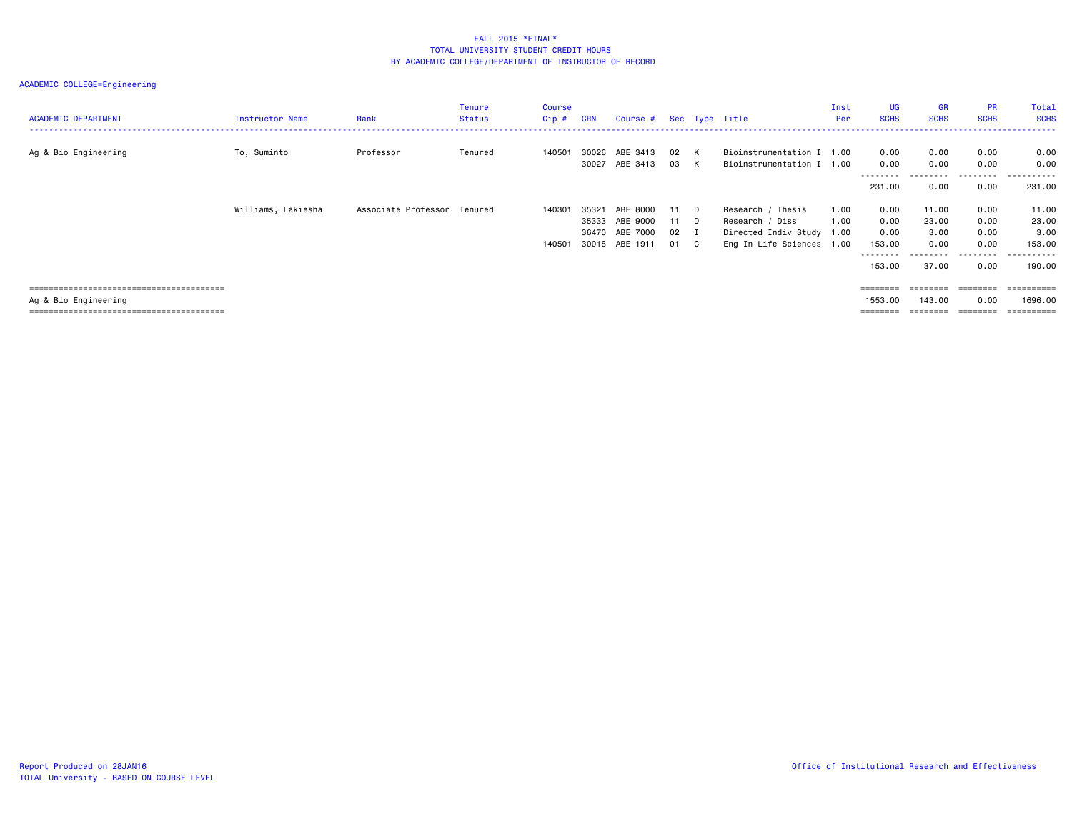| <b>ACADEMIC DEPARTMENT</b> | Instructor Name    | Rank                        | <b>Tenure</b><br><b>Status</b> | Course<br>Cip # | <b>CRN</b> | Course # Sec Type Title |      |              |                           | Inst<br>Per | UG<br><b>SCHS</b>  | <b>GR</b><br><b>SCHS</b> | <b>PR</b><br><b>SCHS</b> | Total<br><b>SCHS</b> |
|----------------------------|--------------------|-----------------------------|--------------------------------|-----------------|------------|-------------------------|------|--------------|---------------------------|-------------|--------------------|--------------------------|--------------------------|----------------------|
| Ag & Bio Engineering       | To, Suminto        | Professor                   | Tenured                        | 140501          | 30026      | ABE 3413                | 02   | K            | Bioinstrumentation I 1.00 |             | 0.00               | 0.00                     | 0.00                     | 0.00                 |
|                            |                    |                             |                                |                 | 30027      | ABE 3413                | 03   | K            | Bioinstrumentation I      | 1.00        | 0.00<br>.          | 0.00<br>.                | 0.00<br>.                | 0.00<br>-------      |
|                            |                    |                             |                                |                 |            |                         |      |              |                           |             | 231.00             | 0.00                     | 0.00                     | 231.00               |
|                            | Williams, Lakiesha | Associate Professor Tenured |                                | 140301          | 35321      | ABE 8000                | 11 D |              | Research / Thesis         | 1.00        | 0.00               | 11.00                    | 0.00                     | 11.00                |
|                            |                    |                             |                                |                 | 35333      | ABE 9000                | 11 D |              | Research / Diss           | 1.00        | 0.00               | 23.00                    | 0.00                     | 23.00                |
|                            |                    |                             |                                |                 | 36470      | ABE 7000                | 02   | I            | Directed Indiv Study 1.00 |             | 0.00               | 3.00                     | 0.00                     | 3.00                 |
|                            |                    |                             |                                | 140501          |            | 30018 ABE 1911          | 01   | $\mathbf{C}$ | Eng In Life Sciences 1.00 |             | 153.00<br>-------- | 0.00                     | 0.00<br>. <b>.</b> .     | 153.00<br>.          |
|                            |                    |                             |                                |                 |            |                         |      |              |                           |             | 153.00             | 37.00                    | 0.00                     | 190.00               |
|                            |                    |                             |                                |                 |            |                         |      |              |                           |             | ========           | ========                 | ---------                | ==========           |
| Ag & Bio Engineering       |                    |                             |                                |                 |            |                         |      |              |                           |             | 1553.00            | 143.00                   | 0.00                     | 1696.00              |
|                            |                    |                             |                                |                 |            |                         |      |              |                           |             | ========           | ========                 | ========                 | ==========           |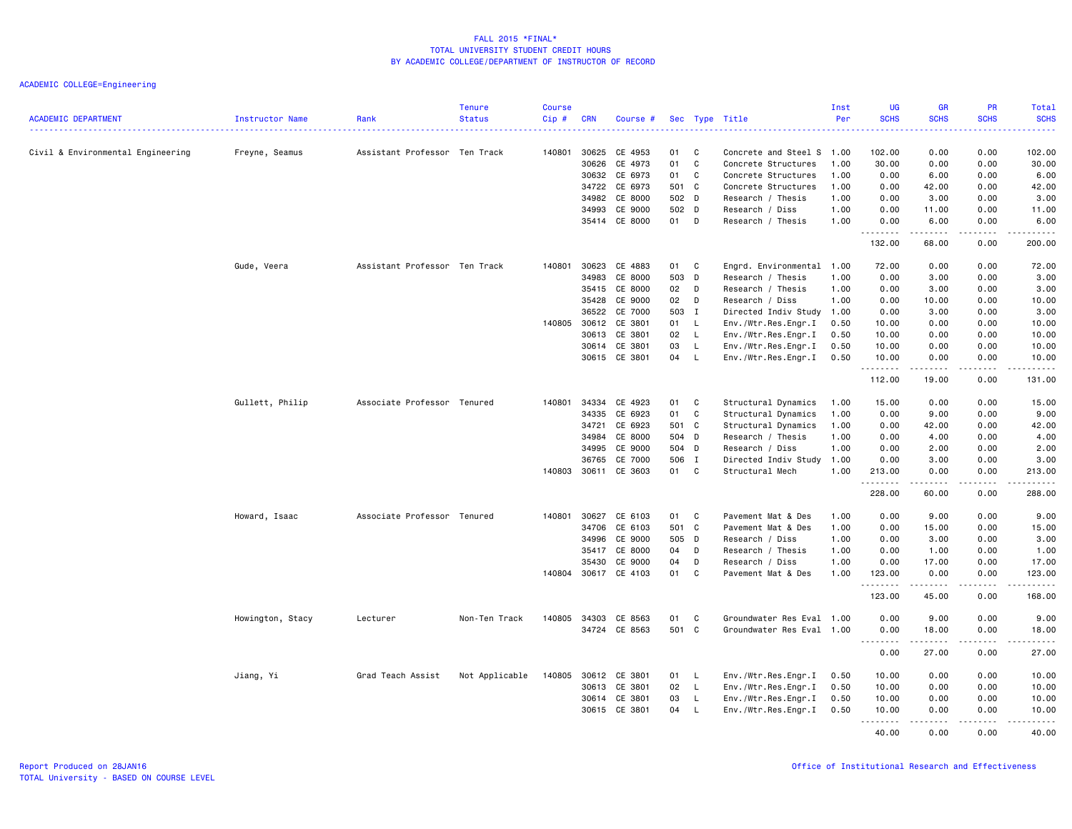| <b>ACADEMIC DEPARTMENT</b>        | Instructor Name  | Rank                          | <b>Tenure</b><br><b>Status</b> | <b>Course</b><br>$Cip$ # | <b>CRN</b> | Course #      |       |              | Sec Type Title            | Inst<br>Per | UG<br><b>SCHS</b> | GR<br><b>SCHS</b> | PR<br><b>SCHS</b> | Total<br><b>SCHS</b>      |
|-----------------------------------|------------------|-------------------------------|--------------------------------|--------------------------|------------|---------------|-------|--------------|---------------------------|-------------|-------------------|-------------------|-------------------|---------------------------|
| Civil & Environmental Engineering | Freyne, Seamus   | Assistant Professor Ten Track |                                | 140801                   | 30625      | CE 4953       | 01    | C            | Concrete and Steel S      | 1.00        | 102.00            | 0.00              | 0.00              | 102.00                    |
|                                   |                  |                               |                                |                          | 30626      | CE 4973       | 01    | C            | Concrete Structures       | 1.00        | 30.00             | 0.00              | 0.00              | 30.00                     |
|                                   |                  |                               |                                |                          |            | 30632 CE 6973 | 01    | C            | Concrete Structures       | 1.00        | 0.00              | 6.00              | 0.00              | 6.00                      |
|                                   |                  |                               |                                |                          | 34722      | CE 6973       | 501 C |              | Concrete Structures       | 1.00        | 0.00              | 42.00             | 0.00              | 42.00                     |
|                                   |                  |                               |                                |                          | 34982      | CE 8000       | 502 D |              | Research / Thesis         | 1.00        | 0.00              | 3.00              | 0.00              | 3.00                      |
|                                   |                  |                               |                                |                          | 34993      | CE 9000       | 502 D |              | Research / Diss           | 1.00        | 0.00              | 11.00             | 0.00              | 11.00                     |
|                                   |                  |                               |                                |                          |            | 35414 CE 8000 | 01 D  |              | Research / Thesis         | 1.00        | 0.00<br>.         | 6.00<br>.         | 0.00<br>.         | 6.00<br>.                 |
|                                   |                  |                               |                                |                          |            |               |       |              |                           |             | 132.00            | 68.00             | 0.00              | 200.00                    |
|                                   | Gude, Veera      | Assistant Professor Ten Track |                                | 140801                   | 30623      | CE 4883       | 01    | C            | Engrd. Environmental 1.00 |             | 72.00             | 0.00              | 0.00              | 72.00                     |
|                                   |                  |                               |                                |                          | 34983      | CE 8000       | 503 D |              | Research / Thesis         | 1.00        | 0.00              | 3.00              | 0.00              | 3.00                      |
|                                   |                  |                               |                                |                          | 35415      | CE 8000       | 02    | D            | Research / Thesis         | 1.00        | 0.00              | 3.00              | 0.00              | 3.00                      |
|                                   |                  |                               |                                |                          | 35428      | CE 9000       | 02    | D            | Research / Diss           | 1.00        | 0.00              | 10.00             | 0.00              | 10.00                     |
|                                   |                  |                               |                                |                          | 36522      | CE 7000       | 503 I |              | Directed Indiv Study 1.00 |             | 0.00              | 3.00              | 0.00              | 3.00                      |
|                                   |                  |                               |                                | 140805                   | 30612      | CE 3801       | 01    | L.           | Env./Wtr.Res.Engr.I       | 0.50        | 10.00             | 0.00              | 0.00              | 10.00                     |
|                                   |                  |                               |                                |                          | 30613      | CE 3801       | 02    | $\mathsf{L}$ | Env./Wtr.Res.Engr.I       | 0.50        | 10.00             | 0.00              | 0.00              | 10.00                     |
|                                   |                  |                               |                                |                          | 30614      | CE 3801       | 03    | $\mathsf{L}$ | Env./Wtr.Res.Engr.I       | 0.50        | 10.00             | 0.00              | 0.00              | 10.00                     |
|                                   |                  |                               |                                |                          |            | 30615 CE 3801 | 04    | $\mathsf{L}$ | Env./Wtr.Res.Engr.I       | 0.50        | 10.00<br>.        | 0.00<br>.         | 0.00<br>.         | 10.00<br>.                |
|                                   |                  |                               |                                |                          |            |               |       |              |                           |             | 112.00            | 19.00             | 0.00              | 131.00                    |
|                                   | Gullett, Philip  | Associate Professor Tenured   |                                | 140801                   | 34334      | CE 4923       | 01    | C            | Structural Dynamics       | 1.00        | 15.00             | 0.00              | 0.00              | 15.00                     |
|                                   |                  |                               |                                |                          | 34335      | CE 6923       | 01    | C            | Structural Dynamics       | 1.00        | 0.00              | 9.00              | 0.00              | 9.00                      |
|                                   |                  |                               |                                |                          | 34721      | CE 6923       | 501 C |              | Structural Dynamics       | 1.00        | 0.00              | 42.00             | 0.00              | 42.00                     |
|                                   |                  |                               |                                |                          | 34984      | CE 8000       | 504 D |              | Research / Thesis         | 1.00        | 0.00              | 4.00              | 0.00              | 4.00                      |
|                                   |                  |                               |                                |                          | 34995      | CE 9000       | 504 D |              | Research / Diss           | 1.00        | 0.00              | 2.00              | 0.00              | 2.00                      |
|                                   |                  |                               |                                |                          | 36765      | CE 7000       | 506 I |              | Directed Indiv Study 1.00 |             | 0.00              | 3.00              | 0.00              | 3.00                      |
|                                   |                  |                               |                                | 140803                   | 30611      | CE 3603       | 01    | C            | Structural Mech           | 1.00        | 213.00            | 0.00<br>.         | 0.00<br>.         | 213.00<br>$- - - - - - -$ |
|                                   |                  |                               |                                |                          |            |               |       |              |                           |             | 228.00            | 60.00             | 0.00              | 288.00                    |
|                                   | Howard, Isaac    | Associate Professor Tenured   |                                | 140801                   | 30627      | CE 6103       | 01    | C            | Pavement Mat & Des        | 1.00        | 0.00              | 9.00              | 0.00              | 9.00                      |
|                                   |                  |                               |                                |                          | 34706      | CE 6103       | 501 C |              | Pavement Mat & Des        | 1.00        | 0.00              | 15.00             | 0.00              | 15.00                     |
|                                   |                  |                               |                                |                          | 34996      | CE 9000       | 505 D |              | Research / Diss           | 1.00        | 0.00              | 3.00              | 0.00              | 3.00                      |
|                                   |                  |                               |                                |                          | 35417      | CE 8000       | 04    | D            | Research / Thesis         | 1.00        | 0.00              | 1.00              | 0.00              | 1.00                      |
|                                   |                  |                               |                                |                          | 35430      | CE 9000       | 04    | D            | Research / Diss           | 1.00        | 0.00              | 17.00             | 0.00              | 17.00                     |
|                                   |                  |                               |                                | 140804 30617             |            | CE 4103       | 01    | C            | Pavement Mat & Des        | 1.00        | 123.00<br><b></b> | 0.00<br>.         | 0.00<br>د د د د   | 123.00<br>2.2.2.2.2.2     |
|                                   |                  |                               |                                |                          |            |               |       |              |                           |             | 123.00            | 45.00             | 0.00              | 168.00                    |
|                                   | Howington, Stacy | Lecturer                      | Non-Ten Track                  | 140805                   | 34303      | CE 8563       | 01    | C            | Groundwater Res Eval 1.00 |             | 0.00              | 9.00              | 0.00              | 9.00                      |
|                                   |                  |                               |                                |                          |            | 34724 CE 8563 | 501 C |              | Groundwater Res Eval 1.00 |             | 0.00              | 18.00             | 0.00              | 18.00                     |
|                                   |                  |                               |                                |                          |            |               |       |              |                           |             | .<br>0.00         | .<br>27.00        | -----<br>0.00     | .<br>27.00                |
|                                   | Jiang, Yi        | Grad Teach Assist             | Not Applicable                 | 140805                   | 30612      | CE 3801       | 01    | L.           | Env./Wtr.Res.Engr.I       | 0.50        | 10.00             | 0.00              | 0.00              | 10.00                     |
|                                   |                  |                               |                                |                          | 30613      | CE 3801       | 02    | L.           | Env./Wtr.Res.Engr.I       | 0.50        | 10.00             | 0.00              | 0.00              | 10.00                     |
|                                   |                  |                               |                                |                          | 30614      | CE 3801       | 03    | L.           | Env./Wtr.Res.Engr.I       | 0.50        | 10.00             | 0.00              | 0.00              | 10.00                     |
|                                   |                  |                               |                                |                          | 30615      | CE 3801       | 04    | L.           | Env./Wtr.Res.Engr.I       | 0.50        | 10.00             | 0.00              | 0.00              | 10.00                     |
|                                   |                  |                               |                                |                          |            |               |       |              |                           |             |                   | .                 | .                 | .                         |
|                                   |                  |                               |                                |                          |            |               |       |              |                           |             | 40.00             | 0.00              | 0.00              | 40.00                     |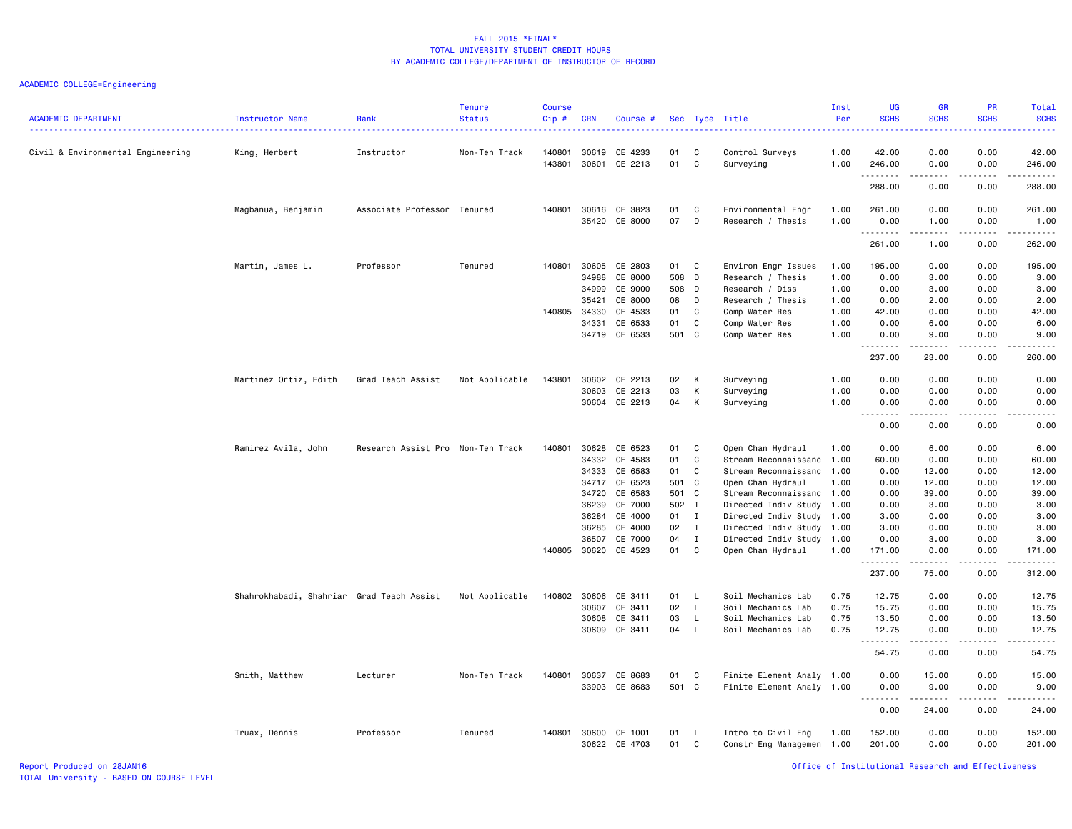| <b>ACADEMIC DEPARTMENT</b>        | Instructor Name                           | Rank                              | <b>Tenure</b><br><b>Status</b> | <b>Course</b><br>$Cip$ # | <b>CRN</b>     | Course #           |          |              | Sec Type Title               | Inst<br>Per  | <b>UG</b><br><b>SCHS</b> | <b>GR</b><br><b>SCHS</b>                                                                                                                             | PR<br><b>SCHS</b>                   | Total<br><b>SCHS</b> |
|-----------------------------------|-------------------------------------------|-----------------------------------|--------------------------------|--------------------------|----------------|--------------------|----------|--------------|------------------------------|--------------|--------------------------|------------------------------------------------------------------------------------------------------------------------------------------------------|-------------------------------------|----------------------|
| Civil & Environmental Engineering | King, Herbert                             | Instructor                        | Non-Ten Track                  | 140801<br>143801         | 30619<br>30601 | CE 4233<br>CE 2213 | 01<br>01 | C<br>C       | Control Surveys<br>Surveying | 1.00<br>1.00 | 42.00<br>246.00          | 0.00<br>0.00                                                                                                                                         | 0.00<br>0.00                        | 42.00<br>246.00      |
|                                   |                                           |                                   |                                |                          |                |                    |          |              |                              |              | .<br>288.00              | .<br>0.00                                                                                                                                            | .<br>0.00                           | ------<br>288.00     |
|                                   | Magbanua, Benjamin                        | Associate Professor Tenured       |                                | 140801                   | 30616          | CE 3823            | 01       | C            | Environmental Engr           | 1.00         | 261.00                   | 0.00                                                                                                                                                 | 0.00                                | 261.00               |
|                                   |                                           |                                   |                                |                          | 35420          | CE 8000            | 07       | D            | Research / Thesis            | 1.00         | 0.00<br>.                | 1.00                                                                                                                                                 | 0.00                                | 1.00<br>.            |
|                                   |                                           |                                   |                                |                          |                |                    |          |              |                              |              | 261.00                   | 1.00                                                                                                                                                 | 0.00                                | 262.00               |
|                                   | Martin, James L.                          | Professor                         | Tenured                        | 140801                   | 30605          | CE 2803            | 01       | C            | Environ Engr Issues          | 1.00         | 195.00                   | 0.00                                                                                                                                                 | 0.00                                | 195.00               |
|                                   |                                           |                                   |                                |                          | 34988          | CE 8000            | 508 D    |              | Research / Thesis            | 1.00         | 0.00                     | 3.00                                                                                                                                                 | 0.00                                | 3.00                 |
|                                   |                                           |                                   |                                |                          | 34999          | CE 9000            | 508 D    |              | Research / Diss              | 1.00         | 0.00                     | 3.00                                                                                                                                                 | 0.00                                | 3.00                 |
|                                   |                                           |                                   |                                |                          | 35421          | CE 8000            | 08       | D            | Research / Thesis            | 1.00         | 0.00                     | 2.00                                                                                                                                                 | 0.00                                | 2.00                 |
|                                   |                                           |                                   |                                | 140805                   | 34330          | CE 4533            | 01       | C            | Comp Water Res               | 1.00         | 42.00                    | 0.00                                                                                                                                                 | 0.00                                | 42.00                |
|                                   |                                           |                                   |                                |                          | 34331          | CE 6533            | 01       | C            | Comp Water Res               | 1.00         | 0.00                     | 6.00                                                                                                                                                 | 0.00                                | 6.00                 |
|                                   |                                           |                                   |                                |                          | 34719          | CE 6533            | 501 C    |              | Comp Water Res               | 1.00         | 0.00<br>.                | 9.00<br>-----                                                                                                                                        | 0.00<br>.                           | 9.00<br>.            |
|                                   |                                           |                                   |                                |                          |                |                    |          |              |                              |              | 237.00                   | 23.00                                                                                                                                                | 0.00                                | 260.00               |
|                                   | Martinez Ortiz, Edith                     | Grad Teach Assist                 | Not Applicable                 | 143801                   | 30602          | CE 2213            | 02       | К            | Surveying                    | 1.00         | 0.00                     | 0.00                                                                                                                                                 | 0.00                                | 0.00                 |
|                                   |                                           |                                   |                                |                          | 30603          | CE 2213            | 03       | K            | Surveying                    | 1.00         | 0.00                     | 0.00                                                                                                                                                 | 0.00                                | 0.00                 |
|                                   |                                           |                                   |                                |                          |                | 30604 CE 2213      | 04       | K            |                              | 1.00         | 0.00                     | 0.00                                                                                                                                                 | 0.00                                | 0.00                 |
|                                   |                                           |                                   |                                |                          |                |                    |          |              | Surveying                    |              | .<br>$  -$               | -----                                                                                                                                                | .                                   | .                    |
|                                   |                                           |                                   |                                |                          |                |                    |          |              |                              |              | 0.00                     | 0.00                                                                                                                                                 | 0.00                                | 0.00                 |
|                                   | Ramirez Avila, John                       | Research Assist Pro Non-Ten Track |                                | 140801                   | 30628          | CE 6523            | 01       | C            | Open Chan Hydraul            | 1.00         | 0.00                     | 6.00                                                                                                                                                 | 0.00                                | 6.00                 |
|                                   |                                           |                                   |                                |                          | 34332          | CE 4583            | 01       | C            | Stream Reconnaissanc 1.00    |              | 60.00                    | 0.00                                                                                                                                                 | 0.00                                | 60.00                |
|                                   |                                           |                                   |                                |                          | 34333          | CE 6583            | 01       | C            | Stream Reconnaissanc 1.00    |              | 0.00                     | 12.00                                                                                                                                                | 0.00                                | 12.00                |
|                                   |                                           |                                   |                                |                          |                | 34717 CE 6523      | 501 C    |              | Open Chan Hydraul            | 1.00         | 0.00                     | 12.00                                                                                                                                                | 0.00                                | 12.00                |
|                                   |                                           |                                   |                                |                          | 34720          | CE 6583            | 501 C    |              | Stream Reconnaissanc 1.00    |              | 0.00                     | 39.00                                                                                                                                                | 0.00                                | 39.00                |
|                                   |                                           |                                   |                                |                          | 36239          | CE 7000            | 502 I    |              | Directed Indiv Study 1.00    |              | 0.00                     | 3.00                                                                                                                                                 | 0.00                                | 3.00                 |
|                                   |                                           |                                   |                                |                          | 36284          | CE 4000            | 01 I     |              | Directed Indiv Study 1.00    |              | 3.00                     | 0.00                                                                                                                                                 | 0.00                                | 3.00                 |
|                                   |                                           |                                   |                                |                          | 36285          | CE 4000            | 02       | $\mathbf{I}$ | Directed Indiv Study 1.00    |              | 3.00                     | 0.00                                                                                                                                                 | 0.00                                | 3.00                 |
|                                   |                                           |                                   |                                |                          |                |                    |          |              |                              |              |                          |                                                                                                                                                      |                                     |                      |
|                                   |                                           |                                   |                                |                          | 36507          | CE 7000            | 04       | $\mathbf{I}$ | Directed Indiv Study 1.00    |              | 0.00                     | 3.00                                                                                                                                                 | 0.00                                | 3.00                 |
|                                   |                                           |                                   |                                | 140805                   | 30620          | CE 4523            | 01       | C            | Open Chan Hydraul            | 1.00         | 171.00<br>.              | 0.00                                                                                                                                                 | 0.00<br>$\sim$ $\sim$ $\sim$ $\sim$ | 171.00<br>.          |
|                                   |                                           |                                   |                                |                          |                |                    |          |              |                              |              | 237.00                   | 75.00                                                                                                                                                | 0.00                                | 312.00               |
|                                   | Shahrokhabadi, Shahriar Grad Teach Assist |                                   | Not Applicable                 | 140802                   | 30606          | CE 3411            | 01       | $\mathsf{L}$ | Soil Mechanics Lab           | 0.75         | 12.75                    | 0.00                                                                                                                                                 | 0.00                                | 12.75                |
|                                   |                                           |                                   |                                |                          | 30607          | CE 3411            | 02       | $\mathsf{L}$ | Soil Mechanics Lab           | 0.75         | 15.75                    | 0.00                                                                                                                                                 | 0.00                                | 15.75                |
|                                   |                                           |                                   |                                |                          | 30608          | CE 3411            | 03       | L.           | Soil Mechanics Lab           | 0.75         | 13.50                    | 0.00                                                                                                                                                 | 0.00                                | 13.50                |
|                                   |                                           |                                   |                                |                          | 30609          | CE 3411            | 04       | $\mathsf{L}$ | Soil Mechanics Lab           | 0.75         | 12.75                    | 0.00                                                                                                                                                 | 0.00                                | 12.75                |
|                                   |                                           |                                   |                                |                          |                |                    |          |              |                              |              | .                        | $\frac{1}{2} \left( \frac{1}{2} \right) \left( \frac{1}{2} \right) \left( \frac{1}{2} \right) \left( \frac{1}{2} \right) \left( \frac{1}{2} \right)$ | . <u>.</u> .                        | .                    |
|                                   |                                           |                                   |                                |                          |                |                    |          |              |                              |              | 54.75                    | 0.00                                                                                                                                                 | 0.00                                | 54.75                |
|                                   | Smith, Matthew                            | Lecturer                          | Non-Ten Track                  | 140801                   | 30637          | CE 8683            | 01       | C            | Finite Element Analy 1.00    |              | 0.00                     | 15.00                                                                                                                                                | 0.00                                | 15.00                |
|                                   |                                           |                                   |                                |                          | 33903          | CE 8683            | 501 C    |              | Finite Element Analy 1.00    |              | 0.00                     | 9.00                                                                                                                                                 | 0.00                                | 9.00                 |
|                                   |                                           |                                   |                                |                          |                |                    |          |              |                              |              | .<br>0.00                | .<br>24.00                                                                                                                                           | .<br>0.00                           | .<br>24.00           |
|                                   | Truax, Dennis                             | Professor                         | Tenured                        | 140801                   | 30600          | CE 1001            | 01       | L.           | Intro to Civil Eng           | 1.00         | 152.00                   | 0.00                                                                                                                                                 | 0.00                                | 152.00               |
|                                   |                                           |                                   |                                |                          |                | 30622 CE 4703      | 01       | C            | Constr Eng Managemen 1.00    |              | 201.00                   | 0.00                                                                                                                                                 | 0.00                                | 201.00               |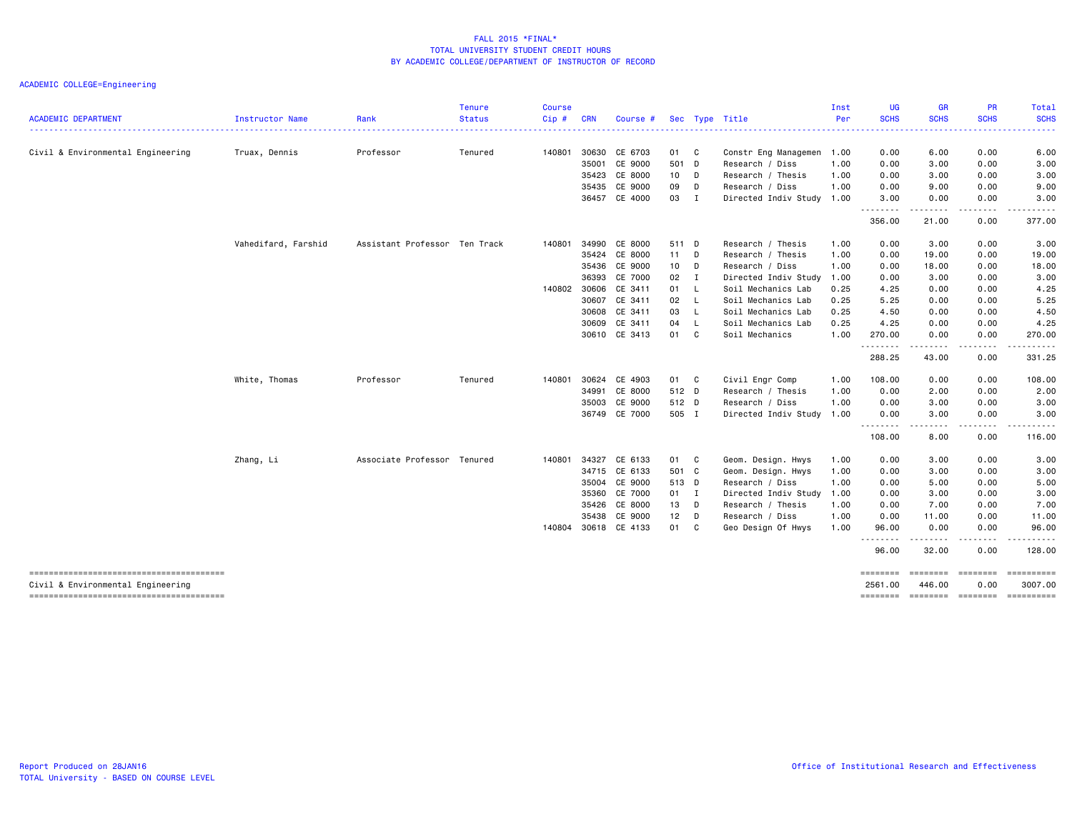| <b>ACADEMIC DEPARTMENT</b>        | Instructor Name     | Rank                          | <b>Tenure</b><br><b>Status</b> | <b>Course</b><br>Cip# | <b>CRN</b> | Course #      |              |                | Sec Type Title            | Inst<br>Per | UG<br><b>SCHS</b>                                                                                                         | <b>GR</b><br><b>SCHS</b>       | PR<br><b>SCHS</b>      | <b>Total</b><br><b>SCHS</b>    |
|-----------------------------------|---------------------|-------------------------------|--------------------------------|-----------------------|------------|---------------|--------------|----------------|---------------------------|-------------|---------------------------------------------------------------------------------------------------------------------------|--------------------------------|------------------------|--------------------------------|
|                                   |                     |                               |                                |                       |            |               |              |                | ---------------------     |             | $\frac{1}{2} \left( \frac{1}{2} \right) \left( \frac{1}{2} \right) \left( \frac{1}{2} \right) \left( \frac{1}{2} \right)$ |                                |                        |                                |
| Civil & Environmental Engineering | Truax, Dennis       | Professor                     | Tenured                        | 140801                | 30630      | CE 6703       | 01 C         |                | Constr Eng Managemen 1.00 |             | 0.00                                                                                                                      | 6.00                           | 0.00                   | 6.00                           |
|                                   |                     |                               |                                |                       | 35001      | CE 9000       | 501 D        |                | Research / Diss           | 1.00        | 0.00                                                                                                                      | 3.00                           | 0.00                   | 3.00                           |
|                                   |                     |                               |                                |                       | 35423      | CE 8000       | 10 D         |                | Research / Thesis         | 1.00        | 0.00                                                                                                                      | 3.00                           | 0.00                   | 3.00                           |
|                                   |                     |                               |                                |                       | 35435      | CE 9000       | 09           | D              | Research / Diss           | 1.00        | 0.00                                                                                                                      | 9.00                           | 0.00                   | 9.00                           |
|                                   |                     |                               |                                |                       |            | 36457 CE 4000 | 03           | $\blacksquare$ | Directed Indiv Study 1.00 |             | 3.00<br>.                                                                                                                 | 0.00<br>.                      | 0.00<br>.              | 3.00<br>.                      |
|                                   |                     |                               |                                |                       |            |               |              |                |                           |             | 356.00                                                                                                                    | 21.00                          | 0.00                   | 377.00                         |
|                                   | Vahedifard, Farshid | Assistant Professor Ten Track |                                | 140801                | 34990      | CE 8000       | 511 D        |                | Research / Thesis         | 1.00        | 0.00                                                                                                                      | 3.00                           | 0.00                   | 3.00                           |
|                                   |                     |                               |                                |                       | 35424      | CE 8000       | 11 D         |                | Research / Thesis         | 1.00        | 0.00                                                                                                                      | 19.00                          | 0.00                   | 19.00                          |
|                                   |                     |                               |                                |                       | 35436      | CE 9000       | 10 D         |                | Research / Diss           | 1.00        | 0.00                                                                                                                      | 18.00                          | 0.00                   | 18.00                          |
|                                   |                     |                               |                                |                       | 36393      | CE 7000       | $02 \quad I$ |                | Directed Indiv Study 1.00 |             | 0.00                                                                                                                      | 3.00                           | 0.00                   | 3.00                           |
|                                   |                     |                               |                                | 140802 30606          |            | CE 3411       | 01           | - L            | Soil Mechanics Lab        | 0.25        | 4.25                                                                                                                      | 0.00                           | 0.00                   | 4.25                           |
|                                   |                     |                               |                                |                       | 30607      | CE 3411       | 02           | $\mathsf{L}$   | Soil Mechanics Lab        | 0.25        | 5.25                                                                                                                      | 0.00                           | 0.00                   | 5.25                           |
|                                   |                     |                               |                                |                       | 30608      | CE 3411       | 03 L         |                | Soil Mechanics Lab        | 0.25        | 4.50                                                                                                                      | 0.00                           | 0.00                   | 4.50                           |
|                                   |                     |                               |                                |                       | 30609      | CE 3411       | 04           | - L            | Soil Mechanics Lab        | 0.25        | 4.25                                                                                                                      | 0.00                           | 0.00                   | 4.25                           |
|                                   |                     |                               |                                |                       |            | 30610 CE 3413 | 01 C         |                | Soil Mechanics            | 1.00        | 270.00<br>.                                                                                                               | 0.00<br>$\cdots \cdots \cdots$ | 0.00<br>-----          | 270.00<br>------               |
|                                   |                     |                               |                                |                       |            |               |              |                |                           |             | 288.25                                                                                                                    | 43.00                          | 0.00                   | 331.25                         |
|                                   | White, Thomas       | Professor                     | Tenured                        | 140801                | 30624      | CE 4903       | 01 C         |                | Civil Engr Comp           | 1.00        | 108.00                                                                                                                    | 0.00                           | 0.00                   | 108.00                         |
|                                   |                     |                               |                                |                       | 34991      | CE 8000       | 512 D        |                | Research / Thesis         | 1.00        | 0.00                                                                                                                      | 2.00                           | 0.00                   | 2.00                           |
|                                   |                     |                               |                                |                       | 35003      | CE 9000       | 512 D        |                | Research / Diss           | 1.00        | 0.00                                                                                                                      | 3.00                           | 0.00                   | 3.00                           |
|                                   |                     |                               |                                |                       |            | 36749 CE 7000 | 505 I        |                | Directed Indiv Study 1.00 |             | 0.00                                                                                                                      | 3.00<br>.                      | 0.00<br>-----          | 3.00<br>.                      |
|                                   |                     |                               |                                |                       |            |               |              |                |                           |             | 108.00                                                                                                                    | 8.00                           | 0.00                   | 116.00                         |
|                                   | Zhang, Li           | Associate Professor Tenured   |                                | 140801                | 34327      | CE 6133       | 01 C         |                | Geom. Design. Hwys        | 1.00        | 0.00                                                                                                                      | 3.00                           | 0.00                   | 3.00                           |
|                                   |                     |                               |                                |                       | 34715      | CE 6133       | 501 C        |                | Geom. Design. Hwys        | 1.00        | 0.00                                                                                                                      | 3.00                           | 0.00                   | 3.00                           |
|                                   |                     |                               |                                |                       | 35004      | CE 9000       | 513 D        |                | Research / Diss           | 1.00        | 0.00                                                                                                                      | 5.00                           | 0.00                   | 5.00                           |
|                                   |                     |                               |                                |                       | 35360      | CE 7000       | 01 I         |                | Directed Indiv Study 1.00 |             | 0.00                                                                                                                      | 3.00                           | 0.00                   | 3.00                           |
|                                   |                     |                               |                                |                       | 35426      | CE 8000       | 13 D         |                | Research / Thesis         | 1.00        | 0.00                                                                                                                      | 7.00                           | 0.00                   | 7.00                           |
|                                   |                     |                               |                                |                       | 35438      | CE 9000       | 12           | $\Box$         | Research / Diss           | 1.00        | 0.00                                                                                                                      | 11.00                          | 0.00                   | 11.00                          |
|                                   |                     |                               |                                | 140804                |            | 30618 CE 4133 | 01           | C              | Geo Design Of Hwys        | 1.00        | 96.00<br>--------                                                                                                         | 0.00                           | 0.00                   | 96.00                          |
|                                   |                     |                               |                                |                       |            |               |              |                |                           |             | 96.00                                                                                                                     | 32.00                          | 0.00                   | 128.00                         |
| Civil & Environmental Engineering |                     |                               |                                |                       |            |               |              |                |                           |             | ========<br>2561.00                                                                                                       | <b>SEREEBER</b><br>446.00      | <b>EEEEEEE</b><br>0.00 | ==========<br>3007.00          |
|                                   |                     |                               |                                |                       |            |               |              |                |                           |             | ========                                                                                                                  |                                |                        | according according accordings |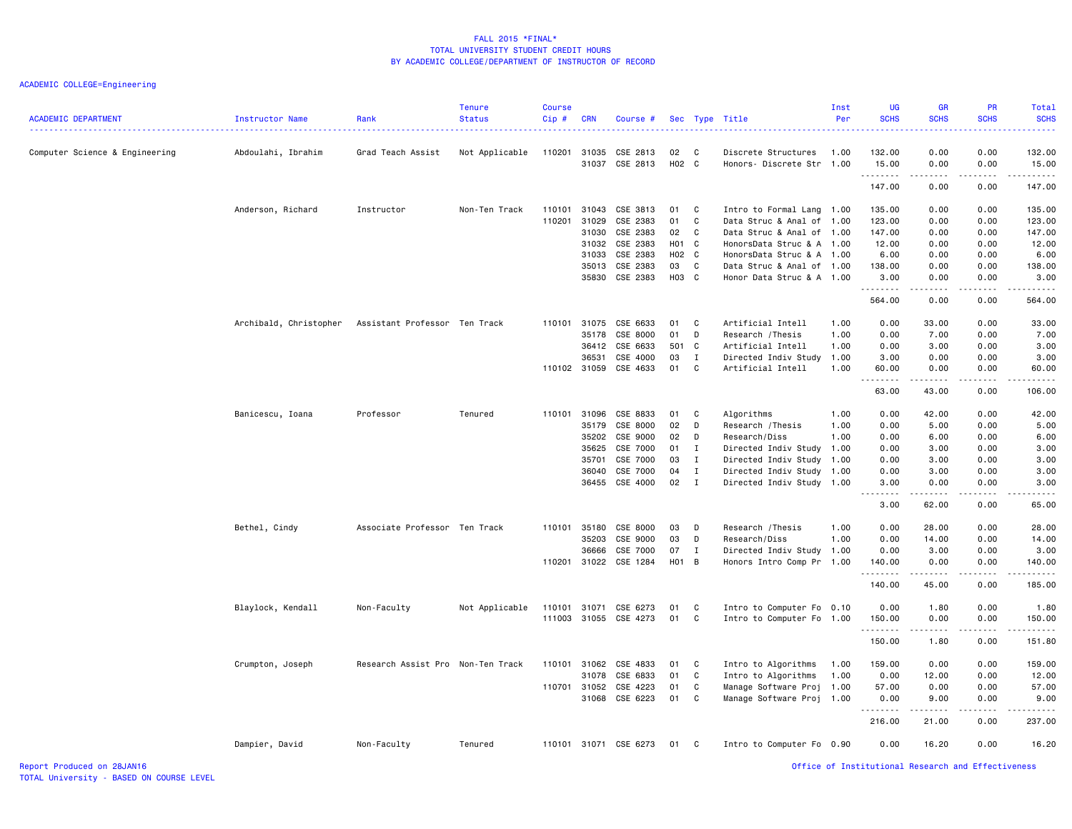| <b>ACADEMIC DEPARTMENT</b>     | Instructor Name        | Rank                              | <b>Tenure</b><br><b>Status</b> | <b>Course</b><br>$Cip$ # | <b>CRN</b> | Course #              |        |              | Sec Type Title            | Inst<br>Per | UG<br><b>SCHS</b>                                  | <b>GR</b><br><b>SCHS</b>                                                                                                                                     | PR<br><b>SCHS</b>                                                                                                                                            | Total<br><b>SCHS</b> |
|--------------------------------|------------------------|-----------------------------------|--------------------------------|--------------------------|------------|-----------------------|--------|--------------|---------------------------|-------------|----------------------------------------------------|--------------------------------------------------------------------------------------------------------------------------------------------------------------|--------------------------------------------------------------------------------------------------------------------------------------------------------------|----------------------|
| Computer Science & Engineering | Abdoulahi, Ibrahim     | Grad Teach Assist                 | Not Applicable                 | 110201                   |            | 31035 CSE 2813        | 02 C   |              | Discrete Structures       | 1.00        | 132.00                                             | 0.00                                                                                                                                                         | 0.00                                                                                                                                                         | 132.00               |
|                                |                        |                                   |                                |                          |            | 31037 CSE 2813        | H02 C  |              | Honors- Discrete Str 1.00 |             | 15.00                                              | 0.00                                                                                                                                                         | 0.00<br>.                                                                                                                                                    | 15.00<br>.           |
|                                |                        |                                   |                                |                          |            |                       |        |              |                           |             | .<br>147.00                                        | بالمحام<br>0.00                                                                                                                                              | 0.00                                                                                                                                                         | 147.00               |
|                                | Anderson, Richard      | Instructor                        | Non-Ten Track                  | 110101                   | 31043      | CSE 3813              | 01     | C            | Intro to Formal Lang      | 1.00        | 135.00                                             | 0.00                                                                                                                                                         | 0.00                                                                                                                                                         | 135.00               |
|                                |                        |                                   |                                | 110201                   | 31029      | CSE 2383              | 01     | C            | Data Struc & Anal of      | 1.00        | 123.00                                             | 0.00                                                                                                                                                         | 0.00                                                                                                                                                         | 123.00               |
|                                |                        |                                   |                                |                          |            | 31030 CSE 2383        | 02     | C            | Data Struc & Anal of 1.00 |             | 147.00                                             | 0.00                                                                                                                                                         | 0.00                                                                                                                                                         | 147.00               |
|                                |                        |                                   |                                |                          | 31032      | CSE 2383              | H01 C  |              | HonorsData Struc & A 1.00 |             | 12.00                                              | 0.00                                                                                                                                                         | 0.00                                                                                                                                                         | 12.00                |
|                                |                        |                                   |                                |                          | 31033      | CSE 2383              | H02 C  |              | HonorsData Struc & A 1.00 |             | 6.00                                               | 0.00                                                                                                                                                         | 0.00                                                                                                                                                         | 6.00                 |
|                                |                        |                                   |                                |                          |            | 35013 CSE 2383        | 03     | C            | Data Struc & Anal of 1.00 |             | 138.00                                             | 0.00                                                                                                                                                         | 0.00                                                                                                                                                         | 138.00               |
|                                |                        |                                   |                                |                          |            | 35830 CSE 2383        | H03 C  |              | Honor Data Struc & A 1.00 |             | 3.00<br>.                                          | 0.00<br>د د د د                                                                                                                                              | 0.00<br>.                                                                                                                                                    | 3.00                 |
|                                |                        |                                   |                                |                          |            |                       |        |              |                           |             | 564.00                                             | 0.00                                                                                                                                                         | 0.00                                                                                                                                                         | 564.00               |
|                                | Archibald, Christopher | Assistant Professor Ten Track     |                                | 110101                   |            | 31075 CSE 6633        | 01     | $\mathbf{C}$ | Artificial Intell         | 1.00        | 0.00                                               | 33.00                                                                                                                                                        | 0.00                                                                                                                                                         | 33.00                |
|                                |                        |                                   |                                |                          | 35178      | CSE 8000              | 01     | D            | Research / Thesis         | 1.00        | 0.00                                               | 7.00                                                                                                                                                         | 0.00                                                                                                                                                         | 7.00                 |
|                                |                        |                                   |                                |                          |            | 36412 CSE 6633        | 501 C  |              | Artificial Intell         | 1.00        | 0.00                                               | 3.00                                                                                                                                                         | 0.00                                                                                                                                                         | 3.00                 |
|                                |                        |                                   |                                |                          | 36531      | CSE 4000              | 03     | I            | Directed Indiv Study      | 1.00        | 3.00                                               | 0.00                                                                                                                                                         | 0.00                                                                                                                                                         | 3.00                 |
|                                |                        |                                   |                                |                          |            | 110102 31059 CSE 4633 | 01     | C            | Artificial Intell         | 1.00        | 60.00<br>.                                         | 0.00<br>$\frac{1}{2} \left( \frac{1}{2} \right) \left( \frac{1}{2} \right) \left( \frac{1}{2} \right) \left( \frac{1}{2} \right) \left( \frac{1}{2} \right)$ | 0.00<br>-----                                                                                                                                                | 60.00<br>.           |
|                                |                        |                                   |                                |                          |            |                       |        |              |                           |             | 63.00                                              | 43.00                                                                                                                                                        | 0.00                                                                                                                                                         | 106.00               |
|                                | Banicescu, Ioana       | Professor                         | Tenured                        | 110101                   | 31096      | CSE 8833              | 01     | C            | Algorithms                | 1.00        | 0.00                                               | 42.00                                                                                                                                                        | 0.00                                                                                                                                                         | 42.00                |
|                                |                        |                                   |                                |                          | 35179      | CSE 8000              | 02     | D            | Research / Thesis         | 1.00        | 0.00                                               | 5.00                                                                                                                                                         | 0.00                                                                                                                                                         | 5.00                 |
|                                |                        |                                   |                                |                          | 35202      | CSE 9000              | 02     | D            | Research/Diss             | 1.00        | 0.00                                               | 6.00                                                                                                                                                         | 0.00                                                                                                                                                         | 6.00                 |
|                                |                        |                                   |                                |                          | 35625      | CSE 7000              | $01$ I |              | Directed Indiv Study      | 1.00        | 0.00                                               | 3.00                                                                                                                                                         | 0.00                                                                                                                                                         | 3.00                 |
|                                |                        |                                   |                                |                          | 35701      | CSE 7000              | 03     | $\mathbf{I}$ | Directed Indiv Study      | 1.00        | 0.00                                               | 3.00                                                                                                                                                         | 0.00                                                                                                                                                         | 3.00                 |
|                                |                        |                                   |                                |                          |            | 36040 CSE 7000        | 04     | $\mathbf I$  | Directed Indiv Study      | 1.00        | 0.00                                               | 3.00                                                                                                                                                         | 0.00                                                                                                                                                         | 3.00                 |
|                                |                        |                                   |                                |                          |            | 36455 CSE 4000        | 02     | $\mathbf{I}$ | Directed Indiv Study      | 1.00        | 3.00                                               | 0.00                                                                                                                                                         | 0.00                                                                                                                                                         | 3.00                 |
|                                |                        |                                   |                                |                          |            |                       |        |              |                           |             | .<br>3.00                                          | <b>.</b><br>62.00                                                                                                                                            | $- - - - -$<br>0.00                                                                                                                                          | .<br>65.00           |
|                                | Bethel, Cindy          | Associate Professor Ten Track     |                                | 110101                   | 35180      | CSE 8000              | 03     | D            | Research / Thesis         | 1.00        | 0.00                                               | 28.00                                                                                                                                                        | 0.00                                                                                                                                                         | 28.00                |
|                                |                        |                                   |                                |                          | 35203      | CSE 9000              | 03     | D            | Research/Diss             | 1.00        | 0.00                                               | 14.00                                                                                                                                                        | 0.00                                                                                                                                                         | 14.00                |
|                                |                        |                                   |                                |                          | 36666      | CSE 7000              | 07     | I            | Directed Indiv Study      | 1.00        | 0.00                                               | 3.00                                                                                                                                                         | 0.00                                                                                                                                                         | 3.00                 |
|                                |                        |                                   |                                | 110201                   |            | 31022 CSE 1284        | H01 B  |              | Honors Intro Comp Pr      | 1.00        | 140.00<br>.                                        | 0.00<br>$\sim$ $\sim$ $\sim$ $\sim$ $\sim$                                                                                                                   | 0.00<br>$\frac{1}{2} \left( \frac{1}{2} \right) \left( \frac{1}{2} \right) \left( \frac{1}{2} \right) \left( \frac{1}{2} \right) \left( \frac{1}{2} \right)$ | 140.00               |
|                                |                        |                                   |                                |                          |            |                       |        |              |                           |             | 140.00                                             | 45.00                                                                                                                                                        | 0.00                                                                                                                                                         | 185.00               |
|                                | Blaylock, Kendall      | Non-Faculty                       | Not Applicable                 | 110101                   |            | 31071 CSE 6273        | 01     | C            | Intro to Computer Fo 0.10 |             | 0.00                                               | 1.80                                                                                                                                                         | 0.00                                                                                                                                                         | 1.80                 |
|                                |                        |                                   |                                | 111003                   |            | 31055 CSE 4273        | 01     | C            | Intro to Computer Fo      | 1.00        | 150.00                                             | 0.00                                                                                                                                                         | 0.00                                                                                                                                                         | 150.00               |
|                                |                        |                                   |                                |                          |            |                       |        |              |                           |             | .<br>150.00                                        | د د د د<br>1.80                                                                                                                                              | 0.00                                                                                                                                                         | 151.80               |
|                                | Crumpton, Joseph       | Research Assist Pro Non-Ten Track |                                | 110101                   |            | 31062 CSE 4833        | 01     | C            | Intro to Algorithms       | 1.00        | 159.00                                             | 0.00                                                                                                                                                         | 0.00                                                                                                                                                         | 159.00               |
|                                |                        |                                   |                                |                          | 31078      | CSE 6833              | 01     | C            | Intro to Algorithms       | 1.00        | 0.00                                               | 12.00                                                                                                                                                        | 0.00                                                                                                                                                         | 12.00                |
|                                |                        |                                   |                                |                          |            | 110701 31052 CSE 4223 | 01     | C            | Manage Software Proj      | 1.00        | 57.00                                              | 0.00                                                                                                                                                         | 0.00                                                                                                                                                         | 57.00                |
|                                |                        |                                   |                                |                          |            | 31068 CSE 6223        | 01     | C            | Manage Software Proj      | 1.00        | 0.00<br>. <b>.</b>                                 | 9.00<br>.                                                                                                                                                    | 0.00<br>.                                                                                                                                                    | 9.00<br>.            |
|                                |                        |                                   |                                |                          |            |                       |        |              |                           |             | 216.00                                             | 21.00                                                                                                                                                        | 0.00                                                                                                                                                         | 237.00               |
|                                | Dampier, David         | Non-Faculty                       | Tenured                        |                          |            | 110101 31071 CSE 6273 | 01     | $\mathbf{C}$ | Intro to Computer Fo 0.90 |             | 0.00                                               | 16.20                                                                                                                                                        | 0.00                                                                                                                                                         | 16.20                |
| Report Produced on 28JAN16     |                        |                                   |                                |                          |            |                       |        |              |                           |             | Office of Institutional Research and Effectiveness |                                                                                                                                                              |                                                                                                                                                              |                      |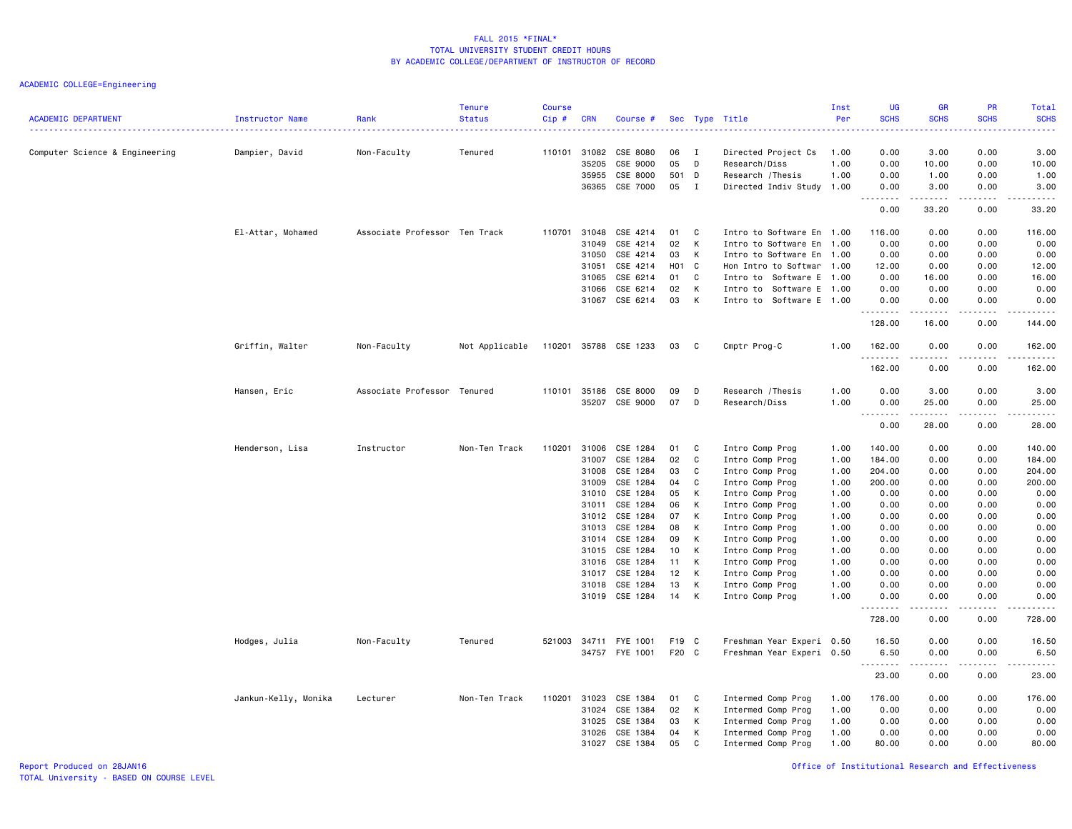| <b>ACADEMIC DEPARTMENT</b>     | Instructor Name      | Rank<br>.                     | Tenure<br><b>Status</b> | <b>Course</b><br>Cip# | <b>CRN</b>   | Course #              |                 |              | Sec Type Title            | Inst<br>Per | <b>UG</b><br><b>SCHS</b>                                                                                                                                                                                                                                                                                                                                                                                                                                                                       | <b>GR</b><br><b>SCHS</b>                                                                                                          | PR<br><b>SCHS</b> | Total<br><b>SCHS</b><br>$\frac{1}{2} \left( \frac{1}{2} \right) \left( \frac{1}{2} \right) \left( \frac{1}{2} \right) \left( \frac{1}{2} \right)$            |
|--------------------------------|----------------------|-------------------------------|-------------------------|-----------------------|--------------|-----------------------|-----------------|--------------|---------------------------|-------------|------------------------------------------------------------------------------------------------------------------------------------------------------------------------------------------------------------------------------------------------------------------------------------------------------------------------------------------------------------------------------------------------------------------------------------------------------------------------------------------------|-----------------------------------------------------------------------------------------------------------------------------------|-------------------|--------------------------------------------------------------------------------------------------------------------------------------------------------------|
| Computer Science & Engineering | Dampier, David       | Non-Faculty                   | Tenured                 |                       | 110101 31082 | CSE 8080              | 06              | I            | Directed Project Cs       | 1.00        | 0.00                                                                                                                                                                                                                                                                                                                                                                                                                                                                                           | 3.00                                                                                                                              | 0.00              | 3.00                                                                                                                                                         |
|                                |                      |                               |                         |                       | 35205        | CSE 9000              | 05              | D            | Research/Diss             | 1.00        | 0.00                                                                                                                                                                                                                                                                                                                                                                                                                                                                                           | 10.00                                                                                                                             | 0.00              | 10.00                                                                                                                                                        |
|                                |                      |                               |                         |                       | 35955        | CSE 8000              | 501 D           |              | Research / Thesis         | 1.00        | 0.00                                                                                                                                                                                                                                                                                                                                                                                                                                                                                           | 1.00                                                                                                                              | 0.00              | 1.00                                                                                                                                                         |
|                                |                      |                               |                         |                       | 36365        | CSE 7000              | 05              | $\mathbf{I}$ | Directed Indiv Study 1.00 |             | 0.00<br><u>.</u>                                                                                                                                                                                                                                                                                                                                                                                                                                                                               | 3.00                                                                                                                              | 0.00              | 3.00                                                                                                                                                         |
|                                |                      |                               |                         |                       |              |                       |                 |              |                           |             | 0.00                                                                                                                                                                                                                                                                                                                                                                                                                                                                                           | 33.20                                                                                                                             | 0.00              | 33.20                                                                                                                                                        |
|                                | El-Attar, Mohamed    | Associate Professor Ten Track |                         | 110701                | 31048        | CSE 4214              | 01              | C            | Intro to Software En 1.00 |             | 116.00                                                                                                                                                                                                                                                                                                                                                                                                                                                                                         | 0.00                                                                                                                              | 0.00              | 116.00                                                                                                                                                       |
|                                |                      |                               |                         |                       | 31049        | CSE 4214              | 02              | K            | Intro to Software En      | 1.00        | 0.00                                                                                                                                                                                                                                                                                                                                                                                                                                                                                           | 0.00                                                                                                                              | 0.00              | 0.00                                                                                                                                                         |
|                                |                      |                               |                         |                       | 31050        | CSE 4214              | 03              | К            | Intro to Software En      | 1.00        | 0.00                                                                                                                                                                                                                                                                                                                                                                                                                                                                                           | 0.00                                                                                                                              | 0.00              | 0.00                                                                                                                                                         |
|                                |                      |                               |                         |                       | 31051        | CSE 4214              | H01 C           |              | Hon Intro to Softwar 1.00 |             | 12.00                                                                                                                                                                                                                                                                                                                                                                                                                                                                                          | 0.00                                                                                                                              | 0.00              | 12.00                                                                                                                                                        |
|                                |                      |                               |                         |                       | 31065        | CSE 6214              | 01              | C            | Intro to Software E 1.00  |             | 0.00                                                                                                                                                                                                                                                                                                                                                                                                                                                                                           | 16.00                                                                                                                             | 0.00              | 16.00                                                                                                                                                        |
|                                |                      |                               |                         |                       | 31066        | CSE 6214              | 02              | K            | Intro to Software E 1.00  |             | 0.00                                                                                                                                                                                                                                                                                                                                                                                                                                                                                           | 0.00                                                                                                                              | 0.00              | 0.00                                                                                                                                                         |
|                                |                      |                               |                         |                       |              | 31067 CSE 6214        | 03              | K            | Intro to Software E 1.00  |             | 0.00<br>.                                                                                                                                                                                                                                                                                                                                                                                                                                                                                      | 0.00<br>.                                                                                                                         | 0.00<br>.         | 0.00<br>$\frac{1}{2} \left( \frac{1}{2} \right) \left( \frac{1}{2} \right) \left( \frac{1}{2} \right) \left( \frac{1}{2} \right) \left( \frac{1}{2} \right)$ |
|                                |                      |                               |                         |                       |              |                       |                 |              |                           |             | 128.00                                                                                                                                                                                                                                                                                                                                                                                                                                                                                         | 16.00                                                                                                                             | 0.00              | 144.00                                                                                                                                                       |
|                                | Griffin, Walter      | Non-Faculty                   | Not Applicable          |                       |              | 110201 35788 CSE 1233 | 03              | $\mathbf{C}$ | Cmptr Prog-C              | 1.00        | 162.00<br>.                                                                                                                                                                                                                                                                                                                                                                                                                                                                                    | 0.00<br>$\frac{1}{2} \left( \frac{1}{2} \right) \left( \frac{1}{2} \right) \left( \frac{1}{2} \right) \left( \frac{1}{2} \right)$ | 0.00              | 162.00                                                                                                                                                       |
|                                |                      |                               |                         |                       |              |                       |                 |              |                           |             | 162.00                                                                                                                                                                                                                                                                                                                                                                                                                                                                                         | 0.00                                                                                                                              | 0.00              | 162.00                                                                                                                                                       |
|                                | Hansen, Eric         | Associate Professor Tenured   |                         |                       | 110101 35186 | CSE 8000              | 09              | D            | Research / Thesis         | 1.00        | 0.00                                                                                                                                                                                                                                                                                                                                                                                                                                                                                           | 3.00                                                                                                                              | 0.00              | 3.00                                                                                                                                                         |
|                                |                      |                               |                         |                       | 35207        | CSE 9000              | 07              | D            | Research/Diss             | 1.00        | 0.00                                                                                                                                                                                                                                                                                                                                                                                                                                                                                           | 25.00                                                                                                                             | 0.00              | 25.00                                                                                                                                                        |
|                                |                      |                               |                         |                       |              |                       |                 |              |                           |             | $\begin{array}{cccccccccccccc} \multicolumn{2}{c}{} & \multicolumn{2}{c}{} & \multicolumn{2}{c}{} & \multicolumn{2}{c}{} & \multicolumn{2}{c}{} & \multicolumn{2}{c}{} & \multicolumn{2}{c}{} & \multicolumn{2}{c}{} & \multicolumn{2}{c}{} & \multicolumn{2}{c}{} & \multicolumn{2}{c}{} & \multicolumn{2}{c}{} & \multicolumn{2}{c}{} & \multicolumn{2}{c}{} & \multicolumn{2}{c}{} & \multicolumn{2}{c}{} & \multicolumn{2}{c}{} & \multicolumn{2}{c}{} & \multicolumn{2}{c}{} & \$<br>0.00 | .<br>28.00                                                                                                                        | .<br>0.00         | .<br>28.00                                                                                                                                                   |
|                                | Henderson, Lisa      | Instructor                    | Non-Ten Track           | 110201                | 31006        | CSE 1284              | 01              | - C          | Intro Comp Prog           | 1.00        | 140.00                                                                                                                                                                                                                                                                                                                                                                                                                                                                                         | 0.00                                                                                                                              | 0.00              | 140.00                                                                                                                                                       |
|                                |                      |                               |                         |                       | 31007        | CSE 1284              | 02              | C            | Intro Comp Prog           | 1.00        | 184.00                                                                                                                                                                                                                                                                                                                                                                                                                                                                                         | 0.00                                                                                                                              | 0.00              | 184.00                                                                                                                                                       |
|                                |                      |                               |                         |                       | 31008        | CSE 1284              | 03              | C            | Intro Comp Prog           | 1.00        | 204.00                                                                                                                                                                                                                                                                                                                                                                                                                                                                                         | 0.00                                                                                                                              | 0.00              | 204.00                                                                                                                                                       |
|                                |                      |                               |                         |                       | 31009        | CSE 1284              | 04              | C            | Intro Comp Prog           | 1.00        | 200.00                                                                                                                                                                                                                                                                                                                                                                                                                                                                                         | 0.00                                                                                                                              | 0.00              | 200.00                                                                                                                                                       |
|                                |                      |                               |                         |                       | 31010        | CSE 1284              | 05              | К            | Intro Comp Prog           | 1.00        | 0.00                                                                                                                                                                                                                                                                                                                                                                                                                                                                                           | 0.00                                                                                                                              | 0.00              | 0.00                                                                                                                                                         |
|                                |                      |                               |                         |                       | 31011        | CSE 1284              | 06              | К            | Intro Comp Prog           | 1.00        | 0.00                                                                                                                                                                                                                                                                                                                                                                                                                                                                                           | 0.00                                                                                                                              | 0.00              | 0.00                                                                                                                                                         |
|                                |                      |                               |                         |                       | 31012        | CSE 1284              | 07              | K            | Intro Comp Prog           | 1.00        | 0.00                                                                                                                                                                                                                                                                                                                                                                                                                                                                                           | 0.00                                                                                                                              | 0.00              | 0.00                                                                                                                                                         |
|                                |                      |                               |                         |                       | 31013        | CSE 1284              | 08              | К            | Intro Comp Prog           | 1.00        | 0.00                                                                                                                                                                                                                                                                                                                                                                                                                                                                                           | 0.00                                                                                                                              | 0.00              | 0.00                                                                                                                                                         |
|                                |                      |                               |                         |                       | 31014        | CSE 1284              | 09              | K            | Intro Comp Prog           | 1.00        | 0.00                                                                                                                                                                                                                                                                                                                                                                                                                                                                                           | 0.00                                                                                                                              | 0.00              | 0.00                                                                                                                                                         |
|                                |                      |                               |                         |                       | 31015        | CSE 1284              | 10 <sub>1</sub> | K            | Intro Comp Prog           | 1.00        | 0.00                                                                                                                                                                                                                                                                                                                                                                                                                                                                                           | 0.00                                                                                                                              | 0.00              | 0.00                                                                                                                                                         |
|                                |                      |                               |                         |                       | 31016        | CSE 1284              | 11              | К            | Intro Comp Prog           | 1.00        | 0.00                                                                                                                                                                                                                                                                                                                                                                                                                                                                                           | 0.00                                                                                                                              | 0.00              | 0.00                                                                                                                                                         |
|                                |                      |                               |                         |                       | 31017        | CSE 1284              | 12              | K            | Intro Comp Prog           | 1.00        | 0.00                                                                                                                                                                                                                                                                                                                                                                                                                                                                                           | 0.00                                                                                                                              | 0.00              | 0.00                                                                                                                                                         |
|                                |                      |                               |                         |                       | 31018        | CSE 1284              | 13              | К            | Intro Comp Prog           | 1.00        | 0.00                                                                                                                                                                                                                                                                                                                                                                                                                                                                                           | 0.00                                                                                                                              | 0.00              | 0.00                                                                                                                                                         |
|                                |                      |                               |                         |                       |              | 31019 CSE 1284        | 14              | K            | Intro Comp Prog           | 1.00        | 0.00<br>.                                                                                                                                                                                                                                                                                                                                                                                                                                                                                      | 0.00<br>.                                                                                                                         | 0.00<br>.         | 0.00<br>-----                                                                                                                                                |
|                                |                      |                               |                         |                       |              |                       |                 |              |                           |             | 728.00                                                                                                                                                                                                                                                                                                                                                                                                                                                                                         | 0.00                                                                                                                              | 0.00              | 728.00                                                                                                                                                       |
|                                | Hodges, Julia        | Non-Faculty                   | Tenured                 | 521003                |              | 34711 FYE 1001        | F19 C           |              | Freshman Year Experi      | 0.50        | 16.50                                                                                                                                                                                                                                                                                                                                                                                                                                                                                          | 0.00                                                                                                                              | 0.00              | 16.50                                                                                                                                                        |
|                                |                      |                               |                         |                       |              | 34757 FYE 1001        | F20 C           |              | Freshman Year Experi 0.50 |             | 6.50                                                                                                                                                                                                                                                                                                                                                                                                                                                                                           | 0.00                                                                                                                              | 0.00              | 6.50                                                                                                                                                         |
|                                |                      |                               |                         |                       |              |                       |                 |              |                           |             | .<br>23.00                                                                                                                                                                                                                                                                                                                                                                                                                                                                                     | المتماما<br>0.00                                                                                                                  | .<br>0.00         | .<br>23.00                                                                                                                                                   |
|                                | Jankun-Kelly, Monika | Lecturer                      | Non-Ten Track           | 110201                | 31023        | CSE 1384              | 01              | C            | Intermed Comp Prog        | 1.00        | 176.00                                                                                                                                                                                                                                                                                                                                                                                                                                                                                         | 0.00                                                                                                                              | 0.00              | 176.00                                                                                                                                                       |
|                                |                      |                               |                         |                       | 31024        | CSE 1384              | 02              | К            | Intermed Comp Prog        | 1.00        | 0.00                                                                                                                                                                                                                                                                                                                                                                                                                                                                                           | 0.00                                                                                                                              | 0.00              | 0.00                                                                                                                                                         |
|                                |                      |                               |                         |                       | 31025        | CSE 1384              | 03              | К            | Intermed Comp Prog        | 1.00        | 0.00                                                                                                                                                                                                                                                                                                                                                                                                                                                                                           | 0.00                                                                                                                              | 0.00              | 0.00                                                                                                                                                         |
|                                |                      |                               |                         |                       | 31026        | CSE 1384              | 04              | К            | Intermed Comp Prog        | 1.00        | 0.00                                                                                                                                                                                                                                                                                                                                                                                                                                                                                           | 0.00                                                                                                                              | 0.00              | 0.00                                                                                                                                                         |
|                                |                      |                               |                         |                       | 31027        | CSE 1384              | 05              | C            | Intermed Comp Prog        | 1.00        | 80.00                                                                                                                                                                                                                                                                                                                                                                                                                                                                                          | 0.00                                                                                                                              | 0.00              | 80.00                                                                                                                                                        |
|                                |                      |                               |                         |                       |              |                       |                 |              |                           |             |                                                                                                                                                                                                                                                                                                                                                                                                                                                                                                |                                                                                                                                   |                   |                                                                                                                                                              |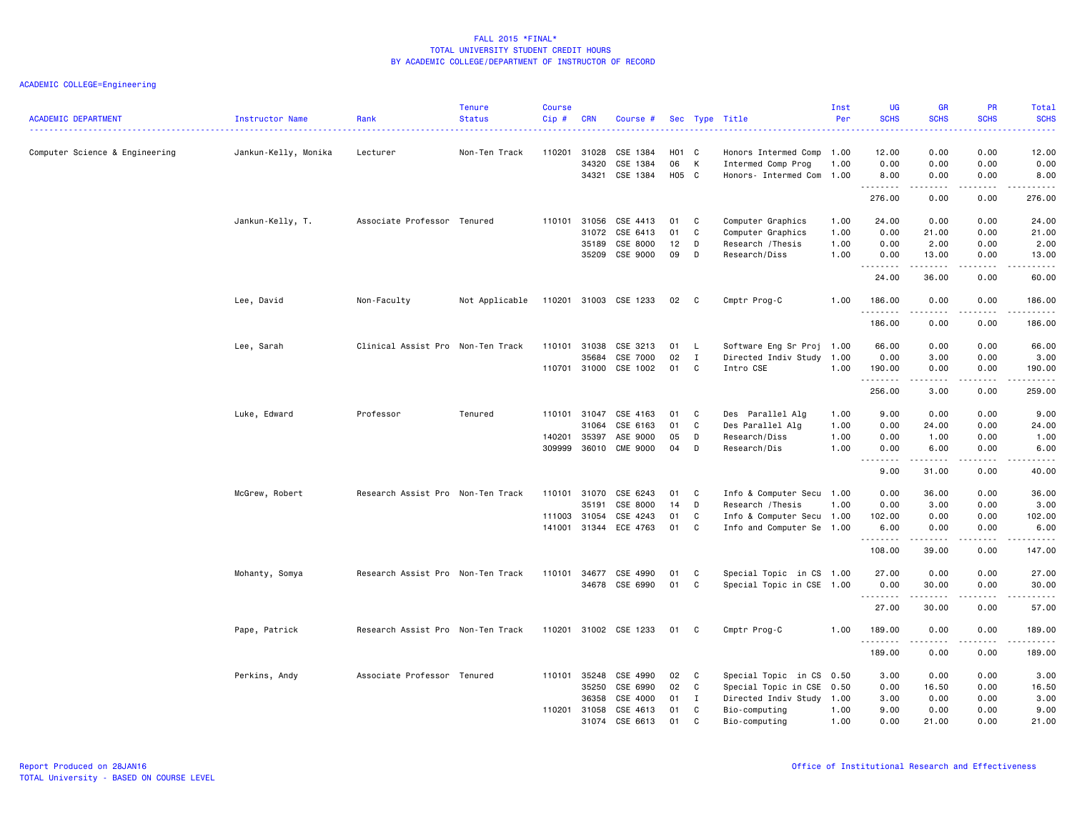| <b>ACADEMIC DEPARTMENT</b>     | Instructor Name      | Rank                              | <b>Tenure</b><br><b>Status</b> | <b>Course</b><br>$Cip$ # | <b>CRN</b>     | Course #                    |          |              | Sec Type Title                | Inst<br>Per  | UG<br><b>SCHS</b>              | <b>GR</b><br><b>SCHS</b> | <b>PR</b><br><b>SCHS</b> | Total<br><b>SCHS</b><br>$\frac{1}{2} \left( \frac{1}{2} \right) \left( \frac{1}{2} \right) \left( \frac{1}{2} \right) \left( \frac{1}{2} \right)$ |
|--------------------------------|----------------------|-----------------------------------|--------------------------------|--------------------------|----------------|-----------------------------|----------|--------------|-------------------------------|--------------|--------------------------------|--------------------------|--------------------------|---------------------------------------------------------------------------------------------------------------------------------------------------|
| Computer Science & Engineering | Jankun-Kelly, Monika | Lecturer                          | Non-Ten Track                  | 110201                   | 31028          | CSE 1384                    | H01 C    |              | Honors Intermed Comp          | 1.00         | 12.00                          | 0.00                     | 0.00                     | 12.00                                                                                                                                             |
|                                |                      |                                   |                                |                          | 34320          | CSE 1384                    | 06       | K            | Intermed Comp Prog            | 1.00         | 0.00                           | 0.00                     | 0.00                     | 0.00                                                                                                                                              |
|                                |                      |                                   |                                |                          | 34321          | CSE 1384                    | H05 C    |              | Honors- Intermed Com          | 1.00         | 8.00                           | 0.00                     | 0.00                     | 8.00                                                                                                                                              |
|                                |                      |                                   |                                |                          |                |                             |          |              |                               |              | .<br>276.00                    | 0.00                     | .<br>0.00                | .<br>276.00                                                                                                                                       |
|                                | Jankun-Kelly, T.     | Associate Professor Tenured       |                                | 110101                   | 31056          | CSE 4413                    | 01       | C            | Computer Graphics             | 1.00         | 24.00                          | 0.00                     | 0.00                     | 24.00                                                                                                                                             |
|                                |                      |                                   |                                |                          | 31072          | CSE 6413                    | 01       | C            | Computer Graphics             | 1.00         | 0.00                           | 21.00                    | 0.00                     | 21.00                                                                                                                                             |
|                                |                      |                                   |                                |                          | 35189          | CSE 8000                    | 12       | D            | Research / Thesis             | 1.00         | 0.00                           | 2.00                     | 0.00                     | 2.00                                                                                                                                              |
|                                |                      |                                   |                                |                          | 35209          | CSE 9000                    | 09       | D            | Research/Diss                 | 1.00         | 0.00                           | 13.00                    | 0.00                     | 13.00                                                                                                                                             |
|                                |                      |                                   |                                |                          |                |                             |          |              |                               |              | .<br>24.00                     | .<br>36.00               | .<br>0.00                | .<br>60.00                                                                                                                                        |
|                                | Lee, David           | Non-Faculty                       | Not Applicable                 | 110201                   |                | 31003 CSE 1233              | 02       | $\mathbf{C}$ | Cmptr Prog-C                  | 1.00         | 186.00                         | 0.00                     | 0.00                     | 186.00                                                                                                                                            |
|                                |                      |                                   |                                |                          |                |                             |          |              |                               |              | . <b>.</b><br>186.00           | 0.00                     | 0.00                     | $\begin{array}{cccccccccc} \bullet & \bullet & \bullet & \bullet & \bullet & \bullet & \bullet \end{array}$<br>186.00                             |
|                                | Lee, Sarah           | Clinical Assist Pro Non-Ten Track |                                | 110101                   | 31038          | CSE 3213                    | 01 L     |              | Software Eng Sr Proj 1.00     |              | 66.00                          | 0.00                     | 0.00                     | 66.00                                                                                                                                             |
|                                |                      |                                   |                                |                          | 35684          | CSE 7000                    | 02       | $\mathbf{I}$ | Directed Indiv Study          | 1.00         | 0.00                           | 3.00                     | 0.00                     | 3.00                                                                                                                                              |
|                                |                      |                                   |                                | 110701                   | 31000          | CSE 1002                    | 01       | C            | Intro CSE                     | 1.00         | 190.00                         | 0.00                     | 0.00                     | 190.00                                                                                                                                            |
|                                |                      |                                   |                                |                          |                |                             |          |              |                               |              | .<br>256.00                    | ----<br>3.00             | $\frac{1}{2}$<br>0.00    | $\frac{1}{2}$<br>259.00                                                                                                                           |
|                                |                      |                                   |                                |                          |                |                             |          |              |                               |              |                                |                          |                          |                                                                                                                                                   |
|                                | Luke, Edward         | Professor                         | Tenured                        | 110101                   | 31047          | CSE 4163                    | 01       | C            | Des Parallel Alg              | 1.00         | 9.00                           | 0.00                     | 0.00                     | 9.00                                                                                                                                              |
|                                |                      |                                   |                                |                          | 31064          | CSE 6163                    | 01       | C            | Des Parallel Alg              | 1.00         | 0.00                           | 24.00                    | 0.00                     | 24.00                                                                                                                                             |
|                                |                      |                                   |                                | 140201<br>309999         | 35397<br>36010 | ASE 9000<br><b>CME 9000</b> | 05<br>04 | D<br>D       | Research/Diss<br>Research/Dis | 1.00<br>1.00 | 0.00<br>0.00                   | 1.00<br>6.00             | 0.00<br>0.00             | 1.00<br>6.00                                                                                                                                      |
|                                |                      |                                   |                                |                          |                |                             |          |              |                               |              | $\frac{1}{2}$<br>$\sim$ $\sim$ | . <u>.</u>               | $\frac{1}{2}$            | -----                                                                                                                                             |
|                                |                      |                                   |                                |                          |                |                             |          |              |                               |              | 9.00                           | 31.00                    | 0.00                     | 40.00                                                                                                                                             |
|                                | McGrew, Robert       | Research Assist Pro Non-Ten Track |                                | 110101                   | 31070          | CSE 6243                    | 01       | C            | Info & Computer Secu 1.00     |              | 0.00                           | 36.00                    | 0.00                     | 36.00                                                                                                                                             |
|                                |                      |                                   |                                |                          | 35191          | CSE 8000                    | 14       | D            | Research / Thesis             | 1.00         | 0.00                           | 3.00                     | 0.00                     | 3.00                                                                                                                                              |
|                                |                      |                                   |                                | 111003                   | 31054          | CSE 4243                    | 01       | C            | Info & Computer Secu 1.00     |              | 102.00                         | 0.00                     | 0.00                     | 102.00                                                                                                                                            |
|                                |                      |                                   |                                | 141001                   | 31344          | ECE 4763                    | 01       | C            | Info and Computer Se 1.00     |              | 6.00                           | 0.00                     | 0.00                     | 6.00                                                                                                                                              |
|                                |                      |                                   |                                |                          |                |                             |          |              |                               |              | .<br>108.00                    | -----<br>39.00           | $\frac{1}{2}$<br>0.00    | .<br>147.00                                                                                                                                       |
|                                | Mohanty, Somya       | Research Assist Pro Non-Ten Track |                                | 110101                   | 34677          | CSE 4990                    | 01       | C            | Special Topic in CS 1.00      |              | 27.00                          | 0.00                     | 0.00                     | 27.00                                                                                                                                             |
|                                |                      |                                   |                                |                          | 34678          | CSE 6990                    | 01       | C            | Special Topic in CSE 1.00     |              | 0.00                           | 30.00                    | 0.00                     | 30.00                                                                                                                                             |
|                                |                      |                                   |                                |                          |                |                             |          |              |                               |              | 27.00                          | 30.00                    | 0.00                     | .<br>57.00                                                                                                                                        |
|                                | Pape, Patrick        | Research Assist Pro Non-Ten Track |                                | 110201                   |                | 31002 CSE 1233              | 01       | C            | Cmptr Prog-C                  | 1.00         | 189.00                         | 0.00                     | 0.00                     | 189.00                                                                                                                                            |
|                                |                      |                                   |                                |                          |                |                             |          |              |                               |              | .<br>189.00                    | .<br>0.00                | .<br>0.00                | <u>.</u><br>189.00                                                                                                                                |
|                                | Perkins, Andy        | Associate Professor Tenured       |                                | 110101                   | 35248          | CSE 4990                    | 02       | C            | Special Topic in CS 0.50      |              | 3.00                           | 0.00                     | 0.00                     | 3.00                                                                                                                                              |
|                                |                      |                                   |                                |                          | 35250          | CSE 6990                    | 02       | C            | Special Topic in CSE 0.50     |              | 0.00                           | 16.50                    | 0.00                     | 16.50                                                                                                                                             |
|                                |                      |                                   |                                |                          | 36358          | CSE 4000                    | 01       | $\mathbf{I}$ | Directed Indiv Study 1.00     |              | 3.00                           | 0.00                     | 0.00                     | 3.00                                                                                                                                              |
|                                |                      |                                   |                                | 110201                   | 31058          | CSE 4613                    | 01       | C            | Bio-computing                 | 1.00         | 9.00                           | 0.00                     | 0.00                     | 9.00                                                                                                                                              |
|                                |                      |                                   |                                |                          | 31074          | CSE 6613                    | 01       | $\mathsf{C}$ | Bio-computing                 | 1.00         | 0.00                           | 21.00                    | 0.00                     | 21,00                                                                                                                                             |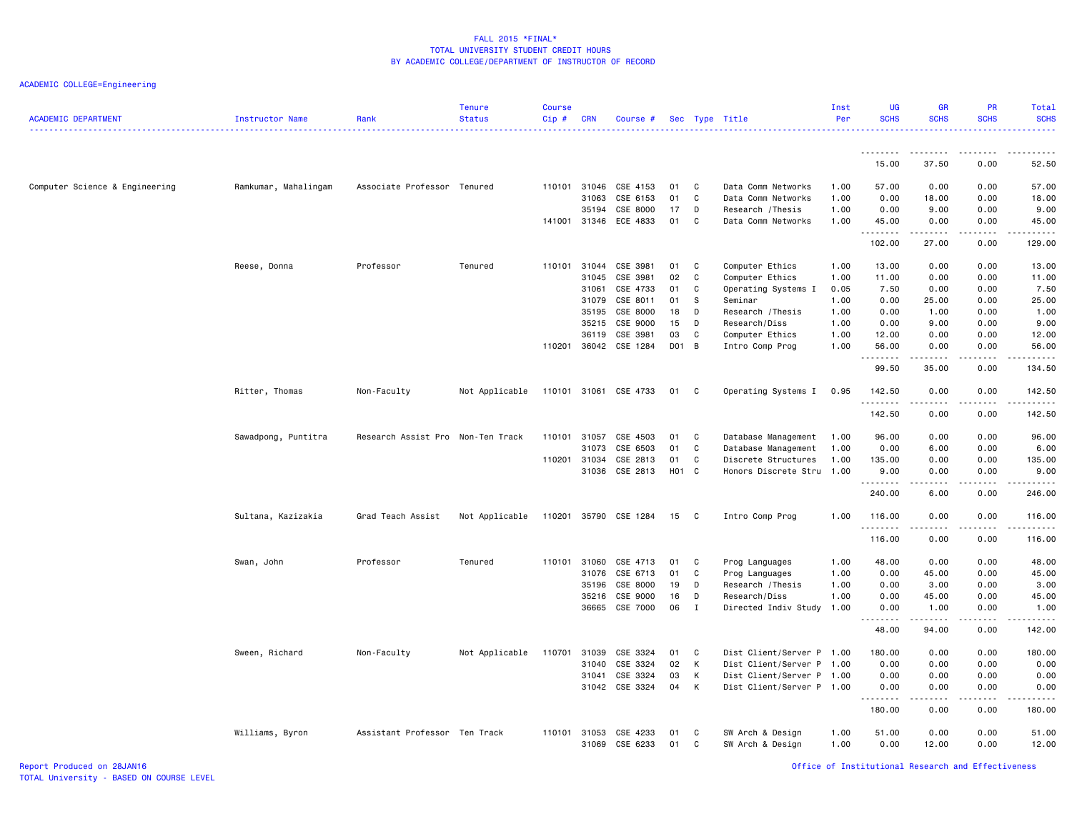ACADEMIC COLLEGE=Engineering

| <b>ACADEMIC DEPARTMENT</b>     | Instructor Name      | Rank                              | Tenure<br><b>Status</b> | <b>Course</b><br>Cip# | <b>CRN</b>   | Course #              |       |              | Sec Type Title            | Inst<br>Per | <b>UG</b><br><b>SCHS</b> | <b>GR</b><br><b>SCHS</b> | PR<br><b>SCHS</b> | Total<br><b>SCHS</b>    |
|--------------------------------|----------------------|-----------------------------------|-------------------------|-----------------------|--------------|-----------------------|-------|--------------|---------------------------|-------------|--------------------------|--------------------------|-------------------|-------------------------|
|                                |                      |                                   |                         |                       |              |                       |       |              |                           |             | <u>.</u>                 | .                        |                   |                         |
|                                |                      |                                   |                         |                       |              |                       |       |              |                           |             | 15.00                    | 37.50                    | 0.00              | 52.50                   |
| Computer Science & Engineering | Ramkumar, Mahalingam | Associate Professor Tenured       |                         | 110101                | 31046        | CSE 4153              | 01    | C            | Data Comm Networks        | 1.00        | 57.00                    | 0.00                     | 0.00              | 57.00                   |
|                                |                      |                                   |                         |                       | 31063        | CSE 6153              | 01    | C            | Data Comm Networks        | 1.00        | 0.00                     | 18.00                    | 0.00              | 18.00                   |
|                                |                      |                                   |                         |                       | 35194        | CSE 8000              | 17    | D            | Research / Thesis         | 1.00        | 0.00                     | 9.00                     | 0.00              | 9.00                    |
|                                |                      |                                   |                         |                       | 141001 31346 | ECE 4833              | 01    | C            | Data Comm Networks        | 1.00        | 45.00<br>.               | 0.00<br>.                | 0.00<br>.         | 45.00<br>.              |
|                                |                      |                                   |                         |                       |              |                       |       |              |                           |             | 102.00                   | 27.00                    | 0.00              | 129.00                  |
|                                | Reese, Donna         | Professor                         | Tenured                 |                       | 110101 31044 | CSE 3981              | 01    | C            | Computer Ethics           | 1.00        | 13.00                    | 0.00                     | 0.00              | 13.00                   |
|                                |                      |                                   |                         |                       | 31045        | CSE 3981              | 02    | C            | Computer Ethics           | 1.00        | 11.00                    | 0.00                     | 0.00              | 11.00                   |
|                                |                      |                                   |                         |                       | 31061        | CSE 4733              | 01    | C            | Operating Systems I       | 0.05        | 7.50                     | 0.00                     | 0.00              | 7.50                    |
|                                |                      |                                   |                         |                       | 31079        | CSE 8011              | 01    | s            | Seminar                   | 1.00        | 0.00                     | 25.00                    | 0.00              | 25.00                   |
|                                |                      |                                   |                         |                       | 35195        | CSE 8000              | 18    | D            | Research / Thesis         | 1.00        | 0.00                     | 1.00                     | 0.00              | 1.00                    |
|                                |                      |                                   |                         |                       | 35215        | CSE 9000              | 15    | D            | Research/Diss             | 1.00        | 0.00                     | 9.00                     | 0.00              | 9.00                    |
|                                |                      |                                   |                         |                       | 36119        | CSE 3981              | 03    | C            | Computer Ethics           | 1.00        | 12.00                    | 0.00                     | 0.00              | 12.00                   |
|                                |                      |                                   |                         | 110201                |              | 36042 CSE 1284        | D01 B |              | Intro Comp Prog           | 1.00        | 56.00<br>.               | 0.00                     | 0.00<br>.         | 56.00<br>.              |
|                                |                      |                                   |                         |                       |              |                       |       |              |                           |             | 99.50                    | .<br>35.00               | 0.00              | 134.50                  |
|                                | Ritter, Thomas       | Non-Faculty                       | Not Applicable          |                       |              | 110101 31061 CSE 4733 | 01    | $\mathbf{C}$ | Operating Systems I       | 0.95        | 142.50<br>.              | 0.00<br>د د د د          | 0.00<br>.         | 142.50<br>$- - - - - -$ |
|                                |                      |                                   |                         |                       |              |                       |       |              |                           |             | 142.50                   | 0.00                     | 0.00              | 142.50                  |
|                                | Sawadpong, Puntitra  | Research Assist Pro Non-Ten Track |                         | 110101                | 31057        | CSE 4503              | 01    | C            | Database Management       | 1.00        | 96.00                    | 0.00                     | 0.00              | 96.00                   |
|                                |                      |                                   |                         |                       | 31073        | CSE 6503              | 01    | C            | Database Management       | 1.00        | 0.00                     | 6.00                     | 0.00              | 6.00                    |
|                                |                      |                                   |                         | 110201 31034          |              | CSE 2813              | 01    | $\mathtt{C}$ | Discrete Structures       | 1.00        | 135.00                   | 0.00                     | 0.00              | 135.00                  |
|                                |                      |                                   |                         |                       | 31036        | CSE 2813              | H01 C |              | Honors Discrete Stru      | 1.00        | 9.00                     | 0.00                     | 0.00              | 9.00                    |
|                                |                      |                                   |                         |                       |              |                       |       |              |                           |             | . <b>.</b><br>240.00     | الداعات ب<br>6.00        | -----<br>0.00     | .<br>246.00             |
|                                | Sultana, Kazizakia   | Grad Teach Assist                 | Not Applicable          | 110201                | 35790        | CSE 1284              | 15    | C            | Intro Comp Prog           | 1.00        | 116.00<br>.              | 0.00<br>$- - - -$        | 0.00<br>.         | 116.00<br>.             |
|                                |                      |                                   |                         |                       |              |                       |       |              |                           |             | 116.00                   | 0.00                     | 0.00              | 116.00                  |
|                                | Swan, John           | Professor                         | Tenured                 | 110101                | 31060        | CSE 4713              | 01    | C.           | Prog Languages            | 1.00        | 48.00                    | 0.00                     | 0.00              | 48.00                   |
|                                |                      |                                   |                         |                       | 31076        | CSE 6713              | 01    | C            | Prog Languages            | 1.00        | 0.00                     | 45.00                    | 0.00              | 45.00                   |
|                                |                      |                                   |                         |                       | 35196        | CSE 8000              | 19    | D            | Research / Thesis         | 1.00        | 0.00                     | 3.00                     | 0.00              | 3.00                    |
|                                |                      |                                   |                         |                       | 35216        | CSE 9000              | 16    | D            | Research/Diss             | 1.00        | 0.00                     | 45.00                    | 0.00              | 45.00                   |
|                                |                      |                                   |                         |                       | 36665        | CSE 7000              | 06    | $\mathbf I$  | Directed Indiv Study      | 1.00        | 0.00                     | 1.00                     | 0.00              | 1.00                    |
|                                |                      |                                   |                         |                       |              |                       |       |              |                           |             | .<br>48.00               | .<br>94.00               | د د د د<br>0.00   | 2.2.2.2.2.3<br>142.00   |
|                                | Sween, Richard       | Non-Faculty                       | Not Applicable          | 110701                | 31039        | CSE 3324              | 01    | C            | Dist Client/Server P 1.00 |             | 180.00                   | 0.00                     | 0.00              | 180.00                  |
|                                |                      |                                   |                         |                       | 31040        | CSE 3324              | 02    | К            | Dist Client/Server P      | 1.00        | 0.00                     | 0.00                     | 0.00              | 0.00                    |
|                                |                      |                                   |                         |                       | 31041        | CSE 3324              | 03    | К            | Dist Client/Server P      | 1.00        | 0.00                     | 0.00                     | 0.00              | 0.00                    |
|                                |                      |                                   |                         |                       |              | 31042 CSE 3324        | 04    | К            | Dist Client/Server P 1.00 |             | 0.00                     | 0.00                     | 0.00              | 0.00                    |
|                                |                      |                                   |                         |                       |              |                       |       |              |                           |             | .<br>180.00              | .<br>0.00                | .<br>0.00         | <b></b><br>180.00       |
|                                | Williams, Byron      | Assistant Professor Ten Track     |                         | 110101                | 31053        | CSE 4233              | 01    | C            | SW Arch & Design          | 1.00        | 51.00                    | 0.00                     | 0.00              | 51.00                   |
|                                |                      |                                   |                         |                       | 31069        | CSE 6233              | 01    | C            | SW Arch & Design          | 1.00        | 0.00                     | 12.00                    | 0.00              | 12.00                   |

Report Produced on 28JAN16 Office of Institutional Research and Effectiveness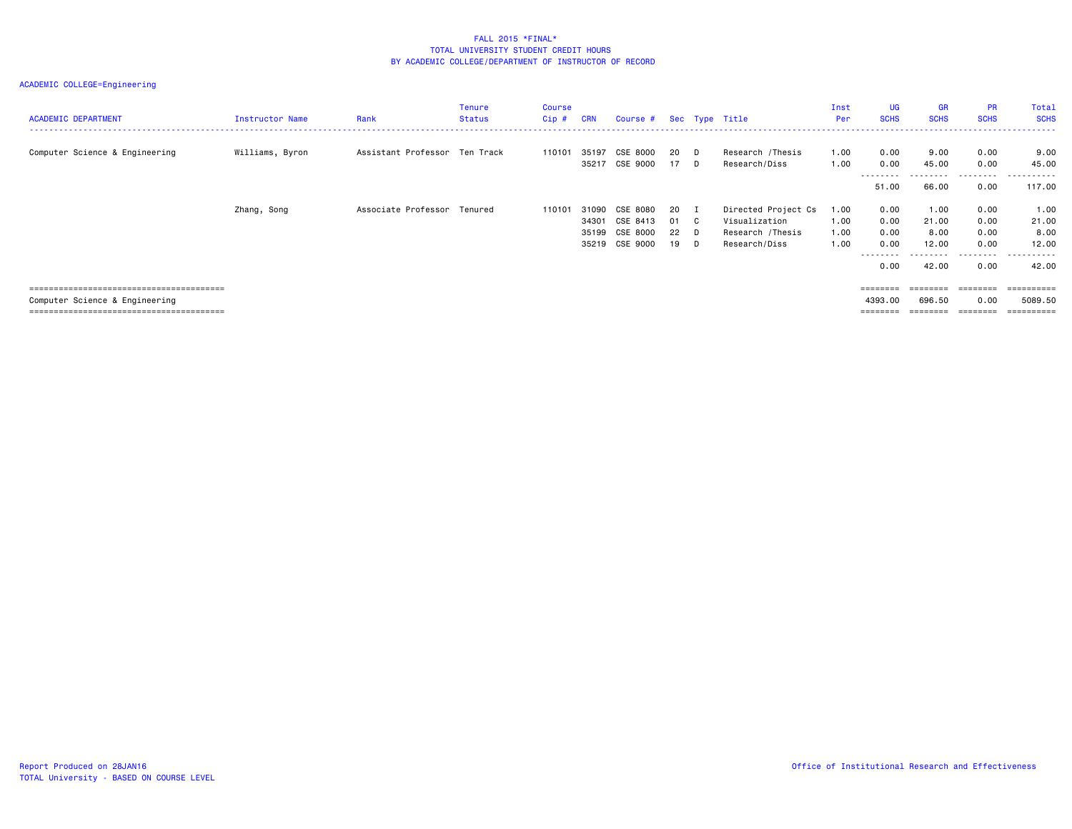| <b>ACADEMIC DEPARTMENT</b>     | Instructor Name | Rank                          | <b>Tenure</b><br><b>Status</b> | <b>Course</b><br>$Cip$ # | <b>CRN</b> | Course # Sec Type Title |      |              |                     | Inst<br>Per | UG<br><b>SCHS</b> | <b>GR</b><br><b>SCHS</b> | <b>PR</b><br><b>SCHS</b> | Total<br><b>SCHS</b> |
|--------------------------------|-----------------|-------------------------------|--------------------------------|--------------------------|------------|-------------------------|------|--------------|---------------------|-------------|-------------------|--------------------------|--------------------------|----------------------|
| Computer Science & Engineering | Williams, Byron | Assistant Professor Ten Track |                                | 110101                   | 35197      | CSE 8000                | 20   | D D          | Research /Thesis    | 1.00        | 0.00              | 9.00                     | 0.00                     | 9.00                 |
|                                |                 |                               |                                |                          |            | 35217 CSE 9000          | 17 D |              | Research/Diss       | 1.00        | 0.00<br>--------- | 45.00<br>---------       | 0.00<br>.                | 45.00<br>-------     |
|                                |                 |                               |                                |                          |            |                         |      |              |                     |             | 51.00             | 66.00                    | 0.00                     | 117.00               |
|                                | Zhang, Song     | Associate Professor Tenured   |                                | 110101                   | 31090      | CSE 8080                | 20   | $\mathbf{I}$ | Directed Project Cs | 1.00        | 0.00              | 1.00                     | 0.00                     | 1.00                 |
|                                |                 |                               |                                |                          | 34301      | CSE 8413                | 01   | $\mathbf{C}$ | Visualization       | 1.00        | 0.00              | 21.00                    | 0.00                     | 21.00                |
|                                |                 |                               |                                |                          | 35199      | CSE 8000                | 22   | D            | Research /Thesis    | 1.00        | 0.00              | 8.00                     | 0.00                     | 8.00                 |
|                                |                 |                               |                                |                          | 35219      | CSE 9000                | 19   | D.           | Research/Diss       | 1.00        | 0.00<br>--------  | 12.00                    | 0.00<br>--------         | 12.00<br>.           |
|                                |                 |                               |                                |                          |            |                         |      |              |                     |             | 0.00              | 42.00                    | 0.00                     | 42.00                |
|                                |                 |                               |                                |                          |            |                         |      |              |                     |             | ========          | ========                 | ========                 |                      |
| Computer Science & Engineering |                 |                               |                                |                          |            |                         |      |              |                     |             | 4393.00           | 696.50                   | 0.00                     | 5089.50              |
|                                |                 |                               |                                |                          |            |                         |      |              |                     |             | $=$ = = = = = = = | ========                 | ========                 | ==========           |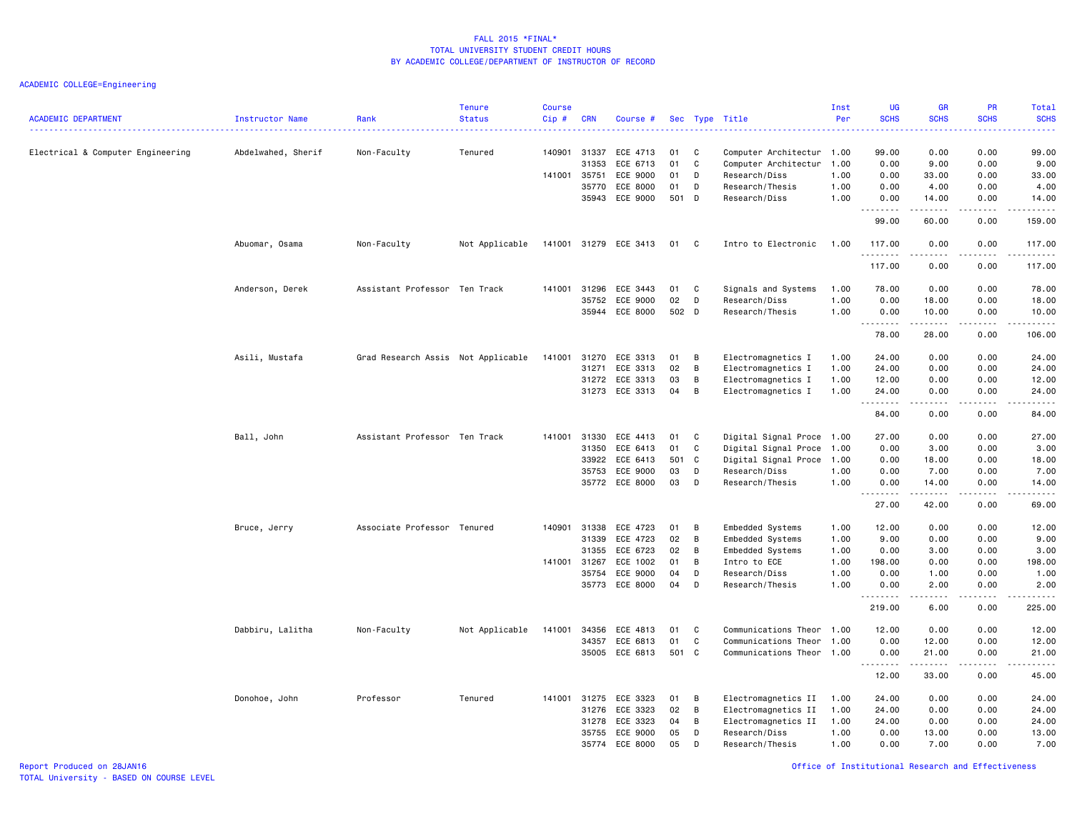| <b>ACADEMIC DEPARTMENT</b>        | <b>Instructor Name</b> | Rank                               | <b>Tenure</b><br><b>Status</b> | <b>Course</b><br>Cip# | <b>CRN</b>            | Course #                   |          |              | Sec Type Title                                    | Inst<br>Per  | <b>UG</b><br><b>SCHS</b> | <b>GR</b><br><b>SCHS</b> | <b>PR</b><br><b>SCHS</b> | Total<br><b>SCHS</b><br><b>.</b> . |
|-----------------------------------|------------------------|------------------------------------|--------------------------------|-----------------------|-----------------------|----------------------------|----------|--------------|---------------------------------------------------|--------------|--------------------------|--------------------------|--------------------------|------------------------------------|
| Electrical & Computer Engineering | Abdelwahed, Sherif     | Non-Faculty                        | Tenured                        |                       | 140901 31337<br>31353 | ECE 4713<br>ECE 6713       | 01<br>01 | C<br>C       | Computer Architectur 1.00<br>Computer Architectur | 1.00         | 99.00<br>0.00            | 0.00<br>9.00             | 0.00<br>0.00             | 99.00<br>9.00                      |
|                                   |                        |                                    |                                |                       | 141001 35751          | ECE 9000                   | 01       | D            | Research/Diss                                     | 1.00         | 0.00                     | 33.00                    | 0.00                     | 33.00                              |
|                                   |                        |                                    |                                |                       | 35770                 | ECE 8000                   | 01       | D            | Research/Thesis                                   | 1.00         | 0.00                     | 4.00                     | 0.00                     | 4.00                               |
|                                   |                        |                                    |                                |                       | 35943                 | ECE 9000                   | 501 D    |              | Research/Diss                                     | 1.00         | 0.00<br>.                | 14.00<br>.               | 0.00<br>.                | 14.00<br>.                         |
|                                   |                        |                                    |                                |                       |                       |                            |          |              |                                                   |              | 99.00                    | 60.00                    | 0.00                     | 159.00                             |
|                                   | Abuomar, Osama         | Non-Faculty                        | Not Applicable                 |                       |                       | 141001 31279 ECE 3413      | 01       | C            | Intro to Electronic                               | 1.00         | 117.00<br>.              | 0.00<br>$- - - - -$      | 0.00<br>.                | 117.00<br>.                        |
|                                   |                        |                                    |                                |                       |                       |                            |          |              |                                                   |              | 117.00                   | 0.00                     | 0.00                     | 117.00                             |
|                                   | Anderson, Derek        | Assistant Professor Ten Track      |                                | 141001                | 31296                 | ECE 3443                   | 01       | C            | Signals and Systems                               | 1.00         | 78.00                    | 0.00                     | 0.00                     | 78.00                              |
|                                   |                        |                                    |                                |                       | 35752                 | ECE 9000                   | 02       | D            | Research/Diss                                     | 1.00         | 0.00                     | 18.00                    | 0.00                     | 18.00                              |
|                                   |                        |                                    |                                |                       |                       | 35944 ECE 8000             | 502 D    |              | Research/Thesis                                   | 1.00         | 0.00<br><u>.</u>         | 10.00<br>.               | 0.00<br>.                | 10.00<br>.                         |
|                                   |                        |                                    |                                |                       |                       |                            |          |              |                                                   |              | 78.00                    | 28.00                    | 0.00                     | 106.00                             |
|                                   | Asili, Mustafa         | Grad Research Assis Not Applicable |                                | 141001                | 31270                 | ECE 3313                   | 01       | B            | Electromagnetics I                                | 1.00         | 24.00                    | 0.00                     | 0.00                     | 24.00                              |
|                                   |                        |                                    |                                |                       | 31271                 | ECE 3313                   | 02       | В            | Electromagnetics I                                | 1.00         | 24.00                    | 0.00                     | 0.00                     | 24.00                              |
|                                   |                        |                                    |                                |                       | 31272                 | ECE 3313                   | 03       | В            | Electromagnetics I                                | 1.00         | 12.00                    | 0.00                     | 0.00                     | 12.00                              |
|                                   |                        |                                    |                                |                       |                       | 31273 ECE 3313             | 04       | B            | Electromagnetics I                                | 1.00         | 24.00<br>.               | 0.00<br>.                | 0.00<br>.                | 24.00<br>.                         |
|                                   |                        |                                    |                                |                       |                       |                            |          |              |                                                   |              | 84.00                    | 0.00                     | 0.00                     | 84.00                              |
|                                   | Ball, John             | Assistant Professor Ten Track      |                                | 141001                | 31330                 | ECE 4413                   | 01       | C            | Digital Signal Proce 1.00                         |              | 27.00                    | 0.00                     | 0.00                     | 27.00                              |
|                                   |                        |                                    |                                |                       | 31350                 | ECE 6413                   | 01       | C            | Digital Signal Proce                              | 1.00         | 0.00                     | 3.00                     | 0.00                     | 3.00                               |
|                                   |                        |                                    |                                |                       | 33922                 | ECE 6413                   | 501      | $\mathbf{C}$ | Digital Signal Proce                              | 1.00         | 0.00                     | 18.00                    | 0.00                     | 18.00                              |
|                                   |                        |                                    |                                |                       | 35753                 | ECE 9000<br>35772 ECE 8000 | 03<br>03 | D            | Research/Diss                                     | 1.00         | 0.00                     | 7.00                     | 0.00                     | 7.00                               |
|                                   |                        |                                    |                                |                       |                       |                            |          | D            | Research/Thesis                                   | 1.00         | 0.00<br>.                | 14.00                    | 0.00                     | 14.00<br>.                         |
|                                   |                        |                                    |                                |                       |                       |                            |          |              |                                                   |              | 27.00                    | 42.00                    | 0.00                     | 69.00                              |
|                                   | Bruce, Jerry           | Associate Professor Tenured        |                                | 140901                | 31338                 | ECE 4723                   | 01       | B            | Embedded Systems                                  | 1.00         | 12.00                    | 0.00                     | 0.00                     | 12.00                              |
|                                   |                        |                                    |                                |                       | 31339                 | ECE 4723                   | 02       | В            | Embedded Systems                                  | 1.00         | 9.00                     | 0.00                     | 0.00                     | 9.00                               |
|                                   |                        |                                    |                                |                       | 31355                 | ECE 6723                   | 02       | B            | Embedded Systems                                  | 1.00         | 0.00                     | 3.00                     | 0.00                     | 3.00                               |
|                                   |                        |                                    |                                | 141001                | 31267<br>35754        | ECE 1002<br>ECE 9000       | 01<br>04 | B<br>D       | Intro to ECE<br>Research/Diss                     | 1.00<br>1.00 | 198.00<br>0.00           | 0.00<br>1.00             | 0.00<br>0.00             | 198.00<br>1.00                     |
|                                   |                        |                                    |                                |                       | 35773                 | ECE 8000                   | 04       | D            | Research/Thesis                                   | 1.00         | 0.00                     | 2.00                     | 0.00                     | 2.00                               |
|                                   |                        |                                    |                                |                       |                       |                            |          |              |                                                   |              | .<br>219.00              | .<br>6.00                | .<br>0.00                | .<br>225.00                        |
|                                   | Dabbiru, Lalitha       | Non-Faculty                        | Not Applicable                 | 141001                | 34356                 | ECE 4813                   | 01       | C            | Communications Theor                              | 1.00         | 12.00                    | 0.00                     | 0.00                     | 12.00                              |
|                                   |                        |                                    |                                |                       | 34357                 | ECE 6813                   | 01       | $\mathsf C$  | Communications Theor                              | 1.00         | 0.00                     | 12.00                    | 0.00                     | 12.00                              |
|                                   |                        |                                    |                                |                       |                       | 35005 ECE 6813             | 501 C    |              | Communications Theor 1.00                         |              | 0.00                     | 21.00                    | 0.00                     | 21.00                              |
|                                   |                        |                                    |                                |                       |                       |                            |          |              |                                                   |              | .<br>12.00               | ------<br>33.00          | .<br>0.00                | .<br>45.00                         |
|                                   | Donohoe, John          | Professor                          | Tenured                        |                       | 141001 31275          | ECE 3323                   | 01       | B            | Electromagnetics II                               | 1.00         | 24.00                    | 0.00                     | 0.00                     | 24.00                              |
|                                   |                        |                                    |                                |                       | 31276                 | ECE 3323                   | 02       | В            | Electromagnetics II                               | 1.00         | 24.00                    | 0.00                     | 0.00                     | 24.00                              |
|                                   |                        |                                    |                                |                       | 31278                 | ECE 3323                   | 04       | B            | Electromagnetics II                               | 1.00         | 24.00                    | 0.00                     | 0.00                     | 24.00                              |
|                                   |                        |                                    |                                |                       | 35755                 | ECE 9000                   | 05       | D            | Research/Diss                                     | 1.00         | 0.00                     | 13.00                    | 0.00                     | 13.00                              |
|                                   |                        |                                    |                                |                       |                       | 35774 ECE 8000             | 05       | D            | Research/Thesis                                   | 1.00         | 0.00                     | 7.00                     | 0.00                     | 7.00                               |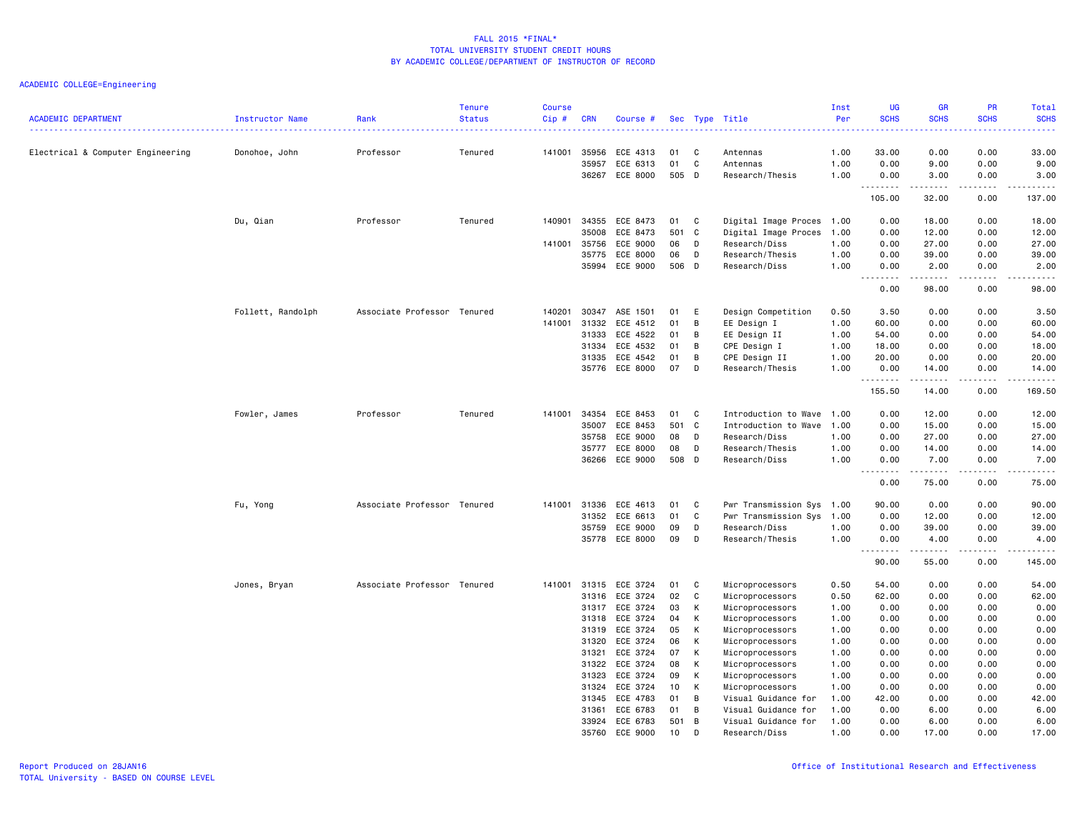|                                   |                   |                             | <b>Tenure</b> | <b>Course</b> |                |                      |           |        |                                      | Inst         | UG                                 | <b>GR</b>    | PR                           | Total                 |
|-----------------------------------|-------------------|-----------------------------|---------------|---------------|----------------|----------------------|-----------|--------|--------------------------------------|--------------|------------------------------------|--------------|------------------------------|-----------------------|
| <b>ACADEMIC DEPARTMENT</b>        | Instructor Name   | Rank                        | <b>Status</b> | $Cip$ #       | <b>CRN</b>     | Course #             |           |        | Sec Type Title                       | Per          | <b>SCHS</b>                        | <b>SCHS</b>  | <b>SCHS</b>                  | <b>SCHS</b>           |
| Electrical & Computer Engineering | Donohoe, John     | Professor                   | Tenured       | 141001        | 35956          | ECE 4313             | 01        | C      | Antennas                             | 1.00         | 33.00                              | 0.00         | 0.00                         | 33.00                 |
|                                   |                   |                             |               |               | 35957          | ECE 6313             | 01        | C      | Antennas                             | 1.00         | 0.00                               | 9.00         | 0.00                         | 9.00                  |
|                                   |                   |                             |               |               | 36267          | ECE 8000             | 505 D     |        | Research/Thesis                      | 1.00         | 0.00                               | 3.00         | 0.00                         | 3.00                  |
|                                   |                   |                             |               |               |                |                      |           |        |                                      |              | . <b>.</b><br>105.00               | .<br>32.00   | .<br>0.00                    | .<br>137.00           |
|                                   | Du, Qian          | Professor                   | Tenured       | 140901        | 34355          | ECE 8473             | 01        | C      | Digital Image Proces                 | 1.00         | 0.00                               | 18.00        | 0.00                         | 18.00                 |
|                                   |                   |                             |               |               | 35008          | ECE 8473             | 501 C     |        | Digital Image Proces                 | 1.00         | 0.00                               | 12.00        | 0.00                         | 12.00                 |
|                                   |                   |                             |               | 141001        | 35756          | ECE 9000             | 06        | D      | Research/Diss                        | 1.00         | 0.00                               | 27.00        | 0.00                         | 27.00                 |
|                                   |                   |                             |               |               | 35775          | ECE 8000             | 06        | D      | Research/Thesis                      | 1.00         | 0.00                               | 39.00        | 0.00                         | 39.00                 |
|                                   |                   |                             |               |               | 35994          | ECE 9000             | 506 D     |        | Research/Diss                        | 1.00         | 0.00<br>$- - - -$<br>$\sim$ $\sim$ | 2.00<br>.    | 0.00<br>$\sim$ $\sim$ $\sim$ | 2.00<br>$\frac{1}{2}$ |
|                                   |                   |                             |               |               |                |                      |           |        |                                      |              | 0.00                               | 98.00        | 0.00                         | 98.00                 |
|                                   | Follett, Randolph | Associate Professor Tenured |               | 140201        | 30347          | ASE 1501             | 01        | E      | Design Competition                   | 0.50         | 3.50                               | 0.00         | 0.00                         | 3.50                  |
|                                   |                   |                             |               | 141001        | 31332          | ECE 4512             | 01        | B      | EE Design I                          | 1.00         | 60.00                              | 0.00         | 0.00                         | 60.00                 |
|                                   |                   |                             |               |               | 31333          | ECE 4522             | 01        | В      | EE Design II                         | 1.00         | 54.00                              | 0.00         | 0.00                         | 54.00                 |
|                                   |                   |                             |               |               | 31334          | ECE 4532             | 01        | B      | CPE Design I                         | 1.00         | 18.00                              | 0.00         | 0.00                         | 18.00                 |
|                                   |                   |                             |               |               | 31335          | ECE 4542             | 01        | В      | CPE Design II                        | 1.00         | 20.00                              | 0.00         | 0.00                         | 20.00                 |
|                                   |                   |                             |               |               | 35776          | ECE 8000             | 07        | D      | Research/Thesis                      | 1.00         | 0.00<br>. <b>.</b>                 | 14.00<br>.   | 0.00<br>$\frac{1}{2}$        | 14.00<br>.            |
|                                   |                   |                             |               |               |                |                      |           |        |                                      |              | 155.50                             | 14.00        | 0.00                         | 169.50                |
|                                   | Fowler, James     | Professor                   | Tenured       | 141001        | 34354          | ECE 8453             | 01        | C      | Introduction to Wave                 | 1.00         | 0.00                               | 12.00        | 0.00                         | 12.00                 |
|                                   |                   |                             |               |               | 35007          | ECE 8453             | 501 C     |        | Introduction to Wave                 | 1.00         | 0.00                               | 15.00        | 0.00                         | 15.00                 |
|                                   |                   |                             |               |               | 35758          | ECE 9000             | 08        | D      | Research/Diss                        | 1.00         | 0.00                               | 27.00        | 0.00                         | 27.00                 |
|                                   |                   |                             |               |               | 35777          | ECE 8000             | 08        | D      | Research/Thesis                      | 1.00         | 0.00                               | 14.00        | 0.00                         | 14.00                 |
|                                   |                   |                             |               |               | 36266          | ECE 9000             | 508 D     |        | Research/Diss                        | 1.00         | 0.00<br>$\sim$ $\sim$ $\sim$<br>.  | 7.00<br>.    | 0.00<br>.                    | 7.00<br>.             |
|                                   |                   |                             |               |               |                |                      |           |        |                                      |              | 0.00                               | 75.00        | 0.00                         | 75.00                 |
|                                   | Fu, Yong          | Associate Professor Tenured |               | 141001        | 31336          | ECE 4613             | 01        | C      | Pwr Transmission Sys 1.00            |              | 90.00                              | 0.00         | 0.00                         | 90.00                 |
|                                   |                   |                             |               |               | 31352          | ECE 6613             | 01        | C      | Pwr Transmission Sys                 | 1.00         | 0.00                               | 12.00        | 0.00                         | 12.00                 |
|                                   |                   |                             |               |               | 35759          | ECE 9000             | 09        | D      | Research/Diss                        | 1.00         | 0.00                               | 39.00        | 0.00                         | 39.00                 |
|                                   |                   |                             |               |               | 35778          | ECE 8000             | 09        | D      | Research/Thesis                      | 1.00         | 0.00<br>.<br>$\sim$ $\sim$         | 4.00         | 0.00<br>$  -$                | 4.00<br>$\frac{1}{2}$ |
|                                   |                   |                             |               |               |                |                      |           |        |                                      |              | 90.00                              | 55.00        | 0.00                         | 145.00                |
|                                   | Jones, Bryan      | Associate Professor Tenured |               | 141001        | 31315          | ECE 3724             | 01        | C      | Microprocessors                      | 0.50         | 54.00                              | 0.00         | 0.00                         | 54.00                 |
|                                   |                   |                             |               |               | 31316          | ECE 3724             | 02        | C      | Microprocessors                      | 0.50         | 62.00                              | 0.00         | 0.00                         | 62.00                 |
|                                   |                   |                             |               |               | 31317          | ECE 3724             | 03        | К      | Microprocessors                      | 1.00         | 0.00                               | 0.00         | 0.00                         | 0.00                  |
|                                   |                   |                             |               |               | 31318          | ECE 3724             | 04        | К      | Microprocessors                      | 1.00         | 0.00                               | 0.00         | 0.00                         | 0.00                  |
|                                   |                   |                             |               |               | 31319          | ECE 3724             | 05        | К      | Microprocessors                      | 1.00         | 0.00                               | 0.00         | 0.00                         | 0.00                  |
|                                   |                   |                             |               |               | 31320          | ECE 3724             | 06        | К      | Microprocessors                      | 1.00         | 0.00                               | 0.00         | 0.00                         | 0.00                  |
|                                   |                   |                             |               |               | 31321          | ECE 3724             | 07        | К      | Microprocessors                      | 1.00         | 0.00                               | 0.00         | 0.00                         | 0.00                  |
|                                   |                   |                             |               |               | 31322          | ECE 3724             | 08        | К      | Microprocessors                      | 1.00         | 0.00                               | 0.00         | 0.00                         | 0.00                  |
|                                   |                   |                             |               |               | 31323          | ECE 3724             | 09        | К      | Microprocessors                      | 1.00         | 0.00                               | 0.00         | 0.00                         | 0.00                  |
|                                   |                   |                             |               |               | 31324          | ECE 3724             | 10        | K      | Microprocessors                      | 1.00         | 0.00                               | 0.00         | 0.00                         | 0.00                  |
|                                   |                   |                             |               |               | 31345          | ECE 4783             | 01        | B      | Visual Guidance for                  | 1.00         | 42.00                              | 0.00         | 0.00                         | 42.00                 |
|                                   |                   |                             |               |               | 31361<br>33924 | ECE 6783<br>ECE 6783 | 01<br>501 | в<br>B | Visual Guidance for                  | 1.00<br>1.00 | 0.00<br>0.00                       | 6.00<br>6.00 | 0.00<br>0.00                 | 6.00<br>6.00          |
|                                   |                   |                             |               |               | 35760          | ECE 9000             | 10        | D      | Visual Guidance for<br>Research/Diss | 1.00         | 0.00                               | 17.00        | 0.00                         | 17.00                 |
|                                   |                   |                             |               |               |                |                      |           |        |                                      |              |                                    |              |                              |                       |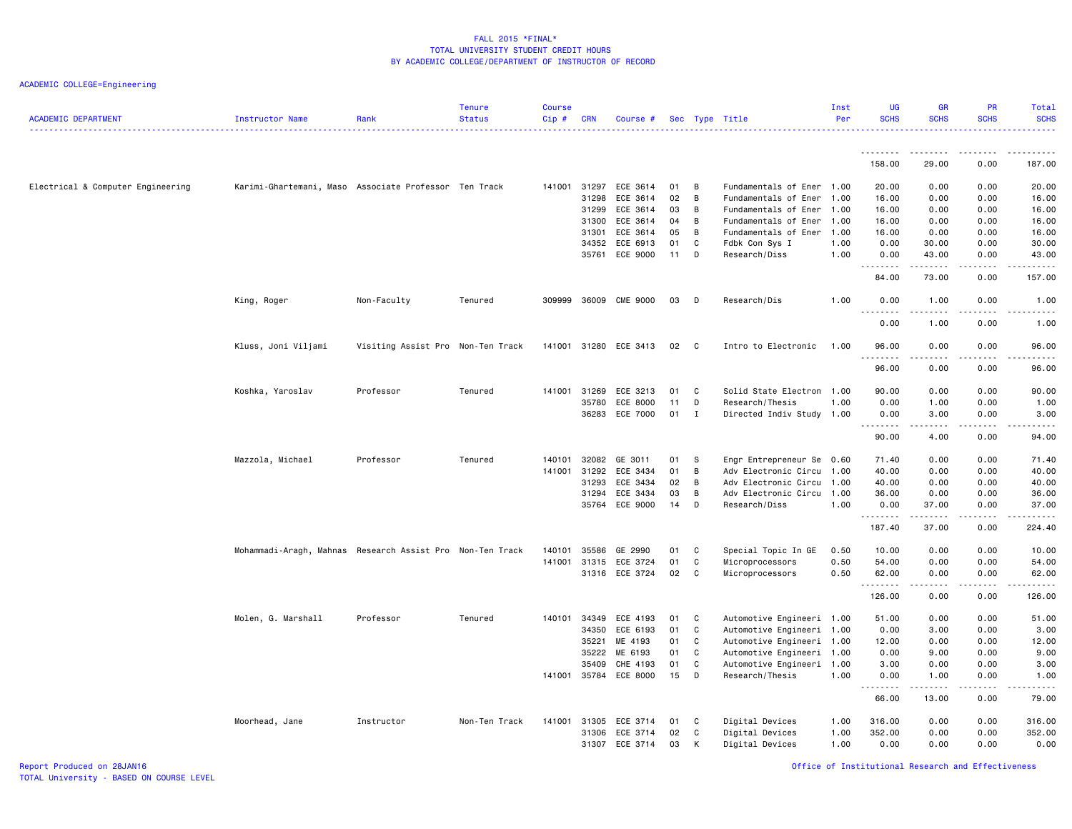ACADEMIC COLLEGE=Engineering

| <b>ACADEMIC DEPARTMENT</b>        | <b>Instructor Name</b>                                    | Rank                              | Tenure<br><b>Status</b> | <b>Course</b><br>Cip# | <b>CRN</b>   | Course #              |    |              | Sec Type Title            | Inst<br>Per | <b>UG</b><br><b>SCHS</b> | <b>GR</b><br><b>SCHS</b>                                                                                                                                     | <b>PR</b><br><b>SCHS</b> | Total<br><b>SCHS</b>   |
|-----------------------------------|-----------------------------------------------------------|-----------------------------------|-------------------------|-----------------------|--------------|-----------------------|----|--------------|---------------------------|-------------|--------------------------|--------------------------------------------------------------------------------------------------------------------------------------------------------------|--------------------------|------------------------|
|                                   |                                                           |                                   |                         |                       |              |                       |    |              |                           |             | <u>.</u>                 | .                                                                                                                                                            | .                        | $- - - - - -$          |
|                                   |                                                           |                                   |                         |                       |              |                       |    |              |                           |             | 158.00                   | 29.00                                                                                                                                                        | 0.00                     | 187.00                 |
| Electrical & Computer Engineering | Karimi-Ghartemani, Maso Associate Professor Ten Track     |                                   |                         | 141001 31297          |              | ECE 3614              | 01 | B            | Fundamentals of Ener 1.00 |             | 20.00                    | 0.00                                                                                                                                                         | 0.00                     | 20.00                  |
|                                   |                                                           |                                   |                         |                       | 31298        | ECE 3614              | 02 | B            | Fundamentals of Ener      | 1.00        | 16.00                    | 0.00                                                                                                                                                         | 0.00                     | 16.00                  |
|                                   |                                                           |                                   |                         |                       | 31299        | ECE 3614              | 03 | B            | Fundamentals of Ener      | 1.00        | 16.00                    | 0.00                                                                                                                                                         | 0.00                     | 16.00                  |
|                                   |                                                           |                                   |                         |                       | 31300        | ECE 3614              | 04 | B            | Fundamentals of Ener      | 1.00        | 16.00                    | 0.00                                                                                                                                                         | 0.00                     | 16.00                  |
|                                   |                                                           |                                   |                         |                       | 31301        | ECE 3614              | 05 | B            | Fundamentals of Ener      | 1.00        | 16.00                    | 0.00                                                                                                                                                         | 0.00                     | 16.00                  |
|                                   |                                                           |                                   |                         |                       | 34352        | ECE 6913              | 01 | C            | Fdbk Con Sys I            | 1.00        | 0.00                     | 30.00                                                                                                                                                        | 0.00                     | 30.00                  |
|                                   |                                                           |                                   |                         |                       | 35761        | ECE 9000              | 11 | D            | Research/Diss             | 1.00        | 0.00<br>.                | 43.00<br>.                                                                                                                                                   | 0.00<br>.                | 43.00<br>.             |
|                                   |                                                           |                                   |                         |                       |              |                       |    |              |                           |             | 84.00                    | 73.00                                                                                                                                                        | 0.00                     | 157.00                 |
|                                   | King, Roger                                               | Non-Faculty                       | Tenured                 | 309999                | 36009        | CME 9000              | 03 | D            | Research/Dis              | 1.00        | 0.00                     | 1.00<br>$\frac{1}{2} \left( \frac{1}{2} \right) \left( \frac{1}{2} \right) \left( \frac{1}{2} \right) \left( \frac{1}{2} \right) \left( \frac{1}{2} \right)$ | 0.00                     | 1.00<br>المالم مالك    |
|                                   |                                                           |                                   |                         |                       |              |                       |    |              |                           |             | 0.00                     | 1.00                                                                                                                                                         | 0.00                     | 1.00                   |
|                                   | Kluss, Joni Viljami                                       | Visiting Assist Pro Non-Ten Track |                         |                       |              | 141001 31280 ECE 3413 | 02 | $\mathbf{C}$ | Intro to Electronic       | 1.00        | 96.00<br>.               | 0.00<br>د د د د                                                                                                                                              | 0.00<br>.                | 96.00<br>$\frac{1}{2}$ |
|                                   |                                                           |                                   |                         |                       |              |                       |    |              |                           |             | 96.00                    | 0.00                                                                                                                                                         | 0.00                     | 96.00                  |
|                                   | Koshka, Yaroslav                                          | Professor                         | Tenured                 |                       | 141001 31269 | ECE 3213              | 01 | C            | Solid State Electron 1.00 |             | 90.00                    | 0.00                                                                                                                                                         | 0.00                     | 90.00                  |
|                                   |                                                           |                                   |                         |                       | 35780        | ECE 8000              | 11 | D            | Research/Thesis           | 1.00        | 0.00                     | 1.00                                                                                                                                                         | 0.00                     | 1.00                   |
|                                   |                                                           |                                   |                         |                       | 36283        | ECE 7000              | 01 | $\mathbf I$  | Directed Indiv Study 1.00 |             | 0.00                     | 3.00                                                                                                                                                         | 0.00                     | 3.00                   |
|                                   |                                                           |                                   |                         |                       |              |                       |    |              |                           |             | .<br>90.00               | .<br>4.00                                                                                                                                                    | 0.00                     | 94.00                  |
|                                   | Mazzola, Michael                                          | Professor                         | Tenured                 | 140101                | 32082        | GE 3011               | 01 | S            | Engr Entrepreneur Se      | 0.60        | 71.40                    | 0.00                                                                                                                                                         | 0.00                     | 71.40                  |
|                                   |                                                           |                                   |                         | 141001                | 31292        | ECE 3434              | 01 | B            | Adv Electronic Circu      | 1.00        | 40.00                    | 0.00                                                                                                                                                         | 0.00                     | 40.00                  |
|                                   |                                                           |                                   |                         |                       | 31293        | ECE 3434              | 02 | B            | Adv Electronic Circu      | 1.00        | 40.00                    | 0.00                                                                                                                                                         | 0.00                     | 40.00                  |
|                                   |                                                           |                                   |                         |                       | 31294        | ECE 3434              | 03 | B            | Adv Electronic Circu 1.00 |             | 36.00                    | 0.00                                                                                                                                                         | 0.00                     | 36.00                  |
|                                   |                                                           |                                   |                         |                       |              | 35764 ECE 9000        | 14 | D            | Research/Diss             | 1.00        | 0.00<br>.                | 37.00<br>.                                                                                                                                                   | 0.00<br>$- - - - -$      | 37.00<br>.             |
|                                   |                                                           |                                   |                         |                       |              |                       |    |              |                           |             | 187.40                   | 37.00                                                                                                                                                        | 0.00                     | 224.40                 |
|                                   | Mohammadi-Aragh, Mahnas Research Assist Pro Non-Ten Track |                                   |                         | 140101                | 35586        | GE 2990               | 01 | C            | Special Topic In GE       | 0.50        | 10.00                    | 0.00                                                                                                                                                         | 0.00                     | 10.00                  |
|                                   |                                                           |                                   |                         | 141001                | 31315        | ECE 3724              | 01 | C            | Microprocessors           | 0.50        | 54.00                    | 0.00                                                                                                                                                         | 0.00                     | 54.00                  |
|                                   |                                                           |                                   |                         |                       |              | 31316 ECE 3724        | 02 | C            | Microprocessors           | 0.50        | 62.00<br>.               | 0.00<br>د د د د                                                                                                                                              | 0.00<br>.                | 62.00                  |
|                                   |                                                           |                                   |                         |                       |              |                       |    |              |                           |             | 126.00                   | 0.00                                                                                                                                                         | 0.00                     | .<br>126.00            |
|                                   | Molen, G. Marshall                                        | Professor                         | Tenured                 |                       | 140101 34349 | ECE 4193              | 01 | C            | Automotive Engineeri 1.00 |             | 51.00                    | 0.00                                                                                                                                                         | 0.00                     | 51.00                  |
|                                   |                                                           |                                   |                         |                       | 34350        | ECE 6193              | 01 | C            | Automotive Engineeri 1.00 |             | 0.00                     | 3.00                                                                                                                                                         | 0.00                     | 3.00                   |
|                                   |                                                           |                                   |                         |                       | 35221        | ME 4193               | 01 | C            | Automotive Engineeri 1.00 |             | 12.00                    | 0.00                                                                                                                                                         | 0.00                     | 12.00                  |
|                                   |                                                           |                                   |                         |                       | 35222        | ME 6193               | 01 | C            | Automotive Engineeri 1.00 |             | 0.00                     | 9.00                                                                                                                                                         | 0.00                     | 9.00                   |
|                                   |                                                           |                                   |                         |                       | 35409        | CHE 4193              | 01 | C            | Automotive Engineeri 1.00 |             | 3.00                     | 0.00                                                                                                                                                         | 0.00                     | 3.00                   |
|                                   |                                                           |                                   |                         | 141001                | 35784        | ECE 8000              | 15 | D            | Research/Thesis           | 1.00        | 0.00<br>$  -$            | 1.00                                                                                                                                                         | 0.00                     | 1.00<br>.              |
|                                   |                                                           |                                   |                         |                       |              |                       |    |              |                           |             | 66.00                    | 13.00                                                                                                                                                        | 0.00                     | 79.00                  |
|                                   | Moorhead, Jane                                            | Instructor                        | Non-Ten Track           | 141001                | 31305        | ECE 3714              | 01 | C            | Digital Devices           | 1.00        | 316.00                   | 0.00                                                                                                                                                         | 0.00                     | 316.00                 |
|                                   |                                                           |                                   |                         |                       | 31306        | ECE 3714              | 02 | C            | Digital Devices           | 1.00        | 352.00                   | 0.00                                                                                                                                                         | 0.00                     | 352.00                 |
|                                   |                                                           |                                   |                         |                       |              | 31307 ECE 3714        | 03 | К            | Digital Devices           | 1.00        | 0.00                     | 0.00                                                                                                                                                         | 0.00                     | 0.00                   |

Report Produced on 28JAN16 Office of Institutional Research and Effectiveness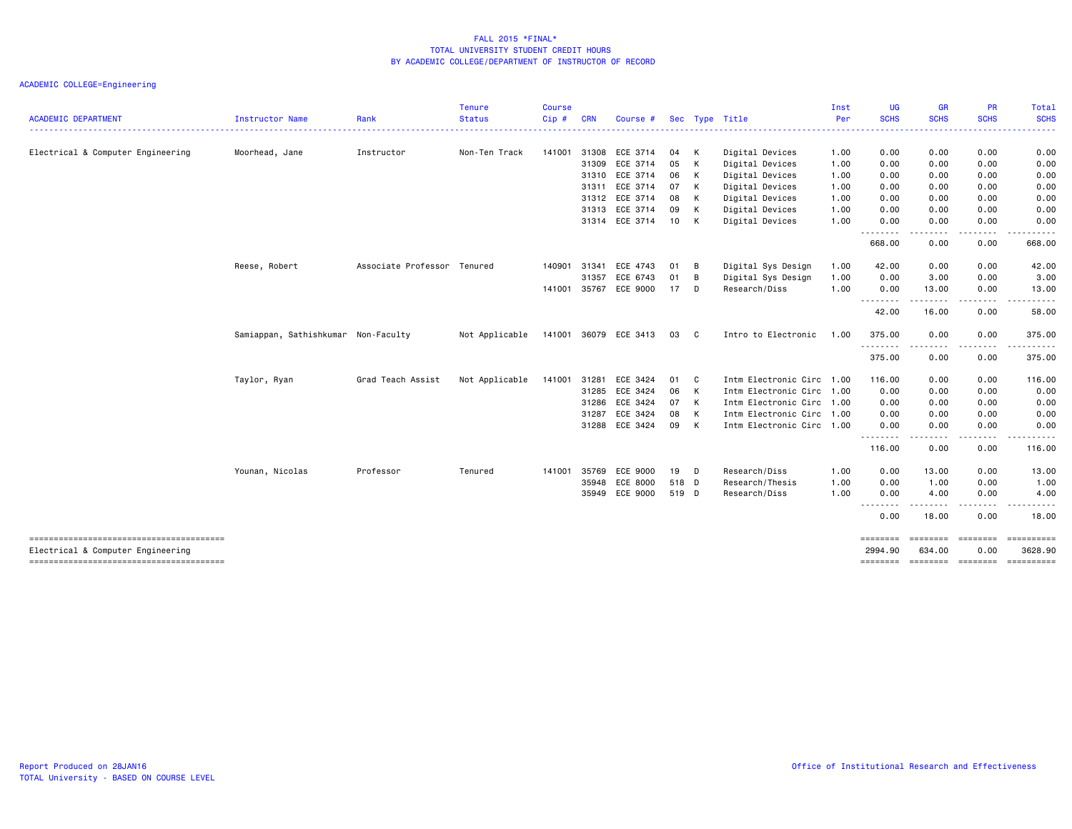| <b>ACADEMIC DEPARTMENT</b>        | Instructor Name                     | Rank                        | <b>Tenure</b><br><b>Status</b> | <b>Course</b><br>Cip# | <b>CRN</b> | Course #       |       |              | Sec Type Title            | Inst<br>Per | <b>UG</b><br><b>SCHS</b>                                                                                                          | <b>GR</b><br><b>SCHS</b> | PR<br><b>SCHS</b>      | Total<br><b>SCHS</b>                                                                                                                                                                                                                                                                                                                                                                                                                                                                              |
|-----------------------------------|-------------------------------------|-----------------------------|--------------------------------|-----------------------|------------|----------------|-------|--------------|---------------------------|-------------|-----------------------------------------------------------------------------------------------------------------------------------|--------------------------|------------------------|---------------------------------------------------------------------------------------------------------------------------------------------------------------------------------------------------------------------------------------------------------------------------------------------------------------------------------------------------------------------------------------------------------------------------------------------------------------------------------------------------|
|                                   |                                     |                             |                                |                       |            |                |       |              |                           |             |                                                                                                                                   | .                        |                        | .                                                                                                                                                                                                                                                                                                                                                                                                                                                                                                 |
| Electrical & Computer Engineering | Moorhead, Jane                      | Instructor                  | Non-Ten Track                  | 141001                |            | 31308 ECE 3714 | 04    | K            | Digital Devices           | 1.00        | 0.00                                                                                                                              | 0.00                     | 0.00                   | 0.00                                                                                                                                                                                                                                                                                                                                                                                                                                                                                              |
|                                   |                                     |                             |                                |                       | 31309      | ECE 3714       | 05    | $\mathsf{K}$ | Digital Devices           | 1.00        | 0.00                                                                                                                              | 0.00                     | 0.00                   | 0.00                                                                                                                                                                                                                                                                                                                                                                                                                                                                                              |
|                                   |                                     |                             |                                |                       | 31310      | ECE 3714       | 06    | K            | Digital Devices           | 1.00        | 0.00                                                                                                                              | 0.00                     | 0.00                   | 0.00                                                                                                                                                                                                                                                                                                                                                                                                                                                                                              |
|                                   |                                     |                             |                                |                       | 31311      | ECE 3714       | 07    | K            | Digital Devices           | 1.00        | 0.00                                                                                                                              | 0.00                     | 0.00                   | 0.00                                                                                                                                                                                                                                                                                                                                                                                                                                                                                              |
|                                   |                                     |                             |                                |                       |            | 31312 ECE 3714 | 08    | K            | Digital Devices           | 1.00        | 0.00                                                                                                                              | 0.00                     | 0.00                   | 0.00                                                                                                                                                                                                                                                                                                                                                                                                                                                                                              |
|                                   |                                     |                             |                                |                       | 31313      | ECE 3714       | 09    | K            | Digital Devices           | 1.00        | 0.00                                                                                                                              | 0.00                     | 0.00                   | 0.00                                                                                                                                                                                                                                                                                                                                                                                                                                                                                              |
|                                   |                                     |                             |                                |                       |            | 31314 ECE 3714 | 10    | K            | Digital Devices           | 1.00        | 0.00<br>$\frac{1}{2} \left( \frac{1}{2} \right) \left( \frac{1}{2} \right) \left( \frac{1}{2} \right) \left( \frac{1}{2} \right)$ | 0.00                     | 0.00                   | 0.00                                                                                                                                                                                                                                                                                                                                                                                                                                                                                              |
|                                   |                                     |                             |                                |                       |            |                |       |              |                           |             | 668.00                                                                                                                            | 0.00                     | 0.00                   | 668.00                                                                                                                                                                                                                                                                                                                                                                                                                                                                                            |
|                                   | Reese, Robert                       | Associate Professor Tenured |                                | 140901                | 31341      | ECE 4743       | 01    | B            | Digital Sys Design        | 1.00        | 42.00                                                                                                                             | 0.00                     | 0.00                   | 42.00                                                                                                                                                                                                                                                                                                                                                                                                                                                                                             |
|                                   |                                     |                             |                                |                       | 31357      | ECE 6743       | 01    | B            | Digital Sys Design        | 1.00        | 0.00                                                                                                                              | 3.00                     | 0.00                   | 3.00                                                                                                                                                                                                                                                                                                                                                                                                                                                                                              |
|                                   |                                     |                             |                                | 141001                |            | 35767 ECE 9000 | 17 D  |              | Research/Diss             | 1.00        | 0.00<br>.                                                                                                                         | 13.00                    | 0.00                   | 13.00                                                                                                                                                                                                                                                                                                                                                                                                                                                                                             |
|                                   |                                     |                             |                                |                       |            |                |       |              |                           |             | 42.00                                                                                                                             | 16.00                    | 0.00                   | 58.00                                                                                                                                                                                                                                                                                                                                                                                                                                                                                             |
|                                   | Samiappan, Sathishkumar Non-Faculty |                             | Not Applicable                 | 141001                | 36079      | ECE 3413       | 03    | C            | Intro to Electronic       | 1.00        | 375.00                                                                                                                            | 0.00                     | 0.00                   | 375.00                                                                                                                                                                                                                                                                                                                                                                                                                                                                                            |
|                                   |                                     |                             |                                |                       |            |                |       |              |                           |             | .<br>375.00                                                                                                                       | 0.00                     | 0.00                   | 375.00                                                                                                                                                                                                                                                                                                                                                                                                                                                                                            |
|                                   | Taylor, Ryan                        | Grad Teach Assist           | Not Applicable                 | 141001                | 31281      | ECE 3424       | 01    | C.           | Intm Electronic Circ      | 1.00        | 116.00                                                                                                                            | 0.00                     | 0.00                   | 116.00                                                                                                                                                                                                                                                                                                                                                                                                                                                                                            |
|                                   |                                     |                             |                                |                       | 31285      | ECE 3424       | 06    | K            | Intm Electronic Circ      | 1.00        | 0.00                                                                                                                              | 0.00                     | 0.00                   | 0.00                                                                                                                                                                                                                                                                                                                                                                                                                                                                                              |
|                                   |                                     |                             |                                |                       | 31286      | ECE 3424       | 07    | K            | Intm Electronic Circ 1.00 |             | 0.00                                                                                                                              | 0.00                     | 0.00                   | 0.00                                                                                                                                                                                                                                                                                                                                                                                                                                                                                              |
|                                   |                                     |                             |                                |                       | 31287      | ECE 3424       | 08    | к            | Intm Electronic Circ      | 1.00        | 0.00                                                                                                                              | 0.00                     | 0.00                   | 0.00                                                                                                                                                                                                                                                                                                                                                                                                                                                                                              |
|                                   |                                     |                             |                                |                       | 31288      | ECE 3424       | 09    | K            | Intm Electronic Circ 1.00 |             | 0.00                                                                                                                              | 0.00                     | 0.00                   | 0.00                                                                                                                                                                                                                                                                                                                                                                                                                                                                                              |
|                                   |                                     |                             |                                |                       |            |                |       |              |                           |             | <u>.</u><br>116.00                                                                                                                | $\frac{1}{2}$<br>0.00    | $- - - - -$<br>0.00    | .<br>116.00                                                                                                                                                                                                                                                                                                                                                                                                                                                                                       |
|                                   | Younan, Nicolas                     | Professor                   | Tenured                        | 141001                | 35769      | ECE 9000       | 19    | <b>D</b>     | Research/Diss             | 1.00        | 0.00                                                                                                                              | 13.00                    | 0.00                   | 13.00                                                                                                                                                                                                                                                                                                                                                                                                                                                                                             |
|                                   |                                     |                             |                                |                       | 35948      | ECE 8000       | 518 D |              | Research/Thesis           | 1.00        | 0.00                                                                                                                              | 1.00                     | 0.00                   | 1.00                                                                                                                                                                                                                                                                                                                                                                                                                                                                                              |
|                                   |                                     |                             |                                |                       |            | 35949 ECE 9000 | 519 D |              | Research/Diss             | 1.00        | 0.00<br><u>.</u>                                                                                                                  | 4.00<br>.                | 0.00                   | 4.00                                                                                                                                                                                                                                                                                                                                                                                                                                                                                              |
|                                   |                                     |                             |                                |                       |            |                |       |              |                           |             | 0.00                                                                                                                              | 18.00                    | 0.00                   | 18.00                                                                                                                                                                                                                                                                                                                                                                                                                                                                                             |
| Electrical & Computer Engineering |                                     |                             |                                |                       |            |                |       |              |                           |             | ========<br>2994.90                                                                                                               | ========<br>634.00       | <b>ESSESSE</b><br>0.00 | $\begin{array}{cccccccccc} \multicolumn{3}{c}{} & \multicolumn{3}{c}{} & \multicolumn{3}{c}{} & \multicolumn{3}{c}{} & \multicolumn{3}{c}{} & \multicolumn{3}{c}{} & \multicolumn{3}{c}{} & \multicolumn{3}{c}{} & \multicolumn{3}{c}{} & \multicolumn{3}{c}{} & \multicolumn{3}{c}{} & \multicolumn{3}{c}{} & \multicolumn{3}{c}{} & \multicolumn{3}{c}{} & \multicolumn{3}{c}{} & \multicolumn{3}{c}{} & \multicolumn{3}{c}{} & \multicolumn{3}{c}{} & \multicolumn{3}{c}{} & \mult$<br>3628.90 |
|                                   |                                     |                             |                                |                       |            |                |       |              |                           |             | ========                                                                                                                          |                          | ======== ========      | ==========                                                                                                                                                                                                                                                                                                                                                                                                                                                                                        |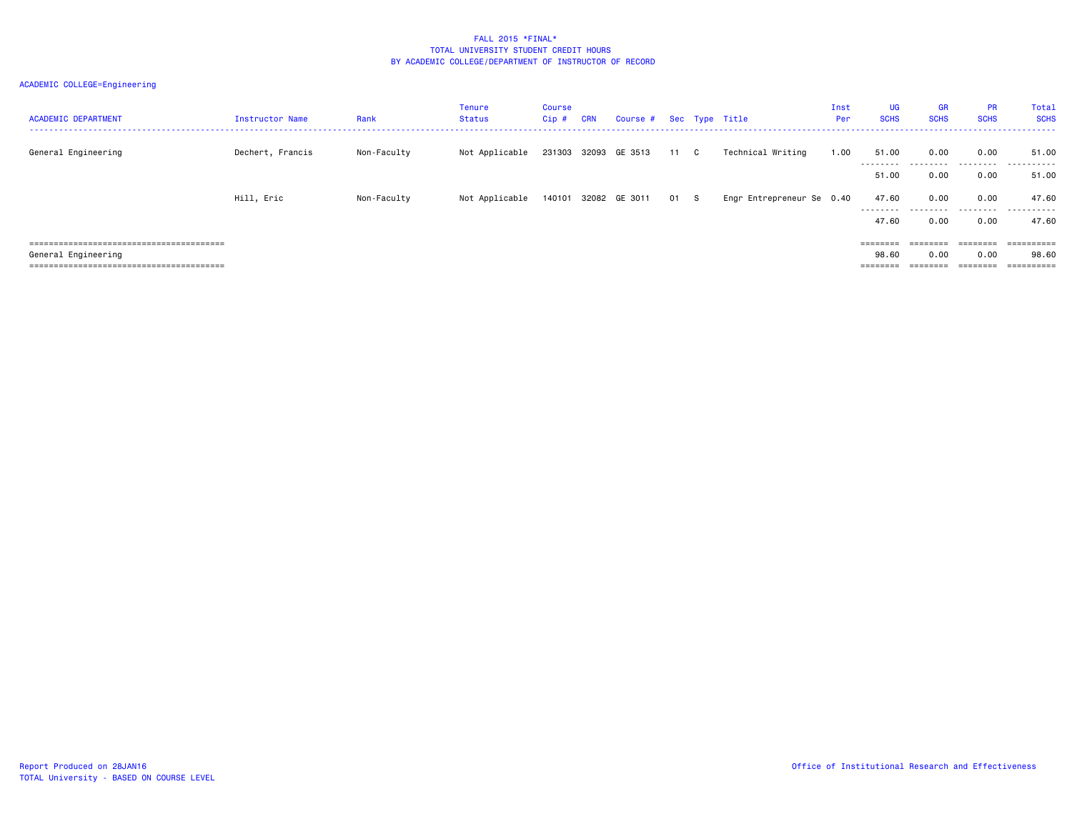| <b>ACADEMIC DEPARTMENT</b> | Instructor Name  | Rank        | Tenure<br>Status | <b>Course</b><br>Cip # | <b>CRN</b> | Course # Sec Type Title |      |                           | Inst<br>Per | UG<br><b>SCHS</b>  | <b>GR</b><br><b>SCHS</b> | <b>PR</b><br><b>SCHS</b> | Total<br><b>SCHS</b> |
|----------------------------|------------------|-------------|------------------|------------------------|------------|-------------------------|------|---------------------------|-------------|--------------------|--------------------------|--------------------------|----------------------|
| General Engineering        | Dechert, Francis | Non-Faculty | Not Applicable   |                        |            | 231303 32093 GE 3513    | 11 C | Technical Writing         | 1.00        | 51.00<br>--------  | 0.00                     | 0.00<br>.                | 51.00<br>.           |
|                            |                  |             |                  |                        |            |                         |      |                           |             | 51.00              | 0.00                     | 0.00                     | 51.00                |
|                            | Hill, Eric       | Non-Faculty | Not Applicable   |                        |            | 140101 32082 GE 3011    | 01 S | Engr Entrepreneur Se 0.40 |             | 47.60<br>--------- | 0.00<br>.                | 0.00<br>.                | 47.60<br>.           |
|                            |                  |             |                  |                        |            |                         |      |                           |             | 47.60              | 0.00                     | 0.00                     | 47.60                |
|                            |                  |             |                  |                        |            |                         |      |                           |             | ========           |                          |                          | eessessess           |
| General Engineering        |                  |             |                  |                        |            |                         |      |                           |             | 98.60              | 0.00                     | 0.00                     | 98.60                |
|                            |                  |             |                  |                        |            |                         |      |                           |             |                    |                          |                          |                      |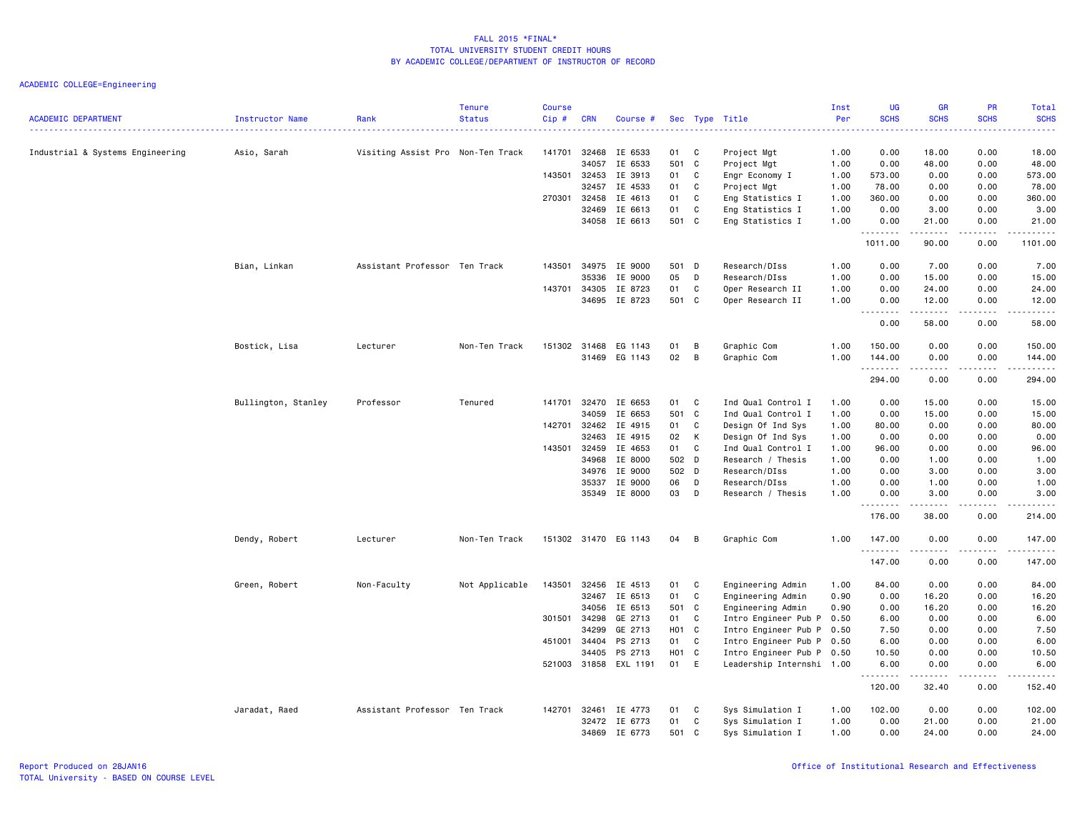|                                  |                        |                                   | <b>Tenure</b>  | <b>Course</b> |            |                      |                   |              |                           | Inst | UG           | <b>GR</b>                                   | PR          | <b>Total</b>                                                                                                                                                   |
|----------------------------------|------------------------|-----------------------------------|----------------|---------------|------------|----------------------|-------------------|--------------|---------------------------|------|--------------|---------------------------------------------|-------------|----------------------------------------------------------------------------------------------------------------------------------------------------------------|
| <b>ACADEMIC DEPARTMENT</b>       | <b>Instructor Name</b> | Rank                              | <b>Status</b>  | Cip#          | <b>CRN</b> | Course #             |                   |              | Sec Type Title            | Per  | <b>SCHS</b>  | <b>SCHS</b>                                 | <b>SCHS</b> | <b>SCHS</b>                                                                                                                                                    |
| Industrial & Systems Engineering | Asio, Sarah            | Visiting Assist Pro Non-Ten Track |                | 141701        | 32468      | IE 6533              | 01                | C            | Project Mgt               | 1.00 | 0.00         | 18.00                                       | 0.00        | 18.00                                                                                                                                                          |
|                                  |                        |                                   |                |               | 34057      | IE 6533              | 501 C             |              | Project Mgt               | 1.00 | 0.00         | 48.00                                       | 0.00        | 48.00                                                                                                                                                          |
|                                  |                        |                                   |                | 143501        | 32453      | IE 3913              | 01                | C            | Engr Economy I            | 1.00 | 573.00       | 0.00                                        | 0.00        | 573.00                                                                                                                                                         |
|                                  |                        |                                   |                |               | 32457      | IE 4533              | 01                | C            | Project Mgt               | 1.00 | 78.00        | 0.00                                        | 0.00        | 78.00                                                                                                                                                          |
|                                  |                        |                                   |                | 270301        | 32458      | IE 4613              | 01                | C            | Eng Statistics I          | 1.00 | 360.00       | 0.00                                        | 0.00        | 360.00                                                                                                                                                         |
|                                  |                        |                                   |                |               | 32469      | IE 6613              | 01                | C            | Eng Statistics I          | 1.00 | 0.00         | 3.00                                        | 0.00        | 3.00                                                                                                                                                           |
|                                  |                        |                                   |                |               |            | 34058 IE 6613        | 501 C             |              | Eng Statistics I          | 1.00 | 0.00         | 21.00                                       | 0.00        | 21.00                                                                                                                                                          |
|                                  |                        |                                   |                |               |            |                      |                   |              |                           |      | .<br>1011.00 | $\sim$ $\sim$ $\sim$ $\sim$ $\sim$<br>90.00 | .<br>0.00   | .<br>1101.00                                                                                                                                                   |
|                                  | Bian, Linkan           | Assistant Professor Ten Track     |                | 143501        | 34975      | IE 9000              | 501 D             |              | Research/DIss             | 1.00 | 0.00         | 7.00                                        | 0.00        | 7.00                                                                                                                                                           |
|                                  |                        |                                   |                |               | 35336      | IE 9000              | 05                | D            | Research/DIss             | 1.00 | 0.00         | 15.00                                       | 0.00        | 15.00                                                                                                                                                          |
|                                  |                        |                                   |                | 143701        | 34305      | IE 8723              | 01                | C            | Oper Research II          | 1.00 | 0.00         | 24.00                                       | 0.00        | 24.00                                                                                                                                                          |
|                                  |                        |                                   |                |               | 34695      | IE 8723              | 501 C             |              | Oper Research II          | 1.00 | 0.00         | 12.00                                       | 0.00        | 12.00                                                                                                                                                          |
|                                  |                        |                                   |                |               |            |                      |                   |              |                           |      | .<br>0.00    | .<br>58.00                                  | .<br>0.00   | .<br>58.00                                                                                                                                                     |
|                                  | Bostick, Lisa          | Lecturer                          | Non-Ten Track  | 151302        | 31468      | EG 1143              | 01                | B            | Graphic Com               | 1.00 | 150.00       | 0.00                                        | 0.00        | 150.00                                                                                                                                                         |
|                                  |                        |                                   |                |               |            | 31469 EG 1143        | 02                | B            | Graphic Com               | 1.00 | 144.00       | 0.00                                        | 0.00        | 144.00                                                                                                                                                         |
|                                  |                        |                                   |                |               |            |                      |                   |              |                           |      | .<br>294.00  | .<br>0.00                                   | .<br>0.00   | .<br>294.00                                                                                                                                                    |
|                                  | Bullington, Stanley    | Professor                         | Tenured        | 141701        | 32470      | IE 6653              | 01 C              |              | Ind Qual Control I        | 1.00 | 0.00         | 15.00                                       | 0.00        | 15.00                                                                                                                                                          |
|                                  |                        |                                   |                |               | 34059      | IE 6653              | 501 C             |              | Ind Qual Control I        | 1.00 | 0.00         | 15.00                                       | 0.00        | 15.00                                                                                                                                                          |
|                                  |                        |                                   |                | 142701        | 32462      | IE 4915              | 01                | C            | Design Of Ind Sys         | 1.00 | 80.00        | 0.00                                        | 0.00        | 80.00                                                                                                                                                          |
|                                  |                        |                                   |                |               | 32463      | IE 4915              | 02                | K            | Design Of Ind Sys         | 1.00 | 0.00         | 0.00                                        | 0.00        | 0.00                                                                                                                                                           |
|                                  |                        |                                   |                | 143501        | 32459      | IE 4653              | 01                | C            | Ind Qual Control I        | 1.00 | 96.00        | 0.00                                        | 0.00        | 96.00                                                                                                                                                          |
|                                  |                        |                                   |                |               | 34968      | IE 8000              | 502 D             |              | Research / Thesis         | 1.00 | 0.00         | 1.00                                        | 0.00        | 1.00                                                                                                                                                           |
|                                  |                        |                                   |                |               | 34976      | IE 9000              | 502 D             |              | Research/DIss             | 1.00 | 0.00         | 3.00                                        | 0.00        | 3.00                                                                                                                                                           |
|                                  |                        |                                   |                |               | 35337      | IE 9000              | 06                | D            | Research/DIss             | 1.00 | 0.00         | 1.00                                        | 0.00        | 1.00                                                                                                                                                           |
|                                  |                        |                                   |                |               |            | 35349 IE 8000        | 03                | D            | Research / Thesis         | 1.00 | 0.00         | 3.00                                        | 0.00        | 3.00                                                                                                                                                           |
|                                  |                        |                                   |                |               |            |                      |                   |              |                           |      | .<br>176.00  | . <b>.</b><br>38.00                         | 0.00        | .<br>214.00                                                                                                                                                    |
|                                  | Dendy, Robert          | Lecturer                          | Non-Ten Track  |               |            | 151302 31470 EG 1143 | 04                | B            | Graphic Com               | 1.00 | 147.00       | 0.00                                        | 0.00        | 147.00                                                                                                                                                         |
|                                  |                        |                                   |                |               |            |                      |                   |              |                           |      | .<br>147.00  | .<br>0.00                                   | .<br>0.00   | $\frac{1}{2} \left( \frac{1}{2} \right) \left( \frac{1}{2} \right) \left( \frac{1}{2} \right) \left( \frac{1}{2} \right) \left( \frac{1}{2} \right)$<br>147.00 |
|                                  | Green, Robert          | Non-Faculty                       | Not Applicable | 143501        | 32456      | IE 4513              | 01                | C            | Engineering Admin         | 1.00 | 84.00        | 0.00                                        | 0.00        | 84.00                                                                                                                                                          |
|                                  |                        |                                   |                |               | 32467      | IE 6513              | 01                | C            | Engineering Admin         | 0.90 | 0.00         | 16.20                                       | 0.00        | 16.20                                                                                                                                                          |
|                                  |                        |                                   |                |               | 34056      | IE 6513              | 501 C             |              | Engineering Admin         | 0.90 | 0.00         | 16.20                                       | 0.00        | 16.20                                                                                                                                                          |
|                                  |                        |                                   |                | 301501        | 34298      | GE 2713              | 01                | C            | Intro Engineer Pub P      | 0.50 | 6.00         | 0.00                                        | 0.00        | 6.00                                                                                                                                                           |
|                                  |                        |                                   |                |               | 34299      | GE 2713              | H01 C             |              | Intro Engineer Pub P      | 0.50 | 7.50         | 0.00                                        | 0.00        | 7.50                                                                                                                                                           |
|                                  |                        |                                   |                | 451001        | 34404      | PS 2713              | 01                | C            | Intro Engineer Pub P      | 0.50 | 6.00         | 0.00                                        | 0.00        | 6.00                                                                                                                                                           |
|                                  |                        |                                   |                |               | 34405      | PS 2713              | H <sub>01</sub> C |              | Intro Engineer Pub P      | 0.50 | 10.50        | 0.00                                        | 0.00        | 10.50                                                                                                                                                          |
|                                  |                        |                                   |                | 521003        | 31858      | EXL 1191             | 01                | E            | Leadership Internshi 1.00 |      | 6.00<br>.    | 0.00                                        | 0.00        | 6.00<br>.                                                                                                                                                      |
|                                  |                        |                                   |                |               |            |                      |                   |              |                           |      | 120.00       | 32.40                                       | 0.00        | 152.40                                                                                                                                                         |
|                                  | Jaradat, Raed          | Assistant Professor Ten Track     |                | 142701        | 32461      | IE 4773              | 01                | C            | Sys Simulation I          | 1.00 | 102.00       | 0.00                                        | 0.00        | 102.00                                                                                                                                                         |
|                                  |                        |                                   |                |               | 32472      | IE 6773              | 01                | $\mathtt{C}$ | Sys Simulation I          | 1.00 | 0.00         | 21.00                                       | 0.00        | 21.00                                                                                                                                                          |
|                                  |                        |                                   |                |               | 34869      | IE 6773              | 501               | C.           | Sys Simulation I          | 1.00 | 0.00         | 24.00                                       | 0.00        | 24.00                                                                                                                                                          |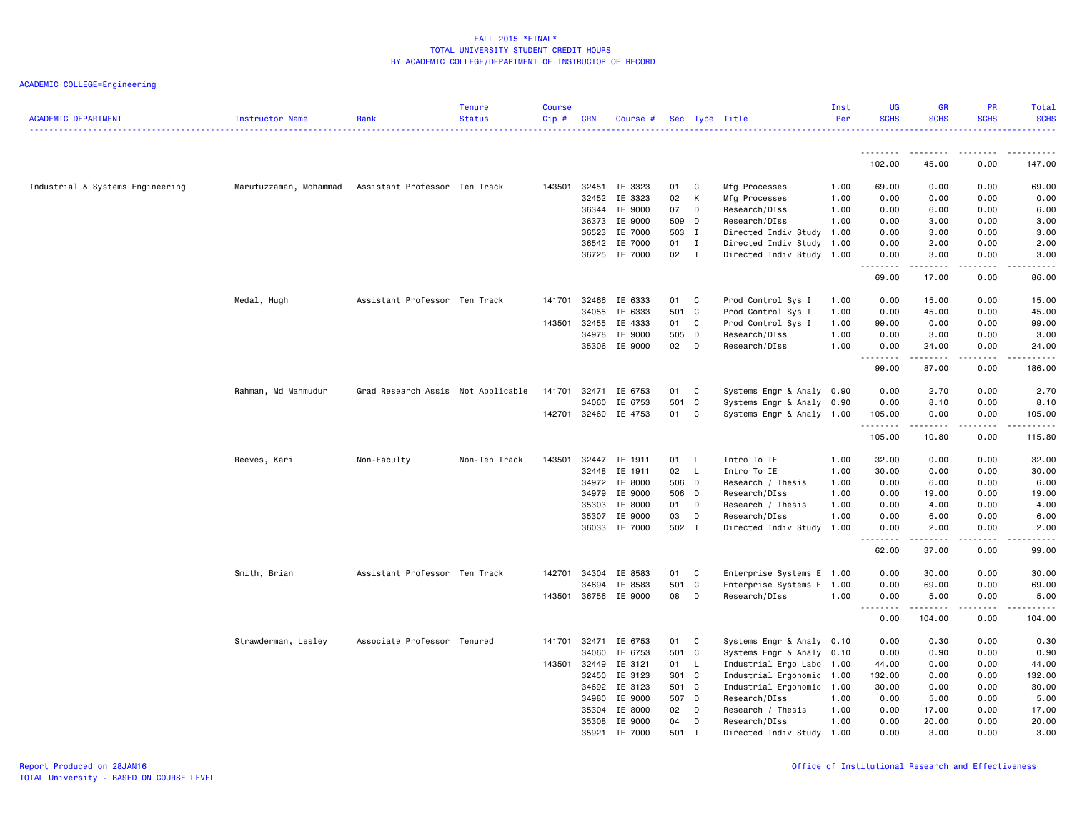| <b>ACADEMIC DEPARTMENT</b>       | <b>Instructor Name</b>                               | Rank                               | <b>Tenure</b><br><b>Status</b> | <b>Course</b><br>Cip# | <b>CRN</b> | Course #             |       |              | Sec Type Title            | Inst<br>Per | UG<br><b>SCHS</b>        | <b>GR</b><br><b>SCHS</b> | <b>PR</b><br><b>SCHS</b> | Total<br><b>SCHS</b>                                                                                                                                         |
|----------------------------------|------------------------------------------------------|------------------------------------|--------------------------------|-----------------------|------------|----------------------|-------|--------------|---------------------------|-------------|--------------------------|--------------------------|--------------------------|--------------------------------------------------------------------------------------------------------------------------------------------------------------|
|                                  |                                                      |                                    |                                |                       |            |                      |       |              |                           |             |                          |                          |                          |                                                                                                                                                              |
|                                  |                                                      |                                    |                                |                       |            |                      |       |              |                           |             | .<br>102.00              | . <u>.</u> .<br>45.00    | 0.00                     | 147.00                                                                                                                                                       |
| Industrial & Systems Engineering | Marufuzzaman, Mohammad Assistant Professor Ten Track |                                    |                                | 143501                | 32451      | IE 3323              | 01    | $\mathbf{C}$ | Mfg Processes             | 1.00        | 69.00                    | 0.00                     | 0.00                     | 69.00                                                                                                                                                        |
|                                  |                                                      |                                    |                                |                       | 32452      | IE 3323              | 02    | $\mathsf{K}$ | Mfg Processes             | 1.00        | 0.00                     | 0.00                     | 0.00                     | 0.00                                                                                                                                                         |
|                                  |                                                      |                                    |                                |                       | 36344      | IE 9000              | 07    | D            | Research/DIss             | 1.00        | 0.00                     | 6.00                     | 0.00                     | 6.00                                                                                                                                                         |
|                                  |                                                      |                                    |                                |                       | 36373      | IE 9000              | 509 D |              | Research/DIss             | 1.00        | 0.00                     | 3.00                     | 0.00                     | 3.00                                                                                                                                                         |
|                                  |                                                      |                                    |                                |                       | 36523      | IE 7000              | 503 I |              | Directed Indiv Study      | 1.00        | 0.00                     | 3.00                     | 0.00                     | 3.00                                                                                                                                                         |
|                                  |                                                      |                                    |                                |                       |            | 36542 IE 7000        | 01    | $\mathbf{I}$ | Directed Indiv Study 1.00 |             | 0.00                     | 2.00                     | 0.00                     | 2.00                                                                                                                                                         |
|                                  |                                                      |                                    |                                |                       |            | 36725 IE 7000        | 02 I  |              | Directed Indiv Study 1.00 |             | 0.00<br>.                | 3.00<br>.                | 0.00<br>.                | 3.00<br>$\frac{1}{2} \left( \frac{1}{2} \right) \left( \frac{1}{2} \right) \left( \frac{1}{2} \right) \left( \frac{1}{2} \right) \left( \frac{1}{2} \right)$ |
|                                  |                                                      |                                    |                                |                       |            |                      |       |              |                           |             | 69.00                    | 17.00                    | 0.00                     | 86.00                                                                                                                                                        |
|                                  | Medal, Hugh                                          | Assistant Professor Ten Track      |                                | 141701                | 32466      | IE 6333              | 01    | $\mathbf{C}$ | Prod Control Sys I        | 1.00        | 0.00                     | 15.00                    | 0.00                     | 15.00                                                                                                                                                        |
|                                  |                                                      |                                    |                                |                       | 34055      | IE 6333              | 501 C |              | Prod Control Sys I        | 1.00        | 0.00                     | 45.00                    | 0.00                     | 45.00                                                                                                                                                        |
|                                  |                                                      |                                    |                                | 143501                | 32455      | IE 4333              | 01 C  |              | Prod Control Sys I        | 1.00        | 99.00                    | 0.00                     | 0.00                     | 99.00                                                                                                                                                        |
|                                  |                                                      |                                    |                                |                       | 34978      | IE 9000              | 505 D |              | Research/DIss             | 1.00        | 0.00                     | 3.00                     | 0.00                     | 3.00                                                                                                                                                         |
|                                  |                                                      |                                    |                                |                       |            | 35306 IE 9000        | 02 D  |              | Research/DIss             | 1.00        | 0.00<br>.                | 24.00<br>.               | 0.00<br>.                | 24.00<br>.                                                                                                                                                   |
|                                  |                                                      |                                    |                                |                       |            |                      |       |              |                           |             | 99.00                    | 87.00                    | 0.00                     | 186.00                                                                                                                                                       |
|                                  | Rahman, Md Mahmudur                                  | Grad Research Assis Not Applicable |                                | 141701                | 32471      | IE 6753              | 01    | C            | Systems Engr & Analy 0.90 |             | 0.00                     | 2.70                     | 0.00                     | 2.70                                                                                                                                                         |
|                                  |                                                      |                                    |                                |                       | 34060      | IE 6753              | 501 C |              | Systems Engr & Analy 0.90 |             | 0.00                     | 8.10                     | 0.00                     | 8.10                                                                                                                                                         |
|                                  |                                                      |                                    |                                | 142701                |            | 32460 IE 4753        | 01    | C            | Systems Engr & Analy 1.00 |             | 105.00<br>.              | 0.00<br>.                | 0.00<br>.                | 105.00<br>------                                                                                                                                             |
|                                  |                                                      |                                    |                                |                       |            |                      |       |              |                           |             | 105.00                   | 10.80                    | 0.00                     | 115.80                                                                                                                                                       |
|                                  | Reeves, Kari                                         | Non-Faculty                        | Non-Ten Track                  | 143501                | 32447      | IE 1911              | 01    | - L          | Intro To IE               | 1.00        | 32.00                    | 0.00                     | 0.00                     | 32.00                                                                                                                                                        |
|                                  |                                                      |                                    |                                |                       | 32448      | IE 1911              | 02    | $\mathsf{L}$ | Intro To IE               | 1.00        | 30.00                    | 0.00                     | 0.00                     | 30.00                                                                                                                                                        |
|                                  |                                                      |                                    |                                |                       |            | 34972 IE 8000        | 506 D |              | Research / Thesis         | 1.00        | 0.00                     | 6.00                     | 0.00                     | 6.00                                                                                                                                                         |
|                                  |                                                      |                                    |                                |                       | 34979      | IE 9000              | 506 D |              | Research/DIss             | 1.00        | 0.00                     | 19.00                    | 0.00                     | 19.00                                                                                                                                                        |
|                                  |                                                      |                                    |                                |                       | 35303      | IE 8000              | 01    | D            | Research / Thesis         | 1.00        | 0.00                     | 4.00                     | 0.00                     | 4.00                                                                                                                                                         |
|                                  |                                                      |                                    |                                |                       | 35307      | IE 9000              | 03    | $\mathsf{D}$ | Research/DIss             | 1.00        | 0.00                     | 6.00                     | 0.00                     | 6.00                                                                                                                                                         |
|                                  |                                                      |                                    |                                |                       |            | 36033 IE 7000        | 502 I |              | Directed Indiv Study      | 1.00        | 0.00<br>-----<br>$- - -$ | 2.00<br>.                | 0.00<br>.                | 2.00<br>ه د د د د                                                                                                                                            |
|                                  |                                                      |                                    |                                |                       |            |                      |       |              |                           |             | 62.00                    | 37.00                    | 0.00                     | 99.00                                                                                                                                                        |
|                                  | Smith, Brian                                         | Assistant Professor Ten Track      |                                | 142701                | 34304      | IE 8583              | 01    | C            | Enterprise Systems E 1.00 |             | 0.00                     | 30.00                    | 0.00                     | 30.00                                                                                                                                                        |
|                                  |                                                      |                                    |                                |                       | 34694      | IE 8583              | 501   | C            | Enterprise Systems E      | 1.00        | 0.00                     | 69.00                    | 0.00                     | 69.00                                                                                                                                                        |
|                                  |                                                      |                                    |                                |                       |            | 143501 36756 IE 9000 | 08    | D            | Research/DIss             | 1.00        | 0.00<br>.                | 5.00<br>.                | 0.00<br>-----            | 5.00<br>.                                                                                                                                                    |
|                                  |                                                      |                                    |                                |                       |            |                      |       |              |                           |             | 0.00                     | 104.00                   | 0.00                     | 104.00                                                                                                                                                       |
|                                  | Strawderman, Lesley                                  | Associate Professor Tenured        |                                | 141701                | 32471      | IE 6753              | 01    | $\mathbf{C}$ | Systems Engr & Analy 0.10 |             | 0.00                     | 0.30                     | 0.00                     | 0.30                                                                                                                                                         |
|                                  |                                                      |                                    |                                |                       | 34060      | IE 6753              | 501 C |              | Systems Engr & Analy 0.10 |             | 0.00                     | 0.90                     | 0.00                     | 0.90                                                                                                                                                         |
|                                  |                                                      |                                    |                                | 143501                | 32449      | IE 3121              | 01 L  |              | Industrial Ergo Labo 1.00 |             | 44.00                    | 0.00                     | 0.00                     | 44.00                                                                                                                                                        |
|                                  |                                                      |                                    |                                |                       | 32450      | IE 3123              | S01 C |              | Industrial Ergonomic 1.00 |             | 132.00                   | 0.00                     | 0.00                     | 132.00                                                                                                                                                       |
|                                  |                                                      |                                    |                                |                       |            | 34692 IE 3123        | 501 C |              | Industrial Ergonomic      | 1.00        | 30.00                    | 0.00                     | 0.00                     | 30.00                                                                                                                                                        |
|                                  |                                                      |                                    |                                |                       | 34980      | IE 9000              | 507 D |              | Research/DIss             | 1.00        | 0.00                     | 5.00                     | 0.00                     | 5.00                                                                                                                                                         |
|                                  |                                                      |                                    |                                |                       | 35304      | IE 8000              | 02    | $\mathsf{D}$ | Research / Thesis         | 1.00        | 0.00                     | 17.00                    | 0.00                     | 17.00                                                                                                                                                        |
|                                  |                                                      |                                    |                                |                       | 35308      | IE 9000              | 04    | D            | Research/DIss             | 1.00        | 0.00                     | 20.00                    | 0.00                     | 20.00                                                                                                                                                        |
|                                  |                                                      |                                    |                                |                       | 35921      | IE 7000              | 501   | Ι.           | Directed Indiv Study      | 1.00        | 0.00                     | 3.00                     | 0.00                     | 3,00                                                                                                                                                         |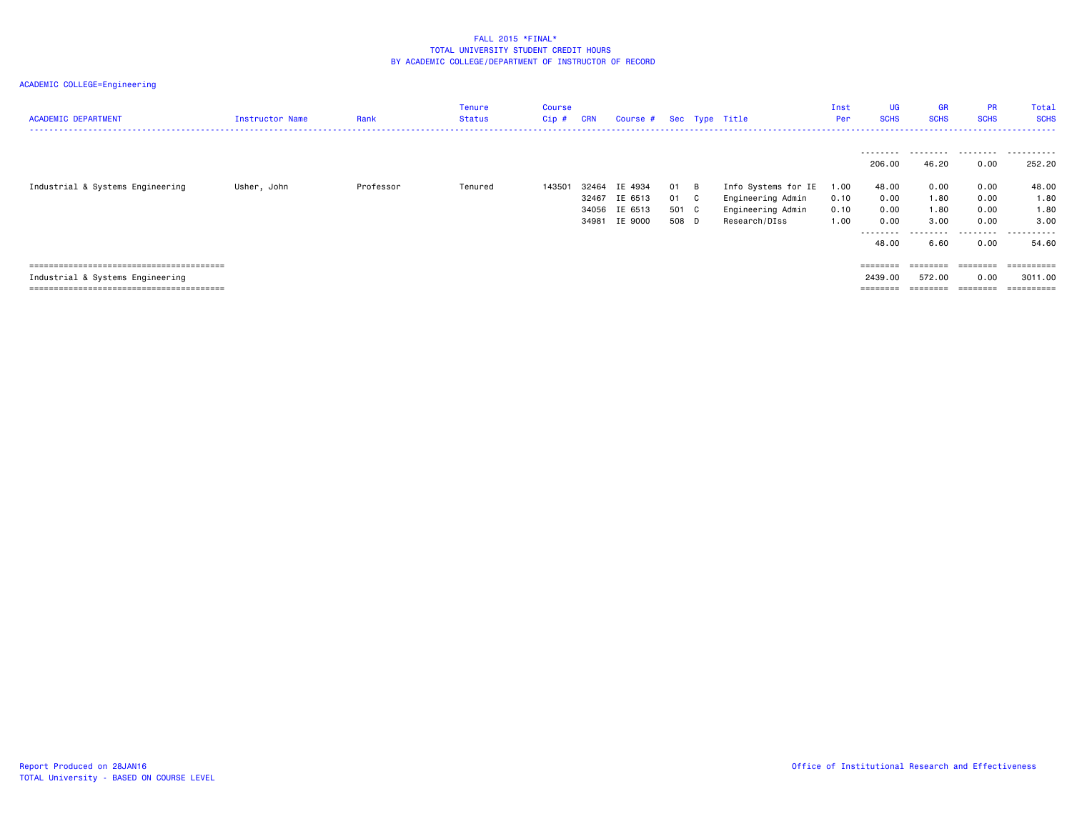| <b>ACADEMIC DEPARTMENT</b>       | Instructor Name | Rank      | <b>Tenure</b><br>Status | Course<br>Cip # | <b>CRN</b>              | Course # Sec Type Title                        |                            |          |                                                                                | Inst<br>Per                  | <b>UG</b><br><b>SCHS</b>                            | <b>GR</b><br><b>SCHS</b>                  | <b>PR</b><br><b>SCHS</b>                                                                             | Total<br><b>SCHS</b>                                            |
|----------------------------------|-----------------|-----------|-------------------------|-----------------|-------------------------|------------------------------------------------|----------------------------|----------|--------------------------------------------------------------------------------|------------------------------|-----------------------------------------------------|-------------------------------------------|------------------------------------------------------------------------------------------------------|-----------------------------------------------------------------|
|                                  |                 |           |                         |                 |                         |                                                |                            |          |                                                                                |                              | ---------<br>206.00                                 | .<br>46.20                                | 0.00                                                                                                 | 252.20                                                          |
| Industrial & Systems Engineering | Usher, John     | Professor | Tenured                 | 143501          | 32464<br>32467<br>34981 | IE 4934<br>IE 6513<br>34056 IE 6513<br>IE 9000 | 01<br>01<br>501 C<br>508 D | B<br>C . | Info Systems for IE<br>Engineering Admin<br>Engineering Admin<br>Research/DIss | 1.00<br>0.10<br>0.10<br>1.00 | 48.00<br>0.00<br>0.00<br>0.00<br>---------<br>48.00 | 0.00<br>1.80<br>1.80<br>3.00<br>.<br>6.60 | 0.00<br>0.00<br>0.00<br>0.00<br>.<br>0.00                                                            | 48.00<br>1.80<br>1.80<br>3,00<br>-----<br>. <u>.</u> .<br>54,60 |
| Industrial & Systems Engineering |                 |           |                         |                 |                         |                                                |                            |          |                                                                                |                              | $=$ = = = = = = =<br>2439.00<br>========            | $=$ = = = = = = =<br>572.00<br>========   | $\qquad \qquad \equiv \equiv \equiv \equiv \equiv \equiv \equiv \equiv$<br>0.00<br>$=$ = = = = = = = | ==========<br>3011.00<br>==========                             |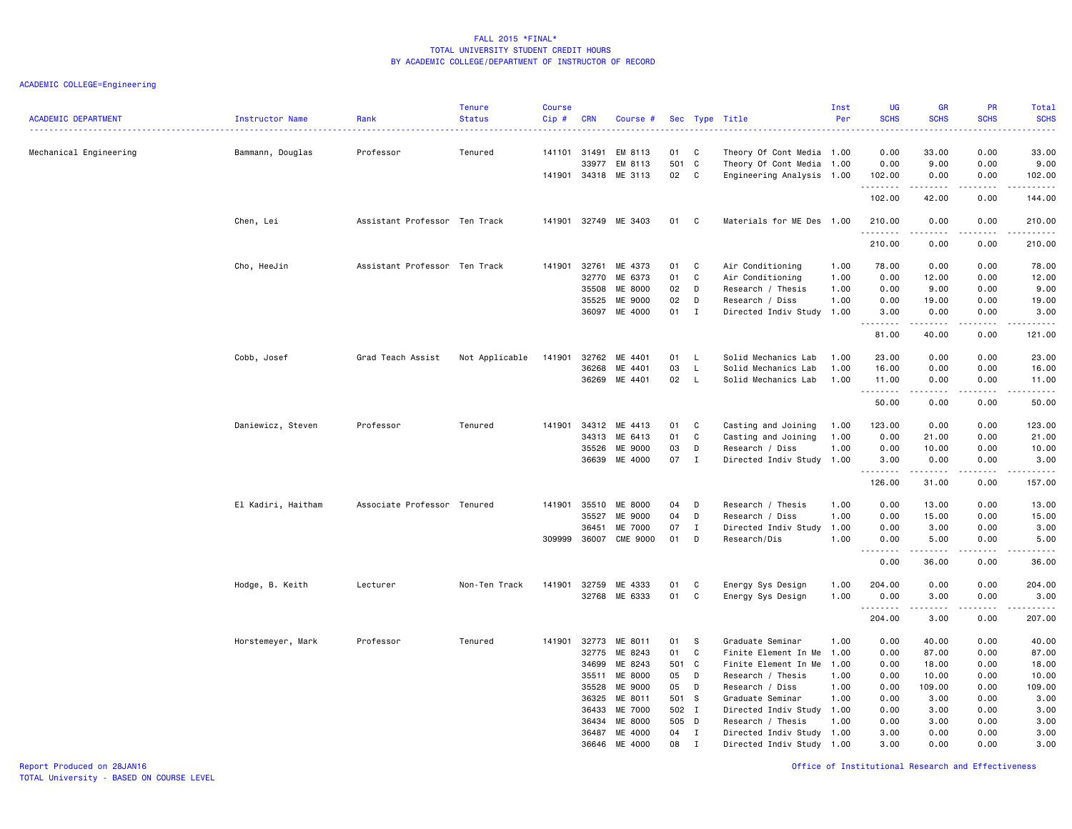| <b>ACADEMIC DEPARTMENT</b> | Instructor Name    | Rank                          | <b>Tenure</b><br><b>Status</b> | <b>Course</b><br>Cip#  | <b>CRN</b>     | Course #                      |                 |              | Sec Type Title                                                                      | Inst<br>Per  | UG<br><b>SCHS</b>                        | <b>GR</b><br><b>SCHS</b> | PR<br><b>SCHS</b>    | Total<br><b>SCHS</b>                                                                                                                                         |
|----------------------------|--------------------|-------------------------------|--------------------------------|------------------------|----------------|-------------------------------|-----------------|--------------|-------------------------------------------------------------------------------------|--------------|------------------------------------------|--------------------------|----------------------|--------------------------------------------------------------------------------------------------------------------------------------------------------------|
| Mechanical Engineering     | Bammann, Douglas   | Professor                     | Tenured                        | 141101 31491<br>141901 | 33977<br>34318 | EM 8113<br>EM 8113<br>ME 3113 | 01<br>501<br>02 | C<br>C<br>C  | Theory Of Cont Media 1.00<br>Theory Of Cont Media 1.00<br>Engineering Analysis 1.00 |              | 0.00<br>0.00<br>102.00                   | 33.00<br>9.00<br>0.00    | 0.00<br>0.00<br>0.00 | 33.00<br>9.00<br>102.00                                                                                                                                      |
|                            |                    |                               |                                |                        |                |                               |                 |              |                                                                                     |              | .<br>102.00                              | 42.00                    | $- - -$<br>0.00      | د د د د د<br>144.00                                                                                                                                          |
|                            | Chen, Lei          | Assistant Professor Ten Track |                                | 141901 32749           |                | ME 3403                       | 01              | C            | Materials for ME Des 1.00                                                           |              | 210.00                                   | 0.00                     | 0.00                 | 210.00<br>.                                                                                                                                                  |
|                            |                    |                               |                                |                        |                |                               |                 |              |                                                                                     |              | 210.00                                   | 0.00                     | 0.00                 | 210.00                                                                                                                                                       |
|                            | Cho, HeeJin        | Assistant Professor Ten Track |                                | 141901                 | 32761<br>32770 | ME 4373<br>ME 6373            | 01<br>01        | C<br>C       | Air Conditioning<br>Air Conditioning                                                | 1.00<br>1.00 | 78.00<br>0.00                            | 0.00<br>12.00            | 0.00<br>0.00         | 78.00<br>12.00                                                                                                                                               |
|                            |                    |                               |                                |                        | 35508          | ME 8000                       | 02              | D            | Research / Thesis                                                                   | 1.00         | 0.00                                     | 9.00                     | 0.00                 | 9.00                                                                                                                                                         |
|                            |                    |                               |                                |                        | 35525<br>36097 | ME 9000<br>ME 4000            | 02<br>01        | D<br>I       | Research / Diss<br>Directed Indiv Study 1.00                                        | 1.00         | 0.00<br>3.00<br>.                        | 19.00<br>0.00<br>.       | 0.00<br>0.00<br>.    | 19.00<br>3.00<br>.                                                                                                                                           |
|                            |                    |                               |                                |                        |                |                               |                 |              |                                                                                     |              | 81.00                                    | 40.00                    | 0.00                 | 121.00                                                                                                                                                       |
|                            | Cobb, Josef        | Grad Teach Assist             | Not Applicable                 | 141901                 | 32762          | ME 4401                       | 01              | L            | Solid Mechanics Lab                                                                 | 1.00         | 23.00                                    | 0.00                     | 0.00                 | 23.00                                                                                                                                                        |
|                            |                    |                               |                                |                        | 36268          | ME 4401                       | 03              | L            | Solid Mechanics Lab                                                                 | 1.00         | 16.00                                    | 0.00                     | 0.00                 | 16.00                                                                                                                                                        |
|                            |                    |                               |                                |                        |                | 36269 ME 4401                 | 02              | L            | Solid Mechanics Lab                                                                 | 1.00         | 11.00<br>.                               | 0.00                     | 0.00<br>.            | 11.00<br>$\sim$ $\sim$ $\sim$ $\sim$                                                                                                                         |
|                            |                    |                               |                                |                        |                |                               |                 |              |                                                                                     |              | 50.00                                    | 0.00                     | 0.00                 | 50.00                                                                                                                                                        |
|                            | Daniewicz, Steven  | Professor                     | Tenured                        | 141901                 | 34312          | ME 4413                       | 01              | C            | Casting and Joining                                                                 | 1.00         | 123.00                                   | 0.00                     | 0.00                 | 123.00                                                                                                                                                       |
|                            |                    |                               |                                |                        | 34313          | ME 6413                       | 01              | C            | Casting and Joining                                                                 | 1.00         | 0.00                                     | 21.00                    | 0.00                 | 21.00                                                                                                                                                        |
|                            |                    |                               |                                |                        | 35526          | ME 9000                       | 03              | D            | Research / Diss                                                                     | 1.00         | 0.00                                     | 10.00                    | 0.00                 | 10.00                                                                                                                                                        |
|                            |                    |                               |                                |                        | 36639          | ME 4000                       | 07              | $\mathbf I$  | Directed Indiv Study 1.00                                                           |              | 3.00<br>.                                | 0.00<br>.                | 0.00<br>.            | 3.00<br>.                                                                                                                                                    |
|                            |                    |                               |                                |                        |                |                               |                 |              |                                                                                     |              | 126.00                                   | 31.00                    | 0.00                 | 157.00                                                                                                                                                       |
|                            | El Kadiri, Haitham | Associate Professor Tenured   |                                | 141901                 | 35510          | ME 8000                       | 04              | D            | Research / Thesis                                                                   | 1.00         | 0.00                                     | 13.00                    | 0.00                 | 13.00                                                                                                                                                        |
|                            |                    |                               |                                |                        | 35527          | ME 9000                       | 04              | D            | Research / Diss                                                                     | 1.00         | 0.00                                     | 15.00                    | 0.00                 | 15.00                                                                                                                                                        |
|                            |                    |                               |                                |                        | 36451          | ME 7000                       | 07              | I            | Directed Indiv Study 1.00                                                           |              | 0.00                                     | 3.00                     | 0.00                 | 3.00                                                                                                                                                         |
|                            |                    |                               |                                | 309999                 | 36007          | <b>CME 9000</b>               | 01              | D            | Research/Dis                                                                        | 1.00         | 0.00<br>$\sim$ $\sim$ $\sim$<br>بالمحامر | 5.00<br>.                | 0.00<br>.            | 5.00<br>$\frac{1}{2} \left( \frac{1}{2} \right) \left( \frac{1}{2} \right) \left( \frac{1}{2} \right) \left( \frac{1}{2} \right) \left( \frac{1}{2} \right)$ |
|                            |                    |                               |                                |                        |                |                               |                 |              |                                                                                     |              | 0.00                                     | 36.00                    | 0.00                 | 36.00                                                                                                                                                        |
|                            | Hodge, B. Keith    | Lecturer                      | Non-Ten Track                  | 141901                 | 32759          | ME 4333                       | 01              | C            | Energy Sys Design                                                                   | 1.00         | 204.00                                   | 0.00                     | 0.00                 | 204.00                                                                                                                                                       |
|                            |                    |                               |                                |                        | 32768          | ME 6333                       | 01              | C            | Energy Sys Design                                                                   | 1.00         | 0.00<br>.                                | 3.00<br>-----            | 0.00<br>.            | 3.00<br>.                                                                                                                                                    |
|                            |                    |                               |                                |                        |                |                               |                 |              |                                                                                     |              | 204.00                                   | 3.00                     | 0.00                 | 207.00                                                                                                                                                       |
|                            | Horstemeyer, Mark  | Professor                     | Tenured                        | 141901                 | 32773          | ME 8011                       | 01              | S            | Graduate Seminar                                                                    | 1.00         | 0.00                                     | 40.00                    | 0.00                 | 40.00                                                                                                                                                        |
|                            |                    |                               |                                |                        | 32775          | ME 8243                       | 01              | C            | Finite Element In Me 1.00                                                           |              | 0.00                                     | 87.00                    | 0.00                 | 87.00                                                                                                                                                        |
|                            |                    |                               |                                |                        | 34699          | ME 8243                       | 501             | $\mathbf{C}$ | Finite Element In Me                                                                | 1.00         | 0.00                                     | 18.00                    | 0.00                 | 18.00                                                                                                                                                        |
|                            |                    |                               |                                |                        | 35511<br>35528 | ME 8000<br>ME 9000            | 05<br>05        | D<br>D       | Research / Thesis<br>Research / Diss                                                | 1.00<br>1.00 | 0.00<br>0.00                             | 10.00<br>109.00          | 0.00<br>0.00         | 10.00<br>109.00                                                                                                                                              |
|                            |                    |                               |                                |                        | 36325          | ME 8011                       | 501             | - S          | Graduate Seminar                                                                    | 1.00         | 0.00                                     | 3.00                     | 0.00                 | 3.00                                                                                                                                                         |
|                            |                    |                               |                                |                        | 36433          | ME 7000                       | 502 I           |              | Directed Indiv Study 1.00                                                           |              | 0.00                                     | 3.00                     | 0.00                 | 3.00                                                                                                                                                         |
|                            |                    |                               |                                |                        | 36434          | ME 8000                       | 505 D           |              | Research / Thesis                                                                   | 1.00         | 0.00                                     | 3.00                     | 0.00                 | 3.00                                                                                                                                                         |
|                            |                    |                               |                                |                        | 36487          | ME 4000                       | 04              | $\mathbf I$  | Directed Indiv Study 1.00                                                           |              | 3.00                                     | 0.00                     | 0.00                 | 3.00                                                                                                                                                         |
|                            |                    |                               |                                |                        | 36646          | ME 4000                       | 08              | $\mathbf{I}$ | Directed Indiv Study 1.00                                                           |              | 3.00                                     | 0.00                     | 0.00                 | 3.00                                                                                                                                                         |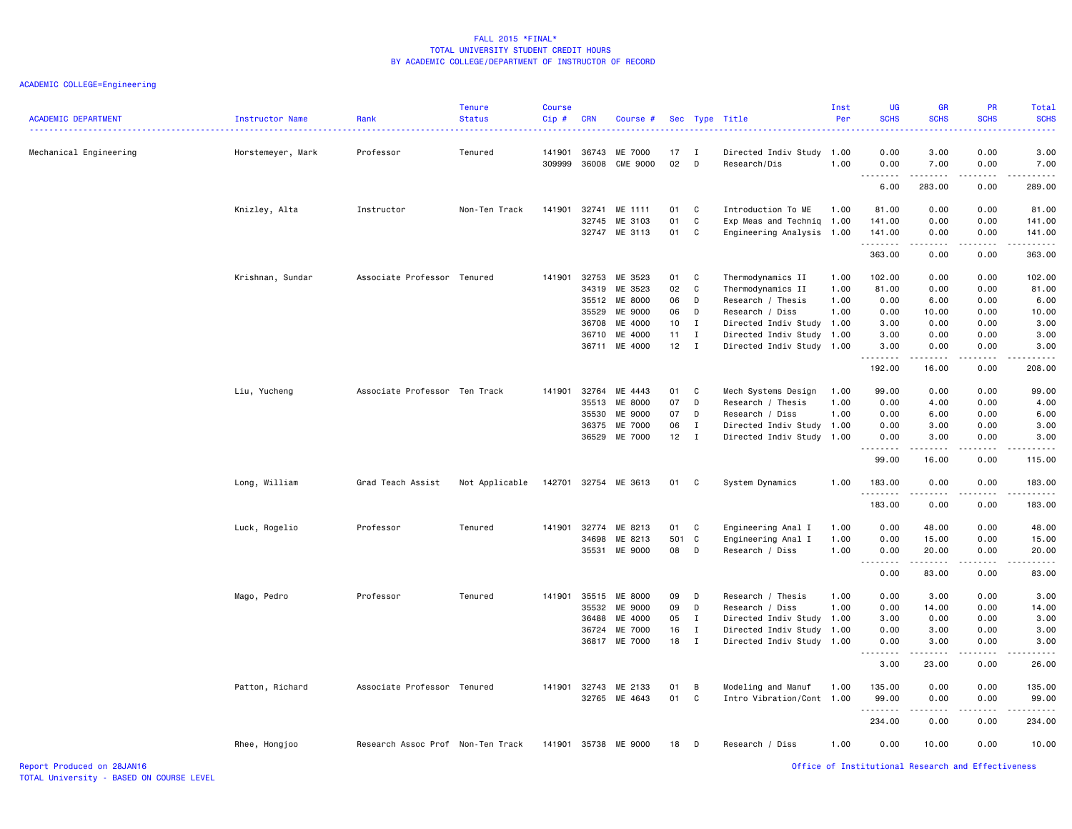| <b>ACADEMIC DEPARTMENT</b> | Instructor Name   | Rank                              | <b>Tenure</b><br><b>Status</b> | <b>Course</b><br>$Cip$ # | <b>CRN</b>     | Course #                   |          |              | Sec Type Title                            | Inst<br>Per | UG<br><b>SCHS</b>            | GR<br><b>SCHS</b>                                                                                                                                            | PR<br><b>SCHS</b>            | Total<br><b>SCHS</b> |
|----------------------------|-------------------|-----------------------------------|--------------------------------|--------------------------|----------------|----------------------------|----------|--------------|-------------------------------------------|-------------|------------------------------|--------------------------------------------------------------------------------------------------------------------------------------------------------------|------------------------------|----------------------|
| Mechanical Engineering     | Horstemeyer, Mark | Professor                         | Tenured                        | 141901<br>309999         | 36743<br>36008 | ME 7000<br><b>CME 9000</b> | 17<br>02 | I<br>D       | Directed Indiv Study 1.00<br>Research/Dis | 1.00        | 0.00<br>0.00                 | 3.00<br>7.00                                                                                                                                                 | 0.00<br>0.00                 | 3.00<br>7.00         |
|                            |                   |                                   |                                |                          |                |                            |          |              |                                           |             | .<br>$\sim$ $\sim$<br>6.00   | .<br>283.00                                                                                                                                                  | .<br>0.00                    | .<br>289.00          |
|                            |                   | Instructor                        | Non-Ten Track                  | 141901                   | 32741          | ME 1111                    | 01       | C            | Introduction To ME                        | 1.00        | 81.00                        | 0.00                                                                                                                                                         | 0.00                         | 81.00                |
|                            | Knizley, Alta     |                                   |                                |                          | 32745          | ME 3103                    | 01       | C            | Exp Meas and Techniq                      | 1.00        | 141.00                       | 0.00                                                                                                                                                         | 0.00                         | 141.00               |
|                            |                   |                                   |                                |                          |                | 32747 ME 3113              | 01       | C            | Engineering Analysis 1.00                 |             | 141.00                       | 0.00                                                                                                                                                         | 0.00                         | 141.00               |
|                            |                   |                                   |                                |                          |                |                            |          |              |                                           |             | .<br>363.00                  | .<br>0.00                                                                                                                                                    | $\frac{1}{2}$<br>0.00        | .<br>363.00          |
|                            | Krishnan, Sundar  | Associate Professor Tenured       |                                | 141901                   | 32753          | ME 3523                    | 01       | C            | Thermodynamics II                         | 1.00        | 102.00                       | 0.00                                                                                                                                                         | 0.00                         | 102.00               |
|                            |                   |                                   |                                |                          | 34319          | ME 3523                    | 02       | C            | Thermodynamics II                         | 1.00        | 81.00                        | 0.00                                                                                                                                                         | 0.00                         | 81.00                |
|                            |                   |                                   |                                |                          | 35512          | ME 8000                    | 06       | D            | Research / Thesis                         | 1.00        | 0.00                         | 6.00                                                                                                                                                         | 0.00                         | 6.00                 |
|                            |                   |                                   |                                |                          | 35529          | ME 9000                    | 06       | D            | Research / Diss                           | 1.00        | 0.00                         | 10.00                                                                                                                                                        | 0.00                         | 10.00                |
|                            |                   |                                   |                                |                          | 36708          | ME 4000                    | 10       | $\mathbf{I}$ | Directed Indiv Study 1.00                 |             | 3.00                         | 0.00                                                                                                                                                         | 0.00                         | 3.00                 |
|                            |                   |                                   |                                |                          | 36710          | ME 4000                    | 11       | $\mathbf{I}$ | Directed Indiv Study                      | 1.00        | 3.00                         | 0.00                                                                                                                                                         | 0.00                         | 3.00                 |
|                            |                   |                                   |                                |                          | 36711          | ME 4000                    | 12       | $\mathbf{I}$ | Directed Indiv Study 1.00                 |             | 3.00<br>.                    | 0.00<br>$\frac{1}{2} \left( \frac{1}{2} \right) \left( \frac{1}{2} \right) \left( \frac{1}{2} \right) \left( \frac{1}{2} \right) \left( \frac{1}{2} \right)$ | 0.00<br>$\sim$ $\sim$ $\sim$ | 3.00<br>.            |
|                            |                   |                                   |                                |                          |                |                            |          |              |                                           |             | 192.00                       | 16.00                                                                                                                                                        | 0.00                         | 208.00               |
|                            | Liu, Yucheng      | Associate Professor Ten Track     |                                | 141901                   | 32764          | ME 4443                    | 01       | C            | Mech Systems Design                       | 1.00        | 99.00                        | 0.00                                                                                                                                                         | 0.00                         | 99.00                |
|                            |                   |                                   |                                |                          | 35513          | ME 8000                    | 07       | D            | Research / Thesis                         | 1.00        | 0.00                         | 4.00                                                                                                                                                         | 0.00                         | 4.00                 |
|                            |                   |                                   |                                |                          | 35530          | ME 9000                    | 07       | D            | Research / Diss                           | 1.00        | 0.00                         | 6.00                                                                                                                                                         | 0.00                         | 6.00                 |
|                            |                   |                                   |                                |                          | 36375          | ME 7000                    | 06       | $\mathbf{I}$ | Directed Indiv Study 1.00                 |             | 0.00                         | 3.00                                                                                                                                                         | 0.00                         | 3.00                 |
|                            |                   |                                   |                                |                          | 36529          | ME 7000                    | 12       | $\mathbf{I}$ | Directed Indiv Study 1.00                 |             | 0.00<br>.                    | 3.00<br>$- - - - -$                                                                                                                                          | 0.00<br>.                    | 3.00<br>.            |
|                            |                   |                                   |                                |                          |                |                            |          |              |                                           |             | 99.00                        | 16.00                                                                                                                                                        | 0.00                         | 115.00               |
|                            | Long, William     | Grad Teach Assist                 | Not Applicable                 | 142701                   | 32754          | ME 3613                    | 01       | C            | System Dynamics                           | 1.00        | 183.00<br>.                  | 0.00<br>.                                                                                                                                                    | 0.00<br>$- - - -$            | 183.00<br><u>.</u>   |
|                            |                   |                                   |                                |                          |                |                            |          |              |                                           |             | 183.00                       | 0.00                                                                                                                                                         | 0.00                         | 183.00               |
|                            | Luck, Rogelio     | Professor                         | Tenured                        | 141901                   | 32774          | ME 8213                    | 01       | C            | Engineering Anal I                        | 1.00        | 0.00                         | 48.00                                                                                                                                                        | 0.00                         | 48.00                |
|                            |                   |                                   |                                |                          | 34698          | ME 8213                    | 501      | C            | Engineering Anal I                        | 1.00        | 0.00                         | 15.00                                                                                                                                                        | 0.00                         | 15.00                |
|                            |                   |                                   |                                |                          | 35531          | ME 9000                    | 08       | D            | Research / Diss                           | 1.00        | 0.00<br>$\sim$ $\sim$<br>.   | 20.00<br>.                                                                                                                                                   | 0.00<br>.                    | 20.00<br>د د د د د   |
|                            |                   |                                   |                                |                          |                |                            |          |              |                                           |             | 0.00                         | 83.00                                                                                                                                                        | 0.00                         | 83.00                |
|                            | Mago, Pedro       | Professor                         | Tenured                        | 141901                   | 35515          | ME 8000                    | 09       | D            | Research / Thesis                         | 1.00        | 0.00                         | 3.00                                                                                                                                                         | 0.00                         | 3.00                 |
|                            |                   |                                   |                                |                          | 35532          | ME 9000                    | 09       | D            | Research / Diss                           | 1.00        | 0.00                         | 14.00                                                                                                                                                        | 0.00                         | 14.00                |
|                            |                   |                                   |                                |                          | 36488          | ME 4000                    | 05       | $\mathbf{I}$ | Directed Indiv Study 1.00                 |             | 3.00                         | 0.00                                                                                                                                                         | 0.00                         | 3.00                 |
|                            |                   |                                   |                                |                          | 36724          | ME 7000                    | 16       | $\mathbf{I}$ | Directed Indiv Study 1.00                 |             | 0.00                         | 3.00                                                                                                                                                         | 0.00                         | 3.00                 |
|                            |                   |                                   |                                |                          | 36817          | ME 7000                    | 18       | $\mathbf{I}$ | Directed Indiv Study                      | 1.00        | 0.00<br>.                    | 3.00                                                                                                                                                         | 0.00                         | 3.00<br>.            |
|                            |                   |                                   |                                |                          |                |                            |          |              |                                           |             | $\sim$ $\sim$ $\sim$<br>3.00 | .<br>23.00                                                                                                                                                   | $- - - -$<br>0.00            | 26.00                |
|                            | Patton, Richard   | Associate Professor Tenured       |                                | 141901                   | 32743          | ME 2133                    | 01       | B            | Modeling and Manuf                        | 1.00        | 135.00                       | 0.00                                                                                                                                                         | 0.00                         | 135.00               |
|                            |                   |                                   |                                |                          | 32765          | ME 4643                    | 01       | C            | Intro Vibration/Cont 1.00                 |             | 99.00                        | 0.00                                                                                                                                                         | 0.00                         | 99.00                |
|                            |                   |                                   |                                |                          |                |                            |          |              |                                           |             | .                            |                                                                                                                                                              | - - - -                      | .                    |
|                            |                   |                                   |                                |                          |                |                            |          |              |                                           |             | 234.00                       | 0.00                                                                                                                                                         | 0.00                         | 234.00               |
|                            | Rhee, Hongjoo     | Research Assoc Prof Non-Ten Track |                                | 141901                   |                | 35738 ME 9000              | 18       | D            | Research / Diss                           | 1.00        | 0.00                         | 10.00                                                                                                                                                        | 0.00                         | 10.00                |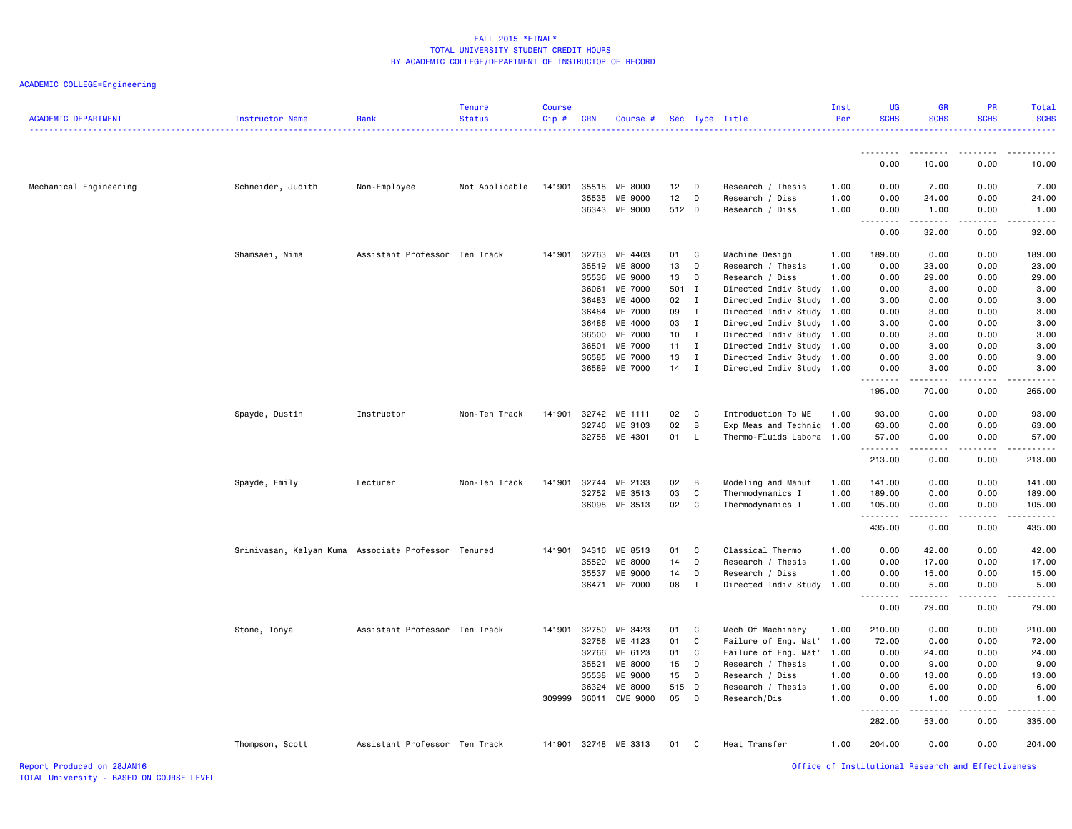ACADEMIC COLLEGE=Engineering

| .<br>.<br>0.00<br>10.00<br>0.00<br>10.00<br>7.00<br>Mechanical Engineering<br>Schneider, Judith<br>Non-Employee<br>Not Applicable<br>141901<br>35518<br>ME 8000<br>12<br>Research / Thesis<br>1.00<br>0.00<br>7.00<br>0.00<br>D D<br>12<br>35535<br>ME 9000<br>D<br>Research / Diss<br>1.00<br>0.00<br>24.00<br>0.00<br>24.00<br>512 D<br>36343<br>ME 9000<br>1.00<br>0.00<br>1.00<br>0.00<br>1.00<br>Research / Diss<br>1.1.1.1.1.1.1<br>.<br>22222<br>.<br>0.00<br>32.00<br>0.00<br>32.00<br>32763<br>0.00<br>0.00<br>Shamsaei, Nima<br>Assistant Professor Ten Track<br>141901<br>ME 4403<br>01<br>C<br>Machine Design<br>189.00<br>189.00<br>1.00<br>13<br>35519<br>ME 8000<br>D<br>Research / Thesis<br>0.00<br>23.00<br>0.00<br>23.00<br>1.00<br>35536<br>ME 9000<br>13<br>29.00<br>0.00<br>29.00<br>D<br>Research / Diss<br>1.00<br>0.00<br>ME 7000<br>501 I<br>36061<br>Directed Indiv Study 1.00<br>0.00<br>3.00<br>0.00<br>3.00<br>ME 4000<br>02<br>Directed Indiv Study<br>36483<br>$\mathbf{I}$<br>1.00<br>3.00<br>0.00<br>0.00<br>3.00<br>36484<br>ME 7000<br>09<br>$\mathbf{I}$<br>Directed Indiv Study 1.00<br>0.00<br>3.00<br>0.00<br>3.00<br>ME 4000<br>03<br>36486<br>$\mathbf I$<br>Directed Indiv Study<br>1.00<br>3.00<br>0.00<br>0.00<br>3.00<br>ME 7000<br>10<br>Directed Indiv Study<br>3.00<br>0.00<br>36500<br>$\mathbf{I}$<br>1.00<br>0.00<br>3.00<br>36501<br>ME 7000<br>11<br>I<br>Directed Indiv Study 1.00<br>0.00<br>3.00<br>0.00<br>3.00<br>13<br>36585<br>ME 7000<br>$\mathbf I$<br>Directed Indiv Study<br>1.00<br>0.00<br>3.00<br>0.00<br>3.00<br>36589<br>ME 7000<br>14<br>I<br>Directed Indiv Study 1.00<br>0.00<br>3.00<br>0.00<br>3.00<br>.<br>.<br>.<br>.<br>70.00<br>0.00<br>265.00<br>195.00<br>Spayde, Dustin<br>ME 1111<br>02<br>Introduction To ME<br>93.00<br>0.00<br>0.00<br>93.00<br>Instructor<br>Non-Ten Track<br>141901<br>32742<br>C<br>1.00<br>02<br>ME 3103<br>B<br>0.00<br>0.00<br>63.00<br>32746<br>Exp Meas and Techniq<br>1.00<br>63.00<br>32758 ME 4301<br>01 L<br>57.00<br>0.00<br>57.00<br>Thermo-Fluids Labora<br>1.00<br>0.00<br>.<br>.<br>.<br>.<br>213.00<br>0.00<br>0.00<br>213.00<br>32744<br>ME 2133<br>02<br>0.00<br>0.00<br>Spayde, Emily<br>Lecturer<br>Non-Ten Track<br>141901<br>B<br>Modeling and Manuf<br>1.00<br>141.00<br>141.00<br>03<br>ME 3513<br>C<br>32752<br>Thermodynamics I<br>1.00<br>189.00<br>0.00<br>0.00<br>189.00<br>02<br>36098<br>ME 3513<br>C<br>Thermodynamics I<br>1.00<br>105.00<br>0.00<br>0.00<br>105.00<br>.<br>2.2.2.2.2.3<br>435.00<br>0.00<br>0.00<br>435.00<br>0.00<br>42.00<br>Srinivasan, Kalyan Kuma Associate Professor Tenured<br>141901<br>34316<br>ME 8513<br>01<br>Classical Thermo<br>1.00<br>0.00<br>42.00<br>C<br>ME 8000<br>14<br>D<br>1.00<br>0.00<br>17.00<br>0.00<br>17.00<br>35520<br>Research / Thesis<br>14<br>15.00<br>35537<br>ME 9000<br>D<br>Research / Diss<br>1.00<br>0.00<br>0.00<br>15.00<br>36471 ME 7000<br>08<br>$\mathbf{I}$<br>0.00<br>5.00<br>0.00<br>5.00<br>Directed Indiv Study 1.00<br>.<br>. <b>.</b><br>.<br>.<br>0.00<br>79.00<br>0.00<br>79.00<br>Assistant Professor Ten Track<br>32750<br>ME 3423<br>01<br>210.00<br>0.00<br>0.00<br>210.00<br>Stone, Tonya<br>141901<br>C<br>Mech Of Machinery<br>1.00<br>01<br>C<br>32756<br>ME 4123<br>Failure of Eng. Mat'<br>1.00<br>72.00<br>0.00<br>0.00<br>72.00<br>32766<br>ME 6123<br>01<br>C<br>Failure of Eng. Mat'<br>1.00<br>0.00<br>24.00<br>0.00<br>24.00<br>35521<br>ME 8000<br>15<br>D<br>Research / Thesis<br>1.00<br>0.00<br>9.00<br>0.00<br>9.00<br>35538<br>ME 9000<br>15<br>D<br>1.00<br>0.00<br>13.00<br>0.00<br>13.00<br>Research / Diss<br>ME 8000<br>515 D<br>6.00<br>0.00<br>36324<br>Research / Thesis<br>1.00<br>0.00<br>6.00<br><b>CME 9000</b><br>05<br>309999<br>36011<br>D<br>Research/Dis<br>1.00<br>0.00<br>1.00<br>0.00<br>1.00<br>.<br>$\frac{1}{2} \left( \frac{1}{2} \right) \left( \frac{1}{2} \right) \left( \frac{1}{2} \right) \left( \frac{1}{2} \right) \left( \frac{1}{2} \right)$<br>282.00<br>53.00<br>0.00<br>335.00<br>204.00<br>0.00<br>0.00<br>Thompson, Scott<br>Assistant Professor Ten Track<br>141901 32748 ME 3313<br>01<br>C<br>Heat Transfer<br>1.00<br>204.00 | <b>ACADEMIC DEPARTMENT</b> | <b>Instructor Name</b> | Rank | <b>Tenure</b><br><b>Status</b> | <b>Course</b><br>Cip# | <b>CRN</b> | Course # |  | Sec Type Title | Inst<br>Per | UG<br><b>SCHS</b> | <b>GR</b><br><b>SCHS</b> | PR<br><b>SCHS</b> | Total<br><b>SCHS</b> |
|---------------------------------------------------------------------------------------------------------------------------------------------------------------------------------------------------------------------------------------------------------------------------------------------------------------------------------------------------------------------------------------------------------------------------------------------------------------------------------------------------------------------------------------------------------------------------------------------------------------------------------------------------------------------------------------------------------------------------------------------------------------------------------------------------------------------------------------------------------------------------------------------------------------------------------------------------------------------------------------------------------------------------------------------------------------------------------------------------------------------------------------------------------------------------------------------------------------------------------------------------------------------------------------------------------------------------------------------------------------------------------------------------------------------------------------------------------------------------------------------------------------------------------------------------------------------------------------------------------------------------------------------------------------------------------------------------------------------------------------------------------------------------------------------------------------------------------------------------------------------------------------------------------------------------------------------------------------------------------------------------------------------------------------------------------------------------------------------------------------------------------------------------------------------------------------------------------------------------------------------------------------------------------------------------------------------------------------------------------------------------------------------------------------------------------------------------------------------------------------------------------------------------------------------------------------------------------------------------------------------------------------------------------------------------------------------------------------------------------------------------------------------------------------------------------------------------------------------------------------------------------------------------------------------------------------------------------------------------------------------------------------------------------------------------------------------------------------------------------------------------------------------------------------------------------------------------------------------------------------------------------------------------------------------------------------------------------------------------------------------------------------------------------------------------------------------------------------------------------------------------------------------------------------------------------------------------------------------------------------------------------------------------------------------------------------------------------------------------------------------------------------------------------------------------------------------------------------------------------------------------------------------------------------------------------------------------------------------------------------------------------------------------------------------------------------------------------------------------------------------------------------------------------------------------------------------------------------|----------------------------|------------------------|------|--------------------------------|-----------------------|------------|----------|--|----------------|-------------|-------------------|--------------------------|-------------------|----------------------|
|                                                                                                                                                                                                                                                                                                                                                                                                                                                                                                                                                                                                                                                                                                                                                                                                                                                                                                                                                                                                                                                                                                                                                                                                                                                                                                                                                                                                                                                                                                                                                                                                                                                                                                                                                                                                                                                                                                                                                                                                                                                                                                                                                                                                                                                                                                                                                                                                                                                                                                                                                                                                                                                                                                                                                                                                                                                                                                                                                                                                                                                                                                                                                                                                                                                                                                                                                                                                                                                                                                                                                                                                                                                                                                                                                                                                                                                                                                                                                                                                                                                                                                                                                                                                               |                            |                        |      |                                |                       |            |          |  |                |             |                   |                          |                   |                      |
|                                                                                                                                                                                                                                                                                                                                                                                                                                                                                                                                                                                                                                                                                                                                                                                                                                                                                                                                                                                                                                                                                                                                                                                                                                                                                                                                                                                                                                                                                                                                                                                                                                                                                                                                                                                                                                                                                                                                                                                                                                                                                                                                                                                                                                                                                                                                                                                                                                                                                                                                                                                                                                                                                                                                                                                                                                                                                                                                                                                                                                                                                                                                                                                                                                                                                                                                                                                                                                                                                                                                                                                                                                                                                                                                                                                                                                                                                                                                                                                                                                                                                                                                                                                                               |                            |                        |      |                                |                       |            |          |  |                |             |                   |                          |                   |                      |
|                                                                                                                                                                                                                                                                                                                                                                                                                                                                                                                                                                                                                                                                                                                                                                                                                                                                                                                                                                                                                                                                                                                                                                                                                                                                                                                                                                                                                                                                                                                                                                                                                                                                                                                                                                                                                                                                                                                                                                                                                                                                                                                                                                                                                                                                                                                                                                                                                                                                                                                                                                                                                                                                                                                                                                                                                                                                                                                                                                                                                                                                                                                                                                                                                                                                                                                                                                                                                                                                                                                                                                                                                                                                                                                                                                                                                                                                                                                                                                                                                                                                                                                                                                                                               |                            |                        |      |                                |                       |            |          |  |                |             |                   |                          |                   |                      |
|                                                                                                                                                                                                                                                                                                                                                                                                                                                                                                                                                                                                                                                                                                                                                                                                                                                                                                                                                                                                                                                                                                                                                                                                                                                                                                                                                                                                                                                                                                                                                                                                                                                                                                                                                                                                                                                                                                                                                                                                                                                                                                                                                                                                                                                                                                                                                                                                                                                                                                                                                                                                                                                                                                                                                                                                                                                                                                                                                                                                                                                                                                                                                                                                                                                                                                                                                                                                                                                                                                                                                                                                                                                                                                                                                                                                                                                                                                                                                                                                                                                                                                                                                                                                               |                            |                        |      |                                |                       |            |          |  |                |             |                   |                          |                   |                      |
|                                                                                                                                                                                                                                                                                                                                                                                                                                                                                                                                                                                                                                                                                                                                                                                                                                                                                                                                                                                                                                                                                                                                                                                                                                                                                                                                                                                                                                                                                                                                                                                                                                                                                                                                                                                                                                                                                                                                                                                                                                                                                                                                                                                                                                                                                                                                                                                                                                                                                                                                                                                                                                                                                                                                                                                                                                                                                                                                                                                                                                                                                                                                                                                                                                                                                                                                                                                                                                                                                                                                                                                                                                                                                                                                                                                                                                                                                                                                                                                                                                                                                                                                                                                                               |                            |                        |      |                                |                       |            |          |  |                |             |                   |                          |                   |                      |
|                                                                                                                                                                                                                                                                                                                                                                                                                                                                                                                                                                                                                                                                                                                                                                                                                                                                                                                                                                                                                                                                                                                                                                                                                                                                                                                                                                                                                                                                                                                                                                                                                                                                                                                                                                                                                                                                                                                                                                                                                                                                                                                                                                                                                                                                                                                                                                                                                                                                                                                                                                                                                                                                                                                                                                                                                                                                                                                                                                                                                                                                                                                                                                                                                                                                                                                                                                                                                                                                                                                                                                                                                                                                                                                                                                                                                                                                                                                                                                                                                                                                                                                                                                                                               |                            |                        |      |                                |                       |            |          |  |                |             |                   |                          |                   |                      |
|                                                                                                                                                                                                                                                                                                                                                                                                                                                                                                                                                                                                                                                                                                                                                                                                                                                                                                                                                                                                                                                                                                                                                                                                                                                                                                                                                                                                                                                                                                                                                                                                                                                                                                                                                                                                                                                                                                                                                                                                                                                                                                                                                                                                                                                                                                                                                                                                                                                                                                                                                                                                                                                                                                                                                                                                                                                                                                                                                                                                                                                                                                                                                                                                                                                                                                                                                                                                                                                                                                                                                                                                                                                                                                                                                                                                                                                                                                                                                                                                                                                                                                                                                                                                               |                            |                        |      |                                |                       |            |          |  |                |             |                   |                          |                   |                      |
|                                                                                                                                                                                                                                                                                                                                                                                                                                                                                                                                                                                                                                                                                                                                                                                                                                                                                                                                                                                                                                                                                                                                                                                                                                                                                                                                                                                                                                                                                                                                                                                                                                                                                                                                                                                                                                                                                                                                                                                                                                                                                                                                                                                                                                                                                                                                                                                                                                                                                                                                                                                                                                                                                                                                                                                                                                                                                                                                                                                                                                                                                                                                                                                                                                                                                                                                                                                                                                                                                                                                                                                                                                                                                                                                                                                                                                                                                                                                                                                                                                                                                                                                                                                                               |                            |                        |      |                                |                       |            |          |  |                |             |                   |                          |                   |                      |
|                                                                                                                                                                                                                                                                                                                                                                                                                                                                                                                                                                                                                                                                                                                                                                                                                                                                                                                                                                                                                                                                                                                                                                                                                                                                                                                                                                                                                                                                                                                                                                                                                                                                                                                                                                                                                                                                                                                                                                                                                                                                                                                                                                                                                                                                                                                                                                                                                                                                                                                                                                                                                                                                                                                                                                                                                                                                                                                                                                                                                                                                                                                                                                                                                                                                                                                                                                                                                                                                                                                                                                                                                                                                                                                                                                                                                                                                                                                                                                                                                                                                                                                                                                                                               |                            |                        |      |                                |                       |            |          |  |                |             |                   |                          |                   |                      |
|                                                                                                                                                                                                                                                                                                                                                                                                                                                                                                                                                                                                                                                                                                                                                                                                                                                                                                                                                                                                                                                                                                                                                                                                                                                                                                                                                                                                                                                                                                                                                                                                                                                                                                                                                                                                                                                                                                                                                                                                                                                                                                                                                                                                                                                                                                                                                                                                                                                                                                                                                                                                                                                                                                                                                                                                                                                                                                                                                                                                                                                                                                                                                                                                                                                                                                                                                                                                                                                                                                                                                                                                                                                                                                                                                                                                                                                                                                                                                                                                                                                                                                                                                                                                               |                            |                        |      |                                |                       |            |          |  |                |             |                   |                          |                   |                      |
|                                                                                                                                                                                                                                                                                                                                                                                                                                                                                                                                                                                                                                                                                                                                                                                                                                                                                                                                                                                                                                                                                                                                                                                                                                                                                                                                                                                                                                                                                                                                                                                                                                                                                                                                                                                                                                                                                                                                                                                                                                                                                                                                                                                                                                                                                                                                                                                                                                                                                                                                                                                                                                                                                                                                                                                                                                                                                                                                                                                                                                                                                                                                                                                                                                                                                                                                                                                                                                                                                                                                                                                                                                                                                                                                                                                                                                                                                                                                                                                                                                                                                                                                                                                                               |                            |                        |      |                                |                       |            |          |  |                |             |                   |                          |                   |                      |
|                                                                                                                                                                                                                                                                                                                                                                                                                                                                                                                                                                                                                                                                                                                                                                                                                                                                                                                                                                                                                                                                                                                                                                                                                                                                                                                                                                                                                                                                                                                                                                                                                                                                                                                                                                                                                                                                                                                                                                                                                                                                                                                                                                                                                                                                                                                                                                                                                                                                                                                                                                                                                                                                                                                                                                                                                                                                                                                                                                                                                                                                                                                                                                                                                                                                                                                                                                                                                                                                                                                                                                                                                                                                                                                                                                                                                                                                                                                                                                                                                                                                                                                                                                                                               |                            |                        |      |                                |                       |            |          |  |                |             |                   |                          |                   |                      |
|                                                                                                                                                                                                                                                                                                                                                                                                                                                                                                                                                                                                                                                                                                                                                                                                                                                                                                                                                                                                                                                                                                                                                                                                                                                                                                                                                                                                                                                                                                                                                                                                                                                                                                                                                                                                                                                                                                                                                                                                                                                                                                                                                                                                                                                                                                                                                                                                                                                                                                                                                                                                                                                                                                                                                                                                                                                                                                                                                                                                                                                                                                                                                                                                                                                                                                                                                                                                                                                                                                                                                                                                                                                                                                                                                                                                                                                                                                                                                                                                                                                                                                                                                                                                               |                            |                        |      |                                |                       |            |          |  |                |             |                   |                          |                   |                      |
|                                                                                                                                                                                                                                                                                                                                                                                                                                                                                                                                                                                                                                                                                                                                                                                                                                                                                                                                                                                                                                                                                                                                                                                                                                                                                                                                                                                                                                                                                                                                                                                                                                                                                                                                                                                                                                                                                                                                                                                                                                                                                                                                                                                                                                                                                                                                                                                                                                                                                                                                                                                                                                                                                                                                                                                                                                                                                                                                                                                                                                                                                                                                                                                                                                                                                                                                                                                                                                                                                                                                                                                                                                                                                                                                                                                                                                                                                                                                                                                                                                                                                                                                                                                                               |                            |                        |      |                                |                       |            |          |  |                |             |                   |                          |                   |                      |
|                                                                                                                                                                                                                                                                                                                                                                                                                                                                                                                                                                                                                                                                                                                                                                                                                                                                                                                                                                                                                                                                                                                                                                                                                                                                                                                                                                                                                                                                                                                                                                                                                                                                                                                                                                                                                                                                                                                                                                                                                                                                                                                                                                                                                                                                                                                                                                                                                                                                                                                                                                                                                                                                                                                                                                                                                                                                                                                                                                                                                                                                                                                                                                                                                                                                                                                                                                                                                                                                                                                                                                                                                                                                                                                                                                                                                                                                                                                                                                                                                                                                                                                                                                                                               |                            |                        |      |                                |                       |            |          |  |                |             |                   |                          |                   |                      |
|                                                                                                                                                                                                                                                                                                                                                                                                                                                                                                                                                                                                                                                                                                                                                                                                                                                                                                                                                                                                                                                                                                                                                                                                                                                                                                                                                                                                                                                                                                                                                                                                                                                                                                                                                                                                                                                                                                                                                                                                                                                                                                                                                                                                                                                                                                                                                                                                                                                                                                                                                                                                                                                                                                                                                                                                                                                                                                                                                                                                                                                                                                                                                                                                                                                                                                                                                                                                                                                                                                                                                                                                                                                                                                                                                                                                                                                                                                                                                                                                                                                                                                                                                                                                               |                            |                        |      |                                |                       |            |          |  |                |             |                   |                          |                   |                      |
|                                                                                                                                                                                                                                                                                                                                                                                                                                                                                                                                                                                                                                                                                                                                                                                                                                                                                                                                                                                                                                                                                                                                                                                                                                                                                                                                                                                                                                                                                                                                                                                                                                                                                                                                                                                                                                                                                                                                                                                                                                                                                                                                                                                                                                                                                                                                                                                                                                                                                                                                                                                                                                                                                                                                                                                                                                                                                                                                                                                                                                                                                                                                                                                                                                                                                                                                                                                                                                                                                                                                                                                                                                                                                                                                                                                                                                                                                                                                                                                                                                                                                                                                                                                                               |                            |                        |      |                                |                       |            |          |  |                |             |                   |                          |                   |                      |
|                                                                                                                                                                                                                                                                                                                                                                                                                                                                                                                                                                                                                                                                                                                                                                                                                                                                                                                                                                                                                                                                                                                                                                                                                                                                                                                                                                                                                                                                                                                                                                                                                                                                                                                                                                                                                                                                                                                                                                                                                                                                                                                                                                                                                                                                                                                                                                                                                                                                                                                                                                                                                                                                                                                                                                                                                                                                                                                                                                                                                                                                                                                                                                                                                                                                                                                                                                                                                                                                                                                                                                                                                                                                                                                                                                                                                                                                                                                                                                                                                                                                                                                                                                                                               |                            |                        |      |                                |                       |            |          |  |                |             |                   |                          |                   |                      |
|                                                                                                                                                                                                                                                                                                                                                                                                                                                                                                                                                                                                                                                                                                                                                                                                                                                                                                                                                                                                                                                                                                                                                                                                                                                                                                                                                                                                                                                                                                                                                                                                                                                                                                                                                                                                                                                                                                                                                                                                                                                                                                                                                                                                                                                                                                                                                                                                                                                                                                                                                                                                                                                                                                                                                                                                                                                                                                                                                                                                                                                                                                                                                                                                                                                                                                                                                                                                                                                                                                                                                                                                                                                                                                                                                                                                                                                                                                                                                                                                                                                                                                                                                                                                               |                            |                        |      |                                |                       |            |          |  |                |             |                   |                          |                   |                      |
|                                                                                                                                                                                                                                                                                                                                                                                                                                                                                                                                                                                                                                                                                                                                                                                                                                                                                                                                                                                                                                                                                                                                                                                                                                                                                                                                                                                                                                                                                                                                                                                                                                                                                                                                                                                                                                                                                                                                                                                                                                                                                                                                                                                                                                                                                                                                                                                                                                                                                                                                                                                                                                                                                                                                                                                                                                                                                                                                                                                                                                                                                                                                                                                                                                                                                                                                                                                                                                                                                                                                                                                                                                                                                                                                                                                                                                                                                                                                                                                                                                                                                                                                                                                                               |                            |                        |      |                                |                       |            |          |  |                |             |                   |                          |                   |                      |
|                                                                                                                                                                                                                                                                                                                                                                                                                                                                                                                                                                                                                                                                                                                                                                                                                                                                                                                                                                                                                                                                                                                                                                                                                                                                                                                                                                                                                                                                                                                                                                                                                                                                                                                                                                                                                                                                                                                                                                                                                                                                                                                                                                                                                                                                                                                                                                                                                                                                                                                                                                                                                                                                                                                                                                                                                                                                                                                                                                                                                                                                                                                                                                                                                                                                                                                                                                                                                                                                                                                                                                                                                                                                                                                                                                                                                                                                                                                                                                                                                                                                                                                                                                                                               |                            |                        |      |                                |                       |            |          |  |                |             |                   |                          |                   |                      |
|                                                                                                                                                                                                                                                                                                                                                                                                                                                                                                                                                                                                                                                                                                                                                                                                                                                                                                                                                                                                                                                                                                                                                                                                                                                                                                                                                                                                                                                                                                                                                                                                                                                                                                                                                                                                                                                                                                                                                                                                                                                                                                                                                                                                                                                                                                                                                                                                                                                                                                                                                                                                                                                                                                                                                                                                                                                                                                                                                                                                                                                                                                                                                                                                                                                                                                                                                                                                                                                                                                                                                                                                                                                                                                                                                                                                                                                                                                                                                                                                                                                                                                                                                                                                               |                            |                        |      |                                |                       |            |          |  |                |             |                   |                          |                   |                      |
|                                                                                                                                                                                                                                                                                                                                                                                                                                                                                                                                                                                                                                                                                                                                                                                                                                                                                                                                                                                                                                                                                                                                                                                                                                                                                                                                                                                                                                                                                                                                                                                                                                                                                                                                                                                                                                                                                                                                                                                                                                                                                                                                                                                                                                                                                                                                                                                                                                                                                                                                                                                                                                                                                                                                                                                                                                                                                                                                                                                                                                                                                                                                                                                                                                                                                                                                                                                                                                                                                                                                                                                                                                                                                                                                                                                                                                                                                                                                                                                                                                                                                                                                                                                                               |                            |                        |      |                                |                       |            |          |  |                |             |                   |                          |                   |                      |
|                                                                                                                                                                                                                                                                                                                                                                                                                                                                                                                                                                                                                                                                                                                                                                                                                                                                                                                                                                                                                                                                                                                                                                                                                                                                                                                                                                                                                                                                                                                                                                                                                                                                                                                                                                                                                                                                                                                                                                                                                                                                                                                                                                                                                                                                                                                                                                                                                                                                                                                                                                                                                                                                                                                                                                                                                                                                                                                                                                                                                                                                                                                                                                                                                                                                                                                                                                                                                                                                                                                                                                                                                                                                                                                                                                                                                                                                                                                                                                                                                                                                                                                                                                                                               |                            |                        |      |                                |                       |            |          |  |                |             |                   |                          |                   |                      |
|                                                                                                                                                                                                                                                                                                                                                                                                                                                                                                                                                                                                                                                                                                                                                                                                                                                                                                                                                                                                                                                                                                                                                                                                                                                                                                                                                                                                                                                                                                                                                                                                                                                                                                                                                                                                                                                                                                                                                                                                                                                                                                                                                                                                                                                                                                                                                                                                                                                                                                                                                                                                                                                                                                                                                                                                                                                                                                                                                                                                                                                                                                                                                                                                                                                                                                                                                                                                                                                                                                                                                                                                                                                                                                                                                                                                                                                                                                                                                                                                                                                                                                                                                                                                               |                            |                        |      |                                |                       |            |          |  |                |             |                   |                          |                   |                      |
|                                                                                                                                                                                                                                                                                                                                                                                                                                                                                                                                                                                                                                                                                                                                                                                                                                                                                                                                                                                                                                                                                                                                                                                                                                                                                                                                                                                                                                                                                                                                                                                                                                                                                                                                                                                                                                                                                                                                                                                                                                                                                                                                                                                                                                                                                                                                                                                                                                                                                                                                                                                                                                                                                                                                                                                                                                                                                                                                                                                                                                                                                                                                                                                                                                                                                                                                                                                                                                                                                                                                                                                                                                                                                                                                                                                                                                                                                                                                                                                                                                                                                                                                                                                                               |                            |                        |      |                                |                       |            |          |  |                |             |                   |                          |                   |                      |
|                                                                                                                                                                                                                                                                                                                                                                                                                                                                                                                                                                                                                                                                                                                                                                                                                                                                                                                                                                                                                                                                                                                                                                                                                                                                                                                                                                                                                                                                                                                                                                                                                                                                                                                                                                                                                                                                                                                                                                                                                                                                                                                                                                                                                                                                                                                                                                                                                                                                                                                                                                                                                                                                                                                                                                                                                                                                                                                                                                                                                                                                                                                                                                                                                                                                                                                                                                                                                                                                                                                                                                                                                                                                                                                                                                                                                                                                                                                                                                                                                                                                                                                                                                                                               |                            |                        |      |                                |                       |            |          |  |                |             |                   |                          |                   |                      |
|                                                                                                                                                                                                                                                                                                                                                                                                                                                                                                                                                                                                                                                                                                                                                                                                                                                                                                                                                                                                                                                                                                                                                                                                                                                                                                                                                                                                                                                                                                                                                                                                                                                                                                                                                                                                                                                                                                                                                                                                                                                                                                                                                                                                                                                                                                                                                                                                                                                                                                                                                                                                                                                                                                                                                                                                                                                                                                                                                                                                                                                                                                                                                                                                                                                                                                                                                                                                                                                                                                                                                                                                                                                                                                                                                                                                                                                                                                                                                                                                                                                                                                                                                                                                               |                            |                        |      |                                |                       |            |          |  |                |             |                   |                          |                   |                      |
|                                                                                                                                                                                                                                                                                                                                                                                                                                                                                                                                                                                                                                                                                                                                                                                                                                                                                                                                                                                                                                                                                                                                                                                                                                                                                                                                                                                                                                                                                                                                                                                                                                                                                                                                                                                                                                                                                                                                                                                                                                                                                                                                                                                                                                                                                                                                                                                                                                                                                                                                                                                                                                                                                                                                                                                                                                                                                                                                                                                                                                                                                                                                                                                                                                                                                                                                                                                                                                                                                                                                                                                                                                                                                                                                                                                                                                                                                                                                                                                                                                                                                                                                                                                                               |                            |                        |      |                                |                       |            |          |  |                |             |                   |                          |                   |                      |
|                                                                                                                                                                                                                                                                                                                                                                                                                                                                                                                                                                                                                                                                                                                                                                                                                                                                                                                                                                                                                                                                                                                                                                                                                                                                                                                                                                                                                                                                                                                                                                                                                                                                                                                                                                                                                                                                                                                                                                                                                                                                                                                                                                                                                                                                                                                                                                                                                                                                                                                                                                                                                                                                                                                                                                                                                                                                                                                                                                                                                                                                                                                                                                                                                                                                                                                                                                                                                                                                                                                                                                                                                                                                                                                                                                                                                                                                                                                                                                                                                                                                                                                                                                                                               |                            |                        |      |                                |                       |            |          |  |                |             |                   |                          |                   |                      |
|                                                                                                                                                                                                                                                                                                                                                                                                                                                                                                                                                                                                                                                                                                                                                                                                                                                                                                                                                                                                                                                                                                                                                                                                                                                                                                                                                                                                                                                                                                                                                                                                                                                                                                                                                                                                                                                                                                                                                                                                                                                                                                                                                                                                                                                                                                                                                                                                                                                                                                                                                                                                                                                                                                                                                                                                                                                                                                                                                                                                                                                                                                                                                                                                                                                                                                                                                                                                                                                                                                                                                                                                                                                                                                                                                                                                                                                                                                                                                                                                                                                                                                                                                                                                               |                            |                        |      |                                |                       |            |          |  |                |             |                   |                          |                   |                      |
|                                                                                                                                                                                                                                                                                                                                                                                                                                                                                                                                                                                                                                                                                                                                                                                                                                                                                                                                                                                                                                                                                                                                                                                                                                                                                                                                                                                                                                                                                                                                                                                                                                                                                                                                                                                                                                                                                                                                                                                                                                                                                                                                                                                                                                                                                                                                                                                                                                                                                                                                                                                                                                                                                                                                                                                                                                                                                                                                                                                                                                                                                                                                                                                                                                                                                                                                                                                                                                                                                                                                                                                                                                                                                                                                                                                                                                                                                                                                                                                                                                                                                                                                                                                                               |                            |                        |      |                                |                       |            |          |  |                |             |                   |                          |                   |                      |
|                                                                                                                                                                                                                                                                                                                                                                                                                                                                                                                                                                                                                                                                                                                                                                                                                                                                                                                                                                                                                                                                                                                                                                                                                                                                                                                                                                                                                                                                                                                                                                                                                                                                                                                                                                                                                                                                                                                                                                                                                                                                                                                                                                                                                                                                                                                                                                                                                                                                                                                                                                                                                                                                                                                                                                                                                                                                                                                                                                                                                                                                                                                                                                                                                                                                                                                                                                                                                                                                                                                                                                                                                                                                                                                                                                                                                                                                                                                                                                                                                                                                                                                                                                                                               |                            |                        |      |                                |                       |            |          |  |                |             |                   |                          |                   |                      |
|                                                                                                                                                                                                                                                                                                                                                                                                                                                                                                                                                                                                                                                                                                                                                                                                                                                                                                                                                                                                                                                                                                                                                                                                                                                                                                                                                                                                                                                                                                                                                                                                                                                                                                                                                                                                                                                                                                                                                                                                                                                                                                                                                                                                                                                                                                                                                                                                                                                                                                                                                                                                                                                                                                                                                                                                                                                                                                                                                                                                                                                                                                                                                                                                                                                                                                                                                                                                                                                                                                                                                                                                                                                                                                                                                                                                                                                                                                                                                                                                                                                                                                                                                                                                               |                            |                        |      |                                |                       |            |          |  |                |             |                   |                          |                   |                      |
|                                                                                                                                                                                                                                                                                                                                                                                                                                                                                                                                                                                                                                                                                                                                                                                                                                                                                                                                                                                                                                                                                                                                                                                                                                                                                                                                                                                                                                                                                                                                                                                                                                                                                                                                                                                                                                                                                                                                                                                                                                                                                                                                                                                                                                                                                                                                                                                                                                                                                                                                                                                                                                                                                                                                                                                                                                                                                                                                                                                                                                                                                                                                                                                                                                                                                                                                                                                                                                                                                                                                                                                                                                                                                                                                                                                                                                                                                                                                                                                                                                                                                                                                                                                                               |                            |                        |      |                                |                       |            |          |  |                |             |                   |                          |                   |                      |
|                                                                                                                                                                                                                                                                                                                                                                                                                                                                                                                                                                                                                                                                                                                                                                                                                                                                                                                                                                                                                                                                                                                                                                                                                                                                                                                                                                                                                                                                                                                                                                                                                                                                                                                                                                                                                                                                                                                                                                                                                                                                                                                                                                                                                                                                                                                                                                                                                                                                                                                                                                                                                                                                                                                                                                                                                                                                                                                                                                                                                                                                                                                                                                                                                                                                                                                                                                                                                                                                                                                                                                                                                                                                                                                                                                                                                                                                                                                                                                                                                                                                                                                                                                                                               |                            |                        |      |                                |                       |            |          |  |                |             |                   |                          |                   |                      |
|                                                                                                                                                                                                                                                                                                                                                                                                                                                                                                                                                                                                                                                                                                                                                                                                                                                                                                                                                                                                                                                                                                                                                                                                                                                                                                                                                                                                                                                                                                                                                                                                                                                                                                                                                                                                                                                                                                                                                                                                                                                                                                                                                                                                                                                                                                                                                                                                                                                                                                                                                                                                                                                                                                                                                                                                                                                                                                                                                                                                                                                                                                                                                                                                                                                                                                                                                                                                                                                                                                                                                                                                                                                                                                                                                                                                                                                                                                                                                                                                                                                                                                                                                                                                               |                            |                        |      |                                |                       |            |          |  |                |             |                   |                          |                   |                      |
|                                                                                                                                                                                                                                                                                                                                                                                                                                                                                                                                                                                                                                                                                                                                                                                                                                                                                                                                                                                                                                                                                                                                                                                                                                                                                                                                                                                                                                                                                                                                                                                                                                                                                                                                                                                                                                                                                                                                                                                                                                                                                                                                                                                                                                                                                                                                                                                                                                                                                                                                                                                                                                                                                                                                                                                                                                                                                                                                                                                                                                                                                                                                                                                                                                                                                                                                                                                                                                                                                                                                                                                                                                                                                                                                                                                                                                                                                                                                                                                                                                                                                                                                                                                                               |                            |                        |      |                                |                       |            |          |  |                |             |                   |                          |                   |                      |
|                                                                                                                                                                                                                                                                                                                                                                                                                                                                                                                                                                                                                                                                                                                                                                                                                                                                                                                                                                                                                                                                                                                                                                                                                                                                                                                                                                                                                                                                                                                                                                                                                                                                                                                                                                                                                                                                                                                                                                                                                                                                                                                                                                                                                                                                                                                                                                                                                                                                                                                                                                                                                                                                                                                                                                                                                                                                                                                                                                                                                                                                                                                                                                                                                                                                                                                                                                                                                                                                                                                                                                                                                                                                                                                                                                                                                                                                                                                                                                                                                                                                                                                                                                                                               |                            |                        |      |                                |                       |            |          |  |                |             |                   |                          |                   |                      |
|                                                                                                                                                                                                                                                                                                                                                                                                                                                                                                                                                                                                                                                                                                                                                                                                                                                                                                                                                                                                                                                                                                                                                                                                                                                                                                                                                                                                                                                                                                                                                                                                                                                                                                                                                                                                                                                                                                                                                                                                                                                                                                                                                                                                                                                                                                                                                                                                                                                                                                                                                                                                                                                                                                                                                                                                                                                                                                                                                                                                                                                                                                                                                                                                                                                                                                                                                                                                                                                                                                                                                                                                                                                                                                                                                                                                                                                                                                                                                                                                                                                                                                                                                                                                               |                            |                        |      |                                |                       |            |          |  |                |             |                   |                          |                   |                      |

Report Produced on 28JAN16 Office of Institutional Research and Effectiveness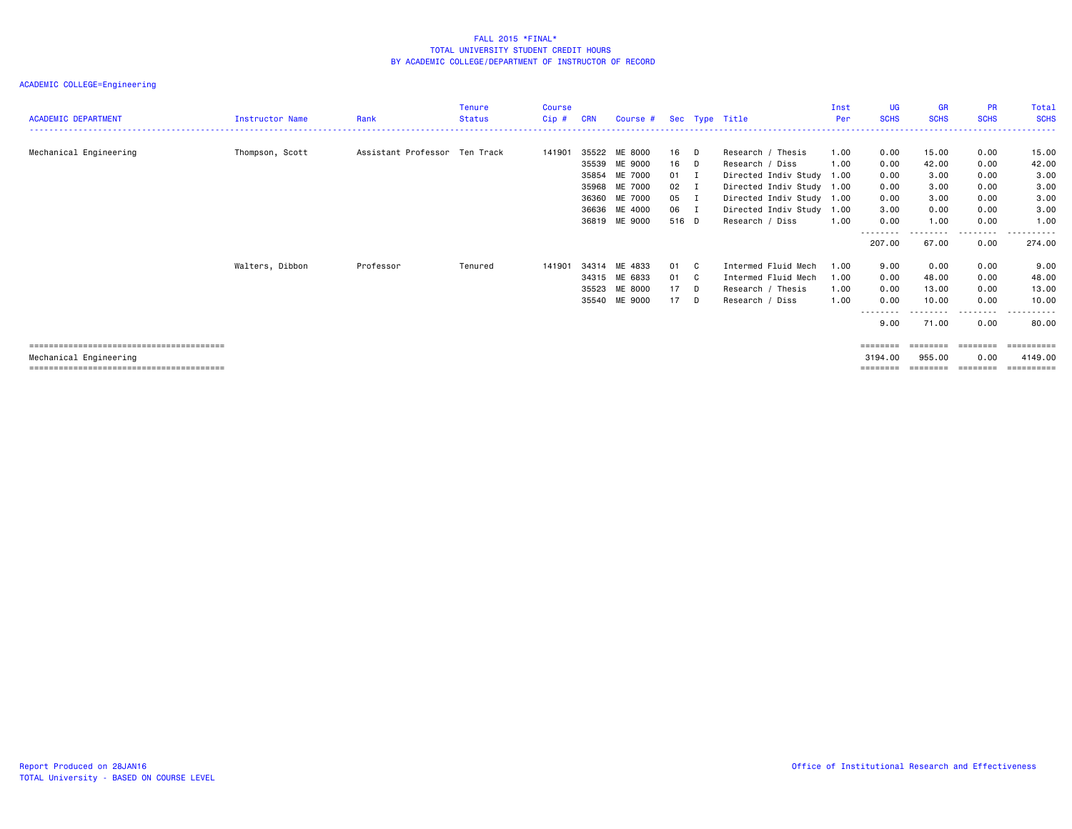| <b>ACADEMIC DEPARTMENT</b> | <b>Instructor Name</b> | Rank                          | Tenure<br><b>Status</b> | Course<br>$Cip$ # | CRN                                                         | Course #                                                                  |                                           |                            | Sec Type Title                                                                                                                                                    | Inst<br>Per                          | UG<br><b>SCHS</b>                                                                              | <b>GR</b><br><b>SCHS</b>                               | <b>PR</b><br><b>SCHS</b>                             | Total<br><b>SCHS</b>                                   |
|----------------------------|------------------------|-------------------------------|-------------------------|-------------------|-------------------------------------------------------------|---------------------------------------------------------------------------|-------------------------------------------|----------------------------|-------------------------------------------------------------------------------------------------------------------------------------------------------------------|--------------------------------------|------------------------------------------------------------------------------------------------|--------------------------------------------------------|------------------------------------------------------|--------------------------------------------------------|
| Mechanical Engineering     | Thompson, Scott        | Assistant Professor Ten Track |                         | 141901            | 35522<br>35539<br>35854<br>35968<br>36360<br>36636<br>36819 | ME 8000<br>ME 9000<br>ME 7000<br>ME 7000<br>ME 7000<br>ME 4000<br>ME 9000 | 16<br>16<br>01<br>02<br>05<br>06<br>516 D | D<br>D<br>I<br>I<br>п<br>п | Research / Thesis<br>Research / Diss<br>Directed Indiv Study<br>Directed Indiv Study 1.00<br>Directed Indiv Study 1.00<br>Directed Indiv Study<br>Research / Diss | 1.00<br>1.00<br>1.00<br>1.00<br>1.00 | 0.00<br>0.00<br>0.00<br>0.00<br>0.00<br>3.00<br>0.00                                           | 15.00<br>42.00<br>3.00<br>3.00<br>3.00<br>0.00<br>1.00 | 0.00<br>0.00<br>0.00<br>0.00<br>0.00<br>0.00<br>0.00 | 15.00<br>42.00<br>3.00<br>3.00<br>3.00<br>3.00<br>1.00 |
|                            |                        |                               |                         |                   |                                                             |                                                                           |                                           |                            |                                                                                                                                                                   |                                      | --------<br>207.00                                                                             | .<br>67.00                                             | --------<br>0.00                                     | -------<br>274.00                                      |
|                            | Walters, Dibbon        | Professor                     | Tenured                 | 141901            | 35523<br>35540                                              | 34314 ME 4833<br>34315 ME 6833<br>ME 8000<br>ME 9000                      | 01<br>01<br>17<br>17                      | C.<br>C<br>D<br>D          | Intermed Fluid Mech<br>Intermed Fluid Mech<br>Research / Thesis<br>Research / Diss                                                                                | 1.00<br>1.00<br>1.00<br>1.00         | 9.00<br>0.00<br>0.00<br>0.00<br>--------<br>9.00                                               | 0.00<br>48.00<br>13.00<br>10.00<br>71.00               | 0.00<br>0.00<br>0.00<br>0.00<br>. <b>.</b> .<br>0.00 | 9.00<br>48.00<br>13.00<br>10.00<br>.<br>80.00          |
| Mechanical Engineering     |                        |                               |                         |                   |                                                             |                                                                           |                                           |                            |                                                                                                                                                                   |                                      | $\qquad \qquad \equiv \equiv \equiv \equiv \equiv \equiv \equiv \equiv$<br>3194.00<br>======== | ========<br>955.00                                     | ========<br>0.00<br>==================               | ==========<br>4149.00<br>==========                    |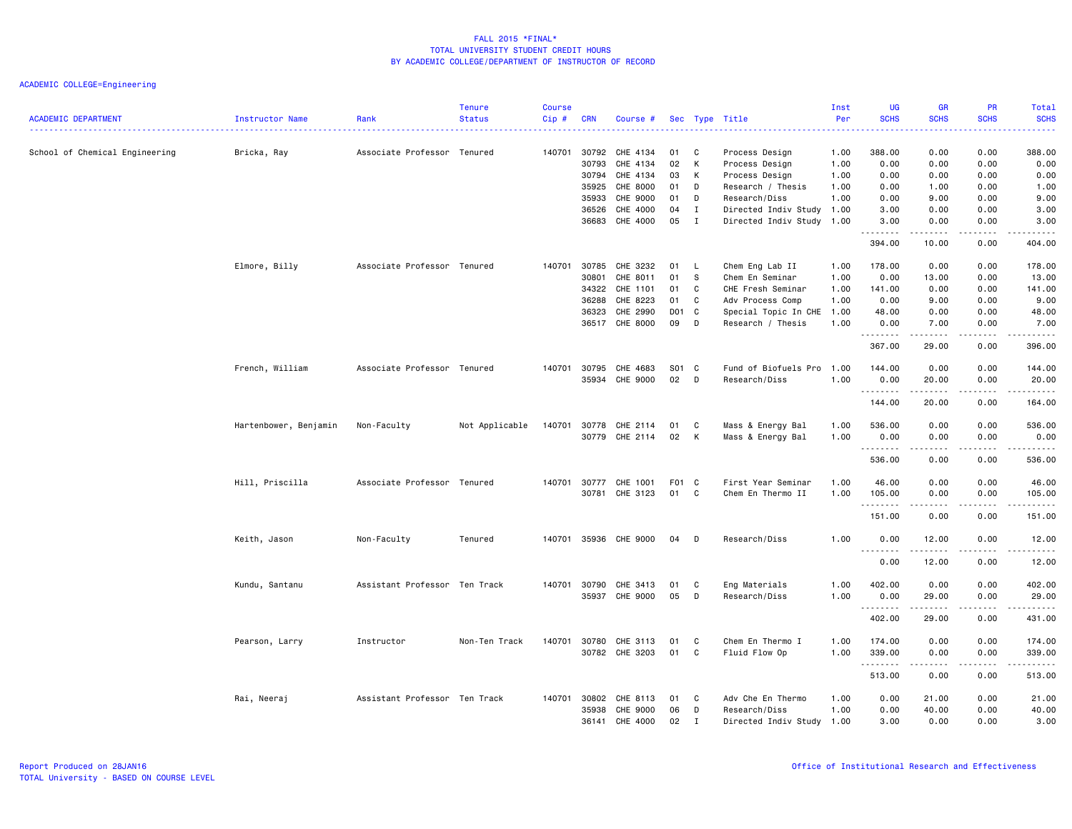| <b>ACADEMIC DEPARTMENT</b>     | Instructor Name       | Rank                          | <b>Tenure</b><br><b>Status</b> | <b>Course</b><br>$Cip \#$ | <b>CRN</b>   | Course #              |       |              | Sec Type Title            | Inst<br>Per | <b>UG</b><br><b>SCHS</b> | <b>GR</b><br><b>SCHS</b> | <b>PR</b><br><b>SCHS</b>            | Total<br><b>SCHS</b><br>. |
|--------------------------------|-----------------------|-------------------------------|--------------------------------|---------------------------|--------------|-----------------------|-------|--------------|---------------------------|-------------|--------------------------|--------------------------|-------------------------------------|---------------------------|
| School of Chemical Engineering | Bricka, Ray           | Associate Professor Tenured   |                                | 140701                    | 30792        | CHE 4134              | 01    | $\mathbf{C}$ | Process Design            | 1.00        | 388.00                   | 0.00                     | 0.00                                | 388.00                    |
|                                |                       |                               |                                |                           | 30793        | CHE 4134              | 02    | K            | Process Design            | 1.00        | 0.00                     | 0.00                     | 0.00                                | 0.00                      |
|                                |                       |                               |                                |                           | 30794        | CHE 4134              | 03    | K            | Process Design            | 1.00        | 0.00                     | 0.00                     | 0.00                                | 0.00                      |
|                                |                       |                               |                                |                           | 35925        | CHE 8000              | 01    | D            | Research / Thesis         | 1.00        | 0.00                     | 1.00                     | 0.00                                | 1.00                      |
|                                |                       |                               |                                |                           | 35933        | CHE 9000              | 01    | D            | Research/Diss             | 1.00        | 0.00                     | 9.00                     | 0.00                                | 9.00                      |
|                                |                       |                               |                                |                           | 36526        | CHE 4000              | 04    | Ι.           | Directed Indiv Study 1.00 |             | 3.00                     | 0.00                     | 0.00                                | 3.00                      |
|                                |                       |                               |                                |                           | 36683        | CHE 4000              | 05    | I            | Directed Indiv Study 1.00 |             | 3.00<br>.                | 0.00<br>.                | 0.00<br>.                           | 3.00<br>.                 |
|                                |                       |                               |                                |                           |              |                       |       |              |                           |             | 394.00                   | 10.00                    | 0.00                                | 404.00                    |
|                                | Elmore, Billy         | Associate Professor Tenured   |                                | 140701                    | 30785        | CHE 3232              | 01    | - Li         | Chem Eng Lab II           | 1.00        | 178.00                   | 0.00                     | 0.00                                | 178.00                    |
|                                |                       |                               |                                |                           | 30801        | CHE 8011              | 01    | S            | Chem En Seminar           | 1.00        | 0.00                     | 13.00                    | 0.00                                | 13.00                     |
|                                |                       |                               |                                |                           | 34322        | CHE 1101              | 01    | C            | CHE Fresh Seminar         | 1.00        | 141.00                   | 0.00                     | 0.00                                | 141.00                    |
|                                |                       |                               |                                |                           | 36288        | CHE 8223              | 01    | C            | Adv Process Comp          | 1.00        | 0.00                     | 9.00                     | 0.00                                | 9.00                      |
|                                |                       |                               |                                |                           | 36323        | CHE 2990              | D01   | C            | Special Topic In CHE      | 1.00        | 48.00                    | 0.00                     | 0.00                                | 48.00                     |
|                                |                       |                               |                                |                           |              | 36517 CHE 8000        | 09    | D            | Research / Thesis         | 1.00        | 0.00                     | 7.00                     | 0.00                                | 7.00                      |
|                                |                       |                               |                                |                           |              |                       |       |              |                           |             | .<br>367.00              | .<br>29.00               | .<br>0.00                           | <u>.</u><br>396.00        |
|                                |                       |                               |                                |                           |              |                       |       |              |                           |             |                          |                          |                                     |                           |
|                                | French, William       | Associate Professor Tenured   |                                | 140701                    | 30795        | CHE 4683              | S01 C |              | Fund of Biofuels Pro      | 1.00        | 144.00                   | 0.00                     | 0.00                                | 144.00                    |
|                                |                       |                               |                                |                           |              | 35934 CHE 9000        | 02    | D            | Research/Diss             | 1.00        | 0.00<br><u>.</u>         | 20.00<br>.               | 0.00<br>.                           | 20.00<br><u>.</u>         |
|                                |                       |                               |                                |                           |              |                       |       |              |                           |             | 144.00                   | 20.00                    | 0.00                                | 164.00                    |
|                                |                       |                               |                                |                           |              |                       |       |              |                           |             |                          |                          |                                     |                           |
|                                | Hartenbower, Benjamin | Non-Faculty                   | Not Applicable                 | 140701                    | 30778        | CHE 2114              | 01    | C            | Mass & Energy Bal         | 1.00        | 536.00                   | 0.00                     | 0.00                                | 536.00                    |
|                                |                       |                               |                                |                           | 30779        | CHE 2114              | 02    | K            | Mass & Energy Bal         | 1.00        | 0.00<br>1.1.1.1.1.1.1    | 0.00                     | 0.00                                | 0.00<br>.                 |
|                                |                       |                               |                                |                           |              |                       |       |              |                           |             | 536.00                   | -----<br>0.00            | المتمام المنا<br>0.00               | 536.00                    |
|                                |                       |                               |                                |                           |              |                       |       |              |                           |             |                          |                          |                                     |                           |
|                                | Hill, Priscilla       | Associate Professor Tenured   |                                |                           | 140701 30777 | CHE 1001              | F01 C |              | First Year Seminar        | 1.00        | 46.00                    | 0.00                     | 0.00                                | 46.00                     |
|                                |                       |                               |                                |                           | 30781        | CHE 3123              | 01    | C            | Chem En Thermo II         | 1.00        | 105.00                   | 0.00                     | 0.00                                | 105.00                    |
|                                |                       |                               |                                |                           |              |                       |       |              |                           |             | .<br>151.00              | 0.00                     | .<br>0.00                           | .<br>151.00               |
|                                | Keith, Jason          | Non-Faculty                   | Tenured                        |                           |              | 140701 35936 CHE 9000 | 04    | D            | Research/Diss             | 1.00        | 0.00                     | 12.00                    | 0.00                                | 12.00                     |
|                                |                       |                               |                                |                           |              |                       |       |              |                           |             |                          | .                        | .                                   | د د د د د                 |
|                                |                       |                               |                                |                           |              |                       |       |              |                           |             | 0.00                     | 12.00                    | 0.00                                | 12.00                     |
|                                | Kundu, Santanu        | Assistant Professor Ten Track |                                |                           | 140701 30790 | CHE 3413              | 01    | C            | Eng Materials             | 1.00        | 402.00                   | 0.00                     | 0.00                                | 402.00                    |
|                                |                       |                               |                                |                           |              | 35937 CHE 9000        | 05    | D            | Research/Diss             | 1.00        | 0.00                     | 29.00                    | 0.00                                | 29.00                     |
|                                |                       |                               |                                |                           |              |                       |       |              |                           |             | .                        | د د د د د                | د د د د                             | ------                    |
|                                |                       |                               |                                |                           |              |                       |       |              |                           |             | 402.00                   | 29.00                    | 0.00                                | 431.00                    |
|                                |                       |                               |                                |                           |              |                       |       |              |                           |             |                          |                          |                                     |                           |
|                                | Pearson, Larry        | Instructor                    | Non-Ten Track                  | 140701                    | 30780        | CHE 3113              | 01    | C            | Chem En Thermo I          | 1.00        | 174.00                   | 0.00                     | 0.00                                | 174.00                    |
|                                |                       |                               |                                |                           |              | 30782 CHE 3203        | 01    | C            | Fluid Flow Op             | 1.00        | 339.00                   | 0.00                     | 0.00<br>$\sim$ $\sim$ $\sim$ $\sim$ | 339.00                    |
|                                |                       |                               |                                |                           |              |                       |       |              |                           |             | .<br>513.00              | 0.00                     | 0.00                                | ------<br>513.00          |
|                                |                       |                               |                                |                           |              |                       |       |              |                           |             |                          |                          |                                     |                           |
|                                | Rai, Neeraj           | Assistant Professor Ten Track |                                | 140701                    | 30802        | CHE 8113              | 01    | C            | Adv Che En Thermo         | 1.00        | 0.00                     | 21.00                    | 0.00                                | 21.00                     |
|                                |                       |                               |                                |                           | 35938        | CHE 9000              | 06    | D            | Research/Diss             | 1.00        | 0.00                     | 40.00                    | 0.00                                | 40.00                     |
|                                |                       |                               |                                |                           | 36141        | CHE 4000              | 02    | $\mathbf{I}$ | Directed Indiv Study 1.00 |             | 3.00                     | 0.00                     | 0.00                                | 3.00                      |
|                                |                       |                               |                                |                           |              |                       |       |              |                           |             |                          |                          |                                     |                           |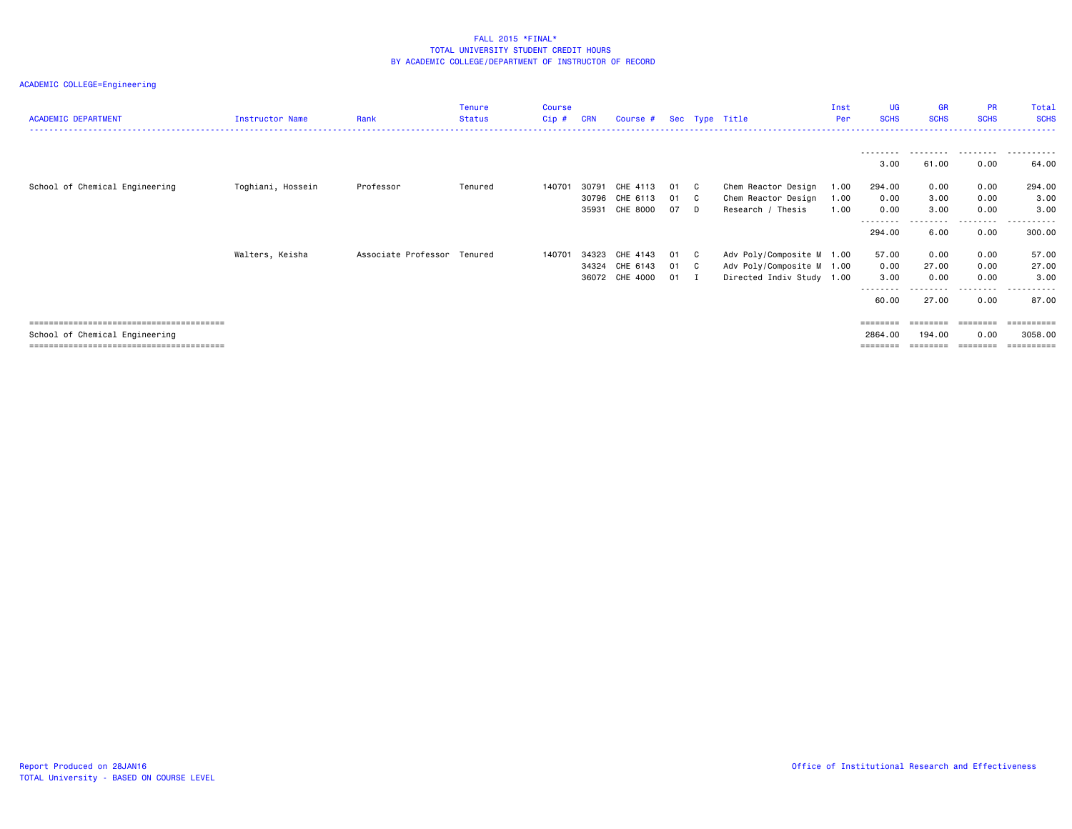| <b>ACADEMIC DEPARTMENT</b>     | Instructor Name   | Rank                        | Tenure<br><b>Status</b> | Course<br>Cip # | <b>CRN</b>     | Course #                                     |                      |    | Sec Type Title                                                                      | Inst<br>Per          | UG<br><b>SCHS</b>                  | <b>GR</b><br><b>SCHS</b>           | <b>PR</b><br><b>SCHS</b>          | Total<br><b>SCHS</b>        |
|--------------------------------|-------------------|-----------------------------|-------------------------|-----------------|----------------|----------------------------------------------|----------------------|----|-------------------------------------------------------------------------------------|----------------------|------------------------------------|------------------------------------|-----------------------------------|-----------------------------|
|                                |                   |                             |                         |                 |                |                                              |                      |    |                                                                                     |                      | 3.00                               | .<br>61.00                         | .<br>0.00                         | 64.00                       |
| School of Chemical Engineering | Toghiani, Hossein | Professor                   | Tenured                 | 140701          | 30791<br>35931 | CHE 4113<br>30796 CHE 6113<br>CHE 8000       | 01 C<br>01 C<br>07   | D. | Chem Reactor Design<br>Chem Reactor Design<br>Research / Thesis                     | 1.00<br>1.00<br>1.00 | 294.00<br>0.00<br>0.00<br>-------- | 0.00<br>3.00<br>3.00<br>.          | 0.00<br>0.00<br>0.00<br>--------- | 294.00<br>3.00<br>3,00<br>. |
|                                |                   |                             |                         |                 |                |                                              |                      |    |                                                                                     |                      | 294.00                             | 6.00                               | 0.00                              | 300.00                      |
|                                | Walters, Keisha   | Associate Professor Tenured |                         | 140701          | 34323          | CHE 4143<br>34324 CHE 6143<br>36072 CHE 4000 | 01 C<br>01 C<br>01 I |    | Adv Poly/Composite M 1.00<br>Adv Poly/Composite M 1.00<br>Directed Indiv Study 1.00 |                      | 57.00<br>0.00<br>3.00<br>--------  | 0.00<br>27.00<br>0.00<br>--------- | 0.00<br>0.00<br>0.00<br>.         | 57.00<br>27.00<br>3,00<br>. |
|                                |                   |                             |                         |                 |                |                                              |                      |    |                                                                                     |                      | 60.00                              | 27.00                              | 0.00                              | 87.00                       |
| School of Chemical Engineering |                   |                             |                         |                 |                |                                              |                      |    |                                                                                     |                      | 2864.00                            | ========<br>194.00<br>========     | ========<br>0.00<br>========      | 3058,00                     |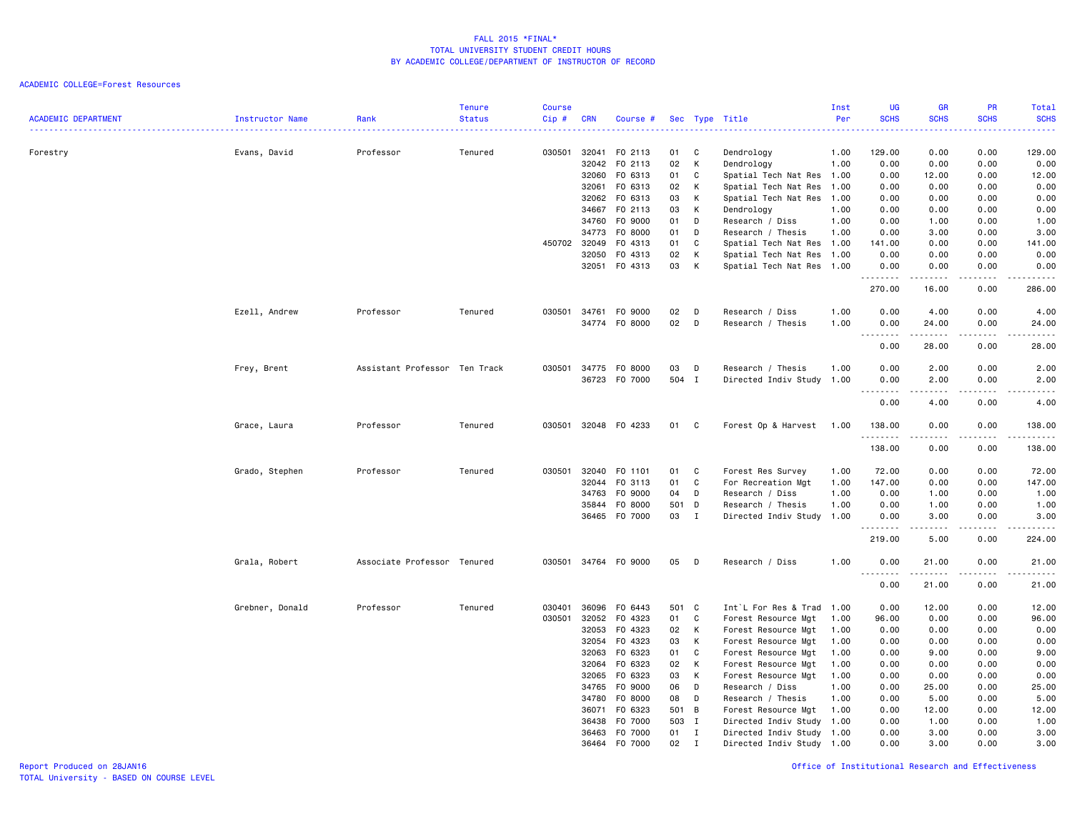| <b>ACADEMIC DEPARTMENT</b> | Instructor Name | Rank                          | <b>Tenure</b><br><b>Status</b> | <b>Course</b><br>Cip# | <b>CRN</b>     | Course #             |           |                              | Sec Type Title                                         | Inst<br>Per | UG<br><b>SCHS</b>                             | <b>GR</b><br><b>SCHS</b>                                                                                                                                     | <b>PR</b><br><b>SCHS</b><br>2222)   | Total<br><b>SCHS</b><br>.                                                                                                                                     |
|----------------------------|-----------------|-------------------------------|--------------------------------|-----------------------|----------------|----------------------|-----------|------------------------------|--------------------------------------------------------|-------------|-----------------------------------------------|--------------------------------------------------------------------------------------------------------------------------------------------------------------|-------------------------------------|---------------------------------------------------------------------------------------------------------------------------------------------------------------|
| Forestry                   | Evans, David    | Professor                     | Tenured                        |                       | 030501 32041   | F0 2113              | 01        | C                            | Dendrology                                             | 1.00        | 129.00                                        | 0.00                                                                                                                                                         | 0.00                                | 129.00                                                                                                                                                        |
|                            |                 |                               |                                |                       | 32042          | F0 2113              | 02        | K                            | Dendrology                                             | 1.00        | 0.00                                          | 0.00                                                                                                                                                         | 0.00                                | 0.00                                                                                                                                                          |
|                            |                 |                               |                                |                       | 32060          | F0 6313              | 01        | C                            | Spatial Tech Nat Res 1.00                              |             | 0.00                                          | 12.00                                                                                                                                                        | 0.00                                | 12.00                                                                                                                                                         |
|                            |                 |                               |                                |                       | 32061          | FO 6313              | 02        | K                            | Spatial Tech Nat Res 1.00                              |             | 0.00                                          | 0.00                                                                                                                                                         | 0.00                                | 0.00                                                                                                                                                          |
|                            |                 |                               |                                |                       |                | 32062 FO 6313        | 03        | К                            | Spatial Tech Nat Res 1.00                              |             | 0.00                                          | 0.00                                                                                                                                                         | 0.00                                | 0.00                                                                                                                                                          |
|                            |                 |                               |                                |                       | 34667          | F0 2113              | 03        | K                            | Dendrology                                             | 1.00        | 0.00                                          | 0.00                                                                                                                                                         | 0.00                                | 0.00                                                                                                                                                          |
|                            |                 |                               |                                |                       | 34760          | F0 9000              | 01        | D                            | Research / Diss                                        | 1.00        | 0.00                                          | 1.00                                                                                                                                                         | 0.00                                | 1.00                                                                                                                                                          |
|                            |                 |                               |                                |                       | 34773          | F0 8000              | 01        | D                            | Research / Thesis                                      | 1.00        | 0.00                                          | 3.00                                                                                                                                                         | 0.00                                | 3.00                                                                                                                                                          |
|                            |                 |                               |                                |                       | 450702 32049   | F0 4313              | 01        | C                            | Spatial Tech Nat Res 1.00                              |             | 141.00                                        | 0.00                                                                                                                                                         | 0.00                                | 141.00                                                                                                                                                        |
|                            |                 |                               |                                |                       | 32050          | F0 4313              | 02        | K                            | Spatial Tech Nat Res 1.00                              |             | 0.00                                          | 0.00                                                                                                                                                         | 0.00                                | 0.00                                                                                                                                                          |
|                            |                 |                               |                                |                       |                | 32051 F0 4313        | 03        | K                            | Spatial Tech Nat Res 1.00                              |             | 0.00<br>.                                     | 0.00<br>.                                                                                                                                                    | 0.00<br>$- - - -$                   | 0.00<br>$\frac{1}{2}$                                                                                                                                         |
|                            |                 |                               |                                |                       |                |                      |           |                              |                                                        |             | 270.00                                        | 16.00                                                                                                                                                        | 0.00                                | 286.00                                                                                                                                                        |
|                            | Ezell, Andrew   | Professor                     | Tenured                        |                       | 030501 34761   | F0 9000              | 02        | D                            | Research / Diss                                        | 1.00        | 0.00                                          | 4.00                                                                                                                                                         | 0.00                                | 4.00                                                                                                                                                          |
|                            |                 |                               |                                |                       |                | 34774 F0 8000        | 02        | D                            | Research / Thesis                                      | 1.00        | 0.00<br>$\sim$ $\sim$ $\sim$<br>-----         | 24.00                                                                                                                                                        | 0.00<br>$\sim$ $\sim$ $\sim$ $\sim$ | 24.00<br>$\frac{1}{2} \left( \frac{1}{2} \right) \left( \frac{1}{2} \right) \left( \frac{1}{2} \right) \left( \frac{1}{2} \right) \left( \frac{1}{2} \right)$ |
|                            |                 |                               |                                |                       |                |                      |           |                              |                                                        |             | 0.00                                          | 28.00                                                                                                                                                        | 0.00                                | 28.00                                                                                                                                                         |
|                            | Frey, Brent     | Assistant Professor Ten Track |                                | 030501                | 34775          | F0 8000              | 03        | D                            | Research / Thesis                                      | 1.00        | 0.00                                          | 2.00                                                                                                                                                         | 0.00                                | 2.00                                                                                                                                                          |
|                            |                 |                               |                                |                       |                | 36723 F0 7000        | 504 I     |                              | Directed Indiv Study 1.00                              |             | 0.00                                          | 2.00                                                                                                                                                         | 0.00                                | 2.00                                                                                                                                                          |
|                            |                 |                               |                                |                       |                |                      |           |                              |                                                        |             | .<br>$\sim$ $\sim$ $\sim$<br>0.00             | -----<br>4.00                                                                                                                                                | .<br>0.00                           | .<br>4.00                                                                                                                                                     |
|                            | Grace, Laura    | Professor                     | Tenured                        | 030501                |                | 32048 FO 4233        | 01        | C                            | Forest Op & Harvest                                    | 1.00        | 138.00<br>.                                   | 0.00                                                                                                                                                         | 0.00<br>$\sim$ $\sim$ $\sim$        | 138.00<br><u>.</u>                                                                                                                                            |
|                            |                 |                               |                                |                       |                |                      |           |                              |                                                        |             | 138.00                                        | .<br>0.00                                                                                                                                                    | 0.00                                | 138.00                                                                                                                                                        |
|                            | Grado, Stephen  | Professor                     | Tenured                        | 030501                | 32040          | F0 1101              | 01        | C                            | Forest Res Survey                                      | 1.00        | 72.00                                         | 0.00                                                                                                                                                         | 0.00                                | 72.00                                                                                                                                                         |
|                            |                 |                               |                                |                       |                | 32044 FO 3113        | 01        | C                            | For Recreation Mgt                                     | 1.00        | 147.00                                        | 0.00                                                                                                                                                         | 0.00                                | 147.00                                                                                                                                                        |
|                            |                 |                               |                                |                       | 34763          | F0 9000              | 04        | D                            | Research / Diss                                        | 1.00        | 0.00                                          | 1.00                                                                                                                                                         | 0.00                                | 1.00                                                                                                                                                          |
|                            |                 |                               |                                |                       | 35844          | F0 8000              | 501       | D                            | Research / Thesis                                      | 1.00        | 0.00                                          | 1.00                                                                                                                                                         | 0.00                                | 1.00                                                                                                                                                          |
|                            |                 |                               |                                |                       |                | 36465 F0 7000        | 03        | $\mathbf{I}$                 | Directed Indiv Study 1.00                              |             | 0.00<br>.                                     | 3.00<br>$\frac{1}{2} \left( \frac{1}{2} \right) \left( \frac{1}{2} \right) \left( \frac{1}{2} \right) \left( \frac{1}{2} \right) \left( \frac{1}{2} \right)$ | 0.00<br>.                           | 3.00<br>------                                                                                                                                                |
|                            |                 |                               |                                |                       |                |                      |           |                              |                                                        |             | 219.00                                        | 5.00                                                                                                                                                         | 0.00                                | 224.00                                                                                                                                                        |
|                            | Grala, Robert   | Associate Professor Tenured   |                                |                       |                | 030501 34764 F0 9000 | 05        | D                            | Research / Diss                                        | 1.00        | 0.00<br>$\sim$ $\sim$<br>$\sim$ $\sim$ $\sim$ | 21.00                                                                                                                                                        | 0.00                                | 21.00<br>.                                                                                                                                                    |
|                            |                 |                               |                                |                       |                |                      |           |                              |                                                        |             | 0.00                                          | 21.00                                                                                                                                                        | 0.00                                | 21.00                                                                                                                                                         |
|                            | Grebner, Donald | Professor                     | Tenured                        | 030401                | 36096          | F0 6443              | 501 C     |                              | Int`L For Res & Trad 1.00                              |             | 0.00                                          | 12.00                                                                                                                                                        | 0.00                                | 12.00                                                                                                                                                         |
|                            |                 |                               |                                | 030501                | 32052          | F0 4323              | 01        | C                            | Forest Resource Mgt                                    | 1.00        | 96.00                                         | 0.00                                                                                                                                                         | 0.00                                | 96.00                                                                                                                                                         |
|                            |                 |                               |                                |                       | 32053          | F0 4323              | 02        | K                            | Forest Resource Mgt                                    | 1.00        | 0.00                                          | 0.00                                                                                                                                                         | 0.00                                | 0.00                                                                                                                                                          |
|                            |                 |                               |                                |                       | 32054          | F0 4323              | 03        | K                            | Forest Resource Mgt                                    | 1.00        | 0.00                                          | 0.00                                                                                                                                                         | 0.00                                | 0.00                                                                                                                                                          |
|                            |                 |                               |                                |                       | 32063          | F0 6323              | 01        | C                            | Forest Resource Mgt                                    | 1.00        | 0.00                                          | 9.00                                                                                                                                                         | 0.00                                | 9.00                                                                                                                                                          |
|                            |                 |                               |                                |                       |                | 32064 FO 6323        | 02        | K                            | Forest Resource Mgt                                    | 1.00        | 0.00                                          | 0.00                                                                                                                                                         | 0.00                                | 0.00                                                                                                                                                          |
|                            |                 |                               |                                |                       | 32065          | F0 6323              | 03        | K                            | Forest Resource Mgt                                    | 1.00        | 0.00                                          | 0.00                                                                                                                                                         | 0.00                                | 0.00                                                                                                                                                          |
|                            |                 |                               |                                |                       | 34765          | F0 9000              | 06        | D                            | Research / Diss                                        | 1.00        | 0.00                                          | 25.00                                                                                                                                                        | 0.00                                | 25.00                                                                                                                                                         |
|                            |                 |                               |                                |                       | 34780          | F0 8000              | 08        | D                            | Research / Thesis                                      | 1.00        | 0.00                                          | 5.00                                                                                                                                                         | 0.00                                | 5.00                                                                                                                                                          |
|                            |                 |                               |                                |                       | 36071<br>36438 | F0 6323<br>F0 7000   | 501 B     |                              | Forest Resource Mgt 1.00                               |             | 0.00                                          | 12.00                                                                                                                                                        | 0.00                                | 12.00                                                                                                                                                         |
|                            |                 |                               |                                |                       | 36463          | F0 7000              | 503<br>01 | $\mathbf{I}$<br>$\mathbf{I}$ | Directed Indiv Study 1.00<br>Directed Indiv Study 1.00 |             | 0.00<br>0.00                                  | 1.00<br>3.00                                                                                                                                                 | 0.00<br>0.00                        | 1.00<br>3.00                                                                                                                                                  |
|                            |                 |                               |                                |                       |                | 36464 F0 7000        | 02        | $\mathbf I$                  | Directed Indiv Study 1.00                              |             | 0.00                                          | 3.00                                                                                                                                                         | 0.00                                | 3.00                                                                                                                                                          |
|                            |                 |                               |                                |                       |                |                      |           |                              |                                                        |             |                                               |                                                                                                                                                              |                                     |                                                                                                                                                               |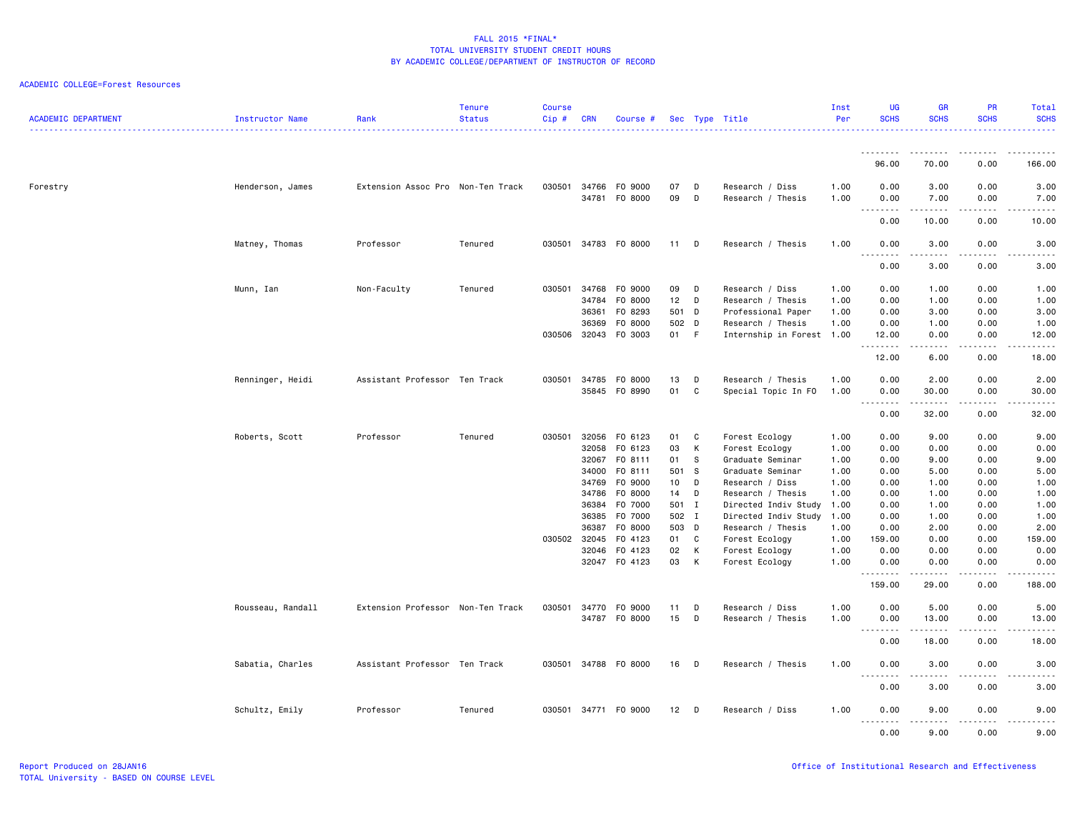| <b>ACADEMIC DEPARTMENT</b> | Instructor Name   | Rank                              | <b>Tenure</b><br><b>Status</b> | <b>Course</b><br>Cip# | <b>CRN</b>                     | Course #                      |                          |              | Sec Type Title                                                       | Inst<br>Per          | UG<br><b>SCHS</b>          | <b>GR</b><br><b>SCHS</b>                                                                                                                                      | PR<br><b>SCHS</b>                                                                                                         | Total<br><b>SCHS</b><br><u>.</u>   |
|----------------------------|-------------------|-----------------------------------|--------------------------------|-----------------------|--------------------------------|-------------------------------|--------------------------|--------------|----------------------------------------------------------------------|----------------------|----------------------------|---------------------------------------------------------------------------------------------------------------------------------------------------------------|---------------------------------------------------------------------------------------------------------------------------|------------------------------------|
|                            |                   |                                   |                                |                       |                                |                               |                          |              |                                                                      |                      | .                          |                                                                                                                                                               | $\frac{1}{2} \left( \frac{1}{2} \right) \left( \frac{1}{2} \right) \left( \frac{1}{2} \right) \left( \frac{1}{2} \right)$ | .                                  |
|                            |                   |                                   |                                |                       |                                |                               |                          |              |                                                                      |                      | 96.00                      | 70.00                                                                                                                                                         | 0.00                                                                                                                      | 166.00                             |
| Forestry                   | Henderson, James  | Extension Assoc Pro Non-Ten Track |                                | 030501                | 34766<br>34781                 | F0 9000<br>F0 8000            | 07<br>09                 | D<br>D       | Research / Diss<br>Research / Thesis                                 | 1.00<br>1.00         | 0.00<br>0.00               | 3.00<br>7.00                                                                                                                                                  | 0.00<br>0.00                                                                                                              | 3.00<br>7.00                       |
|                            |                   |                                   |                                |                       |                                |                               |                          |              |                                                                      |                      | .<br>0.00                  | $\frac{1}{2} \left( \frac{1}{2} \right) \left( \frac{1}{2} \right) \left( \frac{1}{2} \right) \left( \frac{1}{2} \right) \left( \frac{1}{2} \right)$<br>10.00 | د د د د<br>0.00                                                                                                           | $\omega$ is $\omega$ in .<br>10.00 |
|                            | Matney, Thomas    | Professor                         | Tenured                        | 030501                | 34783                          | F0 8000                       | 11                       | D            | Research / Thesis                                                    | 1.00                 | 0.00                       | 3.00                                                                                                                                                          | 0.00                                                                                                                      | 3.00                               |
|                            |                   |                                   |                                |                       |                                |                               |                          |              |                                                                      |                      | 0.00                       | 3.00                                                                                                                                                          | 0.00                                                                                                                      | 3.00                               |
|                            | Munn, Ian         | Non-Faculty                       | Tenured                        | 030501                | 34768<br>34784                 | F0 9000<br>F0 8000            | 09<br>12 <sup>12</sup>   | D<br>D       | Research / Diss<br>Research / Thesis                                 | 1.00<br>1.00         | 0.00<br>0.00               | 1.00<br>1.00                                                                                                                                                  | 0.00<br>0.00                                                                                                              | 1.00<br>1.00                       |
|                            |                   |                                   |                                |                       | 36361<br>36369<br>030506 32043 | F0 8293<br>F0 8000<br>F0 3003 | 501<br>502 D<br>01       | D<br>- F     | Professional Paper<br>Research / Thesis<br>Internship in Forest 1.00 | 1.00<br>1.00         | 0.00<br>0.00<br>12.00      | 3.00<br>1.00<br>0.00                                                                                                                                          | 0.00<br>0.00<br>0.00                                                                                                      | 3.00<br>1.00<br>12.00              |
|                            |                   |                                   |                                |                       |                                |                               |                          |              |                                                                      |                      | 12.00                      | $\frac{1}{2} \left( \frac{1}{2} \right) \left( \frac{1}{2} \right) \left( \frac{1}{2} \right) \left( \frac{1}{2} \right) \left( \frac{1}{2} \right)$<br>6.00  | .<br>0.00                                                                                                                 | .<br>18.00                         |
|                            | Renninger, Heidi  | Assistant Professor Ten Track     |                                | 030501                | 34785<br>35845                 | F0 8000<br>F0 8990            | 13<br>01                 | D<br>C       | Research / Thesis<br>Special Topic In FO                             | 1.00<br>1.00         | 0.00<br>0.00<br>.          | 2.00<br>30.00<br>.                                                                                                                                            | 0.00<br>0.00<br>$\frac{1}{2}$                                                                                             | 2.00<br>30.00<br>د د د د د         |
|                            |                   |                                   |                                |                       |                                |                               |                          |              |                                                                      |                      | 0.00                       | 32.00                                                                                                                                                         | 0.00                                                                                                                      | 32.00                              |
|                            | Roberts, Scott    | Professor                         | Tenured                        | 030501                | 32056<br>32058                 | F0 6123<br>F0 6123            | 01<br>03<br>01           | C<br>К<br>s. | Forest Ecology<br>Forest Ecology                                     | 1.00<br>1.00<br>1.00 | 0.00<br>0.00               | 9.00<br>0.00                                                                                                                                                  | 0.00<br>0.00<br>0.00                                                                                                      | 9.00<br>0.00                       |
|                            |                   |                                   |                                |                       | 32067<br>34000<br>34769        | FO 8111<br>FO 8111<br>F0 9000 | 501 S<br>10 <sub>1</sub> | D            | Graduate Seminar<br>Graduate Seminar<br>Research / Diss              | 1.00<br>1.00         | 0.00<br>0.00<br>0.00       | 9.00<br>5.00<br>1.00                                                                                                                                          | 0.00<br>0.00                                                                                                              | 9.00<br>5.00<br>1.00               |
|                            |                   |                                   |                                |                       | 34786<br>36384<br>36385        | F0 8000<br>F0 7000<br>F0 7000 | 14<br>501 I<br>502 I     | D            | Research / Thesis<br>Directed Indiv Study<br>Directed Indiv Study    | 1.00<br>1.00<br>1.00 | 0.00<br>0.00<br>0.00       | 1.00<br>1.00<br>1.00                                                                                                                                          | 0.00<br>0.00<br>0.00                                                                                                      | 1.00<br>1.00<br>1.00               |
|                            |                   |                                   |                                |                       | 36387<br>030502 32045<br>32046 | F0 8000<br>F0 4123<br>F0 4123 | 503 D<br>01 C<br>02      | К            | Research / Thesis<br>Forest Ecology<br>Forest Ecology                | 1.00<br>1.00<br>1.00 | 0.00<br>159.00<br>0.00     | 2.00<br>0.00<br>0.00                                                                                                                                          | 0.00<br>0.00<br>0.00                                                                                                      | 2.00<br>159.00<br>0.00             |
|                            |                   |                                   |                                |                       |                                | 32047 FO 4123                 | 03                       | K            | Forest Ecology                                                       | 1.00                 | 0.00<br>.                  | 0.00<br>$- - - - -$                                                                                                                                           | 0.00<br>$\frac{1}{2}$                                                                                                     | 0.00<br>.                          |
|                            |                   |                                   |                                |                       |                                |                               |                          |              |                                                                      |                      | 159.00                     | 29.00                                                                                                                                                         | 0.00                                                                                                                      | 188.00                             |
|                            | Rousseau, Randall | Extension Professor Non-Ten Track |                                | 030501                | 34770<br>34787                 | F0 9000<br>F0 8000            | 11<br>15                 | D<br>D       | Research / Diss<br>Research / Thesis                                 | 1.00<br>1.00         | 0.00<br>0.00<br>.          | 5.00<br>13.00<br>.                                                                                                                                            | 0.00<br>0.00<br>.                                                                                                         | 5.00<br>13.00<br>.                 |
|                            |                   |                                   |                                |                       |                                |                               |                          |              |                                                                      |                      | 0.00                       | 18.00                                                                                                                                                         | 0.00                                                                                                                      | 18.00                              |
|                            | Sabatia, Charles  | Assistant Professor Ten Track     |                                |                       |                                | 030501 34788 F0 8000          | 16                       | D            | Research / Thesis                                                    | 1.00                 | 0.00<br>$\sim$ $\sim$<br>. | 3.00                                                                                                                                                          | 0.00                                                                                                                      | 3.00<br>.                          |
|                            |                   |                                   |                                |                       |                                |                               |                          |              |                                                                      |                      | 0.00                       | 3.00                                                                                                                                                          | 0.00                                                                                                                      | 3.00                               |
|                            | Schultz, Emily    | Professor                         | Tenured                        |                       |                                | 030501 34771 F0 9000          | 12                       | D            | Research / Diss                                                      | 1.00                 | 0.00<br>0.00               | 9.00<br>-----<br>9.00                                                                                                                                         | 0.00<br>.<br>0.00                                                                                                         | 9.00<br>-----<br>9.00              |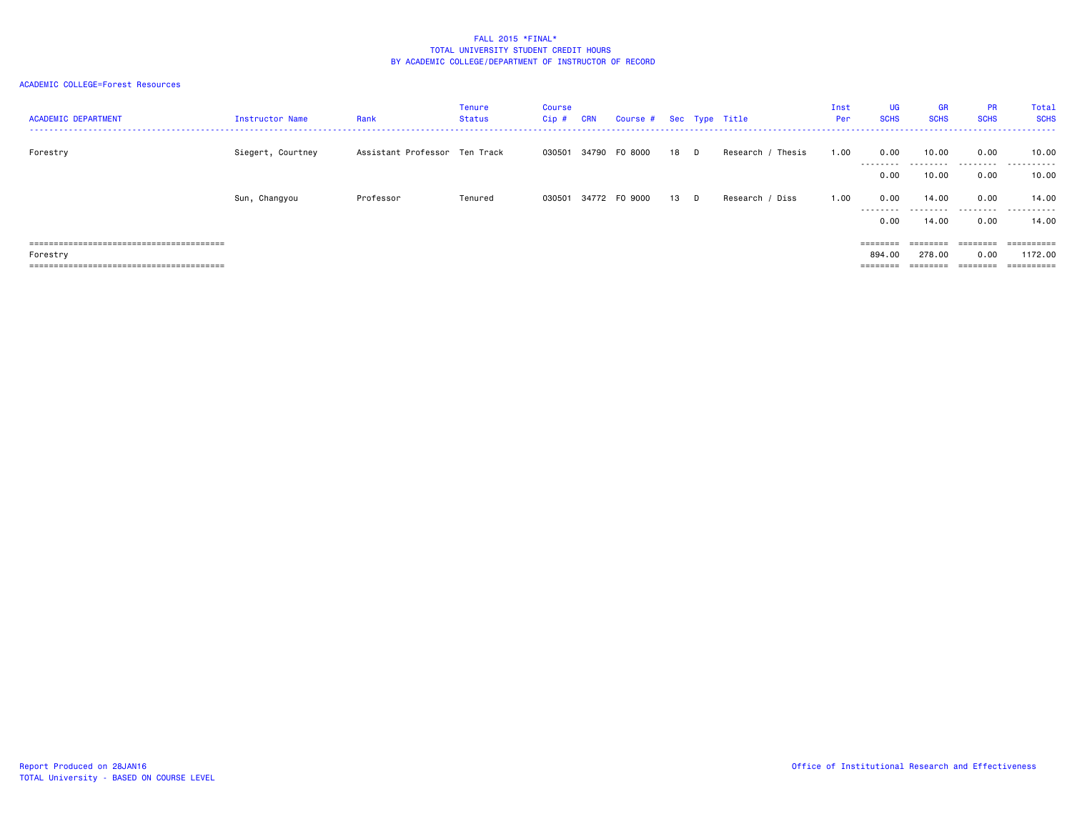| <b>ACADEMIC DEPARTMENT</b> | Instructor Name   | Rank                          | Tenure<br>Status | Course<br>Cip# | <b>CRN</b> | Course # Sec Type Title |    |    |                   | Inst<br>Per | UG<br><b>SCHS</b>                                                       | <b>GR</b><br><b>SCHS</b> | PR<br><b>SCHS</b> | Total<br><b>SCHS</b>  |
|----------------------------|-------------------|-------------------------------|------------------|----------------|------------|-------------------------|----|----|-------------------|-------------|-------------------------------------------------------------------------|--------------------------|-------------------|-----------------------|
| Forestry                   | Siegert, Courtney | Assistant Professor Ten Track |                  | 030501         |            | 34790 FO 8000           | 18 | D. | Research / Thesis | 1.00        | 0.00<br>---------                                                       | 10.00<br>.               | 0.00<br>.         | 10.00<br>.            |
|                            |                   |                               |                  |                |            |                         |    |    |                   |             | 0.00                                                                    | 10.00                    | 0.00              | 10.00                 |
|                            | Sun, Changyou     | Professor                     | Tenured          |                |            | 030501 34772 FO 9000    | 13 | D  | Research / Diss   | 1.00        | 0.00<br>.                                                               | 14.00<br>.               | 0.00<br>.         | 14.00<br>.            |
|                            |                   |                               |                  |                |            |                         |    |    |                   |             | 0.00                                                                    | 14.00                    | 0.00              | 14.00                 |
|                            |                   |                               |                  |                |            |                         |    |    |                   |             |                                                                         | ========                 |                   | $=$ = = = = = = = = = |
| Forestry                   |                   |                               |                  |                |            |                         |    |    |                   |             | 894.00                                                                  | 278.00                   | 0.00              | 1172.00               |
|                            |                   |                               |                  |                |            |                         |    |    |                   |             | $\qquad \qquad \equiv \equiv \equiv \equiv \equiv \equiv \equiv \equiv$ | ========                 | ========          | ==========            |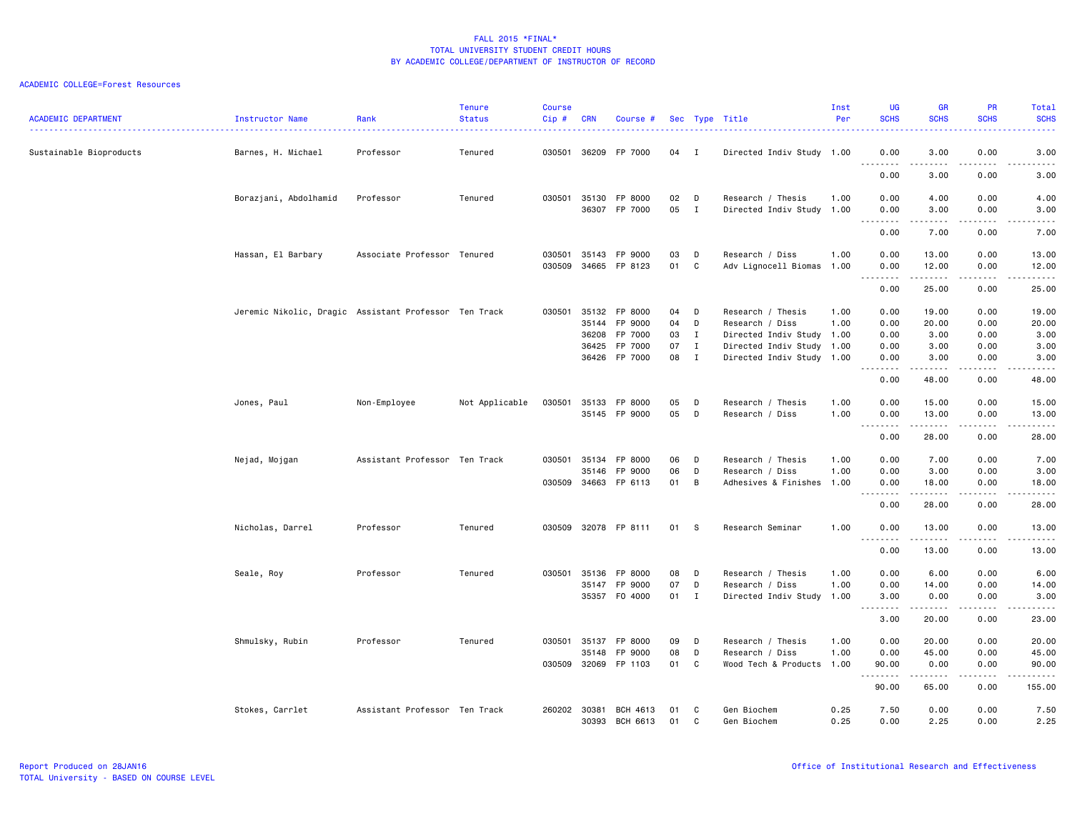| <b>ACADEMIC DEPARTMENT</b> | Instructor Name                                       | Rank<br>------------------    | <b>Tenure</b><br><b>Status</b> | <b>Course</b><br>Cip# | <b>CRN</b>     | Course #                 |          |                   | Sec Type Title<br>--------------------                 | Inst<br>Per | <b>UG</b><br><b>SCHS</b><br>----                                                                                                                                             | <b>GR</b><br><b>SCHS</b>                                                                                                                                      | <b>PR</b><br><b>SCHS</b>            | Total<br><b>SCHS</b><br>$\frac{1}{2} \left( \frac{1}{2} \right) \left( \frac{1}{2} \right) \left( \frac{1}{2} \right) \left( \frac{1}{2} \right)$                                        |
|----------------------------|-------------------------------------------------------|-------------------------------|--------------------------------|-----------------------|----------------|--------------------------|----------|-------------------|--------------------------------------------------------|-------------|------------------------------------------------------------------------------------------------------------------------------------------------------------------------------|---------------------------------------------------------------------------------------------------------------------------------------------------------------|-------------------------------------|------------------------------------------------------------------------------------------------------------------------------------------------------------------------------------------|
| Sustainable Bioproducts    | Barnes, H. Michael                                    | Professor                     | Tenured                        | 030501                |                | 36209 FP 7000            | 04 I     |                   | Directed Indiv Study 1.00                              |             | 0.00                                                                                                                                                                         | 3.00<br>$\frac{1}{2} \left( \frac{1}{2} \right) \left( \frac{1}{2} \right) \left( \frac{1}{2} \right) \left( \frac{1}{2} \right) \left( \frac{1}{2} \right)$  | 0.00<br>.                           | 3.00<br>$\frac{1}{2} \left( \frac{1}{2} \right) \left( \frac{1}{2} \right) \left( \frac{1}{2} \right) \left( \frac{1}{2} \right) \left( \frac{1}{2} \right)$                             |
|                            |                                                       |                               |                                |                       |                |                          |          |                   |                                                        |             | 0.00                                                                                                                                                                         | 3.00                                                                                                                                                          | 0.00                                | 3.00                                                                                                                                                                                     |
|                            | Borazjani, Abdolhamid                                 | Professor                     | Tenured                        | 030501                | 35130          | FP 8000                  | 02       | D                 | Research / Thesis                                      | 1.00        | 0.00                                                                                                                                                                         | 4.00                                                                                                                                                          | 0.00                                | 4.00                                                                                                                                                                                     |
|                            |                                                       |                               |                                |                       |                | 36307 FP 7000            | 05       | $\mathbf{I}$      | Directed Indiv Study 1.00                              |             | 0.00<br>.                                                                                                                                                                    | 3.00<br>.                                                                                                                                                     | 0.00<br>.                           | 3.00<br>.                                                                                                                                                                                |
|                            |                                                       |                               |                                |                       |                |                          |          |                   |                                                        |             | 0.00                                                                                                                                                                         | 7.00                                                                                                                                                          | 0.00                                | 7.00                                                                                                                                                                                     |
|                            | Hassan, El Barbary                                    | Associate Professor Tenured   |                                | 030501                | 35143          | FP 9000                  | 03       | D                 | Research / Diss                                        | 1.00        | 0.00                                                                                                                                                                         | 13.00                                                                                                                                                         | 0.00                                | 13.00                                                                                                                                                                                    |
|                            |                                                       |                               |                                | 030509                | 34665          | FP 8123                  | 01       | C                 | Adv Lignocell Biomas                                   | 1.00        | 0.00<br>$\sim$ $\sim$ $\sim$<br>$\frac{1}{2}$                                                                                                                                | 12.00                                                                                                                                                         | 0.00<br>.                           | 12.00<br>$\sim$ $\sim$ $\sim$ $\sim$ $\sim$                                                                                                                                              |
|                            |                                                       |                               |                                |                       |                |                          |          |                   |                                                        |             | 0.00                                                                                                                                                                         | 25.00                                                                                                                                                         | 0.00                                | 25.00                                                                                                                                                                                    |
|                            | Jeremic Nikolic, Dragic Assistant Professor Ten Track |                               |                                | 030501                | 35132          | FP 8000                  | 04       | D                 | Research / Thesis                                      | 1.00        | 0.00                                                                                                                                                                         | 19.00                                                                                                                                                         | 0.00                                | 19.00                                                                                                                                                                                    |
|                            |                                                       |                               |                                |                       | 35144          | FP 9000                  | 04       | D                 | Research / Diss                                        | 1.00        | 0.00                                                                                                                                                                         | 20.00                                                                                                                                                         | 0.00                                | 20.00                                                                                                                                                                                    |
|                            |                                                       |                               |                                |                       | 36208<br>36425 | FP 7000                  | 03<br>07 | I<br>$\mathbf{I}$ | Directed Indiv Study 1.00                              |             | 0.00                                                                                                                                                                         | 3.00                                                                                                                                                          | 0.00<br>0.00                        | 3.00<br>3.00                                                                                                                                                                             |
|                            |                                                       |                               |                                |                       |                | FP 7000<br>36426 FP 7000 | 08       | $\mathbf{I}$      | Directed Indiv Study 1.00<br>Directed Indiv Study 1.00 |             | 0.00<br>0.00                                                                                                                                                                 | 3.00<br>3.00                                                                                                                                                  | 0.00                                | 3.00                                                                                                                                                                                     |
|                            |                                                       |                               |                                |                       |                |                          |          |                   |                                                        |             | $\sim$ $\sim$ $\sim$<br>$\frac{1}{2} \left( \frac{1}{2} \right) \left( \frac{1}{2} \right) \left( \frac{1}{2} \right) \left( \frac{1}{2} \right) \left( \frac{1}{2} \right)$ | $\frac{1}{2} \left( \frac{1}{2} \right) \left( \frac{1}{2} \right) \left( \frac{1}{2} \right) \left( \frac{1}{2} \right) \left( \frac{1}{2} \right)$<br>48.00 | .                                   | .<br>48.00                                                                                                                                                                               |
|                            |                                                       |                               |                                |                       |                |                          |          |                   |                                                        |             | 0.00                                                                                                                                                                         |                                                                                                                                                               | 0.00                                |                                                                                                                                                                                          |
|                            | Jones, Paul                                           | Non-Employee                  | Not Applicable                 | 030501                | 35133          | FP 8000                  | 05       | D                 | Research / Thesis                                      | 1.00        | 0.00                                                                                                                                                                         | 15.00                                                                                                                                                         | 0.00                                | 15.00                                                                                                                                                                                    |
|                            |                                                       |                               |                                |                       | 35145          | FP 9000                  | 05       | D                 | Research / Diss                                        | 1.00        | 0.00                                                                                                                                                                         | 13.00<br>.                                                                                                                                                    | 0.00<br>.                           | 13.00<br>.                                                                                                                                                                               |
|                            |                                                       |                               |                                |                       |                |                          |          |                   |                                                        |             | 0.00                                                                                                                                                                         | 28.00                                                                                                                                                         | 0.00                                | 28.00                                                                                                                                                                                    |
|                            | Nejad, Mojgan                                         | Assistant Professor Ten Track |                                | 030501                | 35134          | FP 8000                  | 06       | D                 | Research / Thesis                                      | 1.00        | 0.00                                                                                                                                                                         | 7.00                                                                                                                                                          | 0.00                                | 7.00                                                                                                                                                                                     |
|                            |                                                       |                               |                                |                       | 35146          | FP 9000                  | 06       | D                 | Research / Diss                                        | 1.00        | 0.00                                                                                                                                                                         | 3.00                                                                                                                                                          | 0.00                                | 3.00                                                                                                                                                                                     |
|                            |                                                       |                               |                                | 030509                | 34663          | FP 6113                  | 01       | B                 | Adhesives & Finishes 1.00                              |             | 0.00<br>.                                                                                                                                                                    | 18.00<br>$\begin{array}{cccccccccccccc} \bullet & \bullet & \bullet & \bullet & \bullet & \bullet & \bullet \end{array}$                                      | 0.00<br>.                           | 18.00<br>$\frac{1}{2} \left( \frac{1}{2} \right) \left( \frac{1}{2} \right) \left( \frac{1}{2} \right) \left( \frac{1}{2} \right) \left( \frac{1}{2} \right) \left( \frac{1}{2} \right)$ |
|                            |                                                       |                               |                                |                       |                |                          |          |                   |                                                        |             | 0.00                                                                                                                                                                         | 28.00                                                                                                                                                         | 0.00                                | 28.00                                                                                                                                                                                    |
|                            | Nicholas, Darrel                                      | Professor                     | Tenured                        | 030509                |                | 32078 FP 8111            | 01       | - S               | Research Seminar                                       | 1.00        | 0.00<br>.                                                                                                                                                                    | 13.00<br>$\frac{1}{2} \left( \frac{1}{2} \right) \left( \frac{1}{2} \right) \left( \frac{1}{2} \right) \left( \frac{1}{2} \right) \left( \frac{1}{2} \right)$ | 0.00<br>.                           | 13.00<br>.                                                                                                                                                                               |
|                            |                                                       |                               |                                |                       |                |                          |          |                   |                                                        |             | 0.00                                                                                                                                                                         | 13.00                                                                                                                                                         | 0.00                                | 13.00                                                                                                                                                                                    |
|                            | Seale, Roy                                            | Professor                     | Tenured                        | 030501                | 35136          | FP 8000                  | 08       | D                 | Research / Thesis                                      | 1.00        | 0.00                                                                                                                                                                         | 6.00                                                                                                                                                          | 0.00                                | 6.00                                                                                                                                                                                     |
|                            |                                                       |                               |                                |                       | 35147          | FP 9000                  | 07       | D                 | Research / Diss                                        | 1.00        | 0.00                                                                                                                                                                         | 14.00                                                                                                                                                         | 0.00                                | 14.00                                                                                                                                                                                    |
|                            |                                                       |                               |                                |                       |                | 35357 F0 4000            | 01 I     |                   | Directed Indiv Study 1.00                              |             | 3.00                                                                                                                                                                         | 0.00                                                                                                                                                          | 0.00                                | 3.00                                                                                                                                                                                     |
|                            |                                                       |                               |                                |                       |                |                          |          |                   |                                                        |             | $- - -$<br>3.00                                                                                                                                                              | 20.00                                                                                                                                                         | $\sim$ $\sim$ $\sim$ $\sim$<br>0.00 | $\frac{1}{2} \left( \frac{1}{2} \right) \left( \frac{1}{2} \right) \left( \frac{1}{2} \right) \left( \frac{1}{2} \right) \left( \frac{1}{2} \right)$<br>23.00                            |
|                            | Shmulsky, Rubin                                       | Professor                     | Tenured                        | 030501                | 35137          | FP 8000                  | 09       | D                 | Research / Thesis                                      | 1.00        | 0.00                                                                                                                                                                         | 20.00                                                                                                                                                         | 0.00                                | 20.00                                                                                                                                                                                    |
|                            |                                                       |                               |                                |                       | 35148          | FP 9000                  | 08       | D                 | Research / Diss                                        | 1.00        | 0.00                                                                                                                                                                         | 45.00                                                                                                                                                         | 0.00                                | 45.00                                                                                                                                                                                    |
|                            |                                                       |                               |                                | 030509                |                | 32069 FP 1103            | 01       | C                 | Wood Tech & Products 1.00                              |             | 90.00<br>. <b>.</b>                                                                                                                                                          | 0.00<br>. <u>.</u>                                                                                                                                            | 0.00<br>.                           | 90.00<br><u>.</u>                                                                                                                                                                        |
|                            |                                                       |                               |                                |                       |                |                          |          |                   |                                                        |             | 90.00                                                                                                                                                                        | 65.00                                                                                                                                                         | 0.00                                | 155.00                                                                                                                                                                                   |
|                            | Stokes, Carrlet                                       | Assistant Professor Ten Track |                                | 260202 30381          |                | BCH 4613                 | 01       | C                 | Gen Biochem                                            | 0.25        | 7.50                                                                                                                                                                         | 0.00                                                                                                                                                          | 0.00                                | 7.50                                                                                                                                                                                     |
|                            |                                                       |                               |                                |                       | 30393          | BCH 6613                 | 01       | C                 | Gen Biochem                                            | 0.25        | 0.00                                                                                                                                                                         | 2.25                                                                                                                                                          | 0.00                                | 2.25                                                                                                                                                                                     |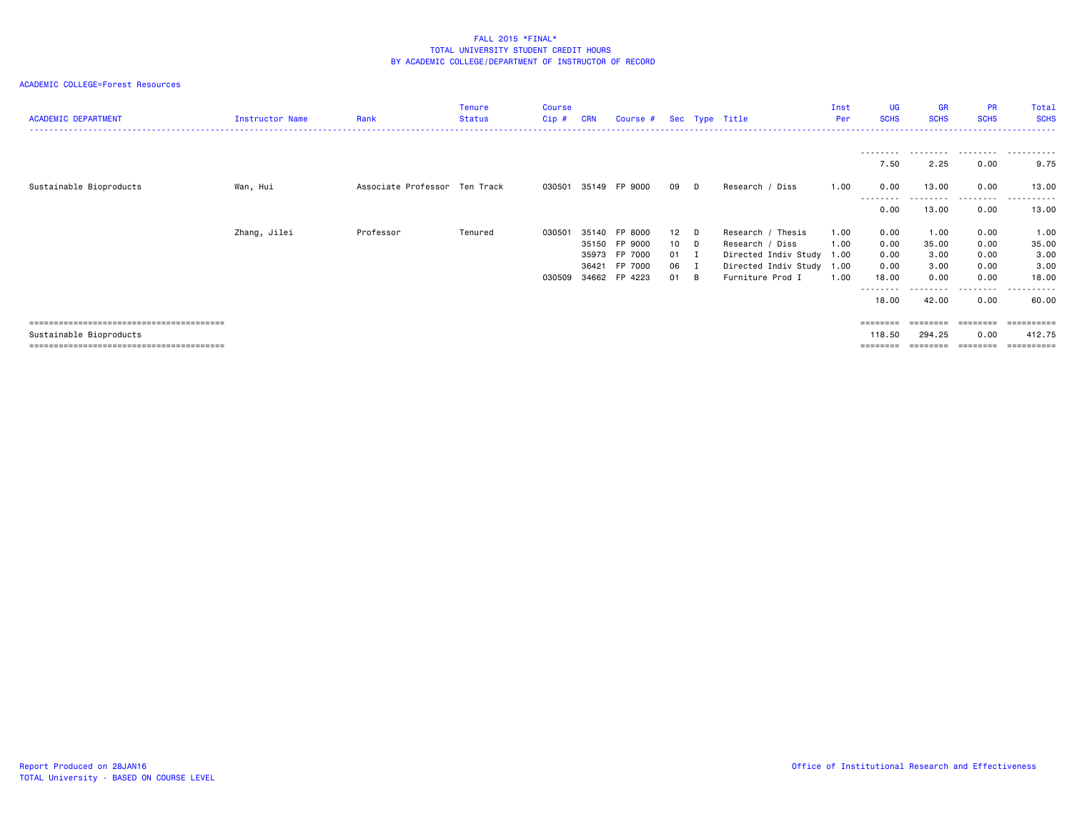| <b>ACADEMIC DEPARTMENT</b> | Instructor Name | Rank                          | <b>Tenure</b><br>Status | <b>Course</b><br>$Cip$ # | <b>CRN</b> | Course #      |                 |        | Sec Type Title            | Inst<br>Per | <b>UG</b><br><b>SCHS</b>                                                | <b>GR</b><br><b>SCHS</b> | <b>PR</b><br><b>SCHS</b> | Total<br><b>SCHS</b> |
|----------------------------|-----------------|-------------------------------|-------------------------|--------------------------|------------|---------------|-----------------|--------|---------------------------|-------------|-------------------------------------------------------------------------|--------------------------|--------------------------|----------------------|
|                            |                 |                               |                         |                          |            |               |                 |        |                           |             |                                                                         |                          |                          |                      |
|                            |                 |                               |                         |                          |            |               |                 |        |                           |             | ---------<br>7.50                                                       | .<br>2.25                | .<br>0.00                | .<br>9.75            |
| Sustainable Bioproducts    | Wan, Hui        | Associate Professor Ten Track |                         | 030501                   |            | 35149 FP 9000 | 09              | D      | Research / Diss           | 1.00        | 0.00                                                                    | 13.00                    | 0.00                     | 13.00                |
|                            |                 |                               |                         |                          |            |               |                 |        |                           |             | --------<br>0.00                                                        | ---------<br>13.00       | .<br>0.00                | .<br>13.00           |
|                            | Zhang, Jilei    | Professor                     | Tenured                 | 030501                   | 35140      | FP 8000       | 12              | $\Box$ | Research / Thesis         | 1.00        | 0.00                                                                    | 1.00                     | 0.00                     | 1.00                 |
|                            |                 |                               |                         |                          | 35150      | FP 9000       | 10 <sup>1</sup> | $\Box$ | Research / Diss           | 1.00        | 0.00                                                                    | 35.00                    | 0.00                     | 35.00                |
|                            |                 |                               |                         |                          | 35973      | FP 7000       | 01 I            |        | Directed Indiv Study      | 1.00        | 0.00                                                                    | 3.00                     | 0.00                     | 3.00                 |
|                            |                 |                               |                         |                          | 36421      | FP 7000       | 06              | I      | Directed Indiv Study 1.00 |             | 0.00                                                                    | 3.00                     | 0.00                     | 3.00                 |
|                            |                 |                               |                         | 030509                   |            | 34662 FP 4223 | 01              | B      | Furniture Prod I          | 1.00        | 18.00                                                                   | 0.00                     | 0.00                     | 18.00                |
|                            |                 |                               |                         |                          |            |               |                 |        |                           |             | ---------<br>18.00                                                      | .<br>42.00               | .<br>0.00                | .<br>60.00           |
|                            |                 |                               |                         |                          |            |               |                 |        |                           |             | $\qquad \qquad \equiv \equiv \equiv \equiv \equiv \equiv \equiv \equiv$ |                          | ========                 | ==========           |
| Sustainable Bioproducts    |                 |                               |                         |                          |            |               |                 |        |                           |             | 118.50                                                                  | 294.25                   | 0.00                     | 412.75               |
|                            |                 |                               |                         |                          |            |               |                 |        |                           |             |                                                                         |                          |                          | ==========           |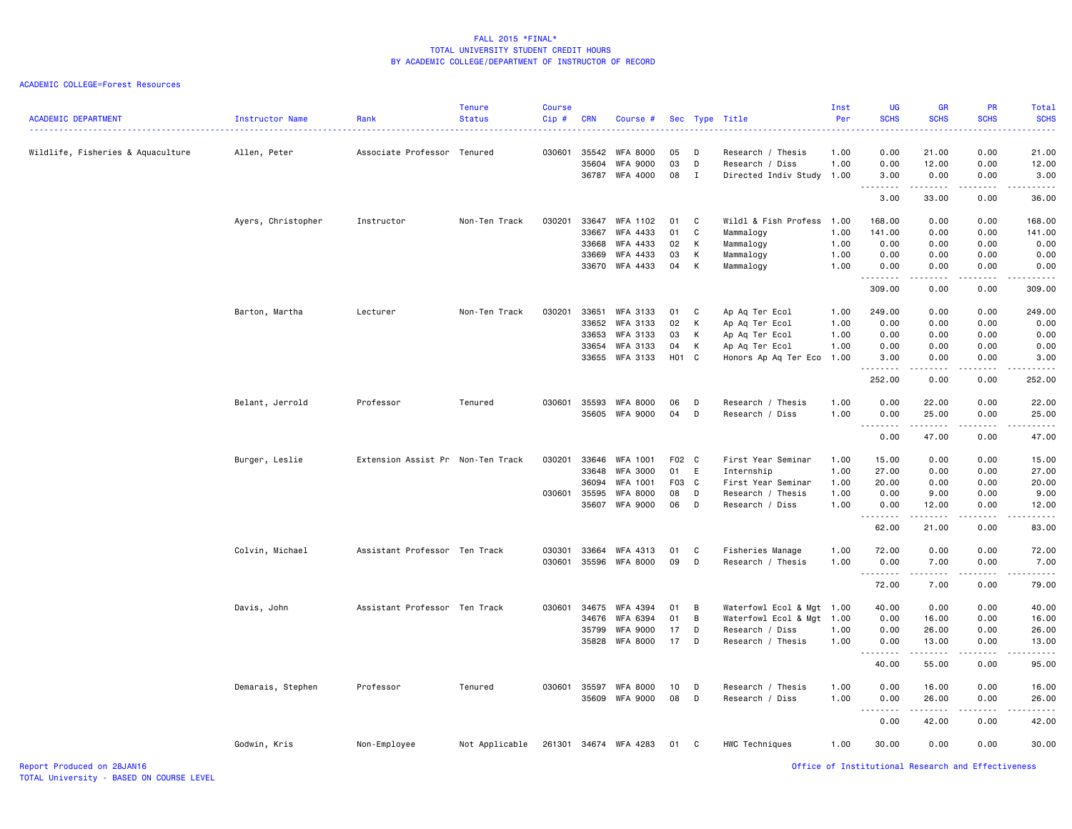| <b>ACADEMIC DEPARTMENT</b>        | Instructor Name    | Rank                              | <b>Tenure</b><br><b>Status</b> | <b>Course</b><br>Cip# | <b>CRN</b>                                | Course #                                                               |                               |                       | Sec Type Title                                                                               | Inst<br>Per                          | UG<br><b>SCHS</b>                           | <b>GR</b><br><b>SCHS</b>                          | PR<br><b>SCHS</b>                           | Total<br><b>SCHS</b>                                                                                                                                          |
|-----------------------------------|--------------------|-----------------------------------|--------------------------------|-----------------------|-------------------------------------------|------------------------------------------------------------------------|-------------------------------|-----------------------|----------------------------------------------------------------------------------------------|--------------------------------------|---------------------------------------------|---------------------------------------------------|---------------------------------------------|---------------------------------------------------------------------------------------------------------------------------------------------------------------|
| Wildlife, Fisheries & Aquaculture | Allen, Peter       | Associate Professor Tenured       |                                | 030601                | 35542<br>35604<br>36787                   | <b>WFA 8000</b><br><b>WFA 9000</b><br>WFA 4000                         | 05<br>03<br>08                | D<br>D<br>$\mathbf I$ | Research / Thesis<br>Research / Diss<br>Directed Indiv Study 1.00                            | 1.00<br>1.00                         | 0.00<br>0.00<br>3.00                        | 21.00<br>12.00<br>0.00                            | 0.00<br>0.00<br>0.00                        | 21.00<br>12.00<br>3.00                                                                                                                                        |
|                                   |                    |                                   |                                |                       |                                           |                                                                        |                               |                       |                                                                                              |                                      | -----<br>$\sim$ $\sim$ $\sim$<br>3.00       | .<br>33.00                                        | $\frac{1}{2}$<br>0.00                       | $\frac{1}{2} \left( \frac{1}{2} \right) \left( \frac{1}{2} \right) \left( \frac{1}{2} \right) \left( \frac{1}{2} \right) \left( \frac{1}{2} \right)$<br>36.00 |
|                                   | Ayers, Christopher | Instructor                        | Non-Ten Track                  | 030201                | 33647<br>33667<br>33668                   | <b>WFA 1102</b><br>WFA 4433<br>WFA 4433                                | 01<br>01<br>02                | C<br>C<br>К           | Wildl & Fish Profess<br>Mammalogy<br>Mammalogy                                               | 1.00<br>1.00<br>1.00                 | 168.00<br>141.00<br>0.00                    | 0.00<br>0.00<br>0.00                              | 0.00<br>0.00<br>0.00<br>0.00                | 168.00<br>141.00<br>0.00                                                                                                                                      |
|                                   |                    |                                   |                                |                       | 33669<br>33670                            | WFA 4433<br>WFA 4433                                                   | 03<br>04                      | Κ<br>К                | Mammalogy<br>Mammalogy                                                                       | 1.00<br>1.00                         | 0.00<br>0.00                                | 0.00<br>0.00<br>.                                 | 0.00                                        | 0.00<br>0.00<br>.                                                                                                                                             |
|                                   |                    |                                   |                                |                       |                                           |                                                                        |                               |                       |                                                                                              |                                      | 309.00                                      | 0.00                                              | 0.00                                        | 309.00                                                                                                                                                        |
|                                   | Barton, Martha     | Lecturer                          | Non-Ten Track                  | 030201                | 33651<br>33652<br>33653<br>33654<br>33655 | WFA 3133<br>WFA 3133<br><b>WFA 3133</b><br><b>WFA 3133</b><br>WFA 3133 | 01<br>02<br>03<br>04<br>H01 C | C<br>К<br>Κ<br>К      | Ap Aq Ter Ecol<br>Ap Aq Ter Ecol<br>Ap Aq Ter Ecol<br>Ap Aq Ter Ecol<br>Honors Ap Aq Ter Eco | 1.00<br>1.00<br>1.00<br>1.00<br>1.00 | 249.00<br>0.00<br>0.00<br>0.00<br>3.00<br>. | 0.00<br>0.00<br>0.00<br>0.00<br>0.00<br>- - - - - | 0.00<br>0.00<br>0.00<br>0.00<br>0.00<br>.   | 249.00<br>0.00<br>0.00<br>0.00<br>3.00<br>.                                                                                                                   |
|                                   |                    |                                   |                                |                       |                                           |                                                                        |                               |                       |                                                                                              |                                      | 252.00                                      | 0.00                                              | 0.00                                        | 252.00                                                                                                                                                        |
|                                   | Belant, Jerrold    | Professor                         | Tenured                        | 030601                | 35593<br>35605                            | <b>WFA 8000</b><br><b>WFA 9000</b>                                     | 06<br>04                      | D<br>D                | Research / Thesis<br>Research / Diss                                                         | 1.00<br>1.00                         | 0.00<br>0.00<br>$\sim$ $\sim$ .             | 22.00<br>25.00                                    | 0.00<br>0.00                                | 22.00<br>25.00<br>$\frac{1}{2} \left( \frac{1}{2} \right) \left( \frac{1}{2} \right) \left( \frac{1}{2} \right) \left( \frac{1}{2} \right)$                   |
|                                   |                    |                                   |                                |                       |                                           |                                                                        |                               |                       |                                                                                              |                                      | 0.00                                        | 47.00                                             | 0.00                                        | 47.00                                                                                                                                                         |
|                                   | Burger, Leslie     | Extension Assist Pr Non-Ten Track |                                | 030201                | 33646<br>33648<br>36094                   | WFA 1001<br><b>WFA 3000</b><br><b>WFA 1001</b>                         | F02 C<br>01<br>F03 C          | E                     | First Year Seminar<br>Internship<br>First Year Seminar                                       | 1.00<br>1.00<br>1.00                 | 15.00<br>27.00<br>20.00                     | 0.00<br>0.00<br>0.00                              | 0.00<br>0.00<br>0.00                        | 15.00<br>27.00<br>20.00                                                                                                                                       |
|                                   |                    |                                   |                                | 030601                | 35595<br>35607                            | <b>WFA 8000</b><br><b>WFA 9000</b>                                     | 08<br>06                      | D<br>D                | Research / Thesis<br>Research / Diss                                                         | 1.00<br>1.00                         | 0.00<br>0.00<br>.                           | 9.00<br>12.00<br>.                                | 0.00<br>0.00<br>$\sim$ $\sim$ $\sim$ $\sim$ | 9.00<br>12.00<br>د د د د د                                                                                                                                    |
|                                   |                    |                                   |                                |                       |                                           |                                                                        |                               |                       |                                                                                              |                                      | 62.00                                       | 21.00                                             | 0.00                                        | 83.00                                                                                                                                                         |
|                                   | Colvin, Michael    | Assistant Professor Ten Track     |                                | 030301<br>030601      | 33664<br>35596                            | WFA 4313<br><b>WFA 8000</b>                                            | 01<br>09                      | C<br>D                | Fisheries Manage<br>Research / Thesis                                                        | 1.00<br>1.00                         | 72.00<br>0.00                               | 0.00<br>7.00<br>.                                 | 0.00<br>0.00<br>.                           | 72.00<br>7.00<br>د د د د د                                                                                                                                    |
|                                   |                    |                                   |                                |                       |                                           |                                                                        |                               |                       |                                                                                              |                                      | 72.00                                       | 7.00                                              | 0.00                                        | 79.00                                                                                                                                                         |
|                                   | Davis, John        | Assistant Professor Ten Track     |                                | 030601                | 34675<br>34676<br>35799<br>35828          | <b>WFA 4394</b><br>WFA 6394<br><b>WFA 9000</b><br><b>WFA 8000</b>      | 01<br>01<br>17<br>17          | В<br>B<br>D<br>D      | Waterfowl Ecol & Mgt<br>Waterfowl Ecol & Mgt<br>Research / Diss<br>Research / Thesis         | 1.00<br>1.00<br>1.00<br>1.00         | 40.00<br>0.00<br>0.00<br>0.00               | 0.00<br>16.00<br>26.00<br>13.00                   | 0.00<br>0.00<br>0.00<br>0.00                | 40.00<br>16.00<br>26.00<br>13.00                                                                                                                              |
|                                   |                    |                                   |                                |                       |                                           |                                                                        |                               |                       |                                                                                              |                                      | 40.00                                       | .<br>55.00                                        | د د د د<br>0.00                             | .<br>95.00                                                                                                                                                    |
|                                   | Demarais, Stephen  | Professor                         | Tenured                        | 030601                | 35597<br>35609                            | <b>WFA 8000</b><br><b>WFA 9000</b>                                     | 10<br>08                      | D<br>D                | Research / Thesis<br>Research / Diss                                                         | 1.00<br>1.00                         | 0.00<br>0.00                                | 16.00<br>26.00                                    | 0.00<br>0.00                                | 16.00<br>26.00                                                                                                                                                |
|                                   |                    |                                   |                                |                       |                                           |                                                                        |                               |                       |                                                                                              |                                      | $\sim$ $\sim$ $\sim$<br>0.00                | 42.00                                             | 0.00                                        | .<br>42.00                                                                                                                                                    |
|                                   | Godwin, Kris       | Non-Employee                      | Not Applicable                 | 261301                |                                           | 34674 WFA 4283                                                         | 01                            | C                     | HWC Techniques                                                                               | 1.00                                 | 30.00                                       | 0.00                                              | 0.00                                        | 30.00                                                                                                                                                         |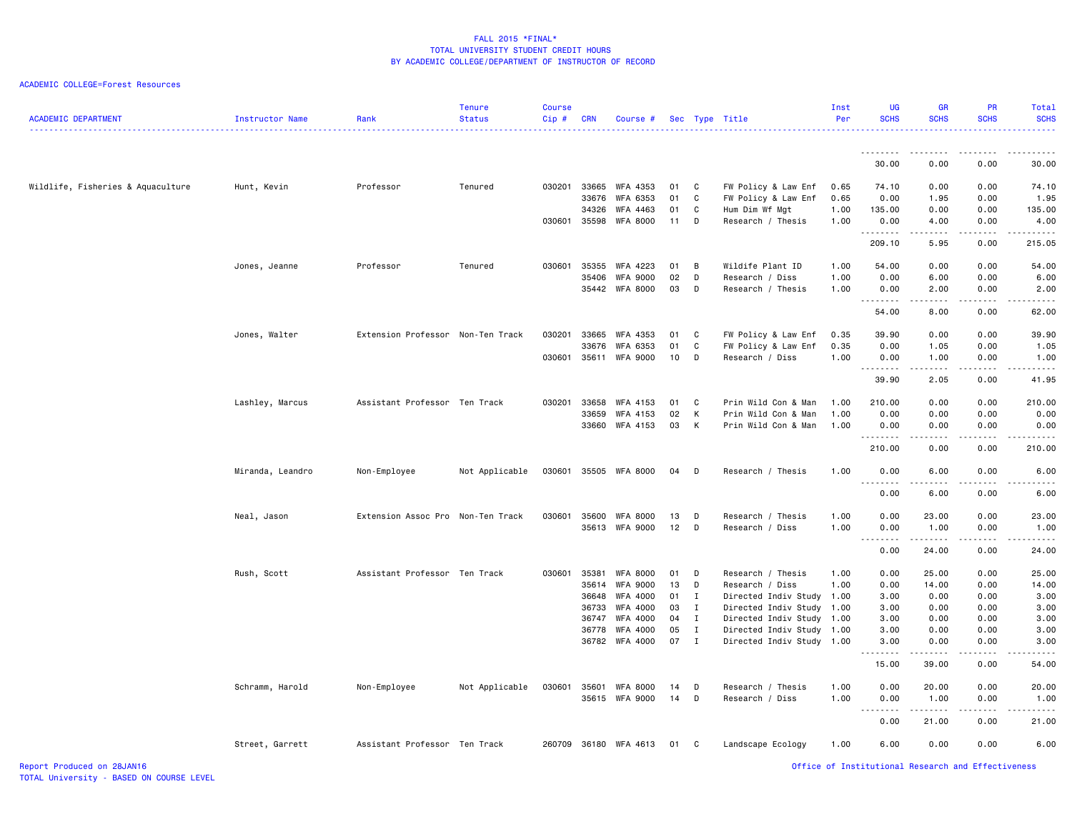| <b>ACADEMIC DEPARTMENT</b>        | Instructor Name  | Rank                              | <b>Tenure</b><br><b>Status</b> | <b>Course</b><br>Cip# | <b>CRN</b> | Course #        |      |              | Sec Type Title            | Inst<br>Per | UG<br><b>SCHS</b>                                  | GR<br><b>SCHS</b>                                                                                                                                             | <b>PR</b><br><b>SCHS</b> | Total<br><b>SCHS</b> |
|-----------------------------------|------------------|-----------------------------------|--------------------------------|-----------------------|------------|-----------------|------|--------------|---------------------------|-------------|----------------------------------------------------|---------------------------------------------------------------------------------------------------------------------------------------------------------------|--------------------------|----------------------|
|                                   |                  |                                   |                                |                       |            |                 |      |              |                           |             | <u>.</u>                                           | <u>.</u>                                                                                                                                                      | .                        |                      |
|                                   |                  |                                   |                                |                       |            |                 |      |              |                           |             | 30.00                                              | 0.00                                                                                                                                                          | 0.00                     | 30.00                |
| Wildlife, Fisheries & Aquaculture | Hunt, Kevin      | Professor                         | Tenured                        | 030201                |            | 33665 WFA 4353  | 01   | C            | FW Policy & Law Enf       | 0.65        | 74.10                                              | 0.00                                                                                                                                                          | 0.00                     | 74.10                |
|                                   |                  |                                   |                                |                       | 33676      | WFA 6353        | 01   | C            | FW Policy & Law Enf       | 0.65        | 0.00                                               | 1.95                                                                                                                                                          | 0.00                     | 1.95                 |
|                                   |                  |                                   |                                |                       | 34326      | WFA 4463        | 01   | C            | Hum Dim Wf Mgt            | 1.00        | 135.00                                             | 0.00                                                                                                                                                          | 0.00                     | 135.00               |
|                                   |                  |                                   |                                | 030601                |            | 35598 WFA 8000  | 11   | D            | Research / Thesis         | 1.00        | 0.00<br>.                                          | 4.00<br>.                                                                                                                                                     | 0.00<br><b>.</b>         | 4.00<br>.            |
|                                   |                  |                                   |                                |                       |            |                 |      |              |                           |             | 209.10                                             | 5.95                                                                                                                                                          | 0.00                     | 215.05               |
|                                   | Jones, Jeanne    | Professor                         | Tenured                        | 030601                |            | 35355 WFA 4223  | 01   | B            | Wildife Plant ID          | 1.00        | 54.00                                              | 0.00                                                                                                                                                          | 0.00                     | 54.00                |
|                                   |                  |                                   |                                |                       |            | 35406 WFA 9000  | 02   | D            | Research / Diss           | 1.00        | 0.00                                               | 6.00                                                                                                                                                          | 0.00                     | 6.00                 |
|                                   |                  |                                   |                                |                       |            | 35442 WFA 8000  | 03   | D            | Research / Thesis         | 1.00        | 0.00<br>.                                          | 2.00<br>.                                                                                                                                                     | 0.00<br>.                | 2.00                 |
|                                   |                  |                                   |                                |                       |            |                 |      |              |                           |             | 54.00                                              | 8.00                                                                                                                                                          | 0.00                     | 62.00                |
|                                   | Jones, Walter    | Extension Professor Non-Ten Track |                                | 030201                |            | 33665 WFA 4353  | 01   | C            | FW Policy & Law Enf       | 0.35        | 39.90                                              | 0.00                                                                                                                                                          | 0.00                     | 39.90                |
|                                   |                  |                                   |                                |                       |            | 33676 WFA 6353  | 01   | C            | FW Policy & Law Enf       | 0.35        | 0.00                                               | 1.05                                                                                                                                                          | 0.00                     | 1.05                 |
|                                   |                  |                                   |                                | 030601                |            | 35611 WFA 9000  | 10   | D            | Research / Diss           | 1.00        | 0.00<br>.                                          | 1.00                                                                                                                                                          | 0.00                     | 1.00                 |
|                                   |                  |                                   |                                |                       |            |                 |      |              |                           |             | 39.90                                              | .<br>2.05                                                                                                                                                     | $- - - - -$<br>0.00      | .<br>41.95           |
|                                   | Lashley, Marcus  | Assistant Professor Ten Track     |                                | 030201                | 33658      | WFA 4153        | 01   | C            | Prin Wild Con & Man       | 1.00        | 210.00                                             | 0.00                                                                                                                                                          | 0.00                     | 210.00               |
|                                   |                  |                                   |                                |                       | 33659      | WFA 4153        | 02   | K            | Prin Wild Con & Man       | 1.00        | 0.00                                               | 0.00                                                                                                                                                          | 0.00                     | 0.00                 |
|                                   |                  |                                   |                                |                       |            | 33660 WFA 4153  | 03 K |              | Prin Wild Con & Man       | 1.00        | 0.00<br>.                                          | 0.00<br>$\sim$ $\sim$ $\sim$                                                                                                                                  | 0.00                     | 0.00                 |
|                                   |                  |                                   |                                |                       |            |                 |      |              |                           |             | 210.00                                             | 0.00                                                                                                                                                          | 0.00                     | 210.00               |
|                                   | Miranda, Leandro | Non-Employee                      | Not Applicable                 | 030601                |            | 35505 WFA 8000  | 04 D |              | Research / Thesis         | 1.00        | 0.00<br>.                                          | 6.00<br>$\frac{1}{2} \left( \frac{1}{2} \right) \left( \frac{1}{2} \right) \left( \frac{1}{2} \right) \left( \frac{1}{2} \right)$                             | 0.00                     | 6.00                 |
|                                   |                  |                                   |                                |                       |            |                 |      |              |                           |             | 0.00                                               | 6.00                                                                                                                                                          | 0.00                     | 6.00                 |
|                                   | Neal, Jason      | Extension Assoc Pro Non-Ten Track |                                | 030601                |            | 35600 WFA 8000  | 13   | D            | Research / Thesis         | 1.00        | 0.00                                               | 23.00                                                                                                                                                         | 0.00                     | 23.00                |
|                                   |                  |                                   |                                |                       |            | 35613 WFA 9000  | 12   | D            | Research / Diss           | 1.00        | 0.00                                               | 1.00                                                                                                                                                          | 0.00                     | 1.00                 |
|                                   |                  |                                   |                                |                       |            |                 |      |              |                           |             | <u>.</u><br>0.00                                   | $\frac{1}{2} \left( \frac{1}{2} \right) \left( \frac{1}{2} \right) \left( \frac{1}{2} \right) \left( \frac{1}{2} \right) \left( \frac{1}{2} \right)$<br>24.00 | .<br>0.00                | . <u>.</u><br>24.00  |
|                                   | Rush, Scott      | Assistant Professor Ten Track     |                                | 030601                | 35381      | <b>WFA 8000</b> | 01   | D            | Research / Thesis         | 1.00        | 0.00                                               | 25.00                                                                                                                                                         | 0.00                     | 25.00                |
|                                   |                  |                                   |                                |                       |            | 35614 WFA 9000  | 13   | D            | Research / Diss           | 1.00        | 0.00                                               | 14.00                                                                                                                                                         | 0.00                     | 14.00                |
|                                   |                  |                                   |                                |                       |            | 36648 WFA 4000  | 01   | I            | Directed Indiv Study      | 1.00        | 3.00                                               | 0.00                                                                                                                                                          | 0.00                     | 3.00                 |
|                                   |                  |                                   |                                |                       |            | 36733 WFA 4000  | 03   | $\mathbf{I}$ | Directed Indiv Study      | 1.00        | 3.00                                               | 0.00                                                                                                                                                          | 0.00                     | 3.00                 |
|                                   |                  |                                   |                                |                       |            | 36747 WFA 4000  | 04   | I            | Directed Indiv Study      | 1.00        | 3.00                                               | 0.00                                                                                                                                                          | 0.00                     | 3.00                 |
|                                   |                  |                                   |                                |                       |            | 36778 WFA 4000  | 05   | $\mathbf{I}$ | Directed Indiv Study 1.00 |             | 3.00                                               | 0.00                                                                                                                                                          | 0.00                     | 3.00                 |
|                                   |                  |                                   |                                |                       |            | 36782 WFA 4000  | 07 I |              | Directed Indiv Study 1.00 |             | 3.00<br>.                                          | 0.00<br>.                                                                                                                                                     | 0.00<br>-----            | 3.00                 |
|                                   |                  |                                   |                                |                       |            |                 |      |              |                           |             | 15.00                                              | 39.00                                                                                                                                                         | 0.00                     | 54.00                |
|                                   | Schramm, Harold  | Non-Employee                      | Not Applicable                 | 030601                |            | 35601 WFA 8000  | 14   | D            | Research / Thesis         | 1.00        | 0.00                                               | 20.00                                                                                                                                                         | 0.00                     | 20.00                |
|                                   |                  |                                   |                                |                       |            | 35615 WFA 9000  | 14   | D            | Research / Diss           | 1.00        | 0.00                                               | 1.00                                                                                                                                                          | 0.00                     | 1.00                 |
|                                   |                  |                                   |                                |                       |            |                 |      |              |                           |             | <u>.</u><br>0.00                                   | $\frac{1}{2} \left( \frac{1}{2} \right) \left( \frac{1}{2} \right) \left( \frac{1}{2} \right) \left( \frac{1}{2} \right) \left( \frac{1}{2} \right)$<br>21.00 | .<br>0.00                | <u>.</u><br>21.00    |
|                                   | Street, Garrett  | Assistant Professor Ten Track     |                                | 260709                |            | 36180 WFA 4613  | 01   | $\mathbf{C}$ | Landscape Ecology         | 1.00        | 6.00                                               | 0.00                                                                                                                                                          | 0.00                     | 6.00                 |
| Report Produced on 28JAN16        |                  |                                   |                                |                       |            |                 |      |              |                           |             | Office of Institutional Research and Effectiveness |                                                                                                                                                               |                          |                      |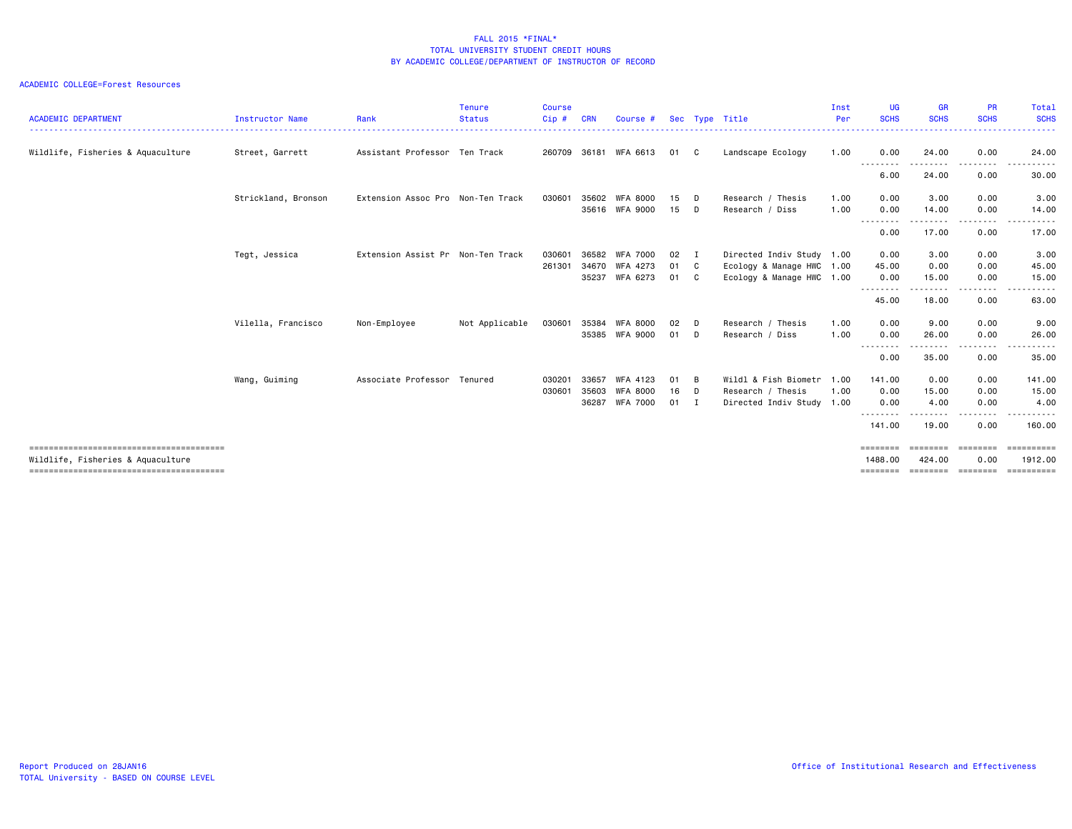#### ACADEMIC COLLEGE=Forest Resources

| <b>ACADEMIC DEPARTMENT</b>        | <b>Instructor Name</b> | Rank                              | <b>Tenure</b><br><b>Status</b> | <b>Course</b><br>$Cip$ # | <b>CRN</b> | Course #                   |          |              | Sec Type Title                       | Inst<br>Per  | UG<br><b>SCHS</b>   | <b>GR</b><br><b>SCHS</b> | <b>PR</b><br><b>SCHS</b> | <b>Total</b><br><b>SCHS</b> |
|-----------------------------------|------------------------|-----------------------------------|--------------------------------|--------------------------|------------|----------------------------|----------|--------------|--------------------------------------|--------------|---------------------|--------------------------|--------------------------|-----------------------------|
| Wildlife, Fisheries & Aquaculture | Street, Garrett        | Assistant Professor Ten Track     |                                | 260709                   | 36181      | WFA 6613                   | 01       | C.           | Landscape Ecology                    | 1.00         | 0.00                | 24.00                    | 0.00                     | 24.00                       |
|                                   |                        |                                   |                                |                          |            |                            |          |              |                                      |              | --------<br>6.00    | .<br>24.00               | .<br>0.00                | 30.00                       |
|                                   | Strickland, Bronson    | Extension Assoc Pro Non-Ten Track |                                | 030601                   | 35602      | WFA 8000<br>35616 WFA 9000 | 15<br>15 | D<br>D       | Research / Thesis<br>Research / Diss | 1.00<br>1.00 | 0.00<br>0.00        | 3.00<br>14.00            | 0.00<br>0.00             | 3.00<br>14.00               |
|                                   |                        |                                   |                                |                          |            |                            |          |              |                                      |              | --------<br>0.00    | ------<br>17.00          | .<br>0.00                | .<br>17.00                  |
|                                   | Tegt, Jessica          | Extension Assist Pr Non-Ten Track |                                | 030601                   | 36582      | <b>WFA 7000</b>            | 02       | I            | Directed Indiv Study 1.00            |              | 0.00                | 3.00                     | 0.00                     | 3.00                        |
|                                   |                        |                                   |                                | 261301                   | 34670      | WFA 4273                   | 01       | $\mathbf{C}$ | Ecology & Manage HWC 1.00            |              | 45.00               | 0.00                     | 0.00                     | 45.00                       |
|                                   |                        |                                   |                                |                          | 35237      | WFA 6273                   | 01       | C.           | Ecology & Manage HWC 1.00            |              | 0.00                | 15.00                    | 0.00                     | 15.00                       |
|                                   |                        |                                   |                                |                          |            |                            |          |              |                                      |              | --------<br>45.00   | -------<br>18.00         | .<br>0.00                | . <b>.</b> .<br>63.00       |
|                                   | Vilella, Francisco     | Non-Employee                      | Not Applicable                 | 030601                   | 35384      | <b>WFA 8000</b>            | 02       | D            | Research / Thesis                    | 1.00         | 0.00                | 9.00                     | 0.00                     | 9.00                        |
|                                   |                        |                                   |                                |                          | 35385      | WFA 9000                   | 01       | D            | Research / Diss                      | 1.00         | 0.00                | 26.00                    | 0.00                     | 26.00                       |
|                                   |                        |                                   |                                |                          |            |                            |          |              |                                      |              | --------<br>0.00    | .<br>35.00               | .<br>0.00                | 35.00                       |
|                                   | Wang, Guiming          | Associate Professor Tenured       |                                | 030201                   | 33657      | WFA 4123                   | 01       | B            | Wildl & Fish Biometr                 | 1.00         | 141.00              | 0.00                     | 0.00                     | 141.00                      |
|                                   |                        |                                   |                                | 030601                   | 35603      | <b>WFA 8000</b>            | 16       | D            | Research / Thesis                    | 1.00         | 0.00                | 15.00                    | 0.00                     | 15.00                       |
|                                   |                        |                                   |                                |                          | 36287      | <b>WFA 7000</b>            | 01       | I            | Directed Indiv Study 1.00            |              | 0.00<br>--------    | 4.00<br>.                | 0.00<br>.                | 4.00<br>------              |
|                                   |                        |                                   |                                |                          |            |                            |          |              |                                      |              | 141.00              | 19.00                    | 0.00                     | 160.00                      |
| Wildlife, Fisheries & Aquaculture |                        |                                   |                                |                          |            |                            |          |              |                                      |              | ========<br>1488.00 | ========<br>424.00       | ========<br>0.00         | <b>ESSESSEES</b><br>1912.00 |
|                                   |                        |                                   |                                |                          |            |                            |          |              |                                      |              | ========            | ========                 | ========                 | ==========                  |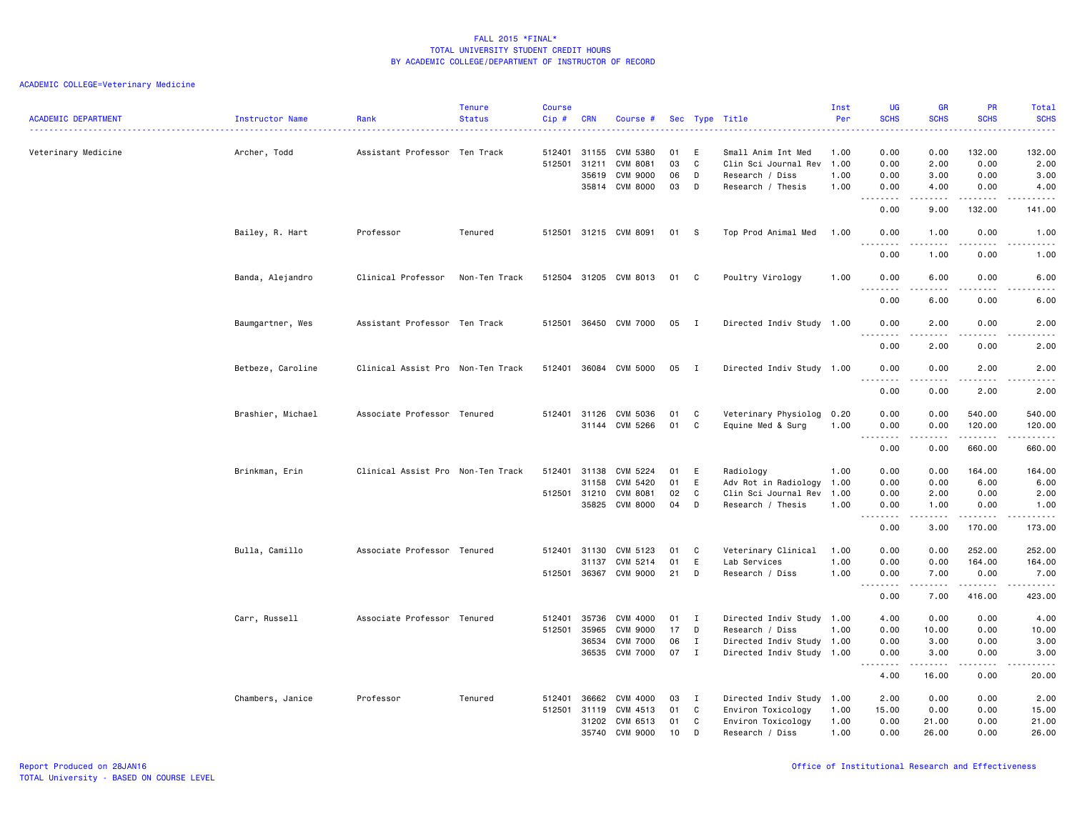| <b>ACADEMIC DEPARTMENT</b> | <b>Instructor Name</b> | Rank                              | <b>Tenure</b><br><b>Status</b> | <b>Course</b><br>Cip# | <b>CRN</b>            | Course #                           |          |              | Sec Type Title                          | Inst<br>Per  | <b>UG</b><br><b>SCHS</b>                                                                                                                                                                                                                                                                                                                                                                                                                                                               | <b>GR</b><br><b>SCHS</b> | PR<br><b>SCHS</b>     | Total<br><b>SCHS</b> |
|----------------------------|------------------------|-----------------------------------|--------------------------------|-----------------------|-----------------------|------------------------------------|----------|--------------|-----------------------------------------|--------------|----------------------------------------------------------------------------------------------------------------------------------------------------------------------------------------------------------------------------------------------------------------------------------------------------------------------------------------------------------------------------------------------------------------------------------------------------------------------------------------|--------------------------|-----------------------|----------------------|
|                            |                        |                                   |                                |                       |                       |                                    |          |              | .                                       |              | $\frac{1}{2} \left( \frac{1}{2} \right) \left( \frac{1}{2} \right) \left( \frac{1}{2} \right) \left( \frac{1}{2} \right)$                                                                                                                                                                                                                                                                                                                                                              |                          |                       | .                    |
| Veterinary Medicine        | Archer, Todd           | Assistant Professor Ten Track     |                                |                       | 512401 31155          | CVM 5380                           | 01       | E            | Small Anim Int Med                      | 1.00         | 0.00                                                                                                                                                                                                                                                                                                                                                                                                                                                                                   | 0.00                     | 132.00                | 132.00               |
|                            |                        |                                   |                                |                       | 512501 31211<br>35619 | <b>CVM 8081</b><br><b>CVM 9000</b> | 03<br>06 | C<br>D       | Clin Sci Journal Rev<br>Research / Diss | 1.00<br>1.00 | 0.00<br>0.00                                                                                                                                                                                                                                                                                                                                                                                                                                                                           | 2.00<br>3.00             | 0.00<br>0.00          | 2.00<br>3.00         |
|                            |                        |                                   |                                |                       |                       | 35814 CVM 8000                     | 03       | D            | Research / Thesis                       | 1.00         | 0.00                                                                                                                                                                                                                                                                                                                                                                                                                                                                                   | 4.00                     | 0.00                  | 4.00                 |
|                            |                        |                                   |                                |                       |                       |                                    |          |              |                                         |              |                                                                                                                                                                                                                                                                                                                                                                                                                                                                                        | .                        | .                     | .                    |
|                            |                        |                                   |                                |                       |                       |                                    |          |              |                                         |              | 0.00                                                                                                                                                                                                                                                                                                                                                                                                                                                                                   | 9.00                     | 132.00                | 141.00               |
|                            | Bailey, R. Hart        | Professor                         | Tenured                        |                       |                       | 512501 31215 CVM 8091              | 01       | -S           | Top Prod Animal Med                     | 1.00         | 0.00<br>.<br>$\sim$ $\sim$ $\sim$                                                                                                                                                                                                                                                                                                                                                                                                                                                      | 1.00<br>-----            | 0.00<br>.             | 1.00<br>.            |
|                            |                        |                                   |                                |                       |                       |                                    |          |              |                                         |              | 0.00                                                                                                                                                                                                                                                                                                                                                                                                                                                                                   | 1.00                     | 0.00                  | 1.00                 |
|                            | Banda, Alejandro       | Clinical Professor                | Non-Ten Track                  |                       |                       | 512504 31205 CVM 8013              | 01       | C            | Poultry Virology                        | 1.00         | 0.00<br>$\sim$ $\sim$ $\sim$<br>-----                                                                                                                                                                                                                                                                                                                                                                                                                                                  | 6.00<br>.                | 0.00<br>.             | 6.00<br>.            |
|                            |                        |                                   |                                |                       |                       |                                    |          |              |                                         |              | 0.00                                                                                                                                                                                                                                                                                                                                                                                                                                                                                   | 6.00                     | 0.00                  | 6.00                 |
|                            | Baumgartner, Wes       | Assistant Professor Ten Track     |                                |                       |                       | 512501 36450 CVM 7000              | 05       | I            | Directed Indiv Study 1.00               |              | 0.00                                                                                                                                                                                                                                                                                                                                                                                                                                                                                   | 2.00                     | 0.00                  | 2.00                 |
|                            |                        |                                   |                                |                       |                       |                                    |          |              |                                         |              | $  -$<br>.<br>0.00                                                                                                                                                                                                                                                                                                                                                                                                                                                                     | . <b>.</b><br>2.00       | $\frac{1}{2}$<br>0.00 | .<br>2.00            |
|                            | Betbeze, Caroline      | Clinical Assist Pro Non-Ten Track |                                |                       |                       | 512401 36084 CVM 5000              | 05 I     |              | Directed Indiv Study 1.00               |              | 0.00                                                                                                                                                                                                                                                                                                                                                                                                                                                                                   | 0.00                     | 2.00                  | 2.00                 |
|                            |                        |                                   |                                |                       |                       |                                    |          |              |                                         |              | .<br>0.00                                                                                                                                                                                                                                                                                                                                                                                                                                                                              | .<br>0.00                | .<br>2.00             | .<br>2.00            |
|                            | Brashier, Michael      | Associate Professor Tenured       |                                |                       | 512401 31126          | CVM 5036                           | 01       | C            | Veterinary Physiolog 0.20               |              | 0.00                                                                                                                                                                                                                                                                                                                                                                                                                                                                                   | 0.00                     | 540.00                | 540.00               |
|                            |                        |                                   |                                |                       |                       | 31144 CVM 5266                     | 01       | C            | Equine Med & Surg                       | 1.00         | 0.00<br>$\sim$ $\sim$ $\sim$<br>المتمالين                                                                                                                                                                                                                                                                                                                                                                                                                                              | 0.00<br>.                | 120.00<br>.           | 120.00               |
|                            |                        |                                   |                                |                       |                       |                                    |          |              |                                         |              | 0.00                                                                                                                                                                                                                                                                                                                                                                                                                                                                                   | 0.00                     | 660.00                | 660.00               |
|                            | Brinkman, Erin         | Clinical Assist Pro Non-Ten Track |                                |                       | 512401 31138          | CVM 5224                           | 01       | E            | Radiology                               | 1.00         | 0.00                                                                                                                                                                                                                                                                                                                                                                                                                                                                                   | 0.00                     | 164.00                | 164.00               |
|                            |                        |                                   |                                |                       | 31158                 | CVM 5420                           | 01       | E            | Adv Rot in Radiology                    | 1.00         | 0.00                                                                                                                                                                                                                                                                                                                                                                                                                                                                                   | 0.00                     | 6.00                  | 6.00                 |
|                            |                        |                                   |                                |                       | 512501 31210          | <b>CVM 8081</b>                    | 02       | C            | Clin Sci Journal Rev                    | 1.00         | 0.00                                                                                                                                                                                                                                                                                                                                                                                                                                                                                   | 2.00                     | 0.00                  | 2.00                 |
|                            |                        |                                   |                                |                       | 35825                 | <b>CVM 8000</b>                    | 04       | D            | Research / Thesis                       | 1.00         | 0.00<br>$\sim$ $\sim$ $\sim$<br>$\frac{1}{2} \left( \frac{1}{2} \right) \left( \frac{1}{2} \right) \left( \frac{1}{2} \right)$                                                                                                                                                                                                                                                                                                                                                         | 1.00<br>.                | 0.00<br>.             | 1.00<br>.            |
|                            |                        |                                   |                                |                       |                       |                                    |          |              |                                         |              | 0.00                                                                                                                                                                                                                                                                                                                                                                                                                                                                                   | 3.00                     | 170.00                | 173.00               |
|                            | Bulla, Camillo         | Associate Professor Tenured       |                                |                       | 512401 31130          | CVM 5123<br>CVM 5214               | 01<br>01 | C<br>E       | Veterinary Clinical<br>Lab Services     | 1.00<br>1.00 | 0.00<br>0.00                                                                                                                                                                                                                                                                                                                                                                                                                                                                           | 0.00<br>0.00             | 252.00<br>164.00      | 252.00<br>164.00     |
|                            |                        |                                   |                                |                       | 31137<br>512501 36367 | CVM 9000                           | 21       | D            | Research / Diss                         | 1.00         | 0.00                                                                                                                                                                                                                                                                                                                                                                                                                                                                                   | 7.00                     | 0.00                  | 7.00                 |
|                            |                        |                                   |                                |                       |                       |                                    |          |              |                                         |              | $\begin{array}{cccccccccccccc} \multicolumn{2}{c}{} & \multicolumn{2}{c}{} & \multicolumn{2}{c}{} & \multicolumn{2}{c}{} & \multicolumn{2}{c}{} & \multicolumn{2}{c}{} & \multicolumn{2}{c}{} & \multicolumn{2}{c}{} & \multicolumn{2}{c}{} & \multicolumn{2}{c}{} & \multicolumn{2}{c}{} & \multicolumn{2}{c}{} & \multicolumn{2}{c}{} & \multicolumn{2}{c}{} & \multicolumn{2}{c}{} & \multicolumn{2}{c}{} & \multicolumn{2}{c}{} & \multicolumn{2}{c}{} & \multicolumn{2}{c}{} & \$ | -----                    | .                     | .                    |
|                            |                        |                                   |                                |                       |                       |                                    |          |              |                                         |              | 0.00                                                                                                                                                                                                                                                                                                                                                                                                                                                                                   | 7.00                     | 416.00                | 423.00               |
|                            | Carr, Russell          | Associate Professor Tenured       |                                |                       | 512401 35736          | <b>CVM 4000</b>                    | 01       | I            | Directed Indiv Study 1.00               |              | 4.00                                                                                                                                                                                                                                                                                                                                                                                                                                                                                   | 0.00                     | 0.00                  | 4.00                 |
|                            |                        |                                   |                                |                       | 512501 35965          | <b>CVM 9000</b>                    | 17       | D            | Research / Diss                         | 1.00         | 0.00                                                                                                                                                                                                                                                                                                                                                                                                                                                                                   | 10.00                    | 0.00                  | 10.00                |
|                            |                        |                                   |                                |                       | 36534                 | <b>CVM 7000</b>                    | 06       | $\mathbf{I}$ | Directed Indiv Study 1.00               |              | 0.00                                                                                                                                                                                                                                                                                                                                                                                                                                                                                   | 3.00                     | 0.00                  | 3.00                 |
|                            |                        |                                   |                                |                       | 36535                 | <b>CVM 7000</b>                    | 07       | $\mathbf{I}$ | Directed Indiv Study 1.00               |              | 0.00<br><u>.</u>                                                                                                                                                                                                                                                                                                                                                                                                                                                                       | 3.00<br>-----            | 0.00<br>.             | 3.00<br>.            |
|                            |                        |                                   |                                |                       |                       |                                    |          |              |                                         |              | 4.00                                                                                                                                                                                                                                                                                                                                                                                                                                                                                   | 16.00                    | 0.00                  | 20.00                |
|                            | Chambers, Janice       | Professor                         | Tenured                        | 512401                | 36662                 | CVM 4000                           | 03       | Ι.           | Directed Indiv Study 1.00               |              | 2.00                                                                                                                                                                                                                                                                                                                                                                                                                                                                                   | 0.00                     | 0.00                  | 2.00                 |
|                            |                        |                                   |                                |                       | 512501 31119          | CVM 4513                           | 01       | C            | Environ Toxicology                      | 1.00         | 15.00                                                                                                                                                                                                                                                                                                                                                                                                                                                                                  | 0.00                     | 0.00                  | 15.00                |
|                            |                        |                                   |                                |                       | 31202                 | CVM 6513                           | 01       | C            | Environ Toxicology                      | 1.00         | 0.00                                                                                                                                                                                                                                                                                                                                                                                                                                                                                   | 21.00                    | 0.00                  | 21.00                |
|                            |                        |                                   |                                |                       | 35740                 | CVM 9000                           | 10       | D            | Research / Diss                         | 1.00         | 0.00                                                                                                                                                                                                                                                                                                                                                                                                                                                                                   | 26.00                    | 0.00                  | 26.00                |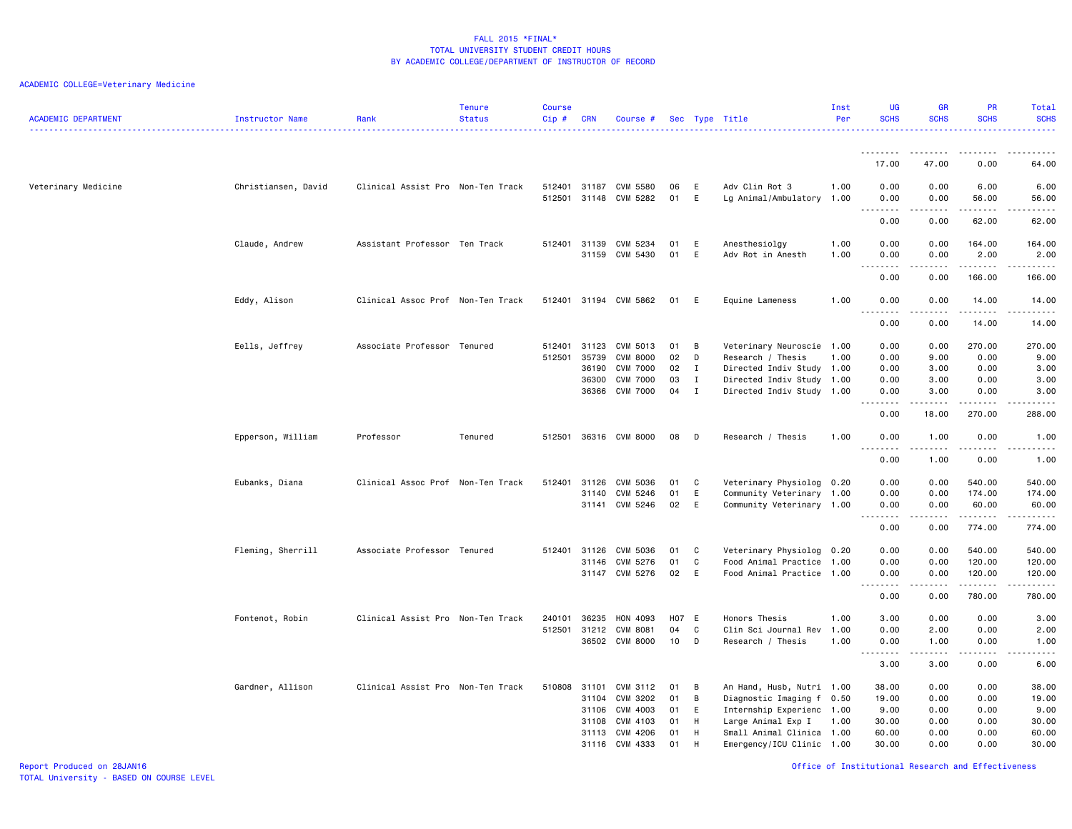| <b>ACADEMIC DEPARTMENT</b> | Instructor Name     | Rank                              | <b>Tenure</b><br><b>Status</b> | <b>Course</b><br>$Cip$ # | <b>CRN</b>                                | Course #                                                                             |                            |                                 | Sec Type Title                                                                                                                        | Inst<br>Per          | <b>UG</b><br><b>SCHS</b>                                                    | <b>GR</b><br><b>SCHS</b>                                                                                                                                             | <b>PR</b><br><b>SCHS</b>                                          | Total<br><b>SCHS</b><br><u>.</u>                                                                                                                                                               |
|----------------------------|---------------------|-----------------------------------|--------------------------------|--------------------------|-------------------------------------------|--------------------------------------------------------------------------------------|----------------------------|---------------------------------|---------------------------------------------------------------------------------------------------------------------------------------|----------------------|-----------------------------------------------------------------------------|----------------------------------------------------------------------------------------------------------------------------------------------------------------------|-------------------------------------------------------------------|------------------------------------------------------------------------------------------------------------------------------------------------------------------------------------------------|
|                            |                     |                                   |                                |                          |                                           |                                                                                      |                            |                                 |                                                                                                                                       |                      | .                                                                           |                                                                                                                                                                      |                                                                   |                                                                                                                                                                                                |
|                            |                     |                                   |                                |                          |                                           |                                                                                      |                            |                                 |                                                                                                                                       |                      | 17.00                                                                       | 47.00                                                                                                                                                                | 0.00                                                              | 64.00                                                                                                                                                                                          |
| Veterinary Medicine        | Christiansen, David | Clinical Assist Pro Non-Ten Track |                                | 512501                   |                                           | 512401 31187 CVM 5580<br>31148 CVM 5282                                              | 06<br>01                   | E<br>E                          | Adv Clin Rot 3<br>Lg Animal/Ambulatory 1.00                                                                                           | 1.00                 | 0.00<br>0.00<br>$ -$<br>.                                                   | 0.00<br>0.00<br>$\frac{1}{2} \left( \frac{1}{2} \right) \left( \frac{1}{2} \right) \left( \frac{1}{2} \right) \left( \frac{1}{2} \right) \left( \frac{1}{2} \right)$ | 6.00<br>56.00<br>.                                                | 6.00<br>56.00<br>$\frac{1}{2}$                                                                                                                                                                 |
|                            |                     |                                   |                                |                          |                                           |                                                                                      |                            |                                 |                                                                                                                                       |                      | 0.00                                                                        | 0.00                                                                                                                                                                 | 62.00                                                             | 62.00                                                                                                                                                                                          |
|                            | Claude, Andrew      | Assistant Professor Ten Track     |                                | 512401                   | 31139<br>31159                            | CVM 5234<br>CVM 5430                                                                 | 01<br>01                   | E<br>E                          | Anesthesiolgy<br>Adv Rot in Anesth                                                                                                    | 1.00<br>1.00         | 0.00<br>0.00<br>$\sim$ $\sim$ .<br>.                                        | 0.00<br>0.00<br>$- - - - -$                                                                                                                                          | 164.00<br>2.00<br>.                                               | 164.00<br>2.00<br>.                                                                                                                                                                            |
|                            |                     |                                   |                                |                          |                                           |                                                                                      |                            |                                 |                                                                                                                                       |                      | 0.00                                                                        | 0.00                                                                                                                                                                 | 166.00                                                            | 166.00                                                                                                                                                                                         |
|                            | Eddy, Alison        | Clinical Assoc Prof Non-Ten Track |                                |                          |                                           | 512401 31194 CVM 5862                                                                | 01                         | E                               | Equine Lameness                                                                                                                       | 1.00                 | 0.00<br>.<br>.                                                              | 0.00<br>$- - - - -$                                                                                                                                                  | 14.00                                                             | 14.00<br>.                                                                                                                                                                                     |
|                            |                     |                                   |                                |                          |                                           |                                                                                      |                            |                                 |                                                                                                                                       |                      | 0.00                                                                        | 0.00                                                                                                                                                                 | 14.00                                                             | 14.00                                                                                                                                                                                          |
|                            | Eells, Jeffrey      | Associate Professor Tenured       |                                | 512401<br>512501         | 31123<br>35739<br>36190<br>36300<br>36366 | CVM 5013<br><b>CVM 8000</b><br><b>CVM 7000</b><br><b>CVM 7000</b><br><b>CVM 7000</b> | 01<br>02<br>02<br>03<br>04 | B<br>D<br>I<br>I<br>$\mathbf I$ | Veterinary Neuroscie 1.00<br>Research / Thesis<br>Directed Indiv Study 1.00<br>Directed Indiv Study 1.00<br>Directed Indiv Study 1.00 | 1.00                 | 0.00<br>0.00<br>0.00<br>0.00<br>0.00<br>$\omega$ $\omega$ $\omega$ $\omega$ | 0.00<br>9.00<br>3.00<br>3.00<br>3.00<br>.                                                                                                                            | 270.00<br>0.00<br>0.00<br>0.00<br>0.00<br><u>.</u>                | 270.00<br>9.00<br>3.00<br>3.00<br>3.00<br>$\frac{1}{2} \left( \frac{1}{2} \right) \left( \frac{1}{2} \right) \left( \frac{1}{2} \right) \left( \frac{1}{2} \right) \left( \frac{1}{2} \right)$ |
|                            |                     |                                   |                                |                          |                                           |                                                                                      |                            |                                 |                                                                                                                                       |                      | 0.00                                                                        | 18.00                                                                                                                                                                | 270.00                                                            | 288.00                                                                                                                                                                                         |
|                            | Epperson, William   | Professor                         | Tenured                        | 512501                   |                                           | 36316 CVM 8000                                                                       | 08                         | D                               | Research / Thesis                                                                                                                     | 1.00                 | 0.00<br>$\sim$<br>.                                                         | 1.00                                                                                                                                                                 | 0.00<br>.                                                         | 1.00<br>د د د د د                                                                                                                                                                              |
|                            |                     |                                   |                                |                          |                                           |                                                                                      |                            |                                 |                                                                                                                                       |                      | 0.00                                                                        | 1.00                                                                                                                                                                 | 0.00                                                              | 1.00                                                                                                                                                                                           |
|                            | Eubanks, Diana      | Clinical Assoc Prof               | Non-Ten Track                  | 512401                   | 31126<br>31140                            | CVM 5036<br>CVM 5246<br>31141 CVM 5246                                               | 01<br>01<br>02             | C<br>E<br>E.                    | Veterinary Physiolog 0.20<br>Community Veterinary 1.00<br>Community Veterinary 1.00                                                   |                      | 0.00<br>0.00<br>0.00<br>.                                                   | 0.00<br>0.00<br>0.00<br>.                                                                                                                                            | 540.00<br>174.00<br>60.00<br>.                                    | 540.00<br>174.00<br>60.00<br>.                                                                                                                                                                 |
|                            |                     |                                   |                                |                          |                                           |                                                                                      |                            |                                 |                                                                                                                                       |                      | 0.00                                                                        | 0.00                                                                                                                                                                 | 774.00                                                            | 774.00                                                                                                                                                                                         |
|                            | Fleming, Sherrill   | Associate Professor Tenured       |                                | 512401                   | 31126<br>31146                            | CVM 5036<br>CVM 5276<br>31147 CVM 5276                                               | 01<br>01<br>02             | C<br>C<br>E                     | Veterinary Physiolog 0.20<br>Food Animal Practice 1.00<br>Food Animal Practice 1.00                                                   |                      | 0.00<br>0.00<br>0.00<br>$\sim$ $\sim$ $\sim$<br>$\sim$ $\sim$               | 0.00<br>0.00<br>0.00<br>$\sim 100$ and $\sim 100$                                                                                                                    | 540.00<br>120.00<br>120.00<br>$\omega$ is $\omega$ in $\omega$ in | 540.00<br>120.00<br>120.00<br>.                                                                                                                                                                |
|                            |                     |                                   |                                |                          |                                           |                                                                                      |                            |                                 |                                                                                                                                       |                      | 0.00                                                                        | 0.00                                                                                                                                                                 | 780.00                                                            | 780.00                                                                                                                                                                                         |
|                            | Fontenot, Robin     | Clinical Assist Pro Non-Ten Track |                                | 240101<br>512501         | 36235<br>31212                            | HON 4093<br><b>CVM 8081</b><br>36502 CVM 8000                                        | <b>H07</b><br>04<br>10     | E<br>C<br>D                     | Honors Thesis<br>Clin Sci Journal Rev<br>Research / Thesis                                                                            | 1.00<br>1.00<br>1.00 | 3.00<br>0.00<br>0.00                                                        | 0.00<br>2.00<br>1.00                                                                                                                                                 | 0.00<br>0.00<br>0.00                                              | 3.00<br>2.00<br>1.00                                                                                                                                                                           |
|                            |                     |                                   |                                |                          |                                           |                                                                                      |                            |                                 |                                                                                                                                       |                      | $\sim$ $\sim$ $\sim$<br>.<br>3.00                                           | $\begin{array}{cccccccccccccc} \bullet & \bullet & \bullet & \bullet & \bullet & \bullet & \bullet \end{array}$<br>3.00                                              | .<br>0.00                                                         | -----<br>6.00                                                                                                                                                                                  |
|                            | Gardner, Allison    | Clinical Assist Pro Non-Ten Track |                                | 510808                   | 31101                                     | CVM 3112                                                                             | 01                         | B                               | An Hand, Husb, Nutri 1.00                                                                                                             |                      | 38.00                                                                       | 0.00                                                                                                                                                                 | 0.00                                                              | 38.00                                                                                                                                                                                          |
|                            |                     |                                   |                                |                          | 31104<br>31106                            | CVM 3202<br>CVM 4003                                                                 | 01<br>01                   | B<br>E                          | Diagnostic Imaging f 0.50<br>Internship Experienc 1.00                                                                                |                      | 19.00<br>9.00                                                               | 0.00<br>0.00                                                                                                                                                         | 0.00<br>0.00                                                      | 19.00<br>9.00                                                                                                                                                                                  |
|                            |                     |                                   |                                |                          | 31108                                     | CVM 4103                                                                             | 01                         | H                               | Large Animal Exp I                                                                                                                    | 1.00                 | 30.00                                                                       | 0.00                                                                                                                                                                 | 0.00                                                              | 30.00                                                                                                                                                                                          |
|                            |                     |                                   |                                |                          | 31113                                     | CVM 4206                                                                             | 01                         | H                               | Small Animal Clinica 1.00                                                                                                             |                      | 60.00                                                                       | 0.00                                                                                                                                                                 | 0.00                                                              | 60.00                                                                                                                                                                                          |
|                            |                     |                                   |                                |                          | 31116                                     | CVM 4333                                                                             | 01                         | H                               | Emergency/ICU Clinic 1.00                                                                                                             |                      | 30.00                                                                       | 0.00                                                                                                                                                                 | 0.00                                                              | 30.00                                                                                                                                                                                          |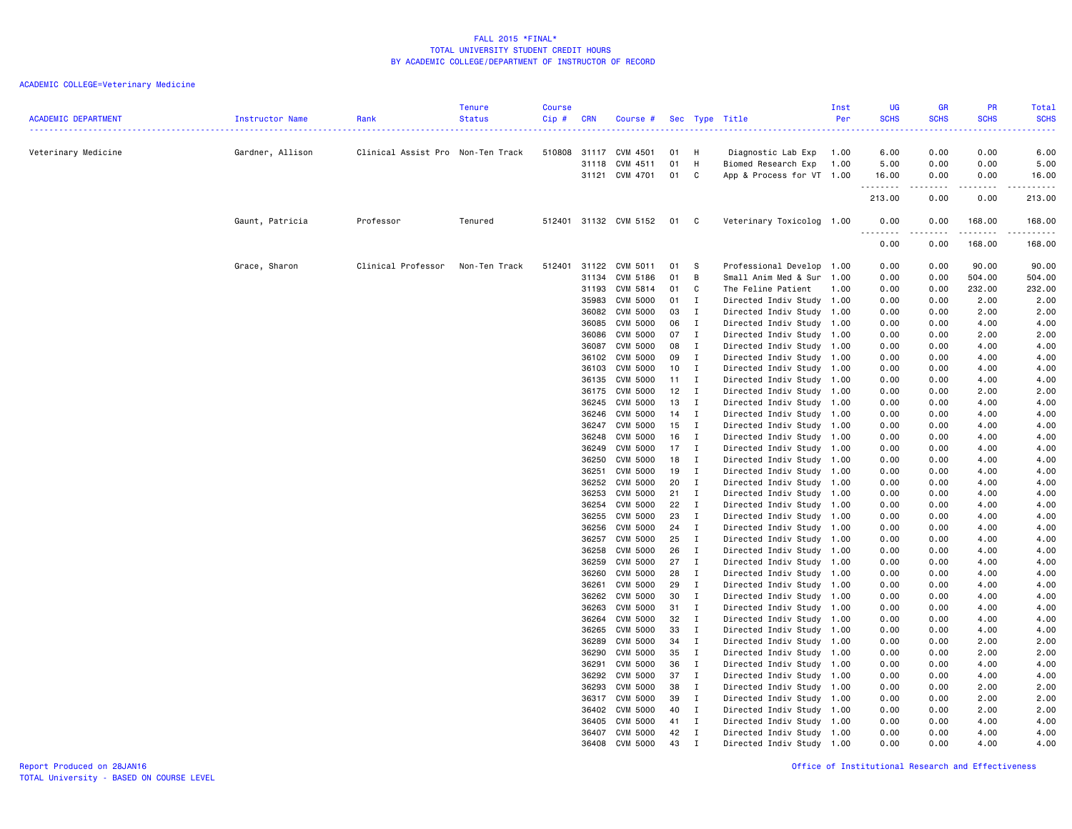| <b>ACADEMIC DEPARTMENT</b> | Instructor Name  | Rank                              | <b>Tenure</b><br><b>Status</b> | <b>Course</b><br>Cip# | <b>CRN</b>     | Course #                    |                |                                | Sec Type Title                                    | Inst<br>Per | <b>UG</b><br><b>SCHS</b> | <b>GR</b><br><b>SCHS</b>       | <b>PR</b><br><b>SCHS</b> | Total<br><b>SCHS</b> |
|----------------------------|------------------|-----------------------------------|--------------------------------|-----------------------|----------------|-----------------------------|----------------|--------------------------------|---------------------------------------------------|-------------|--------------------------|--------------------------------|--------------------------|----------------------|
| Veterinary Medicine        | Gardner, Allison | Clinical Assist Pro Non-Ten Track |                                |                       |                | 510808 31117 CVM 4501       | 01             | H                              | Diagnostic Lab Exp                                | 1.00        | 6.00                     | 0.00                           | 0.00                     | 6.00                 |
|                            |                  |                                   |                                |                       |                | 31118 CVM 4511              | 01             | H                              | Biomed Research Exp                               | 1.00        | 5.00                     | 0.00                           | 0.00                     | 5.00                 |
|                            |                  |                                   |                                |                       |                | 31121 CVM 4701              | 01             | C                              | App & Process for VT                              | 1.00        | 16.00<br>.               | 0.00<br>$\omega$ is a $\omega$ | 0.00<br>.                | 16.00<br>.           |
|                            |                  |                                   |                                |                       |                |                             |                |                                |                                                   |             | 213.00                   | 0.00                           | 0.00                     | 213.00               |
|                            | Gaunt, Patricia  | Professor                         | Tenured                        |                       |                | 512401 31132 CVM 5152       | 01 C           |                                | Veterinary Toxicolog 1.00                         |             | 0.00<br>.                | 0.00                           | 168.00                   | 168.00               |
|                            |                  |                                   |                                |                       |                |                             |                |                                |                                                   |             | 0.00                     | 0.00                           | 168.00                   | 168.00               |
|                            | Grace, Sharon    | Clinical Professor                | Non-Ten Track                  | 512401                | 31122          | CVM 5011                    | 01             | - S                            | Professional Develop                              | 1.00        | 0.00                     | 0.00                           | 90.00                    | 90.00                |
|                            |                  |                                   |                                |                       | 31134          | CVM 5186                    | 01             | B                              | Small Anim Med & Sur                              | 1.00        | 0.00                     | 0.00                           | 504.00                   | 504.00               |
|                            |                  |                                   |                                |                       | 31193          | CVM 5814                    | 01 C           |                                | The Feline Patient                                | 1.00        | 0.00                     | 0.00                           | 232.00                   | 232.00               |
|                            |                  |                                   |                                |                       | 35983          | CVM 5000                    | 01 I           |                                | Directed Indiv Study 1.00                         |             | 0.00                     | 0.00                           | 2.00                     | 2.00                 |
|                            |                  |                                   |                                |                       |                | 36082 CVM 5000              | 03 I           |                                | Directed Indiv Study 1.00                         |             | 0.00                     | 0.00                           | 2.00                     | 2.00                 |
|                            |                  |                                   |                                |                       | 36085<br>36086 | CVM 5000<br>CVM 5000        | 06<br>07       | $\mathbf{I}$<br>$\blacksquare$ | Directed Indiv Study<br>Directed Indiv Study 1.00 | 1.00        | 0.00<br>0.00             | 0.00<br>0.00                   | 4.00<br>2.00             | 4.00<br>2.00         |
|                            |                  |                                   |                                |                       | 36087          | CVM 5000                    | 08 I           |                                | Directed Indiv Study                              | 1.00        | 0.00                     | 0.00                           | 4.00                     | 4.00                 |
|                            |                  |                                   |                                |                       | 36102          | CVM 5000                    | 09             | $\mathbf{I}$                   | Directed Indiv Study                              | 1.00        | 0.00                     | 0.00                           | 4.00                     | 4.00                 |
|                            |                  |                                   |                                |                       | 36103          | <b>CVM 5000</b>             | 10 I           |                                | Directed Indiv Study 1.00                         |             | 0.00                     | 0.00                           | 4.00                     | 4.00                 |
|                            |                  |                                   |                                |                       | 36135          | CVM 5000                    | $11 \quad I$   |                                | Directed Indiv Study                              | 1.00        | 0.00                     | 0.00                           | 4.00                     | 4.00                 |
|                            |                  |                                   |                                |                       | 36175          | <b>CVM 5000</b>             | 12             | $\mathbf{I}$                   | Directed Indiv Study                              | 1.00        | 0.00                     | 0.00                           | 2.00                     | 2.00                 |
|                            |                  |                                   |                                |                       | 36245          | CVM 5000                    | 13 I           |                                | Directed Indiv Study                              | 1.00        | 0.00                     | 0.00                           | 4.00                     | 4.00                 |
|                            |                  |                                   |                                |                       | 36246          | CVM 5000                    | $14$ I         |                                | Directed Indiv Study                              | 1.00        | 0.00                     | 0.00                           | 4.00                     | 4.00                 |
|                            |                  |                                   |                                |                       | 36247          | CVM 5000                    | 15             | $\mathbf{I}$                   | Directed Indiv Study 1.00                         |             | 0.00                     | 0.00                           | 4.00                     | 4.00                 |
|                            |                  |                                   |                                |                       | 36248          | CVM 5000                    | 16             | $\mathbf{I}$                   | Directed Indiv Study                              | 1.00        | 0.00                     | 0.00                           | 4.00                     | 4.00                 |
|                            |                  |                                   |                                |                       | 36249<br>36250 | CVM 5000<br>CVM 5000        | $17$ I<br>18 I |                                | Directed Indiv Study 1.00<br>Directed Indiv Study | 1.00        | 0.00<br>0.00             | 0.00<br>0.00                   | 4.00<br>4.00             | 4.00<br>4.00         |
|                            |                  |                                   |                                |                       | 36251          | CVM 5000                    | 19             | $\mathbf{I}$                   | Directed Indiv Study                              | 1.00        | 0.00                     | 0.00                           | 4.00                     | 4.00                 |
|                            |                  |                                   |                                |                       | 36252          | CVM 5000                    | 20             | $\mathbf{I}$                   | Directed Indiv Study 1.00                         |             | 0.00                     | 0.00                           | 4.00                     | 4.00                 |
|                            |                  |                                   |                                |                       | 36253          | CVM 5000                    | $21$ I         |                                | Directed Indiv Study 1.00                         |             | 0.00                     | 0.00                           | 4.00                     | 4.00                 |
|                            |                  |                                   |                                |                       | 36254          | CVM 5000                    | 22             | $\mathbf{I}$                   | Directed Indiv Study                              | 1.00        | 0.00                     | 0.00                           | 4.00                     | 4.00                 |
|                            |                  |                                   |                                |                       | 36255          | CVM 5000                    | 23             | $\mathbf{I}$                   | Directed Indiv Study 1.00                         |             | 0.00                     | 0.00                           | 4.00                     | 4.00                 |
|                            |                  |                                   |                                |                       | 36256          | CVM 5000                    | 24 I           |                                | Directed Indiv Study                              | 1.00        | 0.00                     | 0.00                           | 4.00                     | 4.00                 |
|                            |                  |                                   |                                |                       | 36257          | CVM 5000                    | 25             | $\mathbf{I}$                   | Directed Indiv Study                              | 1.00        | 0.00                     | 0.00                           | 4.00                     | 4.00                 |
|                            |                  |                                   |                                |                       | 36258          | CVM 5000                    | 26             | $\mathbf{I}$                   | Directed Indiv Study                              | 1.00        | 0.00                     | 0.00                           | 4.00                     | 4.00                 |
|                            |                  |                                   |                                |                       | 36259          | CVM 5000                    | 27             | $\mathbf{I}$                   | Directed Indiv Study                              | 1.00        | 0.00                     | 0.00                           | 4.00                     | 4.00                 |
|                            |                  |                                   |                                |                       | 36260<br>36261 | CVM 5000<br>CVM 5000        | 28<br>29       | $\mathbf{I}$<br>$\blacksquare$ | Directed Indiv Study 1.00<br>Directed Indiv Study | 1.00        | 0.00<br>0.00             | 0.00<br>0.00                   | 4.00<br>4.00             | 4.00<br>4.00         |
|                            |                  |                                   |                                |                       | 36262          | CVM 5000                    | 30             | $\mathbf{I}$                   | Directed Indiv Study 1.00                         |             | 0.00                     | 0.00                           | 4.00                     | 4.00                 |
|                            |                  |                                   |                                |                       | 36263          | CVM 5000                    | 31 I           |                                | Directed Indiv Study                              | 1.00        | 0.00                     | 0.00                           | 4.00                     | 4.00                 |
|                            |                  |                                   |                                |                       | 36264          | CVM 5000                    | 32             | $\blacksquare$                 | Directed Indiv Study                              | 1.00        | 0.00                     | 0.00                           | 4.00                     | 4.00                 |
|                            |                  |                                   |                                |                       | 36265          | CVM 5000                    | 33             | $\blacksquare$                 | Directed Indiv Study 1.00                         |             | 0.00                     | 0.00                           | 4.00                     | 4.00                 |
|                            |                  |                                   |                                |                       | 36289          | CVM 5000                    | 34 I           |                                | Directed Indiv Study                              | 1.00        | 0.00                     | 0.00                           | 2.00                     | 2.00                 |
|                            |                  |                                   |                                |                       | 36290          | CVM 5000                    | 35             | $\mathbf{I}$                   | Directed Indiv Study                              | 1.00        | 0.00                     | 0.00                           | 2.00                     | 2.00                 |
|                            |                  |                                   |                                |                       | 36291          | CVM 5000                    | 36             | $\mathbf{I}$                   | Directed Indiv Study 1.00                         |             | 0.00                     | 0.00                           | 4.00                     | 4.00                 |
|                            |                  |                                   |                                |                       | 36292          | CVM 5000                    | 37             | $\blacksquare$                 | Directed Indiv Study                              | 1.00        | 0.00                     | 0.00                           | 4.00                     | 4.00                 |
|                            |                  |                                   |                                |                       | 36293          | CVM 5000                    | 38             | $\mathbf{I}$                   | Directed Indiv Study                              | 1.00        | 0.00                     | 0.00                           | 2.00                     | 2.00                 |
|                            |                  |                                   |                                |                       | 36317          | <b>CVM 5000</b>             | 39             | $\blacksquare$                 | Directed Indiv Study                              | 1.00        | 0.00<br>0.00             | 0.00<br>0.00                   | 2.00<br>2.00             | 2.00<br>2.00         |
|                            |                  |                                   |                                |                       | 36402<br>36405 | CVM 5000<br><b>CVM 5000</b> | 40 I<br>41 I   |                                | Directed Indiv Study<br>Directed Indiv Study 1.00 | 1.00        | 0.00                     | 0.00                           | 4.00                     | 4.00                 |
|                            |                  |                                   |                                |                       | 36407          | CVM 5000                    | 42             | $\mathbf{I}$                   | Directed Indiv Study 1.00                         |             | 0.00                     | 0.00                           | 4.00                     | 4.00                 |
|                            |                  |                                   |                                |                       |                | 36408 CVM 5000              | 43             | $\mathbf I$                    | Directed Indiv Study 1.00                         |             | 0.00                     | 0.00                           | 4.00                     | 4.00                 |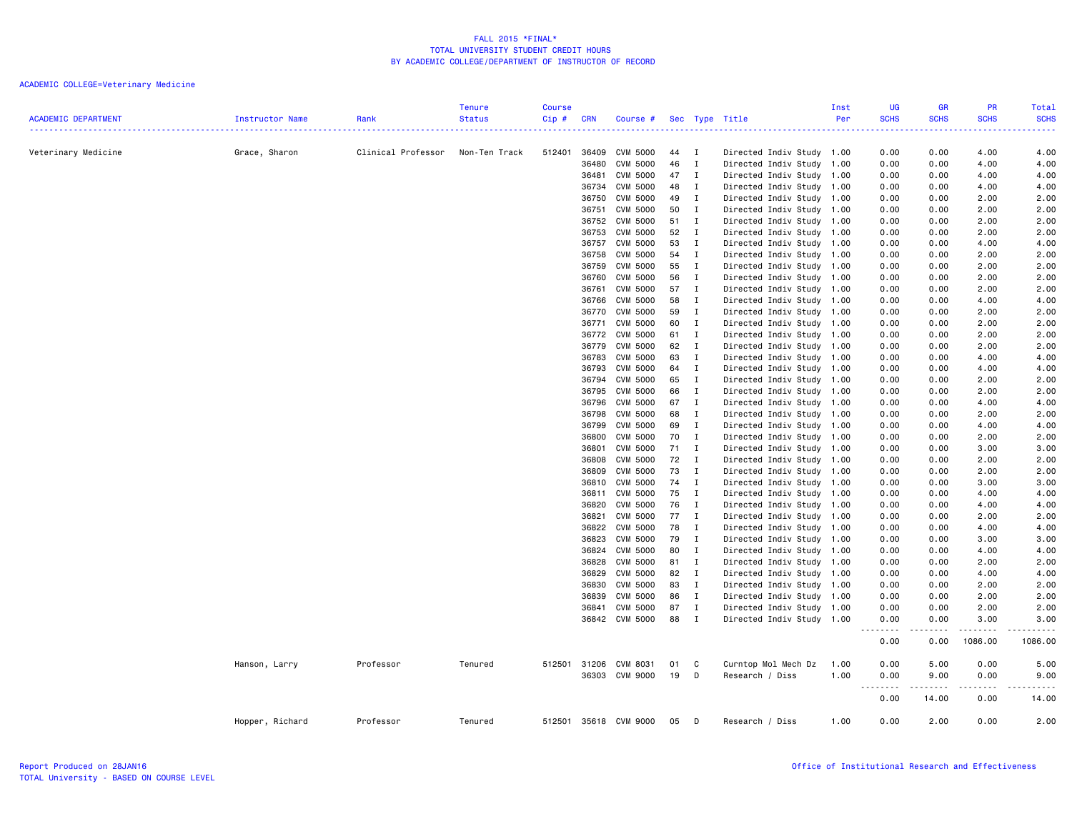|                            |                 |                    | <b>Tenure</b> | <b>Course</b> |            |                 |      |              |                           | Inst | UG                    | <b>GR</b>                                                                                                                                | PR          | <b>Total</b>                                                                                                                             |
|----------------------------|-----------------|--------------------|---------------|---------------|------------|-----------------|------|--------------|---------------------------|------|-----------------------|------------------------------------------------------------------------------------------------------------------------------------------|-------------|------------------------------------------------------------------------------------------------------------------------------------------|
| <b>ACADEMIC DEPARTMENT</b> | Instructor Name | Rank               | <b>Status</b> | Cip#          | <b>CRN</b> | Course #        |      |              | Sec Type Title            | Per  | <b>SCHS</b><br>دعاعات | <b>SCHS</b><br>$\frac{1}{2} \left( \frac{1}{2} \right) \left( \frac{1}{2} \right) \left( \frac{1}{2} \right) \left( \frac{1}{2} \right)$ | <b>SCHS</b> | <b>SCHS</b><br>$\frac{1}{2} \left( \frac{1}{2} \right) \left( \frac{1}{2} \right) \left( \frac{1}{2} \right) \left( \frac{1}{2} \right)$ |
|                            |                 |                    |               |               |            |                 |      |              |                           |      |                       |                                                                                                                                          |             |                                                                                                                                          |
| Veterinary Medicine        | Grace, Sharon   | Clinical Professor | Non-Ten Track | 512401        | 36409      | CVM 5000        | 44   | $\mathbf{I}$ | Directed Indiv Study 1.00 |      | 0.00                  | 0.00                                                                                                                                     | 4.00        | 4.00                                                                                                                                     |
|                            |                 |                    |               |               | 36480      | CVM 5000        | 46   | $\mathbf{I}$ | Directed Indiv Study 1.00 |      | 0.00                  | 0.00                                                                                                                                     | 4.00        | 4.00                                                                                                                                     |
|                            |                 |                    |               |               | 36481      | <b>CVM 5000</b> | 47   | $\mathbf{I}$ | Directed Indiv Study      | 1.00 | 0.00                  | 0.00                                                                                                                                     | 4.00        | 4.00                                                                                                                                     |
|                            |                 |                    |               |               | 36734      | <b>CVM 5000</b> | 48   | $\mathbf I$  | Directed Indiv Study 1.00 |      | 0.00                  | 0.00                                                                                                                                     | 4.00        | 4.00                                                                                                                                     |
|                            |                 |                    |               |               | 36750      | <b>CVM 5000</b> | 49   | $\mathbf{I}$ | Directed Indiv Study 1.00 |      | 0.00                  | 0.00                                                                                                                                     | 2.00        | 2.00                                                                                                                                     |
|                            |                 |                    |               |               | 36751      | <b>CVM 5000</b> | 50   | $\mathbf{I}$ | Directed Indiv Study      | 1.00 | 0.00                  | 0.00                                                                                                                                     | 2.00        | 2.00                                                                                                                                     |
|                            |                 |                    |               |               | 36752      | CVM 5000        | 51   | $\mathbf I$  | Directed Indiv Study 1.00 |      | 0.00                  | 0.00                                                                                                                                     | 2.00        | 2.00                                                                                                                                     |
|                            |                 |                    |               |               | 36753      | <b>CVM 5000</b> | 52   | $\mathbf{I}$ | Directed Indiv Study 1.00 |      | 0.00                  | 0.00                                                                                                                                     | 2.00        | 2.00                                                                                                                                     |
|                            |                 |                    |               |               | 36757      | CVM 5000        | 53   | $\mathbf{I}$ | Directed Indiv Study 1.00 |      | 0.00                  | 0.00                                                                                                                                     | 4.00        | 4.00                                                                                                                                     |
|                            |                 |                    |               |               | 36758      | <b>CVM 5000</b> | 54   | $\mathbf{I}$ | Directed Indiv Study 1.00 |      | 0.00                  | 0.00                                                                                                                                     | 2.00        | 2.00                                                                                                                                     |
|                            |                 |                    |               |               | 36759      | CVM 5000        | 55   | $\mathbf{I}$ | Directed Indiv Study 1.00 |      | 0.00                  | 0.00                                                                                                                                     | 2.00        | 2.00                                                                                                                                     |
|                            |                 |                    |               |               | 36760      | <b>CVM 5000</b> | 56   | $\mathbf{I}$ | Directed Indiv Study 1.00 |      | 0.00                  | 0.00                                                                                                                                     | 2.00        | 2.00                                                                                                                                     |
|                            |                 |                    |               |               | 36761      | <b>CVM 5000</b> | 57   | $\mathbf{I}$ | Directed Indiv Study      | 1.00 | 0.00                  | 0.00                                                                                                                                     | 2.00        | 2.00                                                                                                                                     |
|                            |                 |                    |               |               | 36766      | CVM 5000        | 58   | $\mathbf{I}$ | Directed Indiv Study 1.00 |      | 0.00                  | 0.00                                                                                                                                     | 4.00        | 4.00                                                                                                                                     |
|                            |                 |                    |               |               | 36770      | <b>CVM 5000</b> | 59   | $\mathbf{I}$ | Directed Indiv Study 1.00 |      | 0.00                  | 0.00                                                                                                                                     | 2.00        | 2.00                                                                                                                                     |
|                            |                 |                    |               |               | 36771      | <b>CVM 5000</b> | 60   | $\mathbf{I}$ | Directed Indiv Study 1.00 |      | 0.00                  | 0.00                                                                                                                                     | 2.00        | 2.00                                                                                                                                     |
|                            |                 |                    |               |               | 36772      | <b>CVM 5000</b> | 61   | $\mathbf{I}$ | Directed Indiv Study 1.00 |      | 0.00                  | 0.00                                                                                                                                     | 2.00        | 2.00                                                                                                                                     |
|                            |                 |                    |               |               | 36779      | <b>CVM 5000</b> | 62   | $\mathbf{I}$ | Directed Indiv Study 1.00 |      | 0.00                  | 0.00                                                                                                                                     | 2.00        | 2.00                                                                                                                                     |
|                            |                 |                    |               |               | 36783      | CVM 5000        | 63   | $\mathbf{I}$ | Directed Indiv Study 1.00 |      | 0.00                  | 0.00                                                                                                                                     | 4.00        | 4.00                                                                                                                                     |
|                            |                 |                    |               |               | 36793      | <b>CVM 5000</b> | 64   | $\mathbf{I}$ | Directed Indiv Study 1.00 |      | 0.00                  | 0.00                                                                                                                                     | 4.00        | 4.00                                                                                                                                     |
|                            |                 |                    |               |               | 36794      | <b>CVM 5000</b> | 65   | $\mathbf I$  | Directed Indiv Study 1.00 |      | 0.00                  | 0.00                                                                                                                                     | 2.00        | 2.00                                                                                                                                     |
|                            |                 |                    |               |               | 36795      | <b>CVM 5000</b> | 66   | $\mathbf{I}$ | Directed Indiv Study 1.00 |      | 0.00                  | 0.00                                                                                                                                     | 2.00        | 2.00                                                                                                                                     |
|                            |                 |                    |               |               | 36796      | <b>CVM 5000</b> | 67   | $\mathbf{I}$ | Directed Indiv Study      | 1.00 | 0.00                  | 0.00                                                                                                                                     | 4.00        | 4.00                                                                                                                                     |
|                            |                 |                    |               |               | 36798      | <b>CVM 5000</b> | 68   | $\mathbf{I}$ | Directed Indiv Study 1.00 |      | 0.00                  | 0.00                                                                                                                                     | 2.00        | 2.00                                                                                                                                     |
|                            |                 |                    |               |               | 36799      | <b>CVM 5000</b> | 69   | $\mathbf{I}$ | Directed Indiv Study 1.00 |      | 0.00                  | 0.00                                                                                                                                     | 4.00        | 4.00                                                                                                                                     |
|                            |                 |                    |               |               | 36800      | <b>CVM 5000</b> | 70 I |              | Directed Indiv Study 1.00 |      | 0.00                  | 0.00                                                                                                                                     | 2.00        | 2.00                                                                                                                                     |
|                            |                 |                    |               |               | 36801      | <b>CVM 5000</b> | 71   | $\mathbf{I}$ | Directed Indiv Study 1.00 |      | 0.00                  | 0.00                                                                                                                                     | 3.00        | 3.00                                                                                                                                     |
|                            |                 |                    |               |               | 36808      | CVM 5000        | 72   | $\mathbf{I}$ | Directed Indiv Study 1.00 |      | 0.00                  | 0.00                                                                                                                                     | 2.00        | 2.00                                                                                                                                     |
|                            |                 |                    |               |               | 36809      | CVM 5000        | 73   | $\mathbf{I}$ | Directed Indiv Study 1.00 |      | 0.00                  | 0.00                                                                                                                                     | 2.00        | 2.00                                                                                                                                     |
|                            |                 |                    |               |               | 36810      | CVM 5000        | 74   | $\mathbf{I}$ | Directed Indiv Study 1.00 |      | 0.00                  | 0.00                                                                                                                                     | 3.00        | 3.00                                                                                                                                     |
|                            |                 |                    |               |               | 36811      | CVM 5000        | 75   | $\mathbf{I}$ | Directed Indiv Study 1.00 |      | 0.00                  | 0.00                                                                                                                                     | 4.00        | 4.00                                                                                                                                     |
|                            |                 |                    |               |               | 36820      | <b>CVM 5000</b> | 76   | $\mathbf{I}$ | Directed Indiv Study 1.00 |      | 0.00                  | 0.00                                                                                                                                     | 4.00        | 4.00                                                                                                                                     |
|                            |                 |                    |               |               | 36821      | <b>CVM 5000</b> | 77   | $\mathbf{I}$ | Directed Indiv Study      | 1.00 | 0.00                  | 0.00                                                                                                                                     | 2.00        | 2.00                                                                                                                                     |
|                            |                 |                    |               |               | 36822      | CVM 5000        | 78   | $\mathbf{I}$ | Directed Indiv Study 1.00 |      | 0.00                  | 0.00                                                                                                                                     | 4.00        | 4.00                                                                                                                                     |
|                            |                 |                    |               |               | 36823      | CVM 5000        | 79   | $\mathbf{I}$ | Directed Indiv Study 1.00 |      | 0.00                  | 0.00                                                                                                                                     | 3.00        | 3.00                                                                                                                                     |
|                            |                 |                    |               |               | 36824      | <b>CVM 5000</b> | 80   | $\mathbf{I}$ | Directed Indiv Study 1.00 |      | 0.00                  | 0.00                                                                                                                                     | 4.00        | 4.00                                                                                                                                     |
|                            |                 |                    |               |               | 36828      | <b>CVM 5000</b> | 81   | $\mathbf{I}$ | Directed Indiv Study      | 1.00 | 0.00                  | 0.00                                                                                                                                     | 2.00        | 2.00                                                                                                                                     |
|                            |                 |                    |               |               | 36829      | <b>CVM 5000</b> | 82   | $\mathbf{I}$ | Directed Indiv Study 1.00 |      | 0.00                  | 0.00                                                                                                                                     | 4.00        | 4.00                                                                                                                                     |
|                            |                 |                    |               |               | 36830      | CVM 5000        | 83   | $\mathbf{I}$ | Directed Indiv Study 1.00 |      | 0.00                  | 0.00                                                                                                                                     | 2.00        | 2.00                                                                                                                                     |
|                            |                 |                    |               |               | 36839      | <b>CVM 5000</b> | 86   | $\mathbf{I}$ | Directed Indiv Study      | 1.00 | 0.00                  | 0.00                                                                                                                                     | 2.00        | 2.00                                                                                                                                     |
|                            |                 |                    |               |               | 36841      | <b>CVM 5000</b> | 87   | $\mathbf{I}$ | Directed Indiv Study 1.00 |      | 0.00                  | 0.00                                                                                                                                     | 2.00        | 2.00                                                                                                                                     |
|                            |                 |                    |               |               |            | 36842 CVM 5000  | 88   | I            | Directed Indiv Study 1.00 |      | 0.00                  | 0.00<br>.                                                                                                                                | 3.00<br>.   | 3.00<br>.                                                                                                                                |
|                            |                 |                    |               |               |            |                 |      |              |                           |      | 0.00                  | 0.00                                                                                                                                     | 1086.00     | 1086.00                                                                                                                                  |
|                            | Hanson, Larry   | Professor          | Tenured       | 512501        | 31206      | CVM 8031        | 01   | C            | Curntop Mol Mech Dz       | 1.00 | 0.00                  | 5.00                                                                                                                                     | 0.00        | 5.00                                                                                                                                     |
|                            |                 |                    |               |               |            | 36303 CVM 9000  | 19   | D            | Research / Diss           | 1.00 | 0.00                  | 9.00                                                                                                                                     | 0.00        | 9.00                                                                                                                                     |
|                            |                 |                    |               |               |            |                 |      |              |                           |      |                       |                                                                                                                                          |             |                                                                                                                                          |
|                            |                 |                    |               |               |            |                 |      |              |                           |      | 0.00                  | 14.00                                                                                                                                    | 0.00        | 14.00                                                                                                                                    |
|                            | Hopper, Richard | Professor          | Tenured       | 512501        |            | 35618 CVM 9000  | 05   | D            | Research / Diss           | 1.00 | 0.00                  | 2.00                                                                                                                                     | 0.00        | 2.00                                                                                                                                     |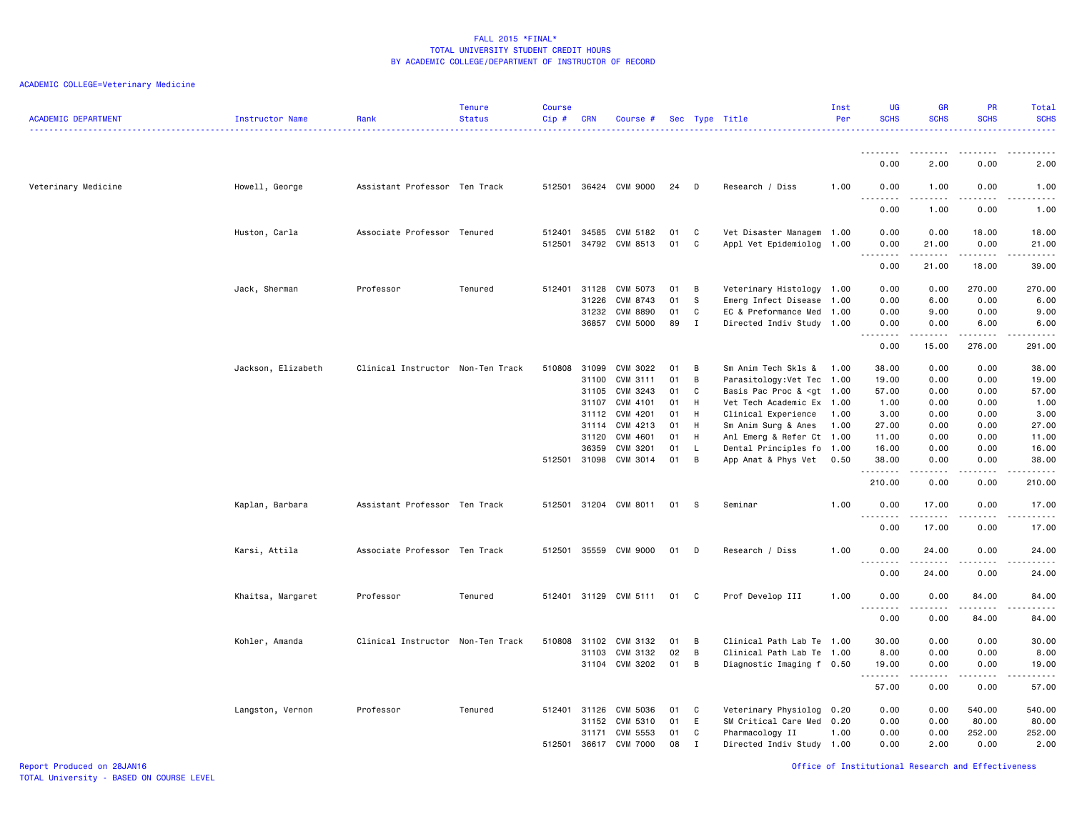| <b>ACADEMIC DEPARTMENT</b> | Instructor Name    | Rank                              | <b>Tenure</b><br><b>Status</b> | <b>Course</b><br>Cip# | <b>CRN</b> | Course #              |      |                   | Sec Type Title                                                                                           | Inst<br>Per | <b>UG</b><br><b>SCHS</b>     | <b>GR</b><br><b>SCHS</b> | <b>PR</b><br><b>SCHS</b>                                                                                                                                     | Total<br><b>SCHS</b><br>.                                                                                                                                     |
|----------------------------|--------------------|-----------------------------------|--------------------------------|-----------------------|------------|-----------------------|------|-------------------|----------------------------------------------------------------------------------------------------------|-------------|------------------------------|--------------------------|--------------------------------------------------------------------------------------------------------------------------------------------------------------|---------------------------------------------------------------------------------------------------------------------------------------------------------------|
|                            |                    |                                   |                                |                       |            |                       |      |                   |                                                                                                          |             |                              |                          |                                                                                                                                                              |                                                                                                                                                               |
|                            |                    |                                   |                                |                       |            |                       |      |                   |                                                                                                          |             | 0.00                         | 2.00                     | 0.00                                                                                                                                                         | 2.00                                                                                                                                                          |
| Veterinary Medicine        | Howell, George     | Assistant Professor Ten Track     |                                |                       |            | 512501 36424 CVM 9000 | 24   | D                 | Research / Diss                                                                                          | 1.00        | 0.00                         | 1.00                     | 0.00                                                                                                                                                         | 1.00<br><u>.</u>                                                                                                                                              |
|                            |                    |                                   |                                |                       |            |                       |      |                   |                                                                                                          |             | 0.00                         | 1.00                     | 0.00                                                                                                                                                         | 1.00                                                                                                                                                          |
|                            | Huston, Carla      | Associate Professor Tenured       |                                | 512401                | 34585      | CVM 5182              | 01   | C                 | Vet Disaster Managem 1.00                                                                                |             | 0.00                         | 0.00                     | 18.00                                                                                                                                                        | 18.00                                                                                                                                                         |
|                            |                    |                                   |                                | 512501                |            | 34792 CVM 8513        | 01   | C                 | Appl Vet Epidemiolog 1.00                                                                                |             | 0.00<br>.<br>$\sim$ $\sim$   | 21.00<br>.               | 0.00<br>$\frac{1}{2} \left( \frac{1}{2} \right) \left( \frac{1}{2} \right) \left( \frac{1}{2} \right) \left( \frac{1}{2} \right) \left( \frac{1}{2} \right)$ | 21.00<br>.                                                                                                                                                    |
|                            |                    |                                   |                                |                       |            |                       |      |                   |                                                                                                          |             | 0.00                         | 21.00                    | 18.00                                                                                                                                                        | 39.00                                                                                                                                                         |
|                            | Jack, Sherman      | Professor                         | Tenured                        | 512401 31128          |            | CVM 5073              | 01   | B                 | Veterinary Histology 1.00                                                                                |             | 0.00                         | 0.00                     | 270.00                                                                                                                                                       | 270.00                                                                                                                                                        |
|                            |                    |                                   |                                |                       | 31226      | CVM 8743              | 01   | s.                | Emerg Infect Disease 1.00                                                                                |             | 0.00                         | 6.00                     | 0.00                                                                                                                                                         | 6.00                                                                                                                                                          |
|                            |                    |                                   |                                |                       | 31232      | <b>CVM 8890</b>       | 01   | C<br>$\mathbf{I}$ | EC & Preformance Med 1.00                                                                                |             | 0.00                         | 9.00                     | 0.00<br>6.00                                                                                                                                                 | 9.00                                                                                                                                                          |
|                            |                    |                                   |                                |                       | 36857      | CVM 5000              | 89   |                   | Directed Indiv Study 1.00                                                                                |             | 0.00<br>.<br>$\sim$ $\sim$ . | 0.00<br>. <u>.</u>       | <u>.</u>                                                                                                                                                     | 6.00<br>.                                                                                                                                                     |
|                            |                    |                                   |                                |                       |            |                       |      |                   |                                                                                                          |             | 0.00                         | 15.00                    | 276.00                                                                                                                                                       | 291.00                                                                                                                                                        |
|                            | Jackson, Elizabeth | Clinical Instructor Non-Ten Track |                                | 510808                | 31099      | CVM 3022              | 01   | B                 | Sm Anim Tech Skls & 1.00                                                                                 |             | 38.00                        | 0.00                     | 0.00                                                                                                                                                         | 38.00                                                                                                                                                         |
|                            |                    |                                   |                                |                       | 31100      | CVM 3111              | 01   | B                 | Parasitology: Vet Tec 1.00                                                                               |             | 19.00                        | 0.00                     | 0.00                                                                                                                                                         | 19.00                                                                                                                                                         |
|                            |                    |                                   |                                |                       | 31105      | CVM 3243              | 01   | C                 | Basis Pac Proc & <gt 1.00<="" td=""><td></td><td>57.00</td><td>0.00</td><td>0.00</td><td>57.00</td></gt> |             | 57.00                        | 0.00                     | 0.00                                                                                                                                                         | 57.00                                                                                                                                                         |
|                            |                    |                                   |                                |                       | 31107      | CVM 4101              | 01   | H                 | Vet Tech Academic Ex 1.00                                                                                |             | 1.00                         | 0.00                     | 0.00                                                                                                                                                         | 1.00                                                                                                                                                          |
|                            |                    |                                   |                                |                       | 31112      | CVM 4201              | 01   | H                 | Clinical Experience                                                                                      | 1.00        | 3.00                         | 0.00                     | 0.00                                                                                                                                                         | 3.00                                                                                                                                                          |
|                            |                    |                                   |                                |                       | 31114      | CVM 4213              | 01   | H                 | Sm Anim Surg & Anes                                                                                      | 1.00        | 27.00                        | 0.00                     | 0.00                                                                                                                                                         | 27.00                                                                                                                                                         |
|                            |                    |                                   |                                |                       | 31120      | CVM 4601              | 01   | H                 | Anl Emerg & Refer Ct 1.00                                                                                |             | 11.00                        | 0.00                     | 0.00                                                                                                                                                         | 11.00                                                                                                                                                         |
|                            |                    |                                   |                                |                       | 36359      | CVM 3201              | 01   | $\mathsf{L}$      | Dental Principles fo 1.00                                                                                |             | 16.00                        | 0.00                     | 0.00                                                                                                                                                         | 16.00                                                                                                                                                         |
|                            |                    |                                   |                                | 512501 31098          |            | CVM 3014              | 01   | $\overline{B}$    | App Anat & Phys Vet                                                                                      | 0.50        | 38.00<br>.                   | 0.00                     | 0.00                                                                                                                                                         | 38.00<br>$\frac{1}{2} \left( \frac{1}{2} \right) \left( \frac{1}{2} \right) \left( \frac{1}{2} \right) \left( \frac{1}{2} \right) \left( \frac{1}{2} \right)$ |
|                            |                    |                                   |                                |                       |            |                       |      |                   |                                                                                                          |             | 210.00                       | 0.00                     | 0.00                                                                                                                                                         | 210.00                                                                                                                                                        |
|                            | Kaplan, Barbara    | Assistant Professor Ten Track     |                                |                       |            | 512501 31204 CVM 8011 | 01 S |                   | Seminar                                                                                                  | 1.00        | 0.00<br><u>.</u>             | 17.00<br>.               | 0.00<br>.                                                                                                                                                    | 17.00<br>.                                                                                                                                                    |
|                            |                    |                                   |                                |                       |            |                       |      |                   |                                                                                                          |             | 0.00                         | 17.00                    | 0.00                                                                                                                                                         | 17.00                                                                                                                                                         |
|                            | Karsi, Attila      | Associate Professor Ten Track     |                                | 512501                | 35559      | CVM 9000              | 01   | D                 | Research / Diss                                                                                          | 1.00        | 0.00<br>$  -$<br>.           | 24.00<br>.               | 0.00<br>$\frac{1}{2}$                                                                                                                                        | 24.00<br>. <u>.</u>                                                                                                                                           |
|                            |                    |                                   |                                |                       |            |                       |      |                   |                                                                                                          |             | 0.00                         | 24.00                    | 0.00                                                                                                                                                         | 24.00                                                                                                                                                         |
|                            | Khaitsa, Margaret  | Professor                         | Tenured                        | 512401                |            | 31129 CVM 5111        | 01   | C.                | Prof Develop III                                                                                         | 1.00        | 0.00<br>$\sim$ $\sim$        | 0.00                     | 84.00                                                                                                                                                        | 84.00<br>.                                                                                                                                                    |
|                            |                    |                                   |                                |                       |            |                       |      |                   |                                                                                                          |             | 0.00                         | 0.00                     | 84.00                                                                                                                                                        | 84.00                                                                                                                                                         |
|                            | Kohler, Amanda     | Clinical Instructor Non-Ten Track |                                | 510808                | 31102      | CVM 3132              | 01   | B                 | Clinical Path Lab Te 1.00                                                                                |             | 30.00                        | 0.00                     | 0.00                                                                                                                                                         | 30.00                                                                                                                                                         |
|                            |                    |                                   |                                |                       | 31103      | CVM 3132              | 02   | B                 | Clinical Path Lab Te 1.00                                                                                |             | 8.00                         | 0.00                     | 0.00                                                                                                                                                         | 8.00                                                                                                                                                          |
|                            |                    |                                   |                                |                       |            | 31104 CVM 3202        | 01   | B                 | Diagnostic Imaging f 0.50                                                                                |             | 19.00<br><u>.</u>            | 0.00<br>.                | 0.00<br>.                                                                                                                                                    | 19.00<br>.                                                                                                                                                    |
|                            |                    |                                   |                                |                       |            |                       |      |                   |                                                                                                          |             | 57.00                        | 0.00                     | 0.00                                                                                                                                                         | 57.00                                                                                                                                                         |
|                            | Langston, Vernon   | Professor                         | Tenured                        | 512401                | 31126      | CVM 5036              | 01   | C                 | Veterinary Physiolog 0.20                                                                                |             | 0.00                         | 0.00                     | 540.00                                                                                                                                                       | 540.00                                                                                                                                                        |
|                            |                    |                                   |                                |                       | 31152      | CVM 5310              | 01   | E                 | SM Critical Care Med                                                                                     | 0.20        | 0.00                         | 0.00                     | 80.00                                                                                                                                                        | 80.00                                                                                                                                                         |
|                            |                    |                                   |                                |                       | 31171      | CVM 5553              | 01   | C                 | Pharmacology II                                                                                          | 1.00        | 0.00                         | 0.00                     | 252.00                                                                                                                                                       | 252.00                                                                                                                                                        |
|                            |                    |                                   |                                | 512501                | 36617      | <b>CVM 7000</b>       | 08   | $\mathbf{I}$      | Directed Indiv Study 1.00                                                                                |             | 0.00                         | 2.00                     | 0.00                                                                                                                                                         | 2.00                                                                                                                                                          |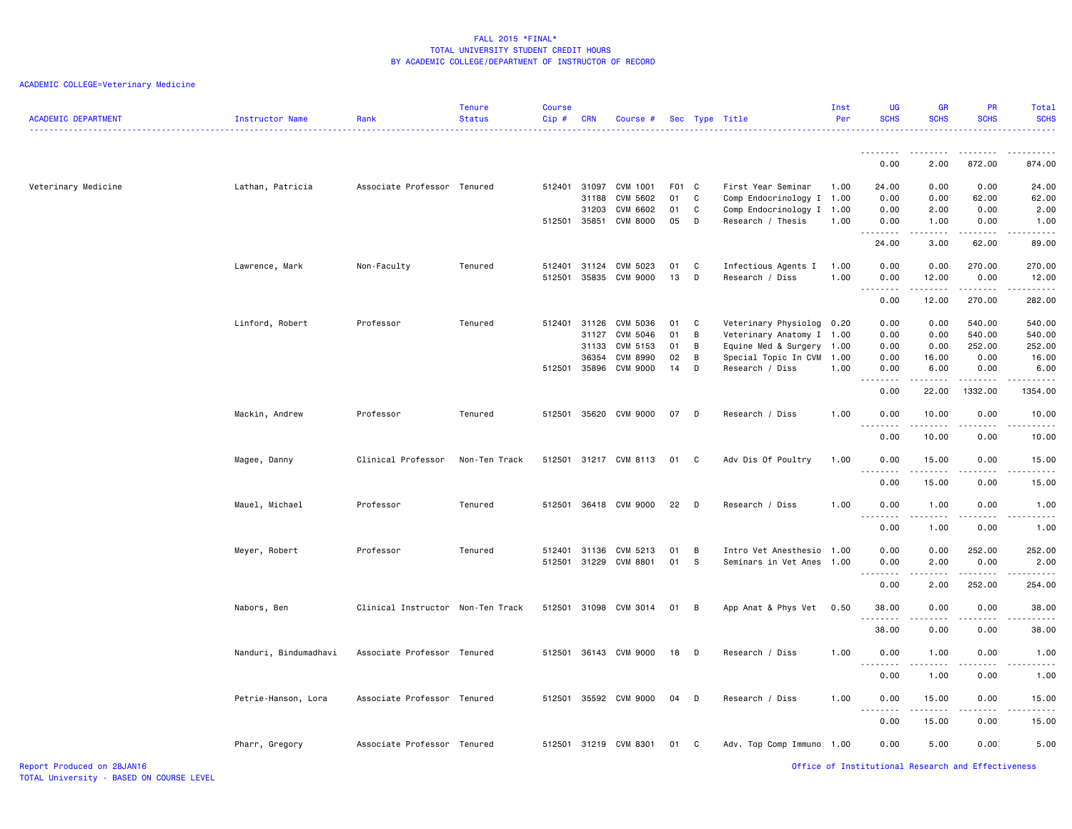## ACADEMIC COLLEGE=Veterinary Medicine

| <b>ACADEMIC DEPARTMENT</b> | <b>Instructor Name</b> | Rank                              | <b>Tenure</b><br><b>Status</b> | <b>Course</b><br>Cip# | <b>CRN</b>     | Course #                    |          |              | Sec Type Title                                 | Inst<br>Per | UG<br><b>SCHS</b>            | <b>GR</b><br><b>SCHS</b> | PR<br><b>SCHS</b> | Total<br><b>SCHS</b>                |
|----------------------------|------------------------|-----------------------------------|--------------------------------|-----------------------|----------------|-----------------------------|----------|--------------|------------------------------------------------|-------------|------------------------------|--------------------------|-------------------|-------------------------------------|
|                            |                        |                                   |                                |                       |                |                             |          |              |                                                |             | .<br>0.00                    | 2.00                     | 872.00            | 874.00                              |
| Veterinary Medicine        | Lathan, Patricia       | Associate Professor Tenured       |                                | 512401                | 31097          | CVM 1001                    | F01 C    |              | First Year Seminar                             | 1.00        | 24.00                        | 0.00                     | 0.00              | 24.00                               |
|                            |                        |                                   |                                |                       | 31188          | CVM 5602                    | 01       | $\mathtt{C}$ | Comp Endocrinology I 1.00                      |             | 0.00                         | 0.00                     | 62.00             | 62.00                               |
|                            |                        |                                   |                                | 512501                | 31203<br>35851 | CVM 6602<br><b>CVM 8000</b> | 01<br>05 | $\mathtt{C}$ | Comp Endocrinology I 1.00<br>Research / Thesis |             | 0.00                         | 2.00                     | 0.00              | 2.00                                |
|                            |                        |                                   |                                |                       |                |                             |          | D            |                                                | 1.00        | 0.00<br>المتمامين            | 1.00<br>بالمحام          | 0.00<br>د د د د   | 1.00<br>$\sim$ $\sim$ $\sim$ $\sim$ |
|                            |                        |                                   |                                |                       |                |                             |          |              |                                                |             | 24.00                        | 3.00                     | 62.00             | 89.00                               |
|                            | Lawrence, Mark         | Non-Faculty                       | Tenured                        | 512401                | 31124          | CVM 5023                    | 01       | C            | Infectious Agents I                            | 1.00        | 0.00                         | 0.00                     | 270.00            | 270.00                              |
|                            |                        |                                   |                                | 512501                | 35835          | <b>CVM 9000</b>             | 13       | D            | Research / Diss                                | 1.00        | 0.00<br><u>.</u>             | 12.00<br>$- - - - -$     | 0.00<br>.         | 12.00<br>$- - - - - -$              |
|                            |                        |                                   |                                |                       |                |                             |          |              |                                                |             | 0.00                         | 12.00                    | 270.00            | 282.00                              |
|                            | Linford, Robert        | Professor                         | Tenured                        | 512401 31126          |                | CVM 5036                    | 01       | C            | Veterinary Physiolog                           | 0.20        | 0.00                         | 0.00                     | 540.00            | 540.00                              |
|                            |                        |                                   |                                |                       | 31127          | CVM 5046                    | 01       | B            | Veterinary Anatomy I 1.00                      |             | 0.00                         | 0.00                     | 540.00            | 540.00                              |
|                            |                        |                                   |                                |                       | 31133          | CVM 5153                    | 01       | B            | Equine Med & Surgery                           | 1.00        | 0.00                         | 0.00                     | 252.00            | 252.00                              |
|                            |                        |                                   |                                |                       | 36354          | CVM 8990                    | 02       | B            | Special Topic In CVM 1.00                      |             | 0.00                         | 16.00                    | 0.00              | 16.00                               |
|                            |                        |                                   |                                | 512501 35896          |                | <b>CVM 9000</b>             | 14       | D            | Research / Diss                                | 1.00        | 0.00                         | 6.00                     | 0.00              | 6.00                                |
|                            |                        |                                   |                                |                       |                |                             |          |              |                                                |             | د د د د د<br>0.00            | .<br>22.00               | .<br>1332.00      | <b>.</b> .<br>1354.00               |
|                            | Mackin, Andrew         | Professor                         | Tenured                        | 512501                |                | 35620 CVM 9000              | 07       | D            | Research / Diss                                | 1.00        | 0.00                         | 10.00                    | 0.00              | 10.00                               |
|                            |                        |                                   |                                |                       |                |                             |          |              |                                                |             | .                            | . <b>.</b>               | .                 | .                                   |
|                            |                        |                                   |                                |                       |                |                             |          |              |                                                |             | 0.00                         | 10.00                    | 0.00              | 10.00                               |
|                            | Magee, Danny           | Clinical Professor                | Non-Ten Track                  | 512501                |                | 31217 CVM 8113              | 01       | - C          | Adv Dis Of Poultry                             | 1.00        | 0.00                         | 15.00                    | 0.00              | 15.00                               |
|                            |                        |                                   |                                |                       |                |                             |          |              |                                                |             | 0.00                         | 15.00                    | 0.00              | 15.00                               |
|                            | Mauel, Michael         | Professor                         | Tenured                        | 512501                |                | 36418 CVM 9000              | 22       | $\Box$       | Research / Diss                                | 1.00        | 0.00<br>$- - - - -$          | 1.00                     | 0.00              | 1.00<br>$\frac{1}{2}$               |
|                            |                        |                                   |                                |                       |                |                             |          |              |                                                |             | 0.00                         | 1.00                     | 0.00              | 1.00                                |
|                            | Meyer, Robert          | Professor                         | Tenured                        | 512401 31136          |                | CVM 5213                    | 01       | B            | Intro Vet Anesthesio                           | 1.00        | 0.00                         | 0.00                     | 252.00            | 252.00                              |
|                            |                        |                                   |                                |                       |                | 512501 31229 CVM 8801       | 01       | -S           | Seminars in Vet Anes                           | 1.00        | 0.00                         | 2.00                     | 0.00              | 2.00                                |
|                            |                        |                                   |                                |                       |                |                             |          |              |                                                |             | .<br>$\sim$ $\sim$ .<br>0.00 | ----<br>2.00             | 252.00            | 22222<br>254.00                     |
|                            | Nabors, Ben            | Clinical Instructor Non-Ten Track |                                | 512501                |                | 31098 CVM 3014              | 01       | B            | App Anat & Phys Vet                            | 0.50        | 38.00                        | 0.00                     | 0.00              | 38.00                               |
|                            |                        |                                   |                                |                       |                |                             |          |              |                                                |             | .                            | $- - - -$                | .                 | .                                   |
|                            |                        |                                   |                                |                       |                |                             |          |              |                                                |             | 38.00                        | 0.00                     | 0.00              | 38.00                               |
|                            | Nanduri, Bindumadhavi  | Associate Professor Tenured       |                                | 512501                |                | 36143 CVM 9000              | 18       | D            | Research / Diss                                | 1.00        | 0.00<br><u>.</u>             | 1.00<br>. <b>.</b>       | 0.00<br>.         | 1.00<br>.                           |
|                            |                        |                                   |                                |                       |                |                             |          |              |                                                |             | 0.00                         | 1.00                     | 0.00              | 1.00                                |
|                            | Petrie-Hanson, Lora    | Associate Professor Tenured       |                                | 512501                |                | 35592 CVM 9000              | 04       | D            | Research / Diss                                | 1.00        | 0.00<br>$   -$               | 15.00                    | 0.00              | 15.00                               |
|                            |                        |                                   |                                |                       |                |                             |          |              |                                                |             | 0.00                         | 15.00                    | 0.00              | 15.00                               |
|                            | Pharr, Gregory         | Associate Professor Tenured       |                                |                       |                | 512501 31219 CVM 8301       | 01 C     |              | Adv. Top Comp Immuno 1.00                      |             | 0.00                         | 5.00                     | 0.00              | 5.00                                |

Report Produced on 28JAN16 Office of Institutional Research and Effectiveness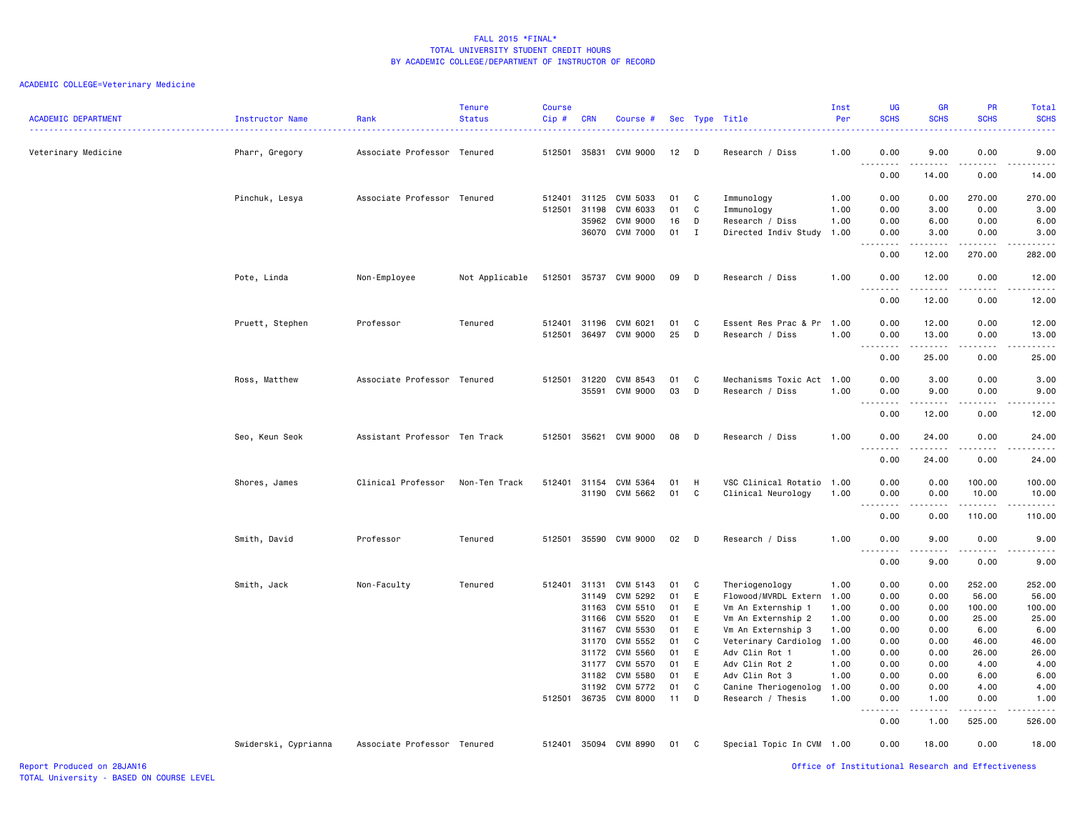| <b>ACADEMIC DEPARTMENT</b> | Instructor Name      | Rank                          | <b>Tenure</b><br><b>Status</b> | <b>Course</b><br>Cip# | <b>CRN</b>     | Course #              |          |              | Sec Type Title                         | Inst<br>Per  | <b>UG</b><br><b>SCHS</b>          | GR<br><b>SCHS</b> | PR<br><b>SCHS</b>                                  | Total<br><b>SCHS</b><br>22222       |
|----------------------------|----------------------|-------------------------------|--------------------------------|-----------------------|----------------|-----------------------|----------|--------------|----------------------------------------|--------------|-----------------------------------|-------------------|----------------------------------------------------|-------------------------------------|
| Veterinary Medicine        | Pharr, Gregory       | Associate Professor Tenured   |                                |                       | 512501 35831   | CVM 9000              | 12       | - D          | Research / Diss                        | 1.00         | 0.00                              | 9.00              | 0.00                                               | 9.00                                |
|                            |                      |                               |                                |                       |                |                       |          |              |                                        |              | $  -$<br>$- - - - -$<br>0.00      | 14.00             | 0.00                                               | $\frac{1}{2}$<br>14.00              |
|                            | Pinchuk, Lesya       | Associate Professor Tenured   |                                | 512401                | 31125          | CVM 5033              | 01       | C            | Immunology                             | 1.00         | 0.00                              | 0.00              | 270.00                                             | 270.00                              |
|                            |                      |                               |                                | 512501                | 31198          | CVM 6033              | 01       | C            | Immunology                             | 1.00         | 0.00                              | 3.00              | 0.00                                               | 3.00                                |
|                            |                      |                               |                                |                       | 35962          | <b>CVM 9000</b>       | 16       | D            | Research / Diss                        | 1.00         | 0.00                              | 6.00              | 0.00                                               | 6.00                                |
|                            |                      |                               |                                |                       | 36070          | <b>CVM 7000</b>       | 01       | $\mathbf{I}$ | Directed Indiv Study                   | 1.00         | 0.00                              | 3.00              | 0.00                                               | 3.00<br>$\sim$ $\sim$ $\sim$ $\sim$ |
|                            |                      |                               |                                |                       |                |                       |          |              |                                        |              | 0.00                              | 12.00             | 270.00                                             | 282.00                              |
|                            | Pote, Linda          | Non-Employee                  | Not Applicable                 |                       |                | 512501 35737 CVM 9000 | 09       | D            | Research / Diss                        | 1.00         | 0.00<br>$\sim$ $\sim$ $\sim$<br>. | 12.00             | 0.00<br>.                                          | 12.00<br>.                          |
|                            |                      |                               |                                |                       |                |                       |          |              |                                        |              | 0.00                              | 12.00             | 0.00                                               | 12.00                               |
|                            | Pruett, Stephen      | Professor                     | Tenured                        | 512401                | 31196          | CVM 6021              | 01       | C            | Essent Res Prac & Pr                   | 1.00         | 0.00                              | 12.00             | 0.00                                               | 12.00                               |
|                            |                      |                               |                                | 512501                |                | 36497 CVM 9000        | 25       | D            | Research / Diss                        | 1.00         | 0.00<br>.                         | 13.00             | 0.00<br>.                                          | 13.00<br>.                          |
|                            |                      |                               |                                |                       |                |                       |          |              |                                        |              | 0.00                              | 25.00             | 0.00                                               | 25.00                               |
|                            | Ross, Matthew        | Associate Professor Tenured   |                                |                       | 512501 31220   | CVM 8543              | 01       | C            | Mechanisms Toxic Act 1.00              |              | 0.00                              | 3.00              | 0.00                                               | 3.00                                |
|                            |                      |                               |                                |                       | 35591          | <b>CVM 9000</b>       | 03       | D            | Research / Diss                        | 1.00         | 0.00                              | 9.00              | 0.00                                               | 9.00                                |
|                            |                      |                               |                                |                       |                |                       |          |              |                                        |              | .<br>$\sim$ $\sim$ .<br>0.00      | 12.00             | .<br>0.00                                          | .<br>12.00                          |
|                            | Seo, Keun Seok       | Assistant Professor Ten Track |                                |                       | 512501 35621   | CVM 9000              | 08       | D            | Research / Diss                        | 1.00         | 0.00                              | 24.00             | 0.00                                               | 24.00                               |
|                            |                      |                               |                                |                       |                |                       |          |              |                                        |              | المستبدا<br>0.00                  | .<br>24.00        | د د د د<br>0.00                                    | .<br>24.00                          |
|                            | Shores, James        | Clinical Professor            | Non-Ten Track                  | 512401                |                | 31154 CVM 5364        | 01       | H            | VSC Clinical Rotatio                   | 1.00         | 0.00                              | 0.00              | 100.00                                             | 100.00                              |
|                            |                      |                               |                                |                       |                | 31190 CVM 5662        | 01       | C            | Clinical Neurology                     | 1.00         | 0.00                              | 0.00              | 10.00                                              | 10.00                               |
|                            |                      |                               |                                |                       |                |                       |          |              |                                        |              | $\sim$ $\sim$<br>0.00             | 0.00              | .<br>110.00                                        | 110.00                              |
|                            | Smith, David         | Professor                     | Tenured                        | 512501                | 35590          | CVM 9000              | 02       | D            | Research / Diss                        | 1.00         | 0.00                              | 9.00              | 0.00                                               | 9.00                                |
|                            |                      |                               |                                |                       |                |                       |          |              |                                        |              | 0.00                              | 9.00              | 0.00                                               | $   -$<br>9.00                      |
|                            |                      |                               |                                |                       |                |                       |          |              |                                        |              |                                   |                   |                                                    | 252.00                              |
|                            | Smith, Jack          | Non-Faculty                   | Tenured                        | 512401                | 31131<br>31149 | CVM 5143<br>CVM 5292  | 01<br>01 | C<br>E       | Theriogenology<br>Flowood/MVRDL Extern | 1.00<br>1.00 | 0.00<br>0.00                      | 0.00<br>0.00      | 252.00<br>56.00                                    | 56.00                               |
|                            |                      |                               |                                |                       | 31163          | CVM 5510              | 01       | E            | Vm An Externship 1                     | 1.00         | 0.00                              | 0.00              | 100.00                                             | 100.00                              |
|                            |                      |                               |                                |                       | 31166          | CVM 5520              | 01       | E            | Vm An Externship 2                     | 1.00         | 0.00                              | 0.00              | 25.00                                              | 25.00                               |
|                            |                      |                               |                                |                       | 31167          | CVM 5530              | 01       | E            | Vm An Externship 3                     | 1.00         | 0.00                              | 0.00              | 6.00                                               | 6.00                                |
|                            |                      |                               |                                |                       | 31170          | CVM 5552              | 01       | C            | Veterinary Cardiolog                   | 1.00         | 0.00                              | 0.00              | 46.00                                              | 46.00                               |
|                            |                      |                               |                                |                       | 31172          | <b>CVM 5560</b>       | 01       | E            | Adv Clin Rot 1                         | 1.00         | 0.00                              | 0.00              | 26.00                                              | 26.00                               |
|                            |                      |                               |                                |                       | 31177          | CVM 5570              | 01       | E            | Adv Clin Rot 2                         | 1.00         | 0.00                              | 0.00              | 4.00                                               | 4.00                                |
|                            |                      |                               |                                |                       | 31182          | CVM 5580              | 01       | E            | Adv Clin Rot 3                         | 1.00         | 0.00                              | 0.00              | 6.00                                               | 6.00                                |
|                            |                      |                               |                                |                       | 31192          | CVM 5772              | 01       | C            | Canine Theriogenolog                   | 1.00         | 0.00                              | 0.00              | 4.00                                               | 4.00                                |
|                            |                      |                               |                                | 512501                | 36735          | <b>CVM 8000</b>       | 11       | D            | Research / Thesis                      | 1.00         | 0.00<br>.<br>$\sim$ $\sim$        | 1.00<br>.         | 0.00<br>.                                          | 1.00<br>.                           |
|                            |                      |                               |                                |                       |                |                       |          |              |                                        |              | 0.00                              | 1.00              | 525.00                                             | 526.00                              |
|                            | Swiderski, Cyprianna | Associate Professor Tenured   |                                | 512401                |                | 35094 CVM 8990        | 01       | C            | Special Topic In CVM 1.00              |              | 0.00                              | 18.00             | 0.00                                               | 18.00                               |
| Report Produced on 28JAN16 |                      |                               |                                |                       |                |                       |          |              |                                        |              |                                   |                   | Office of Institutional Research and Effectiveness |                                     |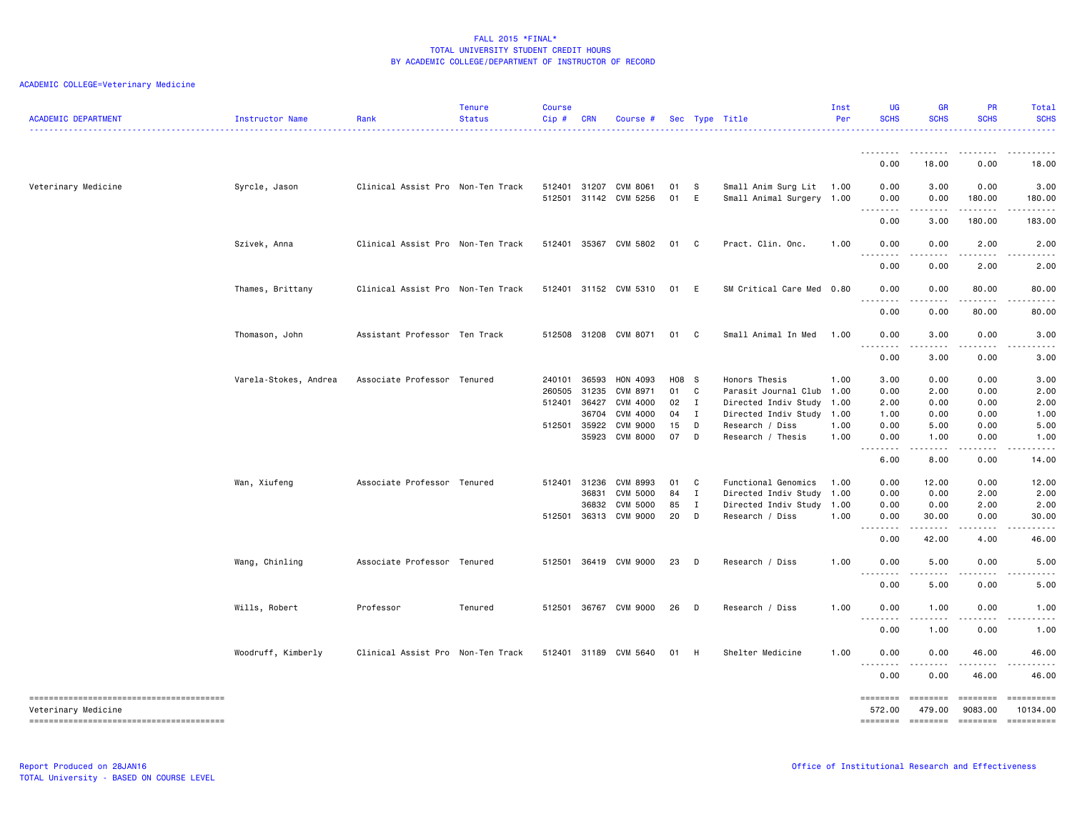| <b>ACADEMIC DEPARTMENT</b> | Instructor Name       | Rank                              | Tenure<br><b>Status</b> | <b>Course</b><br>Cip# | <b>CRN</b> | Course #              |       |              | Sec Type Title            | Inst<br>Per | UG<br><b>SCHS</b>  | <b>GR</b><br><b>SCHS</b>                                                                                                                                     | PR<br><b>SCHS</b>                                                                                                                                                                                                                                                                                                                                                                                                                                                                                 | Total<br><b>SCHS</b>                                                                                                              |
|----------------------------|-----------------------|-----------------------------------|-------------------------|-----------------------|------------|-----------------------|-------|--------------|---------------------------|-------------|--------------------|--------------------------------------------------------------------------------------------------------------------------------------------------------------|---------------------------------------------------------------------------------------------------------------------------------------------------------------------------------------------------------------------------------------------------------------------------------------------------------------------------------------------------------------------------------------------------------------------------------------------------------------------------------------------------|-----------------------------------------------------------------------------------------------------------------------------------|
|                            |                       |                                   |                         |                       |            |                       |       |              |                           |             | .                  |                                                                                                                                                              |                                                                                                                                                                                                                                                                                                                                                                                                                                                                                                   |                                                                                                                                   |
|                            |                       |                                   |                         |                       |            |                       |       |              |                           |             | 0.00               | 18.00                                                                                                                                                        | 0.00                                                                                                                                                                                                                                                                                                                                                                                                                                                                                              | 18.00                                                                                                                             |
| Veterinary Medicine        | Syrcle, Jason         | Clinical Assist Pro Non-Ten Track |                         | 512401                |            | 31207 CVM 8061        | 01    | - S          | Small Anim Surg Lit       | 1.00        | 0.00               | 3.00                                                                                                                                                         | 0.00                                                                                                                                                                                                                                                                                                                                                                                                                                                                                              | 3.00                                                                                                                              |
|                            |                       |                                   |                         | 512501                |            | 31142 CVM 5256        | 01    | E            | Small Animal Surgery 1.00 |             | 0.00<br>.          | 0.00<br>$\frac{1}{2} \left( \frac{1}{2} \right) \left( \frac{1}{2} \right) \left( \frac{1}{2} \right) \left( \frac{1}{2} \right) \left( \frac{1}{2} \right)$ | 180.00<br>$\frac{1}{2} \left( \frac{1}{2} \right) \left( \frac{1}{2} \right) \left( \frac{1}{2} \right) \left( \frac{1}{2} \right) \left( \frac{1}{2} \right)$                                                                                                                                                                                                                                                                                                                                    | 180.00<br><b>.</b> .                                                                                                              |
|                            |                       |                                   |                         |                       |            |                       |       |              |                           |             | 0.00               | 3.00                                                                                                                                                         | 180.00                                                                                                                                                                                                                                                                                                                                                                                                                                                                                            | 183.00                                                                                                                            |
|                            | Szivek, Anna          | Clinical Assist Pro Non-Ten Track |                         | 512401                |            | 35367 CVM 5802        | 01    | $\mathbf{C}$ | Pract. Clin. Onc.         | 1.00        | 0.00<br>.          | 0.00<br>.                                                                                                                                                    | 2.00                                                                                                                                                                                                                                                                                                                                                                                                                                                                                              | 2.00                                                                                                                              |
|                            |                       |                                   |                         |                       |            |                       |       |              |                           |             | 0.00               | 0.00                                                                                                                                                         | 2.00                                                                                                                                                                                                                                                                                                                                                                                                                                                                                              | 2.00                                                                                                                              |
|                            | Thames, Brittany      | Clinical Assist Pro Non-Ten Track |                         |                       |            | 512401 31152 CVM 5310 | 01    | $-E$         | SM Critical Care Med 0.80 |             | 0.00<br>.          | 0.00                                                                                                                                                         | 80.00<br>.                                                                                                                                                                                                                                                                                                                                                                                                                                                                                        | 80.00<br><b><i><u>.</u></i></b>                                                                                                   |
|                            |                       |                                   |                         |                       |            |                       |       |              |                           |             | 0.00               | .<br>0.00                                                                                                                                                    | 80.00                                                                                                                                                                                                                                                                                                                                                                                                                                                                                             | 80.00                                                                                                                             |
|                            | Thomason, John        | Assistant Professor Ten Track     |                         | 512508                |            | 31208 CVM 8071        | 01    | $\mathbf{C}$ | Small Animal In Med       | 1.00        | 0.00<br>.          | 3.00                                                                                                                                                         | 0.00                                                                                                                                                                                                                                                                                                                                                                                                                                                                                              | 3.00                                                                                                                              |
|                            |                       |                                   |                         |                       |            |                       |       |              |                           |             | 0.00               | 3.00                                                                                                                                                         | 0.00                                                                                                                                                                                                                                                                                                                                                                                                                                                                                              | 3.00                                                                                                                              |
|                            | Varela-Stokes, Andrea | Associate Professor Tenured       |                         | 240101                | 36593      | HON 4093              | H08 S |              | Honors Thesis             | 1.00        | 3.00               | 0.00                                                                                                                                                         | 0.00                                                                                                                                                                                                                                                                                                                                                                                                                                                                                              | 3.00                                                                                                                              |
|                            |                       |                                   |                         | 260505                | 31235      | CVM 8971              | 01 C  |              | Parasit Journal Club      | 1.00        | 0.00               | 2.00                                                                                                                                                         | 0.00                                                                                                                                                                                                                                                                                                                                                                                                                                                                                              | 2.00                                                                                                                              |
|                            |                       |                                   |                         | 512401                | 36427      | CVM 4000              | 02    | $\mathbf{I}$ | Directed Indiv Study      | 1.00        | 2.00               | 0.00                                                                                                                                                         | 0.00                                                                                                                                                                                                                                                                                                                                                                                                                                                                                              | 2.00                                                                                                                              |
|                            |                       |                                   |                         |                       | 36704      | CVM 4000              | 04    | $\mathbf{I}$ | Directed Indiv Study      | 1.00        | 1.00               | 0.00                                                                                                                                                         | 0.00                                                                                                                                                                                                                                                                                                                                                                                                                                                                                              | 1.00                                                                                                                              |
|                            |                       |                                   |                         | 512501                | 35922      | <b>CVM 9000</b>       | 15    | D            | Research / Diss           | 1.00        | 0.00               | 5.00                                                                                                                                                         | 0.00                                                                                                                                                                                                                                                                                                                                                                                                                                                                                              | 5.00                                                                                                                              |
|                            |                       |                                   |                         |                       | 35923      | CVM 8000              | 07    | D            | Research / Thesis         | 1.00        | 0.00               | 1.00                                                                                                                                                         | 0.00                                                                                                                                                                                                                                                                                                                                                                                                                                                                                              | 1.00                                                                                                                              |
|                            |                       |                                   |                         |                       |            |                       |       |              |                           |             | <u>.</u><br>6.00   | 8.00                                                                                                                                                         | 0.00                                                                                                                                                                                                                                                                                                                                                                                                                                                                                              | 14.00                                                                                                                             |
|                            | Wan, Xiufeng          | Associate Professor Tenured       |                         | 512401                | 31236      | CVM 8993              | 01    | $\mathbf{C}$ | Functional Genomics       | 1.00        | 0.00               | 12.00                                                                                                                                                        | 0.00                                                                                                                                                                                                                                                                                                                                                                                                                                                                                              | 12.00                                                                                                                             |
|                            |                       |                                   |                         |                       | 36831      | <b>CVM 5000</b>       | 84    | $\mathbf{I}$ | Directed Indiv Study      | 1.00        | 0.00               | 0.00                                                                                                                                                         | 2.00                                                                                                                                                                                                                                                                                                                                                                                                                                                                                              | 2.00                                                                                                                              |
|                            |                       |                                   |                         |                       | 36832      | <b>CVM 5000</b>       | 85    | $\mathbf{I}$ | Directed Indiv Study      | 1.00        | 0.00               | 0.00                                                                                                                                                         | 2.00                                                                                                                                                                                                                                                                                                                                                                                                                                                                                              | 2.00                                                                                                                              |
|                            |                       |                                   |                         | 512501                |            | 36313 CVM 9000        | 20    | $\mathsf{D}$ | Research / Diss           | 1.00        | 0.00               | 30.00                                                                                                                                                        | 0.00                                                                                                                                                                                                                                                                                                                                                                                                                                                                                              | 30.00                                                                                                                             |
|                            |                       |                                   |                         |                       |            |                       |       |              |                           |             | 0.00               | $  -$<br>42.00                                                                                                                                               | 4.00                                                                                                                                                                                                                                                                                                                                                                                                                                                                                              | 46.00                                                                                                                             |
|                            | Wang, Chinling        | Associate Professor Tenured       |                         | 512501                |            | 36419 CVM 9000        | 23    | D            | Research / Diss           | 1.00        | 0.00               | 5.00                                                                                                                                                         | 0.00                                                                                                                                                                                                                                                                                                                                                                                                                                                                                              | 5.00                                                                                                                              |
|                            |                       |                                   |                         |                       |            |                       |       |              |                           |             | <u>.</u><br>0.00   | $\sim$ $\sim$ $\sim$ $\sim$<br>5.00                                                                                                                          | $- - - - -$<br>0.00                                                                                                                                                                                                                                                                                                                                                                                                                                                                               | $\frac{1}{2} \left( \frac{1}{2} \right) \left( \frac{1}{2} \right) \left( \frac{1}{2} \right) \left( \frac{1}{2} \right)$<br>5.00 |
|                            | Wills, Robert         | Professor                         | Tenured                 | 512501                |            | 36767 CVM 9000        | 26    | D            | Research / Diss           | 1.00        | 0.00               | 1.00                                                                                                                                                         | 0.00                                                                                                                                                                                                                                                                                                                                                                                                                                                                                              | 1.00                                                                                                                              |
|                            |                       |                                   |                         |                       |            |                       |       |              |                           |             | .<br>0.00          | 1.00                                                                                                                                                         | 0.00                                                                                                                                                                                                                                                                                                                                                                                                                                                                                              | 1.00                                                                                                                              |
|                            | Woodruff, Kimberly    | Clinical Assist Pro Non-Ten Track |                         |                       |            | 512401 31189 CVM 5640 | 01    | - H          | Shelter Medicine          | 1.00        | 0.00               | 0.00                                                                                                                                                         | 46.00                                                                                                                                                                                                                                                                                                                                                                                                                                                                                             | 46.00                                                                                                                             |
|                            |                       |                                   |                         |                       |            |                       |       |              |                           |             | <u>.</u><br>0.00   | ----<br>0.00                                                                                                                                                 | -----<br>46.00                                                                                                                                                                                                                                                                                                                                                                                                                                                                                    | 46.00                                                                                                                             |
|                            |                       |                                   |                         |                       |            |                       |       |              |                           |             | ========           | ========                                                                                                                                                     | <b>ESSESSE</b>                                                                                                                                                                                                                                                                                                                                                                                                                                                                                    | $\begin{minipage}{0.9\linewidth} \hspace*{-0.2cm} \textbf{m} = \textbf{m} = \textbf{m} = \textbf{m} \end{minipage}$               |
| Veterinary Medicine        |                       |                                   |                         |                       |            |                       |       |              |                           |             | 572.00<br>======== | 479.00<br><b>ESSESSE</b>                                                                                                                                     | 9083.00<br>$\begin{array}{cccccccccc} \multicolumn{2}{c}{} & \multicolumn{2}{c}{} & \multicolumn{2}{c}{} & \multicolumn{2}{c}{} & \multicolumn{2}{c}{} & \multicolumn{2}{c}{} & \multicolumn{2}{c}{} & \multicolumn{2}{c}{} & \multicolumn{2}{c}{} & \multicolumn{2}{c}{} & \multicolumn{2}{c}{} & \multicolumn{2}{c}{} & \multicolumn{2}{c}{} & \multicolumn{2}{c}{} & \multicolumn{2}{c}{} & \multicolumn{2}{c}{} & \multicolumn{2}{c}{} & \multicolumn{2}{c}{} & \multicolumn{2}{c}{} & \mult$ | 10134.00<br>$\begin{minipage}{0.9\linewidth} \hspace*{-0.2cm} \textbf{m} = \textbf{m} = \textbf{m} = \textbf{m} \end{minipage}$   |
|                            |                       |                                   |                         |                       |            |                       |       |              |                           |             |                    |                                                                                                                                                              |                                                                                                                                                                                                                                                                                                                                                                                                                                                                                                   |                                                                                                                                   |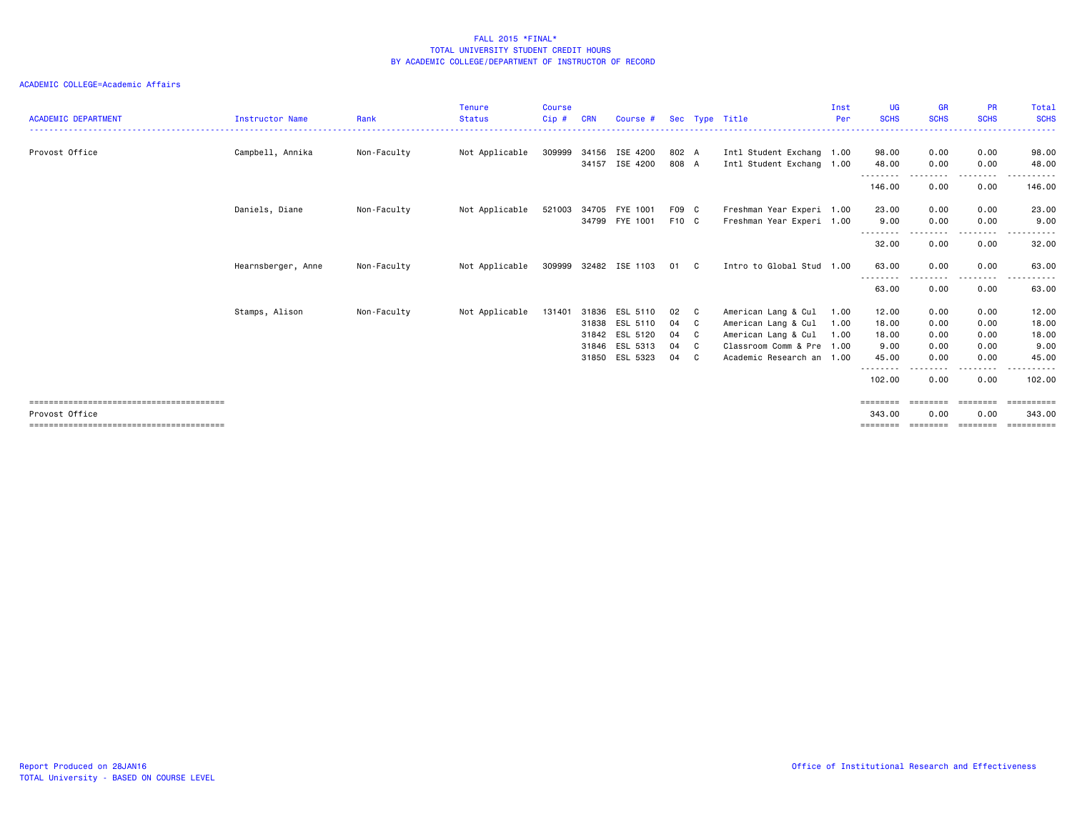#### ACADEMIC COLLEGE=Academic Affairs

| <b>ACADEMIC DEPARTMENT</b> | Instructor Name    | Rank        | <b>Tenure</b><br><b>Status</b> | <b>Course</b><br>$Cip$ # | <b>CRN</b> | Course #                         |                |     | Sec Type Title                                         | Inst<br>Per | <b>UG</b><br><b>SCHS</b>    | <b>GR</b><br><b>SCHS</b> | <b>PR</b><br><b>SCHS</b> | Total<br><b>SCHS</b> |
|----------------------------|--------------------|-------------|--------------------------------|--------------------------|------------|----------------------------------|----------------|-----|--------------------------------------------------------|-------------|-----------------------------|--------------------------|--------------------------|----------------------|
|                            |                    |             |                                |                          |            |                                  |                |     |                                                        |             |                             |                          |                          |                      |
| Provost Office             | Campbell, Annika   | Non-Faculty | Not Applicable                 | 309999                   |            | 34156 ISE 4200<br>34157 ISE 4200 | 802 A<br>808 A |     | Intl Student Exchang 1.00<br>Intl Student Exchang 1.00 |             | 98.00<br>48.00              | 0.00<br>0.00             | 0.00<br>0.00             | 98.00<br>48.00       |
|                            |                    |             |                                |                          |            |                                  |                |     |                                                        |             | --------<br>146.00          | 0.00                     | --------<br>0.00         | ------<br>146.00     |
|                            | Daniels, Diane     | Non-Faculty | Not Applicable                 | 521003                   | 34705      | FYE 1001<br>34799 FYE 1001       | F09 C<br>F10 C |     | Freshman Year Experi 1.00<br>Freshman Year Experi 1.00 |             | 23.00<br>9.00               | 0.00<br>0.00             | 0.00<br>0.00             | 23.00<br>9.00        |
|                            |                    |             |                                |                          |            |                                  |                |     |                                                        |             | --------<br>32.00           | .<br>0.00                | .<br>0.00                | .<br>32.00           |
|                            | Hearnsberger, Anne | Non-Faculty | Not Applicable                 |                          |            | 309999 32482 ISE 1103            | 01 C           |     | Intro to Global Stud 1.00                              |             | 63.00<br>--------           | 0.00                     | 0.00<br>--------         | 63.00<br>.           |
|                            |                    |             |                                |                          |            |                                  |                |     |                                                        |             | 63.00                       | 0.00                     | 0.00                     | 63.00                |
|                            | Stamps, Alison     | Non-Faculty | Not Applicable                 | 131401                   | 31836      | ESL 5110                         | 02             | C . | American Lang & Cul                                    | 1.00        | 12.00                       | 0.00                     | 0.00                     | 12.00                |
|                            |                    |             |                                |                          |            | 31838 ESL 5110                   | 04             | C . | American Lang & Cul                                    | 1.00        | 18.00                       | 0.00                     | 0.00                     | 18.00                |
|                            |                    |             |                                |                          |            | 31842 ESL 5120                   | 04             | C . | American Lang & Cul                                    | 1.00        | 18.00                       | 0.00                     | 0.00                     | 18.00                |
|                            |                    |             |                                |                          |            | 31846 ESL 5313                   | 04             | C   | Classroom Comm & Pre 1.00                              |             | 9.00                        | 0.00                     | 0.00                     | 9.00                 |
|                            |                    |             |                                |                          |            | 31850 ESL 5323                   | 04             | C   | Academic Research an 1.00                              |             | 45.00<br>--------           | 0.00                     | 0.00<br>$\cdots$         | 45.00<br>.           |
|                            |                    |             |                                |                          |            |                                  |                |     |                                                        |             | 102.00                      | 0.00                     | 0.00                     | 102.00               |
|                            |                    |             |                                |                          |            |                                  |                |     |                                                        |             | ========                    |                          | ======                   |                      |
| Provost Office             |                    |             |                                |                          |            |                                  |                |     |                                                        |             | 343,00<br>$=$ = = = = = = = | 0.00                     | 0.00<br>========         | 343,00<br>========== |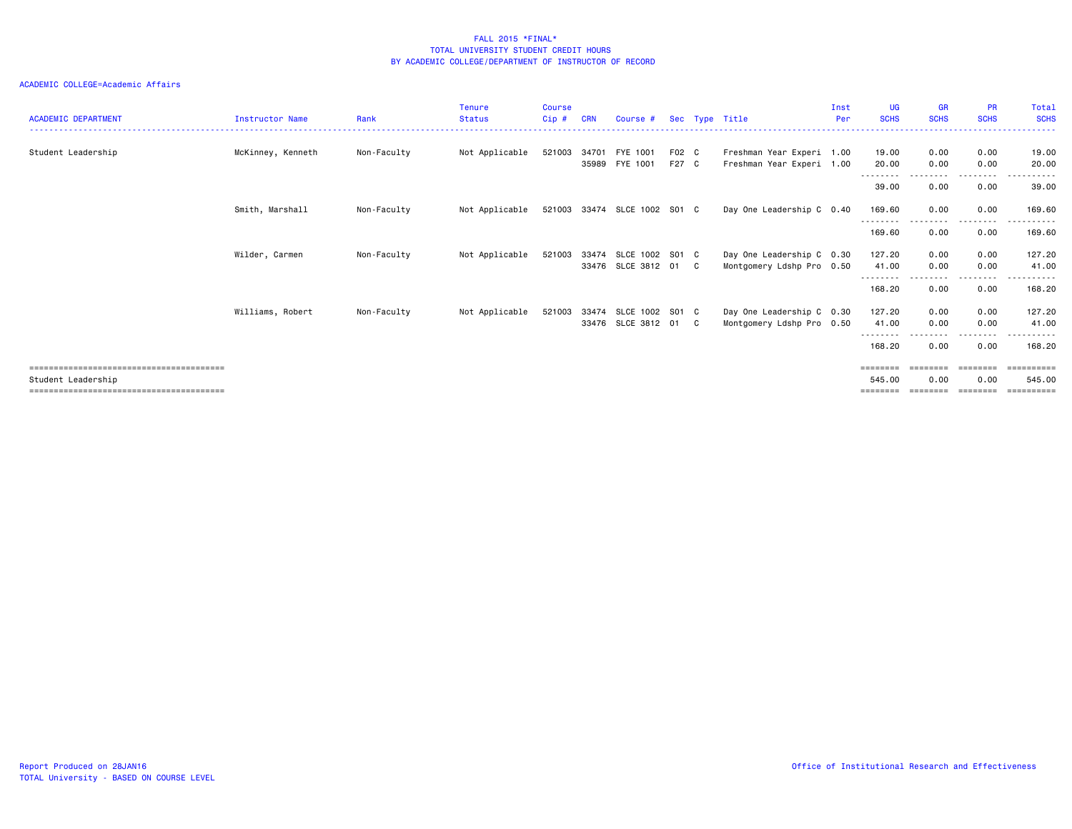#### ACADEMIC COLLEGE=Academic Affairs

| <b>ACADEMIC DEPARTMENT</b> | <b>Instructor Name</b> | Rank        | <b>Tenure</b><br><b>Status</b> | <b>Course</b><br>Cip# | <b>CRN</b>     | Course #                                             |                | Sec Type Title                                         | Inst<br>Per | <b>UG</b><br><b>SCHS</b>           | <b>GR</b><br><b>SCHS</b> | <b>PR</b><br><b>SCHS</b> | Total<br><b>SCHS</b><br><u>.</u> |
|----------------------------|------------------------|-------------|--------------------------------|-----------------------|----------------|------------------------------------------------------|----------------|--------------------------------------------------------|-------------|------------------------------------|--------------------------|--------------------------|----------------------------------|
| Student Leadership         | McKinney, Kenneth      | Non-Faculty | Not Applicable                 | 521003                | 34701<br>35989 | FYE 1001<br>FYE 1001                                 | F02 C<br>F27 C | Freshman Year Experi 1.00<br>Freshman Year Experi 1.00 |             | 19.00<br>20.00                     | 0.00<br>0.00             | 0.00<br>0.00             | 19,00<br>20.00                   |
|                            |                        |             |                                |                       |                |                                                      |                |                                                        |             | ---------<br>39.00                 | .<br>0.00                | --------<br>0.00         | .<br>39.00                       |
|                            | Smith, Marshall        | Non-Faculty | Not Applicable                 |                       |                | 521003 33474 SLCE 1002 S01 C                         |                | Day One Leadership C 0.40                              |             | 169.60<br><u>- - - - - - - -</u>   | 0.00                     | 0.00<br>.                | 169.60<br>.                      |
|                            |                        |             |                                |                       |                |                                                      |                |                                                        |             | 169.60                             | 0.00                     | 0.00                     | 169.60                           |
|                            | Wilder, Carmen         | Non-Faculty | Not Applicable                 |                       |                | 521003 33474 SLCE 1002 S01 C<br>33476 SLCE 3812 01 C |                | Day One Leadership C 0.30<br>Montgomery Ldshp Pro 0.50 |             | 127.20<br>41.00                    | 0.00<br>0.00             | 0.00<br>0.00             | 127,20<br>41.00                  |
|                            |                        |             |                                |                       |                |                                                      |                |                                                        |             | -----<br>168.20                    | 0.00                     | . <b>.</b><br>0.00       | ------<br>168,20                 |
|                            | Williams, Robert       | Non-Faculty | Not Applicable                 | 521003                |                | 33474 SLCE 1002 S01 C<br>33476 SLCE 3812 01 C        |                | Day One Leadership C 0.30<br>Montgomery Ldshp Pro 0.50 |             | 127.20<br>41.00<br>- - - - - - - - | 0.00<br>0.00             | 0.00<br>0.00<br>-------- | 127.20<br>41.00<br>.             |
|                            |                        |             |                                |                       |                |                                                      |                |                                                        |             | 168.20                             | 0.00                     | 0.00                     | 168.20                           |
| Student Leadership         |                        |             |                                |                       |                |                                                      |                |                                                        |             | ========<br>545.00                 | ========<br>0.00         | ========<br>0.00         | ==========<br>545.00<br>------   |